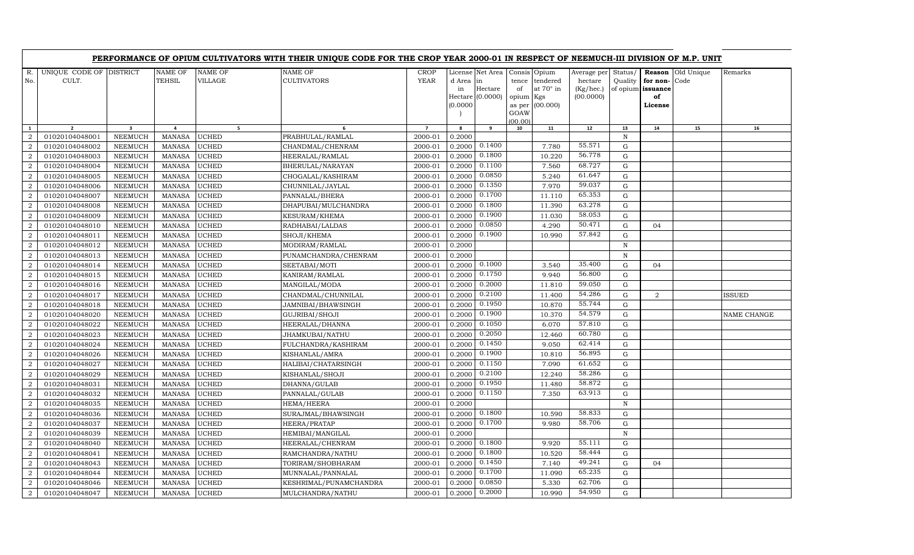|                |                                  |                         |                         |                    | PERFORMANCE OF OPIUM CULTIVATORS WITH THEIR UNIQUE CODE FOR THE CROP YEAR 2000-01 IN RESPECT OF NEEMUCH-III DIVISION OF M.P. UNIT |                            |                                     |                                                 |                          |                                                          |                                                  |                    |                                                              |            |               |
|----------------|----------------------------------|-------------------------|-------------------------|--------------------|-----------------------------------------------------------------------------------------------------------------------------------|----------------------------|-------------------------------------|-------------------------------------------------|--------------------------|----------------------------------------------------------|--------------------------------------------------|--------------------|--------------------------------------------------------------|------------|---------------|
| R.<br>No.      | UNIQUE CODE OF DISTRICT<br>CULT. |                         | NAME OF<br>TEHSIL       | NAME OF<br>VILLAGE | NAME OF<br><b>CULTIVATORS</b>                                                                                                     | <b>CROP</b><br><b>YEAR</b> | License<br>d Area<br>in<br>(0.0000) | Net Area<br>in<br>Hectare<br>Hectare $(0.0000)$ | tence<br>of<br>opium Kgs | Consis Opium<br>tendered<br>at 70° in<br>as per (00.000) | Average per<br>hectare<br>(Kg/hec.)<br>(00.0000) | Status/<br>Quality | Reason<br>for non-Code<br>of opium issuance<br>of<br>License | Old Unique | Remarks       |
|                |                                  |                         |                         |                    |                                                                                                                                   |                            |                                     |                                                 | GOAW<br>(00.00)          |                                                          |                                                  |                    |                                                              |            |               |
| $\mathbf{1}$   | $\overline{2}$                   | $\overline{\mathbf{3}}$ | $\overline{\mathbf{4}}$ | 5                  | 6                                                                                                                                 | $\overline{7}$             | 8                                   | 9                                               | 10                       | 11                                                       | 12                                               | 13                 | 14                                                           | 15         | 16            |
| $\overline{2}$ | 01020104048001                   | NEEMUCH                 | <b>MANASA</b>           | UCHED              | PRABHULAL/RAMLAL                                                                                                                  | 2000-01                    | 0.2000                              |                                                 |                          |                                                          |                                                  | N                  |                                                              |            |               |
| $\overline{2}$ | 01020104048002                   | NEEMUCH                 | <b>MANASA</b>           | UCHED              | CHANDMAL/CHENRAM                                                                                                                  | 2000-01                    | 0.2000                              | 0.1400                                          |                          | 7.780                                                    | 55.571                                           | G                  |                                                              |            |               |
| $\overline{2}$ | 01020104048003                   | <b>NEEMUCH</b>          | <b>MANASA</b>           | <b>UCHED</b>       | HEERALAL/RAMLAL                                                                                                                   | 2000-01                    | 0.2000                              | 0.1800                                          |                          | 10.220                                                   | 56.778                                           | G                  |                                                              |            |               |
| $\overline{2}$ | 01020104048004                   | NEEMUCH                 | <b>MANASA</b>           | <b>UCHED</b>       | BHERULAL/NARAYAN                                                                                                                  | 2000-01                    | 0.2000                              | 0.1100                                          |                          | 7.560                                                    | 68.727                                           | G                  |                                                              |            |               |
| $\overline{2}$ | 01020104048005                   | <b>NEEMUCH</b>          | <b>MANASA</b>           | UCHED              | CHOGALAL/KASHIRAM                                                                                                                 | 2000-01                    | 0.2000                              | 0.0850                                          |                          | 5.240                                                    | 61.647                                           | G                  |                                                              |            |               |
| $\overline{2}$ | 01020104048006                   | <b>NEEMUCH</b>          | <b>MANASA</b>           | UCHED              | CHUNNILAL/JAYLAL                                                                                                                  | 2000-01                    | 0.2000                              | 0.1350                                          |                          | 7.970                                                    | 59.037                                           | G                  |                                                              |            |               |
| $\overline{2}$ | 01020104048007                   | <b>NEEMUCH</b>          | <b>MANASA</b>           | UCHED              | PANNALAL/BHERA                                                                                                                    | 2000-01                    | 0.2000                              | 0.1700                                          |                          | 11.110                                                   | 65.353                                           | G                  |                                                              |            |               |
| $\overline{2}$ | 01020104048008                   | <b>NEEMUCH</b>          | <b>MANASA</b>           | UCHED              | DHAPUBAI/MULCHANDRA                                                                                                               | 2000-01                    | 0.2000                              | 0.1800                                          |                          | 11.390                                                   | 63.278                                           | G                  |                                                              |            |               |
| $\overline{2}$ | 01020104048009                   | NEEMUCH                 | MANASA                  | UCHED              | KESURAM/KHEMA                                                                                                                     | 2000-01                    | 0.2000                              | 0.1900                                          |                          | 11.030                                                   | 58.053                                           | G                  |                                                              |            |               |
| $\overline{2}$ | 01020104048010                   | <b>NEEMUCH</b>          | <b>MANASA</b>           | <b>UCHED</b>       | RADHABAI/LALDAS                                                                                                                   | 2000-01                    | 0.2000                              | 0.0850                                          |                          | 4.290                                                    | 50.471                                           | G                  | 04                                                           |            |               |
| $\overline{2}$ | 01020104048011                   | NEEMUCH                 | MANASA                  | UCHED              | SHOJI/KHEMA                                                                                                                       | 2000-01                    | 0.2000                              | 0.1900                                          |                          | 10.990                                                   | 57.842                                           | G                  |                                                              |            |               |
| 2              | 01020104048012                   | <b>NEEMUCH</b>          | <b>MANASA</b>           | UCHED              | MODIRAM/RAMLAL                                                                                                                    | 2000-01                    | 0.2000                              |                                                 |                          |                                                          |                                                  | N                  |                                                              |            |               |
| $\overline{a}$ | 01020104048013                   | NEEMUCH                 | MANASA                  | <b>UCHED</b>       | PUNAMCHANDRA/CHENRAM                                                                                                              | 2000-01                    | 0.2000                              |                                                 |                          |                                                          |                                                  | $\mathbb N$        |                                                              |            |               |
| $\overline{a}$ | 01020104048014                   | <b>NEEMUCH</b>          | <b>MANASA</b>           | UCHED              | SEETABAI/MOTI                                                                                                                     | 2000-01                    | 0.2000                              | 0.1000                                          |                          | 3.540                                                    | 35.400                                           | G                  | 04                                                           |            |               |
| $\overline{2}$ | 01020104048015                   | NEEMUCH                 | <b>MANASA</b>           | UCHED              | KANIRAM/RAMLAL                                                                                                                    | 2000-01                    | 0.2000                              | 0.1750                                          |                          | 9.940                                                    | 56.800                                           | G                  |                                                              |            |               |
| $\overline{2}$ | 01020104048016                   | <b>NEEMUCH</b>          | <b>MANASA</b>           | UCHED              | MANGILAL/MODA                                                                                                                     | 2000-01                    | 0.2000                              | 0.2000                                          |                          | 11.810                                                   | 59.050                                           | G                  |                                                              |            |               |
| $\overline{2}$ | 01020104048017                   | <b>NEEMUCH</b>          | <b>MANASA</b>           | UCHED              | CHANDMAL/CHUNNILAL                                                                                                                | 2000-01                    | 0.2000                              | 0.2100                                          |                          | 11.400                                                   | 54.286                                           | G                  | 2                                                            |            | <b>ISSUED</b> |
| $\overline{2}$ | 01020104048018                   | <b>NEEMUCH</b>          | <b>MANASA</b>           | UCHED              | JAMNIBAI/BHAWSINGH                                                                                                                | 2000-01                    | 0.2000                              | 0.1950                                          |                          | 10.870                                                   | 55.744                                           | G                  |                                                              |            |               |
| $\overline{2}$ | 01020104048020                   | <b>NEEMUCH</b>          | <b>MANASA</b>           | UCHED              | GUJRIBAI/SHOJI                                                                                                                    | 2000-01                    | 0.2000                              | 0.1900                                          |                          | 10.370                                                   | 54.579                                           | G                  |                                                              |            | NAME CHANGE   |
| $\overline{2}$ | 01020104048022                   | NEEMUCH                 | <b>MANASA</b>           | UCHED              | HEERALAL/DHANNA                                                                                                                   | 2000-01                    | 0.2000                              | 0.1050                                          |                          | 6.070                                                    | 57.810                                           | G                  |                                                              |            |               |
| $\overline{2}$ | 01020104048023                   | <b>NEEMUCH</b>          | <b>MANASA</b>           | UCHED              | JHAMKUBAI/NATHU                                                                                                                   | 2000-01                    | 0.2000                              | 0.2050                                          |                          | 12.460                                                   | 60.780                                           | G                  |                                                              |            |               |
| $\overline{2}$ | 01020104048024                   | <b>NEEMUCH</b>          | <b>MANASA</b>           | UCHED              | FULCHANDRA/KASHIRAM                                                                                                               | 2000-01                    | 0.2000                              | 0.1450                                          |                          | 9.050                                                    | 62.414                                           | G                  |                                                              |            |               |
| $\overline{2}$ | 01020104048026                   | <b>NEEMUCH</b>          | <b>MANASA</b>           | UCHED              | KISHANLAL/AMRA                                                                                                                    | 2000-01                    | 0.2000                              | 0.1900                                          |                          | 10.810                                                   | 56.895                                           | G                  |                                                              |            |               |
| $\overline{2}$ | 01020104048027                   | <b>NEEMUCH</b>          | <b>MANASA</b>           | UCHED              | HALIBAI/CHATARSINGH                                                                                                               | 2000-01                    | 0.2000                              | 0.1150                                          |                          | 7.090                                                    | 61.652                                           | G                  |                                                              |            |               |
| 2              | 01020104048029                   | NEEMUCH                 | MANASA                  | UCHED              | KISHANLAL/SHOJI                                                                                                                   | 2000-01                    | 0.2000                              | 0.2100                                          |                          | 12.240                                                   | 58.286                                           | G                  |                                                              |            |               |
| $\overline{2}$ | 01020104048031                   | NEEMUCH                 | <b>MANASA</b>           | UCHED              | DHANNA/GULAB                                                                                                                      | 2000-01                    | 0.2000                              | 0.1950                                          |                          | 11.480                                                   | 58.872                                           | G                  |                                                              |            |               |
| $\overline{2}$ | 01020104048032                   | <b>NEEMUCH</b>          | <b>MANASA</b>           | UCHED              | PANNALAL/GULAB                                                                                                                    | 2000-01                    | 0.2000                              | 0.1150                                          |                          | 7.350                                                    | 63.913                                           | G                  |                                                              |            |               |
| $\overline{a}$ | 01020104048035                   | <b>NEEMUCH</b>          | <b>MANASA</b>           | <b>UCHED</b>       | HEMA/HEERA                                                                                                                        | 2000-01                    | 0.2000                              |                                                 |                          |                                                          |                                                  | $\, {\bf N}$       |                                                              |            |               |
| $\overline{2}$ | 01020104048036                   | <b>NEEMUCH</b>          | <b>MANASA</b>           | UCHED              | SURAJMAL/BHAWSINGH                                                                                                                | 2000-01                    | 0.2000                              | 0.1800                                          |                          | 10.590                                                   | 58.833                                           | G                  |                                                              |            |               |
| $\overline{2}$ | 01020104048037                   | NEEMUCH                 | <b>MANASA</b>           | UCHED              | HEERA/PRATAP                                                                                                                      | 2000-01                    | 0.2000                              | 0.1700                                          |                          | 9.980                                                    | 58.706                                           | G                  |                                                              |            |               |
| $\overline{2}$ | 01020104048039                   | <b>NEEMUCH</b>          | <b>MANASA</b>           | UCHED              | HEMIBAI/MANGILAL                                                                                                                  | 2000-01                    | 0.2000                              |                                                 |                          |                                                          |                                                  | $\, {\bf N}$       |                                                              |            |               |
| $\overline{2}$ | 01020104048040                   | <b>NEEMUCH</b>          | <b>MANASA</b>           | UCHED              | HEERALAL/CHENRAM                                                                                                                  | 2000-01                    | 0.2000                              | 0.1800                                          |                          | 9.920                                                    | 55.111                                           | G                  |                                                              |            |               |
| $\overline{2}$ | 01020104048041                   | NEEMUCH                 | <b>MANASA</b>           | UCHED              | RAMCHANDRA/NATHU                                                                                                                  | 2000-01                    | 0.2000                              | 0.1800                                          |                          | 10.520                                                   | 58.444                                           | G                  |                                                              |            |               |
| $\overline{2}$ | 01020104048043                   | <b>NEEMUCH</b>          | MANASA                  | UCHED              | TORIRAM/SHOBHARAM                                                                                                                 | 2000-01                    | 0.2000                              | 0.1450                                          |                          | 7.140                                                    | 49.241                                           | G                  | 04                                                           |            |               |
| $\overline{2}$ | 01020104048044                   | NEEMUCH                 | <b>MANASA</b>           | UCHED              | MUNNALAL/PANNALAL                                                                                                                 | 2000-01                    | 0.2000                              | 0.1700                                          |                          | 11.090                                                   | 65.235                                           | G                  |                                                              |            |               |
| $\overline{2}$ | 01020104048046                   | NEEMUCH                 | MANASA                  | UCHED              | KESHRIMAL/PUNAMCHANDRA                                                                                                            | 2000-01                    | 0.2000                              | 0.0850                                          |                          | 5.330                                                    | 62.706                                           | G                  |                                                              |            |               |
| $\overline{2}$ | 01020104048047                   | NEEMUCH                 | MANASA                  | <b>UCHED</b>       | MULCHANDRA/NATHU                                                                                                                  | 2000-01                    | 0.2000                              | 0.2000                                          |                          | 10.990                                                   | 54.950                                           | G                  |                                                              |            |               |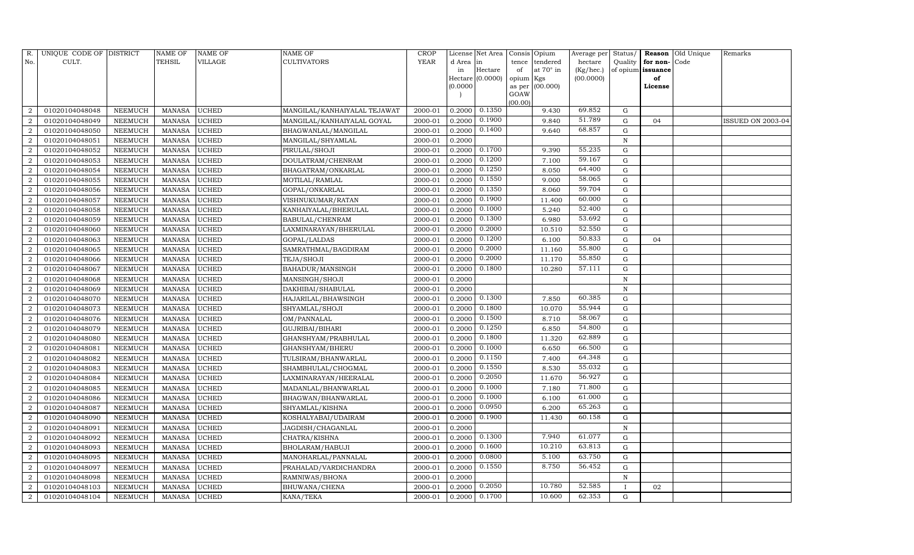| R.             | UNIQUE CODE OF DISTRICT |                | <b>NAME OF</b> | <b>NAME OF</b> | <b>NAME OF</b>               | CROP        |           | License Net Area |                | Consis Opium     | Average per | Status/      | Reason            | Old Unique | Remarks                  |
|----------------|-------------------------|----------------|----------------|----------------|------------------------------|-------------|-----------|------------------|----------------|------------------|-------------|--------------|-------------------|------------|--------------------------|
| No.            | CULT.                   |                | <b>TEHSIL</b>  | VILLAGE        | <b>CULTIVATORS</b>           | <b>YEAR</b> | d Area in |                  | tence          | tendered         | hectare     | Quality      | for non-          | Code       |                          |
|                |                         |                |                |                |                              |             | in        | Hectare          | of             | at $70^\circ$ in | (Kg/hec.)   |              | of opium issuance |            |                          |
|                |                         |                |                |                |                              |             |           | Hectare (0.0000) | opium Kgs      |                  | (00.0000)   |              | of                |            |                          |
|                |                         |                |                |                |                              |             | (0.0000)  |                  | as per<br>GOAW | (00.000)         |             |              | License           |            |                          |
|                |                         |                |                |                |                              |             |           |                  | (00.00)        |                  |             |              |                   |            |                          |
| $\overline{2}$ | 01020104048048          | NEEMUCH        | MANASA         | <b>UCHED</b>   | MANGILAL/KANHAIYALAL TEJAWAT | 2000-01     | 0.2000    | 0.1350           |                | 9.430            | 69.852      | G            |                   |            |                          |
| $\overline{2}$ | 01020104048049          | <b>NEEMUCH</b> | MANASA         | <b>UCHED</b>   | MANGILAL/KANHAIYALAL GOYAL   | 2000-01     | 0.2000    | 0.1900           |                | 9.840            | 51.789      | G            | 04                |            | <b>ISSUED ON 2003-04</b> |
| $\overline{2}$ | 01020104048050          | <b>NEEMUCH</b> | <b>MANASA</b>  | <b>UCHED</b>   | BHAGWANLAL/MANGILAL          | 2000-01     | 0.2000    | 0.1400           |                | 9.640            | 68.857      | $\mathbf G$  |                   |            |                          |
| $\overline{2}$ | 01020104048051          | NEEMUCH        | MANASA         | <b>UCHED</b>   | MANGILAL/SHYAMLAL            | 2000-01     | 0.2000    |                  |                |                  |             | N            |                   |            |                          |
| 2              | 01020104048052          | NEEMUCH        | <b>MANASA</b>  | <b>UCHED</b>   | PIRULAL/SHOJI                | 2000-01     | 0.2000    | 0.1700           |                | 9.390            | 55.235      | $\mathbf G$  |                   |            |                          |
| $\overline{2}$ | 01020104048053          | NEEMUCH        | MANASA         | <b>UCHED</b>   | DOULATRAM/CHENRAM            | 2000-01     | 0.2000    | 0.1200           |                | 7.100            | 59.167      | $\mathbf G$  |                   |            |                          |
| $\overline{2}$ | 01020104048054          | NEEMUCH        | <b>MANASA</b>  | <b>UCHED</b>   | BHAGATRAM/ONKARLAL           | 2000-01     | 0.2000    | 0.1250           |                | 8.050            | 64.400      | G            |                   |            |                          |
| $\overline{2}$ | 01020104048055          | NEEMUCH        | MANASA         | <b>UCHED</b>   | MOTILAL/RAMLAL               | 2000-01     | 0.2000    | 0.1550           |                | 9.000            | 58.065      | G            |                   |            |                          |
| $\overline{2}$ | 01020104048056          | NEEMUCH        | MANASA         | <b>UCHED</b>   | GOPAL/ONKARLAL               | 2000-01     | 0.2000    | 0.1350           |                | 8.060            | 59.704      | $\mathbf G$  |                   |            |                          |
| $\overline{2}$ | 01020104048057          | NEEMUCH        | MANASA         | <b>UCHED</b>   | VISHNUKUMAR/RATAN            | 2000-01     | 0.2000    | 0.1900           |                | 11.400           | 60.000      | G            |                   |            |                          |
| $\overline{2}$ | 01020104048058          | NEEMUCH        | <b>MANASA</b>  | <b>UCHED</b>   | KANHAIYALAL/BHERULAL         | 2000-01     | 0.2000    | 0.1000           |                | 5.240            | 52.400      | G            |                   |            |                          |
| $\overline{2}$ | 01020104048059          | NEEMUCH        | MANASA         | <b>UCHED</b>   | BABULAL/CHENRAM              | 2000-01     | 0.2000    | 0.1300           |                | 6.980            | 53.692      | G            |                   |            |                          |
| $\overline{2}$ | 01020104048060          | NEEMUCH        | MANASA         | <b>UCHED</b>   | LAXMINARAYAN/BHERULAL        | 2000-01     | 0.2000    | 0.2000           |                | 10.510           | 52.550      | G            |                   |            |                          |
| $\overline{2}$ | 01020104048063          | <b>NEEMUCH</b> | <b>MANASA</b>  | <b>UCHED</b>   | GOPAL/LALDAS                 | 2000-01     | 0.2000    | 0.1200           |                | 6.100            | 50.833      | $\mathbf G$  | 04                |            |                          |
| $\overline{2}$ | 01020104048065          | <b>NEEMUCH</b> | <b>MANASA</b>  | <b>UCHED</b>   | SAMRATHMAL/BAGDIRAM          | 2000-01     | 0.2000    | 0.2000           |                | 11.160           | 55.800      | G            |                   |            |                          |
| $\overline{2}$ | 01020104048066          | NEEMUCH        | MANASA         | <b>UCHED</b>   | TEJA/SHOJI                   | 2000-01     | 0.2000    | 0.2000           |                | 11.170           | 55.850      | G            |                   |            |                          |
| $\overline{2}$ | 01020104048067          | NEEMUCH        | MANASA         | <b>UCHED</b>   | BAHADUR/MANSINGH             | 2000-01     | 0.2000    | 0.1800           |                | 10.280           | 57.111      | G            |                   |            |                          |
| $\overline{2}$ | 01020104048068          | NEEMUCH        | MANASA         | <b>UCHED</b>   | MANSINGH/SHOJI               | 2000-01     | 0.2000    |                  |                |                  |             | $\mathbf N$  |                   |            |                          |
| $\overline{2}$ | 01020104048069          | NEEMUCH        | MANASA         | <b>UCHED</b>   | DAKHIBAI/SHABULAL            | 2000-01     | 0.2000    |                  |                |                  |             | N            |                   |            |                          |
| 2              | 01020104048070          | NEEMUCH        | MANASA         | <b>UCHED</b>   | HAJARILAL/BHAWSINGH          | 2000-01     | 0.2000    | 0.1300           |                | 7.850            | 60.385      | G            |                   |            |                          |
| $\overline{2}$ | 01020104048073          | NEEMUCH        | MANASA         | <b>UCHED</b>   | SHYAMLAL/SHOJI               | 2000-01     | 0.2000    | 0.1800           |                | 10.070           | 55.944      | G            |                   |            |                          |
| $\overline{2}$ | 01020104048076          | NEEMUCH        | <b>MANASA</b>  | <b>UCHED</b>   | OM/PANNALAL                  | 2000-01     | 0.2000    | 0.1500           |                | 8.710            | 58.067      | G            |                   |            |                          |
| $\overline{2}$ | 01020104048079          | NEEMUCH        | MANASA         | <b>UCHED</b>   | GUJRIBAI/BIHARI              | 2000-01     | 0.2000    | 0.1250           |                | 6.850            | 54.800      | ${\rm G}$    |                   |            |                          |
| $\overline{2}$ | 01020104048080          | <b>NEEMUCH</b> | <b>MANASA</b>  | <b>UCHED</b>   | GHANSHYAM/PRABHULAL          | 2000-01     | 0.2000    | 0.1800           |                | 11.320           | 62.889      | $\mathbf G$  |                   |            |                          |
| $\overline{2}$ | 01020104048081          | NEEMUCH        | MANASA         | <b>UCHED</b>   | GHANSHYAM/BHERU              | 2000-01     | 0.2000    | 0.1000           |                | 6.650            | 66.500      | ${\rm G}$    |                   |            |                          |
| $\overline{2}$ | 01020104048082          | NEEMUCH        | MANASA         | <b>UCHED</b>   | TULSIRAM/BHANWARLAL          | 2000-01     | 0.2000    | 0.1150           |                | 7.400            | 64.348      | G            |                   |            |                          |
| $\overline{2}$ | 01020104048083          | NEEMUCH        | MANASA         | <b>UCHED</b>   | SHAMBHULAL/CHOGMAL           | 2000-01     | 0.2000    | 0.1550           |                | 8.530            | 55.032      | $\mathbf G$  |                   |            |                          |
| $\overline{2}$ | 01020104048084          | NEEMUCH        | <b>MANASA</b>  | <b>UCHED</b>   | LAXMINARAYAN/HEERALAL        | 2000-01     | 0.2000    | 0.2050           |                | 11.670           | 56.927      | G            |                   |            |                          |
| $\overline{2}$ | 01020104048085          | <b>NEEMUCH</b> | MANASA         | <b>UCHED</b>   | MADANLAL/BHANWARLAL          | 2000-01     | 0.2000    | 0.1000           |                | 7.180            | 71.800      | G            |                   |            |                          |
| $\overline{2}$ | 01020104048086          | NEEMUCH        | MANASA         | <b>UCHED</b>   | BHAGWAN/BHANWARLAL           | 2000-01     | 0.2000    | 0.1000           |                | 6.100            | 61.000      | G            |                   |            |                          |
| $\overline{2}$ | 01020104048087          | NEEMUCH        | MANASA         | <b>UCHED</b>   | SHYAMLAL/KISHNA              | 2000-01     | 0.2000    | 0.0950           |                | 6.200            | 65.263      | ${\rm G}$    |                   |            |                          |
| $\overline{2}$ | 01020104048090          | NEEMUCH        | <b>MANASA</b>  | <b>UCHED</b>   | KOSHALYABAI/UDAIRAM          | 2000-01     | 0.2000    | 0.1900           |                | 11.430           | 60.158      | G            |                   |            |                          |
| $\overline{2}$ | 01020104048091          | <b>NEEMUCH</b> | <b>MANASA</b>  | <b>UCHED</b>   | JAGDISH/CHAGANLAL            | 2000-01     | 0.2000    |                  |                |                  |             | N            |                   |            |                          |
| $\overline{2}$ | 01020104048092          | NEEMUCH        | MANASA         | <b>UCHED</b>   | CHATRA/KISHNA                | 2000-01     | 0.2000    | 0.1300           |                | 7.940            | 61.077      | G            |                   |            |                          |
| $\overline{2}$ | 01020104048093          | <b>NEEMUCH</b> | <b>MANASA</b>  | <b>UCHED</b>   | BHOLARAM/HABUJI              | 2000-01     | 0.2000    | 0.1600           |                | 10.210           | 63.813      | ${\rm G}$    |                   |            |                          |
| $\overline{2}$ | 01020104048095          | <b>NEEMUCH</b> | MANASA         | <b>UCHED</b>   | MANOHARLAL/PANNALAL          | 2000-01     | 0.2000    | 0.0800           |                | 5.100            | 63.750      | ${\rm G}$    |                   |            |                          |
| $\overline{2}$ | 01020104048097          | NEEMUCH        | <b>MANASA</b>  | <b>UCHED</b>   | PRAHALAD/VARDICHANDRA        | 2000-01     | 0.2000    | 0.1550           |                | 8.750            | 56.452      | G            |                   |            |                          |
| $\overline{2}$ | 01020104048098          | <b>NEEMUCH</b> | <b>MANASA</b>  | <b>UCHED</b>   | RAMNIWAS/BHONA               | 2000-01     | 0.2000    |                  |                |                  |             | $\, {\bf N}$ |                   |            |                          |
| $\overline{2}$ | 01020104048103          | <b>NEEMUCH</b> | <b>MANASA</b>  | <b>UCHED</b>   | BHUWANA/CHENA                | 2000-01     | 0.2000    | 0.2050           |                | 10.780           | 52.585      | $\mathbf{I}$ | 02                |            |                          |
| $\overline{2}$ | 01020104048104          | NEEMUCH        | MANASA         | <b>UCHED</b>   | KANA/TEKA                    | 2000-01     | 0.2000    | 0.1700           |                | 10.600           | 62.353      | G            |                   |            |                          |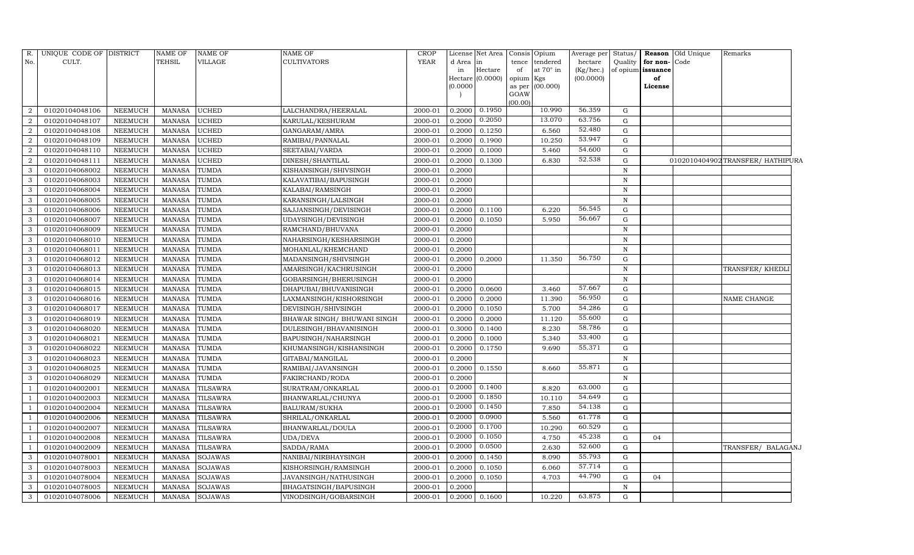| R.               | UNIQUE CODE OF DISTRICT |                | <b>NAME OF</b> | NAME OF         | <b>NAME OF</b>               | <b>CROP</b> |          | License Net Area | Consis Opium |                 | Average per | Status/      |                   | <b>Reason</b> Old Unique | Remarks                         |  |
|------------------|-------------------------|----------------|----------------|-----------------|------------------------------|-------------|----------|------------------|--------------|-----------------|-------------|--------------|-------------------|--------------------------|---------------------------------|--|
| No.              | CULT.                   |                | TEHSIL         | VILLAGE         | <b>CULTIVATORS</b>           | YEAR        | d Area   | in               | tence        | tendered        | hectare     | Quality      | for non-          | Code                     |                                 |  |
|                  |                         |                |                |                 |                              |             | in       | Hectare          | of           | at 70° in       | (Kg/hec.)   |              | of opium issuance |                          |                                 |  |
|                  |                         |                |                |                 |                              |             |          | Hectare (0.0000) | opium        | Kgs             | (00.0000)   |              | of                |                          |                                 |  |
|                  |                         |                |                |                 |                              |             | (0.0000) |                  | GOAW         | as per (00.000) |             |              | License           |                          |                                 |  |
|                  |                         |                |                |                 |                              |             |          |                  | (00.00)      |                 |             |              |                   |                          |                                 |  |
| 2                | 01020104048106          | <b>NEEMUCH</b> | <b>MANASA</b>  | UCHED           | LALCHANDRA/HEERALAL          | 2000-01     | 0.2000   | 0.1950           |              | 10.990          | 56.359      | G            |                   |                          |                                 |  |
| $\boldsymbol{2}$ | 01020104048107          | NEEMUCH        | <b>MANASA</b>  | <b>JCHED</b>    | KARULAL/KESHURAM             | 2000-01     | 0.2000   | 0.2050           |              | 13.070          | 63.756      | G            |                   |                          |                                 |  |
| $\sqrt{2}$       | 01020104048108          | <b>NEEMUCH</b> | <b>MANASA</b>  | UCHED           | GANGARAM/AMRA                | 2000-01     | 0.2000   | 0.1250           |              | 6.560           | 52.480      | G            |                   |                          |                                 |  |
| $\overline{a}$   | 01020104048109          | <b>NEEMUCH</b> | <b>MANASA</b>  | UCHED           | RAMIBAI/PANNALAL             | 2000-01     | 0.2000   | 0.1900           |              | 10.250          | 53.947      | G            |                   |                          |                                 |  |
| $\overline{2}$   | 01020104048110          | NEEMUCH        | <b>MANASA</b>  | UCHED           | SEETABAI/VARDA               | 2000-01     | 0.2000   | 0.1000           |              | 5.460           | 54.600      | G            |                   |                          |                                 |  |
| $\overline{2}$   | 01020104048111          | NEEMUCH        | <b>MANASA</b>  | UCHED           | DINESH/SHANTILAL             | 2000-01     | 0.2000   | 0.1300           |              | 6.830           | 52.538      | G            |                   |                          | 0102010404902TRANSFER/HATHIPURA |  |
| 3                | 01020104068002          | <b>NEEMUCH</b> | <b>MANASA</b>  | TUMDA           | KISHANSINGH/SHIVSINGH        | 2000-01     | 0.2000   |                  |              |                 |             | ${\bf N}$    |                   |                          |                                 |  |
| $\mathbf{3}$     | 01020104068003          | NEEMUCH        | <b>MANASA</b>  | TUMDA           | KALAVATIBAI/BAPUSINGH        | 2000-01     | 0.2000   |                  |              |                 |             | ${\bf N}$    |                   |                          |                                 |  |
| $\mathbf{3}$     | 01020104068004          | NEEMUCH        | <b>MANASA</b>  | TUMDA           | KALABAI/RAMSINGH             | 2000-01     | 0.2000   |                  |              |                 |             | $\, {\rm N}$ |                   |                          |                                 |  |
| 3                | 01020104068005          | <b>NEEMUCH</b> | <b>MANASA</b>  | TUMDA           | KARANSINGH/LALSINGH          | 2000-01     | 0.2000   |                  |              |                 |             | $\mathbf N$  |                   |                          |                                 |  |
| 3                | 01020104068006          | <b>NEEMUCH</b> | <b>MANASA</b>  | TUMDA           | SAJJANSINGH/DEVISINGH        | 2000-01     | 0.2000   | 0.1100           |              | 6.220           | 56.545      | G            |                   |                          |                                 |  |
| $\mathbf{3}$     | 01020104068007          | <b>NEEMUCH</b> | <b>MANASA</b>  | TUMDA           | UDAYSINGH/DEVISINGH          | 2000-01     | 0.2000   | 0.1050           |              | 5.950           | 56.667      | G            |                   |                          |                                 |  |
| 3                | 01020104068009          | <b>NEEMUCH</b> | <b>MANASA</b>  | <b>TUMDA</b>    | RAMCHAND/BHUVANA             | 2000-01     | 0.2000   |                  |              |                 |             | $\, {\rm N}$ |                   |                          |                                 |  |
| 3                | 01020104068010          | <b>NEEMUCH</b> | <b>MANASA</b>  | TUMDA           | NAHARSINGH/KESHARSINGH       | 2000-01     | 0.2000   |                  |              |                 |             | $\, {\rm N}$ |                   |                          |                                 |  |
| 3                | 01020104068011          | <b>NEEMUCH</b> | <b>MANASA</b>  | TUMDA           | MOHANLAL/KHEMCHAND           | 2000-01     | 0.2000   |                  |              |                 |             | $\, {\rm N}$ |                   |                          |                                 |  |
| $\mathbf{3}$     | 01020104068012          | <b>NEEMUCH</b> | <b>MANASA</b>  | TUMDA           | MADANSINGH/SHIVSINGH         | 2000-01     | 0.2000   | 0.2000           |              | 11.350          | 56.750      | G            |                   |                          |                                 |  |
| 3                | 01020104068013          | <b>NEEMUCH</b> | <b>MANASA</b>  | TUMDA           | AMARSINGH/KACHRUSINGH        | 2000-01     | 0.2000   |                  |              |                 |             | $\mathbf N$  |                   |                          | TRANSFER/ KHEDL                 |  |
| 3                | 01020104068014          | <b>NEEMUCH</b> | <b>MANASA</b>  | TUMDA           | GOBARSINGH/BHERUSINGH        | 2000-01     | 0.2000   |                  |              |                 |             | $\, {\rm N}$ |                   |                          |                                 |  |
| 3                | 01020104068015          | <b>NEEMUCH</b> | <b>MANASA</b>  | TUMDA           | DHAPUBAI/BHUVANISINGH        | 2000-01     | 0.2000   | 0.0600           |              | 3.460           | 57.667      | G            |                   |                          |                                 |  |
| $\mathbf{3}$     | 01020104068016          | <b>NEEMUCH</b> | <b>MANASA</b>  | TUMDA           | LAXMANSINGH/KISHORSINGH      | 2000-01     | 0.2000   | 0.2000           |              | 11.390          | 56.950      | G            |                   |                          | NAME CHANGE                     |  |
| 3                | 01020104068017          | <b>NEEMUCH</b> | <b>MANASA</b>  | <b>TUMDA</b>    | DEVISINGH/SHIVSINGH          | 2000-01     | 0.2000   | 0.1050           |              | 5.700           | 54.286      | G            |                   |                          |                                 |  |
| 3                | 01020104068019          | <b>NEEMUCH</b> | <b>MANASA</b>  | TUMDA           | BHAWAR SINGH / BHUWANI SINGH | 2000-01     | 0.2000   | 0.2000           |              | 11.120          | 55.600      | G            |                   |                          |                                 |  |
| 3                | 01020104068020          | <b>NEEMUCH</b> | <b>MANASA</b>  | TUMDA           | DULESINGH/BHAVANISINGH       | 2000-01     | 0.3000   | 0.1400           |              | 8.230           | 58.786      | G            |                   |                          |                                 |  |
| 3                | 01020104068021          | <b>NEEMUCH</b> | <b>MANASA</b>  | TUMDA           | BAPUSINGH/NAHARSINGH         | 2000-01     | 0.2000   | 0.1000           |              | 5.340           | 53.400      | G            |                   |                          |                                 |  |
| 3                | 01020104068022          | <b>NEEMUCH</b> | <b>MANASA</b>  | TUMDA           | KHUMANSINGH/KISHANSINGH      | 2000-01     | 0.2000   | 0.1750           |              | 9.690           | 55.371      | G            |                   |                          |                                 |  |
| 3                | 01020104068023          | <b>NEEMUCH</b> | <b>MANASA</b>  | TUMDA           | GITABAI/MANGILAL             | 2000-01     | 0.2000   |                  |              |                 |             | ${\bf N}$    |                   |                          |                                 |  |
| 3                | 01020104068025          | <b>NEEMUCH</b> | <b>MANASA</b>  | TUMDA           | RAMIBAI/JAVANSINGH           | 2000-01     | 0.2000   | 0.1550           |              | 8.660           | 55.871      | G            |                   |                          |                                 |  |
| 3                | 01020104068029          | <b>NEEMUCH</b> | <b>MANASA</b>  | TUMDA           | FAKIRCHAND/RODA              | 2000-01     | 0.2000   |                  |              |                 |             | $\, {\rm N}$ |                   |                          |                                 |  |
|                  | 01020104002001          | <b>NEEMUCH</b> | <b>MANASA</b>  | <b>TILSAWRA</b> | SURATRAM/ONKARLAL            | 2000-01     | 0.2000   | 0.1400           |              | 8.820           | 63.000      | G            |                   |                          |                                 |  |
|                  | 01020104002003          | <b>NEEMUCH</b> | <b>MANASA</b>  | <b>TILSAWRA</b> | BHANWARLAL/CHUNYA            | 2000-01     | 0.2000   | 0.1850           |              | 10.110          | 54.649      | G            |                   |                          |                                 |  |
|                  | 01020104002004          | <b>NEEMUCH</b> | <b>MANASA</b>  | <b>TILSAWRA</b> | BALURAM/SUKHA                | 2000-01     | 0.2000   | 0.1450           |              | 7.850           | 54.138      | ${\rm G}$    |                   |                          |                                 |  |
|                  | 01020104002006          | <b>NEEMUCH</b> | <b>MANASA</b>  | <b>TILSAWRA</b> | SHRILAL/ONKARLAL             | 2000-01     | 0.2000   | 0.0900           |              | 5.560           | 61.778      | G            |                   |                          |                                 |  |
|                  | 01020104002007          | <b>NEEMUCH</b> | <b>MANASA</b>  | <b>TILSAWRA</b> | BHANWARLAL/DOULA             | 2000-01     | 0.2000   | 0.1700           |              | 10.290          | 60.529      | ${\rm G}$    |                   |                          |                                 |  |
|                  | 01020104002008          | <b>NEEMUCH</b> | <b>MANASA</b>  | TILSAWRA        | <b>UDA/DEVA</b>              | 2000-01     | 0.2000   | 0.1050           |              | 4.750           | 45.238      | G            | 04                |                          |                                 |  |
|                  | 01020104002009          | <b>NEEMUCH</b> | <b>MANASA</b>  | <b>TILSAWRA</b> | SADDA/RAMA                   | 2000-01     | 0.2000   | 0.0500           |              | 2.630           | 52.600      | G            |                   |                          | TRANSFER/ BALAGANJ              |  |
| 3                | 01020104078001          | NEEMUCH        | <b>MANASA</b>  | SOJAWAS         | NANIBAI/NIRBHAYSINGH         | 2000-01     | 0.2000   | 0.1450           |              | 8.090           | 55.793      | G            |                   |                          |                                 |  |
| 3                | 01020104078003          | <b>NEEMUCH</b> | <b>MANASA</b>  | SOJAWAS         | KISHORSINGH/RAMSINGH         | 2000-01     | 0.2000   | 0.1050           |              | 6.060           | 57.714      | G            |                   |                          |                                 |  |
| 3                | 01020104078004          | <b>NEEMUCH</b> | <b>MANASA</b>  | SOJAWAS         | JAVANSINGH/NATHUSINGH        | 2000-01     | 0.2000   | 0.1050           |              | 4.703           | 44.790      | G            | 04                |                          |                                 |  |
| 3                | 01020104078005          | <b>NEEMUCH</b> | <b>MANASA</b>  | SOJAWAS         | BHAGATSINGH/BAPUSINGH        | 2000-01     | 0.2000   |                  |              |                 |             | N            |                   |                          |                                 |  |
| 3                | 01020104078006          | NEEMUCH        | <b>MANASA</b>  | <b>SOJAWAS</b>  | VINODSINGH/GOBARSINGH        | 2000-01     |          | 0.2000 0.1600    |              | 10.220          | 63.875      | G            |                   |                          |                                 |  |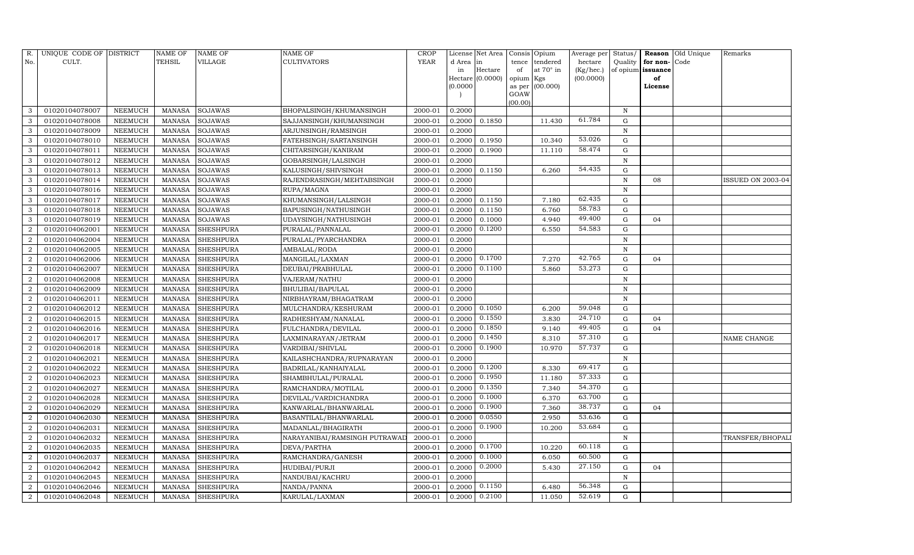| R.                          | UNIQUE CODE OF DISTRICT |         | <b>NAME OF</b> | NAME OF          | <b>NAME OF</b>                | <b>CROP</b> |           | License Net Area |                | Consis Opium | Average per | Status/      | Reason            | Old Unique | Remarks           |
|-----------------------------|-------------------------|---------|----------------|------------------|-------------------------------|-------------|-----------|------------------|----------------|--------------|-------------|--------------|-------------------|------------|-------------------|
| No.                         | CULT.                   |         | TEHSIL         | VILLAGE          | <b>CULTIVATORS</b>            | <b>YEAR</b> | d Area in |                  | tence          | tendered     | hectare     | Quality      | for non-          | Code       |                   |
|                             |                         |         |                |                  |                               |             | in        | Hectare          | of             | at 70° in    | (Kg/hec.)   |              | of opium issuance |            |                   |
|                             |                         |         |                |                  |                               |             |           | Hectare (0.0000) | opium Kgs      |              | (00.0000)   |              | of                |            |                   |
|                             |                         |         |                |                  |                               |             | (0.0000)  |                  | as per<br>GOAW | (00.000)     |             |              | License           |            |                   |
|                             |                         |         |                |                  |                               |             |           |                  | (00.00)        |              |             |              |                   |            |                   |
|                             | 01020104078007          | NEEMUCH | <b>MANASA</b>  | <b>SOJAWAS</b>   | BHOPALSINGH/KHUMANSINGH       | 2000-01     | 0.2000    |                  |                |              |             | $\mathbb N$  |                   |            |                   |
| 3                           | 01020104078008          | NEEMUCH | <b>MANASA</b>  | <b>SOJAWAS</b>   | SAJJANSINGH/KHUMANSINGH       | 2000-01     | 0.2000    | 0.1850           |                | 11.430       | 61.784      | G            |                   |            |                   |
| 3                           | 01020104078009          | NEEMUCH | <b>MANASA</b>  | SOJAWAS          | ARJUNSINGH/RAMSINGH           | 2000-01     | 0.2000    |                  |                |              |             | $\mathbb N$  |                   |            |                   |
| 3                           | 01020104078010          | NEEMUCH | MANASA         | <b>SOJAWAS</b>   | FATEHSINGH/SARTANSINGH        | 2000-01     | 0.2000    | 0.1950           |                | 10.340       | 53.026      | G            |                   |            |                   |
| 3                           | 01020104078011          | NEEMUCH | <b>MANASA</b>  | <b>SOJAWAS</b>   | CHITARSINGH/KANIRAM           | 2000-01     | 0.2000    | 0.1900           |                | 11.110       | 58.474      | G            |                   |            |                   |
| 3                           | 01020104078012          | NEEMUCH | <b>MANASA</b>  | <b>SOJAWAS</b>   | GOBARSINGH/LALSINGH           | 2000-01     | 0.2000    |                  |                |              |             | N            |                   |            |                   |
| 3                           | 01020104078013          | NEEMUCH | <b>MANASA</b>  | SOJAWAS          | KALUSINGH/SHIVSINGH           | 2000-01     | 0.2000    | 0.1150           |                | 6.260        | 54.435      | G            |                   |            |                   |
| 3                           | 01020104078014          | NEEMUCH | MANASA         | <b>SOJAWAS</b>   | RAJENDRASINGH/MEHTABSINGH     | 2000-01     | 0.2000    |                  |                |              |             | N            | 08                |            | ISSUED ON 2003-04 |
| 3                           | 01020104078016          | NEEMUCH | <b>MANASA</b>  | <b>SOJAWAS</b>   | RUPA/MAGNA                    | 2000-01     | 0.2000    |                  |                |              |             | N            |                   |            |                   |
| 3                           | 01020104078017          | NEEMUCH | <b>MANASA</b>  | SOJAWAS          | KHUMANSINGH/LALSINGH          | 2000-01     | 0.2000    | 0.1150           |                | 7.180        | 62.435      | G            |                   |            |                   |
| 3                           | 01020104078018          | NEEMUCH | <b>MANASA</b>  | SOJAWAS          | BAPUSINGH/NATHUSINGH          | 2000-01     | 0.2000    | 0.1150           |                | 6.760        | 58.783      | G            |                   |            |                   |
| 3                           | 01020104078019          | NEEMUCH | <b>MANASA</b>  | <b>SOJAWAS</b>   | UDAYSINGH/NATHUSINGH          | 2000-01     | 0.2000    | 0.1000           |                | 4.940        | 49.400      | G            | 04                |            |                   |
|                             | 01020104062001          | NEEMUCH | <b>MANASA</b>  | <b>SHESHPURA</b> | PURALAL/PANNALAL              | 2000-01     | 0.2000    | 0.1200           |                | 6.550        | 54.583      | G            |                   |            |                   |
| $\mathcal{D}_{\mathcal{L}}$ | 01020104062004          | NEEMUCH | <b>MANASA</b>  | <b>SHESHPURA</b> | PURALAL/PYARCHANDRA           | 2000-01     | 0.2000    |                  |                |              |             | N            |                   |            |                   |
| $\overline{2}$              | 01020104062005          | NEEMUCH | <b>MANASA</b>  | <b>SHESHPURA</b> | AMBALAL/RODA                  | 2000-01     | 0.2000    |                  |                |              |             | $\, {\bf N}$ |                   |            |                   |
| $\mathcal{D}_{\alpha}$      | 01020104062006          | NEEMUCH | <b>MANASA</b>  | <b>SHESHPURA</b> | MANGILAL/LAXMAN               | 2000-01     | 0.2000    | 0.1700           |                | 7.270        | 42.765      | $\mathbf G$  | 04                |            |                   |
|                             | 01020104062007          | NEEMUCH | <b>MANASA</b>  | SHESHPURA        | DEUBAI/PRABHULAL              | 2000-01     | 0.2000    | 0.1100           |                | 5.860        | 53.273      | G            |                   |            |                   |
| $\overline{2}$              | 01020104062008          | NEEMUCH | <b>MANASA</b>  | <b>SHESHPURA</b> | VAJERAM/NATHU                 | 2000-01     | 0.2000    |                  |                |              |             | N            |                   |            |                   |
| 2                           | 01020104062009          | NEEMUCH | <b>MANASA</b>  | <b>SHESHPURA</b> | BHULIBAI/BAPULAL              | 2000-01     | 0.2000    |                  |                |              |             | $\, {\bf N}$ |                   |            |                   |
| $\mathcal{D}$               | 01020104062011          | NEEMUCH | <b>MANASA</b>  | <b>SHESHPURA</b> | NIRBHAYRAM/BHAGATRAM          | 2000-01     | 0.2000    |                  |                |              |             | $\mathbf N$  |                   |            |                   |
|                             | 01020104062012          | NEEMUCH | <b>MANASA</b>  | <b>SHESHPURA</b> | MULCHANDRA/KESHURAM           | 2000-01     | 0.2000    | 0.1050           |                | 6.200        | 59.048      | G            |                   |            |                   |
| $\overline{2}$              | 01020104062015          | NEEMUCH | <b>MANASA</b>  | <b>SHESHPURA</b> | RADHESHYAM/NANALAL            | 2000-01     | 0.2000    | 0.1550           |                | 3.830        | 24.710      | G            | 04                |            |                   |
| 2                           | 01020104062016          | NEEMUCH | MANASA         | <b>SHESHPURA</b> | FULCHANDRA/DEVILAL            | 2000-01     | 0.2000    | 0.1850           |                | 9.140        | 49.405      | G            | 04                |            |                   |
| $\overline{2}$              | 01020104062017          | NEEMUCH | <b>MANASA</b>  | <b>SHESHPURA</b> | LAXMINARAYAN/JETRAM           | 2000-01     | 0.2000    | 0.1450           |                | 8.310        | 57.310      | $\mathbf G$  |                   |            | NAME CHANGE       |
| $\overline{2}$              | 01020104062018          | NEEMUCH | <b>MANASA</b>  | <b>SHESHPURA</b> | VARDIBAI/SHIVLAL              | 2000-01     | 0.2000    | 0.1900           |                | 10.970       | 57.737      | G            |                   |            |                   |
| $\mathcal{D}$               | 01020104062021          | NEEMUCH | MANASA         | <b>SHESHPURA</b> | KAILASHCHANDRA/RUPNARAYAN     | 2000-01     | 0.2000    |                  |                |              |             | N            |                   |            |                   |
| 2                           | 01020104062022          | NEEMUCH | <b>MANASA</b>  | <b>SHESHPURA</b> | BADRILAL/KANHAIYALAL          | 2000-01     | 0.2000    | 0.1200           |                | 8.330        | 69.417      | G            |                   |            |                   |
|                             | 01020104062023          | NEEMUCH | <b>MANASA</b>  | SHESHPURA        | SHAMBHULAL/PURALAL            | 2000-01     | 0.2000    | 0.1950           |                | 11.180       | 57.333      | ${\rm G}$    |                   |            |                   |
| $\mathcal{D}$               | 01020104062027          | NEEMUCH | <b>MANASA</b>  | <b>SHESHPURA</b> | RAMCHANDRA/MOTILAL            | 2000-01     | 0.2000    | 0.1350           |                | 7.340        | 54.370      | G            |                   |            |                   |
| $\overline{2}$              | 01020104062028          | NEEMUCH | <b>MANASA</b>  | <b>SHESHPURA</b> | DEVILAL/VARDICHANDRA          | 2000-01     | 0.2000    | 0.1000           |                | 6.370        | 63.700      | ${\rm G}$    |                   |            |                   |
| $\mathcal{D}$               | 01020104062029          | NEEMUCH | MANASA         | <b>SHESHPURA</b> | KANWARLAL/BHANWARLAL          | 2000-01     | 0.2000    | 0.1900           |                | 7.360        | 38.737      | $\mathbf G$  | 04                |            |                   |
|                             | 01020104062030          | NEEMUCH | <b>MANASA</b>  | <b>SHESHPURA</b> | BASANTILAL/BHANWARLAL         | 2000-01     | 0.2000    | 0.0550           |                | 2.950        | 53.636      | G            |                   |            |                   |
| $\mathcal{D}_{\mathcal{L}}$ | 01020104062031          | NEEMUCH | <b>MANASA</b>  | <b>SHESHPURA</b> | MADANLAL/BHAGIRATH            | 2000-01     | 0.2000    | 0.1900           |                | 10.200       | 53.684      | G            |                   |            |                   |
| $\overline{2}$              | 01020104062032          | NEEMUCH | <b>MANASA</b>  | <b>SHESHPURA</b> | NARAYANIBAI/RAMSINGH PUTRAWAL | 2000-01     | 0.2000    |                  |                |              |             | $\, {\bf N}$ |                   |            | TRANSFER/BHOPALI  |
| $\overline{2}$              | 01020104062035          | NEEMUCH | <b>MANASA</b>  | <b>SHESHPURA</b> | DEVA/PARTHA                   | 2000-01     | 0.2000    | 0.1700           |                | 10.220       | 60.118      | G            |                   |            |                   |
| $\overline{2}$              | 01020104062037          | NEEMUCH | <b>MANASA</b>  | <b>SHESHPURA</b> | RAMCHANDRA/GANESH             | 2000-01     | 0.2000    | 0.1000           |                | 6.050        | 60.500      | G            |                   |            |                   |
| $\mathcal{D}$               | 01020104062042          | NEEMUCH | <b>MANASA</b>  | <b>SHESHPURA</b> | HUDIBAI/PURJI                 | 2000-01     | 0.2000    | 0.2000           |                | 5.430        | 27.150      | G            | 04                |            |                   |
| 2                           | 01020104062045          | NEEMUCH | <b>MANASA</b>  | <b>SHESHPURA</b> | NANDUBAI/KACHRU               | 2000-01     | 0.2000    |                  |                |              |             | N            |                   |            |                   |
| $\mathcal{D}$               | 01020104062046          | NEEMUCH | <b>MANASA</b>  | <b>SHESHPURA</b> | NANDA/PANNA                   | 2000-01     | 0.2000    | 0.1150           |                | 6.480        | 56.348      | $\mathbf G$  |                   |            |                   |
| $\overline{2}$              | 01020104062048          | NEEMUCH | MANASA         | <b>SHESHPURA</b> | KARULAL/LAXMAN                | 2000-01     | 0.2000    | 0.2100           |                | 11.050       | 52.619      | G            |                   |            |                   |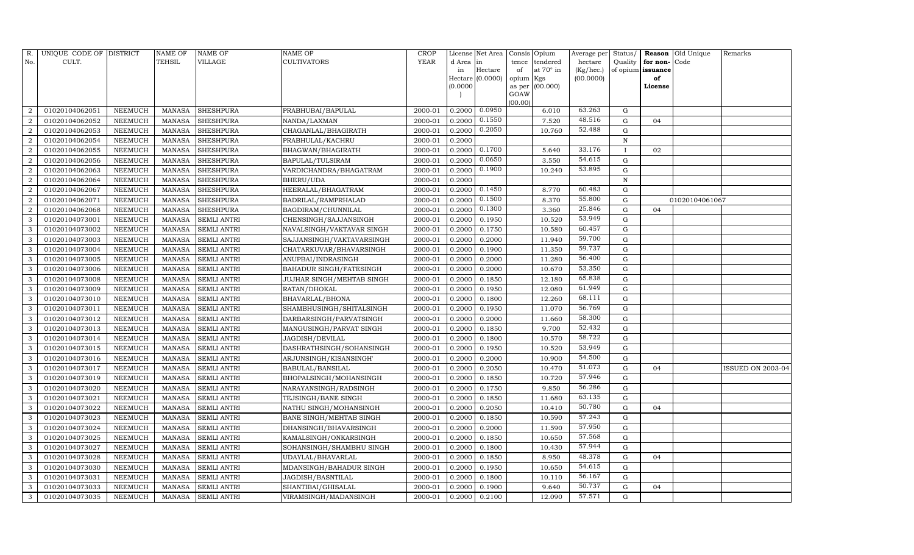| R.                     | UNIQUE CODE OF DISTRICT |                | NAME OF       | NAME OF            | NAME OF                   | <b>CROP</b> |           | License Net Area | Consis         | Opium     | Average per | Status/      | Reason            | Old Unique     | Remarks           |
|------------------------|-------------------------|----------------|---------------|--------------------|---------------------------|-------------|-----------|------------------|----------------|-----------|-------------|--------------|-------------------|----------------|-------------------|
| No.                    | CULT.                   |                | TEHSIL        | VILLAGE            | <b>CULTIVATORS</b>        | <b>YEAR</b> | d Area in |                  | tence          | tendered  | hectare     | Quality      | for non-          | Code           |                   |
|                        |                         |                |               |                    |                           |             | in        | Hectare          | of             | at 70° in | (Kg/hec.)   |              | of opium issuance |                |                   |
|                        |                         |                |               |                    |                           |             |           | Hectare (0.0000) | opium Kgs      |           | (00.0000)   |              | of                |                |                   |
|                        |                         |                |               |                    |                           |             | (0.0000)  |                  | as per<br>GOAW | (00.000)  |             |              | License           |                |                   |
|                        |                         |                |               |                    |                           |             |           |                  | (00.00)        |           |             |              |                   |                |                   |
|                        | 01020104062051          | NEEMUCH        | MANASA        | <b>SHESHPURA</b>   | PRABHUBAI/BAPULAL         | 2000-01     | 0.2000    | 0.0950           |                | 6.010     | 63.263      | G            |                   |                |                   |
| $\overline{2}$         | 01020104062052          | NEEMUCH        | <b>MANASA</b> | SHESHPURA          | NANDA/LAXMAN              | 2000-01     | 0.2000    | 0.1550           |                | 7.520     | 48.516      | G            | 04                |                |                   |
| $\overline{2}$         | 01020104062053          | NEEMUCH        | MANASA        | <b>SHESHPURA</b>   | CHAGANLAL/BHAGIRATH       | 2000-01     | 0.2000    | 0.2050           |                | 10.760    | 52.488      | G            |                   |                |                   |
| $\mathcal{D}$          | 01020104062054          | NEEMUCH        | MANASA        | <b>SHESHPURA</b>   | PRABHULAL/KACHRU          | 2000-01     | 0.2000    |                  |                |           |             | $\mathbf N$  |                   |                |                   |
| 2                      | 01020104062055          | NEEMUCH        | <b>MANASA</b> | <b>SHESHPURA</b>   | BHAGWAN/BHAGIRATH         | 2000-01     | 0.2000    | 0.1700           |                | 5.640     | 33.176      | $\mathbf{I}$ | 02                |                |                   |
|                        | 01020104062056          | NEEMUCH        | <b>MANASA</b> | <b>SHESHPURA</b>   | BAPULAL/TULSIRAM          | 2000-01     | 0.2000    | 0.0650           |                | 3.550     | 54.615      | G            |                   |                |                   |
| $\overline{2}$         | 01020104062063          | NEEMUCH        | MANASA        | <b>SHESHPURA</b>   | VARDICHANDRA/BHAGATRAM    | 2000-01     | 0.2000    | 0.1900           |                | 10.240    | 53.895      | G            |                   |                |                   |
| 2                      | 01020104062064          | NEEMUCH        | <b>MANASA</b> | <b>SHESHPURA</b>   | BHERU/UDA                 | 2000-01     | 0.2000    |                  |                |           |             | $\, {\rm N}$ |                   |                |                   |
| $\mathcal{D}_{\alpha}$ | 01020104062067          | NEEMUCH        | MANASA        | <b>SHESHPURA</b>   | HEERALAL/BHAGATRAM        | 2000-01     | 0.2000    | 0.1450           |                | 8.770     | 60.483      | G            |                   |                |                   |
|                        | 01020104062071          | NEEMUCH        | MANASA        | <b>SHESHPURA</b>   | BADRILAL/RAMPRHALAD       | 2000-01     | 0.2000    | 0.1500           |                | 8.370     | 55.800      | G            |                   | 01020104061067 |                   |
| 2                      | 01020104062068          | NEEMUCH        | <b>MANASA</b> | <b>SHESHPURA</b>   | BAGDIRAM/CHUNNILAL        | 2000-01     | 0.2000    | 0.1300           |                | 3.360     | 25.846      | G            | 04                |                |                   |
| 3                      | 01020104073001          | NEEMUCH        | MANASA        | <b>SEMLI ANTRI</b> | CHENSINGH/SAJJANSINGH     | 2000-01     | 0.2000    | 0.1950           |                | 10.520    | 53.949      | G            |                   |                |                   |
| 3                      | 01020104073002          | NEEMUCH        | <b>MANASA</b> | <b>SEMLI ANTRI</b> | NAVALSINGH/VAKTAVAR SINGH | 2000-01     | 0.2000    | 0.1750           |                | 10.580    | 60.457      | G            |                   |                |                   |
| 3                      | 01020104073003          | NEEMUCH        | <b>MANASA</b> | SEMLI ANTRI        | SAJJANSINGH/VAKTAVARSINGH | 2000-01     | 0.2000    | 0.2000           |                | 11.940    | 59.700      | G            |                   |                |                   |
| 3                      | 01020104073004          | NEEMUCH        | <b>MANASA</b> | SEMLI ANTRI        | CHATARKUVAR/BHAVARSINGH   | 2000-01     | 0.2000    | 0.1900           |                | 11.350    | 59.737      | G            |                   |                |                   |
| 3                      | 01020104073005          | NEEMUCH        | MANASA        | SEMLI ANTRI        | ANUPBAI/INDRASINGH        | 2000-01     | 0.2000    | 0.2000           |                | 11.280    | 56.400      | G            |                   |                |                   |
| 3                      | 01020104073006          | NEEMUCH        | <b>MANASA</b> | SEMLI ANTRI        | BAHADUR SINGH/FATESINGH   | 2000-01     | 0.2000    | 0.2000           |                | 10.670    | 53.350      | G            |                   |                |                   |
| 3                      | 01020104073008          | NEEMUCH        | MANASA        | SEMLI ANTRI        | JUJHAR SINGH/MEHTAB SINGH | 2000-01     | 0.2000    | 0.1850           |                | 12.180    | 65.838      | G            |                   |                |                   |
| 3                      | 01020104073009          | NEEMUCH        | <b>MANASA</b> | <b>SEMLI ANTRI</b> | RATAN/DHOKAL              | 2000-01     | 0.2000    | 0.1950           |                | 12.080    | 61.949      | G            |                   |                |                   |
| 3                      | 01020104073010          | NEEMUCH        | MANASA        | SEMLI ANTRI        | BHAVARLAL/BHONA           | 2000-01     | 0.2000    | 0.1800           |                | 12.260    | 68.111      | G            |                   |                |                   |
| 3                      | 01020104073011          | NEEMUCH        | <b>MANASA</b> | SEMLI ANTRI        | SHAMBHUSINGH/SHITALSINGH  | 2000-01     | 0.2000    | 0.1950           |                | 11.070    | 56.769      | G            |                   |                |                   |
| 3                      | 01020104073012          | NEEMUCH        | MANASA        | <b>SEMLI ANTRI</b> | DARBARSINGH/PARVATSINGH   | 2000-01     | 0.2000    | 0.2000           |                | 11.660    | 58.300      | G            |                   |                |                   |
| 3                      | 01020104073013          | NEEMUCH        | MANASA        | <b>SEMLI ANTRI</b> | MANGUSINGH/PARVAT SINGH   | 2000-01     | 0.2000    | 0.1850           |                | 9.700     | 52.432      | ${\rm G}$    |                   |                |                   |
| 3                      | 01020104073014          | NEEMUCH        | <b>MANASA</b> | SEMLI ANTRI        | JAGDISH/DEVILAL           | 2000-01     | 0.2000    | 0.1800           |                | 10.570    | 58.722      | G            |                   |                |                   |
| 3                      | 01020104073015          | NEEMUCH        | MANASA        | SEMLI ANTRI        | DASHRATHSINGH/SOHANSINGH  | 2000-01     | 0.2000    | 0.1950           |                | 10.520    | 53.949      | G            |                   |                |                   |
| 3                      | 01020104073016          | NEEMUCH        | MANASA        | SEMLI ANTRI        | ARJUNSINGH/KISANSINGH'    | 2000-01     | 0.2000    | 0.2000           |                | 10.900    | 54.500      | G            |                   |                |                   |
| 3                      | 01020104073017          | NEEMUCH        | <b>MANASA</b> | SEMLI ANTRI        | BABULAL/BANSILAL          | 2000-01     | 0.2000    | 0.2050           |                | 10.470    | 51.073      | $\mathbf G$  | 04                |                | ISSUED ON 2003-04 |
| 3                      | 01020104073019          | NEEMUCH        | <b>MANASA</b> | <b>SEMLI ANTRI</b> | BHOPALSINGH/MOHANSINGH    | 2000-01     | 0.2000    | 0.1850           |                | 10.720    | 57.946      | G            |                   |                |                   |
| 3                      | 01020104073020          | NEEMUCH        | MANASA        | SEMLI ANTRI        | NARAYANSINGH/RADSINGH     | 2000-01     | 0.2000    | 0.1750           |                | 9.850     | 56.286      | G            |                   |                |                   |
| 3                      | 01020104073021          | NEEMUCH        | <b>MANASA</b> | SEMLI ANTRI        | TEJSINGH/BANE SINGH       | 2000-01     | 0.2000    | 0.1850           |                | 11.680    | 63.135      | G            |                   |                |                   |
| 3                      | 01020104073022          | NEEMUCH        | MANASA        | <b>SEMLI ANTRI</b> | NATHU SINGH/MOHANSINGH    | 2000-01     | 0.2000    | 0.2050           |                | 10.410    | 50.780      | G            | 04                |                |                   |
| 3                      | 01020104073023          | NEEMUCH        | <b>MANASA</b> | <b>SEMLI ANTRI</b> | BANE SINGH/MEHTAB SINGH   | 2000-01     | 0.2000    | 0.1850           |                | 10.590    | 57.243      | G            |                   |                |                   |
| 3                      | 01020104073024          | <b>NEEMUCH</b> | <b>MANASA</b> | <b>SEMLI ANTRI</b> | DHANSINGH/BHAVARSINGH     | 2000-01     | 0.2000    | 0.2000           |                | 11.590    | 57.950      | G            |                   |                |                   |
| 3                      | 01020104073025          | NEEMUCH        | MANASA        | SEMLI ANTRI        | KAMALSINGH/ONKARSINGH     | 2000-01     | 0.2000    | 0.1850           |                | 10.650    | 57.568      | G            |                   |                |                   |
| 3                      | 01020104073027          | NEEMUCH        | <b>MANASA</b> | SEMLI ANTRI        | SOHANSINGH/SHAMBHU SINGH  | 2000-01     | 0.2000    | 0.1800           |                | 10.430    | 57.944      | ${\rm G}$    |                   |                |                   |
| 3                      | 01020104073028          | NEEMUCH        | MANASA        | <b>SEMLI ANTRI</b> | UDAYLAL/BHAVARLAL         | 2000-01     | 0.2000    | 0.1850           |                | 8.950     | 48.378      | ${\rm G}$    | 04                |                |                   |
| 3                      | 01020104073030          | NEEMUCH        | <b>MANASA</b> | SEMLI ANTRI        | MDANSINGH/BAHADUR SINGH   | 2000-01     | 0.2000    | 0.1950           |                | 10.650    | 54.615      | G            |                   |                |                   |
| 3                      | 01020104073031          | NEEMUCH        | <b>MANASA</b> | SEMLI ANTRI        | JAGDISH/BASNTILAL         | 2000-01     | 0.2000    | 0.1800           |                | 10.110    | 56.167      | G            |                   |                |                   |
| 3                      | 01020104073033          | <b>NEEMUCH</b> | MANASA        | <b>SEMLI ANTRI</b> | SHANTIBAI/GHISALAL        | 2000-01     | 0.2000    | 0.1900           |                | 9.640     | 50.737      | G            | 04                |                |                   |
| 3                      | 01020104073035          | NEEMUCH        | MANASA        | <b>SEMLI ANTRI</b> | VIRAMSINGH/MADANSINGH     | 2000-01     | 0.2000    | 0.2100           |                | 12.090    | 57.571      | G            |                   |                |                   |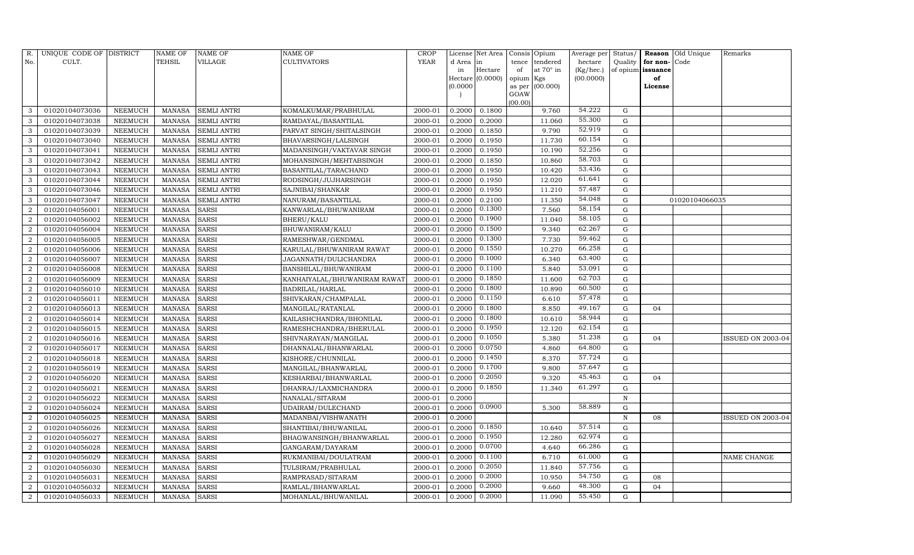| R.             | UNIQUE CODE OF DISTRICT |                | <b>NAME OF</b> | <b>NAME OF</b>     | <b>NAME OF</b>               | CROP    |           | License Net Area | Consis Opium   |                  | Average per | Status/     | Reason            | Old Unique     | Remarks           |
|----------------|-------------------------|----------------|----------------|--------------------|------------------------------|---------|-----------|------------------|----------------|------------------|-------------|-------------|-------------------|----------------|-------------------|
| No.            | CULT.                   |                | <b>TEHSIL</b>  | VILLAGE            | <b>CULTIVATORS</b>           | YEAR    | d Area in |                  | tence          | tendered         | hectare     | Quality     | for non-          | Code           |                   |
|                |                         |                |                |                    |                              |         | in        | Hectare          | of             | at $70^\circ$ in | (Kg/hec.)   |             | of opium issuance |                |                   |
|                |                         |                |                |                    |                              |         |           | Hectare (0.0000) | opium Kgs      |                  | (00.0000)   |             | of                |                |                   |
|                |                         |                |                |                    |                              |         | (0.0000)  |                  | as per<br>GOAW | (00.000)         |             |             | License           |                |                   |
|                |                         |                |                |                    |                              |         |           |                  | (00.00)        |                  |             |             |                   |                |                   |
| 3              | 01020104073036          | NEEMUCH        | MANASA         | <b>SEMLI ANTRI</b> | KOMALKUMAR/PRABHULAL         | 2000-01 | 0.2000    | 0.1800           |                | 9.760            | 54.222      | G           |                   |                |                   |
| 3              | 01020104073038          | NEEMUCH        | MANASA         | <b>SEMLI ANTRI</b> | RAMDAYAL/BASANTILAL          | 2000-01 | 0.2000    | 0.2000           |                | 11.060           | 55.300      | G           |                   |                |                   |
| 3              | 01020104073039          | <b>NEEMUCH</b> | <b>MANASA</b>  | <b>SEMLI ANTRI</b> | PARVAT SINGH/SHITALSINGH     | 2000-01 | 0.2000    | 0.1850           |                | 9.790            | 52.919      | G           |                   |                |                   |
| 3              | 01020104073040          | NEEMUCH        | MANASA         | <b>SEMLI ANTRI</b> | BHAVARSINGH/LALSINGH         | 2000-01 | 0.2000    | 0.1950           |                | 11.730           | 60.154      | ${\rm G}$   |                   |                |                   |
| 3              | 01020104073041          | NEEMUCH        | <b>MANASA</b>  | <b>SEMLI ANTRI</b> | MADANSINGH/VAKTAVAR SINGH    | 2000-01 | 0.2000    | 0.1950           |                | 10.190           | 52.256      | $\mathbf G$ |                   |                |                   |
| 3              | 01020104073042          | NEEMUCH        | MANASA         | <b>SEMLI ANTRI</b> | MOHANSINGH/MEHTABSINGH       | 2000-01 | 0.2000    | 0.1850           |                | 10.860           | 58.703      | $\mathbf G$ |                   |                |                   |
| 3              | 01020104073043          | NEEMUCH        | MANASA         | <b>SEMLI ANTRI</b> | BASANTILAL/TARACHAND         | 2000-01 | 0.2000    | 0.1950           |                | 10.420           | 53.436      | G           |                   |                |                   |
| 3              | 01020104073044          | NEEMUCH        | MANASA         | <b>SEMLI ANTRI</b> | RODSINGH/JUJHARSINGH         | 2000-01 | 0.2000    | 0.1950           |                | 12.020           | 61.641      | $\mathbf G$ |                   |                |                   |
| 3              | 01020104073046          | <b>NEEMUCH</b> | <b>MANASA</b>  | <b>SEMLI ANTRI</b> | SAJNIBAI/SHANKAR             | 2000-01 | 0.2000    | 0.1950           |                | 11.210           | 57.487      | $\mathbf G$ |                   |                |                   |
| 3              | 01020104073047          | NEEMUCH        | MANASA         | <b>SEMLI ANTRI</b> | NANURAM/BASANTILAL           | 2000-01 | 0.2000    | 0.2100           |                | 11.350           | 54.048      | ${\rm G}$   |                   | 01020104066035 |                   |
| $\overline{2}$ | 01020104056001          | <b>NEEMUCH</b> | <b>MANASA</b>  | <b>SARSI</b>       | KANWARLAL/BHUWANIRAM         | 2000-01 | 0.2000    | 0.1300           |                | 7.560            | 58.154      | ${\rm G}$   |                   |                |                   |
| $\overline{2}$ | 01020104056002          | <b>NEEMUCH</b> | MANASA         | <b>SARSI</b>       | <b>BHERU/KALU</b>            | 2000-01 | 0.2000    | 0.1900           |                | 11.040           | 58.105      | $\mathbf G$ |                   |                |                   |
| $\overline{2}$ | 01020104056004          | <b>NEEMUCH</b> | <b>MANASA</b>  | <b>SARSI</b>       | BHUWANIRAM/KALU              | 2000-01 | 0.2000    | 0.1500           |                | 9.340            | 62.267      | $\mathbf G$ |                   |                |                   |
| $\overline{2}$ | 01020104056005          | <b>NEEMUCH</b> | <b>MANASA</b>  | <b>SARSI</b>       | RAMESHWAR/GENDMAL            | 2000-01 | 0.2000    | 0.1300           |                | 7.730            | 59.462      | G           |                   |                |                   |
| $\overline{2}$ | 01020104056006          | NEEMUCH        | MANASA         | <b>SARSI</b>       | KARULAL/BHUWANIRAM RAWAT     | 2000-01 | 0.2000    | 0.1550           |                | 10.270           | 66.258      | G           |                   |                |                   |
| $\overline{2}$ | 01020104056007          | NEEMUCH        | <b>MANASA</b>  | <b>SARSI</b>       | JAGANNATH/DULICHANDRA        | 2000-01 | 0.2000    | 0.1000           |                | 6.340            | 63.400      | $\mathbf G$ |                   |                |                   |
| $\overline{2}$ | 01020104056008          | <b>NEEMUCH</b> | <b>MANASA</b>  | <b>SARSI</b>       | BANSHILAL/BHUWANIRAM         | 2000-01 | 0.2000    | 0.1100           |                | 5.840            | 53.091      | G           |                   |                |                   |
| $\overline{2}$ | 01020104056009          | <b>NEEMUCH</b> | MANASA         | <b>SARSI</b>       | KANHAIYALAL/BHUWANIRAM RAWAT | 2000-01 | 0.2000    | 0.1850           |                | 11.600           | 62.703      | G           |                   |                |                   |
| $\overline{2}$ | 01020104056010          | NEEMUCH        | <b>MANASA</b>  | <b>SARSI</b>       | BADRILAL/HARLAL              | 2000-01 | 0.2000    | 0.1800           |                | 10.890           | 60.500      | G           |                   |                |                   |
| $\overline{2}$ | 01020104056011          | NEEMUCH        | MANASA         | <b>SARSI</b>       | SHIVKARAN/CHAMPALAL          | 2000-01 | 0.2000    | 0.1150           |                | 6.610            | 57.478      | G           |                   |                |                   |
| $\overline{2}$ | 01020104056013          | NEEMUCH        | <b>MANASA</b>  | <b>SARSI</b>       | MANGILAL/RATANLAL            | 2000-01 | 0.2000    | 0.1800           |                | 8.850            | 49.167      | ${\rm G}$   | 04                |                |                   |
| $\overline{2}$ | 01020104056014          | <b>NEEMUCH</b> | <b>MANASA</b>  | <b>SARSI</b>       | KAILASHCHANDRA/BHONILAL      | 2000-01 | 0.2000    | 0.1800           |                | 10.610           | 58.944      | $\mathbf G$ |                   |                |                   |
| $\overline{2}$ | 01020104056015          | NEEMUCH        | MANASA         | <b>SARSI</b>       | RAMESHCHANDRA/BHERULAL       | 2000-01 | 0.2000    | 0.1950           |                | 12.120           | 62.154      | G           |                   |                |                   |
| $\overline{2}$ | 01020104056016          | <b>NEEMUCH</b> | <b>MANASA</b>  | <b>SARSI</b>       | SHIVNARAYAN/MANGILAL         | 2000-01 | 0.2000    | 0.1050           |                | 5.380            | 51.238      | ${\rm G}$   | 04                |                | ISSUED ON 2003-04 |
| $\overline{2}$ | 01020104056017          | NEEMUCH        | MANASA         | <b>SARSI</b>       | DHANNALAL/BHANWARLAL         | 2000-01 | 0.2000    | 0.0750           |                | 4.860            | 64.800      | ${\rm G}$   |                   |                |                   |
| $\overline{2}$ | 01020104056018          | <b>NEEMUCH</b> | <b>MANASA</b>  | <b>SARSI</b>       | KISHORE/CHUNNILAL            | 2000-01 | 0.2000    | 0.1450           |                | 8.370            | 57.724      | G           |                   |                |                   |
| $\overline{2}$ | 01020104056019          | <b>NEEMUCH</b> | MANASA         | <b>SARSI</b>       | MANGILAL/BHANWARLAL          | 2000-01 | 0.2000    | 0.1700           |                | 9.800            | 57.647      | ${\rm G}$   |                   |                |                   |
| $\overline{2}$ | 01020104056020          | <b>NEEMUCH</b> | <b>MANASA</b>  | <b>SARSI</b>       | KESHARBAI/BHANWARLAL         | 2000-01 | 0.2000    | 0.2050           |                | 9.320            | 45.463      | $\mathbf G$ | 04                |                |                   |
| $\overline{2}$ | 01020104056021          | NEEMUCH        | MANASA         | <b>SARSI</b>       | DHANRAJ/LAXMICHANDRA         | 2000-01 | 0.2000    | 0.1850           |                | 11.340           | 61.297      | G           |                   |                |                   |
| $\overline{2}$ | 01020104056022          | NEEMUCH        | MANASA         | <b>SARSI</b>       | NANALAL/SITARAM              | 2000-01 | 0.2000    |                  |                |                  |             | N           |                   |                |                   |
| $\overline{2}$ | 01020104056024          | <b>NEEMUCH</b> | MANASA         | <b>SARSI</b>       | UDAIRAM/DULECHAND            | 2000-01 | 0.2000    | 0.0900           |                | 5.300            | 58.889      | $\mathbf G$ |                   |                |                   |
| $\overline{2}$ | 01020104056025          | NEEMUCH        | <b>MANASA</b>  | <b>SARSI</b>       | MADANBAI/VISHWANATH          | 2000-01 | 0.2000    |                  |                |                  |             | $\mathbf N$ | 08                |                | ISSUED ON 2003-04 |
| $\overline{2}$ | 01020104056026          | <b>NEEMUCH</b> | MANASA         | <b>SARSI</b>       | SHANTIBAI/BHUWANILAL         | 2000-01 | 0.2000    | 0.1850           |                | 10.640           | 57.514      | $\mathbf G$ |                   |                |                   |
| $\overline{2}$ | 01020104056027          | <b>NEEMUCH</b> | <b>MANASA</b>  | <b>SARSI</b>       | BHAGWANSINGH/BHANWARLAL      | 2000-01 | 0.2000    | 0.1950           |                | 12.280           | 62.974      | G           |                   |                |                   |
| $\overline{2}$ | 01020104056028          | <b>NEEMUCH</b> | MANASA         | <b>SARSI</b>       | GANGARAM/DAYARAM             | 2000-01 | 0.2000    | 0.0700           |                | 4.640            | 66.286      | $\mathbf G$ |                   |                |                   |
| $\overline{2}$ | 01020104056029          | <b>NEEMUCH</b> | <b>MANASA</b>  | <b>SARSI</b>       | RUKMANIBAI/DOULATRAM         | 2000-01 | 0.2000    | 0.1100           |                | 6.710            | 61.000      | $\mathbf G$ |                   |                | NAME CHANGE       |
| 2              | 01020104056030          | <b>NEEMUCH</b> | <b>MANASA</b>  | <b>SARSI</b>       | TULSIRAM/PRABHULAL           | 2000-01 | 0.2000    | 0.2050           |                | 11.840           | 57.756      | G           |                   |                |                   |
| $\overline{2}$ | 01020104056031          | NEEMUCH        | <b>MANASA</b>  | <b>SARSI</b>       | RAMPRASAD/SITARAM            | 2000-01 | 0.2000    | 0.2000           |                | 10.950           | 54.750      | G           | 08                |                |                   |
| $\overline{2}$ | 01020104056032          | NEEMUCH        | MANASA         | <b>SARSI</b>       | RAMLAL/BHANWARLAL            | 2000-01 | 0.2000    | 0.2000           |                | 9.660            | 48.300      | $\mathbf G$ | 04                |                |                   |
| $\overline{2}$ | 01020104056033          | <b>NEEMUCH</b> | MANASA         | <b>SARSI</b>       | MOHANLAL/BHUWANILAL          | 2000-01 | 0.2000    | 0.2000           |                | 11.090           | 55.450      | G           |                   |                |                   |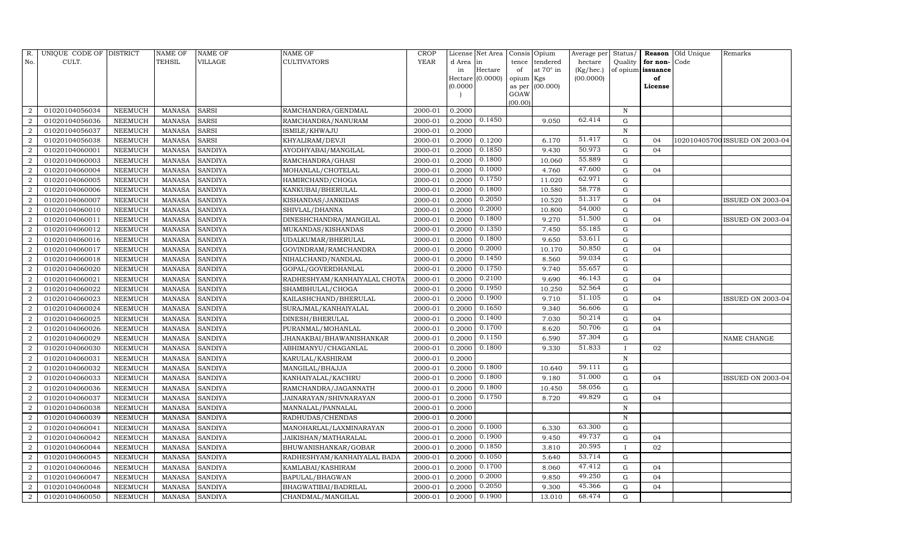| R.             | UNIQUE CODE OF DISTRICT |                | <b>NAME OF</b> | <b>NAME OF</b> | <b>NAME OF</b>               | CROP    |           | License Net Area | Consis              | Opium            | Average per | Status/      | Reason            | Old Unique | Remarks                        |
|----------------|-------------------------|----------------|----------------|----------------|------------------------------|---------|-----------|------------------|---------------------|------------------|-------------|--------------|-------------------|------------|--------------------------------|
| No.            | CULT.                   |                | <b>TEHSIL</b>  | VILLAGE        | <b>CULTIVATORS</b>           | YEAR    | d Area in |                  | tence               | tendered         | hectare     | Quality      | for non-          | Code       |                                |
|                |                         |                |                |                |                              |         | in        | Hectare          | of                  | at $70^\circ$ in | (Kg/hec.)   |              | of opium issuance |            |                                |
|                |                         |                |                |                |                              |         | (0.0000)  | Hectare (0.0000) | opium Kgs<br>as per | (00.000)         | (00.0000)   |              | of<br>License     |            |                                |
|                |                         |                |                |                |                              |         |           |                  | GOAW                |                  |             |              |                   |            |                                |
|                |                         |                |                |                |                              |         |           |                  | (00.00)             |                  |             |              |                   |            |                                |
| $\overline{2}$ | 01020104056034          | NEEMUCH        | MANASA         | <b>SARSI</b>   | RAMCHANDRA/GENDMAL           | 2000-01 | 0.2000    |                  |                     |                  |             | $\, {\rm N}$ |                   |            |                                |
| $\overline{2}$ | 01020104056036          | NEEMUCH        | <b>MANASA</b>  | <b>SARSI</b>   | RAMCHANDRA/NANURAM           | 2000-01 | 0.2000    | 0.1450           |                     | 9.050            | 62.414      | G            |                   |            |                                |
| $\overline{2}$ | 01020104056037          | <b>NEEMUCH</b> | <b>MANASA</b>  | <b>SARSI</b>   | ISMILE/KHWAJU                | 2000-01 | 0.2000    |                  |                     |                  |             | N            |                   |            |                                |
| $\overline{2}$ | 01020104056038          | <b>NEEMUCH</b> | MANASA         | <b>SARSI</b>   | KHYALIRAM/DEVJI              | 2000-01 | 0.2000    | 0.1200           |                     | 6.170            | 51.417      | G            | 04                |            | 102010405700 ISSUED ON 2003-04 |
| $\overline{2}$ | 01020104060001          | NEEMUCH        | <b>MANASA</b>  | <b>SANDIYA</b> | AYODHYABAI/MANGILAL          | 2000-01 | 0.2000    | 0.1850           |                     | 9.430            | 50.973      | $\mathbf G$  | 0 <sub>4</sub>    |            |                                |
| $\overline{2}$ | 01020104060003          | NEEMUCH        | MANASA         | <b>SANDIYA</b> | RAMCHANDRA/GHASI             | 2000-01 | 0.2000    | 0.1800           |                     | 10.060           | 55.889      | ${\rm G}$    |                   |            |                                |
| $\overline{2}$ | 01020104060004          | <b>NEEMUCH</b> | <b>MANASA</b>  | <b>SANDIYA</b> | MOHANLAL/CHOTELAL            | 2000-01 | 0.2000    | 0.1000           |                     | 4.760            | 47.600      | ${\rm G}$    | 04                |            |                                |
| $\overline{2}$ | 01020104060005          | <b>NEEMUCH</b> | <b>MANASA</b>  | <b>SANDIYA</b> | HAMIRCHAND/CHOGA             | 2000-01 | 0.2000    | 0.1750           |                     | 11.020           | 62.971      | ${\rm G}$    |                   |            |                                |
| $\overline{2}$ | 01020104060006          | NEEMUCH        | <b>MANASA</b>  | <b>SANDIYA</b> | KANKUBAI/BHERULAL            | 2000-01 | 0.2000    | 0.1800           |                     | 10.580           | 58.778      | ${\rm G}$    |                   |            |                                |
| $\overline{2}$ | 01020104060007          | NEEMUCH        | <b>MANASA</b>  | <b>SANDIYA</b> | KISHANDAS/JANKIDAS           | 2000-01 | 0.2000    | 0.2050           |                     | 10.520           | 51.317      | ${\rm G}$    | 04                |            | ISSUED ON 2003-04              |
| $\overline{2}$ | 01020104060010          | <b>NEEMUCH</b> | <b>MANASA</b>  | <b>SANDIYA</b> | SHIVLAL/DHANNA               | 2000-01 | 0.2000    | 0.2000           |                     | 10.800           | 54.000      | $\mathbf G$  |                   |            |                                |
| $\overline{2}$ | 01020104060011          | <b>NEEMUCH</b> | MANASA         | <b>SANDIYA</b> | DINESHCHANDRA/MANGILAL       | 2000-01 | 0.2000    | 0.1800           |                     | 9.270            | 51.500      | $\mathbf G$  | 04                |            | ISSUED ON 2003-04              |
| $\overline{2}$ | 01020104060012          | <b>NEEMUCH</b> | <b>MANASA</b>  | <b>SANDIYA</b> | MUKANDAS/KISHANDAS           | 2000-01 | 0.2000    | 0.1350           |                     | 7.450            | 55.185      | $\mathbf G$  |                   |            |                                |
| $\overline{2}$ | 01020104060016          | <b>NEEMUCH</b> | MANASA         | <b>SANDIYA</b> | UDALKUMAR/BHERULAL           | 2000-01 | 0.2000    | 0.1800           |                     | 9.650            | 53.611      | ${\rm G}$    |                   |            |                                |
| $\overline{2}$ | 01020104060017          | NEEMUCH        | MANASA         | <b>SANDIYA</b> | GOVINDRAM/RAMCHANDRA         | 2000-01 | 0.2000    | 0.2000           |                     | 10.170           | 50.850      | G            | 04                |            |                                |
| $\overline{2}$ | 01020104060018          | <b>NEEMUCH</b> | MANASA         | <b>SANDIYA</b> | NIHALCHAND/NANDLAL           | 2000-01 | 0.2000    | 0.1450           |                     | 8.560            | 59.034      | $\mathbf G$  |                   |            |                                |
| $\overline{2}$ | 01020104060020          | <b>NEEMUCH</b> | <b>MANASA</b>  | <b>SANDIYA</b> | GOPAL/GOVERDHANLAL           | 2000-01 | 0.2000    | 0.1750           |                     | 9.740            | 55.657      | G            |                   |            |                                |
| $\overline{2}$ | 01020104060021          | NEEMUCH        | MANASA         | <b>SANDIYA</b> | RADHESHYAM/KANHAIYALAL CHOTA | 2000-01 | 0.2000    | 0.2100           |                     | 9.690            | 46.143      | ${\rm G}$    | 04                |            |                                |
| $\overline{2}$ | 01020104060022          | <b>NEEMUCH</b> | MANASA         | <b>SANDIYA</b> | SHAMBHULAL/CHOGA             | 2000-01 | 0.2000    | 0.1950           |                     | 10.250           | 52.564      | ${\rm G}$    |                   |            |                                |
| $\overline{2}$ | 01020104060023          | <b>NEEMUCH</b> | MANASA         | <b>SANDIYA</b> | KAILASHCHAND/BHERULAL        | 2000-01 | 0.2000    | 0.1900           |                     | 9.710            | 51.105      | $\mathbf G$  | 04                |            | ISSUED ON 2003-04              |
| $\overline{2}$ | 01020104060024          | <b>NEEMUCH</b> | <b>MANASA</b>  | <b>SANDIYA</b> | SURAJMAL/KANHAIYALAL         | 2000-01 | 0.2000    | 0.1650           |                     | 9.340            | 56.606      | $\mathbf G$  |                   |            |                                |
| $\overline{2}$ | 01020104060025          | <b>NEEMUCH</b> | <b>MANASA</b>  | <b>SANDIYA</b> | DINESH/BHERULAL              | 2000-01 | 0.2000    | 0.1400           |                     | 7.030            | 50.214      | $\mathbf G$  | 04                |            |                                |
| $\overline{2}$ | 01020104060026          | <b>NEEMUCH</b> | MANASA         | <b>SANDIYA</b> | PURANMAL/MOHANLAL            | 2000-01 | 0.2000    | 0.1700           |                     | 8.620            | 50.706      | ${\rm G}$    | 04                |            |                                |
| $\overline{2}$ | 01020104060029          | <b>NEEMUCH</b> | MANASA         | <b>SANDIYA</b> | JHANAKBAI/BHAWANISHANKAR     | 2000-01 | 0.2000    | 0.1150           |                     | 6.590            | 57.304      | $\mathbf G$  |                   |            | NAME CHANGE                    |
| $\overline{2}$ | 01020104060030          | NEEMUCH        | <b>MANASA</b>  | <b>SANDIYA</b> | ABHIMANYU/CHAGANLAL          | 2000-01 | 0.2000    | 0.1800           |                     | 9.330            | 51.833      | $\mathbf{I}$ | 02                |            |                                |
| $\overline{2}$ | 01020104060031          | <b>NEEMUCH</b> | MANASA         | <b>SANDIYA</b> | KARULAL/KASHIRAM             | 2000-01 | 0.2000    |                  |                     |                  |             | $\, {\rm N}$ |                   |            |                                |
| $\overline{2}$ | 01020104060032          | <b>NEEMUCH</b> | <b>MANASA</b>  | <b>SANDIYA</b> | MANGILAL/BHAJJA              | 2000-01 | 0.2000    | 0.1800           |                     | 10.640           | 59.111      | $\mathbf G$  |                   |            |                                |
| $\overline{2}$ | 01020104060033          | <b>NEEMUCH</b> | <b>MANASA</b>  | <b>SANDIYA</b> | KANHAIYALAL/KACHRU           | 2000-01 | 0.2000    | 0.1800           |                     | 9.180            | 51.000      | $\mathbf G$  | 04                |            | ISSUED ON 2003-04              |
| $\overline{2}$ | 01020104060036          | NEEMUCH        | MANASA         | <b>SANDIYA</b> | RAMCHANDRA/JAGANNATH         | 2000-01 | 0.2000    | 0.1800           |                     | 10.450           | 58.056      | ${\rm G}$    |                   |            |                                |
| $\overline{2}$ | 01020104060037          | <b>NEEMUCH</b> | <b>MANASA</b>  | <b>SANDIYA</b> | JAINARAYAN/SHIVNARAYAN       | 2000-01 | 0.2000    | 0.1750           |                     | 8.720            | 49.829      | $\mathbf G$  | 04                |            |                                |
| $\overline{2}$ | 01020104060038          | <b>NEEMUCH</b> | MANASA         | <b>SANDIYA</b> | MANNALAL/PANNALAL            | 2000-01 | 0.2000    |                  |                     |                  |             | $\mathbf N$  |                   |            |                                |
| $\overline{2}$ | 01020104060039          | NEEMUCH        | <b>MANASA</b>  | <b>SANDIYA</b> | RADHUDAS/CHENDAS             | 2000-01 | 0.2000    |                  |                     |                  |             | $\mathbf N$  |                   |            |                                |
| $\overline{2}$ | 01020104060041          | <b>NEEMUCH</b> | <b>MANASA</b>  | <b>SANDIYA</b> | MANOHARLAL/LAXMINARAYAN      | 2000-01 | 0.2000    | 0.1000           |                     | 6.330            | 63.300      | $\mathbf G$  |                   |            |                                |
| $\overline{2}$ | 01020104060042          | <b>NEEMUCH</b> | <b>MANASA</b>  | <b>SANDIYA</b> | JAIKISHAN/MATHARALAL         | 2000-01 | 0.2000    | 0.1900           |                     | 9.450            | 49.737      | ${\rm G}$    | 04                |            |                                |
| $\overline{2}$ | 01020104060044          | NEEMUCH        | MANASA         | <b>SANDIYA</b> | BHUWANISHANKAR/GOBAR         | 2000-01 | 0.2000    | 0.1850           |                     | 3.810            | 20.595      | $\mathbf{I}$ | 02                |            |                                |
| $\overline{2}$ | 01020104060045          | <b>NEEMUCH</b> | <b>MANASA</b>  | <b>SANDIYA</b> | RADHESHYAM/KANHAIYALAL BADA  | 2000-01 | 0.2000    | 0.1050           |                     | 5.640            | 53.714      | G            |                   |            |                                |
| $\overline{2}$ | 01020104060046          | NEEMUCH        | MANASA         | <b>SANDIYA</b> | KAMLABAI/KASHIRAM            | 2000-01 | 0.2000    | 0.1700           |                     | 8.060            | 47.412      | G            | 04                |            |                                |
| $\overline{2}$ | 01020104060047          | NEEMUCH        | <b>MANASA</b>  | <b>SANDIYA</b> | BAPULAL/BHAGWAN              | 2000-01 | 0.2000    | 0.2000           |                     | 9.850            | 49.250      | G            | 04                |            |                                |
| $\overline{2}$ | 01020104060048          | NEEMUCH        | MANASA         | <b>SANDIYA</b> | BHAGWATIBAI/BADRILAL         | 2000-01 | 0.2000    | 0.2050           |                     | 9.300            | 45.366      | $\mathbf G$  | 04                |            |                                |
| $\overline{2}$ | 01020104060050          | <b>NEEMUCH</b> | MANASA SANDIYA |                | CHANDMAL/MANGILAL            | 2000-01 | 0.2000    | 0.1900           |                     | 13.010           | 68.474      | G            |                   |            |                                |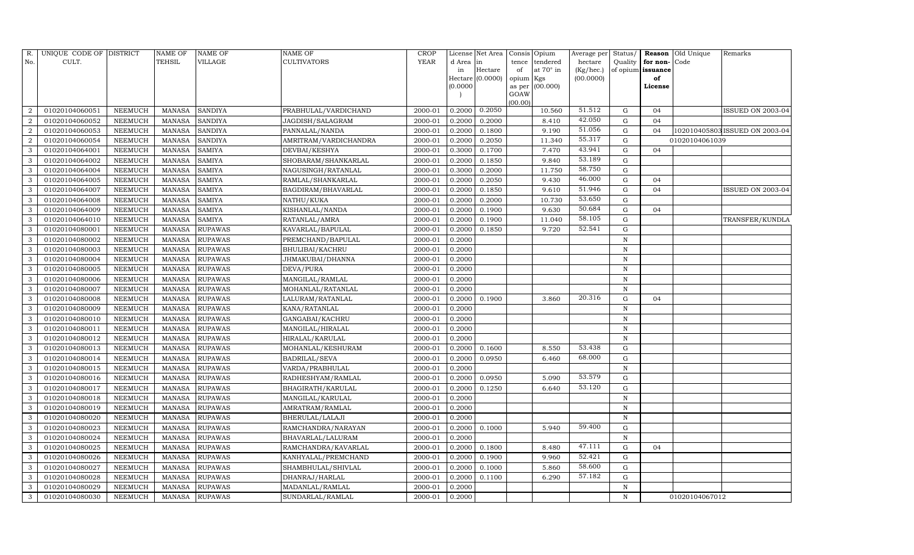| R.             | UNIQUE CODE OF DISTRICT |                | <b>NAME OF</b> | NAME OF        | <b>NAME OF</b>        | CROP        |           | License Net Area | Consis Opium               | Average per | Status/      |                   | Reason Old Unique | Remarks                        |
|----------------|-------------------------|----------------|----------------|----------------|-----------------------|-------------|-----------|------------------|----------------------------|-------------|--------------|-------------------|-------------------|--------------------------------|
| No.            | CULT.                   |                | TEHSIL         | VILLAGE        | <b>CULTIVATORS</b>    | <b>YEAR</b> | d Area in |                  | tendered<br>tence          | hectare     | Quality      | for non-          | Code              |                                |
|                |                         |                |                |                |                       |             | in        | Hectare          | at 70° in<br>of            | (Kg/hec.)   |              | of opium issuance |                   |                                |
|                |                         |                |                |                |                       |             |           | Hectare (0.0000) | opium<br>Kgs               | (00.0000)   |              | of                |                   |                                |
|                |                         |                |                |                |                       |             | (0.0000)  |                  | (00.000)<br>as per<br>GOAW |             |              | License           |                   |                                |
|                |                         |                |                |                |                       |             |           |                  | (00.00)                    |             |              |                   |                   |                                |
|                | 01020104060051          | NEEMUCH        | MANASA         | <b>SANDIYA</b> | PRABHULAL/VARDICHAND  | 2000-01     | 0.2000    | 0.2050           | 10.560                     | 51.512      | $\mathbf G$  | 04                |                   | ISSUED ON 2003-04              |
| $\overline{2}$ | 01020104060052          | NEEMUCH        | <b>MANASA</b>  | SANDIYA        | JAGDISH/SALAGRAM      | 2000-01     | 0.2000    | 0.2000           | 8.410                      | 42.050      | G            | 04                |                   |                                |
| $\overline{2}$ | 01020104060053          | NEEMUCH        | <b>MANASA</b>  | <b>SANDIYA</b> | PANNALAL/NANDA        | 2000-01     | 0.2000    | 0.1800           | 9.190                      | 51.056      | $\mathbf G$  | 04                |                   | 102010405803 ISSUED ON 2003-04 |
| $\overline{2}$ | 01020104060054          | NEEMUCH        | <b>MANASA</b>  | <b>SANDIYA</b> | AMRITRAM/VARDICHANDRA | 2000-01     | 0.2000    | 0.2050           | 11.340                     | 55.317      | ${\rm G}$    |                   | 01020104061039    |                                |
| 3              | 01020104064001          | NEEMUCH        | <b>MANASA</b>  | <b>SAMIYA</b>  | DEVBAI/KESHYA         | 2000-01     | 0.3000    | 0.1700           | 7.470                      | 43.941      | $\mathbf G$  | 04                |                   |                                |
|                | 01020104064002          | NEEMUCH        | <b>MANASA</b>  | SAMIYA         | SHOBARAM/SHANKARLAL   | 2000-01     | 0.2000    | 0.1850           | 9.840                      | 53.189      | ${\bf G}$    |                   |                   |                                |
| 3              | 01020104064004          | NEEMUCH        | <b>MANASA</b>  | <b>SAMIYA</b>  | NAGUSINGH/RATANLAL    | 2000-01     | 0.3000    | 0.2000           | 11.750                     | 58.750      | ${\rm G}$    |                   |                   |                                |
| 3              | 01020104064005          | <b>NEEMUCH</b> | <b>MANASA</b>  | <b>SAMIYA</b>  | RAMLAL/SHANKARLAL     | 2000-01     | 0.2000    | 0.2050           | 9.430                      | 46.000      | ${\rm G}$    | 04                |                   |                                |
| 3              | 01020104064007          | NEEMUCH        | <b>MANASA</b>  | <b>SAMIYA</b>  | BAGDIRAM/BHAVARLAL    | 2000-01     | 0.2000    | 0.1850           | 9.610                      | 51.946      | $\mathbf G$  | 04                |                   | ISSUED ON 2003-04              |
|                | 01020104064008          | NEEMUCH        | <b>MANASA</b>  | <b>SAMIYA</b>  | NATHU/KUKA            | 2000-01     | 0.2000    | 0.2000           | 10.730                     | 53.650      | ${\bf G}$    |                   |                   |                                |
| 3              | 01020104064009          | <b>NEEMUCH</b> | <b>MANASA</b>  | <b>SAMIYA</b>  | KISHANLAL/NANDA       | 2000-01     | 0.2000    | 0.1900           | 9.630                      | 50.684      | ${\rm G}$    | 04                |                   |                                |
| 3              | 01020104064010          | NEEMUCH        | <b>MANASA</b>  | <b>SAMIYA</b>  | RATANLAL/AMRA         | 2000-01     | 0.2000    | 0.1900           | 11.040                     | 58.105      | $\mathbf G$  |                   |                   | TRANSFER/KUNDLA                |
| 3              | 01020104080001          | NEEMUCH        | <b>MANASA</b>  | <b>RUPAWAS</b> | KAVARLAL/BAPULAL      | 2000-01     | 0.2000    | 0.1850           | 9.720                      | 52.541      | $\mathbf G$  |                   |                   |                                |
| 3              | 01020104080002          | <b>NEEMUCH</b> | <b>MANASA</b>  | <b>RUPAWAS</b> | PREMCHAND/BAPULAL     | 2000-01     | 0.2000    |                  |                            |             | $\,$ N       |                   |                   |                                |
| 3              | 01020104080003          | NEEMUCH        | MANASA         | <b>RUPAWAS</b> | BHULIBAI/KACHRU       | 2000-01     | 0.2000    |                  |                            |             | $\,$ N       |                   |                   |                                |
| 3              | 01020104080004          | <b>NEEMUCH</b> | <b>MANASA</b>  | RUPAWAS        | JHMAKUBAI/DHANNA      | 2000-01     | 0.2000    |                  |                            |             | $\,$ N       |                   |                   |                                |
| 3              | 01020104080005          | NEEMUCH        | <b>MANASA</b>  | RUPAWAS        | DEVA/PURA             | 2000-01     | 0.2000    |                  |                            |             | $\, {\rm N}$ |                   |                   |                                |
| 3              | 01020104080006          | NEEMUCH        | MANASA         | RUPAWAS        | MANGILAL/RAMLAL       | 2000-01     | 0.2000    |                  |                            |             | $\,$ N       |                   |                   |                                |
| 3              | 01020104080007          | NEEMUCH        | <b>MANASA</b>  | <b>RUPAWAS</b> | MOHANLAL/RATANLAL     | 2000-01     | 0.2000    |                  |                            |             | $\, {\rm N}$ |                   |                   |                                |
| 3              | 01020104080008          | NEEMUCH        | <b>MANASA</b>  | RUPAWAS        | LALURAM/RATANLAL      | 2000-01     | 0.2000    | 0.1900           | 3.860                      | 20.316      | G            | 04                |                   |                                |
|                | 01020104080009          | <b>NEEMUCH</b> | <b>MANASA</b>  | <b>RUPAWAS</b> | KANA/RATANLAL         | 2000-01     | 0.2000    |                  |                            |             | ${\bf N}$    |                   |                   |                                |
| 3              | 01020104080010          | <b>NEEMUCH</b> | <b>MANASA</b>  | <b>RUPAWAS</b> | GANGABAI/KACHRU       | 2000-01     | 0.2000    |                  |                            |             | $\mathbf N$  |                   |                   |                                |
| 3              | 01020104080011          | NEEMUCH        | <b>MANASA</b>  | RUPAWAS        | MANGILAL/HIRALAL      | 2000-01     | 0.2000    |                  |                            |             | $\, {\rm N}$ |                   |                   |                                |
| 3              | 01020104080012          | <b>NEEMUCH</b> | <b>MANASA</b>  | <b>RUPAWAS</b> | HIRALAL/KARULAL       | 2000-01     | 0.2000    |                  |                            |             | ${\bf N}$    |                   |                   |                                |
|                | 01020104080013          | <b>NEEMUCH</b> | <b>MANASA</b>  | RUPAWAS        | MOHANLAL/KESHURAM     | 2000-01     | 0.2000    | 0.1600           | 8.550                      | 53.438      | $\mathbf G$  |                   |                   |                                |
| 3              | 01020104080014          | NEEMUCH        | <b>MANASA</b>  | RUPAWAS        | <b>BADRILAL/SEVA</b>  | 2000-01     | 0.2000    | 0.0950           | 6.460                      | 68.000      | ${\rm G}$    |                   |                   |                                |
| 3              | 01020104080015          | <b>NEEMUCH</b> | <b>MANASA</b>  | <b>RUPAWAS</b> | VARDA/PRABHULAL       | 2000-01     | 0.2000    |                  |                            |             | ${\bf N}$    |                   |                   |                                |
| 3              | 01020104080016          | <b>NEEMUCH</b> | <b>MANASA</b>  | <b>RUPAWAS</b> | RADHESHYAM/RAMLAL     | 2000-01     | 0.2000    | 0.0950           | 5.090                      | 53.579      | $\mathbf G$  |                   |                   |                                |
| 3              | 01020104080017          | NEEMUCH        | <b>MANASA</b>  | RUPAWAS        | BHAGIRATH/KARULAL     | 2000-01     | 0.2000    | 0.1250           | 6.640                      | 53.120      | ${\rm G}$    |                   |                   |                                |
| 3              | 01020104080018          | <b>NEEMUCH</b> | <b>MANASA</b>  | <b>RUPAWAS</b> | MANGILAL/KARULAL      | 2000-01     | 0.2000    |                  |                            |             | ${\bf N}$    |                   |                   |                                |
| 3              | 01020104080019          | <b>NEEMUCH</b> | <b>MANASA</b>  | <b>RUPAWAS</b> | AMRATRAM/RAMLAL       | 2000-01     | 0.2000    |                  |                            |             | $\mathbb N$  |                   |                   |                                |
| 3              | 01020104080020          | <b>NEEMUCH</b> | <b>MANASA</b>  | <b>RUPAWAS</b> | BHERULAL/LALAJI       | 2000-01     | 0.2000    |                  |                            |             | ${\bf N}$    |                   |                   |                                |
| 3              | 01020104080023          | <b>NEEMUCH</b> | <b>MANASA</b>  | <b>RUPAWAS</b> | RAMCHANDRA/NARAYAN    | 2000-01     | 0.2000    | 0.1000           | 5.940                      | 59.400      | ${\rm G}$    |                   |                   |                                |
| 3              | 01020104080024          | <b>NEEMUCH</b> | <b>MANASA</b>  | RUPAWAS        | BHAVARLAL/LALURAM     | 2000-01     | 0.2000    |                  |                            |             | ${\bf N}$    |                   |                   |                                |
| 3              | 01020104080025          | <b>NEEMUCH</b> | <b>MANASA</b>  | <b>RUPAWAS</b> | RAMCHANDRA/KAVARLAL   | 2000-01     | 0.2000    | 0.1800           | 8.480                      | 47.111      | $\mathbf G$  | 04                |                   |                                |
| 3              | 01020104080026          | NEEMUCH        | <b>MANASA</b>  | RUPAWAS        | KANHYALAL/PREMCHAND   | 2000-01     | 0.2000    | 0.1900           | 9.960                      | 52.421      | G            |                   |                   |                                |
| 3              | 01020104080027          | NEEMUCH        | MANASA         | RUPAWAS        | SHAMBHULAL/SHIVLAL    | 2000-01     | 0.2000    | 0.1000           | 5.860                      | 58.600      | G            |                   |                   |                                |
| 3              | 01020104080028          | NEEMUCH        | <b>MANASA</b>  | RUPAWAS        | DHANRAJ/HARLAL        | 2000-01     | 0.2000    | 0.1100           | 6.290                      | 57.182      | G            |                   |                   |                                |
| 3              | 01020104080029          | NEEMUCH        | <b>MANASA</b>  | RUPAWAS        | MADANLAL/RAMLAL       | 2000-01     | 0.2000    |                  |                            |             | $\mathbf N$  |                   |                   |                                |
| 3              | 01020104080030          | NEEMUCH        | MANASA         | <b>RUPAWAS</b> | SUNDARLAL/RAMLAL      | 2000-01     | 0.2000    |                  |                            |             | N            |                   | 01020104067012    |                                |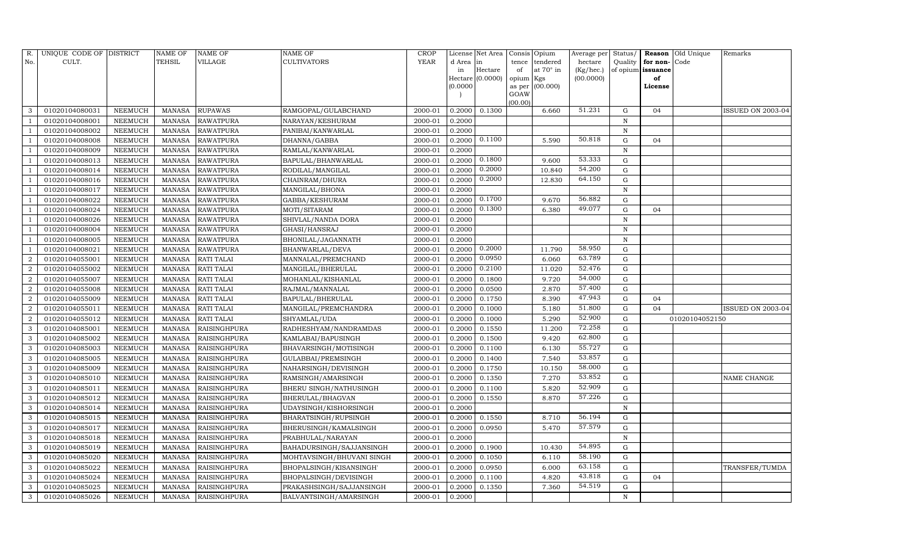| R.             | UNIQUE CODE OF DISTRICT |                | <b>NAME OF</b> | <b>NAME OF</b>      | <b>NAME OF</b>            | <b>CROP</b> |          | License Net Area |                 | Consis Opium    | Average per | Status/      |                   | Reason Old Unique | Remarks           |
|----------------|-------------------------|----------------|----------------|---------------------|---------------------------|-------------|----------|------------------|-----------------|-----------------|-------------|--------------|-------------------|-------------------|-------------------|
| No.            | CULT.                   |                | <b>TEHSIL</b>  | VILLAGE             | CULTIVATORS               | <b>YEAR</b> | d Area   | in               | tence           | tendered        | hectare     | Quality      | for non-Code      |                   |                   |
|                |                         |                |                |                     |                           |             | in       | Hectare          | of              | at 70° in       | (Kg/hec.)   |              | of opium issuance |                   |                   |
|                |                         |                |                |                     |                           |             |          | Hectare (0.0000) | opium Kgs       |                 | (00.0000)   |              | of                |                   |                   |
|                |                         |                |                |                     |                           |             | (0.0000) |                  |                 | as per (00.000) |             |              | License           |                   |                   |
|                |                         |                |                |                     |                           |             |          |                  | GOAW<br>(00.00) |                 |             |              |                   |                   |                   |
| 3              | 01020104080031          | <b>NEEMUCH</b> | <b>MANASA</b>  | <b>RUPAWAS</b>      | RAMGOPAL/GULABCHAND       | 2000-01     | 0.2000   | 0.1300           |                 | 6.660           | 51.231      | G            | 04                |                   | ISSUED ON 2003-04 |
|                | 01020104008001          | <b>NEEMUCH</b> | <b>MANASA</b>  | <b>RAWATPURA</b>    | NARAYAN/KESHURAM          | 2000-01     | 0.2000   |                  |                 |                 |             | $\, {\rm N}$ |                   |                   |                   |
|                | 01020104008002          | <b>NEEMUCH</b> | <b>MANASA</b>  | <b>RAWATPURA</b>    | PANIBAI/KANWARLAL         | 2000-01     | 0.2000   |                  |                 |                 |             | $\mathbf N$  |                   |                   |                   |
|                | 01020104008008          | <b>NEEMUCH</b> | <b>MANASA</b>  | <b>RAWATPURA</b>    | DHANNA/GABBA              | 2000-01     | 0.2000   | 0.1100           |                 | 5.590           | 50.818      | G            | 04                |                   |                   |
|                | 01020104008009          | <b>NEEMUCH</b> | <b>MANASA</b>  | <b>RAWATPURA</b>    | RAMLAL/KANWARLAL          | 2000-01     | 0.2000   |                  |                 |                 |             | $\, {\rm N}$ |                   |                   |                   |
|                | 01020104008013          | <b>NEEMUCH</b> | <b>MANASA</b>  | <b>RAWATPURA</b>    | BAPULAL/BHANWARLAL        | 2000-01     | 0.2000   | 0.1800           |                 | 9.600           | 53.333      | ${\rm G}$    |                   |                   |                   |
|                | 01020104008014          | <b>NEEMUCH</b> | <b>MANASA</b>  | <b>RAWATPURA</b>    | RODILAL/MANGILAL          | 2000-01     | 0.2000   | 0.2000           |                 | 10.840          | 54.200      | ${\rm G}$    |                   |                   |                   |
|                | 01020104008016          | <b>NEEMUCH</b> | <b>MANASA</b>  | <b>RAWATPURA</b>    | CHAINRAM/DHURA            | 2000-01     | 0.2000   | 0.2000           |                 | 12.830          | 64.150      | ${\rm G}$    |                   |                   |                   |
|                | 01020104008017          | <b>NEEMUCH</b> | <b>MANASA</b>  | <b>RAWATPURA</b>    | MANGILAL/BHONA            | 2000-01     | 0.2000   |                  |                 |                 |             | $\, {\rm N}$ |                   |                   |                   |
|                | 01020104008022          | <b>NEEMUCH</b> | <b>MANASA</b>  | <b>RAWATPURA</b>    | GABBA/KESHURAM            | 2000-01     | 0.2000   | 0.1700           |                 | 9.670           | 56.882      | ${\rm G}$    |                   |                   |                   |
|                | 01020104008024          | <b>NEEMUCH</b> | <b>MANASA</b>  | <b>RAWATPURA</b>    | MOTI/SITARAM              | 2000-01     | 0.2000   | 0.1300           |                 | 6.380           | 49.077      | ${\rm G}$    | 04                |                   |                   |
|                | 01020104008026          | NEEMUCH        | <b>MANASA</b>  | <b>RAWATPURA</b>    | SHIVLAL/NANDA DORA        | 2000-01     | 0.2000   |                  |                 |                 |             | ${\bf N}$    |                   |                   |                   |
|                | 01020104008004          | <b>NEEMUCH</b> | <b>MANASA</b>  | <b>RAWATPURA</b>    | GHASI/HANSRAJ             | 2000-01     | 0.2000   |                  |                 |                 |             | ${\bf N}$    |                   |                   |                   |
|                | 01020104008005          | <b>NEEMUCH</b> | <b>MANASA</b>  | <b>RAWATPURA</b>    | BHONILAL/JAGANNATH        | 2000-01     | 0.2000   |                  |                 |                 |             | $\mathbb N$  |                   |                   |                   |
|                | 01020104008021          | <b>NEEMUCH</b> | <b>MANASA</b>  | <b>RAWATPURA</b>    | BHANWARLAL/DEVA           | 2000-01     | 0.2000   | 0.2000           |                 | 11.790          | 58.950      | G            |                   |                   |                   |
| $\overline{2}$ | 01020104055001          | <b>NEEMUCH</b> | <b>MANASA</b>  | <b>RATI TALAI</b>   | MANNALAL/PREMCHAND        | 2000-01     | 0.2000   | 0.0950           |                 | 6.060           | 63.789      | $\mathbf G$  |                   |                   |                   |
| $\overline{2}$ | 01020104055002          | <b>NEEMUCH</b> | <b>MANASA</b>  | RATI TALAI          | MANGILAL/BHERULAL         | 2000-01     | 0.2000   | 0.2100           |                 | 11.020          | 52.476      | $\mathbf G$  |                   |                   |                   |
| $\overline{2}$ | 01020104055007          | NEEMUCH        | <b>MANASA</b>  | <b>RATI TALAI</b>   | MOHANLAL/KISHANLAL        | 2000-01     | 0.2000   | 0.1800           |                 | 9.720           | 54.000      | G            |                   |                   |                   |
| $\overline{2}$ | 01020104055008          | NEEMUCH        | <b>MANASA</b>  | RATI TALAI          | RAJMAL/MANNALAL           | 2000-01     | 0.2000   | 0.0500           |                 | 2.870           | 57.400      | G            |                   |                   |                   |
| $\overline{2}$ | 01020104055009          | <b>NEEMUCH</b> | <b>MANASA</b>  | <b>RATI TALAI</b>   | BAPULAL/BHERULAL          | 2000-01     | 0.2000   | 0.1750           |                 | 8.390           | 47.943      | G            | 04                |                   |                   |
| $\overline{2}$ | 01020104055011          | <b>NEEMUCH</b> | <b>MANASA</b>  | <b>RATI TALAI</b>   | MANGILAL/PREMCHANDRA      | 2000-01     | 0.2000   | 0.1000           |                 | 5.180           | 51.800      | G            | 04                |                   | ISSUED ON 2003-04 |
| $\overline{2}$ | 01020104055012          | NEEMUCH        | <b>MANASA</b>  | <b>RATI TALAI</b>   | SHYAMLAL/UDA              | 2000-01     | 0.2000   | 0.1000           |                 | 5.290           | 52.900      | $\mathbf G$  |                   | 01020104052150    |                   |
| 3              | 01020104085001          | <b>NEEMUCH</b> | <b>MANASA</b>  | <b>RAISINGHPURA</b> | RADHESHYAM/NANDRAMDAS     | 2000-01     | 0.2000   | 0.1550           |                 | 11.200          | 72.258      | G            |                   |                   |                   |
| 3              | 01020104085002          | <b>NEEMUCH</b> | <b>MANASA</b>  | <b>RAISINGHPURA</b> | KAMLABAI/BAPUSINGH        | 2000-01     | 0.2000   | 0.1500           |                 | 9.420           | 62.800      | G            |                   |                   |                   |
| 3              | 01020104085003          | NEEMUCH        | <b>MANASA</b>  | <b>RAISINGHPURA</b> | BHAVARSINGH/MOTISINGH     | 2000-01     | 0.2000   | 0.1100           |                 | 6.130           | 55.727      | $\mathbf G$  |                   |                   |                   |
| 3              | 01020104085005          | <b>NEEMUCH</b> | <b>MANASA</b>  | <b>RAISINGHPURA</b> | GULABBAI/PREMSINGH        | 2000-01     | 0.2000   | 0.1400           |                 | 7.540           | 53.857      | G            |                   |                   |                   |
| 3              | 01020104085009          | <b>NEEMUCH</b> | <b>MANASA</b>  | <b>RAISINGHPURA</b> | NAHARSINGH/DEVISINGH      | 2000-01     | 0.2000   | 0.1750           |                 | 10.150          | 58.000      | ${\rm G}$    |                   |                   |                   |
| 3              | 01020104085010          | NEEMUCH        | <b>MANASA</b>  | <b>RAISINGHPURA</b> | RAMSINGH/AMARSINGH        | 2000-01     | 0.2000   | 0.1350           |                 | 7.270           | 53.852      | G            |                   |                   | NAME CHANGE       |
| 3              | 01020104085011          | <b>NEEMUCH</b> | <b>MANASA</b>  | <b>RAISINGHPURA</b> | BHERU SINGH/NATHUSINGH    | 2000-01     | 0.2000   | 0.1100           |                 | 5.820           | 52.909      | ${\rm G}$    |                   |                   |                   |
| 3              | 01020104085012          | <b>NEEMUCH</b> | <b>MANASA</b>  | <b>RAISINGHPURA</b> | BHERULAL/BHAGVAN          | 2000-01     | 0.2000   | 0.1550           |                 | 8.870           | 57.226      | ${\rm G}$    |                   |                   |                   |
| 3              | 01020104085014          | <b>NEEMUCH</b> | <b>MANASA</b>  | <b>RAISINGHPURA</b> | UDAYSINGH/KISHORSINGH     | 2000-01     | 0.2000   |                  |                 |                 |             | $\, {\rm N}$ |                   |                   |                   |
| 3              | 01020104085015          | <b>NEEMUCH</b> | <b>MANASA</b>  | <b>RAISINGHPURA</b> | BHARATSINGH/RUPSINGH      | 2000-01     | 0.2000   | 0.1550           |                 | 8.710           | 56.194      | ${\rm G}$    |                   |                   |                   |
| 3              | 01020104085017          | <b>NEEMUCH</b> | <b>MANASA</b>  | <b>RAISINGHPURA</b> | BHERUSINGH/KAMALSINGH     | 2000-01     | 0.2000   | 0.0950           |                 | 5.470           | 57.579      | ${\rm G}$    |                   |                   |                   |
| 3              | 01020104085018          | <b>NEEMUCH</b> | <b>MANASA</b>  | <b>RAISINGHPURA</b> | PRABHULAL/NARAYAN         | 2000-01     | 0.2000   |                  |                 |                 |             | $\mathbb N$  |                   |                   |                   |
| 3              | 01020104085019          | <b>NEEMUCH</b> | <b>MANASA</b>  | <b>RAISINGHPURA</b> | BAHADURSINGH/SAJJANSINGH  | 2000-01     | 0.2000   | 0.1900           |                 | 10.430          | 54.895      | ${\rm G}$    |                   |                   |                   |
| 3              | 01020104085020          | <b>NEEMUCH</b> | <b>MANASA</b>  | <b>RAISINGHPURA</b> | MOHTAVSINGH/BHUVANI SINGH | 2000-01     | 0.2000   | 0.1050           |                 | 6.110           | 58.190      | $\mathbf G$  |                   |                   |                   |
| 3              | 01020104085022          | NEEMUCH        | <b>MANASA</b>  | <b>RAISINGHPURA</b> | BHOPALSINGH/KISANSINGH'   | 2000-01     | 0.2000   | 0.0950           |                 | 6.000           | 63.158      | ${\rm G}$    |                   |                   | TRANSFER/TUMDA    |
| 3              | 01020104085024          | <b>NEEMUCH</b> | <b>MANASA</b>  | <b>RAISINGHPURA</b> | BHOPALSINGH/DEVISINGH     | 2000-01     | 0.2000   | 0.1100           |                 | 4.820           | 43.818      | $\mathbf G$  | 04                |                   |                   |
| $\mathbf{3}$   | 01020104085025          | <b>NEEMUCH</b> | <b>MANASA</b>  | <b>RAISINGHPURA</b> | PRAKASHSINGH/SAJJANSINGH  | 2000-01     | 0.2000   | 0.1350           |                 | 7.360           | 54.519      | $\mathbf G$  |                   |                   |                   |
| $\mathbf{3}$   | 01020104085026          | <b>NEEMUCH</b> | MANASA         | <b>RAISINGHPURA</b> | BALVANTSINGH/AMARSINGH    | 2000-01     | 0.2000   |                  |                 |                 |             | $\mathbf N$  |                   |                   |                   |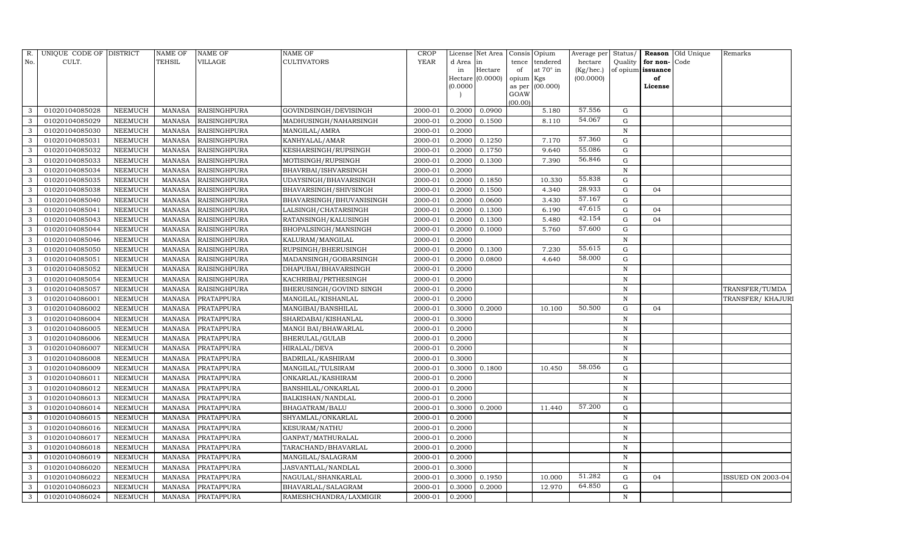| R.           | UNIQUE CODE OF DISTRICT |                | <b>NAME OF</b> | <b>NAME OF</b>      | <b>NAME OF</b>           | CROP    |           | License Net Area |                | Consis Opium | Average per | Status/      |                   | <b>Reason</b> Old Unique | Remarks                  |
|--------------|-------------------------|----------------|----------------|---------------------|--------------------------|---------|-----------|------------------|----------------|--------------|-------------|--------------|-------------------|--------------------------|--------------------------|
| No.          | CULT.                   |                | TEHSIL         | <b>VILLAGE</b>      | <b>CULTIVATORS</b>       | YEAR    | d Area in |                  | tence          | tendered     | hectare     | Quality      | for non-Code      |                          |                          |
|              |                         |                |                |                     |                          |         | in        | Hectare          | of             | at 70° in    | (Kg/hec.)   |              | of opium issuance |                          |                          |
|              |                         |                |                |                     |                          |         |           | Hectare (0.0000) | opium Kgs      |              | (00.0000)   |              | of                |                          |                          |
|              |                         |                |                |                     |                          |         | (0.0000)  |                  | as per<br>GOAW | (00.000)     |             |              | License           |                          |                          |
|              |                         |                |                |                     |                          |         |           |                  | (00.00)        |              |             |              |                   |                          |                          |
| 3            | 01020104085028          | NEEMUCH        | <b>MANASA</b>  | <b>RAISINGHPURA</b> | GOVINDSINGH/DEVISINGH    | 2000-01 | 0.2000    | 0.0900           |                | 5.180        | 57.556      | $\mathbf G$  |                   |                          |                          |
| 3            | 01020104085029          | NEEMUCH        | <b>MANASA</b>  | RAISINGHPURA        | MADHUSINGH/NAHARSINGH    | 2000-01 | 0.2000    | 0.1500           |                | 8.110        | 54.067      | G            |                   |                          |                          |
| 3            | 01020104085030          | <b>NEEMUCH</b> | <b>MANASA</b>  | <b>RAISINGHPURA</b> | MANGILAL/AMRA            | 2000-01 | 0.2000    |                  |                |              |             | $\,$ N       |                   |                          |                          |
| $\mathbf{3}$ | 01020104085031          | NEEMUCH        | <b>MANASA</b>  | <b>RAISINGHPURA</b> | KANHYALAL/AMAR           | 2000-01 | 0.2000    | 0.1250           |                | 7.170        | 57.360      | $\mathbf G$  |                   |                          |                          |
| 3            | 01020104085032          | <b>NEEMUCH</b> | <b>MANASA</b>  | RAISINGHPURA        | KESHARSINGH/RUPSINGH     | 2000-01 | 0.2000    | 0.1750           |                | 9.640        | 55.086      | $\mathbf G$  |                   |                          |                          |
| 3            | 01020104085033          | NEEMUCH        | <b>MANASA</b>  | <b>RAISINGHPURA</b> | MOTISINGH/RUPSINGH       | 2000-01 | 0.2000    | 0.1300           |                | 7.390        | 56.846      | ${\rm G}$    |                   |                          |                          |
| 3            | 01020104085034          | NEEMUCH        | <b>MANASA</b>  | <b>RAISINGHPURA</b> | BHAVRBAI/ISHVARSINGH     | 2000-01 | 0.2000    |                  |                |              |             | $\,$ N       |                   |                          |                          |
| $\mathbf{3}$ | 01020104085035          | <b>NEEMUCH</b> | <b>MANASA</b>  | <b>RAISINGHPURA</b> | UDAYSINGH/BHAVARSINGH    | 2000-01 | 0.2000    | 0.1850           |                | 10.330       | 55.838      | G            |                   |                          |                          |
| 3            | 01020104085038          | <b>NEEMUCH</b> | <b>MANASA</b>  | <b>RAISINGHPURA</b> | BHAVARSINGH/SHIVSINGH    | 2000-01 | 0.2000    | 0.1500           |                | 4.340        | 28.933      | G            | 04                |                          |                          |
| 3            | 01020104085040          | NEEMUCH        | <b>MANASA</b>  | <b>RAISINGHPURA</b> | BHAVARSINGH/BHUVANISINGH | 2000-01 | 0.2000    | 0.0600           |                | 3.430        | 57.167      | ${\rm G}$    |                   |                          |                          |
| 3            | 01020104085041          | <b>NEEMUCH</b> | <b>MANASA</b>  | <b>RAISINGHPURA</b> | LALSINGH/CHATARSINGH     | 2000-01 | 0.2000    | 0.1300           |                | 6.190        | 47.615      | $\mathbf G$  | 04                |                          |                          |
| 3            | 01020104085043          | <b>NEEMUCH</b> | <b>MANASA</b>  | <b>RAISINGHPURA</b> | RATANSINGH/KALUSINGH     | 2000-01 | 0.2000    | 0.1300           |                | 5.480        | 42.154      | G            | 04                |                          |                          |
| 3            | 01020104085044          | <b>NEEMUCH</b> | <b>MANASA</b>  | <b>RAISINGHPURA</b> | BHOPALSINGH/MANSINGH     | 2000-01 | 0.2000    | 0.1000           |                | 5.760        | 57.600      | $\mathbf G$  |                   |                          |                          |
| 3            | 01020104085046          | <b>NEEMUCH</b> | <b>MANASA</b>  | <b>RAISINGHPURA</b> | KALURAM/MANGILAL         | 2000-01 | 0.2000    |                  |                |              |             | ${\bf N}$    |                   |                          |                          |
| 3            | 01020104085050          | NEEMUCH        | <b>MANASA</b>  | RAISINGHPURA        | RUPSINGH/BHERUSINGH      | 2000-01 | 0.2000    | 0.1300           |                | 7.230        | 55.615      | G            |                   |                          |                          |
| 3            | 01020104085051          | NEEMUCH        | <b>MANASA</b>  | <b>RAISINGHPURA</b> | MADANSINGH/GOBARSINGH    | 2000-01 | 0.2000    | 0.0800           |                | 4.640        | 58.000      | G            |                   |                          |                          |
| 3            | 01020104085052          | NEEMUCH        | <b>MANASA</b>  | <b>RAISINGHPURA</b> | DHAPUBAI/BHAVARSINGH     | 2000-01 | 0.2000    |                  |                |              |             | $\, {\rm N}$ |                   |                          |                          |
| 3            | 01020104085054          | NEEMUCH        | <b>MANASA</b>  | RAISINGHPURA        | KACHRIBAI/PRTHESINGH     | 2000-01 | 0.2000    |                  |                |              |             | N            |                   |                          |                          |
| 3            | 01020104085057          | NEEMUCH        | <b>MANASA</b>  | <b>RAISINGHPURA</b> | BHERUSINGH/GOVIND SINGH  | 2000-01 | 0.2000    |                  |                |              |             | $\mathbf N$  |                   |                          | TRANSFER/TUMDA           |
| 3            | 01020104086001          | NEEMUCH        | <b>MANASA</b>  | PRATAPPURA          | MANGILAL/KISHANLAL       | 2000-01 | 0.2000    |                  |                |              |             | N            |                   |                          | TRANSFER/ KHAJURI        |
| 3            | 01020104086002          | NEEMUCH        | <b>MANASA</b>  | PRATAPPURA          | MANGIBAI/BANSHILAL       | 2000-01 | 0.3000    | 0.2000           |                | 10.100       | 50.500      | G            | 04                |                          |                          |
| 3            | 01020104086004          | <b>NEEMUCH</b> | <b>MANASA</b>  | <b>PRATAPPURA</b>   | SHARDABAI/KISHANLAL      | 2000-01 | 0.3000    |                  |                |              |             | $\mathbb N$  |                   |                          |                          |
| $\mathbf{3}$ | 01020104086005          | NEEMUCH        | <b>MANASA</b>  | PRATAPPURA          | MANGI BAI/BHAWARLAL      | 2000-01 | 0.2000    |                  |                |              |             | $\,$ N       |                   |                          |                          |
| 3            | 01020104086006          | <b>NEEMUCH</b> | <b>MANASA</b>  | <b>PRATAPPURA</b>   | BHERULAL/GULAB           | 2000-01 | 0.2000    |                  |                |              |             | ${\bf N}$    |                   |                          |                          |
| 3            | 01020104086007          | <b>NEEMUCH</b> | <b>MANASA</b>  | <b>PRATAPPURA</b>   | HIRALAL/DEVA             | 2000-01 | 0.2000    |                  |                |              |             | ${\bf N}$    |                   |                          |                          |
| 3            | 01020104086008          | <b>NEEMUCH</b> | <b>MANASA</b>  | <b>PRATAPPURA</b>   | BADRILAL/KASHIRAM        | 2000-01 | 0.3000    |                  |                |              |             | $\mathbb N$  |                   |                          |                          |
| 3            | 01020104086009          | NEEMUCH        | <b>MANASA</b>  | PRATAPPURA          | MANGILAL/TULSIRAM        | 2000-01 | 0.3000    | 0.1800           |                | 10.450       | 58.056      | G            |                   |                          |                          |
| 3            | 01020104086011          | <b>NEEMUCH</b> | <b>MANASA</b>  | <b>PRATAPPURA</b>   | ONKARLAL/KASHIRAM        | 2000-01 | 0.2000    |                  |                |              |             | $\,$ N       |                   |                          |                          |
| 3            | 01020104086012          | NEEMUCH        | <b>MANASA</b>  | PRATAPPURA          | BANSHILAL/ONKARLAL       | 2000-01 | 0.2000    |                  |                |              |             | $\,$ N       |                   |                          |                          |
| 3            | 01020104086013          | <b>NEEMUCH</b> | <b>MANASA</b>  | PRATAPPURA          | BALKISHAN/NANDLAL        | 2000-01 | 0.2000    |                  |                |              |             | $\,$ N       |                   |                          |                          |
| 3            | 01020104086014          | <b>NEEMUCH</b> | <b>MANASA</b>  | <b>PRATAPPURA</b>   | BHAGATRAM/BALU           | 2000-01 | 0.3000    | 0.2000           |                | 11.440       | 57.200      | G            |                   |                          |                          |
| 3            | 01020104086015          | <b>NEEMUCH</b> | <b>MANASA</b>  | <b>PRATAPPURA</b>   | SHYAMLAL/ONKARLAL        | 2000-01 | 0.2000    |                  |                |              |             | ${\bf N}$    |                   |                          |                          |
| 3            | 01020104086016          | <b>NEEMUCH</b> | <b>MANASA</b>  | PRATAPPURA          | KESURAM/NATHU            | 2000-01 | 0.2000    |                  |                |              |             | $\, {\rm N}$ |                   |                          |                          |
| 3            | 01020104086017          | NEEMUCH        | <b>MANASA</b>  | <b>PRATAPPURA</b>   | GANPAT/MATHURALAL        | 2000-01 | 0.2000    |                  |                |              |             | $\mathbb N$  |                   |                          |                          |
| 3            | 01020104086018          | <b>NEEMUCH</b> | <b>MANASA</b>  | <b>PRATAPPURA</b>   | TARACHAND/BHAVARLAL      | 2000-01 | 0.2000    |                  |                |              |             | $\,$ N       |                   |                          |                          |
| 3            | 01020104086019          | <b>NEEMUCH</b> | <b>MANASA</b>  | <b>PRATAPPURA</b>   | MANGILAL/SALAGRAM        | 2000-01 | 0.2000    |                  |                |              |             | ${\bf N}$    |                   |                          |                          |
| 3            | 01020104086020          | NEEMUCH        | <b>MANASA</b>  | PRATAPPURA          | JASVANTLAL/NANDLAL       | 2000-01 | 0.3000    |                  |                |              |             | N            |                   |                          |                          |
| 3            | 01020104086022          | NEEMUCH        | <b>MANASA</b>  | PRATAPPURA          | NAGULAL/SHANKARLAL       | 2000-01 | 0.3000    | 0.1950           |                | 10.000       | 51.282      | G            | 04                |                          | <b>ISSUED ON 2003-04</b> |
| $\mathbf{3}$ | 01020104086023          | <b>NEEMUCH</b> | <b>MANASA</b>  | PRATAPPURA          | BHAVARLAL/SALAGRAM       | 2000-01 | 0.3000    | 0.2000           |                | 12.970       | 64.850      | G            |                   |                          |                          |
| 3            | 01020104086024          | <b>NEEMUCH</b> | MANASA         | PRATAPPURA          | RAMESHCHANDRA/LAXMIGIR   | 2000-01 | 0.2000    |                  |                |              |             | $\mathbf N$  |                   |                          |                          |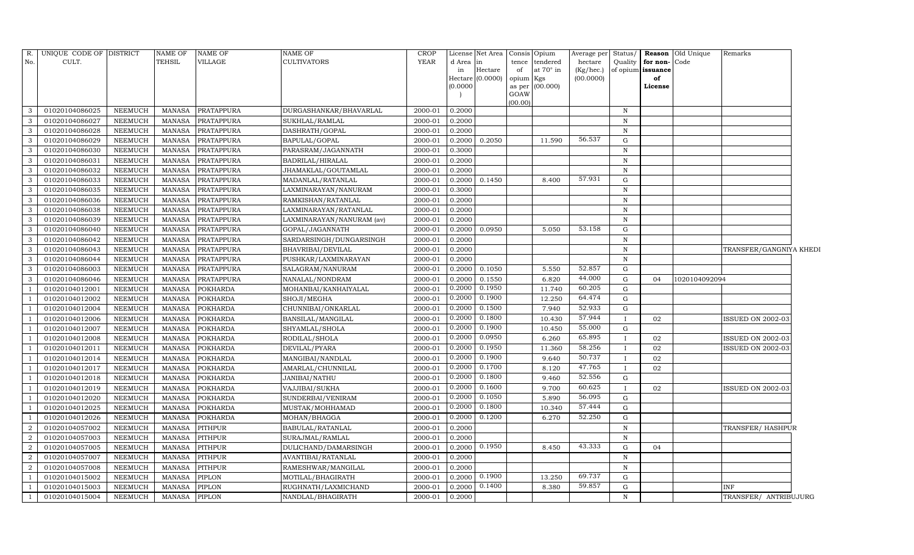| R.             | UNIQUE CODE OF DISTRICT |                | <b>NAME OF</b> | <b>NAME OF</b>    | <b>NAME OF</b>            | <b>CROP</b> |                     | License Net Area    | Consis Opium |                 | Average per |              |                          | Status/ <b>Reason</b> Old Unique | Remarks                 |  |
|----------------|-------------------------|----------------|----------------|-------------------|---------------------------|-------------|---------------------|---------------------|--------------|-----------------|-------------|--------------|--------------------------|----------------------------------|-------------------------|--|
| No.            | CULT.                   |                | TEHSIL         | VILLAGE           | <b>CULTIVATORS</b>        | <b>YEAR</b> | d Area              | in                  |              | tence tendered  | hectare     | Quality      | for non-Code             |                                  |                         |  |
|                |                         |                |                |                   |                           |             | in                  | Hectare             | of           | at 70° in       | (Kg/hec.)   |              | of opium <b>issuance</b> |                                  |                         |  |
|                |                         |                |                |                   |                           |             | Hectare<br>(0.0000) | (0.0000)            | opium Kgs    | as per (00.000) | (00.0000)   |              | of<br>License            |                                  |                         |  |
|                |                         |                |                |                   |                           |             |                     |                     | GOAW         |                 |             |              |                          |                                  |                         |  |
|                |                         |                |                |                   |                           |             |                     |                     | (00.00)      |                 |             |              |                          |                                  |                         |  |
| $\mathcal{B}$  | 01020104086025          | NEEMUCH        | MANASA         | PRATAPPURA        | DURGASHANKAR/BHAVARLAL    | 2000-01     | 0.2000              |                     |              |                 |             | N            |                          |                                  |                         |  |
| 3              | 01020104086027          | <b>NEEMUCH</b> | <b>MANASA</b>  | PRATAPPURA        | SUKHLAL/RAMLAL            | 2000-01     | 0.2000              |                     |              |                 |             | $\mathbf N$  |                          |                                  |                         |  |
| 3              | 01020104086028          | <b>NEEMUCH</b> | <b>MANASA</b>  | PRATAPPURA        | DASHRATH/GOPAL            | 2000-01     | 0.2000              |                     |              |                 |             | $\mathbf N$  |                          |                                  |                         |  |
| $\mathbf{3}$   | 01020104086029          | <b>NEEMUCH</b> | <b>MANASA</b>  | PRATAPPURA        | BAPULAL/GOPAL             | 2000-01     | 0.2000              | 0.2050              |              | 11.590          | 56.537      | ${\rm G}$    |                          |                                  |                         |  |
| 3              | 01020104086030          | <b>NEEMUCH</b> | <b>MANASA</b>  | <b>PRATAPPURA</b> | PARASRAM/JAGANNATH        | 2000-01     | 0.3000              |                     |              |                 |             | $\, {\rm N}$ |                          |                                  |                         |  |
| 3              | 01020104086031          | <b>NEEMUCH</b> | <b>MANASA</b>  | PRATAPPURA        | BADRILAL/HIRALAL          | 2000-01     | 0.2000              |                     |              |                 |             | $\mathbf N$  |                          |                                  |                         |  |
| 3              | 01020104086032          | NEEMUCH        | <b>MANASA</b>  | PRATAPPURA        | JHAMAKLAL/GOUTAMLAL       | 2000-01     | 0.2000              |                     |              |                 |             | $\mathbf N$  |                          |                                  |                         |  |
| 3              | 01020104086033          | <b>NEEMUCH</b> | <b>MANASA</b>  | PRATAPPURA        | MADANLAL/RATANLAL         | 2000-01     | 0.2000              | 0.1450              |              | 8.400           | 57.931      | ${\rm G}$    |                          |                                  |                         |  |
| 3              | 01020104086035          | <b>NEEMUCH</b> | <b>MANASA</b>  | <b>PRATAPPURA</b> | LAXMINARAYAN/NANURAM      | 2000-01     | 0.3000              |                     |              |                 |             | $\mathbf N$  |                          |                                  |                         |  |
| 3              | 01020104086036          | <b>NEEMUCH</b> | <b>MANASA</b>  | PRATAPPURA        | RAMKISHAN/RATANLAL        | 2000-01     | 0.2000              |                     |              |                 |             | $\mathbf N$  |                          |                                  |                         |  |
| 3              | 01020104086038          | <b>NEEMUCH</b> | <b>MANASA</b>  | <b>PRATAPPURA</b> | LAXMINARAYAN/RATANLAL     | 2000-01     | 0.2000              |                     |              |                 |             | $\mathbf N$  |                          |                                  |                         |  |
| $\mathbf{3}$   | 01020104086039          | <b>NEEMUCH</b> | MANASA         | PRATAPPURA        | LAXMINARAYAN/NANURAM (av) | 2000-01     | 0.2000              |                     |              |                 |             | N            |                          |                                  |                         |  |
| 3              | 01020104086040          | <b>NEEMUCH</b> | <b>MANASA</b>  | PRATAPPURA        | GOPAL/JAGANNATH           | 2000-01     | 0.2000              | 0.0950              |              | 5.050           | 53.158      | ${\rm G}$    |                          |                                  |                         |  |
| 3              | 01020104086042          | <b>NEEMUCH</b> | <b>MANASA</b>  | PRATAPPURA        | SARDARSINGH/DUNGARSINGH   | 2000-01     | 0.2000              |                     |              |                 |             | ${\bf N}$    |                          |                                  |                         |  |
| 3              | 01020104086043          | NEEMUCH        | MANASA         | PRATAPPURA        | BHAVRIBAI/DEVILAL         | 2000-01     | 0.2000              |                     |              |                 |             | $\mathbb N$  |                          |                                  | TRANSFER/GANGNIYA KHEDI |  |
| 3              | 01020104086044          | NEEMUCH        | MANASA         | PRATAPPURA        | PUSHKAR/LAXMINARAYAN      | 2000-01     | 0.2000              |                     |              |                 |             | N            |                          |                                  |                         |  |
| 3              | 01020104086003          | NEEMUCH        | <b>MANASA</b>  | PRATAPPURA        | SALAGRAM/NANURAM          | 2000-01     | 0.2000              | 0.1050              |              | 5.550           | 52.857      | G            |                          |                                  |                         |  |
| 3              | 01020104086046          | NEEMUCH        | <b>MANASA</b>  | PRATAPPURA        | NANALAL/NONDRAM           | 2000-01     | 0.2000              | 0.1550              |              | 6.820           | 44.000      | G            | 04                       | 1020104092094                    |                         |  |
|                | 01020104012001          | NEEMUCH        | <b>MANASA</b>  | <b>POKHARDA</b>   | MOHANBAI/KANHAIYALAL      | 2000-01     | 0.2000              | 0.1950              |              | 11.740          | 60.205      | G            |                          |                                  |                         |  |
|                | 01020104012002          | <b>NEEMUCH</b> | <b>MANASA</b>  | <b>POKHARDA</b>   | SHOJI/MEGHA               | 2000-01     | 0.2000              | 0.1900              |              | 12.250          | 64.474      | $\mathbf G$  |                          |                                  |                         |  |
|                | 01020104012004          | <b>NEEMUCH</b> | <b>MANASA</b>  | <b>POKHARDA</b>   | CHUNNIBAI/ONKARLAL        | 2000-01     | 0.2000              | 0.1500              |              | 7.940           | 52.933      | $\mathbf G$  |                          |                                  |                         |  |
|                | 01020104012006          | <b>NEEMUCH</b> | <b>MANASA</b>  | <b>POKHARDA</b>   | BANSILAL/MANGILAL         | 2000-01     | 0.2000              | 0.1800              |              | 10.430          | 57.944      | $\mathbf{I}$ | 02                       |                                  | ISSUED ON 2002-03       |  |
|                | 01020104012007          | NEEMUCH        | <b>MANASA</b>  | <b>POKHARDA</b>   | SHYAMLAL/SHOLA            | 2000-01     | 0.2000              | 0.1900              |              | 10.450          | 55.000      | $\mathbf G$  |                          |                                  |                         |  |
|                | 01020104012008          | <b>NEEMUCH</b> | <b>MANASA</b>  | <b>POKHARDA</b>   | RODILAL/SHOLA             | 2000-01     | 0.2000              | 0.0950              |              | 6.260           | 65.895      | $\mathbf{I}$ | 02                       |                                  | ISSUED ON 2002-03       |  |
|                | 01020104012011          | <b>NEEMUCH</b> | <b>MANASA</b>  | <b>POKHARDA</b>   | DEVILAL/PYARA             | 2000-01     | 0.2000              | 0.1950              |              | 11.360          | 58.256      | $\mathbf{I}$ | 02                       |                                  | ISSUED ON 2002-03       |  |
|                | 01020104012014          | NEEMUCH        | <b>MANASA</b>  | <b>POKHARDA</b>   | MANGIBAI/NANDLAL          | 2000-01     | 0.2000              | 0.1900              |              | 9.640           | 50.737      | $\mathbf{I}$ | 02                       |                                  |                         |  |
|                | 01020104012017          | <b>NEEMUCH</b> | <b>MANASA</b>  | <b>POKHARDA</b>   | AMARLAL/CHUNNILAL         | 2000-01     | 0.2000              | 0.1700              |              | 8.120           | 47.765      | $\mathbf{I}$ | 02                       |                                  |                         |  |
|                | 01020104012018          | <b>NEEMUCH</b> | <b>MANASA</b>  | <b>POKHARDA</b>   | JANIBAI/NATHU             | 2000-01     | 0.2000              | 0.1800              |              | 9.460           | 52.556      | ${\rm G}$    |                          |                                  |                         |  |
|                | 01020104012019          | <b>NEEMUCH</b> | <b>MANASA</b>  | <b>POKHARDA</b>   | VAJJIBAI/SUKHA            | 2000-01     | 0.2000              | 0.1600              |              | 9.700           | 60.625      | $\mathbf{I}$ | 02                       |                                  | ISSUED ON 2002-03       |  |
|                | 01020104012020          | <b>NEEMUCH</b> | <b>MANASA</b>  | <b>POKHARDA</b>   | SUNDERBAI/VENIRAM         | 2000-01     | 0.2000              | 0.1050              |              | 5.890           | 56.095      | $\mathbf G$  |                          |                                  |                         |  |
| -1             | 01020104012025          | <b>NEEMUCH</b> | <b>MANASA</b>  | <b>POKHARDA</b>   | MUSTAK/MOHHAMAD           | 2000-01     | 0.2000              | 0.1800              |              | 10.340          | 57.444      | $\mathbf G$  |                          |                                  |                         |  |
|                | 01020104012026          | <b>NEEMUCH</b> | <b>MANASA</b>  | <b>POKHARDA</b>   | MOHAN/BHAGGA              | 2000-01     | 0.2000              | 0.1200              |              | 6.270           | 52.250      | ${\rm G}$    |                          |                                  |                         |  |
| $\overline{2}$ | 01020104057002          | <b>NEEMUCH</b> | <b>MANASA</b>  | <b>PITHPUR</b>    | BABULAL/RATANLAL          | 2000-01     | 0.2000              |                     |              |                 |             | ${\bf N}$    |                          |                                  | TRANSFER/HASHPUR        |  |
| $\overline{2}$ | 01020104057003          | NEEMUCH        | <b>MANASA</b>  | <b>PITHPUR</b>    | SURAJMAL/RAMLAL           | 2000-01     | 0.2000              |                     |              |                 |             | $\mathbb N$  |                          |                                  |                         |  |
| $\overline{2}$ | 01020104057005          | <b>NEEMUCH</b> | <b>MANASA</b>  | <b>PITHPUR</b>    | DULICHAND/DAMARSINGH      | 2000-01     | 0.2000              | 0.1950              |              | 8.450           | 43.333      | ${\rm G}$    | 04                       |                                  |                         |  |
| $\overline{2}$ | 01020104057007          | <b>NEEMUCH</b> | <b>MANASA</b>  | <b>PITHPUR</b>    | AVANTIBAI/RATANLAL        | 2000-01     | 0.2000              |                     |              |                 |             | $\mathbf N$  |                          |                                  |                         |  |
| 2              | 01020104057008          | NEEMUCH        | MANASA         | <b>PITHPUR</b>    | RAMESHWAR/MANGILAL        | 2000-01     | 0.2000              |                     |              |                 |             | N            |                          |                                  |                         |  |
|                | 01020104015002          | <b>NEEMUCH</b> | <b>MANASA</b>  | PIPLON            | MOTILAL/BHAGIRATH         | 2000-01     | 0.2000              | 0.1900              |              | 13.250          | 69.737      | G            |                          |                                  |                         |  |
|                | 01020104015003          | <b>NEEMUCH</b> | <b>MANASA</b>  | PIPLON            | RUGHNATH/LAXMICHAND       | 2000-01     | 0.2000              | $0.1\overline{400}$ |              | 8.380           | 59.857      | G            |                          |                                  | INF                     |  |
| $\mathbf{1}$   | 01020104015004          | NEEMUCH        | MANASA         | <b>PIPLON</b>     | NANDLAL/BHAGIRATH         | 2000-01     | 0.2000              |                     |              |                 |             | N            |                          |                                  | TRANSFER/ ANTRIBUJURG   |  |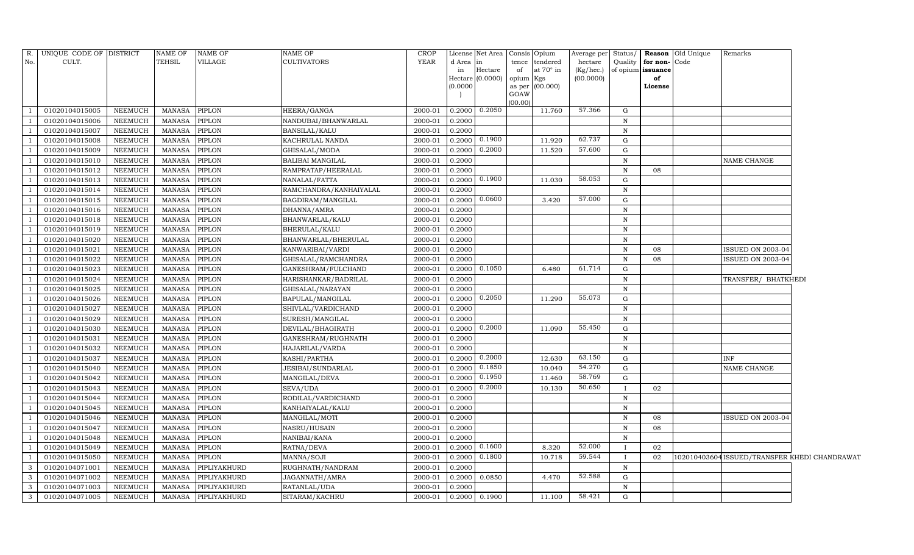| R.  | UNIQUE CODE OF DISTRICT |                | <b>NAME OF</b> | NAME OF       | NAME OF                  | <b>CROP</b> |                     | License Net Area |           | Consis Opium    | Average per Status/ |              |                   | <b>Reason</b> Old Unique | Remarks                                       |  |
|-----|-------------------------|----------------|----------------|---------------|--------------------------|-------------|---------------------|------------------|-----------|-----------------|---------------------|--------------|-------------------|--------------------------|-----------------------------------------------|--|
| No. | CULT.                   |                | <b>TEHSIL</b>  | VILLAGE       | <b>CULTIVATORS</b>       | <b>YEAR</b> | d Area              | in               |           | tence tendered  | hectare             | Quality      | for non-Code      |                          |                                               |  |
|     |                         |                |                |               |                          |             | in                  | Hectare          | of        | at 70° in       | (Kg/hec.)           |              | of opium issuance |                          |                                               |  |
|     |                         |                |                |               |                          |             | Hectare<br>(0.0000) | (0.0000)         | opium Kgs | as per (00.000) | (00.0000)           |              | of<br>License     |                          |                                               |  |
|     |                         |                |                |               |                          |             |                     |                  | GOAW      |                 |                     |              |                   |                          |                                               |  |
|     |                         |                |                |               |                          |             |                     |                  | (00.00)   |                 |                     |              |                   |                          |                                               |  |
|     | 01020104015005          | <b>NEEMUCH</b> | <b>MANASA</b>  | PIPLON        | HEERA/GANGA              | 2000-01     | 0.2000              | 0.2050           |           | 11.760          | 57.366              | $\mathbf{G}$ |                   |                          |                                               |  |
|     | 01020104015006          | <b>NEEMUCH</b> | <b>MANASA</b>  | <b>PIPLON</b> | NANDUBAI/BHANWARLAL      | 2000-01     | 0.2000              |                  |           |                 |                     | N            |                   |                          |                                               |  |
|     | 01020104015007          | <b>NEEMUCH</b> | <b>MANASA</b>  | PIPLON        | BANSILAL/KALU            | 2000-01     | 0.2000              |                  |           |                 |                     | N            |                   |                          |                                               |  |
|     | 01020104015008          | NEEMUCH        | <b>MANASA</b>  | PIPLON        | KACHRULAL NANDA          | 2000-01     | 0.2000              | 0.1900           |           | 11.920          | 62.737              | G            |                   |                          |                                               |  |
|     | 01020104015009          | NEEMUCH        | <b>MANASA</b>  | PIPLON        | GHISALAL/MODA            | 2000-01     | 0.2000              | 0.2000           |           | 11.520          | 57.600              | ${\rm G}$    |                   |                          |                                               |  |
|     | 01020104015010          | <b>NEEMUCH</b> | <b>MANASA</b>  | PIPLON        | <b>BALIBAI MANGILAL</b>  | 2000-01     | 0.2000              |                  |           |                 |                     | $\, {\rm N}$ |                   |                          | NAME CHANGE                                   |  |
|     | 01020104015012          | NEEMUCH        | <b>MANASA</b>  | PIPLON        | RAMPRATAP/HEERALAL       | 2000-01     | 0.2000              |                  |           |                 |                     | $\, {\rm N}$ | 08                |                          |                                               |  |
|     | 01020104015013          | <b>NEEMUCH</b> | <b>MANASA</b>  | PIPLON        | NANALAL/FATTA            | 2000-01     | 0.2000              | 0.1900           |           | 11.030          | 58.053              | ${\rm G}$    |                   |                          |                                               |  |
|     | 01020104015014          | <b>NEEMUCH</b> | <b>MANASA</b>  | PIPLON        | RAMCHANDRA/KANHAIYALAL   | 2000-01     | 0.2000              |                  |           |                 |                     | $\mathbf N$  |                   |                          |                                               |  |
|     | 01020104015015          | <b>NEEMUCH</b> | <b>MANASA</b>  | PIPLON        | BAGDIRAM/MANGILAL        | 2000-01     | 0.2000              | 0.0600           |           | 3.420           | 57.000              | G            |                   |                          |                                               |  |
|     | 01020104015016          | <b>NEEMUCH</b> | <b>MANASA</b>  | PIPLON        | DHANNA/AMRA              | 2000-01     | 0.2000              |                  |           |                 |                     | $\mathbf N$  |                   |                          |                                               |  |
|     | 01020104015018          | <b>NEEMUCH</b> | <b>MANASA</b>  | PIPLON        | BHANWARLAL/KALU          | 2000-01     | 0.2000              |                  |           |                 |                     | $\, {\rm N}$ |                   |                          |                                               |  |
|     | 01020104015019          | NEEMUCH        | <b>MANASA</b>  | PIPLON        | BHERULAL/KALU            | 2000-01     | 0.2000              |                  |           |                 |                     | $\, {\rm N}$ |                   |                          |                                               |  |
|     | 01020104015020          | <b>NEEMUCH</b> | <b>MANASA</b>  | PIPLON        | BHANWARLAL/BHERULAL      | 2000-01     | 0.2000              |                  |           |                 |                     | ${\bf N}$    |                   |                          |                                               |  |
|     | 01020104015021          | NEEMUCH        | <b>MANASA</b>  | PIPLON        | KANWARIBAI/VARDI         | 2000-01     | 0.2000              |                  |           |                 |                     | N            | 08                |                          | ISSUED ON 2003-04                             |  |
|     | 01020104015022          | <b>NEEMUCH</b> | <b>MANASA</b>  | PIPLON        | GHISALAL/RAMCHANDRA      | 2000-01     | 0.2000              |                  |           |                 |                     | $\mathbf N$  | 08                |                          | <b>ISSUED ON 2003-04</b>                      |  |
|     | 01020104015023          | NEEMUCH        | <b>MANASA</b>  | PIPLON        | GANESHRAM/FULCHAND       | 2000-01     | 0.2000              | 0.1050           |           | 6.480           | 61.714              | G            |                   |                          |                                               |  |
|     | 01020104015024          | NEEMUCH        | <b>MANASA</b>  | PIPLON        | HARISHANKAR/BADRILAL     | 2000-01     | 0.2000              |                  |           |                 |                     | $\, {\rm N}$ |                   |                          | TRANSFER/ BHATKHEDI                           |  |
|     | 01020104015025          | <b>NEEMUCH</b> | <b>MANASA</b>  | PIPLON        | GHISALAL/NARAYAN         | 2000-01     | 0.2000              |                  |           |                 |                     | $\, {\rm N}$ |                   |                          |                                               |  |
|     | 01020104015026          | <b>NEEMUCH</b> | <b>MANASA</b>  | PIPLON        | BAPULAL/MANGILAL         | 2000-01     | 0.2000              | 0.2050           |           | 11.290          | 55.073              | G            |                   |                          |                                               |  |
|     | 01020104015027          | NEEMUCH        | <b>MANASA</b>  | PIPLON        | SHIVLAL/VARDICHAND       | 2000-01     | 0.2000              |                  |           |                 |                     | $\, {\rm N}$ |                   |                          |                                               |  |
|     | 01020104015029          | <b>NEEMUCH</b> | <b>MANASA</b>  | PIPLON        | SURESH/MANGILAL          | 2000-01     | 0.2000              |                  |           |                 |                     | $\, {\rm N}$ |                   |                          |                                               |  |
|     | 01020104015030          | <b>NEEMUCH</b> | <b>MANASA</b>  | PIPLON        | DEVILAL/BHAGIRATH        | 2000-01     | 0.2000              | 0.2000           |           | 11.090          | 55.450              | G            |                   |                          |                                               |  |
|     | 01020104015031          | <b>NEEMUCH</b> | <b>MANASA</b>  | PIPLON        | GANESHRAM/RUGHNATH       | 2000-01     | 0.2000              |                  |           |                 |                     | $\, {\rm N}$ |                   |                          |                                               |  |
|     | 01020104015032          | <b>NEEMUCH</b> | <b>MANASA</b>  | PIPLON        | HAJARILAL/VARDA          | 2000-01     | 0.2000              |                  |           |                 |                     | $\, {\rm N}$ |                   |                          |                                               |  |
|     | 01020104015037          | <b>NEEMUCH</b> | <b>MANASA</b>  | PIPLON        | KASHI/PARTHA             | 2000-01     | 0.2000              | 0.2000           |           | 12.630          | 63.150              | G            |                   |                          | <b>INF</b>                                    |  |
|     | 01020104015040          | <b>NEEMUCH</b> | <b>MANASA</b>  | PIPLON        | <b>JESIBAI/SUNDARLAL</b> | 2000-01     | 0.2000              | 0.1850           |           | 10.040          | 54.270              | G            |                   |                          | NAME CHANGE                                   |  |
|     | 01020104015042          | <b>NEEMUCH</b> | <b>MANASA</b>  | PIPLON        | MANGILAL/DEVA            | 2000-01     | 0.2000              | 0.1950           |           | 11.460          | 58.769              | $\mathbf G$  |                   |                          |                                               |  |
|     | 01020104015043          | <b>NEEMUCH</b> | <b>MANASA</b>  | PIPLON        | SEVA/UDA                 | 2000-01     | 0.2000              | 0.2000           |           | 10.130          | 50.650              |              | 02                |                          |                                               |  |
|     | 01020104015044          | NEEMUCH        | <b>MANASA</b>  | PIPLON        | RODILAL/VARDICHAND       | 2000-01     | 0.2000              |                  |           |                 |                     | $\mathbf N$  |                   |                          |                                               |  |
|     | 01020104015045          | NEEMUCH        | <b>MANASA</b>  | PIPLON        | KANHAIYALAL/KALU         | 2000-01     | 0.2000              |                  |           |                 |                     | $\, {\rm N}$ |                   |                          |                                               |  |
|     | 01020104015046          | NEEMUCH        | <b>MANASA</b>  | PIPLON        | MANGILAL/MOTI            | 2000-01     | 0.2000              |                  |           |                 |                     | $\, {\rm N}$ | 08                |                          | ISSUED ON 2003-04                             |  |
|     | 01020104015047          | NEEMUCH        | <b>MANASA</b>  | PIPLON        | NASRU/HUSAIN             | 2000-01     | 0.2000              |                  |           |                 |                     | $\, {\rm N}$ | 08                |                          |                                               |  |
|     | 01020104015048          | NEEMUCH        | <b>MANASA</b>  | PIPLON        | NANIBAI/KANA             | 2000-01     | 0.2000              |                  |           |                 |                     | $\, {\rm N}$ |                   |                          |                                               |  |
|     | 01020104015049          | <b>NEEMUCH</b> | <b>MANASA</b>  | PIPLON        | RATNA/DEVA               | 2000-01     | 0.2000              | 0.1600           |           | 8.320           | 52.000              |              | 02                |                          |                                               |  |
|     | 01020104015050          | <b>NEEMUCH</b> | <b>MANASA</b>  | PIPLON        | MANNA/SOJI               | 2000-01     | 0.2000              | 0.1800           |           | 10.718          | 59.544              |              | 02                |                          | 102010403604 ISSUED/TRANSFER KHEDI CHANDRAWAT |  |
| 3   | 01020104071001          | <b>NEEMUCH</b> | <b>MANASA</b>  | PIPLIYAKHURD  | RUGHNATH/NANDRAM         | 2000-01     | 0.2000              |                  |           |                 |                     | $\, {\rm N}$ |                   |                          |                                               |  |
| 3   | 01020104071002          | <b>NEEMUCH</b> | <b>MANASA</b>  | PIPLIYAKHURD  | JAGANNATH/AMRA           | 2000-01     | 0.2000              | 0.0850           |           | 4.470           | 52.588              | $\mathbf G$  |                   |                          |                                               |  |
| 3   | 01020104071003          | NEEMUCH        | <b>MANASA</b>  | PIPLIYAKHURD  | RATANLAL/UDA             | 2000-01     | 0.2000              |                  |           |                 |                     | N            |                   |                          |                                               |  |
| 3   | 01020104071005          | <b>NEEMUCH</b> | <b>MANASA</b>  | PIPLIYAKHURD  | SITARAM/KACHRU           | 2000-01     |                     | 0.2000 0.1900    |           | 11.100          | 58.421              | G            |                   |                          |                                               |  |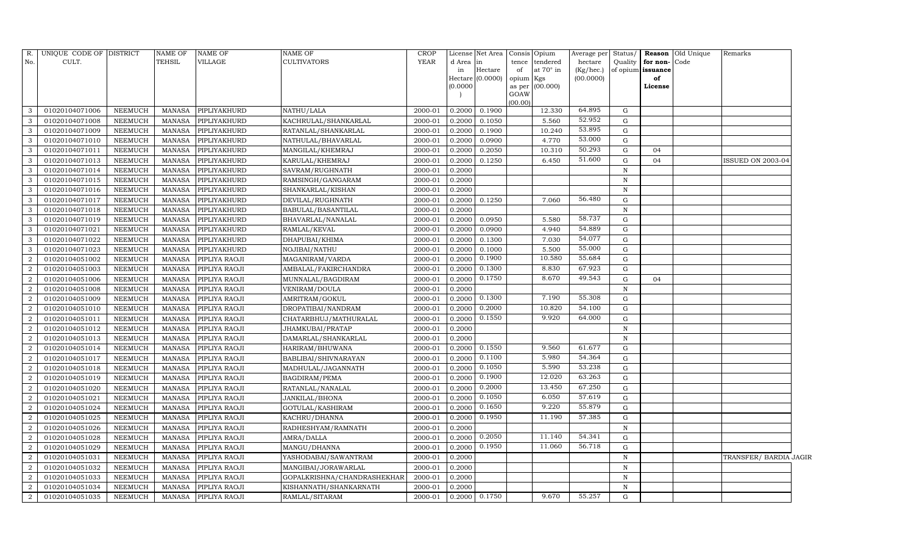| R.             | UNIQUE CODE OF DISTRICT |                | <b>NAME OF</b> | <b>NAME OF</b> | NAME OF                     | <b>CROP</b> |          | License Net Area Consis Opium |           |                 | Average per Status/ |              |                   | <b>Reason Old Unique</b> | Remarks                |  |
|----------------|-------------------------|----------------|----------------|----------------|-----------------------------|-------------|----------|-------------------------------|-----------|-----------------|---------------------|--------------|-------------------|--------------------------|------------------------|--|
| No.            | CULT.                   |                | <b>TEHSIL</b>  | VILLAGE        | <b>CULTIVATORS</b>          | YEAR        | d Area   | in                            | tence     | tendered        | hectare             | Quality      | for non-Code      |                          |                        |  |
|                |                         |                |                |                |                             |             | in       | Hectare                       | of        | at 70° in       | (Kg/hec.)           |              | of opium issuance |                          |                        |  |
|                |                         |                |                |                |                             |             | (0.0000) | Hectare (0.0000)              | opium Kgs | as per (00.000) | (00.0000)           |              | of<br>License     |                          |                        |  |
|                |                         |                |                |                |                             |             |          |                               | GOAW      |                 |                     |              |                   |                          |                        |  |
|                |                         |                |                |                |                             |             |          |                               | (00.00)   |                 |                     |              |                   |                          |                        |  |
| 3              | 01020104071006          | <b>NEEMUCH</b> | <b>MANASA</b>  | PIPLIYAKHURD   | NATHU/LALA                  | 2000-01     | 0.2000   | 0.1900                        |           | 12.330          | 64.895              | G            |                   |                          |                        |  |
| 3              | 01020104071008          | <b>NEEMUCH</b> | MANASA         | PIPLIYAKHURD   | KACHRULAL/SHANKARLAL        | 2000-01     | 0.2000   | 0.1050                        |           | 5.560           | 52.952              | G            |                   |                          |                        |  |
| 3              | 01020104071009          | NEEMUCH        | <b>MANASA</b>  | PIPLIYAKHURD   | RATANLAL/SHANKARLAL         | 2000-01     | 0.2000   | 0.1900                        |           | 10.240          | 53.895              | G            |                   |                          |                        |  |
| 3              | 01020104071010          | <b>NEEMUCH</b> | MANASA         | PIPLIYAKHURD   | NATHULAL/BHAVARLAL          | 2000-01     | 0.2000   | 0.0900                        |           | 4.770           | 53.000              | G            |                   |                          |                        |  |
| 3              | 01020104071011          | <b>NEEMUCH</b> | <b>MANASA</b>  | PIPLIYAKHURD   | MANGILAL/KHEMRAJ            | 2000-01     | 0.2000   | 0.2050                        |           | 10.310          | 50.293              | G            | 04                |                          |                        |  |
| 3              | 01020104071013          | NEEMUCH        | <b>MANASA</b>  | PIPLIYAKHURD   | KARULAL/KHEMRAJ             | 2000-01     | 0.2000   | 0.1250                        |           | 6.450           | 51.600              | G            | 04                |                          | ISSUED ON 2003-04      |  |
| 3              | 01020104071014          | <b>NEEMUCH</b> | <b>MANASA</b>  | PIPLIYAKHURD   | SAVRAM/RUGHNATH             | 2000-01     | 0.2000   |                               |           |                 |                     | $\mathbf N$  |                   |                          |                        |  |
| 3              | 01020104071015          | <b>NEEMUCH</b> | <b>MANASA</b>  | PIPLIYAKHURD   | RAMSINGH/GANGARAM           | 2000-01     | 0.2000   |                               |           |                 |                     | $\mathbf N$  |                   |                          |                        |  |
| 3              | 01020104071016          | <b>NEEMUCH</b> | <b>MANASA</b>  | PIPLIYAKHURD   | SHANKARLAL/KISHAN           | 2000-01     | 0.2000   |                               |           |                 |                     | $\mathbf N$  |                   |                          |                        |  |
| 3              | 01020104071017          | <b>NEEMUCH</b> | <b>MANASA</b>  | PIPLIYAKHURD   | DEVILAL/RUGHNATH            | 2000-01     | 0.2000   | 0.1250                        |           | 7.060           | 56.480              | G            |                   |                          |                        |  |
| 3              | 01020104071018          | <b>NEEMUCH</b> | <b>MANASA</b>  | PIPLIYAKHURD   | BABULAL/BASANTILAL          | 2000-01     | 0.2000   |                               |           |                 |                     | $\mathbf N$  |                   |                          |                        |  |
| 3              | 01020104071019          | <b>NEEMUCH</b> | <b>MANASA</b>  | PIPLIYAKHURD   | BHAVARLAL/NANALAL           | 2000-01     | 0.2000   | 0.0950                        |           | 5.580           | 58.737              | G            |                   |                          |                        |  |
| 3              | 01020104071021          | <b>NEEMUCH</b> | <b>MANASA</b>  | PIPLIYAKHURD   | RAMLAL/KEVAL                | 2000-01     | 0.2000   | 0.0900                        |           | 4.940           | 54.889              | G            |                   |                          |                        |  |
| 3              | 01020104071022          | <b>NEEMUCH</b> | <b>MANASA</b>  | PIPLIYAKHURD   | DHAPUBAI/KHIMA              | 2000-01     | 0.2000   | 0.1300                        |           | 7.030           | 54.077              | G            |                   |                          |                        |  |
| 3              | 01020104071023          | <b>NEEMUCH</b> | <b>MANASA</b>  | PIPLIYAKHURD   | NOJIBAI/NATHU               | 2000-01     | 0.2000   | 0.1000                        |           | 5.500           | 55.000              | G            |                   |                          |                        |  |
| 2              | 01020104051002          | <b>NEEMUCH</b> | <b>MANASA</b>  | PIPLIYA RAOJI  | MAGANIRAM/VARDA             | 2000-01     | 0.2000   | 0.1900                        |           | 10.580          | 55.684              | G            |                   |                          |                        |  |
| $\overline{2}$ | 01020104051003          | <b>NEEMUCH</b> | <b>MANASA</b>  | PIPLIYA RAOJI  | AMBALAL/FAKIRCHANDRA        | 2000-01     | 0.2000   | 0.1300                        |           | 8.830           | 67.923              | G            |                   |                          |                        |  |
| $\overline{2}$ | 01020104051006          | <b>NEEMUCH</b> | <b>MANASA</b>  | PIPLIYA RAOJI  | MUNNALAL/BAGDIRAM           | 2000-01     | 0.2000   | 0.1750                        |           | 8.670           | 49.543              | G            | 04                |                          |                        |  |
| $\overline{2}$ | 01020104051008          | NEEMUCH        | <b>MANASA</b>  | PIPLIYA RAOJI  | VENIRAM/DOULA               | 2000-01     | 0.2000   |                               |           |                 |                     | N            |                   |                          |                        |  |
| $\overline{2}$ | 01020104051009          | <b>NEEMUCH</b> | <b>MANASA</b>  | PIPLIYA RAOJI  | AMRITRAM/GOKUL              | 2000-01     | 0.2000   | 0.1300                        |           | 7.190           | 55.308              | G            |                   |                          |                        |  |
| $\overline{2}$ | 01020104051010          | NEEMUCH        | <b>MANASA</b>  | PIPLIYA RAOJI  | DROPATIBAI/NANDRAM          | 2000-01     | 0.2000   | 0.2000                        |           | 10.820          | 54.100              | G            |                   |                          |                        |  |
| $\overline{2}$ | 01020104051011          | <b>NEEMUCH</b> | <b>MANASA</b>  | PIPLIYA RAOJI  | CHATARBHUJ/MATHURALAL       | 2000-01     | 0.2000   | 0.1550                        |           | 9.920           | 64.000              | G            |                   |                          |                        |  |
| $\overline{2}$ | 01020104051012          | NEEMUCH        | <b>MANASA</b>  | PIPLIYA RAOJI  | JHAMKUBAI/PRATAP            | 2000-01     | 0.2000   |                               |           |                 |                     | $\mathbf N$  |                   |                          |                        |  |
| $\overline{2}$ | 01020104051013          | NEEMUCH        | <b>MANASA</b>  | PIPLIYA RAOJI  | DAMARLAL/SHANKARLAL         | 2000-01     | 0.2000   |                               |           |                 |                     | N            |                   |                          |                        |  |
| $\overline{2}$ | 01020104051014          | NEEMUCH        | <b>MANASA</b>  | PIPLIYA RAOJI  | HARIRAM/BHUWANA             | 2000-01     | 0.2000   | 0.1550                        |           | 9.560           | 61.677              | G            |                   |                          |                        |  |
| $\overline{2}$ | 01020104051017          | <b>NEEMUCH</b> | <b>MANASA</b>  | PIPLIYA RAOJI  | BABLIBAI/SHIVNARAYAN        | 2000-01     | 0.2000   | 0.1100                        |           | 5.980           | 54.364              | G            |                   |                          |                        |  |
| $\overline{2}$ | 01020104051018          | NEEMUCH        | <b>MANASA</b>  | PIPLIYA RAOJI  | MADHULAL/JAGANNATH          | 2000-01     | 0.2000   | 0.1050                        |           | 5.590           | 53.238              | G            |                   |                          |                        |  |
| $\overline{2}$ | 01020104051019          | <b>NEEMUCH</b> | <b>MANASA</b>  | PIPLIYA RAOJI  | <b>BAGDIRAM/PEMA</b>        | 2000-01     | 0.2000   | 0.1900                        |           | 12.020          | 63.263              | G            |                   |                          |                        |  |
| $\overline{2}$ | 01020104051020          | NEEMUCH        | MANASA         | PIPLIYA RAOJI  | RATANLAL/NANALAL            | 2000-01     | 0.2000   | 0.2000                        |           | 13.450          | 67.250              | G            |                   |                          |                        |  |
| $\overline{2}$ | 01020104051021          | <b>NEEMUCH</b> | <b>MANASA</b>  | PIPLIYA RAOJI  | JANKILAL/BHONA              | 2000-01     | 0.2000   | 0.1050                        |           | 6.050           | 57.619              | G            |                   |                          |                        |  |
| $\overline{a}$ | 01020104051024          | <b>NEEMUCH</b> | <b>MANASA</b>  | PIPLIYA RAOJI  | GOTULAL/KASHIRAM            | 2000-01     | 0.2000   | 0.1650                        |           | 9.220           | 55.879              | G            |                   |                          |                        |  |
| $\overline{a}$ | 01020104051025          | <b>NEEMUCH</b> | <b>MANASA</b>  | PIPLIYA RAOJI  | KACHRU/DHANNA               | 2000-01     | 0.2000   | 0.1950                        |           | 11.190          | 57.385              | G            |                   |                          |                        |  |
| $\overline{2}$ | 01020104051026          | <b>NEEMUCH</b> | <b>MANASA</b>  | PIPLIYA RAOJI  | RADHESHYAM/RAMNATH          | 2000-01     | 0.2000   |                               |           |                 |                     | $\, {\bf N}$ |                   |                          |                        |  |
| $\overline{2}$ | 01020104051028          | <b>NEEMUCH</b> | <b>MANASA</b>  | PIPLIYA RAOJI  | AMRA/DALLA                  | 2000-01     | 0.2000   | 0.2050                        |           | 11.140          | 54.341              | G            |                   |                          |                        |  |
| 2              | 01020104051029          | <b>NEEMUCH</b> | <b>MANASA</b>  | PIPLIYA RAOJI  | MANGU/DHANNA                | 2000-01     | 0.2000   | 0.1950                        |           | 11.060          | 56.718              | G            |                   |                          |                        |  |
| $\overline{2}$ | 01020104051031          | <b>NEEMUCH</b> | <b>MANASA</b>  | PIPLIYA RAOJI  | YASHODABAI/SAWANTRAM        | 2000-01     | 0.2000   |                               |           |                 |                     | $\, {\bf N}$ |                   |                          | TRANSFER/ BARDIA JAGIR |  |
| $\overline{2}$ | 01020104051032          | <b>NEEMUCH</b> | <b>MANASA</b>  | PIPLIYA RAOJI  | MANGIBAI/JORAWARLAL         | 2000-01     | 0.2000   |                               |           |                 |                     | $\, {\bf N}$ |                   |                          |                        |  |
| $\overline{2}$ | 01020104051033          | <b>NEEMUCH</b> | <b>MANASA</b>  | PIPLIYA RAOJI  | GOPALKRISHNA/CHANDRASHEKHAR | 2000-01     | 0.2000   |                               |           |                 |                     | $\mathbb N$  |                   |                          |                        |  |
| 2              | 01020104051034          | <b>NEEMUCH</b> | <b>MANASA</b>  | PIPLIYA RAOJI  | KISHANNATH/SHANKARNATH      | 2000-01     | 0.2000   |                               |           |                 |                     | N            |                   |                          |                        |  |
| $\overline{2}$ | 01020104051035          | NEEMUCH        | MANASA         | PIPLIYA RAOJI  | RAMLAL/SITARAM              | 2000-01     | 0.2000   | 0.1750                        |           | 9.670           | 55.257              | G            |                   |                          |                        |  |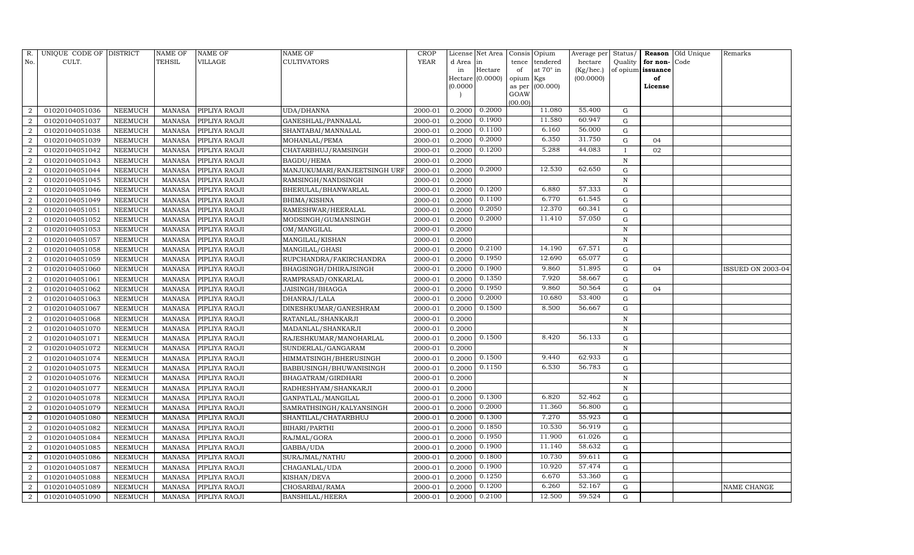| R.                     | UNIQUE CODE OF DISTRICT |                | NAME OF       | NAME OF              | NAME OF                      | CROP        |           | License Net Area | Consis         | Opium     | Average per  | Status/      | Reason            | Old Unique | Remarks           |
|------------------------|-------------------------|----------------|---------------|----------------------|------------------------------|-------------|-----------|------------------|----------------|-----------|--------------|--------------|-------------------|------------|-------------------|
| No.                    | CULT.                   |                | TEHSIL        | VILLAGE              | <b>CULTIVATORS</b>           | <b>YEAR</b> | d Area in |                  | tence          | tendered  | hectare      | Quality      | for non-          | Code       |                   |
|                        |                         |                |               |                      |                              |             | in        | Hectare          | of             | at 70° in | $(Kg/$ hec.) |              | of opium issuance |            |                   |
|                        |                         |                |               |                      |                              |             |           | Hectare (0.0000) | opium Kgs      |           | (00.0000)    |              | of                |            |                   |
|                        |                         |                |               |                      |                              |             | (0.0000)  |                  | as per<br>GOAW | (00.000)  |              |              | License           |            |                   |
|                        |                         |                |               |                      |                              |             |           |                  | (00.00)        |           |              |              |                   |            |                   |
|                        | 01020104051036          | NEEMUCH        | MANASA        | PIPLIYA RAOJI        | UDA/DHANNA                   | 2000-01     | 0.2000    | 0.2000           |                | 11.080    | 55.400       | G            |                   |            |                   |
| $\overline{2}$         | 01020104051037          | <b>NEEMUCH</b> | <b>MANASA</b> | PIPLIYA RAOJI        | GANESHLAL/PANNALAL           | 2000-01     | 0.2000    | 0.1900           |                | 11.580    | 60.947       | G            |                   |            |                   |
| 2                      | 01020104051038          | NEEMUCH        | MANASA        | PIPLIYA RAOJI        | SHANTABAI/MANNALAL           | 2000-01     | 0.2000    | 0.1100           |                | 6.160     | 56.000       | G            |                   |            |                   |
| $\overline{2}$         | 01020104051039          | NEEMUCH        | <b>MANASA</b> | PIPLIYA RAOJI        | MOHANLAL/PEMA                | 2000-01     | 0.2000    | 0.2000           |                | 6.350     | 31.750       | $\mathbf G$  | 04                |            |                   |
| 2                      | 01020104051042          | NEEMUCH        | <b>MANASA</b> | PIPLIYA RAOJI        | CHATARBHUJ/RAMSINGH          | 2000-01     | 0.2000    | 0.1200           |                | 5.288     | 44.083       | $\mathbf{I}$ | 02                |            |                   |
|                        | 01020104051043          | NEEMUCH        | <b>MANASA</b> | PIPLIYA RAOJI        | <b>BAGDU/HEMA</b>            | 2000-01     | 0.2000    |                  |                |           |              | $\mathbf N$  |                   |            |                   |
| $\overline{2}$         | 01020104051044          | NEEMUCH        | <b>MANASA</b> | PIPLIYA RAOJI        | MANJUKUMARI/RANJEETSINGH URF | 2000-01     | 0.2000    | 0.2000           |                | 12.530    | 62.650       | G            |                   |            |                   |
| $\overline{2}$         | 01020104051045          | NEEMUCH        | <b>MANASA</b> | PIPLIYA RAOJI        | RAMSINGH/NANDSINGH           | 2000-01     | 0.2000    |                  |                |           |              | ${\bf N}$    |                   |            |                   |
| 2                      | 01020104051046          | NEEMUCH        | MANASA        | PIPLIYA RAOJI        | BHERULAL/BHANWARLAL          | 2000-01     | 0.2000    | 0.1200           |                | 6.880     | 57.333       | G            |                   |            |                   |
|                        | 01020104051049          | NEEMUCH        | <b>MANASA</b> | PIPLIYA RAOJI        | <b>BHIMA/KISHNA</b>          | 2000-01     | 0.2000    | 0.1100           |                | 6.770     | 61.545       | ${\rm G}$    |                   |            |                   |
| 2                      | 01020104051051          | NEEMUCH        | <b>MANASA</b> | PIPLIYA RAOJI        | RAMESHWAR/HEERALAL           | 2000-01     | 0.2000    | 0.2050           |                | 12.370    | 60.341       | ${\rm G}$    |                   |            |                   |
| $\overline{2}$         | 01020104051052          | NEEMUCH        | <b>MANASA</b> | PIPLIYA RAOJI        | MODSINGH/GUMANSINGH          | 2000-01     | 0.2000    | 0.2000           |                | 11.410    | 57.050       | ${\rm G}$    |                   |            |                   |
| $\overline{2}$         | 01020104051053          | <b>NEEMUCH</b> | <b>MANASA</b> | PIPLIYA RAOJI        | OM/MANGILAL                  | 2000-01     | 0.2000    |                  |                |           |              | N            |                   |            |                   |
| 2                      | 01020104051057          | NEEMUCH        | <b>MANASA</b> | PIPLIYA RAOJI        | MANGILAL/KISHAN              | 2000-01     | 0.2000    |                  |                |           |              | N            |                   |            |                   |
| $\overline{2}$         | 01020104051058          | NEEMUCH        | <b>MANASA</b> | PIPLIYA RAOJI        | MANGILAL/GHASI               | 2000-01     | 0.2000    | 0.2100           |                | 14.190    | 67.571       | ${\rm G}$    |                   |            |                   |
| 2                      | 01020104051059          | NEEMUCH        | <b>MANASA</b> | PIPLIYA RAOJI        | RUPCHANDRA/FAKIRCHANDRA      | 2000-01     | 0.2000    | 0.1950           |                | 12.690    | 65.077       | ${\rm G}$    |                   |            |                   |
| $\mathcal{D}$          | 01020104051060          | <b>NEEMUCH</b> | <b>MANASA</b> | PIPLIYA RAOJI        | BHAGSINGH/DHIRAJSINGH        | 2000-01     | 0.2000    | 0.1900           |                | 9.860     | 51.895       | $\mathbf G$  | 04                |            | ISSUED ON 2003-04 |
| $\overline{2}$         | 01020104051061          | NEEMUCH        | <b>MANASA</b> | PIPLIYA RAOJI        | RAMPRASAD/ONKARLAL           | 2000-01     | 0.2000    | 0.1350           |                | 7.920     | 58.667       | G            |                   |            |                   |
| $\overline{2}$         | 01020104051062          | NEEMUCH        | <b>MANASA</b> | PIPLIYA RAOJI        | JAISINGH/BHAGGA              | 2000-01     | 0.2000    | 0.1950           |                | 9.860     | 50.564       | ${\rm G}$    | 04                |            |                   |
| $\overline{2}$         | 01020104051063          | NEEMUCH        | <b>MANASA</b> | PIPLIYA RAOJI        | DHANRAJ/LALA                 | 2000-01     | 0.2000    | 0.2000           |                | 10.680    | 53.400       | G            |                   |            |                   |
|                        | 01020104051067          | NEEMUCH        | <b>MANASA</b> | PIPLIYA RAOJI        | DINESHKUMAR/GANESHRAM        | 2000-01     | 0.2000    | 0.1500           |                | 8.500     | 56.667       | ${\rm G}$    |                   |            |                   |
| $\overline{2}$         | 01020104051068          | NEEMUCH        | <b>MANASA</b> | PIPLIYA RAOJI        | RATANLAL/SHANKARJI           | 2000-01     | 0.2000    |                  |                |           |              | N            |                   |            |                   |
| 2                      | 01020104051070          | NEEMUCH        | MANASA        | PIPLIYA RAOJI        | MADANLAL/SHANKARJI           | 2000-01     | 0.2000    |                  |                |           |              | $\mathbf N$  |                   |            |                   |
| $\overline{2}$         | 01020104051071          | NEEMUCH        | <b>MANASA</b> | PIPLIYA RAOJI        | RAJESHKUMAR/MANOHARLAL       | 2000-01     | 0.2000    | 0.1500           |                | 8.420     | 56.133       | $\mathbf G$  |                   |            |                   |
| $\overline{2}$         | 01020104051072          | <b>NEEMUCH</b> | <b>MANASA</b> | PIPLIYA RAOJI        | SUNDERLAL/GANGARAM           | 2000-01     | 0.2000    |                  |                |           |              | $\mathbf N$  |                   |            |                   |
| $\overline{2}$         | 01020104051074          | NEEMUCH        | MANASA        | PIPLIYA RAOJI        | HIMMATSINGH/BHERUSINGH       | 2000-01     | 0.2000    | 0.1500           |                | 9.440     | 62.933       | ${\rm G}$    |                   |            |                   |
| 2                      | 01020104051075          | NEEMUCH        | <b>MANASA</b> | PIPLIYA RAOJI        | BABBUSINGH/BHUWANISINGH      | 2000-01     | 0.2000    | 0.1150           |                | 6.530     | 56.783       | ${\rm G}$    |                   |            |                   |
| $\mathcal{D}$          | 01020104051076          | <b>NEEMUCH</b> | <b>MANASA</b> | PIPLIYA RAOJI        | BHAGATRAM/GIRDHARI           | 2000-01     | 0.2000    |                  |                |           |              | $\mathbf N$  |                   |            |                   |
| $\overline{2}$         | 01020104051077          | NEEMUCH        | <b>MANASA</b> | PIPLIYA RAOJI        | RADHESHYAM/SHANKARJI         | 2000-01     | 0.2000    |                  |                |           |              | N            |                   |            |                   |
| $\overline{2}$         | 01020104051078          | <b>NEEMUCH</b> | <b>MANASA</b> | PIPLIYA RAOJI        | GANPATLAL/MANGILAL           | 2000-01     | 0.2000    | 0.1300           |                | 6.820     | 52.462       | ${\rm G}$    |                   |            |                   |
| $\overline{2}$         | 01020104051079          | NEEMUCH        | <b>MANASA</b> | PIPLIYA RAOJI        | SAMRATHSINGH/KALYANSINGH     | 2000-01     | 0.2000    | 0.2000           |                | 11.360    | 56.800       | G            |                   |            |                   |
| $\mathcal{D}$          | 01020104051080          | NEEMUCH        | <b>MANASA</b> | PIPLIYA RAOJI        | SHANTILAL/CHATARBHUJ         | 2000-01     | 0.2000    | 0.1300           |                | 7.270     | 55.923       | ${\rm G}$    |                   |            |                   |
| $\mathcal{D}_{\alpha}$ | 01020104051082          | <b>NEEMUCH</b> | <b>MANASA</b> | PIPLIYA RAOJI        | BIHARI/PARTHI                | 2000-01     | 0.2000    | 0.1850           |                | 10.530    | 56.919       | ${\rm G}$    |                   |            |                   |
| $\mathcal{D}$          | 01020104051084          | NEEMUCH        | <b>MANASA</b> | PIPLIYA RAOJI        | RAJMAL/GORA                  | 2000-01     | 0.2000    | 0.1950           |                | 11.900    | 61.026       | ${\rm G}$    |                   |            |                   |
| 2                      | 01020104051085          | <b>NEEMUCH</b> | <b>MANASA</b> | PIPLIYA RAOJI        | GABBA/UDA                    | 2000-01     | 0.2000    | 0.1900           |                | 11.140    | 58.632       | G            |                   |            |                   |
| $\overline{2}$         | 01020104051086          | <b>NEEMUCH</b> | <b>MANASA</b> | PIPLIYA RAOJI        | SURAJMAL/NATHU               | 2000-01     | 0.2000    | 0.1800           |                | 10.730    | 59.611       | ${\rm G}$    |                   |            |                   |
| $\mathcal{D}$          | 01020104051087          | NEEMUCH        | MANASA        | PIPLIYA RAOJI        | CHAGANLAL/UDA                | 2000-01     | 0.2000    | 0.1900           |                | 10.920    | 57.474       | ${\rm G}$    |                   |            |                   |
| 2                      | 01020104051088          | NEEMUCH        | <b>MANASA</b> | PIPLIYA RAOJI        | KISHAN/DEVA                  | 2000-01     | 0.2000    | 0.1250           |                | 6.670     | 53.360       | ${\rm G}$    |                   |            |                   |
| $\overline{2}$         | 01020104051089          | NEEMUCH        | <b>MANASA</b> | PIPLIYA RAOJI        | CHOSARBAI/RAMA               | 2000-01     | 0.2000    | 0.1200           |                | 6.260     | 52.167       | $\mathbf G$  |                   |            | NAME CHANGE       |
| $\overline{2}$         | 01020104051090          | NEEMUCH        |               | MANASA PIPLIYA RAOJI | <b>BANSHILAL/HEERA</b>       | 2000-01     | 0.2000    | 0.2100           |                | 12.500    | 59.524       | G            |                   |            |                   |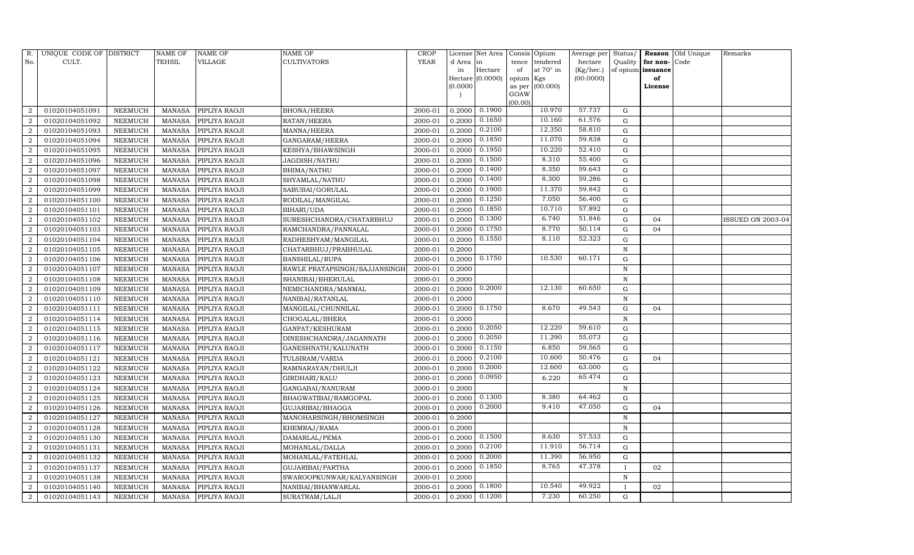| R.             | UNIQUE CODE OF DISTRICT |                | <b>NAME OF</b> | NAME OF       | NAME OF                       | CROP        |           | License Net Area |                | Consis Opium | Average per | Status/      | Reason            | Old Unique | Remarks           |
|----------------|-------------------------|----------------|----------------|---------------|-------------------------------|-------------|-----------|------------------|----------------|--------------|-------------|--------------|-------------------|------------|-------------------|
| No.            | CULT.                   |                | TEHSIL         | VILLAGE       | <b>CULTIVATORS</b>            | <b>YEAR</b> | d Area in |                  | tence          | tendered     | hectare     | Quality      | for non-          | Code       |                   |
|                |                         |                |                |               |                               |             | in        | Hectare          | of             | at 70° in    | (Kg/hec.)   |              | of opium issuance |            |                   |
|                |                         |                |                |               |                               |             |           | Hectare (0.0000) | opium Kgs      |              | (00.0000)   |              | of                |            |                   |
|                |                         |                |                |               |                               |             | (0.0000)  |                  | as per<br>GOAW | (00.000)     |             |              | License           |            |                   |
|                |                         |                |                |               |                               |             |           |                  | (00.00)        |              |             |              |                   |            |                   |
|                | 01020104051091          | NEEMUCH        | MANASA         | PIPLIYA RAOJI | <b>BHONA/HEERA</b>            | 2000-01     | 0.2000    | 0.1900           |                | 10.970       | 57.737      | G            |                   |            |                   |
| $\overline{2}$ | 01020104051092          | NEEMUCH        | <b>MANASA</b>  | PIPLIYA RAOJI | RATAN/HEERA                   | 2000-01     | 0.2000    | 0.1650           |                | 10.160       | 61.576      | G            |                   |            |                   |
| $\overline{2}$ | 01020104051093          | NEEMUCH        | MANASA         | PIPLIYA RAOJI | MANNA/HEERA                   | 2000-01     | 0.2000    | 0.2100           |                | 12.350       | 58.810      | G            |                   |            |                   |
| $\mathcal{D}$  | 01020104051094          | NEEMUCH        | <b>MANASA</b>  | PIPLIYA RAOJI | GANGARAM/HEERA                | 2000-01     | 0.2000    | 0.1850           |                | 11.070       | 59.838      | G            |                   |            |                   |
| 2              | 01020104051095          | NEEMUCH        | <b>MANASA</b>  | PIPLIYA RAOJI | KESHYA/BHAWSINGH              | 2000-01     | 0.2000    | 0.1950           |                | 10.220       | 52.410      | ${\rm G}$    |                   |            |                   |
|                | 01020104051096          | NEEMUCH        | <b>MANASA</b>  | PIPLIYA RAOJI | JAGDISH/NATHU                 | 2000-01     | 0.2000    | 0.1500           |                | 8.310        | 55.400      | G            |                   |            |                   |
| $\mathcal{D}$  | 01020104051097          | NEEMUCH        | <b>MANASA</b>  | PIPLIYA RAOJI | BHIMA/NATHU                   | 2000-01     | 0.2000    | 0.1400           |                | 8.350        | 59.643      | G            |                   |            |                   |
| 2              | 01020104051098          | NEEMUCH        | <b>MANASA</b>  | PIPLIYA RAOJI | SHYAMLAL/NATHU                | 2000-01     | 0.2000    | 0.1400           |                | 8.300        | 59.286      | G            |                   |            |                   |
| 2              | 01020104051099          | NEEMUCH        | <b>MANASA</b>  | PIPLIYA RAOJI | SABUBAI/GORULAL               | 2000-01     | 0.2000    | 0.1900           |                | 11.370       | 59.842      | G            |                   |            |                   |
|                | 01020104051100          | NEEMUCH        | <b>MANASA</b>  | PIPLIYA RAOJI | RODILAL/MANGILAL              | 2000-01     | 0.2000    | 0.1250           |                | 7.050        | 56.400      | G            |                   |            |                   |
| 2              | 01020104051101          | NEEMUCH        | <b>MANASA</b>  | PIPLIYA RAOJI | BIHARI/UDA                    | 2000-01     | 0.2000    | 0.1850           |                | 10.710       | 57.892      | G            |                   |            |                   |
| 2              | 01020104051102          | NEEMUCH        | <b>MANASA</b>  | PIPLIYA RAOJI | SURESHCHANDRA/CHATARBHUJ      | 2000-01     | 0.2000    | 0.1300           |                | 6.740        | 51.846      | $\mathbf G$  | 04                |            | ISSUED ON 2003-04 |
| $\overline{2}$ | 01020104051103          | NEEMUCH        | <b>MANASA</b>  | PIPLIYA RAOJI | RAMCHANDRA/PANNALAL           | 2000-01     | 0.2000    | 0.1750           |                | 8.770        | 50.114      | $\mathbf G$  | 04                |            |                   |
| $\overline{2}$ | 01020104051104          | NEEMUCH        | <b>MANASA</b>  | PIPLIYA RAOJI | RADHESHYAM/MANGILAL           | 2000-01     | 0.2000    | 0.1550           |                | 8.110        | 52.323      | G            |                   |            |                   |
| $\overline{2}$ | 01020104051105          | NEEMUCH        | MANASA         | PIPLIYA RAOJI | CHATARBHUJ/PRABHULAL          | 2000-01     | 0.2000    |                  |                |              |             | N            |                   |            |                   |
| 2              | 01020104051106          | NEEMUCH        | MANASA         | PIPLIYA RAOJI | <b>BANSHILAL/RUPA</b>         | 2000-01     | 0.2000    | 0.1750           |                | 10.530       | 60.171      | $\mathbf G$  |                   |            |                   |
| $\overline{2}$ | 01020104051107          | NEEMUCH        | <b>MANASA</b>  | PIPLIYA RAOJI | RAWLE PRATAPSINGH/SAJJANSINGH | 2000-01     | 0.2000    |                  |                |              |             | $\mathbf N$  |                   |            |                   |
| $\overline{2}$ | 01020104051108          | NEEMUCH        | MANASA         | PIPLIYA RAOJI | SHANIBAI/BHERULAL             | 2000-01     | 0.2000    |                  |                |              |             | N            |                   |            |                   |
| $\overline{2}$ | 01020104051109          | NEEMUCH        | <b>MANASA</b>  | PIPLIYA RAOJI | NEMICHANDRA/MANMAL            | 2000-01     | 0.2000    | 0.2000           |                | 12.130       | 60.650      | ${\rm G}$    |                   |            |                   |
| 2              | 01020104051110          | NEEMUCH        | <b>MANASA</b>  | PIPLIYA RAOJI | NANIBAI/RATANLAL              | 2000-01     | 0.2000    |                  |                |              |             | $\mathbf N$  |                   |            |                   |
| $\overline{2}$ | 01020104051111          | <b>NEEMUCH</b> | <b>MANASA</b>  | PIPLIYA RAOJI | MANGILAL/CHUNNILAL            | 2000-01     | 0.2000    | 0.1750           |                | 8.670        | 49.543      | ${\rm G}$    | 04                |            |                   |
| $\overline{2}$ | 01020104051114          | NEEMUCH        | <b>MANASA</b>  | PIPLIYA RAOJI | CHOGALAL/BHERA                | 2000-01     | 0.2000    |                  |                |              |             | N            |                   |            |                   |
| $\overline{2}$ | 01020104051115          | NEEMUCH        | <b>MANASA</b>  | PIPLIYA RAOJI | GANPAT/KESHURAM               | 2000-01     | 0.2000    | 0.2050           |                | 12.220       | 59.610      | G            |                   |            |                   |
| 2              | 01020104051116          | NEEMUCH        | <b>MANASA</b>  | PIPLIYA RAOJI | DINESHCHANDRA/JAGANNATH       | 2000-01     | 0.2000    | 0.2050           |                | 11.290       | 55.073      | ${\rm G}$    |                   |            |                   |
|                | 01020104051117          | NEEMUCH        | <b>MANASA</b>  | PIPLIYA RAOJI | GANESHNATH/KALUNATH           | 2000-01     | 0.2000    | 0.1150           |                | 6.850        | 59.565      | ${\rm G}$    |                   |            |                   |
| $\overline{2}$ | 01020104051121          | NEEMUCH        | <b>MANASA</b>  | PIPLIYA RAOJI | TULSIRAM/VARDA                | 2000-01     | 0.2000    | 0.2100           |                | 10.600       | 50.476      | G            | 04                |            |                   |
| $\overline{2}$ | 01020104051122          | NEEMUCH        | <b>MANASA</b>  | PIPLIYA RAOJI | RAMNARAYAN/DHULJI             | 2000-01     | 0.2000    | 0.2000           |                | 12.600       | 63.000      | ${\rm G}$    |                   |            |                   |
| 2              | 01020104051123          | NEEMUCH        | <b>MANASA</b>  | PIPLIYA RAOJI | GIRDHARI/KALU                 | 2000-01     | 0.2000    | 0.0950           |                | 6.220        | 65.474      | G            |                   |            |                   |
| $\overline{2}$ | 01020104051124          | NEEMUCH        | <b>MANASA</b>  | PIPLIYA RAOJI | GANGABAI/NANURAM              | 2000-01     | 0.2000    |                  |                |              |             | $\mathbf N$  |                   |            |                   |
| $\overline{2}$ | 01020104051125          | NEEMUCH        | <b>MANASA</b>  | PIPLIYA RAOJI | BHAGWATIBAI/RAMGOPAL          | 2000-01     | 0.2000    | 0.1300           |                | 8.380        | 64.462      | $\mathbf G$  |                   |            |                   |
| $\overline{2}$ | 01020104051126          | NEEMUCH        | MANASA         | PIPLIYA RAOJI | GUJARIBAI/BHAGGA              | 2000-01     | 0.2000    | 0.2000           |                | 9.410        | 47.050      | $\mathbf G$  | 04                |            |                   |
| 2              | 01020104051127          | NEEMUCH        | <b>MANASA</b>  | PIPLIYA RAOJI | MANOHARSINGH/BHOMSINGH        | 2000-01     | 0.2000    |                  |                |              |             | N            |                   |            |                   |
|                | 01020104051128          | NEEMUCH        | MANASA         | PIPLIYA RAOJI | KHEMRAJ/RAMA                  | 2000-01     | 0.2000    |                  |                |              |             | $\mathbf N$  |                   |            |                   |
| $\overline{2}$ | 01020104051130          | NEEMUCH        | <b>MANASA</b>  | PIPLIYA RAOJI | DAMARLAL/PEMA                 | 2000-01     | 0.2000    | 0.1500           |                | 8.630        | 57.533      | ${\rm G}$    |                   |            |                   |
| 2              | 01020104051131          | NEEMUCH        | MANASA         | PIPLIYA RAOJI | MOHANLAL/DALLA                | 2000-01     | 0.2000    | 0.2100           |                | 11.910       | 56.714      | ${\rm G}$    |                   |            |                   |
| $\mathcal{D}$  | 01020104051132          | <b>NEEMUCH</b> | <b>MANASA</b>  | PIPLIYA RAOJI | MOHANLAL/FATEHLAL             | 2000-01     | 0.2000    | 0.2000           |                | 11.390       | 56.950      | $\mathbf G$  |                   |            |                   |
| $\overline{2}$ | 01020104051137          | NEEMUCH        | MANASA         | PIPLIYA RAOJI | GUJARIBAI/PARTHA              | 2000-01     | 0.2000    | 0.1850           |                | 8.765        | 47.378      | $\mathbf{I}$ | 02                |            |                   |
| 2              | 01020104051138          | NEEMUCH        | <b>MANASA</b>  | PIPLIYA RAOJI | SWAROOPKUNWAR/KALYANSINGH     | 2000-01     | 0.2000    |                  |                |              |             | $\mathbf N$  |                   |            |                   |
| 2              | 01020104051140          | NEEMUCH        | MANASA         | PIPLIYA RAOJI | NANIBAI/BHANWARLAL            | 2000-01     | 0.2000    | 0.1800           |                | 10.540       | 49.922      |              | 02                |            |                   |
| $\,2\,$        | 01020104051143          | <b>NEEMUCH</b> | MANASA         | PIPLIYA RAOJI | SURATRAM/LALJI                | 2000-01     | 0.2000    | 0.1200           |                | 7.230        | 60.250      | G            |                   |            |                   |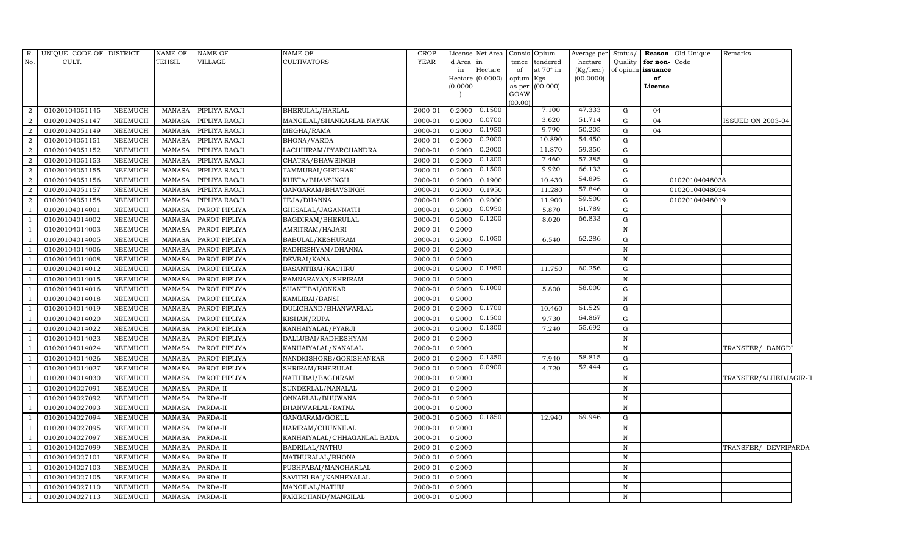| R.             | UNIQUE CODE OF DISTRICT |                | <b>NAME OF</b> | <b>NAME OF</b> | NAME OF                     | <b>CROP</b> |           | License Net Area Consis |                 | Opium           | Average per | Status/      |                   | Reason Old Unique | Remarks                |  |
|----------------|-------------------------|----------------|----------------|----------------|-----------------------------|-------------|-----------|-------------------------|-----------------|-----------------|-------------|--------------|-------------------|-------------------|------------------------|--|
| No.            | CULT.                   |                | <b>TEHSIL</b>  | VILLAGE        | <b>CULTIVATORS</b>          | YEAR        | d Area in |                         | tence           | tendered        | hectare     | Quality      | for non-Code      |                   |                        |  |
|                |                         |                |                |                |                             |             | in        | Hectare                 | of              | at 70° in       | (Kg/hec.)   |              | of opium issuance |                   |                        |  |
|                |                         |                |                |                |                             |             | (0.0000)  | Hectare (0.0000)        | opium<br>as per | Kgs<br>(00.000) | (00.0000)   |              | of<br>License     |                   |                        |  |
|                |                         |                |                |                |                             |             |           |                         | GOAW            |                 |             |              |                   |                   |                        |  |
|                |                         |                |                |                |                             |             |           |                         | (00.00)         |                 |             |              |                   |                   |                        |  |
| $\overline{2}$ | 01020104051145          | NEEMUCH        | MANASA         | PIPLIYA RAOJI  | BHERULAL/HARLAL             | 2000-01     | 0.2000    | 0.1500                  |                 | 7.100           | 47.333      | G            | 04                |                   |                        |  |
| $\overline{2}$ | 01020104051147          | <b>NEEMUCH</b> | <b>MANASA</b>  | PIPLIYA RAOJI  | MANGILAL/SHANKARLAL NAYAK   | 2000-01     | 0.2000    | 0.0700                  |                 | 3.620           | 51.714      | G            | 04                |                   | ISSUED ON 2003-04      |  |
| $\overline{2}$ | 01020104051149          | <b>NEEMUCH</b> | <b>MANASA</b>  | PIPLIYA RAOJI  | MEGHA/RAMA                  | 2000-01     | 0.2000    | 0.1950                  |                 | 9.790           | 50.205      | G            | 04                |                   |                        |  |
| $\overline{2}$ | 01020104051151          | <b>NEEMUCH</b> | <b>MANASA</b>  | PIPLIYA RAOJI  | BHONA/VARDA                 | 2000-01     | 0.2000    | 0.2000                  |                 | 10.890          | 54.450      | G            |                   |                   |                        |  |
| $\overline{a}$ | 01020104051152          | <b>NEEMUCH</b> | <b>MANASA</b>  | PIPLIYA RAOJI  | LACHHIRAM/PYARCHANDRA       | 2000-01     | 0.2000    | 0.2000                  |                 | 11.870          | 59.350      | G            |                   |                   |                        |  |
| $\overline{2}$ | 01020104051153          | NEEMUCH        | <b>MANASA</b>  | PIPLIYA RAOJI  | CHATRA/BHAWSINGH            | 2000-01     | 0.2000    | 0.1300                  |                 | 7.460           | 57.385      | G            |                   |                   |                        |  |
| $\overline{2}$ | 01020104051155          | <b>NEEMUCH</b> | <b>MANASA</b>  | PIPLIYA RAOJI  | TAMMUBAI/GIRDHARI           | 2000-01     | 0.2000    | 0.1500                  |                 | 9.920           | 66.133      | G            |                   |                   |                        |  |
| $\overline{2}$ | 01020104051156          | NEEMUCH        | <b>MANASA</b>  | PIPLIYA RAOJI  | KHETA/BHAVSINGH             | 2000-01     | 0.2000    | 0.1900                  |                 | 10.430          | 54.895      | G            |                   | 01020104048038    |                        |  |
| $\overline{2}$ | 01020104051157          | NEEMUCH        | <b>MANASA</b>  | PIPLIYA RAOJI  | GANGARAM/BHAVSINGH          | 2000-01     | 0.2000    | 0.1950                  |                 | 11.280          | 57.846      | G            |                   | 01020104048034    |                        |  |
| $\overline{2}$ | 01020104051158          | <b>NEEMUCH</b> | <b>MANASA</b>  | PIPLIYA RAOJI  | TEJA/DHANNA                 | 2000-01     | 0.2000    | 0.2000                  |                 | 11.900          | 59.500      | G            |                   | 01020104048019    |                        |  |
|                | 01020104014001          | <b>NEEMUCH</b> | <b>MANASA</b>  | PAROT PIPLIYA  | GHISALAL/JAGANNATH          | 2000-01     | 0.2000    | 0.0950                  |                 | 5.870           | 61.789      | G            |                   |                   |                        |  |
|                | 01020104014002          | <b>NEEMUCH</b> | <b>MANASA</b>  | PAROT PIPLIYA  | BAGDIRAM/BHERULAL           | 2000-01     | 0.2000    | 0.1200                  |                 | 8.020           | 66.833      | G            |                   |                   |                        |  |
|                | 01020104014003          | <b>NEEMUCH</b> | <b>MANASA</b>  | PAROT PIPLIYA  | AMRITRAM/HAJARI             | 2000-01     | 0.2000    |                         |                 |                 |             | $\mathbf N$  |                   |                   |                        |  |
|                | 01020104014005          | <b>NEEMUCH</b> | <b>MANASA</b>  | PAROT PIPLIYA  | BABULAL/KESHURAM            | 2000-01     | 0.2000    | 0.1050                  |                 | 6.540           | 62.286      | G            |                   |                   |                        |  |
|                | 01020104014006          | <b>NEEMUCH</b> | <b>MANASA</b>  | PAROT PIPLIYA  | RADHESHYAM/DHANNA           | 2000-01     | 0.2000    |                         |                 |                 |             | $\, {\rm N}$ |                   |                   |                        |  |
|                | 01020104014008          | <b>NEEMUCH</b> | <b>MANASA</b>  | PAROT PIPLIYA  | DEVBAI/KANA                 | 2000-01     | 0.2000    |                         |                 |                 |             | N            |                   |                   |                        |  |
|                | 01020104014012          | <b>NEEMUCH</b> | <b>MANASA</b>  | PAROT PIPLIYA  | BASANTIBAI/KACHRU           | 2000-01     | 0.2000    | 0.1950                  |                 | 11.750          | 60.256      | G            |                   |                   |                        |  |
|                | 01020104014015          | <b>NEEMUCH</b> | <b>MANASA</b>  | PAROT PIPLIYA  | RAMNARAYAN/SHRIRAM          | 2000-01     | 0.2000    |                         |                 |                 |             | $\mathbf N$  |                   |                   |                        |  |
|                | 01020104014016          | <b>NEEMUCH</b> | <b>MANASA</b>  | PAROT PIPLIYA  | SHANTIBAI/ONKAR             | 2000-01     | 0.2000    | 0.1000                  |                 | 5.800           | 58.000      | G            |                   |                   |                        |  |
|                | 01020104014018          | <b>NEEMUCH</b> | <b>MANASA</b>  | PAROT PIPLIYA  | KAMLIBAI/BANSI              | 2000-01     | 0.2000    |                         |                 |                 |             | N            |                   |                   |                        |  |
|                | 01020104014019          | NEEMUCH        | <b>MANASA</b>  | PAROT PIPLIYA  | DULICHAND/BHANWARLAL        | 2000-01     | 0.2000    | 0.1700                  |                 | 10.460          | 61.529      | G            |                   |                   |                        |  |
|                | 01020104014020          | <b>NEEMUCH</b> | <b>MANASA</b>  | PAROT PIPLIYA  | KISHAN/RUPA                 | 2000-01     | 0.2000    | 0.1500                  |                 | 9.730           | 64.867      | G            |                   |                   |                        |  |
|                | 01020104014022          | NEEMUCH        | <b>MANASA</b>  | PAROT PIPLIYA  | KANHAIYALAL/PYARJI          | 2000-01     | 0.2000    | 0.1300                  |                 | 7.240           | 55.692      | G            |                   |                   |                        |  |
|                | 01020104014023          | <b>NEEMUCH</b> | <b>MANASA</b>  | PAROT PIPLIYA  | DALLUBAI/RADHESHYAM         | 2000-01     | 0.2000    |                         |                 |                 |             | $\, {\rm N}$ |                   |                   |                        |  |
|                | 01020104014024          | <b>NEEMUCH</b> | <b>MANASA</b>  | PAROT PIPLIYA  | KANHAIYALAL/NANALAL         | 2000-01     | 0.2000    |                         |                 |                 |             | $\, {\rm N}$ |                   |                   | TRANSFER/ DANGDI       |  |
|                | 01020104014026          | <b>NEEMUCH</b> | <b>MANASA</b>  | PAROT PIPLIYA  | NANDKISHORE/GORISHANKAR     | 2000-01     | 0.2000    | 0.1350                  |                 | 7.940           | 58.815      | G            |                   |                   |                        |  |
|                | 01020104014027          | <b>NEEMUCH</b> | <b>MANASA</b>  | PAROT PIPLIYA  | SHRIRAM/BHERULAL            | 2000-01     | 0.2000    | 0.0900                  |                 | 4.720           | 52.444      | G            |                   |                   |                        |  |
|                | 01020104014030          | <b>NEEMUCH</b> | <b>MANASA</b>  | PAROT PIPLIYA  | NATHIBAI/BAGDIRAM           | 2000-01     | 0.2000    |                         |                 |                 |             | $\, {\rm N}$ |                   |                   | TRANSFER/ALHEDJAGIR-II |  |
|                | 01020104027091          | NEEMUCH        | <b>MANASA</b>  | PARDA-II       | SUNDERLAL/NANALAL           | 2000-01     | 0.2000    |                         |                 |                 |             | ${\bf N}$    |                   |                   |                        |  |
|                | 01020104027092          | <b>NEEMUCH</b> | <b>MANASA</b>  | PARDA-II       | ONKARLAL/BHUWANA            | 2000-01     | 0.2000    |                         |                 |                 |             | ${\bf N}$    |                   |                   |                        |  |
|                | 01020104027093          | <b>NEEMUCH</b> | <b>MANASA</b>  | PARDA-II       | BHANWARLAL/RATNA            | 2000-01     | 0.2000    |                         |                 |                 |             | $\, {\rm N}$ |                   |                   |                        |  |
|                | 01020104027094          | <b>NEEMUCH</b> | <b>MANASA</b>  | PARDA-II       | GANGARAM/GOKUL              | 2000-01     | 0.2000    | 0.1850                  |                 | 12.940          | 69.946      | G            |                   |                   |                        |  |
|                | 01020104027095          | <b>NEEMUCH</b> | <b>MANASA</b>  | PARDA-II       | HARIRAM/CHUNNILAL           | 2000-01     | 0.2000    |                         |                 |                 |             | N            |                   |                   |                        |  |
|                | 01020104027097          | <b>NEEMUCH</b> | <b>MANASA</b>  | PARDA-II       | KANHAIYALAL/CHHAGANLAL BADA | 2000-01     | 0.2000    |                         |                 |                 |             | N            |                   |                   |                        |  |
|                | 01020104027099          | <b>NEEMUCH</b> | <b>MANASA</b>  | PARDA-II       | BADRILAL/NATHU              | 2000-01     | 0.2000    |                         |                 |                 |             | N            |                   |                   | TRANSFER/ DEVRIPARDA   |  |
|                | 01020104027101          | NEEMUCH        | <b>MANASA</b>  | PARDA-II       | MATHURALAL/BHONA            | 2000-01     | 0.2000    |                         |                 |                 |             | $\mathbf N$  |                   |                   |                        |  |
|                | 01020104027103          | <b>NEEMUCH</b> | <b>MANASA</b>  | PARDA-II       | PUSHPABAI/MANOHARLAL        | 2000-01     | 0.2000    |                         |                 |                 |             | $\, {\rm N}$ |                   |                   |                        |  |
|                | 01020104027105          | NEEMUCH        | <b>MANASA</b>  | PARDA-II       | SAVITRI BAI/KANHEYALAL      | 2000-01     | 0.2000    |                         |                 |                 |             | $\mathbf N$  |                   |                   |                        |  |
| $\overline{1}$ | 01020104027110          | <b>NEEMUCH</b> | <b>MANASA</b>  | PARDA-II       | MANGILAL/NATHU              | 2000-01     | 0.2000    |                         |                 |                 |             | N            |                   |                   |                        |  |
| $\overline{1}$ | 01020104027113          | <b>NEEMUCH</b> | MANASA         | PARDA-II       | FAKIRCHAND/MANGILAL         | 2000-01     | 0.2000    |                         |                 |                 |             | N            |                   |                   |                        |  |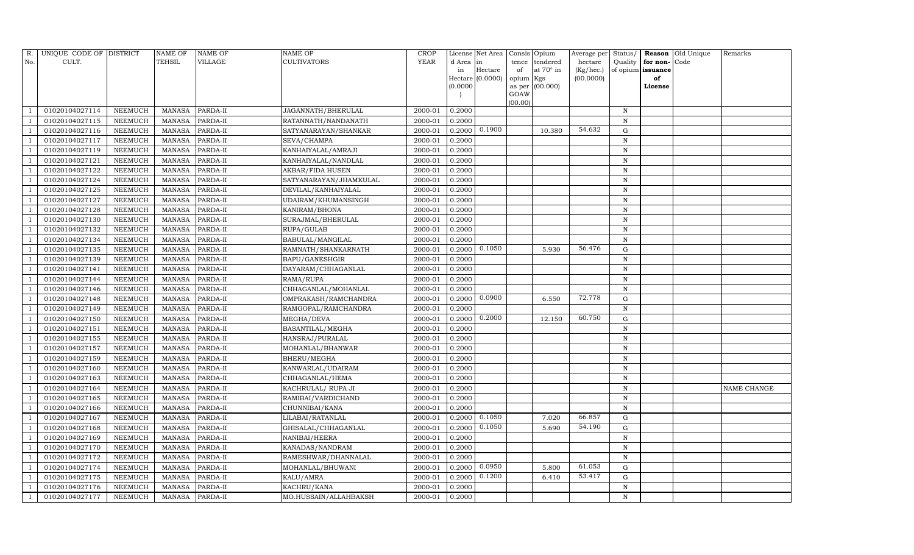| R.  | UNIQUE CODE OF DISTRICT |                | NAME OF       | NAME OF  | NAME OF                | CROP        |           | License Net Area |           | Consis Opium    | Average per | Status/      |               | Reason Old Unique | Remarks     |
|-----|-------------------------|----------------|---------------|----------|------------------------|-------------|-----------|------------------|-----------|-----------------|-------------|--------------|---------------|-------------------|-------------|
| No. | CULT.                   |                | TEHSIL        | VILLAGE  | CULTIVATORS            | <b>YEAR</b> | d Area in |                  | tence     | tendered        | hectare     | Quality      | for non-      | Code              |             |
|     |                         |                |               |          |                        |             | in        | Hectare          | of        | at 70° in       | (Kg/hec.)   | of opium     | issuance      |                   |             |
|     |                         |                |               |          |                        |             | (0.0000)  | Hectare (0.0000) | opium Kgs | as per (00.000) | (00.0000)   |              | of<br>License |                   |             |
|     |                         |                |               |          |                        |             |           |                  | GOAW      |                 |             |              |               |                   |             |
|     |                         |                |               |          |                        |             |           |                  | (00.00)   |                 |             |              |               |                   |             |
|     | 01020104027114          | NEEMUCH        | MANASA        | PARDA-II | JAGANNATH/BHERULAL     | 2000-01     | 0.2000    |                  |           |                 |             | N            |               |                   |             |
|     | 01020104027115          | NEEMUCH        | <b>MANASA</b> | PARDA-II | RATANNATH/NANDANATH    | 2000-01     | 0.2000    |                  |           |                 |             | N            |               |                   |             |
|     | 01020104027116          | NEEMUCH        | MANASA        | PARDA-II | SATYANARAYAN/SHANKAR   | 2000-01     | 0.2000    | 0.1900           |           | 10.380          | 54.632      | G            |               |                   |             |
|     | 01020104027117          | NEEMUCH        | <b>MANASA</b> | PARDA-II | SEVA/CHAMPA            | 2000-01     | 0.2000    |                  |           |                 |             | $\, {\rm N}$ |               |                   |             |
|     | 01020104027119          | NEEMUCH        | <b>MANASA</b> | PARDA-II | KANHAIYALAL/AMRAJI     | 2000-01     | 0.2000    |                  |           |                 |             | ${\bf N}$    |               |                   |             |
|     | 01020104027121          | NEEMUCH        | <b>MANASA</b> | PARDA-II | KANHAIYALAL/NANDLAL    | 2000-01     | 0.2000    |                  |           |                 |             | $\mathbf N$  |               |                   |             |
|     | 01020104027122          | NEEMUCH        | <b>MANASA</b> | PARDA-II | AKBAR/FIDA HUSEN       | 2000-01     | 0.2000    |                  |           |                 |             | $\,$ N       |               |                   |             |
|     | 01020104027124          | NEEMUCH        | <b>MANASA</b> | PARDA-II | SATYANARAYAN/JHAMKULAL | 2000-01     | 0.2000    |                  |           |                 |             | $\, {\rm N}$ |               |                   |             |
|     | 01020104027125          | NEEMUCH        | <b>MANASA</b> | PARDA-II | DEVILAL/KANHAIYALAL    | 2000-01     | 0.2000    |                  |           |                 |             | $\,$ N       |               |                   |             |
|     | 01020104027127          | NEEMUCH        | <b>MANASA</b> | PARDA-II | UDAIRAM/KHUMANSINGH    | 2000-01     | 0.2000    |                  |           |                 |             | $\, {\rm N}$ |               |                   |             |
|     | 01020104027128          | NEEMUCH        | <b>MANASA</b> | PARDA-II | KANIRAM/BHONA          | 2000-01     | 0.2000    |                  |           |                 |             | $\,$ N       |               |                   |             |
|     | 01020104027130          | NEEMUCH        | <b>MANASA</b> | PARDA-II | SURAJMAL/BHERULAL      | 2000-01     | 0.2000    |                  |           |                 |             | ${\bf N}$    |               |                   |             |
|     | 01020104027132          | NEEMUCH        | <b>MANASA</b> | PARDA-II | RUPA/GULAB             | 2000-01     | 0.2000    |                  |           |                 |             | $\, {\rm N}$ |               |                   |             |
|     | 01020104027134          | NEEMUCH        | <b>MANASA</b> | PARDA-II | BABULAL/MANGILAL       | 2000-01     | 0.2000    |                  |           |                 |             | $\, {\rm N}$ |               |                   |             |
|     | 01020104027135          | NEEMUCH        | <b>MANASA</b> | PARDA-II | RAMNATH/SHANKARNATH    | 2000-01     | 0.2000    | 0.1050           |           | 5.930           | 56.476      | G            |               |                   |             |
|     | 01020104027139          | NEEMUCH        | <b>MANASA</b> | PARDA-II | BAPU/GANESHGIR         | 2000-01     | 0.2000    |                  |           |                 |             | $\, {\rm N}$ |               |                   |             |
|     | 01020104027141          | NEEMUCH        | <b>MANASA</b> | PARDA-II | DAYARAM/CHHAGANLAL     | 2000-01     | 0.2000    |                  |           |                 |             | $\, {\rm N}$ |               |                   |             |
|     | 01020104027144          | NEEMUCH        | <b>MANASA</b> | PARDA-II | RAMA/RUPA              | 2000-01     | 0.2000    |                  |           |                 |             | $\, {\rm N}$ |               |                   |             |
|     | 01020104027146          | NEEMUCH        | <b>MANASA</b> | PARDA-II | CHHAGANLAL/MOHANLAL    | 2000-01     | 0.2000    |                  |           |                 |             | ${\bf N}$    |               |                   |             |
|     | 01020104027148          | NEEMUCH        | <b>MANASA</b> | PARDA-II | OMPRAKASH/RAMCHANDRA   | 2000-01     | 0.2000    | 0.0900           |           | 6.550           | 72.778      | G            |               |                   |             |
|     | 01020104027149          | <b>NEEMUCH</b> | <b>MANASA</b> | PARDA-II | RAMGOPAL/RAMCHANDRA    | 2000-01     | 0.2000    |                  |           |                 |             | ${\bf N}$    |               |                   |             |
|     | 01020104027150          | NEEMUCH        | <b>MANASA</b> | PARDA-II | MEGHA/DEVA             | 2000-01     | 0.2000    | 0.2000           |           | 12.150          | 60.750      | ${\rm G}$    |               |                   |             |
|     | 01020104027151          | NEEMUCH        | <b>MANASA</b> | PARDA-II | BASANTILAL/MEGHA       | 2000-01     | 0.2000    |                  |           |                 |             | N            |               |                   |             |
|     | 01020104027155          | NEEMUCH        | <b>MANASA</b> | PARDA-II | HANSRAJ/PURALAL        | 2000-01     | 0.2000    |                  |           |                 |             | ${\bf N}$    |               |                   |             |
|     | 01020104027157          | <b>NEEMUCH</b> | <b>MANASA</b> | PARDA-II | MOHANLAL/BHANWAR       | 2000-01     | 0.2000    |                  |           |                 |             | $\mathbf N$  |               |                   |             |
|     | 01020104027159          | NEEMUCH        | <b>MANASA</b> | PARDA-II | BHERU/MEGHA            | 2000-01     | 0.2000    |                  |           |                 |             | $\mathbf N$  |               |                   |             |
|     | 01020104027160          | NEEMUCH        | <b>MANASA</b> | PARDA-II | KANWARLAL/UDAIRAM      | 2000-01     | 0.2000    |                  |           |                 |             | ${\bf N}$    |               |                   |             |
|     | 01020104027163          | NEEMUCH        | <b>MANASA</b> | PARDA-II | CHHAGANLAL/HEMA        | 2000-01     | 0.2000    |                  |           |                 |             | $\mathbf N$  |               |                   |             |
|     | 01020104027164          | NEEMUCH        | <b>MANASA</b> | PARDA-II | KACHRULAL/ RUPA JI     | 2000-01     | 0.2000    |                  |           |                 |             | ${\bf N}$    |               |                   | NAME CHANGE |
|     | 01020104027165          | NEEMUCH        | <b>MANASA</b> | PARDA-II | RAMIBAI/VARDICHAND     | 2000-01     | 0.2000    |                  |           |                 |             | ${\bf N}$    |               |                   |             |
|     | 01020104027166          | NEEMUCH        | <b>MANASA</b> | PARDA-II | CHUNNIBAI/KANA         | 2000-01     | 0.2000    |                  |           |                 |             | ${\bf N}$    |               |                   |             |
|     | 01020104027167          | NEEMUCH        | <b>MANASA</b> | PARDA-II | LILABAI/RATANLAL       | 2000-01     | 0.2000    | 0.1050           |           | 7.020           | 66.857      | ${\rm G}$    |               |                   |             |
|     | 01020104027168          | NEEMUCH        | <b>MANASA</b> | PARDA-II | GHISALAL/CHHAGANLAL    | 2000-01     | 0.2000    | 0.1050           |           | 5.690           | 54.190      | ${\rm G}$    |               |                   |             |
|     | 01020104027169          | NEEMUCH        | <b>MANASA</b> | PARDA-II | NANIBAI/HEERA          | 2000-01     | 0.2000    |                  |           |                 |             | ${\bf N}$    |               |                   |             |
|     | 01020104027170          | NEEMUCH        | <b>MANASA</b> | PARDA-II | KANADAS/NANDRAM        | 2000-01     | 0.2000    |                  |           |                 |             | ${\bf N}$    |               |                   |             |
|     | 01020104027172          | <b>NEEMUCH</b> | <b>MANASA</b> | PARDA-II | RAMESHWAR/DHANNALAL    | 2000-01     | 0.2000    |                  |           |                 |             | $\, {\rm N}$ |               |                   |             |
|     | 01020104027174          | NEEMUCH        | MANASA        | PARDA-II | MOHANLAL/BHUWANI       | 2000-01     | 0.2000    | 0.0950           |           | 5.800           | 61.053      | G            |               |                   |             |
|     | 01020104027175          | NEEMUCH        | <b>MANASA</b> | PARDA-II | KALU/AMRA              | 2000-01     | 0.2000    | 0.1200           |           | 6.410           | 53.417      | G            |               |                   |             |
|     | 01020104027176          | NEEMUCH        | <b>MANASA</b> | PARDA-II | KACHRU/KANA            | 2000-01     | 0.2000    |                  |           |                 |             | $\, {\rm N}$ |               |                   |             |
|     | 01020104027177          | <b>NEEMUCH</b> | MANASA        | PARDA-II | MO.HUSSAIN/ALLAHBAKSH  | 2000-01     | 0.2000    |                  |           |                 |             | N            |               |                   |             |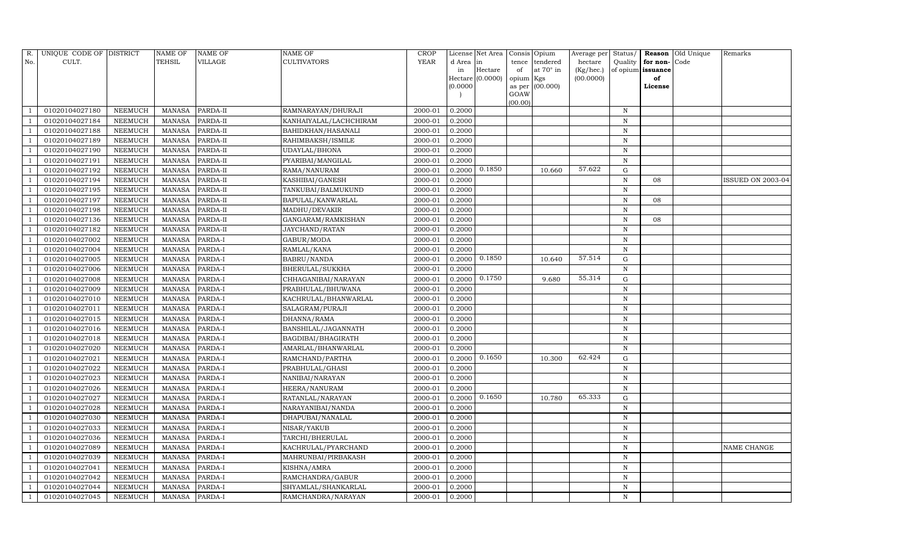| R.  | UNIQUE CODE OF DISTRICT |         | NAME OF       | NAME OF  | NAME OF                | CROP        |           | License Net Area |           | Consis Opium    | Average per | Status/      |          | Reason Old Unique | Remarks                  |
|-----|-------------------------|---------|---------------|----------|------------------------|-------------|-----------|------------------|-----------|-----------------|-------------|--------------|----------|-------------------|--------------------------|
| No. | CULT.                   |         | TEHSIL        | VILLAGE  | CULTIVATORS            | <b>YEAR</b> | d Area in |                  | tence     | tendered        | hectare     | Quality      | for non- | Code              |                          |
|     |                         |         |               |          |                        |             | in        | Hectare          | of        | at 70° in       | (Kg/hec.)   | of opium     | issuance |                   |                          |
|     |                         |         |               |          |                        |             |           | Hectare (0.0000) | opium Kgs |                 | (00.0000)   |              | of       |                   |                          |
|     |                         |         |               |          |                        |             | (0.0000)  |                  | GOAW      | as per (00.000) |             |              | License  |                   |                          |
|     |                         |         |               |          |                        |             |           |                  | (00.00)   |                 |             |              |          |                   |                          |
|     | 01020104027180          | NEEMUCH | MANASA        | PARDA-II | RAMNARAYAN/DHURAJI     | 2000-01     | 0.2000    |                  |           |                 |             | N            |          |                   |                          |
|     | 01020104027184          | NEEMUCH | <b>MANASA</b> | PARDA-II | KANHAIYALAL/LACHCHIRAM | 2000-01     | 0.2000    |                  |           |                 |             | N            |          |                   |                          |
|     | 01020104027188          | NEEMUCH | <b>MANASA</b> | PARDA-II | BAHIDKHAN/HASANALI     | 2000-01     | 0.2000    |                  |           |                 |             | $\mathbf N$  |          |                   |                          |
|     | 01020104027189          | NEEMUCH | <b>MANASA</b> | PARDA-II | RAHIMBAKSH/ISMILE      | 2000-01     | 0.2000    |                  |           |                 |             | $\, {\rm N}$ |          |                   |                          |
|     | 01020104027190          | NEEMUCH | <b>MANASA</b> | PARDA-II | UDAYLAL/BHONA          | 2000-01     | 0.2000    |                  |           |                 |             | ${\bf N}$    |          |                   |                          |
|     | 01020104027191          | NEEMUCH | <b>MANASA</b> | PARDA-II | PYARIBAI/MANGILAL      | 2000-01     | 0.2000    |                  |           |                 |             | $\, {\rm N}$ |          |                   |                          |
|     | 01020104027192          | NEEMUCH | <b>MANASA</b> | PARDA-II | RAMA/NANURAM           | 2000-01     | 0.2000    | 0.1850           |           | 10.660          | 57.622      | G            |          |                   |                          |
|     | 01020104027194          | NEEMUCH | <b>MANASA</b> | PARDA-II | KASHIBAI/GANESH        | 2000-01     | 0.2000    |                  |           |                 |             | $\, {\rm N}$ | 08       |                   | <b>ISSUED ON 2003-04</b> |
|     | 01020104027195          | NEEMUCH | MANASA        | PARDA-II | TANKUBAI/BALMUKUND     | 2000-01     | 0.2000    |                  |           |                 |             | $\, {\rm N}$ |          |                   |                          |
|     | 01020104027197          | NEEMUCH | MANASA        | PARDA-II | BAPULAL/KANWARLAL      | 2000-01     | 0.2000    |                  |           |                 |             | $\, {\rm N}$ | 08       |                   |                          |
|     | 01020104027198          | NEEMUCH | <b>MANASA</b> | PARDA-II | MADHU/DEVAKIR          | 2000-01     | 0.2000    |                  |           |                 |             | $\mathbf N$  |          |                   |                          |
|     | 01020104027136          | NEEMUCH | <b>MANASA</b> | PARDA-II | GANGARAM/RAMKISHAN     | 2000-01     | 0.2000    |                  |           |                 |             | $\, {\rm N}$ | 08       |                   |                          |
|     | 01020104027182          | NEEMUCH | <b>MANASA</b> | PARDA-II | JAYCHAND/RATAN         | 2000-01     | 0.2000    |                  |           |                 |             | N            |          |                   |                          |
|     | 01020104027002          | NEEMUCH | <b>MANASA</b> | PARDA-I  | GABUR/MODA             | 2000-01     | 0.2000    |                  |           |                 |             | $\, {\rm N}$ |          |                   |                          |
|     | 01020104027004          | NEEMUCH | <b>MANASA</b> | PARDA-I  | RAMLAL/KANA            | 2000-01     | 0.2000    |                  |           |                 |             | N            |          |                   |                          |
|     | 01020104027005          | NEEMUCH | MANASA        | PARDA-I  | BABRU/NANDA            | 2000-01     | 0.2000    | 0.1850           |           | 10.640          | 57.514      | G            |          |                   |                          |
|     | 01020104027006          | NEEMUCH | <b>MANASA</b> | PARDA-I  | BHERULAL/SUKKHA        | 2000-01     | 0.2000    |                  |           |                 |             | N            |          |                   |                          |
|     | 01020104027008          | NEEMUCH | <b>MANASA</b> | PARDA-I  | CHHAGANIBAI/NARAYAN    | 2000-01     | 0.2000    | 0.1750           |           | 9.680           | 55.314      | G            |          |                   |                          |
|     | 01020104027009          | NEEMUCH | <b>MANASA</b> | PARDA-I  | PRABHULAL/BHUWANA      | 2000-01     | 0.2000    |                  |           |                 |             | $\mathbf N$  |          |                   |                          |
|     | 01020104027010          | NEEMUCH | MANASA        | PARDA-I  | KACHRULAL/BHANWARLAL   | 2000-01     | 0.2000    |                  |           |                 |             | $\, {\bf N}$ |          |                   |                          |
|     | 01020104027011          | NEEMUCH | <b>MANASA</b> | PARDA-I  | SALAGRAM/PURAJI        | 2000-01     | 0.2000    |                  |           |                 |             | $\, {\rm N}$ |          |                   |                          |
|     | 01020104027015          | NEEMUCH | <b>MANASA</b> | PARDA-I  | DHANNA/RAMA            | 2000-01     | 0.2000    |                  |           |                 |             | $\, {\bf N}$ |          |                   |                          |
|     | 01020104027016          | NEEMUCH | MANASA        | PARDA-I  | BANSHILAL/JAGANNATH    | 2000-01     | 0.2000    |                  |           |                 |             | $\mathbf N$  |          |                   |                          |
|     | 01020104027018          | NEEMUCH | <b>MANASA</b> | PARDA-I  | BAGDIBAI/BHAGIRATH     | 2000-01     | 0.2000    |                  |           |                 |             | $\mathbf N$  |          |                   |                          |
|     | 01020104027020          | NEEMUCH | MANASA        | PARDA-I  | AMARLAL/BHANWARLAL     | 2000-01     | 0.2000    |                  |           |                 |             | $\, {\rm N}$ |          |                   |                          |
|     | 01020104027021          | NEEMUCH | MANASA        | PARDA-I  | RAMCHAND/PARTHA        | 2000-01     | 0.2000    | 0.1650           |           | 10.300          | 62.424      | G            |          |                   |                          |
|     | 01020104027022          | NEEMUCH | <b>MANASA</b> | PARDA-I  | PRABHULAL/GHASI        | 2000-01     | 0.2000    |                  |           |                 |             | $\, {\rm N}$ |          |                   |                          |
|     | 01020104027023          | NEEMUCH | <b>MANASA</b> | PARDA-I  | NANIBAI/NARAYAN        | 2000-01     | 0.2000    |                  |           |                 |             | N            |          |                   |                          |
|     | 01020104027026          | NEEMUCH | <b>MANASA</b> | PARDA-I  | HEERA/NANURAM          | 2000-01     | 0.2000    |                  |           |                 |             | $\, {\rm N}$ |          |                   |                          |
|     | 01020104027027          | NEEMUCH | <b>MANASA</b> | PARDA-I  | RATANLAL/NARAYAN       | 2000-01     | 0.2000    | 0.1650           |           | 10.780          | 65.333      | G            |          |                   |                          |
|     | 01020104027028          | NEEMUCH | MANASA        | PARDA-I  | NARAYANIBAI/NANDA      | 2000-01     | 0.2000    |                  |           |                 |             | $\, {\rm N}$ |          |                   |                          |
|     | 01020104027030          | NEEMUCH | <b>MANASA</b> | PARDA-I  | DHAPUBAI/NANALAL       | 2000-01     | 0.2000    |                  |           |                 |             | N            |          |                   |                          |
|     | 01020104027033          | NEEMUCH | <b>MANASA</b> | PARDA-I  | NISAR/YAKUB            | 2000-01     | 0.2000    |                  |           |                 |             | $\, {\rm N}$ |          |                   |                          |
|     | 01020104027036          | NEEMUCH | <b>MANASA</b> | PARDA-I  | TARCHI/BHERULAL        | 2000-01     | 0.2000    |                  |           |                 |             | N            |          |                   |                          |
|     | 01020104027089          | NEEMUCH | <b>MANASA</b> | PARDA-I  | KACHRULAL/PYARCHAND    | 2000-01     | 0.2000    |                  |           |                 |             | $\, {\rm N}$ |          |                   | NAME CHANGE              |
|     | 01020104027039          | NEEMUCH | <b>MANASA</b> | PARDA-I  | MAHRUNBAI/PIRBAKASH    | 2000-01     | 0.2000    |                  |           |                 |             | $\, {\rm N}$ |          |                   |                          |
|     | 01020104027041          | NEEMUCH | <b>MANASA</b> | PARDA-I  | KISHNA/AMRA            | 2000-01     | 0.2000    |                  |           |                 |             | $\,$ N       |          |                   |                          |
|     | 01020104027042          | NEEMUCH | <b>MANASA</b> | PARDA-I  | RAMCHANDRA/GABUR       | 2000-01     | 0.2000    |                  |           |                 |             | $\, {\rm N}$ |          |                   |                          |
|     | 01020104027044          | NEEMUCH | <b>MANASA</b> | PARDA-I  | SHYAMLAL/SHANKARLAL    | 2000-01     | 0.2000    |                  |           |                 |             | N            |          |                   |                          |
|     | 01020104027045          | NEEMUCH | MANASA        | PARDA-I  | RAMCHANDRA/NARAYAN     | 2000-01     | 0.2000    |                  |           |                 |             | N            |          |                   |                          |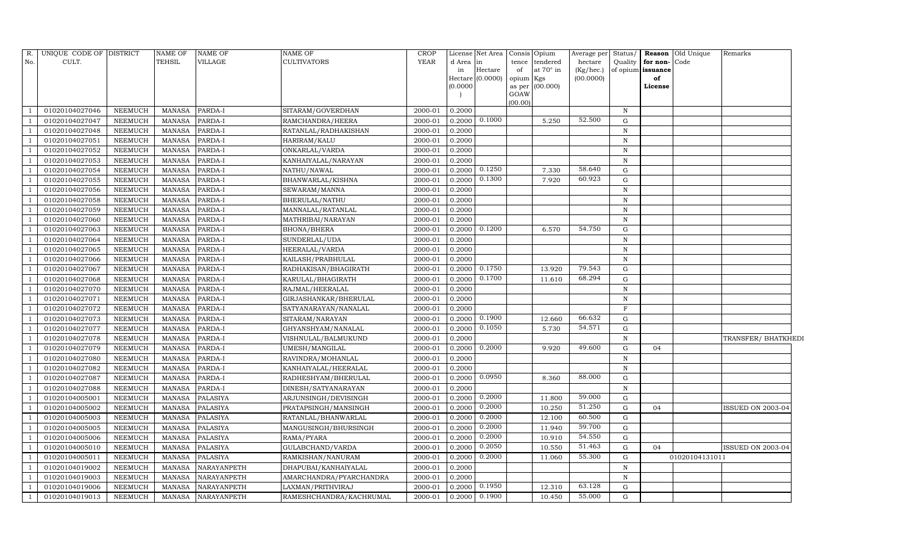| R.  | UNIQUE CODE OF DISTRICT |                | <b>NAME OF</b> | NAME OF         | <b>NAME OF</b>          | <b>CROP</b> | License  | Net Area                    |           | Consis Opium    | Average per | Status/     |                   | <b>Reason</b> Old Unique | Remarks                  |
|-----|-------------------------|----------------|----------------|-----------------|-------------------------|-------------|----------|-----------------------------|-----------|-----------------|-------------|-------------|-------------------|--------------------------|--------------------------|
| No. | CULT.                   |                | TEHSIL         | VILLAGE         | <b>CULTIVATORS</b>      | YEAR        | d Area   | in                          | tence     | tendered        | hectare     | Quality     | for non-Code      |                          |                          |
|     |                         |                |                |                 |                         |             | in       | Hectare<br>Hectare (0.0000) | of        | at 70° in       | (Kg/hec.)   |             | of opium issuance |                          |                          |
|     |                         |                |                |                 |                         |             | (0.0000) |                             | opium Kgs | as per (00.000) | (00.0000)   |             | of<br>License     |                          |                          |
|     |                         |                |                |                 |                         |             |          |                             | GOAW      |                 |             |             |                   |                          |                          |
|     |                         |                |                |                 |                         |             |          |                             | (00.00)   |                 |             |             |                   |                          |                          |
|     | 01020104027046          | <b>NEEMUCH</b> | <b>MANASA</b>  | PARDA-I         | SITARAM/GOVERDHAN       | 2000-01     | 0.2000   |                             |           |                 |             | $\mathbf N$ |                   |                          |                          |
|     | 01020104027047          | <b>NEEMUCH</b> | <b>MANASA</b>  | PARDA-I         | RAMCHANDRA/HEERA        | 2000-01     | 0.2000   | 0.1000                      |           | 5.250           | 52.500      | G           |                   |                          |                          |
|     | 01020104027048          | <b>NEEMUCH</b> | <b>MANASA</b>  | PARDA-I         | RATANLAL/RADHAKISHAN    | 2000-01     | 0.2000   |                             |           |                 |             | $\mathbb N$ |                   |                          |                          |
|     | 01020104027051          | NEEMUCH        | <b>MANASA</b>  | PARDA-I         | HARIRAM/KALU            | 2000-01     | 0.2000   |                             |           |                 |             | $\mathbb N$ |                   |                          |                          |
|     | 01020104027052          | NEEMUCH        | <b>MANASA</b>  | PARDA-I         | ONKARLAL/VARDA          | 2000-01     | 0.2000   |                             |           |                 |             | $\,$ N      |                   |                          |                          |
|     | 01020104027053          | NEEMUCH        | <b>MANASA</b>  | PARDA-I         | KANHAIYALAL/NARAYAN     | 2000-01     | 0.2000   |                             |           |                 |             | $\,$ N      |                   |                          |                          |
|     | 01020104027054          | NEEMUCH        | <b>MANASA</b>  | PARDA-I         | NATHU/NAWAL             | 2000-01     | 0.2000   | 0.1250                      |           | 7.330           | 58.640      | G           |                   |                          |                          |
|     | 01020104027055          | <b>NEEMUCH</b> | <b>MANASA</b>  | PARDA-I         | BHANWARLAL/KISHNA       | 2000-01     | 0.2000   | 0.1300                      |           | 7.920           | 60.923      | G           |                   |                          |                          |
|     | 01020104027056          | <b>NEEMUCH</b> | <b>MANASA</b>  | PARDA-I         | SEWARAM/MANNA           | 2000-01     | 0.2000   |                             |           |                 |             | $\mathbf N$ |                   |                          |                          |
|     | 01020104027058          | <b>NEEMUCH</b> | <b>MANASA</b>  | PARDA-I         | BHERULAL/NATHU          | 2000-01     | 0.2000   |                             |           |                 |             | $\,$ N      |                   |                          |                          |
|     | 01020104027059          | <b>NEEMUCH</b> | <b>MANASA</b>  | PARDA-I         | MANNALAL/RATANLAL       | 2000-01     | 0.2000   |                             |           |                 |             | $\mathbb N$ |                   |                          |                          |
|     | 01020104027060          | <b>NEEMUCH</b> | <b>MANASA</b>  | PARDA-I         | MATHRIBAI/NARAYAN       | 2000-01     | 0.2000   |                             |           |                 |             | $\mathbb N$ |                   |                          |                          |
|     | 01020104027063          | <b>NEEMUCH</b> | <b>MANASA</b>  | PARDA-I         | BHONA/BHERA             | 2000-01     | 0.2000   | 0.1200                      |           | 6.570           | 54.750      | G           |                   |                          |                          |
|     | 01020104027064          | <b>NEEMUCH</b> | <b>MANASA</b>  | PARDA-I         | SUNDERLAL/UDA           | 2000-01     | 0.2000   |                             |           |                 |             | N           |                   |                          |                          |
|     | 01020104027065          | <b>NEEMUCH</b> | <b>MANASA</b>  | PARDA-I         | HEERALAL/VARDA          | 2000-01     | 0.2000   |                             |           |                 |             | $\mathbf N$ |                   |                          |                          |
|     | 01020104027066          | NEEMUCH        | <b>MANASA</b>  | PARDA-I         | KAILASH/PRABHULAL       | 2000-01     | 0.2000   |                             |           |                 |             | $\,$ N      |                   |                          |                          |
|     | 01020104027067          | <b>NEEMUCH</b> | <b>MANASA</b>  | PARDA-I         | RADHAKISAN/BHAGIRATH    | 2000-01     | 0.2000   | 0.1750                      |           | 13.920          | 79.543      | G           |                   |                          |                          |
|     | 01020104027068          | <b>NEEMUCH</b> | <b>MANASA</b>  | PARDA-I         | KARULAL/BHAGIRATH       | 2000-01     | 0.2000   | 0.1700                      |           | 11.610          | 68.294      | G           |                   |                          |                          |
|     | 01020104027070          | NEEMUCH        | <b>MANASA</b>  | PARDA-I         | RAJMAL/HEERALAL         | 2000-01     | 0.2000   |                             |           |                 |             | $\mathbf N$ |                   |                          |                          |
|     | 01020104027071          | <b>NEEMUCH</b> | <b>MANASA</b>  | PARDA-I         | GIRJASHANKAR/BHERULAL   | 2000-01     | 0.2000   |                             |           |                 |             | N           |                   |                          |                          |
|     | 01020104027072          | <b>NEEMUCH</b> | <b>MANASA</b>  | PARDA-I         | SATYANARAYAN/NANALAL    | 2000-01     | 0.2000   |                             |           |                 |             | $\mathbf F$ |                   |                          |                          |
|     | 01020104027073          | NEEMUCH        | <b>MANASA</b>  | PARDA-I         | SITARAM/NARAYAN         | 2000-01     | 0.2000   | 0.1900                      |           | 12.660          | 66.632      | G           |                   |                          |                          |
|     | 01020104027077          | <b>NEEMUCH</b> | <b>MANASA</b>  | PARDA-I         | GHYANSHYAM/NANALAL      | 2000-01     | 0.2000   | 0.1050                      |           | 5.730           | 54.571      | G           |                   |                          |                          |
|     | 01020104027078          | NEEMUCH        | <b>MANASA</b>  | PARDA-I         | VISHNULAL/BALMUKUND     | 2000-01     | 0.2000   |                             |           |                 |             | $\mathbf N$ |                   |                          | TRANSFER/ BHATKHEDI      |
|     | 01020104027079          | <b>NEEMUCH</b> | <b>MANASA</b>  | PARDA-I         | UMESH/MANGILAL          | 2000-01     | 0.2000   | 0.2000                      |           | 9.920           | 49.600      | G           | 04                |                          |                          |
|     | 01020104027080          | <b>NEEMUCH</b> | <b>MANASA</b>  | PARDA-I         | RAVINDRA/MOHANLAL       | 2000-01     | 0.2000   |                             |           |                 |             | $\mathbf N$ |                   |                          |                          |
|     | 01020104027082          | <b>NEEMUCH</b> | <b>MANASA</b>  | PARDA-I         | KANHAIYALAL/HEERALAL    | 2000-01     | 0.2000   |                             |           |                 |             | $\mathbf N$ |                   |                          |                          |
|     | 01020104027087          | <b>NEEMUCH</b> | <b>MANASA</b>  | PARDA-I         | RADHESHYAM/BHERULAL     | 2000-01     | 0.2000   | 0.0950                      |           | 8.360           | 88.000      | G           |                   |                          |                          |
|     | 01020104027088          | <b>NEEMUCH</b> | <b>MANASA</b>  | PARDA-I         | DINESH/SATYANARAYAN     | 2000-01     | 0.2000   |                             |           |                 |             | $\mathbf N$ |                   |                          |                          |
|     | 01020104005001          | <b>NEEMUCH</b> | <b>MANASA</b>  | <b>PALASIYA</b> | ARJUNSINGH/DEVISINGH    | 2000-01     | 0.2000   | 0.2000                      |           | 11.800          | 59.000      | G           |                   |                          |                          |
|     | 01020104005002          | <b>NEEMUCH</b> | <b>MANASA</b>  | PALASIYA        | PRATAPSINGH/MANSINGH    | 2000-01     | 0.2000   | 0.2000                      |           | 10.250          | 51.250      | ${\rm G}$   | 04                |                          | <b>ISSUED ON 2003-04</b> |
|     | 01020104005003          | <b>NEEMUCH</b> | <b>MANASA</b>  | <b>PALASIYA</b> | RATANLAL/BHANWARLAL     | 2000-01     | 0.2000   | 0.2000                      |           | 12.100          | 60.500      | $\mathbf G$ |                   |                          |                          |
|     | 01020104005005          | <b>NEEMUCH</b> | <b>MANASA</b>  | <b>PALASIYA</b> | MANGUSINGH/BHURSINGH    | 2000-01     | 0.2000   | 0.2000                      |           | 11.940          | 59.700      | G           |                   |                          |                          |
|     | 01020104005006          | <b>NEEMUCH</b> | <b>MANASA</b>  | <b>PALASIYA</b> | RAMA/PYARA              | 2000-01     | 0.2000   | 0.2000                      |           | 10.910          | 54.550      | G           |                   |                          |                          |
|     | 01020104005010          | <b>NEEMUCH</b> | <b>MANASA</b>  | <b>PALASIYA</b> | GULABCHAND/VARDA        | 2000-01     | 0.2000   | 0.2050                      |           | 10.550          | 51.463      | G           | 04                |                          | ISSUED ON 2003-04        |
|     | 01020104005011          | NEEMUCH        | <b>MANASA</b>  | PALASIYA        | RAMKISHAN/NANURAM       | 2000-01     | 0.2000   | 0.2000                      |           | 11.060          | 55.300      | G           |                   | 01020104131011           |                          |
|     | 01020104019002          | NEEMUCH        | <b>MANASA</b>  | NARAYANPETH     | DHAPUBAI/KANHAIYALAL    | 2000-01     | 0.2000   |                             |           |                 |             | N           |                   |                          |                          |
|     | 01020104019003          | NEEMUCH        | <b>MANASA</b>  | NARAYANPETH     | AMARCHANDRA/PYARCHANDRA | 2000-01     | 0.2000   |                             |           |                 |             | $\mathbf N$ |                   |                          |                          |
|     | 01020104019006          | <b>NEEMUCH</b> | <b>MANASA</b>  | NARAYANPETH     | LAXMAN/PRITHVIRAJ       | 2000-01     | 0.2000   | 0.1950                      |           | 12.310          | 63.128      | G           |                   |                          |                          |
|     | 01020104019013          | <b>NEEMUCH</b> | <b>MANASA</b>  | NARAYANPETH     | RAMESHCHANDRA/KACHRUMAL | 2000-01     | 0.2000   | 0.1900                      |           | 10.450          | 55.000      | G           |                   |                          |                          |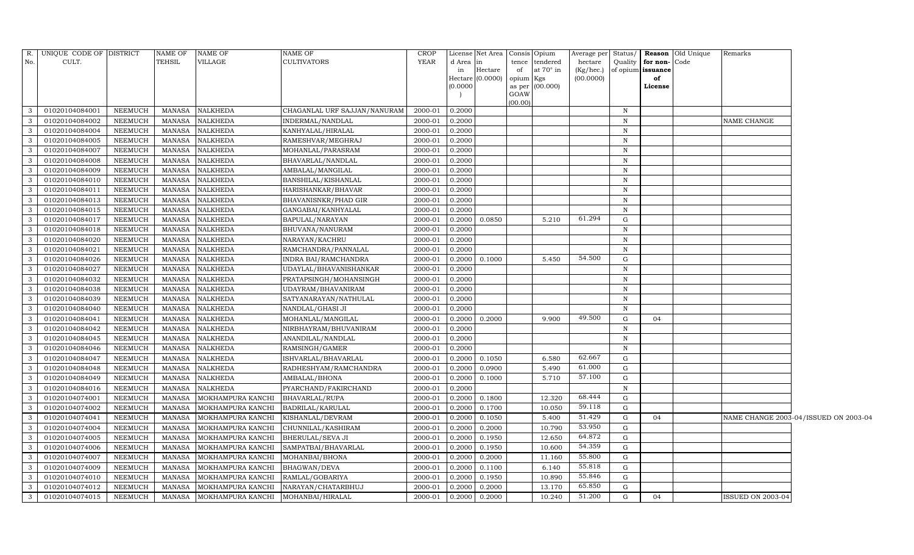| R.            | UNIQUE CODE OF DISTRICT |                | <b>NAME OF</b> | NAME OF           | NAME OF                      | <b>CROP</b> |          | License Net Area   Consis   Opium |           |                  | Average per Status/ |              |                   | <b>Reason</b> Old Unique | Remarks                  |                                       |
|---------------|-------------------------|----------------|----------------|-------------------|------------------------------|-------------|----------|-----------------------------------|-----------|------------------|---------------------|--------------|-------------------|--------------------------|--------------------------|---------------------------------------|
| No.           | CULT.                   |                | <b>TEHSIL</b>  | VILLAGE           | <b>CULTIVATORS</b>           | <b>YEAR</b> | d Area   |                                   |           | tence tendered   | hectare             | Quality      | for non-Code      |                          |                          |                                       |
|               |                         |                |                |                   |                              |             | in       | Hectare                           | of        | at $70^\circ$ in | (Kg/hec.)           |              | of opium issuance |                          |                          |                                       |
|               |                         |                |                |                   |                              |             | (0.0000) | Hectare $(0.0000)$                | opium Kgs |                  | (00.0000)           |              | of                |                          |                          |                                       |
|               |                         |                |                |                   |                              |             |          |                                   | GOAW      | as per (00.000)  |                     |              | License           |                          |                          |                                       |
|               |                         |                |                |                   |                              |             |          |                                   | (00.00)   |                  |                     |              |                   |                          |                          |                                       |
|               | 01020104084001          | <b>NEEMUCH</b> | <b>MANASA</b>  | <b>NALKHEDA</b>   | CHAGANLAL URF SAJJAN/NANURAM | 2000-01     | 0.2000   |                                   |           |                  |                     | N            |                   |                          |                          |                                       |
| 3             | 01020104084002          | NEEMUCH        | <b>MANASA</b>  | NALKHEDA          | INDERMAL/NANDLAL             | 2000-01     | 0.2000   |                                   |           |                  |                     | $\,$ N       |                   |                          | NAME CHANGE              |                                       |
| 3             | 01020104084004          | NEEMUCH        | <b>MANASA</b>  | <b>NALKHEDA</b>   | KANHYALAL/HIRALAL            | 2000-01     | 0.2000   |                                   |           |                  |                     | $\, {\rm N}$ |                   |                          |                          |                                       |
| $\mathcal{B}$ | 01020104084005          | <b>NEEMUCH</b> | <b>MANASA</b>  | NALKHEDA          | RAMESHVAR/MEGHRAJ            | 2000-01     | 0.2000   |                                   |           |                  |                     | $\mathbf N$  |                   |                          |                          |                                       |
| 3             | 01020104084007          | <b>NEEMUCH</b> | MANASA         | NALKHEDA          | MOHANLAL/PARASRAM            | 2000-01     | 0.2000   |                                   |           |                  |                     | $\, {\rm N}$ |                   |                          |                          |                                       |
| 3             | 01020104084008          | NEEMUCH        | <b>MANASA</b>  | NALKHEDA          | BHAVARLAL/NANDLAL            | 2000-01     | 0.2000   |                                   |           |                  |                     | $\mathbf N$  |                   |                          |                          |                                       |
| 3             | 01020104084009          | <b>NEEMUCH</b> | MANASA         | NALKHEDA          | AMBALAL/MANGILAL             | 2000-01     | 0.2000   |                                   |           |                  |                     | N            |                   |                          |                          |                                       |
| $\mathcal{B}$ | 01020104084010          | <b>NEEMUCH</b> | <b>MANASA</b>  | NALKHEDA          | BANSHILAL/KISHANLAL          | 2000-01     | 0.2000   |                                   |           |                  |                     | $\mathbf N$  |                   |                          |                          |                                       |
|               | 01020104084011          | <b>NEEMUCH</b> | <b>MANASA</b>  | NALKHEDA          | HARISHANKAR/BHAVAR           | 2000-01     | 0.2000   |                                   |           |                  |                     | $\,$ N       |                   |                          |                          |                                       |
| 3             | 01020104084013          | <b>NEEMUCH</b> | <b>MANASA</b>  | NALKHEDA          | BHAVANISNKR/PHAD GIR         | 2000-01     | 0.2000   |                                   |           |                  |                     | $\,$ N       |                   |                          |                          |                                       |
| $\mathcal{B}$ | 01020104084015          | NEEMUCH        | <b>MANASA</b>  | NALKHEDA          | GANGABAI/KANHYALAL           | 2000-01     | 0.2000   |                                   |           |                  |                     | $\, {\rm N}$ |                   |                          |                          |                                       |
| 3             | 01020104084017          | <b>NEEMUCH</b> | <b>MANASA</b>  | NALKHEDA          | BAPULAL/NARAYAN              | 2000-01     | 0.2000   | 0.0850                            |           | 5.210            | 61.294              | ${\rm G}$    |                   |                          |                          |                                       |
| 3             | 01020104084018          | <b>NEEMUCH</b> | <b>MANASA</b>  | NALKHEDA          | BHUVANA/NANURAM              | 2000-01     | 0.2000   |                                   |           |                  |                     | N            |                   |                          |                          |                                       |
| 3             | 01020104084020          | <b>NEEMUCH</b> | <b>MANASA</b>  | NALKHEDA          | NARAYAN/KACHRU               | 2000-01     | 0.2000   |                                   |           |                  |                     | $\,$ N       |                   |                          |                          |                                       |
| 3             | 01020104084021          | <b>NEEMUCH</b> | <b>MANASA</b>  | NALKHEDA          | RAMCHANDRA/PANNALAL          | 2000-01     | 0.2000   |                                   |           |                  |                     | $\,$ N       |                   |                          |                          |                                       |
| 3             | 01020104084026          | <b>NEEMUCH</b> | <b>MANASA</b>  | <b>NALKHEDA</b>   | INDRA BAI/RAMCHANDRA         | 2000-01     | 0.2000   | 0.1000                            |           | 5.450            | 54.500              | $\mathbf G$  |                   |                          |                          |                                       |
| 3             | 01020104084027          | <b>NEEMUCH</b> | <b>MANASA</b>  | NALKHEDA          | UDAYLAL/BHAVANISHANKAR       | 2000-01     | 0.2000   |                                   |           |                  |                     | $\,$ N       |                   |                          |                          |                                       |
| 3             | 01020104084032          | <b>NEEMUCH</b> | <b>MANASA</b>  | NALKHEDA          | PRATAPSINGH/MOHANSINGH       | 2000-01     | 0.2000   |                                   |           |                  |                     | $\mathbf N$  |                   |                          |                          |                                       |
| 3             | 01020104084038          | <b>NEEMUCH</b> | <b>MANASA</b>  | NALKHEDA          | UDAYRAM/BHAVANIRAM           | 2000-01     | 0.2000   |                                   |           |                  |                     | $\,$ N       |                   |                          |                          |                                       |
|               | 01020104084039          | <b>NEEMUCH</b> | <b>MANASA</b>  | NALKHEDA          | SATYANARAYAN/NATHULAL        | 2000-01     | 0.2000   |                                   |           |                  |                     | $\mathbf N$  |                   |                          |                          |                                       |
| 3             | 01020104084040          | <b>NEEMUCH</b> | <b>MANASA</b>  | NALKHEDA          | NANDLAL/GHASI JI             | 2000-01     | 0.2000   |                                   |           |                  |                     | N            |                   |                          |                          |                                       |
| $\mathcal{E}$ | 01020104084041          | <b>NEEMUCH</b> | MANASA         | NALKHEDA          | MOHANLAL/MANGILAL            | 2000-01     | 0.2000   | 0.2000                            |           | 9.900            | 49.500              | G            | 04                |                          |                          |                                       |
| $\mathbf{3}$  | 01020104084042          | <b>NEEMUCH</b> | <b>MANASA</b>  | NALKHEDA          | NIRBHAYRAM/BHUVANIRAM        | 2000-01     | 0.2000   |                                   |           |                  |                     | N            |                   |                          |                          |                                       |
|               | 01020104084045          | <b>NEEMUCH</b> | <b>MANASA</b>  | NALKHEDA          | ANANDILAL/NANDLAL            | 2000-01     | 0.2000   |                                   |           |                  |                     | $\mathbf N$  |                   |                          |                          |                                       |
| $\mathbf{3}$  | 01020104084046          | <b>NEEMUCH</b> | <b>MANASA</b>  | NALKHEDA          | RAMSINGH/GAMER               | 2000-01     | 0.2000   |                                   |           |                  |                     | N            |                   |                          |                          |                                       |
| $\mathcal{E}$ | 01020104084047          | <b>NEEMUCH</b> | <b>MANASA</b>  | NALKHEDA          | ISHVARLAL/BHAVARLAL          | 2000-01     |          | 0.2000 0.1050                     |           | 6.580            | 62.667              | G            |                   |                          |                          |                                       |
| $\mathcal{B}$ | 01020104084048          | <b>NEEMUCH</b> | <b>MANASA</b>  | NALKHEDA          | RADHESHYAM/RAMCHANDRA        | 2000-01     | 0.2000   | 0.0900                            |           | 5.490            | 61.000              | G            |                   |                          |                          |                                       |
|               | 01020104084049          | NEEMUCH        | <b>MANASA</b>  | NALKHEDA          | AMBALAL/BHONA                | 2000-01     | 0.2000   | 0.1000                            |           | 5.710            | 57.100              | ${\rm G}$    |                   |                          |                          |                                       |
| 3             | 01020104084016          | <b>NEEMUCH</b> | <b>MANASA</b>  | NALKHEDA          | PYARCHAND/FAKIRCHAND         | 2000-01     | 0.2000   |                                   |           |                  |                     | $\, {\rm N}$ |                   |                          |                          |                                       |
| 3             | 01020104074001          | <b>NEEMUCH</b> | <b>MANASA</b>  | MOKHAMPURA KANCHI | <b>BHAVARLAL/RUPA</b>        | 2000-01     | 0.2000   | 0.1800                            |           | 12.320           | 68.444              | G            |                   |                          |                          |                                       |
| $\mathbf{3}$  | 01020104074002          | <b>NEEMUCH</b> | <b>MANASA</b>  | MOKHAMPURA KANCHI | BADRILAL/KARULAL             | 2000-01     | 0.2000   | 0.1700                            |           | 10.050           | 59.118              | G            |                   |                          |                          |                                       |
|               | 01020104074041          | NEEMUCH        | <b>MANASA</b>  | MOKHAMPURA KANCHI | KISHANLAL/DEVRAM             | 2000-01     | 0.2000   | 0.1050                            |           | 5.400            | 51.429              | G            | 04                |                          |                          | NAME CHANGE 2003-04/ISSUED ON 2003-04 |
| 3             | 01020104074004          | <b>NEEMUCH</b> | <b>MANASA</b>  | MOKHAMPURA KANCHI | CHUNNILAL/KASHIRAM           | 2000-01     | 0.2000   | 0.2000                            |           | 10.790           | 53.950              | G            |                   |                          |                          |                                       |
| 3             | 01020104074005          | NEEMUCH        | MANASA         | MOKHAMPURA KANCHI | <b>BHERULAL/SEVA JI</b>      | 2000-01     | 0.2000   | 0.1950                            |           | 12.650           | 64.872              | $\mathbf G$  |                   |                          |                          |                                       |
| $\mathcal{E}$ | 01020104074006          | <b>NEEMUCH</b> | <b>MANASA</b>  | MOKHAMPURA KANCHI | SAMPATBAI/BHAVARLAL          | 2000-01     | 0.2000   | 0.1950                            |           | 10.600           | 54.359              | G            |                   |                          |                          |                                       |
| 3             | 01020104074007          | <b>NEEMUCH</b> | <b>MANASA</b>  | MOKHAMPURA KANCHI | MOHANBAI/BHONA               | 2000-01     | 0.2000   | 0.2000                            |           | 11.160           | 55.800              | G            |                   |                          |                          |                                       |
| 3             | 01020104074009          | <b>NEEMUCH</b> | MANASA         | MOKHAMPURA KANCHI | BHAGWAN/DEVA                 | 2000-01     | 0.2000   | 0.1100                            |           | 6.140            | 55.818              | G            |                   |                          |                          |                                       |
| $\mathcal{B}$ | 01020104074010          | NEEMUCH        | <b>MANASA</b>  | MOKHAMPURA KANCHI | RAMLAL/GOBARIYA              | 2000-01     | 0.2000   | 0.1950                            |           | 10.890           | 55.846              | G            |                   |                          |                          |                                       |
| $\mathcal{B}$ | 01020104074012          | <b>NEEMUCH</b> | <b>MANASA</b>  | MOKHAMPURA KANCHI | NARAYAN/CHATARBHUJ           | 2000-01     | 0.2000   | 0.2000                            |           | 13.170           | 65.850              | G            |                   |                          |                          |                                       |
| 3             | 01020104074015          | NEEMUCH        | MANASA         | MOKHAMPURA KANCHI | MOHANBAI/HIRALAL             | 2000-01     | 0.2000   | 0.2000                            |           | 10.240           | 51.200              | $\mathbf G$  | 04                |                          | <b>ISSUED ON 2003-04</b> |                                       |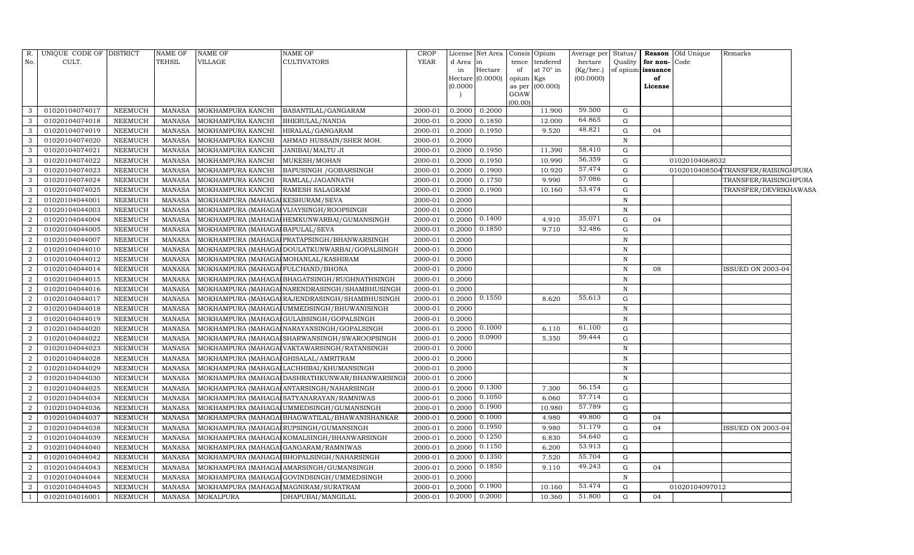| R.             | UNIQUE CODE OF DISTRICT |                | <b>NAME OF</b> | <b>NAME OF</b>                        | <b>NAME OF</b>                                  | <b>CROP</b> |           | License Net Area |                | Consis Opium | Average per | Status/      |                   | Reason Old Unique | Remarks                            |
|----------------|-------------------------|----------------|----------------|---------------------------------------|-------------------------------------------------|-------------|-----------|------------------|----------------|--------------|-------------|--------------|-------------------|-------------------|------------------------------------|
| No.            | CULT.                   |                | <b>TEHSIL</b>  | VILLAGE                               | CULTIVATORS                                     | <b>YEAR</b> | d Area in |                  | tence          | tendered     | hectare     | Quality      | for non-          | Code              |                                    |
|                |                         |                |                |                                       |                                                 |             | in        | Hectare          | of             | at 70° in    | (Kg/hec.)   |              | of opium issuance |                   |                                    |
|                |                         |                |                |                                       |                                                 |             | (0.0000)  | Hectare (0.0000) | opium Kgs      |              | (00.0000)   |              | of                |                   |                                    |
|                |                         |                |                |                                       |                                                 |             |           |                  | as per<br>GOAW | (00.000)     |             |              | License           |                   |                                    |
|                |                         |                |                |                                       |                                                 |             |           |                  | (00.00)        |              |             |              |                   |                   |                                    |
| 3              | 01020104074017          | NEEMUCH        | MANASA         | MOKHAMPURA KANCHI                     | BASANTILAL/GANGARAM                             | 2000-01     | 0.2000    | 0.2000           |                | 11.900       | 59.500      | G            |                   |                   |                                    |
| 3              | 01020104074018          | <b>NEEMUCH</b> | <b>MANASA</b>  | MOKHAMPURA KANCHI                     | BHERULAL/NANDA                                  | 2000-01     | 0.2000    | 0.1850           |                | 12.000       | 64.865      | G            |                   |                   |                                    |
| 3              | 01020104074019          | NEEMUCH        | MANASA         | MOKHAMPURA KANCHI                     | HIRALAL/GANGARAM                                | 2000-01     | 0.2000    | 0.1950           |                | 9.520        | 48.821      | G            | 04                |                   |                                    |
| $\mathbf{3}$   | 01020104074020          | NEEMUCH        | <b>MANASA</b>  | MOKHAMPURA KANCHI                     | AHMAD HUSSAIN/SHER MOH.                         | 2000-01     | 0.2000    |                  |                |              |             | $\mathbf N$  |                   |                   |                                    |
| 3              | 01020104074021          | NEEMUCH        | <b>MANASA</b>  | MOKHAMPURA KANCHI                     | JANIBAI/MALTU JI                                | 2000-01     | 0.2000    | 0.1950           |                | 11.390       | 58.410      | G            |                   |                   |                                    |
| 3              | 01020104074022          | NEEMUCH        | <b>MANASA</b>  | MOKHAMPURA KANCHI                     | MUKESH/MOHAN                                    | 2000-01     | 0.2000    | 0.1950           |                | 10.990       | 56.359      | G            |                   | 01020104068032    |                                    |
| 3              | 01020104074023          | NEEMUCH        | <b>MANASA</b>  | MOKHAMPURA KANCHI                     | BAPUSINGH / GOBARSINGH                          | 2000-01     | 0.2000    | 0.1900           |                | 10.920       | 57.474      | G            |                   |                   | 0102010408504TRANSFER/RAISINGHPURA |
| $\mathbf{3}$   | 01020104074024          | NEEMUCH        | <b>MANASA</b>  | MOKHAMPURA KANCHI                     | RAMLAL/JAGANNATH                                | 2000-01     | 0.2000    | 0.1750           |                | 9.990        | 57.086      | G            |                   |                   | TRANSFER/RAISINGHPURA              |
| 3              | 01020104074025          | NEEMUCH        | MANASA         | MOKHAMPURA KANCHI                     | <b>RAMESH SALAGRAM</b>                          | 2000-01     | 0.2000    | 0.1900           |                | 10.160       | 53.474      | G            |                   |                   | TRANSFER/DEVRIKHAWASA              |
| $\overline{2}$ | 01020104044001          | <b>NEEMUCH</b> | <b>MANASA</b>  | MOKHAMPURA (MAHAGA KESHURAM/SEVA      |                                                 | 2000-01     | 0.2000    |                  |                |              |             | $\mathbf N$  |                   |                   |                                    |
| $\overline{2}$ | 01020104044003          | NEEMUCH        | <b>MANASA</b>  |                                       | MOKHAMPURA (MAHAGAI VIJAYSINGH/ROOPSINGH        | 2000-01     | 0.2000    |                  |                |              |             | N            |                   |                   |                                    |
| $\overline{2}$ | 01020104044004          | NEEMUCH        | <b>MANASA</b>  |                                       | MOKHAMPURA (MAHAGAI HEMKUNWARBAI/GUMANSINGH     | 2000-01     | 0.2000    | 0.1400           |                | 4.910        | 35.071      | G            | 04                |                   |                                    |
| $\overline{2}$ | 01020104044005          | NEEMUCH        | <b>MANASA</b>  | MOKHAMPURA (MAHAGA BAPULAL/SEVA       |                                                 | 2000-01     | 0.2000    | 0.1850           |                | 9.710        | 52.486      | G            |                   |                   |                                    |
| $\overline{2}$ | 01020104044007          | NEEMUCH        | <b>MANASA</b>  |                                       | MOKHAMPURA (MAHAGA PRATAPSINGH/BHANWARSINGH     | 2000-01     | 0.2000    |                  |                |              |             | N            |                   |                   |                                    |
| $\overline{2}$ | 01020104044010          | NEEMUCH        | <b>MANASA</b>  |                                       | MOKHAMPURA (MAHAGAI DOULATKUNWARBAI/GOPALSINGH  | 2000-01     | 0.2000    |                  |                |              |             | $\mathbf N$  |                   |                   |                                    |
| $\overline{a}$ | 01020104044012          | NEEMUCH        | <b>MANASA</b>  | MOKHAMPURA (MAHAGA MOHANLAL/KASHIRAM  |                                                 | 2000-01     | 0.2000    |                  |                |              |             | N            |                   |                   |                                    |
| $\overline{2}$ | 01020104044014          | NEEMUCH        | <b>MANASA</b>  | MOKHAMPURA (MAHAGAI FULCHAND/BHONA    |                                                 | 2000-01     | 0.2000    |                  |                |              |             | $\mathbf N$  | 08                |                   | ISSUED ON 2003-04                  |
| $\overline{2}$ | 01020104044015          | NEEMUCH        | <b>MANASA</b>  |                                       | MOKHAMPURA (MAHAGAI BHAGATSINGH/RUGHNATHSINGH   | 2000-01     | 0.2000    |                  |                |              |             | $\mathbf N$  |                   |                   |                                    |
| $\overline{2}$ | 01020104044016          | NEEMUCH        | <b>MANASA</b>  |                                       | MOKHAMPURA (MAHAGA NARENDRASINGH/SHAMBHUSINGH   | 2000-01     | 0.2000    |                  |                |              |             | $\mathbf N$  |                   |                   |                                    |
| 2              | 01020104044017          | NEEMUCH        | <b>MANASA</b>  |                                       | MOKHAMPURA (MAHAGA RAJENDRASINGH/SHAMBHUSINGH   | 2000-01     | 0.2000    | 0.1550           |                | 8.620        | 55.613      | G            |                   |                   |                                    |
| $\overline{2}$ | 01020104044018          | NEEMUCH        | <b>MANASA</b>  |                                       | MOKHAMPURA (MAHAGA UMMEDSINGH/BHUWANISINGH      | 2000-01     | 0.2000    |                  |                |              |             | $\mathbf N$  |                   |                   |                                    |
| $\overline{2}$ | 01020104044019          | NEEMUCH        | <b>MANASA</b>  |                                       | MOKHAMPURA (MAHAGAI GULABSINGH/GOPALSINGH       | 2000-01     | 0.2000    |                  |                |              |             | $\mathbf N$  |                   |                   |                                    |
| $\overline{2}$ | 01020104044020          | NEEMUCH        | <b>MANASA</b>  |                                       | MOKHAMPURA (MAHAGAI NARAYANSINGH/GOPALSINGH     | 2000-01     | 0.2000    | 0.1000           |                | 6.110        | 61.100      | G            |                   |                   |                                    |
| $\overline{2}$ | 01020104044022          | NEEMUCH        | <b>MANASA</b>  |                                       | MOKHAMPURA (MAHAGAI SHARWANSINGH/SWAROOPSINGH   | 2000-01     | 0.2000    | 0.0900           |                | 5.350        | 59.444      | G            |                   |                   |                                    |
| $\overline{2}$ | 01020104044023          | NEEMUCH        | <b>MANASA</b>  |                                       | MOKHAMPURA (MAHAGAJ VAKTAWARSINGH/RATANSINGH    | 2000-01     | 0.2000    |                  |                |              |             | $\mathbf N$  |                   |                   |                                    |
| $\overline{2}$ | 01020104044028          | NEEMUCH        | <b>MANASA</b>  | MOKHAMPURA (MAHAGAI GHISALAL/AMRITRAM |                                                 | 2000-01     | 0.2000    |                  |                |              |             | $\mathbf N$  |                   |                   |                                    |
| $\overline{2}$ | 01020104044029          | NEEMUCH        | <b>MANASA</b>  |                                       | MOKHAMPURA (MAHAGA LACHHIBAI/KHUMANSINGH        | 2000-01     | 0.2000    |                  |                |              |             | $\mathbf N$  |                   |                   |                                    |
| $\overline{2}$ | 01020104044030          | NEEMUCH        | <b>MANASA</b>  |                                       | MOKHAMPURA (MAHAGAI DASHRATHKUNWAR/BHANWARSINGI | 2000-01     | 0.2000    |                  |                |              |             | $\mathbf N$  |                   |                   |                                    |
| $\overline{2}$ | 01020104044025          | NEEMUCH        | <b>MANASA</b>  |                                       | MOKHAMPURA (MAHAGA ANTARSINGH/NAHARSINGH        | 2000-01     | 0.2000    | 0.1300           |                | 7.300        | 56.154      | G            |                   |                   |                                    |
| $\overline{2}$ | 01020104044034          | NEEMUCH        | <b>MANASA</b>  |                                       | MOKHAMPURA (MAHAGAI SATYANARAYAN/RAMNIWAS       | 2000-01     | 0.2000    | 0.1050           |                | 6.060        | 57.714      | G            |                   |                   |                                    |
| $\overline{2}$ | 01020104044036          | NEEMUCH        | <b>MANASA</b>  |                                       | MOKHAMPURA (MAHAGA UMMEDSINGH/GUMANSINGH        | 2000-01     | 0.2000    | 0.1900           |                | 10.980       | 57.789      | G            |                   |                   |                                    |
| $\overline{2}$ | 01020104044037          | <b>NEEMUCH</b> | <b>MANASA</b>  |                                       | MOKHAMPURA (MAHAGAI BHAGWATILAL/BHAWANISHANKAR  | 2000-01     | 0.2000    | 0.1000           |                | 4.980        | 49.800      | G            | 04                |                   |                                    |
| $\overline{2}$ | 01020104044038          | <b>NEEMUCH</b> | MANASA         |                                       | MOKHAMPURA (MAHAGA RUPSINGH/GUMANSINGH          | 2000-01     | 0.2000    | 0.1950           |                | 9.980        | 51.179      | G            | 04                |                   | <b>ISSUED ON 2003-04</b>           |
| $\overline{2}$ | 01020104044039          | NEEMUCH        | <b>MANASA</b>  |                                       | MOKHAMPURA (MAHAGA KOMALSINGH/BHANWARSINGH      | 2000-01     | 0.2000    | 0.1250           |                | 6.830        | 54.640      | G            |                   |                   |                                    |
| $\overline{a}$ | 01020104044040          | NEEMUCH        | MANASA         |                                       | MOKHAMPURA (MAHAGAI GANGARAM/RAMNIWAS           | 2000-01     | 0.2000    | 0.1150           |                | 6.200        | 53.913      | G            |                   |                   |                                    |
| $\overline{2}$ | 01020104044042          | <b>NEEMUCH</b> | <b>MANASA</b>  |                                       | MOKHAMPURA (MAHAGA BHOPALSINGH/NAHARSINGH       | 2000-01     | 0.2000    | 0.1350           |                | 7.520        | 55.704      | G            |                   |                   |                                    |
| $\overline{2}$ | 01020104044043          | NEEMUCH        | MANASA         |                                       | MOKHAMPURA (MAHAGAI AMARSINGH/GUMANSINGH        | 2000-01     | 0.2000    | 0.1850           |                | 9.110        | 49.243      | G            | 04                |                   |                                    |
| $\overline{2}$ | 01020104044044          | NEEMUCH        | <b>MANASA</b>  |                                       | MOKHAMPURA (MAHAGAI GOVINDSINGH/UMMEDSINGH      | 2000-01     | 0.2000    |                  |                |              |             | $\mathbf N$  |                   |                   |                                    |
| 2              | 01020104044045          | NEEMUCH        | <b>MANASA</b>  | MOKHAMPURA (MAHAGAI MAGNIRAM/SURATRAM |                                                 | 2000-01     | 0.2000    | 0.1900           |                | 10.160       | 53.474      | G            |                   | 01020104097012    |                                    |
| $\mathbf{1}$   | 01020104016001          | <b>NEEMUCH</b> | MANASA         | MOKALPURA                             | DHAPUBAI/MANGILAL                               | 2000-01     | 0.2000    | 0.2000           |                | 10.360       | 51.800      | $\mathbf{G}$ | 04                |                   |                                    |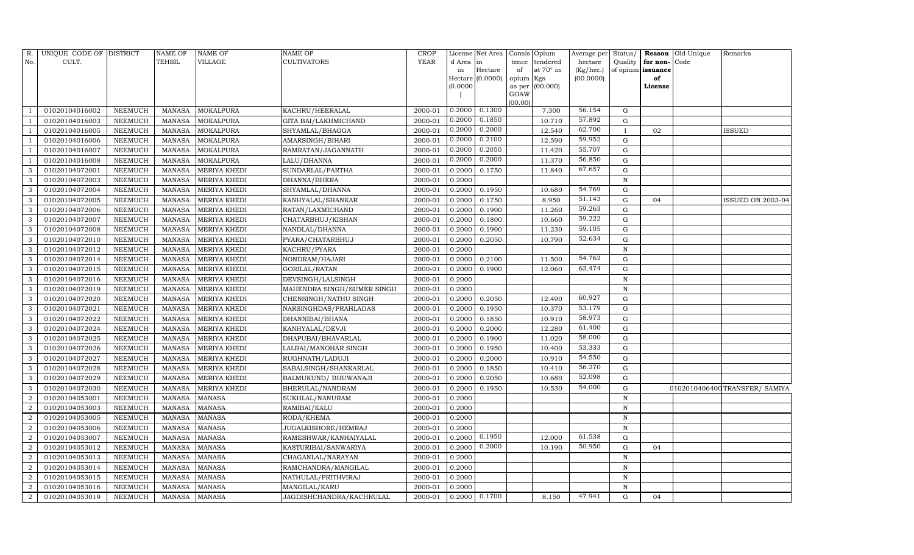| R.                          | UNIQUE CODE OF DISTRICT |                | <b>NAME OF</b> | NAME OF       | NAME OF                    | CROP        |           | License Net Area | Consis         | Opium            | Average per | Status/      | Reason            | Old Unique | Remarks                        |
|-----------------------------|-------------------------|----------------|----------------|---------------|----------------------------|-------------|-----------|------------------|----------------|------------------|-------------|--------------|-------------------|------------|--------------------------------|
| No.                         | CULT.                   |                | TEHSIL         | VILLAGE       | <b>CULTIVATORS</b>         | <b>YEAR</b> | d Area in |                  | tence          | tendered         | hectare     | Quality      | for non-          | Code       |                                |
|                             |                         |                |                |               |                            |             | in        | Hectare          | of             | at $70^\circ$ in | (Kg/hec.)   |              | of opium issuance |            |                                |
|                             |                         |                |                |               |                            |             |           | Hectare (0.0000) | opium Kgs      |                  | (00.0000)   |              | of                |            |                                |
|                             |                         |                |                |               |                            |             | (0.0000)  |                  | as per<br>GOAW | (00.000)         |             |              | License           |            |                                |
|                             |                         |                |                |               |                            |             |           |                  | (00.00)        |                  |             |              |                   |            |                                |
|                             | 01020104016002          | NEEMUCH        | MANASA         | MOKALPURA     | KACHRU/HEERALAL            | 2000-01     | 0.2000    | 0.1300           |                | 7.300            | 56.154      | G            |                   |            |                                |
|                             | 01020104016003          | <b>NEEMUCH</b> | MANASA         | MOKALPURA     | GITA BAI/LAKHMICHAND       | 2000-01     | 0.2000    | 0.1850           |                | 10.710           | 57.892      | G            |                   |            |                                |
|                             | 01020104016005          | NEEMUCH        | <b>MANASA</b>  | MOKALPURA     | SHYAMLAL/BHAGGA            | 2000-01     | 0.2000    | 0.2000           |                | 12.540           | 62.700      | $\mathbf{I}$ | 02                |            | ISSUED                         |
|                             | 01020104016006          | NEEMUCH        | MANASA         | MOKALPURA     | AMARSINGH/BIHARI           | 2000-01     | 0.2000    | 0.2100           |                | 12.590           | 59.952      | ${\rm G}$    |                   |            |                                |
|                             | 01020104016007          | NEEMUCH        | <b>MANASA</b>  | MOKALPURA     | RAMRATAN/JAGANNATH         | 2000-01     | 0.2000    | 0.2050           |                | 11.420           | 55.707      | ${\rm G}$    |                   |            |                                |
|                             | 01020104016008          | NEEMUCH        | <b>MANASA</b>  | MOKALPURA     | LALU/DHANNA                | 2000-01     | 0.2000    | 0.2000           |                | 11.370           | 56.850      | ${\rm G}$    |                   |            |                                |
|                             | 01020104072001          | NEEMUCH        | <b>MANASA</b>  | MERIYA KHEDI  | SUNDARLAL/PARTHA           | 2000-01     | 0.2000    | 0.1750           |                | 11.840           | 67.657      | ${\rm G}$    |                   |            |                                |
| 3                           | 01020104072003          | NEEMUCH        | <b>MANASA</b>  | MERIYA KHEDI  | DHANNA/BHERA               | 2000-01     | 0.2000    |                  |                |                  |             | $\mathbf N$  |                   |            |                                |
| 3                           | 01020104072004          | NEEMUCH        | <b>MANASA</b>  | MERIYA KHEDI  | SHYAMLAL/DHANNA            | 2000-01     | 0.2000    | 0.1950           |                | 10.680           | 54.769      | $\mathbf G$  |                   |            |                                |
| 3                           | 01020104072005          | NEEMUCH        | <b>MANASA</b>  | MERIYA KHEDI  | KANHYALAL/SHANKAR          | 2000-01     | 0.2000    | 0.1750           |                | 8.950            | 51.143      | ${\rm G}$    | 04                |            | <b>ISSUED ON 2003-04</b>       |
| 3                           | 01020104072006          | NEEMUCH        | <b>MANASA</b>  | MERIYA KHEDI  | RATAN/LAXMICHAND           | 2000-01     | 0.2000    | 0.1900           |                | 11.260           | 59.263      | ${\rm G}$    |                   |            |                                |
| 3                           | 01020104072007          | NEEMUCH        | <b>MANASA</b>  | MERIYA KHEDI  | CHATARBHUJ/KISHAN          | 2000-01     | 0.2000    | 0.1800           |                | 10.660           | 59.222      | $\mathbf G$  |                   |            |                                |
| 3                           | 01020104072008          | <b>NEEMUCH</b> | <b>MANASA</b>  | MERIYA KHEDI  | NANDLAL/DHANNA             | 2000-01     | 0.2000    | 0.1900           |                | 11.230           | 59.105      | ${\rm G}$    |                   |            |                                |
| 3                           | 01020104072010          | <b>NEEMUCH</b> | <b>MANASA</b>  | MERIYA KHEDI  | PYARA/CHATARBHUJ           | 2000-01     | 0.2000    | 0.2050           |                | 10.790           | 52.634      | G            |                   |            |                                |
| 3                           | 01020104072012          | <b>NEEMUCH</b> | <b>MANASA</b>  | MERIYA KHEDI  | KACHRU/PYARA               | 2000-01     | 0.2000    |                  |                |                  |             | $\mathbf N$  |                   |            |                                |
| 3                           | 01020104072014          | <b>NEEMUCH</b> | <b>MANASA</b>  | MERIYA KHEDI  | NONDRAM/HAJARI             | 2000-01     | 0.2000    | 0.2100           |                | 11.500           | 54.762      | $\mathbf G$  |                   |            |                                |
|                             | 01020104072015          | <b>NEEMUCH</b> | <b>MANASA</b>  | MERIYA KHEDI  | GORILAL/RATAN              | 2000-01     | 0.2000    | 0.1900           |                | 12.060           | 63.474      | $\mathbf G$  |                   |            |                                |
| 3                           | 01020104072016          | NEEMUCH        | <b>MANASA</b>  | MERIYA KHEDI  | DEVSINGH/LALSINGH          | 2000-01     | 0.2000    |                  |                |                  |             | N            |                   |            |                                |
| 3                           | 01020104072019          | NEEMUCH        | <b>MANASA</b>  | MERIYA KHEDI  | MAHENDRA SINGH/SUMER SINGH | 2000-01     | 0.2000    |                  |                |                  |             | $\mathbf N$  |                   |            |                                |
| 3                           | 01020104072020          | NEEMUCH        | <b>MANASA</b>  | MERIYA KHEDI  | CHENSINGH/NATHU SINGH      | 2000-01     | 0.2000    | 0.2050           |                | 12.490           | 60.927      | $\mathbf G$  |                   |            |                                |
| 3                           | 01020104072021          | NEEMUCH        | <b>MANASA</b>  | MERIYA KHEDI  | NARSINGHDAS/PRAHLADAS      | 2000-01     | 0.2000    | 0.1950           |                | 10.370           | 53.179      | ${\rm G}$    |                   |            |                                |
| 3                           | 01020104072022          | NEEMUCH        | <b>MANASA</b>  | MERIYA KHEDI  | DHANNIBAI/BHANA            | 2000-01     | 0.2000    | 0.1850           |                | 10.910           | 58.973      | ${\rm G}$    |                   |            |                                |
| 3                           | 01020104072024          | NEEMUCH        | <b>MANASA</b>  | MERIYA KHEDI  | KANHYALAL/DEVJI            | 2000-01     | 0.2000    | 0.2000           |                | 12.280           | 61.400      | $\mathbf G$  |                   |            |                                |
| 3                           | 01020104072025          | NEEMUCH        | <b>MANASA</b>  | MERIYA KHEDI  | DHAPUBAI/BHAVARLAL         | 2000-01     | 0.2000    | 0.1900           |                | 11.020           | 58.000      | G            |                   |            |                                |
| 3                           | 01020104072026          | <b>NEEMUCH</b> | <b>MANASA</b>  | MERIYA KHEDI  | LALBAI/MANOHAR SINGH       | 2000-01     | 0.2000    | 0.1950           |                | 10.400           | 53.333      | $\mathbf G$  |                   |            |                                |
| 3                           | 01020104072027          | NEEMUCH        | MANASA         | MERIYA KHEDI  | RUGHNATH/LADUJI            | 2000-01     | 0.2000    | 0.2000           |                | 10.910           | 54.550      | ${\rm G}$    |                   |            |                                |
| 3                           | 01020104072028          | NEEMUCH        | <b>MANASA</b>  | MERIYA KHEDI  | SABALSINGH/SHANKARLAL      | 2000-01     | 0.2000    | 0.1850           |                | 10.410           | 56.270      | $\mathbf G$  |                   |            |                                |
| 3                           | 01020104072029          | <b>NEEMUCH</b> | <b>MANASA</b>  | MERIYA KHEDI  | BALMUKUND/ BHUWANAJI       | 2000-01     | 0.2000    | 0.2050           |                | 10.680           | 52.098      | $\mathbf G$  |                   |            |                                |
| 3                           | 01020104072030          | NEEMUCH        | <b>MANASA</b>  | MERIYA KHEDI  | BHERULAL/NANDRAM           | 2000-01     | 0.2000    | 0.1950           |                | 10.530           | 54.000      | G            |                   |            | 0102010406400 TRANSFER/ SAMIYA |
| $\overline{2}$              | 01020104053001          | NEEMUCH        | <b>MANASA</b>  | MANASA        | SUKHLAL/NANURAM            | 2000-01     | 0.2000    |                  |                |                  |             | ${\bf N}$    |                   |            |                                |
| $\overline{2}$              | 01020104053003          | NEEMUCH        | MANASA         | <b>MANASA</b> | RAMIBAI/KALU               | 2000-01     | 0.2000    |                  |                |                  |             | N            |                   |            |                                |
|                             | 01020104053005          | NEEMUCH        | <b>MANASA</b>  | <b>MANASA</b> | RODA/KHEMA                 | 2000-01     | 0.2000    |                  |                |                  |             | $\mathbf N$  |                   |            |                                |
| $\mathcal{D}_{\mathcal{L}}$ | 01020104053006          | NEEMUCH        | <b>MANASA</b>  | <b>MANASA</b> | JUGALKISHORE/HEMRAJ        | 2000-01     | 0.2000    |                  |                |                  |             | N            |                   |            |                                |
| $\mathcal{D}$               | 01020104053007          | NEEMUCH        | <b>MANASA</b>  | MANASA        | RAMESHWAR/KANHAIYALAL      | 2000-01     | 0.2000    | 0.1950           |                | 12.000           | 61.538      | $\mathbf G$  |                   |            |                                |
| 2                           | 01020104053012          | NEEMUCH        | <b>MANASA</b>  | <b>MANASA</b> | KASTURIBAI/SANWARIYA       | 2000-01     | 0.2000    | 0.2000           |                | 10.190           | 50.950      | G            | 04                |            |                                |
| $\overline{2}$              | 01020104053013          | <b>NEEMUCH</b> | <b>MANASA</b>  | <b>MANASA</b> | CHAGANLAL/NARAYAN          | 2000-01     | 0.2000    |                  |                |                  |             | $\mathbb N$  |                   |            |                                |
| $\mathcal{D}$               | 01020104053014          | NEEMUCH        | <b>MANASA</b>  | <b>MANASA</b> | RAMCHANDRA/MANGILAL        | 2000-01     | 0.2000    |                  |                |                  |             | N            |                   |            |                                |
| 2                           | 01020104053015          | NEEMUCH        | <b>MANASA</b>  | <b>MANASA</b> | NATHULAL/PRITHVIRAJ        | 2000-01     | 0.2000    |                  |                |                  |             | $\mathbf N$  |                   |            |                                |
| $\overline{2}$              | 01020104053016          | NEEMUCH        | <b>MANASA</b>  | <b>MANASA</b> | MANGILAL/KARU              | 2000-01     | 0.2000    |                  |                |                  |             | $\mathbf N$  |                   |            |                                |
| $\overline{2}$              | 01020104053019          | NEEMUCH        | MANASA         | <b>MANASA</b> | JAGDISHCHANDRA/KACHRULAL   | 2000-01     | 0.2000    | 0.1700           |                | 8.150            | 47.941      | G            | 04                |            |                                |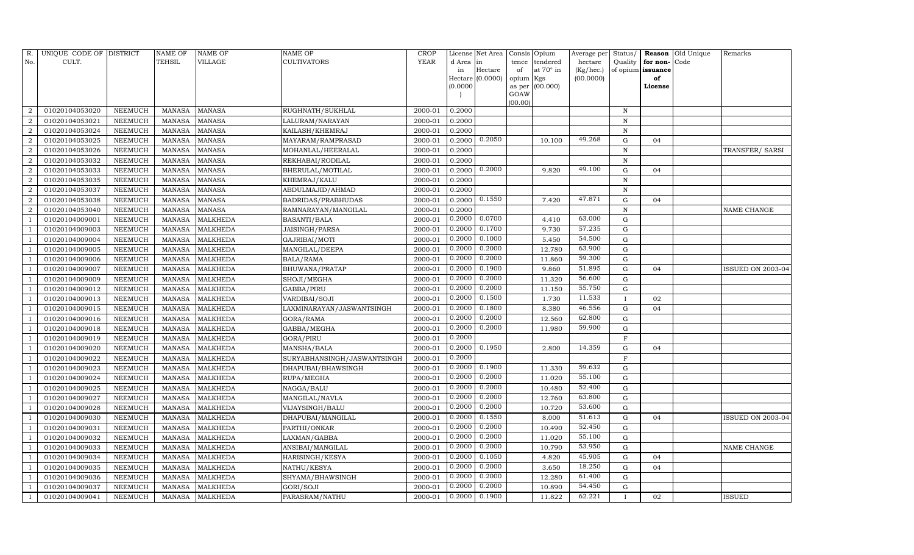| R.                          | UNIQUE CODE OF DISTRICT |                | NAME OF       | NAME OF         | NAME OF                     | CROP        |          | License Net Area   | Consis         | Opium            | Average per  | Status/      | Reason            | Old Unique | Remarks                  |
|-----------------------------|-------------------------|----------------|---------------|-----------------|-----------------------------|-------------|----------|--------------------|----------------|------------------|--------------|--------------|-------------------|------------|--------------------------|
| No.                         | CULT.                   |                | TEHSIL        | VILLAGE         | <b>CULTIVATORS</b>          | <b>YEAR</b> | d Area   | lin                | tence          | tendered         | hectare      | Quality      | for non-          | Code       |                          |
|                             |                         |                |               |                 |                             |             | in       | Hectare            | of             | at $70^\circ$ in | $(Kg/$ hec.) |              | of opium issuance |            |                          |
|                             |                         |                |               |                 |                             |             | (0.0000) | Hectare $(0.0000)$ | opium          | Kgs<br>(00.000)  | (00.0000)    |              | of<br>License     |            |                          |
|                             |                         |                |               |                 |                             |             |          |                    | as per<br>GOAW |                  |              |              |                   |            |                          |
|                             |                         |                |               |                 |                             |             |          |                    | (00.00)        |                  |              |              |                   |            |                          |
| 2                           | 01020104053020          | NEEMUCH        | <b>MANASA</b> | <b>MANASA</b>   | RUGHNATH/SUKHLAL            | 2000-01     | 0.2000   |                    |                |                  |              | $\,$ N       |                   |            |                          |
| $\overline{2}$              | 01020104053021          | NEEMUCH        | <b>MANASA</b> | <b>MANASA</b>   | LALURAM/NARAYAN             | 2000-01     | 0.2000   |                    |                |                  |              | $\mathbf N$  |                   |            |                          |
|                             | 01020104053024          | NEEMUCH        | <b>MANASA</b> | <b>MANASA</b>   | KAILASH/KHEMRAJ             | 2000-01     | 0.2000   |                    |                |                  |              | $\mathbf N$  |                   |            |                          |
| $\overline{2}$              | 01020104053025          | NEEMUCH        | <b>MANASA</b> | <b>MANASA</b>   | MAYARAM/RAMPRASAD           | 2000-01     | 0.2000   | 0.2050             |                | 10.100           | 49.268       | ${\rm G}$    | 04                |            |                          |
| $\overline{2}$              | 01020104053026          | <b>NEEMUCH</b> | <b>MANASA</b> | <b>MANASA</b>   | MOHANLAL/HEERALAL           | 2000-01     | 0.2000   |                    |                |                  |              | $\mathbf N$  |                   |            | TRANSFER/ SARSI          |
|                             | 01020104053032          | NEEMUCH        | <b>MANASA</b> | MANASA          | REKHABAI/RODILAL            | 2000-01     | 0.2000   |                    |                |                  |              | $\mathbf N$  |                   |            |                          |
| $\overline{2}$              | 01020104053033          | NEEMUCH        | <b>MANASA</b> | <b>MANASA</b>   | BHERULAL/MOTILAL            | 2000-01     | 0.2000   | 0.2000             |                | 9.820            | 49.100       | G            | 04                |            |                          |
| $\overline{2}$              | 01020104053035          | NEEMUCH        | <b>MANASA</b> | <b>MANASA</b>   | KHEMRAJ/KALU                | 2000-01     | 0.2000   |                    |                |                  |              | $\mathbf N$  |                   |            |                          |
| $\mathcal{D}$               | 01020104053037          | NEEMUCH        | MANASA        | MANASA          | ABDULMAJID/AHMAD            | 2000-01     | 0.2000   |                    |                |                  |              | N            |                   |            |                          |
|                             | 01020104053038          | NEEMUCH        | <b>MANASA</b> | <b>MANASA</b>   | <b>BADRIDAS/PRABHUDAS</b>   | 2000-01     | 0.2000   | 0.1550             |                | 7.420            | 47.871       | ${\rm G}$    | 04                |            |                          |
| $\mathcal{D}_{\mathcal{L}}$ | 01020104053040          | NEEMUCH        | <b>MANASA</b> | <b>MANASA</b>   | RAMNARAYAN/MANGILAL         | 2000-01     | 0.2000   |                    |                |                  |              | N            |                   |            | NAME CHANGE              |
|                             | 01020104009001          | NEEMUCH        | <b>MANASA</b> | <b>MALKHEDA</b> | <b>BASANTI/BALA</b>         | 2000-01     | 0.2000   | 0.0700             |                | 4.410            | 63.000       | $\mathbf G$  |                   |            |                          |
|                             | 01020104009003          | NEEMUCH        | <b>MANASA</b> | <b>MALKHEDA</b> | JAISINGH/PARSA              | 2000-01     | 0.2000   | 0.1700             |                | 9.730            | 57.235       | G            |                   |            |                          |
|                             | 01020104009004          | NEEMUCH        | <b>MANASA</b> | <b>MALKHEDA</b> | GAJRIBAI/MOTI               | 2000-01     | 0.2000   | 0.1000             |                | 5.450            | 54.500       | G            |                   |            |                          |
|                             | 01020104009005          | NEEMUCH        | <b>MANASA</b> | <b>MALKHEDA</b> | MANGILAL/DEEPA              | 2000-01     | 0.2000   | 0.2000             |                | 12.780           | 63.900       | G            |                   |            |                          |
|                             | 01020104009006          | NEEMUCH        | <b>MANASA</b> | <b>MALKHEDA</b> | BALA/RAMA                   | 2000-01     | 0.2000   | 0.2000             |                | 11.860           | 59.300       | G            |                   |            |                          |
|                             | 01020104009007          | NEEMUCH        | <b>MANASA</b> | MALKHEDA        | BHUWANA/PRATAP              | 2000-01     | 0.2000   | 0.1900             |                | 9.860            | 51.895       | G            | 04                |            | ISSUED ON 2003-04        |
|                             | 01020104009009          | NEEMUCH        | <b>MANASA</b> | MALKHEDA        | SHOJI/MEGHA                 | 2000-01     | 0.2000   | 0.2000             |                | 11.320           | 56.600       | G            |                   |            |                          |
|                             | 01020104009012          | NEEMUCH        | <b>MANASA</b> | MALKHEDA        | GABBA/PIRU                  | 2000-01     | 0.2000   | 0.2000             |                | 11.150           | 55.750       | G            |                   |            |                          |
|                             | 01020104009013          | NEEMUCH        | <b>MANASA</b> | MALKHEDA        | VARDIBAI/SOJI               | 2000-01     | 0.2000   | 0.1500             |                | 1.730            | 11.533       | $\mathbf{I}$ | 02                |            |                          |
|                             | 01020104009015          | NEEMUCH        | <b>MANASA</b> | <b>MALKHEDA</b> | LAXMINARAYAN/JASWANTSINGH   | 2000-01     | 0.2000   | 0.1800             |                | 8.380            | 46.556       | G            | 04                |            |                          |
|                             | 01020104009016          | NEEMUCH        | <b>MANASA</b> | MALKHEDA        | GORA/RAMA                   | 2000-01     | 0.2000   | 0.2000             |                | 12.560           | 62.800       | G            |                   |            |                          |
|                             | 01020104009018          | NEEMUCH        | <b>MANASA</b> | MALKHEDA        | GABBA/MEGHA                 | 2000-01     | 0.2000   | 0.2000             |                | 11.980           | 59.900       | ${\rm G}$    |                   |            |                          |
|                             | 01020104009019          | <b>NEEMUCH</b> | <b>MANASA</b> | <b>MALKHEDA</b> | GORA/PIRU                   | 2000-01     | 0.2000   |                    |                |                  |              | F            |                   |            |                          |
|                             | 01020104009020          | NEEMUCH        | <b>MANASA</b> | <b>MALKHEDA</b> | MANSHA/BALA                 | 2000-01     | 0.2000   | 0.1950             |                | 2.800            | 14.359       | $\mathbf G$  | 04                |            |                          |
|                             | 01020104009022          | NEEMUCH        | <b>MANASA</b> | <b>MALKHEDA</b> | SURYABHANSINGH/JASWANTSINGH | 2000-01     | 0.2000   |                    |                |                  |              | $\mathbf F$  |                   |            |                          |
|                             | 01020104009023          | NEEMUCH        | <b>MANASA</b> | <b>MALKHEDA</b> | DHAPUBAI/BHAWSINGH          | 2000-01     | 0.2000   | 0.1900             |                | 11.330           | 59.632       | ${\rm G}$    |                   |            |                          |
|                             | 01020104009024          | <b>NEEMUCH</b> | <b>MANASA</b> | <b>MALKHEDA</b> | RUPA/MEGHA                  | 2000-01     | 0.2000   | 0.2000             |                | 11.020           | 55.100       | $\mathbf G$  |                   |            |                          |
|                             | 01020104009025          | NEEMUCH        | <b>MANASA</b> | <b>MALKHEDA</b> | NAGGA/BALU                  | 2000-01     | 0.2000   | 0.2000             |                | 10.480           | 52.400       | ${\rm G}$    |                   |            |                          |
|                             | 01020104009027          | <b>NEEMUCH</b> | <b>MANASA</b> | <b>MALKHEDA</b> | MANGILAL/NAVLA              | 2000-01     | 0.2000   | 0.2000             |                | 12.760           | 63.800       | ${\rm G}$    |                   |            |                          |
|                             | 01020104009028          | NEEMUCH        | <b>MANASA</b> | <b>MALKHEDA</b> | VIJAYSINGH/BALU             | 2000-01     | 0.2000   | 0.2000             |                | 10.720           | 53.600       | $\mathbf G$  |                   |            |                          |
|                             | 01020104009030          | <b>NEEMUCH</b> | <b>MANASA</b> | <b>MALKHEDA</b> | DHAPUBAI/MANGILAL           | 2000-01     | 0.2000   | 0.1550             |                | 8.000            | 51.613       | ${\rm G}$    | 04                |            | <b>ISSUED ON 2003-04</b> |
|                             | 01020104009031          | NEEMUCH        | <b>MANASA</b> | <b>MALKHEDA</b> | PARTHI/ONKAR                | 2000-01     | 0.2000   | 0.2000             |                | 10.490           | 52.450       | ${\rm G}$    |                   |            |                          |
|                             | 01020104009032          | NEEMUCH        | <b>MANASA</b> | <b>MALKHEDA</b> | LAXMAN/GABBA                | 2000-01     | 0.2000   | 0.2000             |                | 11.020           | 55.100       | ${\rm G}$    |                   |            |                          |
|                             | 01020104009033          | NEEMUCH        | <b>MANASA</b> | MALKHEDA        | ANSIBAI/MANGILAL            | 2000-01     | 0.2000   | 0.2000             |                | 10.790           | 53.950       | G            |                   |            | NAME CHANGE              |
|                             | 01020104009034          | NEEMUCH        | <b>MANASA</b> | <b>MALKHEDA</b> | HARISINGH/KESYA             | 2000-01     | 0.2000   | 0.1050             |                | 4.820            | 45.905       | $\mathbf G$  | 04                |            |                          |
|                             | 01020104009035          | NEEMUCH        | <b>MANASA</b> | <b>MALKHEDA</b> | NATHU/KESYA                 | 2000-01     | 0.2000   | 0.2000             |                | 3.650            | 18.250       | G            | 04                |            |                          |
|                             | 01020104009036          | NEEMUCH        | <b>MANASA</b> | MALKHEDA        | SHYAMA/BHAWSINGH            | 2000-01     | 0.2000   | 0.2000             |                | 12.280           | 61.400       | $\mathbf G$  |                   |            |                          |
|                             | 01020104009037          | NEEMUCH        | <b>MANASA</b> | MALKHEDA        | GORI/SOJI                   | 2000-01     | 0.2000   | 0.2000             |                | 10.890           | 54.450       | $\mathbf G$  |                   |            |                          |
|                             | 01020104009041          | NEEMUCH        | MANASA        | <b>MALKHEDA</b> | PARASRAM/NATHU              | 2000-01     | 0.2000   | 0.1900             |                | 11.822           | 62.221       |              | 02                |            | ISSUED                   |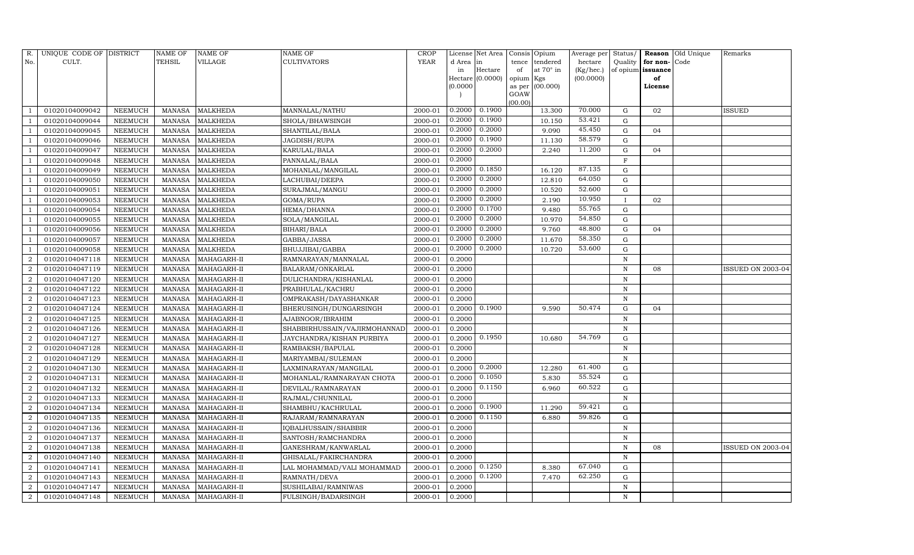| R.                          | UNIQUE CODE OF DISTRICT |                 | <b>NAME OF</b> | NAME OF         | <b>NAME OF</b>               | CROP        |           | License Net Area |                | Consis Opium | Average per | Status/      | Reason            | Old Unique | Remarks           |
|-----------------------------|-------------------------|-----------------|----------------|-----------------|------------------------------|-------------|-----------|------------------|----------------|--------------|-------------|--------------|-------------------|------------|-------------------|
| No.                         | CULT.                   |                 | TEHSIL         | VILLAGE         | <b>CULTIVATORS</b>           | <b>YEAR</b> | d Area in |                  | tence          | tendered     | hectare     | Quality      | for non-          | Code       |                   |
|                             |                         |                 |                |                 |                              |             | in        | Hectare          | of             | at 70° in    | (Kg/hec.)   |              | of opium issuance |            |                   |
|                             |                         |                 |                |                 |                              |             |           | Hectare (0.0000) | opium Kgs      |              | (00.0000)   |              | of                |            |                   |
|                             |                         |                 |                |                 |                              |             | (0.0000)  |                  | as per<br>GOAW | (00.000)     |             |              | License           |            |                   |
|                             |                         |                 |                |                 |                              |             |           |                  | (00.00)        |              |             |              |                   |            |                   |
|                             | 01020104009042          | NEEMUCH         | <b>MANASA</b>  | <b>MALKHEDA</b> | MANNALAL/NATHU               | 2000-01     | 0.2000    | 0.1900           |                | 13.300       | 70.000      | G            | 02                |            | ISSUED            |
|                             | 01020104009044          | NEEMUCH         | <b>MANASA</b>  | <b>MALKHEDA</b> | SHOLA/BHAWSINGH              | 2000-01     | 0.2000    | 0.1900           |                | 10.150       | 53.421      | G            |                   |            |                   |
|                             | 01020104009045          | NEEMUCH         | <b>MANASA</b>  | <b>MALKHEDA</b> | SHANTILAL/BALA               | 2000-01     | 0.2000    | 0.2000           |                | 9.090        | 45.450      | G            | 04                |            |                   |
|                             | 01020104009046          | ${\tt NEEMUCH}$ | <b>MANASA</b>  | <b>MALKHEDA</b> | JAGDISH/RUPA                 | 2000-01     | 0.2000    | 0.1900           |                | 11.130       | 58.579      | ${\rm G}$    |                   |            |                   |
|                             | 01020104009047          | NEEMUCH         | <b>MANASA</b>  | <b>MALKHEDA</b> | KARULAL/BALA                 | 2000-01     | 0.2000    | 0.2000           |                | 2.240        | 11.200      | $\mathbf G$  | 04                |            |                   |
|                             | 01020104009048          | NEEMUCH         | <b>MANASA</b>  | <b>MALKHEDA</b> | PANNALAL/BALA                | 2000-01     | 0.2000    |                  |                |              |             | $\mathbf F$  |                   |            |                   |
|                             | 01020104009049          | NEEMUCH         | MANASA         | <b>MALKHEDA</b> | MOHANLAL/MANGILAL            | $2000 - 01$ | 0.2000    | 0.1850           |                | 16.120       | 87.135      | ${\rm G}$    |                   |            |                   |
|                             | 01020104009050          | NEEMUCH         | <b>MANASA</b>  | <b>MALKHEDA</b> | LACHUBAI/DEEPA               | 2000-01     | 0.2000    | 0.2000           |                | 12.810       | 64.050      | $\mathbf G$  |                   |            |                   |
|                             | 01020104009051          | NEEMUCH         | <b>MANASA</b>  | <b>MALKHEDA</b> | SURAJMAL/MANGU               | 2000-01     | 0.2000    | 0.2000           |                | 10.520       | 52.600      | $\mathbf G$  |                   |            |                   |
|                             | 01020104009053          | NEEMUCH         | <b>MANASA</b>  | <b>MALKHEDA</b> | GOMA/RUPA                    | 2000-01     | 0.2000    | 0.2000           |                | 2.190        | 10.950      | $\mathbf{I}$ | 02                |            |                   |
|                             | 01020104009054          | NEEMUCH         | <b>MANASA</b>  | <b>MALKHEDA</b> | HEMA/DHANNA                  | 2000-01     | 0.2000    | 0.1700           |                | 9.480        | 55.765      | ${\rm G}$    |                   |            |                   |
|                             | 01020104009055          | NEEMUCH         | MANASA         | MALKHEDA        | SOLA/MANGILAL                | 2000-01     | 0.2000    | 0.2000           |                | 10.970       | 54.850      | $\mathbf G$  |                   |            |                   |
|                             | 01020104009056          | <b>NEEMUCH</b>  | <b>MANASA</b>  | <b>MALKHEDA</b> | <b>BIHARI/BALA</b>           | 2000-01     | 0.2000    | 0.2000           |                | 9.760        | 48.800      | $\mathbf G$  | 04                |            |                   |
|                             | 01020104009057          | NEEMUCH         | <b>MANASA</b>  | MALKHEDA        | GABBA/JASSA                  | 2000-01     | 0.2000    | 0.2000           |                | 11.670       | 58.350      | G            |                   |            |                   |
|                             | 01020104009058          | NEEMUCH         | <b>MANASA</b>  | <b>MALKHEDA</b> | BHUJJIBAI/GABBA              | 2000-01     | 0.2000    | 0.2000           |                | 10.720       | 53.600      | G            |                   |            |                   |
| $\mathcal{D}_{\mathcal{L}}$ | 01020104047118          | NEEMUCH         | <b>MANASA</b>  | MAHAGARH-II     | RAMNARAYAN/MANNALAL          | 2000-01     | 0.2000    |                  |                |              |             | $\mathbf N$  |                   |            |                   |
| $\mathcal{D}$               | 01020104047119          | <b>NEEMUCH</b>  | <b>MANASA</b>  | MAHAGARH-II     | BALARAM/ONKARLAL             | 2000-01     | 0.2000    |                  |                |              |             | N            | 08                |            | ISSUED ON 2003-04 |
| $\overline{2}$              | 01020104047120          | NEEMUCH         | MANASA         | MAHAGARH-II     | DULICHANDRA/KISHANLAL        | 2000-01     | 0.2000    |                  |                |              |             | N            |                   |            |                   |
| $\overline{2}$              | 01020104047122          | NEEMUCH         | <b>MANASA</b>  | MAHAGARH-II     | PRABHULAL/KACHRU             | 2000-01     | 0.2000    |                  |                |              |             | N            |                   |            |                   |
| 2                           | 01020104047123          | NEEMUCH         | MANASA         | MAHAGARH-II     | OMPRAKASH/DAYASHANKAR        | 2000-01     | 0.2000    |                  |                |              |             | N            |                   |            |                   |
|                             | 01020104047124          | NEEMUCH         | <b>MANASA</b>  | MAHAGARH-II     | BHERUSINGH/DUNGARSINGH       | 2000-01     | 0.2000    | 0.1900           |                | 9.590        | 50.474      | ${\rm G}$    | 04                |            |                   |
| $\mathcal{D}$               | 01020104047125          | NEEMUCH         | <b>MANASA</b>  | MAHAGARH-II     | AJABNOOR/IBRAHIM             | 2000-01     | 0.2000    |                  |                |              |             | N            |                   |            |                   |
| $\mathcal{D}$               | 01020104047126          | NEEMUCH         | <b>MANASA</b>  | MAHAGARH-II     | SHABBIRHUSSAIN/VAJIRMOHANNAD | 2000-01     | 0.2000    |                  |                |              |             | N            |                   |            |                   |
| 2                           | 01020104047127          | NEEMUCH         | <b>MANASA</b>  | MAHAGARH-II     | JAYCHANDRA/KISHAN PURBIYA    | 2000-01     | 0.2000    | 0.1950           |                | 10.680       | 54.769      | ${\rm G}$    |                   |            |                   |
|                             | 01020104047128          | NEEMUCH         | <b>MANASA</b>  | MAHAGARH-II     | RAMBAKSH/BAPULAL             | 2000-01     | 0.2000    |                  |                |              |             | ${\bf N}$    |                   |            |                   |
| $\overline{2}$              | 01020104047129          | NEEMUCH         | <b>MANASA</b>  | MAHAGARH-II     | MARIYAMBAI/SULEMAN           | 2000-01     | 0.2000    |                  |                |              |             | N            |                   |            |                   |
| 2                           | 01020104047130          | NEEMUCH         | <b>MANASA</b>  | MAHAGARH-II     | LAXMINARAYAN/MANGILAL        | 2000-01     | 0.2000    | 0.2000           |                | 12.280       | 61.400      | ${\rm G}$    |                   |            |                   |
| $\overline{2}$              | 01020104047131          | NEEMUCH         | <b>MANASA</b>  | MAHAGARH-II     | MOHANLAL/RAMNARAYAN CHOTA    | 2000-01     | 0.2000    | 0.1050           |                | 5.830        | 55.524      | $\mathbf G$  |                   |            |                   |
| $\overline{2}$              | 01020104047132          | NEEMUCH         | <b>MANASA</b>  | MAHAGARH-II     | DEVILAL/RAMNARAYAN           | 2000-01     | 0.2000    | 0.1150           |                | 6.960        | 60.522      | ${\rm G}$    |                   |            |                   |
| $\overline{2}$              | 01020104047133          | NEEMUCH         | <b>MANASA</b>  | MAHAGARH-II     | RAJMAL/CHUNNILAL             | 2000-01     | 0.2000    |                  |                |              |             | $\mathbf N$  |                   |            |                   |
| $\overline{2}$              | 01020104047134          | NEEMUCH         | MANASA         | MAHAGARH-II     | SHAMBHU/KACHRULAL            | 2000-01     | 0.2000    | 0.1900           |                | 11.290       | 59.421      | $\mathbf G$  |                   |            |                   |
| $\overline{2}$              | 01020104047135          | <b>NEEMUCH</b>  | <b>MANASA</b>  | MAHAGARH-II     | RAJARAM/RAMNARAYAN           | 2000-01     | 0.2000    | 0.1150           |                | 6.880        | 59.826      | $\mathbf G$  |                   |            |                   |
|                             | 01020104047136          | NEEMUCH         | <b>MANASA</b>  | MAHAGARH-II     | IQBALHUSSAIN/SHABBIR         | 2000-01     | 0.2000    |                  |                |              |             | ${\bf N}$    |                   |            |                   |
| $\overline{2}$              | 01020104047137          | NEEMUCH         | <b>MANASA</b>  | MAHAGARH-II     | SANTOSH/RAMCHANDRA           | 2000-01     | 0.2000    |                  |                |              |             | N            |                   |            |                   |
| 2                           | 01020104047138          | NEEMUCH         | <b>MANASA</b>  | MAHAGARH-II     | GANESHRAM/KANWARLAL          | 2000-01     | 0.2000    |                  |                |              |             | $\mathbf N$  | 08                |            | ISSUED ON 2003-04 |
| $\overline{2}$              | 01020104047140          | <b>NEEMUCH</b>  | <b>MANASA</b>  | MAHAGARH-II     | GHISALAL/FAKIRCHANDRA        | 2000-01     | 0.2000    |                  |                |              |             | $\mathbf N$  |                   |            |                   |
| $\overline{2}$              | 01020104047141          | NEEMUCH         | MANASA         | MAHAGARH-II     | LAL MOHAMMAD/VALI MOHAMMAD   | 2000-01     | 0.2000    | 0.1250           |                | 8.380        | 67.040      | G            |                   |            |                   |
| $\overline{2}$              | 01020104047143          | NEEMUCH         | <b>MANASA</b>  | MAHAGARH-II     | RAMNATH/DEVA                 | 2000-01     | 0.2000    | 0.1200           |                | 7.470        | 62.250      | G            |                   |            |                   |
| 2                           | 01020104047147          | NEEMUCH         | <b>MANASA</b>  | MAHAGARH-II     | SUSHILABAI/RAMNIWAS          | 2000-01     | 0.2000    |                  |                |              |             | N            |                   |            |                   |
| 2                           | 01020104047148          | <b>NEEMUCH</b>  | MANASA         | MAHAGARH-II     | FULSINGH/BADARSINGH          | 2000-01     | 0.2000    |                  |                |              |             | N            |                   |            |                   |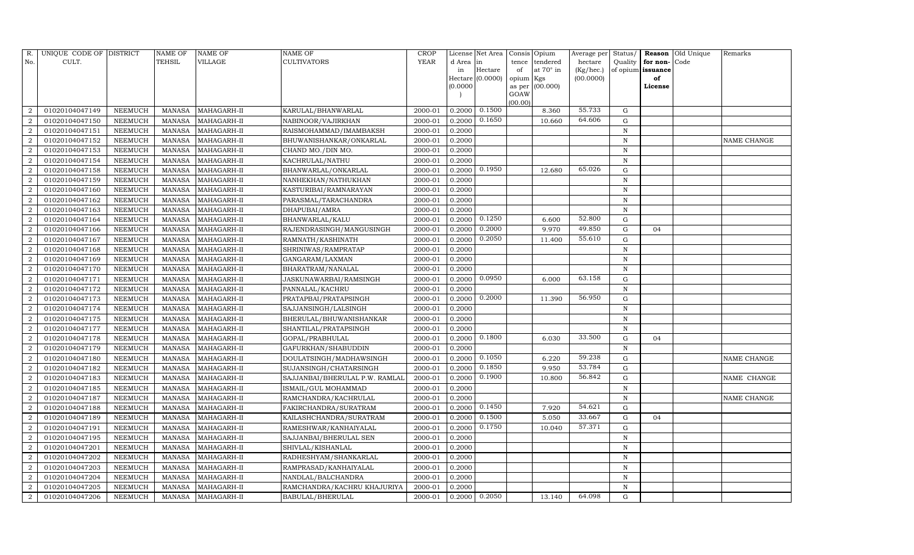| R.                     | UNIQUE CODE OF DISTRICT |                | NAME OF       | NAME OF     | NAME OF                        | CROP        |           | License Net Area   | Consis         | Opium     | Average per | Status/      |          | <b>Reason</b> Old Unique | Remarks     |
|------------------------|-------------------------|----------------|---------------|-------------|--------------------------------|-------------|-----------|--------------------|----------------|-----------|-------------|--------------|----------|--------------------------|-------------|
| No.                    | CULT.                   |                | TEHSIL        | VILLAGE     | CULTIVATORS                    | <b>YEAR</b> | d Area in |                    | tence          | tendered  | hectare     | Quality      | for non- | Code                     |             |
|                        |                         |                |               |             |                                |             | in        | Hectare            | of             | at 70° in | (Kg/hec.)   | of opium     | issuance |                          |             |
|                        |                         |                |               |             |                                |             |           | Hectare $(0.0000)$ | opium          | Kgs       | (00.0000)   |              | of       |                          |             |
|                        |                         |                |               |             |                                |             | (0.0000)  |                    | as per<br>GOAW | (00.000)  |             |              | License  |                          |             |
|                        |                         |                |               |             |                                |             |           |                    | (00.00)        |           |             |              |          |                          |             |
| 2                      | 01020104047149          | NEEMUCH        | <b>MANASA</b> | MAHAGARH-II | KARULAL/BHANWARLAL             | 2000-01     | 0.2000    | 0.1500             |                | 8.360     | 55.733      | G            |          |                          |             |
| $\overline{2}$         | 01020104047150          | NEEMUCH        | <b>MANASA</b> | MAHAGARH-II | NABINOOR/VAJIRKHAN             | 2000-01     | 0.2000    | 0.1650             |                | 10.660    | 64.606      | ${\rm G}$    |          |                          |             |
|                        | 01020104047151          | NEEMUCH        | MANASA        | MAHAGARH-II | RAISMOHAMMAD/IMAMBAKSH         | 2000-01     | 0.2000    |                    |                |           |             | $\, {\rm N}$ |          |                          |             |
| $\overline{2}$         | 01020104047152          | NEEMUCH        | <b>MANASA</b> | MAHAGARH-II | BHUWANISHANKAR/ONKARLAL        | 2000-01     | 0.2000    |                    |                |           |             | ${\bf N}$    |          |                          | NAME CHANGE |
| 2                      | 01020104047153          | NEEMUCH        | <b>MANASA</b> | MAHAGARH-II | CHAND MO./DIN MO.              | 2000-01     | 0.2000    |                    |                |           |             | $\, {\rm N}$ |          |                          |             |
| $\mathcal{D}$          | 01020104047154          | <b>NEEMUCH</b> | <b>MANASA</b> | MAHAGARH-II | KACHRULAL/NATHU                | 2000-01     | 0.2000    |                    |                |           |             | N            |          |                          |             |
| $\overline{2}$         | 01020104047158          | NEEMUCH        | <b>MANASA</b> | MAHAGARH-II | BHANWARLAL/ONKARLAL            | 2000-01     | 0.2000    | 0.1950             |                | 12.680    | 65.026      | G            |          |                          |             |
| $\overline{2}$         | 01020104047159          | NEEMUCH        | <b>MANASA</b> | MAHAGARH-II | NANHEKHAN/NATHUKHAN            | 2000-01     | 0.2000    |                    |                |           |             | ${\bf N}$    |          |                          |             |
| $\overline{2}$         | 01020104047160          | <b>NEEMUCH</b> | MANASA        | MAHAGARH-II | KASTURIBAI/RAMNARAYAN          | 2000-01     | 0.2000    |                    |                |           |             | $\mathbf N$  |          |                          |             |
| $\overline{2}$         | 01020104047162          | <b>NEEMUCH</b> | <b>MANASA</b> | MAHAGARH-II | PARASMAL/TARACHANDRA           | 2000-01     | 0.2000    |                    |                |           |             | N            |          |                          |             |
| $\overline{2}$         | 01020104047163          | NEEMUCH        | <b>MANASA</b> | MAHAGARH-II | DHAPUBAI/AMRA                  | 2000-01     | 0.2000    |                    |                |           |             | $\, {\rm N}$ |          |                          |             |
| $\overline{2}$         | 01020104047164          | NEEMUCH        | MANASA        | MAHAGARH-II | BHANWARLAL/KALU                | 2000-01     | 0.2000    | 0.1250             |                | 6.600     | 52.800      | G            |          |                          |             |
| $\overline{2}$         | 01020104047166          | NEEMUCH        | <b>MANASA</b> | MAHAGARH-II | RAJENDRASINGH/MANGUSINGH       | 2000-01     | 0.2000    | 0.2000             |                | 9.970     | 49.850      | ${\rm G}$    | 04       |                          |             |
|                        | 01020104047167          | <b>NEEMUCH</b> | <b>MANASA</b> | MAHAGARH-II | RAMNATH/KASHINATH              | 2000-01     | 0.2000    | 0.2050             |                | 11.400    | 55.610      | ${\rm G}$    |          |                          |             |
| $\overline{2}$         | 01020104047168          | NEEMUCH        | MANASA        | MAHAGARH-II | SHRINIWAS/RAMPRATAP            | 2000-01     | 0.2000    |                    |                |           |             | $\mathbf N$  |          |                          |             |
| 2                      | 01020104047169          | NEEMUCH        | <b>MANASA</b> | MAHAGARH-II | GANGARAM/LAXMAN                | 2000-01     | 0.2000    |                    |                |           |             | $\, {\rm N}$ |          |                          |             |
| $\overline{2}$         | 01020104047170          | NEEMUCH        | <b>MANASA</b> | MAHAGARH-II | BHARATRAM/NANALAL              | 2000-01     | 0.2000    |                    |                |           |             | N            |          |                          |             |
| $\overline{2}$         | 01020104047171          | NEEMUCH        | <b>MANASA</b> | MAHAGARH-II | JASKUNAWARBAI/RAMSINGH         | 2000-01     | 0.2000    | 0.0950             |                | 6.000     | 63.158      | G            |          |                          |             |
| $\overline{2}$         | 01020104047172          | NEEMUCH        | <b>MANASA</b> | MAHAGARH-II | PANNALAL/KACHRU                | 2000-01     | 0.2000    |                    |                |           |             | $\, {\rm N}$ |          |                          |             |
| $\overline{2}$         | 01020104047173          | NEEMUCH        | <b>MANASA</b> | MAHAGARH-II | PRATAPBAI/PRATAPSINGH          | 2000-01     | 0.2000    | 0.2000             |                | 11.390    | 56.950      | G            |          |                          |             |
| $\overline{2}$         | 01020104047174          | NEEMUCH        | <b>MANASA</b> | MAHAGARH-II | SAJJANSINGH/LALSINGH           | 2000-01     | 0.2000    |                    |                |           |             | $\, {\rm N}$ |          |                          |             |
| $\overline{2}$         | 01020104047175          | NEEMUCH        | <b>MANASA</b> | MAHAGARH-II | BHERULAL/BHUWANISHANKAR        | 2000-01     | 0.2000    |                    |                |           |             | $\mathbf N$  |          |                          |             |
| $\overline{2}$         | 01020104047177          | NEEMUCH        | <b>MANASA</b> | MAHAGARH-II | SHANTILAL/PRATAPSINGH          | 2000-01     | 0.2000    |                    |                |           |             | $\, {\rm N}$ |          |                          |             |
| 2                      | 01020104047178          | <b>NEEMUCH</b> | <b>MANASA</b> | MAHAGARH-II | GOPAL/PRABHULAL                | 2000-01     | 0.2000    | 0.1800             |                | 6.030     | 33.500      | G            | 04       |                          |             |
| $\mathcal{D}$          | 01020104047179          | NEEMUCH        | <b>MANASA</b> | MAHAGARH-II | GAFURKHAN/SHABUDDIN            | 2000-01     | 0.2000    |                    |                |           |             | $\mathbf N$  |          |                          |             |
| $\mathcal{D}$          | 01020104047180          | NEEMUCH        | <b>MANASA</b> | MAHAGARH-II | DOULATSINGH/MADHAWSINGH        | 2000-01     | 0.2000    | 0.1050             |                | 6.220     | 59.238      | G            |          |                          | NAME CHANGE |
| $\overline{2}$         | 01020104047182          | NEEMUCH        | <b>MANASA</b> | MAHAGARH-II | SUJANSINGH/CHATARSINGH         | 2000-01     | 0.2000    | 0.1850             |                | 9.950     | 53.784      | ${\rm G}$    |          |                          |             |
| $\overline{2}$         | 01020104047183          | NEEMUCH        | <b>MANASA</b> | MAHAGARH-II | SAJJANBAI/BHERULAL P.W. RAMLAL | 2000-01     | 0.2000    | 0.1900             |                | 10.800    | 56.842      | G            |          |                          | NAME CHANGE |
| $\overline{2}$         | 01020104047185          | NEEMUCH        | MANASA        | MAHAGARH-II | ISMAIL/GUL MOHAMMAD            | 2000-01     | 0.2000    |                    |                |           |             | ${\bf N}$    |          |                          |             |
| $\overline{2}$         | 01020104047187          | NEEMUCH        | <b>MANASA</b> | MAHAGARH-II | RAMCHANDRA/KACHRULAL           | 2000-01     | 0.2000    |                    |                |           |             | $\, {\rm N}$ |          |                          | NAME CHANGE |
| 2                      | 01020104047188          | NEEMUCH        | MANASA        | MAHAGARH-II | FAKIRCHANDRA/SURATRAM          | 2000-01     | 0.2000    | 0.1450             |                | 7.920     | 54.621      | G            |          |                          |             |
| $\mathcal{D}_{\alpha}$ | 01020104047189          | NEEMUCH        | <b>MANASA</b> | MAHAGARH-II | KAILASHCHANDRA/SURATRAM        | 2000-01     | 0.2000    | 0.1500             |                | 5.050     | 33.667      | G            | 04       |                          |             |
| $\overline{2}$         | 01020104047191          | NEEMUCH        | <b>MANASA</b> | MAHAGARH-II | RAMESHWAR/KANHAIYALAL          | 2000-01     | 0.2000    | 0.1750             |                | 10.040    | 57.371      | G            |          |                          |             |
| $\overline{2}$         | 01020104047195          | NEEMUCH        | <b>MANASA</b> | MAHAGARH-II | SAJJANBAI/BHERULAL SEN         | 2000-01     | 0.2000    |                    |                |           |             | $\, {\rm N}$ |          |                          |             |
| 2                      | 01020104047201          | <b>NEEMUCH</b> | <b>MANASA</b> | MAHAGARH-II | SHIVLAL/KISHANLAL              | 2000-01     | 0.2000    |                    |                |           |             | ${\bf N}$    |          |                          |             |
| $\mathcal{D}$          | 01020104047202          | NEEMUCH        | <b>MANASA</b> | MAHAGARH-II | RADHESHYAM/SHANKARLAL          | 2000-01     | 0.2000    |                    |                |           |             | $\mathbf N$  |          |                          |             |
| $\mathcal{D}$          | 01020104047203          | NEEMUCH        | <b>MANASA</b> | MAHAGARH-II | RAMPRASAD/KANHAIYALAL          | 2000-01     | 0.2000    |                    |                |           |             | ${\bf N}$    |          |                          |             |
| 2                      | 01020104047204          | NEEMUCH        | <b>MANASA</b> | MAHAGARH-II | NANDLAL/BALCHANDRA             | 2000-01     | 0.2000    |                    |                |           |             | $\mathbf N$  |          |                          |             |
| 2                      | 01020104047205          | NEEMUCH        | <b>MANASA</b> | MAHAGARH-II | RAMCHANDRA/KACHRU KHAJURIYA    | 2000-01     | 0.2000    |                    |                |           |             | $\mathbf N$  |          |                          |             |
| $\overline{2}$         | 01020104047206          | NEEMUCH        | MANASA        | MAHAGARH-II | BABULAL/BHERULAL               | 2000-01     | 0.2000    | 0.2050             |                | 13.140    | 64.098      | G            |          |                          |             |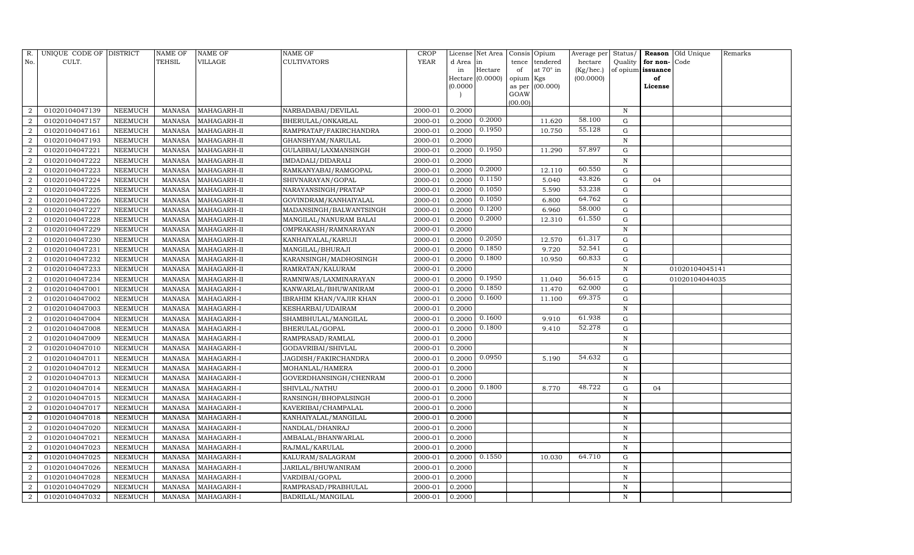| R.                     | UNIQUE CODE OF DISTRICT |         | NAME OF       | NAME OF           | NAME OF                        | <b>CROP</b> |           | License Net Area |           | Consis Opium    | Average per | Status/      |                   | Reason Old Unique | Remarks |
|------------------------|-------------------------|---------|---------------|-------------------|--------------------------------|-------------|-----------|------------------|-----------|-----------------|-------------|--------------|-------------------|-------------------|---------|
| No.                    | CULT.                   |         | TEHSIL        | VILLAGE           | <b>CULTIVATORS</b>             | <b>YEAR</b> | d Area in |                  | tence     | tendered        | hectare     | Quality      | for non-          | Code              |         |
|                        |                         |         |               |                   |                                |             | in        | Hectare          | of        | at 70° in       | (Kg/hec.)   |              | of opium issuance |                   |         |
|                        |                         |         |               |                   |                                |             |           | Hectare (0.0000) | opium Kgs |                 | (00.0000)   |              | of                |                   |         |
|                        |                         |         |               |                   |                                |             | (0.0000)  |                  | GOAW      | as per (00.000) |             |              | License           |                   |         |
|                        |                         |         |               |                   |                                |             |           |                  | (00.00)   |                 |             |              |                   |                   |         |
|                        | 01020104047139          | NEEMUCH | MANASA        | MAHAGARH-II       | NARBADABAI/DEVILAL             | 2000-01     | 0.2000    |                  |           |                 |             | N            |                   |                   |         |
| $\overline{2}$         | 01020104047157          | NEEMUCH | <b>MANASA</b> | MAHAGARH-II       | BHERULAL/ONKARLAL              | 2000-01     | 0.2000    | 0.2000           |           | 11.620          | 58.100      | G            |                   |                   |         |
| $\overline{2}$         | 01020104047161          | NEEMUCH | MANASA        | MAHAGARH-II       | RAMPRATAP/FAKIRCHANDRA         | 2000-01     | 0.2000    | 0.1950           |           | 10.750          | 55.128      | G            |                   |                   |         |
| $\overline{2}$         | 01020104047193          | NEEMUCH | MANASA        | MAHAGARH-II       | GHANSHYAM/NARULAL              | 2000-01     | 0.2000    |                  |           |                 |             | N            |                   |                   |         |
| 2                      | 01020104047221          | NEEMUCH | <b>MANASA</b> | MAHAGARH-II       | GULABBAI/LAXMANSINGH           | 2000-01     | 0.2000    | 0.1950           |           | 11.290          | 57.897      | $\mathbf G$  |                   |                   |         |
|                        | 01020104047222          | NEEMUCH | MANASA        | MAHAGARH-II       | IMDADALI/DIDARALI              | 2000-01     | 0.2000    |                  |           |                 |             | $\mathbf N$  |                   |                   |         |
| $\overline{2}$         | 01020104047223          | NEEMUCH | <b>MANASA</b> | MAHAGARH-II       | RAMKANYABAI/RAMGOPAL           | 2000-01     | 0.2000    | 0.2000           |           | 12.110          | 60.550      | G            |                   |                   |         |
| 2                      | 01020104047224          | NEEMUCH | <b>MANASA</b> | MAHAGARH-II       | SHIVNARAYAN/GOPAL              | 2000-01     | 0.2000    | 0.1150           |           | 5.040           | 43.826      | G            | 04                |                   |         |
| 2                      | 01020104047225          | NEEMUCH | MANASA        | MAHAGARH-II       | NARAYANSINGH/PRATAP            | 2000-01     | 0.2000    | 0.1050           |           | 5.590           | 53.238      | G            |                   |                   |         |
|                        | 01020104047226          | NEEMUCH | MANASA        | MAHAGARH-II       | GOVINDRAM/KANHAIYALAL          | 2000-01     | 0.2000    | 0.1050           |           | 6.800           | 64.762      | G            |                   |                   |         |
| 2                      | 01020104047227          | NEEMUCH | <b>MANASA</b> | MAHAGARH-II       | MADANSINGH/BALWANTSINGH        | 2000-01     | 0.2000    | 0.1200           |           | 6.960           | 58.000      | G            |                   |                   |         |
| 2                      | 01020104047228          | NEEMUCH | MANASA        | MAHAGARH-II       | MANGILAL/NANURAM BALAI         | 2000-01     | 0.2000    | 0.2000           |           | 12.310          | 61.550      | G            |                   |                   |         |
| $\overline{2}$         | 01020104047229          | NEEMUCH | MANASA        | MAHAGARH-II       | OMPRAKASH/RAMNARAYAN           | 2000-01     | 0.2000    |                  |           |                 |             | N            |                   |                   |         |
| $\overline{2}$         | 01020104047230          | NEEMUCH | MANASA        | MAHAGARH-II       | KANHAIYALAL/KARUJI             | 2000-01     | 0.2000    | 0.2050           |           | 12.570          | 61.317      | G            |                   |                   |         |
| $\overline{2}$         | 01020104047231          | NEEMUCH | MANASA        | MAHAGARH-II       | MANGILAL/BHURAJI               | 2000-01     | 0.2000    | 0.1850           |           | 9.720           | 52.541      | G            |                   |                   |         |
| 2                      | 01020104047232          | NEEMUCH | MANASA        | MAHAGARH-II       | KARANSINGH/MADHOSINGH          | 2000-01     | 0.2000    | 0.1800           |           | 10.950          | 60.833      | G            |                   |                   |         |
| $\mathcal{D}_{\alpha}$ | 01020104047233          | NEEMUCH | <b>MANASA</b> | MAHAGARH-II       | RAMRATAN/KALURAM               | 2000-01     | 0.2000    |                  |           |                 |             | N            |                   | 01020104045141    |         |
|                        | 01020104047234          | NEEMUCH | MANASA        | MAHAGARH-II       | RAMNIWAS/LAXMINARAYAN          | 2000-01     | 0.2000    | 0.1950           |           | 11.040          | 56.615      | G            |                   | 01020104044035    |         |
| $\overline{2}$         | 01020104047001          | NEEMUCH | <b>MANASA</b> | MAHAGARH-I        | KANWARLAL/BHUWANIRAM           | 2000-01     | 0.2000    | 0.1850           |           | 11.470          | 62.000      | G            |                   |                   |         |
| $\mathcal{D}$          | 01020104047002          | NEEMUCH | MANASA        | MAHAGARH-I        | <b>IBRAHIM KHAN/VAJIR KHAN</b> | 2000-01     | 0.2000    | 0.1600           |           | 11.100          | 69.375      | G            |                   |                   |         |
|                        | 01020104047003          | NEEMUCH | <b>MANASA</b> | MAHAGARH-I        | KESHARBAI/UDAIRAM              | 2000-01     | 0.2000    |                  |           |                 |             | $\, {\bf N}$ |                   |                   |         |
| 2                      | 01020104047004          | NEEMUCH | MANASA        | MAHAGARH-I        | SHAMBHULAL/MANGILAL            | 2000-01     | 0.2000    | 0.1600           |           | 9.910           | 61.938      | G            |                   |                   |         |
| $\overline{2}$         | 01020104047008          | NEEMUCH | MANASA        | MAHAGARH-I        | BHERULAL/GOPAL                 | 2000-01     | 0.2000    | 0.1800           |           | 9.410           | 52.278      | ${\rm G}$    |                   |                   |         |
| $\mathcal{D}_{\alpha}$ | 01020104047009          | NEEMUCH | <b>MANASA</b> | MAHAGARH-I        | RAMPRASAD/RAMLAL               | 2000-01     | 0.2000    |                  |           |                 |             | N            |                   |                   |         |
|                        | 01020104047010          | NEEMUCH | MANASA        | MAHAGARH-I        | GODAVRIBAI/SHIVLAL             | 2000-01     | 0.2000    |                  |           |                 |             | N            |                   |                   |         |
| $\overline{2}$         | 01020104047011          | NEEMUCH | <b>MANASA</b> | MAHAGARH-I        | JAGDISH/FAKIRCHANDRA           | 2000-01     | 0.2000    | 0.0950           |           | 5.190           | 54.632      | G            |                   |                   |         |
| 2                      | 01020104047012          | NEEMUCH | <b>MANASA</b> | MAHAGARH-I        | MOHANLAL/HAMERA                | 2000-01     | 0.2000    |                  |           |                 |             | $\mathbf N$  |                   |                   |         |
| $\mathcal{D}$          | 01020104047013          | NEEMUCH | <b>MANASA</b> | MAHAGARH-I        | GOVERDHANSINGH/CHENRAM         | 2000-01     | 0.2000    |                  |           |                 |             | N            |                   |                   |         |
| $\overline{2}$         | 01020104047014          | NEEMUCH | MANASA        | MAHAGARH-I        | SHIVLAL/NATHU                  | 2000-01     | 0.2000    | 0.1800           |           | 8.770           | 48.722      | G            | 04                |                   |         |
| $\overline{2}$         | 01020104047015          | NEEMUCH | MANASA        | MAHAGARH-I        | RANSINGH/BHOPALSINGH           | 2000-01     | 0.2000    |                  |           |                 |             | N            |                   |                   |         |
| 2                      | 01020104047017          | NEEMUCH | MANASA        | MAHAGARH-I        | KAVERIBAI/CHAMPALAL            | 2000-01     | 0.2000    |                  |           |                 |             | N            |                   |                   |         |
| $\overline{2}$         | 01020104047018          | NEEMUCH | <b>MANASA</b> | MAHAGARH-I        | KANHAIYALAL/MANGILAL           | 2000-01     | 0.2000    |                  |           |                 |             | N            |                   |                   |         |
| $\overline{2}$         | 01020104047020          | NEEMUCH | <b>MANASA</b> | MAHAGARH-I        | NANDLAL/DHANRAJ                | 2000-01     | 0.2000    |                  |           |                 |             | $\mathbf N$  |                   |                   |         |
| $\overline{2}$         | 01020104047021          | NEEMUCH | MANASA        | MAHAGARH-I        | AMBALAL/BHANWARLAL             | 2000-01     | 0.2000    |                  |           |                 |             | N            |                   |                   |         |
| 2                      | 01020104047023          | NEEMUCH | <b>MANASA</b> | MAHAGARH-I        | RAJMAL/KARULAL                 | 2000-01     | 0.2000    |                  |           |                 |             | $\, {\bf N}$ |                   |                   |         |
| $\mathcal{D}$          | 01020104047025          | NEEMUCH | MANASA        | MAHAGARH-I        | KALURAM/SALAGRAM               | 2000-01     | 0.2000    | 0.1550           |           | 10.030          | 64.710      | ${\rm G}$    |                   |                   |         |
| $\mathcal{D}$          | 01020104047026          | NEEMUCH | <b>MANASA</b> | MAHAGARH-I        | JARILAL/BHUWANIRAM             | 2000-01     | 0.2000    |                  |           |                 |             | $\mathbf N$  |                   |                   |         |
| 2                      | 01020104047028          | NEEMUCH | <b>MANASA</b> | MAHAGARH-I        | VARDIBAI/GOPAL                 | 2000-01     | 0.2000    |                  |           |                 |             | $\, {\bf N}$ |                   |                   |         |
| 2                      | 01020104047029          | NEEMUCH | MANASA        | MAHAGARH-I        | RAMPRASAD/PRABHULAL            | 2000-01     | 0.2000    |                  |           |                 |             | N            |                   |                   |         |
| $\overline{2}$         | 01020104047032          | NEEMUCH |               | MANASA MAHAGARH-I | BADRILAL/MANGILAL              | 2000-01     | 0.2000    |                  |           |                 |             | N            |                   |                   |         |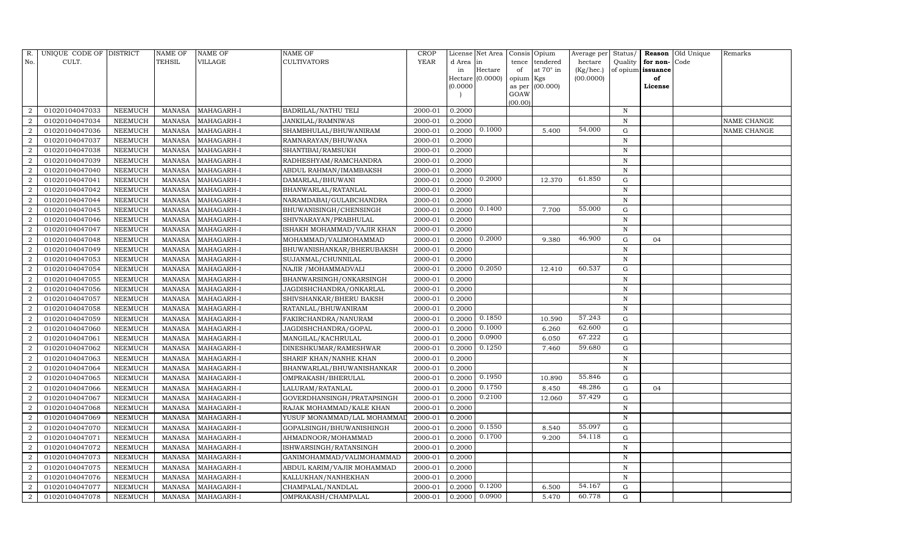| R.             | UNIQUE CODE OF DISTRICT |                | NAME OF       | <b>NAME OF</b> | <b>NAME OF</b>             | CROP        |           | License Net Area | Consis    | Opium            | Average per | Status/      | Reason            | Old Unique | Remarks     |
|----------------|-------------------------|----------------|---------------|----------------|----------------------------|-------------|-----------|------------------|-----------|------------------|-------------|--------------|-------------------|------------|-------------|
| No.            | CULT.                   |                | <b>TEHSIL</b> | VILLAGE        | <b>CULTIVATORS</b>         | <b>YEAR</b> | d Area in |                  | tence     | tendered         | hectare     | Quality      | for non-          | Code       |             |
|                |                         |                |               |                |                            |             | in        | Hectare          | of        | at $70^\circ$ in | (Kg/hec.)   |              | of opium issuance |            |             |
|                |                         |                |               |                |                            |             |           | Hectare (0.0000) | opium Kgs |                  | (00.0000)   |              | of                |            |             |
|                |                         |                |               |                |                            |             | (0.0000)  |                  | GOAW      | as per (00.000)  |             |              | License           |            |             |
|                |                         |                |               |                |                            |             |           |                  | (00.00)   |                  |             |              |                   |            |             |
| $\overline{2}$ | 01020104047033          | NEEMUCH        | MANASA        | MAHAGARH-I     | <b>BADRILAL/NATHU TELI</b> | 2000-01     | 0.2000    |                  |           |                  |             | $\, {\rm N}$ |                   |            |             |
| $\overline{2}$ | 01020104047034          | NEEMUCH        | MANASA        | MAHAGARH-I     | JANKILAL/RAMNIWAS          | 2000-01     | 0.2000    |                  |           |                  |             | N            |                   |            | NAME CHANGE |
| $\overline{2}$ | 01020104047036          | <b>NEEMUCH</b> | MANASA        | MAHAGARH-I     | SHAMBHULAL/BHUWANIRAM      | 2000-01     | 0.2000    | 0.1000           |           | 5.400            | 54.000      | $\mathbf G$  |                   |            | NAME CHANGE |
| $\overline{2}$ | 01020104047037          | <b>NEEMUCH</b> | MANASA        | MAHAGARH-I     | RAMNARAYAN/BHUWANA         | 2000-01     | 0.2000    |                  |           |                  |             | $\mathbf N$  |                   |            |             |
| $\overline{2}$ | 01020104047038          | <b>NEEMUCH</b> | MANASA        | MAHAGARH-I     | SHANTIBAI/RAMSUKH          | 2000-01     | 0.2000    |                  |           |                  |             | N            |                   |            |             |
| $\overline{2}$ | 01020104047039          | <b>NEEMUCH</b> | <b>MANASA</b> | MAHAGARH-I     | RADHESHYAM/RAMCHANDRA      | 2000-01     | 0.2000    |                  |           |                  |             | N            |                   |            |             |
| $\overline{2}$ | 01020104047040          | <b>NEEMUCH</b> | <b>MANASA</b> | MAHAGARH-I     | ABDUL RAHMAN/IMAMBAKSH     | 2000-01     | 0.2000    |                  |           |                  |             | N            |                   |            |             |
| $\overline{2}$ | 01020104047041          | <b>NEEMUCH</b> | <b>MANASA</b> | MAHAGARH-I     | DAMARLAL/BHUWANI           | 2000-01     | 0.2000    | 0.2000           |           | 12.370           | 61.850      | ${\rm G}$    |                   |            |             |
| $\overline{2}$ | 01020104047042          | <b>NEEMUCH</b> | MANASA        | MAHAGARH-I     | BHANWARLAL/RATANLAL        | 2000-01     | 0.2000    |                  |           |                  |             | N            |                   |            |             |
| $\overline{2}$ | 01020104047044          | NEEMUCH        | MANASA        | MAHAGARH-I     | NARAMDABAI/GULABCHANDRA    | 2000-01     | 0.2000    |                  |           |                  |             | N            |                   |            |             |
| $\overline{2}$ | 01020104047045          | <b>NEEMUCH</b> | <b>MANASA</b> | MAHAGARH-I     | BHUWANISINGH/CHENSINGH     | 2000-01     | 0.2000    | 0.1400           |           | 7.700            | 55.000      | G            |                   |            |             |
| $\overline{2}$ | 01020104047046          | NEEMUCH        | MANASA        | MAHAGARH-I     | SHIVNARAYAN/PRABHULAL      | 2000-01     | 0.2000    |                  |           |                  |             | $\mathbf N$  |                   |            |             |
| $\overline{a}$ | 01020104047047          | NEEMUCH        | <b>MANASA</b> | MAHAGARH-I     | ISHAKH MOHAMMAD/VAJIR KHAN | 2000-01     | 0.2000    |                  |           |                  |             | $\mathbf N$  |                   |            |             |
| $\overline{2}$ | 01020104047048          | <b>NEEMUCH</b> | <b>MANASA</b> | MAHAGARH-I     | MOHAMMAD/VALIMOHAMMAD      | 2000-01     | 0.2000    | 0.2000           |           | 9.380            | 46.900      | $\mathbf G$  | 04                |            |             |
| $\overline{2}$ | 01020104047049          | NEEMUCH        | <b>MANASA</b> | MAHAGARH-I     | BHUWANISHANKAR/BHERUBAKSH  | 2000-01     | 0.2000    |                  |           |                  |             | N            |                   |            |             |
| $\overline{2}$ | 01020104047053          | NEEMUCH        | MANASA        | MAHAGARH-I     | SUJANMAL/CHUNNILAL         | 2000-01     | 0.2000    |                  |           |                  |             | N            |                   |            |             |
| $\overline{2}$ | 01020104047054          | <b>NEEMUCH</b> | <b>MANASA</b> | MAHAGARH-I     | NAJIR / MOHAMMADVALI       | 2000-01     | 0.2000    | 0.2050           |           | 12.410           | 60.537      | $\mathbf G$  |                   |            |             |
| $\overline{2}$ | 01020104047055          | <b>NEEMUCH</b> | MANASA        | MAHAGARH-I     | BHANWARSINGH/ONKARSINGH    | 2000-01     | 0.2000    |                  |           |                  |             | N            |                   |            |             |
| 2              | 01020104047056          | NEEMUCH        | <b>MANASA</b> | MAHAGARH-I     | JAGDISHCHANDRA/ONKARLAL    | 2000-01     | 0.2000    |                  |           |                  |             | N            |                   |            |             |
| $\overline{2}$ | 01020104047057          | <b>NEEMUCH</b> | <b>MANASA</b> | MAHAGARH-I     | SHIVSHANKAR/BHERU BAKSH    | 2000-01     | 0.2000    |                  |           |                  |             | N            |                   |            |             |
| $\overline{2}$ | 01020104047058          | NEEMUCH        | MANASA        | MAHAGARH-I     | RATANLAL/BHUWANIRAM        | 2000-01     | 0.2000    |                  |           |                  |             | $\mathbf N$  |                   |            |             |
| $\overline{2}$ | 01020104047059          | <b>NEEMUCH</b> | <b>MANASA</b> | MAHAGARH-I     | FAKIRCHANDRA/NANURAM       | 2000-01     | 0.2000    | 0.1850           |           | 10.590           | 57.243      | G            |                   |            |             |
| $\overline{2}$ | 01020104047060          | <b>NEEMUCH</b> | <b>MANASA</b> | MAHAGARH-I     | JAGDISHCHANDRA/GOPAL       | 2000-01     | 0.2000    | 0.1000           |           | 6.260            | 62.600      | G            |                   |            |             |
| $\overline{2}$ | 01020104047061          | <b>NEEMUCH</b> | MANASA        | MAHAGARH-I     | MANGILAL/KACHRULAL         | 2000-01     | 0.2000    | 0.0900           |           | 6.050            | 67.222      | G            |                   |            |             |
| $\overline{2}$ | 01020104047062          | <b>NEEMUCH</b> | <b>MANASA</b> | MAHAGARH-I     | DINESHKUMAR/RAMESHWAR      | 2000-01     | 0.2000    | 0.1250           |           | 7.460            | 59.680      | ${\rm G}$    |                   |            |             |
| $\overline{2}$ | 01020104047063          | <b>NEEMUCH</b> | <b>MANASA</b> | MAHAGARH-I     | SHARIF KHAN/NANHE KHAN     | 2000-01     | 0.2000    |                  |           |                  |             | $\,$ N       |                   |            |             |
| $\overline{2}$ | 01020104047064          | <b>NEEMUCH</b> | <b>MANASA</b> | MAHAGARH-I     | BHANWARLAL/BHUWANISHANKAR  | 2000-01     | 0.2000    |                  |           |                  |             | $\,$ N       |                   |            |             |
| $\overline{2}$ | 01020104047065          | NEEMUCH        | <b>MANASA</b> | MAHAGARH-I     | OMPRAKASH/BHERULAL         | 2000-01     | 0.2000    | 0.1950           |           | 10.890           | 55.846      | $\mathbf G$  |                   |            |             |
| $\overline{2}$ | 01020104047066          | <b>NEEMUCH</b> | MANASA        | MAHAGARH-I     | LALURAM/RATANLAL           | 2000-01     | 0.2000    | 0.1750           |           | 8.450            | 48.286      | G            | 04                |            |             |
| $\overline{2}$ | 01020104047067          | NEEMUCH        | MANASA        | MAHAGARH-I     | GOVERDHANSINGH/PRATAPSINGH | 2000-01     | 0.2000    | 0.2100           |           | 12.060           | 57.429      | G            |                   |            |             |
| $\overline{2}$ | 01020104047068          | <b>NEEMUCH</b> | MANASA        | MAHAGARH-I     | RAJAK MOHAMMAD/KALE KHAN   | 2000-01     | 0.2000    |                  |           |                  |             | N            |                   |            |             |
| $\overline{2}$ | 01020104047069          | NEEMUCH        | <b>MANASA</b> | MAHAGARH-I     | YUSUF MONAMMAD/LAL MOHAMMA | 2000-01     | 0.2000    |                  |           |                  |             | $\mathbf N$  |                   |            |             |
| $\overline{2}$ | 01020104047070          | <b>NEEMUCH</b> | <b>MANASA</b> | MAHAGARH-I     | GOPALSINGH/BHUWANISHINGH   | 2000-01     | 0.2000    | 0.1550           |           | 8.540            | 55.097      | $\mathbf G$  |                   |            |             |
| $\overline{2}$ | 01020104047071          | NEEMUCH        | MANASA        | MAHAGARH-I     | AHMADNOOR/MOHAMMAD         | 2000-01     | 0.2000    | 0.1700           |           | 9.200            | 54.118      | G            |                   |            |             |
| $\overline{2}$ | 01020104047072          | <b>NEEMUCH</b> | MANASA        | MAHAGARH-I     | ISHWARSINGH/RATANSINGH     | 2000-01     | 0.2000    |                  |           |                  |             | $\,$ N       |                   |            |             |
| $\overline{2}$ | 01020104047073          | <b>NEEMUCH</b> | MANASA        | MAHAGARH-I     | GANIMOHAMMAD/VALIMOHAMMAD  | 2000-01     | 0.2000    |                  |           |                  |             | $\,$ N       |                   |            |             |
| $\overline{2}$ | 01020104047075          | NEEMUCH        | <b>MANASA</b> | MAHAGARH-I     | ABDUL KARIM/VAJIR MOHAMMAD | $2000 - 01$ | 0.2000    |                  |           |                  |             | N            |                   |            |             |
| $\overline{2}$ | 01020104047076          | <b>NEEMUCH</b> | <b>MANASA</b> | MAHAGARH-I     | KALLUKHAN/NANHEKHAN        | 2000-01     | 0.2000    |                  |           |                  |             | N            |                   |            |             |
| $\overline{2}$ | 01020104047077          | <b>NEEMUCH</b> | MANASA        | MAHAGARH-I     | CHAMPALAL/NANDLAL          | 2000-01     | 0.2000    | 0.1200           |           | 6.500            | 54.167      | G            |                   |            |             |
| $\overline{2}$ | 01020104047078          | NEEMUCH        | MANASA        | MAHAGARH-I     | OMPRAKASH/CHAMPALAL        | 2000-01     | 0.2000    | 0.0900           |           | 5.470            | 60.778      | G            |                   |            |             |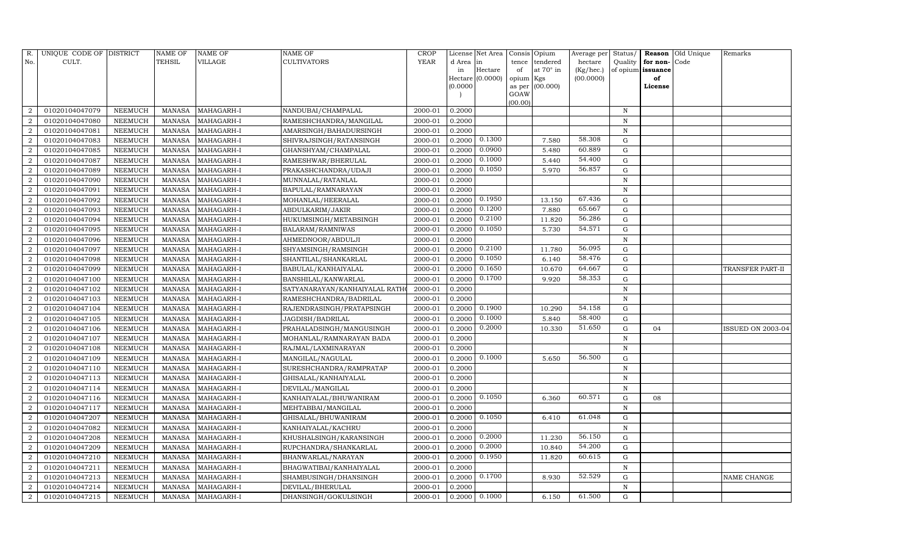| R.             | UNIQUE CODE OF DISTRICT |                | <b>NAME OF</b> | NAME OF    | <b>NAME OF</b>                | CROP        |           | License Net Area |                | Consis Opium | Average per | Status/      | Reason            | Old Unique | Remarks                  |
|----------------|-------------------------|----------------|----------------|------------|-------------------------------|-------------|-----------|------------------|----------------|--------------|-------------|--------------|-------------------|------------|--------------------------|
| No.            | CULT.                   |                | TEHSIL         | VILLAGE    | <b>CULTIVATORS</b>            | <b>YEAR</b> | d Area in |                  | tence          | tendered     | hectare     | Quality      | for non-          | Code       |                          |
|                |                         |                |                |            |                               |             | in        | Hectare          | of             | at 70° in    | (Kg/hec.)   |              | of opium issuance |            |                          |
|                |                         |                |                |            |                               |             |           | Hectare (0.0000) | opium Kgs      |              | (00.0000)   |              | of                |            |                          |
|                |                         |                |                |            |                               |             | (0.0000)  |                  | as per<br>GOAW | (00.000)     |             |              | License           |            |                          |
|                |                         |                |                |            |                               |             |           |                  | (00.00)        |              |             |              |                   |            |                          |
| $\mathcal{D}$  | 01020104047079          | NEEMUCH        | <b>MANASA</b>  | MAHAGARH-I | NANDUBAI/CHAMPALAL            | 2000-01     | 0.2000    |                  |                |              |             | N            |                   |            |                          |
|                | 01020104047080          | NEEMUCH        | <b>MANASA</b>  | MAHAGARH-I | RAMESHCHANDRA/MANGILAL        | 2000-01     | 0.2000    |                  |                |              |             | $\mathbf N$  |                   |            |                          |
| 2              | 01020104047081          | NEEMUCH        | <b>MANASA</b>  | MAHAGARH-I | AMARSINGH/BAHADURSINGH        | 2000-01     | 0.2000    |                  |                |              |             | N            |                   |            |                          |
| $\overline{2}$ | 01020104047083          | NEEMUCH        | MANASA         | MAHAGARH-I | SHIVRAJSINGH/RATANSINGH       | 2000-01     | 0.2000    | 0.1300           |                | 7.580        | 58.308      | $\mathbf G$  |                   |            |                          |
| $\overline{2}$ | 01020104047085          | NEEMUCH        | <b>MANASA</b>  | MAHAGARH-I | GHANSHYAM/CHAMPALAL           | 2000-01     | 0.2000    | 0.0900           |                | 5.480        | 60.889      | $\mathbf G$  |                   |            |                          |
| $\overline{2}$ | 01020104047087          | NEEMUCH        | <b>MANASA</b>  | MAHAGARH-I | RAMESHWAR/BHERULAL            | 2000-01     | 0.2000    | 0.1000           |                | 5.440        | 54.400      | G            |                   |            |                          |
| $\overline{2}$ | 01020104047089          | NEEMUCH        | MANASA         | MAHAGARH-I | PRAKASHCHANDRA/UDAJI          | 2000-01     | 0.2000    | 0.1050           |                | 5.970        | 56.857      | G            |                   |            |                          |
| 2              | 01020104047090          | NEEMUCH        | <b>MANASA</b>  | MAHAGARH-I | MUNNALAL/RATANLAL             | 2000-01     | 0.2000    |                  |                |              |             | $\mathbf N$  |                   |            |                          |
| $\overline{2}$ | 01020104047091          | NEEMUCH        | <b>MANASA</b>  | MAHAGARH-I | BAPULAL/RAMNARAYAN            | 2000-01     | 0.2000    |                  |                |              |             | N            |                   |            |                          |
|                | 01020104047092          | NEEMUCH        | <b>MANASA</b>  | MAHAGARH-I | MOHANLAL/HEERALAL             | 2000-01     | 0.2000    | 0.1950           |                | 13.150       | 67.436      | ${\rm G}$    |                   |            |                          |
| $\overline{2}$ | 01020104047093          | NEEMUCH        | <b>MANASA</b>  | MAHAGARH-I | ABDULKARIM/JAKIR              | 2000-01     | 0.2000    | 0.1200           |                | 7.880        | 65.667      | ${\rm G}$    |                   |            |                          |
| $\overline{2}$ | 01020104047094          | NEEMUCH        | MANASA         | MAHAGARH-I | HUKUMSINGH/METABSINGH         | 2000-01     | 0.2000    | 0.2100           |                | 11.820       | 56.286      | G            |                   |            |                          |
| $\overline{2}$ | 01020104047095          | <b>NEEMUCH</b> | <b>MANASA</b>  | MAHAGARH-I | BALARAM/RAMNIWAS              | 2000-01     | 0.2000    | 0.1050           |                | 5.730        | 54.571      | $\mathbf G$  |                   |            |                          |
| $\overline{2}$ | 01020104047096          | NEEMUCH        | <b>MANASA</b>  | MAHAGARH-I | AHMEDNOOR/ABDULJI             | 2000-01     | 0.2000    |                  |                |              |             | N            |                   |            |                          |
| $\overline{2}$ | 01020104047097          | NEEMUCH        | <b>MANASA</b>  | MAHAGARH-I | SHYAMSINGH/RAMSINGH           | 2000-01     | 0.2000    | 0.2100           |                | 11.780       | 56.095      | G            |                   |            |                          |
| 2              | 01020104047098          | NEEMUCH        | <b>MANASA</b>  | MAHAGARH-I | SHANTILAL/SHANKARLAL          | 2000-01     | 0.2000    | 0.1050           |                | 6.140        | 58.476      | $\mathbf G$  |                   |            |                          |
| $\mathcal{D}$  | 01020104047099          | <b>NEEMUCH</b> | <b>MANASA</b>  | MAHAGARH-I | BABULAL/KANHAIYALAL           | 2000-01     | 0.2000    | 0.1650           |                | 10.670       | 64.667      | G            |                   |            | TRANSFER PART-II         |
| $\overline{2}$ | 01020104047100          | NEEMUCH        | MANASA         | MAHAGARH-I | BANSHILAL/KANWARLAL           | 2000-01     | 0.2000    | 0.1700           |                | 9.920        | 58.353      | G            |                   |            |                          |
| $\overline{2}$ | 01020104047102          | NEEMUCH        | <b>MANASA</b>  | MAHAGARH-I | SATYANARAYAN/KANHAIYALAL RATH | 2000-01     | 0.2000    |                  |                |              |             | $\, {\bf N}$ |                   |            |                          |
| 2              | 01020104047103          | NEEMUCH        | MANASA         | MAHAGARH-I | RAMESHCHANDRA/BADRILAL        | 2000-01     | 0.2000    |                  |                |              |             | N            |                   |            |                          |
| $\overline{2}$ | 01020104047104          | NEEMUCH        | <b>MANASA</b>  | MAHAGARH-I | RAJENDRASINGH/PRATAPSINGH     | 2000-01     | 0.2000    | 0.1900           |                | 10.290       | 54.158      | $\mathbf G$  |                   |            |                          |
| $\mathcal{D}$  | 01020104047105          | <b>NEEMUCH</b> | <b>MANASA</b>  | MAHAGARH-I | JAGDISH/BADRILAL              | 2000-01     | 0.2000    | 0.1000           |                | 5.840        | 58.400      | $\mathbf G$  |                   |            |                          |
| $\mathcal{D}$  | 01020104047106          | NEEMUCH        | <b>MANASA</b>  | MAHAGARH-I | PRAHALADSINGH/MANGUSINGH      | 2000-01     | 0.2000    | 0.2000           |                | 10.330       | 51.650      | G            | 04                |            | <b>ISSUED ON 2003-04</b> |
| 2              | 01020104047107          | NEEMUCH        | <b>MANASA</b>  | MAHAGARH-I | MOHANLAL/RAMNARAYAN BADA      | 2000-01     | 0.2000    |                  |                |              |             | $\mathbf N$  |                   |            |                          |
|                | 01020104047108          | NEEMUCH        | <b>MANASA</b>  | MAHAGARH-I | RAJMAL/LAXMINARAYAN           | 2000-01     | 0.2000    |                  |                |              |             | $\mathbf N$  |                   |            |                          |
| $\overline{2}$ | 01020104047109          | NEEMUCH        | <b>MANASA</b>  | MAHAGARH-I | MANGILAL/NAGULAL              | 2000-01     | 0.2000    | 0.1000           |                | 5.650        | 56.500      | G            |                   |            |                          |
| 2              | 01020104047110          | NEEMUCH        | <b>MANASA</b>  | MAHAGARH-I | SURESHCHANDRA/RAMPRATAP       | 2000-01     | 0.2000    |                  |                |              |             | $\mathbf N$  |                   |            |                          |
| $\overline{2}$ | 01020104047113          | NEEMUCH        | <b>MANASA</b>  | MAHAGARH-I | GHISALAL/KANHAIYALAL          | 2000-01     | 0.2000    |                  |                |              |             | $\mathbf N$  |                   |            |                          |
| $\overline{2}$ | 01020104047114          | NEEMUCH        | <b>MANASA</b>  | MAHAGARH-I | DEVILAL/MANGILAL              | 2000-01     | 0.2000    |                  |                |              |             | N            |                   |            |                          |
| $\overline{2}$ | 01020104047116          | NEEMUCH        | <b>MANASA</b>  | MAHAGARH-I | KANHAIYALAL/BHUWANIRAM        | 2000-01     | 0.2000    | 0.1050           |                | 6.360        | 60.571      | ${\rm G}$    | 08                |            |                          |
| $\overline{2}$ | 01020104047117          | NEEMUCH        | MANASA         | MAHAGARH-I | MEHTABBAI/MANGILAL            | 2000-01     | 0.2000    |                  |                |              |             | $\mathbf N$  |                   |            |                          |
| $\overline{2}$ | 01020104047207          | NEEMUCH        | <b>MANASA</b>  | MAHAGARH-I | GHISALAL/BHUWANIRAM           | 2000-01     | 0.2000    | 0.1050           |                | 6.410        | 61.048      | $\mathbf G$  |                   |            |                          |
|                | 01020104047082          | NEEMUCH        | <b>MANASA</b>  | MAHAGARH-I | KANHAIYALAL/KACHRU            | 2000-01     | 0.2000    |                  |                |              |             | $\mathbf N$  |                   |            |                          |
| $\overline{2}$ | 01020104047208          | NEEMUCH        | <b>MANASA</b>  | MAHAGARH-I | KHUSHALSINGH/KARANSINGH       | 2000-01     | 0.2000    | 0.2000           |                | 11.230       | 56.150      | ${\rm G}$    |                   |            |                          |
| 2              | 01020104047209          | NEEMUCH        | <b>MANASA</b>  | MAHAGARH-I | RUPCHANDRA/SHANKARLAL         | 2000-01     | 0.2000    | 0.2000           |                | 10.840       | 54.200      | ${\rm G}$    |                   |            |                          |
| $\overline{2}$ | 01020104047210          | <b>NEEMUCH</b> | <b>MANASA</b>  | MAHAGARH-I | BHANWARLAL/NARAYAN            | 2000-01     | 0.2000    | 0.1950           |                | 11.820       | 60.615      | $\mathbf G$  |                   |            |                          |
| $\overline{2}$ | 01020104047211          | NEEMUCH        | MANASA         | MAHAGARH-I | BHAGWATIBAI/KANHAIYALAL       | 2000-01     | 0.2000    |                  |                |              |             | N            |                   |            |                          |
| $\overline{2}$ | 01020104047213          | NEEMUCH        | <b>MANASA</b>  | MAHAGARH-I | SHAMBUSINGH/DHANSINGH         | 2000-01     | 0.2000    | 0.1700           |                | 8.930        | 52.529      | G            |                   |            | NAME CHANGE              |
| 2              | 01020104047214          | NEEMUCH        | <b>MANASA</b>  | MAHAGARH-I | DEVILAL/BHERULAL              | 2000-01     | 0.2000    |                  |                |              |             | N            |                   |            |                          |
| 2              | 01020104047215          | <b>NEEMUCH</b> | MANASA         | MAHAGARH-I | DHANSINGH/GOKULSINGH          | 2000-01     | 0.2000    | 0.1000           |                | 6.150        | 61.500      | G            |                   |            |                          |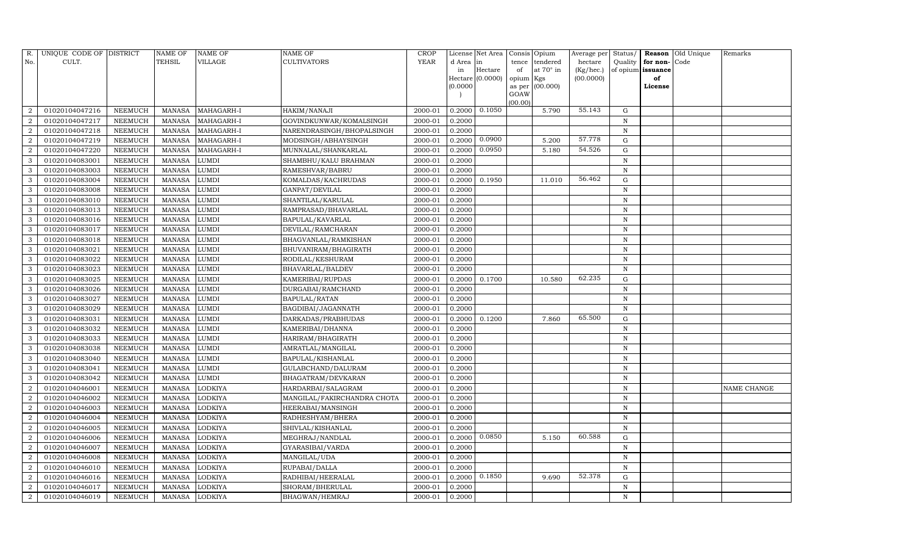| R.             | UNIQUE CODE OF DISTRICT |                | <b>NAME OF</b> | <b>NAME OF</b>                | <b>NAME OF</b>              | CROP        |           | License Net Area |                | Consis Opium     | Average per | Status/      | Reason            | Old Unique | Remarks     |
|----------------|-------------------------|----------------|----------------|-------------------------------|-----------------------------|-------------|-----------|------------------|----------------|------------------|-------------|--------------|-------------------|------------|-------------|
| No.            | CULT.                   |                | <b>TEHSIL</b>  | VILLAGE                       | <b>CULTIVATORS</b>          | <b>YEAR</b> | d Area in |                  | tence          | tendered         | hectare     | Quality      | for non-          | Code       |             |
|                |                         |                |                |                               |                             |             | in        | Hectare          | of             | at $70^\circ$ in | (Kg/hec.)   |              | of opium issuance |            |             |
|                |                         |                |                |                               |                             |             |           | Hectare (0.0000) | opium Kgs      |                  | (00.0000)   |              | of                |            |             |
|                |                         |                |                |                               |                             |             | (0.0000)  |                  | as per<br>GOAW | (00.000)         |             |              | License           |            |             |
|                |                         |                |                |                               |                             |             |           |                  | (00.00)        |                  |             |              |                   |            |             |
| $\overline{2}$ | 01020104047216          | NEEMUCH        | MANASA         | MAHAGARH-I                    | HAKIM/NANAJI                | 2000-01     | 0.2000    | 0.1050           |                | 5.790            | 55.143      | G            |                   |            |             |
| $\overline{2}$ | 01020104047217          | NEEMUCH        | <b>MANASA</b>  | MAHAGARH-I                    | GOVINDKUNWAR/KOMALSINGH     | 2000-01     | 0.2000    |                  |                |                  |             | N            |                   |            |             |
| $\overline{2}$ | 01020104047218          | NEEMUCH        | MANASA         | MAHAGARH-I                    | NARENDRASINGH/BHOPALSINGH   | 2000-01     | 0.2000    |                  |                |                  |             | N            |                   |            |             |
| $\overline{2}$ | 01020104047219          | <b>NEEMUCH</b> | MANASA         | MAHAGARH-I                    | MODSINGH/ABHAYSINGH         | 2000-01     | 0.2000    | 0.0900           |                | 5.200            | 57.778      | G            |                   |            |             |
| $\overline{2}$ | 01020104047220          | NEEMUCH        | <b>MANASA</b>  | MAHAGARH-I                    | MUNNALAL/SHANKARLAL         | 2000-01     | 0.2000    | 0.0950           |                | 5.180            | 54.526      | G            |                   |            |             |
| 3              | 01020104083001          | NEEMUCH        | <b>MANASA</b>  | LUMDI                         | SHAMBHU/KALU BRAHMAN        | 2000-01     | 0.2000    |                  |                |                  |             | $\, {\bf N}$ |                   |            |             |
| 3              | 01020104083003          | <b>NEEMUCH</b> | <b>MANASA</b>  | <b>LUMDI</b>                  | RAMESHVAR/BABRU             | 2000-01     | 0.2000    |                  |                |                  |             | N            |                   |            |             |
| 3              | 01020104083004          | NEEMUCH        | <b>MANASA</b>  | <b>LUMDI</b>                  | KOMALDAS/KACHRUDAS          | 2000-01     | 0.2000    | 0.1950           |                | 11.010           | 56.462      | G            |                   |            |             |
| 3              | 01020104083008          | NEEMUCH        | <b>MANASA</b>  | <b>LUMDI</b>                  | GANPAT/DEVILAL              | 2000-01     | 0.2000    |                  |                |                  |             | N            |                   |            |             |
| 3              | 01020104083010          | NEEMUCH        | <b>MANASA</b>  | <b>LUMDI</b>                  | SHANTILAL/KARULAL           | 2000-01     | 0.2000    |                  |                |                  |             | N            |                   |            |             |
| 3              | 01020104083013          | <b>NEEMUCH</b> | <b>MANASA</b>  | <b>LUMDI</b>                  | RAMPRASAD/BHAVARLAL         | 2000-01     | 0.2000    |                  |                |                  |             | N            |                   |            |             |
| 3              | 01020104083016          | NEEMUCH        | MANASA         | LUMDI                         | BAPULAL/KAVARLAL            | 2000-01     | 0.2000    |                  |                |                  |             | N            |                   |            |             |
| 3              | 01020104083017          | NEEMUCH        | <b>MANASA</b>  | <b>LUMDI</b>                  | DEVILAL/RAMCHARAN           | 2000-01     | 0.2000    |                  |                |                  |             | N            |                   |            |             |
| 3              | 01020104083018          | NEEMUCH        | MANASA         | <b>LUMDI</b>                  | BHAGVANLAL/RAMKISHAN        | 2000-01     | 0.2000    |                  |                |                  |             | N            |                   |            |             |
| 3              | 01020104083021          | NEEMUCH        | MANASA         | <b>LUMDI</b>                  | BHUVANIRAM/BHAGIRATH        | 2000-01     | 0.2000    |                  |                |                  |             | N            |                   |            |             |
| 3              | 01020104083022          | NEEMUCH        | MANASA         | <b>LUMDI</b>                  | RODILAL/KESHURAM            | 2000-01     | 0.2000    |                  |                |                  |             | N            |                   |            |             |
| 3              | 01020104083023          | <b>NEEMUCH</b> | <b>MANASA</b>  | <b>LUMDI</b>                  | <b>BHAVARLAL/BALDEV</b>     | 2000-01     | 0.2000    |                  |                |                  |             | N            |                   |            |             |
| 3              | 01020104083025          | NEEMUCH        | MANASA         | <b>LUMDI</b>                  | KAMERIBAI/RUPDAS            | 2000-01     | 0.2000    | 0.1700           |                | 10.580           | 62.235      | G            |                   |            |             |
| 3              | 01020104083026          | NEEMUCH        | MANASA         | <b>LUMDI</b>                  | DURGABAI/RAMCHAND           | 2000-01     | 0.2000    |                  |                |                  |             | N            |                   |            |             |
| 3              | 01020104083027          | <b>NEEMUCH</b> | MANASA         | LUMDI                         | <b>BAPULAL/RATAN</b>        | 2000-01     | 0.2000    |                  |                |                  |             | N            |                   |            |             |
| 3              | 01020104083029          | NEEMUCH        | <b>MANASA</b>  | <b>LUMDI</b>                  | BAGDIBAI/JAGANNATH          | 2000-01     | 0.2000    |                  |                |                  |             | N            |                   |            |             |
| 3              | 01020104083031          | <b>NEEMUCH</b> | <b>MANASA</b>  | <b>LUMDI</b>                  | DARKADAS/PRABHUDAS          | 2000-01     | 0.2000    | 0.1200           |                | 7.860            | 65.500      | $\mathbf G$  |                   |            |             |
| 3              | 01020104083032          | NEEMUCH        | MANASA         | LUMDI                         | KAMERIBAI/DHANNA            | 2000-01     | 0.2000    |                  |                |                  |             | N            |                   |            |             |
| 3              | 01020104083033          | <b>NEEMUCH</b> | <b>MANASA</b>  | LUMDI                         | HARIRAM/BHAGIRATH           | 2000-01     | 0.2000    |                  |                |                  |             | N            |                   |            |             |
| 3              | 01020104083038          | <b>NEEMUCH</b> | <b>MANASA</b>  | <b>LUMDI</b>                  | AMRATLAL/MANGILAL           | 2000-01     | 0.2000    |                  |                |                  |             | $\mathbf N$  |                   |            |             |
| 3              | 01020104083040          | <b>NEEMUCH</b> | <b>MANASA</b>  | <b>LUMDI</b>                  | BAPULAL/KISHANLAL           | 2000-01     | 0.2000    |                  |                |                  |             | N            |                   |            |             |
| 3              | 01020104083041          | <b>NEEMUCH</b> | <b>MANASA</b>  | LUMDI                         | GULABCHAND/DALURAM          | 2000-01     | 0.2000    |                  |                |                  |             | $\mathbf N$  |                   |            |             |
| 3              | 01020104083042          | NEEMUCH        | <b>MANASA</b>  | $\ensuremath{\mathrm{LUMDI}}$ | BHAGATRAM/DEVKARAN          | 2000-01     | 0.2000    |                  |                |                  |             | $\mathbf N$  |                   |            |             |
| $\overline{2}$ | 01020104046001          | NEEMUCH        | MANASA         | <b>LODKIYA</b>                | HARDARBAI/SALAGRAM          | 2000-01     | 0.2000    |                  |                |                  |             | N            |                   |            | NAME CHANGE |
| $\overline{2}$ | 01020104046002          | <b>NEEMUCH</b> | <b>MANASA</b>  | <b>LODKIYA</b>                | MANGILAL/FAKIRCHANDRA CHOTA | 2000-01     | 0.2000    |                  |                |                  |             | $\mathbf N$  |                   |            |             |
| $\overline{2}$ | 01020104046003          | <b>NEEMUCH</b> | MANASA         | LODKIYA                       | HEERABAI/MANSINGH           | 2000-01     | 0.2000    |                  |                |                  |             | N            |                   |            |             |
| $\overline{2}$ | 01020104046004          | NEEMUCH        | <b>MANASA</b>  | <b>LODKIYA</b>                | RADHESHYAM/BHERA            | 2000-01     | 0.2000    |                  |                |                  |             | $\mathbf N$  |                   |            |             |
| $\overline{2}$ | 01020104046005          | <b>NEEMUCH</b> | <b>MANASA</b>  | LODKIYA                       | SHIVLAL/KISHANLAL           | 2000-01     | 0.2000    |                  |                |                  |             | $\mathbf N$  |                   |            |             |
| $\overline{2}$ | 01020104046006          | <b>NEEMUCH</b> | <b>MANASA</b>  | <b>LODKIYA</b>                | MEGHRAJ/NANDLAL             | 2000-01     | 0.2000    | 0.0850           |                | 5.150            | 60.588      | G            |                   |            |             |
| $\overline{2}$ | 01020104046007          | NEEMUCH        | MANASA         | <b>LODKIYA</b>                | GYARASIBAI/VARDA            | 2000-01     | 0.2000    |                  |                |                  |             | ${\bf N}$    |                   |            |             |
| $\overline{2}$ | 01020104046008          | <b>NEEMUCH</b> | <b>MANASA</b>  | LODKIYA                       | MANGILAL/UDA                | 2000-01     | 0.2000    |                  |                |                  |             | N            |                   |            |             |
| $\overline{2}$ | 01020104046010          | <b>NEEMUCH</b> | MANASA         | LODKIYA                       | RUPABAI/DALLA               | 2000-01     | 0.2000    |                  |                |                  |             | N            |                   |            |             |
| $\overline{2}$ | 01020104046016          | NEEMUCH        | <b>MANASA</b>  | <b>LODKIYA</b>                | RADHIBAI/HEERALAL           | 2000-01     | 0.2000    | 0.1850           |                | 9.690            | 52.378      | $\mathbf G$  |                   |            |             |
| $\overline{2}$ | 01020104046017          | <b>NEEMUCH</b> | MANASA         | LODKIYA                       | SHORAM/BHERULAL             | 2000-01     | 0.2000    |                  |                |                  |             | N            |                   |            |             |
| $\overline{2}$ | 01020104046019          | <b>NEEMUCH</b> | MANASA LODKIYA |                               | <b>BHAGWAN/HEMRAJ</b>       | 2000-01     | 0.2000    |                  |                |                  |             | N            |                   |            |             |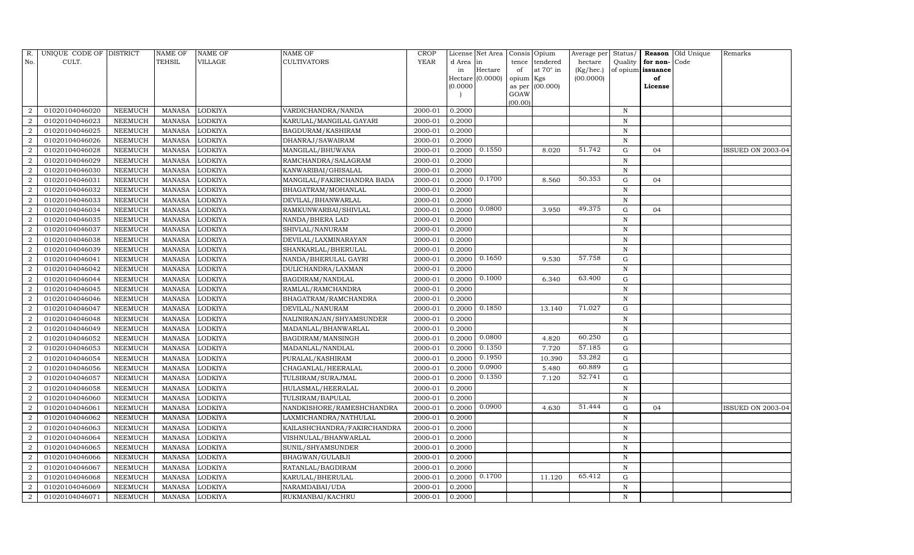| R.             | UNIQUE CODE OF DISTRICT |                | <b>NAME OF</b> | <b>NAME OF</b> | <b>NAME OF</b>              | CROP        |           | License Net Area |                | Consis Opium     | Average per | Status/      | Reason            | Old Unique | Remarks           |
|----------------|-------------------------|----------------|----------------|----------------|-----------------------------|-------------|-----------|------------------|----------------|------------------|-------------|--------------|-------------------|------------|-------------------|
| No.            | CULT.                   |                | <b>TEHSIL</b>  | VILLAGE        | <b>CULTIVATORS</b>          | <b>YEAR</b> | d Area in |                  | tence          | tendered         | hectare     | Quality      | for non-          | Code       |                   |
|                |                         |                |                |                |                             |             | in        | Hectare          | of             | at $70^\circ$ in | (Kg/hec.)   |              | of opium issuance |            |                   |
|                |                         |                |                |                |                             |             |           | Hectare (0.0000) | opium Kgs      |                  | (00.0000)   |              | of                |            |                   |
|                |                         |                |                |                |                             |             | (0.0000)  |                  | as per<br>GOAW | (00.000)         |             |              | License           |            |                   |
|                |                         |                |                |                |                             |             |           |                  | (00.00)        |                  |             |              |                   |            |                   |
| $\overline{2}$ | 01020104046020          | NEEMUCH        | MANASA         | <b>LODKIYA</b> | VARDICHANDRA/NANDA          | 2000-01     | 0.2000    |                  |                |                  |             | $\, {\rm N}$ |                   |            |                   |
| $\overline{2}$ | 01020104046023          | NEEMUCH        | <b>MANASA</b>  | <b>LODKIYA</b> | KARULAL/MANGILAL GAYARI     | 2000-01     | 0.2000    |                  |                |                  |             | N            |                   |            |                   |
| $\overline{2}$ | 01020104046025          | NEEMUCH        | MANASA         | <b>LODKIYA</b> | BAGDURAM/KASHIRAM           | 2000-01     | 0.2000    |                  |                |                  |             | N            |                   |            |                   |
| $\overline{2}$ | 01020104046026          | NEEMUCH        | MANASA         | <b>LODKIYA</b> | DHANRAJ/SAWAIRAM            | 2000-01     | 0.2000    |                  |                |                  |             | N            |                   |            |                   |
| $\overline{2}$ | 01020104046028          | NEEMUCH        | <b>MANASA</b>  | <b>LODKIYA</b> | MANGILAL/BHUWANA            | 2000-01     | 0.2000    | 0.1550           |                | 8.020            | 51.742      | ${\rm G}$    | 04                |            | ISSUED ON 2003-04 |
| $\overline{2}$ | 01020104046029          | NEEMUCH        | <b>MANASA</b>  | LODKIYA        | RAMCHANDRA/SALAGRAM         | 2000-01     | 0.2000    |                  |                |                  |             | $\, {\bf N}$ |                   |            |                   |
| $\overline{2}$ | 01020104046030          | <b>NEEMUCH</b> | <b>MANASA</b>  | <b>LODKIYA</b> | KANWARIBAI/GHISALAL         | 2000-01     | 0.2000    |                  |                |                  |             | N            |                   |            |                   |
| $\overline{2}$ | 01020104046031          | NEEMUCH        | <b>MANASA</b>  | <b>LODKIYA</b> | MANGILAL/FAKIRCHANDRA BADA  | 2000-01     | 0.2000    | 0.1700           |                | 8.560            | 50.353      | G            | 04                |            |                   |
| $\overline{2}$ | 01020104046032          | NEEMUCH        | <b>MANASA</b>  | <b>LODKIYA</b> | BHAGATRAM/MOHANLAL          | 2000-01     | 0.2000    |                  |                |                  |             | $\mathbf N$  |                   |            |                   |
| $\overline{2}$ | 01020104046033          | NEEMUCH        | <b>MANASA</b>  | <b>LODKIYA</b> | DEVILAL/BHANWARLAL          | 2000-01     | 0.2000    |                  |                |                  |             | N            |                   |            |                   |
| $\overline{2}$ | 01020104046034          | <b>NEEMUCH</b> | <b>MANASA</b>  | <b>LODKIYA</b> | RAMKUNWARBAI/SHIVLAL        | 2000-01     | 0.2000    | 0.0800           |                | 3.950            | 49.375      | G            | 04                |            |                   |
| $\overline{2}$ | 01020104046035          | NEEMUCH        | MANASA         | <b>LODKIYA</b> | NANDA/BHERA LAD             | 2000-01     | 0.2000    |                  |                |                  |             | N            |                   |            |                   |
| $\overline{2}$ | 01020104046037          | NEEMUCH        | <b>MANASA</b>  | <b>LODKIYA</b> | SHIVLAL/NANURAM             | 2000-01     | 0.2000    |                  |                |                  |             | N            |                   |            |                   |
| $\overline{2}$ | 01020104046038          | <b>NEEMUCH</b> | <b>MANASA</b>  | <b>LODKIYA</b> | DEVILAL/LAXMINARAYAN        | 2000-01     | 0.2000    |                  |                |                  |             | N            |                   |            |                   |
| $\overline{2}$ | 01020104046039          | NEEMUCH        | MANASA         | <b>LODKIYA</b> | SHANKARLAL/BHERULAL         | 2000-01     | 0.2000    |                  |                |                  |             | N            |                   |            |                   |
| $\overline{2}$ | 01020104046041          | NEEMUCH        | MANASA         | <b>LODKIYA</b> | NANDA/BHERULAL GAYRI        | 2000-01     | 0.2000    | 0.1650           |                | 9.530            | 57.758      | $\mathbf G$  |                   |            |                   |
| $\overline{2}$ | 01020104046042          | <b>NEEMUCH</b> | <b>MANASA</b>  | <b>LODKIYA</b> | DULICHANDRA/LAXMAN          | 2000-01     | 0.2000    |                  |                |                  |             | $\mathbf N$  |                   |            |                   |
| $\overline{2}$ | 01020104046044          | NEEMUCH        | MANASA         | <b>LODKIYA</b> | BAGDIRAM/NANDLAL            | 2000-01     | 0.2000    | 0.1000           |                | 6.340            | 63.400      | G            |                   |            |                   |
| $\overline{2}$ | 01020104046045          | NEEMUCH        | <b>MANASA</b>  | <b>LODKIYA</b> | RAMLAL/RAMCHANDRA           | 2000-01     | 0.2000    |                  |                |                  |             | N            |                   |            |                   |
| $\overline{2}$ | 01020104046046          | <b>NEEMUCH</b> | MANASA         | LODKIYA        | BHAGATRAM/RAMCHANDRA        | 2000-01     | 0.2000    |                  |                |                  |             | N            |                   |            |                   |
| $\overline{2}$ | 01020104046047          | NEEMUCH        | <b>MANASA</b>  | <b>LODKIYA</b> | DEVILAL/NANURAM             | 2000-01     | 0.2000    | 0.1850           |                | 13.140           | 71.027      | $\mathbf G$  |                   |            |                   |
| $\overline{2}$ | 01020104046048          | <b>NEEMUCH</b> | <b>MANASA</b>  | <b>LODKIYA</b> | NALINIRANJAN/SHYAMSUNDER    | 2000-01     | 0.2000    |                  |                |                  |             | N            |                   |            |                   |
| $\overline{2}$ | 01020104046049          | NEEMUCH        | MANASA         | LODKIYA        | MADANLAL/BHANWARLAL         | 2000-01     | 0.2000    |                  |                |                  |             | N            |                   |            |                   |
| $\overline{2}$ | 01020104046052          | <b>NEEMUCH</b> | <b>MANASA</b>  | <b>LODKIYA</b> | BAGDIRAM/MANSINGH           | 2000-01     | 0.2000    | 0.0800           |                | 4.820            | 60.250      | $\mathbf G$  |                   |            |                   |
| $\overline{2}$ | 01020104046053          | <b>NEEMUCH</b> | <b>MANASA</b>  | LODKIYA        | MADANLAL/NANDLAL            | 2000-01     | 0.2000    | 0.1350           |                | 7.720            | 57.185      | $\mathbf G$  |                   |            |                   |
| $\overline{2}$ | 01020104046054          | <b>NEEMUCH</b> | MANASA         | <b>LODKIYA</b> | PURALAL/KASHIRAM            | 2000-01     | 0.2000    | 0.1950           |                | 10.390           | 53.282      | G            |                   |            |                   |
| $\overline{2}$ | 01020104046056          | <b>NEEMUCH</b> | <b>MANASA</b>  | <b>LODKIYA</b> | CHAGANLAL/HEERALAL          | 2000-01     | 0.2000    | 0.0900           |                | 5.480            | 60.889      | ${\rm G}$    |                   |            |                   |
| $\overline{2}$ | 01020104046057          | NEEMUCH        | <b>MANASA</b>  | LODKIYA        | TULSIRAM/SURAJMAL           | 2000-01     | 0.2000    | 0.1350           |                | 7.120            | 52.741      | $\mathbf G$  |                   |            |                   |
| $\overline{2}$ | 01020104046058          | NEEMUCH        | MANASA         | <b>LODKIYA</b> | HULASMAL/HEERALAL           | 2000-01     | 0.2000    |                  |                |                  |             | $\mathbf N$  |                   |            |                   |
| $\overline{2}$ | 01020104046060          | <b>NEEMUCH</b> | <b>MANASA</b>  | <b>LODKIYA</b> | TULSIRAM/BAPULAL            | 2000-01     | 0.2000    |                  |                |                  |             | $\mathbf N$  |                   |            |                   |
| $\overline{2}$ | 01020104046061          | <b>NEEMUCH</b> | MANASA         | <b>LODKIYA</b> | NANDKISHORE/RAMESHCHANDRA   | 2000-01     | 0.2000    | 0.0900           |                | 4.630            | 51.444      | $\mathbf G$  | 04                |            | ISSUED ON 2003-04 |
| $\overline{2}$ | 01020104046062          | NEEMUCH        | <b>MANASA</b>  | <b>LODKIYA</b> | LAXMICHANDRA/NATHULAL       | 2000-01     | 0.2000    |                  |                |                  |             | $\mathbf N$  |                   |            |                   |
| $\overline{2}$ | 01020104046063          | <b>NEEMUCH</b> | <b>MANASA</b>  | <b>LODKIYA</b> | KAILASHCHANDRA/FAKIRCHANDRA | 2000-01     | 0.2000    |                  |                |                  |             | $\mathbf N$  |                   |            |                   |
| $\overline{2}$ | 01020104046064          | <b>NEEMUCH</b> | <b>MANASA</b>  | <b>LODKIYA</b> | VISHNULAL/BHANWARLAL        | 2000-01     | 0.2000    |                  |                |                  |             | $\mathbf N$  |                   |            |                   |
| $\overline{2}$ | 01020104046065          | <b>NEEMUCH</b> | MANASA         | <b>LODKIYA</b> | SUNIL/SHYAMSUNDER           | 2000-01     | 0.2000    |                  |                |                  |             | $\mathbf N$  |                   |            |                   |
| $\overline{2}$ | 01020104046066          | <b>NEEMUCH</b> | <b>MANASA</b>  | LODKIYA        | BHAGWAN/GULABJI             | 2000-01     | 0.2000    |                  |                |                  |             | N            |                   |            |                   |
| $\overline{2}$ | 01020104046067          | <b>NEEMUCH</b> | MANASA         | <b>LODKIYA</b> | RATANLAL/BAGDIRAM           | 2000-01     | 0.2000    |                  |                |                  |             | N            |                   |            |                   |
| $\overline{2}$ | 01020104046068          | NEEMUCH        | <b>MANASA</b>  | <b>LODKIYA</b> | KARULAL/BHERULAL            | 2000-01     | 0.2000    | 0.1700           |                | 11.120           | 65.412      | G            |                   |            |                   |
| $\overline{2}$ | 01020104046069          | <b>NEEMUCH</b> | MANASA         | LODKIYA        | NARAMDABAI/UDA              | 2000-01     | 0.2000    |                  |                |                  |             | N            |                   |            |                   |
| $\overline{2}$ | 01020104046071          | NEEMUCH        | MANASA LODKIYA |                | RUKMANBAI/KACHRU            | 2000-01     | 0.2000    |                  |                |                  |             | N            |                   |            |                   |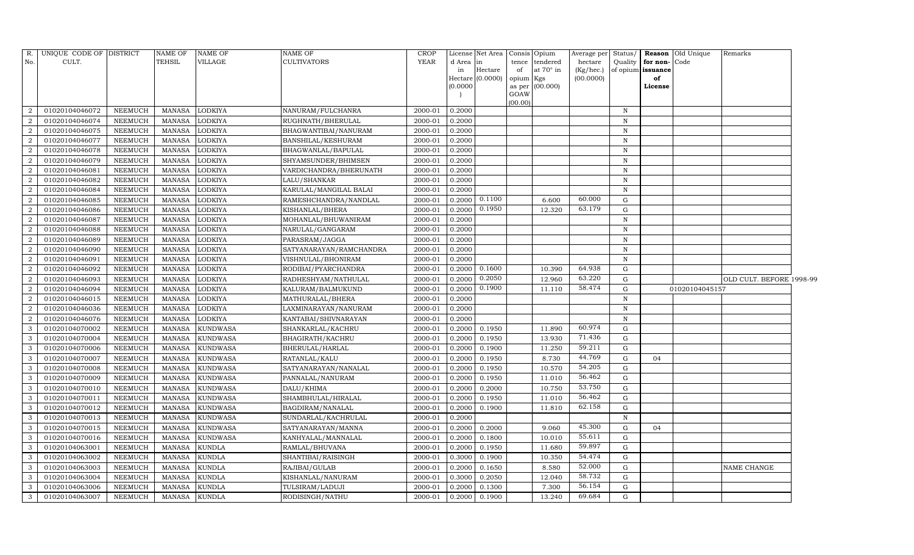| R.                | UNIQUE CODE OF DISTRICT          |                                  | <b>NAME OF</b>                 | <b>NAME OF</b>          | <b>NAME OF</b>                     | CROP               |                  | License Net Area | Consis Opium |                   | Average per      | Status/           |          | Reason Old Unique | Remarks                  |  |
|-------------------|----------------------------------|----------------------------------|--------------------------------|-------------------------|------------------------------------|--------------------|------------------|------------------|--------------|-------------------|------------------|-------------------|----------|-------------------|--------------------------|--|
| No.               | CULT.                            |                                  | TEHSIL                         | VILLAGE                 | <b>CULTIVATORS</b>                 | <b>YEAR</b>        | d Area           | in               | tence        | tendered          | hectare          | Quality           | for non- | Code              |                          |  |
|                   |                                  |                                  |                                |                         |                                    |                    | in               | Hectare          | of           | at 70° in         | (Kg/hec.)        | of opium issuance |          |                   |                          |  |
|                   |                                  |                                  |                                |                         |                                    |                    |                  | Hectare (0.0000) | opium Kgs    |                   | (00.0000)        |                   | of       |                   |                          |  |
|                   |                                  |                                  |                                |                         |                                    |                    | (0.0000)         |                  | GOAW         | as per $(00.000)$ |                  |                   | License  |                   |                          |  |
|                   |                                  |                                  |                                |                         |                                    |                    |                  |                  | (00.00)      |                   |                  |                   |          |                   |                          |  |
| $\overline{2}$    | 01020104046072                   | <b>NEEMUCH</b>                   | MANASA                         | <b>LODKIYA</b>          | NANURAM/FULCHANRA                  | 2000-01            | 0.2000           |                  |              |                   |                  | $\mathbf N$       |          |                   |                          |  |
| $\overline{2}$    | 01020104046074                   | <b>NEEMUCH</b>                   | <b>MANASA</b>                  | <b>LODKIYA</b>          | RUGHNATH/BHERULAL                  | 2000-01            | 0.2000           |                  |              |                   |                  | $\mathbf N$       |          |                   |                          |  |
| $\overline{2}$    | 01020104046075                   | <b>NEEMUCH</b>                   | <b>MANASA</b>                  | LODKIYA                 | BHAGWANTIBAI/NANURAM               | 2000-01            | 0.2000           |                  |              |                   |                  | $\, {\rm N}$      |          |                   |                          |  |
| $\overline{2}$    | 01020104046077                   | NEEMUCH                          | <b>MANASA</b>                  | <b>LODKIYA</b>          | BANSHILAL/KESHURAM                 | 2000-01            | 0.2000           |                  |              |                   |                  | $\, {\rm N}$      |          |                   |                          |  |
| 2                 | 01020104046078                   | <b>NEEMUCH</b>                   | <b>MANASA</b>                  | <b>LODKIYA</b>          | BHAGWANLAL/BAPULAL                 | 2000-01            | 0.2000           |                  |              |                   |                  | $\, {\rm N}$      |          |                   |                          |  |
| $\overline{2}$    | 01020104046079                   | <b>NEEMUCH</b>                   | <b>MANASA</b>                  | LODKIYA                 | SHYAMSUNDER/BHIMSEN                | 2000-01            | 0.2000           |                  |              |                   |                  | $\mathbf N$       |          |                   |                          |  |
| $\overline{2}$    | 01020104046081                   | <b>NEEMUCH</b>                   | <b>MANASA</b>                  | LODKIYA                 | VARDICHANDRA/BHERUNATH             | 2000-01            | 0.2000           |                  |              |                   |                  | $\mathbf N$       |          |                   |                          |  |
| $\overline{2}$    | 01020104046082                   | <b>NEEMUCH</b>                   | <b>MANASA</b>                  | <b>LODKIYA</b>          | LALU/SHANKAR                       | 2000-01            | 0.2000           |                  |              |                   |                  | $\mathbf N$       |          |                   |                          |  |
| $\overline{2}$    | 01020104046084                   | <b>NEEMUCH</b>                   | <b>MANASA</b>                  | LODKIYA                 | KARULAL/MANGILAL BALAI             | 2000-01            | 0.2000           |                  |              |                   |                  | N                 |          |                   |                          |  |
| $\overline{2}$    | 01020104046085                   | <b>NEEMUCH</b>                   | <b>MANASA</b>                  | LODKIYA                 | RAMESHCHANDRA/NANDLAL              | 2000-01            | 0.2000           | 0.1100           |              | 6.600             | 60.000           | G                 |          |                   |                          |  |
| $\overline{2}$    | 01020104046086                   | <b>NEEMUCH</b>                   | <b>MANASA</b>                  | <b>LODKIYA</b>          | KISHANLAL/BHERA                    | 2000-01            | 0.2000           | 0.1950           |              | 12.320            | 63.179           | G                 |          |                   |                          |  |
| $\overline{2}$    | 01020104046087                   | <b>NEEMUCH</b>                   | <b>MANASA</b>                  | <b>LODKIYA</b>          | MOHANLAL/BHUWANIRAM                | 2000-01            | 0.2000           |                  |              |                   |                  | ${\bf N}$         |          |                   |                          |  |
| 2                 | 01020104046088                   | <b>NEEMUCH</b>                   | <b>MANASA</b>                  | <b>LODKIYA</b>          | NARULAL/GANGARAM                   | 2000-01            | 0.2000           |                  |              |                   |                  | $\mathbf N$       |          |                   |                          |  |
| $\overline{2}$    | 01020104046089                   | <b>NEEMUCH</b>                   | <b>MANASA</b>                  | LODKIYA                 | PARASRAM/JAGGA                     | 2000-01            | 0.2000           |                  |              |                   |                  | $\mathbf N$       |          |                   |                          |  |
| $\overline{2}$    | 01020104046090                   | <b>NEEMUCH</b>                   | <b>MANASA</b>                  | <b>LODKIYA</b>          | SATYANARAYAN/RAMCHANDRA            | 2000-01            | 0.2000           |                  |              |                   |                  | N                 |          |                   |                          |  |
| 2                 | 01020104046091                   | <b>NEEMUCH</b>                   | <b>MANASA</b>                  | <b>LODKIYA</b>          | VISHNULAL/BHONIRAM                 | 2000-01            | 0.2000           |                  |              |                   |                  | ${\bf N}$         |          |                   |                          |  |
| $\overline{2}$    | 01020104046092                   | <b>NEEMUCH</b>                   | <b>MANASA</b>                  | <b>LODKIYA</b>          | RODIBAI/PYARCHANDRA                | 2000-01            | 0.2000           | 0.1600           |              | 10.390            | 64.938           | G                 |          |                   |                          |  |
| $\overline{2}$    | 01020104046093                   | <b>NEEMUCH</b>                   | <b>MANASA</b>                  | LODKIYA                 | RADHESHYAM/NATHULAL                | 2000-01            | 0.2000           | 0.2050           |              | 12.960            | 63.220           | G                 |          |                   | OLD CULT. BEFORE 1998-99 |  |
| 2                 | 01020104046094                   | NEEMUCH                          | <b>MANASA</b>                  | <b>LODKIYA</b>          | KALURAM/BALMUKUND                  | 2000-01            | 0.2000           | 0.1900           |              | 11.110            | 58.474           | G                 |          | 01020104045157    |                          |  |
| $\overline{2}$    | 01020104046015                   | NEEMUCH                          | <b>MANASA</b>                  | LODKIYA                 | MATHURALAL/BHERA                   | 2000-01            | 0.2000           |                  |              |                   |                  | $\mathbf N$       |          |                   |                          |  |
| $\overline{2}$    | 01020104046036                   | <b>NEEMUCH</b>                   | <b>MANASA</b>                  | <b>LODKIYA</b>          | LAXMINARAYAN/NANURAM               | 2000-01            | 0.2000           |                  |              |                   |                  | $\mathbf N$       |          |                   |                          |  |
| $\overline{2}$    | 01020104046076                   | <b>NEEMUCH</b>                   | <b>MANASA</b>                  | LODKIYA                 | KANTABAI/SHIVNARAYAN               | 2000-01            | 0.2000           |                  |              |                   |                  | N                 |          |                   |                          |  |
| 3                 | 01020104070002                   | <b>NEEMUCH</b>                   | <b>MANASA</b>                  | <b>KUNDWASA</b>         | SHANKARLAL/KACHRU                  | 2000-01            | 0.2000           | 0.1950           |              | 11.890            | 60.974           | G                 |          |                   |                          |  |
| 3                 | 01020104070004                   | <b>NEEMUCH</b>                   | <b>MANASA</b>                  | <b>KUNDWASA</b>         | BHAGIRATH/KACHRU                   | 2000-01            | 0.2000           | 0.1950           |              | 13.930            | 71.436           | G                 |          |                   |                          |  |
| 3                 | 01020104070006                   | <b>NEEMUCH</b>                   | <b>MANASA</b>                  | <b>KUNDWASA</b>         | BHERULAL/HARLAL                    | 2000-01            | 0.2000           | 0.1900           |              | 11.250            | 59.211           | G                 |          |                   |                          |  |
| 3                 | 01020104070007                   | <b>NEEMUCH</b>                   |                                |                         |                                    |                    |                  |                  |              |                   |                  |                   |          |                   |                          |  |
| 3                 |                                  |                                  | <b>MANASA</b>                  | <b>KUNDWASA</b>         | RATANLAL/KALU                      | 2000-01            | 0.2000           | 0.1950           |              | 8.730             | 44.769           | ${\rm G}$         | 04       |                   |                          |  |
|                   | 01020104070008                   | <b>NEEMUCH</b>                   | <b>MANASA</b>                  | <b>KUNDWASA</b>         | SATYANARAYAN/NANALAL               | 2000-01            | 0.2000           | 0.1950           |              | 10.570            | 54.205           | G                 |          |                   |                          |  |
| 3                 | 01020104070009                   | <b>NEEMUCH</b>                   | <b>MANASA</b>                  | <b>KUNDWASA</b>         | PANNALAL/NANURAM                   | 2000-01            | 0.2000           | 0.1950           |              | 11.010            | 56.462           | G                 |          |                   |                          |  |
| 3                 | 01020104070010                   | <b>NEEMUCH</b>                   | <b>MANASA</b>                  | <b>KUNDWASA</b>         | DALU/KHIMA                         | 2000-01            | 0.2000           | 0.2000           |              | 10.750            | 53.750           | G                 |          |                   |                          |  |
| 3                 | 01020104070011                   | <b>NEEMUCH</b>                   | <b>MANASA</b>                  | <b>KUNDWASA</b>         | SHAMBHULAL/HIRALAL                 | 2000-01            | 0.2000           | 0.1950           |              | 11.010            | 56.462           | G                 |          |                   |                          |  |
| 3                 | 01020104070012                   | <b>NEEMUCH</b>                   | <b>MANASA</b>                  | KUNDWASA                | BAGDIRAM/NANALAL                   | 2000-01            | 0.2000           | 0.1900           |              | 11.810            | 62.158           | $\mathbf G$       |          |                   |                          |  |
| 3                 | 01020104070013                   | <b>NEEMUCH</b>                   | <b>MANASA</b>                  | <b>KUNDWASA</b>         | SUNDARLAL/KACHRULAL                | 2000-01            | 0.2000           |                  |              |                   |                  | $\, {\rm N}$      |          |                   |                          |  |
| 3                 | 01020104070015                   | <b>NEEMUCH</b>                   | <b>MANASA</b>                  | <b>KUNDWASA</b>         | SATYANARAYAN/MANNA                 | 2000-01            | 0.2000           | 0.2000           |              | 9.060             | 45.300           | $\mathbf G$       | 04       |                   |                          |  |
| 3                 | 01020104070016                   | <b>NEEMUCH</b>                   | <b>MANASA</b>                  | <b>KUNDWASA</b>         | KANHYALAL/MANNALAL                 | 2000-01            | 0.2000           | 0.1800           |              | 10.010            | 55.611           | G                 |          |                   |                          |  |
| 3                 | 01020104063001                   | <b>NEEMUCH</b>                   | <b>MANASA</b>                  | <b>KUNDLA</b>           | RAMLAL/BHUVANA                     | 2000-01            | 0.2000           | 0.1950           |              | 11.680            | 59.897           | G                 |          |                   |                          |  |
| 3                 | 01020104063002                   | <b>NEEMUCH</b>                   | <b>MANASA</b>                  | <b>KUNDLA</b>           | SHANTIBAI/RAISINGH                 | 2000-01            | 0.3000           | 0.1900           |              | 10.350            | 54.474           | G                 |          |                   |                          |  |
| 3                 | 01020104063003                   | <b>NEEMUCH</b>                   | <b>MANASA</b>                  | <b>KUNDLA</b>           | RAJIBAI/GULAB                      | 2000-01            | 0.2000           | 0.1650           |              | 8.580             | 52.000           | ${\rm G}$         |          |                   | NAME CHANGE              |  |
| 3                 | 01020104063004                   | <b>NEEMUCH</b>                   | <b>MANASA</b>                  | <b>KUNDLA</b>           | KISHANLAL/NANURAM                  | 2000-01            | 0.3000           | 0.2050           |              | 12.040            | 58.732           | G                 |          |                   |                          |  |
| $\mathbf{3}$<br>3 | 01020104063006<br>01020104063007 | <b>NEEMUCH</b><br><b>NEEMUCH</b> | <b>MANASA</b><br><b>MANASA</b> | KUNDLA<br><b>KUNDLA</b> | TULSIRAM/LADUJI<br>RODISINGH/NATHU | 2000-01<br>2000-01 | 0.2000<br>0.2000 | 0.1300<br>0.1900 |              | 7.300<br>13.240   | 56.154<br>69.684 | G<br>$\mathbf G$  |          |                   |                          |  |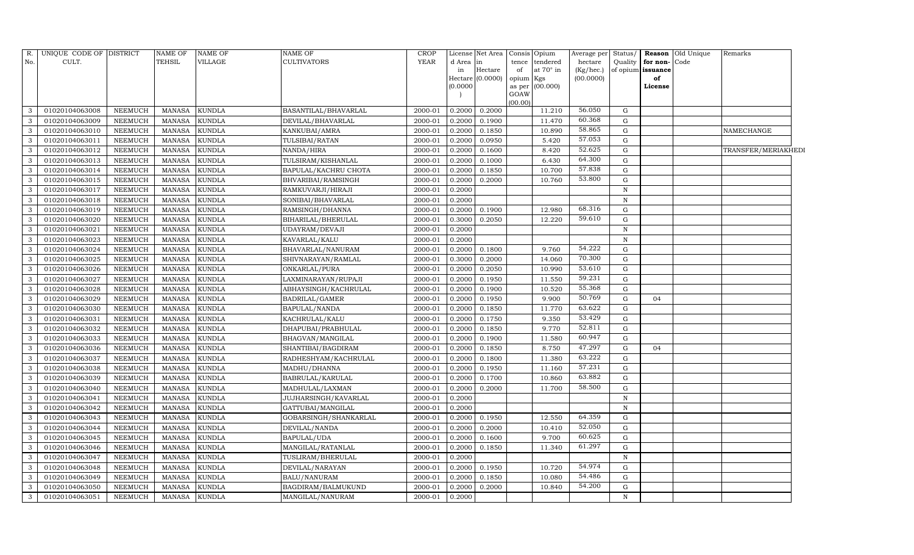| R.           | UNIQUE CODE OF DISTRICT |                | <b>NAME OF</b> | <b>NAME OF</b> | NAME OF                     | <b>CROP</b> |           | License Net Area | Consis Opium |                 | Average per | Status/     |                   | <b>Reason</b> Old Unique | Remarks             |  |
|--------------|-------------------------|----------------|----------------|----------------|-----------------------------|-------------|-----------|------------------|--------------|-----------------|-------------|-------------|-------------------|--------------------------|---------------------|--|
| No.          | CULT.                   |                | <b>TEHSIL</b>  | VILLAGE        | <b>CULTIVATORS</b>          | <b>YEAR</b> | d Area in |                  |              | tence tendered  | hectare     | Quality     | for non-Code      |                          |                     |  |
|              |                         |                |                |                |                             |             | in        | Hectare          | of           | at 70° in       | (Kg/hec.)   |             | of opium issuance |                          |                     |  |
|              |                         |                |                |                |                             |             |           | Hectare (0.0000) | opium Kgs    | as per (00.000) | (00.0000)   |             | of                |                          |                     |  |
|              |                         |                |                |                |                             |             | (0.0000)  |                  | GOAW         |                 |             |             | License           |                          |                     |  |
|              |                         |                |                |                |                             |             |           |                  | (00.00)      |                 |             |             |                   |                          |                     |  |
| 3            | 01020104063008          | NEEMUCH        | <b>MANASA</b>  | <b>KUNDLA</b>  | BASANTILAL/BHAVARLAL        | 2000-01     | 0.2000    | 0.2000           |              | 11.210          | 56.050      | G           |                   |                          |                     |  |
| 3            | 01020104063009          | NEEMUCH        | <b>MANASA</b>  | <b>KUNDLA</b>  | DEVILAL/BHAVARLAL           | 2000-01     | 0.2000    | 0.1900           |              | 11.470          | 60.368      | G           |                   |                          |                     |  |
| 3            | 01020104063010          | NEEMUCH        | <b>MANASA</b>  | <b>KUNDLA</b>  | KANKUBAI/AMRA               | 2000-01     | 0.2000    | 0.1850           |              | 10.890          | 58.865      | G           |                   |                          | NAMECHANGE          |  |
| 3            | 01020104063011          | NEEMUCH        | <b>MANASA</b>  | <b>KUNDLA</b>  | TULSIBAI/RATAN              | 2000-01     | 0.2000    | 0.0950           |              | 5.420           | 57.053      | G           |                   |                          |                     |  |
| 3            | 01020104063012          | NEEMUCH        | <b>MANASA</b>  | <b>KUNDLA</b>  | NANDA/HIRA                  | 2000-01     | 0.2000    | 0.1600           |              | 8.420           | 52.625      | $\mathbf G$ |                   |                          | TRANSFER/MERIAKHEDI |  |
| 3            | 01020104063013          | NEEMUCH        | <b>MANASA</b>  | <b>KUNDLA</b>  | TULSIRAM/KISHANLAL          | 2000-01     | 0.2000    | 0.1000           |              | 6.430           | 64.300      | $\mathbf G$ |                   |                          |                     |  |
| 3            | 01020104063014          | NEEMUCH        | <b>MANASA</b>  | <b>KUNDLA</b>  | BAPULAL/KACHRU CHOTA        | 2000-01     | 0.2000    | 0.1850           |              | 10.700          | 57.838      | G           |                   |                          |                     |  |
| 3            | 01020104063015          | NEEMUCH        | <b>MANASA</b>  | <b>KUNDLA</b>  | BHVARIBAI/RAMSINGH          | 2000-01     | 0.2000    | 0.2000           |              | 10.760          | 53.800      | G           |                   |                          |                     |  |
| 3            | 01020104063017          | NEEMUCH        | <b>MANASA</b>  | <b>KUNDLA</b>  | RAMKUVARJI/HIRAJI           | 2000-01     | 0.2000    |                  |              |                 |             | $\mathbf N$ |                   |                          |                     |  |
| 3            | 01020104063018          | NEEMUCH        | <b>MANASA</b>  | <b>KUNDLA</b>  | SONIBAI/BHAVARLAL           | 2000-01     | 0.2000    |                  |              |                 |             | $\mathbf N$ |                   |                          |                     |  |
| 3            | 01020104063019          | NEEMUCH        | <b>MANASA</b>  | <b>KUNDLA</b>  | RAMSINGH/DHANNA             | 2000-01     | 0.2000    | 0.1900           |              | 12.980          | 68.316      | $\mathbf G$ |                   |                          |                     |  |
| 3            | 01020104063020          | NEEMUCH        | <b>MANASA</b>  | <b>KUNDLA</b>  | BIHARILAL/BHERULAL          | 2000-01     | 0.3000    | 0.2050           |              | 12.220          | 59.610      | $\mathbf G$ |                   |                          |                     |  |
| 3            | 01020104063021          | <b>NEEMUCH</b> | <b>MANASA</b>  | <b>KUNDLA</b>  | UDAYRAM/DEVAJI              | 2000-01     | 0.2000    |                  |              |                 |             | $\mathbf N$ |                   |                          |                     |  |
| 3            | 01020104063023          | NEEMUCH        | <b>MANASA</b>  | <b>KUNDLA</b>  | KAVARLAL/KALU               | 2000-01     | 0.2000    |                  |              |                 |             | N           |                   |                          |                     |  |
| 3            | 01020104063024          | <b>NEEMUCH</b> | <b>MANASA</b>  | <b>KUNDLA</b>  | BHAVARLAL/NANURAM           | 2000-01     | 0.2000    | 0.1800           |              | 9.760           | 54.222      | $\mathbf G$ |                   |                          |                     |  |
| $\mathbf{3}$ | 01020104063025          | NEEMUCH        | <b>MANASA</b>  | <b>KUNDLA</b>  | SHIVNARAYAN/RAMLAL          | 2000-01     | 0.3000    | 0.2000           |              | 14.060          | 70.300      | $\mathbf G$ |                   |                          |                     |  |
| 3            | 01020104063026          | NEEMUCH        | <b>MANASA</b>  | <b>KUNDLA</b>  | ONKARLAL/PURA               | 2000-01     | 0.2000    | 0.2050           |              | 10.990          | 53.610      | $\mathbf G$ |                   |                          |                     |  |
| 3            | 01020104063027          | NEEMUCH        | <b>MANASA</b>  | <b>KUNDLA</b>  | LAXMINARAYAN/RUPAJI         | 2000-01     | 0.2000    | 0.1950           |              | 11.550          | 59.231      | ${\rm G}$   |                   |                          |                     |  |
| 3            | 01020104063028          | NEEMUCH        | <b>MANASA</b>  | <b>KUNDLA</b>  | ABHAYSINGH/KACHRULAL        | 2000-01     | 0.2000    | 0.1900           |              | 10.520          | 55.368      | G           |                   |                          |                     |  |
| $\mathbf{3}$ | 01020104063029          | NEEMUCH        | <b>MANASA</b>  | <b>KUNDLA</b>  | <b>BADRILAL/GAMER</b>       | 2000-01     | 0.2000    | 0.1950           |              | 9.900           | 50.769      | $\mathbf G$ | 04                |                          |                     |  |
| 3            | 01020104063030          | <b>NEEMUCH</b> | <b>MANASA</b>  | <b>KUNDLA</b>  | BAPULAL/NANDA               | 2000-01     | 0.2000    | 0.1850           |              | 11.770          | 63.622      | $\mathbf G$ |                   |                          |                     |  |
| 3            | 01020104063031          | <b>NEEMUCH</b> | <b>MANASA</b>  | <b>KUNDLA</b>  | KACHRULAL/KALU              | 2000-01     | 0.2000    | 0.1750           |              | 9.350           | 53.429      | G           |                   |                          |                     |  |
| 3            | 01020104063032          | NEEMUCH        | <b>MANASA</b>  | <b>KUNDLA</b>  | DHAPUBAI/PRABHULAL          | 2000-01     | 0.2000    | 0.1850           |              | 9.770           | 52.811      | $\mathbf G$ |                   |                          |                     |  |
| 3            | 01020104063033          | <b>NEEMUCH</b> | <b>MANASA</b>  | <b>KUNDLA</b>  | BHAGVAN/MANGILAL            | 2000-01     | 0.2000    | 0.1900           |              | 11.580          | 60.947      | $\mathbf G$ |                   |                          |                     |  |
| 3            | 01020104063036          | <b>NEEMUCH</b> | <b>MANASA</b>  | <b>KUNDLA</b>  | SHANTIBAI/BAGDIRAM          | 2000-01     | 0.2000    | 0.1850           |              | 8.750           | 47.297      | G           | 04                |                          |                     |  |
| 3            | 01020104063037          | <b>NEEMUCH</b> | <b>MANASA</b>  | <b>KUNDLA</b>  | RADHESHYAM/KACHRULAL        | 2000-01     | 0.2000    | 0.1800           |              | 11.380          | 63.222      | G           |                   |                          |                     |  |
| 3            | 01020104063038          | NEEMUCH        | <b>MANASA</b>  | <b>KUNDLA</b>  | MADHU/DHANNA                | 2000-01     | 0.2000    | 0.1950           |              | 11.160          | 57.231      | ${\rm G}$   |                   |                          |                     |  |
| 3            | 01020104063039          | NEEMUCH        | <b>MANASA</b>  | <b>KUNDLA</b>  | BABRULAL/KARULAL            | 2000-01     | 0.2000    | 0.1700           |              | 10.860          | 63.882      | G           |                   |                          |                     |  |
| 3            | 01020104063040          | NEEMUCH        | <b>MANASA</b>  | <b>KUNDLA</b>  | MADHULAL/LAXMAN             | 2000-01     | 0.2000    | 0.2000           |              | 11.700          | 58.500      | ${\rm G}$   |                   |                          |                     |  |
| 3            | 01020104063041          | <b>NEEMUCH</b> | <b>MANASA</b>  | <b>KUNDLA</b>  | <b>JUJHARSINGH/KAVARLAL</b> | 2000-01     | 0.2000    |                  |              |                 |             | $\mathbf N$ |                   |                          |                     |  |
| $\mathbf{3}$ | 01020104063042          | NEEMUCH        | <b>MANASA</b>  | <b>KUNDLA</b>  | GATTUBAI/MANGILAL           | 2000-01     | 0.2000    |                  |              |                 |             | $\mathbf N$ |                   |                          |                     |  |
| 3            | 01020104063043          | <b>NEEMUCH</b> | <b>MANASA</b>  | <b>KUNDLA</b>  | GOBARSINGH/SHANKARLAL       | 2000-01     | 0.2000    | 0.1950           |              | 12.550          | 64.359      | $\mathbf G$ |                   |                          |                     |  |
| 3            | 01020104063044          | <b>NEEMUCH</b> | <b>MANASA</b>  | <b>KUNDLA</b>  | DEVILAL/NANDA               | 2000-01     | 0.2000    | 0.2000           |              | 10.410          | 52.050      | $\mathbf G$ |                   |                          |                     |  |
| 3            | 01020104063045          | <b>NEEMUCH</b> | <b>MANASA</b>  | <b>KUNDLA</b>  | BAPULAL/UDA                 | 2000-01     | 0.2000    | 0.1600           |              | 9.700           | 60.625      | ${\rm G}$   |                   |                          |                     |  |
| $\sqrt{3}$   | 01020104063046          | NEEMUCH        | <b>MANASA</b>  | <b>KUNDLA</b>  | MANGILAL/RATANLAL           | 2000-01     | 0.2000    | 0.1850           |              | 11.340          | 61.297      | $\mathbf G$ |                   |                          |                     |  |
| 3            | 01020104063047          | NEEMUCH        | <b>MANASA</b>  | <b>KUNDLA</b>  | TUSLIRAM/BHERULAL           | 2000-01     | 0.2000    |                  |              |                 |             | N           |                   |                          |                     |  |
| 3            | 01020104063048          | NEEMUCH        | <b>MANASA</b>  | <b>KUNDLA</b>  | DEVILAL/NARAYAN             | 2000-01     | 0.2000    | 0.1950           |              | 10.720          | 54.974      | G           |                   |                          |                     |  |
| 3            | 01020104063049          | NEEMUCH        | <b>MANASA</b>  | <b>KUNDLA</b>  | <b>BALU/NANURAM</b>         | 2000-01     | 0.2000    | 0.1850           |              | 10.080          | 54.486      | G           |                   |                          |                     |  |
| 3            | 01020104063050          | NEEMUCH        | <b>MANASA</b>  | <b>KUNDLA</b>  | BAGDIRAM/BALMUKUND          | 2000-01     | 0.2000    | 0.2000           |              | 10.840          | 54.200      | G           |                   |                          |                     |  |
| $\mathbf 3$  | 01020104063051          | NEEMUCH        | <b>MANASA</b>  | <b>KUNDLA</b>  | MANGILAL/NANURAM            | 2000-01     | 0.2000    |                  |              |                 |             | N           |                   |                          |                     |  |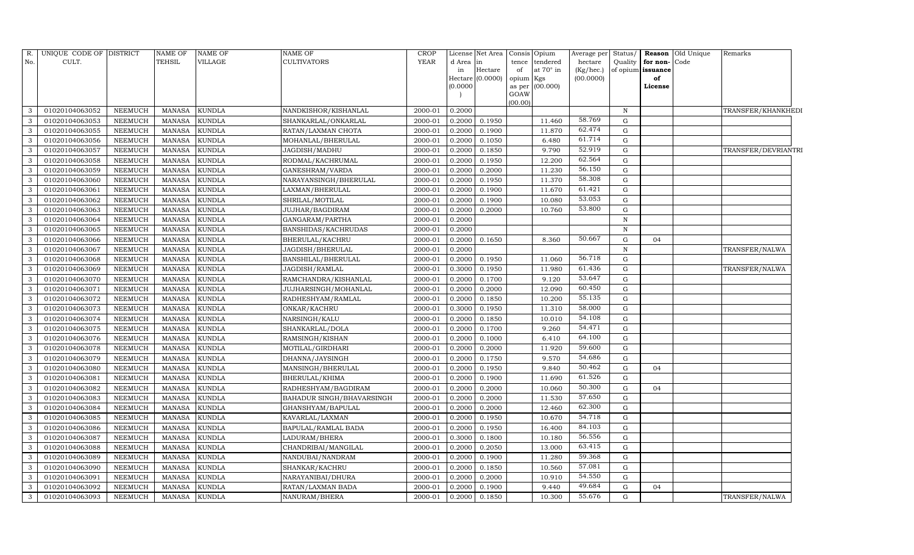| R.           | UNIQUE CODE OF DISTRICT |                | <b>NAME OF</b> | NAME OF       | <b>NAME OF</b>            | CROP    |          | License Net Area | Consis Opium    |                 | Average per | Status/      |                   | <b>Reason</b> Old Unique | Remarks             |  |
|--------------|-------------------------|----------------|----------------|---------------|---------------------------|---------|----------|------------------|-----------------|-----------------|-------------|--------------|-------------------|--------------------------|---------------------|--|
| No.          | CULT.                   |                | TEHSIL         | VILLAGE       | <b>CULTIVATORS</b>        | YEAR    | d Area   | in               | tence           | tendered        | hectare     | Quality      | for non-          | Code                     |                     |  |
|              |                         |                |                |               |                           |         | in       | Hectare          | of              | at 70° in       | (Kg/hec.)   |              | of opium issuance |                          |                     |  |
|              |                         |                |                |               |                           |         |          | Hectare (0.0000) | opium           | Kgs             | (00.0000)   |              | of                |                          |                     |  |
|              |                         |                |                |               |                           |         | (0.0000) |                  |                 | as per (00.000) |             |              | License           |                          |                     |  |
|              |                         |                |                |               |                           |         |          |                  | GOAW<br>(00.00) |                 |             |              |                   |                          |                     |  |
| 3            | 01020104063052          | NEEMUCH        | <b>MANASA</b>  | KUNDLA        | NANDKISHOR/KISHANLAL      | 2000-01 | 0.2000   |                  |                 |                 |             | $\, {\rm N}$ |                   |                          | TRANSFER/KHANKHEDI  |  |
| 3            | 01020104063053          | <b>NEEMUCH</b> | <b>MANASA</b>  | KUNDLA        | SHANKARLAL/ONKARLAL       | 2000-01 | 0.2000   | 0.1950           |                 | 11.460          | 58.769      | G            |                   |                          |                     |  |
| 3            | 01020104063055          | <b>NEEMUCH</b> | <b>MANASA</b>  | KUNDLA        | RATAN/LAXMAN CHOTA        | 2000-01 | 0.2000   | 0.1900           |                 | 11.870          | 62.474      | G            |                   |                          |                     |  |
| 3            | 01020104063056          | <b>NEEMUCH</b> | <b>MANASA</b>  | KUNDLA        | MOHANLAL/BHERULAL         | 2000-01 | 0.2000   | 0.1050           |                 | 6.480           | 61.714      | G            |                   |                          |                     |  |
| 3            | 01020104063057          | <b>NEEMUCH</b> | <b>MANASA</b>  | <b>KUNDLA</b> | JAGDISH/MADHU             | 2000-01 | 0.2000   | 0.1850           |                 | 9.790           | 52.919      | G            |                   |                          | TRANSFER/DEVRIANTRI |  |
| 3            | 01020104063058          | <b>NEEMUCH</b> | <b>MANASA</b>  | <b>KUNDLA</b> | RODMAL/KACHRUMAL          | 2000-01 | 0.2000   | 0.1950           |                 | 12.200          | 62.564      | G            |                   |                          |                     |  |
| 3            | 01020104063059          | <b>NEEMUCH</b> | <b>MANASA</b>  | KUNDLA        | GANESHRAM/VARDA           | 2000-01 | 0.2000   | 0.2000           |                 | 11.230          | 56.150      | G            |                   |                          |                     |  |
| $\mathbf{3}$ | 01020104063060          | <b>NEEMUCH</b> | <b>MANASA</b>  | KUNDLA        | NARAYANSINGH/BHERULAL     | 2000-01 | 0.2000   | 0.1950           |                 | 11.370          | 58.308      | G            |                   |                          |                     |  |
| 3            | 01020104063061          | <b>NEEMUCH</b> | <b>MANASA</b>  | KUNDLA        | LAXMAN/BHERULAL           | 2000-01 | 0.2000   | 0.1900           |                 | 11.670          | 61.421      | G            |                   |                          |                     |  |
| 3            | 01020104063062          | <b>NEEMUCH</b> | <b>MANASA</b>  | KUNDLA        | SHRILAL/MOTILAL           | 2000-01 | 0.2000   | 0.1900           |                 | 10.080          | 53.053      | G            |                   |                          |                     |  |
| 3            | 01020104063063          | <b>NEEMUCH</b> | <b>MANASA</b>  | <b>KUNDLA</b> | JUJHAR/BAGDIRAM           | 2000-01 | 0.2000   | 0.2000           |                 | 10.760          | 53.800      | G            |                   |                          |                     |  |
| $\mathbf{3}$ | 01020104063064          | <b>NEEMUCH</b> | <b>MANASA</b>  | KUNDLA        | GANGARAM/PARTHA           | 2000-01 | 0.2000   |                  |                 |                 |             | $\, {\rm N}$ |                   |                          |                     |  |
| 3            | 01020104063065          | <b>NEEMUCH</b> | <b>MANASA</b>  | KUNDLA        | BANSHIDAS/KACHRUDAS       | 2000-01 | 0.2000   |                  |                 |                 |             | $\mathbf N$  |                   |                          |                     |  |
| 3            | 01020104063066          | <b>NEEMUCH</b> | <b>MANASA</b>  | KUNDLA        | BHERULAL/KACHRU           | 2000-01 | 0.2000   | 0.1650           |                 | 8.360           | 50.667      | G            | 04                |                          |                     |  |
| $\mathbf{3}$ | 01020104063067          | <b>NEEMUCH</b> | <b>MANASA</b>  | KUNDLA        | JAGDISH/BHERULAL          | 2000-01 | 0.2000   |                  |                 |                 |             | $\mathbf N$  |                   |                          | TRANSFER/NALWA      |  |
| 3            | 01020104063068          | <b>NEEMUCH</b> | <b>MANASA</b>  | KUNDLA        | BANSHILAL/BHERULAL        | 2000-01 | 0.2000   | 0.1950           |                 | 11.060          | 56.718      | G            |                   |                          |                     |  |
| 3            | 01020104063069          | <b>NEEMUCH</b> | <b>MANASA</b>  | KUNDLA        | JAGDISH/RAMLAL            | 2000-01 | 0.3000   | 0.1950           |                 | 11.980          | 61.436      | G            |                   |                          | TRANSFER/NALWA      |  |
| 3            | 01020104063070          | <b>NEEMUCH</b> | <b>MANASA</b>  | KUNDLA        | RAMCHANDRA/KISHANLAL      | 2000-01 | 0.2000   | 0.1700           |                 | 9.120           | 53.647      | G            |                   |                          |                     |  |
| $\mathbf{3}$ | 01020104063071          | <b>NEEMUCH</b> | <b>MANASA</b>  | KUNDLA        | JUJHARSINGH/MOHANLAL      | 2000-01 | 0.2000   | 0.2000           |                 | 12.090          | 60.450      | G            |                   |                          |                     |  |
| 3            | 01020104063072          | <b>NEEMUCH</b> | <b>MANASA</b>  | KUNDLA        | RADHESHYAM/RAMLAL         | 2000-01 | 0.2000   | 0.1850           |                 | 10.200          | 55.135      | G            |                   |                          |                     |  |
| 3            | 01020104063073          | <b>NEEMUCH</b> | <b>MANASA</b>  | KUNDLA        | ONKAR/KACHRU              | 2000-01 | 0.3000   | 0.1950           |                 | 11.310          | 58.000      | G            |                   |                          |                     |  |
| 3            | 01020104063074          | <b>NEEMUCH</b> | <b>MANASA</b>  | <b>KUNDLA</b> | NARSINGH/KALU             | 2000-01 | 0.2000   | 0.1850           |                 | 10.010          | 54.108      | G            |                   |                          |                     |  |
| $\mathbf{3}$ | 01020104063075          | <b>NEEMUCH</b> | <b>MANASA</b>  | KUNDLA        | SHANKARLAL/DOLA           | 2000-01 | 0.2000   | 0.1700           |                 | 9.260           | 54.471      | G            |                   |                          |                     |  |
| 3            | 01020104063076          | <b>NEEMUCH</b> | <b>MANASA</b>  | KUNDLA        | RAMSINGH/KISHAN           | 2000-01 | 0.2000   | 0.1000           |                 | 6.410           | 64.100      | G            |                   |                          |                     |  |
| 3            | 01020104063078          | <b>NEEMUCH</b> | <b>MANASA</b>  | <b>KUNDLA</b> | MOTILAL/GIRDHARI          | 2000-01 | 0.2000   | 0.2000           |                 | 11.920          | 59.600      | G            |                   |                          |                     |  |
| 3            | 01020104063079          | <b>NEEMUCH</b> | <b>MANASA</b>  | <b>KUNDLA</b> | DHANNA/JAYSINGH           | 2000-01 | 0.2000   | 0.1750           |                 | 9.570           | 54.686      | G            |                   |                          |                     |  |
| $\mathbf{3}$ | 01020104063080          | <b>NEEMUCH</b> | <b>MANASA</b>  | <b>KUNDLA</b> | MANSINGH/BHERULAL         | 2000-01 | 0.2000   | 0.1950           |                 | 9.840           | 50.462      | G            | 04                |                          |                     |  |
| 3            | 01020104063081          | NEEMUCH        | <b>MANASA</b>  | KUNDLA        | BHERULAL/KHIMA            | 2000-01 | 0.2000   | 0.1900           |                 | 11.690          | 61.526      | G            |                   |                          |                     |  |
| 3            | 01020104063082          | <b>NEEMUCH</b> | <b>MANASA</b>  | KUNDLA        | RADHESHYAM/BAGDIRAM       | 2000-01 | 0.2000   | 0.2000           |                 | 10.060          | 50.300      | G            | 04                |                          |                     |  |
| $\mathbf{3}$ | 01020104063083          | NEEMUCH        | <b>MANASA</b>  | <b>KUNDLA</b> | BAHADUR SINGH/BHAVARSINGH | 2000-01 | 0.2000   | 0.2000           |                 | 11.530          | 57.650      | G            |                   |                          |                     |  |
| 3            | 01020104063084          | NEEMUCH        | <b>MANASA</b>  | KUNDLA        | GHANSHYAM/BAPULAL         | 2000-01 | 0.2000   | 0.2000           |                 | 12.460          | 62.300      | G            |                   |                          |                     |  |
| 3            | 01020104063085          | <b>NEEMUCH</b> | <b>MANASA</b>  | KUNDLA        | KAVARLAL/LAXMAN           | 2000-01 | 0.2000   | 0.1950           |                 | 10.670          | 54.718      | G            |                   |                          |                     |  |
| 3            | 01020104063086          | <b>NEEMUCH</b> | <b>MANASA</b>  | <b>KUNDLA</b> | BAPULAL/RAMLAL BADA       | 2000-01 | 0.2000   | 0.1950           |                 | 16.400          | 84.103      | G            |                   |                          |                     |  |
| 3            | 01020104063087          | <b>NEEMUCH</b> | <b>MANASA</b>  | KUNDLA        | LADURAM/BHERA             | 2000-01 | 0.3000   | 0.1800           |                 | 10.180          | 56.556      | G            |                   |                          |                     |  |
| 3            | 01020104063088          | <b>NEEMUCH</b> | <b>MANASA</b>  | KUNDLA        | CHANDRIBAI/MANGILAL       | 2000-01 | 0.2000   | 0.2050           |                 | 13.000          | 63.415      | G            |                   |                          |                     |  |
| 3            | 01020104063089          | <b>NEEMUCH</b> | <b>MANASA</b>  | <b>KUNDLA</b> | NANDUBAI/NANDRAM          | 2000-01 | 0.2000   | 0.1900           |                 | 11.280          | 59.368      | G            |                   |                          |                     |  |
| 3            | 01020104063090          | <b>NEEMUCH</b> | <b>MANASA</b>  | KUNDLA        | SHANKAR/KACHRU            | 2000-01 | 0.2000   | 0.1850           |                 | 10.560          | 57.081      | G            |                   |                          |                     |  |
| 3            | 01020104063091          | <b>NEEMUCH</b> | <b>MANASA</b>  | KUNDLA        | NARAYANIBAI/DHURA         | 2000-01 | 0.2000   | 0.2000           |                 | 10.910          | 54.550      | G            |                   |                          |                     |  |
| 3            | 01020104063092          | <b>NEEMUCH</b> | <b>MANASA</b>  | KUNDLA        | RATAN/LAXMAN BADA         | 2000-01 | 0.2000   | 0.1900           |                 | 9.440           | 49.684      | G            | 04                |                          |                     |  |
| 3            | 01020104063093          | NEEMUCH        | MANASA         | <b>KUNDLA</b> | NANURAM/BHERA             | 2000-01 | 0.2000   | 0.1850           |                 | 10.300          | 55.676      | G            |                   |                          | TRANSFER/NALWA      |  |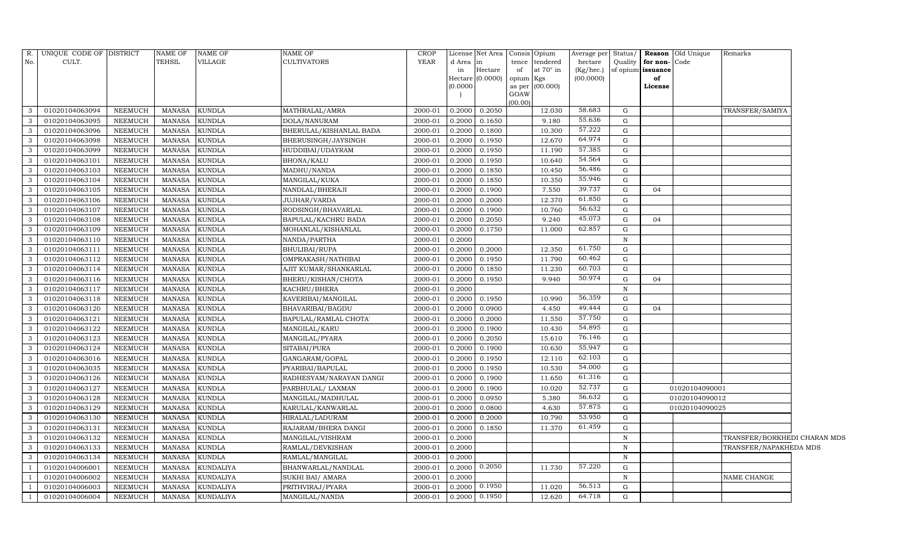| R.                      | UNIQUE CODE OF DISTRICT |                | <b>NAME OF</b> | <b>NAME OF</b>   | NAME OF                 | CROP        |          | License Net Area Consis Opium |           |                 | Average per |             |                   | Status/ <b>Reason</b> Old Unique | Remarks                      |  |
|-------------------------|-------------------------|----------------|----------------|------------------|-------------------------|-------------|----------|-------------------------------|-----------|-----------------|-------------|-------------|-------------------|----------------------------------|------------------------------|--|
| No.                     | CULT.                   |                | TEHSIL         | <b>VILLAGE</b>   | CULTIVATORS             | YEAR        | d Area   | in                            | tence     | tendered        | hectare     | Quality     | for non-Code      |                                  |                              |  |
|                         |                         |                |                |                  |                         |             | in       | Hectare                       | of        | at 70° in       | (Kg/hec.)   |             | of opium issuance |                                  |                              |  |
|                         |                         |                |                |                  |                         |             | (0.0000) | Hectare $(0.0000)$            | opium Kgs | as per (00.000) | (00.0000)   |             | of<br>License     |                                  |                              |  |
|                         |                         |                |                |                  |                         |             |          |                               | GOAW      |                 |             |             |                   |                                  |                              |  |
|                         |                         |                |                |                  |                         |             |          |                               | (00.00)   |                 |             |             |                   |                                  |                              |  |
| 3                       | 01020104063094          | <b>NEEMUCH</b> | <b>MANASA</b>  | <b>KUNDLA</b>    | MATHRALAL/AMRA          | 2000-01     | 0.2000   | 0.2050                        |           | 12.030          | 58.683      | G           |                   |                                  | TRANSFER/SAMIYA              |  |
| $\mathbf{3}$            | 01020104063095          | <b>NEEMUCH</b> | <b>MANASA</b>  | KUNDLA           | DOLA/NANURAM            | 2000-01     | 0.2000   | 0.1650                        |           | 9.180           | 55.636      | G           |                   |                                  |                              |  |
| 3                       | 01020104063096          | <b>NEEMUCH</b> | <b>MANASA</b>  | <b>KUNDLA</b>    | BHERULAL/KISHANLAL BADA | 2000-01     | 0.2000   | 0.1800                        |           | 10.300          | 57.222      | G           |                   |                                  |                              |  |
| $\mathbf{3}$            | 01020104063098          | <b>NEEMUCH</b> | <b>MANASA</b>  | <b>KUNDLA</b>    | BHERUSINGH/JAYSINGH     | 2000-01     | 0.2000   | 0.1950                        |           | 12.670          | 64.974      | G           |                   |                                  |                              |  |
| $\mathbf{3}$            | 01020104063099          | <b>NEEMUCH</b> | <b>MANASA</b>  | KUNDLA           | HUDDIBAI/UDAYRAM        | 2000-01     | 0.2000   | 0.1950                        |           | 11.190          | 57.385      | G           |                   |                                  |                              |  |
| $\overline{3}$          | 01020104063101          | <b>NEEMUCH</b> | <b>MANASA</b>  | <b>KUNDLA</b>    | <b>BHONA/KALU</b>       | 2000-01     | 0.2000   | 0.1950                        |           | 10.640          | 54.564      | G           |                   |                                  |                              |  |
| $\mathbf{3}$            | 01020104063103          | <b>NEEMUCH</b> | <b>MANASA</b>  | KUNDLA           | MADHU/NANDA             | 2000-01     | 0.2000   | 0.1850                        |           | 10.450          | 56.486      | G           |                   |                                  |                              |  |
| $\overline{3}$          | 01020104063104          | <b>NEEMUCH</b> | <b>MANASA</b>  | KUNDLA           | MANGILAL/KUKA           | 2000-01     | 0.2000   | 0.1850                        |           | 10.350          | 55.946      | G           |                   |                                  |                              |  |
| $\mathbf{3}$            | 01020104063105          | <b>NEEMUCH</b> | <b>MANASA</b>  | <b>KUNDLA</b>    | NANDLAL/BHERAJI         | 2000-01     | 0.2000   | 0.1900                        |           | 7.550           | 39.737      | G           | 04                |                                  |                              |  |
| $\mathbf{3}$            | 01020104063106          | <b>NEEMUCH</b> | <b>MANASA</b>  | <b>KUNDLA</b>    | JUJHAR/VARDA            | 2000-01     | 0.2000   | 0.2000                        |           | 12.370          | 61.850      | G           |                   |                                  |                              |  |
| $\mathbf{3}$            | 01020104063107          | <b>NEEMUCH</b> | <b>MANASA</b>  | <b>KUNDLA</b>    | RODSINGH/BHAVARLAL      | 2000-01     | 0.2000   | 0.1900                        |           | 10.760          | 56.632      | G           |                   |                                  |                              |  |
| $\mathbf{3}$            | 01020104063108          | NEEMUCH        | <b>MANASA</b>  | KUNDLA           | BAPULAL/KACHRU BADA     | 2000-01     | 0.2000   | 0.2050                        |           | 9.240           | 45.073      | G           | 04                |                                  |                              |  |
| 3                       | 01020104063109          | NEEMUCH        | <b>MANASA</b>  | KUNDLA           | MOHANLAL/KISHANLAL      | 2000-01     | 0.2000   | 0.1750                        |           | 11.000          | 62.857      | G           |                   |                                  |                              |  |
| $\mathbf{3}$            | 01020104063110          | NEEMUCH        | <b>MANASA</b>  | <b>KUNDLA</b>    | NANDA/PARTHA            | 2000-01     | 0.2000   |                               |           |                 |             | $\mathbf N$ |                   |                                  |                              |  |
| $\mathbf{3}$            | 01020104063111          | NEEMUCH        | <b>MANASA</b>  | KUNDLA           | BHULIBAI/RUPA           | 2000-01     | 0.2000   | 0.2000                        |           | 12.350          | 61.750      | G           |                   |                                  |                              |  |
| 3                       | 01020104063112          | <b>NEEMUCH</b> | <b>MANASA</b>  | KUNDLA           | OMPRAKASH/NATHIBAI      | 2000-01     | 0.2000   | 0.1950                        |           | 11.790          | 60.462      | G           |                   |                                  |                              |  |
| $\mathbf{3}$            | 01020104063114          | <b>NEEMUCH</b> | <b>MANASA</b>  | <b>KUNDLA</b>    | AJIT KUMAR/SHANKARLAL   | 2000-01     | 0.2000   | 0.1850                        |           | 11.230          | 60.703      | G           |                   |                                  |                              |  |
| $\mathbf{3}$            | 01020104063116          | NEEMUCH        | <b>MANASA</b>  | KUNDLA           | BHERU/KISHAN/CHOTA      | 2000-01     | 0.2000   | 0.1950                        |           | 9.940           | 50.974      | G           | 04                |                                  |                              |  |
| $\mathbf{3}$            | 01020104063117          | <b>NEEMUCH</b> | <b>MANASA</b>  | KUNDLA           | KACHRU/BHERA            | 2000-01     | 0.2000   |                               |           |                 |             | $\mathbf N$ |                   |                                  |                              |  |
| $\mathbf{3}$            | 01020104063118          | <b>NEEMUCH</b> | <b>MANASA</b>  | KUNDLA           | KAVERIBAI/MANGILAL      | 2000-01     | 0.2000   | 0.1950                        |           | 10.990          | 56.359      | G           |                   |                                  |                              |  |
| $\overline{\mathbf{3}}$ | 01020104063120          | <b>NEEMUCH</b> | <b>MANASA</b>  | KUNDLA           | BHAVARIBAI/BAGDU        | 2000-01     | 0.2000   | 0.0900                        |           | 4.450           | 49.444      | G           | 04                |                                  |                              |  |
| 3                       | 01020104063121          | <b>NEEMUCH</b> | <b>MANASA</b>  | <b>KUNDLA</b>    | BAPULAL/RAMLAL CHOTA'   | 2000-01     | 0.2000   | 0.2000                        |           | 11.550          | 57.750      | G           |                   |                                  |                              |  |
| $\mathbf{3}$            | 01020104063122          | <b>NEEMUCH</b> | <b>MANASA</b>  | KUNDLA           | MANGILAL/KARU           | 2000-01     | 0.2000   | 0.1900                        |           | 10.430          | 54.895      | G           |                   |                                  |                              |  |
| 3                       | 01020104063123          | <b>NEEMUCH</b> | <b>MANASA</b>  | KUNDLA           | MANGILAL/PYARA          | 2000-01     | 0.2000   | 0.2050                        |           | 15.610          | 76.146      | G           |                   |                                  |                              |  |
| $\mathbf{3}$            | 01020104063124          | <b>NEEMUCH</b> | <b>MANASA</b>  | <b>KUNDLA</b>    | SITABAI/PURA            | 2000-01     | 0.2000   | 0.1900                        |           | 10.630          | 55.947      | G           |                   |                                  |                              |  |
| $\overline{3}$          | 01020104063016          | <b>NEEMUCH</b> | <b>MANASA</b>  | KUNDLA           | GANGARAM/GOPAL          | 2000-01     | 0.2000   | 0.1950                        |           | 12.110          | 62.103      | G           |                   |                                  |                              |  |
| 3                       | 01020104063035          | <b>NEEMUCH</b> | <b>MANASA</b>  | KUNDLA           | PYARIBAI/BAPULAL        | 2000-01     | 0.2000   | 0.1950                        |           | 10.530          | 54.000      | G           |                   |                                  |                              |  |
| $\mathbf{3}$            | 01020104063126          | <b>NEEMUCH</b> | <b>MANASA</b>  | KUNDLA           | RADHESYAM/NARAYAN DANGI | 2000-01     | 0.2000   | 0.1900                        |           | 11.650          | 61.316      | G           |                   |                                  |                              |  |
| $\overline{3}$          | 01020104063127          | <b>NEEMUCH</b> | <b>MANASA</b>  | KUNDLA           | PARBHULAL/ LAXMAN       | 2000-01     | 0.2000   | 0.1900                        |           | 10.020          | 52.737      | G           |                   | 01020104090001                   |                              |  |
| $\overline{3}$          | 01020104063128          | <b>NEEMUCH</b> | <b>MANASA</b>  | KUNDLA           | MANGILAL/MADHULAL       | 2000-01     | 0.2000   | 0.0950                        |           | 5.380           | 56.632      | G           |                   | 01020104090012                   |                              |  |
| $\mathbf{3}$            | 01020104063129          | <b>NEEMUCH</b> | <b>MANASA</b>  | <b>KUNDLA</b>    | KARULAL/KANWARLAL       | 2000-01     | 0.2000   | 0.0800                        |           | 4.630           | 57.875      | G           |                   | 01020104090025                   |                              |  |
| $\mathbf{3}$            | 01020104063130          | <b>NEEMUCH</b> | <b>MANASA</b>  | KUNDLA           | HIRALAL/LADURAM         | 2000-01     | 0.2000   | 0.2000                        |           | 10.790          | 53.950      | G           |                   |                                  |                              |  |
| $\mathbf{3}$            | 01020104063131          | <b>NEEMUCH</b> | <b>MANASA</b>  | <b>KUNDLA</b>    | RAJARAM/BHERA DANGI     | 2000-01     | 0.2000   | 0.1850                        |           | 11.370          | 61.459      | G           |                   |                                  |                              |  |
| $\mathbf{3}$            | 01020104063132          | NEEMUCH        | <b>MANASA</b>  | KUNDLA           | MANGILAL/VISHRAM        | $2000 - 01$ | 0.2000   |                               |           |                 |             | $\mathbf N$ |                   |                                  | TRANSFER/BORKHEDI CHARAN MDS |  |
| $\mathbf{3}$            | 01020104063133          | NEEMUCH        | <b>MANASA</b>  | <b>KUNDLA</b>    | RAMLAL/DEVKISHAN        | 2000-01     | 0.2000   |                               |           |                 |             | $\mathbf N$ |                   |                                  | TRANSFER/NAPAKHEDA MDS       |  |
| $\mathbf{3}$            | 01020104063134          | <b>NEEMUCH</b> | <b>MANASA</b>  | <b>KUNDLA</b>    | RAMLAL/MANGILAL         | 2000-01     | 0.2000   |                               |           |                 |             | $\mathbf N$ |                   |                                  |                              |  |
| $\overline{1}$          | 01020104006001          | NEEMUCH        | <b>MANASA</b>  | KUNDALIYA        | BHANWARLAL/NANDLAL      | 2000-01     | 0.2000   | 0.2050                        |           | 11.730          | 57.220      | G           |                   |                                  |                              |  |
| $\overline{1}$          | 01020104006002          | <b>NEEMUCH</b> | <b>MANASA</b>  | KUNDALIYA        | SUKHI BAI/ AMARA        | 2000-01     | 0.2000   |                               |           |                 |             | N           |                   |                                  | NAME CHANGE                  |  |
| -1                      | 01020104006003          | <b>NEEMUCH</b> | <b>MANASA</b>  | <b>KUNDALIYA</b> | PRITHVIRAJ/PYARA        | 2000-01     | 0.2000   | 0.1950                        |           | 11.020          | 56.513      | G           |                   |                                  |                              |  |
| $\overline{1}$          | 01020104006004          | NEEMUCH        |                | MANASA KUNDALIYA | MANGILAL/NANDA          | 2000-01     | 0.2000   | 0.1950                        |           | 12.620          | 64.718      | G           |                   |                                  |                              |  |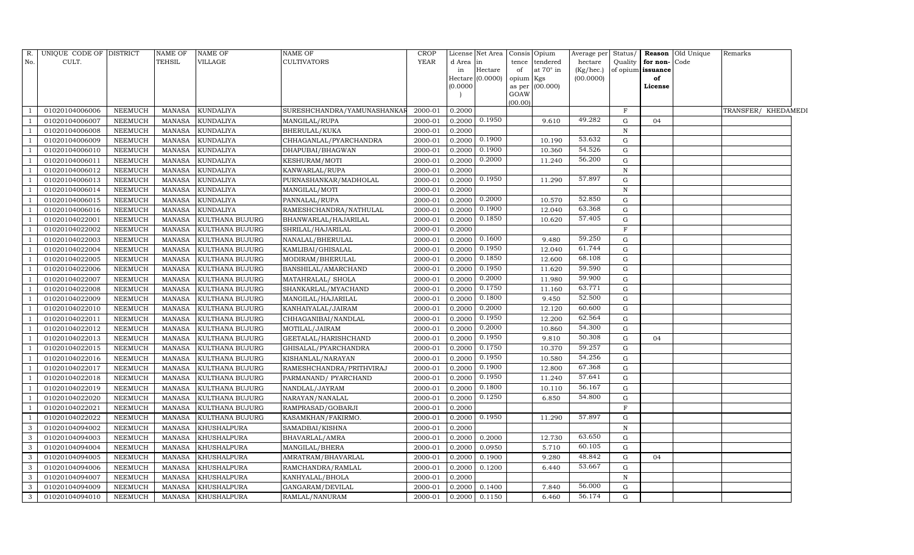| R.  | UNIQUE CODE OF DISTRICT |                | <b>NAME OF</b> | <b>NAME OF</b>   | NAME OF                     | <b>CROP</b> |          | License Net Area Consis Opium |           |                  | Average per Status/ |              |                   | <b>Reason</b> Old Unique | Remarks             |  |
|-----|-------------------------|----------------|----------------|------------------|-----------------------------|-------------|----------|-------------------------------|-----------|------------------|---------------------|--------------|-------------------|--------------------------|---------------------|--|
| No. | CULT.                   |                | TEHSIL         | VILLAGE          | <b>CULTIVATORS</b>          | <b>YEAR</b> | d Area   | in                            | tence     | tendered         | hectare             | Quality      | for non-Code      |                          |                     |  |
|     |                         |                |                |                  |                             |             | in       | Hectare                       | of        | at $70^\circ$ in | (Kg/hec.)           |              | of opium issuance |                          |                     |  |
|     |                         |                |                |                  |                             |             |          | Hectare (0.0000)              | opium Kgs |                  | (00.0000)           |              | of                |                          |                     |  |
|     |                         |                |                |                  |                             |             | (0.0000) |                               | GOAW      | as per (00.000)  |                     |              | License           |                          |                     |  |
|     |                         |                |                |                  |                             |             |          |                               | (00.00)   |                  |                     |              |                   |                          |                     |  |
|     | 01020104006006          | <b>NEEMUCH</b> | <b>MANASA</b>  | <b>KUNDALIYA</b> | SURESHCHANDRA/YAMUNASHANKAI | 2000-01     | 0.2000   |                               |           |                  |                     | $\mathbf{F}$ |                   |                          | TRANSFER/ KHEDAMEDI |  |
|     | 01020104006007          | NEEMUCH        | <b>MANASA</b>  | <b>KUNDALIYA</b> | MANGILAL/RUPA               | 2000-01     | 0.2000   | 0.1950                        |           | 9.610            | 49.282              | G            | 04                |                          |                     |  |
|     | 01020104006008          | <b>NEEMUCH</b> | <b>MANASA</b>  | <b>KUNDALIYA</b> | BHERULAL/KUKA               | 2000-01     | 0.2000   |                               |           |                  |                     | N            |                   |                          |                     |  |
|     | 01020104006009          | <b>NEEMUCH</b> | <b>MANASA</b>  | <b>KUNDALIYA</b> | CHHAGANLAL/PYARCHANDRA      | 2000-01     | 0.2000   | 0.1900                        |           | 10.190           | 53.632              | G            |                   |                          |                     |  |
|     | 01020104006010          | <b>NEEMUCH</b> | <b>MANASA</b>  | <b>KUNDALIYA</b> | DHAPUBAI/BHAGWAN            | 2000-01     | 0.2000   | 0.1900                        |           | 10.360           | 54.526              | G            |                   |                          |                     |  |
|     | 01020104006011          | <b>NEEMUCH</b> | <b>MANASA</b>  | <b>KUNDALIYA</b> | KESHURAM/MOTI               | 2000-01     | 0.2000   | 0.2000                        |           | 11.240           | 56.200              | G            |                   |                          |                     |  |
|     | 01020104006012          | NEEMUCH        | <b>MANASA</b>  | KUNDALIYA        | KANWARLAL/RUPA              | 2000-01     | 0.2000   |                               |           |                  |                     | $\mathbf N$  |                   |                          |                     |  |
|     | 01020104006013          | <b>NEEMUCH</b> | <b>MANASA</b>  | <b>KUNDALIYA</b> | PURNASHANKAR/MADHOLAL       | 2000-01     | 0.2000   | 0.1950                        |           | 11.290           | 57.897              | G            |                   |                          |                     |  |
|     | 01020104006014          | <b>NEEMUCH</b> | <b>MANASA</b>  | KUNDALIYA        | MANGILAL/MOTI               | 2000-01     | 0.2000   |                               |           |                  |                     | $\mathbf N$  |                   |                          |                     |  |
|     | 01020104006015          | NEEMUCH        | <b>MANASA</b>  | KUNDALIYA        | PANNALAL/RUPA               | 2000-01     | 0.2000   | 0.2000                        |           | 10.570           | 52.850              | G            |                   |                          |                     |  |
|     | 01020104006016          | NEEMUCH        | <b>MANASA</b>  | KUNDALIYA        | RAMESHCHANDRA/NATHULAL      | 2000-01     | 0.2000   | 0.1900                        |           | 12.040           | 63.368              | G            |                   |                          |                     |  |
|     | 01020104022001          | <b>NEEMUCH</b> | <b>MANASA</b>  | KULTHANA BUJURG  | BHANWARLAL/HAJARILAL        | 2000-01     | 0.2000   | 0.1850                        |           | 10.620           | 57.405              | G            |                   |                          |                     |  |
|     | 01020104022002          | NEEMUCH        | <b>MANASA</b>  | KULTHANA BUJURG  | SHRILAL/HAJARILAL           | 2000-01     | 0.2000   |                               |           |                  |                     | F            |                   |                          |                     |  |
|     | 01020104022003          | <b>NEEMUCH</b> | <b>MANASA</b>  | KULTHANA BUJURG  | NANALAL/BHERULAL            | 2000-01     | 0.2000   | 0.1600                        |           | 9.480            | 59.250              | G            |                   |                          |                     |  |
|     | 01020104022004          | NEEMUCH        | <b>MANASA</b>  | KULTHANA BUJURG  | KAMLIBAI/GHISALAL           | 2000-01     | 0.2000   | 0.1950                        |           | 12.040           | 61.744              | G            |                   |                          |                     |  |
|     | 01020104022005          | <b>NEEMUCH</b> | <b>MANASA</b>  | KULTHANA BUJURG  | MODIRAM/BHERULAL            | 2000-01     | 0.2000   | 0.1850                        |           | 12.600           | 68.108              | G            |                   |                          |                     |  |
|     | 01020104022006          | NEEMUCH        | <b>MANASA</b>  | KULTHANA BUJURG  | BANSHILAL/AMARCHAND         | 2000-01     | 0.2000   | 0.1950                        |           | 11.620           | 59.590              | ${\rm G}$    |                   |                          |                     |  |
|     | 01020104022007          | NEEMUCH        | <b>MANASA</b>  | KULTHANA BUJURG  | MATAHRALAL/ SHOLA           | 2000-01     | 0.2000   | 0.2000                        |           | 11.980           | 59.900              | G            |                   |                          |                     |  |
|     | 01020104022008          | NEEMUCH        | <b>MANASA</b>  | KULTHANA BUJURG  | SHANKARLAL/MYACHAND         | 2000-01     | 0.2000   | 0.1750                        |           | 11.160           | 63.771              | G            |                   |                          |                     |  |
|     | 01020104022009          | NEEMUCH        | <b>MANASA</b>  | KULTHANA BUJURG  | MANGILAL/HAJARILAL          | 2000-01     | 0.2000   | 0.1800                        |           | 9.450            | 52.500              | G            |                   |                          |                     |  |
|     | 01020104022010          | NEEMUCH        | <b>MANASA</b>  | KULTHANA BUJURG  | KANHAIYALAL/JAIRAM          | 2000-01     | 0.2000   | 0.2000                        |           | 12.120           | 60.600              | G            |                   |                          |                     |  |
|     | 01020104022011          | NEEMUCH        | <b>MANASA</b>  | KULTHANA BUJURG  | CHHAGANIBAI/NANDLAL         | 2000-01     | 0.2000   | 0.1950                        |           | 12.200           | 62.564              | G            |                   |                          |                     |  |
|     | 01020104022012          | NEEMUCH        | <b>MANASA</b>  | KULTHANA BUJURG  | MOTILAL/JAIRAM              | 2000-01     | 0.2000   | 0.2000                        |           | 10.860           | 54.300              | G            |                   |                          |                     |  |
|     | 01020104022013          | NEEMUCH        | <b>MANASA</b>  | KULTHANA BUJURG  | GEETALAL/HARISHCHAND        | 2000-01     | 0.2000   | 0.1950                        |           | 9.810            | 50.308              | G            | 04                |                          |                     |  |
|     | 01020104022015          | NEEMUCH        | <b>MANASA</b>  | KULTHANA BUJURG  | GHISALAL/PYARCHANDRA        | 2000-01     | 0.2000   | 0.1750                        |           | 10.370           | 59.257              | G            |                   |                          |                     |  |
|     | 01020104022016          | NEEMUCH        | <b>MANASA</b>  | KULTHANA BUJURG  | KISHANLAL/NARAYAN           | 2000-01     | 0.2000   | 0.1950                        |           | 10.580           | 54.256              | G            |                   |                          |                     |  |
|     | 01020104022017          | <b>NEEMUCH</b> | <b>MANASA</b>  | KULTHANA BUJURG  | RAMESHCHANDRA/PRITHVIRAJ    | 2000-01     | 0.2000   | 0.1900                        |           | 12.800           | 67.368              | G            |                   |                          |                     |  |
|     | 01020104022018          | NEEMUCH        | <b>MANASA</b>  | KULTHANA BUJURG  | PARMANAND/ PYARCHAND        | 2000-01     | 0.2000   | 0.1950                        |           | 11.240           | 57.641              | G            |                   |                          |                     |  |
|     | 01020104022019          | NEEMUCH        | <b>MANASA</b>  | KULTHANA BUJURG  | NANDLAL/JAYRAM              | 2000-01     | 0.2000   | 0.1800                        |           | 10.110           | 56.167              | G            |                   |                          |                     |  |
|     | 01020104022020          | NEEMUCH        | <b>MANASA</b>  | KULTHANA BUJURG  | NARAYAN/NANALAL             | 2000-01     | 0.2000   | 0.1250                        |           | 6.850            | 54.800              | G            |                   |                          |                     |  |
|     | 01020104022021          | <b>NEEMUCH</b> | <b>MANASA</b>  | KULTHANA BUJURG  | RAMPRASAD/GOBARJI           | 2000-01     | 0.2000   |                               |           |                  |                     | F            |                   |                          |                     |  |
|     | 01020104022022          | NEEMUCH        | <b>MANASA</b>  | KULTHANA BUJURG  | KASAMKHAN/FAKIRMO.          | 2000-01     | 0.2000   | 0.1950                        |           | 11.290           | 57.897              | G            |                   |                          |                     |  |
| 3   | 01020104094002          | <b>NEEMUCH</b> | <b>MANASA</b>  | KHUSHALPURA      | SAMADBAI/KISHNA             | 2000-01     | 0.2000   |                               |           |                  |                     | $\mathbf N$  |                   |                          |                     |  |
| 3   | 01020104094003          | NEEMUCH        | <b>MANASA</b>  | KHUSHALPURA      | BHAVARLAL/AMRA              | 2000-01     | 0.2000   | 0.2000                        |           | 12.730           | 63.650              | G            |                   |                          |                     |  |
| 3   | 01020104094004          | <b>NEEMUCH</b> | <b>MANASA</b>  | KHUSHALPURA      | MANGILAL/BHERA              | 2000-01     | 0.2000   | 0.0950                        |           | 5.710            | 60.105              | G            |                   |                          |                     |  |
| 3   | 01020104094005          | NEEMUCH        | <b>MANASA</b>  | KHUSHALPURA      | AMRATRAM/BHAVARLAL          | 2000-01     | 0.2000   | 0.1900                        |           | 9.280            | 48.842              | G            | 04                |                          |                     |  |
| 3   | 01020104094006          | NEEMUCH        | <b>MANASA</b>  | KHUSHALPURA      | RAMCHANDRA/RAMLAL           | 2000-01     | 0.2000   | 0.1200                        |           | 6.440            | 53.667              | G            |                   |                          |                     |  |
| 3   | 01020104094007          | <b>NEEMUCH</b> | <b>MANASA</b>  | KHUSHALPURA      | KANHYALAL/BHOLA             | 2000-01     | 0.2000   |                               |           |                  |                     | N            |                   |                          |                     |  |
| 3   | 01020104094009          | NEEMUCH        | <b>MANASA</b>  | KHUSHALPURA      | GANGARAM/DEVILAL            | 2000-01     | 0.2000   | 0.1400                        |           | 7.840            | 56.000              | G            |                   |                          |                     |  |
| 3   | 01020104094010          | NEEMUCH        | MANASA         | KHUSHALPURA      | RAMLAL/NANURAM              | 2000-01     | 0.2000   | 0.1150                        |           | 6.460            | 56.174              | G            |                   |                          |                     |  |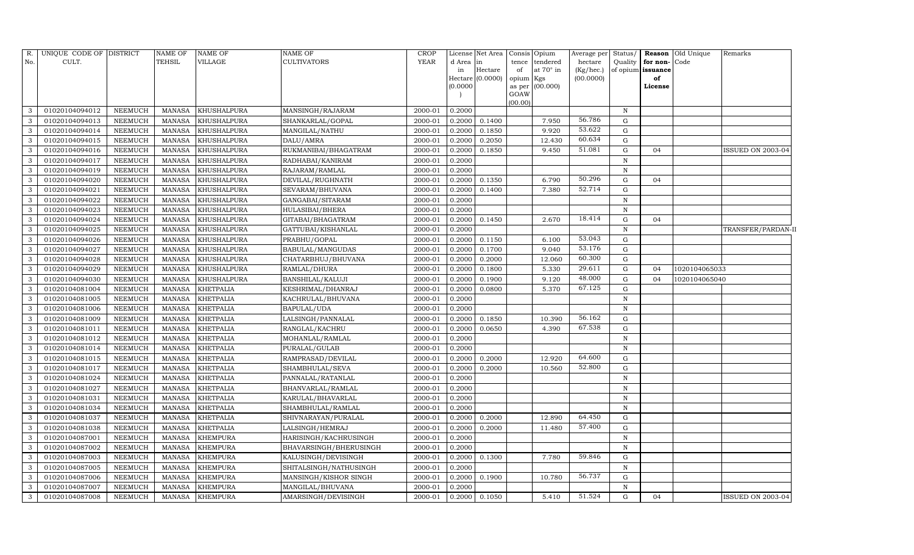| R.  | UNIQUE CODE OF DISTRICT |                | <b>NAME OF</b> | <b>NAME OF</b>   | <b>NAME OF</b>         | CROP        |          | License Net Area | Consis         | Opium     | Average per |              |                      | Status/ Reason Old Unique | Remarks                  |
|-----|-------------------------|----------------|----------------|------------------|------------------------|-------------|----------|------------------|----------------|-----------|-------------|--------------|----------------------|---------------------------|--------------------------|
| No. | CULT.                   |                | <b>TEHSIL</b>  | VILLAGE          | <b>CULTIVATORS</b>     | <b>YEAR</b> | d Area   | lin              | tence          | tendered  | hectare     |              | Quality for non-Code |                           |                          |
|     |                         |                |                |                  |                        |             | in       | Hectare          | of             | at 70° in | (Kg/hec.)   |              | of opium issuance    |                           |                          |
|     |                         |                |                |                  |                        |             | (0.0000) | Hectare (0.0000) | opium          | Kgs       | (00.0000)   |              | of                   |                           |                          |
|     |                         |                |                |                  |                        |             |          |                  | as per<br>GOAW | (00.000)  |             |              | License              |                           |                          |
|     |                         |                |                |                  |                        |             |          |                  | (00.00)        |           |             |              |                      |                           |                          |
| 3   | 01020104094012          | NEEMUCH        | MANASA         | KHUSHALPURA      | MANSINGH/RAJARAM       | 2000-01     | 0.2000   |                  |                |           |             | N            |                      |                           |                          |
| 3   | 01020104094013          | NEEMUCH        | <b>MANASA</b>  | KHUSHALPURA      | SHANKARLAL/GOPAL       | 2000-01     | 0.2000   | 0.1400           |                | 7.950     | 56.786      | G            |                      |                           |                          |
| 3   | 01020104094014          | <b>NEEMUCH</b> | <b>MANASA</b>  | KHUSHALPURA      | MANGILAL/NATHU         | 2000-01     | 0.2000   | 0.1850           |                | 9.920     | 53.622      | G            |                      |                           |                          |
| 3   | 01020104094015          | NEEMUCH        | MANASA         | KHUSHALPURA      | DALU/AMRA              | 2000-01     | 0.2000   | 0.2050           |                | 12.430    | 60.634      | G            |                      |                           |                          |
| 3   | 01020104094016          | NEEMUCH        | <b>MANASA</b>  | KHUSHALPURA      | RUKMANIBAI/BHAGATRAM   | 2000-01     | 0.2000   | 0.1850           |                | 9.450     | 51.081      | ${\rm G}$    | 04                   |                           | ISSUED ON 2003-04        |
|     | 01020104094017          | <b>NEEMUCH</b> | <b>MANASA</b>  | KHUSHALPURA      | RADHABAI/KANIRAM       | 2000-01     | 0.2000   |                  |                |           |             | $\, {\rm N}$ |                      |                           |                          |
| 3   | 01020104094019          | NEEMUCH        | <b>MANASA</b>  | KHUSHALPURA      | RAJARAM/RAMLAL         | 2000-01     | 0.2000   |                  |                |           |             | N            |                      |                           |                          |
| 3   | 01020104094020          | <b>NEEMUCH</b> | <b>MANASA</b>  | KHUSHALPURA      | DEVILAL/RUGHNATH       | 2000-01     | 0.2000   | 0.1350           |                | 6.790     | 50.296      | G            | 04                   |                           |                          |
| 3   | 01020104094021          | NEEMUCH        | <b>MANASA</b>  | KHUSHALPURA      | SEVARAM/BHUVANA        | 2000-01     | 0.2000   | 0.1400           |                | 7.380     | 52.714      | $\mathbf G$  |                      |                           |                          |
|     | 01020104094022          | NEEMUCH        | <b>MANASA</b>  | KHUSHALPURA      | GANGABAI/SITARAM       | 2000-01     | 0.2000   |                  |                |           |             | $\, {\rm N}$ |                      |                           |                          |
| 3   | 01020104094023          | <b>NEEMUCH</b> | <b>MANASA</b>  | KHUSHALPURA      | HULASIBAI/BHERA        | 2000-01     | 0.2000   |                  |                |           |             | $\, {\rm N}$ |                      |                           |                          |
| 3   | 01020104094024          | NEEMUCH        | <b>MANASA</b>  | KHUSHALPURA      | GITABAI/BHAGATRAM      | 2000-01     | 0.2000   | 0.1450           |                | 2.670     | 18.414      | G            | 04                   |                           |                          |
| 3   | 01020104094025          | <b>NEEMUCH</b> | <b>MANASA</b>  | KHUSHALPURA      | GATTUBAI/KISHANLAL     | 2000-01     | 0.2000   |                  |                |           |             | $\, {\rm N}$ |                      |                           | TRANSFER/PARDAN-II       |
| 3   | 01020104094026          | <b>NEEMUCH</b> | <b>MANASA</b>  | KHUSHALPURA      | PRABHU/GOPAL           | 2000-01     | 0.2000   | 0.1150           |                | 6.100     | 53.043      | G            |                      |                           |                          |
| 3   | 01020104094027          | <b>NEEMUCH</b> | <b>MANASA</b>  | KHUSHALPURA      | BABULAL/MANGUDAS       | 2000-01     | 0.2000   | 0.1700           |                | 9.040     | 53.176      | G            |                      |                           |                          |
| 3   | 01020104094028          | NEEMUCH        | <b>MANASA</b>  | KHUSHALPURA      | CHATARBHUJ/BHUVANA     | 2000-01     | 0.2000   | 0.2000           |                | 12.060    | 60.300      | G            |                      |                           |                          |
| 3   | 01020104094029          | <b>NEEMUCH</b> | <b>MANASA</b>  | KHUSHALPURA      | RAMLAL/DHURA           | 2000-01     | 0.2000   | 0.1800           |                | 5.330     | 29.611      | G            | 04                   | 1020104065033             |                          |
| 3   | 01020104094030          | NEEMUCH        | <b>MANASA</b>  | KHUSHALPURA      | BANSHILAL/KALUJI       | 2000-01     | 0.2000   | 0.1900           |                | 9.120     | 48.000      | ${\rm G}$    | 04                   | 1020104065040             |                          |
| 3   | 01020104081004          | <b>NEEMUCH</b> | <b>MANASA</b>  | <b>KHETPALIA</b> | KESHRIMAL/DHANRAJ      | 2000-01     | 0.2000   | 0.0800           |                | 5.370     | 67.125      | G            |                      |                           |                          |
| 3   | 01020104081005          | <b>NEEMUCH</b> | <b>MANASA</b>  | <b>KHETPALIA</b> | KACHRULAL/BHUVANA      | 2000-01     | 0.2000   |                  |                |           |             | $\mathbf N$  |                      |                           |                          |
|     | 01020104081006          | <b>NEEMUCH</b> | <b>MANASA</b>  | <b>KHETPALIA</b> | BAPULAL/UDA            | 2000-01     | 0.2000   |                  |                |           |             | $\, {\rm N}$ |                      |                           |                          |
| 3   | 01020104081009          | <b>NEEMUCH</b> | <b>MANASA</b>  | <b>KHETPALIA</b> | LALSINGH/PANNALAL      | 2000-01     | 0.2000   | 0.1850           |                | 10.390    | 56.162      | G            |                      |                           |                          |
| 3   | 01020104081011          | <b>NEEMUCH</b> | <b>MANASA</b>  | <b>KHETPALIA</b> | RANGLAL/KACHRU         | 2000-01     | 0.2000   | 0.0650           |                | 4.390     | 67.538      | G            |                      |                           |                          |
| 3   | 01020104081012          | <b>NEEMUCH</b> | <b>MANASA</b>  | <b>KHETPALIA</b> | MOHANLAL/RAMLAL        | 2000-01     | 0.2000   |                  |                |           |             | $\, {\rm N}$ |                      |                           |                          |
|     | 01020104081014          | <b>NEEMUCH</b> | <b>MANASA</b>  | <b>KHETPALIA</b> | PURALAL/GULAB          | 2000-01     | 0.2000   |                  |                |           |             | $\, {\rm N}$ |                      |                           |                          |
| 3   | 01020104081015          | NEEMUCH        | <b>MANASA</b>  | <b>KHETPALIA</b> | RAMPRASAD/DEVILAL      | 2000-01     |          | 0.2000 0.2000    |                | 12.920    | 64.600      | G            |                      |                           |                          |
| 3   | 01020104081017          | <b>NEEMUCH</b> | <b>MANASA</b>  | <b>KHETPALIA</b> | SHAMBHULAL/SEVA        | 2000-01     | 0.2000   | 0.2000           |                | 10.560    | 52.800      | G            |                      |                           |                          |
| 3   | 01020104081024          | <b>NEEMUCH</b> | <b>MANASA</b>  | <b>KHETPALIA</b> | PANNALAL/RATANLAL      | 2000-01     | 0.2000   |                  |                |           |             | $\, {\rm N}$ |                      |                           |                          |
| 3   | 01020104081027          | <b>NEEMUCH</b> | <b>MANASA</b>  | <b>KHETPALIA</b> | BHANVARLAL/RAMLAL      | 2000-01     | 0.2000   |                  |                |           |             | $\, {\rm N}$ |                      |                           |                          |
| 3   | 01020104081031          | <b>NEEMUCH</b> | <b>MANASA</b>  | <b>KHETPALIA</b> | KARULAL/BHAVARLAL      | 2000-01     | 0.2000   |                  |                |           |             | $\mathbb N$  |                      |                           |                          |
| 3   | 01020104081034          | <b>NEEMUCH</b> | <b>MANASA</b>  | KHETPALIA        | SHAMBHULAL/RAMLAL      | 2000-01     | 0.2000   |                  |                |           |             | $\, {\rm N}$ |                      |                           |                          |
| 3   | 01020104081037          | <b>NEEMUCH</b> | <b>MANASA</b>  | <b>KHETPALIA</b> | SHIVNARAYAN/PURALAL    | 2000-01     | 0.2000   | 0.2000           |                | 12.890    | 64.450      | ${\rm G}$    |                      |                           |                          |
| 3   | 01020104081038          | <b>NEEMUCH</b> | <b>MANASA</b>  | <b>KHETPALIA</b> | LALSINGH/HEMRAJ        | 2000-01     | 0.2000   | 0.2000           |                | 11.480    | 57.400      | ${\rm G}$    |                      |                           |                          |
| 3   | 01020104087001          | <b>NEEMUCH</b> | <b>MANASA</b>  | <b>KHEMPURA</b>  | HARISINGH/KACHRUSINGH  | 2000-01     | 0.2000   |                  |                |           |             | N            |                      |                           |                          |
| 3   | 01020104087002          | <b>NEEMUCH</b> | <b>MANASA</b>  | <b>KHEMPURA</b>  | BHAVARSINGH/BHERUSINGH | 2000-01     | 0.2000   |                  |                |           |             | N            |                      |                           |                          |
| 3   | 01020104087003          | <b>NEEMUCH</b> | <b>MANASA</b>  | <b>KHEMPURA</b>  | KALUSINGH/DEVISINGH    | 2000-01     | 0.2000   | 0.1300           |                | 7.780     | 59.846      | G            |                      |                           |                          |
| 3   | 01020104087005          | NEEMUCH        | <b>MANASA</b>  | <b>KHEMPURA</b>  | SHITALSINGH/NATHUSINGH | 2000-01     | 0.2000   |                  |                |           |             | N            |                      |                           |                          |
| 3   | 01020104087006          | NEEMUCH        | <b>MANASA</b>  | <b>KHEMPURA</b>  | MANSINGH/KISHOR SINGH  | 2000-01     | 0.2000   | 0.1900           |                | 10.780    | 56.737      | G            |                      |                           |                          |
| 3   | 01020104087007          | NEEMUCH        | MANASA         | <b>KHEMPURA</b>  | MANGILAL/BHUVANA       | 2000-01     | 0.2000   |                  |                |           |             | N            |                      |                           |                          |
| 3   | 01020104087008          | NEEMUCH        | MANASA         | <b>KHEMPURA</b>  | AMARSINGH/DEVISINGH    | 2000-01     |          | 0.2000 0.1050    |                | 5.410     | 51.524      | G            | 04                   |                           | <b>ISSUED ON 2003-04</b> |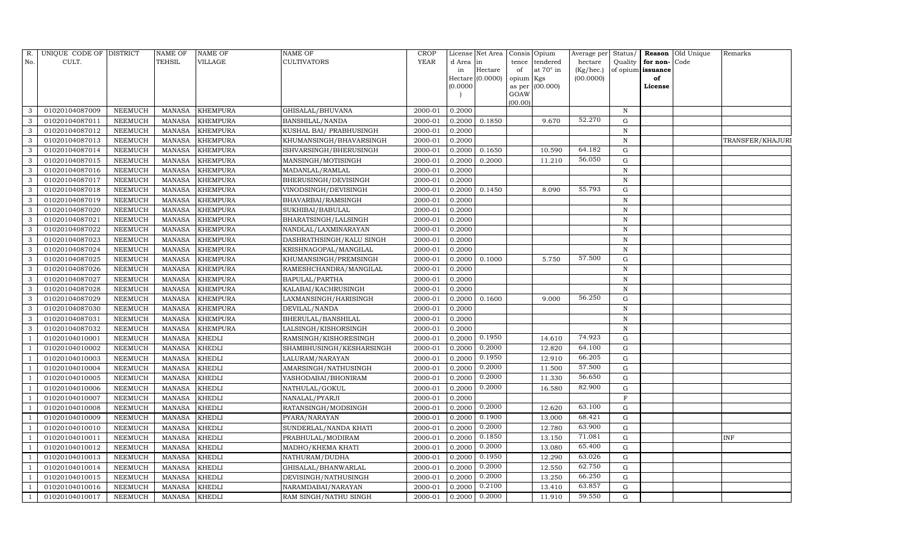| R.             | UNIQUE CODE OF DISTRICT |                | <b>NAME OF</b> | <b>NAME OF</b>  | <b>NAME OF</b>            | CROP    |           | License Net Area |                     | Consis Opium     | Average per | Status/      | Reason            | Old Unique | Remarks          |
|----------------|-------------------------|----------------|----------------|-----------------|---------------------------|---------|-----------|------------------|---------------------|------------------|-------------|--------------|-------------------|------------|------------------|
| No.            | CULT.                   |                | <b>TEHSIL</b>  | VILLAGE         | <b>CULTIVATORS</b>        | YEAR    | d Area in |                  | tence               | tendered         | hectare     | Quality      | for non-          | Code       |                  |
|                |                         |                |                |                 |                           |         | in        | Hectare          | of                  | at $70^\circ$ in | (Kg/hec.)   |              | of opium issuance |            |                  |
|                |                         |                |                |                 |                           |         | (0.0000)  | Hectare (0.0000) | opium Kgs<br>as per | (00.000)         | (00.0000)   |              | of<br>License     |            |                  |
|                |                         |                |                |                 |                           |         |           |                  | GOAW                |                  |             |              |                   |            |                  |
|                |                         |                |                |                 |                           |         |           |                  | (00.00)             |                  |             |              |                   |            |                  |
| 3              | 01020104087009          | NEEMUCH        | MANASA         | <b>KHEMPURA</b> | GHISALAL/BHUVANA          | 2000-01 | 0.2000    |                  |                     |                  |             | $\, {\rm N}$ |                   |            |                  |
| 3              | 01020104087011          | NEEMUCH        | MANASA         | <b>KHEMPURA</b> | BANSHILAL/NANDA           | 2000-01 | 0.2000    | 0.1850           |                     | 9.670            | 52.270      | G            |                   |            |                  |
| 3              | 01020104087012          | <b>NEEMUCH</b> | MANASA         | <b>KHEMPURA</b> | KUSHAL BAI/ PRABHUSINGH   | 2000-01 | 0.2000    |                  |                     |                  |             | N            |                   |            |                  |
| 3              | 01020104087013          | <b>NEEMUCH</b> | MANASA         | <b>KHEMPURA</b> | KHUMANSINGH/BHAVARSINGH   | 2000-01 | 0.2000    |                  |                     |                  |             | $\,$ N       |                   |            | TRANSFER/KHAJURI |
| 3              | 01020104087014          | NEEMUCH        | MANASA         | <b>KHEMPURA</b> | ISHVARSINGH/BHERUSINGH    | 2000-01 | 0.2000    | 0.1650           |                     | 10.590           | 64.182      | $\mathbf G$  |                   |            |                  |
| 3              | 01020104087015          | NEEMUCH        | <b>MANASA</b>  | <b>KHEMPURA</b> | MANSINGH/MOTISINGH        | 2000-01 | 0.2000    | 0.2000           |                     | 11.210           | 56.050      | ${\rm G}$    |                   |            |                  |
| 3              | 01020104087016          | <b>NEEMUCH</b> | <b>MANASA</b>  | <b>KHEMPURA</b> | MADANLAL/RAMLAL           | 2000-01 | 0.2000    |                  |                     |                  |             | N            |                   |            |                  |
| 3              | 01020104087017          | <b>NEEMUCH</b> | MANASA         | <b>KHEMPURA</b> | BHERUSINGH/DEVISINGH      | 2000-01 | 0.2000    |                  |                     |                  |             | N            |                   |            |                  |
| 3              | 01020104087018          | NEEMUCH        | <b>MANASA</b>  | <b>KHEMPURA</b> | VINODSINGH/DEVISINGH      | 2000-01 | 0.2000    | 0.1450           |                     | 8.090            | 55.793      | $\mathbf G$  |                   |            |                  |
| 3              | 01020104087019          | NEEMUCH        | MANASA         | <b>KHEMPURA</b> | BHAVARBAI/RAMSINGH        | 2000-01 | 0.2000    |                  |                     |                  |             | $\,$ N       |                   |            |                  |
| 3              | 01020104087020          | <b>NEEMUCH</b> | <b>MANASA</b>  | <b>KHEMPURA</b> | SUKHIBAI/BABULAL          | 2000-01 | 0.2000    |                  |                     |                  |             | N            |                   |            |                  |
| 3              | 01020104087021          | <b>NEEMUCH</b> | MANASA         | <b>KHEMPURA</b> | BHARATSINGH/LALSINGH      | 2000-01 | 0.2000    |                  |                     |                  |             | N            |                   |            |                  |
| 3              | 01020104087022          | NEEMUCH        | <b>MANASA</b>  | <b>KHEMPURA</b> | NANDLAL/LAXMINARAYAN      | 2000-01 | 0.2000    |                  |                     |                  |             | N            |                   |            |                  |
| 3              | 01020104087023          | <b>NEEMUCH</b> | MANASA         | <b>KHEMPURA</b> | DASHRATHSINGH/KALU SINGH  | 2000-01 | 0.2000    |                  |                     |                  |             | N            |                   |            |                  |
| 3              | 01020104087024          | NEEMUCH        | MANASA         | <b>KHEMPURA</b> | KRISHNAGOPAL/MANGILAL     | 2000-01 | 0.2000    |                  |                     |                  |             | N            |                   |            |                  |
| 3              | 01020104087025          | NEEMUCH        | MANASA         | <b>KHEMPURA</b> | KHUMANSINGH/PREMSINGH     | 2000-01 | 0.2000    | 0.1000           |                     | 5.750            | 57.500      | ${\rm G}$    |                   |            |                  |
| 3              | 01020104087026          | <b>NEEMUCH</b> | <b>MANASA</b>  | <b>KHEMPURA</b> | RAMESHCHANDRA/MANGILAL    | 2000-01 | 0.2000    |                  |                     |                  |             | $\mathbf N$  |                   |            |                  |
| 3              | 01020104087027          | NEEMUCH        | MANASA         | <b>KHEMPURA</b> | <b>BAPULAL/PARTHA</b>     | 2000-01 | 0.2000    |                  |                     |                  |             | N            |                   |            |                  |
| 3              | 01020104087028          | NEEMUCH        | MANASA         | <b>KHEMPURA</b> | KALABAI/KACHRUSINGH       | 2000-01 | 0.2000    |                  |                     |                  |             | N            |                   |            |                  |
| 3              | 01020104087029          | <b>NEEMUCH</b> | MANASA         | <b>KHEMPURA</b> | LAXMANSINGH/HARISINGH     | 2000-01 | 0.2000    | 0.1600           |                     | 9.000            | 56.250      | $\mathbf G$  |                   |            |                  |
| 3              | 01020104087030          | <b>NEEMUCH</b> | <b>MANASA</b>  | <b>KHEMPURA</b> | DEVILAL/NANDA             | 2000-01 | 0.2000    |                  |                     |                  |             | $\mathbf N$  |                   |            |                  |
| 3              | 01020104087031          | <b>NEEMUCH</b> | <b>MANASA</b>  | <b>KHEMPURA</b> | <b>BHERULAL/BANSHILAL</b> | 2000-01 | 0.2000    |                  |                     |                  |             | N            |                   |            |                  |
| 3              | 01020104087032          | <b>NEEMUCH</b> | MANASA         | <b>KHEMPURA</b> | LALSINGH/KISHORSINGH      | 2000-01 | 0.2000    |                  |                     |                  |             | N            |                   |            |                  |
|                | 01020104010001          | <b>NEEMUCH</b> | <b>MANASA</b>  | <b>KHEDLI</b>   | RAMSINGH/KISHORESINGH     | 2000-01 | 0.2000    | 0.1950           |                     | 14.610           | 74.923      | $\mathbf G$  |                   |            |                  |
|                | 01020104010002          | <b>NEEMUCH</b> | <b>MANASA</b>  | <b>KHEDLI</b>   | SHAMBHUSINGH/KESHARSINGH  | 2000-01 | 0.2000    | 0.2000           |                     | 12.820           | 64.100      | $\mathbf G$  |                   |            |                  |
|                | 01020104010003          | <b>NEEMUCH</b> | MANASA         | <b>KHEDLI</b>   | LALURAM/NARAYAN           | 2000-01 | 0.2000    | 0.1950           |                     | 12.910           | 66.205      | G            |                   |            |                  |
|                | 01020104010004          | <b>NEEMUCH</b> | <b>MANASA</b>  | <b>KHEDLI</b>   | AMARSINGH/NATHUSINGH      | 2000-01 | 0.2000    | 0.2000           |                     | 11.500           | 57.500      | ${\rm G}$    |                   |            |                  |
|                | 01020104010005          | <b>NEEMUCH</b> | <b>MANASA</b>  | <b>KHEDLI</b>   | YASHODABAI/BHONIRAM       | 2000-01 | 0.2000    | 0.2000           |                     | 11.330           | 56.650      | $\mathbf G$  |                   |            |                  |
|                | 01020104010006          | NEEMUCH        | MANASA         | <b>KHEDLI</b>   | NATHULAL/GOKUL            | 2000-01 | 0.2000    | 0.2000           |                     | 16.580           | 82.900      | ${\rm G}$    |                   |            |                  |
|                | 01020104010007          | <b>NEEMUCH</b> | <b>MANASA</b>  | <b>KHEDLI</b>   | NANALAL/PYARJI            | 2000-01 | 0.2000    |                  |                     |                  |             | $\mathbf F$  |                   |            |                  |
|                | 01020104010008          | <b>NEEMUCH</b> | MANASA         | <b>KHEDLI</b>   | RATANSINGH/MODSINGH       | 2000-01 | 0.2000    | 0.2000           |                     | 12.620           | 63.100      | $\mathbf G$  |                   |            |                  |
|                | 01020104010009          | NEEMUCH        | <b>MANASA</b>  | <b>KHEDLI</b>   | PYARA/NARAYAN             | 2000-01 | 0.2000    | 0.1900           |                     | 13.000           | 68.421      | $\mathbf G$  |                   |            |                  |
|                | 01020104010010          | <b>NEEMUCH</b> | <b>MANASA</b>  | <b>KHEDLI</b>   | SUNDERLAL/NANDA KHATI     | 2000-01 | 0.2000    | 0.2000           |                     | 12.780           | 63.900      | $\mathbf G$  |                   |            |                  |
|                | 01020104010011          | <b>NEEMUCH</b> | <b>MANASA</b>  | <b>KHEDLI</b>   | PRABHULAL/MODIRAM         | 2000-01 | 0.2000    | 0.1850           |                     | 13.150           | 71.081      | ${\rm G}$    |                   |            | <b>INF</b>       |
|                | 01020104010012          | NEEMUCH        | MANASA         | <b>KHEDLI</b>   | MADHO/KHEMA KHATI         | 2000-01 | 0.2000    | 0.2000           |                     | 13.080           | 65.400      | ${\rm G}$    |                   |            |                  |
|                | 01020104010013          | NEEMUCH        | <b>MANASA</b>  | <b>KHEDLI</b>   | NATHURAM/DUDHA            | 2000-01 | 0.2000    | 0.1950           |                     | 12.290           | 63.026      | $\mathbf G$  |                   |            |                  |
|                | 01020104010014          | NEEMUCH        | MANASA         | <b>KHEDLI</b>   | GHISALAL/BHANWARLAL       | 2000-01 | 0.2000    | 0.2000           |                     | 12.550           | 62.750      | G            |                   |            |                  |
|                | 01020104010015          | NEEMUCH        | <b>MANASA</b>  | KHEDLI          | DEVISINGH/NATHUSINGH      | 2000-01 | 0.2000    | 0.2000           |                     | 13.250           | 66.250      | G            |                   |            |                  |
|                | 01020104010016          | NEEMUCH        | MANASA         | <b>KHEDLI</b>   | NARAMDABAI/NARAYAN        | 2000-01 | 0.2000    | 0.2100           |                     | 13.410           | 63.857      | G            |                   |            |                  |
| $\overline{1}$ | 01020104010017          | <b>NEEMUCH</b> | MANASA KHEDLI  |                 | RAM SINGH/NATHU SINGH     | 2000-01 | 0.2000    | 0.2000           |                     | 11.910           | 59.550      | G            |                   |            |                  |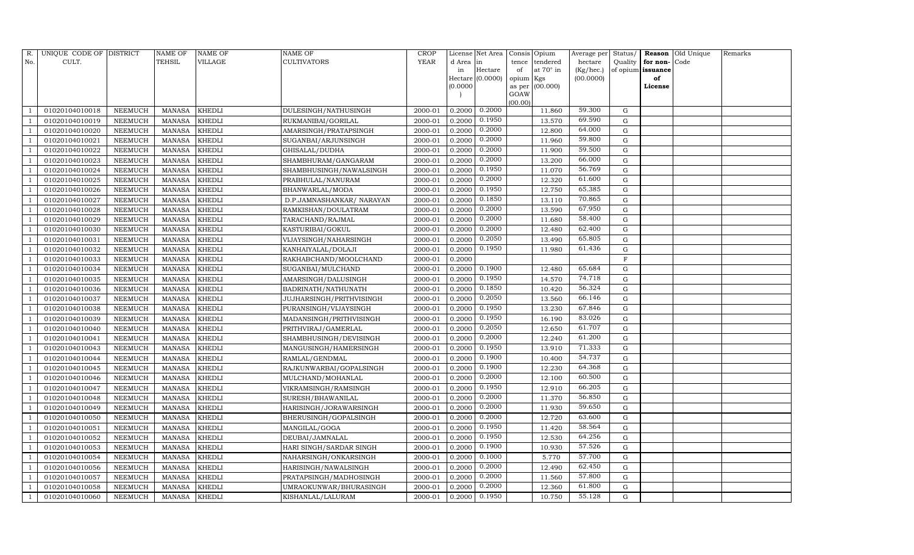| R.  | UNIQUE CODE OF DISTRICT |                | NAME OF       | NAME OF       | NAME OF                   | CROP        |           | License Net Area |                | Consis Opium | Average per | Status/   |          | Reason Old Unique | Remarks |
|-----|-------------------------|----------------|---------------|---------------|---------------------------|-------------|-----------|------------------|----------------|--------------|-------------|-----------|----------|-------------------|---------|
| No. | CULT.                   |                | TEHSIL        | VILLAGE       | CULTIVATORS               | <b>YEAR</b> | d Area in |                  | tence          | tendered     | hectare     | Quality   | for non- | Code              |         |
|     |                         |                |               |               |                           |             | in        | Hectare          | of             | at 70° in    | (Kg/hec.)   | of opium  | issuance |                   |         |
|     |                         |                |               |               |                           |             |           | Hectare (0.0000) | opium Kgs      |              | (00.0000)   |           | of       |                   |         |
|     |                         |                |               |               |                           |             | (0.0000)  |                  | as per<br>GOAW | (00.000)     |             |           | License  |                   |         |
|     |                         |                |               |               |                           |             |           |                  | (00.00)        |              |             |           |          |                   |         |
|     | 01020104010018          | NEEMUCH        | MANASA        | KHEDLI        | DULESINGH/NATHUSINGH      | 2000-01     | 0.2000    | 0.2000           |                | 11.860       | 59.300      | G         |          |                   |         |
|     | 01020104010019          | NEEMUCH        | <b>MANASA</b> | KHEDLI        | RUKMANIBAI/GORILAL        | 2000-01     | 0.2000    | 0.1950           |                | 13.570       | 69.590      | G         |          |                   |         |
|     | 01020104010020          | NEEMUCH        | <b>MANASA</b> | KHEDLI        | AMARSINGH/PRATAPSINGH     | 2000-01     | 0.2000    | 0.2000           |                | 12.800       | 64.000      | G         |          |                   |         |
|     | 01020104010021          | NEEMUCH        | MANASA        | KHEDLI        | SUGANBAI/ARJUNSINGH       | 2000-01     | 0.2000    | 0.2000           |                | 11.960       | 59.800      | G         |          |                   |         |
|     | 01020104010022          | NEEMUCH        | <b>MANASA</b> | KHEDLI        | GHISALAL/DUDHA            | 2000-01     | 0.2000    | 0.2000           |                | 11.900       | 59.500      | G         |          |                   |         |
|     | 01020104010023          | NEEMUCH        | <b>MANASA</b> | KHEDLI        | SHAMBHURAM/GANGARAM       | 2000-01     | 0.2000    | 0.2000           |                | 13.200       | 66.000      | G         |          |                   |         |
|     | 01020104010024          | NEEMUCH        | <b>MANASA</b> | KHEDLI        | SHAMBHUSINGH/NAWALSINGH   | 2000-01     | 0.2000    | 0.1950           |                | 11.070       | 56.769      | G         |          |                   |         |
|     | 01020104010025          | NEEMUCH        | <b>MANASA</b> | KHEDLI        | PRABHULAL/NANURAM         | 2000-01     | 0.2000    | 0.2000           |                | 12.320       | 61.600      | G         |          |                   |         |
|     | 01020104010026          | NEEMUCH        | <b>MANASA</b> | KHEDLI        | BHANWARLAL/MODA           | 2000-01     | 0.2000    | 0.1950           |                | 12.750       | 65.385      | G         |          |                   |         |
|     | 01020104010027          | NEEMUCH        | <b>MANASA</b> | KHEDLI        | D.P.JAMNASHANKAR/ NARAYAN | 2000-01     | 0.2000    | 0.1850           |                | 13.110       | 70.865      | G         |          |                   |         |
|     | 01020104010028          | NEEMUCH        | <b>MANASA</b> | <b>KHEDLI</b> | RAMKISHAN/DOULATRAM       | 2000-01     | 0.2000    | 0.2000           |                | 13.590       | 67.950      | G         |          |                   |         |
|     | 01020104010029          | NEEMUCH        | MANASA        | KHEDLI        | TARACHAND/RAJMAL          | 2000-01     | 0.2000    | 0.2000           |                | 11.680       | 58.400      | G         |          |                   |         |
|     | 01020104010030          | NEEMUCH        | <b>MANASA</b> | KHEDLI        | KASTURIBAI/GOKUL          | 2000-01     | 0.2000    | 0.2000           |                | 12.480       | 62.400      | G         |          |                   |         |
|     | 01020104010031          | NEEMUCH        | <b>MANASA</b> | KHEDLI        | VIJAYSINGH/NAHARSINGH     | 2000-01     | 0.2000    | 0.2050           |                | 13.490       | 65.805      | G         |          |                   |         |
|     | 01020104010032          | NEEMUCH        | <b>MANASA</b> | KHEDLI        | KANHAIYALAL/DOLAJI        | 2000-01     | 0.2000    | 0.1950           |                | 11.980       | 61.436      | G         |          |                   |         |
|     | 01020104010033          | NEEMUCH        | MANASA        | KHEDLI        | RAKHABCHAND/MOOLCHAND     | 2000-01     | 0.2000    |                  |                |              |             | F         |          |                   |         |
|     | 01020104010034          | NEEMUCH        | <b>MANASA</b> | KHEDLI        | SUGANBAI/MULCHAND         | 2000-01     | 0.2000    | 0.1900           |                | 12.480       | 65.684      | G         |          |                   |         |
|     | 01020104010035          | NEEMUCH        | <b>MANASA</b> | KHEDLI        | AMARSINGH/DALUSINGH       | 2000-01     | 0.2000    | 0.1950           |                | 14.570       | 74.718      | G         |          |                   |         |
|     | 01020104010036          | NEEMUCH        | <b>MANASA</b> | KHEDLI        | BADRINATH/NATHUNATH       | 2000-01     | 0.2000    | 0.1850           |                | 10.420       | 56.324      | G         |          |                   |         |
|     | 01020104010037          | NEEMUCH        | MANASA        | KHEDLI        | JUJHARSINGH/PRITHVISINGH  | 2000-01     | 0.2000    | 0.2050           |                | 13.560       | 66.146      | G         |          |                   |         |
|     | 01020104010038          | NEEMUCH        | MANASA        | KHEDLI        | PURANSINGH/VIJAYSINGH     | 2000-01     | 0.2000    | 0.1950           |                | 13.230       | 67.846      | ${\rm G}$ |          |                   |         |
|     | 01020104010039          | NEEMUCH        | <b>MANASA</b> | <b>KHEDLI</b> | MADANSINGH/PRITHVISINGH   | 2000-01     | 0.2000    | 0.1950           |                | 16.190       | 83.026      | ${\rm G}$ |          |                   |         |
|     | 01020104010040          | NEEMUCH        | <b>MANASA</b> | KHEDLI        | PRITHVIRAJ/GAMERLAL       | 2000-01     | 0.2000    | 0.2050           |                | 12.650       | 61.707      | ${\rm G}$ |          |                   |         |
|     | 01020104010041          | NEEMUCH        | <b>MANASA</b> | KHEDLI        | SHAMBHUSINGH/DEVISINGH    | 2000-01     | 0.2000    | 0.2000           |                | 12.240       | 61.200      | G         |          |                   |         |
|     | 01020104010043          | NEEMUCH        | <b>MANASA</b> | KHEDLI        | MANGUSINGH/HAMERSINGH     | 2000-01     | 0.2000    | 0.1950           |                | 13.910       | 71.333      | ${\rm G}$ |          |                   |         |
|     | 01020104010044          | NEEMUCH        | MANASA        | KHEDLI        | RAMLAL/GENDMAL            | 2000-01     | 0.2000    | 0.1900           |                | 10.400       | 54.737      | G         |          |                   |         |
|     | 01020104010045          | NEEMUCH        | <b>MANASA</b> | KHEDLI        | RAJKUNWARBAI/GOPALSINGH   | 2000-01     | 0.2000    | 0.1900           |                | 12.230       | 64.368      | G         |          |                   |         |
|     | 01020104010046          | NEEMUCH        | <b>MANASA</b> | KHEDLI        | MULCHAND/MOHANLAL         | 2000-01     | 0.2000    | 0.2000           |                | 12.100       | 60.500      | G         |          |                   |         |
|     | 01020104010047          | NEEMUCH        | <b>MANASA</b> | KHEDLI        | VIKRAMSINGH/RAMSINGH      | 2000-01     | 0.2000    | 0.1950           |                | 12.910       | 66.205      | G         |          |                   |         |
|     | 01020104010048          | NEEMUCH        | <b>MANASA</b> | KHEDLI        | SURESH/BHAWANILAL         | 2000-01     | 0.2000    | 0.2000           |                | 11.370       | 56.850      | G         |          |                   |         |
|     | 01020104010049          | NEEMUCH        | MANASA        | KHEDLI        | HARISINGH/JORAWARSINGH    | 2000-01     | 0.2000    | 0.2000           |                | 11.930       | 59.650      | G         |          |                   |         |
|     | 01020104010050          | NEEMUCH        | <b>MANASA</b> | KHEDLI        | BHERUSINGH/GOPALSINGH     | 2000-01     | 0.2000    | 0.2000           |                | 12.720       | 63.600      | G         |          |                   |         |
|     | 01020104010051          | NEEMUCH        | <b>MANASA</b> | KHEDLI        | MANGILAL/GOGA             | 2000-01     | 0.2000    | 0.1950           |                | 11.420       | 58.564      | ${\rm G}$ |          |                   |         |
|     | 01020104010052          | NEEMUCH        | <b>MANASA</b> | KHEDLI        | DEUBAI/JAMNALAL           | 2000-01     | 0.2000    | 0.1950           |                | 12.530       | 64.256      | G         |          |                   |         |
|     | 01020104010053          | NEEMUCH        | <b>MANASA</b> | KHEDLI        | HARI SINGH/SARDAR SINGH   | 2000-01     | 0.2000    | 0.1900           |                | 10.930       | 57.526      | ${\rm G}$ |          |                   |         |
|     | 01020104010054          | NEEMUCH        | <b>MANASA</b> | KHEDLI        | NAHARSINGH/ONKARSINGH     | 2000-01     | 0.2000    | 0.1000           |                | 5.770        | 57.700      | ${\rm G}$ |          |                   |         |
|     | 01020104010056          | NEEMUCH        | <b>MANASA</b> | KHEDLI        | HARISINGH/NAWALSINGH      | 2000-01     | 0.2000    | 0.2000           |                | 12.490       | 62.450      | G         |          |                   |         |
|     | 01020104010057          | NEEMUCH        | <b>MANASA</b> | KHEDLI        | PRATAPSINGH/MADHOSINGH    | 2000-01     | 0.2000    | 0.2000           |                | 11.560       | 57.800      | G         |          |                   |         |
|     | 01020104010058          | <b>NEEMUCH</b> | <b>MANASA</b> | KHEDLI        | UMRAOKUNWAR/BHURASINGH    | 2000-01     | 0.2000    | 0.2000           |                | 12.360       | 61.800      | G         |          |                   |         |
|     | 01020104010060          | NEEMUCH        | MANASA        | <b>KHEDLI</b> | KISHANLAL/LALURAM         | 2000-01     | 0.2000    | 0.1950           |                | 10.750       | 55.128      | G         |          |                   |         |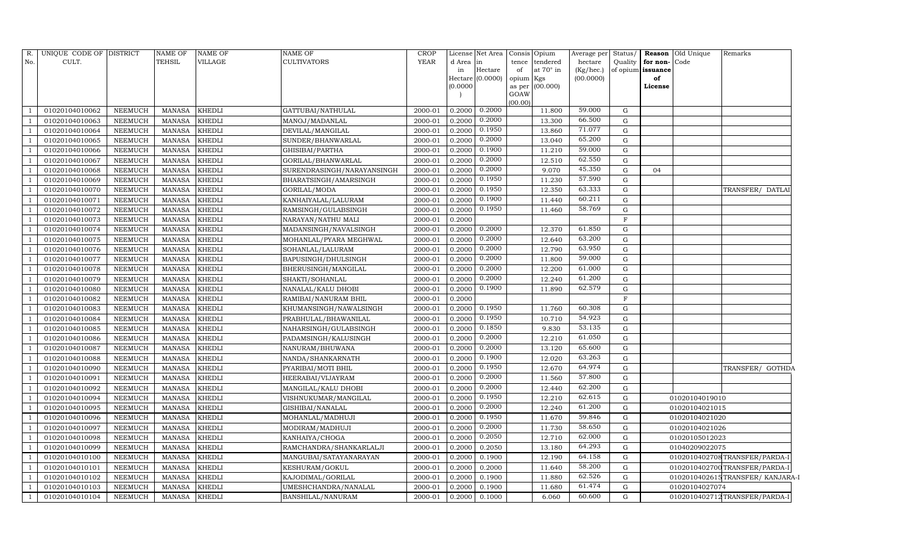| R.  | UNIQUE CODE OF DISTRICT |                | <b>NAME OF</b> | <b>NAME OF</b> | <b>NAME OF</b>             | <b>CROP</b> |          | License Net Area            | Consis          | Opium            | Average per Status/    |             |                         | <b>Reason</b> Old Unique | Remarks                         |
|-----|-------------------------|----------------|----------------|----------------|----------------------------|-------------|----------|-----------------------------|-----------------|------------------|------------------------|-------------|-------------------------|--------------------------|---------------------------------|
| No. | CULT.                   |                | TEHSIL         | VILLAGE        | <b>CULTIVATORS</b>         | <b>YEAR</b> | d Area   | in                          | tence           | tendered         | hectare                | Quality     | for non-Code            |                          |                                 |
|     |                         |                |                |                |                            |             | in       | Hectare<br>Hectare (0.0000) | of              | at $70^\circ$ in | (Kg/hec.)<br>(00.0000) |             | of opium issuance<br>of |                          |                                 |
|     |                         |                |                |                |                            |             | (0.0000) |                             | opium<br>as per | Kgs<br>(00.000)  |                        |             | License                 |                          |                                 |
|     |                         |                |                |                |                            |             |          |                             | GOAW            |                  |                        |             |                         |                          |                                 |
|     |                         |                |                |                |                            |             |          |                             | (00.00)         |                  |                        |             |                         |                          |                                 |
|     | 01020104010062          | NEEMUCH        | MANASA         | KHEDLI         | GATTUBAI/NATHULAL          | 2000-01     | 0.2000   | 0.2000                      |                 | 11.800           | 59.000                 | G           |                         |                          |                                 |
|     | 01020104010063          | <b>NEEMUCH</b> | <b>MANASA</b>  | <b>KHEDLI</b>  | MANOJ/MADANLAL             | 2000-01     | 0.2000   | 0.2000                      |                 | 13.300           | 66.500                 | G           |                         |                          |                                 |
|     | 01020104010064          | <b>NEEMUCH</b> | <b>MANASA</b>  | <b>KHEDLI</b>  | DEVILAL/MANGILAL           | 2000-01     | 0.2000   | 0.1950                      |                 | 13.860           | 71.077                 | G           |                         |                          |                                 |
|     | 01020104010065          | NEEMUCH        | MANASA         | <b>KHEDLI</b>  | SUNDER/BHANWARLAL          | 2000-01     | 0.2000   | 0.2000                      |                 | 13.040           | 65.200                 | ${\rm G}$   |                         |                          |                                 |
|     | 01020104010066          | NEEMUCH        | <b>MANASA</b>  | <b>KHEDLI</b>  | GHISIBAI/PARTHA            | 2000-01     | 0.2000   | 0.1900                      |                 | 11.210           | 59.000                 | $\mathbf G$ |                         |                          |                                 |
|     | 01020104010067          | NEEMUCH        | <b>MANASA</b>  | <b>KHEDLI</b>  | GORILAL/BHANWARLAL         | 2000-01     | 0.2000   | 0.2000                      |                 | 12.510           | 62.550                 | G           |                         |                          |                                 |
|     | 01020104010068          | <b>NEEMUCH</b> | <b>MANASA</b>  | <b>KHEDLI</b>  | SURENDRASINGH/NARAYANSINGH | 2000-01     | 0.2000   | 0.2000                      |                 | 9.070            | 45.350                 | G           | 04                      |                          |                                 |
|     | 01020104010069          | NEEMUCH        | <b>MANASA</b>  | <b>KHEDLI</b>  | BHARATSINGH/AMARSINGH      | 2000-01     | 0.2000   | 0.1950                      |                 | 11.230           | 57.590                 | ${\rm G}$   |                         |                          |                                 |
|     | 01020104010070          | NEEMUCH        | <b>MANASA</b>  | <b>KHEDLI</b>  | GORILAL/MODA               | 2000-01     | 0.2000   | 0.1950                      |                 | 12.350           | 63.333                 | $\mathbf G$ |                         |                          | TRANSFER/ DATLAI                |
|     | 01020104010071          | NEEMUCH        | MANASA         | <b>KHEDLI</b>  | KANHAIYALAL/LALURAM        | 2000-01     | 0.2000   | 0.1900                      |                 | 11.440           | 60.211                 | G           |                         |                          |                                 |
|     | 01020104010072          | NEEMUCH        | <b>MANASA</b>  | <b>KHEDLI</b>  | RAMSINGH/GULABSINGH        | 2000-01     | 0.2000   | 0.1950                      |                 | 11.460           | 58.769                 | G           |                         |                          |                                 |
|     | 01020104010073          | NEEMUCH        | MANASA         | <b>KHEDLI</b>  | NARAYAN/NATHU MALI         | 2000-01     | 0.2000   |                             |                 |                  |                        | $\mathbf F$ |                         |                          |                                 |
|     | 01020104010074          | <b>NEEMUCH</b> | <b>MANASA</b>  | <b>KHEDLI</b>  | MADANSINGH/NAVALSINGH      | 2000-01     | 0.2000   | 0.2000                      |                 | 12.370           | 61.850                 | G           |                         |                          |                                 |
|     | 01020104010075          | NEEMUCH        | <b>MANASA</b>  | <b>KHEDLI</b>  | MOHANLAL/PYARA MEGHWAL     | 2000-01     | 0.2000   | 0.2000                      |                 | 12.640           | 63.200                 | G           |                         |                          |                                 |
|     | 01020104010076          | NEEMUCH        | MANASA         | <b>KHEDLI</b>  | SOHANLAL/LALURAM           | 2000-01     | 0.2000   | 0.2000                      |                 | 12.790           | 63.950                 | G           |                         |                          |                                 |
|     | 01020104010077          | NEEMUCH        | <b>MANASA</b>  | <b>KHEDLI</b>  | BAPUSINGH/DHULSINGH        | 2000-01     | 0.2000   | 0.2000                      |                 | 11.800           | 59.000                 | ${\rm G}$   |                         |                          |                                 |
|     | 01020104010078          | NEEMUCH        | <b>MANASA</b>  | <b>KHEDLI</b>  | BHERUSINGH/MANGILAL        | 2000-01     | 0.2000   | 0.2000                      |                 | 12.200           | 61.000                 | G           |                         |                          |                                 |
|     | 01020104010079          | NEEMUCH        | <b>MANASA</b>  | <b>KHEDLI</b>  | SHAKTI/SOHANLAL            | 2000-01     | 0.2000   | 0.2000                      |                 | 12.240           | 61.200                 | G           |                         |                          |                                 |
|     | 01020104010080          | NEEMUCH        | <b>MANASA</b>  | <b>KHEDLI</b>  | NANALAL/KALU DHOBI         | 2000-01     | 0.2000   | 0.1900                      |                 | 11.890           | 62.579                 | G           |                         |                          |                                 |
|     | 01020104010082          | NEEMUCH        | MANASA         | <b>KHEDLI</b>  | RAMIBAI/NANURAM BHIL       | 2000-01     | 0.2000   |                             |                 |                  |                        | $\mathbf F$ |                         |                          |                                 |
|     | 01020104010083          | NEEMUCH        | MANASA         | <b>KHEDLI</b>  | KHUMANSINGH/NAWALSINGH     | 2000-01     | 0.2000   | 0.1950                      |                 | 11.760           | 60.308                 | G           |                         |                          |                                 |
|     | 01020104010084          | <b>NEEMUCH</b> | <b>MANASA</b>  | <b>KHEDLI</b>  | PRABHULAL/BHAWANILAL       | 2000-01     | 0.2000   | 0.1950                      |                 | 10.710           | 54.923                 | G           |                         |                          |                                 |
|     | 01020104010085          | NEEMUCH        | MANASA         | <b>KHEDLI</b>  | NAHARSINGH/GULABSINGH      | 2000-01     | 0.2000   | 0.1850                      |                 | 9.830            | 53.135                 | ${\rm G}$   |                         |                          |                                 |
|     | 01020104010086          | <b>NEEMUCH</b> | <b>MANASA</b>  | <b>KHEDLI</b>  | PADAMSINGH/KALUSINGH       | 2000-01     | 0.2000   | 0.2000                      |                 | 12.210           | 61.050                 | $\mathbf G$ |                         |                          |                                 |
|     | 01020104010087          | NEEMUCH        | <b>MANASA</b>  | <b>KHEDLI</b>  | NANURAM/BHUWANA            | 2000-01     | 0.2000   | 0.2000                      |                 | 13.120           | 65.600                 | ${\rm G}$   |                         |                          |                                 |
|     | 01020104010088          | NEEMUCH        | <b>MANASA</b>  | <b>KHEDLI</b>  | NANDA/SHANKARNATH          | 2000-01     | 0.2000   | 0.1900                      |                 | 12.020           | 63.263                 | ${\rm G}$   |                         |                          |                                 |
|     | 01020104010090          | NEEMUCH        | MANASA         | <b>KHEDLI</b>  | PYARIBAI/MOTI BHIL         | 2000-01     | 0.2000   | 0.1950                      |                 | 12.670           | 64.974                 | ${\rm G}$   |                         |                          | TRANSFER/ GOTHDA                |
|     | 01020104010091          | NEEMUCH        | <b>MANASA</b>  | <b>KHEDLI</b>  | HEERABAI/VIJAYRAM          | 2000-01     | 0.2000   | 0.2000                      |                 | 11.560           | 57.800                 | $\mathbf G$ |                         |                          |                                 |
|     | 01020104010092          | <b>NEEMUCH</b> | <b>MANASA</b>  | <b>KHEDLI</b>  | MANGILAL/KALU DHOBI        | 2000-01     | 0.2000   | 0.2000                      |                 | 12.440           | 62.200                 | ${\rm G}$   |                         |                          |                                 |
|     | 01020104010094          | NEEMUCH        | <b>MANASA</b>  | <b>KHEDLI</b>  | VISHNUKUMAR/MANGILAL       | 2000-01     | 0.2000   | 0.1950                      |                 | 12.210           | 62.615                 | G           |                         | 01020104019010           |                                 |
|     | 01020104010095          | NEEMUCH        | MANASA         | <b>KHEDLI</b>  | GISHIBAI/NANALAL           | 2000-01     | 0.2000   | 0.2000                      |                 | 12.240           | 61.200                 | ${\rm G}$   |                         | 01020104021015           |                                 |
|     | 01020104010096          | <b>NEEMUCH</b> | <b>MANASA</b>  | <b>KHEDLI</b>  | MOHANLAL/MADHUJI           | 2000-01     | 0.2000   | 0.1950                      |                 | 11.670           | 59.846                 | G           |                         | 01020104021020           |                                 |
|     | 01020104010097          | <b>NEEMUCH</b> | <b>MANASA</b>  | <b>KHEDLI</b>  | MODIRAM/MADHUJI            | 2000-01     | 0.2000   | 0.2000                      |                 | 11.730           | 58.650                 | G           |                         | 01020104021026           |                                 |
|     | 01020104010098          | <b>NEEMUCH</b> | <b>MANASA</b>  | <b>KHEDLI</b>  | KANHAIYA/CHOGA             | 2000-01     | 0.2000   | 0.2050                      |                 | 12.710           | 62.000                 | ${\rm G}$   |                         | 01020105012023           |                                 |
|     | 01020104010099          | NEEMUCH        | <b>MANASA</b>  | <b>KHEDLI</b>  | RAMCHANDRA/SHANKARLALJI    | 2000-01     | 0.2000   | 0.2050                      |                 | 13.180           | 64.293                 | ${\rm G}$   |                         | 01040209022075           |                                 |
|     | 01020104010100          | NEEMUCH        | MANASA         | <b>KHEDLI</b>  | MANGUBAI/SATAYANARAYAN     | 2000-01     | 0.2000   | 0.1900                      |                 | 12.190           | 64.158                 | ${\rm G}$   |                         |                          | 0102010402708TRANSFER/PARDA-I   |
|     | 01020104010101          | <b>NEEMUCH</b> | <b>MANASA</b>  | <b>KHEDLI</b>  | KESHURAM/GOKUL             | 2000-01     | 0.2000   | 0.2000                      |                 | 11.640           | 58.200                 | ${\rm G}$   |                         |                          | 0102010402700 TRANSFER/PARDA-I  |
|     | 01020104010102          | <b>NEEMUCH</b> | <b>MANASA</b>  | <b>KHEDLI</b>  | KAJODIMAL/GORILAL          | 2000-01     | 0.2000   | 0.1900                      |                 | 11.880           | 62.526                 | ${\rm G}$   |                         |                          | 0102010402615TRANSFER/KANJARA-I |
|     | 01020104010103          | <b>NEEMUCH</b> | <b>MANASA</b>  | <b>KHEDLI</b>  | UMESHCHANDRA/NANALAL       | 2000-01     | 0.2000   | 0.1900                      |                 | 11.680           | 61.474                 | ${\rm G}$   |                         | 01020104027074           |                                 |
|     | 01020104010104          | <b>NEEMUCH</b> | MANASA         | <b>KHEDLI</b>  | BANSHILAL/NANURAM          | 2000-01     | 0.2000   | 0.1000                      |                 | 6.060            | 60.600                 | G           |                         |                          | 0102010402712 TRANSFER/PARDA-I  |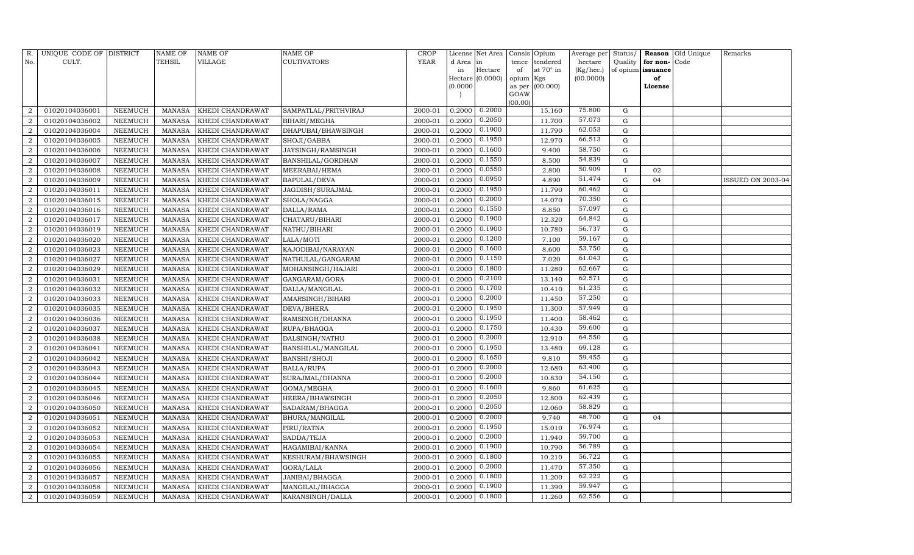| R.             | UNIQUE CODE OF DISTRICT |                | NAME OF       | <b>NAME OF</b>          | <b>NAME OF</b>       | CROP    |           | License Net Area |                | Consis Opium     | Average per | Status/      |                   | Reason Old Unique | Remarks           |
|----------------|-------------------------|----------------|---------------|-------------------------|----------------------|---------|-----------|------------------|----------------|------------------|-------------|--------------|-------------------|-------------------|-------------------|
| No.            | CULT.                   |                | TEHSIL        | VILLAGE                 | <b>CULTIVATORS</b>   | YEAR    | d Area in |                  | tence          | tendered         | hectare     | Quality      | for non-          | Code              |                   |
|                |                         |                |               |                         |                      |         | in        | Hectare          | of             | at $70^\circ$ in | (Kg/hec.)   |              | of opium issuance |                   |                   |
|                |                         |                |               |                         |                      |         |           | Hectare (0.0000) | opium Kgs      |                  | (00.0000)   |              | of                |                   |                   |
|                |                         |                |               |                         |                      |         | (0.0000)  |                  | as per<br>GOAW | (00.000)         |             |              | License           |                   |                   |
|                |                         |                |               |                         |                      |         |           |                  | (00.00)        |                  |             |              |                   |                   |                   |
| $\overline{2}$ | 01020104036001          | NEEMUCH        | MANASA        | KHEDI CHANDRAWAT        | SAMPATLAL/PRITHVIRAJ | 2000-01 | 0.2000    | 0.2000           |                | 15.160           | 75.800      | G            |                   |                   |                   |
| $\overline{2}$ | 01020104036002          | NEEMUCH        | MANASA        | KHEDI CHANDRAWAT        | <b>BIHARI/MEGHA</b>  | 2000-01 | 0.2000    | 0.2050           |                | 11.700           | 57.073      | G            |                   |                   |                   |
| $\overline{2}$ | 01020104036004          | <b>NEEMUCH</b> | MANASA        | KHEDI CHANDRAWAT        | DHAPUBAI/BHAWSINGH   | 2000-01 | 0.2000    | 0.1900           |                | 11.790           | 62.053      | G            |                   |                   |                   |
| $\overline{2}$ | 01020104036005          | NEEMUCH        | MANASA        | KHEDI CHANDRAWAT        | SHOJI/GABBA          | 2000-01 | 0.2000    | 0.1950           |                | 12.970           | 66.513      | $\mathbf G$  |                   |                   |                   |
| $\overline{2}$ | 01020104036006          | NEEMUCH        | MANASA        | <b>KHEDI CHANDRAWAT</b> | JAYSINGH/RAMSINGH    | 2000-01 | 0.2000    | 0.1600           |                | 9.400            | 58.750      | $\mathbf G$  |                   |                   |                   |
| $\overline{2}$ | 01020104036007          | <b>NEEMUCH</b> | <b>MANASA</b> | KHEDI CHANDRAWAT        | BANSHILAL/GORDHAN    | 2000-01 | 0.2000    | 0.1550           |                | 8.500            | 54.839      | G            |                   |                   |                   |
| $\overline{2}$ | 01020104036008          | NEEMUCH        | MANASA        | KHEDI CHANDRAWAT        | MEERABAI/HEMA        | 2000-01 | 0.2000    | 0.0550           |                | 2.800            | 50.909      | $\mathbf{I}$ | 02                |                   |                   |
| $\overline{2}$ | 01020104036009          | NEEMUCH        | MANASA        | <b>KHEDI CHANDRAWAT</b> | <b>BAPULAL/DEVA</b>  | 2000-01 | 0.2000    | 0.0950           |                | 4.890            | 51.474      | ${\rm G}$    | 04                |                   | ISSUED ON 2003-04 |
| $\overline{2}$ | 01020104036011          | NEEMUCH        | <b>MANASA</b> | KHEDI CHANDRAWAT        | JAGDISH/SURAJMAL     | 2000-01 | 0.2000    | 0.1950           |                | 11.790           | 60.462      | G            |                   |                   |                   |
| $\overline{2}$ | 01020104036015          | NEEMUCH        | MANASA        | KHEDI CHANDRAWAT        | SHOLA/NAGGA          | 2000-01 | 0.2000    | 0.2000           |                | 14.070           | 70.350      | G            |                   |                   |                   |
| $\overline{2}$ | 01020104036016          | NEEMUCH        | MANASA        | KHEDI CHANDRAWAT        | DALLA/RAMA           | 2000-01 | 0.2000    | 0.1550           |                | 8.850            | 57.097      | G            |                   |                   |                   |
| 2              | 01020104036017          | NEEMUCH        | MANASA        | KHEDI CHANDRAWAT        | CHATARU/BIHARI       | 2000-01 | 0.2000    | 0.1900           |                | 12.320           | 64.842      | G            |                   |                   |                   |
| $\overline{2}$ | 01020104036019          | NEEMUCH        | MANASA        | KHEDI CHANDRAWAT        | NATHU/BIHARI         | 2000-01 | 0.2000    | 0.1900           |                | 10.780           | 56.737      | G            |                   |                   |                   |
| 2              | 01020104036020          | NEEMUCH        | MANASA        | <b>KHEDI CHANDRAWAT</b> | LALA/MOTI            | 2000-01 | 0.2000    | 0.1200           |                | 7.100            | 59.167      | G            |                   |                   |                   |
| $\overline{a}$ | 01020104036023          | <b>NEEMUCH</b> | MANASA        | <b>KHEDI CHANDRAWAT</b> | KAJODIBAI/NARAYAN    | 2000-01 | 0.2000    | 0.1600           |                | 8.600            | 53.750      | $\mathbf G$  |                   |                   |                   |
| $\overline{2}$ | 01020104036027          | <b>NEEMUCH</b> | <b>MANASA</b> | <b>KHEDI CHANDRAWAT</b> | NATHULAL/GANGARAM    | 2000-01 | 0.2000    | 0.1150           |                | 7.020            | 61.043      | $\mathbf G$  |                   |                   |                   |
| $\overline{2}$ | 01020104036029          | <b>NEEMUCH</b> | MANASA        | KHEDI CHANDRAWAT        | MOHANSINGH/HAJARI    | 2000-01 | 0.2000    | 0.1800           |                | 11.280           | 62.667      | $\mathbf G$  |                   |                   |                   |
| $\overline{2}$ | 01020104036031          | NEEMUCH        | MANASA        | <b>KHEDI CHANDRAWAT</b> | GANGARAM/GORA        | 2000-01 | 0.2000    | 0.2100           |                | 13.140           | 62.571      | G            |                   |                   |                   |
| $\overline{2}$ | 01020104036032          | <b>NEEMUCH</b> | MANASA        | <b>KHEDI CHANDRAWAT</b> | DALLA/MANGILAL       | 2000-01 | 0.2000    | 0.1700           |                | 10.410           | 61.235      | $\mathbf G$  |                   |                   |                   |
| $\overline{2}$ | 01020104036033          | <b>NEEMUCH</b> | <b>MANASA</b> | KHEDI CHANDRAWAT        | AMARSINGH/BIHARI     | 2000-01 | 0.2000    | 0.2000           |                | 11.450           | 57.250      | $\mathbf G$  |                   |                   |                   |
| $\overline{2}$ | 01020104036035          | <b>NEEMUCH</b> | <b>MANASA</b> | KHEDI CHANDRAWAT        | DEVA/BHERA           | 2000-01 | 0.2000    | 0.1950           |                | 11.300           | 57.949      | G            |                   |                   |                   |
| $\overline{2}$ | 01020104036036          | NEEMUCH        | MANASA        | KHEDI CHANDRAWAT        | RAMSINGH/DHANNA      | 2000-01 | 0.2000    | 0.1950           |                | 11.400           | 58.462      | ${\rm G}$    |                   |                   |                   |
| $\overline{2}$ | 01020104036037          | <b>NEEMUCH</b> | <b>MANASA</b> | KHEDI CHANDRAWAT        | RUPA/BHAGGA          | 2000-01 | 0.2000    | 0.1750           |                | 10.430           | 59.600      | $\mathbf G$  |                   |                   |                   |
| $\overline{a}$ | 01020104036038          | NEEMUCH        | <b>MANASA</b> | KHEDI CHANDRAWAT        | DALSINGH/NATHU       | 2000-01 | 0.2000    | 0.2000           |                | 12.910           | 64.550      | G            |                   |                   |                   |
| $\overline{2}$ | 01020104036041          | <b>NEEMUCH</b> | <b>MANASA</b> | KHEDI CHANDRAWAT        | BANSHILAL/MANGILAL   | 2000-01 | 0.2000    | 0.1950           |                | 13.480           | 69.128      | ${\rm G}$    |                   |                   |                   |
| $\overline{2}$ | 01020104036042          | NEEMUCH        | MANASA        | KHEDI CHANDRAWAT        | <b>BANSHI/SHOJI</b>  | 2000-01 | 0.2000    | 0.1650           |                | 9.810            | 59.455      | G            |                   |                   |                   |
| $\overline{2}$ | 01020104036043          | NEEMUCH        | MANASA        | <b>KHEDI CHANDRAWAT</b> | <b>BALLA/RUPA</b>    | 2000-01 | 0.2000    | 0.2000           |                | 12.680           | 63.400      | $\mathbf G$  |                   |                   |                   |
| $\overline{2}$ | 01020104036044          | <b>NEEMUCH</b> | <b>MANASA</b> | KHEDI CHANDRAWAT        | SURAJMAL/DHANNA      | 2000-01 | 0.2000    | 0.2000           |                | 10.830           | 54.150      | ${\rm G}$    |                   |                   |                   |
| $\overline{2}$ | 01020104036045          | NEEMUCH        | <b>MANASA</b> | KHEDI CHANDRAWAT        | GOMA/MEGHA           | 2000-01 | 0.2000    | 0.1600           |                | 9.860            | 61.625      | G            |                   |                   |                   |
| 2              | 01020104036046          | NEEMUCH        | MANASA        | KHEDI CHANDRAWAT        | HEERA/BHAWSINGH      | 2000-01 | 0.2000    | 0.2050           |                | 12.800           | 62.439      | G            |                   |                   |                   |
| $\overline{2}$ | 01020104036050          | <b>NEEMUCH</b> | <b>MANASA</b> | KHEDI CHANDRAWAT        | SADARAM/BHAGGA       | 2000-01 | 0.2000    | 0.2050           |                | 12.060           | 58.829      | G            |                   |                   |                   |
| $\overline{2}$ | 01020104036051          | NEEMUCH        | MANASA        | KHEDI CHANDRAWAT        | BHURA/MANGILAL       | 2000-01 | 0.2000    | 0.2000           |                | 9.740            | 48.700      | G            | 04                |                   |                   |
| $\overline{2}$ | 01020104036052          | <b>NEEMUCH</b> | <b>MANASA</b> | KHEDI CHANDRAWAT        | PIRU/RATNA           | 2000-01 | 0.2000    | 0.1950           |                | 15.010           | 76.974      | ${\rm G}$    |                   |                   |                   |
| $\overline{2}$ | 01020104036053          | <b>NEEMUCH</b> | MANASA        | KHEDI CHANDRAWAT        | SADDA/TEJA           | 2000-01 | 0.2000    | 0.2000           |                | 11.940           | 59.700      | $\mathbf G$  |                   |                   |                   |
| $\overline{2}$ | 01020104036054          | <b>NEEMUCH</b> | MANASA        | KHEDI CHANDRAWAT        | HAGAMIBAI/KANNA      | 2000-01 | 0.2000    | 0.1900           |                | 10.790           | 56.789      | G            |                   |                   |                   |
| $\overline{2}$ | 01020104036055          | <b>NEEMUCH</b> | <b>MANASA</b> | KHEDI CHANDRAWAT        | KESHURAM/BHAWSINGH   | 2000-01 | 0.2000    | 0.1800           |                | 10.210           | 56.722      | ${\rm G}$    |                   |                   |                   |
| $\overline{2}$ | 01020104036056          | NEEMUCH        | MANASA        | KHEDI CHANDRAWAT        | GORA/LALA            | 2000-01 | 0.2000    | 0.2000           |                | 11.470           | 57.350      | $\mathbf G$  |                   |                   |                   |
| $\overline{a}$ | 01020104036057          | NEEMUCH        | <b>MANASA</b> | <b>KHEDI CHANDRAWAT</b> | JANIBAI/BHAGGA       | 2000-01 | 0.2000    | 0.1800           |                | 11.200           | 62.222      | G            |                   |                   |                   |
| $\overline{2}$ | 01020104036058          | <b>NEEMUCH</b> | MANASA        | KHEDI CHANDRAWAT        | MANGILAL/BHAGGA      | 2000-01 | 0.2000    | 0.1900           |                | 11.390           | 59.947      | $\mathbf G$  |                   |                   |                   |
| 2              | 01020104036059          | NEEMUCH        | MANASA        | KHEDI CHANDRAWAT        | KARANSINGH/DALLA     | 2000-01 | 0.2000    | 0.1800           |                | 11.260           | 62.556      | G            |                   |                   |                   |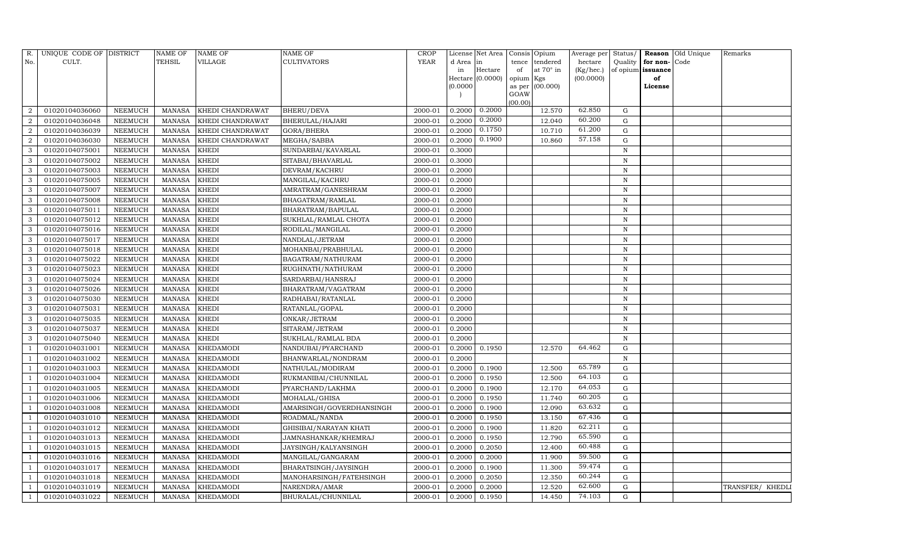| R.             | UNIQUE CODE OF DISTRICT |                | <b>NAME OF</b> | <b>NAME OF</b>   | <b>NAME OF</b>           | <b>CROP</b> |          | License Net Area |           | Consis Opium    | Average per  | Status/      |                   | <b>Reason</b> Old Unique | Remarks          |
|----------------|-------------------------|----------------|----------------|------------------|--------------------------|-------------|----------|------------------|-----------|-----------------|--------------|--------------|-------------------|--------------------------|------------------|
| No.            | CULT.                   |                | TEHSIL         | VILLAGE          | <b>CULTIVATORS</b>       | <b>YEAR</b> | d Area   | in               | tence     | tendered        | hectare      | Quality      | for non-Code      |                          |                  |
|                |                         |                |                |                  |                          |             | in       | Hectare          | of        | at 70° in       | $(Kg/$ hec.) |              | of opium issuance |                          |                  |
|                |                         |                |                |                  |                          |             |          | Hectare (0.0000) | opium Kgs |                 | (00.0000)    |              | of                |                          |                  |
|                |                         |                |                |                  |                          |             | (0.0000) |                  | GOAW      | as per (00.000) |              |              | License           |                          |                  |
|                |                         |                |                |                  |                          |             |          |                  | (00.00)   |                 |              |              |                   |                          |                  |
|                | 01020104036060          | NEEMUCH        | MANASA         | KHEDI CHANDRAWAT | <b>BHERU/DEVA</b>        | 2000-01     | 0.2000   | 0.2000           |           | 12.570          | 62.850       | G            |                   |                          |                  |
| $\mathcal{D}$  | 01020104036048          | NEEMUCH        | MANASA         | KHEDI CHANDRAWAT | BHERULAL/HAJARI          | 2000-01     | 0.2000   | 0.2000           |           | 12.040          | 60.200       | G            |                   |                          |                  |
| $\overline{2}$ | 01020104036039          | <b>NEEMUCH</b> | MANASA         | KHEDI CHANDRAWAT | GORA/BHERA               | 2000-01     | 0.2000   | 0.1750           |           | 10.710          | 61.200       | G            |                   |                          |                  |
| $\mathcal{D}$  | 01020104036030          | NEEMUCH        | <b>MANASA</b>  | KHEDI CHANDRAWAT | MEGHA/SABBA              | 2000-01     | 0.2000   | 0.1900           |           | 10.860          | 57.158       | ${\rm G}$    |                   |                          |                  |
| 3              | 01020104075001          | <b>NEEMUCH</b> | <b>MANASA</b>  | <b>KHEDI</b>     | SUNDARBAI/KAVARLAL       | 2000-01     | 0.3000   |                  |           |                 |              | $\, {\rm N}$ |                   |                          |                  |
|                | 01020104075002          | NEEMUCH        | <b>MANASA</b>  | KHEDI            | SITABAI/BHAVARLAL        | 2000-01     | 0.3000   |                  |           |                 |              | $\mathbf N$  |                   |                          |                  |
|                | 01020104075003          | <b>NEEMUCH</b> | <b>MANASA</b>  | <b>KHEDI</b>     | DEVRAM/KACHRU            | 2000-01     | 0.2000   |                  |           |                 |              | $\mathbf N$  |                   |                          |                  |
| 3              | 01020104075005          | <b>NEEMUCH</b> | MANASA         | <b>KHEDI</b>     | MANGILAL/KACHRU          | 2000-01     | 0.2000   |                  |           |                 |              | ${\bf N}$    |                   |                          |                  |
| 3              | 01020104075007          | <b>NEEMUCH</b> | <b>MANASA</b>  | <b>KHEDI</b>     | AMRATRAM/GANESHRAM       | 2000-01     | 0.2000   |                  |           |                 |              | $\mathbf N$  |                   |                          |                  |
|                | 01020104075008          | NEEMUCH        | MANASA         | <b>KHEDI</b>     | BHAGATRAM/RAMLAL         | 2000-01     | 0.2000   |                  |           |                 |              | $\mathbf N$  |                   |                          |                  |
| 3              | 01020104075011          | <b>NEEMUCH</b> | <b>MANASA</b>  | <b>KHEDI</b>     | BHARATRAM/BAPULAL        | 2000-01     | 0.2000   |                  |           |                 |              | $\, {\rm N}$ |                   |                          |                  |
| 3              | 01020104075012          | <b>NEEMUCH</b> | MANASA         | <b>KHEDI</b>     | SUKHLAL/RAMLAL CHOTA     | 2000-01     | 0.2000   |                  |           |                 |              | ${\bf N}$    |                   |                          |                  |
| 3              | 01020104075016          | <b>NEEMUCH</b> | <b>MANASA</b>  | <b>KHEDI</b>     | RODILAL/MANGILAL         | 2000-01     | 0.2000   |                  |           |                 |              | $\mathbf N$  |                   |                          |                  |
| 3              | 01020104075017          | <b>NEEMUCH</b> | <b>MANASA</b>  | <b>KHEDI</b>     | NANDLAL/JETRAM           | 2000-01     | 0.2000   |                  |           |                 |              | $\, {\rm N}$ |                   |                          |                  |
| 3              | 01020104075018          | <b>NEEMUCH</b> | MANASA         | <b>KHEDI</b>     | MOHANBAI/PRABHULAL       | 2000-01     | 0.2000   |                  |           |                 |              | $\mathbf N$  |                   |                          |                  |
| 3              | 01020104075022          | <b>NEEMUCH</b> | MANASA         | <b>KHEDI</b>     | BAGATRAM/NATHURAM        | 2000-01     | 0.2000   |                  |           |                 |              | ${\bf N}$    |                   |                          |                  |
| 3              | 01020104075023          | <b>NEEMUCH</b> | <b>MANASA</b>  | <b>KHEDI</b>     | RUGHNATH/NATHURAM        | 2000-01     | 0.2000   |                  |           |                 |              | $\, {\rm N}$ |                   |                          |                  |
| 3              | 01020104075024          | NEEMUCH        | MANASA         | <b>KHEDI</b>     | SARDARBAI/HANSRAJ        | 2000-01     | 0.2000   |                  |           |                 |              | $\, {\rm N}$ |                   |                          |                  |
| 3              | 01020104075026          | <b>NEEMUCH</b> | MANASA         | <b>KHEDI</b>     | BHARATRAM/VAGATRAM       | 2000-01     | 0.2000   |                  |           |                 |              | $\, {\rm N}$ |                   |                          |                  |
| 3              | 01020104075030          | <b>NEEMUCH</b> | <b>MANASA</b>  | <b>KHEDI</b>     | RADHABAI/RATANLAL        | 2000-01     | 0.2000   |                  |           |                 |              | $\mathbf N$  |                   |                          |                  |
| 3              | 01020104075031          | <b>NEEMUCH</b> | MANASA         | <b>KHEDI</b>     | RATANLAL/GOPAL           | 2000-01     | 0.2000   |                  |           |                 |              | $\mathbf N$  |                   |                          |                  |
| 3              | 01020104075035          | <b>NEEMUCH</b> | <b>MANASA</b>  | <b>KHEDI</b>     | ONKAR/JETRAM             | 2000-01     | 0.2000   |                  |           |                 |              | $\, {\rm N}$ |                   |                          |                  |
| 3              | 01020104075037          | <b>NEEMUCH</b> | MANASA         | <b>KHEDI</b>     | SITARAM/JETRAM           | 2000-01     | 0.2000   |                  |           |                 |              | $\mathbf N$  |                   |                          |                  |
| 3              | 01020104075040          | <b>NEEMUCH</b> | MANASA         | <b>KHEDI</b>     | SUKHLAL/RAMLAL BDA       | 2000-01     | 0.2000   |                  |           |                 |              | $\, {\rm N}$ |                   |                          |                  |
|                | 01020104031001          | <b>NEEMUCH</b> | <b>MANASA</b>  | <b>KHEDAMODI</b> | NANDUBAI/PYARCHAND       | 2000-01     | 0.2000   | 0.1950           |           | 12.570          | 64.462       | $\mathbf G$  |                   |                          |                  |
|                | 01020104031002          | NEEMUCH        | <b>MANASA</b>  | <b>KHEDAMODI</b> | BHANWARLAL/NONDRAM       | 2000-01     | 0.2000   |                  |           |                 |              | $\, {\rm N}$ |                   |                          |                  |
|                | 01020104031003          | <b>NEEMUCH</b> | <b>MANASA</b>  | KHEDAMODI        | NATHULAL/MODIRAM         | 2000-01     | 0.2000   | 0.1900           |           | 12.500          | 65.789       | $\mathbf G$  |                   |                          |                  |
|                | 01020104031004          | <b>NEEMUCH</b> | MANASA         | KHEDAMODI        | RUKMANIBAI/CHUNNILAL     | 2000-01     | 0.2000   | 0.1950           |           | 12.500          | 64.103       | $\mathbf G$  |                   |                          |                  |
|                | 01020104031005          | NEEMUCH        | MANASA         | <b>KHEDAMODI</b> | PYARCHAND/LAKHMA         | 2000-01     | 0.2000   | 0.1900           |           | 12.170          | 64.053       | ${\rm G}$    |                   |                          |                  |
|                | 01020104031006          | <b>NEEMUCH</b> | <b>MANASA</b>  | <b>KHEDAMODI</b> | MOHALAL/GHISA            | 2000-01     | 0.2000   | 0.1950           |           | 11.740          | 60.205       | ${\rm G}$    |                   |                          |                  |
|                | 01020104031008          | <b>NEEMUCH</b> | MANASA         | <b>KHEDAMODI</b> | AMARSINGH/GOVERDHANSINGH | 2000-01     | 0.2000   | 0.1900           |           | 12.090          | 63.632       | ${\rm G}$    |                   |                          |                  |
|                | 01020104031010          | <b>NEEMUCH</b> | <b>MANASA</b>  | <b>KHEDAMODI</b> | ROADMAL/NANDA            | 2000-01     | 0.2000   | 0.1950           |           | 13.150          | 67.436       | $\mathbf G$  |                   |                          |                  |
|                | 01020104031012          | <b>NEEMUCH</b> | MANASA         | <b>KHEDAMODI</b> | GHISIBAI/NARAYAN KHATI   | 2000-01     | 0.2000   | 0.1900           |           | 11.820          | 62.211       | ${\rm G}$    |                   |                          |                  |
|                | 01020104031013          | <b>NEEMUCH</b> | <b>MANASA</b>  | <b>KHEDAMODI</b> | JAMNASHANKAR/KHEMRAJ     | 2000-01     | 0.2000   | 0.1950           |           | 12.790          | 65.590       | $\mathbf G$  |                   |                          |                  |
|                | 01020104031015          | <b>NEEMUCH</b> | MANASA         | <b>KHEDAMODI</b> | JAYSINGH/KALYANSINGH     | 2000-01     | 0.2000   | 0.2050           |           | 12.400          | 60.488       | ${\rm G}$    |                   |                          |                  |
|                | 01020104031016          | <b>NEEMUCH</b> | <b>MANASA</b>  | KHEDAMODI        | MANGILAL/GANGARAM        | 2000-01     | 0.2000   | 0.2000           |           | 11.900          | 59.500       | G            |                   |                          |                  |
|                | 01020104031017          | <b>NEEMUCH</b> | MANASA         | <b>KHEDAMODI</b> | BHARATSINGH/JAYSINGH     | 2000-01     | 0.2000   | 0.1900           |           | 11.300          | 59.474       | G            |                   |                          |                  |
|                | 01020104031018          | NEEMUCH        | <b>MANASA</b>  | KHEDAMODI        | MANOHARSINGH/FATEHSINGH  | 2000-01     | 0.2000   | 0.2050           |           | 12.350          | 60.244       | G            |                   |                          |                  |
|                | 01020104031019          | NEEMUCH        | MANASA         | <b>KHEDAMODI</b> | NARENDRA/AMAR            | 2000-01     | 0.2000   | 0.2000           |           | 12.520          | 62.600       | G            |                   |                          | TRANSFER/ KHEDLI |
|                | 01020104031022          | NEEMUCH        |                | MANASA KHEDAMODI | BHURALAL/CHUNNILAL       | 2000-01     | 0.2000   | 0.1950           |           | 14.450          | 74.103       | G            |                   |                          |                  |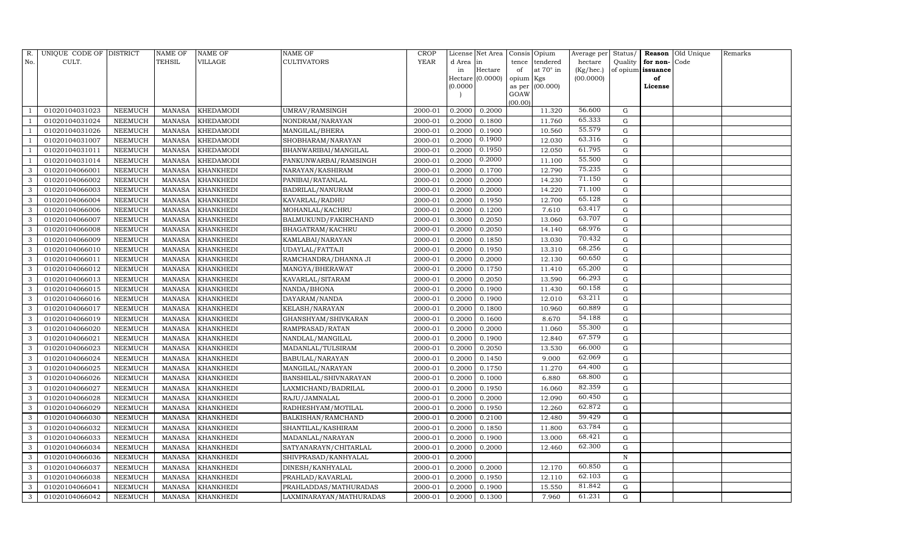| R.  | UNIQUE CODE OF DISTRICT |                | <b>NAME OF</b> | <b>NAME OF</b>   | <b>NAME OF</b>          | CROP    |           | License Net Area | Consis Opium   |                  | Average per | Status/     | Reason            | Old Unique | Remarks |
|-----|-------------------------|----------------|----------------|------------------|-------------------------|---------|-----------|------------------|----------------|------------------|-------------|-------------|-------------------|------------|---------|
| No. | CULT.                   |                | <b>TEHSIL</b>  | VILLAGE          | <b>CULTIVATORS</b>      | YEAR    | d Area in |                  | tence          | tendered         | hectare     | Quality     | for non-          | Code       |         |
|     |                         |                |                |                  |                         |         | in        | Hectare          | of             | at $70^\circ$ in | (Kg/hec.)   |             | of opium issuance |            |         |
|     |                         |                |                |                  |                         |         |           | Hectare (0.0000) | opium Kgs      |                  | (00.0000)   |             | of                |            |         |
|     |                         |                |                |                  |                         |         | (0.0000)  |                  | as per<br>GOAW | (00.000)         |             |             | License           |            |         |
|     |                         |                |                |                  |                         |         |           |                  | (00.00)        |                  |             |             |                   |            |         |
|     | 01020104031023          | NEEMUCH        | MANASA         | <b>KHEDAMODI</b> | UMRAV/RAMSINGH          | 2000-01 | 0.2000    | 0.2000           |                | 11.320           | 56.600      | G           |                   |            |         |
|     | 01020104031024          | <b>NEEMUCH</b> | <b>MANASA</b>  | <b>KHEDAMODI</b> | NONDRAM/NARAYAN         | 2000-01 | 0.2000    | 0.1800           |                | 11.760           | 65.333      | G           |                   |            |         |
|     | 01020104031026          | <b>NEEMUCH</b> | MANASA         | <b>KHEDAMODI</b> | MANGILAL/BHERA          | 2000-01 | 0.2000    | 0.1900           |                | 10.560           | 55.579      | G           |                   |            |         |
|     | 01020104031007          | NEEMUCH        | MANASA         | <b>KHEDAMODI</b> | SHOBHARAM/NARAYAN       | 2000-01 | 0.2000    | 0.1900           |                | 12.030           | 63.316      | $\mathbf G$ |                   |            |         |
|     | 01020104031011          | NEEMUCH        | <b>MANASA</b>  | <b>KHEDAMODI</b> | BHANWARIBAI/MANGILAL    | 2000-01 | 0.2000    | 0.1950           |                | 12.050           | 61.795      | ${\rm G}$   |                   |            |         |
|     | 01020104031014          | NEEMUCH        | <b>MANASA</b>  | <b>KHEDAMODI</b> | PANKUNWARBAI/RAMSINGH   | 2000-01 | 0.2000    | 0.2000           |                | 11.100           | 55.500      | $\mathbf G$ |                   |            |         |
| 3   | 01020104066001          | <b>NEEMUCH</b> | <b>MANASA</b>  | <b>KHANKHEDI</b> | NARAYAN/KASHIRAM        | 2000-01 | 0.2000    | 0.1700           |                | 12.790           | 75.235      | G           |                   |            |         |
| 3   | 01020104066002          | NEEMUCH        | MANASA         | <b>KHANKHEDI</b> | PANIBAI/RATANLAL        | 2000-01 | 0.2000    | 0.2000           |                | 14.230           | 71.150      | $\mathbf G$ |                   |            |         |
| 3   | 01020104066003          | <b>NEEMUCH</b> | <b>MANASA</b>  | <b>KHANKHEDI</b> | BADRILAL/NANURAM        | 2000-01 | 0.2000    | 0.2000           |                | 14.220           | 71.100      | $\mathbf G$ |                   |            |         |
| 3   | 01020104066004          | NEEMUCH        | MANASA         | <b>KHANKHEDI</b> | KAVARLAL/RADHU          | 2000-01 | 0.2000    | 0.1950           |                | 12.700           | 65.128      | ${\rm G}$   |                   |            |         |
| 3   | 01020104066006          | <b>NEEMUCH</b> | <b>MANASA</b>  | <b>KHANKHEDI</b> | MOHANLAL/KACHRU         | 2000-01 | 0.2000    | 0.1200           |                | 7.610            | 63.417      | $\mathbf G$ |                   |            |         |
| 3   | 01020104066007          | <b>NEEMUCH</b> | <b>MANASA</b>  | <b>KHANKHEDI</b> | BALMUKUND/FAKIRCHAND    | 2000-01 | 0.3000    | 0.2050           |                | 13.060           | 63.707      | $\mathbf G$ |                   |            |         |
| 3   | 01020104066008          | NEEMUCH        | <b>MANASA</b>  | <b>KHANKHEDI</b> | BHAGATRAM/KACHRU        | 2000-01 | 0.2000    | 0.2050           |                | 14.140           | 68.976      | ${\rm G}$   |                   |            |         |
| 3   | 01020104066009          | <b>NEEMUCH</b> | <b>MANASA</b>  | <b>KHANKHEDI</b> | KAMLABAI/NARAYAN        | 2000-01 | 0.2000    | 0.1850           |                | 13.030           | 70.432      | G           |                   |            |         |
| 3   | 01020104066010          | <b>NEEMUCH</b> | MANASA         | KHANKHEDI        | UDAYLAL/FATTAJI         | 2000-01 | 0.2000    | 0.1950           |                | 13.310           | 68.256      | ${\rm G}$   |                   |            |         |
| 3   | 01020104066011          | <b>NEEMUCH</b> | MANASA         | <b>KHANKHEDI</b> | RAMCHANDRA/DHANNA JI    | 2000-01 | 0.2000    | 0.2000           |                | 12.130           | 60.650      | ${\rm G}$   |                   |            |         |
| 3   | 01020104066012          | <b>NEEMUCH</b> | <b>MANASA</b>  | <b>KHANKHEDI</b> | MANGYA/BHERAWAT         | 2000-01 | 0.2000    | 0.1750           |                | 11.410           | 65.200      | $\mathbf G$ |                   |            |         |
| 3   | 01020104066013          | <b>NEEMUCH</b> | <b>MANASA</b>  | <b>KHANKHEDI</b> | KAVARLAL/SITARAM        | 2000-01 | 0.2000    | 0.2050           |                | 13.590           | 66.293      | G           |                   |            |         |
| 3   | 01020104066015          | <b>NEEMUCH</b> | <b>MANASA</b>  | <b>KHANKHEDI</b> | NANDA/BHONA             | 2000-01 | 0.2000    | 0.1900           |                | 11.430           | 60.158      | ${\rm G}$   |                   |            |         |
| 3   | 01020104066016          | <b>NEEMUCH</b> | <b>MANASA</b>  | <b>KHANKHEDI</b> | DAYARAM/NANDA           | 2000-01 | 0.2000    | 0.1900           |                | 12.010           | 63.211      | $\mathbf G$ |                   |            |         |
| 3   | 01020104066017          | NEEMUCH        | MANASA         | <b>KHANKHEDI</b> | KELASH/NARAYAN          | 2000-01 | 0.2000    | 0.1800           |                | 10.960           | 60.889      | ${\rm G}$   |                   |            |         |
| 3   | 01020104066019          | <b>NEEMUCH</b> | <b>MANASA</b>  | <b>KHANKHEDI</b> | GHANSHYAM/SHIVKARAN     | 2000-01 | 0.2000    | 0.1600           |                | 8.670            | 54.188      | $\mathbf G$ |                   |            |         |
| 3   | 01020104066020          | NEEMUCH        | MANASA         | <b>KHANKHEDI</b> | RAMPRASAD/RATAN         | 2000-01 | 0.2000    | 0.2000           |                | 11.060           | 55.300      | $\mathbf G$ |                   |            |         |
| 3   | 01020104066021          | NEEMUCH        | <b>MANASA</b>  | <b>KHANKHEDI</b> | NANDLAL/MANGILAL        | 2000-01 | 0.2000    | 0.1900           |                | 12.840           | 67.579      | G           |                   |            |         |
| 3   | 01020104066023          | <b>NEEMUCH</b> | <b>MANASA</b>  | <b>KHANKHEDI</b> | MADANLAL/TULSIRAM       | 2000-01 | 0.2000    | 0.2050           |                | 13.530           | 66.000      | $\mathbf G$ |                   |            |         |
| 3   | 01020104066024          | NEEMUCH        | MANASA         | <b>KHANKHEDI</b> | BABULAL/NARAYAN         | 2000-01 | 0.2000    | 0.1450           |                | 9.000            | 62.069      | G           |                   |            |         |
| 3   | 01020104066025          | NEEMUCH        | MANASA         | <b>KHANKHEDI</b> | MANGILAL/NARAYAN        | 2000-01 | 0.2000    | 0.1750           |                | 11.270           | 64.400      | $\mathbf G$ |                   |            |         |
| 3   | 01020104066026          | <b>NEEMUCH</b> | <b>MANASA</b>  | <b>KHANKHEDI</b> | BANSHILAL/SHIVNARAYAN   | 2000-01 | 0.2000    | 0.1000           |                | 6.880            | 68.800      | $\mathbf G$ |                   |            |         |
| 3   | 01020104066027          | <b>NEEMUCH</b> | <b>MANASA</b>  | <b>KHANKHEDI</b> | LAXMICHAND/BADRILAL     | 2000-01 | 0.2000    | 0.1950           |                | 16.060           | 82.359      | G           |                   |            |         |
| 3   | 01020104066028          | <b>NEEMUCH</b> | <b>MANASA</b>  | <b>KHANKHEDI</b> | RAJU/JAMNALAL           | 2000-01 | 0.2000    | 0.2000           |                | 12.090           | 60.450      | ${\rm G}$   |                   |            |         |
| 3   | 01020104066029          | NEEMUCH        | MANASA         | <b>KHANKHEDI</b> | RADHESHYAM/MOTILAL      | 2000-01 | 0.2000    | 0.1950           |                | 12.260           | 62.872      | $\mathbf G$ |                   |            |         |
| 3   | 01020104066030          | NEEMUCH        | MANASA         | <b>KHANKHEDI</b> | BALKISHAN/RAMCHAND      | 2000-01 | 0.2000    | 0.2100           |                | 12.480           | 59.429      | G           |                   |            |         |
| 3   | 01020104066032          | <b>NEEMUCH</b> | <b>MANASA</b>  | <b>KHANKHEDI</b> | SHANTILAL/KASHIRAM      | 2000-01 | 0.2000    | 0.1850           |                | 11.800           | 63.784      | G           |                   |            |         |
| 3   | 01020104066033          | NEEMUCH        | <b>MANASA</b>  | <b>KHANKHEDI</b> | MADANLAL/NARAYAN        | 2000-01 | 0.2000    | 0.1900           |                | 13.000           | 68.421      | G           |                   |            |         |
| 3   | 01020104066034          | <b>NEEMUCH</b> | <b>MANASA</b>  | <b>KHANKHEDI</b> | SATYANARAYN/CHITARLAL   | 2000-01 | 0.2000    | 0.2000           |                | 12.460           | 62.300      | $\mathbf G$ |                   |            |         |
| 3   | 01020104066036          | <b>NEEMUCH</b> | <b>MANASA</b>  | <b>KHANKHEDI</b> | SHIVPRASAD/KANHYALAL    | 2000-01 | 0.2000    |                  |                |                  |             | $\,$ N      |                   |            |         |
| 3   | 01020104066037          | NEEMUCH        | MANASA         | KHANKHEDI        | DINESH/KANHYALAL        | 2000-01 | 0.2000    | 0.2000           |                | 12.170           | 60.850      | G           |                   |            |         |
| 3   | 01020104066038          | <b>NEEMUCH</b> | MANASA         | <b>KHANKHEDI</b> | PRAHLAD/KAVARLAL        | 2000-01 | 0.2000    | 0.1950           |                | 12.110           | 62.103      | $\mathbf G$ |                   |            |         |
| 3   | 01020104066041          | NEEMUCH        | MANASA         | <b>KHANKHEDI</b> | PRAHLADDAS/MATHURADAS   | 2000-01 | 0.2000    | 0.1900           |                | 15.550           | 81.842      | $\mathbf G$ |                   |            |         |
| 3   | 01020104066042          | NEEMUCH        |                | MANASA KHANKHEDI | LAXMINARAYAN/MATHURADAS | 2000-01 | 0.2000    | 0.1300           |                | 7.960            | 61.231      | G           |                   |            |         |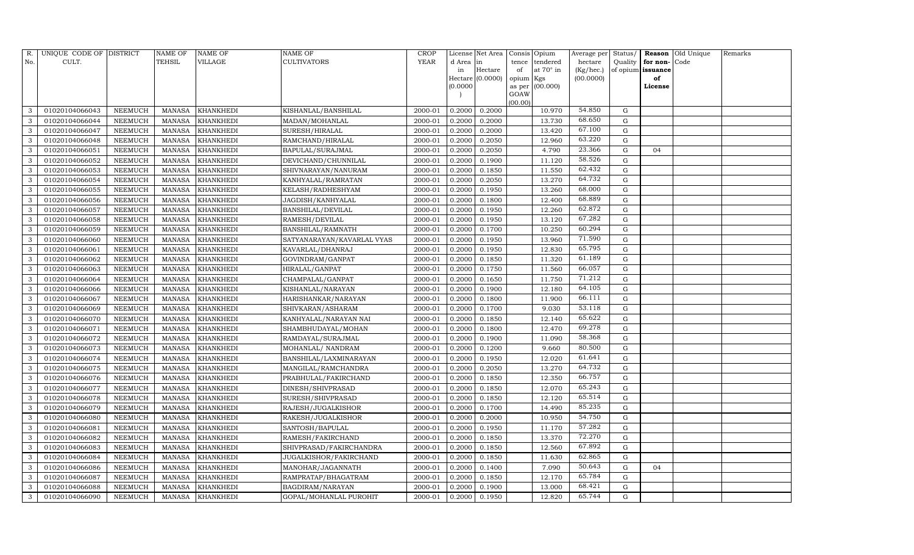| R.  | UNIQUE CODE OF DISTRICT |                | NAME OF       | <b>NAME OF</b>   | <b>NAME OF</b>             | CROP    |           | License Net Area | Consis Opium    |                  | Average per | Status/     |                   | <b>Reason</b> Old Unique | Remarks |
|-----|-------------------------|----------------|---------------|------------------|----------------------------|---------|-----------|------------------|-----------------|------------------|-------------|-------------|-------------------|--------------------------|---------|
| No. | CULT.                   |                | <b>TEHSIL</b> | VILLAGE          | <b>CULTIVATORS</b>         | YEAR    | d Area in |                  | tence           | tendered         | hectare     | Quality     | for non-          | Code                     |         |
|     |                         |                |               |                  |                            |         | in        | Hectare          | of              | at $70^\circ$ in | (Kg/hec.)   |             | of opium issuance |                          |         |
|     |                         |                |               |                  |                            |         |           | Hectare (0.0000) | opium Kgs       |                  | (00.0000)   |             | of                |                          |         |
|     |                         |                |               |                  |                            |         | (0.0000)  |                  | as per          | (00.000)         |             |             | License           |                          |         |
|     |                         |                |               |                  |                            |         |           |                  | GOAW<br>(00.00) |                  |             |             |                   |                          |         |
| 3   | 01020104066043          | NEEMUCH        | MANASA        | <b>KHANKHEDI</b> | KISHANLAL/BANSHILAL        | 2000-01 | 0.2000    | 0.2000           |                 | 10.970           | 54.850      | G           |                   |                          |         |
| 3   | 01020104066044          | NEEMUCH        | MANASA        | <b>KHANKHEDI</b> | MADAN/MOHANLAL             | 2000-01 | 0.2000    | 0.2000           |                 | 13.730           | 68.650      | G           |                   |                          |         |
| 3   | 01020104066047          | <b>NEEMUCH</b> | <b>MANASA</b> | <b>KHANKHEDI</b> | SURESH/HIRALAL             | 2000-01 | 0.2000    | 0.2000           |                 | 13.420           | 67.100      | G           |                   |                          |         |
| 3   | 01020104066048          | NEEMUCH        | MANASA        | <b>KHANKHEDI</b> | RAMCHAND/HIRALAL           | 2000-01 | 0.2000    | 0.2050           |                 | 12.960           | 63.220      | ${\rm G}$   |                   |                          |         |
| 3   | 01020104066051          | NEEMUCH        | MANASA        | <b>KHANKHEDI</b> | BAPULAL/SURAJMAL           | 2000-01 | 0.2000    | 0.2050           |                 | 4.790            | 23.366      | G           | 04                |                          |         |
| 3   | 01020104066052          | <b>NEEMUCH</b> | MANASA        | <b>KHANKHEDI</b> | DEVICHAND/CHUNNILAL        | 2000-01 | 0.2000    | 0.1900           |                 | 11.120           | 58.526      | G           |                   |                          |         |
| 3   | 01020104066053          | NEEMUCH        | MANASA        | <b>KHANKHEDI</b> | SHIVNARAYAN/NANURAM        | 2000-01 | 0.2000    | 0.1850           |                 | 11.550           | 62.432      | G           |                   |                          |         |
| 3   | 01020104066054          | NEEMUCH        | MANASA        | <b>KHANKHEDI</b> | KANHYALAL/RAMRATAN         | 2000-01 | 0.2000    | 0.2050           |                 | 13.270           | 64.732      | G           |                   |                          |         |
| 3   | 01020104066055          | NEEMUCH        | <b>MANASA</b> | <b>KHANKHEDI</b> | KELASH/RADHESHYAM          | 2000-01 | 0.2000    | 0.1950           |                 | 13.260           | 68.000      | G           |                   |                          |         |
| 3   | 01020104066056          | NEEMUCH        | MANASA        | <b>KHANKHEDI</b> | JAGDISH/KANHYALAL          | 2000-01 | 0.2000    | 0.1800           |                 | 12.400           | 68.889      | G           |                   |                          |         |
| 3   | 01020104066057          | NEEMUCH        | MANASA        | <b>KHANKHEDI</b> | <b>BANSHILAL/DEVILAL</b>   | 2000-01 | 0.2000    | 0.1950           |                 | 12.260           | 62.872      | G           |                   |                          |         |
| 3   | 01020104066058          | NEEMUCH        | MANASA        | <b>KHANKHEDI</b> | RAMESH/DEVILAL             | 2000-01 | 0.2000    | 0.1950           |                 | 13.120           | 67.282      | G           |                   |                          |         |
| 3   | 01020104066059          | NEEMUCH        | MANASA        | <b>KHANKHEDI</b> | BANSHILAL/RAMNATH          | 2000-01 | 0.2000    | 0.1700           |                 | 10.250           | 60.294      | G           |                   |                          |         |
| 3   | 01020104066060          | <b>NEEMUCH</b> | <b>MANASA</b> | <b>KHANKHEDI</b> | SATYANARAYAN/KAVARLAL VYAS | 2000-01 | 0.2000    | 0.1950           |                 | 13.960           | 71.590      | G           |                   |                          |         |
| 3   | 01020104066061          | NEEMUCH        | MANASA        | <b>KHANKHEDI</b> | KAVARLAL/DHANRAJ           | 2000-01 | 0.2000    | 0.1950           |                 | 12.830           | 65.795      | ${\rm G}$   |                   |                          |         |
| 3   | 01020104066062          | NEEMUCH        | MANASA        | <b>KHANKHEDI</b> | GOVINDRAM/GANPAT           | 2000-01 | 0.2000    | 0.1850           |                 | 11.320           | 61.189      | $\mathbf G$ |                   |                          |         |
| 3   | 01020104066063          | NEEMUCH        | MANASA        | <b>KHANKHEDI</b> | HIRALAL/GANPAT             | 2000-01 | 0.2000    | 0.1750           |                 | 11.560           | 66.057      | ${\rm G}$   |                   |                          |         |
| 3   | 01020104066064          | NEEMUCH        | <b>MANASA</b> | <b>KHANKHEDI</b> | CHAMPALAL/GANPAT           | 2000-01 | 0.2000    | 0.1650           |                 | 11.750           | 71.212      | G           |                   |                          |         |
| 3   | 01020104066066          | NEEMUCH        | MANASA        | <b>KHANKHEDI</b> | KISHANLAL/NARAYAN          | 2000-01 | 0.2000    | 0.1900           |                 | 12.180           | 64.105      | ${\rm G}$   |                   |                          |         |
| 3   | 01020104066067          | NEEMUCH        | <b>MANASA</b> | <b>KHANKHEDI</b> | HARISHANKAR/NARAYAN        | 2000-01 | 0.2000    | 0.1800           |                 | 11.900           | 66.111      | G           |                   |                          |         |
| 3   | 01020104066069          | <b>NEEMUCH</b> | MANASA        | <b>KHANKHEDI</b> | SHIVKARAN/ASHARAM          | 2000-01 | 0.2000    | 0.1700           |                 | 9.030            | 53.118      | G           |                   |                          |         |
| 3   | 01020104066070          | NEEMUCH        | MANASA        | <b>KHANKHEDI</b> | KANHYALAL/NARAYAN NAI      | 2000-01 | 0.2000    | 0.1850           |                 | 12.140           | 65.622      | G           |                   |                          |         |
| 3   | 01020104066071          | NEEMUCH        | MANASA        | <b>KHANKHEDI</b> | SHAMBHUDAYAL/MOHAN         | 2000-01 | 0.2000    | 0.1800           |                 | 12.470           | 69.278      | G           |                   |                          |         |
| 3   | 01020104066072          | NEEMUCH        | MANASA        | <b>KHANKHEDI</b> | RAMDAYAL/SURAJMAL          | 2000-01 | 0.2000    | 0.1900           |                 | 11.090           | 58.368      | $\mathbf G$ |                   |                          |         |
| 3   | 01020104066073          | <b>NEEMUCH</b> | MANASA        | <b>KHANKHEDI</b> | MOHANLAL/ NANDRAM          | 2000-01 | 0.2000    | 0.1200           |                 | 9.660            | 80.500      | G           |                   |                          |         |
| 3   | 01020104066074          | <b>NEEMUCH</b> | MANASA        | <b>KHANKHEDI</b> | BANSHILAL/LAXMINARAYAN     | 2000-01 | 0.2000    | 0.1950           |                 | 12.020           | 61.641      | G           |                   |                          |         |
| 3   | 01020104066075          | NEEMUCH        | MANASA        | <b>KHANKHEDI</b> | MANGILAL/RAMCHANDRA        | 2000-01 | 0.2000    | 0.2050           |                 | 13.270           | 64.732      | ${\rm G}$   |                   |                          |         |
| 3   | 01020104066076          | <b>NEEMUCH</b> | MANASA        | <b>KHANKHEDI</b> | PRABHULAL/FAKIRCHAND       | 2000-01 | 0.2000    | 0.1850           |                 | 12.350           | 66.757      | ${\rm G}$   |                   |                          |         |
| 3   | 01020104066077          | <b>NEEMUCH</b> | MANASA        | <b>KHANKHEDI</b> | DINESH/SHIVPRASAD          | 2000-01 | 0.2000    | 0.1850           |                 | 12.070           | 65.243      | G           |                   |                          |         |
| 3   | 01020104066078          | <b>NEEMUCH</b> | MANASA        | <b>KHANKHEDI</b> | SURESH/SHIVPRASAD          | 2000-01 | 0.2000    | 0.1850           |                 | 12.120           | 65.514      | ${\rm G}$   |                   |                          |         |
| 3   | 01020104066079          | NEEMUCH        | MANASA        | <b>KHANKHEDI</b> | RAJESH/JUGALKISHOR         | 2000-01 | 0.2000    | 0.1700           |                 | 14.490           | 85.235      | ${\rm G}$   |                   |                          |         |
| 3   | 01020104066080          | NEEMUCH        | MANASA        | <b>KHANKHEDI</b> | RAKESH/JUGALKISHOR         | 2000-01 | 0.2000    | 0.2000           |                 | 10.950           | 54.750      | G           |                   |                          |         |
| 3   | 01020104066081          | <b>NEEMUCH</b> | <b>MANASA</b> | <b>KHANKHEDI</b> | SANTOSH/BAPULAL            | 2000-01 | 0.2000    | 0.1950           |                 | 11.170           | 57.282      | G           |                   |                          |         |
| 3   | 01020104066082          | NEEMUCH        | MANASA        | <b>KHANKHEDI</b> | RAMESH/FAKIRCHAND          | 2000-01 | 0.2000    | 0.1850           |                 | 13.370           | 72.270      | ${\rm G}$   |                   |                          |         |
| 3   | 01020104066083          | NEEMUCH        | <b>MANASA</b> | <b>KHANKHEDI</b> | SHIVPRASAD/FAKIRCHANDRA    | 2000-01 | 0.2000    | 0.1850           |                 | 12.560           | 67.892      | G           |                   |                          |         |
| 3   | 01020104066084          | <b>NEEMUCH</b> | <b>MANASA</b> | <b>KHANKHEDI</b> | JUGALKISHOR/FAKIRCHAND     | 2000-01 | 0.2000    | 0.1850           |                 | 11.630           | 62.865      | ${\rm G}$   |                   |                          |         |
| 3   | 01020104066086          | NEEMUCH        | MANASA        | KHANKHEDI        | MANOHAR/JAGANNATH          | 2000-01 | 0.2000    | 0.1400           |                 | 7.090            | 50.643      | G           | 04                |                          |         |
| 3   | 01020104066087          | <b>NEEMUCH</b> | MANASA        | <b>KHANKHEDI</b> | RAMPRATAP/BHAGATRAM        | 2000-01 | 0.2000    | 0.1850           |                 | 12.170           | 65.784      | ${\rm G}$   |                   |                          |         |
| 3   | 01020104066088          | NEEMUCH        | <b>MANASA</b> | <b>KHANKHEDI</b> | BAGDIRAM/NARAYAN           | 2000-01 | 0.2000    | 0.1900           |                 | 13.000           | 68.421      | $\mathbf G$ |                   |                          |         |
| 3   | 01020104066090          | NEEMUCH        |               | MANASA KHANKHEDI | GOPAL/MOHANLAL PUROHIT     | 2000-01 | 0.2000    | 0.1950           |                 | 12.820           | 65.744      | G           |                   |                          |         |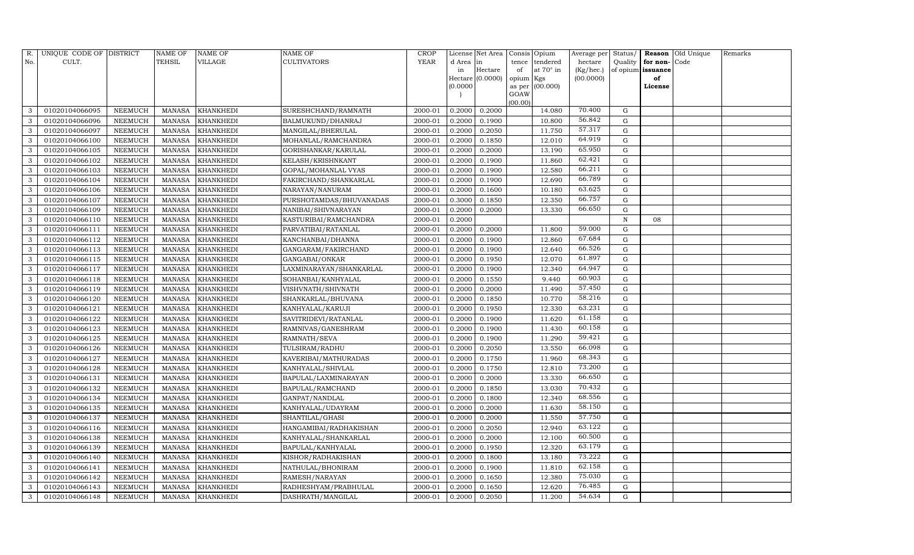| R.           | UNIQUE CODE OF DISTRICT |                | <b>NAME OF</b> | <b>NAME OF</b>   | <b>NAME OF</b>          | CROP    |           | License Net Area |                | Consis Opium     | Average per | Status/     | Reason            | Old Unique | Remarks |
|--------------|-------------------------|----------------|----------------|------------------|-------------------------|---------|-----------|------------------|----------------|------------------|-------------|-------------|-------------------|------------|---------|
| No.          | CULT.                   |                | <b>TEHSIL</b>  | VILLAGE          | <b>CULTIVATORS</b>      | YEAR    | d Area in |                  | tence          | tendered         | hectare     | Quality     | for non-          | Code       |         |
|              |                         |                |                |                  |                         |         | in        | Hectare          | of             | at $70^\circ$ in | (Kg/hec.)   |             | of opium issuance |            |         |
|              |                         |                |                |                  |                         |         |           | Hectare (0.0000) | opium Kgs      |                  | (00.0000)   |             | of                |            |         |
|              |                         |                |                |                  |                         |         | (0.0000)  |                  | as per<br>GOAW | (00.000)         |             |             | License           |            |         |
|              |                         |                |                |                  |                         |         |           |                  | (00.00)        |                  |             |             |                   |            |         |
| 3            | 01020104066095          | NEEMUCH        | MANASA         | <b>KHANKHEDI</b> | SURESHCHAND/RAMNATH     | 2000-01 | 0.2000    | 0.2000           |                | 14.080           | 70.400      | G           |                   |            |         |
| 3            | 01020104066096          | <b>NEEMUCH</b> | <b>MANASA</b>  | KHANKHEDI        | BALMUKUND/DHANRAJ       | 2000-01 | 0.2000    | 0.1900           |                | 10.800           | 56.842      | G           |                   |            |         |
| 3            | 01020104066097          | <b>NEEMUCH</b> | MANASA         | <b>KHANKHEDI</b> | MANGILAL/BHERULAL       | 2000-01 | 0.2000    | 0.2050           |                | 11.750           | 57.317      | G           |                   |            |         |
| 3            | 01020104066100          | NEEMUCH        | MANASA         | <b>KHANKHEDI</b> | MOHANLAL/RAMCHANDRA     | 2000-01 | 0.2000    | 0.1850           |                | 12.010           | 64.919      | ${\rm G}$   |                   |            |         |
| 3            | 01020104066105          | NEEMUCH        | MANASA         | <b>KHANKHEDI</b> | GORISHANKAR/KARULAL     | 2000-01 | 0.2000    | 0.2000           |                | 13.190           | 65.950      | ${\rm G}$   |                   |            |         |
| 3            | 01020104066102          | <b>NEEMUCH</b> | MANASA         | <b>KHANKHEDI</b> | KELASH/KRISHNKANT       | 2000-01 | 0.2000    | 0.1900           |                | 11.860           | 62.421      | $\mathbf G$ |                   |            |         |
| 3            | 01020104066103          | NEEMUCH        | <b>MANASA</b>  | <b>KHANKHEDI</b> | GOPAL/MOHANLAL VYAS     | 2000-01 | 0.2000    | 0.1900           |                | 12.580           | 66.211      | G           |                   |            |         |
| 3            | 01020104066104          | <b>NEEMUCH</b> | MANASA         | <b>KHANKHEDI</b> | FAKIRCHAND/SHANKARLAL   | 2000-01 | 0.2000    | 0.1900           |                | 12.690           | 66.789      | ${\rm G}$   |                   |            |         |
| 3            | 01020104066106          | <b>NEEMUCH</b> | <b>MANASA</b>  | <b>KHANKHEDI</b> | NARAYAN/NANURAM         | 2000-01 | 0.2000    | 0.1600           |                | 10.180           | 63.625      | $\mathbf G$ |                   |            |         |
| 3            | 01020104066107          | NEEMUCH        | MANASA         | <b>KHANKHEDI</b> | PURSHOTAMDAS/BHUVANADAS | 2000-01 | 0.3000    | 0.1850           |                | 12.350           | 66.757      | ${\rm G}$   |                   |            |         |
| 3            | 01020104066109          | NEEMUCH        | <b>MANASA</b>  | <b>KHANKHEDI</b> | NANIBAI/SHIVNARAYAN     | 2000-01 | 0.2000    | 0.2000           |                | 13.330           | 66.650      | $\mathbf G$ |                   |            |         |
| 3            | 01020104066110          | <b>NEEMUCH</b> | MANASA         | <b>KHANKHEDI</b> | KASTURIBAI/RAMCHANDRA   | 2000-01 | 0.2000    |                  |                |                  |             | N           | 08                |            |         |
| 3            | 01020104066111          | <b>NEEMUCH</b> | <b>MANASA</b>  | <b>KHANKHEDI</b> | PARVATIBAI/RATANLAL     | 2000-01 | 0.2000    | 0.2000           |                | 11.800           | 59.000      | $\mathbf G$ |                   |            |         |
| 3            | 01020104066112          | <b>NEEMUCH</b> | <b>MANASA</b>  | <b>KHANKHEDI</b> | KANCHANBAI/DHANNA       | 2000-01 | 0.2000    | 0.1900           |                | 12.860           | 67.684      | G           |                   |            |         |
| 3            | 01020104066113          | <b>NEEMUCH</b> | MANASA         | <b>KHANKHEDI</b> | GANGARAM/FAKIRCHAND     | 2000-01 | 0.2000    | 0.1900           |                | 12.640           | 66.526      | ${\rm G}$   |                   |            |         |
| 3            | 01020104066115          | <b>NEEMUCH</b> | MANASA         | <b>KHANKHEDI</b> | GANGABAI/ONKAR          | 2000-01 | 0.2000    | 0.1950           |                | 12.070           | 61.897      | ${\rm G}$   |                   |            |         |
| 3            | 01020104066117          | <b>NEEMUCH</b> | <b>MANASA</b>  | <b>KHANKHEDI</b> | LAXMINARAYAN/SHANKARLAL | 2000-01 | 0.2000    | 0.1900           |                | 12.340           | 64.947      | $\mathbf G$ |                   |            |         |
| 3            | 01020104066118          | <b>NEEMUCH</b> | MANASA         | <b>KHANKHEDI</b> | SOHANBAI/KANHYALAL      | 2000-01 | 0.2000    | 0.1550           |                | 9.440            | 60.903      | G           |                   |            |         |
| 3            | 01020104066119          | <b>NEEMUCH</b> | MANASA         | <b>KHANKHEDI</b> | VISHVNATH/SHIVNATH      | 2000-01 | 0.2000    | 0.2000           |                | 11.490           | 57.450      | ${\rm G}$   |                   |            |         |
| 3            | 01020104066120          | <b>NEEMUCH</b> | MANASA         | <b>KHANKHEDI</b> | SHANKARLAL/BHUVANA      | 2000-01 | 0.2000    | 0.1850           |                | 10.770           | 58.216      | $\mathbf G$ |                   |            |         |
| 3            | 01020104066121          | NEEMUCH        | MANASA         | <b>KHANKHEDI</b> | KANHYALAL/KARUJI        | 2000-01 | 0.2000    | 0.1950           |                | 12.330           | 63.231      | ${\rm G}$   |                   |            |         |
| 3            | 01020104066122          | NEEMUCH        | <b>MANASA</b>  | <b>KHANKHEDI</b> | SAVITRIDEVI/RATANLAL    | 2000-01 | 0.2000    | 0.1900           |                | 11.620           | 61.158      | $\mathbf G$ |                   |            |         |
| $\mathbf{3}$ | 01020104066123          | NEEMUCH        | MANASA         | <b>KHANKHEDI</b> | RAMNIVAS/GANESHRAM      | 2000-01 | 0.2000    | 0.1900           |                | 11.430           | 60.158      | $\mathbf G$ |                   |            |         |
| 3            | 01020104066125          | NEEMUCH        | MANASA         | <b>KHANKHEDI</b> | RAMNATH/SEVA            | 2000-01 | 0.2000    | 0.1900           |                | 11.290           | 59.421      | G           |                   |            |         |
| 3            | 01020104066126          | <b>NEEMUCH</b> | MANASA         | <b>KHANKHEDI</b> | TULSIRAM/RADHU          | 2000-01 | 0.2000    | 0.2050           |                | 13.550           | 66.098      | $\mathbf G$ |                   |            |         |
| 3            | 01020104066127          | NEEMUCH        | MANASA         | <b>KHANKHEDI</b> | KAVERIBAI/MATHURADAS    | 2000-01 | 0.2000    | 0.1750           |                | 11.960           | 68.343      | G           |                   |            |         |
| 3            | 01020104066128          | NEEMUCH        | MANASA         | <b>KHANKHEDI</b> | KANHYALAL/SHIVLAL       | 2000-01 | 0.2000    | 0.1750           |                | 12.810           | 73.200      | $\mathbf G$ |                   |            |         |
| 3            | 01020104066131          | <b>NEEMUCH</b> | <b>MANASA</b>  | <b>KHANKHEDI</b> | BAPULAL/LAXMINARAYAN    | 2000-01 | 0.2000    | 0.2000           |                | 13.330           | 66.650      | $\mathbf G$ |                   |            |         |
| 3            | 01020104066132          | <b>NEEMUCH</b> | <b>MANASA</b>  | <b>KHANKHEDI</b> | BAPULAL/RAMCHAND        | 2000-01 | 0.2000    | 0.1850           |                | 13.030           | 70.432      | G           |                   |            |         |
| 3            | 01020104066134          | <b>NEEMUCH</b> | MANASA         | <b>KHANKHEDI</b> | GANPAT/NANDLAL          | 2000-01 | 0.2000    | 0.1800           |                | 12.340           | 68.556      | ${\rm G}$   |                   |            |         |
| 3            | 01020104066135          | NEEMUCH        | MANASA         | <b>KHANKHEDI</b> | KANHYALAL/UDAYRAM       | 2000-01 | 0.2000    | 0.2000           |                | 11.630           | 58.150      | $\mathbf G$ |                   |            |         |
| 3            | 01020104066137          | NEEMUCH        | MANASA         | <b>KHANKHEDI</b> | SHANTILAL/GHASI         | 2000-01 | 0.2000    | 0.2000           |                | 11.550           | 57.750      | G           |                   |            |         |
| 3            | 01020104066116          | <b>NEEMUCH</b> | <b>MANASA</b>  | <b>KHANKHEDI</b> | HANGAMIBAI/RADHAKISHAN  | 2000-01 | 0.2000    | 0.2050           |                | 12.940           | 63.122      | G           |                   |            |         |
| 3            | 01020104066138          | NEEMUCH        | MANASA         | <b>KHANKHEDI</b> | KANHYALAL/SHANKARLAL    | 2000-01 | 0.2000    | 0.2000           |                | 12.100           | 60.500      | ${\rm G}$   |                   |            |         |
| 3            | 01020104066139          | <b>NEEMUCH</b> | MANASA         | <b>KHANKHEDI</b> | BAPULAL/KANHYALAL       | 2000-01 | 0.2000    | 0.1950           |                | 12.320           | 63.179      | G           |                   |            |         |
| 3            | 01020104066140          | <b>NEEMUCH</b> | <b>MANASA</b>  | <b>KHANKHEDI</b> | KISHOR/RADHAKISHAN      | 2000-01 | 0.2000    | 0.1800           |                | 13.180           | 73.222      | $\mathbf G$ |                   |            |         |
| 3            | 01020104066141          | NEEMUCH        | MANASA         | <b>KHANKHEDI</b> | NATHULAL/BHONIRAM       | 2000-01 | 0.2000    | 0.1900           |                | 11.810           | 62.158      | G           |                   |            |         |
| 3            | 01020104066142          | NEEMUCH        | MANASA         | <b>KHANKHEDI</b> | RAMESH/NARAYAN          | 2000-01 | 0.2000    | 0.1650           |                | 12.380           | 75.030      | $\mathbf G$ |                   |            |         |
| 3            | 01020104066143          | <b>NEEMUCH</b> | MANASA         | <b>KHANKHEDI</b> | RADHESHYAM/PRABHULAL    | 2000-01 | 0.2000    | 0.1650           |                | 12.620           | 76.485      | $\mathbf G$ |                   |            |         |
| 3            | 01020104066148          | NEEMUCH        |                | MANASA KHANKHEDI | DASHRATH/MANGILAL       | 2000-01 | 0.2000    | 0.2050           |                | 11.200           | 54.634      | G           |                   |            |         |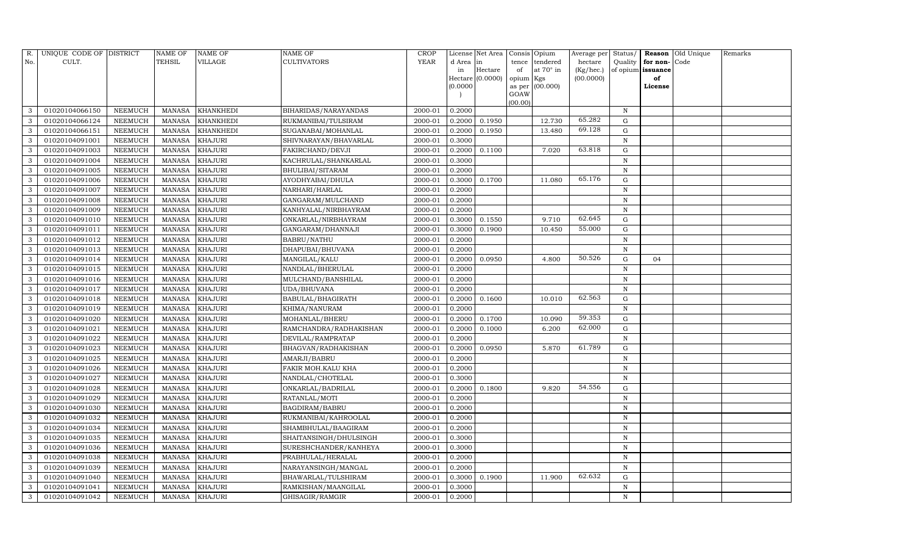| R.  | UNIQUE CODE OF DISTRICT |                | NAME OF       | NAME OF          | NAME OF                | <b>CROP</b> |           | License Net Area |                | Consis Opium | Average per | Status/     | Reason            | Old Unique | Remarks |
|-----|-------------------------|----------------|---------------|------------------|------------------------|-------------|-----------|------------------|----------------|--------------|-------------|-------------|-------------------|------------|---------|
| No. | CULT.                   |                | TEHSIL        | VILLAGE          | <b>CULTIVATORS</b>     | <b>YEAR</b> | d Area in |                  | tence          | tendered     | hectare     | Quality     | for non-          | Code       |         |
|     |                         |                |               |                  |                        |             | in        | Hectare          | of             | at 70° in    | (Kg/hec.)   |             | of opium issuance |            |         |
|     |                         |                |               |                  |                        |             | (0.0000)  | Hectare (0.0000) | opium Kgs      |              | (00.0000)   |             | of                |            |         |
|     |                         |                |               |                  |                        |             |           |                  | as per<br>GOAW | (00.000)     |             |             | License           |            |         |
|     |                         |                |               |                  |                        |             |           |                  | (00.00)        |              |             |             |                   |            |         |
| 3   | 01020104066150          | NEEMUCH        | MANASA        | KHANKHEDI        | BIHARIDAS/NARAYANDAS   | 2000-01     | 0.2000    |                  |                |              |             | $\mathbb N$ |                   |            |         |
| 3   | 01020104066124          | NEEMUCH        | <b>MANASA</b> | KHANKHEDI        | RUKMANIBAI/TULSIRAM    | 2000-01     | 0.2000    | 0.1950           |                | 12.730       | 65.282      | G           |                   |            |         |
| 3   | 01020104066151          | NEEMUCH        | MANASA        | <b>KHANKHEDI</b> | SUGANABAI/MOHANLAL     | 2000-01     | 0.2000    | 0.1950           |                | 13.480       | 69.128      | G           |                   |            |         |
| 3   | 01020104091001          | NEEMUCH        | <b>MANASA</b> | KHAJURI          | SHIVNARAYAN/BHAVARLAL  | 2000-01     | 0.3000    |                  |                |              |             | $\mathbf N$ |                   |            |         |
| 3   | 01020104091003          | NEEMUCH        | <b>MANASA</b> | KHAJURI          | FAKIRCHAND/DEVJI       | 2000-01     | 0.2000    | 0.1100           |                | 7.020        | 63.818      | ${\rm G}$   |                   |            |         |
|     | 01020104091004          | NEEMUCH        | <b>MANASA</b> | KHAJURI          | KACHRULAL/SHANKARLAL   | 2000-01     | 0.3000    |                  |                |              |             | ${\bf N}$   |                   |            |         |
| 3   | 01020104091005          | NEEMUCH        | <b>MANASA</b> | KHAJURI          | BHULIBAI/SITARAM       | 2000-01     | 0.2000    |                  |                |              |             | N           |                   |            |         |
| 3   | 01020104091006          | NEEMUCH        | <b>MANASA</b> | KHAJURI          | AYODHYABAI/DHULA       | 2000-01     | 0.3000    | 0.1700           |                | 11.080       | 65.176      | ${\rm G}$   |                   |            |         |
| 3   | 01020104091007          | NEEMUCH        | <b>MANASA</b> | KHAJURI          | NARHARI/HARLAL         | 2000-01     | 0.2000    |                  |                |              |             | $\mathbf N$ |                   |            |         |
|     | 01020104091008          | NEEMUCH        | <b>MANASA</b> | <b>KHAJURI</b>   | GANGARAM/MULCHAND      | 2000-01     | 0.2000    |                  |                |              |             | $\mathbf N$ |                   |            |         |
| 3   | 01020104091009          | NEEMUCH        | <b>MANASA</b> | <b>KHAJURI</b>   | KANHYALAL/NIRBHAYRAM   | 2000-01     | 0.2000    |                  |                |              |             | N           |                   |            |         |
| 3   | 01020104091010          | NEEMUCH        | <b>MANASA</b> | KHAJURI          | ONKARLAL/NIRBHAYRAM    | 2000-01     | 0.3000    | 0.1550           |                | 9.710        | 62.645      | ${\rm G}$   |                   |            |         |
| 3   | 01020104091011          | NEEMUCH        | <b>MANASA</b> | <b>KHAJURI</b>   | GANGARAM/DHANNAJI      | 2000-01     | 0.3000    | 0.1900           |                | 10.450       | 55.000      | G           |                   |            |         |
| 3   | 01020104091012          | NEEMUCH        | <b>MANASA</b> | <b>KHAJURI</b>   | <b>BABRU/NATHU</b>     | 2000-01     | 0.2000    |                  |                |              |             | $\mathbf N$ |                   |            |         |
| 3   | 01020104091013          | NEEMUCH        | MANASA        | <b>KHAJURI</b>   | DHAPUBAI/BHUVANA       | 2000-01     | 0.2000    |                  |                |              |             | N           |                   |            |         |
| 3   | 01020104091014          | NEEMUCH        | <b>MANASA</b> | KHAJURI          | MANGILAL/KALU          | 2000-01     | 0.2000    | 0.0950           |                | 4.800        | 50.526      | $\mathbf G$ | 04                |            |         |
| 3   | 01020104091015          | NEEMUCH        | <b>MANASA</b> | KHAJURI          | NANDLAL/BHERULAL       | 2000-01     | 0.2000    |                  |                |              |             | $\mathbf N$ |                   |            |         |
| 3   | 01020104091016          | NEEMUCH        | <b>MANASA</b> | KHAJURI          | MULCHAND/BANSHILAL     | 2000-01     | 0.2000    |                  |                |              |             | N           |                   |            |         |
| 3   | 01020104091017          | NEEMUCH        | <b>MANASA</b> | <b>KHAJURI</b>   | UDA/BHUVANA            | 2000-01     | 0.2000    |                  |                |              |             | $\mathbf N$ |                   |            |         |
| 3   | 01020104091018          | NEEMUCH        | <b>MANASA</b> | KHAJURI          | BABULAL/BHAGIRATH      | 2000-01     | 0.2000    | 0.1600           |                | 10.010       | 62.563      | $\mathbf G$ |                   |            |         |
|     | 01020104091019          | <b>NEEMUCH</b> | <b>MANASA</b> | <b>KHAJURI</b>   | KHIMA/NANURAM          | 2000-01     | 0.2000    |                  |                |              |             | $\mathbf N$ |                   |            |         |
| 3   | 01020104091020          | NEEMUCH        | <b>MANASA</b> | <b>KHAJURI</b>   | MOHANLAL/BHERU         | 2000-01     | 0.2000    | 0.1700           |                | 10.090       | 59.353      | ${\rm G}$   |                   |            |         |
| 3   | 01020104091021          | NEEMUCH        | <b>MANASA</b> | KHAJURI          | RAMCHANDRA/RADHAKISHAN | 2000-01     | 0.2000    | 0.1000           |                | 6.200        | 62.000      | ${\rm G}$   |                   |            |         |
| 3   | 01020104091022          | NEEMUCH        | <b>MANASA</b> | <b>KHAJURI</b>   | DEVILAL/RAMPRATAP      | 2000-01     | 0.2000    |                  |                |              |             | $\mathbf N$ |                   |            |         |
|     | 01020104091023          | <b>NEEMUCH</b> | <b>MANASA</b> | <b>KHAJURI</b>   | BHAGVAN/RADHAKISHAN    | 2000-01     | 0.2000    | 0.0950           |                | 5.870        | 61.789      | ${\rm G}$   |                   |            |         |
| 3   | 01020104091025          | NEEMUCH        | <b>MANASA</b> | <b>KHAJURI</b>   | AMARJI/BABRU           | 2000-01     | 0.2000    |                  |                |              |             | $\,$ N      |                   |            |         |
| 3   | 01020104091026          | NEEMUCH        | <b>MANASA</b> | KHAJURI          | FAKIR MOH.KALU KHA     | 2000-01     | 0.2000    |                  |                |              |             | $\mathbf N$ |                   |            |         |
| 3   | 01020104091027          | NEEMUCH        | <b>MANASA</b> | KHAJURI          | NANDLAL/CHOTELAL       | 2000-01     | 0.3000    |                  |                |              |             | N           |                   |            |         |
| 3   | 01020104091028          | NEEMUCH        | <b>MANASA</b> | <b>KHAJURI</b>   | ONKARLAL/BADRILAL      | 2000-01     | 0.2000    | 0.1800           |                | 9.820        | 54.556      | ${\rm G}$   |                   |            |         |
| 3   | 01020104091029          | NEEMUCH        | <b>MANASA</b> | <b>KHAJURI</b>   | RATANLAL/MOTI          | 2000-01     | 0.2000    |                  |                |              |             | $\mathbf N$ |                   |            |         |
| 3   | 01020104091030          | NEEMUCH        | <b>MANASA</b> | <b>KHAJURI</b>   | <b>BAGDIRAM/BABRU</b>  | 2000-01     | 0.2000    |                  |                |              |             | $\mathbf N$ |                   |            |         |
| 3   | 01020104091032          | NEEMUCH        | <b>MANASA</b> | KHAJURI          | RUKMANIBAI/KAHROOLAL   | 2000-01     | 0.2000    |                  |                |              |             | N           |                   |            |         |
| 3   | 01020104091034          | NEEMUCH        | <b>MANASA</b> | <b>KHAJURI</b>   | SHAMBHULAL/BAAGIRAM    | 2000-01     | 0.2000    |                  |                |              |             | $\mathbf N$ |                   |            |         |
| 3   | 01020104091035          | NEEMUCH        | <b>MANASA</b> | KHAJURI          | SHAITANSINGH/DHULSINGH | $2000 - 01$ | 0.3000    |                  |                |              |             | N           |                   |            |         |
| 3   | 01020104091036          | NEEMUCH        | <b>MANASA</b> | <b>KHAJURI</b>   | SURESHCHANDER/KANHEYA  | 2000-01     | 0.3000    |                  |                |              |             | $\mathbf N$ |                   |            |         |
| 3   | 01020104091038          | <b>NEEMUCH</b> | <b>MANASA</b> | KHAJURI          | PRABHULAL/HERALAL      | 2000-01     | 0.2000    |                  |                |              |             | N           |                   |            |         |
| 3   | 01020104091039          | NEEMUCH        | MANASA        | <b>KHAJURI</b>   | NARAYANSINGH/MANGAL    | 2000-01     | 0.2000    |                  |                |              |             | N           |                   |            |         |
| 3   | 01020104091040          | NEEMUCH        | <b>MANASA</b> | KHAJURI          | BHAWARLAL/TULSHIRAM    | 2000-01     | 0.3000    | 0.1900           |                | 11.900       | 62.632      | G           |                   |            |         |
| 3   | 01020104091041          | NEEMUCH        | MANASA        | KHAJURI          | RAMKISHAN/MAANGILAL    | 2000-01     | 0.3000    |                  |                |              |             | N           |                   |            |         |
| 3   | 01020104091042          | NEEMUCH        | MANASA        | <b>KHAJURI</b>   | GHISAGIR/RAMGIR        | 2000-01     | 0.2000    |                  |                |              |             | N           |                   |            |         |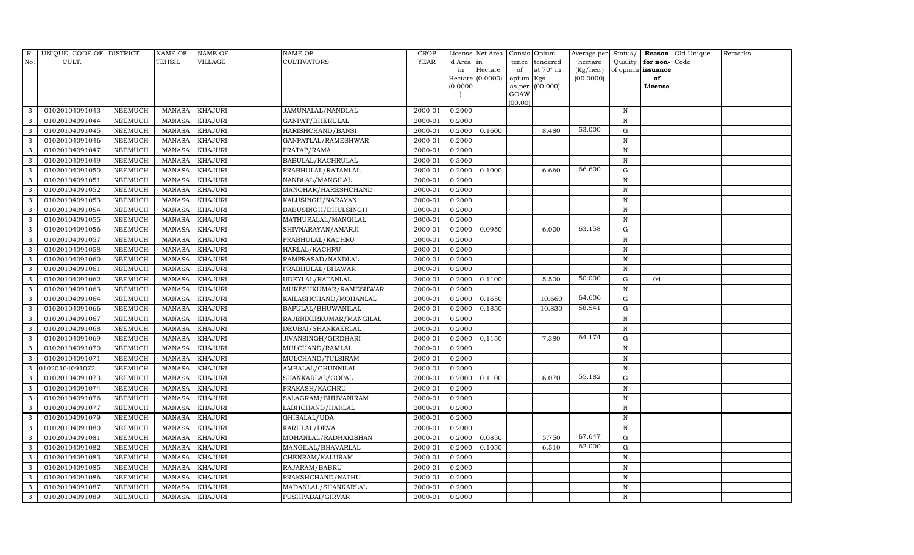| R.  | UNIQUE CODE OF DISTRICT |                | <b>NAME OF</b> | <b>NAME OF</b> | <b>NAME OF</b>             | CROP        |           | License Net Area |           | Consis Opium     | Average per | Status/      | Reason            | Old Unique | Remarks |
|-----|-------------------------|----------------|----------------|----------------|----------------------------|-------------|-----------|------------------|-----------|------------------|-------------|--------------|-------------------|------------|---------|
| No. | CULT.                   |                | <b>TEHSIL</b>  | VILLAGE        | <b>CULTIVATORS</b>         | <b>YEAR</b> | d Area in |                  | tence     | tendered         | hectare     | Quality      | for non-          | Code       |         |
|     |                         |                |                |                |                            |             | in        | Hectare          | of        | at $70^\circ$ in | (Kg/hec.)   |              | of opium issuance |            |         |
|     |                         |                |                |                |                            |             |           | Hectare (0.0000) | opium Kgs |                  | (00.0000)   |              | of                |            |         |
|     |                         |                |                |                |                            |             | (0.0000)  |                  | GOAW      | as per (00.000)  |             |              | License           |            |         |
|     |                         |                |                |                |                            |             |           |                  | (00.00)   |                  |             |              |                   |            |         |
| 3   | 01020104091043          | NEEMUCH        | MANASA         | <b>KHAJURI</b> | JAMUNALAL/NANDLAL          | 2000-01     | 0.2000    |                  |           |                  |             | N            |                   |            |         |
| 3   | 01020104091044          | <b>NEEMUCH</b> | MANASA         | <b>KHAJURI</b> | GANPAT/BHERULAL            | 2000-01     | 0.2000    |                  |           |                  |             | N            |                   |            |         |
| 3   | 01020104091045          | <b>NEEMUCH</b> | MANASA         | <b>KHAJURI</b> | HARISHCHAND/BANSI          | 2000-01     | 0.2000    | 0.1600           |           | 8.480            | 53.000      | G            |                   |            |         |
| 3   | 01020104091046          | NEEMUCH        | MANASA         | <b>KHAJURI</b> | GANPATLAL/RAMESHWAR        | 2000-01     | 0.2000    |                  |           |                  |             | N            |                   |            |         |
| 3   | 01020104091047          | NEEMUCH        | MANASA         | <b>KHAJURI</b> | PRATAP/RAMA                | 2000-01     | 0.2000    |                  |           |                  |             | N            |                   |            |         |
| 3   | 01020104091049          | NEEMUCH        | <b>MANASA</b>  | <b>KHAJURI</b> | BABULAL/KACHRULAL          | 2000-01     | 0.3000    |                  |           |                  |             | $\mathbf N$  |                   |            |         |
| 3   | 01020104091050          | NEEMUCH        | MANASA         | <b>KHAJURI</b> | PRABHULAL/RATANLAL         | 2000-01     | 0.2000    | 0.1000           |           | 6.660            | 66.600      | G            |                   |            |         |
| 3   | 01020104091051          | NEEMUCH        | MANASA         | <b>KHAJURI</b> | NANDLAL/MANGILAL           | 2000-01     | 0.2000    |                  |           |                  |             | N            |                   |            |         |
| 3   | 01020104091052          | NEEMUCH        | MANASA         | <b>KHAJURI</b> | MANOHAR/HARESHCHAND        | 2000-01     | 0.2000    |                  |           |                  |             | N            |                   |            |         |
| 3   | 01020104091053          | NEEMUCH        | MANASA         | <b>KHAJURI</b> | KALUSINGH/NARAYAN          | 2000-01     | 0.2000    |                  |           |                  |             | N            |                   |            |         |
| 3   | 01020104091054          | NEEMUCH        | MANASA         | <b>KHAJURI</b> | <b>BABUSINGH/DHULSINGH</b> | 2000-01     | 0.2000    |                  |           |                  |             | $\mathbf N$  |                   |            |         |
| 3   | 01020104091055          | <b>NEEMUCH</b> | MANASA         | <b>KHAJURI</b> | MATHURALAL/MANGILAL        | 2000-01     | 0.2000    |                  |           |                  |             | $\,$ N       |                   |            |         |
| 3   | 01020104091056          | NEEMUCH        | MANASA         | <b>KHAJURI</b> | SHIVNARAYAN/AMARJI         | 2000-01     | 0.2000    | 0.0950           |           | 6.000            | 63.158      | G            |                   |            |         |
| 3   | 01020104091057          | <b>NEEMUCH</b> | MANASA         | <b>KHAJURI</b> | PRABHULAL/KACHRU           | 2000-01     | 0.2000    |                  |           |                  |             | N            |                   |            |         |
| 3   | 01020104091058          | <b>NEEMUCH</b> | MANASA         | <b>KHAJURI</b> | HARLAL/KACHRU              | 2000-01     | 0.2000    |                  |           |                  |             | N            |                   |            |         |
| 3   | 01020104091060          | NEEMUCH        | MANASA         | <b>KHAJURI</b> | RAMPRASAD/NANDLAL          | 2000-01     | 0.2000    |                  |           |                  |             | N            |                   |            |         |
| 3   | 01020104091061          | NEEMUCH        | <b>MANASA</b>  | <b>KHAJURI</b> | PRABHULAL/BHAWAR           | 2000-01     | 0.2000    |                  |           |                  |             | N            |                   |            |         |
| 3   | 01020104091062          | NEEMUCH        | MANASA         | <b>KHAJURI</b> | UDEYLAL/RATANLAL           | 2000-01     | 0.2000    | 0.1100           |           | 5.500            | 50.000      | G            | 04                |            |         |
| 3   | 01020104091063          | <b>NEEMUCH</b> | MANASA         | <b>KHAJURI</b> | MUKESHKUMAR/RAMESHWAR      | 2000-01     | 0.2000    |                  |           |                  |             | N            |                   |            |         |
| 3   | 01020104091064          | NEEMUCH        | MANASA         | <b>KHAJURI</b> | KAILASHCHAND/MOHANLAL      | 2000-01     | 0.2000    | 0.1650           |           | 10.660           | 64.606      | G            |                   |            |         |
| 3   | 01020104091066          | NEEMUCH        | MANASA         | <b>KHAJURI</b> | BAPULAL/BHUWANILAL         | 2000-01     | 0.2000    | 0.1850           |           | 10.830           | 58.541      | G            |                   |            |         |
| 3   | 01020104091067          | <b>NEEMUCH</b> | MANASA         | <b>KHAJURI</b> | RAJENDERKUMAR/MANGILAL     | 2000-01     | 0.2000    |                  |           |                  |             | $\, {\rm N}$ |                   |            |         |
| 3   | 01020104091068          | NEEMUCH        | MANASA         | <b>KHAJURI</b> | DEUBAI/SHANKAERLAL         | 2000-01     | 0.2000    |                  |           |                  |             | $\,$ N       |                   |            |         |
| 3   | 01020104091069          | <b>NEEMUCH</b> | MANASA         | <b>KHAJURI</b> | JIVANSINGH/GIRDHARI        | 2000-01     | 0.2000    | 0.1150           |           | 7.380            | 64.174      | $\mathbf G$  |                   |            |         |
| 3   | 01020104091070          | NEEMUCH        | MANASA         | <b>KHAJURI</b> | MULCHAND/RAMLAL            | 2000-01     | 0.2000    |                  |           |                  |             | $\, {\bf N}$ |                   |            |         |
| 3   | 01020104091071          | NEEMUCH        | MANASA         | <b>KHAJURI</b> | MULCHAND/TULSIRAM          | 2000-01     | 0.2000    |                  |           |                  |             | N            |                   |            |         |
| 3   | 01020104091072          | NEEMUCH        | MANASA         | <b>KHAJURI</b> | AMBALAL/CHUNNILAL          | 2000-01     | 0.2000    |                  |           |                  |             | $\mathbf N$  |                   |            |         |
| 3   | 01020104091073          | NEEMUCH        | <b>MANASA</b>  | <b>KHAJURI</b> | SHANKARLAL/GOPAL           | 2000-01     | 0.2000    | 0.1100           |           | 6.070            | 55.182      | G            |                   |            |         |
| 3   | 01020104091074          | NEEMUCH        | MANASA         | <b>KHAJURI</b> | PRAKASH/KACHRU             | 2000-01     | 0.2000    |                  |           |                  |             | $\,$ N       |                   |            |         |
| 3   | 01020104091076          | NEEMUCH        | MANASA         | <b>KHAJURI</b> | SALAGRAM/BHUVANIRAM        | 2000-01     | 0.2000    |                  |           |                  |             | N            |                   |            |         |
| 3   | 01020104091077          | NEEMUCH        | MANASA         | <b>KHAJURI</b> | LABHCHAND/HARLAL           | 2000-01     | 0.2000    |                  |           |                  |             | N            |                   |            |         |
| 3   | 01020104091079          | NEEMUCH        | MANASA         | <b>KHAJURI</b> | GHISALAL/UDA               | 2000-01     | 0.2000    |                  |           |                  |             | N            |                   |            |         |
| 3   | 01020104091080          | <b>NEEMUCH</b> | <b>MANASA</b>  | <b>KHAJURI</b> | KARULAL/DEVA               | 2000-01     | 0.2000    |                  |           |                  |             | N            |                   |            |         |
| 3   | 01020104091081          | NEEMUCH        | MANASA         | <b>KHAJURI</b> | MOHANLAL/RADHAKISHAN       | 2000-01     | 0.2000    | 0.0850           |           | 5.750            | 67.647      | G            |                   |            |         |
| 3   | 01020104091082          | <b>NEEMUCH</b> | MANASA         | <b>KHAJURI</b> | MANGILAL/BHAVARLAL         | 2000-01     | 0.2000    | 0.1050           |           | 6.510            | 62.000      | ${\rm G}$    |                   |            |         |
| 3   | 01020104091083          | NEEMUCH        | MANASA         | <b>KHAJURI</b> | CHENRAM/KALURAM            | 2000-01     | 0.2000    |                  |           |                  |             | $\,$ N       |                   |            |         |
| 3   | 01020104091085          | NEEMUCH        | MANASA         | <b>KHAJURI</b> | RAJARAM/BABRU              | 2000-01     | 0.2000    |                  |           |                  |             | $\,$ N       |                   |            |         |
| 3   | 01020104091086          | <b>NEEMUCH</b> | MANASA         | <b>KHAJURI</b> | PRAKSHCHAND/NATHU          | 2000-01     | 0.2000    |                  |           |                  |             | $\,$ N       |                   |            |         |
| 3   | 01020104091087          | <b>NEEMUCH</b> | MANASA         | <b>KHAJURI</b> | MADANLAL/SHANKARLAL        | 2000-01     | 0.2000    |                  |           |                  |             | N            |                   |            |         |
| 3   | 01020104091089          | NEEMUCH        | MANASA KHAJURI |                | PUSHPABAI/GIRVAR           | 2000-01     | 0.2000    |                  |           |                  |             | N            |                   |            |         |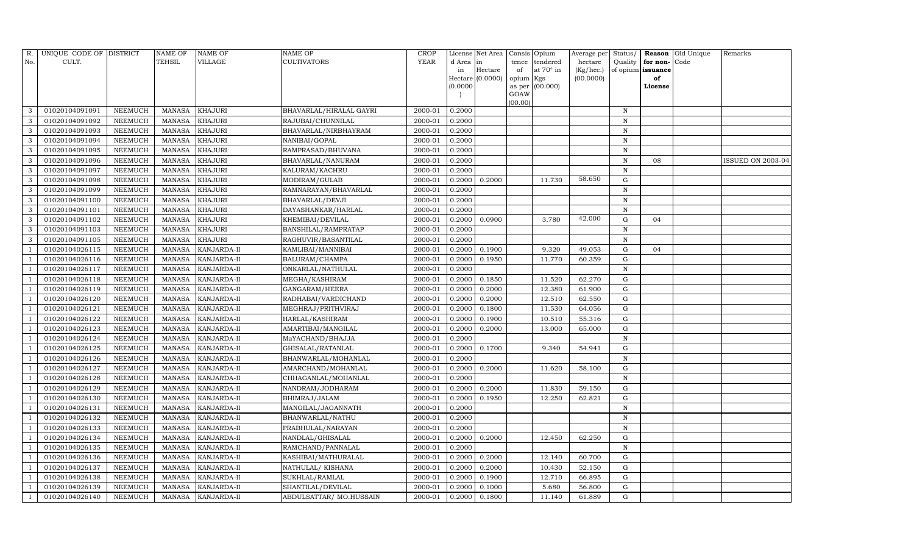| R.  | UNIQUE CODE OF DISTRICT |                | <b>NAME OF</b> | NAME OF        | NAME OF                 | <b>CROP</b> |           | License Net Area |           | Consis Opium    | Average per | Status/      | Reason            | Old Unique | Remarks           |
|-----|-------------------------|----------------|----------------|----------------|-------------------------|-------------|-----------|------------------|-----------|-----------------|-------------|--------------|-------------------|------------|-------------------|
| No. | CULT.                   |                | TEHSIL         | VILLAGE        | <b>CULTIVATORS</b>      | <b>YEAR</b> | d Area in |                  | tence     | tendered        | hectare     | Quality      | for non-          | Code       |                   |
|     |                         |                |                |                |                         |             | in        | Hectare          | of        | at 70° in       | (Kg/hec.)   |              | of opium issuance |            |                   |
|     |                         |                |                |                |                         |             |           | Hectare (0.0000) | opium Kgs |                 | (00.0000)   |              | of                |            |                   |
|     |                         |                |                |                |                         |             | (0.0000)  |                  | GOAW      | as per (00.000) |             |              | License           |            |                   |
|     |                         |                |                |                |                         |             |           |                  | (00.00)   |                 |             |              |                   |            |                   |
| 3   | 01020104091091          | NEEMUCH        | MANASA         | <b>KHAJURI</b> | BHAVARLAL/HIRALAL GAYRI | 2000-01     | 0.2000    |                  |           |                 |             | $\mathbb N$  |                   |            |                   |
| 3   | 01020104091092          | NEEMUCH        | <b>MANASA</b>  | KHAJURI        | RAJUBAI/CHUNNILAL       | 2000-01     | 0.2000    |                  |           |                 |             | $\mathbb N$  |                   |            |                   |
| 3   | 01020104091093          | NEEMUCH        | MANASA         | KHAJURI        | BHAVARLAL/NIRBHAYRAM    | 2000-01     | 0.2000    |                  |           |                 |             | N            |                   |            |                   |
| 3   | 01020104091094          | NEEMUCH        | <b>MANASA</b>  | KHAJURI        | NANIBAI/GOPAL           | 2000-01     | 0.2000    |                  |           |                 |             | N            |                   |            |                   |
| 3   | 01020104091095          | NEEMUCH        | <b>MANASA</b>  | <b>KHAJURI</b> | RAMPRASAD/BHUVANA       | 2000-01     | 0.2000    |                  |           |                 |             | $\mathbf N$  |                   |            |                   |
|     | 01020104091096          | NEEMUCH        | <b>MANASA</b>  | KHAJURI        | BHAVARLAL/NANURAM       | 2000-01     | 0.2000    |                  |           |                 |             | $\, {\bf N}$ | 08                |            | ISSUED ON 2003-04 |
| 3   | 01020104091097          | NEEMUCH        | <b>MANASA</b>  | KHAJURI        | KALURAM/KACHRU          | 2000-01     | 0.2000    |                  |           |                 |             | N            |                   |            |                   |
| 3   | 01020104091098          | NEEMUCH        | <b>MANASA</b>  | KHAJURI        | MODIRAM/GULAB           | 2000-01     | 0.2000    | 0.2000           |           | 11.730          | 58.650      | G            |                   |            |                   |
| 3   | 01020104091099          | NEEMUCH        | <b>MANASA</b>  | KHAJURI        | RAMNARAYAN/BHAVARLAL    | 2000-01     | 0.2000    |                  |           |                 |             | $\mathbf N$  |                   |            |                   |
|     | 01020104091100          | NEEMUCH        | <b>MANASA</b>  | KHAJURI        | BHAVARLAL/DEVJI         | 2000-01     | 0.2000    |                  |           |                 |             | $\, {\bf N}$ |                   |            |                   |
| 3   | 01020104091101          | NEEMUCH        | <b>MANASA</b>  | <b>KHAJURI</b> | DAYASHANKAR/HARLAL      | 2000-01     | 0.2000    |                  |           |                 |             | N            |                   |            |                   |
| 3   | 01020104091102          | NEEMUCH        | <b>MANASA</b>  | KHAJURI        | KHEMIBAI/DEVILAL        | 2000-01     | 0.2000    | 0.0900           |           | 3.780           | 42.000      | ${\rm G}$    | 04                |            |                   |
| 3   | 01020104091103          | NEEMUCH        | <b>MANASA</b>  | KHAJURI        | BANSHILAL/RAMPRATAP     | 2000-01     | 0.2000    |                  |           |                 |             | $\mathbf N$  |                   |            |                   |
| 3   | 01020104091105          | NEEMUCH        | <b>MANASA</b>  | <b>KHAJURI</b> | RAGHUVIR/BASANTILAL     | 2000-01     | 0.2000    |                  |           |                 |             | N            |                   |            |                   |
|     | 01020104026115          | NEEMUCH        | MANASA         | KANJARDA-II    | KAMLIBAI/MANNIBAI       | 2000-01     | 0.2000    | 0.1900           |           | 9.320           | 49.053      | G            | 04                |            |                   |
|     | 01020104026116          | NEEMUCH        | MANASA         | KANJARDA-II    | BALURAM/CHAMPA          | 2000-01     | 0.2000    | 0.1950           |           | 11.770          | 60.359      | G            |                   |            |                   |
|     | 01020104026117          | <b>NEEMUCH</b> | <b>MANASA</b>  | KANJARDA-II    | ONKARLAL/NATHULAL       | 2000-01     | 0.2000    |                  |           |                 |             | $\mathbf N$  |                   |            |                   |
|     | 01020104026118          | NEEMUCH        | MANASA         | KANJARDA-II    | MEGHA/KASHIRAM          | 2000-01     | 0.2000    | 0.1850           |           | 11.520          | 62.270      | G            |                   |            |                   |
|     | 01020104026119          | NEEMUCH        | <b>MANASA</b>  | KANJARDA-II    | GANGARAM/HEERA          | 2000-01     | 0.2000    | 0.2000           |           | 12.380          | 61.900      | ${\rm G}$    |                   |            |                   |
|     | 01020104026120          | NEEMUCH        | <b>MANASA</b>  | KANJARDA-II    | RADHABAI/VARDICHAND     | 2000-01     | 0.2000    | 0.2000           |           | 12.510          | 62.550      | $\mathbf G$  |                   |            |                   |
|     | 01020104026121          | <b>NEEMUCH</b> | <b>MANASA</b>  | KANJARDA-II    | MEGHRAJ/PRITHVIRAJ      | 2000-01     | 0.2000    | 0.1800           |           | 11.530          | 64.056      | ${\rm G}$    |                   |            |                   |
|     | 01020104026122          | NEEMUCH        | <b>MANASA</b>  | KANJARDA-II    | HARLAL/KASHIRAM         | 2000-01     | 0.2000    | 0.1900           |           | 10.510          | 55.316      | G            |                   |            |                   |
|     | 01020104026123          | NEEMUCH        | MANASA         | KANJARDA-II    | AMARTIBAI/MANGILAL      | 2000-01     | 0.2000    | 0.2000           |           | 13.000          | 65.000      | G            |                   |            |                   |
|     | 01020104026124          | NEEMUCH        | <b>MANASA</b>  | KANJARDA-II    | MaYACHAND/BHAJJA        | 2000-01     | 0.2000    |                  |           |                 |             | $\mathbf N$  |                   |            |                   |
|     | 01020104026125          | <b>NEEMUCH</b> | <b>MANASA</b>  | KANJARDA-II    | GHISALAL/RATANLAL       | 2000-01     | 0.2000    | 0.1700           |           | 9.340           | 54.941      | ${\rm G}$    |                   |            |                   |
|     | 01020104026126          | NEEMUCH        | MANASA         | KANJARDA-II    | BHANWARLAL/MOHANLAL     | 2000-01     | 0.2000    |                  |           |                 |             | $\,$ N       |                   |            |                   |
|     | 01020104026127          | NEEMUCH        | <b>MANASA</b>  | KANJARDA-II    | AMARCHAND/MOHANLAL      | 2000-01     | 0.2000    | 0.2000           |           | 11.620          | 58.100      | ${\rm G}$    |                   |            |                   |
|     | 01020104026128          | NEEMUCH        | <b>MANASA</b>  | KANJARDA-II    | CHHAGANLAL/MOHANLAL     | 2000-01     | 0.2000    |                  |           |                 |             | N            |                   |            |                   |
|     | 01020104026129          | NEEMUCH        | <b>MANASA</b>  | KANJARDA-II    | NANDRAM/JODHARAM        | 2000-01     | 0.2000    | 0.2000           |           | 11.830          | 59.150      | ${\rm G}$    |                   |            |                   |
|     | 01020104026130          | NEEMUCH        | <b>MANASA</b>  | KANJARDA-II    | BHIMRAJ/JALAM           | 2000-01     | 0.2000    | 0.1950           |           | 12.250          | 62.821      | ${\rm G}$    |                   |            |                   |
|     | 01020104026131          | NEEMUCH        | MANASA         | KANJARDA-II    | MANGILAL/JAGANNATH      | 2000-01     | 0.2000    |                  |           |                 |             | $\mathbf N$  |                   |            |                   |
|     | 01020104026132          | NEEMUCH        | <b>MANASA</b>  | KANJARDA-II    | BHANWARLAL/NATHU        | 2000-01     | 0.2000    |                  |           |                 |             | N            |                   |            |                   |
|     | 01020104026133          | NEEMUCH        | MANASA         | KANJARDA-II    | PRABHULAL/NARAYAN       | 2000-01     | 0.2000    |                  |           |                 |             | $\mathbf N$  |                   |            |                   |
|     | 01020104026134          | NEEMUCH        | <b>MANASA</b>  | KANJARDA-II    | NANDLAL/GHISALAL        | 2000-01     | 0.2000    | 0.2000           |           | 12.450          | 62.250      | G            |                   |            |                   |
|     | 01020104026135          | NEEMUCH        | MANASA         | KANJARDA-II    | RAMCHAND/PANNALAL       | 2000-01     | 0.2000    |                  |           |                 |             | ${\bf N}$    |                   |            |                   |
|     | 01020104026136          | <b>NEEMUCH</b> | <b>MANASA</b>  | KANJARDA-II    | KASHIBAI/MATHURALAL     | 2000-01     | 0.2000    | 0.2000           |           | 12.140          | 60.700      | G            |                   |            |                   |
|     | 01020104026137          | NEEMUCH        | MANASA         | KANJARDA-II    | NATHULAL/KISHANA        | 2000-01     | 0.2000    | 0.2000           |           | 10.430          | 52.150      | G            |                   |            |                   |
|     | 01020104026138          | NEEMUCH        | <b>MANASA</b>  | KANJARDA-II    | SUKHLAL/RAMLAL          | 2000-01     | 0.2000    | 0.1900           |           | 12.710          | 66.895      | G            |                   |            |                   |
|     | 01020104026139          | NEEMUCH        | MANASA         | KANJARDA-II    | SHANTILAL/DEVILAL       | 2000-01     | 0.2000    | 0.1000           |           | 5.680           | 56.800      | G            |                   |            |                   |
|     | 01020104026140          | <b>NEEMUCH</b> | MANASA         | KANJARDA-II    | ABDULSATTAR/ MO.HUSSAIN | 2000-01     | 0.2000    | 0.1800           |           | 11.140          | 61.889      | G            |                   |            |                   |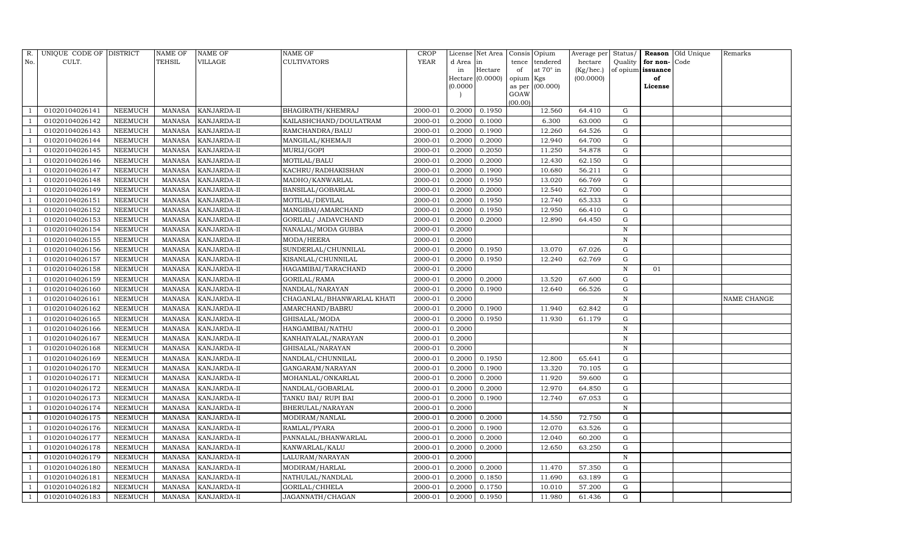| R.  |                | UNIQUE CODE OF DISTRICT |         | NAME OF       | NAME OF     | NAME OF                    | CROP        |           | License Net Area |           | Consis Opium    | Average per | Status/      |          | Reason Old Unique | Remarks     |
|-----|----------------|-------------------------|---------|---------------|-------------|----------------------------|-------------|-----------|------------------|-----------|-----------------|-------------|--------------|----------|-------------------|-------------|
| No. | CULT.          |                         |         | TEHSIL        | VILLAGE     | CULTIVATORS                | <b>YEAR</b> | d Area in |                  | tence     | tendered        | hectare     | Quality      | for non- | Code              |             |
|     |                |                         |         |               |             |                            |             | in        | Hectare          | of        | at 70° in       | (Kg/hec.)   | of opium     | issuance |                   |             |
|     |                |                         |         |               |             |                            |             |           | Hectare (0.0000) | opium Kgs |                 | (00.0000)   |              | of       |                   |             |
|     |                |                         |         |               |             |                            |             | (0.0000)  |                  | GOAW      | as per (00.000) |             |              | License  |                   |             |
|     |                |                         |         |               |             |                            |             |           |                  | (00.00)   |                 |             |              |          |                   |             |
|     | 01020104026141 |                         | NEEMUCH | MANASA        | KANJARDA-II | BHAGIRATH/KHEMRAJ          | 2000-01     | 0.2000    | 0.1950           |           | 12.560          | 64.410      | G            |          |                   |             |
|     |                | 01020104026142          | NEEMUCH | <b>MANASA</b> | KANJARDA-II | KAILASHCHAND/DOULATRAM     | 2000-01     | 0.2000    | 0.1000           |           | 6.300           | 63.000      | G            |          |                   |             |
|     |                | 01020104026143          | NEEMUCH | MANASA        | KANJARDA-II | RAMCHANDRA/BALU            | 2000-01     | 0.2000    | 0.1900           |           | 12.260          | 64.526      | G            |          |                   |             |
|     |                | 01020104026144          | NEEMUCH | <b>MANASA</b> | KANJARDA-II | MANGILAL/KHEMAJI           | 2000-01     | 0.2000    | 0.2000           |           | 12.940          | 64.700      | G            |          |                   |             |
|     |                | 01020104026145          | NEEMUCH | <b>MANASA</b> | KANJARDA-II | MURLI/GOPI                 | 2000-01     | 0.2000    | 0.2050           |           | 11.250          | 54.878      | G            |          |                   |             |
|     |                | 01020104026146          | NEEMUCH | <b>MANASA</b> | KANJARDA-II | MOTILAL/BALU               | 2000-01     | 0.2000    | 0.2000           |           | 12.430          | 62.150      | G            |          |                   |             |
|     |                | 01020104026147          | NEEMUCH | <b>MANASA</b> | KANJARDA-II | KACHRU/RADHAKISHAN         | 2000-01     | 0.2000    | 0.1900           |           | 10.680          | 56.211      | G            |          |                   |             |
|     |                | 01020104026148          | NEEMUCH | <b>MANASA</b> | KANJARDA-II | MADHO/KANWARLAL            | 2000-01     | 0.2000    | 0.1950           |           | 13.020          | 66.769      | G            |          |                   |             |
|     |                | 01020104026149          | NEEMUCH | MANASA        | KANJARDA-II | BANSILAL/GOBARLAL          | 2000-01     | 0.2000    | 0.2000           |           | 12.540          | 62.700      | G            |          |                   |             |
|     | 01020104026151 |                         | NEEMUCH | MANASA        | KANJARDA-II | MOTILAL/DEVILAL            | 2000-01     | 0.2000    | 0.1950           |           | 12.740          | 65.333      | G            |          |                   |             |
|     |                | 01020104026152          | NEEMUCH | <b>MANASA</b> | KANJARDA-II | MANGIBAI/AMARCHAND         | 2000-01     | 0.2000    | 0.1950           |           | 12.950          | 66.410      | G            |          |                   |             |
|     |                | 01020104026153          | NEEMUCH | MANASA        | KANJARDA-II | GORILAL/ JADAVCHAND        | 2000-01     | 0.2000    | 0.2000           |           | 12.890          | 64.450      | ${\rm G}$    |          |                   |             |
|     | 01020104026154 |                         | NEEMUCH | <b>MANASA</b> | KANJARDA-II | NANALAL/MODA GUBBA         | 2000-01     | 0.2000    |                  |           |                 |             | N            |          |                   |             |
|     |                | 01020104026155          | NEEMUCH | MANASA        | KANJARDA-II | MODA/HEERA                 | 2000-01     | 0.2000    |                  |           |                 |             | $\, {\rm N}$ |          |                   |             |
|     |                | 01020104026156          | NEEMUCH | <b>MANASA</b> | KANJARDA-II | SUNDERLAL/CHUNNILAL        | 2000-01     | 0.2000    | 0.1950           |           | 13.070          | 67.026      | G            |          |                   |             |
|     | 01020104026157 |                         | NEEMUCH | MANASA        | KANJARDA-II | KISANLAL/CHUNNILAL         | 2000-01     | 0.2000    | 0.1950           |           | 12.240          | 62.769      | G            |          |                   |             |
|     |                | 01020104026158          | NEEMUCH | <b>MANASA</b> | KANJARDA-II | HAGAMIBAI/TARACHAND        | 2000-01     | 0.2000    |                  |           |                 |             | N            | 01       |                   |             |
|     |                | 01020104026159          | NEEMUCH | MANASA        | KANJARDA-II | GORILAL/RAMA               | 2000-01     | 0.2000    | 0.2000           |           | 13.520          | 67.600      | G            |          |                   |             |
|     |                | 01020104026160          | NEEMUCH | <b>MANASA</b> | KANJARDA-II | NANDLAL/NARAYAN            | 2000-01     | 0.2000    | 0.1900           |           | 12.640          | 66.526      | G            |          |                   |             |
|     | 01020104026161 |                         | NEEMUCH | MANASA        | KANJARDA-II | CHAGANLAL/BHANWARLAL KHATI | 2000-01     | 0.2000    |                  |           |                 |             | N            |          |                   | NAME CHANGE |
|     |                | 01020104026162          | NEEMUCH | <b>MANASA</b> | KANJARDA-II | AMARCHAND/BABRU            | 2000-01     | 0.2000    | 0.1900           |           | 11.940          | 62.842      | G            |          |                   |             |
|     |                | 01020104026165          | NEEMUCH | MANASA        | KANJARDA-II | GHISALAL/MODA              | 2000-01     | 0.2000    | 0.1950           |           | 11.930          | 61.179      | G            |          |                   |             |
|     |                | 01020104026166          | NEEMUCH | MANASA        | KANJARDA-II | HANGAMIBAI/NATHU           | 2000-01     | 0.2000    |                  |           |                 |             | $\mathbf N$  |          |                   |             |
|     | 01020104026167 |                         | NEEMUCH | <b>MANASA</b> | KANJARDA-II | KANHAIYALAL/NARAYAN        | 2000-01     | 0.2000    |                  |           |                 |             | N            |          |                   |             |
|     |                | 01020104026168          | NEEMUCH | MANASA        | KANJARDA-II | GHISALAL/NARAYAN           | 2000-01     | 0.2000    |                  |           |                 |             | $\, {\rm N}$ |          |                   |             |
|     |                | 01020104026169          | NEEMUCH | <b>MANASA</b> | KANJARDA-II | NANDLAL/CHUNNILAL          | 2000-01     | 0.2000    | 0.1950           |           | 12.800          | 65.641      | G            |          |                   |             |
|     |                | 01020104026170          | NEEMUCH | MANASA        | KANJARDA-II | GANGARAM/NARAYAN           | 2000-01     | 0.2000    | 0.1900           |           | 13.320          | 70.105      | G            |          |                   |             |
|     | 01020104026171 |                         | NEEMUCH | <b>MANASA</b> | KANJARDA-II | MOHANLAL/ONKARLAL          | 2000-01     | 0.2000    | 0.2000           |           | 11.920          | 59.600      | ${\rm G}$    |          |                   |             |
|     |                | 01020104026172          | NEEMUCH | MANASA        | KANJARDA-II | NANDLAL/GOBARLAL           | 2000-01     | 0.2000    | 0.2000           |           | 12.970          | 64.850      | G            |          |                   |             |
|     |                | 01020104026173          | NEEMUCH | <b>MANASA</b> | KANJARDA-II | TANKU BAI/ RUPI BAI        | 2000-01     | 0.2000    | 0.1900           |           | 12.740          | 67.053      | G            |          |                   |             |
|     |                | 01020104026174          | NEEMUCH | MANASA        | KANJARDA-II | BHERULAL/NARAYAN           | 2000-01     | 0.2000    |                  |           |                 |             | $\, {\rm N}$ |          |                   |             |
|     |                | 01020104026175          | NEEMUCH | <b>MANASA</b> | KANJARDA-II | MODIRAM/NANLAL             | 2000-01     | 0.2000    | 0.2000           |           | 14.550          | 72.750      | ${\rm G}$    |          |                   |             |
|     |                | 01020104026176          | NEEMUCH | <b>MANASA</b> | KANJARDA-II | RAMLAL/PYARA               | 2000-01     | 0.2000    | 0.1900           |           | 12.070          | 63.526      | ${\rm G}$    |          |                   |             |
|     |                | 01020104026177          | NEEMUCH | <b>MANASA</b> | KANJARDA-II | PANNALAL/BHANWARLAL        | 2000-01     | 0.2000    | 0.2000           |           | 12.040          | 60.200      | G            |          |                   |             |
|     |                | 01020104026178          | NEEMUCH | <b>MANASA</b> | KANJARDA-II | KANWARLAL/KALU             | 2000-01     | 0.2000    | 0.2000           |           | 12.650          | 63.250      | ${\rm G}$    |          |                   |             |
|     |                | 01020104026179          | NEEMUCH | MANASA        | KANJARDA-II | LALURAM/NARAYAN            | 2000-01     | 0.2000    |                  |           |                 |             | $\, {\rm N}$ |          |                   |             |
|     |                | 01020104026180          | NEEMUCH | <b>MANASA</b> | KANJARDA-II | MODIRAM/HARLAL             | 2000-01     | 0.2000    | 0.2000           |           | 11.470          | 57.350      | G            |          |                   |             |
|     | 01020104026181 |                         | NEEMUCH | <b>MANASA</b> | KANJARDA-II | NATHULAL/NANDLAL           | 2000-01     | 0.2000    | 0.1850           |           | 11.690          | 63.189      | ${\rm G}$    |          |                   |             |
|     |                | 01020104026182          | NEEMUCH | <b>MANASA</b> | KANJARDA-II | GORILAL/CHHELA             | 2000-01     | 0.2000    | 0.1750           |           | 10.010          | 57.200      | G            |          |                   |             |
|     |                | 01020104026183          | NEEMUCH | MANASA        | KANJARDA-II | JAGANNATH/CHAGAN           | 2000-01     | 0.2000    | 0.1950           |           | 11.980          | 61.436      | G            |          |                   |             |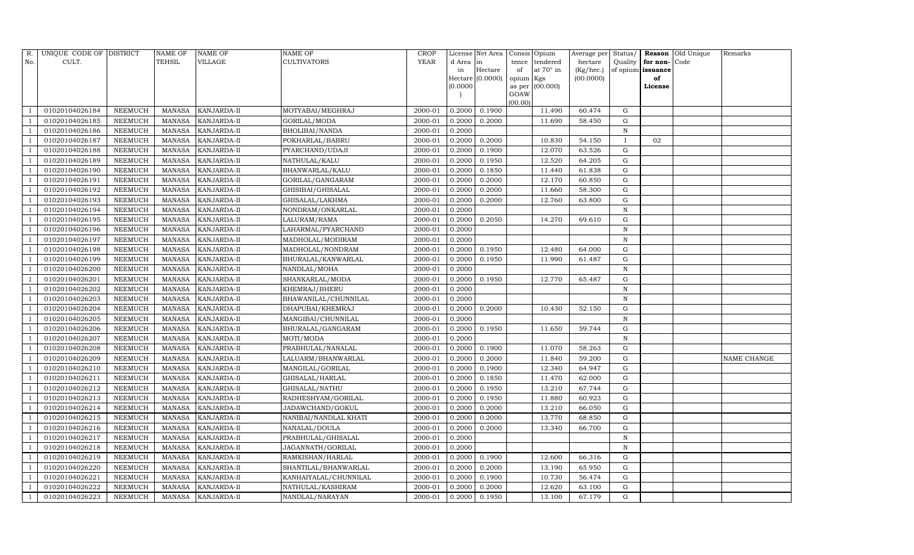| R.             | UNIQUE CODE OF DISTRICT |                | NAME OF | <b>NAME OF</b>     | <b>NAME OF</b>        | CROP    |           | License Net Area |           | Consis Opium     | Average per | Status/      |                   | Reason Old Unique | Remarks     |
|----------------|-------------------------|----------------|---------|--------------------|-----------------------|---------|-----------|------------------|-----------|------------------|-------------|--------------|-------------------|-------------------|-------------|
| No.            | CULT.                   |                | TEHSIL  | VILLAGE            | <b>CULTIVATORS</b>    | YEAR    | d Area in |                  | tence     | tendered         | hectare     | Quality      | for non-          | Code              |             |
|                |                         |                |         |                    |                       |         | in        | Hectare          | of        | at $70^\circ$ in | (Kg/hec.)   |              | of opium issuance |                   |             |
|                |                         |                |         |                    |                       |         |           | Hectare (0.0000) | opium Kgs |                  | (00.0000)   |              | of                |                   |             |
|                |                         |                |         |                    |                       |         | (0.0000)  |                  | GOAW      | as per (00.000)  |             |              | License           |                   |             |
|                |                         |                |         |                    |                       |         |           |                  | (00.00)   |                  |             |              |                   |                   |             |
|                | 01020104026184          | NEEMUCH        | MANASA  | <b>KANJARDA-II</b> | MOTYABAI/MEGHRAJ      | 2000-01 | 0.2000    | 0.1900           |           | 11.490           | 60.474      | G            |                   |                   |             |
|                | 01020104026185          | NEEMUCH        | MANASA  | KANJARDA-II        | GORILAL/MODA          | 2000-01 | 0.2000    | 0.2000           |           | 11.690           | 58.450      | G            |                   |                   |             |
|                | 01020104026186          | NEEMUCH        | MANASA  | KANJARDA-II        | BHOLIBAI/NANDA        | 2000-01 | 0.2000    |                  |           |                  |             | $\, {\rm N}$ |                   |                   |             |
|                | 01020104026187          | NEEMUCH        | MANASA  | KANJARDA-II        | POKHARLAL/BABRU       | 2000-01 | 0.2000    | 0.2000           |           | 10.830           | 54.150      | $\mathbf{I}$ | 02                |                   |             |
|                | 01020104026188          | NEEMUCH        | MANASA  | KANJARDA-II        | PYARCHAND/UDAJI       | 2000-01 | 0.2000    | 0.1900           |           | 12.070           | 63.526      | G            |                   |                   |             |
|                | 01020104026189          | NEEMUCH        | MANASA  | KANJARDA-II        | NATHULAL/KALU         | 2000-01 | 0.2000    | 0.1950           |           | 12.520           | 64.205      | G            |                   |                   |             |
|                | 01020104026190          | <b>NEEMUCH</b> | MANASA  | KANJARDA-II        | BHANWARLAL/KALU       | 2000-01 | 0.2000    | 0.1850           |           | 11.440           | 61.838      | G            |                   |                   |             |
|                | 01020104026191          | NEEMUCH        | MANASA  | KANJARDA-II        | GORILAL/GANGARAM      | 2000-01 | 0.2000    | 0.2000           |           | 12.170           | 60.850      | G            |                   |                   |             |
|                | 01020104026192          | NEEMUCH        | MANASA  | KANJARDA-II        | GHISIBAI/GHISALAL     | 2000-01 | 0.2000    | 0.2000           |           | 11.660           | 58.300      | G            |                   |                   |             |
|                | 01020104026193          | NEEMUCH        | MANASA  | KANJARDA-II        | GHISALAL/LAKHMA       | 2000-01 | 0.2000    | 0.2000           |           | 12.760           | 63.800      | G            |                   |                   |             |
|                | 01020104026194          | <b>NEEMUCH</b> | MANASA  | KANJARDA-II        | NONDRAM/ONKARLAL      | 2000-01 | 0.2000    |                  |           |                  |             | $\,$ N       |                   |                   |             |
|                | 01020104026195          | NEEMUCH        | MANASA  | KANJARDA-II        | LALURAM/RAMA          | 2000-01 | 0.2000    | 0.2050           |           | 14.270           | 69.610      | ${\rm G}$    |                   |                   |             |
|                | 01020104026196          | NEEMUCH        | MANASA  | KANJARDA-II        | LAHARMAL/PYARCHAND    | 2000-01 | 0.2000    |                  |           |                  |             | N            |                   |                   |             |
|                | 01020104026197          | NEEMUCH        | MANASA  | KANJARDA-II        | MADHOLAL/MODIRAM      | 2000-01 | 0.2000    |                  |           |                  |             | N            |                   |                   |             |
|                | 01020104026198          | NEEMUCH        | MANASA  | KANJARDA-II        | MADHOLAL/NONDRAM      | 2000-01 | 0.2000    | 0.1950           |           | 12.480           | 64.000      | G            |                   |                   |             |
|                | 01020104026199          | NEEMUCH        | MANASA  | KANJARDA-II        | BHURALAL/KANWARLAL    | 2000-01 | 0.2000    | 0.1950           |           | 11.990           | 61.487      | G            |                   |                   |             |
|                | 01020104026200          | NEEMUCH        | MANASA  | KANJARDA-II        | NANDLAL/MOHA          | 2000-01 | 0.2000    |                  |           |                  |             | N            |                   |                   |             |
|                | 01020104026201          | NEEMUCH        | MANASA  | KANJARDA-II        | SHANKARLAL/MODA       | 2000-01 | 0.2000    | 0.1950           |           | 12.770           | 65.487      | G            |                   |                   |             |
|                | 01020104026202          | NEEMUCH        | MANASA  | KANJARDA-II        | KHEMRAJ/BHERU         | 2000-01 | 0.2000    |                  |           |                  |             | N            |                   |                   |             |
|                | 01020104026203          | <b>NEEMUCH</b> | MANASA  | KANJARDA-II        | BHAWANILAL/CHUNNILAL  | 2000-01 | 0.2000    |                  |           |                  |             | N            |                   |                   |             |
|                | 01020104026204          | NEEMUCH        | MANASA  | KANJARDA-II        | DHAPUBAI/KHEMRAJ      | 2000-01 | 0.2000    | 0.2000           |           | 10.430           | 52.150      | ${\rm G}$    |                   |                   |             |
|                | 01020104026205          | <b>NEEMUCH</b> | MANASA  | KANJARDA-II        | MANGIBAI/CHUNNILAL    | 2000-01 | 0.2000    |                  |           |                  |             | N            |                   |                   |             |
|                | 01020104026206          | NEEMUCH        | MANASA  | KANJARDA-II        | BHURALAL/GANGARAM     | 2000-01 | 0.2000    | 0.1950           |           | 11.650           | 59.744      | G            |                   |                   |             |
|                | 01020104026207          | NEEMUCH        | MANASA  | KANJARDA-II        | MOTI/MODA             | 2000-01 | 0.2000    |                  |           |                  |             | $\, {\rm N}$ |                   |                   |             |
|                | 01020104026208          | <b>NEEMUCH</b> | MANASA  | KANJARDA-II        | PRABHULAL/NANALAL     | 2000-01 | 0.2000    | 0.1900           |           | 11.070           | 58.263      | ${\rm G}$    |                   |                   |             |
|                | 01020104026209          | NEEMUCH        | MANASA  | KANJARDA-II        | LALUARM/BHANWARLAL    | 2000-01 | 0.2000    | 0.2000           |           | 11.840           | 59.200      | G            |                   |                   | NAME CHANGE |
|                | 01020104026210          | NEEMUCH        | MANASA  | KANJARDA-II        | MANGILAL/GORILAL      | 2000-01 | 0.2000    | 0.1900           |           | 12.340           | 64.947      | ${\rm G}$    |                   |                   |             |
|                | 01020104026211          | <b>NEEMUCH</b> | MANASA  | KANJARDA-II        | GHISALAL/HARLAL       | 2000-01 | 0.2000    | 0.1850           |           | 11.470           | 62.000      | $\mathbf G$  |                   |                   |             |
|                | 01020104026212          | NEEMUCH        | MANASA  | KANJARDA-II        | GHISALAL/NATHU        | 2000-01 | 0.2000    | 0.1950           |           | 13.210           | 67.744      | G            |                   |                   |             |
|                | 01020104026213          | <b>NEEMUCH</b> | MANASA  | KANJARDA-II        | RADHESHYAM/GORILAL    | 2000-01 | 0.2000    | 0.1950           |           | 11.880           | 60.923      | ${\rm G}$    |                   |                   |             |
|                | 01020104026214          | NEEMUCH        | MANASA  | KANJARDA-II        | JADAWCHAND/GOKUL      | 2000-01 | 0.2000    | 0.2000           |           | 13.210           | 66.050      | $\mathbf G$  |                   |                   |             |
|                | 01020104026215          | NEEMUCH        | MANASA  | KANJARDA-II        | NANIBAI/NANDLAL KHATI | 2000-01 | 0.2000    | 0.2000           |           | 13.770           | 68.850      | ${\rm G}$    |                   |                   |             |
|                | 01020104026216          | NEEMUCH        | MANASA  | KANJARDA-II        | NANALAL/DOULA         | 2000-01 | 0.2000    | 0.2000           |           | 13.340           | 66.700      | ${\rm G}$    |                   |                   |             |
|                | 01020104026217          | <b>NEEMUCH</b> | MANASA  | KANJARDA-II        | PRABHULAL/GHISALAL    | 2000-01 | 0.2000    |                  |           |                  |             | N            |                   |                   |             |
| - 1            | 01020104026218          | NEEMUCH        | MANASA  | KANJARDA-II        | JAGANNATH/GORILAL     | 2000-01 | 0.2000    |                  |           |                  |             | $\, {\rm N}$ |                   |                   |             |
|                | 01020104026219          | <b>NEEMUCH</b> | MANASA  | KANJARDA-II        | RAMKISHAN/HARLAL      | 2000-01 | 0.2000    | 0.1900           |           | 12.600           | 66.316      | $\mathbf G$  |                   |                   |             |
|                | 01020104026220          | NEEMUCH        | MANASA  | KANJARDA-II        | SHANTILAL/BHANWARLAL  | 2000-01 | 0.2000    | 0.2000           |           | 13.190           | 65.950      | G            |                   |                   |             |
|                | 01020104026221          | NEEMUCH        | MANASA  | KANJARDA-II        | KANHAIYALAL/CHUNNILAL | 2000-01 | 0.2000    | 0.1900           |           | 10.730           | 56.474      | G            |                   |                   |             |
| $\overline{1}$ | 01020104026222          | NEEMUCH        | MANASA  | KANJARDA-II        | NATHULAL/KASHIRAM     | 2000-01 | 0.2000    | 0.2000           |           | 12.620           | 63.100      | G            |                   |                   |             |
| $\mathbf{1}$   | 01020104026223          | <b>NEEMUCH</b> |         | MANASA KANJARDA-II | NANDLAL/NARAYAN       | 2000-01 | 0.2000    | 0.1950           |           | 13.100           | 67.179      | G            |                   |                   |             |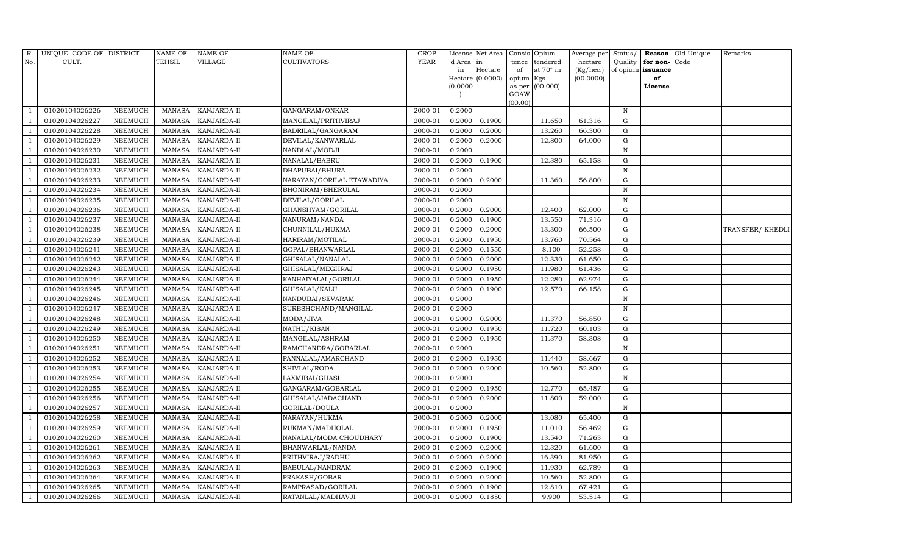| R.  | UNIQUE CODE OF DISTRICT |                | <b>NAME OF</b> | NAME OF            | <b>NAME OF</b>            | <b>CROP</b> |           | License Net Area |                 | Consis Opium      | Average per | Status/      |                   | Reason Old Unique | Remarks         |
|-----|-------------------------|----------------|----------------|--------------------|---------------------------|-------------|-----------|------------------|-----------------|-------------------|-------------|--------------|-------------------|-------------------|-----------------|
| No. | CULT.                   |                | TEHSIL         | VILLAGE            | <b>CULTIVATORS</b>        | YEAR        | d Area in |                  | tence           | tendered          | hectare     | Quality      | for non-          | Code              |                 |
|     |                         |                |                |                    |                           |             | in        | Hectare          | of              | at $70^\circ$ in  | (Kg/hec.)   |              | of opium issuance |                   |                 |
|     |                         |                |                |                    |                           |             |           | Hectare (0.0000) | opium Kgs       |                   | (00.0000)   |              | of                |                   |                 |
|     |                         |                |                |                    |                           |             | (0.0000)  |                  |                 | as per $(00.000)$ |             |              | License           |                   |                 |
|     |                         |                |                |                    |                           |             |           |                  | GOAW<br>(00.00) |                   |             |              |                   |                   |                 |
|     | 01020104026226          | NEEMUCH        | MANASA         | KANJARDA-II        | GANGARAM/ONKAR            | 2000-01     | 0.2000    |                  |                 |                   |             | $\, {\rm N}$ |                   |                   |                 |
|     | 01020104026227          | NEEMUCH        | MANASA         | KANJARDA-II        | MANGILAL/PRITHVIRAJ       | 2000-01     | 0.2000    | 0.1900           |                 | 11.650            | 61.316      | G            |                   |                   |                 |
|     | 01020104026228          | NEEMUCH        | MANASA         | KANJARDA-II        | BADRILAL/GANGARAM         | 2000-01     | 0.2000    | 0.2000           |                 | 13.260            | 66.300      | G            |                   |                   |                 |
|     | 01020104026229          | NEEMUCH        | MANASA         | KANJARDA-II        | DEVILAL/KANWARLAL         | 2000-01     | 0.2000    | 0.2000           |                 | 12.800            | 64.000      | G            |                   |                   |                 |
|     | 01020104026230          | NEEMUCH        | <b>MANASA</b>  | KANJARDA-II        | NANDLAL/MODJI             | 2000-01     | 0.2000    |                  |                 |                   |             | N            |                   |                   |                 |
|     | 01020104026231          | NEEMUCH        | MANASA         | KANJARDA-II        | NANALAL/BABRU             | 2000-01     | 0.2000    | 0.1900           |                 | 12.380            | 65.158      | G            |                   |                   |                 |
|     | 01020104026232          | NEEMUCH        | <b>MANASA</b>  | KANJARDA-II        | DHAPUBAI/BHURA            | 2000-01     | 0.2000    |                  |                 |                   |             | N            |                   |                   |                 |
|     | 01020104026233          | NEEMUCH        | MANASA         | KANJARDA-II        | NARAYAN/GORILAL ETAWADIYA | 2000-01     | 0.2000    | 0.2000           |                 | 11.360            | 56.800      | G            |                   |                   |                 |
|     | 01020104026234          | NEEMUCH        | <b>MANASA</b>  | KANJARDA-II        | BHONIRAM/BHERULAL         | 2000-01     | 0.2000    |                  |                 |                   |             | N            |                   |                   |                 |
|     | 01020104026235          | NEEMUCH        | MANASA         | KANJARDA-II        | DEVILAL/GORILAL           | 2000-01     | 0.2000    |                  |                 |                   |             | N            |                   |                   |                 |
|     | 01020104026236          | NEEMUCH        | <b>MANASA</b>  | KANJARDA-II        | GHANSHYAM/GORILAL         | 2000-01     | 0.2000    | 0.2000           |                 | 12.400            | 62.000      | G            |                   |                   |                 |
|     | 01020104026237          | NEEMUCH        | MANASA         | KANJARDA-II        | NANURAM/NANDA             | 2000-01     | 0.2000    | 0.1900           |                 | 13.550            | 71.316      | G            |                   |                   |                 |
|     | 01020104026238          | NEEMUCH        | <b>MANASA</b>  | KANJARDA-II        | CHUNNILAL/HUKMA           | 2000-01     | 0.2000    | 0.2000           |                 | 13.300            | 66.500      | G            |                   |                   | TRANSFER/KHEDLI |
|     | 01020104026239          | NEEMUCH        | <b>MANASA</b>  | KANJARDA-II        | HARIRAM/MOTILAL           | 2000-01     | 0.2000    | 0.1950           |                 | 13.760            | 70.564      | G            |                   |                   |                 |
|     | 01020104026241          | NEEMUCH        | <b>MANASA</b>  | KANJARDA-II        | GOPAL/BHANWARLAL          | 2000-01     | 0.2000    | 0.1550           |                 | 8.100             | 52.258      | G            |                   |                   |                 |
|     | 01020104026242          | NEEMUCH        | <b>MANASA</b>  | KANJARDA-II        | GHISALAL/NANALAL          | 2000-01     | 0.2000    | 0.2000           |                 | 12.330            | 61.650      | ${\rm G}$    |                   |                   |                 |
|     | 01020104026243          | NEEMUCH        | <b>MANASA</b>  | KANJARDA-II        | GHISALAL/MEGHRAJ          | 2000-01     | 0.2000    | 0.1950           |                 | 11.980            | 61.436      | G            |                   |                   |                 |
|     | 01020104026244          | NEEMUCH        | <b>MANASA</b>  | KANJARDA-II        | KANHAIYALAL/GORILAL       | 2000-01     | 0.2000    | 0.1950           |                 | 12.280            | 62.974      | G            |                   |                   |                 |
|     | 01020104026245          | NEEMUCH        | <b>MANASA</b>  | KANJARDA-II        | GHISALAL/KALU             | 2000-01     | 0.2000    | 0.1900           |                 | 12.570            | 66.158      | G            |                   |                   |                 |
|     | 01020104026246          | NEEMUCH        | <b>MANASA</b>  | KANJARDA-II        | NANDUBAI/SEVARAM          | 2000-01     | 0.2000    |                  |                 |                   |             | $\mathbf N$  |                   |                   |                 |
|     | 01020104026247          | NEEMUCH        | MANASA         | KANJARDA-II        | SURESHCHAND/MANGILAL      | 2000-01     | 0.2000    |                  |                 |                   |             | $\, {\bf N}$ |                   |                   |                 |
|     | 01020104026248          | NEEMUCH        | <b>MANASA</b>  | KANJARDA-II        | MODA/JIVA                 | 2000-01     | 0.2000    | 0.2000           |                 | 11.370            | 56.850      | G            |                   |                   |                 |
|     | 01020104026249          | NEEMUCH        | MANASA         | KANJARDA-II        | NATHU/KISAN               | 2000-01     | 0.2000    | 0.1950           |                 | 11.720            | 60.103      | G            |                   |                   |                 |
|     | 01020104026250          | NEEMUCH        | <b>MANASA</b>  | KANJARDA-II        | MANGILAL/ASHRAM           | 2000-01     | 0.2000    | 0.1950           |                 | 11.370            | 58.308      | G            |                   |                   |                 |
|     | 01020104026251          | NEEMUCH        | MANASA         | KANJARDA-II        | RAMCHANDRA/GOBARLAL       | 2000-01     | 0.2000    |                  |                 |                   |             | $\, {\bf N}$ |                   |                   |                 |
|     | 01020104026252          | NEEMUCH        | MANASA         | KANJARDA-II        | PANNALAL/AMARCHAND        | 2000-01     | 0.2000    | 0.1950           |                 | 11.440            | 58.667      | G            |                   |                   |                 |
|     | 01020104026253          | NEEMUCH        | MANASA         | KANJARDA-II        | SHIVLAL/RODA              | 2000-01     | 0.2000    | 0.2000           |                 | 10.560            | 52.800      | G            |                   |                   |                 |
|     | 01020104026254          | NEEMUCH        | <b>MANASA</b>  | KANJARDA-II        | LAXMIBAI/GHASI            | 2000-01     | 0.2000    |                  |                 |                   |             | $\, {\bf N}$ |                   |                   |                 |
|     | 01020104026255          | NEEMUCH        | MANASA         | KANJARDA-II        | GANGARAM/GOBARLAL         | 2000-01     | 0.2000    | 0.1950           |                 | 12.770            | 65.487      | G            |                   |                   |                 |
|     | 01020104026256          | NEEMUCH        | <b>MANASA</b>  | KANJARDA-II        | GHISALAL/JADACHAND        | 2000-01     | 0.2000    | 0.2000           |                 | 11.800            | 59.000      | G            |                   |                   |                 |
|     | 01020104026257          | NEEMUCH        | <b>MANASA</b>  | KANJARDA-II        | GORILAL/DOULA             | 2000-01     | 0.2000    |                  |                 |                   |             | $\, {\bf N}$ |                   |                   |                 |
|     | 01020104026258          | NEEMUCH        | <b>MANASA</b>  | KANJARDA-II        | NARAYAN/HUKMA             | 2000-01     | 0.2000    | 0.2000           |                 | 13.080            | 65.400      | G            |                   |                   |                 |
|     | 01020104026259          | NEEMUCH        | <b>MANASA</b>  | KANJARDA-II        | RUKMAN/MADHOLAL           | 2000-01     | 0.2000    | 0.1950           |                 | 11.010            | 56.462      | G            |                   |                   |                 |
|     | 01020104026260          | NEEMUCH        | MANASA         | KANJARDA-II        | NANALAL/MODA CHOUDHARY    | 2000-01     | 0.2000    | 0.1900           |                 | 13.540            | 71.263      | G            |                   |                   |                 |
|     | 01020104026261          | NEEMUCH        | <b>MANASA</b>  | KANJARDA-II        | BHANWARLAL/NANDA          | 2000-01     | 0.2000    | 0.2000           |                 | 12.320            | 61.600      | G            |                   |                   |                 |
|     | 01020104026262          | <b>NEEMUCH</b> | <b>MANASA</b>  | KANJARDA-II        | PRITHVIRAJ/RADHU          | 2000-01     | 0.2000    | 0.2000           |                 | 16.390            | 81.950      | G            |                   |                   |                 |
|     | 01020104026263          | NEEMUCH        | MANASA         | KANJARDA-II        | BABULAL/NANDRAM           | 2000-01     | 0.2000    | 0.1900           |                 | 11.930            | 62.789      | G            |                   |                   |                 |
|     | 01020104026264          | NEEMUCH        | <b>MANASA</b>  | KANJARDA-II        | PRAKASH/GOBAR             | 2000-01     | 0.2000    | 0.2000           |                 | 10.560            | 52.800      | G            |                   |                   |                 |
|     | 01020104026265          | NEEMUCH        | <b>MANASA</b>  | KANJARDA-II        | RAMPRASAD/GORILAL         | 2000-01     | 0.2000    | 0.1900           |                 | 12.810            | 67.421      | $\mathbf G$  |                   |                   |                 |
|     | 01020104026266          | NEEMUCH        |                | MANASA KANJARDA-II | RATANLAL/MADHAVJI         | 2000-01     | 0.2000    | 0.1850           |                 | 9.900             | 53.514      | G            |                   |                   |                 |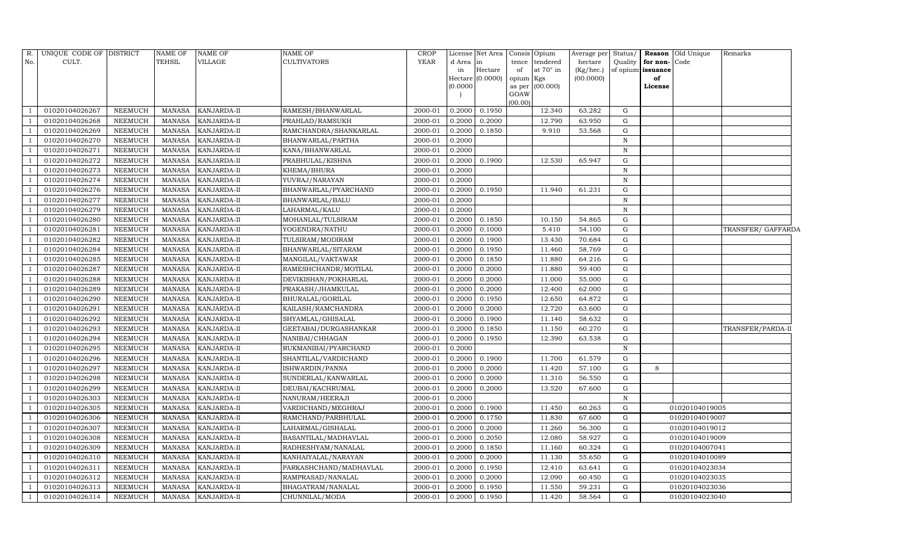| R.  | UNIQUE CODE OF DISTRICT |                | <b>NAME OF</b> | <b>NAME OF</b>     | <b>NAME OF</b>         | <b>CROP</b> |          | License Net Area | Consis Opium              | Average per | Status/      |                   | <b>Reason</b> Old Unique | Remarks            |
|-----|-------------------------|----------------|----------------|--------------------|------------------------|-------------|----------|------------------|---------------------------|-------------|--------------|-------------------|--------------------------|--------------------|
| No. | CULT.                   |                | <b>TEHSIL</b>  | VILLAGE            | <b>CULTIVATORS</b>     | <b>YEAR</b> | d Area   | in               | tence<br>tendered         | hectare     | Quality      | for non-Code      |                          |                    |
|     |                         |                |                |                    |                        |             | in       | $\rm{Hectare}$   | at 70° in<br>of           | (Kg/hec.)   |              | of opium issuance |                          |                    |
|     |                         |                |                |                    |                        |             |          | Hectare (0.0000) | opium Kgs                 | (00.0000)   |              | of                |                          |                    |
|     |                         |                |                |                    |                        |             | (0.0000) |                  | as per $(00.000)$<br>GOAW |             |              | License           |                          |                    |
|     |                         |                |                |                    |                        |             |          |                  | (00.00)                   |             |              |                   |                          |                    |
|     | 01020104026267          | <b>NEEMUCH</b> | MANASA         | KANJARDA-II        | RAMESH/BHANWARLAL      | 2000-01     | 0.2000   | 0.1950           | 12.340                    | 63.282      | G            |                   |                          |                    |
|     | 01020104026268          | <b>NEEMUCH</b> | <b>MANASA</b>  | KANJARDA-II        | PRAHLAD/RAMSUKH        | 2000-01     | 0.2000   | 0.2000           | 12.790                    | 63.950      | ${\rm G}$    |                   |                          |                    |
|     | 01020104026269          | <b>NEEMUCH</b> | <b>MANASA</b>  | KANJARDA-II        | RAMCHANDRA/SHANKARLAL  | 2000-01     | 0.2000   | 0.1850           | 9.910                     | 53.568      | ${\rm G}$    |                   |                          |                    |
|     | 01020104026270          | <b>NEEMUCH</b> | <b>MANASA</b>  | KANJARDA-II        | BHANWARLAL/PARTHA      | 2000-01     | 0.2000   |                  |                           |             | $\mathbf N$  |                   |                          |                    |
|     | 01020104026271          | NEEMUCH        | <b>MANASA</b>  | KANJARDA-II        | KANA/BHANWARLAL        | 2000-01     | 0.2000   |                  |                           |             | $\, {\rm N}$ |                   |                          |                    |
|     | 01020104026272          | <b>NEEMUCH</b> | <b>MANASA</b>  | KANJARDA-II        | PRABHULAL/KISHNA       | 2000-01     | 0.2000   | 0.1900           | 12.530                    | 65.947      | G            |                   |                          |                    |
|     | 01020104026273          | <b>NEEMUCH</b> | <b>MANASA</b>  | KANJARDA-II        | KHEMA/BHURA            | 2000-01     | 0.2000   |                  |                           |             | ${\bf N}$    |                   |                          |                    |
|     | 01020104026274          | <b>NEEMUCH</b> | <b>MANASA</b>  | KANJARDA-II        | YUVRAJ/NARAYAN         | 2000-01     | 0.2000   |                  |                           |             | ${\bf N}$    |                   |                          |                    |
|     | 01020104026276          | NEEMUCH        | MANASA         | KANJARDA-II        | BHANWARLAL/PYARCHAND   | 2000-01     | 0.2000   | 0.1950           | 11.940                    | 61.231      | G            |                   |                          |                    |
|     | 01020104026277          | NEEMUCH        | <b>MANASA</b>  | KANJARDA-II        | BHANWARLAL/BALU        | 2000-01     | 0.2000   |                  |                           |             | $\mathbf N$  |                   |                          |                    |
|     | 01020104026279          | <b>NEEMUCH</b> | <b>MANASA</b>  | KANJARDA-II        | LAHARMAL/KALU          | 2000-01     | 0.2000   |                  |                           |             | N            |                   |                          |                    |
|     | 01020104026280          | <b>NEEMUCH</b> | <b>MANASA</b>  | KANJARDA-II        | MOHANLAL/TULSIRAM      | 2000-01     | 0.2000   | 0.1850           | 10.150                    | 54.865      | G            |                   |                          |                    |
|     | 01020104026281          | <b>NEEMUCH</b> | <b>MANASA</b>  | KANJARDA-II        | YOGENDRA/NATHU         | 2000-01     | 0.2000   | 0.1000           | 5.410                     | 54.100      | G            |                   |                          | TRANSFER/ GAFFARDA |
|     | 01020104026282          | <b>NEEMUCH</b> | <b>MANASA</b>  | KANJARDA-II        | TULSIRAM/MODIRAM       | 2000-01     | 0.2000   | 0.1900           | 13.430                    | 70.684      | G            |                   |                          |                    |
|     | 01020104026284          | <b>NEEMUCH</b> | <b>MANASA</b>  | KANJARDA-II        | BHANWARLAL/SITARAM     | 2000-01     | 0.2000   | 0.1950           | 11.460                    | 58.769      | G            |                   |                          |                    |
|     | 01020104026285          | <b>NEEMUCH</b> | <b>MANASA</b>  | KANJARDA-II        | MANGILAL/VAKTAWAR      | 2000-01     | 0.2000   | 0.1850           | 11.880                    | 64.216      | G            |                   |                          |                    |
|     | 01020104026287          | <b>NEEMUCH</b> | <b>MANASA</b>  | KANJARDA-II        | RAMESHCHANDR/MOTILAL   | 2000-01     | 0.2000   | 0.2000           | 11.880                    | 59.400      | G            |                   |                          |                    |
|     | 01020104026288          | <b>NEEMUCH</b> | <b>MANASA</b>  | KANJARDA-II        | DEVIKISHAN/POKHARLAL   | 2000-01     | 0.2000   | 0.2000           | 11.000                    | 55.000      | G            |                   |                          |                    |
|     | 01020104026289          | <b>NEEMUCH</b> | <b>MANASA</b>  | KANJARDA-II        | PRAKASH/JHAMKULAL      | 2000-01     | 0.2000   | 0.2000           | 12.400                    | 62.000      | ${\rm G}$    |                   |                          |                    |
|     | 01020104026290          | <b>NEEMUCH</b> | <b>MANASA</b>  | KANJARDA-II        | BHURALAL/GORILAL       | 2000-01     | 0.2000   | 0.1950           | 12.650                    | 64.872      | G            |                   |                          |                    |
|     | 01020104026291          | <b>NEEMUCH</b> | <b>MANASA</b>  | KANJARDA-II        | KAILASH/RAMCHANDRA     | 2000-01     | 0.2000   | 0.2000           | 12.720                    | 63.600      | G            |                   |                          |                    |
|     | 01020104026292          | <b>NEEMUCH</b> | <b>MANASA</b>  | KANJARDA-II        | SHYAMLAL/GHISALAL      | 2000-01     | 0.2000   | 0.1900           | 11.140                    | 58.632      | G            |                   |                          |                    |
|     | 01020104026293          | <b>NEEMUCH</b> | <b>MANASA</b>  | KANJARDA-II        | GEETABAI/DURGASHANKAR  | 2000-01     | 0.2000   | 0.1850           | 11.150                    | 60.270      | G            |                   |                          | TRANSFER/PARDA-II  |
|     | 01020104026294          | <b>NEEMUCH</b> | <b>MANASA</b>  | KANJARDA-II        | NANIBAI/CHHAGAN        | 2000-01     | 0.2000   | 0.1950           | 12.390                    | 63.538      | G            |                   |                          |                    |
|     | 01020104026295          | <b>NEEMUCH</b> | <b>MANASA</b>  | KANJARDA-II        | RUKMANIBAI/PYARCHAND   | 2000-01     | 0.2000   |                  |                           |             | N            |                   |                          |                    |
|     | 01020104026296          | <b>NEEMUCH</b> | <b>MANASA</b>  | KANJARDA-II        | SHANTILAL/VARDICHAND   | 2000-01     | 0.2000   | 0.1900           | 11.700                    | 61.579      | G            |                   |                          |                    |
|     | 01020104026297          | <b>NEEMUCH</b> | <b>MANASA</b>  | KANJARDA-II        | ISHWARDIN/PANNA        | 2000-01     | 0.2000   | 0.2000           | 11.420                    | 57.100      | G            | 8                 |                          |                    |
|     | 01020104026298          | <b>NEEMUCH</b> | <b>MANASA</b>  | KANJARDA-II        | SUNDERLAL/KANWARLAL    | 2000-01     | 0.2000   | 0.2000           | 11.310                    | 56.550      | G            |                   |                          |                    |
|     | 01020104026299          | <b>NEEMUCH</b> | <b>MANASA</b>  | KANJARDA-II        | DEUBAI/KACHRUMAL       | 2000-01     | 0.2000   | 0.2000           | 13.520                    | 67.600      | G            |                   |                          |                    |
|     | 01020104026303          | <b>NEEMUCH</b> | <b>MANASA</b>  | KANJARDA-II        | NANURAM/HEERAJI        | 2000-01     | 0.2000   |                  |                           |             | N            |                   |                          |                    |
|     | 01020104026305          | <b>NEEMUCH</b> | <b>MANASA</b>  | KANJARDA-II        | VARDICHAND/MEGHRAJ     | 2000-01     | 0.2000   | 0.1900           | 11.450                    | 60.263      | G            |                   | 01020104019005           |                    |
|     | 01020104026306          | <b>NEEMUCH</b> | <b>MANASA</b>  | KANJARDA-II        | RAMCHAND/PARBHULAL     | 2000-01     | 0.2000   | 0.1750           | 11.830                    | 67.600      | ${\rm G}$    |                   | 01020104019007           |                    |
|     | 01020104026307          | <b>NEEMUCH</b> | <b>MANASA</b>  | KANJARDA-II        | LAHARMAL/GISHALAL      | 2000-01     | 0.2000   | 0.2000           | 11.260                    | 56.300      | ${\rm G}$    |                   | 01020104019012           |                    |
|     | 01020104026308          | <b>NEEMUCH</b> | <b>MANASA</b>  | KANJARDA-II        | BASANTILAL/MADHAVLAL   | 2000-01     | 0.2000   | 0.2050           | 12.080                    | 58.927      | G            |                   | 01020104019009           |                    |
|     | 01020104026309          | <b>NEEMUCH</b> | MANASA         | KANJARDA-II        | RADHESHYAM/NANALAL     | 2000-01     | 0.2000   | 0.1850           | 11.160                    | 60.324      | G            |                   | 01020104007041           |                    |
|     | 01020104026310          | <b>NEEMUCH</b> | <b>MANASA</b>  | KANJARDA-II        | KANHAIYALAL/NARAYAN    | 2000-01     | 0.2000   | 0.2000           | 11.130                    | 55.650      | ${\rm G}$    |                   | 01020104010089           |                    |
|     | 01020104026311          | <b>NEEMUCH</b> | <b>MANASA</b>  | KANJARDA-II        | PARKASHCHAND/MADHAVLAL | 2000-01     | 0.2000   | 0.1950           | 12.410                    | 63.641      | G            |                   | 01020104023034           |                    |
|     | 01020104026312          | <b>NEEMUCH</b> | <b>MANASA</b>  | KANJARDA-II        | RAMPRASAD/NANALAL      | 2000-01     | 0.2000   | 0.2000           | 12.090                    | 60.450      | G            |                   | 01020104023035           |                    |
|     | 01020104026313          | NEEMUCH        | <b>MANASA</b>  | KANJARDA-II        | BHAGATRAM/NANALAL      | 2000-01     | 0.2000   | 0.1950           | 11.550                    | 59.231      | G            | 01020104023036    |                          |                    |
| -1  | 01020104026314          | <b>NEEMUCH</b> | MANASA         | <b>KANJARDA-II</b> | CHUNNILAL/MODA         | 2000-01     | 0.2000   | 0.1950           | 11.420                    | 58.564      | G            |                   | 01020104023040           |                    |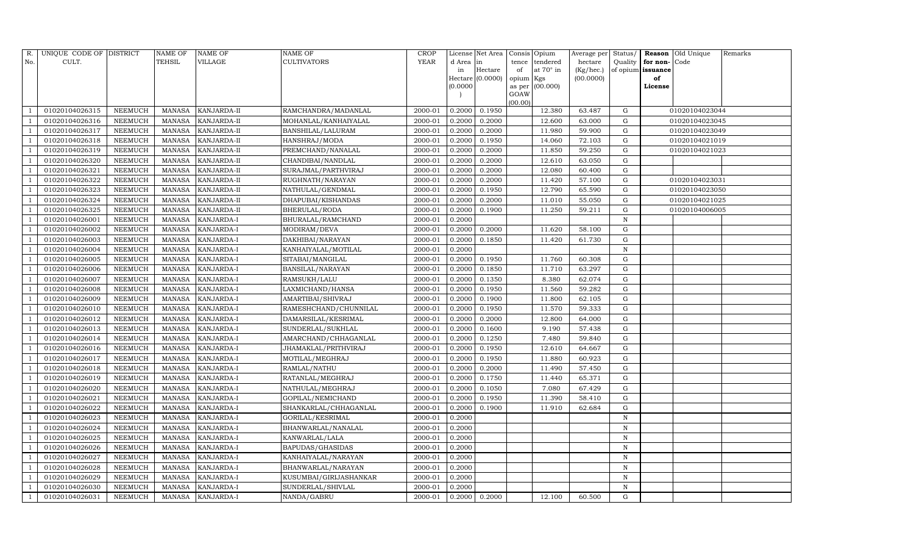| R.           | UNIQUE CODE OF DISTRICT |                | <b>NAME OF</b> | <b>NAME OF</b>    | <b>NAME OF</b>           | CROP        |           | License Net Area |           | Consis Opium     | Average per | Status/     |                   | Reason Old Unique | Remarks |
|--------------|-------------------------|----------------|----------------|-------------------|--------------------------|-------------|-----------|------------------|-----------|------------------|-------------|-------------|-------------------|-------------------|---------|
| No.          | CULT.                   |                | TEHSIL         | VILLAGE           | <b>CULTIVATORS</b>       | <b>YEAR</b> | d Area in |                  | tence     | tendered         | hectare     | Quality     | for non-          | Code              |         |
|              |                         |                |                |                   |                          |             | in        | Hectare          | of        | at $70^\circ$ in | (Kg/hec.)   |             | of opium issuance |                   |         |
|              |                         |                |                |                   |                          |             |           | Hectare (0.0000) | opium Kgs |                  | (00.0000)   |             | of                |                   |         |
|              |                         |                |                |                   |                          |             | (0.0000)  |                  | GOAW      | as per (00.000)  |             |             | License           |                   |         |
|              |                         |                |                |                   |                          |             |           |                  | (00.00)   |                  |             |             |                   |                   |         |
|              | 01020104026315          | NEEMUCH        | MANASA         | KANJARDA-II       | RAMCHANDRA/MADANLAL      | 2000-01     | 0.2000    | 0.1950           |           | 12.380           | 63.487      | G           |                   | 01020104023044    |         |
|              | 01020104026316          | <b>NEEMUCH</b> | <b>MANASA</b>  | KANJARDA-II       | MOHANLAL/KANHAIYALAL     | 2000-01     | 0.2000    | 0.2000           |           | 12.600           | 63.000      | G           |                   | 01020104023045    |         |
|              | 01020104026317          | NEEMUCH        | MANASA         | KANJARDA-II       | <b>BANSHILAL/LALURAM</b> | 2000-01     | 0.2000    | 0.2000           |           | 11.980           | 59.900      | G           |                   | 01020104023049    |         |
|              | 01020104026318          | NEEMUCH        | MANASA         | KANJARDA-II       | HANSHRAJ/MODA            | 2000-01     | 0.2000    | 0.1950           |           | 14.060           | 72.103      | ${\rm G}$   |                   | 01020104021019    |         |
|              | 01020104026319          | NEEMUCH        | MANASA         | KANJARDA-II       | PREMCHAND/NANALAL        | 2000-01     | 0.2000    | 0.2000           |           | 11.850           | 59.250      | ${\rm G}$   |                   | 01020104021023    |         |
|              | 01020104026320          | <b>NEEMUCH</b> | MANASA         | KANJARDA-II       | CHANDIBAI/NANDLAL        | 2000-01     | 0.2000    | 0.2000           |           | 12.610           | 63.050      | ${\rm G}$   |                   |                   |         |
|              | 01020104026321          | NEEMUCH        | MANASA         | KANJARDA-II       | SURAJMAL/PARTHVIRAJ      | 2000-01     | 0.2000    | 0.2000           |           | 12.080           | 60.400      | G           |                   |                   |         |
| - 1          | 01020104026322          | NEEMUCH        | MANASA         | KANJARDA-II       | RUGHNATH/NARAYAN         | 2000-01     | 0.2000    | 0.2000           |           | 11.420           | 57.100      | ${\rm G}$   |                   | 01020104023031    |         |
|              | 01020104026323          | NEEMUCH        | MANASA         | KANJARDA-II       | NATHULAL/GENDMAL         | 2000-01     | 0.2000    | 0.1950           |           | 12.790           | 65.590      | G           |                   | 01020104023050    |         |
|              | 01020104026324          | NEEMUCH        | MANASA         | KANJARDA-II       | DHAPUBAI/KISHANDAS       | 2000-01     | 0.2000    | 0.2000           |           | 11.010           | 55.050      | ${\rm G}$   |                   | 01020104021025    |         |
|              | 01020104026325          | NEEMUCH        | <b>MANASA</b>  | KANJARDA-II       | BHERULAL/RODA            | 2000-01     | 0.2000    | 0.1900           |           | 11.250           | 59.211      | ${\rm G}$   |                   | 01020104006005    |         |
|              | 01020104026001          | <b>NEEMUCH</b> | MANASA         | KANJARDA-I        | BHURALAL/RAMCHAND        | 2000-01     | 0.2000    |                  |           |                  |             | N           |                   |                   |         |
|              | 01020104026002          | <b>NEEMUCH</b> | <b>MANASA</b>  | <b>KANJARDA-I</b> | MODIRAM/DEVA             | 2000-01     | 0.2000    | 0.2000           |           | 11.620           | 58.100      | G           |                   |                   |         |
|              | 01020104026003          | <b>NEEMUCH</b> | MANASA         | KANJARDA-I        | DAKHIBAI/NARAYAN         | 2000-01     | 0.2000    | 0.1850           |           | 11.420           | 61.730      | G           |                   |                   |         |
|              | 01020104026004          | <b>NEEMUCH</b> | MANASA         | KANJARDA-I        | KANHAIYALAL/MOTILAL      | 2000-01     | 0.2000    |                  |           |                  |             | $\mathbf N$ |                   |                   |         |
|              | 01020104026005          | <b>NEEMUCH</b> | MANASA         | KANJARDA-I        | SITABAI/MANGILAL         | 2000-01     | 0.2000    | 0.1950           |           | 11.760           | 60.308      | ${\rm G}$   |                   |                   |         |
|              | 01020104026006          | <b>NEEMUCH</b> | <b>MANASA</b>  | KANJARDA-I        | <b>BANSILAL/NARAYAN</b>  | 2000-01     | 0.2000    | 0.1850           |           | 11.710           | 63.297      | $\mathbf G$ |                   |                   |         |
|              | 01020104026007          | <b>NEEMUCH</b> | MANASA         | KANJARDA-I        | RAMSUKH/LALU             | 2000-01     | 0.2000    | 0.1350           |           | 8.380            | 62.074      | G           |                   |                   |         |
|              | 01020104026008          | <b>NEEMUCH</b> | MANASA         | KANJARDA-I        | LAXMICHAND/HANSA         | 2000-01     | 0.2000    | 0.1950           |           | 11.560           | 59.282      | ${\rm G}$   |                   |                   |         |
|              | 01020104026009          | <b>NEEMUCH</b> | MANASA         | KANJARDA-I        | AMARTIBAI/SHIVRAJ        | 2000-01     | 0.2000    | 0.1900           |           | 11.800           | 62.105      | G           |                   |                   |         |
|              | 01020104026010          | NEEMUCH        | MANASA         | KANJARDA-I        | RAMESHCHAND/CHUNNILAL    | 2000-01     | 0.2000    | 0.1950           |           | 11.570           | 59.333      | ${\rm G}$   |                   |                   |         |
|              | 01020104026012          | NEEMUCH        | <b>MANASA</b>  | KANJARDA-I        | DAMARSILAL/KESRIMAL      | 2000-01     | 0.2000    | 0.2000           |           | 12.800           | 64.000      | ${\rm G}$   |                   |                   |         |
| - 1          | 01020104026013          | NEEMUCH        | MANASA         | KANJARDA-I        | SUNDERLAL/SUKHLAL        | 2000-01     | 0.2000    | 0.1600           |           | 9.190            | 57.438      | $\mathbf G$ |                   |                   |         |
|              | 01020104026014          | NEEMUCH        | MANASA         | KANJARDA-I        | AMARCHAND/CHHAGANLAL     | 2000-01     | 0.2000    | 0.1250           |           | 7.480            | 59.840      | G           |                   |                   |         |
|              | 01020104026016          | <b>NEEMUCH</b> | MANASA         | KANJARDA-I        | JHAMAKLAL/PRITHVIRAJ     | 2000-01     | 0.2000    | 0.1950           |           | 12.610           | 64.667      | G           |                   |                   |         |
|              | 01020104026017          | NEEMUCH        | MANASA         | KANJARDA-I        | MOTILAL/MEGHRAJ          | 2000-01     | 0.2000    | 0.1950           |           | 11.880           | 60.923      | G           |                   |                   |         |
|              | 01020104026018          | NEEMUCH        | MANASA         | KANJARDA-I        | RAMLAL/NATHU             | 2000-01     | 0.2000    | 0.2000           |           | 11.490           | 57.450      | G           |                   |                   |         |
|              | 01020104026019          | <b>NEEMUCH</b> | MANASA         | KANJARDA-I        | RATANLAL/MEGHRAJ         | 2000-01     | 0.2000    | 0.1750           |           | 11.440           | 65.371      | $\mathbf G$ |                   |                   |         |
|              | 01020104026020          | NEEMUCH        | MANASA         | KANJARDA-I        | NATHULAL/MEGHRAJ         | 2000-01     | 0.2000    | 0.1050           |           | 7.080            | 67.429      | G           |                   |                   |         |
|              | 01020104026021          | <b>NEEMUCH</b> | MANASA         | KANJARDA-I        | GOPILAL/NEMICHAND        | 2000-01     | 0.2000    | 0.1950           |           | 11.390           | 58.410      | ${\rm G}$   |                   |                   |         |
|              | 01020104026022          | NEEMUCH        | MANASA         | KANJARDA-I        | SHANKARLAL/CHHAGANLAL    | 2000-01     | 0.2000    | 0.1900           |           | 11.910           | 62.684      | $\mathbf G$ |                   |                   |         |
|              | 01020104026023          | NEEMUCH        | MANASA         | KANJARDA-I        | GORILAL/KESRIMAL         | 2000-01     | 0.2000    |                  |           |                  |             | $\mathbf N$ |                   |                   |         |
|              | 01020104026024          | <b>NEEMUCH</b> | <b>MANASA</b>  | KANJARDA-I        | BHANWARLAL/NANALAL       | 2000-01     | 0.2000    |                  |           |                  |             | N           |                   |                   |         |
|              | 01020104026025          | NEEMUCH        | MANASA         | KANJARDA-I        | KANWARLAL/LALA           | 2000-01     | 0.2000    |                  |           |                  |             | N           |                   |                   |         |
|              | 01020104026026          | <b>NEEMUCH</b> | MANASA         | KANJARDA-I        | BAPUDAS/GHASIDAS         | 2000-01     | 0.2000    |                  |           |                  |             | N           |                   |                   |         |
|              | 01020104026027          | <b>NEEMUCH</b> | MANASA         | KANJARDA-I        | KANHAIYALAL/NARAYAN      | 2000-01     | 0.2000    |                  |           |                  |             | N           |                   |                   |         |
|              | 01020104026028          | NEEMUCH        | MANASA         | KANJARDA-I        | BHANWARLAL/NARAYAN       | 2000-01     | 0.2000    |                  |           |                  |             | N           |                   |                   |         |
|              | 01020104026029          | NEEMUCH        | MANASA         | KANJARDA-I        | KUSUMBAI/GIRIJASHANKAR   | 2000-01     | 0.2000    |                  |           |                  |             | N           |                   |                   |         |
|              | 01020104026030          | <b>NEEMUCH</b> | MANASA         | KANJARDA-I        | SUNDERLAL/SHIVLAL        | 2000-01     | 0.2000    |                  |           |                  |             | $\mathbf N$ |                   |                   |         |
| $\mathbf{1}$ | 01020104026031          | NEEMUCH        |                | MANASA KANJARDA-I | NANDA/GABRU              | 2000-01     | 0.2000    | 0.2000           |           | 12.100           | 60.500      | G           |                   |                   |         |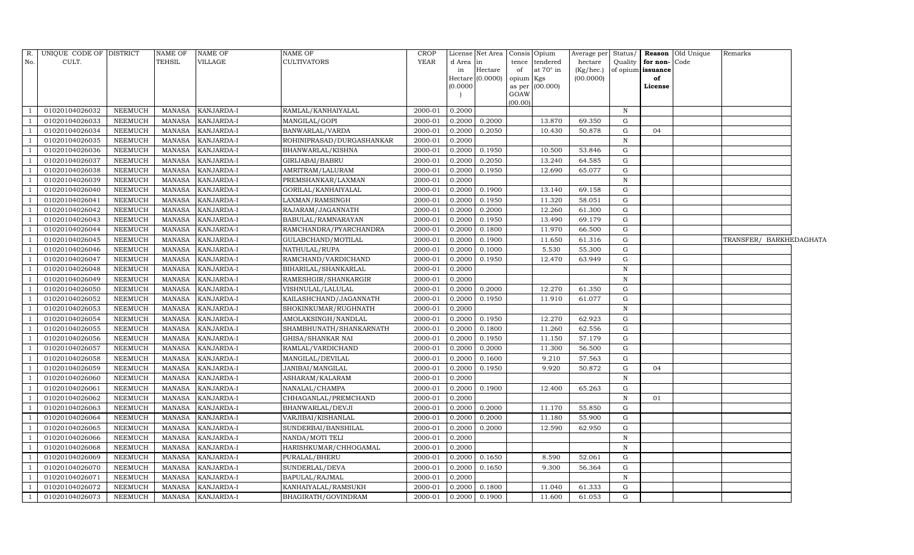| R.             | UNIQUE CODE OF DISTRICT |                | NAME OF       | <b>NAME OF</b>    | NAME OF                                         | CROP    |          | License Net Area   | Consis          | Opium            | Average per | Status/      |                   | Reason Old Unique | Remarks                 |  |
|----------------|-------------------------|----------------|---------------|-------------------|-------------------------------------------------|---------|----------|--------------------|-----------------|------------------|-------------|--------------|-------------------|-------------------|-------------------------|--|
| No.            | CULT.                   |                | TEHSIL        | <b>VILLAGE</b>    | <b>CULTIVATORS</b>                              | YEAR    | d Area   | in                 | tence           | tendered         | hectare     | Quality      | for non-Code      |                   |                         |  |
|                |                         |                |               |                   |                                                 |         | in       | Hectare            | of              | at $70^\circ$ in | (Kg/hec.)   |              | of opium issuance |                   |                         |  |
|                |                         |                |               |                   |                                                 |         | (0.0000) | Hectare $(0.0000)$ | opium<br>as per | Kgs<br>(00.000)  | (00.0000)   |              | of<br>License     |                   |                         |  |
|                |                         |                |               |                   |                                                 |         |          |                    | GOAW            |                  |             |              |                   |                   |                         |  |
|                |                         |                |               |                   |                                                 |         |          |                    | (00.00)         |                  |             |              |                   |                   |                         |  |
|                | 01020104026032          | <b>NEEMUCH</b> | MANASA        | KANJARDA-I        | RAMLAL/KANHAIYALAL                              | 2000-01 | 0.2000   |                    |                 |                  |             | N            |                   |                   |                         |  |
|                | 01020104026033          | <b>NEEMUCH</b> | MANASA        | KANJARDA-I        | MANGILAL/GOPI                                   | 2000-01 | 0.2000   | 0.2000             |                 | 13.870           | 69.350      | G            |                   |                   |                         |  |
|                | 01020104026034          | <b>NEEMUCH</b> | MANASA        | KANJARDA-I        | BANWARLAL/VARDA                                 | 2000-01 | 0.2000   | 0.2050             |                 | 10.430           | 50.878      | G            | 04                |                   |                         |  |
|                | 01020104026035          | <b>NEEMUCH</b> | MANASA        | KANJARDA-I        | ROHINIPRASAD/DURGASHANKAR                       | 2000-01 | 0.2000   |                    |                 |                  |             | $\, {\rm N}$ |                   |                   |                         |  |
|                | 01020104026036          | <b>NEEMUCH</b> | MANASA        | KANJARDA-I        | BHANWARLAL/KISHNA                               | 2000-01 | 0.2000   | 0.1950             |                 | 10.500           | 53.846      | G            |                   |                   |                         |  |
|                | 01020104026037          | <b>NEEMUCH</b> | <b>MANASA</b> | KANJARDA-I        | GIRIJABAI/BABRU                                 | 2000-01 | 0.2000   | 0.2050             |                 | 13.240           | 64.585      | G            |                   |                   |                         |  |
|                | 01020104026038          | <b>NEEMUCH</b> | MANASA        | KANJARDA-I        | AMRITRAM/LALURAM                                | 2000-01 | 0.2000   | 0.1950             |                 | 12.690           | 65.077      | G            |                   |                   |                         |  |
|                | 01020104026039          | <b>NEEMUCH</b> | MANASA        | KANJARDA-I        | PREMSHANKAR/LAXMAN                              | 2000-01 | 0.2000   |                    |                 |                  |             | ${\bf N}$    |                   |                   |                         |  |
|                | 01020104026040          | <b>NEEMUCH</b> | MANASA        | KANJARDA-I        | GORILAL/KANHAIYALAL                             | 2000-01 | 0.2000   | 0.1900             |                 | 13.140           | 69.158      | G            |                   |                   |                         |  |
|                | 01020104026041          | <b>NEEMUCH</b> | <b>MANASA</b> | KANJARDA-I        | LAXMAN/RAMSINGH                                 | 2000-01 | 0.2000   | 0.1950             |                 | 11.320           | 58.051      | $\mathbf G$  |                   |                   |                         |  |
|                | 01020104026042          | <b>NEEMUCH</b> | <b>MANASA</b> | KANJARDA-I        | RAJARAM/JAGANNATH                               | 2000-01 | 0.2000   | 0.2000             |                 | 12.260           | 61.300      | $\mathbf G$  |                   |                   |                         |  |
|                | 01020104026043          | <b>NEEMUCH</b> | MANASA        | KANJARDA-I        | BABULAL/RAMNARAYAN                              | 2000-01 | 0.2000   | 0.1950             |                 | 13.490           | 69.179      | $\mathbf G$  |                   |                   |                         |  |
|                | 01020104026044          | <b>NEEMUCH</b> | <b>MANASA</b> | KANJARDA-I        | RAMCHANDRA/PYARCHANDRA                          | 2000-01 | 0.2000   | 0.1800             |                 | 11.970           | 66.500      | G            |                   |                   |                         |  |
|                | 01020104026045          | <b>NEEMUCH</b> | MANASA        | KANJARDA-I        | GULABCHAND/MOTILAL                              | 2000-01 | 0.2000   | 0.1900             |                 | 11.650           | 61.316      | $\mathbf G$  |                   |                   | TRANSFER/ BARKHEDAGHATA |  |
|                | 01020104026046          | <b>NEEMUCH</b> | <b>MANASA</b> | KANJARDA-I        | NATHULAL/RUPA                                   | 2000-01 | 0.2000   | 0.1000             |                 | 5.530            | 55.300      | $\mathbf G$  |                   |                   |                         |  |
|                | 01020104026047          | <b>NEEMUCH</b> | <b>MANASA</b> | KANJARDA-I        | RAMCHAND/VARDICHAND                             | 2000-01 | 0.2000   | 0.1950             |                 | 12.470           | 63.949      | G            |                   |                   |                         |  |
|                | 01020104026048          | <b>NEEMUCH</b> | MANASA        | KANJARDA-I        | BIHARILAL/SHANKARLAL                            | 2000-01 | 0.2000   |                    |                 |                  |             | N            |                   |                   |                         |  |
|                | 01020104026049          | <b>NEEMUCH</b> | MANASA        | KANJARDA-I        | RAMESHGIR/SHANKARGIR                            | 2000-01 | 0.2000   |                    |                 |                  |             | $\mathbf N$  |                   |                   |                         |  |
|                | 01020104026050          | <b>NEEMUCH</b> | MANASA        | KANJARDA-I        | VISHNULAL/LALULAL                               | 2000-01 | 0.2000   | 0.2000             |                 | 12.270           | 61.350      | G            |                   |                   |                         |  |
|                | 01020104026052          | <b>NEEMUCH</b> | MANASA        | KANJARDA-I        | KAILASHCHAND/JAGANNATH                          | 2000-01 | 0.2000   | 0.1950             |                 | 11.910           | 61.077      | G            |                   |                   |                         |  |
|                | 01020104026053          | <b>NEEMUCH</b> | MANASA        | KANJARDA-I        | SHOKINKUMAR/RUGHNATH                            | 2000-01 | 0.2000   |                    |                 |                  |             | $\mathbf N$  |                   |                   |                         |  |
|                | 01020104026054          | <b>NEEMUCH</b> | <b>MANASA</b> | KANJARDA-I        | AMOLAKSINGH/NANDLAL                             | 2000-01 | 0.2000   | 0.1950             |                 | 12.270           | 62.923      | G            |                   |                   |                         |  |
|                | 01020104026055          | <b>NEEMUCH</b> | MANASA        | KANJARDA-I        | SHAMBHUNATH/SHANKARNATH                         | 2000-01 | 0.2000   | 0.1800             |                 | 11.260           | 62.556      | G            |                   |                   |                         |  |
|                | 01020104026056          | <b>NEEMUCH</b> | MANASA        | KANJARDA-I        | GHISA/SHANKAR NAI                               | 2000-01 | 0.2000   | 0.1950             |                 | 11.150           | 57.179      | G            |                   |                   |                         |  |
|                | 01020104026057          | <b>NEEMUCH</b> | MANASA        | KANJARDA-I        | RAMLAL/VARDICHAND                               | 2000-01 | 0.2000   | 0.2000             |                 | 11.300           | 56.500      | G            |                   |                   |                         |  |
|                | 01020104026058          | <b>NEEMUCH</b> | MANASA        | KANJARDA-I        | MANGILAL/DEVILAL                                | 2000-01 | 0.2000   | 0.1600             |                 | 9.210            | 57.563      | G            |                   |                   |                         |  |
|                | 01020104026059          | <b>NEEMUCH</b> | <b>MANASA</b> | KANJARDA-I        | $\overline{\mathrm{JANIBAI}/\mathrm{MANGILAL}}$ | 2000-01 | 0.2000   | 0.1950             |                 | 9.920            | 50.872      | G            | 04                |                   |                         |  |
|                | 01020104026060          | <b>NEEMUCH</b> | MANASA        | KANJARDA-I        | ASHARAM/KALARAM                                 | 2000-01 | 0.2000   |                    |                 |                  |             | N            |                   |                   |                         |  |
|                | 01020104026061          | <b>NEEMUCH</b> | MANASA        | KANJARDA-I        | NANALAL/CHAMPA                                  | 2000-01 | 0.2000   | 0.1900             |                 | 12.400           | 65.263      | G            |                   |                   |                         |  |
|                | 01020104026062          | <b>NEEMUCH</b> | <b>MANASA</b> | KANJARDA-I        | CHHAGANLAL/PREMCHAND                            | 2000-01 | 0.2000   |                    |                 |                  |             | $\, {\rm N}$ | 01                |                   |                         |  |
|                | 01020104026063          | <b>NEEMUCH</b> | MANASA        | KANJARDA-I        | BHANWARLAL/DEVJI                                | 2000-01 | 0.2000   | 0.2000             |                 | 11.170           | 55.850      | G            |                   |                   |                         |  |
|                | 01020104026064          | <b>NEEMUCH</b> | MANASA        | KANJARDA-I        | VARJIBAI/KISHANLAL                              | 2000-01 | 0.2000   | 0.2000             |                 | 11.180           | 55.900      | $\mathbf G$  |                   |                   |                         |  |
|                | 01020104026065          | <b>NEEMUCH</b> | <b>MANASA</b> | KANJARDA-I        | SUNDERBAI/BANSHILAL                             | 2000-01 | 0.2000   | 0.2000             |                 | 12.590           | 62.950      | $\mathbf G$  |                   |                   |                         |  |
|                | 01020104026066          | <b>NEEMUCH</b> | <b>MANASA</b> | KANJARDA-I        | NANDA/MOTI TELI                                 | 2000-01 | 0.2000   |                    |                 |                  |             | $\, {\rm N}$ |                   |                   |                         |  |
|                | 01020104026068          | <b>NEEMUCH</b> | MANASA        | KANJARDA-I        | HARISHKUMAR/CHHOGAMAL                           | 2000-01 | 0.2000   |                    |                 |                  |             | $\, {\rm N}$ |                   |                   |                         |  |
|                | 01020104026069          | <b>NEEMUCH</b> | MANASA        | KANJARDA-I        | PURALAL/BHERU                                   | 2000-01 | 0.2000   | 0.1650             |                 | 8.590            | 52.061      | G            |                   |                   |                         |  |
|                | 01020104026070          | <b>NEEMUCH</b> | MANASA        | KANJARDA-I        | SUNDERLAL/DEVA                                  | 2000-01 | 0.2000   | 0.1650             |                 | 9.300            | 56.364      | $\mathbf G$  |                   |                   |                         |  |
|                | 01020104026071          | <b>NEEMUCH</b> | <b>MANASA</b> | KANJARDA-I        | BAPULAL/RAJMAL                                  | 2000-01 | 0.2000   |                    |                 |                  |             | $\, {\rm N}$ |                   |                   |                         |  |
| $\overline{1}$ | 01020104026072          | <b>NEEMUCH</b> | MANASA        | KANJARDA-I        | KANHAIYALAL/RAMSUKH                             | 2000-01 | 0.2000   | 0.1800             |                 | 11.040           | 61.333      | G            |                   |                   |                         |  |
| -1             | 01020104026073          | NEEMUCH        | MANASA        | <b>KANJARDA-I</b> | BHAGIRATH/GOVINDRAM                             | 2000-01 | 0.2000   | 0.1900             |                 | 11.600           | 61.053      | $\mathbf G$  |                   |                   |                         |  |
|                |                         |                |               |                   |                                                 |         |          |                    |                 |                  |             |              |                   |                   |                         |  |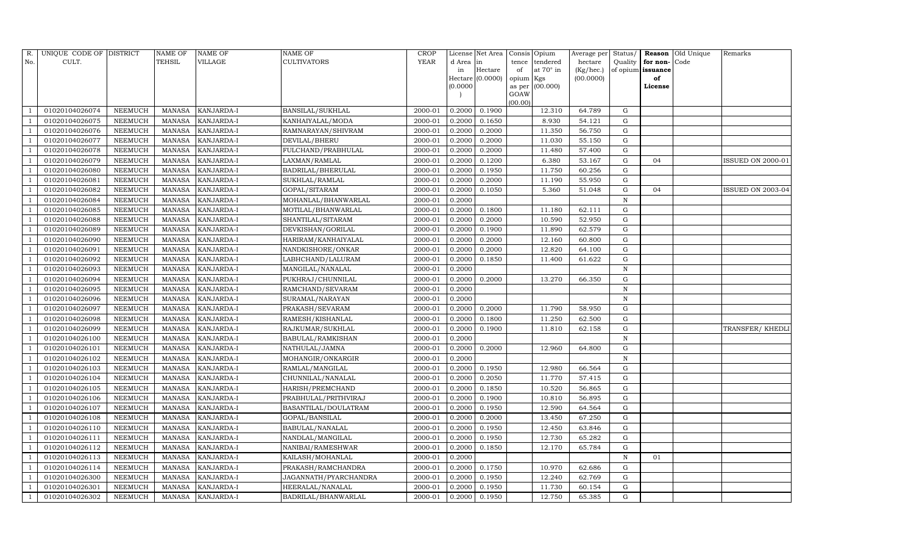| R.  | UNIQUE CODE OF DISTRICT |                | <b>NAME OF</b> | NAME OF           | NAME OF               | <b>CROP</b> |           | License Net Area |                | Consis Opium | Average per | Status/      | Reason            | Old Unique | Remarks                  |
|-----|-------------------------|----------------|----------------|-------------------|-----------------------|-------------|-----------|------------------|----------------|--------------|-------------|--------------|-------------------|------------|--------------------------|
| No. | CULT.                   |                | TEHSIL         | VILLAGE           | <b>CULTIVATORS</b>    | <b>YEAR</b> | d Area in |                  | tence          | tendered     | hectare     | Quality      | for non-          | Code       |                          |
|     |                         |                |                |                   |                       |             | in        | Hectare          | of             | at 70° in    | (Kg/hec.)   |              | of opium issuance |            |                          |
|     |                         |                |                |                   |                       |             |           | Hectare (0.0000) | opium Kgs      |              | (00.0000)   |              | of                |            |                          |
|     |                         |                |                |                   |                       |             | (0.0000)  |                  | as per<br>GOAW | (00.000)     |             |              | License           |            |                          |
|     |                         |                |                |                   |                       |             |           |                  | (00.00)        |              |             |              |                   |            |                          |
|     | 01020104026074          | NEEMUCH        | MANASA         | KANJARDA-I        | BANSILAL/SUKHLAL      | 2000-01     | 0.2000    | 0.1900           |                | 12.310       | 64.789      | G            |                   |            |                          |
|     | 01020104026075          | NEEMUCH        | <b>MANASA</b>  | KANJARDA-I        | KANHAIYALAL/MODA      | 2000-01     | 0.2000    | 0.1650           |                | 8.930        | 54.121      | G            |                   |            |                          |
|     | 01020104026076          | NEEMUCH        | MANASA         | KANJARDA-I        | RAMNARAYAN/SHIVRAM    | 2000-01     | 0.2000    | 0.2000           |                | 11.350       | 56.750      | G            |                   |            |                          |
|     | 01020104026077          | NEEMUCH        | MANASA         | KANJARDA-I        | DEVILAL/BHERU         | 2000-01     | 0.2000    | 0.2000           |                | 11.030       | 55.150      | G            |                   |            |                          |
|     | 01020104026078          | NEEMUCH        | <b>MANASA</b>  | KANJARDA-I        | FULCHAND/PRABHULAL    | 2000-01     | 0.2000    | 0.2000           |                | 11.480       | 57.400      | G            |                   |            |                          |
|     | 01020104026079          | NEEMUCH        | <b>MANASA</b>  | KANJARDA-I        | LAXMAN/RAMLAL         | 2000-01     | 0.2000    | 0.1200           |                | 6.380        | 53.167      | G            | 04                |            | ISSUED ON 2000-01        |
|     | 01020104026080          | NEEMUCH        | <b>MANASA</b>  | KANJARDA-I        | BADRILAL/BHERULAL     | 2000-01     | 0.2000    | 0.1950           |                | 11.750       | 60.256      | G            |                   |            |                          |
|     | 01020104026081          | NEEMUCH        | <b>MANASA</b>  | KANJARDA-I        | SUKHLAL/RAMLAL        | 2000-01     | 0.2000    | 0.2000           |                | 11.190       | 55.950      | G            |                   |            |                          |
|     | 01020104026082          | NEEMUCH        | MANASA         | KANJARDA-I        | GOPAL/SITARAM         | 2000-01     | 0.2000    | 0.1050           |                | 5.360        | 51.048      | G            | 04                |            | <b>ISSUED ON 2003-04</b> |
|     | 01020104026084          | NEEMUCH        | MANASA         | KANJARDA-I        | MOHANLAL/BHANWARLAL   | 2000-01     | 0.2000    |                  |                |              |             | $\mathbf N$  |                   |            |                          |
|     | 01020104026085          | NEEMUCH        | <b>MANASA</b>  | KANJARDA-I        | MOTILAL/BHANWARLAL    | 2000-01     | 0.2000    | 0.1800           |                | 11.180       | 62.111      | G            |                   |            |                          |
|     | 01020104026088          | NEEMUCH        | MANASA         | KANJARDA-I        | SHANTILAL/SITARAM     | 2000-01     | 0.2000    | 0.2000           |                | 10.590       | 52.950      | ${\rm G}$    |                   |            |                          |
|     | 01020104026089          | NEEMUCH        | <b>MANASA</b>  | KANJARDA-I        | DEVKISHAN/GORILAL     | 2000-01     | 0.2000    | 0.1900           |                | 11.890       | 62.579      | G            |                   |            |                          |
|     | 01020104026090          | NEEMUCH        | <b>MANASA</b>  | KANJARDA-I        | HARIRAM/KANHAIYALAL   | 2000-01     | 0.2000    | 0.2000           |                | 12.160       | 60.800      | G            |                   |            |                          |
|     | 01020104026091          | NEEMUCH        | <b>MANASA</b>  | KANJARDA-I        | NANDKISHORE/ONKAR     | 2000-01     | 0.2000    | 0.2000           |                | 12.820       | 64.100      | G            |                   |            |                          |
|     | 01020104026092          | NEEMUCH        | MANASA         | KANJARDA-I        | LABHCHAND/LALURAM     | 2000-01     | 0.2000    | 0.1850           |                | 11.400       | 61.622      | G            |                   |            |                          |
|     | 01020104026093          | NEEMUCH        | <b>MANASA</b>  | KANJARDA-I        | MANGILAL/NANALAL      | 2000-01     | 0.2000    |                  |                |              |             | N            |                   |            |                          |
|     | 01020104026094          | NEEMUCH        | <b>MANASA</b>  | KANJARDA-I        | PUKHRAJ/CHUNNILAL     | 2000-01     | 0.2000    | 0.2000           |                | 13.270       | 66.350      | G            |                   |            |                          |
|     | 01020104026095          | NEEMUCH        | <b>MANASA</b>  | KANJARDA-I        | RAMCHAND/SEVARAM      | 2000-01     | 0.2000    |                  |                |              |             | N            |                   |            |                          |
|     | 01020104026096          | NEEMUCH        | MANASA         | KANJARDA-I        | SURAMAL/NARAYAN       | 2000-01     | 0.2000    |                  |                |              |             | $\mathbb N$  |                   |            |                          |
|     | 01020104026097          | NEEMUCH        | <b>MANASA</b>  | KANJARDA-I        | PRAKASH/SEVARAM       | 2000-01     | 0.2000    | 0.2000           |                | 11.790       | 58.950      | G            |                   |            |                          |
|     | 01020104026098          | NEEMUCH        | <b>MANASA</b>  | KANJARDA-I        | RAMESH/KISHANLAL      | 2000-01     | 0.2000    | 0.1800           |                | 11.250       | 62.500      | G            |                   |            |                          |
|     | 01020104026099          | NEEMUCH        | MANASA         | KANJARDA-I        | RAJKUMAR/SUKHLAL      | 2000-01     | 0.2000    | 0.1900           |                | 11.810       | 62.158      | ${\rm G}$    |                   |            | TRANSFER/ KHEDLI         |
|     | 01020104026100          | <b>NEEMUCH</b> | <b>MANASA</b>  | KANJARDA-I        | BABULAL/RAMKISHAN     | 2000-01     | 0.2000    |                  |                |              |             | N            |                   |            |                          |
|     | 01020104026101          | NEEMUCH        | MANASA         | KANJARDA-I        | NATHULAL/JAMNA        | 2000-01     | 0.2000    | 0.2000           |                | 12.960       | 64.800      | G            |                   |            |                          |
|     | 01020104026102          | NEEMUCH        | <b>MANASA</b>  | KANJARDA-I        | MOHANGIR/ONKARGIR     | 2000-01     | 0.2000    |                  |                |              |             | N            |                   |            |                          |
|     | 01020104026103          | NEEMUCH        | <b>MANASA</b>  | KANJARDA-I        | RAMLAL/MANGILAL       | 2000-01     | 0.2000    | 0.1950           |                | 12.980       | 66.564      | $\mathbf G$  |                   |            |                          |
|     | 01020104026104          | NEEMUCH        | <b>MANASA</b>  | KANJARDA-I        | CHUNNILAL/NANALAL     | 2000-01     | 0.2000    | 0.2050           |                | 11.770       | 57.415      | G            |                   |            |                          |
|     | 01020104026105          | NEEMUCH        | <b>MANASA</b>  | KANJARDA-I        | HARISH/PREMCHAND      | 2000-01     | 0.2000    | 0.1850           |                | 10.520       | 56.865      | G            |                   |            |                          |
|     | 01020104026106          | NEEMUCH        | <b>MANASA</b>  | KANJARDA-I        | PRABHULAL/PRITHVIRAJ  | 2000-01     | 0.2000    | 0.1900           |                | 10.810       | 56.895      | G            |                   |            |                          |
|     | 01020104026107          | NEEMUCH        | MANASA         | KANJARDA-I        | BASANTILAL/DOULATRAM  | 2000-01     | 0.2000    | 0.1950           |                | 12.590       | 64.564      | G            |                   |            |                          |
|     | 01020104026108          | NEEMUCH        | <b>MANASA</b>  | KANJARDA-I        | GOPAL/BANSILAL        | 2000-01     | 0.2000    | 0.2000           |                | 13.450       | 67.250      | G            |                   |            |                          |
|     | 01020104026110          | <b>NEEMUCH</b> | <b>MANASA</b>  | KANJARDA-I        | BABULAL/NANALAL       | 2000-01     | 0.2000    | 0.1950           |                | 12.450       | 63.846      | G            |                   |            |                          |
|     | 01020104026111          | NEEMUCH        | MANASA         | KANJARDA-I        | NANDLAL/MANGILAL      | 2000-01     | 0.2000    | 0.1950           |                | 12.730       | 65.282      | G            |                   |            |                          |
|     | 01020104026112          | NEEMUCH        | <b>MANASA</b>  | KANJARDA-I        | NANIBAI/RAMESHWAR     | 2000-01     | 0.2000    | 0.1850           |                | 12.170       | 65.784      | ${\rm G}$    |                   |            |                          |
|     | 01020104026113          | NEEMUCH        | MANASA         | KANJARDA-I        | KAILASH/MOHANLAL      | 2000-01     | 0.2000    |                  |                |              |             | $\, {\bf N}$ | 01                |            |                          |
|     | 01020104026114          | NEEMUCH        | <b>MANASA</b>  | KANJARDA-I        | PRAKASH/RAMCHANDRA    | 2000-01     | 0.2000    | 0.1750           |                | 10.970       | 62.686      | G            |                   |            |                          |
|     | 01020104026300          | NEEMUCH        | <b>MANASA</b>  | KANJARDA-I        | JAGANNATH/PYARCHANDRA | 2000-01     | 0.2000    | 0.1950           |                | 12.240       | 62.769      | G            |                   |            |                          |
|     | 01020104026301          | <b>NEEMUCH</b> | MANASA         | KANJARDA-I        | HEERALAL/NANALAL      | 2000-01     | 0.2000    | 0.1950           |                | 11.730       | 60.154      | G            |                   |            |                          |
|     | 01020104026302          | NEEMUCH        |                | MANASA KANJARDA-I | BADRILAL/BHANWARLAL   | 2000-01     | 0.2000    | 0.1950           |                | 12.750       | 65.385      | G            |                   |            |                          |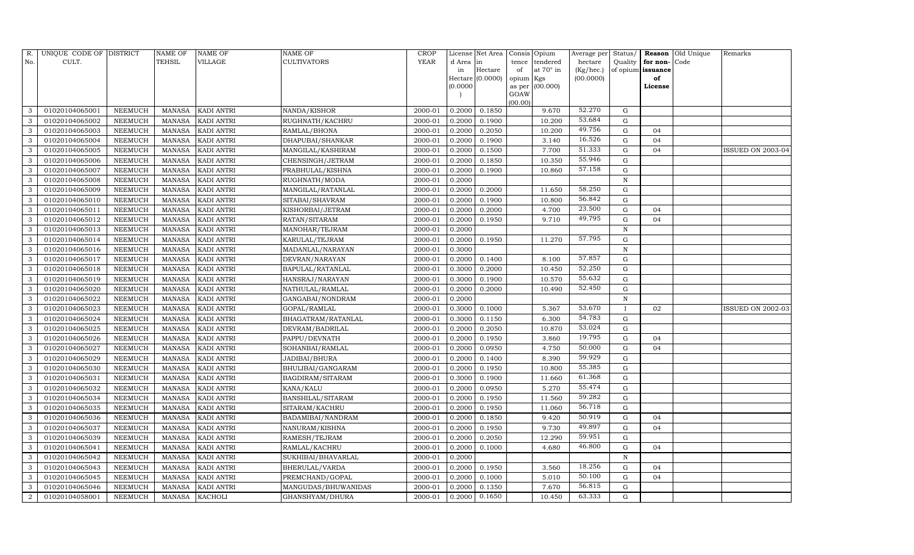| R.             | UNIQUE CODE OF DISTRICT |                | <b>NAME OF</b> | <b>NAME OF</b>    | <b>NAME OF</b>          | CROP        |           | License Net Area |                | Consis Opium     | Average per | Status/      | Reason            | Old Unique | Remarks                  |
|----------------|-------------------------|----------------|----------------|-------------------|-------------------------|-------------|-----------|------------------|----------------|------------------|-------------|--------------|-------------------|------------|--------------------------|
| No.            | CULT.                   |                | <b>TEHSIL</b>  | VILLAGE           | <b>CULTIVATORS</b>      | <b>YEAR</b> | d Area in |                  | tence          | tendered         | hectare     | Quality      | for non-          | Code       |                          |
|                |                         |                |                |                   |                         |             | in        | Hectare          | of             | at $70^\circ$ in | (Kg/hec.)   |              | of opium issuance |            |                          |
|                |                         |                |                |                   |                         |             |           | Hectare (0.0000) | opium Kgs      |                  | (00.0000)   |              | of                |            |                          |
|                |                         |                |                |                   |                         |             | (0.0000)  |                  | as per<br>GOAW | (00.000)         |             |              | License           |            |                          |
|                |                         |                |                |                   |                         |             |           |                  | (00.00)        |                  |             |              |                   |            |                          |
| 3              | 01020104065001          | NEEMUCH        | MANASA         | <b>KADI ANTRI</b> | NANDA/KISHOR            | 2000-01     | 0.2000    | 0.1850           |                | 9.670            | 52.270      | G            |                   |            |                          |
| 3              | 01020104065002          | NEEMUCH        | <b>MANASA</b>  | <b>KADI ANTRI</b> | RUGHNATH/KACHRU         | 2000-01     | 0.2000    | 0.1900           |                | 10.200           | 53.684      | G            |                   |            |                          |
| 3              | 01020104065003          | <b>NEEMUCH</b> | MANASA         | <b>KADI ANTRI</b> | RAMLAL/BHONA            | 2000-01     | 0.2000    | 0.2050           |                | 10.200           | 49.756      | G            | 04                |            |                          |
| 3              | 01020104065004          | <b>NEEMUCH</b> | MANASA         | <b>KADI ANTRI</b> | DHAPUBAI/SHANKAR        | 2000-01     | 0.2000    | 0.1900           |                | 3.140            | 16.526      | G            | 04                |            |                          |
| 3              | 01020104065005          | NEEMUCH        | MANASA         | <b>KADI ANTRI</b> | MANGILAL/KASHIRAM       | 2000-01     | 0.2000    | 0.1500           |                | 7.700            | 51.333      | $\mathbf G$  | 04                |            | ISSUED ON 2003-04        |
| 3              | 01020104065006          | NEEMUCH        | <b>MANASA</b>  | <b>KADI ANTRI</b> | CHENSINGH/JETRAM        | 2000-01     | 0.2000    | 0.1850           |                | 10.350           | 55.946      | ${\rm G}$    |                   |            |                          |
| 3              | 01020104065007          | <b>NEEMUCH</b> | <b>MANASA</b>  | <b>KADI ANTRI</b> | PRABHULAL/KISHNA        | 2000-01     | 0.2000    | 0.1900           |                | 10.860           | 57.158      | G            |                   |            |                          |
| 3              | 01020104065008          | <b>NEEMUCH</b> | MANASA         | <b>KADI ANTRI</b> | RUGHNATH/MODA           | 2000-01     | 0.2000    |                  |                |                  |             | $\, {\rm N}$ |                   |            |                          |
| 3              | 01020104065009          | NEEMUCH        | <b>MANASA</b>  | <b>KADI ANTRI</b> | MANGILAL/RATANLAL       | 2000-01     | 0.2000    | 0.2000           |                | 11.650           | 58.250      | ${\rm G}$    |                   |            |                          |
| 3              | 01020104065010          | NEEMUCH        | MANASA         | <b>KADI ANTRI</b> | SITABAI/SHAVRAM         | 2000-01     | 0.2000    | 0.1900           |                | 10.800           | 56.842      | G            |                   |            |                          |
| 3              | 01020104065011          | <b>NEEMUCH</b> | <b>MANASA</b>  | <b>KADI ANTRI</b> | KISHORBAI/JETRAM        | 2000-01     | 0.2000    | 0.2000           |                | 4.700            | 23.500      | G            | 04                |            |                          |
| 3              | 01020104065012          | <b>NEEMUCH</b> | MANASA         | <b>KADI ANTRI</b> | RATAN/SITARAM           | 2000-01     | 0.2000    | 0.1950           |                | 9.710            | 49.795      | $\mathbf G$  | 04                |            |                          |
| 3              | 01020104065013          | <b>NEEMUCH</b> | <b>MANASA</b>  | <b>KADI ANTRI</b> | MANOHAR/TEJRAM          | 2000-01     | 0.2000    |                  |                |                  |             | N            |                   |            |                          |
| 3              | 01020104065014          | <b>NEEMUCH</b> | MANASA         | <b>KADI ANTRI</b> | KARULAL/TEJRAM          | 2000-01     | 0.2000    | 0.1950           |                | 11.270           | 57.795      | G            |                   |            |                          |
| 3              | 01020104065016          | NEEMUCH        | MANASA         | <b>KADI ANTRI</b> | MADANLAL/NARAYAN        | 2000-01     | 0.3000    |                  |                |                  |             | N            |                   |            |                          |
| 3              | 01020104065017          | NEEMUCH        | MANASA         | <b>KADI ANTRI</b> | DEVRAN/NARAYAN          | 2000-01     | 0.2000    | 0.1400           |                | 8.100            | 57.857      | $\mathbf G$  |                   |            |                          |
| 3              | 01020104065018          | <b>NEEMUCH</b> | <b>MANASA</b>  | <b>KADI ANTRI</b> | <b>BAPULAL/RATANLAL</b> | 2000-01     | 0.3000    | 0.2000           |                | 10.450           | 52.250      | $\mathbf G$  |                   |            |                          |
| 3              | 01020104065019          | NEEMUCH        | MANASA         | <b>KADI ANTRI</b> | HANSRAJ/NARAYAN         | 2000-01     | 0.3000    | 0.1900           |                | 10.570           | 55.632      | ${\rm G}$    |                   |            |                          |
| 3              | 01020104065020          | NEEMUCH        | MANASA         | <b>KADI ANTRI</b> | NATHULAL/RAMLAL         | 2000-01     | 0.2000    | 0.2000           |                | 10.490           | 52.450      | ${\rm G}$    |                   |            |                          |
| 3              | 01020104065022          | <b>NEEMUCH</b> | MANASA         | <b>KADI ANTRI</b> | GANGABAI/NONDRAM        | 2000-01     | 0.2000    |                  |                |                  |             | N            |                   |            |                          |
| 3              | 01020104065023          | <b>NEEMUCH</b> | <b>MANASA</b>  | <b>KADI ANTRI</b> | GOPAL/RAMLAL            | 2000-01     | 0.3000    | 0.1000           |                | 5.367            | 53.670      |              | 02                |            | <b>ISSUED ON 2002-03</b> |
| 3              | 01020104065024          | <b>NEEMUCH</b> | <b>MANASA</b>  | <b>KADI ANTRI</b> | BHAGATRAM/RATANLAL      | 2000-01     | 0.3000    | 0.1150           |                | 6.300            | 54.783      | ${\rm G}$    |                   |            |                          |
| 3              | 01020104065025          | NEEMUCH        | MANASA         | <b>KADI ANTRI</b> | DEVRAM/BADRILAL         | 2000-01     | 0.2000    | 0.2050           |                | 10.870           | 53.024      | ${\rm G}$    |                   |            |                          |
| 3              | 01020104065026          | <b>NEEMUCH</b> | MANASA         | <b>KADI ANTRI</b> | PAPPU/DEVNATH           | 2000-01     | 0.2000    | 0.1950           |                | 3.860            | 19.795      | ${\rm G}$    | 04                |            |                          |
| 3              | 01020104065027          | NEEMUCH        | <b>MANASA</b>  | <b>KADI ANTRI</b> | SOHANBAI/RAMLAL         | 2000-01     | 0.2000    | 0.0950           |                | 4.750            | 50.000      | $\mathbf G$  | 04                |            |                          |
| 3              | 01020104065029          | <b>NEEMUCH</b> | MANASA         | <b>KADI ANTRI</b> | JADIBAI/BHURA           | 2000-01     | 0.2000    | 0.1400           |                | 8.390            | 59.929      | G            |                   |            |                          |
| 3              | 01020104065030          | <b>NEEMUCH</b> | <b>MANASA</b>  | <b>KADI ANTRI</b> | BHULIBAI/GANGARAM       | 2000-01     | 0.2000    | 0.1950           |                | 10.800           | 55.385      | ${\rm G}$    |                   |            |                          |
| 3              | 01020104065031          | <b>NEEMUCH</b> | <b>MANASA</b>  | <b>KADI ANTRI</b> | BAGDIRAM/SITARAM        | 2000-01     | 0.3000    | 0.1900           |                | 11.660           | 61.368      | $\mathbf G$  |                   |            |                          |
| 3              | 01020104065032          | NEEMUCH        | MANASA         | <b>KADI ANTRI</b> | KANA/KALU               | 2000-01     | 0.2000    | 0.0950           |                | 5.270            | 55.474      | ${\rm G}$    |                   |            |                          |
| 3              | 01020104065034          | <b>NEEMUCH</b> | <b>MANASA</b>  | <b>KADI ANTRI</b> | BANSHILAL/SITARAM       | 2000-01     | 0.2000    | 0.1950           |                | 11.560           | 59.282      | ${\rm G}$    |                   |            |                          |
| 3              | 01020104065035          | <b>NEEMUCH</b> | MANASA         | <b>KADI ANTRI</b> | SITARAM/KACHRU          | 2000-01     | 0.2000    | 0.1950           |                | 11.060           | 56.718      | $\mathbf G$  |                   |            |                          |
| 3              | 01020104065036          | NEEMUCH        | <b>MANASA</b>  | <b>KADI ANTRI</b> | BADAMIBAI/NANDRAM       | 2000-01     | 0.2000    | 0.1850           |                | 9.420            | 50.919      | $\mathbf G$  | 04                |            |                          |
| 3              | 01020104065037          | <b>NEEMUCH</b> | MANASA         | <b>KADI ANTRI</b> | NANURAM/KISHNA          | 2000-01     | 0.2000    | 0.1950           |                | 9.730            | 49.897      | $\mathbf G$  | 04                |            |                          |
| 3              | 01020104065039          | <b>NEEMUCH</b> | <b>MANASA</b>  | <b>KADI ANTRI</b> | RAMESH/TEJRAM           | 2000-01     | 0.2000    | 0.2050           |                | 12.290           | 59.951      | ${\rm G}$    |                   |            |                          |
| 3              | 01020104065041          | NEEMUCH        | MANASA         | <b>KADI ANTRI</b> | RAMLAL/KACHRU           | 2000-01     | 0.2000    | 0.1000           |                | 4.680            | 46.800      | ${\rm G}$    | 04                |            |                          |
| 3              | 01020104065042          | NEEMUCH        | <b>MANASA</b>  | <b>KADI ANTRI</b> | SUKHIBAI/BHAVARLAL      | 2000-01     | 0.2000    |                  |                |                  |             | N            |                   |            |                          |
| 3              | 01020104065043          | <b>NEEMUCH</b> | MANASA         | <b>KADI ANTRI</b> | BHERULAL/VARDA          | 2000-01     | 0.2000    | 0.1950           |                | 3.560            | 18.256      | G            | 04                |            |                          |
| 3              | 01020104065045          | NEEMUCH        | <b>MANASA</b>  | KADI ANTRI        | PREMCHAND/GOPAL         | 2000-01     | 0.2000    | 0.1000           |                | 5.010            | 50.100      | G            | 04                |            |                          |
| 3              | 01020104065046          | <b>NEEMUCH</b> | MANASA         | <b>KADI ANTRI</b> | MANGUDAS/BHUWANIDAS     | 2000-01     | 0.2000    | 0.1350           |                | 7.670            | 56.815      | $\mathbf G$  |                   |            |                          |
| $\overline{2}$ | 01020104058001          | NEEMUCH        | MANASA KACHOLI |                   | GHANSHYAM/DHURA         | 2000-01     | 0.2000    | 0.1650           |                | 10.450           | 63.333      | G            |                   |            |                          |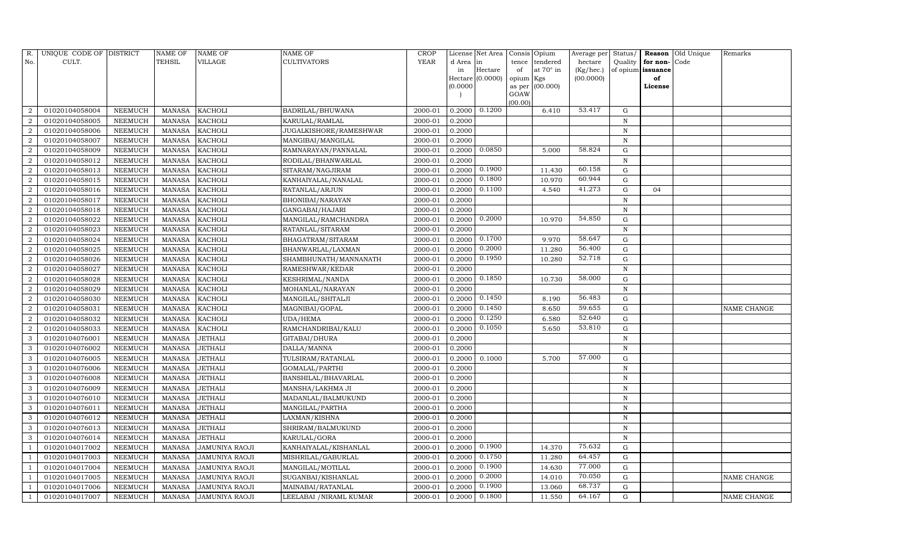| R.             | UNIQUE CODE OF DISTRICT |                | <b>NAME OF</b> | NAME OF               | NAME OF                 | <b>CROP</b> |           | License Net Area |                | Consis Opium | Average per | Status/      | Reason            | Old Unique | Remarks            |
|----------------|-------------------------|----------------|----------------|-----------------------|-------------------------|-------------|-----------|------------------|----------------|--------------|-------------|--------------|-------------------|------------|--------------------|
| No.            | CULT.                   |                | TEHSIL         | VILLAGE               | <b>CULTIVATORS</b>      | <b>YEAR</b> | d Area in |                  | tence          | tendered     | hectare     | Quality      | for non-          | Code       |                    |
|                |                         |                |                |                       |                         |             | in        | Hectare          | of             | at 70° in    | (Kg/hec.)   |              | of opium issuance |            |                    |
|                |                         |                |                |                       |                         |             |           | Hectare (0.0000) | opium Kgs      |              | (00.0000)   |              | of                |            |                    |
|                |                         |                |                |                       |                         |             | (0.0000)  |                  | as per<br>GOAW | (00.000)     |             |              | License           |            |                    |
|                |                         |                |                |                       |                         |             |           |                  | (00.00)        |              |             |              |                   |            |                    |
|                | 01020104058004          | NEEMUCH        | MANASA         | <b>KACHOLI</b>        | BADRILAL/BHUWANA        | 2000-01     | 0.2000    | 0.1200           |                | 6.410        | 53.417      | G            |                   |            |                    |
| $\overline{2}$ | 01020104058005          | NEEMUCH        | <b>MANASA</b>  | <b>KACHOLI</b>        | KARULAL/RAMLAL          | 2000-01     | 0.2000    |                  |                |              |             | N            |                   |            |                    |
| $\overline{2}$ | 01020104058006          | NEEMUCH        | MANASA         | KACHOLI               | JUGALKISHORE/RAMESHWAR  | 2000-01     | 0.2000    |                  |                |              |             | N            |                   |            |                    |
| $\mathcal{D}$  | 01020104058007          | NEEMUCH        | MANASA         | <b>KACHOLI</b>        | MANGIBAI/MANGILAL       | 2000-01     | 0.2000    |                  |                |              |             | N            |                   |            |                    |
| 2              | 01020104058009          | NEEMUCH        | <b>MANASA</b>  | <b>KACHOLI</b>        | RAMNARAYAN/PANNALAL     | 2000-01     | 0.2000    | 0.0850           |                | 5.000        | 58.824      | $\mathbf G$  |                   |            |                    |
|                | 01020104058012          | NEEMUCH        | <b>MANASA</b>  | <b>KACHOLI</b>        | RODILAL/BHANWARLAL      | 2000-01     | 0.2000    |                  |                |              |             | $\, {\bf N}$ |                   |            |                    |
|                | 01020104058013          | NEEMUCH        | <b>MANASA</b>  | <b>KACHOLI</b>        | SITARAM/NAGJIRAM        | 2000-01     | 0.2000    | 0.1900           |                | 11.430       | 60.158      | G            |                   |            |                    |
| 2              | 01020104058015          | NEEMUCH        | <b>MANASA</b>  | <b>KACHOLI</b>        | KANHAIYALAL/NANALAL     | 2000-01     | 0.2000    | 0.1800           |                | 10.970       | 60.944      | ${\rm G}$    |                   |            |                    |
| 2              | 01020104058016          | NEEMUCH        | <b>MANASA</b>  | <b>KACHOLI</b>        | RATANLAL/ARJUN          | 2000-01     | 0.2000    | 0.1100           |                | 4.540        | 41.273      | $\mathbf G$  | 04                |            |                    |
|                | 01020104058017          | NEEMUCH        | <b>MANASA</b>  | KACHOLI               | BHONIBAI/NARAYAN        | 2000-01     | 0.2000    |                  |                |              |             | $\, {\bf N}$ |                   |            |                    |
| $\mathcal{D}$  | 01020104058018          | NEEMUCH        | <b>MANASA</b>  | KACHOLI               | GANGABAI/HAJARI         | 2000-01     | 0.2000    |                  |                |              |             | N            |                   |            |                    |
| $\overline{2}$ | 01020104058022          | NEEMUCH        | <b>MANASA</b>  | <b>KACHOLI</b>        | MANGILAL/RAMCHANDRA     | 2000-01     | 0.2000    | 0.2000           |                | 10.970       | 54.850      | $\mathbf G$  |                   |            |                    |
| $\overline{2}$ | 01020104058023          | <b>NEEMUCH</b> | <b>MANASA</b>  | <b>KACHOLI</b>        | RATANLAL/SITARAM        | 2000-01     | 0.2000    |                  |                |              |             | $\mathbf N$  |                   |            |                    |
|                | 01020104058024          | NEEMUCH        | <b>MANASA</b>  | KACHOLI               | BHAGATRAM/SITARAM       | 2000-01     | 0.2000    | 0.1700           |                | 9.970        | 58.647      | G            |                   |            |                    |
| $\overline{2}$ | 01020104058025          | NEEMUCH        | MANASA         | <b>KACHOLI</b>        | BHANWARLAL/LAXMAN       | 2000-01     | 0.2000    | 0.2000           |                | 11.280       | 56.400      | ${\rm G}$    |                   |            |                    |
| 2              | 01020104058026          | NEEMUCH        | MANASA         | <b>KACHOLI</b>        | SHAMBHUNATH/MANNANATH   | 2000-01     | 0.2000    | 0.1950           |                | 10.280       | 52.718      | $\mathbf G$  |                   |            |                    |
| $\overline{2}$ | 01020104058027          | NEEMUCH        | <b>MANASA</b>  | <b>KACHOLI</b>        | RAMESHWAR/KEDAR         | 2000-01     | 0.2000    |                  |                |              |             | $\mathbf N$  |                   |            |                    |
|                | 01020104058028          | NEEMUCH        | <b>MANASA</b>  | <b>KACHOLI</b>        | KESHRIMAL/NANDA         | 2000-01     | 0.2000    | 0.1850           |                | 10.730       | 58.000      | G            |                   |            |                    |
| $\overline{2}$ | 01020104058029          | NEEMUCH        | <b>MANASA</b>  | KACHOLI               | MOHANLAL/NARAYAN        | 2000-01     | 0.2000    |                  |                |              |             | $\mathbf N$  |                   |            |                    |
| $\overline{2}$ | 01020104058030          | NEEMUCH        | <b>MANASA</b>  | KACHOLI               | MANGILAL/SHITALJI       | 2000-01     | 0.2000    | 0.1450           |                | 8.190        | 56.483      | $\mathbf G$  |                   |            |                    |
|                | 01020104058031          | <b>NEEMUCH</b> | <b>MANASA</b>  | KACHOLI               | MAGNIBAI/GOPAL          | 2000-01     | 0.2000    | 0.1450           |                | 8.650        | 59.655      | ${\rm G}$    |                   |            | NAME CHANGE        |
| $\overline{2}$ | 01020104058032          | NEEMUCH        | <b>MANASA</b>  | KACHOLI               | UDA/HEMA                | 2000-01     | 0.2000    | 0.1250           |                | 6.580        | 52.640      | ${\rm G}$    |                   |            |                    |
| $\overline{2}$ | 01020104058033          | NEEMUCH        | <b>MANASA</b>  | KACHOLI               | RAMCHANDRIBAI/KALU      | 2000-01     | 0.2000    | 0.1050           |                | 5.650        | 53.810      | ${\rm G}$    |                   |            |                    |
| 3              | 01020104076001          | NEEMUCH        | <b>MANASA</b>  | <b>JETHALI</b>        | GITABAI/DHURA           | 2000-01     | 0.2000    |                  |                |              |             | $\mathbf N$  |                   |            |                    |
|                | 01020104076002          | <b>NEEMUCH</b> | <b>MANASA</b>  | <b>JETHALI</b>        | DALLA/MANNA             | 2000-01     | 0.2000    |                  |                |              |             | $\mathbf N$  |                   |            |                    |
| 3              | 01020104076005          | NEEMUCH        | <b>MANASA</b>  | <b>JETHALI</b>        | TULSIRAM/RATANLAL       | 2000-01     | 0.2000    | 0.1000           |                | 5.700        | 57.000      | G            |                   |            |                    |
| 3              | 01020104076006          | NEEMUCH        | <b>MANASA</b>  | <b>JETHALI</b>        | GOMALAL/PARTHI          | 2000-01     | 0.2000    |                  |                |              |             | $\mathbf N$  |                   |            |                    |
| 3              | 01020104076008          | NEEMUCH        | <b>MANASA</b>  | <b>JETHALI</b>        | BANSHILAL/BHAVARLAL     | 2000-01     | 0.2000    |                  |                |              |             | N            |                   |            |                    |
| 3              | 01020104076009          | NEEMUCH        | <b>MANASA</b>  | <b>JETHALI</b>        | MANSHA/LAKHMA JI        | 2000-01     | 0.2000    |                  |                |              |             | $\mathbf N$  |                   |            |                    |
| 3              | 01020104076010          | NEEMUCH        | <b>MANASA</b>  | <b>JETHALI</b>        | MADANLAL/BALMUKUND      | 2000-01     | 0.2000    |                  |                |              |             | $\mathbf N$  |                   |            |                    |
| 3              | 01020104076011          | NEEMUCH        | <b>MANASA</b>  | <b>JETHALI</b>        | MANGILAL/PARTHA         | 2000-01     | 0.2000    |                  |                |              |             | N            |                   |            |                    |
| 3              | 01020104076012          | NEEMUCH        | <b>MANASA</b>  | <b>JETHALI</b>        | LAXMAN/KISHNA           | 2000-01     | 0.2000    |                  |                |              |             | N            |                   |            |                    |
| 3              | 01020104076013          | NEEMUCH        | <b>MANASA</b>  | <b>JETHALI</b>        | SHRIRAM/BALMUKUND       | 2000-01     | 0.2000    |                  |                |              |             | $\mathbf N$  |                   |            |                    |
| 3              | 01020104076014          | NEEMUCH        | <b>MANASA</b>  | JETHALI               | KARULAL/GORA            | 2000-01     | 0.2000    |                  |                |              |             | N            |                   |            |                    |
|                | 01020104017002          | NEEMUCH        | <b>MANASA</b>  | JAMUNIYA RAOJI        | KANHAIYALAL/KISHANLAL   | 2000-01     | 0.2000    | 0.1900           |                | 14.370       | 75.632      | ${\rm G}$    |                   |            |                    |
|                | 01020104017003          | <b>NEEMUCH</b> | <b>MANASA</b>  | <b>JAMUNIYA RAOJI</b> | MISHRILAL/GABURLAL      | 2000-01     | 0.2000    | 0.1750           |                | 11.280       | 64.457      | G            |                   |            |                    |
|                | 01020104017004          | NEEMUCH        | <b>MANASA</b>  | JAMUNIYA RAOJI        | MANGILAL/MOTILAL        | 2000-01     | 0.2000    | 0.1900           |                | 14.630       | 77.000      | G            |                   |            |                    |
|                | 01020104017005          | NEEMUCH        | <b>MANASA</b>  | JAMUNIYA RAOJI        | SUGANBAI/KISHANLAL      | 2000-01     | 0.2000    | 0.2000           |                | 14.010       | 70.050      | G            |                   |            | NAME CHANGE        |
|                | 01020104017006          | NEEMUCH        | <b>MANASA</b>  | JAMUNIYA RAOJI        | MAINABAI/RATANLAL       | 2000-01     | 0.2000    | 0.1900           |                | 13.060       | 68.737      | $\mathbf G$  |                   |            |                    |
|                | 01020104017007          | <b>NEEMUCH</b> | MANASA         | <b>JAMUNIYA RAOJI</b> | LEELABAI / NIRAML KUMAR | 2000-01     | 0.2000    | 0.1800           |                | 11.550       | 64.167      | G            |                   |            | <b>NAME CHANGE</b> |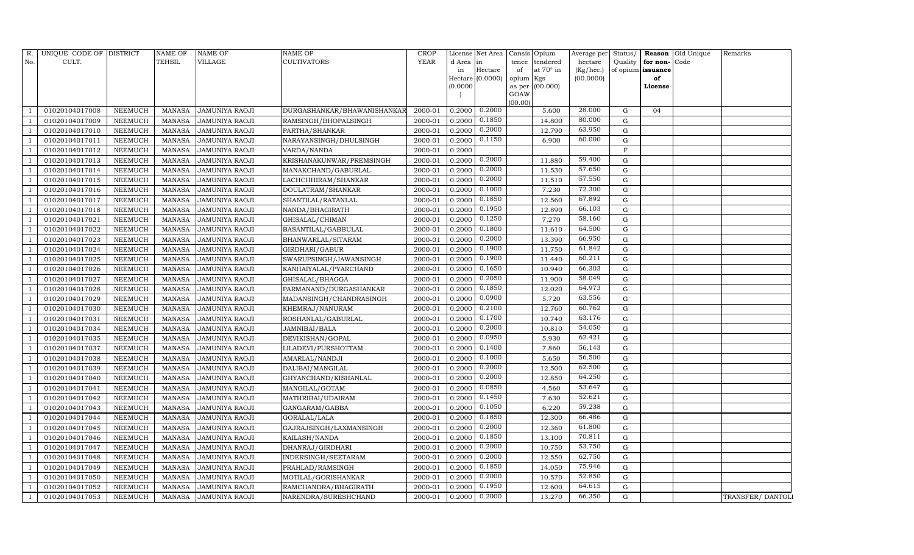| R.           | UNIQUE CODE OF DISTRICT |                | <b>NAME OF</b> | <b>NAME OF</b>        | <b>NAME OF</b>              | <b>CROP</b> |           | License Net Area |           | Consis Opium    | Average per | Status/           |              | Reason Old Unique | Remarks          |
|--------------|-------------------------|----------------|----------------|-----------------------|-----------------------------|-------------|-----------|------------------|-----------|-----------------|-------------|-------------------|--------------|-------------------|------------------|
| No.          | CULT.                   |                | <b>TEHSIL</b>  | VILLAGE               | CULTIVATORS                 | <b>YEAR</b> | d Area in |                  |           | tence tendered  | hectare     | Quality           | for non-Code |                   |                  |
|              |                         |                |                |                       |                             |             | in        | Hectare          | of        | at 70° in       | (Kg/hec.)   | of opium issuance |              |                   |                  |
|              |                         |                |                |                       |                             |             |           | Hectare (0.0000) | opium Kgs |                 | (00.0000)   |                   | of           |                   |                  |
|              |                         |                |                |                       |                             |             | (0.0000)  |                  | GOAW      | as per (00.000) |             |                   | License      |                   |                  |
|              |                         |                |                |                       |                             |             |           |                  | (00.00)   |                 |             |                   |              |                   |                  |
|              | 01020104017008          | NEEMUCH        | MANASA         | <b>JAMUNIYA RAOJI</b> | DURGASHANKAR/BHAWANISHANKAR | 2000-01     | 0.2000    | 0.2000           |           | 5.600           | 28.000      | G                 | 04           |                   |                  |
|              | 01020104017009          | <b>NEEMUCH</b> | <b>MANASA</b>  | JAMUNIYA RAOJI        | RAMSINGH/BHOPALSINGH        | 2000-01     | 0.2000    | 0.1850           |           | 14.800          | 80.000      | $\mathbf G$       |              |                   |                  |
|              | 01020104017010          | <b>NEEMUCH</b> | <b>MANASA</b>  | <b>JAMUNIYA RAOJI</b> | PARTHA/SHANKAR              | 2000-01     | 0.2000    | 0.2000           |           | 12.790          | 63.950      | G                 |              |                   |                  |
|              | 01020104017011          | <b>NEEMUCH</b> | <b>MANASA</b>  | JAMUNIYA RAOJI        | NARAYANSINGH/DHULSINGH      | 2000-01     | 0.2000    | 0.1150           |           | 6.900           | 60.000      | ${\rm G}$         |              |                   |                  |
|              | 01020104017012          | <b>NEEMUCH</b> | <b>MANASA</b>  | <b>JAMUNIYA RAOJI</b> | VARDA/NANDA                 | 2000-01     | 0.2000    |                  |           |                 |             | $\mathbf F$       |              |                   |                  |
|              | 01020104017013          | <b>NEEMUCH</b> | <b>MANASA</b>  | <b>JAMUNIYA RAOJI</b> | KRISHANAKUNWAR/PREMSINGH    | 2000-01     | 0.2000    | 0.2000           |           | 11.880          | 59.400      | ${\rm G}$         |              |                   |                  |
|              | 01020104017014          | <b>NEEMUCH</b> | <b>MANASA</b>  | <b>JAMUNIYA RAOJI</b> | MANAKCHAND/GABURLAL         | 2000-01     | 0.2000    | 0.2000           |           | 11.530          | 57.650      | ${\rm G}$         |              |                   |                  |
|              | 01020104017015          | <b>NEEMUCH</b> | <b>MANASA</b>  | <b>JAMUNIYA RAOJI</b> | LACHCHHIRAM/SHANKAR         | 2000-01     | 0.2000    | 0.2000           |           | 11.510          | 57.550      | $\mathbf G$       |              |                   |                  |
|              | 01020104017016          | <b>NEEMUCH</b> | <b>MANASA</b>  | JAMUNIYA RAOJI        | DOULATRAM/SHANKAR           | 2000-01     | 0.2000    | 0.1000           |           | 7.230           | 72.300      | $\mathbf G$       |              |                   |                  |
|              | 01020104017017          | NEEMUCH        | <b>MANASA</b>  | JAMUNIYA RAOJI        | SHANTILAL/RATANLAL          | 2000-01     | 0.2000    | 0.1850           |           | 12.560          | 67.892      | ${\rm G}$         |              |                   |                  |
|              | 01020104017018          | <b>NEEMUCH</b> | <b>MANASA</b>  | <b>JAMUNIYA RAOJI</b> | NANDA/BHAGIRATH             | 2000-01     | 0.2000    | 0.1950           |           | 12.890          | 66.103      | ${\rm G}$         |              |                   |                  |
|              | 01020104017021          | <b>NEEMUCH</b> | <b>MANASA</b>  | <b>JAMUNIYA RAOJI</b> | GHISALAL/CHIMAN             | 2000-01     | 0.2000    | 0.1250           |           | 7.270           | 58.160      | G                 |              |                   |                  |
|              | 01020104017022          | <b>NEEMUCH</b> | <b>MANASA</b>  | JAMUNIYA RAOJI        | BASANTILAL/GABBULAL         | 2000-01     | 0.2000    | 0.1800           |           | 11.610          | 64.500      | $\mathbf G$       |              |                   |                  |
|              | 01020104017023          | <b>NEEMUCH</b> | <b>MANASA</b>  | <b>JAMUNIYA RAOJI</b> | BHANWARLAL/SITARAM          | 2000-01     | 0.2000    | 0.2000           |           | 13.390          | 66.950      | ${\rm G}$         |              |                   |                  |
|              | 01020104017024          | <b>NEEMUCH</b> | <b>MANASA</b>  | JAMUNIYA RAOJI        | GIRDHARI/GABUR              | 2000-01     | 0.2000    | 0.1900           |           | 11.750          | 61.842      | ${\rm G}$         |              |                   |                  |
|              | 01020104017025          | <b>NEEMUCH</b> | <b>MANASA</b>  | <b>JAMUNIYA RAOJI</b> | SWARUPSINGH/JAWANSINGH      | 2000-01     | 0.2000    | 0.1900           |           | 11.440          | 60.211      | ${\rm G}$         |              |                   |                  |
|              | 01020104017026          | <b>NEEMUCH</b> | <b>MANASA</b>  | JAMUNIYA RAOJI        | KANHAIYALAL/PYARCHAND       | 2000-01     | 0.2000    | 0.1650           |           | 10.940          | 66.303      | $\mathbf G$       |              |                   |                  |
|              | 01020104017027          | <b>NEEMUCH</b> | <b>MANASA</b>  | JAMUNIYA RAOJI        | GHISALAL/BHAGGA             | 2000-01     | 0.2000    | 0.2050           |           | 11.900          | 58.049      | ${\rm G}$         |              |                   |                  |
|              | 01020104017028          | <b>NEEMUCH</b> | <b>MANASA</b>  | <b>JAMUNIYA RAOJI</b> | PARMANAND/DURGASHANKAR      | 2000-01     | 0.2000    | 0.1850           |           | 12.020          | 64.973      | ${\rm G}$         |              |                   |                  |
|              | 01020104017029          | <b>NEEMUCH</b> | <b>MANASA</b>  | <b>JAMUNIYA RAOJI</b> | MADANSINGH/CHANDRASINGH     | 2000-01     | 0.2000    | 0.0900           |           | 5.720           | 63.556      | $\mathbf G$       |              |                   |                  |
|              | 01020104017030          | NEEMUCH        | <b>MANASA</b>  | JAMUNIYA RAOJI        | KHEMRAJ/NANURAM             | 2000-01     | 0.2000    | 0.2100           |           | 12.760          | 60.762      | G                 |              |                   |                  |
|              | 01020104017031          | <b>NEEMUCH</b> | <b>MANASA</b>  | JAMUNIYA RAOJI        | ROSHANLAL/GABURLAL          | 2000-01     | 0.2000    | 0.1700           |           | 10.740          | 63.176      | ${\rm G}$         |              |                   |                  |
|              | 01020104017034          | <b>NEEMUCH</b> | <b>MANASA</b>  | JAMUNIYA RAOJI        | JAMNIBAI/BALA               | 2000-01     | 0.2000    | 0.2000           |           | 10.810          | 54.050      | $\mathbf G$       |              |                   |                  |
|              | 01020104017035          | <b>NEEMUCH</b> | <b>MANASA</b>  | JAMUNIYA RAOJI        | DEVIKISHAN/GOPAL            | 2000-01     | 0.2000    | 0.0950           |           | 5.930           | 62.421      | $\mathbf G$       |              |                   |                  |
|              | 01020104017037          | <b>NEEMUCH</b> | <b>MANASA</b>  | JAMUNIYA RAOJI        | LILADEVI/PURSHOTTAM         | 2000-01     | 0.2000    | 0.1400           |           | 7.860           | 56.143      | ${\rm G}$         |              |                   |                  |
|              | 01020104017038          | NEEMUCH        | <b>MANASA</b>  | JAMUNIYA RAOJI        | AMARLAL/NANDJI              | 2000-01     | 0.2000    | 0.1000           |           | 5.650           | 56.500      | G                 |              |                   |                  |
|              | 01020104017039          | <b>NEEMUCH</b> | <b>MANASA</b>  | <b>JAMUNIYA RAOJI</b> | DALIBAI/MANGILAL            | 2000-01     | 0.2000    | 0.2000           |           | 12.500          | 62.500      | $\mathbf G$       |              |                   |                  |
|              | 01020104017040          | <b>NEEMUCH</b> | <b>MANASA</b>  | <b>JAMUNIYA RAOJI</b> | GHYANCHAND/KISHANLAL        | 2000-01     | 0.2000    | 0.2000           |           | 12.850          | 64.250      | $\mathbf G$       |              |                   |                  |
|              | 01020104017041          | <b>NEEMUCH</b> | <b>MANASA</b>  | JAMUNIYA RAOJI        | MANGILAL/GOTAM              | 2000-01     | 0.2000    | 0.0850           |           | 4.560           | 53.647      | ${\rm G}$         |              |                   |                  |
|              | 01020104017042          | <b>NEEMUCH</b> | <b>MANASA</b>  | <b>JAMUNIYA RAOJI</b> | MATHRIBAI/UDAIRAM           | 2000-01     | 0.2000    | 0.1450           |           | 7.630           | 52.621      | ${\rm G}$         |              |                   |                  |
|              | 01020104017043          | <b>NEEMUCH</b> | <b>MANASA</b>  | JAMUNIYA RAOJI        | GANGARAM/GABBA              | 2000-01     | 0.2000    | 0.1050           |           | 6.220           | 59.238      | G                 |              |                   |                  |
|              | 01020104017044          | NEEMUCH        | <b>MANASA</b>  | JAMUNIYA RAOJI        | GORALAL/LALA                | 2000-01     | 0.2000    | 0.1850           |           | 12.300          | 66.486      | G                 |              |                   |                  |
|              | 01020104017045          | <b>NEEMUCH</b> | <b>MANASA</b>  | JAMUNIYA RAOJI        | GAJRAJSINGH/LAXMANSINGH     | 2000-01     | 0.2000    | 0.2000           |           | 12.360          | 61.800      | ${\rm G}$         |              |                   |                  |
|              | 01020104017046          | <b>NEEMUCH</b> | <b>MANASA</b>  | JAMUNIYA RAOJI        | KAILASH/NANDA               | 2000-01     | 0.2000    | 0.1850           |           | 13.100          | 70.811      | G                 |              |                   |                  |
|              | 01020104017047          | <b>NEEMUCH</b> | <b>MANASA</b>  | <b>JAMUNIYA RAOJI</b> | DHANRAJ/GIRDHARI            | 2000-01     | 0.2000    | 0.2000           |           | 10.750          | 53.750      | G                 |              |                   |                  |
|              | 01020104017048          | <b>NEEMUCH</b> | <b>MANASA</b>  | JAMUNIYA RAOJI        | INDERSINGH/SEETARAM         | 2000-01     | 0.2000    | 0.2000           |           | 12.550          | 62.750      | ${\rm G}$         |              |                   |                  |
|              | 01020104017049          | <b>NEEMUCH</b> | <b>MANASA</b>  | JAMUNIYA RAOJI        | PRAHLAD/RAMSINGH            | 2000-01     | 0.2000    | 0.1850           |           | 14.050          | 75.946      | G                 |              |                   |                  |
|              | 01020104017050          | <b>NEEMUCH</b> | <b>MANASA</b>  | JAMUNIYA RAOJI        | MOTILAL/GORISHANKAR         | 2000-01     | 0.2000    | 0.2000           |           | 10.570          | 52.850      | $\mathbf G$       |              |                   |                  |
|              | 01020104017052          | <b>NEEMUCH</b> | <b>MANASA</b>  | JAMUNIYA RAOJI        | RAMCHANDRA/BHAGIRATH        | 2000-01     | 0.2000    | 0.1950           |           | 12.600          | 64.615      | $\mathbf G$       |              |                   |                  |
| $\mathbf{1}$ | 01020104017053          | NEEMUCH        | MANASA         | <b>JAMUNIYA RAOJI</b> | NARENDRA/SURESHCHAND        | 2000-01     | 0.2000    | 0.2000           |           | 13.270          | 66.350      | G                 |              |                   | TRANSFER/DANTOLI |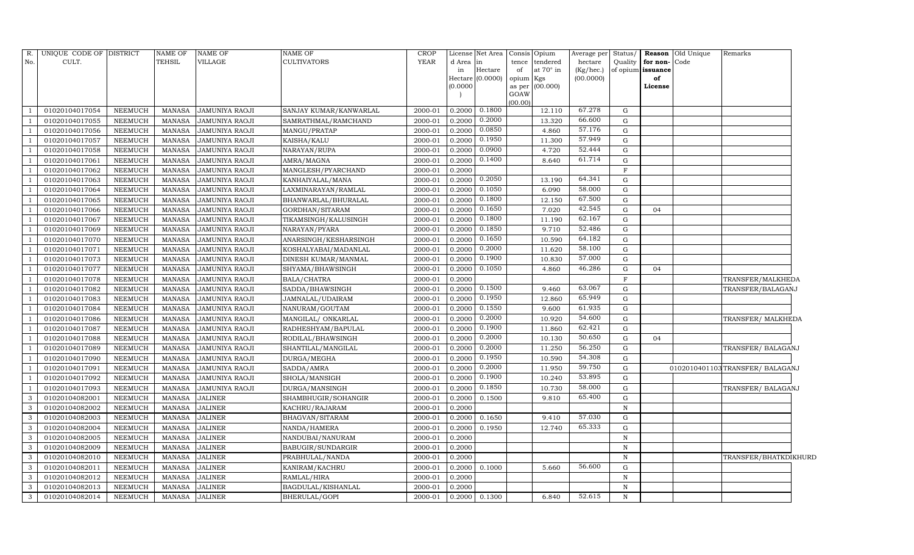| R.             | UNIQUE CODE OF DISTRICT |                | <b>NAME OF</b> | <b>NAME OF</b>        | <b>NAME OF</b>         | CROP    |          | License Net Area Consis |                | Opium     | Average per | Status/      |              | <b>Reason</b> Old Unique | Remarks                         |
|----------------|-------------------------|----------------|----------------|-----------------------|------------------------|---------|----------|-------------------------|----------------|-----------|-------------|--------------|--------------|--------------------------|---------------------------------|
| No.            | CULT.                   |                | <b>TEHSIL</b>  | VILLAGE               | <b>CULTIVATORS</b>     | YEAR    | d Area   | lin                     | tence          | tendered  | hectare     | Quality      | for non-Code |                          |                                 |
|                |                         |                |                |                       |                        |         | in       | Hectare                 | of             | at 70° in | (Kg/hec.)   | of opium     | issuance     |                          |                                 |
|                |                         |                |                |                       |                        |         |          | Hectare (0.0000)        | opium Kgs      |           | (00.0000)   |              | of           |                          |                                 |
|                |                         |                |                |                       |                        |         | (0.0000) |                         | as per<br>GOAW | (00.000)  |             |              | License      |                          |                                 |
|                |                         |                |                |                       |                        |         |          |                         | (00.00)        |           |             |              |              |                          |                                 |
|                | 01020104017054          | NEEMUCH        | <b>MANASA</b>  | JAMUNIYA RAOJI        | SANJAY KUMAR/KANWARLAL | 2000-01 | 0.2000   | 0.1800                  |                | 12.110    | 67.278      | G            |              |                          |                                 |
|                | 01020104017055          | <b>NEEMUCH</b> | <b>MANASA</b>  | <b>JAMUNIYA RAOJI</b> | SAMRATHMAL/RAMCHAND    | 2000-01 | 0.2000   | 0.2000                  |                | 13.320    | 66.600      | G            |              |                          |                                 |
|                | 01020104017056          | NEEMUCH        | <b>MANASA</b>  | JAMUNIYA RAOJI        | MANGU/PRATAP           | 2000-01 | 0.2000   | 0.0850                  |                | 4.860     | 57.176      | G            |              |                          |                                 |
|                | 01020104017057          | NEEMUCH        | <b>MANASA</b>  | <b>JAMUNIYA RAOJI</b> | KAISHA/KALU            | 2000-01 | 0.2000   | 0.1950                  |                | 11.300    | 57.949      | G            |              |                          |                                 |
|                | 01020104017058          | <b>NEEMUCH</b> | <b>MANASA</b>  | JAMUNIYA RAOJI        | NARAYAN/RUPA           | 2000-01 | 0.2000   | 0.0900                  |                | 4.720     | 52.444      | G            |              |                          |                                 |
|                | 01020104017061          | <b>NEEMUCH</b> | <b>MANASA</b>  | JAMUNIYA RAOJI        | AMRA/MAGNA             | 2000-01 | 0.2000   | 0.1400                  |                | 8.640     | 61.714      | G            |              |                          |                                 |
|                | 01020104017062          | NEEMUCH        | <b>MANASA</b>  | JAMUNIYA RAOJI        | MANGLESH/PYARCHAND     | 2000-01 | 0.2000   |                         |                |           |             | $\mathbf F$  |              |                          |                                 |
|                | 01020104017063          | NEEMUCH        | MANASA         | <b>JAMUNIYA RAOJI</b> | KANHAIYALAL/MANA       | 2000-01 | 0.2000   | 0.2050                  |                | 13.190    | 64.341      | G            |              |                          |                                 |
|                | 01020104017064          | NEEMUCH        | <b>MANASA</b>  | JAMUNIYA RAOJI        | LAXMINARAYAN/RAMLAL    | 2000-01 | 0.2000   | 0.1050                  |                | 6.090     | 58.000      | G            |              |                          |                                 |
|                | 01020104017065          | NEEMUCH        | <b>MANASA</b>  | JAMUNIYA RAOJI        | BHANWARLAL/BHURALAL    | 2000-01 | 0.2000   | 0.1800                  |                | 12.150    | 67.500      | G            |              |                          |                                 |
|                | 01020104017066          | <b>NEEMUCH</b> | <b>MANASA</b>  | <b>JAMUNIYA RAOJI</b> | GORDHAN/SITARAM        | 2000-01 | 0.2000   | 0.1650                  |                | 7.020     | 42.545      | G            | 04           |                          |                                 |
|                | 01020104017067          | NEEMUCH        | <b>MANASA</b>  | JAMUNIYA RAOJI        | TIKAMSINGH/KALUSINGH   | 2000-01 | 0.2000   | 0.1800                  |                | 11.190    | 62.167      | G            |              |                          |                                 |
|                | 01020104017069          | <b>NEEMUCH</b> | <b>MANASA</b>  | JAMUNIYA RAOJI        | NARAYAN/PYARA          | 2000-01 | 0.2000   | 0.1850                  |                | 9.710     | 52.486      | G            |              |                          |                                 |
|                | 01020104017070          | NEEMUCH        | <b>MANASA</b>  | JAMUNIYA RAOJI        | ANARSINGH/KESHARSINGH  | 2000-01 | 0.2000   | 0.1650                  |                | 10.590    | 64.182      | G            |              |                          |                                 |
|                | 01020104017071          | NEEMUCH        | <b>MANASA</b>  | JAMUNIYA RAOJI        | KOSHALYABAI/MADANLAL   | 2000-01 | 0.2000   | 0.2000                  |                | 11.620    | 58.100      | G            |              |                          |                                 |
|                | 01020104017073          | NEEMUCH        | <b>MANASA</b>  | JAMUNIYA RAOJI        | DINESH KUMAR/MANMAL    | 2000-01 | 0.2000   | 0.1900                  |                | 10.830    | 57.000      | G            |              |                          |                                 |
|                | 01020104017077          | NEEMUCH        | <b>MANASA</b>  | JAMUNIYA RAOJI        | SHYAMA/BHAWSINGH       | 2000-01 | 0.2000   | 0.1050                  |                | 4.860     | 46.286      | G            | 04           |                          |                                 |
|                | 01020104017078          | NEEMUCH        | <b>MANASA</b>  | <b>JAMUNIYA RAOJI</b> | BALA/CHATRA            | 2000-01 | 0.2000   |                         |                |           |             | $\mathbf F$  |              |                          | TRANSFER/MALKHEDA               |
|                | 01020104017082          | NEEMUCH        | <b>MANASA</b>  | <b>JAMUNIYA RAOJI</b> | SADDA/BHAWSINGH        | 2000-01 | 0.2000   | 0.1500                  |                | 9.460     | 63.067      | G            |              |                          | TRANSFER/BALAGANJ               |
|                | 01020104017083          | <b>NEEMUCH</b> | <b>MANASA</b>  | JAMUNIYA RAOJI        | JAMNALAL/UDAIRAM       | 2000-01 | 0.2000   | 0.1950                  |                | 12.860    | 65.949      | G            |              |                          |                                 |
|                | 01020104017084          | <b>NEEMUCH</b> | <b>MANASA</b>  | <b>JAMUNIYA RAOJI</b> | NANURAM/GOUTAM         | 2000-01 | 0.2000   | 0.1550                  |                | 9.600     | 61.935      | G            |              |                          |                                 |
|                | 01020104017086          | <b>NEEMUCH</b> | <b>MANASA</b>  | <b>JAMUNIYA RAOJI</b> | MANGILAL/ ONKARLAL     | 2000-01 | 0.2000   | 0.2000                  |                | 10.920    | 54.600      | G            |              |                          | TRANSFER/ MALKHEDA              |
|                | 01020104017087          | <b>NEEMUCH</b> | <b>MANASA</b>  | JAMUNIYA RAOJI        | RADHESHYAM/BAPULAL     | 2000-01 | 0.2000   | 0.1900                  |                | 11.860    | 62.421      | G            |              |                          |                                 |
|                | 01020104017088          | <b>NEEMUCH</b> | <b>MANASA</b>  | <b>JAMUNIYA RAOJI</b> | RODILAL/BHAWSINGH      | 2000-01 | 0.2000   | 0.2000                  |                | 10.130    | 50.650      | G            | 04           |                          |                                 |
|                | 01020104017089          | NEEMUCH        | <b>MANASA</b>  | JAMUNIYA RAOJI        | SHANTILAL/MANGILAL     | 2000-01 | 0.2000   | 0.2000                  |                | 11.250    | 56.250      | G            |              |                          | TRANSFER/BALAGANJ               |
| $\overline{1}$ | 01020104017090          | <b>NEEMUCH</b> | <b>MANASA</b>  | <b>JAMUNIYA RAOJI</b> | DURGA/MEGHA            | 2000-01 | 0.2000   | 0.1950                  |                | 10.590    | 54.308      | G            |              |                          |                                 |
| $\overline{1}$ | 01020104017091          | <b>NEEMUCH</b> | <b>MANASA</b>  | <b>JAMUNIYA RAOJI</b> | SADDA/AMRA             | 2000-01 | 0.2000   | 0.2000                  |                | 11.950    | 59.750      | G            |              |                          | 0102010401103TRANSFER/ BALAGANJ |
|                | 01020104017092          | <b>NEEMUCH</b> | <b>MANASA</b>  | <b>JAMUNIYA RAOJI</b> | SHOLA/MANSIGH          | 2000-01 | 0.2000   | 0.1900                  |                | 10.240    | 53.895      | $\mathbf{G}$ |              |                          |                                 |
|                | 01020104017093          | NEEMUCH        | <b>MANASA</b>  | <b>JAMUNIYA RAOJI</b> | DURGA/MANSINGH         | 2000-01 | 0.2000   | 0.1850                  |                | 10.730    | 58.000      | G            |              |                          | TRANSFER/ BALAGANJ              |
| 3              | 01020104082001          | <b>NEEMUCH</b> | <b>MANASA</b>  | <b>JALINER</b>        | SHAMBHUGIR/SOHANGIR    | 2000-01 | 0.2000   | 0.1500                  |                | 9.810     | 65.400      | $\mathbf{G}$ |              |                          |                                 |
| 3              | 01020104082002          | NEEMUCH        | <b>MANASA</b>  | <b>JALINER</b>        | KACHRU/RAJARAM         | 2000-01 | 0.2000   |                         |                |           |             | N            |              |                          |                                 |
| 3              | 01020104082003          | <b>NEEMUCH</b> | <b>MANASA</b>  | <b>JALINER</b>        | BHAGVAN/SITARAM        | 2000-01 | 0.2000   | 0.1650                  |                | 9.410     | 57.030      | G            |              |                          |                                 |
| 3              | 01020104082004          | <b>NEEMUCH</b> | <b>MANASA</b>  | <b>JALINER</b>        | NANDA/HAMERA           | 2000-01 | 0.2000   | 0.1950                  |                | 12.740    | 65.333      | G            |              |                          |                                 |
| 3              | 01020104082005          | NEEMUCH        | <b>MANASA</b>  | <b>JALINER</b>        | NANDUBAI/NANURAM       | 2000-01 | 0.2000   |                         |                |           |             | $\mathbf N$  |              |                          |                                 |
| 3              | 01020104082009          | NEEMUCH        | MANASA         | <b>JALINER</b>        | BABUGIR/SUNDARGIR      | 2000-01 | 0.2000   |                         |                |           |             | N            |              |                          |                                 |
| 3              | 01020104082010          | NEEMUCH        | MANASA         | <b>JALINER</b>        | PRABHULAL/NANDA        | 2000-01 | 0.2000   |                         |                |           |             | N            |              |                          | TRANSFER/BHATKDIKHURD           |
| 3              | 01020104082011          | NEEMUCH        | <b>MANASA</b>  | <b>JALINER</b>        | KANIRAM/KACHRU         | 2000-01 | 0.2000   | 0.1000                  |                | 5.660     | 56.600      | $\mathbf{G}$ |              |                          |                                 |
| 3              | 01020104082012          | <b>NEEMUCH</b> | <b>MANASA</b>  | <b>JALINER</b>        | RAMLAL/HIRA            | 2000-01 | 0.2000   |                         |                |           |             | $\mathbf N$  |              |                          |                                 |
| 3              | 01020104082013          | NEEMUCH        | <b>MANASA</b>  | <b>JALINER</b>        | BAGDULAL/KISHANLAL     | 2000-01 | 0.2000   |                         |                |           |             | N            |              |                          |                                 |
| 3              | 01020104082014          | <b>NEEMUCH</b> | MANASA         | <b>JALINER</b>        | BHERULAL/GOPI          | 2000-01 | 0.2000   | 0.1300                  |                | 6.840     | 52.615      | $\mathbf N$  |              |                          |                                 |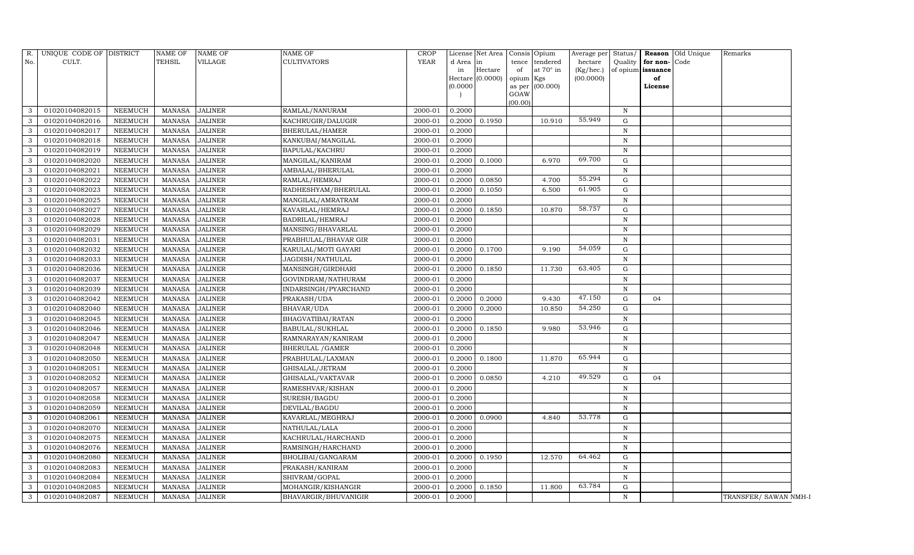| R.  | UNIQUE CODE OF DISTRICT          |                    | <b>NAME OF</b>                 | <b>NAME OF</b>                   | <b>NAME OF</b>                      | <b>CROP</b>        |                  | License Net Area   Consis   Opium |             |                         | Average per Status/    |                  |                         | <b>Reason</b> Old Unique | Remarks               |
|-----|----------------------------------|--------------------|--------------------------------|----------------------------------|-------------------------------------|--------------------|------------------|-----------------------------------|-------------|-------------------------|------------------------|------------------|-------------------------|--------------------------|-----------------------|
| No. | CULT.                            |                    | <b>TEHSIL</b>                  | VILLAGE                          | <b>CULTIVATORS</b>                  | <b>YEAR</b>        | d Area           | in                                | tence       | tendered                | hectare                | Quality          | for non-Code            |                          |                       |
|     |                                  |                    |                                |                                  |                                     |                    | in               | Hectare<br>Hectare (0.0000)       | of<br>opium | at $70^\circ$ in<br>Kgs | (Kg/hec.)<br>(00.0000) |                  | of opium issuance<br>of |                          |                       |
|     |                                  |                    |                                |                                  |                                     |                    | (0.0000)         |                                   | as per      | (00.000)                |                        |                  | License                 |                          |                       |
|     |                                  |                    |                                |                                  |                                     |                    |                  |                                   | GOAW        |                         |                        |                  |                         |                          |                       |
|     | 01020104082015                   | <b>NEEMUCH</b>     | <b>MANASA</b>                  | <b>JALINER</b>                   | RAMLAL/NANURAM                      | 2000-01            | 0.2000           |                                   | (00.00)     |                         |                        | $\mathbf N$      |                         |                          |                       |
| 3   | 01020104082016                   | <b>NEEMUCH</b>     | <b>MANASA</b>                  | <b>JALINER</b>                   | KACHRUGIR/DALUGIR                   | 2000-01            | 0.2000           | 0.1950                            |             | 10.910                  | 55.949                 | G                |                         |                          |                       |
| 3   | 01020104082017                   | <b>NEEMUCH</b>     | <b>MANASA</b>                  | <b>JALINER</b>                   | BHERULAL/HAMER                      | 2000-01            | 0.2000           |                                   |             |                         |                        | $\mathbf N$      |                         |                          |                       |
| 3   |                                  |                    |                                |                                  |                                     |                    |                  |                                   |             |                         |                        |                  |                         |                          |                       |
| 3   | 01020104082018<br>01020104082019 | NEEMUCH<br>NEEMUCH | <b>MANASA</b><br><b>MANASA</b> | <b>JALINER</b><br><b>JALINER</b> | KANKUBAI/MANGILAL<br>BAPULAL/KACHRU | 2000-01<br>2000-01 | 0.2000<br>0.2000 |                                   |             |                         |                        | N<br>$\mathbf N$ |                         |                          |                       |
| 3   | 01020104082020                   | <b>NEEMUCH</b>     | <b>MANASA</b>                  | <b>JALINER</b>                   |                                     | 2000-01            | 0.2000           | 0.1000                            |             | 6.970                   | 69.700                 | G                |                         |                          |                       |
| 3   | 01020104082021                   | <b>NEEMUCH</b>     | <b>MANASA</b>                  | <b>JALINER</b>                   | MANGILAL/KANIRAM                    | 2000-01            | 0.2000           |                                   |             |                         |                        | $\mathbf N$      |                         |                          |                       |
| 3   | 01020104082022                   |                    | <b>MANASA</b>                  | <b>JALINER</b>                   | AMBALAL/BHERULAL                    |                    |                  |                                   |             |                         | 55.294                 | G                |                         |                          |                       |
| 3   |                                  | <b>NEEMUCH</b>     | <b>MANASA</b>                  | <b>JALINER</b>                   | RAMLAL/HEMRAJ                       | 2000-01            | 0.2000           | 0.0850                            |             | 4.700<br>6.500          | 61.905                 | $\mathbf G$      |                         |                          |                       |
|     | 01020104082023                   | <b>NEEMUCH</b>     |                                |                                  | RADHESHYAM/BHERULAL                 | 2000-01            | 0.2000           | 0.1050                            |             |                         |                        |                  |                         |                          |                       |
| 3   | 01020104082025                   | <b>NEEMUCH</b>     | <b>MANASA</b>                  | <b>JALINER</b>                   | MANGILAL/AMRATRAM                   | 2000-01            | 0.2000           |                                   |             |                         | 58.757                 | $\,$ N           |                         |                          |                       |
| 3   | 01020104082027                   | <b>NEEMUCH</b>     | <b>MANASA</b>                  | <b>JALINER</b>                   | KAVARLAL/HEMRAJ                     | 2000-01            | 0.2000           | 0.1850                            |             | 10.870                  |                        | G                |                         |                          |                       |
| 3   | 01020104082028                   | <b>NEEMUCH</b>     | <b>MANASA</b>                  | <b>JALINER</b>                   | BADRILAL/HEMRAJ                     | 2000-01            | 0.2000           |                                   |             |                         |                        | N                |                         |                          |                       |
| 3   | 01020104082029                   | NEEMUCH            | <b>MANASA</b>                  | <b>JALINER</b>                   | MANSING/BHAVARLAL                   | 2000-01            | 0.2000           |                                   |             |                         |                        | $\mathbf N$      |                         |                          |                       |
| 3   | 01020104082031                   | NEEMUCH            | <b>MANASA</b>                  | <b>JALINER</b>                   | PRABHULAL/BHAVAR GIR                | 2000-01            | 0.2000           |                                   |             |                         |                        | $\mathbf N$      |                         |                          |                       |
| 3   | 01020104082032                   | NEEMUCH            | <b>MANASA</b>                  | <b>JALINER</b>                   | KARULAL/MOTI GAYARI                 | 2000-01            | 0.2000           | 0.1700                            |             | 9.190                   | 54.059                 | G                |                         |                          |                       |
| 3   | 01020104082033                   | <b>NEEMUCH</b>     | <b>MANASA</b>                  | <b>JALINER</b>                   | JAGDISH/NATHULAL                    | 2000-01            | 0.2000           |                                   |             |                         |                        | $\mathbb N$      |                         |                          |                       |
| 3   | 01020104082036                   | <b>NEEMUCH</b>     | <b>MANASA</b>                  | <b>JALINER</b>                   | MANSINGH/GIRDHARI                   | 2000-01            | 0.2000           | 0.1850                            |             | 11.730                  | 63.405                 | G                |                         |                          |                       |
| 3   | 01020104082037                   | NEEMUCH            | <b>MANASA</b>                  | <b>JALINER</b>                   | GOVINDRAM/NATHURAM                  | 2000-01            | 0.2000           |                                   |             |                         |                        | $\mathbf N$      |                         |                          |                       |
| 3   | 01020104082039                   | NEEMUCH            | <b>MANASA</b>                  | <b>JALINER</b>                   | INDARSINGH/PYARCHAND                | 2000-01            | 0.2000           |                                   |             |                         |                        | $\,$ N           |                         |                          |                       |
| 3   | 01020104082042                   | NEEMUCH            | <b>MANASA</b>                  | <b>JALINER</b>                   | PRAKASH/UDA                         | 2000-01            | 0.2000           | 0.2000                            |             | 9.430                   | 47.150                 | G                | 04                      |                          |                       |
| 3   | 01020104082040                   | <b>NEEMUCH</b>     | <b>MANASA</b>                  | <b>JALINER</b>                   | BHAVAR/UDA                          | 2000-01            | 0.2000           | 0.2000                            |             | 10.850                  | 54.250                 | G                |                         |                          |                       |
| 3   | 01020104082045                   | <b>NEEMUCH</b>     | <b>MANASA</b>                  | <b>JALINER</b>                   | BHAGVATIBAI/RATAN                   | 2000-01            | 0.2000           |                                   |             |                         |                        | $\mathbf N$      |                         |                          |                       |
| 3   | 01020104082046                   | NEEMUCH            | <b>MANASA</b>                  | <b>JALINER</b>                   | BABULAL/SUKHLAL                     | 2000-01            | 0.2000           | 0.1850                            |             | 9.980                   | 53.946                 | G                |                         |                          |                       |
| 3   | 01020104082047                   | <b>NEEMUCH</b>     | <b>MANASA</b>                  | <b>JALINER</b>                   | RAMNARAYAN/KANIRAM                  | 2000-01            | 0.2000           |                                   |             |                         |                        | $\mathbb N$      |                         |                          |                       |
| 3   | 01020104082048                   | NEEMUCH            | <b>MANASA</b>                  | <b>JALINER</b>                   | <b>BHERULAL / GAMER</b>             | 2000-01            | 0.2000           |                                   |             |                         |                        | N                |                         |                          |                       |
| 3   | 01020104082050                   | <b>NEEMUCH</b>     | <b>MANASA</b>                  | <b>JALINER</b>                   | PRABHULAL/LAXMAN                    | 2000-01            | 0.2000           | 0.1800                            |             | 11.870                  | 65.944                 | G                |                         |                          |                       |
| 3   | 01020104082051                   | NEEMUCH            | <b>MANASA</b>                  | <b>JALINER</b>                   | GHISALAL/JETRAM                     | 2000-01            | 0.2000           |                                   |             |                         |                        | N                |                         |                          |                       |
| 3   | 01020104082052                   | NEEMUCH            | <b>MANASA</b>                  | <b>JALINER</b>                   | GHISALAL/VAKTAVAR                   | 2000-01            | 0.2000           | 0.0850                            |             | 4.210                   | 49.529                 | $\mathbf G$      | 04                      |                          |                       |
| 3   | 01020104082057                   | <b>NEEMUCH</b>     | <b>MANASA</b>                  | <b>JALINER</b>                   | RAMESHVAR/KISHAN                    | 2000-01            | 0.2000           |                                   |             |                         |                        | $\mathbf N$      |                         |                          |                       |
| 3   | 01020104082058                   | <b>NEEMUCH</b>     | <b>MANASA</b>                  | <b>JALINER</b>                   | SURESH/BAGDU                        | 2000-01            | 0.2000           |                                   |             |                         |                        | $\mathbf N$      |                         |                          |                       |
| 3   | 01020104082059                   | <b>NEEMUCH</b>     | MANASA                         | <b>JALINER</b>                   | DEVILAL/BAGDU                       | 2000-01            | 0.2000           |                                   |             |                         |                        | N                |                         |                          |                       |
| 3   | 01020104082061                   | NEEMUCH            | <b>MANASA</b>                  | <b>JALINER</b>                   | KAVARLAL/MEGHRAJ                    | 2000-01            | 0.2000           | 0.0900                            |             | 4.840                   | 53.778                 | $\mathbf G$      |                         |                          |                       |
| 3   | 01020104082070                   | <b>NEEMUCH</b>     | <b>MANASA</b>                  | <b>JALINER</b>                   | NATHULAL/LALA                       | 2000-01            | 0.2000           |                                   |             |                         |                        | $\mathbf N$      |                         |                          |                       |
| 3   | 01020104082075                   | <b>NEEMUCH</b>     | <b>MANASA</b>                  | <b>JALINER</b>                   | KACHRULAL/HARCHAND                  | 2000-01            | 0.2000           |                                   |             |                         |                        | $\mathbf N$      |                         |                          |                       |
| 3   | 01020104082076                   | <b>NEEMUCH</b>     | <b>MANASA</b>                  | <b>JALINER</b>                   | RAMSINGH/HARCHAND                   | 2000-01            | 0.2000           |                                   |             |                         |                        | N                |                         |                          |                       |
| 3   | 01020104082080                   | <b>NEEMUCH</b>     | <b>MANASA</b>                  | <b>JALINER</b>                   | BHOLIBAI/GANGARAM                   | 2000-01            | 0.2000           | 0.1950                            |             | 12.570                  | 64.462                 | G                |                         |                          |                       |
| 3   | 01020104082083                   | NEEMUCH            | <b>MANASA</b>                  | <b>JALINER</b>                   | PRAKASH/KANIRAM                     | 2000-01            | 0.2000           |                                   |             |                         |                        | N                |                         |                          |                       |
| 3   | 01020104082084                   | NEEMUCH            | <b>MANASA</b>                  | <b>JALINER</b>                   | SHIVRAM/GOPAL                       | 2000-01            | 0.2000           |                                   |             |                         |                        | ${\bf N}$        |                         |                          |                       |
| 3   | 01020104082085                   | <b>NEEMUCH</b>     | <b>MANASA</b>                  | <b>JALINER</b>                   | MOHANGIR/KISHANGIR                  | 2000-01            | 0.2000           | 0.1850                            |             | 11.800                  | 63.784                 | G                |                         |                          |                       |
| 3   | 01020104082087                   | <b>NEEMUCH</b>     | MANASA                         | <b>JALINER</b>                   | BHAVARGIR/BHUVANIGIR                | 2000-01            | 0.2000           |                                   |             |                         |                        | $\mathbf N$      |                         |                          | TRANSFER/ SAWAN NMH-I |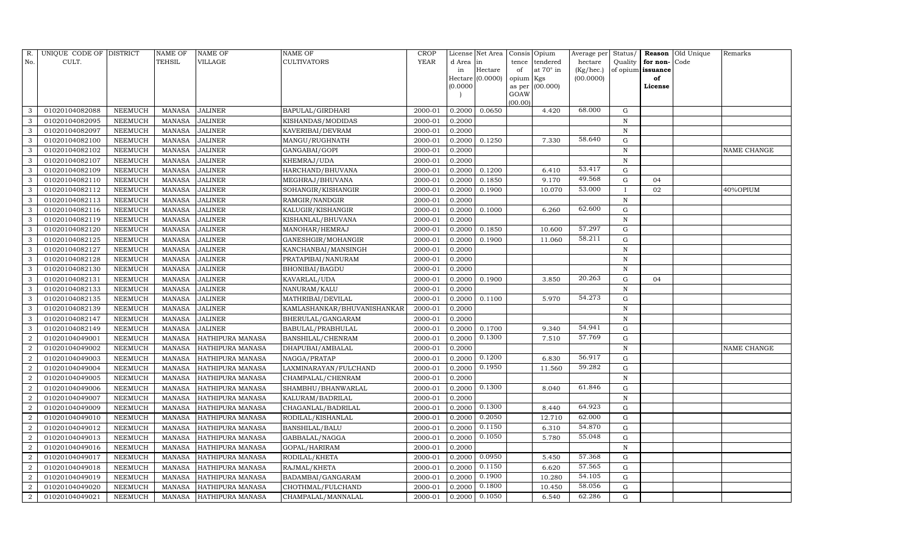| R.                          | UNIQUE CODE OF DISTRICT |                | NAME OF       | NAME OF          | NAME OF                     | CROP        |           | License Net Area |                | Consis Opium     | Average per | Status/      |          | Reason Old Unique | Remarks     |
|-----------------------------|-------------------------|----------------|---------------|------------------|-----------------------------|-------------|-----------|------------------|----------------|------------------|-------------|--------------|----------|-------------------|-------------|
| No.                         | CULT.                   |                | TEHSIL        | VILLAGE          | CULTIVATORS                 | <b>YEAR</b> | d Area in |                  | tence          | tendered         | hectare     | Quality      | for non- | Code              |             |
|                             |                         |                |               |                  |                             |             | in        | $\rm{Hectare}$   | of             | at $70^\circ$ in | (Kg/hec.)   | of opium     | issuance |                   |             |
|                             |                         |                |               |                  |                             |             |           | Hectare (0.0000) | opium Kgs      |                  | (00.0000)   |              | of       |                   |             |
|                             |                         |                |               |                  |                             |             | (0.0000)  |                  | as per<br>GOAW | (00.000)         |             |              | License  |                   |             |
|                             |                         |                |               |                  |                             |             |           |                  | (00.00)        |                  |             |              |          |                   |             |
| 3                           | 01020104082088          | NEEMUCH        | MANASA        | <b>JALINER</b>   | BAPULAL/GIRDHARI            | 2000-01     | 0.2000    | 0.0650           |                | 4.420            | 68.000      | G            |          |                   |             |
| 3                           | 01020104082095          | <b>NEEMUCH</b> | <b>MANASA</b> | <b>JALINER</b>   | KISHANDAS/MODIDAS           | 2000-01     | 0.2000    |                  |                |                  |             | N            |          |                   |             |
| 3                           | 01020104082097          | NEEMUCH        | <b>MANASA</b> | <b>JALINER</b>   | KAVERIBAI/DEVRAM            | 2000-01     | 0.2000    |                  |                |                  |             | $\, {\rm N}$ |          |                   |             |
| 3                           | 01020104082100          | NEEMUCH        | MANASA        | <b>JALINER</b>   | MANGU/RUGHNATH              | 2000-01     | 0.2000    | 0.1250           |                | 7.330            | 58.640      | ${\rm G}$    |          |                   |             |
| 3                           | 01020104082102          | NEEMUCH        | <b>MANASA</b> | <b>JALINER</b>   | GANGABAI/GOPI               | 2000-01     | 0.2000    |                  |                |                  |             | ${\bf N}$    |          |                   | NAME CHANGE |
| 3                           | 01020104082107          | NEEMUCH        | <b>MANASA</b> | <b>JALINER</b>   | KHEMRAJ/UDA                 | 2000-01     | 0.2000    |                  |                |                  |             | ${\bf N}$    |          |                   |             |
| 3                           | 01020104082109          | NEEMUCH        | <b>MANASA</b> | <b>JALINER</b>   | HARCHAND/BHUVANA            | $2000 - 01$ | 0.2000    | 0.1200           |                | 6.410            | 53.417      | ${\rm G}$    |          |                   |             |
| 3                           | 01020104082110          | NEEMUCH        | <b>MANASA</b> | <b>JALINER</b>   | MEGHRAJ/BHUVANA             | 2000-01     | 0.2000    | 0.1850           |                | 9.170            | 49.568      | ${\rm G}$    | 04       |                   |             |
| 3                           | 01020104082112          | NEEMUCH        | <b>MANASA</b> | <b>JALINER</b>   | SOHANGIR/KISHANGIR          | 2000-01     | 0.2000    | 0.1900           |                | 10.070           | 53.000      |              | 02       |                   | 40%OPIUM    |
| 3                           | 01020104082113          | NEEMUCH        | <b>MANASA</b> | <b>JALINER</b>   | RAMGIR/NANDGIR              | 2000-01     | 0.2000    |                  |                |                  |             | ${\bf N}$    |          |                   |             |
| 3                           | 01020104082116          | NEEMUCH        | <b>MANASA</b> | <b>JALINER</b>   | KALUGIR/KISHANGIR           | 2000-01     | 0.2000    | 0.1000           |                | 6.260            | 62.600      | ${\rm G}$    |          |                   |             |
| 3                           | 01020104082119          | NEEMUCH        | <b>MANASA</b> | <b>JALINER</b>   | KISHANLAL/BHUVANA           | 2000-01     | 0.2000    |                  |                |                  |             | $\, {\rm N}$ |          |                   |             |
| 3                           | 01020104082120          | NEEMUCH        | <b>MANASA</b> | <b>JALINER</b>   | MANOHAR/HEMRAJ              | 2000-01     | 0.2000    | 0.1850           |                | 10.600           | 57.297      | ${\rm G}$    |          |                   |             |
| 3                           | 01020104082125          | NEEMUCH        | <b>MANASA</b> | <b>JALINER</b>   | GANESHGIR/MOHANGIR          | 2000-01     | 0.2000    | 0.1900           |                | 11.060           | 58.211      | G            |          |                   |             |
| 3                           | 01020104082127          | NEEMUCH        | <b>MANASA</b> | <b>JALINER</b>   | KANCHANBAI/MANSINGH         | 2000-01     | 0.2000    |                  |                |                  |             | ${\bf N}$    |          |                   |             |
| 3                           | 01020104082128          | <b>NEEMUCH</b> | <b>MANASA</b> | <b>JALINER</b>   | PRATAPIBAI/NANURAM          | 2000-01     | 0.2000    |                  |                |                  |             | $\, {\rm N}$ |          |                   |             |
|                             | 01020104082130          | <b>NEEMUCH</b> | <b>MANASA</b> | <b>JALINER</b>   | BHONIBAI/BAGDU              | 2000-01     | 0.2000    |                  |                |                  |             | N            |          |                   |             |
| 3                           | 01020104082131          | NEEMUCH        | <b>MANASA</b> | <b>JALINER</b>   | KAVARLAL/UDA                | 2000-01     | 0.2000    | 0.1900           |                | 3.850            | 20.263      | G            | 04       |                   |             |
| 3                           | 01020104082133          | <b>NEEMUCH</b> | <b>MANASA</b> | <b>JALINER</b>   | NANURAM/KALU                | 2000-01     | 0.2000    |                  |                |                  |             | ${\bf N}$    |          |                   |             |
| 3                           | 01020104082135          | NEEMUCH        | <b>MANASA</b> | <b>JALINER</b>   | MATHRIBAI/DEVILAL           | 2000-01     | 0.2000    | 0.1100           |                | 5.970            | 54.273      | G            |          |                   |             |
| 3                           | 01020104082139          | NEEMUCH        | <b>MANASA</b> | <b>JALINER</b>   | KAMLASHANKAR/BHUVANISHANKAR | 2000-01     | 0.2000    |                  |                |                  |             | $\, {\rm N}$ |          |                   |             |
| 3                           | 01020104082147          | NEEMUCH        | <b>MANASA</b> | <b>JALINER</b>   | BHERULAL/GANGARAM           | 2000-01     | 0.2000    |                  |                |                  |             | $\, {\rm N}$ |          |                   |             |
| 3                           | 01020104082149          | NEEMUCH        | <b>MANASA</b> | <b>JALINER</b>   | BABULAL/PRABHULAL           | 2000-01     | 0.2000    | 0.1700           |                | 9.340            | 54.941      | G            |          |                   |             |
| $\overline{2}$              | 01020104049001          | NEEMUCH        | <b>MANASA</b> | HATHIPURA MANASA | BANSHILAL/CHENRAM           | 2000-01     | 0.2000    | 0.1300           |                | 7.510            | 57.769      | G            |          |                   |             |
|                             | 01020104049002          | <b>NEEMUCH</b> | <b>MANASA</b> | HATHIPURA MANASA | DHAPUBAI/AMBALAL            | 2000-01     | 0.2000    |                  |                |                  |             | $\, {\rm N}$ |          |                   | NAME CHANGE |
| $\overline{2}$              | 01020104049003          | NEEMUCH        | <b>MANASA</b> | HATHIPURA MANASA | NAGGA/PRATAP                | 2000-01     | 0.2000    | 0.1200           |                | 6.830            | 56.917      | G            |          |                   |             |
| 2                           | 01020104049004          | NEEMUCH        | <b>MANASA</b> | HATHIPURA MANASA | LAXMINARAYAN/FULCHAND       | 2000-01     | 0.2000    | 0.1950           |                | 11.560           | 59.282      | G            |          |                   |             |
| $\mathcal{D}$               | 01020104049005          | <b>NEEMUCH</b> | <b>MANASA</b> | HATHIPURA MANASA | CHAMPALAL/CHENRAM           | 2000-01     | 0.2000    |                  |                |                  |             | N            |          |                   |             |
| $\overline{2}$              | 01020104049006          | NEEMUCH        | <b>MANASA</b> | HATHIPURA MANASA | SHAMBHU/BHANWARLAL          | 2000-01     | 0.2000    | 0.1300           |                | 8.040            | 61.846      | G            |          |                   |             |
| $\overline{2}$              | 01020104049007          | <b>NEEMUCH</b> | <b>MANASA</b> | HATHIPURA MANASA | KALURAM/BADRILAL            | 2000-01     | 0.2000    |                  |                |                  |             | ${\bf N}$    |          |                   |             |
| $\overline{2}$              | 01020104049009          | NEEMUCH        | <b>MANASA</b> | HATHIPURA MANASA | CHAGANLAL/BADRILAL          | 2000-01     | 0.2000    | 0.1300           |                | 8.440            | 64.923      | G            |          |                   |             |
|                             | 01020104049010          | NEEMUCH        | <b>MANASA</b> | HATHIPURA MANASA | RODILAL/KISHANLAL           | 2000-01     | 0.2000    | 0.2050           |                | 12.710           | 62.000      | $\mathbf G$  |          |                   |             |
| $\mathcal{D}_{\mathcal{L}}$ | 01020104049012          | <b>NEEMUCH</b> | <b>MANASA</b> | HATHIPURA MANASA | BANSHILAL/BALU              | 2000-01     | 0.2000    | 0.1150           |                | 6.310            | 54.870      | ${\rm G}$    |          |                   |             |
| $\mathcal{D}$               | 01020104049013          | NEEMUCH        | <b>MANASA</b> | HATHIPURA MANASA | GABBALAL/NAGGA              | 2000-01     | 0.2000    | 0.1050           |                | 5.780            | 55.048      | G            |          |                   |             |
| 2                           | 01020104049016          | NEEMUCH        | <b>MANASA</b> | HATHIPURA MANASA | GOPAL/HARIRAM               | 2000-01     | 0.2000    |                  |                |                  |             | $\, {\rm N}$ |          |                   |             |
| $\overline{2}$              | 01020104049017          | <b>NEEMUCH</b> | <b>MANASA</b> | HATHIPURA MANASA | RODILAL/KHETA               | 2000-01     | 0.2000    | 0.0950           |                | 5.450            | 57.368      | ${\rm G}$    |          |                   |             |
| $\mathcal{D}$               | 01020104049018          | NEEMUCH        | <b>MANASA</b> | HATHIPURA MANASA | RAJMAL/KHETA                | 2000-01     | 0.2000    | 0.1150           |                | 6.620            | 57.565      | G            |          |                   |             |
| 2                           | 01020104049019          | <b>NEEMUCH</b> | <b>MANASA</b> | HATHIPURA MANASA | BADAMBAI/GANGARAM           | 2000-01     | 0.2000    | 0.1900           |                | 10.280           | 54.105      | G            |          |                   |             |
| $\overline{2}$              | 01020104049020          | NEEMUCH        | <b>MANASA</b> | HATHIPURA MANASA | CHOTHMAL/FULCHAND           | 2000-01     | 0.2000    | 0.1800           |                | 10.450           | 58.056      | G            |          |                   |             |
| $\overline{a}$              | 01020104049021          | NEEMUCH        | MANASA        | HATHIPURA MANASA | CHAMPALAL/MANNALAL          | 2000-01     | 0.2000    | 0.1050           |                | 6.540            | 62.286      | G            |          |                   |             |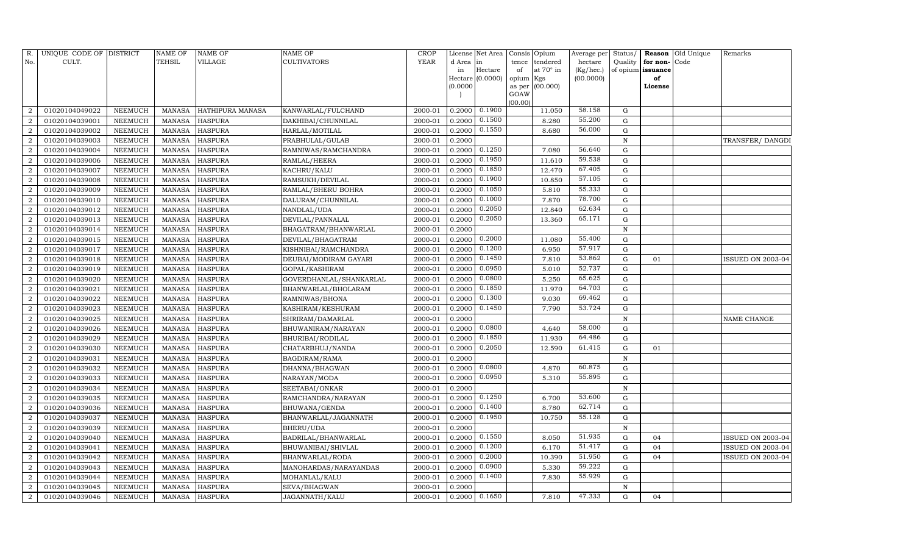| R.             | UNIQUE CODE OF DISTRICT |                | <b>NAME OF</b> | NAME OF          | <b>NAME OF</b>          | CROP    |           | License Net Area | Consis Opium                       | Average per | Status/      | Reason            | Old Unique | Remarks                  |
|----------------|-------------------------|----------------|----------------|------------------|-------------------------|---------|-----------|------------------|------------------------------------|-------------|--------------|-------------------|------------|--------------------------|
| No.            | CULT.                   |                | TEHSIL         | VILLAGE          | <b>CULTIVATORS</b>      | YEAR    | d Area in |                  | tendered<br>tence                  | hectare     | Quality      | for non-          | Code       |                          |
|                |                         |                |                |                  |                         |         | in        | Hectare          | at $70^\circ$ in<br>of             | (Kg/hec.)   |              | of opium issuance |            |                          |
|                |                         |                |                |                  |                         |         | (0.0000)  | Hectare (0.0000) | opium<br>Kgs<br>(00.000)<br>as per | (00.0000)   |              | of<br>License     |            |                          |
|                |                         |                |                |                  |                         |         |           |                  | GOAW                               |             |              |                   |            |                          |
|                |                         |                |                |                  |                         |         |           |                  | (00.00)                            |             |              |                   |            |                          |
|                | 01020104049022          | NEEMUCH        | MANASA         | HATHIPURA MANASA | KANWARLAL/FULCHAND      | 2000-01 | 0.2000    | 0.1900           | 11.050                             | 58.158      | G            |                   |            |                          |
| $\overline{2}$ | 01020104039001          | NEEMUCH        | <b>MANASA</b>  | <b>HASPURA</b>   | DAKHIBAI/CHUNNILAL      | 2000-01 | 0.2000    | 0.1500           | 8.280                              | 55.200      | G            |                   |            |                          |
| $\overline{2}$ | 01020104039002          | NEEMUCH        | MANASA         | <b>HASPURA</b>   | HARLAL/MOTILAL          | 2000-01 | 0.2000    | 0.1550           | 8.680                              | 56.000      | $\mathbf G$  |                   |            |                          |
| $\mathcal{D}$  | 01020104039003          | NEEMUCH        | <b>MANASA</b>  | <b>HASPURA</b>   | PRABHULAL/GULAB         | 2000-01 | 0.2000    |                  |                                    |             | $\, {\rm N}$ |                   |            | TRANSFER/DANGDI          |
| 2              | 01020104039004          | NEEMUCH        | <b>MANASA</b>  | <b>HASPURA</b>   | RAMNIWAS/RAMCHANDRA     | 2000-01 | 0.2000    | 0.1250           | 7.080                              | 56.640      | $\mathbf G$  |                   |            |                          |
|                | 01020104039006          | NEEMUCH        | <b>MANASA</b>  | <b>HASPURA</b>   | RAMLAL/HEERA            | 2000-01 | 0.2000    | 0.1950           | 11.610                             | 59.538      | ${\bf G}$    |                   |            |                          |
|                | 01020104039007          | NEEMUCH        | <b>MANASA</b>  | <b>HASPURA</b>   | KACHRU/KALU             | 2000-01 | 0.2000    | 0.1850           | 12.470                             | 67.405      | ${\rm G}$    |                   |            |                          |
| 2              | 01020104039008          | NEEMUCH        | <b>MANASA</b>  | <b>HASPURA</b>   | RAMSUKH/DEVILAL         | 2000-01 | 0.2000    | 0.1900           | 10.850                             | 57.105      | ${\rm G}$    |                   |            |                          |
| 2              | 01020104039009          | NEEMUCH        | <b>MANASA</b>  | <b>HASPURA</b>   | RAMLAL/BHERU BOHRA      | 2000-01 | 0.2000    | 0.1050           | 5.810                              | 55.333      | ${\bf G}$    |                   |            |                          |
|                | 01020104039010          | NEEMUCH        | <b>MANASA</b>  | <b>HASPURA</b>   | DALURAM/CHUNNILAL       | 2000-01 | 0.2000    | 0.1000           | 7.870                              | 78.700      | ${\rm G}$    |                   |            |                          |
| $\mathcal{D}$  | 01020104039012          | <b>NEEMUCH</b> | <b>MANASA</b>  | <b>HASPURA</b>   | NANDLAL/UDA             | 2000-01 | 0.2000    | 0.2050           | 12.840                             | 62.634      | ${\rm G}$    |                   |            |                          |
| $\overline{2}$ | 01020104039013          | NEEMUCH        | MANASA         | <b>HASPURA</b>   | DEVILAL/PANNALAL        | 2000-01 | 0.2000    | 0.2050           | 13.360                             | 65.171      | ${\rm G}$    |                   |            |                          |
| $\overline{2}$ | 01020104039014          | <b>NEEMUCH</b> | <b>MANASA</b>  | <b>HASPURA</b>   | BHAGATRAM/BHANWARLAL    | 2000-01 | 0.2000    |                  |                                    |             | $\, {\rm N}$ |                   |            |                          |
|                | 01020104039015          | <b>NEEMUCH</b> | MANASA         | <b>HASPURA</b>   | DEVILAL/BHAGATRAM       | 2000-01 | 0.2000    | 0.2000           | 11.080                             | 55.400      | ${\rm G}$    |                   |            |                          |
| $\overline{2}$ | 01020104039017          | NEEMUCH        | MANASA         | <b>HASPURA</b>   | KISHNIBAI/RAMCHANDRA    | 2000-01 | 0.2000    | 0.1200           | 6.950                              | 57.917      | ${\rm G}$    |                   |            |                          |
| 2              | 01020104039018          | <b>NEEMUCH</b> | MANASA         | <b>HASPURA</b>   | DEUBAI/MODIRAM GAYARI   | 2000-01 | 0.2000    | 0.1450           | 7.810                              | 53.862      | $\mathbf G$  | 01                |            | <b>ISSUED ON 2003-04</b> |
| $\overline{2}$ | 01020104039019          | <b>NEEMUCH</b> | <b>MANASA</b>  | <b>HASPURA</b>   | GOPAL/KASHIRAM          | 2000-01 | 0.2000    | 0.0950           | 5.010                              | 52.737      | $\mathbf G$  |                   |            |                          |
|                | 01020104039020          | NEEMUCH        | MANASA         | <b>HASPURA</b>   | GOVERDHANLAL/SHANKARLAL | 2000-01 | 0.2000    | 0.0800           | 5.250                              | 65.625      | ${\rm G}$    |                   |            |                          |
| $\overline{2}$ | 01020104039021          | NEEMUCH        | MANASA         | <b>HASPURA</b>   | BHANWARLAL/BHOLARAM     | 2000-01 | 0.2000    | 0.1850           | 11.970                             | 64.703      | ${\rm G}$    |                   |            |                          |
| $\overline{2}$ | 01020104039022          | NEEMUCH        | <b>MANASA</b>  | <b>HASPURA</b>   | RAMNIWAS/BHONA          | 2000-01 | 0.2000    | 0.1300           | 9.030                              | 69.462      | G            |                   |            |                          |
|                | 01020104039023          | <b>NEEMUCH</b> | <b>MANASA</b>  | <b>HASPURA</b>   | KASHIRAM/KESHURAM       | 2000-01 | 0.2000    | 0.1450           | 7.790                              | 53.724      | ${\rm G}$    |                   |            |                          |
| $\overline{2}$ | 01020104039025          | <b>NEEMUCH</b> | <b>MANASA</b>  | <b>HASPURA</b>   | SHRIRAM/DAMARLAL        | 2000-01 | 0.2000    |                  |                                    |             | $\, {\rm N}$ |                   |            | NAME CHANGE              |
| $\overline{2}$ | 01020104039026          | NEEMUCH        | MANASA         | <b>HASPURA</b>   | BHUWANIRAM/NARAYAN      | 2000-01 | 0.2000    | 0.0800           | 4.640                              | 58.000      | ${\rm G}$    |                   |            |                          |
| 2              | 01020104039029          | NEEMUCH        | <b>MANASA</b>  | <b>HASPURA</b>   | BHURIBAI/RODILAL        | 2000-01 | 0.2000    | 0.1850           | 11.930                             | 64.486      | ${\rm G}$    |                   |            |                          |
|                | 01020104039030          | <b>NEEMUCH</b> | <b>MANASA</b>  | <b>HASPURA</b>   | CHATARBHUJ/NANDA        | 2000-01 | 0.2000    | 0.2050           | 12.590                             | 61.415      | $\mathbf G$  | 01                |            |                          |
| $\overline{2}$ | 01020104039031          | NEEMUCH        | <b>MANASA</b>  | <b>HASPURA</b>   | BAGDIRAM/RAMA           | 2000-01 | 0.2000    |                  |                                    |             | $\mathbb N$  |                   |            |                          |
| $\overline{2}$ | 01020104039032          | <b>NEEMUCH</b> | <b>MANASA</b>  | <b>HASPURA</b>   | DHANNA/BHAGWAN          | 2000-01 | 0.2000    | 0.0800           | 4.870                              | 60.875      | ${\rm G}$    |                   |            |                          |
| $\overline{2}$ | 01020104039033          | <b>NEEMUCH</b> | <b>MANASA</b>  | <b>HASPURA</b>   | NARAYAN/MODA            | 2000-01 | 0.2000    | 0.0950           | 5.310                              | 55.895      | $\mathbf G$  |                   |            |                          |
|                | 01020104039034          | NEEMUCH        | MANASA         | <b>HASPURA</b>   | SEETABAI/ONKAR          | 2000-01 | 0.2000    |                  |                                    |             | $\mathbf N$  |                   |            |                          |
| $\overline{2}$ | 01020104039035          | <b>NEEMUCH</b> | <b>MANASA</b>  | <b>HASPURA</b>   | RAMCHANDRA/NARAYAN      | 2000-01 | 0.2000    | 0.1250           | 6.700                              | 53.600      | ${\rm G}$    |                   |            |                          |
| $\overline{2}$ | 01020104039036          | <b>NEEMUCH</b> | MANASA         | <b>HASPURA</b>   | BHUWANA/GENDA           | 2000-01 | 0.2000    | 0.1400           | 8.780                              | 62.714      | ${\rm G}$    |                   |            |                          |
| $\overline{2}$ | 01020104039037          | <b>NEEMUCH</b> | <b>MANASA</b>  | <b>HASPURA</b>   | BHANWARLAL/JAGANNATH    | 2000-01 | 0.2000    | 0.1950           | 10.750                             | 55.128      | ${\rm G}$    |                   |            |                          |
|                | 01020104039039          | <b>NEEMUCH</b> | <b>MANASA</b>  | <b>HASPURA</b>   | BHERU/UDA               | 2000-01 | 0.2000    |                  |                                    |             | ${\bf N}$    |                   |            |                          |
| $\mathcal{D}$  | 01020104039040          | <b>NEEMUCH</b> | <b>MANASA</b>  | <b>HASPURA</b>   | BADRILAL/BHANWARLAL     | 2000-01 | 0.2000    | 0.1550           | 8.050                              | 51.935      | ${\rm G}$    | 04                |            | <b>ISSUED ON 2003-04</b> |
| 2              | 01020104039041          | <b>NEEMUCH</b> | <b>MANASA</b>  | <b>HASPURA</b>   | BHUWANIBAI/SHIVLAL      | 2000-01 | 0.2000    | 0.1200           | 6.170                              | 51.417      | ${\rm G}$    | 04                |            | ISSUED ON 2003-04        |
| $\mathcal{D}$  | 01020104039042          | <b>NEEMUCH</b> | <b>MANASA</b>  | <b>HASPURA</b>   | BHANWARLAL/RODA         | 2000-01 | 0.2000    | 0.2000           | 10.390                             | 51.950      | G            | 04                |            | ISSUED ON 2003-04        |
| $\overline{2}$ | 01020104039043          | NEEMUCH        | MANASA         | <b>HASPURA</b>   | MANOHARDAS/NARAYANDAS   | 2000-01 | 0.2000    | 0.0900           | 5.330                              | 59.222      | G            |                   |            |                          |
| $\overline{2}$ | 01020104039044          | NEEMUCH        | <b>MANASA</b>  | <b>HASPURA</b>   | MOHANLAL/KALU           | 2000-01 | 0.2000    | 0.1400           | 7.830                              | 55.929      | G            |                   |            |                          |
| 2              | 01020104039045          | NEEMUCH        | MANASA         | <b>HASPURA</b>   | SEVA/BHAGWAN            | 2000-01 | 0.2000    |                  |                                    |             | $\mathbf N$  |                   |            |                          |
| 2              | 01020104039046          | NEEMUCH        |                | MANASA HASPURA   | <b>JAGANNATH/KALU</b>   | 2000-01 | 0.2000    | 0.1650           | 7.810                              | 47.333      | $\mathbf G$  | 04                |            |                          |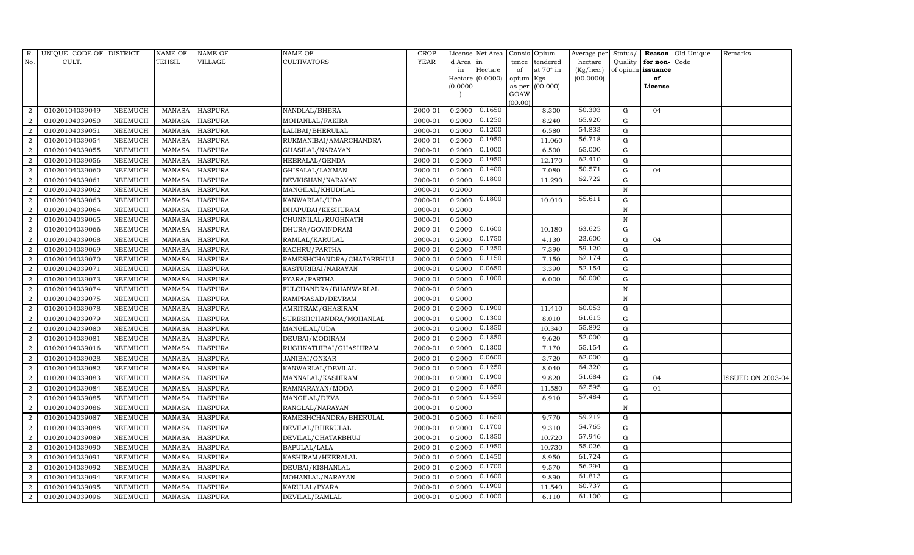| R.                     | UNIQUE CODE OF DISTRICT |                | <b>NAME OF</b> | NAME OF        | NAME OF                  | CROP        |           | License Net Area |                     | Consis Opium | Average per | Status/      |               | Reason Old Unique | Remarks                  |
|------------------------|-------------------------|----------------|----------------|----------------|--------------------------|-------------|-----------|------------------|---------------------|--------------|-------------|--------------|---------------|-------------------|--------------------------|
| No.                    | CULT.                   |                | TEHSIL         | VILLAGE        | CULTIVATORS              | <b>YEAR</b> | d Area in |                  | tence               | tendered     | hectare     | Quality      | for non-      | Code              |                          |
|                        |                         |                |                |                |                          |             | in        | Hectare          | of                  | at 70° in    | (Kg/hec.)   | of opium     | issuance      |                   |                          |
|                        |                         |                |                |                |                          |             | (0.0000)  | Hectare (0.0000) | opium Kgs<br>as per | (00.000)     | (00.0000)   |              | of<br>License |                   |                          |
|                        |                         |                |                |                |                          |             |           |                  | GOAW                |              |             |              |               |                   |                          |
|                        |                         |                |                |                |                          |             |           |                  | (00.00)             |              |             |              |               |                   |                          |
|                        | 01020104039049          | NEEMUCH        | MANASA         | <b>HASPURA</b> | NANDLAL/BHERA            | 2000-01     | 0.2000    | 0.1650           |                     | 8.300        | 50.303      | G            | 04            |                   |                          |
| $\overline{2}$         | 01020104039050          | NEEMUCH        | <b>MANASA</b>  | <b>HASPURA</b> | MOHANLAL/FAKIRA          | 2000-01     | 0.2000    | 0.1250           |                     | 8.240        | 65.920      | G            |               |                   |                          |
| 2                      | 01020104039051          | NEEMUCH        | <b>MANASA</b>  | <b>HASPURA</b> | LALIBAI/BHERULAL         | 2000-01     | 0.2000    | 0.1200           |                     | 6.580        | 54.833      | G            |               |                   |                          |
| $\mathcal{D}$          | 01020104039054          | NEEMUCH        | <b>MANASA</b>  | <b>HASPURA</b> | RUKMANIBAI/AMARCHANDRA   | 2000-01     | 0.2000    | 0.1950           |                     | 11.060       | 56.718      | G            |               |                   |                          |
| 2                      | 01020104039055          | NEEMUCH        | <b>MANASA</b>  | <b>HASPURA</b> | GHASILAL/NARAYAN         | 2000-01     | 0.2000    | 0.1000           |                     | 6.500        | 65.000      | G            |               |                   |                          |
|                        | 01020104039056          | NEEMUCH        | <b>MANASA</b>  | <b>HASPURA</b> | HEERALAL/GENDA           | 2000-01     | 0.2000    | 0.1950           |                     | 12.170       | 62.410      | G            |               |                   |                          |
| $\mathcal{D}$          | 01020104039060          | NEEMUCH        | <b>MANASA</b>  | <b>HASPURA</b> | GHISALAL/LAXMAN          | 2000-01     | 0.2000    | 0.1400           |                     | 7.080        | 50.571      | G            | 04            |                   |                          |
| 2                      | 01020104039061          | NEEMUCH        | <b>MANASA</b>  | <b>HASPURA</b> | DEVKISHAN/NARAYAN        | 2000-01     | 0.2000    | 0.1800           |                     | 11.290       | 62.722      | G            |               |                   |                          |
| $\mathcal{D}_{\alpha}$ | 01020104039062          | NEEMUCH        | <b>MANASA</b>  | <b>HASPURA</b> | MANGILAL/KHUDILAL        | 2000-01     | 0.2000    |                  |                     |              |             | $\, {\rm N}$ |               |                   |                          |
|                        | 01020104039063          | NEEMUCH        | <b>MANASA</b>  | <b>HASPURA</b> | KANWARLAL/UDA            | 2000-01     | 0.2000    | 0.1800           |                     | 10.010       | 55.611      | G            |               |                   |                          |
| 2                      | 01020104039064          | NEEMUCH        | <b>MANASA</b>  | <b>HASPURA</b> | DHAPUBAI/KESHURAM        | 2000-01     | 0.2000    |                  |                     |              |             | $\mathbf N$  |               |                   |                          |
| $\overline{2}$         | 01020104039065          | NEEMUCH        | MANASA         | <b>HASPURA</b> | CHUNNILAL/RUGHNATH       | 2000-01     | 0.2000    |                  |                     |              |             | $\, {\rm N}$ |               |                   |                          |
| $\overline{2}$         | 01020104039066          | NEEMUCH        | <b>MANASA</b>  | <b>HASPURA</b> | DHURA/GOVINDRAM          | 2000-01     | 0.2000    | 0.1600           |                     | 10.180       | 63.625      | G            |               |                   |                          |
|                        | 01020104039068          | NEEMUCH        | <b>MANASA</b>  | <b>HASPURA</b> | RAMLAL/KARULAL           | 2000-01     | 0.2000    | 0.1750           |                     | 4.130        | 23.600      | G            | 04            |                   |                          |
| $\mathcal{D}$          | 01020104039069          | NEEMUCH        | <b>MANASA</b>  | <b>HASPURA</b> | KACHRU/PARTHA            | 2000-01     | 0.2000    | 0.1250           |                     | 7.390        | 59.120      | G            |               |                   |                          |
| 2                      | 01020104039070          | NEEMUCH        | <b>MANASA</b>  | <b>HASPURA</b> | RAMESHCHANDRA/CHATARBHUJ | 2000-01     | 0.2000    | 0.1150           |                     | 7.150        | 62.174      | G            |               |                   |                          |
| $\mathcal{D}$          | 01020104039071          | NEEMUCH        | <b>MANASA</b>  | HASPURA        | KASTURIBAI/NARAYAN       | 2000-01     | 0.2000    | 0.0650           |                     | 3.390        | 52.154      | G            |               |                   |                          |
|                        | 01020104039073          | NEEMUCH        | <b>MANASA</b>  | <b>HASPURA</b> | PYARA/PARTHA             | 2000-01     | 0.2000    | 0.1000           |                     | 6.000        | 60.000      | G            |               |                   |                          |
| $\overline{2}$         | 01020104039074          | NEEMUCH        | <b>MANASA</b>  | <b>HASPURA</b> | FULCHANDRA/BHANWARLAL    | 2000-01     | 0.2000    |                  |                     |              |             | $\mathbf N$  |               |                   |                          |
| $\mathcal{D}$          | 01020104039075          | NEEMUCH        | MANASA         | <b>HASPURA</b> | RAMPRASAD/DEVRAM         | 2000-01     | 0.2000    |                  |                     |              |             | N            |               |                   |                          |
|                        | 01020104039078          | NEEMUCH        | <b>MANASA</b>  | <b>HASPURA</b> | AMRITRAM/GHASIRAM        | 2000-01     | 0.2000    | 0.1900           |                     | 11.410       | 60.053      | $\mathbf G$  |               |                   |                          |
| $\overline{2}$         | 01020104039079          | NEEMUCH        | <b>MANASA</b>  | <b>HASPURA</b> | SURESHCHANDRA/MOHANLAL   | 2000-01     | 0.2000    | 0.1300           |                     | 8.010        | 61.615      | G            |               |                   |                          |
| $\overline{2}$         | 01020104039080          | NEEMUCH        | <b>MANASA</b>  | <b>HASPURA</b> | MANGILAL/UDA             | 2000-01     | 0.2000    | 0.1850           |                     | 10.340       | 55.892      | $\mathbf G$  |               |                   |                          |
| $\mathcal{D}_{\alpha}$ | 01020104039081          | <b>NEEMUCH</b> | <b>MANASA</b>  | <b>HASPURA</b> | DEUBAI/MODIRAM           | 2000-01     | 0.2000    | 0.1850           |                     | 9.620        | 52.000      | G            |               |                   |                          |
|                        | 01020104039016          | NEEMUCH        | <b>MANASA</b>  | <b>HASPURA</b> | RUGHNATHIBAI/GHASHIRAM   | 2000-01     | 0.2000    | 0.1300           |                     | 7.170        | 55.154      | $\mathbf G$  |               |                   |                          |
| $\mathcal{D}$          | 01020104039028          | NEEMUCH        | <b>MANASA</b>  | <b>HASPURA</b> | JANIBAI/ONKAR            | 2000-01     | 0.2000    | 0.0600           |                     | 3.720        | 62.000      | G            |               |                   |                          |
| $\overline{2}$         | 01020104039082          | NEEMUCH        | <b>MANASA</b>  | HASPURA        | KANWARLAL/DEVILAL        | 2000-01     | 0.2000    | 0.1250           |                     | 8.040        | 64.320      | G            |               |                   |                          |
| $\mathcal{D}$          | 01020104039083          | NEEMUCH        | <b>MANASA</b>  | HASPURA        | MANNALAL/KASHIRAM        | 2000-01     | 0.2000    | 0.1900           |                     | 9.820        | 51.684      | G            | 04            |                   | <b>ISSUED ON 2003-04</b> |
|                        | 01020104039084          | NEEMUCH        | <b>MANASA</b>  | <b>HASPURA</b> | RAMNARAYAN/MODA          | 2000-01     | 0.2000    | 0.1850           |                     | 11.580       | 62.595      | G            | 01            |                   |                          |
| $\overline{2}$         | 01020104039085          | NEEMUCH        | <b>MANASA</b>  | <b>HASPURA</b> | MANGILAL/DEVA            | 2000-01     | 0.2000    | 0.1550           |                     | 8.910        | 57.484      | G            |               |                   |                          |
| 2                      | 01020104039086          | NEEMUCH        | MANASA         | <b>HASPURA</b> | RANGLAL/NARAYAN          | 2000-01     | 0.2000    |                  |                     |              |             | $\, {\rm N}$ |               |                   |                          |
| $\mathcal{D}_{\alpha}$ | 01020104039087          | NEEMUCH        | <b>MANASA</b>  | <b>HASPURA</b> | RAMESHCHANDRA/BHERULAL   | 2000-01     | 0.2000    | 0.1650           |                     | 9.770        | 59.212      | G            |               |                   |                          |
| $\overline{2}$         | 01020104039088          | <b>NEEMUCH</b> | <b>MANASA</b>  | <b>HASPURA</b> | DEVILAL/BHERULAL         | 2000-01     | 0.2000    | 0.1700           |                     | 9.310        | 54.765      | $\mathbf G$  |               |                   |                          |
| $\overline{2}$         | 01020104039089          | NEEMUCH        | <b>MANASA</b>  | <b>HASPURA</b> | DEVILAL/CHATARBHUJ       | 2000-01     | 0.2000    | 0.1850           |                     | 10.720       | 57.946      | G            |               |                   |                          |
| 2                      | 01020104039090          | NEEMUCH        | <b>MANASA</b>  | <b>HASPURA</b> | BAPULAL/LALA             | 2000-01     | 0.2000    | 0.1950           |                     | 10.730       | 55.026      | $\mathbf G$  |               |                   |                          |
|                        | 01020104039091          | NEEMUCH        | <b>MANASA</b>  | <b>HASPURA</b> | KASHIRAM/HEERALAL        | 2000-01     | 0.2000    | 0.1450           |                     | 8.950        | 61.724      | $\mathbf G$  |               |                   |                          |
| $\mathcal{D}$          | 01020104039092          | NEEMUCH        | <b>MANASA</b>  | <b>HASPURA</b> | DEUBAI/KISHANLAL         | 2000-01     | 0.2000    | 0.1700           |                     | 9.570        | 56.294      | G            |               |                   |                          |
| 2                      | 01020104039094          | NEEMUCH        | <b>MANASA</b>  | HASPURA        | MOHANLAL/NARAYAN         | 2000-01     | 0.2000    | 0.1600           |                     | 9.890        | 61.813      | G            |               |                   |                          |
| 2                      | 01020104039095          | <b>NEEMUCH</b> | <b>MANASA</b>  | <b>HASPURA</b> | KARULAL/PYARA            | 2000-01     | 0.2000    | 0.1900           |                     | 11.540       | 60.737      | G            |               |                   |                          |
| $\overline{2}$         | 01020104039096          | NEEMUCH        | MANASA         | <b>HASPURA</b> | DEVILAL/RAMLAL           | 2000-01     | 0.2000    | 0.1000           |                     | 6.110        | 61.100      | G            |               |                   |                          |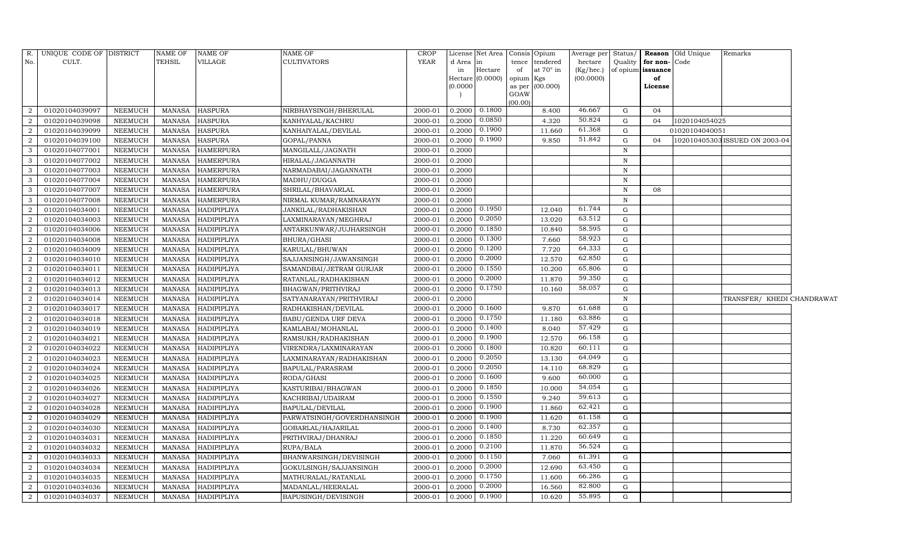| R.             | UNIQUE CODE OF DISTRICT |                | NAME OF       | <b>NAME OF</b>     | <b>NAME OF</b>             | <b>CROP</b> |          | License Net Area |           | Consis Opium       | Average per Status/ |              |                         | Reason Old Unique | Remarks                        |  |
|----------------|-------------------------|----------------|---------------|--------------------|----------------------------|-------------|----------|------------------|-----------|--------------------|---------------------|--------------|-------------------------|-------------------|--------------------------------|--|
| No.            | CULT.                   |                | TEHSIL        | VILLAGE            | <b>CULTIVATORS</b>         | <b>YEAR</b> | d Area   | lin              |           | tence tendered     | hectare             |              | Quality   for non- Code |                   |                                |  |
|                |                         |                |               |                    |                            |             | in       | Hectare          | of        | at $70^{\circ}$ in | $(Kg/ {\rm hec.})$  |              | of opium issuance       |                   |                                |  |
|                |                         |                |               |                    |                            |             | (0.0000) | Hectare (0.0000) | opium Kgs | as per (00.000)    | (00.0000)           |              | of<br>License           |                   |                                |  |
|                |                         |                |               |                    |                            |             |          |                  | GOAW      |                    |                     |              |                         |                   |                                |  |
|                |                         |                |               |                    |                            |             |          |                  | (00.00)   |                    |                     |              |                         |                   |                                |  |
| $\overline{2}$ | 01020104039097          | <b>NEEMUCH</b> | MANASA        | <b>HASPURA</b>     | NIRBHAYSINGH/BHERULAL      | 2000-01     | 0.2000   | 0.1800           |           | 8.400              | 46.667              | G            | 04                      |                   |                                |  |
| $\overline{2}$ | 01020104039098          | NEEMUCH        | <b>MANASA</b> | <b>HASPURA</b>     | KANHYALAL/KACHRU           | 2000-01     | 0.2000   | 0.0850           |           | 4.320              | 50.824              | G            | 04                      | 1020104054025     |                                |  |
| $\overline{2}$ | 01020104039099          | NEEMUCH        | <b>MANASA</b> | <b>HASPURA</b>     | KANHAIYALAL/DEVILAL        | 2000-01     | 0.2000   | 0.1900           |           | 11.660             | 61.368              | G            |                         | 01020104040051    |                                |  |
| $\overline{2}$ | 01020104039100          | NEEMUCH        | <b>MANASA</b> | <b>HASPURA</b>     | GOPAL/PANNA                | 2000-01     | 0.2000   | 0.1900           |           | 9.850              | 51.842              | G            | 04                      |                   | 102010405303 ISSUED ON 2003-04 |  |
| 3              | 01020104077001          | NEEMUCH        | <b>MANASA</b> | <b>HAMERPURA</b>   | MANGILALL/JAGNATH          | 2000-01     | 0.2000   |                  |           |                    |                     | $\mathbf N$  |                         |                   |                                |  |
| 3              | 01020104077002          | NEEMUCH        | <b>MANASA</b> | <b>HAMERPURA</b>   | HIRALAL/JAGANNATH          | 2000-01     | 0.2000   |                  |           |                    |                     | $\mathbf N$  |                         |                   |                                |  |
| $\mathbf{3}$   | 01020104077003          | NEEMUCH        | <b>MANASA</b> | <b>HAMERPURA</b>   | NARMADABAI/JAGANNATH       | 2000-01     | 0.2000   |                  |           |                    |                     | N            |                         |                   |                                |  |
| 3              | 01020104077004          | <b>NEEMUCH</b> | <b>MANASA</b> | <b>HAMERPURA</b>   | MADHU/DUGGA                | 2000-01     | 0.2000   |                  |           |                    |                     | $\mathbf N$  |                         |                   |                                |  |
| $\overline{3}$ | 01020104077007          | <b>NEEMUCH</b> | <b>MANASA</b> | <b>HAMERPURA</b>   | SHRILAL/BHAVARLAL          | 2000-01     | 0.2000   |                  |           |                    |                     | $\, {\rm N}$ | 08                      |                   |                                |  |
| 3              | 01020104077008          | NEEMUCH        | <b>MANASA</b> | <b>HAMERPURA</b>   | NIRMAL KUMAR/RAMNARAYN     | 2000-01     | 0.2000   |                  |           |                    |                     | N            |                         |                   |                                |  |
| $\overline{2}$ | 01020104034001          | <b>NEEMUCH</b> | <b>MANASA</b> | HADIPIPLIYA        | JANKILAL/RADHAKISHAN       | 2000-01     | 0.2000   | 0.1950           |           | 12.040             | 61.744              | G            |                         |                   |                                |  |
| $\overline{2}$ | 01020104034003          | <b>NEEMUCH</b> | <b>MANASA</b> | HADIPIPLIYA        | LAXMINARAYAN/MEGHRAJ       | 2000-01     | 0.2000   | 0.2050           |           | 13.020             | 63.512              | G            |                         |                   |                                |  |
| $\overline{2}$ | 01020104034006          | <b>NEEMUCH</b> | <b>MANASA</b> | HADIPIPLIYA        | ANTARKUNWAR/JUJHARSINGH    | 2000-01     | 0.2000   | 0.1850           |           | 10.840             | 58.595              | G            |                         |                   |                                |  |
| $\overline{2}$ | 01020104034008          | NEEMUCH        | <b>MANASA</b> | HADIPIPLIYA        | BHURA/GHASI                | 2000-01     | 0.2000   | 0.1300           |           | 7.660              | 58.923              | G            |                         |                   |                                |  |
| $\overline{2}$ | 01020104034009          | <b>NEEMUCH</b> | <b>MANASA</b> | <b>HADIPIPLIYA</b> | KARULAL/BHUWAN             | 2000-01     | 0.2000   | 0.1200           |           | 7.720              | 64.333              | G            |                         |                   |                                |  |
| $\overline{2}$ | 01020104034010          | <b>NEEMUCH</b> | <b>MANASA</b> | HADIPIPLIYA        | SAJJANSINGH/JAWANSINGH     | 2000-01     | 0.2000   | 0.2000           |           | 12.570             | 62.850              | G            |                         |                   |                                |  |
| $\overline{2}$ | 01020104034011          | <b>NEEMUCH</b> | <b>MANASA</b> | HADIPIPLIYA        | SAMANDBAI/JETRAM GURJAR    | 2000-01     | 0.2000   | 0.1550           |           | 10.200             | 65.806              | G            |                         |                   |                                |  |
| $\overline{2}$ | 01020104034012          | NEEMUCH        | <b>MANASA</b> | HADIPIPLIYA        | RATANLAL/RADHAKISHAN       | 2000-01     | 0.2000   | 0.2000           |           | 11.870             | 59.350              | G            |                         |                   |                                |  |
| $\overline{2}$ | 01020104034013          | <b>NEEMUCH</b> | <b>MANASA</b> | HADIPIPLIYA        | BHAGWAN/PRITHVIRAJ         | 2000-01     | 0.2000   | 0.1750           |           | 10.160             | 58.057              | G            |                         |                   |                                |  |
| $\overline{a}$ | 01020104034014          | NEEMUCH        | <b>MANASA</b> | HADIPIPLIYA        | SATYANARAYAN/PRITHVIRAJ    | 2000-01     | 0.2000   |                  |           |                    |                     | N            |                         |                   | TRANSFER/ KHEDI CHANDRAWAT     |  |
| $\overline{2}$ | 01020104034017          | NEEMUCH        | <b>MANASA</b> | HADIPIPLIYA        | RADHAKISHAN/DEVILAL        | 2000-01     | 0.2000   | 0.1600           |           | 9.870              | 61.688              | G            |                         |                   |                                |  |
| $\overline{2}$ | 01020104034018          | <b>NEEMUCH</b> | MANASA        | HADIPIPLIYA        | BABU/GENDA URF DEVA        | 2000-01     | 0.2000   | 0.1750           |           | 11.180             | 63.886              | G            |                         |                   |                                |  |
| $\overline{2}$ | 01020104034019          | NEEMUCH        | MANASA        | HADIPIPLIYA        | KAMLABAI/MOHANLAL          | 2000-01     | 0.2000   | 0.1400           |           | 8.040              | 57.429              | G            |                         |                   |                                |  |
| $\overline{2}$ | 01020104034021          | NEEMUCH        | <b>MANASA</b> | HADIPIPLIYA        | RAMSUKH/RADHAKISHAN        | 2000-01     | 0.2000   | 0.1900           |           | 12.570             | 66.158              | G            |                         |                   |                                |  |
| $\overline{2}$ | 01020104034022          | NEEMUCH        | <b>MANASA</b> | HADIPIPLIYA        | VIRENDRA/LAXMINARAYAN      | 2000-01     | 0.2000   | 0.1800           |           | 10.820             | 60.111              | G            |                         |                   |                                |  |
| $\overline{2}$ | 01020104034023          | NEEMUCH        | MANASA        | HADIPIPLIYA        | LAXMINARAYAN/RADHAKISHAN   | 2000-01     | 0.2000   | 0.2050           |           | 13.130             | 64.049              | G            |                         |                   |                                |  |
| $\overline{2}$ | 01020104034024          | <b>NEEMUCH</b> | <b>MANASA</b> | HADIPIPLIYA        | <b>BAPULAL/PARASRAM</b>    | 2000-01     | 0.2000   | 0.2050           |           | 14.110             | 68.829              | G            |                         |                   |                                |  |
| $\overline{2}$ | 01020104034025          | <b>NEEMUCH</b> | <b>MANASA</b> | HADIPIPLIYA        | RODA/GHASI                 | 2000-01     | 0.2000   | 0.1600           |           | 9.600              | 60.000              | G            |                         |                   |                                |  |
| $\overline{2}$ | 01020104034026          | <b>NEEMUCH</b> | <b>MANASA</b> | HADIPIPLIYA        | KASTURIBAI/BHAGWAN         | 2000-01     | 0.2000   | 0.1850           |           | 10.000             | 54.054              | G            |                         |                   |                                |  |
| $\overline{2}$ | 01020104034027          | NEEMUCH        | <b>MANASA</b> | HADIPIPLIYA        | KACHRIBAI/UDAIRAM          | 2000-01     | 0.2000   | 0.1550           |           | 9.240              | 59.613              | G            |                         |                   |                                |  |
| $\overline{a}$ | 01020104034028          | NEEMUCH        | <b>MANASA</b> | HADIPIPLIYA        | BAPULAL/DEVILAL            | 2000-01     | 0.2000   | 0.1900           |           | 11.860             | 62.421              | G            |                         |                   |                                |  |
| $\overline{2}$ | 01020104034029          | NEEMUCH        | <b>MANASA</b> | HADIPIPLIYA        | PARWATSINGH/GOVERDHANSINGH | 2000-01     | 0.2000   | 0.1900           |           | 11.620             | 61.158              | G            |                         |                   |                                |  |
| $\overline{2}$ | 01020104034030          | NEEMUCH        | <b>MANASA</b> | HADIPIPLIYA        | GOBARLAL/HAJARILAL         | 2000-01     | 0.2000   | 0.1400           |           | 8.730              | 62.357              | G            |                         |                   |                                |  |
| $\overline{2}$ | 01020104034031          | NEEMUCH        | <b>MANASA</b> | HADIPIPLIYA        | PRITHVIRAJ/DHANRAJ         | 2000-01     | 0.2000   | 0.1850           |           | 11.220             | 60.649              | G            |                         |                   |                                |  |
| $\overline{2}$ | 01020104034032          | <b>NEEMUCH</b> | <b>MANASA</b> | HADIPIPLIYA        | RUPA/BALA                  | 2000-01     | 0.2000   | 0.2100           |           | 11.870             | 56.524              | $\mathbf G$  |                         |                   |                                |  |
| $\overline{2}$ | 01020104034033          | <b>NEEMUCH</b> | <b>MANASA</b> | HADIPIPLIYA        | BHANWARSINGH/DEVISINGH     | 2000-01     | 0.2000   | 0.1150           |           | 7.060              | 61.391              | G            |                         |                   |                                |  |
| $\overline{2}$ | 01020104034034          | <b>NEEMUCH</b> | <b>MANASA</b> | HADIPIPLIYA        | GOKULSINGH/SAJJANSINGH     | 2000-01     | 0.2000   | 0.2000           |           | 12.690             | 63.450              | G            |                         |                   |                                |  |
| $\overline{2}$ | 01020104034035          | <b>NEEMUCH</b> | <b>MANASA</b> | HADIPIPLIYA        | MATHURALAL/RATANLAL        | 2000-01     | 0.2000   | 0.1750           |           | 11.600             | 66.286              | G            |                         |                   |                                |  |
| $\overline{a}$ | 01020104034036          | NEEMUCH        | MANASA        | HADIPIPLIYA        | MADANLAL/HEERALAL          | 2000-01     | 0.2000   | 0.2000           |           | 16.560             | 82.800              | G            |                         |                   |                                |  |
| $\overline{a}$ | 01020104034037          | <b>NEEMUCH</b> | <b>MANASA</b> | HADIPIPLIYA        | <b>BAPUSINGH/DEVISINGH</b> | 2000-01     | 0.2000   | 0.1900           |           | 10.620             | 55.895              | $\mathbf G$  |                         |                   |                                |  |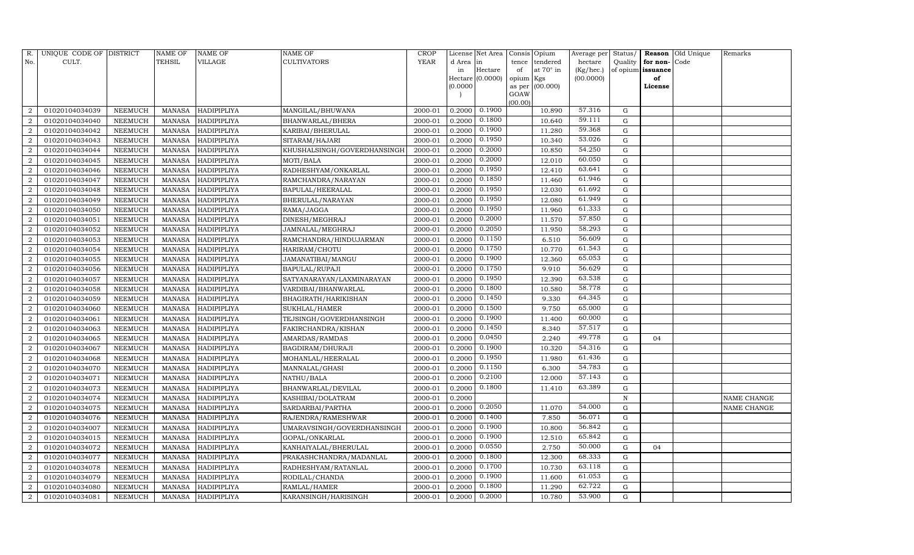| R.             | UNIQUE CODE OF DISTRICT |                | $\operatorname{NAME}$ OF | <b>NAME OF</b>     | <b>NAME OF</b>              | CROP    |           | License Net Area | Consis Opium   |                  | Average per | Status/     |                   | Reason Old Unique | Remarks     |
|----------------|-------------------------|----------------|--------------------------|--------------------|-----------------------------|---------|-----------|------------------|----------------|------------------|-------------|-------------|-------------------|-------------------|-------------|
| No.            | CULT.                   |                | <b>TEHSIL</b>            | VILLAGE            | <b>CULTIVATORS</b>          | YEAR    | d Area in |                  | tence          | tendered         | hectare     | Quality     | for non-          | Code              |             |
|                |                         |                |                          |                    |                             |         | in        | Hectare          | of             | at $70^\circ$ in | (Kg/hec.)   |             | of opium issuance |                   |             |
|                |                         |                |                          |                    |                             |         |           | Hectare (0.0000) | opium Kgs      |                  | (00.0000)   |             | of                |                   |             |
|                |                         |                |                          |                    |                             |         | (0.0000)  |                  | as per<br>GOAW | (00.000)         |             |             | License           |                   |             |
|                |                         |                |                          |                    |                             |         |           |                  | (00.00)        |                  |             |             |                   |                   |             |
| $\overline{2}$ | 01020104034039          | NEEMUCH        | MANASA                   | HADIPIPLIYA        | MANGILAL/BHUWANA            | 2000-01 | 0.2000    | 0.1900           |                | 10.890           | 57.316      | G           |                   |                   |             |
| $\overline{a}$ | 01020104034040          | NEEMUCH        | MANASA                   | <b>HADIPIPLIYA</b> | BHANWARLAL/BHERA            | 2000-01 | 0.2000    | 0.1800           |                | 10.640           | 59.111      | G           |                   |                   |             |
| $\overline{2}$ | 01020104034042          | <b>NEEMUCH</b> | MANASA                   | HADIPIPLIYA        | KARIBAI/BHERULAL            | 2000-01 | 0.2000    | 0.1900           |                | 11.280           | 59.368      | G           |                   |                   |             |
| $\overline{2}$ | 01020104034043          | NEEMUCH        | MANASA                   | <b>HADIPIPLIYA</b> | SITARAM/HAJARI              | 2000-01 | 0.2000    | 0.1950           |                | 10.340           | 53.026      | ${\rm G}$   |                   |                   |             |
| $\overline{2}$ | 01020104034044          | NEEMUCH        | MANASA                   | HADIPIPLIYA        | KHUSHALSINGH/GOVERDHANSINGH | 2000-01 | 0.2000    | 0.2000           |                | 10.850           | 54.250      | G           |                   |                   |             |
| $\overline{2}$ | 01020104034045          | NEEMUCH        | MANASA                   | <b>HADIPIPLIYA</b> | MOTI/BALA                   | 2000-01 | 0.2000    | 0.2000           |                | 12.010           | 60.050      | ${\rm G}$   |                   |                   |             |
| $\overline{2}$ | 01020104034046          | NEEMUCH        | MANASA                   | HADIPIPLIYA        | RADHESHYAM/ONKARLAL         | 2000-01 | 0.2000    | 0.1950           |                | 12.410           | 63.641      | G           |                   |                   |             |
| $\overline{2}$ | 01020104034047          | NEEMUCH        | MANASA                   | <b>HADIPIPLIYA</b> | RAMCHANDRA/NARAYAN          | 2000-01 | 0.2000    | 0.1850           |                | 11.460           | 61.946      | G           |                   |                   |             |
| $\overline{2}$ | 01020104034048          | NEEMUCH        | MANASA                   | <b>HADIPIPLIYA</b> | BAPULAL/HEERALAL            | 2000-01 | 0.2000    | 0.1950           |                | 12.030           | 61.692      | G           |                   |                   |             |
| $\overline{2}$ | 01020104034049          | NEEMUCH        | MANASA                   | <b>HADIPIPLIYA</b> | BHERULAL/NARAYAN            | 2000-01 | 0.2000    | 0.1950           |                | 12.080           | 61.949      | G           |                   |                   |             |
| $\overline{2}$ | 01020104034050          | NEEMUCH        | MANASA                   | HADIPIPLIYA        | RAMA/JAGGA                  | 2000-01 | 0.2000    | 0.1950           |                | 11.960           | 61.333      | G           |                   |                   |             |
| $\overline{2}$ | 01020104034051          | NEEMUCH        | MANASA                   | <b>HADIPIPLIYA</b> | DINESH/MEGHRAJ              | 2000-01 | 0.2000    | 0.2000           |                | 11.570           | 57.850      | G           |                   |                   |             |
| $\overline{a}$ | 01020104034052          | NEEMUCH        | MANASA                   | <b>HADIPIPLIYA</b> | JAMNALAL/MEGHRAJ            | 2000-01 | 0.2000    | 0.2050           |                | 11.950           | 58.293      | G           |                   |                   |             |
| $\overline{2}$ | 01020104034053          | <b>NEEMUCH</b> | MANASA                   | <b>HADIPIPLIYA</b> | RAMCHANDRA/HINDUJARMAN      | 2000-01 | 0.2000    | 0.1150           |                | 6.510            | 56.609      | G           |                   |                   |             |
| $\overline{2}$ | 01020104034054          | NEEMUCH        | MANASA                   | HADIPIPLIYA        | HARIRAM/CHOTU               | 2000-01 | 0.2000    | 0.1750           |                | 10.770           | 61.543      | ${\rm G}$   |                   |                   |             |
| $\overline{2}$ | 01020104034055          | NEEMUCH        | MANASA                   | HADIPIPLIYA        | JAMANATIBAI/MANGU           | 2000-01 | 0.2000    | 0.1900           |                | 12.360           | 65.053      | $\mathbf G$ |                   |                   |             |
| $\overline{2}$ | 01020104034056          | NEEMUCH        | MANASA                   | <b>HADIPIPLIYA</b> | <b>BAPULAL/RUPAJI</b>       | 2000-01 | 0.2000    | 0.1750           |                | 9.910            | 56.629      | ${\rm G}$   |                   |                   |             |
| $\overline{2}$ | 01020104034057          | NEEMUCH        | MANASA                   | HADIPIPLIYA        | SATYANARAYAN/LAXMINARAYAN   | 2000-01 | 0.2000    | 0.1950           |                | 12.390           | 63.538      | G           |                   |                   |             |
| $\overline{2}$ | 01020104034058          | NEEMUCH        | MANASA                   | HADIPIPLIYA        | VARDIBAI/BHANWARLAL         | 2000-01 | 0.2000    | 0.1800           |                | 10.580           | 58.778      | ${\rm G}$   |                   |                   |             |
| $\overline{2}$ | 01020104034059          | <b>NEEMUCH</b> | MANASA                   | <b>HADIPIPLIYA</b> | <b>BHAGIRATH/HARIKISHAN</b> | 2000-01 | 0.2000    | 0.1450           |                | 9.330            | 64.345      | G           |                   |                   |             |
| $\overline{2}$ | 01020104034060          | <b>NEEMUCH</b> | MANASA                   | HADIPIPLIYA        | SUKHLAL/HAMER               | 2000-01 | 0.2000    | 0.1500           |                | 9.750            | 65.000      | G           |                   |                   |             |
| $\overline{2}$ | 01020104034061          | NEEMUCH        | MANASA                   | HADIPIPLIYA        | TEJSINGH/GOVERDHANSINGH     | 2000-01 | 0.2000    | 0.1900           |                | 11.400           | 60.000      | G           |                   |                   |             |
| $\overline{2}$ | 01020104034063          | NEEMUCH        | MANASA                   | <b>HADIPIPLIYA</b> | FAKIRCHANDRA/KISHAN         | 2000-01 | 0.2000    | 0.1450           |                | 8.340            | 57.517      | G           |                   |                   |             |
| $\overline{2}$ | 01020104034065          | NEEMUCH        | MANASA                   | <b>HADIPIPLIYA</b> | AMARDAS/RAMDAS              | 2000-01 | 0.2000    | 0.0450           |                | 2.240            | 49.778      | $\mathbf G$ | 04                |                   |             |
| $\overline{2}$ | 01020104034067          | <b>NEEMUCH</b> | MANASA                   | HADIPIPLIYA        | BAGDIRAM/DHURAJI            | 2000-01 | 0.2000    | 0.1900           |                | 10.320           | 54.316      | ${\rm G}$   |                   |                   |             |
| 2              | 01020104034068          | <b>NEEMUCH</b> | MANASA                   | <b>HADIPIPLIYA</b> | MOHANLAL/HEERALAL           | 2000-01 | 0.2000    | 0.1950           |                | 11.980           | 61.436      | G           |                   |                   |             |
| $\overline{2}$ | 01020104034070          | NEEMUCH        | MANASA                   | <b>HADIPIPLIYA</b> | MANNALAL/GHASI              | 2000-01 | 0.2000    | 0.1150           |                | 6.300            | 54.783      | G           |                   |                   |             |
| $\overline{2}$ | 01020104034071          | <b>NEEMUCH</b> | MANASA                   | <b>HADIPIPLIYA</b> | NATHU/BALA                  | 2000-01 | 0.2000    | 0.2100           |                | 12.000           | 57.143      | ${\rm G}$   |                   |                   |             |
| $\overline{2}$ | 01020104034073          | NEEMUCH        | MANASA                   | HADIPIPLIYA        | BHANWARLAL/DEVILAL          | 2000-01 | 0.2000    | 0.1800           |                | 11.410           | 63.389      | G           |                   |                   |             |
| $\overline{2}$ | 01020104034074          | <b>NEEMUCH</b> | MANASA                   | HADIPIPLIYA        | KASHIBAI/DOLATRAM           | 2000-01 | 0.2000    |                  |                |                  |             | $\,$ N      |                   |                   | NAME CHANGE |
| $\overline{2}$ | 01020104034075          | NEEMUCH        | MANASA                   | <b>HADIPIPLIYA</b> | SARDARBAI/PARTHA            | 2000-01 | 0.2000    | 0.2050           |                | 11.070           | 54.000      | ${\rm G}$   |                   |                   | NAME CHANGE |
| $\overline{2}$ | 01020104034076          | NEEMUCH        | MANASA                   | <b>HADIPIPLIYA</b> | RAJENDRA/RAMESHWAR          | 2000-01 | 0.2000    | 0.1400           |                | 7.850            | 56.071      | G           |                   |                   |             |
| $\overline{2}$ | 01020104034007          | <b>NEEMUCH</b> | MANASA                   | <b>HADIPIPLIYA</b> | UMARAVSINGH/GOVERDHANSINGH  | 2000-01 | 0.2000    | 0.1900           |                | 10.800           | 56.842      | G           |                   |                   |             |
| $\overline{2}$ | 01020104034015          | NEEMUCH        | MANASA                   | HADIPIPLIYA        | GOPAL/ONKARLAL              | 2000-01 | 0.2000    | 0.1900           |                | 12.510           | 65.842      | ${\rm G}$   |                   |                   |             |
| $\overline{2}$ | 01020104034072          | <b>NEEMUCH</b> | MANASA                   | <b>HADIPIPLIYA</b> | KANHAIYALAL/BHERULAL        | 2000-01 | 0.2000    | 0.0550           |                | 2.750            | 50.000      | $\mathbf G$ | 04                |                   |             |
| $\overline{2}$ | 01020104034077          | <b>NEEMUCH</b> | MANASA                   | <b>HADIPIPLIYA</b> | PRAKASHCHANDRA/MADANLAL     | 2000-01 | 0.2000    | 0.1800           |                | 12.300           | 68.333      | $\mathbf G$ |                   |                   |             |
| $\overline{2}$ | 01020104034078          | NEEMUCH        | MANASA                   | <b>HADIPIPLIYA</b> | RADHESHYAM/RATANLAL         | 2000-01 | 0.2000    | 0.1700           |                | 10.730           | 63.118      | G           |                   |                   |             |
| $\overline{2}$ | 01020104034079          | NEEMUCH        | MANASA                   | <b>HADIPIPLIYA</b> | RODILAL/CHANDA              | 2000-01 | 0.2000    | 0.1900           |                | 11.600           | 61.053      | $\mathbf G$ |                   |                   |             |
| $\overline{2}$ | 01020104034080          | NEEMUCH        | MANASA                   | <b>HADIPIPLIYA</b> | RAMLAL/HAMER                | 2000-01 | 0.2000    | 0.1800           |                | 11.290           | 62.722      | $\mathbf G$ |                   |                   |             |
| $\overline{2}$ | 01020104034081          | NEEMUCH        |                          | MANASA HADIPIPLIYA | KARANSINGH/HARISINGH        | 2000-01 | 0.2000    | 0.2000           |                | 10.780           | 53.900      | G           |                   |                   |             |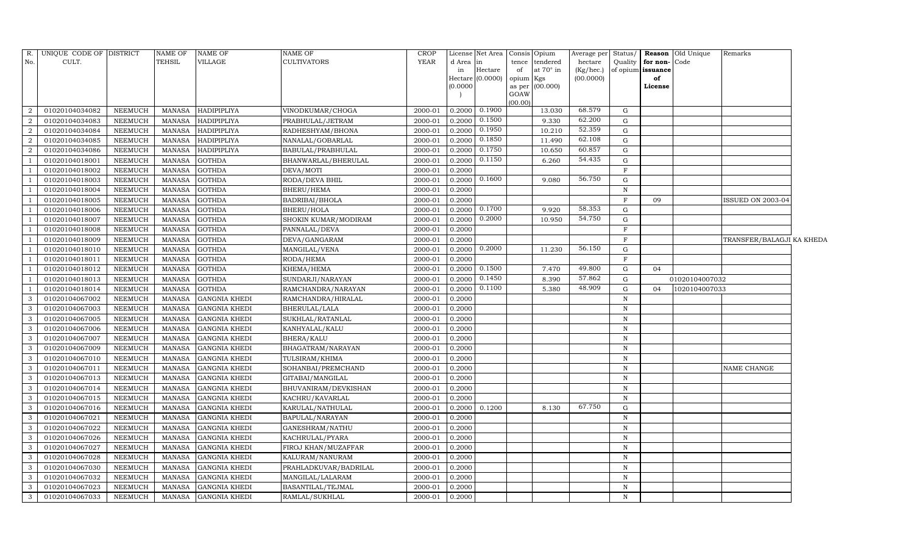| R.             | UNIQUE CODE OF DISTRICT |                | NAME OF       | <b>NAME OF</b>       | <b>NAME OF</b>        | CROP        |          | License Net Area |                | Consis Opium    | Average per | Status/      |                   | <b>Reason</b> Old Unique | Remarks                   |  |
|----------------|-------------------------|----------------|---------------|----------------------|-----------------------|-------------|----------|------------------|----------------|-----------------|-------------|--------------|-------------------|--------------------------|---------------------------|--|
| No.            | CULT.                   |                | TEHSIL        | <b>VILLAGE</b>       | <b>CULTIVATORS</b>    | <b>YEAR</b> | d Area   | l in             | tence          | tendered        | hectare     | Quality      | for non-          | Code                     |                           |  |
|                |                         |                |               |                      |                       |             | in       | Hectare          | of             | at 70° in       | (Kg/hec.)   |              | of opium issuance |                          |                           |  |
|                |                         |                |               |                      |                       |             | (0.0000) | Hectare (0.0000) | opium          | Kgs<br>(00.000) | (00.0000)   |              | of<br>License     |                          |                           |  |
|                |                         |                |               |                      |                       |             |          |                  | as per<br>GOAW |                 |             |              |                   |                          |                           |  |
|                |                         |                |               |                      |                       |             |          |                  | (00.00)        |                 |             |              |                   |                          |                           |  |
| $\overline{2}$ | 01020104034082          | NEEMUCH        | MANASA        | <b>HADIPIPLIYA</b>   | VINODKUMAR/CHOGA      | 2000-01     | 0.2000   | 0.1900           |                | 13.030          | 68.579      | G            |                   |                          |                           |  |
| $\overline{2}$ | 01020104034083          | <b>NEEMUCH</b> | MANASA        | <b>HADIPIPLIYA</b>   | PRABHULAL/JETRAM      | 2000-01     | 0.2000   | 0.1500           |                | 9.330           | 62.200      | G            |                   |                          |                           |  |
| $\overline{2}$ | 01020104034084          | <b>NEEMUCH</b> | MANASA        | HADIPIPLIYA          | RADHESHYAM/BHONA      | 2000-01     | 0.2000   | 0.1950           |                | 10.210          | 52.359      | G            |                   |                          |                           |  |
| $\overline{2}$ | 01020104034085          | <b>NEEMUCH</b> | MANASA        | HADIPIPLIYA          | NANALAL/GOBARLAL      | 2000-01     | 0.2000   | 0.1850           |                | 11.490          | 62.108      | $\mathbf G$  |                   |                          |                           |  |
| 2              | 01020104034086          | <b>NEEMUCH</b> | <b>MANASA</b> | <b>HADIPIPLIYA</b>   | BABULAL/PRABHULAL     | 2000-01     | 0.2000   | 0.1750           |                | 10.650          | 60.857      | ${\rm G}$    |                   |                          |                           |  |
|                | 01020104018001          | <b>NEEMUCH</b> | <b>MANASA</b> | <b>GOTHDA</b>        | BHANWARLAL/BHERULAL   | 2000-01     | 0.2000   | 0.1150           |                | 6.260           | 54.435      | ${\rm G}$    |                   |                          |                           |  |
|                | 01020104018002          | <b>NEEMUCH</b> | <b>MANASA</b> | <b>GOTHDA</b>        | DEVA/MOTI             | 2000-01     | 0.2000   |                  |                |                 |             | $\mathbf F$  |                   |                          |                           |  |
|                | 01020104018003          | <b>NEEMUCH</b> | MANASA        | <b>GOTHDA</b>        | RODA/DEVA BHIL        | 2000-01     | 0.2000   | 0.1600           |                | 9.080           | 56.750      | G            |                   |                          |                           |  |
| $\overline{1}$ | 01020104018004          | <b>NEEMUCH</b> | <b>MANASA</b> | <b>GOTHDA</b>        | <b>BHERU/HEMA</b>     | 2000-01     | 0.2000   |                  |                |                 |             | $\, {\rm N}$ |                   |                          |                           |  |
|                | 01020104018005          | <b>NEEMUCH</b> | <b>MANASA</b> | <b>GOTHDA</b>        | BADRIBAI/BHOLA        | 2000-01     | 0.2000   |                  |                |                 |             | $\mathbf F$  | 09                |                          | <b>ISSUED ON 2003-04</b>  |  |
|                | 01020104018006          | <b>NEEMUCH</b> | <b>MANASA</b> | <b>GOTHDA</b>        | <b>BHERU/HOLA</b>     | 2000-01     | 0.2000   | 0.1700           |                | 9.920           | 58.353      | G            |                   |                          |                           |  |
|                | 01020104018007          | <b>NEEMUCH</b> | MANASA        | <b>GOTHDA</b>        | SHOKIN KUMAR/MODIRAM  | 2000-01     | 0.2000   | 0.2000           |                | 10.950          | 54.750      | ${\rm G}$    |                   |                          |                           |  |
|                | 01020104018008          | <b>NEEMUCH</b> | <b>MANASA</b> | <b>GOTHDA</b>        | PANNALAL/DEVA         | 2000-01     | 0.2000   |                  |                |                 |             | $\mathbf F$  |                   |                          |                           |  |
|                | 01020104018009          | <b>NEEMUCH</b> | <b>MANASA</b> | <b>GOTHDA</b>        | DEVA/GANGARAM         | 2000-01     | 0.2000   |                  |                |                 |             | $\mathbf F$  |                   |                          | TRANSFER/BALAGJI KA KHEDA |  |
|                | 01020104018010          | <b>NEEMUCH</b> | MANASA        | <b>GOTHDA</b>        | MANGILAL/VENA         | 2000-01     | 0.2000   | 0.2000           |                | 11.230          | 56.150      | $\mathbf G$  |                   |                          |                           |  |
|                | 01020104018011          | <b>NEEMUCH</b> | <b>MANASA</b> | <b>GOTHDA</b>        | RODA/HEMA             | 2000-01     | 0.2000   |                  |                |                 |             | $\mathbf F$  |                   |                          |                           |  |
|                | 01020104018012          | <b>NEEMUCH</b> | <b>MANASA</b> | <b>GOTHDA</b>        | KHEMA/HEMA            | 2000-01     | 0.2000   | 0.1500           |                | 7.470           | 49.800      | $\mathbf G$  | 04                |                          |                           |  |
|                | 01020104018013          | <b>NEEMUCH</b> | MANASA        | <b>GOTHDA</b>        | SUNDARJI/NARAYAN      | 2000-01     | 0.2000   | 0.1450           |                | 8.390           | 57.862      | ${\rm G}$    |                   | 01020104007032           |                           |  |
|                | 01020104018014          | <b>NEEMUCH</b> | MANASA        | <b>GOTHDA</b>        | RAMCHANDRA/NARAYAN    | 2000-01     | 0.2000   | 0.1100           |                | 5.380           | 48.909      | G            | 04                | 1020104007033            |                           |  |
| $\overline{3}$ | 01020104067002          | <b>NEEMUCH</b> | <b>MANASA</b> | <b>GANGNIA KHEDI</b> | RAMCHANDRA/HIRALAL    | 2000-01     | 0.2000   |                  |                |                 |             | $\, {\rm N}$ |                   |                          |                           |  |
| 3              | 01020104067003          | <b>NEEMUCH</b> | MANASA        | <b>GANGNIA KHEDI</b> | BHERULAL/LALA         | 2000-01     | 0.2000   |                  |                |                 |             | $\mathbf N$  |                   |                          |                           |  |
| 3              | 01020104067005          | <b>NEEMUCH</b> | <b>MANASA</b> | <b>GANGNIA KHEDI</b> | SUKHLAL/RATANLAL      | 2000-01     | 0.2000   |                  |                |                 |             | $\, {\rm N}$ |                   |                          |                           |  |
| 3              | 01020104067006          | <b>NEEMUCH</b> | MANASA        | <b>GANGNIA KHEDI</b> | KANHYALAL/KALU        | 2000-01     | 0.2000   |                  |                |                 |             | $\, {\rm N}$ |                   |                          |                           |  |
| 3              | 01020104067007          | <b>NEEMUCH</b> | <b>MANASA</b> | <b>GANGNIA KHEDI</b> | BHERA/KALU            | 2000-01     | 0.2000   |                  |                |                 |             | $\mathbf N$  |                   |                          |                           |  |
| 3              | 01020104067009          | <b>NEEMUCH</b> | <b>MANASA</b> | <b>GANGNIA KHEDI</b> | BHAGATRAM/NARAYAN     | 2000-01     | 0.2000   |                  |                |                 |             | $\, {\rm N}$ |                   |                          |                           |  |
| 3              | 01020104067010          | <b>NEEMUCH</b> | <b>MANASA</b> | <b>GANGNIA KHEDI</b> | TULSIRAM/KHIMA        | 2000-01     | 0.2000   |                  |                |                 |             | $\, {\rm N}$ |                   |                          |                           |  |
| 3              | 01020104067011          | <b>NEEMUCH</b> | <b>MANASA</b> | <b>GANGNIA KHEDI</b> | SOHANBAI/PREMCHAND    | 2000-01     | 0.2000   |                  |                |                 |             | $\, {\rm N}$ |                   |                          | NAME CHANGE               |  |
| $\overline{3}$ | 01020104067013          | <b>NEEMUCH</b> | <b>MANASA</b> | <b>GANGNIA KHEDI</b> | GITABAI/MANGILAL      | 2000-01     | 0.2000   |                  |                |                 |             | $\mathbf N$  |                   |                          |                           |  |
| 3              | 01020104067014          | <b>NEEMUCH</b> | MANASA        | <b>GANGNIA KHEDI</b> | BHUVANIRAM/DEVKISHAN  | 2000-01     | 0.2000   |                  |                |                 |             | $\, {\rm N}$ |                   |                          |                           |  |
| 3              | 01020104067015          | <b>NEEMUCH</b> | MANASA        | <b>GANGNIA KHEDI</b> | KACHRU/KAVARLAL       | 2000-01     | 0.2000   |                  |                |                 |             | $\, {\rm N}$ |                   |                          |                           |  |
| $\overline{3}$ | 01020104067016          | <b>NEEMUCH</b> | MANASA        | <b>GANGNIA KHEDI</b> | KARULAL/NATHULAL      | 2000-01     | 0.2000   | 0.1200           |                | 8.130           | 67.750      | $\mathbf G$  |                   |                          |                           |  |
| $\mathbf{3}$   | 01020104067021          | <b>NEEMUCH</b> | <b>MANASA</b> | <b>GANGNIA KHEDI</b> | BAPULAL/NARAYAN       | 2000-01     | 0.2000   |                  |                |                 |             | ${\bf N}$    |                   |                          |                           |  |
| $\mathcal{E}$  | 01020104067022          | <b>NEEMUCH</b> | <b>MANASA</b> | <b>GANGNIA KHEDI</b> | GANESHRAM/NATHU       | 2000-01     | 0.2000   |                  |                |                 |             | ${\bf N}$    |                   |                          |                           |  |
| $\mathbf{3}$   | 01020104067026          | <b>NEEMUCH</b> | MANASA        | <b>GANGNIA KHEDI</b> | KACHRULAL/PYARA       | 2000-01     | 0.2000   |                  |                |                 |             | $\, {\rm N}$ |                   |                          |                           |  |
| $\mathbf{3}$   | 01020104067027          | <b>NEEMUCH</b> | MANASA        | <b>GANGNIA KHEDI</b> | FIROJ KHAN/MUZAFFAR   | 2000-01     | 0.2000   |                  |                |                 |             | $\, {\rm N}$ |                   |                          |                           |  |
| 3              | 01020104067028          | NEEMUCH        | <b>MANASA</b> | <b>GANGNIA KHEDI</b> | KALURAM/NANURAM       | 2000-01     | 0.2000   |                  |                |                 |             | $\, {\rm N}$ |                   |                          |                           |  |
| 3              | 01020104067030          | <b>NEEMUCH</b> | <b>MANASA</b> | <b>GANGNIA KHEDI</b> | PRAHLADKUVAR/BADRILAL | 2000-01     | 0.2000   |                  |                |                 |             | $\, {\rm N}$ |                   |                          |                           |  |
| 3              | 01020104067032          | <b>NEEMUCH</b> | MANASA        | <b>GANGNIA KHEDI</b> | MANGILAL/LALARAM      | 2000-01     | 0.2000   |                  |                |                 |             | N            |                   |                          |                           |  |
| $\mathbf{3}$   | 01020104067023          | <b>NEEMUCH</b> | <b>MANASA</b> | <b>GANGNIA KHEDI</b> | BASANTILAL/TEJMAL     | 2000-01     | 0.2000   |                  |                |                 |             | N            |                   |                          |                           |  |
| 3              | 01020104067033          | <b>NEEMUCH</b> | <b>MANASA</b> | <b>GANGNIA KHEDI</b> | RAMLAL/SUKHLAL        | 2000-01     | 0.2000   |                  |                |                 |             | $\mathbf N$  |                   |                          |                           |  |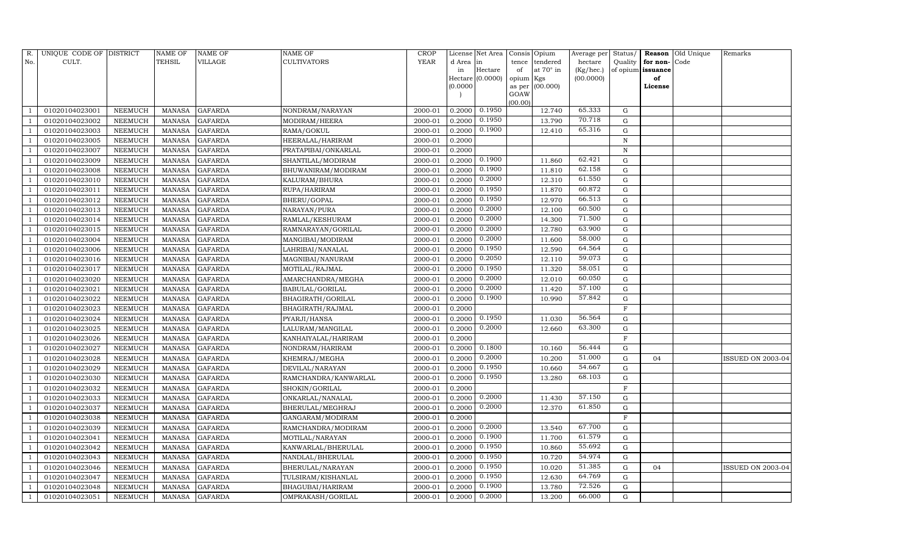| R.  | UNIQUE CODE OF DISTRICT |                | <b>NAME OF</b> | NAME OF        | <b>NAME OF</b>       | CROP    |           | License Net Area |                | Consis Opium | Average per | Status/     | Reason            | Old Unique | Remarks           |
|-----|-------------------------|----------------|----------------|----------------|----------------------|---------|-----------|------------------|----------------|--------------|-------------|-------------|-------------------|------------|-------------------|
| No. | CULT.                   |                | TEHSIL         | VILLAGE        | <b>CULTIVATORS</b>   | YEAR    | d Area in |                  | tence          | tendered     | hectare     | Quality     | for non-          | Code       |                   |
|     |                         |                |                |                |                      |         | in        | Hectare          | of             | at 70° in    | (Kg/hec.)   |             | of opium issuance |            |                   |
|     |                         |                |                |                |                      |         |           | Hectare (0.0000) | opium Kgs      |              | (00.0000)   |             | of                |            |                   |
|     |                         |                |                |                |                      |         | (0.0000)  |                  | as per<br>GOAW | (00.000)     |             |             | License           |            |                   |
|     |                         |                |                |                |                      |         |           |                  | (00.00)        |              |             |             |                   |            |                   |
|     | 01020104023001          | NEEMUCH        | <b>MANASA</b>  | <b>GAFARDA</b> | NONDRAM/NARAYAN      | 2000-01 | 0.2000    | 0.1950           |                | 12.740       | 65.333      | G           |                   |            |                   |
|     | 01020104023002          | NEEMUCH        | <b>MANASA</b>  | <b>GAFARDA</b> | MODIRAM/HEERA        | 2000-01 | 0.2000    | 0.1950           |                | 13.790       | 70.718      | G           |                   |            |                   |
|     | 01020104023003          | NEEMUCH        | <b>MANASA</b>  | <b>GAFARDA</b> | RAMA/GOKUL           | 2000-01 | 0.2000    | 0.1900           |                | 12.410       | 65.316      | G           |                   |            |                   |
|     | 01020104023005          | NEEMUCH        | MANASA         | <b>GAFARDA</b> | HEERALAL/HARIRAM     | 2000-01 | 0.2000    |                  |                |              |             | $\mathbf N$ |                   |            |                   |
|     | 01020104023007          | NEEMUCH        | <b>MANASA</b>  | <b>GAFARDA</b> | PRATAPIBAI/ONKARLAL  | 2000-01 | 0.2000    |                  |                |              |             | N           |                   |            |                   |
|     | 01020104023009          | NEEMUCH        | <b>MANASA</b>  | <b>GAFARDA</b> | SHANTILAL/MODIRAM    | 2000-01 | 0.2000    | 0.1900           |                | 11.860       | 62.421      | G           |                   |            |                   |
|     | 01020104023008          | NEEMUCH        | <b>MANASA</b>  | <b>GAFARDA</b> | BHUWANIRAM/MODIRAM   | 2000-01 | 0.2000    | 0.1900           |                | 11.810       | 62.158      | G           |                   |            |                   |
|     | 01020104023010          | NEEMUCH        | <b>MANASA</b>  | <b>GAFARDA</b> | KALURAM/BHURA        | 2000-01 | 0.2000    | 0.2000           |                | 12.310       | 61.550      | G           |                   |            |                   |
|     | 01020104023011          | NEEMUCH        | <b>MANASA</b>  | <b>GAFARDA</b> | RUPA/HARIRAM         | 2000-01 | 0.2000    | 0.1950           |                | 11.870       | 60.872      | G           |                   |            |                   |
|     | 01020104023012          | NEEMUCH        | <b>MANASA</b>  | <b>GAFARDA</b> | BHERU/GOPAL          | 2000-01 | 0.2000    | 0.1950           |                | 12.970       | 66.513      | G           |                   |            |                   |
|     | 01020104023013          | NEEMUCH        | <b>MANASA</b>  | <b>GAFARDA</b> | NARAYAN/PURA         | 2000-01 | 0.2000    | 0.2000           |                | 12.100       | 60.500      | G           |                   |            |                   |
|     | 01020104023014          | NEEMUCH        | <b>MANASA</b>  | <b>GAFARDA</b> | RAMLAL/KESHURAM      | 2000-01 | 0.2000    | 0.2000           |                | 14.300       | 71.500      | G           |                   |            |                   |
|     | 01020104023015          | NEEMUCH        | <b>MANASA</b>  | <b>GAFARDA</b> | RAMNARAYAN/GORILAL   | 2000-01 | 0.2000    | 0.2000           |                | 12.780       | 63.900      | ${\rm G}$   |                   |            |                   |
|     | 01020104023004          | NEEMUCH        | <b>MANASA</b>  | <b>GAFARDA</b> | MANGIBAI/MODIRAM     | 2000-01 | 0.2000    | 0.2000           |                | 11.600       | 58.000      | G           |                   |            |                   |
|     | 01020104023006          | NEEMUCH        | <b>MANASA</b>  | GAFARDA        | LAHRIBAI/NANALAL     | 2000-01 | 0.2000    | 0.1950           |                | 12.590       | 64.564      | G           |                   |            |                   |
|     | 01020104023016          | NEEMUCH        | <b>MANASA</b>  | <b>GAFARDA</b> | MAGNIBAI/NANURAM     | 2000-01 | 0.2000    | 0.2050           |                | 12.110       | 59.073      | $\mathbf G$ |                   |            |                   |
|     | 01020104023017          | NEEMUCH        | <b>MANASA</b>  | <b>GAFARDA</b> | MOTILAL/RAJMAL       | 2000-01 | 0.2000    | 0.1950           |                | 11.320       | 58.051      | ${\rm G}$   |                   |            |                   |
|     | 01020104023020          | NEEMUCH        | <b>MANASA</b>  | <b>GAFARDA</b> | AMARCHANDRA/MEGHA    | 2000-01 | 0.2000    | 0.2000           |                | 12.010       | 60.050      | G           |                   |            |                   |
|     | 01020104023021          | NEEMUCH        | <b>MANASA</b>  | <b>GAFARDA</b> | BABULAL/GORILAL      | 2000-01 | 0.2000    | 0.2000           |                | 11.420       | 57.100      | G           |                   |            |                   |
|     | 01020104023022          | NEEMUCH        | <b>MANASA</b>  | <b>GAFARDA</b> | BHAGIRATH/GORILAL    | 2000-01 | 0.2000    | 0.1900           |                | 10.990       | 57.842      | $\mathbf G$ |                   |            |                   |
|     | 01020104023023          | NEEMUCH        | <b>MANASA</b>  | <b>GAFARDA</b> | BHAGIRATH/RAJMAL     | 2000-01 | 0.2000    |                  |                |              |             | $\mathbf F$ |                   |            |                   |
|     | 01020104023024          | NEEMUCH        | <b>MANASA</b>  | <b>GAFARDA</b> | PYARJI/HANSA         | 2000-01 | 0.2000    | 0.1950           |                | 11.030       | 56.564      | G           |                   |            |                   |
|     | 01020104023025          | NEEMUCH        | <b>MANASA</b>  | <b>GAFARDA</b> | LALURAM/MANGILAL     | 2000-01 | 0.2000    | 0.2000           |                | 12.660       | 63.300      | G           |                   |            |                   |
|     | 01020104023026          | NEEMUCH        | <b>MANASA</b>  | <b>GAFARDA</b> | KANHAIYALAL/HARIRAM  | 2000-01 | 0.2000    |                  |                |              |             | F           |                   |            |                   |
|     | 01020104023027          | NEEMUCH        | <b>MANASA</b>  | <b>GAFARDA</b> | NONDRAM/HARIRAM      | 2000-01 | 0.2000    | 0.1800           |                | 10.160       | 56.444      | G           |                   |            |                   |
|     | 01020104023028          | NEEMUCH        | <b>MANASA</b>  | <b>GAFARDA</b> | KHEMRAJ/MEGHA        | 2000-01 | 0.2000    | 0.2000           |                | 10.200       | 51.000      | G           | 04                |            | ISSUED ON 2003-04 |
|     | 01020104023029          | NEEMUCH        | <b>MANASA</b>  | <b>GAFARDA</b> | DEVILAL/NARAYAN      | 2000-01 | 0.2000    | 0.1950           |                | 10.660       | 54.667      | G           |                   |            |                   |
|     | 01020104023030          | NEEMUCH        | <b>MANASA</b>  | <b>GAFARDA</b> | RAMCHANDRA/KANWARLAL | 2000-01 | 0.2000    | 0.1950           |                | 13.280       | 68.103      | $\mathbf G$ |                   |            |                   |
|     | 01020104023032          | NEEMUCH        | <b>MANASA</b>  | <b>GAFARDA</b> | SHOKIN/GORILAL       | 2000-01 | 0.2000    |                  |                |              |             | $\mathbf F$ |                   |            |                   |
|     | 01020104023033          | NEEMUCH        | <b>MANASA</b>  | <b>GAFARDA</b> | ONKARLAL/NANALAL     | 2000-01 | 0.2000    | 0.2000           |                | 11.430       | 57.150      | ${\rm G}$   |                   |            |                   |
|     | 01020104023037          | NEEMUCH        | MANASA         | <b>GAFARDA</b> | BHERULAL/MEGHRAJ     | 2000-01 | 0.2000    | 0.2000           |                | 12.370       | 61.850      | $\mathbf G$ |                   |            |                   |
|     | 01020104023038          | NEEMUCH        | <b>MANASA</b>  | <b>GAFARDA</b> | GANGARAM/MODIRAM     | 2000-01 | 0.2000    |                  |                |              |             | $\mathbf F$ |                   |            |                   |
|     | 01020104023039          | NEEMUCH        | <b>MANASA</b>  | <b>GAFARDA</b> | RAMCHANDRA/MODIRAM   | 2000-01 | 0.2000    | 0.2000           |                | 13.540       | 67.700      | G           |                   |            |                   |
|     | 01020104023041          | NEEMUCH        | <b>MANASA</b>  | <b>GAFARDA</b> | MOTILAL/NARAYAN      | 2000-01 | 0.2000    | 0.1900           |                | 11.700       | 61.579      | G           |                   |            |                   |
|     | 01020104023042          | NEEMUCH        | <b>MANASA</b>  | <b>GAFARDA</b> | KANWARLAL/BHERULAL   | 2000-01 | 0.2000    | 0.1950           |                | 10.860       | 55.692      | G           |                   |            |                   |
|     | 01020104023043          | <b>NEEMUCH</b> | <b>MANASA</b>  | <b>GAFARDA</b> | NANDLAL/BHERULAL     | 2000-01 | 0.2000    | 0.1950           |                | 10.720       | 54.974      | G           |                   |            |                   |
|     | 01020104023046          | NEEMUCH        | <b>MANASA</b>  | <b>GAFARDA</b> | BHERULAL/NARAYAN     | 2000-01 | 0.2000    | 0.1950           |                | 10.020       | 51.385      | G           | 04                |            | ISSUED ON 2003-04 |
|     | 01020104023047          | <b>NEEMUCH</b> | <b>MANASA</b>  | <b>GAFARDA</b> | TULSIRAM/KISHANLAL   | 2000-01 | 0.2000    | 0.1950           |                | 12.630       | 64.769      | $\mathbf G$ |                   |            |                   |
|     | 01020104023048          | NEEMUCH        | <b>MANASA</b>  | <b>GAFARDA</b> | BHAGUBAI/HARIRAM     | 2000-01 | 0.2000    | 0.1900           |                | 13.780       | 72.526      | $\mathbf G$ |                   |            |                   |
|     | 01020104023051          | NEEMUCH        | MANASA         | <b>GAFARDA</b> | OMPRAKASH/GORILAL    | 2000-01 | 0.2000    | 0.2000           |                | 13.200       | 66.000      | G           |                   |            |                   |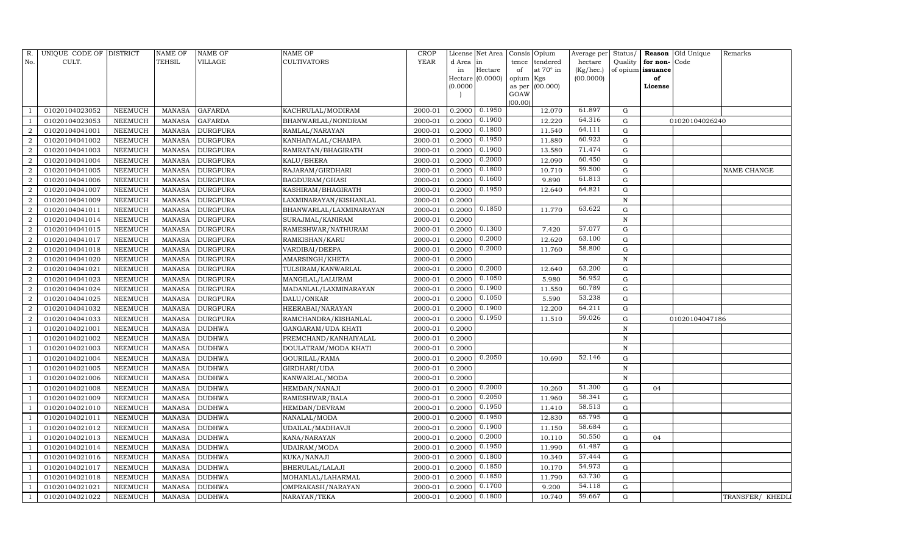| R.                     | UNIQUE CODE OF DISTRICT |                | <b>NAME OF</b> | NAME OF         | <b>NAME OF</b>          | CROP    |           | License Net Area | Consis Opium               | Average per | Status/      |                   | Reason Old Unique | Remarks            |
|------------------------|-------------------------|----------------|----------------|-----------------|-------------------------|---------|-----------|------------------|----------------------------|-------------|--------------|-------------------|-------------------|--------------------|
| No.                    | CULT.                   |                | TEHSIL         | VILLAGE         | <b>CULTIVATORS</b>      | YEAR    | d Area in |                  | tendered<br>tence          | hectare     | Quality      | for non-          | Code              |                    |
|                        |                         |                |                |                 |                         |         | in        | Hectare          | at $70^\circ$ in<br>of     | (Kg/hec.)   |              | of opium issuance |                   |                    |
|                        |                         |                |                |                 |                         |         |           | Hectare (0.0000) | opium Kgs                  | (00.0000)   |              | of                |                   |                    |
|                        |                         |                |                |                 |                         |         | (0.0000)  |                  | (00.000)<br>as per<br>GOAW |             |              | License           |                   |                    |
|                        |                         |                |                |                 |                         |         |           |                  | (00.00)                    |             |              |                   |                   |                    |
|                        | 01020104023052          | NEEMUCH        | MANASA         | <b>GAFARDA</b>  | KACHRULAL/MODIRAM       | 2000-01 | 0.2000    | 0.1950           | 12.070                     | 61.897      | G            |                   |                   |                    |
|                        | 01020104023053          | NEEMUCH        | MANASA         | <b>GAFARDA</b>  | BHANWARLAL/NONDRAM      | 2000-01 | 0.2000    | 0.1900           | 12.220                     | 64.316      | G            |                   | 01020104026240    |                    |
| $\overline{2}$         | 01020104041001          | NEEMUCH        | <b>MANASA</b>  | <b>DURGPURA</b> | RAMLAL/NARAYAN          | 2000-01 | 0.2000    | 0.1800           | 11.540                     | 64.111      | G            |                   |                   |                    |
| $\mathcal{D}$          | 01020104041002          | NEEMUCH        | MANASA         | <b>DURGPURA</b> | KANHAIYALAL/CHAMPA      | 2000-01 | 0.2000    | 0.1950           | 11.880                     | 60.923      | G            |                   |                   |                    |
| 2                      | 01020104041003          | NEEMUCH        | <b>MANASA</b>  | <b>DURGPURA</b> | RAMRATAN/BHAGIRATH      | 2000-01 | 0.2000    | 0.1900           | 13.580                     | 71.474      | ${\rm G}$    |                   |                   |                    |
|                        | 01020104041004          | NEEMUCH        | MANASA         | <b>DURGPURA</b> | KALU/BHERA              | 2000-01 | 0.2000    | 0.2000           | 12.090                     | 60.450      | ${\rm G}$    |                   |                   |                    |
| $\mathcal{D}$          | 01020104041005          | NEEMUCH        | <b>MANASA</b>  | <b>DURGPURA</b> | RAJARAM/GIRDHARI        | 2000-01 | 0.2000    | 0.1800           | 10.710                     | 59.500      | ${\rm G}$    |                   |                   | <b>NAME CHANGE</b> |
| 2                      | 01020104041006          | NEEMUCH        | <b>MANASA</b>  | <b>DURGPURA</b> | BAGDURAM/GHASI          | 2000-01 | 0.2000    | 0.1600           | 9.890                      | 61.813      | ${\rm G}$    |                   |                   |                    |
| 2                      | 01020104041007          | NEEMUCH        | MANASA         | <b>DURGPURA</b> | KASHIRAM/BHAGIRATH      | 2000-01 | 0.2000    | 0.1950           | 12.640                     | 64.821      | G            |                   |                   |                    |
|                        | 01020104041009          | NEEMUCH        | MANASA         | <b>DURGPURA</b> | LAXMINARAYAN/KISHANLAL  | 2000-01 | 0.2000    |                  |                            |             | ${\bf N}$    |                   |                   |                    |
| $\overline{2}$         | 01020104041011          | NEEMUCH        | <b>MANASA</b>  | <b>DURGPURA</b> | BHANWARLAL/LAXMINARAYAN | 2000-01 | 0.2000    | 0.1850           | 11.770                     | 63.622      | $\mathbf G$  |                   |                   |                    |
| $\overline{2}$         | 01020104041014          | NEEMUCH        | MANASA         | <b>DURGPURA</b> | SURAJMAL/KANIRAM        | 2000-01 | 0.2000    |                  |                            |             | $\, {\rm N}$ |                   |                   |                    |
| $\mathcal{D}$          | 01020104041015          | NEEMUCH        | <b>MANASA</b>  | <b>DURGPURA</b> | RAMESHWAR/NATHURAM      | 2000-01 | 0.2000    | 0.1300           | 7.420                      | 57.077      | $\mathbf G$  |                   |                   |                    |
| $\overline{2}$         | 01020104041017          | NEEMUCH        | <b>MANASA</b>  | <b>DURGPURA</b> | RAMKISHAN/KARU          | 2000-01 | 0.2000    | 0.2000           | 12.620                     | 63.100      | G            |                   |                   |                    |
| $\mathcal{D}_{\alpha}$ | 01020104041018          | NEEMUCH        | MANASA         | <b>DURGPURA</b> | VARDIBAI/DEEPA          | 2000-01 | 0.2000    | 0.2000           | 11.760                     | 58.800      | G            |                   |                   |                    |
| 2                      | 01020104041020          | NEEMUCH        | <b>MANASA</b>  | <b>DURGPURA</b> | AMARSINGH/KHETA         | 2000-01 | 0.2000    |                  |                            |             | $\, {\rm N}$ |                   |                   |                    |
| $\mathcal{D}$          | 01020104041021          | <b>NEEMUCH</b> | <b>MANASA</b>  | <b>DURGPURA</b> | TULSIRAM/KANWARLAL      | 2000-01 | 0.2000    | 0.2000           | 12.640                     | 63.200      | G            |                   |                   |                    |
| $\overline{2}$         | 01020104041023          | NEEMUCH        | MANASA         | <b>DURGPURA</b> | MANGILAL/LALURAM        | 2000-01 | 0.2000    | 0.1050           | 5.980                      | 56.952      | G            |                   |                   |                    |
| $\overline{2}$         | 01020104041024          | NEEMUCH        | <b>MANASA</b>  | <b>DURGPURA</b> | MADANLAL/LAXMINARAYAN   | 2000-01 | 0.2000    | 0.1900           | 11.550                     | 60.789      | G            |                   |                   |                    |
| $\mathcal{D}$          | 01020104041025          | NEEMUCH        | MANASA         | <b>DURGPURA</b> | DALU/ONKAR              | 2000-01 | 0.2000    | 0.1050           | 5.590                      | 53.238      | G            |                   |                   |                    |
|                        | 01020104041032          | NEEMUCH        | MANASA         | <b>DURGPURA</b> | HEERABAI/NARAYAN        | 2000-01 | 0.2000    | 0.1900           | 12.200                     | 64.211      | ${\rm G}$    |                   |                   |                    |
| $\mathcal{D}$          | 01020104041033          | NEEMUCH        | <b>MANASA</b>  | <b>DURGPURA</b> | RAMCHANDRA/KISHANLAL    | 2000-01 | 0.2000    | 0.1950           | 11.510                     | 59.026      | ${\rm G}$    |                   | 01020104047186    |                    |
|                        | 01020104021001          | NEEMUCH        | MANASA         | <b>DUDHWA</b>   | GANGARAM/UDA KHATI      | 2000-01 | 0.2000    |                  |                            |             | $\,$ N       |                   |                   |                    |
|                        | 01020104021002          | NEEMUCH        | <b>MANASA</b>  | <b>DUDHWA</b>   | PREMCHAND/KANHAIYALAL   | 2000-01 | 0.2000    |                  |                            |             | $\mathbf N$  |                   |                   |                    |
|                        | 01020104021003          | NEEMUCH        | MANASA         | <b>DUDHWA</b>   | DOULATRAM/MODA KHATI    | 2000-01 | 0.2000    |                  |                            |             | $\, {\rm N}$ |                   |                   |                    |
|                        | 01020104021004          | NEEMUCH        | MANASA         | <b>DUDHWA</b>   | GOURILAL/RAMA           | 2000-01 | 0.2000    | 0.2050           | 10.690                     | 52.146      | G            |                   |                   |                    |
|                        | 01020104021005          | NEEMUCH        | <b>MANASA</b>  | <b>DUDHWA</b>   | GIRDHARI/UDA            | 2000-01 | 0.2000    |                  |                            |             | $\mathbf N$  |                   |                   |                    |
|                        | 01020104021006          | <b>NEEMUCH</b> | <b>MANASA</b>  | <b>DUDHWA</b>   | KANWARLAL/MODA          | 2000-01 | 0.2000    |                  |                            |             | N            |                   |                   |                    |
|                        | 01020104021008          | NEEMUCH        | MANASA         | <b>DUDHWA</b>   | HEMDAN/NANAJI           | 2000-01 | 0.2000    | 0.2000           | 10.260                     | 51.300      | ${\rm G}$    | 04                |                   |                    |
|                        | 01020104021009          | NEEMUCH        | <b>MANASA</b>  | <b>DUDHWA</b>   | RAMESHWAR/BALA          | 2000-01 | 0.2000    | 0.2050           | 11.960                     | 58.341      | ${\rm G}$    |                   |                   |                    |
|                        | 01020104021010          | NEEMUCH        | MANASA         | <b>DUDHWA</b>   | HEMDAN/DEVRAM           | 2000-01 | 0.2000    | 0.1950           | 11.410                     | 58.513      | $\mathbf G$  |                   |                   |                    |
|                        | 01020104021011          | NEEMUCH        | <b>MANASA</b>  | <b>DUDHWA</b>   | NANALAL/MODA            | 2000-01 | 0.2000    | 0.1950           | 12.830                     | 65.795      | $\mathbf G$  |                   |                   |                    |
|                        | 01020104021012          | <b>NEEMUCH</b> | <b>MANASA</b>  | <b>DUDHWA</b>   | UDAILAL/MADHAVJI        | 2000-01 | 0.2000    | 0.1900           | 11.150                     | 58.684      | ${\rm G}$    |                   |                   |                    |
|                        | 01020104021013          | NEEMUCH        | MANASA         | <b>DUDHWA</b>   | KANA/NARAYAN            | 2000-01 | 0.2000    | 0.2000           | 10.110                     | 50.550      | ${\rm G}$    | 04                |                   |                    |
|                        | 01020104021014          | NEEMUCH        | <b>MANASA</b>  | <b>DUDHWA</b>   | UDAIRAM/MODA            | 2000-01 | 0.2000    | 0.1950           | 11.990                     | 61.487      | ${\bf G}$    |                   |                   |                    |
|                        | 01020104021016          | NEEMUCH        | MANASA         | <b>DUDHWA</b>   | KUKA/NANAJI             | 2000-01 | 0.2000    | 0.1800           | 10.340                     | 57.444      | ${\bf G}$    |                   |                   |                    |
|                        | 01020104021017          | NEEMUCH        | MANASA         | <b>DUDHWA</b>   | BHERULAL/LALAJI         | 2000-01 | 0.2000    | 0.1850           | 10.170                     | 54.973      | ${\rm G}$    |                   |                   |                    |
|                        | 01020104021018          | NEEMUCH        | <b>MANASA</b>  | DUDHWA          | MOHANLAL/LAHARMAL       | 2000-01 | 0.2000    | 0.1850           | 11.790                     | 63.730      | ${\rm G}$    |                   |                   |                    |
|                        | 01020104021021          | <b>NEEMUCH</b> | <b>MANASA</b>  | <b>DUDHWA</b>   | OMPRAKASH/NARAYAN       | 2000-01 | 0.2000    | 0.1700           | 9.200                      | 54.118      | G            |                   |                   |                    |
|                        | 01020104021022          | NEEMUCH        | MANASA         | <b>DUDHWA</b>   | NARAYAN/TEKA            | 2000-01 | 0.2000    | 0.1800           | 10.740                     | 59.667      | $\mathbf G$  |                   |                   | TRANSFER/ KHEDLI   |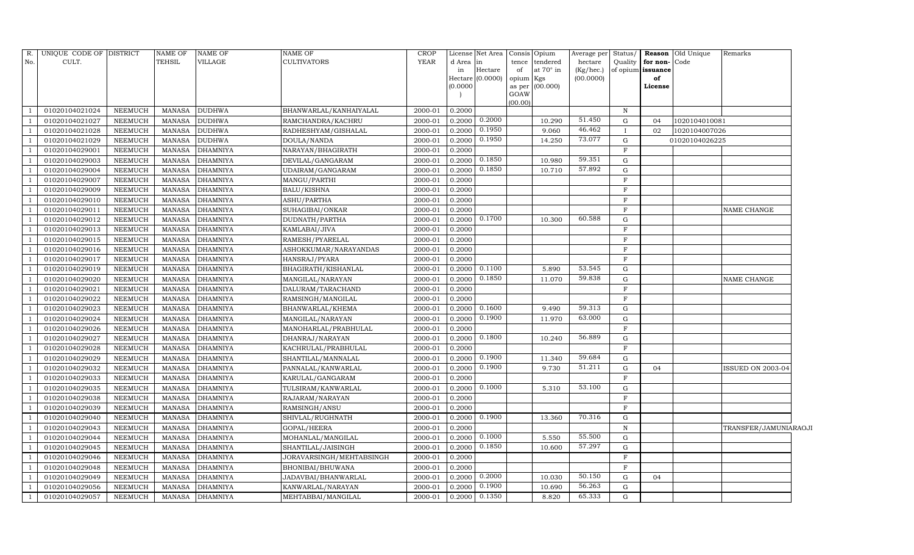| R.                       | UNIQUE CODE OF DISTRICT |                | <b>NAME OF</b> | <b>NAME OF</b>  | NAME OF                  | CROP        |           | License Net Area   Consis   Opium |                |           | Average per | Status/      |                   | <b>Reason</b> Old Unique | Remarks                  |  |
|--------------------------|-------------------------|----------------|----------------|-----------------|--------------------------|-------------|-----------|-----------------------------------|----------------|-----------|-------------|--------------|-------------------|--------------------------|--------------------------|--|
| No.                      | CULT.                   |                | TEHSIL         | VILLAGE         | CULTIVATORS              | <b>YEAR</b> | d Area in |                                   | tence          | tendered  | hectare     | Quality      | for non-Code      |                          |                          |  |
|                          |                         |                |                |                 |                          |             | in        | Hectare                           | of             | at 70° in | (Kg/hec.)   |              | of opium issuance |                          |                          |  |
|                          |                         |                |                |                 |                          |             | (0.0000)  | Hectare (0.0000)                  | opium Kgs      | (00.000)  | (00.0000)   |              | of                |                          |                          |  |
|                          |                         |                |                |                 |                          |             |           |                                   | as per<br>GOAW |           |             |              | License           |                          |                          |  |
|                          |                         |                |                |                 |                          |             |           |                                   | (00.00)        |           |             |              |                   |                          |                          |  |
|                          | 01020104021024          | <b>NEEMUCH</b> | MANASA         | <b>DUDHWA</b>   | BHANWARLAL/KANHAIYALAL   | 2000-01     | 0.2000    |                                   |                |           |             | $\, {\rm N}$ |                   |                          |                          |  |
|                          | 01020104021027          | NEEMUCH        | <b>MANASA</b>  | <b>DUDHWA</b>   | RAMCHANDRA/KACHRU        | 2000-01     | 0.2000    | 0.2000                            |                | 10.290    | 51.450      | G            | 04                | 1020104010081            |                          |  |
|                          | 01020104021028          | <b>NEEMUCH</b> | <b>MANASA</b>  | <b>DUDHWA</b>   | RADHESHYAM/GISHALAL      | 2000-01     | 0.2000    | 0.1950                            |                | 9.060     | 46.462      | $\mathbf{I}$ | 02                | 1020104007026            |                          |  |
|                          | 01020104021029          | <b>NEEMUCH</b> | <b>MANASA</b>  | <b>DUDHWA</b>   | DOULA/NANDA              | 2000-01     | 0.2000    | 0.1950                            |                | 14.250    | 73.077      | G            |                   | 01020104026225           |                          |  |
|                          | 01020104029001          | <b>NEEMUCH</b> | <b>MANASA</b>  | <b>DHAMNIYA</b> | NARAYAN/BHAGIRATH        | 2000-01     | 0.2000    |                                   |                |           |             | F            |                   |                          |                          |  |
|                          | 01020104029003          | NEEMUCH        | MANASA         | <b>DHAMNIYA</b> | DEVILAL/GANGARAM         | 2000-01     | 0.2000    | 0.1850                            |                | 10.980    | 59.351      | G            |                   |                          |                          |  |
|                          | 01020104029004          | <b>NEEMUCH</b> | <b>MANASA</b>  | <b>DHAMNIYA</b> | UDAIRAM/GANGARAM         | 2000-01     | 0.2000    | 0.1850                            |                | 10.710    | 57.892      | G            |                   |                          |                          |  |
|                          | 01020104029007          | NEEMUCH        | <b>MANASA</b>  | <b>DHAMNIYA</b> | MANGU/PARTHI             | 2000-01     | 0.2000    |                                   |                |           |             | $\mathbf F$  |                   |                          |                          |  |
|                          | 01020104029009          | <b>NEEMUCH</b> | <b>MANASA</b>  | <b>DHAMNIYA</b> | BALU/KISHNA              | 2000-01     | 0.2000    |                                   |                |           |             | $\mathbf F$  |                   |                          |                          |  |
|                          | 01020104029010          | NEEMUCH        | <b>MANASA</b>  | <b>DHAMNIYA</b> | ASHU/PARTHA              | 2000-01     | 0.2000    |                                   |                |           |             | $\mathbf F$  |                   |                          |                          |  |
|                          | 01020104029011          | NEEMUCH        | <b>MANASA</b>  | <b>DHAMNIYA</b> | SUHAGIBAI/ONKAR          | 2000-01     | 0.2000    |                                   |                |           |             | $\mathbf F$  |                   |                          | NAME CHANGE              |  |
|                          | 01020104029012          | <b>NEEMUCH</b> | <b>MANASA</b>  | <b>DHAMNIYA</b> | DUDNATH/PARTHA           | 2000-01     | 0.2000    | 0.1700                            |                | 10.300    | 60.588      | ${\rm G}$    |                   |                          |                          |  |
|                          | 01020104029013          | <b>NEEMUCH</b> | <b>MANASA</b>  | <b>DHAMNIYA</b> | KAMLABAI/JIVA            | 2000-01     | 0.2000    |                                   |                |           |             | $\mathbf F$  |                   |                          |                          |  |
|                          | 01020104029015          | NEEMUCH        | <b>MANASA</b>  | <b>DHAMNIYA</b> | RAMESH/PYARELAL          | 2000-01     | 0.2000    |                                   |                |           |             | $\mathbf F$  |                   |                          |                          |  |
|                          | 01020104029016          | NEEMUCH        | <b>MANASA</b>  | <b>DHAMNIYA</b> | ASHOKKUMAR/NARAYANDAS    | 2000-01     | 0.2000    |                                   |                |           |             | $\mathbf F$  |                   |                          |                          |  |
|                          | 01020104029017          | <b>NEEMUCH</b> | <b>MANASA</b>  | <b>DHAMNIYA</b> | HANSRAJ/PYARA            | 2000-01     | 0.2000    |                                   |                |           |             | $\mathbf F$  |                   |                          |                          |  |
|                          | 01020104029019          | NEEMUCH        | <b>MANASA</b>  | <b>DHAMNIYA</b> | BHAGIRATH/KISHANLAL      | 2000-01     | 0.2000    | 0.1100                            |                | 5.890     | 53.545      | G            |                   |                          |                          |  |
|                          | 01020104029020          | NEEMUCH        | <b>MANASA</b>  | <b>DHAMNIYA</b> | MANGILAL/NARAYAN         | 2000-01     | 0.2000    | 0.1850                            |                | 11.070    | 59.838      | ${\rm G}$    |                   |                          | NAME CHANGE              |  |
|                          | 01020104029021          | NEEMUCH        | <b>MANASA</b>  | <b>DHAMNIYA</b> | DALURAM/TARACHAND        | 2000-01     | 0.2000    |                                   |                |           |             | $\mathbf F$  |                   |                          |                          |  |
|                          | 01020104029022          | <b>NEEMUCH</b> | <b>MANASA</b>  | <b>DHAMNIYA</b> | RAMSINGH/MANGILAL        | 2000-01     | 0.2000    |                                   |                |           |             | $\mathbf F$  |                   |                          |                          |  |
|                          | 01020104029023          | <b>NEEMUCH</b> | <b>MANASA</b>  | <b>DHAMNIYA</b> | BHANWARLAL/KHEMA         | 2000-01     | 0.2000    | 0.1600                            |                | 9.490     | 59.313      | $\mathbf G$  |                   |                          |                          |  |
|                          | 01020104029024          | NEEMUCH        | <b>MANASA</b>  | <b>DHAMNIYA</b> | MANGILAL/NARAYAN         | 2000-01     | 0.2000    | 0.1900                            |                | 11.970    | 63.000      | G            |                   |                          |                          |  |
|                          | 01020104029026          | NEEMUCH        | <b>MANASA</b>  | <b>DHAMNIYA</b> | MANOHARLAL/PRABHULAL     | 2000-01     | 0.2000    |                                   |                |           |             | F            |                   |                          |                          |  |
|                          | 01020104029027          | <b>NEEMUCH</b> | <b>MANASA</b>  | <b>DHAMNIYA</b> | DHANRAJ/NARAYAN          | 2000-01     | 0.2000    | 0.1800                            |                | 10.240    | 56.889      | G            |                   |                          |                          |  |
|                          | 01020104029028          | NEEMUCH        | <b>MANASA</b>  | <b>DHAMNIYA</b> | KACHRULAL/PRABHULAL      | 2000-01     | 0.2000    |                                   |                |           |             | $\mathbf F$  |                   |                          |                          |  |
|                          | 01020104029029          | NEEMUCH        | <b>MANASA</b>  | <b>DHAMNIYA</b> | SHANTILAL/MANNALAL       | 2000-01     | 0.2000    | 0.1900                            |                | 11.340    | 59.684      | ${\rm G}$    |                   |                          |                          |  |
|                          | 01020104029032          | NEEMUCH        | <b>MANASA</b>  | <b>DHAMNIYA</b> | PANNALAL/KANWARLAL       | 2000-01     | 0.2000    | 0.1900                            |                | 9.730     | 51.211      | $\mathbf G$  | 04                |                          | <b>ISSUED ON 2003-04</b> |  |
|                          | 01020104029033          | NEEMUCH        | <b>MANASA</b>  | <b>DHAMNIYA</b> | KARULAL/GANGARAM         | 2000-01     | 0.2000    |                                   |                |           |             | $\mathbf F$  |                   |                          |                          |  |
|                          | 01020104029035          | NEEMUCH        | <b>MANASA</b>  | <b>DHAMNIYA</b> | TULSIRAM/KANWARLAL       | 2000-01     | 0.2000    | 0.1000                            |                | 5.310     | 53.100      | ${\rm G}$    |                   |                          |                          |  |
|                          | 01020104029038          | <b>NEEMUCH</b> | <b>MANASA</b>  | <b>DHAMNIYA</b> | RAJARAM/NARAYAN          | 2000-01     | 0.2000    |                                   |                |           |             | $\mathbf F$  |                   |                          |                          |  |
|                          | 01020104029039          | NEEMUCH        | <b>MANASA</b>  | <b>DHAMNIYA</b> | RAMSINGH/ANSU            | 2000-01     | 0.2000    |                                   |                |           |             | F            |                   |                          |                          |  |
|                          | 01020104029040          | <b>NEEMUCH</b> | <b>MANASA</b>  | <b>DHAMNIYA</b> | SHIVLAL/RUGHNATH         | 2000-01     | 0.2000    | 0.1900                            |                | 13.360    | 70.316      | $\mathbf G$  |                   |                          |                          |  |
|                          | 01020104029043          | <b>NEEMUCH</b> | <b>MANASA</b>  | <b>DHAMNIYA</b> | GOPAL/HEERA              | 2000-01     | 0.2000    |                                   |                |           |             | ${\bf N}$    |                   |                          | TRANSFER/JAMUNIARAOJI    |  |
|                          | 01020104029044          | <b>NEEMUCH</b> | <b>MANASA</b>  | <b>DHAMNIYA</b> | MOHANLAL/MANGILAL        | 2000-01     | 0.2000    | 0.1000                            |                | 5.550     | 55.500      | $\mathbf G$  |                   |                          |                          |  |
|                          | 01020104029045          | <b>NEEMUCH</b> | <b>MANASA</b>  | <b>DHAMNIYA</b> | SHANTILAL/JAISINGH       | 2000-01     | 0.2000    | 0.1850                            |                | 10.600    | 57.297      | ${\rm G}$    |                   |                          |                          |  |
|                          | 01020104029046          | NEEMUCH        | <b>MANASA</b>  | <b>DHAMNIYA</b> | JORAVARSINGH/MEHTABSINGH | 2000-01     | 0.2000    |                                   |                |           |             | F            |                   |                          |                          |  |
|                          | 01020104029048          | NEEMUCH        | <b>MANASA</b>  | <b>DHAMNIYA</b> | BHONIBAI/BHUWANA         | 2000-01     | 0.2000    |                                   |                |           |             | $\mathbf F$  |                   |                          |                          |  |
|                          | 01020104029049          | NEEMUCH        | <b>MANASA</b>  | <b>DHAMNIYA</b> | JADAVBAI/BHANWARLAL      | 2000-01     | 0.2000    | 0.2000                            |                | 10.030    | 50.150      | G            | 04                |                          |                          |  |
| $\overline{\phantom{0}}$ | 01020104029056          | NEEMUCH        | <b>MANASA</b>  | <b>DHAMNIYA</b> | KANWARLAL/NARAYAN        | 2000-01     | 0.2000    | 0.1900                            |                | 10.690    | 56.263      | G            |                   |                          |                          |  |
| $\overline{1}$           | 01020104029057          | <b>NEEMUCH</b> | MANASA         | <b>DHAMNIYA</b> | MEHTABBAI/MANGILAL       | 2000-01     | 0.2000    | 0.1350                            |                | 8.820     | 65.333      | G            |                   |                          |                          |  |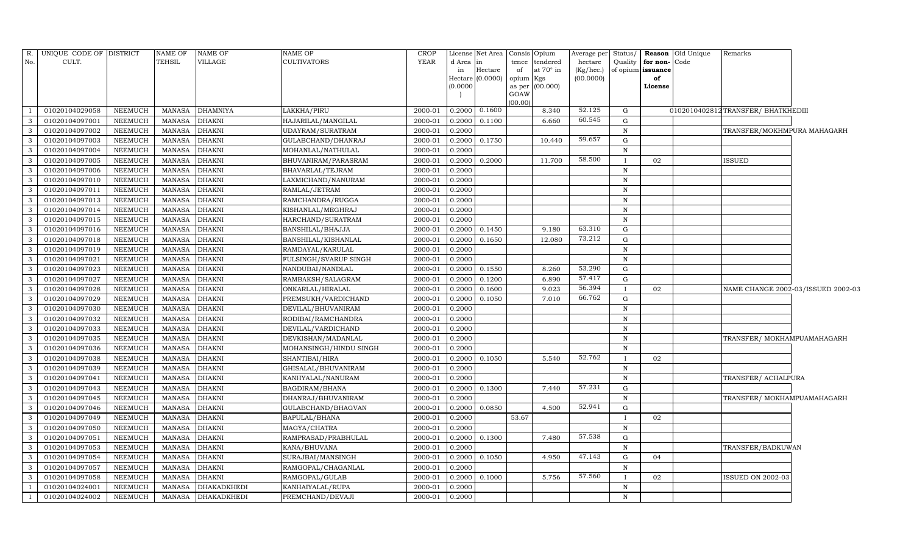| R.<br>No.     | UNIQUE CODE OF DISTRICT<br>CULT. |                | NAME OF<br><b>TEHSIL</b> | <b>NAME OF</b><br>VILLAGE | <b>NAME OF</b><br><b>CULTIVATORS</b> | <b>CROP</b><br><b>YEAR</b> | d Area<br>in<br>(0.0000) | License Net Area<br>in<br>Hectare<br>Hectare (0.0000) | tence<br>of<br>opium Kgs<br>as per | Consis Opium<br>tendered<br>at 70° in<br>(00.000) | Average per<br>hectare<br>(Kg/hec.)<br>(00.0000) | Status/<br>Quality<br>of opium | <b>Reason</b> Old Unique<br>for non-<br>Code<br>issuance<br>of<br>License | Remarks                             |  |
|---------------|----------------------------------|----------------|--------------------------|---------------------------|--------------------------------------|----------------------------|--------------------------|-------------------------------------------------------|------------------------------------|---------------------------------------------------|--------------------------------------------------|--------------------------------|---------------------------------------------------------------------------|-------------------------------------|--|
|               |                                  |                |                          |                           |                                      |                            |                          |                                                       | GOAW                               |                                                   |                                                  |                                |                                                                           |                                     |  |
|               | 01020104029058                   | <b>NEEMUCH</b> | <b>MANASA</b>            | <b>DHAMNIYA</b>           | LAKKHA/PIRU                          | 2000-01                    | 0.2000                   | 0.1600                                                | (00.00)                            | 8.340                                             | 52.125                                           | G                              |                                                                           | 0102010402812 TRANSFER/ BHATKHEDIII |  |
|               | 01020104097001                   | NEEMUCH        | <b>MANASA</b>            | <b>DHAKNI</b>             | HAJARILAL/MANGILAL                   | 2000-01                    | 0.2000                   | 0.1100                                                |                                    | 6.660                                             | 60.545                                           | G                              |                                                                           |                                     |  |
| 3             | 01020104097002                   | <b>NEEMUCH</b> | <b>MANASA</b>            | <b>DHAKNI</b>             | UDAYRAM/SURATRAM                     | 2000-01                    | 0.2000                   |                                                       |                                    |                                                   |                                                  | $\, {\rm N}$                   |                                                                           | TRANSFER/MOKHMPURA MAHAGARH         |  |
| 3             | 01020104097003                   | NEEMUCH        | <b>MANASA</b>            | <b>DHAKNI</b>             | GULABCHAND/DHANRAJ                   | 2000-01                    | 0.2000                   | 0.1750                                                |                                    | 10.440                                            | 59.657                                           | G                              |                                                                           |                                     |  |
|               | 01020104097004                   | <b>NEEMUCH</b> | <b>MANASA</b>            | <b>DHAKNI</b>             | MOHANLAL/NATHULAL                    | 2000-01                    | 0.2000                   |                                                       |                                    |                                                   |                                                  | $\mathbf N$                    |                                                                           |                                     |  |
| 3             | 01020104097005                   | <b>NEEMUCH</b> | <b>MANASA</b>            | <b>DHAKNI</b>             | BHUVANIRAM/PARASRAM                  | 2000-01                    | 0.2000                   | 0.2000                                                |                                    | 11.700                                            | 58.500                                           |                                | 02                                                                        | ISSUED                              |  |
| 3             | 01020104097006                   | <b>NEEMUCH</b> | <b>MANASA</b>            | <b>DHAKNI</b>             | BHAVARLAL/TEJRAM                     | 2000-01                    | 0.2000                   |                                                       |                                    |                                                   |                                                  | ${\bf N}$                      |                                                                           |                                     |  |
| 3             | 01020104097010                   | <b>NEEMUCH</b> | <b>MANASA</b>            | <b>DHAKNI</b>             | LAXMICHAND/NANURAM                   | 2000-01                    | 0.2000                   |                                                       |                                    |                                                   |                                                  | ${\bf N}$                      |                                                                           |                                     |  |
| $\mathcal{R}$ | 01020104097011                   | <b>NEEMUCH</b> | <b>MANASA</b>            | <b>DHAKNI</b>             | RAMLAL/JETRAM                        | 2000-01                    | 0.2000                   |                                                       |                                    |                                                   |                                                  | $\mathbf N$                    |                                                                           |                                     |  |
| 3             | 01020104097013                   | NEEMUCH        | <b>MANASA</b>            | <b>DHAKNI</b>             | RAMCHANDRA/RUGGA                     | 2000-01                    | 0.2000                   |                                                       |                                    |                                                   |                                                  | N                              |                                                                           |                                     |  |
| 3             | 01020104097014                   | NEEMUCH        | <b>MANASA</b>            | <b>DHAKNI</b>             | KISHANLAL/MEGHRAJ                    | 2000-01                    | 0.2000                   |                                                       |                                    |                                                   |                                                  | $\mathbf N$                    |                                                                           |                                     |  |
| 3             | 01020104097015                   | NEEMUCH        | <b>MANASA</b>            | <b>DHAKNI</b>             | HARCHAND/SURATRAM                    | 2000-01                    | 0.2000                   |                                                       |                                    |                                                   |                                                  | $\, {\rm N}$                   |                                                                           |                                     |  |
|               | 01020104097016                   | <b>NEEMUCH</b> | <b>MANASA</b>            | <b>DHAKNI</b>             | BANSHILAL/BHAJJA                     | 2000-01                    | 0.2000                   | 0.1450                                                |                                    | 9.180                                             | 63.310                                           | G                              |                                                                           |                                     |  |
| 3             | 01020104097018                   | NEEMUCH        | <b>MANASA</b>            | <b>DHAKNI</b>             | BANSHILAL/KISHANLAL                  | 2000-01                    | 0.2000                   | 0.1650                                                |                                    | 12.080                                            | 73.212                                           | G                              |                                                                           |                                     |  |
| 3             | 01020104097019                   | <b>NEEMUCH</b> | <b>MANASA</b>            | <b>DHAKNI</b>             | RAMDAYAL/KARULAL                     | 2000-01                    | 0.2000                   |                                                       |                                    |                                                   |                                                  | $\mathbf N$                    |                                                                           |                                     |  |
| 3             | 01020104097021                   | <b>NEEMUCH</b> | <b>MANASA</b>            | <b>DHAKNI</b>             | FULSINGH/SVARUP SINGH                | 2000-01                    | 0.2000                   |                                                       |                                    |                                                   |                                                  | ${\bf N}$                      |                                                                           |                                     |  |
| $\mathcal{R}$ | 01020104097023                   | <b>NEEMUCH</b> | <b>MANASA</b>            | <b>DHAKNI</b>             | NANDUBAI/NANDLAL                     | 2000-01                    | 0.2000                   | 0.1550                                                |                                    | 8.260                                             | 53.290                                           | G                              |                                                                           |                                     |  |
| 3             | 01020104097027                   | NEEMUCH        | <b>MANASA</b>            | <b>DHAKNI</b>             | RAMBAKSH/SALAGRAM                    | 2000-01                    | 0.2000                   | 0.1200                                                |                                    | 6.890                                             | 57.417                                           | G                              |                                                                           |                                     |  |
| 3             | 01020104097028                   | <b>NEEMUCH</b> | <b>MANASA</b>            | <b>DHAKNI</b>             | ONKARLAL/HIRALAL                     | 2000-01                    | 0.2000                   | 0.1600                                                |                                    | 9.023                                             | 56.394                                           |                                | 02                                                                        | NAME CHANGE 2002-03/ISSUED 2002-03  |  |
| 3             | 01020104097029                   | NEEMUCH        | <b>MANASA</b>            | <b>DHAKNI</b>             | PREMSUKH/VARDICHAND                  | 2000-01                    | 0.2000                   | 0.1050                                                |                                    | 7.010                                             | 66.762                                           | G                              |                                                                           |                                     |  |
|               | 01020104097030                   | <b>NEEMUCH</b> | <b>MANASA</b>            | <b>DHAKNI</b>             | DEVILAL/BHUVANIRAM                   | 2000-01                    | 0.2000                   |                                                       |                                    |                                                   |                                                  | $\mathbf N$                    |                                                                           |                                     |  |
| 3             | 01020104097032                   | NEEMUCH        | <b>MANASA</b>            | <b>DHAKNI</b>             | RODIBAI/RAMCHANDRA                   | 2000-01                    | 0.2000                   |                                                       |                                    |                                                   |                                                  | $\, {\rm N}$                   |                                                                           |                                     |  |
| 3             | 01020104097033                   | <b>NEEMUCH</b> | <b>MANASA</b>            | <b>DHAKNI</b>             | DEVILAL/VARDICHAND                   | 2000-01                    | 0.2000                   |                                                       |                                    |                                                   |                                                  | $\, {\rm N}$                   |                                                                           |                                     |  |
| 3             | 01020104097035                   | <b>NEEMUCH</b> | <b>MANASA</b>            | <b>DHAKNI</b>             | DEVKISHAN/MADANLAL                   | 2000-01                    | 0.2000                   |                                                       |                                    |                                                   |                                                  | $\, {\rm N}$                   |                                                                           | TRANSFER/ MOKHAMPUAMAHAGARH         |  |
| $\mathcal{R}$ | 01020104097036                   | <b>NEEMUCH</b> | <b>MANASA</b>            | <b>DHAKNI</b>             | MOHANSINGH/HINDU SINGH               | 2000-01                    | 0.2000                   |                                                       |                                    |                                                   |                                                  | $\mathbf N$                    |                                                                           |                                     |  |
| 3             | 01020104097038                   | NEEMUCH        | <b>MANASA</b>            | <b>DHAKNI</b>             | SHANTIBAI/HIRA                       | 2000-01                    | 0.2000                   | 0.1050                                                |                                    | 5.540                                             | 52.762                                           |                                | 02                                                                        |                                     |  |
| 3             | 01020104097039                   | <b>NEEMUCH</b> | <b>MANASA</b>            | <b>DHAKNI</b>             | GHISALAL/BHUVANIRAM                  | 2000-01                    | 0.2000                   |                                                       |                                    |                                                   |                                                  | $\mathbf N$                    |                                                                           |                                     |  |
| 3             | 01020104097041                   | NEEMUCH        | <b>MANASA</b>            | <b>DHAKNI</b>             | KANHYALAL/NANURAM                    | 2000-01                    | 0.2000                   |                                                       |                                    |                                                   |                                                  | $\, {\rm N}$                   |                                                                           | TRANSFER/ ACHALPURA                 |  |
|               | 01020104097043                   | <b>NEEMUCH</b> | <b>MANASA</b>            | <b>DHAKNI</b>             | BAGDIRAM/BHANA                       | 2000-01                    | 0.2000                   | 0.1300                                                |                                    | 7.440                                             | 57.231                                           | G                              |                                                                           |                                     |  |
| 3             | 01020104097045                   | NEEMUCH        | <b>MANASA</b>            | <b>DHAKNI</b>             | DHANRAJ/BHUVANIRAM                   | 2000-01                    | 0.2000                   |                                                       |                                    |                                                   |                                                  | $\, {\rm N}$                   |                                                                           | TRANSFER/MOKHAMPUAMAHAGARH          |  |
| 3             | 01020104097046                   | <b>NEEMUCH</b> | <b>MANASA</b>            | <b>DHAKNI</b>             | GULABCHAND/BHAGVAN                   | 2000-01                    | 0.2000                   | 0.0850                                                |                                    | 4.500                                             | 52.941                                           | G                              |                                                                           |                                     |  |
| 3             | 01020104097049                   | <b>NEEMUCH</b> | <b>MANASA</b>            | <b>DHAKNI</b>             | BAPULAL/BHANA                        | 2000-01                    | 0.2000                   |                                                       | 53.67                              |                                                   |                                                  |                                | 02                                                                        |                                     |  |
| $\mathcal{R}$ | 01020104097050                   | <b>NEEMUCH</b> | <b>MANASA</b>            | <b>DHAKNI</b>             | MAGYA/CHATRA                         | 2000-01                    | 0.2000                   |                                                       |                                    |                                                   |                                                  | $\mathbf N$                    |                                                                           |                                     |  |
| 3             | 01020104097051                   | <b>NEEMUCH</b> | <b>MANASA</b>            | <b>DHAKNI</b>             | RAMPRASAD/PRABHULAL                  | 2000-01                    | 0.2000                   | 0.1300                                                |                                    | 7.480                                             | 57.538                                           | $\mathbf G$                    |                                                                           |                                     |  |
| 3             | 01020104097053                   | <b>NEEMUCH</b> | <b>MANASA</b>            | <b>DHAKNI</b>             | KANA/BHUVANA                         | 2000-01                    | 0.2000                   |                                                       |                                    |                                                   |                                                  | N                              |                                                                           | TRANSFER/BADKUWAN                   |  |
| $\mathcal{R}$ | 01020104097054                   | NEEMUCH        | <b>MANASA</b>            | <b>DHAKNI</b>             | SURAJBAI/MANSINGH                    | 2000-01                    | 0.2000                   | 0.1050                                                |                                    | 4.950                                             | 47.143                                           | G                              | 04                                                                        |                                     |  |
|               | 01020104097057                   | NEEMUCH        | <b>MANASA</b>            | <b>DHAKNI</b>             | RAMGOPAL/CHAGANLAL                   | 2000-01                    | 0.2000                   |                                                       |                                    |                                                   |                                                  | $\, {\rm N}$                   |                                                                           |                                     |  |
| 3             | 01020104097058                   | NEEMUCH        | <b>MANASA</b>            | <b>DHAKNI</b>             | RAMGOPAL/GULAB                       | 2000-01                    | 0.2000                   | 0.1000                                                |                                    | 5.756                                             | 57.560                                           |                                | 02                                                                        | ISSUED ON 2002-03                   |  |
|               | 01020104024001                   | NEEMUCH        | <b>MANASA</b>            | <b>DHAKADKHEDI</b>        | KANHAIYALAL/RUPA                     | 2000-01                    | 0.2000                   |                                                       |                                    |                                                   |                                                  | $\mathbf N$                    |                                                                           |                                     |  |
|               | 01020104024002                   | <b>NEEMUCH</b> | <b>MANASA</b>            | <b>DHAKADKHEDI</b>        | PREMCHAND/DEVAJI                     | 2000-01                    | 0.2000                   |                                                       |                                    |                                                   |                                                  | $\, {\rm N}$                   |                                                                           |                                     |  |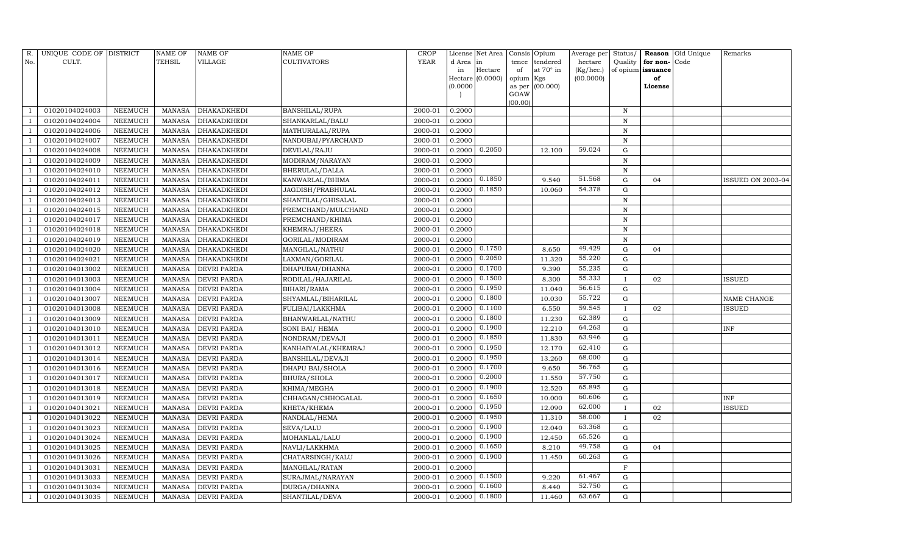| R.  | UNIQUE CODE OF DISTRICT |                | NAME OF       | NAME OF                   | NAME OF             | <b>CROP</b> |           | License Net Area |           | Consis Opium     | Average per | Status/      |               | Reason Old Unique | Remarks                  |
|-----|-------------------------|----------------|---------------|---------------------------|---------------------|-------------|-----------|------------------|-----------|------------------|-------------|--------------|---------------|-------------------|--------------------------|
| No. | CULT.                   |                | TEHSIL        | VILLAGE                   | CULTIVATORS         | <b>YEAR</b> | d Area in |                  | tence     | tendered         | hectare     | Quality      | for non-      | Code              |                          |
|     |                         |                |               |                           |                     |             | in        | Hectare          | of        | at $70^\circ$ in | (Kg/hec.)   | of opium     | issuance      |                   |                          |
|     |                         |                |               |                           |                     |             | (0.0000)  | Hectare (0.0000) | opium Kgs | as per (00.000)  | (00.0000)   |              | of<br>License |                   |                          |
|     |                         |                |               |                           |                     |             |           |                  | GOAW      |                  |             |              |               |                   |                          |
|     |                         |                |               |                           |                     |             |           |                  | (00.00)   |                  |             |              |               |                   |                          |
|     | 01020104024003          | NEEMUCH        | MANASA        | DHAKADKHEDI               | BANSHILAL/RUPA      | 2000-01     | 0.2000    |                  |           |                  |             | N            |               |                   |                          |
|     | 01020104024004          | <b>NEEMUCH</b> | <b>MANASA</b> | DHAKADKHEDI               | SHANKARLAL/BALU     | 2000-01     | 0.2000    |                  |           |                  |             | N            |               |                   |                          |
|     | 01020104024006          | NEEMUCH        | <b>MANASA</b> | DHAKADKHEDI               | MATHURALAL/RUPA     | 2000-01     | 0.2000    |                  |           |                  |             | $\, {\rm N}$ |               |                   |                          |
|     | 01020104024007          | NEEMUCH        | MANASA        | DHAKADKHEDI               | NANDUBAI/PYARCHAND  | 2000-01     | 0.2000    |                  |           |                  |             | ${\bf N}$    |               |                   |                          |
|     | 01020104024008          | NEEMUCH        | <b>MANASA</b> | DHAKADKHEDI               | DEVILAL/RAJU        | 2000-01     | 0.2000    | 0.2050           |           | 12.100           | 59.024      | ${\rm G}$    |               |                   |                          |
|     | 01020104024009          | NEEMUCH        | <b>MANASA</b> | DHAKADKHEDI               | MODIRAM/NARAYAN     | 2000-01     | 0.2000    |                  |           |                  |             | ${\bf N}$    |               |                   |                          |
|     | 01020104024010          | NEEMUCH        | <b>MANASA</b> | DHAKADKHEDI               | BHERULAL/DALLA      | 2000-01     | 0.2000    |                  |           |                  |             | $\, {\rm N}$ |               |                   |                          |
|     | 01020104024011          | NEEMUCH        | <b>MANASA</b> | DHAKADKHEDI               | KANWARLAL/BHIMA     | 2000-01     | 0.2000    | 0.1850           |           | 9.540            | 51.568      | ${\rm G}$    | 04            |                   | <b>ISSUED ON 2003-04</b> |
|     | 01020104024012          | NEEMUCH        | <b>MANASA</b> | DHAKADKHEDI               | JAGDISH/PRABHULAL   | 2000-01     | 0.2000    | 0.1850           |           | 10.060           | 54.378      | G            |               |                   |                          |
|     | 01020104024013          | NEEMUCH        | <b>MANASA</b> | DHAKADKHEDI               | SHANTILAL/GHISALAL  | 2000-01     | 0.2000    |                  |           |                  |             | ${\bf N}$    |               |                   |                          |
|     | 01020104024015          | NEEMUCH        | <b>MANASA</b> | DHAKADKHEDI               | PREMCHAND/MULCHAND  | 2000-01     | 0.2000    |                  |           |                  |             | ${\bf N}$    |               |                   |                          |
|     | 01020104024017          | NEEMUCH        | <b>MANASA</b> | DHAKADKHEDI               | PREMCHAND/KHIMA     | 2000-01     | 0.2000    |                  |           |                  |             | $\, {\rm N}$ |               |                   |                          |
|     | 01020104024018          | NEEMUCH        | <b>MANASA</b> | DHAKADKHEDI               | KHEMRAJ/HEERA       | 2000-01     | 0.2000    |                  |           |                  |             | N            |               |                   |                          |
|     | 01020104024019          | NEEMUCH        | <b>MANASA</b> | DHAKADKHEDI               | GORILAL/MODIRAM     | 2000-01     | 0.2000    |                  |           |                  |             | $\, {\rm N}$ |               |                   |                          |
|     | 01020104024020          | NEEMUCH        | <b>MANASA</b> | DHAKADKHEDI               | MANGILAL/NATHU      | 2000-01     | 0.2000    | 0.1750           |           | 8.650            | 49.429      | G            | 04            |                   |                          |
|     | 01020104024021          | <b>NEEMUCH</b> | <b>MANASA</b> | DHAKADKHEDI               | LAXMAN/GORILAL      | 2000-01     | 0.2000    | 0.2050           |           | 11.320           | 55.220      | G            |               |                   |                          |
|     | 01020104013002          | <b>NEEMUCH</b> | <b>MANASA</b> | DEVRI PARDA               | DHAPUBAI/DHANNA     | 2000-01     | 0.2000    | 0.1700           |           | 9.390            | 55.235      | G            |               |                   |                          |
|     | 01020104013003          | NEEMUCH        | <b>MANASA</b> | DEVRI PARDA               | RODILAL/HAJARILAL   | 2000-01     | 0.2000    | 0.1500           |           | 8.300            | 55.333      |              | 02            |                   | ISSUED                   |
|     | 01020104013004          | NEEMUCH        | <b>MANASA</b> | DEVRI PARDA               | BIHARI/RAMA         | 2000-01     | 0.2000    | 0.1950           |           | 11.040           | 56.615      | ${\rm G}$    |               |                   |                          |
|     | 01020104013007          | NEEMUCH        | <b>MANASA</b> | <b>DEVRI PARDA</b>        | SHYAMLAL/BIHARILAL  | 2000-01     | 0.2000    | 0.1800           |           | 10.030           | 55.722      | G            |               |                   | NAME CHANGE              |
|     | 01020104013008          | NEEMUCH        | <b>MANASA</b> | <b>DEVRI PARDA</b>        | FULIBAI/LAKKHMA     | 2000-01     | 0.2000    | 0.1100           |           | 6.550            | 59.545      |              | 02            |                   | ISSUED                   |
|     | 01020104013009          | NEEMUCH        | <b>MANASA</b> | <b>DEVRI PARDA</b>        | BHANWARLAL/NATHU    | 2000-01     | 0.2000    | 0.1800           |           | 11.230           | 62.389      | ${\rm G}$    |               |                   |                          |
|     | 01020104013010          | NEEMUCH        | <b>MANASA</b> | DEVRI PARDA               | SONI BAI/ HEMA      | 2000-01     | 0.2000    | 0.1900           |           | 12.210           | 64.263      | G            |               |                   | INF                      |
|     | 01020104013011          | NEEMUCH        | <b>MANASA</b> | <b>DEVRI PARDA</b>        | NONDRAM/DEVAJI      | 2000-01     | 0.2000    | 0.1850           |           | 11.830           | 63.946      | ${\rm G}$    |               |                   |                          |
|     | 01020104013012          | <b>NEEMUCH</b> | <b>MANASA</b> | DEVRI PARDA               | KANHAIYALAL/KHEMRAJ | 2000-01     | 0.2000    | 0.1950           |           | 12.170           | 62.410      | ${\rm G}$    |               |                   |                          |
|     | 01020104013014          | NEEMUCH        | MANASA        | DEVRI PARDA               | BANSHILAL/DEVAJI    | 2000-01     | 0.2000    | 0.1950           |           | 13.260           | 68.000      | ${\rm G}$    |               |                   |                          |
|     | 01020104013016          | NEEMUCH        | <b>MANASA</b> | <b>DEVRI PARDA</b>        | DHAPU BAI/SHOLA     | 2000-01     | 0.2000    | 0.1700           |           | 9.650            | 56.765      | G            |               |                   |                          |
|     | 01020104013017          | <b>NEEMUCH</b> | <b>MANASA</b> | DEVRI PARDA               | BHURA/SHOLA         | 2000-01     | 0.2000    | 0.2000           |           | 11.550           | 57.750      | $\mathbf G$  |               |                   |                          |
|     | 01020104013018          | NEEMUCH        | <b>MANASA</b> | DEVRI PARDA               | KHIMA/MEGHA         | 2000-01     | 0.2000    | 0.1900           |           | 12.520           | 65.895      | G            |               |                   |                          |
|     | 01020104013019          | NEEMUCH        | <b>MANASA</b> | DEVRI PARDA               | CHHAGAN/CHHOGALAL   | 2000-01     | 0.2000    | 0.1650           |           | 10.000           | 60.606      | ${\rm G}$    |               |                   | INF                      |
|     | 01020104013021          | NEEMUCH        | <b>MANASA</b> | <b>DEVRI PARDA</b>        | KHETA/KHEMA         | 2000-01     | 0.2000    | 0.1950           |           | 12.090           | 62.000      | $\mathbf{I}$ | 02            |                   | ISSUED                   |
|     | 01020104013022          | NEEMUCH        | <b>MANASA</b> | <b>DEVRI PARDA</b>        | NANDLAL/HEMA        | 2000-01     | 0.2000    | 0.1950           |           | 11.310           | 58.000      |              | 02            |                   |                          |
|     | 01020104013023          | NEEMUCH        | <b>MANASA</b> | DEVRI PARDA               | SEVA/LALU           | 2000-01     | 0.2000    | 0.1900           |           | 12.040           | 63.368      | G            |               |                   |                          |
|     | 01020104013024          | NEEMUCH        | <b>MANASA</b> | DEVRI PARDA               | MOHANLAL/LALU       | 2000-01     | 0.2000    | 0.1900           |           | 12.450           | 65.526      | G            |               |                   |                          |
|     | 01020104013025          | NEEMUCH        | <b>MANASA</b> | <b>DEVRI PARDA</b>        | NAVLI/LAKKHMA       | 2000-01     | 0.2000    | 0.1650           |           | 8.210            | 49.758      | G            | 04            |                   |                          |
|     | 01020104013026          | <b>NEEMUCH</b> | <b>MANASA</b> | DEVRI PARDA               | CHATARSINGH/KALU    | 2000-01     | 0.2000    | 0.1900           |           | 11.450           | 60.263      | ${\rm G}$    |               |                   |                          |
|     | 01020104013031          | NEEMUCH        | <b>MANASA</b> | DEVRI PARDA               | MANGILAL/RATAN      | 2000-01     | 0.2000    |                  |           |                  |             | $\mathbf F$  |               |                   |                          |
|     | 01020104013033          | NEEMUCH        | <b>MANASA</b> | DEVRI PARDA               | SURAJMAL/NARAYAN    | 2000-01     | 0.2000    | 0.1500           |           | 9.220            | 61.467      | G            |               |                   |                          |
|     | 01020104013034          | NEEMUCH        | <b>MANASA</b> | DEVRI PARDA               | DURGA/DHANNA        | 2000-01     | 0.2000    | 0.1600           |           | 8.440            | 52.750      | G            |               |                   |                          |
|     | 01020104013035          | NEEMUCH        |               | MANASA <b>DEVRI PARDA</b> | SHANTILAL/DEVA      | 2000-01     | 0.2000    | 0.1800           |           | 11.460           | 63.667      | G            |               |                   |                          |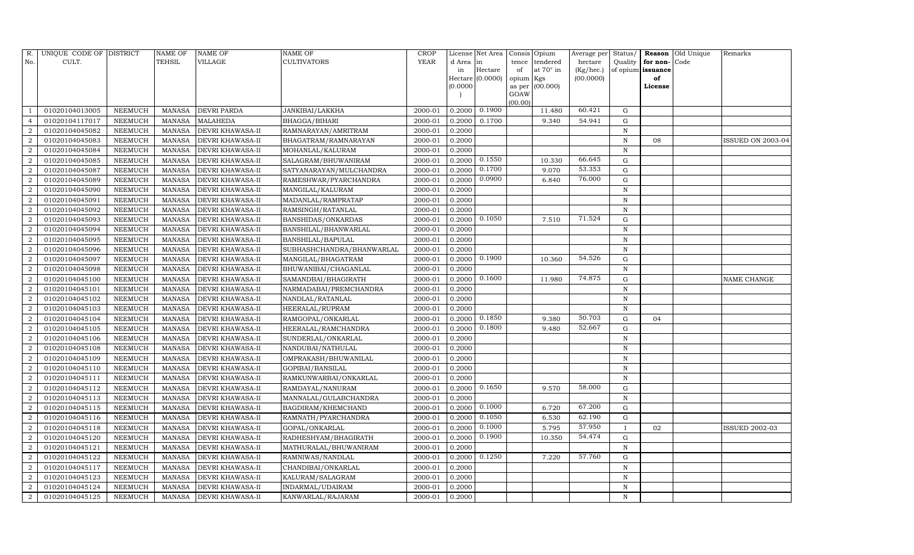| R.               | UNIQUE CODE OF DISTRICT |                | NAME OF | <b>NAME OF</b>          | <b>NAME OF</b>            | CROP        |           | License Net Area |           | Consis Opium     | Average per | Status/      |                   | Reason Old Unique | Remarks                  |
|------------------|-------------------------|----------------|---------|-------------------------|---------------------------|-------------|-----------|------------------|-----------|------------------|-------------|--------------|-------------------|-------------------|--------------------------|
| No.              | CULT.                   |                | TEHSIL  | VILLAGE                 | <b>CULTIVATORS</b>        | <b>YEAR</b> | d Area in |                  | tence     | tendered         | hectare     | Quality      | for non-          | Code              |                          |
|                  |                         |                |         |                         |                           |             | in        | Hectare          | of        | at $70^\circ$ in | (Kg/hec.)   |              | of opium issuance |                   |                          |
|                  |                         |                |         |                         |                           |             | (0.0000)  | Hectare (0.0000) | opium Kgs |                  | (00.0000)   |              | of                |                   |                          |
|                  |                         |                |         |                         |                           |             |           |                  | GOAW      | as per (00.000)  |             |              | License           |                   |                          |
|                  |                         |                |         |                         |                           |             |           |                  | (00.00)   |                  |             |              |                   |                   |                          |
|                  | 01020104013005          | NEEMUCH        | MANASA  | <b>DEVRI PARDA</b>      | JANKIBAI/LAKKHA           | 2000-01     | 0.2000    | 0.1900           |           | 11.480           | 60.421      | G            |                   |                   |                          |
| $\overline{4}$   | 01020104117017          | NEEMUCH        | MANASA  | <b>MALAHEDA</b>         | <b>BHAGGA/BIHARI</b>      | 2000-01     | 0.2000    | 0.1700           |           | 9.340            | 54.941      | G            |                   |                   |                          |
| $\overline{2}$   | 01020104045082          | <b>NEEMUCH</b> | MANASA  | <b>DEVRI KHAWASA-II</b> | RAMNARAYAN/AMRITRAM       | 2000-01     | 0.2000    |                  |           |                  |             | N            |                   |                   |                          |
| $\overline{2}$   | 01020104045083          | NEEMUCH        | MANASA  | <b>DEVRI KHAWASA-II</b> | BHAGATRAM/RAMNARAYAN      | 2000-01     | 0.2000    |                  |           |                  |             | N            | 08                |                   | <b>ISSUED ON 2003-04</b> |
| $\overline{2}$   | 01020104045084          | NEEMUCH        | MANASA  | <b>DEVRI KHAWASA-II</b> | MOHANLAL/KALURAM          | 2000-01     | 0.2000    |                  |           |                  |             | N            |                   |                   |                          |
| $\overline{2}$   | 01020104045085          | NEEMUCH        | MANASA  | DEVRI KHAWASA-II        | SALAGRAM/BHUWANIRAM       | 2000-01     | 0.2000    | 0.1550           |           | 10.330           | 66.645      | G            |                   |                   |                          |
| $\overline{2}$   | 01020104045087          | NEEMUCH        | MANASA  | <b>DEVRI KHAWASA-II</b> | SATYANARAYAN/MULCHANDRA   | 2000-01     | 0.2000    | 0.1700           |           | 9.070            | 53.353      | G            |                   |                   |                          |
| $\overline{2}$   | 01020104045089          | NEEMUCH        | MANASA  | <b>DEVRI KHAWASA-II</b> | RAMESHWAR/PYARCHANDRA     | 2000-01     | 0.2000    | 0.0900           |           | 6.840            | 76.000      | G            |                   |                   |                          |
| $\overline{2}$   | 01020104045090          | NEEMUCH        | MANASA  | <b>DEVRI KHAWASA-II</b> | MANGILAL/KALURAM          | 2000-01     | 0.2000    |                  |           |                  |             | N            |                   |                   |                          |
| $\overline{2}$   | 01020104045091          | NEEMUCH        | MANASA  | <b>DEVRI KHAWASA-II</b> | MADANLAL/RAMPRATAP        | 2000-01     | 0.2000    |                  |           |                  |             | N            |                   |                   |                          |
| 2                | 01020104045092          | NEEMUCH        | MANASA  | <b>DEVRI KHAWASA-II</b> | RAMSINGH/RATANLAL         | 2000-01     | 0.2000    |                  |           |                  |             | N            |                   |                   |                          |
| $\overline{2}$   | 01020104045093          | NEEMUCH        | MANASA  | <b>DEVRI KHAWASA-II</b> | BANSHIDAS/ONKARDAS        | 2000-01     | 0.2000    | 0.1050           |           | 7.510            | 71.524      | ${\rm G}$    |                   |                   |                          |
| $\overline{2}$   | 01020104045094          | NEEMUCH        | MANASA  | <b>DEVRI KHAWASA-II</b> | BANSHILAL/BHANWARLAL      | 2000-01     | 0.2000    |                  |           |                  |             | N            |                   |                   |                          |
| $\overline{2}$   | 01020104045095          | <b>NEEMUCH</b> | MANASA  | <b>DEVRI KHAWASA-II</b> | <b>BANSHILAL/BAPULAL</b>  | 2000-01     | 0.2000    |                  |           |                  |             | N            |                   |                   |                          |
| $\overline{2}$   | 01020104045096          | NEEMUCH        | MANASA  | <b>DEVRI KHAWASA-II</b> | SUBHASHCHANDRA/BHANWARLAL | 2000-01     | 0.2000    |                  |           |                  |             | N            |                   |                   |                          |
| 2                | 01020104045097          | <b>NEEMUCH</b> | MANASA  | <b>DEVRI KHAWASA-II</b> | MANGILAL/BHAGATRAM        | 2000-01     | 0.2000    | 0.1900           |           | 10.360           | 54.526      | G            |                   |                   |                          |
| $\overline{2}$   | 01020104045098          | NEEMUCH        | MANASA  | <b>DEVRI KHAWASA-II</b> | BHUWANIBAI/CHAGANLAL      | 2000-01     | 0.2000    |                  |           |                  |             | N            |                   |                   |                          |
| $\overline{2}$   | 01020104045100          | NEEMUCH        | MANASA  | <b>DEVRI KHAWASA-II</b> | SAMANDBAI/BHAGIRATH       | 2000-01     | 0.2000    | 0.1600           |           | 11.980           | 74.875      | G            |                   |                   | NAME CHANGE              |
| $\overline{2}$   | 01020104045101          | NEEMUCH        | MANASA  | <b>DEVRI KHAWASA-II</b> | NARMADABAI/PREMCHANDRA    | 2000-01     | 0.2000    |                  |           |                  |             | N            |                   |                   |                          |
| $\overline{2}$   | 01020104045102          | NEEMUCH        | MANASA  | <b>DEVRI KHAWASA-II</b> | NANDLAL/RATANLAL          | 2000-01     | 0.2000    |                  |           |                  |             | N            |                   |                   |                          |
| $\overline{2}$   | 01020104045103          | NEEMUCH        | MANASA  | <b>DEVRI KHAWASA-II</b> | HEERALAL/RUPRAM           | 2000-01     | 0.2000    |                  |           |                  |             | $\,$ N       |                   |                   |                          |
| $\overline{2}$   | 01020104045104          | NEEMUCH        | MANASA  | <b>DEVRI KHAWASA-II</b> | RAMGOPAL/ONKARLAL         | 2000-01     | 0.2000    | 0.1850           |           | 9.380            | 50.703      | G            | 04                |                   |                          |
| $\boldsymbol{2}$ | 01020104045105          | NEEMUCH        | MANASA  | <b>DEVRI KHAWASA-II</b> | HEERALAL/RAMCHANDRA       | 2000-01     | 0.2000    | 0.1800           |           | 9.480            | 52.667      | ${\rm G}$    |                   |                   |                          |
| $\overline{2}$   | 01020104045106          | <b>NEEMUCH</b> | MANASA  | <b>DEVRI KHAWASA-II</b> | SUNDERLAL/ONKARLAL        | 2000-01     | 0.2000    |                  |           |                  |             | N            |                   |                   |                          |
| $\overline{2}$   | 01020104045108          | NEEMUCH        | MANASA  | <b>DEVRI KHAWASA-II</b> | NANDUBAI/NATHULAL         | 2000-01     | 0.2000    |                  |           |                  |             | N            |                   |                   |                          |
| $\overline{2}$   | 01020104045109          | NEEMUCH        | MANASA  | <b>DEVRI KHAWASA-II</b> | OMPRAKASH/BHUWANILAL      | 2000-01     | 0.2000    |                  |           |                  |             | N            |                   |                   |                          |
| $\boldsymbol{2}$ | 01020104045110          | NEEMUCH        | MANASA  | <b>DEVRI KHAWASA-II</b> | GOPIBAI/BANSILAL          | 2000-01     | 0.2000    |                  |           |                  |             | N            |                   |                   |                          |
| $\overline{2}$   | 01020104045111          | NEEMUCH        | MANASA  | <b>DEVRI KHAWASA-II</b> | RAMKUNWARBAI/ONKARLAL     | 2000-01     | 0.2000    |                  |           |                  |             | N            |                   |                   |                          |
| $\overline{2}$   | 01020104045112          | NEEMUCH        | MANASA  | <b>DEVRI KHAWASA-II</b> | RAMDAYAL/NANURAM          | 2000-01     | 0.2000    | 0.1650           |           | 9.570            | 58.000      | G            |                   |                   |                          |
| $\overline{a}$   | 01020104045113          | NEEMUCH        | MANASA  | <b>DEVRI KHAWASA-II</b> | MANNALAL/GULABCHANDRA     | 2000-01     | 0.2000    |                  |           |                  |             | $\,$ N       |                   |                   |                          |
| $\overline{2}$   | 01020104045115          | NEEMUCH        | MANASA  | <b>DEVRI KHAWASA-II</b> | BAGDIRAM/KHEMCHAND        | 2000-01     | 0.2000    | 0.1000           |           | 6.720            | 67.200      | G            |                   |                   |                          |
| $\sqrt{2}$       | 01020104045116          | NEEMUCH        | MANASA  | <b>DEVRI KHAWASA-II</b> | RAMNATH/PYARCHANDRA       | 2000-01     | 0.2000    | 0.1050           |           | 6.530            | 62.190      | G            |                   |                   |                          |
| $\overline{2}$   | 01020104045118          | <b>NEEMUCH</b> | MANASA  | <b>DEVRI KHAWASA-II</b> | GOPAL/ONKARLAL            | 2000-01     | 0.2000    | 0.1000           |           | 5.795            | 57.950      | $\mathbf{I}$ | 02                |                   | <b>ISSUED 2002-03</b>    |
| $\overline{2}$   | 01020104045120          | NEEMUCH        | MANASA  | <b>DEVRI KHAWASA-II</b> | RADHESHYAM/BHAGIRATH      | 2000-01     | 0.2000    | 0.1900           |           | 10.350           | 54.474      | G            |                   |                   |                          |
| $\overline{2}$   | 01020104045121          | <b>NEEMUCH</b> | MANASA  | <b>DEVRI KHAWASA-II</b> | MATHURALAL/BHUWANIRAM     | 2000-01     | 0.2000    |                  |           |                  |             | ${\bf N}$    |                   |                   |                          |
| $\overline{2}$   | 01020104045122          | <b>NEEMUCH</b> | MANASA  | <b>DEVRI KHAWASA-II</b> | RAMNIWAS/NANDLAL          | 2000-01     | 0.2000    | 0.1250           |           | 7.220            | 57.760      | ${\rm G}$    |                   |                   |                          |
| $\overline{a}$   | 01020104045117          | NEEMUCH        | MANASA  | <b>DEVRI KHAWASA-II</b> | CHANDIBAI/ONKARLAL        | 2000-01     | 0.2000    |                  |           |                  |             | $\,$ N       |                   |                   |                          |
| $\overline{2}$   | 01020104045123          | NEEMUCH        | MANASA  | DEVRI KHAWASA-II        | KALURAM/SALAGRAM          | 2000-01     | 0.2000    |                  |           |                  |             | $\,$ N       |                   |                   |                          |
| $\overline{2}$   | 01020104045124          | NEEMUCH        | MANASA  | <b>DEVRI KHAWASA-II</b> | INDARMAL/UDAIRAM          | 2000-01     | 0.2000    |                  |           |                  |             | N            |                   |                   |                          |
| $\overline{2}$   | 01020104045125          | NEEMUCH        |         | MANASA DEVRI KHAWASA-II | KANWARLAL/RAJARAM         | 2000-01     | 0.2000    |                  |           |                  |             | N            |                   |                   |                          |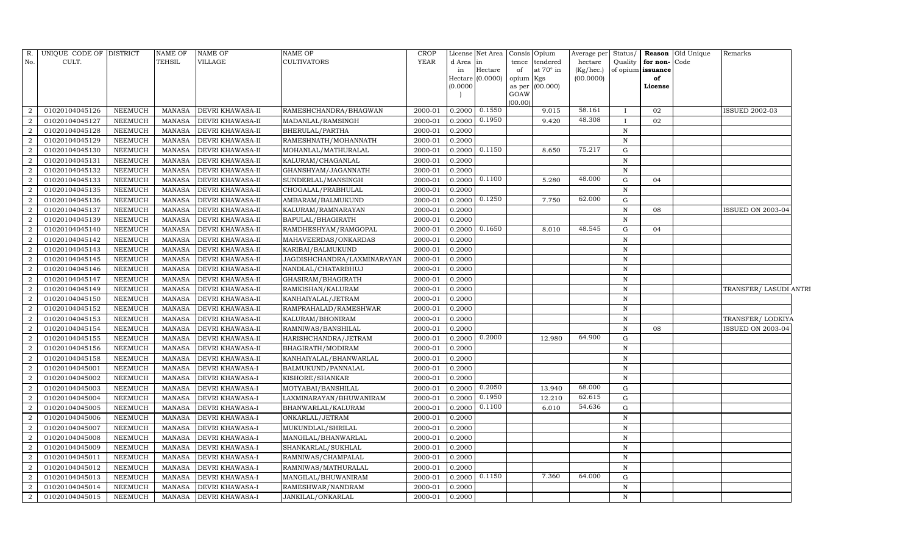| R.             | UNIQUE CODE OF DISTRICT |                | <b>NAME OF</b> | <b>NAME OF</b>          | <b>NAME OF</b>              | <b>CROP</b> |           | License Net Area | Consis         | Opium            | Average per | Status/      |                   | Reason Old Unique | Remarks                  |  |
|----------------|-------------------------|----------------|----------------|-------------------------|-----------------------------|-------------|-----------|------------------|----------------|------------------|-------------|--------------|-------------------|-------------------|--------------------------|--|
| No.            | CULT.                   |                | TEHSIL         | VILLAGE                 | <b>CULTIVATORS</b>          | <b>YEAR</b> | d Area in |                  | tence          | tendered         | hectare     | Quality      | for non-Code      |                   |                          |  |
|                |                         |                |                |                         |                             |             | in        | Hectare          | of             | at $70^\circ$ in | (Kg/hec.)   |              | of opium issuance |                   |                          |  |
|                |                         |                |                |                         |                             |             |           | Hectare (0.0000) | opium          | Kgs              | (00.0000)   |              | of                |                   |                          |  |
|                |                         |                |                |                         |                             |             | (0.0000)  |                  | as per<br>GOAW | (00.000)         |             |              | License           |                   |                          |  |
|                |                         |                |                |                         |                             |             |           |                  | (00.00)        |                  |             |              |                   |                   |                          |  |
| $\overline{2}$ | 01020104045126          | <b>NEEMUCH</b> | MANASA         | <b>DEVRI KHAWASA-II</b> | RAMESHCHANDRA/BHAGWAN       | 2000-01     | 0.2000    | 0.1550           |                | 9.015            | 58.161      | $\mathbf{I}$ | 02                |                   | <b>ISSUED 2002-03</b>    |  |
| $\overline{2}$ | 01020104045127          | <b>NEEMUCH</b> | <b>MANASA</b>  | <b>DEVRI KHAWASA-II</b> | MADANLAL/RAMSINGH           | 2000-01     | 0.2000    | 0.1950           |                | 9.420            | 48.308      | $\mathbf{I}$ | 02                |                   |                          |  |
| $\overline{2}$ | 01020104045128          | <b>NEEMUCH</b> | <b>MANASA</b>  | <b>DEVRI KHAWASA-II</b> | BHERULAL/PARTHA             | 2000-01     | 0.2000    |                  |                |                  |             | $\,$ N       |                   |                   |                          |  |
| $\overline{2}$ | 01020104045129          | NEEMUCH        | <b>MANASA</b>  | DEVRI KHAWASA-II        | RAMESHNATH/MOHANNATH        | 2000-01     | 0.2000    |                  |                |                  |             | $\mathbf N$  |                   |                   |                          |  |
| $\overline{2}$ | 01020104045130          | <b>NEEMUCH</b> | <b>MANASA</b>  | <b>DEVRI KHAWASA-II</b> | MOHANLAL/MATHURALAL         | 2000-01     | 0.2000    | 0.1150           |                | 8.650            | 75.217      | G            |                   |                   |                          |  |
| $\overline{2}$ | 01020104045131          | <b>NEEMUCH</b> | <b>MANASA</b>  | <b>DEVRI KHAWASA-II</b> | KALURAM/CHAGANLAL           | 2000-01     | 0.2000    |                  |                |                  |             | ${\bf N}$    |                   |                   |                          |  |
| $\overline{2}$ | 01020104045132          | <b>NEEMUCH</b> | <b>MANASA</b>  | <b>DEVRI KHAWASA-II</b> | GHANSHYAM/JAGANNATH         | 2000-01     | 0.2000    |                  |                |                  |             | $\mathbf N$  |                   |                   |                          |  |
| $\overline{2}$ | 01020104045133          | <b>NEEMUCH</b> | <b>MANASA</b>  | <b>DEVRI KHAWASA-II</b> | SUNDERLAL/MANSINGH          | 2000-01     | 0.2000    | 0.1100           |                | 5.280            | 48.000      | G            | 04                |                   |                          |  |
| 2              | 01020104045135          | <b>NEEMUCH</b> | <b>MANASA</b>  | <b>DEVRI KHAWASA-II</b> | CHOGALAL/PRABHULAL          | 2000-01     | 0.2000    |                  |                |                  |             | $\mathbf N$  |                   |                   |                          |  |
| $\overline{2}$ | 01020104045136          | NEEMUCH        | <b>MANASA</b>  | <b>DEVRI KHAWASA-II</b> | AMBARAM/BALMUKUND           | 2000-01     | 0.2000    | 0.1250           |                | 7.750            | 62.000      | $\mathbf G$  |                   |                   |                          |  |
| $\overline{2}$ | 01020104045137          | <b>NEEMUCH</b> | <b>MANASA</b>  | <b>DEVRI KHAWASA-II</b> | KALURAM/RAMNARAYAN          | 2000-01     | 0.2000    |                  |                |                  |             | $\mathbf N$  | 08                |                   | ISSUED ON 2003-04        |  |
| $\overline{2}$ | 01020104045139          | <b>NEEMUCH</b> | <b>MANASA</b>  | <b>DEVRI KHAWASA-II</b> | BAPULAL/BHAGIRATH           | 2000-01     | 0.2000    |                  |                |                  |             | $\mathbf N$  |                   |                   |                          |  |
| $\overline{a}$ | 01020104045140          | <b>NEEMUCH</b> | <b>MANASA</b>  | <b>DEVRI KHAWASA-II</b> | RAMDHESHYAM/RAMGOPAL        | 2000-01     | 0.2000    | 0.1650           |                | 8.010            | 48.545      | $\mathbf G$  | 04                |                   |                          |  |
| $\overline{2}$ | 01020104045142          | <b>NEEMUCH</b> | <b>MANASA</b>  | <b>DEVRI KHAWASA-II</b> | MAHAVEERDAS/ONKARDAS        | 2000-01     | 0.2000    |                  |                |                  |             | ${\bf N}$    |                   |                   |                          |  |
| $\overline{2}$ | 01020104045143          | <b>NEEMUCH</b> | <b>MANASA</b>  | <b>DEVRI KHAWASA-II</b> | KARIBAI/BALMUKUND           | 2000-01     | 0.2000    |                  |                |                  |             | $\mathbf N$  |                   |                   |                          |  |
| $\overline{2}$ | 01020104045145          | <b>NEEMUCH</b> | <b>MANASA</b>  | <b>DEVRI KHAWASA-II</b> | JAGDISHCHANDRA/LAXMINARAYAN | 2000-01     | 0.2000    |                  |                |                  |             | $\mathbf N$  |                   |                   |                          |  |
| $\overline{2}$ | 01020104045146          | <b>NEEMUCH</b> | <b>MANASA</b>  | <b>DEVRI KHAWASA-II</b> | NANDLAL/CHATARBHUJ          | 2000-01     | 0.2000    |                  |                |                  |             | $\mathbf N$  |                   |                   |                          |  |
| $\overline{2}$ | 01020104045147          | <b>NEEMUCH</b> | <b>MANASA</b>  | <b>DEVRI KHAWASA-II</b> | GHASIRAM/BHAGIRATH          | 2000-01     | 0.2000    |                  |                |                  |             | $\mathbf N$  |                   |                   |                          |  |
| $\overline{2}$ | 01020104045149          | NEEMUCH        | <b>MANASA</b>  | <b>DEVRI KHAWASA-II</b> | RAMKISHAN/KALURAM           | 2000-01     | 0.2000    |                  |                |                  |             | $\mathbf N$  |                   |                   | TRANSFER/ LASUDI ANTRI   |  |
| 2              | 01020104045150          | NEEMUCH        | <b>MANASA</b>  | <b>DEVRI KHAWASA-II</b> | KANHAIYALAL/JETRAM          | 2000-01     | 0.2000    |                  |                |                  |             | $\mathbf N$  |                   |                   |                          |  |
| $\overline{2}$ | 01020104045152          | <b>NEEMUCH</b> | <b>MANASA</b>  | <b>DEVRI KHAWASA-II</b> | RAMPRAHALAD/RAMESHWAR       | 2000-01     | 0.2000    |                  |                |                  |             | N            |                   |                   |                          |  |
| $\overline{2}$ | 01020104045153          | <b>NEEMUCH</b> | <b>MANASA</b>  | <b>DEVRI KHAWASA-II</b> | KALURAM/BHONIRAM            | 2000-01     | 0.2000    |                  |                |                  |             | N            |                   |                   | TRANSFER/LODKIYA         |  |
| $\overline{2}$ | 01020104045154          | NEEMUCH        | <b>MANASA</b>  | <b>DEVRI KHAWASA-II</b> | RAMNIWAS/BANSHILAL          | 2000-01     | 0.2000    |                  |                |                  |             | $\mathbf N$  | 08                |                   | <b>ISSUED ON 2003-04</b> |  |
| $\overline{2}$ | 01020104045155          | NEEMUCH        | <b>MANASA</b>  | <b>DEVRI KHAWASA-II</b> | HARISHCHANDRA/JETRAM        | 2000-01     | 0.2000    | 0.2000           |                | 12.980           | 64.900      | G            |                   |                   |                          |  |
| $\mathcal{D}$  | 01020104045156          | <b>NEEMUCH</b> | <b>MANASA</b>  | <b>DEVRI KHAWASA-II</b> | BHAGIRATH/MODIRAM           | 2000-01     | 0.2000    |                  |                |                  |             | $\,$ N       |                   |                   |                          |  |
| $\overline{2}$ | 01020104045158          | NEEMUCH        | <b>MANASA</b>  | <b>DEVRI KHAWASA-II</b> | KANHAIYALAL/BHANWARLAL      | 2000-01     | 0.2000    |                  |                |                  |             | N            |                   |                   |                          |  |
| $\overline{2}$ | 01020104045001          | NEEMUCH        | <b>MANASA</b>  | <b>DEVRI KHAWASA-I</b>  | BALMUKUND/PANNALAL          | 2000-01     | 0.2000    |                  |                |                  |             | $\mathbb N$  |                   |                   |                          |  |
| $\overline{2}$ | 01020104045002          | <b>NEEMUCH</b> | <b>MANASA</b>  | <b>DEVRI KHAWASA-I</b>  | KISHORE/SHANKAR             | 2000-01     | 0.2000    |                  |                |                  |             | N            |                   |                   |                          |  |
| $\overline{2}$ | 01020104045003          | <b>NEEMUCH</b> | <b>MANASA</b>  | <b>DEVRI KHAWASA-I</b>  | MOTYABAI/BANSHILAL          | 2000-01     | 0.2000    | 0.2050           |                | 13.940           | 68.000      | G            |                   |                   |                          |  |
| $\overline{2}$ | 01020104045004          | <b>NEEMUCH</b> | <b>MANASA</b>  | <b>DEVRI KHAWASA-I</b>  | LAXMINARAYAN/BHUWANIRAM     | 2000-01     | 0.2000    | 0.1950           |                | 12.210           | 62.615      | G            |                   |                   |                          |  |
| $\overline{2}$ | 01020104045005          | NEEMUCH        | <b>MANASA</b>  | DEVRI KHAWASA-I         | BHANWARLAL/KALURAM          | 2000-01     | 0.2000    | 0.1100           |                | 6.010            | 54.636      | G            |                   |                   |                          |  |
| $\overline{2}$ | 01020104045006          | <b>NEEMUCH</b> | <b>MANASA</b>  | <b>DEVRI KHAWASA-I</b>  | ONKARLAL/JETRAM             | 2000-01     | 0.2000    |                  |                |                  |             | $\mathbf N$  |                   |                   |                          |  |
| $\overline{2}$ | 01020104045007          | NEEMUCH        | <b>MANASA</b>  | DEVRI KHAWASA-I         | MUKUNDLAL/SHRILAL           | 2000-01     | 0.2000    |                  |                |                  |             | ${\bf N}$    |                   |                   |                          |  |
| $\overline{2}$ | 01020104045008          | NEEMUCH        | <b>MANASA</b>  | DEVRI KHAWASA-I         | MANGILAL/BHANWARLAL         | 2000-01     | 0.2000    |                  |                |                  |             | $\mathbf N$  |                   |                   |                          |  |
| $\overline{2}$ | 01020104045009          | <b>NEEMUCH</b> | <b>MANASA</b>  | <b>DEVRI KHAWASA-I</b>  | SHANKARLAL/SUKHLAL          | 2000-01     | 0.2000    |                  |                |                  |             | ${\bf N}$    |                   |                   |                          |  |
| $\overline{2}$ | 01020104045011          | <b>NEEMUCH</b> | <b>MANASA</b>  | DEVRI KHAWASA-I         | RAMNIWAS/CHAMPALAL          | 2000-01     | 0.2000    |                  |                |                  |             | $\mathbf N$  |                   |                   |                          |  |
| $\overline{2}$ | 01020104045012          | <b>NEEMUCH</b> | <b>MANASA</b>  | <b>DEVRI KHAWASA-I</b>  | RAMNIWAS/MATHURALAL         | 2000-01     | 0.2000    |                  |                |                  |             | ${\bf N}$    |                   |                   |                          |  |
| $\overline{2}$ | 01020104045013          | <b>NEEMUCH</b> | <b>MANASA</b>  | <b>DEVRI KHAWASA-I</b>  | MANGILAL/BHUWANIRAM         | 2000-01     | 0.2000    | 0.1150           |                | 7.360            | 64.000      | $\mathbf G$  |                   |                   |                          |  |
| $\overline{a}$ | 01020104045014          | <b>NEEMUCH</b> | MANASA         | <b>DEVRI KHAWASA-I</b>  | RAMESHWAR/NANDRAM           | 2000-01     | 0.2000    |                  |                |                  |             | $\, {\bf N}$ |                   |                   |                          |  |
| $\,2$          | 01020104045015          | <b>NEEMUCH</b> | <b>MANASA</b>  | <b>DEVRI KHAWASA-I</b>  | JANKILAL/ONKARLAL           | 2000-01     | 0.2000    |                  |                |                  |             | $\mathbf N$  |                   |                   |                          |  |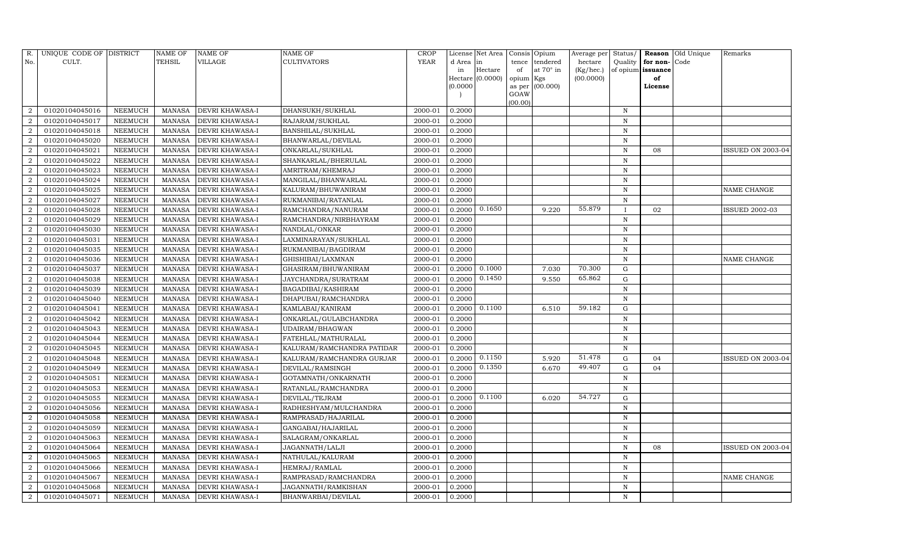| R.             | UNIQUE CODE OF DISTRICT |                | <b>NAME OF</b> | NAME OF         | NAME OF                    | <b>CROP</b> |           | License Net Area |           | Consis Opium    | Average per | Status/      | Reason            | Old Unique | Remarks                  |
|----------------|-------------------------|----------------|----------------|-----------------|----------------------------|-------------|-----------|------------------|-----------|-----------------|-------------|--------------|-------------------|------------|--------------------------|
| No.            | CULT.                   |                | TEHSIL         | VILLAGE         | <b>CULTIVATORS</b>         | <b>YEAR</b> | d Area in |                  | tence     | tendered        | hectare     | Quality      | for non-          | Code       |                          |
|                |                         |                |                |                 |                            |             | in        | Hectare          | of        | at 70° in       | (Kg/hec.)   |              | of opium issuance |            |                          |
|                |                         |                |                |                 |                            |             | (0.0000)  | Hectare (0.0000) | opium Kgs | as per (00.000) | (00.0000)   |              | of                |            |                          |
|                |                         |                |                |                 |                            |             |           |                  | GOAW      |                 |             |              | License           |            |                          |
|                |                         |                |                |                 |                            |             |           |                  | (00.00)   |                 |             |              |                   |            |                          |
| $\overline{2}$ | 01020104045016          | NEEMUCH        | MANASA         | DEVRI KHAWASA-I | DHANSUKH/SUKHLAL           | 2000-01     | 0.2000    |                  |           |                 |             | N            |                   |            |                          |
| $\overline{2}$ | 01020104045017          | NEEMUCH        | <b>MANASA</b>  | DEVRI KHAWASA-I | RAJARAM/SUKHLAL            | 2000-01     | 0.2000    |                  |           |                 |             | $\mathbb N$  |                   |            |                          |
| $\overline{2}$ | 01020104045018          | NEEMUCH        | MANASA         | DEVRI KHAWASA-I | <b>BANSHILAL/SUKHLAL</b>   | 2000-01     | 0.2000    |                  |           |                 |             | N            |                   |            |                          |
| $\mathcal{D}$  | 01020104045020          | NEEMUCH        | <b>MANASA</b>  | DEVRI KHAWASA-I | BHANWARLAL/DEVILAL         | 2000-01     | 0.2000    |                  |           |                 |             | N            |                   |            |                          |
| 2              | 01020104045021          | NEEMUCH        | <b>MANASA</b>  | DEVRI KHAWASA-I | ONKARLAL/SUKHLAL           | 2000-01     | 0.2000    |                  |           |                 |             | $\mathbf N$  | 08                |            | ISSUED ON 2003-04        |
|                | 01020104045022          | NEEMUCH        | <b>MANASA</b>  | DEVRI KHAWASA-I | SHANKARLAL/BHERULAL        | 2000-01     | 0.2000    |                  |           |                 |             | $\, {\bf N}$ |                   |            |                          |
| $\mathcal{D}$  | 01020104045023          | NEEMUCH        | <b>MANASA</b>  | DEVRI KHAWASA-I | AMRITRAM/KHEMRAJ           | 2000-01     | 0.2000    |                  |           |                 |             | N            |                   |            |                          |
| 2              | 01020104045024          | NEEMUCH        | <b>MANASA</b>  | DEVRI KHAWASA-I | MANGILAL/BHANWARLAL        | 2000-01     | 0.2000    |                  |           |                 |             | $\mathbf N$  |                   |            |                          |
| 2              | 01020104045025          | NEEMUCH        | <b>MANASA</b>  | DEVRI KHAWASA-I | KALURAM/BHUWANIRAM         | 2000-01     | 0.2000    |                  |           |                 |             | N            |                   |            | NAME CHANGE              |
|                | 01020104045027          | NEEMUCH        | <b>MANASA</b>  | DEVRI KHAWASA-I | RUKMANIBAI/RATANLAL        | 2000-01     | 0.2000    |                  |           |                 |             | $\mathbf N$  |                   |            |                          |
| 2              | 01020104045028          | NEEMUCH        | <b>MANASA</b>  | DEVRI KHAWASA-I | RAMCHANDRA/NANURAM         | 2000-01     | 0.2000    | 0.1650           |           | 9.220           | 55.879      | $\mathbf{I}$ | 02                |            | <b>ISSUED 2002-03</b>    |
| $\overline{2}$ | 01020104045029          | NEEMUCH        | <b>MANASA</b>  | DEVRI KHAWASA-I | RAMCHANDRA/NIRBHAYRAM      | 2000-01     | 0.2000    |                  |           |                 |             | $\mathbf N$  |                   |            |                          |
| $\overline{2}$ | 01020104045030          | <b>NEEMUCH</b> | <b>MANASA</b>  | DEVRI KHAWASA-I | NANDLAL/ONKAR              | 2000-01     | 0.2000    |                  |           |                 |             | N            |                   |            |                          |
| $\overline{2}$ | 01020104045031          | NEEMUCH        | <b>MANASA</b>  | DEVRI KHAWASA-I | LAXMINARAYAN/SUKHLAL       | 2000-01     | 0.2000    |                  |           |                 |             | N            |                   |            |                          |
| $\overline{2}$ | 01020104045035          | NEEMUCH        | MANASA         | DEVRI KHAWASA-I | RUKMANIBAI/BAGDIRAM        | 2000-01     | 0.2000    |                  |           |                 |             | N            |                   |            |                          |
| 2              | 01020104045036          | NEEMUCH        | MANASA         | DEVRI KHAWASA-I | GHISHIBAI/LAXMNAN          | 2000-01     | 0.2000    |                  |           |                 |             | $\mathbf N$  |                   |            | NAME CHANGE              |
| $\overline{2}$ | 01020104045037          | <b>NEEMUCH</b> | <b>MANASA</b>  | DEVRI KHAWASA-I | GHASIRAM/BHUWANIRAM        | 2000-01     | 0.2000    | 0.1000           |           | 7.030           | 70.300      | $\mathbf G$  |                   |            |                          |
|                | 01020104045038          | NEEMUCH        | <b>MANASA</b>  | DEVRI KHAWASA-I | JAYCHANDRA/SURATRAM        | 2000-01     | 0.2000    | 0.1450           |           | 9.550           | 65.862      | ${\rm G}$    |                   |            |                          |
| $\overline{2}$ | 01020104045039          | NEEMUCH        | <b>MANASA</b>  | DEVRI KHAWASA-I | BAGADIBAI/KASHIRAM         | 2000-01     | 0.2000    |                  |           |                 |             | N            |                   |            |                          |
| $\overline{2}$ | 01020104045040          | NEEMUCH        | <b>MANASA</b>  | DEVRI KHAWASA-I | DHAPUBAI/RAMCHANDRA        | 2000-01     | 0.2000    |                  |           |                 |             | N            |                   |            |                          |
| $\overline{2}$ | 01020104045041          | <b>NEEMUCH</b> | <b>MANASA</b>  | DEVRI KHAWASA-I | KAMLABAI/KANIRAM           | 2000-01     | 0.2000    | 0.1100           |           | 6.510           | 59.182      | ${\rm G}$    |                   |            |                          |
| $\overline{2}$ | 01020104045042          | NEEMUCH        | <b>MANASA</b>  | DEVRI KHAWASA-I | ONKARLAL/GULABCHANDRA      | 2000-01     | 0.2000    |                  |           |                 |             | N            |                   |            |                          |
| $\overline{2}$ | 01020104045043          | NEEMUCH        | MANASA         | DEVRI KHAWASA-I | <b>UDAIRAM/BHAGWAN</b>     | 2000-01     | 0.2000    |                  |           |                 |             | N            |                   |            |                          |
| 2              | 01020104045044          | NEEMUCH        | <b>MANASA</b>  | DEVRI KHAWASA-I | FATEHLAL/MATHURALAL        | 2000-01     | 0.2000    |                  |           |                 |             | $\mathbf N$  |                   |            |                          |
|                | 01020104045045          | <b>NEEMUCH</b> | <b>MANASA</b>  | DEVRI KHAWASA-I | KALURAM/RAMCHANDRA PATIDAR | 2000-01     | 0.2000    |                  |           |                 |             | $\mathbf N$  |                   |            |                          |
| $\overline{2}$ | 01020104045048          | NEEMUCH        | <b>MANASA</b>  | DEVRI KHAWASA-I | KALURAM/RAMCHANDRA GURJAR  | 2000-01     | 0.2000    | 0.1150           |           | 5.920           | 51.478      | G            | 04                |            | <b>ISSUED ON 2003-04</b> |
| $\overline{2}$ | 01020104045049          | NEEMUCH        | <b>MANASA</b>  | DEVRI KHAWASA-I | DEVILAL/RAMSINGH           | 2000-01     | 0.2000    | 0.1350           |           | 6.670           | 49.407      | ${\rm G}$    | 04                |            |                          |
| 2              | 01020104045051          | NEEMUCH        | <b>MANASA</b>  | DEVRI KHAWASA-I | GOTAMNATH/ONKARNATH        | 2000-01     | 0.2000    |                  |           |                 |             | N            |                   |            |                          |
|                | 01020104045053          | NEEMUCH        | <b>MANASA</b>  | DEVRI KHAWASA-I | RATANLAL/RAMCHANDRA        | 2000-01     | 0.2000    |                  |           |                 |             | $\mathbf N$  |                   |            |                          |
| $\overline{2}$ | 01020104045055          | NEEMUCH        | <b>MANASA</b>  | DEVRI KHAWASA-I | DEVILAL/TEJRAM             | 2000-01     | 0.2000    | 0.1100           |           | 6.020           | 54.727      | ${\rm G}$    |                   |            |                          |
| $\overline{2}$ | 01020104045056          | NEEMUCH        | <b>MANASA</b>  | DEVRI KHAWASA-I | RADHESHYAM/MULCHANDRA      | 2000-01     | 0.2000    |                  |           |                 |             | $\mathbf N$  |                   |            |                          |
| 2              | 01020104045058          | NEEMUCH        | <b>MANASA</b>  | DEVRI KHAWASA-I | RAMPRASAD/HAJARILAL        | 2000-01     | 0.2000    |                  |           |                 |             | N            |                   |            |                          |
|                | 01020104045059          | NEEMUCH        | <b>MANASA</b>  | DEVRI KHAWASA-I | GANGABAI/HAJARILAL         | 2000-01     | 0.2000    |                  |           |                 |             | $\mathbf N$  |                   |            |                          |
| $\overline{2}$ | 01020104045063          | NEEMUCH        | <b>MANASA</b>  | DEVRI KHAWASA-I | SALAGRAM/ONKARLAL          | 2000-01     | 0.2000    |                  |           |                 |             | N            |                   |            |                          |
| 2              | 01020104045064          | NEEMUCH        | <b>MANASA</b>  | DEVRI KHAWASA-I | JAGANNATH/LALJI            | 2000-01     | 0.2000    |                  |           |                 |             | $\mathbf N$  | 08                |            | <b>ISSUED ON 2003-04</b> |
| $\mathcal{D}$  | 01020104045065          | <b>NEEMUCH</b> | <b>MANASA</b>  | DEVRI KHAWASA-I | NATHULAL/KALURAM           | 2000-01     | 0.2000    |                  |           |                 |             | N            |                   |            |                          |
| $\overline{2}$ | 01020104045066          | NEEMUCH        | MANASA         | DEVRI KHAWASA-I | HEMRAJ/RAMLAL              | 2000-01     | 0.2000    |                  |           |                 |             | N            |                   |            |                          |
| $\overline{2}$ | 01020104045067          | NEEMUCH        | <b>MANASA</b>  | DEVRI KHAWASA-I | RAMPRASAD/RAMCHANDRA       | 2000-01     | 0.2000    |                  |           |                 |             | $\mathbf N$  |                   |            | <b>NAME CHANGE</b>       |
| 2              | 01020104045068          | NEEMUCH        | <b>MANASA</b>  | DEVRI KHAWASA-I | JAGANNATH/RAMKISHAN        | 2000-01     | 0.2000    |                  |           |                 |             | $\mathbf N$  |                   |            |                          |
| 2              | 01020104045071          | <b>NEEMUCH</b> | MANASA         | DEVRI KHAWASA-I | BHANWARBAI/DEVILAL         | 2000-01     | 0.2000    |                  |           |                 |             | N            |                   |            |                          |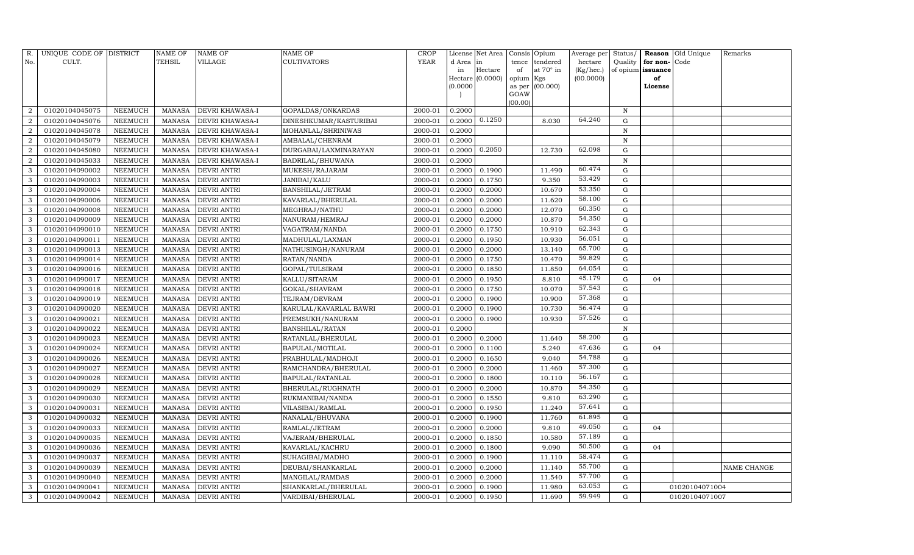| R.             | UNIQUE CODE OF DISTRICT |                | <b>NAME OF</b> | <b>NAME OF</b>         | <b>NAME OF</b>          | CROP        |           | License Net Area |           | Consis Opium     | Average per | Status/      |                   | Reason Old Unique | Remarks     |
|----------------|-------------------------|----------------|----------------|------------------------|-------------------------|-------------|-----------|------------------|-----------|------------------|-------------|--------------|-------------------|-------------------|-------------|
| No.            | CULT.                   |                | TEHSIL         | VILLAGE                | <b>CULTIVATORS</b>      | <b>YEAR</b> | d Area in |                  | tence     | tendered         | hectare     | Quality      | for non-          | Code              |             |
|                |                         |                |                |                        |                         |             | in        | Hectare          | of        | at $70^\circ$ in | (Kg/hec.)   |              | of opium issuance |                   |             |
|                |                         |                |                |                        |                         |             |           | Hectare (0.0000) | opium Kgs |                  | (00.0000)   |              | of                |                   |             |
|                |                         |                |                |                        |                         |             | (0.0000)  |                  | GOAW      | as per (00.000)  |             |              | License           |                   |             |
|                |                         |                |                |                        |                         |             |           |                  | (00.00)   |                  |             |              |                   |                   |             |
| $\overline{2}$ | 01020104045075          | NEEMUCH        | MANASA         | <b>DEVRI KHAWASA-I</b> | GOPALDAS/ONKARDAS       | 2000-01     | 0.2000    |                  |           |                  |             | N            |                   |                   |             |
| $\overline{2}$ | 01020104045076          | NEEMUCH        | MANASA         | <b>DEVRI KHAWASA-I</b> | DINESHKUMAR/KASTURIBAI  | 2000-01     | 0.2000    | 0.1250           |           | 8.030            | 64.240      | G            |                   |                   |             |
| $\overline{2}$ | 01020104045078          | <b>NEEMUCH</b> | MANASA         | <b>DEVRI KHAWASA-I</b> | MOHANLAL/SHRINIWAS      | 2000-01     | 0.2000    |                  |           |                  |             | N            |                   |                   |             |
| $\overline{2}$ | 01020104045079          | NEEMUCH        | MANASA         | <b>DEVRI KHAWASA-I</b> | AMBALAL/CHENRAM         | 2000-01     | 0.2000    |                  |           |                  |             | $\, {\rm N}$ |                   |                   |             |
| 2              | 01020104045080          | NEEMUCH        | MANASA         | <b>DEVRI KHAWASA-I</b> | DURGABAI/LAXMINARAYAN   | 2000-01     | 0.2000    | 0.2050           |           | 12.730           | 62.098      | ${\rm G}$    |                   |                   |             |
| $\overline{2}$ | 01020104045033          | NEEMUCH        | MANASA         | DEVRI KHAWASA-I        | BADRILAL/BHUWANA        | 2000-01     | 0.2000    |                  |           |                  |             | $\mathbf N$  |                   |                   |             |
| 3              | 01020104090002          | NEEMUCH        | MANASA         | <b>DEVRI ANTRI</b>     | MUKESH/RAJARAM          | 2000-01     | 0.2000    | 0.1900           |           | 11.490           | 60.474      | G            |                   |                   |             |
| 3              | 01020104090003          | <b>NEEMUCH</b> | MANASA         | <b>DEVRI ANTRI</b>     | JANIBAI/KALU            | 2000-01     | 0.2000    | 0.1750           |           | 9.350            | 53.429      | G            |                   |                   |             |
| 3              | 01020104090004          | NEEMUCH        | MANASA         | <b>DEVRI ANTRI</b>     | <b>BANSHILAL/JETRAM</b> | 2000-01     | 0.2000    | 0.2000           |           | 10.670           | 53.350      | $\mathbf G$  |                   |                   |             |
| 3              | 01020104090006          | NEEMUCH        | MANASA         | <b>DEVRI ANTRI</b>     | KAVARLAL/BHERULAL       | 2000-01     | 0.2000    | 0.2000           |           | 11.620           | 58.100      | G            |                   |                   |             |
| 3              | 01020104090008          | <b>NEEMUCH</b> | MANASA         | <b>DEVRI ANTRI</b>     | MEGHRAJ/NATHU           | 2000-01     | 0.2000    | 0.2000           |           | 12.070           | 60.350      | G            |                   |                   |             |
| 3              | 01020104090009          | NEEMUCH        | MANASA         | <b>DEVRI ANTRI</b>     | NANURAM/HEMRAJ          | 2000-01     | 0.2000    | 0.2000           |           | 10.870           | 54.350      | G            |                   |                   |             |
| 3              | 01020104090010          | NEEMUCH        | MANASA         | <b>DEVRI ANTRI</b>     | VAGATRAM/NANDA          | 2000-01     | 0.2000    | 0.1750           |           | 10.910           | 62.343      | G            |                   |                   |             |
| 3              | 01020104090011          | <b>NEEMUCH</b> | MANASA         | <b>DEVRI ANTRI</b>     | MADHULAL/LAXMAN         | 2000-01     | 0.2000    | 0.1950           |           | 10.930           | 56.051      | G            |                   |                   |             |
| 3              | 01020104090013          | NEEMUCH        | MANASA         | <b>DEVRI ANTRI</b>     | NATHUSINGH/NANURAM      | 2000-01     | 0.2000    | 0.2000           |           | 13.140           | 65.700      | G            |                   |                   |             |
| 3              | 01020104090014          | NEEMUCH        | MANASA         | <b>DEVRI ANTRI</b>     | RATAN/NANDA             | 2000-01     | 0.2000    | 0.1750           |           | 10.470           | 59.829      | G            |                   |                   |             |
| 3              | 01020104090016          | NEEMUCH        | MANASA         | <b>DEVRI ANTRI</b>     | GOPAL/TULSIRAM          | 2000-01     | 0.2000    | 0.1850           |           | 11.850           | 64.054      | G            |                   |                   |             |
| 3              | 01020104090017          | NEEMUCH        | MANASA         | <b>DEVRI ANTRI</b>     | KALLU/SITARAM           | 2000-01     | 0.2000    | 0.1950           |           | 8.810            | 45.179      | G            | 04                |                   |             |
| 3              | 01020104090018          | NEEMUCH        | MANASA         | <b>DEVRI ANTRI</b>     | GOKAL/SHAVRAM           | 2000-01     | 0.2000    | 0.1750           |           | 10.070           | 57.543      | G            |                   |                   |             |
| 3              | 01020104090019          | NEEMUCH        | MANASA         | <b>DEVRI ANTRI</b>     | TEJRAM/DEVRAM           | 2000-01     | 0.2000    | 0.1900           |           | 10.900           | 57.368      | G            |                   |                   |             |
| 3              | 01020104090020          | NEEMUCH        | MANASA         | <b>DEVRI ANTRI</b>     | KARULAL/KAVARLAL BAWRI  | 2000-01     | 0.2000    | 0.1900           |           | 10.730           | 56.474      | G            |                   |                   |             |
| 3              | 01020104090021          | NEEMUCH        | MANASA         | <b>DEVRI ANTRI</b>     | PREMSUKH/NANURAM        | 2000-01     | 0.2000    | 0.1900           |           | 10.930           | 57.526      | G            |                   |                   |             |
| 3              | 01020104090022          | NEEMUCH        | MANASA         | <b>DEVRI ANTRI</b>     | <b>BANSHILAL/RATAN</b>  | 2000-01     | 0.2000    |                  |           |                  |             | $\,$ N       |                   |                   |             |
| 3              | 01020104090023          | <b>NEEMUCH</b> | MANASA         | <b>DEVRI ANTRI</b>     | RATANLAL/BHERULAL       | 2000-01     | 0.2000    | 0.2000           |           | 11.640           | 58.200      | $\mathbf G$  |                   |                   |             |
| 3              | 01020104090024          | NEEMUCH        | MANASA         | <b>DEVRI ANTRI</b>     | <b>BAPULAL/MOTILAL</b>  | 2000-01     | 0.2000    | 0.1100           |           | 5.240            | 47.636      | ${\rm G}$    | 04                |                   |             |
| 3              | 01020104090026          | NEEMUCH        | MANASA         | <b>DEVRI ANTRI</b>     | PRABHULAL/MADHOJI       | 2000-01     | 0.2000    | 0.1650           |           | 9.040            | 54.788      | G            |                   |                   |             |
| 3              | 01020104090027          | NEEMUCH        | MANASA         | <b>DEVRI ANTRI</b>     | RAMCHANDRA/BHERULAL     | 2000-01     | 0.2000    | 0.2000           |           | 11.460           | 57.300      | $\mathbf G$  |                   |                   |             |
| 3              | 01020104090028          | NEEMUCH        | MANASA         | <b>DEVRI ANTRI</b>     | BAPULAL/RATANLAL        | 2000-01     | 0.2000    | 0.1800           |           | 10.110           | 56.167      | G            |                   |                   |             |
| 3              | 01020104090029          | NEEMUCH        | MANASA         | <b>DEVRI ANTRI</b>     | BHERULAL/RUGHNATH       | 2000-01     | 0.2000    | 0.2000           |           | 10.870           | 54.350      | G            |                   |                   |             |
| 3              | 01020104090030          | NEEMUCH        | MANASA         | <b>DEVRI ANTRI</b>     | RUKMANIBAI/NANDA        | 2000-01     | 0.2000    | 0.1550           |           | 9.810            | 63.290      | G            |                   |                   |             |
| 3              | 01020104090031          | NEEMUCH        | MANASA         | <b>DEVRI ANTRI</b>     | VILASIBAI/RAMLAL        | 2000-01     | 0.2000    | 0.1950           |           | 11.240           | 57.641      | G            |                   |                   |             |
| 3              | 01020104090032          | NEEMUCH        | MANASA         | <b>DEVRI ANTRI</b>     | NANALAL/BHUVANA         | 2000-01     | 0.2000    | 0.1900           |           | 11.760           | 61.895      | G            |                   |                   |             |
| 3              | 01020104090033          | <b>NEEMUCH</b> | MANASA         | <b>DEVRI ANTRI</b>     | RAMLAL/JETRAM           | 2000-01     | 0.2000    | 0.2000           |           | 9.810            | 49.050      | G            | 04                |                   |             |
| 3              | 01020104090035          | NEEMUCH        | MANASA         | <b>DEVRI ANTRI</b>     | VAJERAM/BHERULAL        | 2000-01     | 0.2000    | 0.1850           |           | 10.580           | 57.189      | G            |                   |                   |             |
| 3              | 01020104090036          | <b>NEEMUCH</b> | MANASA         | <b>DEVRI ANTRI</b>     | KAVARLAL/KACHRU         | 2000-01     | 0.2000    | 0.1800           |           | 9.090            | 50.500      | ${\rm G}$    | 04                |                   |             |
| 3              | 01020104090037          | <b>NEEMUCH</b> | MANASA         | <b>DEVRI ANTRI</b>     | SUHAGIBAI/MADHO         | 2000-01     | 0.2000    | 0.1900           |           | 11.110           | 58.474      | ${\rm G}$    |                   |                   |             |
| 3              | 01020104090039          | NEEMUCH        | MANASA         | <b>DEVRI ANTRI</b>     | DEUBAI/SHANKARLAL       | 2000-01     | 0.2000    | 0.2000           |           | 11.140           | 55.700      | G            |                   |                   | NAME CHANGE |
| 3              | 01020104090040          | NEEMUCH        | MANASA         | DEVRI ANTRI            | MANGILAL/RAMDAS         | 2000-01     | 0.2000    | 0.2000           |           | 11.540           | 57.700      | ${\rm G}$    |                   |                   |             |
| 3              | 01020104090041          | <b>NEEMUCH</b> | MANASA         | <b>DEVRI ANTRI</b>     | SHANKARLAL/BHERULAL     | 2000-01     | 0.2000    | 0.1900           |           | 11.980           | 63.053      | G            |                   | 01020104071004    |             |
| 3              | 01020104090042          | NEEMUCH        |                | MANASA DEVRI ANTRI     | VARDIBAI/BHERULAL       | 2000-01     | 0.2000    | 0.1950           |           | 11.690           | 59.949      | G            |                   | 01020104071007    |             |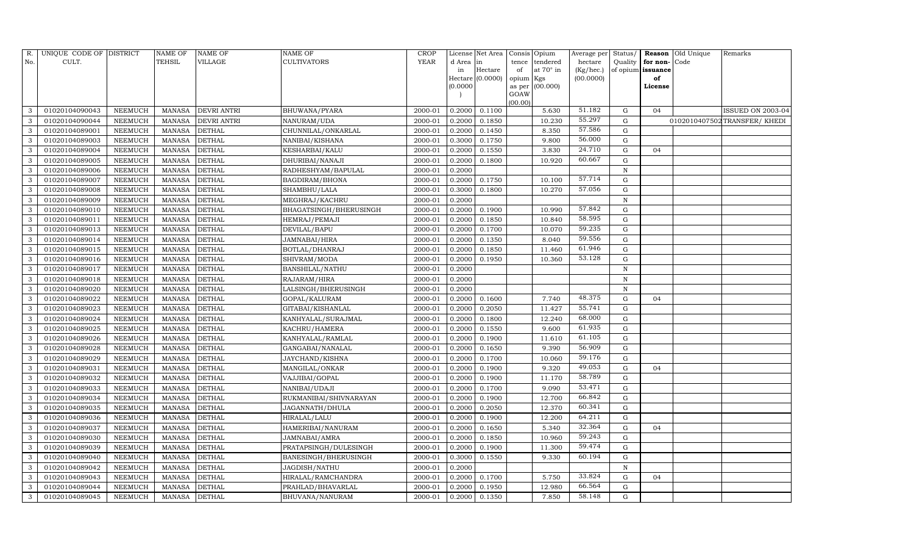| R.  | UNIQUE CODE OF DISTRICT |                | <b>NAME OF</b> | <b>NAME OF</b>     | <b>NAME OF</b>         | <b>CROP</b> |          | License Net Area |           | Consis Opium    | Average per | Status/     |                   | Reason Old Unique | Remarks                      |
|-----|-------------------------|----------------|----------------|--------------------|------------------------|-------------|----------|------------------|-----------|-----------------|-------------|-------------|-------------------|-------------------|------------------------------|
| No. | CULT.                   |                | <b>TEHSIL</b>  | VILLAGE            | <b>CULTIVATORS</b>     | <b>YEAR</b> | d Area   | in               | tence     | tendered        | hectare     | Quality     | for non-Code      |                   |                              |
|     |                         |                |                |                    |                        |             | in       | Hectare          | of        | at 70° in       | (Kg/hec.)   |             | of opium issuance |                   |                              |
|     |                         |                |                |                    |                        |             |          | Hectare (0.0000) | opium Kgs |                 | (00.0000)   |             | of                |                   |                              |
|     |                         |                |                |                    |                        |             | (0.0000) |                  | GOAW      | as per (00.000) |             |             | License           |                   |                              |
|     |                         |                |                |                    |                        |             |          |                  | (00.00)   |                 |             |             |                   |                   |                              |
| 3   | 01020104090043          | NEEMUCH        | MANASA         | <b>DEVRI ANTRI</b> | <b>BHUWANA/PYARA</b>   | 2000-01     | 0.2000   | 0.1100           |           | 5.630           | 51.182      | G           | 04                |                   | <b>ISSUED ON 2003-04</b>     |
| 3   | 01020104090044          | <b>NEEMUCH</b> | MANASA         | <b>DEVRI ANTRI</b> | NANURAM/UDA            | 2000-01     | 0.2000   | 0.1850           |           | 10.230          | 55.297      | G           |                   |                   | 0102010407502 TRANSFER/KHEDI |
| 3   | 01020104089001          | <b>NEEMUCH</b> | MANASA         | <b>DETHAL</b>      | CHUNNILAL/ONKARLAL     | 2000-01     | 0.2000   | 0.1450           |           | 8.350           | 57.586      | G           |                   |                   |                              |
| 3   | 01020104089003          | NEEMUCH        | MANASA         | <b>DETHAL</b>      | NANIBAI/KISHANA        | 2000-01     | 0.3000   | 0.1750           |           | 9.800           | 56.000      | G           |                   |                   |                              |
| 3   | 01020104089004          | NEEMUCH        | MANASA         | <b>DETHAL</b>      | KESHARBAI/KALU         | 2000-01     | 0.2000   | 0.1550           |           | 3.830           | 24.710      | G           | 04                |                   |                              |
| 3   | 01020104089005          | NEEMUCH        | <b>MANASA</b>  | <b>DETHAL</b>      | DHURIBAI/NANAJI        | 2000-01     | 0.2000   | 0.1800           |           | 10.920          | 60.667      | $\mathbf G$ |                   |                   |                              |
| 3   | 01020104089006          | NEEMUCH        | <b>MANASA</b>  | <b>DETHAL</b>      | RADHESHYAM/BAPULAL     | 2000-01     | 0.2000   |                  |           |                 |             | $\mathbf N$ |                   |                   |                              |
| 3   | 01020104089007          | <b>NEEMUCH</b> | MANASA         | <b>DETHAL</b>      | BAGDIRAM/BHONA         | 2000-01     | 0.2000   | 0.1750           |           | 10.100          | 57.714      | ${\rm G}$   |                   |                   |                              |
| 3   | 01020104089008          | NEEMUCH        | MANASA         | <b>DETHAL</b>      | SHAMBHU/LALA           | 2000-01     | 0.3000   | 0.1800           |           | 10.270          | 57.056      | $\mathbf G$ |                   |                   |                              |
| 3   | 01020104089009          | NEEMUCH        | MANASA         | <b>DETHAL</b>      | MEGHRAJ/KACHRU         | 2000-01     | 0.2000   |                  |           |                 |             | $\mathbf N$ |                   |                   |                              |
| 3   | 01020104089010          | <b>NEEMUCH</b> | <b>MANASA</b>  | <b>DETHAL</b>      | BHAGATSINGH/BHERUSINGH | 2000-01     | 0.2000   | 0.1900           |           | 10.990          | 57.842      | $\mathbf G$ |                   |                   |                              |
| 3   | 01020104089011          | NEEMUCH        | MANASA         | <b>DETHAL</b>      | HEMRAJ/PEMAJI          | 2000-01     | 0.2000   | 0.1850           |           | 10.840          | 58.595      | G           |                   |                   |                              |
| 3   | 01020104089013          | NEEMUCH        | MANASA         | <b>DETHAL</b>      | DEVILAL/BAPU           | 2000-01     | 0.2000   | 0.1700           |           | 10.070          | 59.235      | G           |                   |                   |                              |
| 3   | 01020104089014          | <b>NEEMUCH</b> | MANASA         | <b>DETHAL</b>      | JAMNABAI/HIRA          | 2000-01     | 0.2000   | 0.1350           |           | 8.040           | 59.556      | G           |                   |                   |                              |
| 3   | 01020104089015          | NEEMUCH        | MANASA         | <b>DETHAL</b>      | BOTLAL/DHANRAJ         | 2000-01     | 0.2000   | 0.1850           |           | 11.460          | 61.946      | G           |                   |                   |                              |
| 3   | 01020104089016          | NEEMUCH        | MANASA         | <b>DETHAL</b>      | SHIVRAM/MODA           | 2000-01     | 0.2000   | 0.1950           |           | 10.360          | 53.128      | $\mathbf G$ |                   |                   |                              |
| 3   | 01020104089017          | <b>NEEMUCH</b> | <b>MANASA</b>  | <b>DETHAL</b>      | <b>BANSHILAL/NATHU</b> | 2000-01     | 0.2000   |                  |           |                 |             | $\mathbf N$ |                   |                   |                              |
| 3   | 01020104089018          | <b>NEEMUCH</b> | MANASA         | <b>DETHAL</b>      | RAJARAM/HIRA           | 2000-01     | 0.2000   |                  |           |                 |             | N           |                   |                   |                              |
| 3   | 01020104089020          | NEEMUCH        | MANASA         | <b>DETHAL</b>      | LALSINGH/BHERUSINGH    | 2000-01     | 0.2000   |                  |           |                 |             | $\mathbf N$ |                   |                   |                              |
| 3   | 01020104089022          | NEEMUCH        | MANASA         | <b>DETHAL</b>      | GOPAL/KALURAM          | 2000-01     | 0.2000   | 0.1600           |           | 7.740           | 48.375      | G           | 04                |                   |                              |
| 3   | 01020104089023          | NEEMUCH        | MANASA         | <b>DETHAL</b>      | GITABAI/KISHANLAL      | 2000-01     | 0.2000   | 0.2050           |           | 11.427          | 55.741      | ${\rm G}$   |                   |                   |                              |
| 3   | 01020104089024          | <b>NEEMUCH</b> | <b>MANASA</b>  | <b>DETHAL</b>      | KANHYALAL/SURAJMAL     | 2000-01     | 0.2000   | 0.1800           |           | 12.240          | 68.000      | $\mathbf G$ |                   |                   |                              |
| 3   | 01020104089025          | NEEMUCH        | MANASA         | <b>DETHAL</b>      | KACHRU/HAMERA          | 2000-01     | 0.2000   | 0.1550           |           | 9.600           | 61.935      | G           |                   |                   |                              |
| 3   | 01020104089026          | NEEMUCH        | MANASA         | <b>DETHAL</b>      | KANHYALAL/RAMLAL       | 2000-01     | 0.2000   | 0.1900           |           | 11.610          | 61.105      | $\mathbf G$ |                   |                   |                              |
| 3   | 01020104089028          | NEEMUCH        | MANASA         | <b>DETHAL</b>      | GANGABAI/NANALAL       | 2000-01     | 0.2000   | 0.1650           |           | 9.390           | 56.909      | ${\rm G}$   |                   |                   |                              |
| 3   | 01020104089029          | NEEMUCH        | MANASA         | <b>DETHAL</b>      | JAYCHAND/KISHNA        | 2000-01     | 0.2000   | 0.1700           |           | 10.060          | 59.176      | G           |                   |                   |                              |
| 3   | 01020104089031          | NEEMUCH        | MANASA         | <b>DETHAL</b>      | MANGILAL/ONKAR         | 2000-01     | 0.2000   | 0.1900           |           | 9.320           | 49.053      | $\mathbf G$ | 04                |                   |                              |
| 3   | 01020104089032          | NEEMUCH        | <b>MANASA</b>  | <b>DETHAL</b>      | VAJJIBAI/GOPAL         | 2000-01     | 0.2000   | 0.1900           |           | 11.170          | 58.789      | G           |                   |                   |                              |
| 3   | 01020104089033          | NEEMUCH        | MANASA         | <b>DETHAL</b>      | NANIBAI/UDAJI          | 2000-01     | 0.2000   | 0.1700           |           | 9.090           | 53.471      | G           |                   |                   |                              |
| 3   | 01020104089034          | NEEMUCH        | MANASA         | <b>DETHAL</b>      | RUKMANIBAI/SHIVNARAYAN | 2000-01     | 0.2000   | 0.1900           |           | 12.700          | 66.842      | G           |                   |                   |                              |
| 3   | 01020104089035          | NEEMUCH        | MANASA         | <b>DETHAL</b>      | JAGANNATH/DHULA        | 2000-01     | 0.2000   | 0.2050           |           | 12.370          | 60.341      | G           |                   |                   |                              |
| 3   | 01020104089036          | NEEMUCH        | MANASA         | <b>DETHAL</b>      | HIRALAL/LALU           | 2000-01     | 0.2000   | 0.1900           |           | 12.200          | 64.211      | G           |                   |                   |                              |
| 3   | 01020104089037          | <b>NEEMUCH</b> | <b>MANASA</b>  | <b>DETHAL</b>      | HAMERIBAI/NANURAM      | 2000-01     | 0.2000   | 0.1650           |           | 5.340           | 32.364      | ${\rm G}$   | 04                |                   |                              |
| 3   | 01020104089030          | NEEMUCH        | MANASA         | <b>DETHAL</b>      | JAMNABAI/AMRA          | 2000-01     | 0.2000   | 0.1850           |           | 10.960          | 59.243      | G           |                   |                   |                              |
| 3   | 01020104089039          | <b>NEEMUCH</b> | MANASA         | <b>DETHAL</b>      | PRATAPSINGH/DULESINGH  | 2000-01     | 0.2000   | 0.1900           |           | 11.300          | 59.474      | $\mathbf G$ |                   |                   |                              |
| 3   | 01020104089040          | NEEMUCH        | MANASA         | <b>DETHAL</b>      | BANESINGH/BHERUSINGH   | 2000-01     | 0.3000   | 0.1550           |           | 9.330           | 60.194      | ${\rm G}$   |                   |                   |                              |
| 3   | 01020104089042          | NEEMUCH        | MANASA         | <b>DETHAL</b>      | JAGDISH/NATHU          | 2000-01     | 0.2000   |                  |           |                 |             | $\mathbf N$ |                   |                   |                              |
| 3   | 01020104089043          | NEEMUCH        | <b>MANASA</b>  | <b>DETHAL</b>      | HIRALAL/RAMCHANDRA     | 2000-01     | 0.2000   | 0.1700           |           | 5.750           | 33.824      | $\mathbf G$ | 04                |                   |                              |
| 3   | 01020104089044          | <b>NEEMUCH</b> | <b>MANASA</b>  | <b>DETHAL</b>      | PRAHLAD/BHAVARLAL      | 2000-01     | 0.2000   | 0.1950           |           | 12.980          | 66.564      | G           |                   |                   |                              |
| 3   | 01020104089045          | NEEMUCH        | MANASA         | <b>DETHAL</b>      | BHUVANA/NANURAM        | 2000-01     | 0.2000   | 0.1350           |           | 7.850           | 58.148      | G           |                   |                   |                              |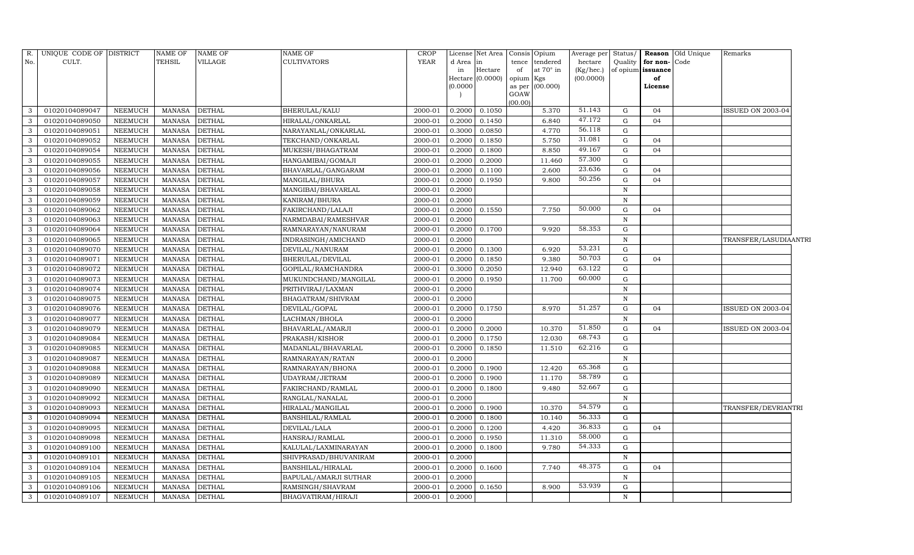| R.           | UNIQUE CODE OF DISTRICT |                | <b>NAME OF</b> | <b>NAME OF</b> | NAME OF               | CROP    |           | License Net Area            |             | Consis Opium     | Average per            | Status/     |                         | <b>Reason</b> Old Unique | Remarks               |  |
|--------------|-------------------------|----------------|----------------|----------------|-----------------------|---------|-----------|-----------------------------|-------------|------------------|------------------------|-------------|-------------------------|--------------------------|-----------------------|--|
| No.          | CULT.                   |                | <b>TEHSIL</b>  | VILLAGE        | <b>CULTIVATORS</b>    | YEAR    | d Area in |                             | tence       | tendered         | hectare                | Quality     | for non-Code            |                          |                       |  |
|              |                         |                |                |                |                       |         | in        | Hectare<br>Hectare (0.0000) | of<br>opium | at 70° in<br>Kgs | (Kg/hec.)<br>(00.0000) |             | of opium issuance<br>of |                          |                       |  |
|              |                         |                |                |                |                       |         | (0.0000)  |                             | as per      | (00.000)         |                        |             | License                 |                          |                       |  |
|              |                         |                |                |                |                       |         |           |                             | GOAW        |                  |                        |             |                         |                          |                       |  |
|              |                         |                |                |                |                       |         |           |                             | (00.00)     |                  | 51.143                 |             |                         |                          |                       |  |
| 3            | 01020104089047          | <b>NEEMUCH</b> | <b>MANASA</b>  | <b>DETHAL</b>  | BHERULAL/KALU         | 2000-01 | 0.2000    | 0.1050                      |             | 5.370            |                        | G           | 04                      |                          | ISSUED ON 2003-04     |  |
| 3            | 01020104089050          | <b>NEEMUCH</b> | <b>MANASA</b>  | <b>DETHAL</b>  | HIRALAL/ONKARLAL      | 2000-01 | 0.2000    | 0.1450                      |             | 6.840            | 47.172                 | G           | 04                      |                          |                       |  |
| 3            | 01020104089051          | <b>NEEMUCH</b> | <b>MANASA</b>  | <b>DETHAL</b>  | NARAYANLAL/ONKARLAL   | 2000-01 | 0.3000    | 0.0850                      |             | 4.770            | 56.118                 | G           |                         |                          |                       |  |
| 3            | 01020104089052          | <b>NEEMUCH</b> | MANASA         | <b>DETHAL</b>  | TEKCHAND/ONKARLAL     | 2000-01 | 0.2000    | 0.1850                      |             | 5.750            | 31.081                 | G           | 04                      |                          |                       |  |
| 3            | 01020104089054          | NEEMUCH        | <b>MANASA</b>  | <b>DETHAL</b>  | MUKESH/BHAGATRAM      | 2000-01 | 0.2000    | 0.1800                      |             | 8.850            | 49.167                 | G           | 04                      |                          |                       |  |
| 3            | 01020104089055          | NEEMUCH        | <b>MANASA</b>  | <b>DETHAL</b>  | HANGAMIBAI/GOMAJI     | 2000-01 | 0.2000    | 0.2000                      |             | 11.460           | 57.300                 | $\mathbf G$ |                         |                          |                       |  |
| 3            | 01020104089056          | NEEMUCH        | <b>MANASA</b>  | <b>DETHAL</b>  | BHAVARLAL/GANGARAM    | 2000-01 | 0.2000    | 0.1100                      |             | 2.600            | 23.636                 | G           | 04                      |                          |                       |  |
| 3            | 01020104089057          | NEEMUCH        | <b>MANASA</b>  | <b>DETHAL</b>  | MANGILAL/BHURA        | 2000-01 | 0.2000    | 0.1950                      |             | 9.800            | 50.256                 | G           | 04                      |                          |                       |  |
| 3            | 01020104089058          | <b>NEEMUCH</b> | <b>MANASA</b>  | <b>DETHAL</b>  | MANGIBAI/BHAVARLAL    | 2000-01 | 0.2000    |                             |             |                  |                        | $\mathbb N$ |                         |                          |                       |  |
| 3            | 01020104089059          | <b>NEEMUCH</b> | <b>MANASA</b>  | <b>DETHAL</b>  | KANIRAM/BHURA         | 2000-01 | 0.2000    |                             |             |                  |                        | $\mathbf N$ |                         |                          |                       |  |
| 3            | 01020104089062          | <b>NEEMUCH</b> | <b>MANASA</b>  | <b>DETHAL</b>  | FAKIRCHAND/LALAJI     | 2000-01 | 0.2000    | 0.1550                      |             | 7.750            | 50.000                 | G           | 04                      |                          |                       |  |
| 3            | 01020104089063          | <b>NEEMUCH</b> | <b>MANASA</b>  | <b>DETHAL</b>  | NARMDABAI/RAMESHVAR   | 2000-01 | 0.2000    |                             |             |                  |                        | $\mathbf N$ |                         |                          |                       |  |
| 3            | 01020104089064          | <b>NEEMUCH</b> | <b>MANASA</b>  | <b>DETHAL</b>  | RAMNARAYAN/NANURAM    | 2000-01 | 0.2000    | 0.1700                      |             | 9.920            | 58.353                 | G           |                         |                          |                       |  |
| 3            | 01020104089065          | <b>NEEMUCH</b> | <b>MANASA</b>  | <b>DETHAL</b>  | INDRASINGH/AMICHAND   | 2000-01 | 0.2000    |                             |             |                  |                        | ${\bf N}$   |                         |                          | TRANSFER/LASUDIAANTRI |  |
| 3            | 01020104089070          | <b>NEEMUCH</b> | <b>MANASA</b>  | <b>DETHAL</b>  | DEVILAL/NANURAM       | 2000-01 | 0.2000    | 0.1300                      |             | 6.920            | 53.231                 | G           |                         |                          |                       |  |
| 3            | 01020104089071          | <b>NEEMUCH</b> | <b>MANASA</b>  | <b>DETHAL</b>  | BHERULAL/DEVILAL      | 2000-01 | 0.2000    | 0.1850                      |             | 9.380            | 50.703                 | G           | 04                      |                          |                       |  |
| 3            | 01020104089072          | <b>NEEMUCH</b> | <b>MANASA</b>  | <b>DETHAL</b>  | GOPILAL/RAMCHANDRA    | 2000-01 | 0.3000    | 0.2050                      |             | 12.940           | 63.122                 | G           |                         |                          |                       |  |
| 3            | 01020104089073          | <b>NEEMUCH</b> | <b>MANASA</b>  | <b>DETHAL</b>  | MUKUNDCHAND/MANGILAL  | 2000-01 | 0.2000    | 0.1950                      |             | 11.700           | 60.000                 | G           |                         |                          |                       |  |
| 3            | 01020104089074          | <b>NEEMUCH</b> | <b>MANASA</b>  | <b>DETHAL</b>  | PRITHVIRAJ/LAXMAN     | 2000-01 | 0.2000    |                             |             |                  |                        | N           |                         |                          |                       |  |
| 3            | 01020104089075          | NEEMUCH        | <b>MANASA</b>  | <b>DETHAL</b>  | BHAGATRAM/SHIVRAM     | 2000-01 | 0.2000    |                             |             |                  |                        | $\mathbf N$ |                         |                          |                       |  |
| 3            | 01020104089076          | <b>NEEMUCH</b> | <b>MANASA</b>  | <b>DETHAL</b>  | DEVILAL/GOPAL         | 2000-01 | 0.2000    | 0.1750                      |             | 8.970            | 51.257                 | G           | 04                      |                          | ISSUED ON 2003-04     |  |
| 3            | 01020104089077          | <b>NEEMUCH</b> | <b>MANASA</b>  | <b>DETHAL</b>  | LACHMAN/BHOLA         | 2000-01 | 0.2000    |                             |             |                  |                        | N           |                         |                          |                       |  |
| 3            | 01020104089079          | NEEMUCH        | <b>MANASA</b>  | <b>DETHAL</b>  | BHAVARLAL/AMARJI      | 2000-01 | 0.2000    | 0.2000                      |             | 10.370           | 51.850                 | G           | 04                      |                          | ISSUED ON 2003-04     |  |
| 3            | 01020104089084          | <b>NEEMUCH</b> | <b>MANASA</b>  | <b>DETHAL</b>  | PRAKASH/KISHOR        | 2000-01 | 0.2000    | 0.1750                      |             | 12.030           | 68.743                 | G           |                         |                          |                       |  |
| 3            | 01020104089085          | NEEMUCH        | <b>MANASA</b>  | <b>DETHAL</b>  | MADANLAL/BHAVARLAL    | 2000-01 | 0.2000    | 0.1850                      |             | 11.510           | 62.216                 | $\mathbf G$ |                         |                          |                       |  |
| 3            | 01020104089087          | <b>NEEMUCH</b> | <b>MANASA</b>  | <b>DETHAL</b>  | RAMNARAYAN/RATAN      | 2000-01 | 0.2000    |                             |             |                  |                        | $\mathbf N$ |                         |                          |                       |  |
| 3            | 01020104089088          | NEEMUCH        | <b>MANASA</b>  | <b>DETHAL</b>  | RAMNARAYAN/BHONA      | 2000-01 | 0.2000    | 0.1900                      |             | 12.420           | 65.368                 | G           |                         |                          |                       |  |
| 3            | 01020104089089          | NEEMUCH        | <b>MANASA</b>  | <b>DETHAL</b>  | UDAYRAM/JETRAM        | 2000-01 | 0.2000    | 0.1900                      |             | 11.170           | 58.789                 | G           |                         |                          |                       |  |
| 3            | 01020104089090          | NEEMUCH        | <b>MANASA</b>  | <b>DETHAL</b>  | FAKIRCHAND/RAMLAL     | 2000-01 | 0.2000    | 0.1800                      |             | 9.480            | 52.667                 | G           |                         |                          |                       |  |
| 3            | 01020104089092          | NEEMUCH        | <b>MANASA</b>  | <b>DETHAL</b>  | RANGLAL/NANALAL       | 2000-01 | 0.2000    |                             |             |                  |                        | $\mathbf N$ |                         |                          |                       |  |
| 3            | 01020104089093          | NEEMUCH        | <b>MANASA</b>  | <b>DETHAL</b>  | HIRALAL/MANGILAL      | 2000-01 | 0.2000    | 0.1900                      |             | 10.370           | 54.579                 | G           |                         |                          | TRANSFER/DEVRIANTRI   |  |
| 3            | 01020104089094          | <b>NEEMUCH</b> | <b>MANASA</b>  | <b>DETHAL</b>  | BANSHILAL/RAMLAL      | 2000-01 | 0.2000    | 0.1800                      |             | 10.140           | 56.333                 | G           |                         |                          |                       |  |
| 3            | 01020104089095          | NEEMUCH        | <b>MANASA</b>  | <b>DETHAL</b>  | DEVILAL/LALA          | 2000-01 | 0.2000    | 0.1200                      |             | 4.420            | 36.833                 | ${\rm G}$   | 04                      |                          |                       |  |
| 3            | 01020104089098          | NEEMUCH        | <b>MANASA</b>  | <b>DETHAL</b>  | HANSRAJ/RAMLAL        | 2000-01 | 0.2000    | 0.1950                      |             | 11.310           | 58.000                 | G           |                         |                          |                       |  |
| 3            | 01020104089100          | NEEMUCH        | <b>MANASA</b>  | <b>DETHAL</b>  | KALULAL/LAXMINARAYAN  | 2000-01 | 0.2000    | 0.1800                      |             | 9.780            | 54.333                 | G           |                         |                          |                       |  |
| 3            | 01020104089101          | <b>NEEMUCH</b> | <b>MANASA</b>  | <b>DETHAL</b>  | SHIVPRASAD/BHUVANIRAM | 2000-01 | 0.2000    |                             |             |                  |                        | $\mathbb N$ |                         |                          |                       |  |
| 3            | 01020104089104          | NEEMUCH        | <b>MANASA</b>  | <b>DETHAL</b>  | BANSHILAL/HIRALAL     | 2000-01 | 0.2000    | 0.1600                      |             | 7.740            | 48.375                 | G           | 04                      |                          |                       |  |
| 3            | 01020104089105          | <b>NEEMUCH</b> | <b>MANASA</b>  | <b>DETHAL</b>  | BAPULAL/AMARJI SUTHAR | 2000-01 | 0.2000    |                             |             |                  |                        | N           |                         |                          |                       |  |
| 3            | 01020104089106          | <b>NEEMUCH</b> | <b>MANASA</b>  | <b>DETHAL</b>  | RAMSINGH/SHAVRAM      | 2000-01 | 0.2000    | 0.1650                      |             | 8.900            | 53.939                 | G           |                         |                          |                       |  |
| $\mathbf{3}$ | 01020104089107          | <b>NEEMUCH</b> | <b>MANASA</b>  | <b>DETHAL</b>  | BHAGVATIRAM/HIRAJI    | 2000-01 | 0.2000    |                             |             |                  |                        | ${\rm N}$   |                         |                          |                       |  |
|              |                         |                |                |                |                       |         |           |                             |             |                  |                        |             |                         |                          |                       |  |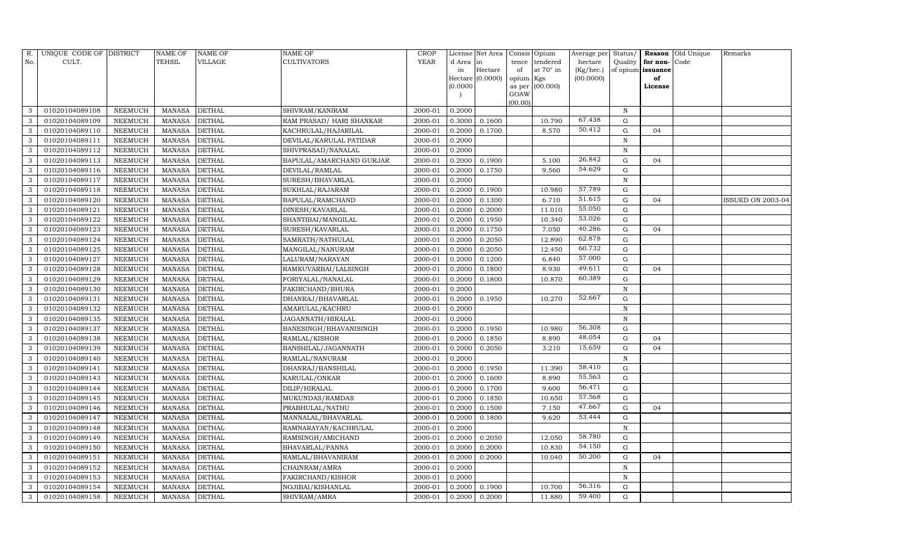| R.  | UNIQUE CODE OF DISTRICT |                | <b>NAME OF</b> | <b>NAME OF</b> | <b>NAME OF</b>            | CROP        |           | License Net Area |           | Consis Opium     | Average per | Status/      | Reason            | Old Unique | Remarks                  |
|-----|-------------------------|----------------|----------------|----------------|---------------------------|-------------|-----------|------------------|-----------|------------------|-------------|--------------|-------------------|------------|--------------------------|
| No. | CULT.                   |                | <b>TEHSIL</b>  | VILLAGE        | <b>CULTIVATORS</b>        | <b>YEAR</b> | d Area in |                  | tence     | tendered         | hectare     | Quality      | for non-          | Code       |                          |
|     |                         |                |                |                |                           |             | in        | Hectare          | of        | at $70^\circ$ in | (Kg/hec.)   |              | of opium issuance |            |                          |
|     |                         |                |                |                |                           |             |           | Hectare (0.0000) | opium Kgs |                  | (00.0000)   |              | of                |            |                          |
|     |                         |                |                |                |                           |             | (0.0000)  |                  | GOAW      | as per (00.000)  |             |              | License           |            |                          |
|     |                         |                |                |                |                           |             |           |                  | (00.00)   |                  |             |              |                   |            |                          |
| 3   | 01020104089108          | NEEMUCH        | MANASA         | <b>DETHAL</b>  | SHIVRAM/KANIRAM           | 2000-01     | 0.2000    |                  |           |                  |             | N            |                   |            |                          |
| 3   | 01020104089109          | NEEMUCH        | MANASA         | <b>DETHAL</b>  | RAM PRASAD / HARI SHANKAR | 2000-01     | 0.3000    | 0.1600           |           | 10.790           | 67.438      | G            |                   |            |                          |
| 3   | 01020104089110          | <b>NEEMUCH</b> | MANASA         | <b>DETHAL</b>  | KACHRULAL/HAJARILAL       | 2000-01     | 0.2000    | 0.1700           |           | 8.570            | 50.412      | $\mathbf G$  | 04                |            |                          |
| 3   | 01020104089111          | NEEMUCH        | MANASA         | <b>DETHAL</b>  | DEVILAL/KARULAL PATIDAR   | 2000-01     | 0.2000    |                  |           |                  |             | $\, {\rm N}$ |                   |            |                          |
| 3   | 01020104089112          | NEEMUCH        | MANASA         | <b>DETHAL</b>  | SHIVPRASAD/NANALAL        | 2000-01     | 0.2000    |                  |           |                  |             | $\mathbf N$  |                   |            |                          |
| 3   | 01020104089113          | NEEMUCH        | MANASA         | <b>DETHAL</b>  | BAPULAL/AMARCHAND GURJAR  | 2000-01     | 0.2000    | 0.1900           |           | 5.100            | 26.842      | $\mathbf G$  | 04                |            |                          |
| 3   | 01020104089116          | NEEMUCH        | <b>MANASA</b>  | <b>DETHAL</b>  | DEVILAL/RAMLAL            | 2000-01     | 0.2000    | 0.1750           |           | 9.560            | 54.629      | G            |                   |            |                          |
| 3   | 01020104089117          | <b>NEEMUCH</b> | MANASA         | <b>DETHAL</b>  | SURESH/BHAVARLAL          | 2000-01     | 0.2000    |                  |           |                  |             | $\, {\rm N}$ |                   |            |                          |
| 3   | 01020104089118          | NEEMUCH        | MANASA         | <b>DETHAL</b>  | SUKHLAL/RAJARAM           | 2000-01     | 0.2000    | 0.1900           |           | 10.980           | 57.789      | G            |                   |            |                          |
| 3   | 01020104089120          | NEEMUCH        | MANASA         | <b>DETHAL</b>  | BAPULAL/RAMCHAND          | 2000-01     | 0.2000    | 0.1300           |           | 6.710            | 51.615      | G            | 04                |            | <b>ISSUED ON 2003-04</b> |
| 3   | 01020104089121          | NEEMUCH        | MANASA         | <b>DETHAL</b>  | DINESH/KAVARLAL           | 2000-01     | 0.2000    | 0.2000           |           | 11.010           | 55.050      | G            |                   |            |                          |
| 3   | 01020104089122          | NEEMUCH        | MANASA         | <b>DETHAL</b>  | SHANTIBAI/MANGILAL        | 2000-01     | 0.2000    | 0.1950           |           | 10.340           | 53.026      | G            |                   |            |                          |
| 3   | 01020104089123          | NEEMUCH        | MANASA         | <b>DETHAL</b>  | SURESH/KAVARLAL           | 2000-01     | 0.2000    | 0.1750           |           | 7.050            | 40.286      | G            | 04                |            |                          |
| 3   | 01020104089124          | <b>NEEMUCH</b> | MANASA         | <b>DETHAL</b>  | SAMRATH/NATHULAL          | 2000-01     | 0.2000    | 0.2050           |           | 12.890           | 62.878      | $\mathbf G$  |                   |            |                          |
| 3   | 01020104089125          | NEEMUCH        | MANASA         | <b>DETHAL</b>  | MANGILAL/NANURAM          | 2000-01     | 0.2000    | 0.2050           |           | 12.450           | 60.732      | G            |                   |            |                          |
| 3   | 01020104089127          | NEEMUCH        | MANASA         | <b>DETHAL</b>  | LALURAM/NARAYAN           | 2000-01     | 0.2000    | 0.1200           |           | 6.840            | 57.000      | G            |                   |            |                          |
| 3   | 01020104089128          | NEEMUCH        | MANASA         | <b>DETHAL</b>  | RAMKUVARBAI/LALSINGH      | 2000-01     | 0.2000    | 0.1800           |           | 8.930            | 49.611      | G            | 04                |            |                          |
| 3   | 01020104089129          | NEEMUCH        | MANASA         | <b>DETHAL</b>  | FORIYALAL/NANALAL         | 2000-01     | 0.2000    | 0.1800           |           | 10.870           | 60.389      | G            |                   |            |                          |
| 3   | 01020104089130          | NEEMUCH        | MANASA         | <b>DETHAL</b>  | FAKIRCHAND/BHURA          | 2000-01     | 0.2000    |                  |           |                  |             | $\mathbf N$  |                   |            |                          |
| 3   | 01020104089131          | NEEMUCH        | MANASA         | <b>DETHAL</b>  | DHANRAJ/BHAVARLAL         | 2000-01     | 0.2000    | 0.1950           |           | 10.270           | 52.667      | G            |                   |            |                          |
| 3   | 01020104089132          | NEEMUCH        | MANASA         | <b>DETHAL</b>  | AMARULAL/KACHRU           | 2000-01     | 0.2000    |                  |           |                  |             | $\, {\rm N}$ |                   |            |                          |
| 3   | 01020104089135          | NEEMUCH        | MANASA         | <b>DETHAL</b>  | JAGANNATH/HIRALAL         | 2000-01     | 0.2000    |                  |           |                  |             | $\, {\rm N}$ |                   |            |                          |
| 3   | 01020104089137          | NEEMUCH        | MANASA         | <b>DETHAL</b>  | BANESINGH/BHAVANISINGH    | 2000-01     | 0.2000    | 0.1950           |           | 10.980           | 56.308      | ${\rm G}$    |                   |            |                          |
| 3   | 01020104089138          | <b>NEEMUCH</b> | <b>MANASA</b>  | <b>DETHAL</b>  | RAMLAL/KISHOR             | 2000-01     | 0.2000    | 0.1850           |           | 8.890            | 48.054      | $\mathbf G$  | 04                |            |                          |
| 3   | 01020104089139          | NEEMUCH        | MANASA         | <b>DETHAL</b>  | BANSHILAL/JAGANNATH       | 2000-01     | 0.2000    | 0.2050           |           | 3.210            | 15.659      | ${\rm G}$    | 04                |            |                          |
| 3   | 01020104089140          | NEEMUCH        | MANASA         | <b>DETHAL</b>  | RAMLAL/NANURAM            | 2000-01     | 0.2000    |                  |           |                  |             | N            |                   |            |                          |
| 3   | 01020104089141          | NEEMUCH        | MANASA         | <b>DETHAL</b>  | DHANRAJ/BANSHILAL         | 2000-01     | 0.2000    | 0.1950           |           | 11.390           | 58.410      | $\mathbf G$  |                   |            |                          |
| 3   | 01020104089143          | NEEMUCH        | <b>MANASA</b>  | <b>DETHAL</b>  | KARULAL/ONKAR             | 2000-01     | 0.2000    | 0.1600           |           | 8.890            | 55.563      | G            |                   |            |                          |
| 3   | 01020104089144          | NEEMUCH        | MANASA         | <b>DETHAL</b>  | DILIP/HIRALAL             | 2000-01     | 0.2000    | 0.1700           |           | 9.600            | 56.471      | G            |                   |            |                          |
| 3   | 01020104089145          | NEEMUCH        | MANASA         | <b>DETHAL</b>  | MUKUNDAS/RAMDAS           | 2000-01     | 0.2000    | 0.1850           |           | 10.650           | 57.568      | G            |                   |            |                          |
| 3   | 01020104089146          | NEEMUCH        | MANASA         | <b>DETHAL</b>  | PRABHULAL/NATHU           | 2000-01     | 0.2000    | 0.1500           |           | 7.150            | 47.667      | ${\rm G}$    | 04                |            |                          |
| 3   | 01020104089147          | NEEMUCH        | MANASA         | <b>DETHAL</b>  | MANNALAL/BHAVARLAL        | 2000-01     | 0.2000    | 0.1800           |           | 9.620            | 53.444      | G            |                   |            |                          |
| 3   | 01020104089148          | <b>NEEMUCH</b> | <b>MANASA</b>  | <b>DETHAL</b>  | RAMNARAYAN/KACHRULAL      | 2000-01     | 0.2000    |                  |           |                  |             | N            |                   |            |                          |
| 3   | 01020104089149          | NEEMUCH        | MANASA         | <b>DETHAL</b>  | RAMSINGH/AMICHAND         | 2000-01     | 0.2000    | 0.2050           |           | 12.050           | 58.780      | G            |                   |            |                          |
| 3   | 01020104089150          | <b>NEEMUCH</b> | MANASA         | <b>DETHAL</b>  | BHAVARLAL/PANNA           | 2000-01     | 0.2000    | 0.2000           |           | 10.830           | 54.150      | ${\rm G}$    |                   |            |                          |
| 3   | 01020104089151          | NEEMUCH        | MANASA         | <b>DETHAL</b>  | RAMLAL/BHAVANIRAM         | 2000-01     | 0.2000    | 0.2000           |           | 10.040           | 50.200      | ${\rm G}$    | 04                |            |                          |
| 3   | 01020104089152          | NEEMUCH        | <b>MANASA</b>  | <b>DETHAL</b>  | CHAINRAM/AMRA             | 2000-01     | 0.2000    |                  |           |                  |             | N            |                   |            |                          |
| 3   | 01020104089153          | NEEMUCH        | <b>MANASA</b>  | <b>DETHAL</b>  | FAKIRCHAND/KISHOR         | 2000-01     | 0.2000    |                  |           |                  |             | $\,$ N       |                   |            |                          |
| 3   | 01020104089154          | <b>NEEMUCH</b> | <b>MANASA</b>  | <b>DETHAL</b>  | NOJIBAI/KISHANLAL         | 2000-01     | 0.2000    | 0.1900           |           | 10.700           | 56.316      | G            |                   |            |                          |
| 3   | 01020104089158          | NEEMUCH        | MANASA DETHAL  |                | SHIVRAM/AMRA              | 2000-01     | 0.2000    | 0.2000           |           | 11.880           | 59.400      | G            |                   |            |                          |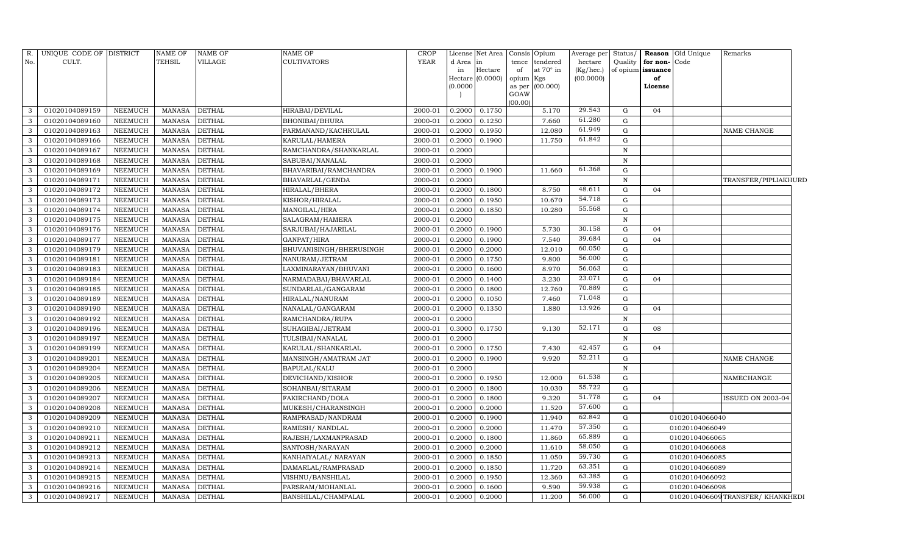| R.           | UNIQUE CODE OF DISTRICT |                | <b>NAME OF</b> | NAME OF       | <b>NAME OF</b>          | <b>CROP</b> |          | License Net Area | Consis Opium    |                 | Average per     | Status/      |                   | <b>Reason</b> Old Unique | Remarks                         |
|--------------|-------------------------|----------------|----------------|---------------|-------------------------|-------------|----------|------------------|-----------------|-----------------|-----------------|--------------|-------------------|--------------------------|---------------------------------|
| No.          | CULT.                   |                | <b>TEHSIL</b>  | VILLAGE       | <b>CULTIVATORS</b>      | YEAR        | d Area   | lin              | tence           | tendered        | hectare         | Quality      | for non-Code      |                          |                                 |
|              |                         |                |                |               |                         |             | in       | Hectare          | of              | at 70° in       | $(Kg/$ hec. $)$ |              | of opium issuance |                          |                                 |
|              |                         |                |                |               |                         |             | (0.0000) | Hectare (0.0000) | opium<br>as per | Kgs<br>(00.000) | (00.0000)       |              | of<br>License     |                          |                                 |
|              |                         |                |                |               |                         |             |          |                  | GOAW            |                 |                 |              |                   |                          |                                 |
|              |                         |                |                |               |                         |             |          |                  | (00.00)         |                 |                 |              |                   |                          |                                 |
| 3            | 01020104089159          | <b>NEEMUCH</b> | <b>MANASA</b>  | <b>DETHAL</b> | HIRABAI/DEVILAL         | 2000-01     | 0.2000   | 0.1750           |                 | 5.170           | 29.543          | G            | 04                |                          |                                 |
| 3            | 01020104089160          | <b>NEEMUCH</b> | <b>MANASA</b>  | <b>DETHAL</b> | BHONIBAI/BHURA          | 2000-01     | 0.2000   | 0.1250           |                 | 7.660           | 61.280          | ${\rm G}$    |                   |                          |                                 |
| 3            | 01020104089163          | <b>NEEMUCH</b> | <b>MANASA</b>  | <b>DETHAL</b> | PARMANAND/KACHRULAL     | 2000-01     | 0.2000   | 0.1950           |                 | 12.080          | 61.949          | G            |                   |                          | NAME CHANGE                     |
| 3            | 01020104089166          | NEEMUCH        | <b>MANASA</b>  | <b>DETHAL</b> | KARULAL/HAMERA          | 2000-01     | 0.2000   | 0.1900           |                 | 11.750          | 61.842          | G            |                   |                          |                                 |
| 3            | 01020104089167          | <b>NEEMUCH</b> | <b>MANASA</b>  | <b>DETHAL</b> | RAMCHANDRA/SHANKARLAL   | 2000-01     | 0.2000   |                  |                 |                 |                 | $\mathbf N$  |                   |                          |                                 |
| 3            | 01020104089168          | <b>NEEMUCH</b> | <b>MANASA</b>  | <b>DETHAL</b> | SABUBAI/NANALAL         | 2000-01     | 0.2000   |                  |                 |                 |                 | N            |                   |                          |                                 |
| 3            | 01020104089169          | NEEMUCH        | <b>MANASA</b>  | DETHAL        | BHAVARIBAI/RAMCHANDRA   | 2000-01     | 0.2000   | 0.1900           |                 | 11.660          | 61.368          | G            |                   |                          |                                 |
| 3            | 01020104089171          | <b>NEEMUCH</b> | <b>MANASA</b>  | <b>DETHAL</b> | BHAVARLAL/GENDA         | 2000-01     | 0.2000   |                  |                 |                 |                 | N            |                   |                          | TRANSFER/PIPLIAKHURD            |
| 3            | 01020104089172          | NEEMUCH        | <b>MANASA</b>  | DETHAL        | HIRALAL/BHERA           | 2000-01     | 0.2000   | 0.1800           |                 | 8.750           | 48.611          | G            | 04                |                          |                                 |
| 3            | 01020104089173          | <b>NEEMUCH</b> | <b>MANASA</b>  | DETHAL        | KISHOR/HIRALAL          | 2000-01     | 0.2000   | 0.1950           |                 | 10.670          | 54.718          | $\mathbf G$  |                   |                          |                                 |
| 3            | 01020104089174          | NEEMUCH        | <b>MANASA</b>  | <b>DETHAL</b> | MANGILAL/HIRA           | 2000-01     | 0.2000   | 0.1850           |                 | 10.280          | 55.568          | G            |                   |                          |                                 |
| 3            | 01020104089175          | NEEMUCH        | <b>MANASA</b>  | <b>DETHAL</b> | SALAGRAM/HAMERA         | 2000-01     | 0.2000   |                  |                 |                 |                 | N            |                   |                          |                                 |
| 3            | 01020104089176          | NEEMUCH        | <b>MANASA</b>  | <b>DETHAL</b> | SARJUBAI/HAJARILAL      | 2000-01     | 0.2000   | 0.1900           |                 | 5.730           | 30.158          | G            | 04                |                          |                                 |
| 3            | 01020104089177          | NEEMUCH        | <b>MANASA</b>  | <b>DETHAL</b> | GANPAT/HIRA             | 2000-01     | 0.2000   | 0.1900           |                 | 7.540           | 39.684          | G            | 04                |                          |                                 |
| 3            | 01020104089179          | NEEMUCH        | <b>MANASA</b>  | <b>DETHAL</b> | BHUVANISINGH/BHERUSINGH | 2000-01     | 0.2000   | 0.2000           |                 | 12.010          | 60.050          | G            |                   |                          |                                 |
| 3            | 01020104089181          | <b>NEEMUCH</b> | <b>MANASA</b>  | <b>DETHAL</b> | NANURAM/JETRAM          | 2000-01     | 0.2000   | 0.1750           |                 | 9.800           | 56.000          | G            |                   |                          |                                 |
| 3            | 01020104089183          | NEEMUCH        | <b>MANASA</b>  | <b>DETHAL</b> | LAXMINARAYAN/BHUVANI    | 2000-01     | 0.2000   | 0.1600           |                 | 8.970           | 56.063          | G            |                   |                          |                                 |
| 3            | 01020104089184          | NEEMUCH        | <b>MANASA</b>  | <b>DETHAL</b> | NARMADABAI/BHAVARLAL    | 2000-01     | 0.2000   | 0.1400           |                 | 3.230           | 23.071          | G            | 04                |                          |                                 |
| 3            | 01020104089185          | NEEMUCH        | <b>MANASA</b>  | <b>DETHAL</b> | SUNDARLAL/GANGARAM      | 2000-01     | 0.2000   | 0.1800           |                 | 12.760          | 70.889          | G            |                   |                          |                                 |
| 3            | 01020104089189          | NEEMUCH        | <b>MANASA</b>  | <b>DETHAL</b> | HIRALAL/NANURAM         | 2000-01     | 0.2000   | 0.1050           |                 | 7.460           | 71.048          | G            |                   |                          |                                 |
| 3            | 01020104089190          | <b>NEEMUCH</b> | <b>MANASA</b>  | <b>DETHAL</b> | NANALAL/GANGARAM        | 2000-01     | 0.2000   | 0.1350           |                 | 1.880           | 13.926          | $\mathbf G$  | 04                |                          |                                 |
| 3            | 01020104089192          | NEEMUCH        | <b>MANASA</b>  | <b>DETHAL</b> | RAMCHANDRA/RUPA         | 2000-01     | 0.2000   |                  |                 |                 |                 | $\, {\rm N}$ |                   |                          |                                 |
| $\mathbf{3}$ | 01020104089196          | NEEMUCH        | <b>MANASA</b>  | <b>DETHAL</b> | SUHAGIBAI/JETRAM        | 2000-01     | 0.3000   | 0.1750           |                 | 9.130           | 52.171          | G            | 08                |                          |                                 |
| 3            | 01020104089197          | <b>NEEMUCH</b> | <b>MANASA</b>  | <b>DETHAL</b> | TULSIBAI/NANALAL        | 2000-01     | 0.2000   |                  |                 |                 |                 | $\, {\rm N}$ |                   |                          |                                 |
| 3            | 01020104089199          | <b>NEEMUCH</b> | <b>MANASA</b>  | <b>DETHAL</b> | KARULAL/SHANKARLAL      | 2000-01     | 0.2000   | 0.1750           |                 | 7.430           | 42.457          | G            | 04                |                          |                                 |
| 3            | 01020104089201          | NEEMUCH        | <b>MANASA</b>  | DETHAL        | MANSINGH/AMATRAM JAT    | 2000-01     | 0.2000   | 0.1900           |                 | 9.920           | 52.211          | G            |                   |                          | NAME CHANGE                     |
| 3            | 01020104089204          | <b>NEEMUCH</b> | <b>MANASA</b>  | <b>DETHAL</b> | <b>BAPULAL/KALU</b>     | 2000-01     | 0.2000   |                  |                 |                 |                 | $\, {\rm N}$ |                   |                          |                                 |
| 3            | 01020104089205          | <b>NEEMUCH</b> | <b>MANASA</b>  | <b>DETHAL</b> | DEVICHAND/KISHOR        | 2000-01     | 0.2000   | 0.1950           |                 | 12.000          | 61.538          | ${\rm G}$    |                   |                          | NAMECHANGE                      |
| 3            | 01020104089206          | NEEMUCH        | <b>MANASA</b>  | <b>DETHAL</b> | SOHANBAI/SITARAM        | 2000-01     | 0.2000   | 0.1800           |                 | 10.030          | 55.722          | G            |                   |                          |                                 |
| 3            | 01020104089207          | NEEMUCH        | <b>MANASA</b>  | <b>DETHAL</b> | FAKIRCHAND/DOLA         | 2000-01     | 0.2000   | 0.1800           |                 | 9.320           | 51.778          | G            | 04                |                          | ISSUED ON 2003-04               |
| 3            | 01020104089208          | NEEMUCH        | <b>MANASA</b>  | <b>DETHAL</b> | MUKESH/CHARANSINGH      | 2000-01     | 0.2000   | 0.2000           |                 | 11.520          | 57.600          | G            |                   |                          |                                 |
| 3            | 01020104089209          | NEEMUCH        | <b>MANASA</b>  | <b>DETHAL</b> | RAMPRASAD/NANDRAM       | 2000-01     | 0.2000   | 0.1900           |                 | 11.940          | 62.842          | G            |                   | 01020104066040           |                                 |
| 3            | 01020104089210          | NEEMUCH        | <b>MANASA</b>  | <b>DETHAL</b> | RAMESH / NANDLAL        | 2000-01     | 0.2000   | 0.2000           |                 | 11.470          | 57.350          | G            |                   | 01020104066049           |                                 |
| $\mathbf{3}$ | 01020104089211          | NEEMUCH        | <b>MANASA</b>  | <b>DETHAL</b> | RAJESH/LAXMANPRASAD     | 2000-01     | 0.2000   | 0.1800           |                 | 11.860          | 65.889          | $\mathbf G$  |                   | 01020104066065           |                                 |
| 3            | 01020104089212          | NEEMUCH        | <b>MANASA</b>  | <b>DETHAL</b> | SANTOSH/NARAYAN         | 2000-01     | 0.2000   | 0.2000           |                 | 11.610          | 58.050          | G            |                   | 01020104066068           |                                 |
| 3            | 01020104089213          | <b>NEEMUCH</b> | <b>MANASA</b>  | <b>DETHAL</b> | KANHAIYALAL/ NARAYAN    | 2000-01     | 0.2000   | 0.1850           |                 | 11.050          | 59.730          | ${\rm G}$    |                   | 01020104066085           |                                 |
| 3            | 01020104089214          | NEEMUCH        | <b>MANASA</b>  | <b>DETHAL</b> | DAMARLAL/RAMPRASAD      | 2000-01     | 0.2000   | 0.1850           |                 | 11.720          | 63.351          | G            |                   | 01020104066089           |                                 |
| 3            | 01020104089215          | NEEMUCH        | <b>MANASA</b>  | <b>DETHAL</b> | VISHNU/BANSHILAL        | 2000-01     | 0.2000   | 0.1950           |                 | 12.360          | 63.385          | G            |                   | 01020104066092           |                                 |
| 3            | 01020104089216          | <b>NEEMUCH</b> | <b>MANASA</b>  | <b>DETHAL</b> | PARSRAM/MOHANLAL        | 2000-01     | 0.2000   | 0.1600           |                 | 9.590           | 59.938          | G            |                   | 01020104066098           |                                 |
| $\mathbf{3}$ | 01020104089217          | NEEMUCH        | MANASA         | <b>DETHAL</b> | BANSHILAL/CHAMPALAL     | 2000-01     | 0.2000   | 0.2000           |                 | 11.200          | 56.000          | G            |                   |                          | 0102010406609TRANSFER/KHANKHEDI |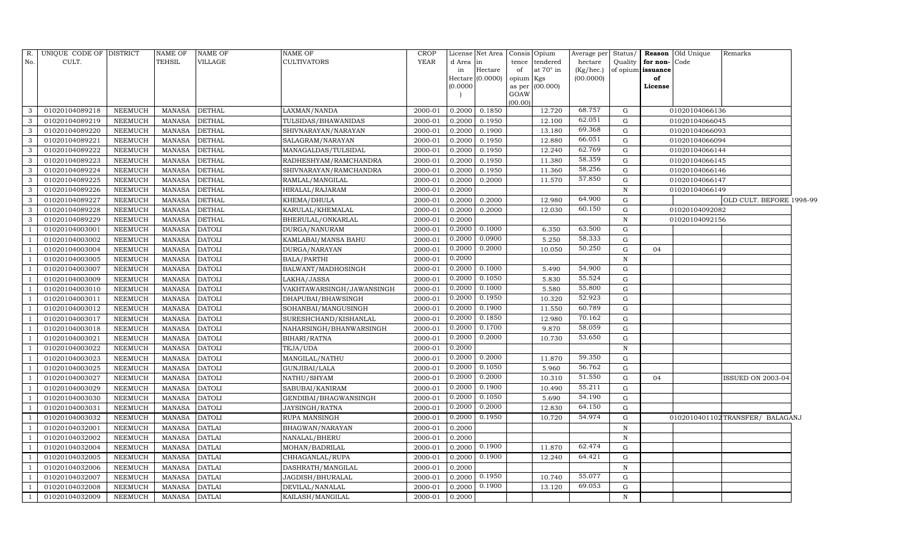| R.             | UNIQUE CODE OF DISTRICT |                | <b>NAME OF</b> | <b>NAME OF</b> | NAME OF                   | <b>CROP</b> |          | License Net Area | Consis Opium           | Average per | Status/      |                   | Reason Old Unique | Remarks                         |  |
|----------------|-------------------------|----------------|----------------|----------------|---------------------------|-------------|----------|------------------|------------------------|-------------|--------------|-------------------|-------------------|---------------------------------|--|
| No.            | CULT.                   |                | TEHSIL         | VILLAGE        | <b>CULTIVATORS</b>        | YEAR        | d Area   | lin              | tendered<br>tence      | hectare     | Quality      | for non-Code      |                   |                                 |  |
|                |                         |                |                |                |                           |             | in       | Hectare          | at $70^\circ$ in<br>of | (Kg/hec.)   |              | of opium issuance |                   |                                 |  |
|                |                         |                |                |                |                           |             |          | Hectare (0.0000) | opium Kgs              | (00.0000)   |              | of                |                   |                                 |  |
|                |                         |                |                |                |                           |             | (0.0000) |                  | as per (00.000)        |             |              | License           |                   |                                 |  |
|                |                         |                |                |                |                           |             |          |                  | GOAW<br>(00.00)        |             |              |                   |                   |                                 |  |
| $\mathcal{B}$  | 01020104089218          | NEEMUCH        | MANASA         | <b>DETHAL</b>  | LAXMAN/NANDA              | 2000-01     | 0.2000   | 0.1850           | 12.720                 | 68.757      | G            |                   | 01020104066136    |                                 |  |
| 3              | 01020104089219          | <b>NEEMUCH</b> | <b>MANASA</b>  | <b>DETHAL</b>  | TULSIDAS/BHAWANIDAS       | 2000-01     | 0.2000   | 0.1950           | 12.100                 | 62.051      | G            |                   | 01020104066045    |                                 |  |
| 3              | 01020104089220          | NEEMUCH        | <b>MANASA</b>  | <b>DETHAL</b>  | SHIVNARAYAN/NARAYAN       | 2000-01     | 0.2000   | 0.1900           | 13.180                 | 69.368      | G            |                   | 01020104066093    |                                 |  |
| 3              | 01020104089221          | NEEMUCH        | <b>MANASA</b>  | <b>DETHAL</b>  | SALAGRAM/NARAYAN          | 2000-01     | 0.2000   | 0.1950           | 12.880                 | 66.051      | G            |                   | 01020104066094    |                                 |  |
| 3              | 01020104089222          | <b>NEEMUCH</b> | <b>MANASA</b>  | <b>DETHAL</b>  | MANAGALDAS/TULSIDAL       | 2000-01     | 0.2000   | 0.1950           | 12.240                 | 62.769      | G            |                   | 01020104066144    |                                 |  |
| 3              | 01020104089223          | <b>NEEMUCH</b> | <b>MANASA</b>  | <b>DETHAL</b>  | RADHESHYAM/RAMCHANDRA     | 2000-01     | 0.2000   | 0.1950           | 11.380                 | 58.359      | G            |                   | 01020104066145    |                                 |  |
| 3              | 01020104089224          | NEEMUCH        | <b>MANASA</b>  | <b>DETHAL</b>  | SHIVNARAYAN/RAMCHANDRA    | 2000-01     | 0.2000   | 0.1950           | 11.360                 | 58.256      | G            |                   | 01020104066146    |                                 |  |
| 3              | 01020104089225          | NEEMUCH        | <b>MANASA</b>  | <b>DETHAL</b>  | RAMLAL/MANGILAL           | 2000-01     | 0.2000   | 0.2000           | 11.570                 | 57.850      | G            |                   | 01020104066147    |                                 |  |
| 3              | 01020104089226          | <b>NEEMUCH</b> | <b>MANASA</b>  | <b>DETHAL</b>  | HIRALAL/RAJARAM           | 2000-01     | 0.2000   |                  |                        |             | N            |                   | 01020104066149    |                                 |  |
| 3              | 01020104089227          | <b>NEEMUCH</b> | <b>MANASA</b>  | <b>DETHAL</b>  | KHEMA/DHULA               | 2000-01     | 0.2000   | 0.2000           | 12.980                 | 64.900      | G            |                   |                   | OLD CULT. BEFORE 1998-99        |  |
| 3              | 01020104089228          | NEEMUCH        | <b>MANASA</b>  | <b>DETHAL</b>  | KARULAL/KHEMALAL          | 2000-01     | 0.2000   | 0.2000           | 12.030                 | 60.150      | G            |                   | 01020104092082    |                                 |  |
| 3              | 01020104089229          | <b>NEEMUCH</b> | MANASA         | <b>DETHAL</b>  | BHERULAL/ONKARLAL         | 2000-01     | 0.2000   |                  |                        |             | N            |                   | 01020104092156    |                                 |  |
|                | 01020104003001          | <b>NEEMUCH</b> | <b>MANASA</b>  | <b>DATOLI</b>  | DURGA/NANURAM             | 2000-01     | 0.2000   | 0.1000           | 6.350                  | 63.500      | G            |                   |                   |                                 |  |
|                | 01020104003002          | NEEMUCH        | MANASA         | <b>DATOLI</b>  | KAMLABAI/MANSA BAHU       | 2000-01     | 0.2000   | 0.0900           | 5.250                  | 58.333      | G            |                   |                   |                                 |  |
|                | 01020104003004          | NEEMUCH        | <b>MANASA</b>  | <b>DATOLI</b>  | DURGA/NARAYAN             | 2000-01     | 0.2000   | 0.2000           | 10.050                 | 50.250      | G            | 04                |                   |                                 |  |
|                | 01020104003005          | NEEMUCH        | MANASA         | <b>DATOLI</b>  | BALA/PARTHI               | 2000-01     | 0.2000   |                  |                        |             | N            |                   |                   |                                 |  |
|                | 01020104003007          | <b>NEEMUCH</b> | <b>MANASA</b>  | <b>DATOLI</b>  | BALWANT/MADHOSINGH        | 2000-01     | 0.2000   | 0.1000           | 5.490                  | 54.900      | G            |                   |                   |                                 |  |
|                | 01020104003009          | NEEMUCH        | MANASA         | <b>DATOLI</b>  | LAKHA/JASSA               | 2000-01     | 0.2000   | 0.1050           | 5.830                  | 55.524      | G            |                   |                   |                                 |  |
|                | 01020104003010          | NEEMUCH        | <b>MANASA</b>  | <b>DATOLI</b>  | VAKHTAWARSINGH/JAWANSINGH | 2000-01     | 0.2000   | 0.1000           | 5.580                  | 55.800      | G            |                   |                   |                                 |  |
|                | 01020104003011          | NEEMUCH        | <b>MANASA</b>  | <b>DATOLI</b>  | DHAPUBAI/BHAWSINGH        | 2000-01     | 0.2000   | 0.1950           | 10.320                 | 52.923      | G            |                   |                   |                                 |  |
|                | 01020104003012          | <b>NEEMUCH</b> | <b>MANASA</b>  | <b>DATOLI</b>  | SOHANBAI/MANGUSINGH       | 2000-01     | 0.2000   | 0.1900           | 11.550                 | 60.789      | ${\rm G}$    |                   |                   |                                 |  |
|                | 01020104003017          | <b>NEEMUCH</b> | <b>MANASA</b>  | <b>DATOLI</b>  | SURESHCHAND/KISHANLAL     | 2000-01     | 0.2000   | 0.1850           | 12.980                 | 70.162      | G            |                   |                   |                                 |  |
|                | 01020104003018          | <b>NEEMUCH</b> | <b>MANASA</b>  | <b>DATOLI</b>  | NAHARSINGH/BHANWARSINGH   | 2000-01     | 0.2000   | 0.1700           | 9.870                  | 58.059      | G            |                   |                   |                                 |  |
|                | 01020104003021          | <b>NEEMUCH</b> | <b>MANASA</b>  | <b>DATOLI</b>  | BIHARI/RATNA              | 2000-01     | 0.2000   | 0.2000           | 10.730                 | 53.650      | G            |                   |                   |                                 |  |
|                | 01020104003022          | NEEMUCH        | <b>MANASA</b>  | <b>DATOLI</b>  | TEJA/UDA                  | 2000-01     | 0.2000   |                  |                        |             | $\,$ N       |                   |                   |                                 |  |
|                | 01020104003023          | <b>NEEMUCH</b> | <b>MANASA</b>  | <b>DATOLI</b>  | MANGILAL/NATHU            | 2000-01     | 0.2000   | 0.2000           | 11.870                 | 59.350      | G            |                   |                   |                                 |  |
|                | 01020104003025          | <b>NEEMUCH</b> | <b>MANASA</b>  | <b>DATOLI</b>  | GUNJIBAI/LALA             | 2000-01     | 0.2000   | 0.1050           | 5.960                  | 56.762      | G            |                   |                   |                                 |  |
|                | 01020104003027          | <b>NEEMUCH</b> | <b>MANASA</b>  | <b>DATOLI</b>  | NATHU/SHYAM               | 2000-01     | 0.2000   | 0.2000           | 10.310                 | 51.550      | G            | 04                |                   | ISSUED ON 2003-04               |  |
|                | 01020104003029          | <b>NEEMUCH</b> | <b>MANASA</b>  | <b>DATOLI</b>  | SABUBAI/KANIRAM           | 2000-01     | 0.2000   | 0.1900           | 10.490                 | 55.211      | G            |                   |                   |                                 |  |
|                | 01020104003030          | <b>NEEMUCH</b> | <b>MANASA</b>  | <b>DATOLI</b>  | GENDIBAI/BHAGWANSINGH     | 2000-01     | 0.2000   | 0.1050           | 5.690                  | 54.190      | G            |                   |                   |                                 |  |
|                | 01020104003031          | NEEMUCH        | <b>MANASA</b>  | <b>DATOLI</b>  | JAYSINGH/RATNA            | 2000-01     | 0.2000   | 0.2000           | 12.830                 | 64.150      | G            |                   |                   |                                 |  |
|                | 01020104003032          | <b>NEEMUCH</b> | <b>MANASA</b>  | <b>DATOLI</b>  | RUPA MANSINGH             | 2000-01     | 0.2000   | 0.1950           | 10.720                 | 54.974      | G            |                   |                   | 0102010401102TRANSFER/ BALAGANJ |  |
|                | 01020104032001          | <b>NEEMUCH</b> | <b>MANASA</b>  | <b>DATLAI</b>  | BHAGWAN/NARAYAN           | 2000-01     | 0.2000   |                  |                        |             | $\mathbf N$  |                   |                   |                                 |  |
|                | 01020104032002          | NEEMUCH        | <b>MANASA</b>  | <b>DATLAI</b>  | NANALAL/BHERU             | 2000-01     | 0.2000   |                  |                        |             | $\, {\rm N}$ |                   |                   |                                 |  |
|                | 01020104032004          | NEEMUCH        | <b>MANASA</b>  | <b>DATLAI</b>  | MOHAN/BADRILAL            | 2000-01     | 0.2000   | 0.1900           | 11.870                 | 62.474      | G            |                   |                   |                                 |  |
|                | 01020104032005          | <b>NEEMUCH</b> | <b>MANASA</b>  | <b>DATLAI</b>  | CHHAGANLAL/RUPA           | 2000-01     | 0.2000   | 0.1900           | 12.240                 | 64.421      | $\mathbf G$  |                   |                   |                                 |  |
|                | 01020104032006          | <b>NEEMUCH</b> | MANASA         | <b>DATLAI</b>  | DASHRATH/MANGILAL         | 2000-01     | 0.2000   |                  |                        |             | N            |                   |                   |                                 |  |
|                | 01020104032007          | <b>NEEMUCH</b> | <b>MANASA</b>  | <b>DATLAI</b>  | JAGDISH/BHURALAL          | 2000-01     | 0.2000   | 0.1950           | 10.740                 | 55.077      | G            |                   |                   |                                 |  |
|                | 01020104032008          | NEEMUCH        | <b>MANASA</b>  | <b>DATLAI</b>  | DEVILAL/NANALAL           | 2000-01     | 0.2000   | 0.1900           | 13.120                 | 69.053      | G            |                   |                   |                                 |  |
| $\overline{1}$ | 01020104032009          | <b>NEEMUCH</b> | MANASA         | <b>DATLAI</b>  | KAILASH/MANGILAL          | 2000-01     | 0.2000   |                  |                        |             | $\mathbf N$  |                   |                   |                                 |  |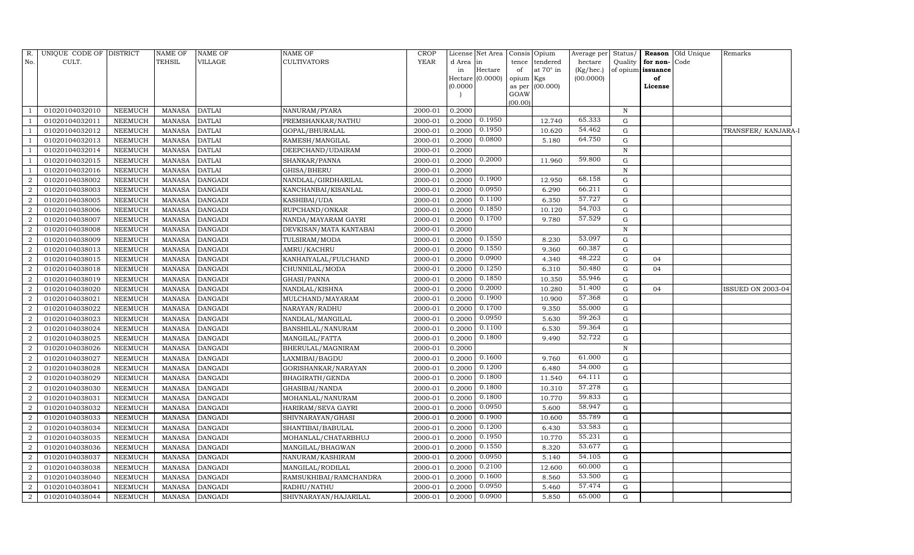| R.                          | UNIQUE CODE OF DISTRICT |                | <b>NAME OF</b> | <b>NAME OF</b> | <b>NAME OF</b>         | <b>CROP</b> |          | License Net Area | Consis          | Opium           | Average per Status/ |              |                   | <b>Reason</b> Old Unique | Remarks                  |
|-----------------------------|-------------------------|----------------|----------------|----------------|------------------------|-------------|----------|------------------|-----------------|-----------------|---------------------|--------------|-------------------|--------------------------|--------------------------|
| No.                         | CULT.                   |                | TEHSIL         | VILLAGE        | CULTIVATORS            | <b>YEAR</b> | d Area   | in               | tence           | tendered        | hectare             | Quality      | for non-Code      |                          |                          |
|                             |                         |                |                |                |                        |             | in       | Hectare          | of              | at 70° in       | (Kg/hec.)           |              | of opium issuance |                          |                          |
|                             |                         |                |                |                |                        |             | (0.0000) | Hectare (0.0000) | opium<br>as per | Kgs<br>(00.000) | (00.0000)           |              | of<br>License     |                          |                          |
|                             |                         |                |                |                |                        |             |          |                  | GOAW            |                 |                     |              |                   |                          |                          |
|                             |                         |                |                |                |                        |             |          |                  | (00.00)         |                 |                     |              |                   |                          |                          |
|                             | 01020104032010          | <b>NEEMUCH</b> | MANASA         | <b>DATLAI</b>  | NANURAM/PYARA          | 2000-01     | 0.2000   |                  |                 |                 |                     | $\, {\rm N}$ |                   |                          |                          |
|                             | 01020104032011          | <b>NEEMUCH</b> | MANASA         | <b>DATLAI</b>  | PREMSHANKAR/NATHU      | 2000-01     | 0.2000   | 0.1950           |                 | 12.740          | 65.333              | G            |                   |                          |                          |
|                             | 01020104032012          | <b>NEEMUCH</b> | <b>MANASA</b>  | <b>DATLAI</b>  | GOPAL/BHURALAL         | 2000-01     | 0.2000   | 0.1950           |                 | 10.620          | 54.462              | G            |                   |                          | TRANSFER/KANJARA-I       |
|                             | 01020104032013          | <b>NEEMUCH</b> | MANASA         | <b>DATLAI</b>  | RAMESH/MANGILAL        | 2000-01     | 0.2000   | 0.0800           |                 | 5.180           | 64.750              | $\mathbf G$  |                   |                          |                          |
|                             | 01020104032014          | <b>NEEMUCH</b> | <b>MANASA</b>  | <b>DATLAI</b>  | DEEPCHAND/UDAIRAM      | 2000-01     | 0.2000   |                  |                 |                 |                     | $\mathbf N$  |                   |                          |                          |
|                             | 01020104032015          | <b>NEEMUCH</b> | <b>MANASA</b>  | <b>DATLAI</b>  | SHANKAR/PANNA          | 2000-01     | 0.2000   | 0.2000           |                 | 11.960          | 59.800              | G            |                   |                          |                          |
|                             | 01020104032016          | <b>NEEMUCH</b> | <b>MANASA</b>  | <b>DATLAI</b>  | GHISA/BHERU            | 2000-01     | 0.2000   |                  |                 |                 |                     | ${\bf N}$    |                   |                          |                          |
| $\overline{2}$              | 01020104038002          | <b>NEEMUCH</b> | <b>MANASA</b>  | <b>DANGADI</b> | NANDLAL/GIRDHARILAL    | 2000-01     | 0.2000   | 0.1900           |                 | 12.950          | 68.158              | $\mathbf G$  |                   |                          |                          |
| $\mathcal{D}_{\mathcal{L}}$ | 01020104038003          | <b>NEEMUCH</b> | <b>MANASA</b>  | <b>DANGADI</b> | KANCHANBAI/KISANLAL    | 2000-01     | 0.2000   | 0.0950           |                 | 6.290           | 66.211              | $\mathbf G$  |                   |                          |                          |
|                             | 01020104038005          | <b>NEEMUCH</b> | <b>MANASA</b>  | <b>DANGADI</b> | KASHIBAI/UDA           | 2000-01     | 0.2000   | 0.1100           |                 | 6.350           | 57.727              | G            |                   |                          |                          |
| $\overline{2}$              | 01020104038006          | <b>NEEMUCH</b> | <b>MANASA</b>  | <b>DANGADI</b> | RUPCHAND/ONKAR         | 2000-01     | 0.2000   | 0.1850           |                 | 10.120          | 54.703              | ${\rm G}$    |                   |                          |                          |
| $\mathcal{D}$               | 01020104038007          | <b>NEEMUCH</b> | <b>MANASA</b>  | <b>DANGADI</b> | NANDA/MAYARAM GAYRI    | 2000-01     | 0.2000   | 0.1700           |                 | 9.780           | 57.529              | $\mathbf G$  |                   |                          |                          |
| $\mathcal{D}_{\mathcal{L}}$ | 01020104038008          | <b>NEEMUCH</b> | <b>MANASA</b>  | <b>DANGADI</b> | DEVKISAN/MATA KANTABAI | 2000-01     | 0.2000   |                  |                 |                 |                     | $\mathbf N$  |                   |                          |                          |
| $\mathcal{D}$               | 01020104038009          | <b>NEEMUCH</b> | <b>MANASA</b>  | <b>DANGADI</b> | TULSIRAM/MODA          | 2000-01     | 0.2000   | 0.1550           |                 | 8.230           | 53.097              | G            |                   |                          |                          |
| $\mathcal{D}_{\mathcal{L}}$ | 01020104038013          | <b>NEEMUCH</b> | <b>MANASA</b>  | <b>DANGADI</b> | AMRU/KACHRU            | 2000-01     | 0.2000   | 0.1550           |                 | 9.360           | 60.387              | ${\rm G}$    |                   |                          |                          |
| $\mathcal{D}_{\mathcal{L}}$ | 01020104038015          | <b>NEEMUCH</b> | <b>MANASA</b>  | <b>DANGADI</b> | KANHAIYALAL/FULCHAND   | 2000-01     | 0.2000   | 0.0900           |                 | 4.340           | 48.222              | ${\rm G}$    | 04                |                          |                          |
|                             | 01020104038018          | <b>NEEMUCH</b> | <b>MANASA</b>  | <b>DANGADI</b> | CHUNNILAL/MODA         | 2000-01     | 0.2000   | 0.1250           |                 | 6.310           | 50.480              | G            | 04                |                          |                          |
|                             | 01020104038019          | <b>NEEMUCH</b> | <b>MANASA</b>  | <b>DANGADI</b> | GHASI/PANNA            | 2000-01     | 0.2000   | 0.1850           |                 | 10.350          | 55.946              | ${\rm G}$    |                   |                          |                          |
| $\mathbf{2}$                | 01020104038020          | <b>NEEMUCH</b> | <b>MANASA</b>  | <b>DANGADI</b> | NANDLAL/KISHNA         | 2000-01     | 0.2000   | 0.2000           |                 | 10.280          | 51.400              | G            | 04                |                          | <b>ISSUED ON 2003-04</b> |
| $\mathcal{D}_{\mathcal{L}}$ | 01020104038021          | <b>NEEMUCH</b> | <b>MANASA</b>  | <b>DANGADI</b> | MULCHAND/MAYARAM       | 2000-01     | 0.2000   | 0.1900           |                 | 10.900          | 57.368              | ${\rm G}$    |                   |                          |                          |
|                             | 01020104038022          | <b>NEEMUCH</b> | <b>MANASA</b>  | <b>DANGADI</b> | NARAYAN/RADHU          | 2000-01     | 0.2000   | 0.1700           |                 | 9.350           | 55.000              | ${\rm G}$    |                   |                          |                          |
| $\overline{2}$              | 01020104038023          | <b>NEEMUCH</b> | <b>MANASA</b>  | <b>DANGADI</b> | NANDLAL/MANGILAL       | 2000-01     | 0.2000   | 0.0950           |                 | 5.630           | 59.263              | $\mathbf G$  |                   |                          |                          |
| $\overline{2}$              | 01020104038024          | <b>NEEMUCH</b> | <b>MANASA</b>  | <b>DANGADI</b> | BANSHILAL/NANURAM      | 2000-01     | 0.2000   | 0.1100           |                 | 6.530           | 59.364              | $\mathbf G$  |                   |                          |                          |
| $\overline{2}$              | 01020104038025          | <b>NEEMUCH</b> | <b>MANASA</b>  | <b>DANGADI</b> | MANGILAL/FATTA         | 2000-01     | 0.2000   | 0.1800           |                 | 9.490           | 52.722              | $\mathbf G$  |                   |                          |                          |
|                             | 01020104038026          | <b>NEEMUCH</b> | <b>MANASA</b>  | <b>DANGADI</b> | BHERULAL/MAGNIRAM      | 2000-01     | 0.2000   |                  |                 |                 |                     | $\, {\rm N}$ |                   |                          |                          |
| $\overline{2}$              | 01020104038027          | <b>NEEMUCH</b> | <b>MANASA</b>  | <b>DANGADI</b> | LAXMIBAI/BAGDU         | 2000-01     | 0.2000   | 0.1600           |                 | 9.760           | 61.000              | G            |                   |                          |                          |
| 2                           | 01020104038028          | NEEMUCH        | <b>MANASA</b>  | <b>DANGADI</b> | GORISHANKAR/NARAYAN    | 2000-01     | 0.2000   | 0.1200           |                 | 6.480           | 54.000              | ${\rm G}$    |                   |                          |                          |
|                             | 01020104038029          | <b>NEEMUCH</b> | <b>MANASA</b>  | <b>DANGADI</b> | BHAGIRATH/GENDA        | 2000-01     | 0.2000   | 0.1800           |                 | 11.540          | 64.111              | ${\rm G}$    |                   |                          |                          |
| $\overline{2}$              | 01020104038030          | <b>NEEMUCH</b> | <b>MANASA</b>  | <b>DANGADI</b> | GHASIBAI/NANDA         | 2000-01     | 0.2000   | 0.1800           |                 | 10.310          | 57.278              | ${\rm G}$    |                   |                          |                          |
| $\overline{2}$              | 01020104038031          | <b>NEEMUCH</b> | <b>MANASA</b>  | <b>DANGADI</b> | MOHANLAL/NANURAM       | 2000-01     | 0.2000   | 0.1800           |                 | 10.770          | 59.833              | G            |                   |                          |                          |
| $\mathcal{D}$               | 01020104038032          | NEEMUCH        | <b>MANASA</b>  | <b>DANGADI</b> | HARIRAM/SEVA GAYRI     | 2000-01     | 0.2000   | 0.0950           |                 | 5.600           | 58.947              | ${\rm G}$    |                   |                          |                          |
|                             | 01020104038033          | <b>NEEMUCH</b> | <b>MANASA</b>  | <b>DANGADI</b> | SHIVNARAYAN/GHASI      | 2000-01     | 0.2000   | 0.1900           |                 | 10.600          | 55.789              | ${\rm G}$    |                   |                          |                          |
|                             | 01020104038034          | <b>NEEMUCH</b> | <b>MANASA</b>  | <b>DANGADI</b> | SHANTIBAI/BABULAL      | 2000-01     | 0.2000   | 0.1200           |                 | 6.430           | 53.583              | G            |                   |                          |                          |
| $\mathcal{D}$               | 01020104038035          | NEEMUCH        | <b>MANASA</b>  | <b>DANGADI</b> | MOHANLAL/CHATARBHUJ    | 2000-01     | 0.2000   | 0.1950           |                 | 10.770          | 55.231              | ${\rm G}$    |                   |                          |                          |
| $\mathcal{D}$               | 01020104038036          | NEEMUCH        | <b>MANASA</b>  | <b>DANGADI</b> | MANGILAL/BHAGWAN       | 2000-01     | 0.2000   | 0.1550           |                 | 8.320           | 53.677              | ${\rm G}$    |                   |                          |                          |
|                             | 01020104038037          | <b>NEEMUCH</b> | <b>MANASA</b>  | <b>DANGADI</b> | NANURAM/KASHIRAM       | 2000-01     | 0.2000   | 0.0950           |                 | 5.140           | 54.105              | ${\rm G}$    |                   |                          |                          |
| $\mathcal{D}$               | 01020104038038          | <b>NEEMUCH</b> | <b>MANASA</b>  | <b>DANGADI</b> | MANGILAL/RODILAL       | 2000-01     | 0.2000   | 0.2100           |                 | 12.600          | 60.000              | $\mathbf G$  |                   |                          |                          |
| 2                           | 01020104038040          | NEEMUCH        | <b>MANASA</b>  | <b>DANGADI</b> | RAMSUKHIBAI/RAMCHANDRA | 2000-01     | 0.2000   | 0.1600           |                 | 8.560           | 53.500              | ${\rm G}$    |                   |                          |                          |
| $\mathcal{D}$               | 01020104038041          | <b>NEEMUCH</b> | <b>MANASA</b>  | <b>DANGADI</b> | RADHU/NATHU            | 2000-01     | 0.2000   | 0.0950           |                 | 5.460           | 57.474              | G            |                   |                          |                          |
| $\overline{2}$              | 01020104038044          | <b>NEEMUCH</b> |                | MANASA DANGADI | SHIVNARAYAN/HAJARILAL  | 2000-01     | 0.2000   | 0.0900           |                 | 5.850           | 65.000              | G            |                   |                          |                          |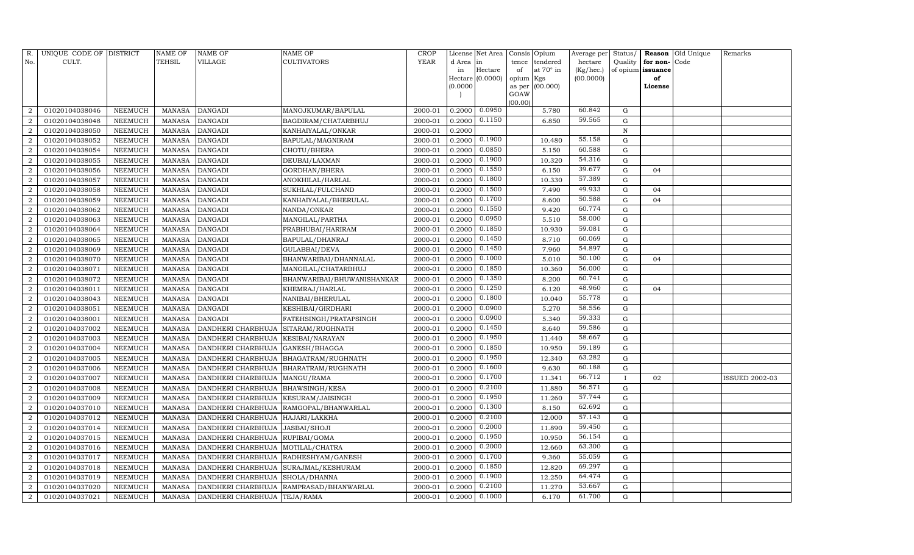| R.                     | UNIQUE CODE OF DISTRICT |                | NAME OF       | NAME OF                          | NAME OF                    | CROP        |           | License Net Area   |                | Consis Opium | Average per | Status/      |          | Reason Old Unique | Remarks               |
|------------------------|-------------------------|----------------|---------------|----------------------------------|----------------------------|-------------|-----------|--------------------|----------------|--------------|-------------|--------------|----------|-------------------|-----------------------|
| No.                    | CULT.                   |                | TEHSIL        | VILLAGE                          | CULTIVATORS                | <b>YEAR</b> | d Area in |                    | tence          | tendered     | hectare     | Quality      | for non- | Code              |                       |
|                        |                         |                |               |                                  |                            |             | in        | Hectare            | of             | at 70° in    | (Kg/hec.)   | of opium     | issuance |                   |                       |
|                        |                         |                |               |                                  |                            |             |           | Hectare $(0.0000)$ | opium Kgs      |              | (00.0000)   |              | of       |                   |                       |
|                        |                         |                |               |                                  |                            |             | (0.0000)  |                    | as per<br>GOAW | (00.000)     |             |              | License  |                   |                       |
|                        |                         |                |               |                                  |                            |             |           |                    | (00.00)        |              |             |              |          |                   |                       |
| 2                      | 01020104038046          | NEEMUCH        | MANASA        | DANGADI                          | MANOJKUMAR/BAPULAL         | 2000-01     | 0.2000    | 0.0950             |                | 5.780        | 60.842      | G            |          |                   |                       |
| $\overline{2}$         | 01020104038048          | NEEMUCH        | <b>MANASA</b> | <b>DANGADI</b>                   | BAGDIRAM/CHATARBHUJ        | 2000-01     | 0.2000    | 0.1150             |                | 6.850        | 59.565      | G            |          |                   |                       |
| 2                      | 01020104038050          | NEEMUCH        | <b>MANASA</b> | <b>DANGADI</b>                   | KANHAIYALAL/ONKAR          | 2000-01     | 0.2000    |                    |                |              |             | $\, {\rm N}$ |          |                   |                       |
| 2                      | 01020104038052          | NEEMUCH        | <b>MANASA</b> | <b>DANGADI</b>                   | BAPULAL/MAGNIRAM           | 2000-01     | 0.2000    | 0.1900             |                | 10.480       | 55.158      | ${\rm G}$    |          |                   |                       |
| $\overline{2}$         | 01020104038054          | NEEMUCH        | <b>MANASA</b> | <b>DANGADI</b>                   | CHOTU/BHERA                | 2000-01     | 0.2000    | 0.0850             |                | 5.150        | 60.588      | G            |          |                   |                       |
| $\overline{2}$         | 01020104038055          | NEEMUCH        | <b>MANASA</b> | <b>DANGADI</b>                   | DEUBAI/LAXMAN              | 2000-01     | 0.2000    | 0.1900             |                | 10.320       | 54.316      | ${\rm G}$    |          |                   |                       |
| $\mathcal{D}$          | 01020104038056          | NEEMUCH        | <b>MANASA</b> | <b>DANGADI</b>                   | GORDHAN/BHERA              | 2000-01     | 0.2000    | 0.1550             |                | 6.150        | 39.677      | G            | 04       |                   |                       |
| 2                      | 01020104038057          | NEEMUCH        | <b>MANASA</b> | DANGADI                          | ANOKHILAL/HARLAL           | 2000-01     | 0.2000    | 0.1800             |                | 10.330       | 57.389      | G            |          |                   |                       |
| $\mathcal{D}_{\alpha}$ | 01020104038058          | NEEMUCH        | <b>MANASA</b> | DANGADI                          | SUKHLAL/FULCHAND           | 2000-01     | 0.2000    | 0.1500             |                | 7.490        | 49.933      | G            | 04       |                   |                       |
| $\overline{2}$         | 01020104038059          | NEEMUCH        | <b>MANASA</b> | <b>DANGADI</b>                   | KANHAIYALAL/BHERULAL       | 2000-01     | 0.2000    | 0.1700             |                | 8.600        | 50.588      | G            | 04       |                   |                       |
| $\overline{2}$         | 01020104038062          | NEEMUCH        | <b>MANASA</b> | <b>DANGADI</b>                   | NANDA/ONKAR                | 2000-01     | 0.2000    | 0.1550             |                | 9.420        | 60.774      | G            |          |                   |                       |
| $\mathcal{D}$          | 01020104038063          | NEEMUCH        | <b>MANASA</b> | <b>DANGADI</b>                   | MANGILAL/PARTHA            | 2000-01     | 0.2000    | 0.0950             |                | 5.510        | 58.000      | G            |          |                   |                       |
|                        | 01020104038064          | NEEMUCH        | <b>MANASA</b> | <b>DANGADI</b>                   | PRABHUBAI/HARIRAM          | 2000-01     | 0.2000    | 0.1850             |                | 10.930       | 59.081      | G            |          |                   |                       |
| 2                      | 01020104038065          | NEEMUCH        | <b>MANASA</b> | <b>DANGADI</b>                   | BAPULAL/DHANRAJ            | 2000-01     | 0.2000    | 0.1450             |                | 8.710        | 60.069      | G            |          |                   |                       |
| $\overline{2}$         | 01020104038069          | NEEMUCH        | <b>MANASA</b> | <b>DANGADI</b>                   | GULABBAI/DEVA              | 2000-01     | 0.2000    | 0.1450             |                | 7.960        | 54.897      | ${\rm G}$    |          |                   |                       |
| $\overline{2}$         | 01020104038070          | NEEMUCH        | <b>MANASA</b> | <b>DANGADI</b>                   | BHANWARIBAI/DHANNALAL      | 2000-01     | 0.2000    | 0.1000             |                | 5.010        | 50.100      | $\mathbf G$  | 04       |                   |                       |
| $\overline{2}$         | 01020104038071          | NEEMUCH        | <b>MANASA</b> | <b>DANGADI</b>                   | MANGILAL/CHATARBHUJ        | 2000-01     | 0.2000    | 0.1850             |                | 10.360       | 56.000      | ${\rm G}$    |          |                   |                       |
| $\overline{2}$         | 01020104038072          | NEEMUCH        | <b>MANASA</b> | <b>DANGADI</b>                   | BHANWARIBAI/BHUWANISHANKAR | 2000-01     | 0.2000    | 0.1350             |                | 8.200        | 60.741      | G            |          |                   |                       |
| 2                      | 01020104038011          | NEEMUCH        | <b>MANASA</b> | DANGADI                          | KHEMRAJ/HARLAL             | 2000-01     | 0.2000    | 0.1250             |                | 6.120        | 48.960      | ${\rm G}$    | 04       |                   |                       |
| $\overline{2}$         | 01020104038043          | <b>NEEMUCH</b> | <b>MANASA</b> | DANGADI                          | NANIBAI/BHERULAL           | 2000-01     | 0.2000    | 0.1800             |                | 10.040       | 55.778      | $\mathbf G$  |          |                   |                       |
| $\overline{2}$         | 01020104038051          | NEEMUCH        | <b>MANASA</b> | <b>DANGADI</b>                   | KESHIBAI/GIRDHARI          | 2000-01     | 0.2000    | 0.0900             |                | 5.270        | 58.556      | G            |          |                   |                       |
| $\overline{2}$         | 01020104038001          | NEEMUCH        | <b>MANASA</b> | <b>DANGADI</b>                   | FATEHSINGH/PRATAPSINGH     | 2000-01     | 0.2000    | 0.0900             |                | 5.340        | 59.333      | G            |          |                   |                       |
| 2                      | 01020104037002          | NEEMUCH        | <b>MANASA</b> | DANDHERI CHARBHUJA               | SITARAM/RUGHNATH           | 2000-01     | 0.2000    | 0.1450             |                | 8.640        | 59.586      | G            |          |                   |                       |
| $\overline{2}$         | 01020104037003          | NEEMUCH        | <b>MANASA</b> | DANDHERI CHARBHUJA               | KESIBAI/NARAYAN            | 2000-01     | 0.2000    | 0.1950             |                | 11.440       | 58.667      | ${\rm G}$    |          |                   |                       |
| 2                      | 01020104037004          | <b>NEEMUCH</b> | <b>MANASA</b> | DANDHERI CHARBHUJA               | GANESH/BHAGGA              | 2000-01     | 0.2000    | 0.1850             |                | 10.950       | 59.189      | ${\rm G}$    |          |                   |                       |
| 2                      | 01020104037005          | NEEMUCH        | <b>MANASA</b> | DANDHERI CHARBHUJA               | BHAGATRAM/RUGHNATH         | 2000-01     | 0.2000    | 0.1950             |                | 12.340       | 63.282      | G            |          |                   |                       |
| 2                      | 01020104037006          | NEEMUCH        | <b>MANASA</b> | DANDHERI CHARBHUJA               | BHARATRAM/RUGHNATH         | 2000-01     | 0.2000    | 0.1600             |                | 9.630        | 60.188      | G            |          |                   |                       |
| $\overline{2}$         | 01020104037007          | <b>NEEMUCH</b> | <b>MANASA</b> | DANDHERI CHARBHUJA               | MANGU/RAMA                 | 2000-01     | 0.2000    | 0.1700             |                | 11.341       | 66.712      | $\mathbf{I}$ | 02       |                   | <b>ISSUED 2002-03</b> |
| $\overline{2}$         | 01020104037008          | NEEMUCH        | <b>MANASA</b> | DANDHERI CHARBHUJA               | <b>BHAWSINGH/KESA</b>      | 2000-01     | 0.2000    | 0.2100             |                | 11.880       | 56.571      | G            |          |                   |                       |
| 2                      | 01020104037009          | <b>NEEMUCH</b> | <b>MANASA</b> | DANDHERI CHARBHUJA               | KESURAM/JAISINGH           | 2000-01     | 0.2000    | 0.1950             |                | 11.260       | 57.744      | G            |          |                   |                       |
| $\mathcal{D}$          | 01020104037010          | <b>NEEMUCH</b> | <b>MANASA</b> | DANDHERI CHARBHUJA               | RAMGOPAL/BHANWARLAL        | 2000-01     | 0.2000    | 0.1300             |                | 8.150        | 62.692      | G            |          |                   |                       |
| 2                      | 01020104037012          | NEEMUCH        | MANASA        | DANDHERI CHARBHUJA HAJARI/LAKKHA |                            | 2000-01     | 0.2000    | 0.2100             |                | 12.000       | 57.143      | G            |          |                   |                       |
| $\overline{2}$         | 01020104037014          | NEEMUCH        | <b>MANASA</b> | DANDHERI CHARBHUJA               | JASBAI/SHOJI               | 2000-01     | 0.2000    | 0.2000             |                | 11.890       | 59.450      | G            |          |                   |                       |
| 2                      | 01020104037015          | NEEMUCH        | <b>MANASA</b> | DANDHERI CHARBHUJA               | RUPIBAI/GOMA               | 2000-01     | 0.2000    | 0.1950             |                | 10.950       | 56.154      | G            |          |                   |                       |
| $\overline{2}$         | 01020104037016          | <b>NEEMUCH</b> | <b>MANASA</b> | DANDHERI CHARBHUJA               | MOTILAL/CHATRA             | 2000-01     | 0.2000    | 0.2000             |                | 12.660       | 63.300      | ${\rm G}$    |          |                   |                       |
| $\overline{2}$         | 01020104037017          | <b>NEEMUCH</b> | <b>MANASA</b> | DANDHERI CHARBHUJA               | RADHESHYAM/GANESH          | 2000-01     | 0.2000    | 0.1700             |                | 9.360        | 55.059      | ${\rm G}$    |          |                   |                       |
| 2                      | 01020104037018          | NEEMUCH        | <b>MANASA</b> | DANDHERI CHARBHUJA               | SURAJMAL/KESHURAM          | 2000-01     | 0.2000    | 0.1850             |                | 12.820       | 69.297      | ${\rm G}$    |          |                   |                       |
| $\overline{2}$         | 01020104037019          | NEEMUCH        | <b>MANASA</b> | DANDHERI CHARBHUJA               | SHOLA/DHANNA               | 2000-01     | 0.2000    | 0.1900             |                | 12.250       | 64.474      | G            |          |                   |                       |
| $\overline{2}$         | 01020104037020          | NEEMUCH        | <b>MANASA</b> | DANDHERI CHARBHUJA               | RAMPRASAD/BHANWARLAL       | 2000-01     | 0.2000    | 0.2100             |                | 11.270       | 53.667      | ${\rm G}$    |          |                   |                       |
| $\overline{a}$         | 01020104037021          | NEEMUCH        | MANASA        | DANDHERI CHARBHUJA TEJA/RAMA     |                            | 2000-01     | 0.2000    | 0.1000             |                | 6.170        | 61.700      | G            |          |                   |                       |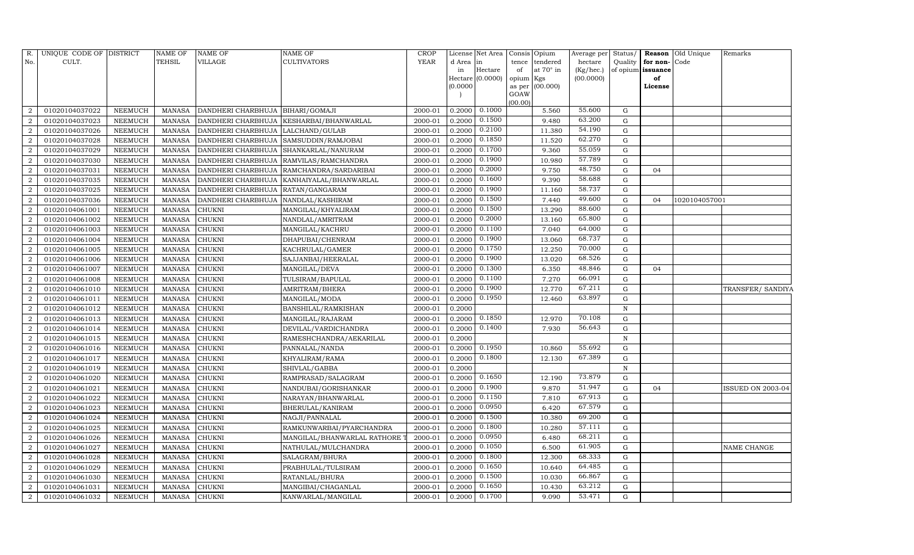| R.             | UNIQUE CODE OF DISTRICT |                | <b>NAME OF</b> | <b>NAME OF</b>                        | <b>NAME OF</b>                              | <b>CROP</b> |          | License Net Area |           | Consis Opium    | Average per | Status/      |                   | Reason Old Unique | Remarks           |
|----------------|-------------------------|----------------|----------------|---------------------------------------|---------------------------------------------|-------------|----------|------------------|-----------|-----------------|-------------|--------------|-------------------|-------------------|-------------------|
| No.            | CULT.                   |                | TEHSIL         | VILLAGE                               | <b>CULTIVATORS</b>                          | <b>YEAR</b> | d Area   | in               | tence     | tendered        | hectare     | Quality      | for non-Code      |                   |                   |
|                |                         |                |                |                                       |                                             |             | in       | Hectare          | of        | at 70° in       | (Kg/hec.)   |              | of opium issuance |                   |                   |
|                |                         |                |                |                                       |                                             |             |          | Hectare (0.0000) | opium Kgs |                 | (00.0000)   |              | of                |                   |                   |
|                |                         |                |                |                                       |                                             |             | (0.0000) |                  | GOAW      | as per (00.000) |             |              | License           |                   |                   |
|                |                         |                |                |                                       |                                             |             |          |                  | (00.00)   |                 |             |              |                   |                   |                   |
|                | 01020104037022          | NEEMUCH        | MANASA         | DANDHERI CHARBHUJA   BIHARI/GOMAJI    |                                             | 2000-01     | 0.2000   | 0.1000           |           | 5.560           | 55.600      | G            |                   |                   |                   |
|                | 01020104037023          | <b>NEEMUCH</b> | MANASA         |                                       | DANDHERI CHARBHUJA KESHARBAI/BHANWARLAL     | 2000-01     | 0.2000   | 0.1500           |           | 9.480           | 63.200      | $\mathbf G$  |                   |                   |                   |
| 2              | 01020104037026          | <b>NEEMUCH</b> | MANASA         | DANDHERI CHARBHUJA LALCHAND/GULAB     |                                             | 2000-01     | 0.2000   | 0.2100           |           | 11.380          | 54.190      | $\mathbf G$  |                   |                   |                   |
| $\overline{2}$ | 01020104037028          | <b>NEEMUCH</b> | MANASA         | DANDHERI CHARBHUJA SAMSUDDIN/RAMJOBAI |                                             | 2000-01     | 0.2000   | 0.1850           |           | 11.520          | 62.270      | ${\rm G}$    |                   |                   |                   |
| 2              | 01020104037029          | <b>NEEMUCH</b> | <b>MANASA</b>  | DANDHERI CHARBHUJA SHANKARLAL/NANURAM |                                             | 2000-01     | 0.2000   | 0.1700           |           | 9.360           | 55.059      | $\mathbf G$  |                   |                   |                   |
|                | 01020104037030          | <b>NEEMUCH</b> | MANASA         |                                       | DANDHERI CHARBHUJA RAMVILAS/RAMCHANDRA      | 2000-01     | 0.2000   | 0.1900           |           | 10.980          | 57.789      | ${\rm G}$    |                   |                   |                   |
| $\overline{2}$ | 01020104037031          | NEEMUCH        | <b>MANASA</b>  |                                       | DANDHERI CHARBHUJA   RAMCHANDRA/SARDARIBAI  | 2000-01     | 0.2000   | 0.2000           |           | 9.750           | 48.750      | ${\rm G}$    | 04                |                   |                   |
| 2              | 01020104037035          | <b>NEEMUCH</b> | MANASA         |                                       | DANDHERI CHARBHUJA   KANHAIYALAL/BHANWARLAL | 2000-01     | 0.2000   | 0.1600           |           | 9.390           | 58.688      | ${\rm G}$    |                   |                   |                   |
| $\overline{2}$ | 01020104037025          | <b>NEEMUCH</b> | <b>MANASA</b>  | DANDHERI CHARBHUJA                    | RATAN/GANGARAM                              | 2000-01     | 0.2000   | 0.1900           |           | 11.160          | 58.737      | G            |                   |                   |                   |
|                | 01020104037036          | <b>NEEMUCH</b> | MANASA         | DANDHERI CHARBHUJA   NANDLAL/KASHIRAM |                                             | 2000-01     | 0.2000   | 0.1500           |           | 7.440           | 49.600      | ${\rm G}$    | 04                | 1020104057001     |                   |
| $\overline{2}$ | 01020104061001          | NEEMUCH        | <b>MANASA</b>  | <b>CHUKNI</b>                         | MANGILAL/KHYALIRAM                          | 2000-01     | 0.2000   | 0.1500           |           | 13.290          | 88.600      | ${\rm G}$    |                   |                   |                   |
| $\overline{2}$ | 01020104061002          | NEEMUCH        | MANASA         | <b>CHUKNI</b>                         | NANDLAL/AMRITRAM                            | 2000-01     | 0.2000   | 0.2000           |           | 13.160          | 65.800      | $\mathbf G$  |                   |                   |                   |
| $\overline{2}$ | 01020104061003          | <b>NEEMUCH</b> | <b>MANASA</b>  | <b>CHUKNI</b>                         | MANGILAL/KACHRU                             | 2000-01     | 0.2000   | 0.1100           |           | 7.040           | 64.000      | $\mathbf G$  |                   |                   |                   |
| $\overline{2}$ | 01020104061004          | <b>NEEMUCH</b> | <b>MANASA</b>  | <b>CHUKNI</b>                         | DHAPUBAI/CHENRAM                            | 2000-01     | 0.2000   | 0.1900           |           | 13.060          | 68.737      | $\mathbf G$  |                   |                   |                   |
| $\overline{2}$ | 01020104061005          | NEEMUCH        | MANASA         | <b>CHUKNI</b>                         | KACHRULAL/GAMER                             | 2000-01     | 0.2000   | 0.1750           |           | 12.250          | 70.000      | ${\rm G}$    |                   |                   |                   |
| 2              | 01020104061006          | NEEMUCH        | <b>MANASA</b>  | <b>CHUKNI</b>                         | SAJJANBAI/HEERALAL                          | 2000-01     | 0.2000   | 0.1900           |           | 13.020          | 68.526      | ${\rm G}$    |                   |                   |                   |
|                | 01020104061007          | NEEMUCH        | <b>MANASA</b>  | <b>CHUKNI</b>                         | MANGILAL/DEVA                               | 2000-01     | 0.2000   | 0.1300           |           | 6.350           | 48.846      | ${\rm G}$    | 04                |                   |                   |
|                | 01020104061008          | <b>NEEMUCH</b> | <b>MANASA</b>  | <b>CHUKNI</b>                         | TULSIRAM/BAPULAL                            | 2000-01     | 0.2000   | 0.1100           |           | 7.270           | 66.091      | $\mathbf G$  |                   |                   |                   |
| $\overline{2}$ | 01020104061010          | <b>NEEMUCH</b> | <b>MANASA</b>  | <b>CHUKNI</b>                         | AMRITRAM/BHERA                              | 2000-01     | 0.2000   | 0.1900           |           | 12.770          | 67.211      | ${\rm G}$    |                   |                   | TRANSFER/ SANDIYA |
| $\overline{2}$ | 01020104061011          | <b>NEEMUCH</b> | <b>MANASA</b>  | <b>CHUKNI</b>                         | MANGILAL/MODA                               | 2000-01     | 0.2000   | 0.1950           |           | 12.460          | 63.897      | $\mathbf G$  |                   |                   |                   |
|                | 01020104061012          | <b>NEEMUCH</b> | MANASA         | <b>CHUKNI</b>                         | BANSHILAL/RAMKISHAN                         | 2000-01     | 0.2000   |                  |           |                 |             | $\, {\rm N}$ |                   |                   |                   |
| $\overline{2}$ | 01020104061013          | <b>NEEMUCH</b> | MANASA         | <b>CHUKNI</b>                         | MANGILAL/RAJARAM                            | 2000-01     | 0.2000   | 0.1850           |           | 12.970          | 70.108      | G            |                   |                   |                   |
| $\overline{2}$ | 01020104061014          | NEEMUCH        | MANASA         | <b>CHUKNI</b>                         | DEVILAL/VARDICHANDRA                        | 2000-01     | 0.2000   | 0.1400           |           | 7.930           | 56.643      | $\mathbf G$  |                   |                   |                   |
| $\overline{2}$ | 01020104061015          | <b>NEEMUCH</b> | <b>MANASA</b>  | <b>CHUKNI</b>                         | RAMESHCHANDRA/AEKARILAL                     | 2000-01     | 0.2000   |                  |           |                 |             | $\mathbf N$  |                   |                   |                   |
| $\overline{2}$ | 01020104061016          | NEEMUCH        | <b>MANASA</b>  | <b>CHUKNI</b>                         | PANNALAL/NANDA                              | 2000-01     | 0.2000   | 0.1950           |           | 10.860          | 55.692      | $\mathbf G$  |                   |                   |                   |
| $\overline{2}$ | 01020104061017          | NEEMUCH        | MANASA         | <b>CHUKNI</b>                         | KHYALIRAM/RAMA                              | 2000-01     | 0.2000   | 0.1800           |           | 12.130          | 67.389      | G            |                   |                   |                   |
| 2              | 01020104061019          | NEEMUCH        | MANASA         | <b>CHUKNI</b>                         | SHIVLAL/GABBA                               | 2000-01     | 0.2000   |                  |           |                 |             | $\mathbf N$  |                   |                   |                   |
| $\overline{2}$ | 01020104061020          | <b>NEEMUCH</b> | <b>MANASA</b>  | <b>CHUKNI</b>                         | RAMPRASAD/SALAGRAM                          | 2000-01     | 0.2000   | 0.1650           |           | 12.190          | 73.879      | $\mathbf G$  |                   |                   |                   |
| $\overline{2}$ | 01020104061021          | NEEMUCH        | <b>MANASA</b>  | <b>CHUKNI</b>                         | NANDUBAI/GORISHANKAR                        | 2000-01     | 0.2000   | 0.1900           |           | 9.870           | 51.947      | ${\rm G}$    | 04                |                   | ISSUED ON 2003-04 |
| $\overline{2}$ | 01020104061022          | <b>NEEMUCH</b> | <b>MANASA</b>  | <b>CHUKNI</b>                         | NARAYAN/BHANWARLAL                          | 2000-01     | 0.2000   | 0.1150           |           | 7.810           | 67.913      | ${\rm G}$    |                   |                   |                   |
| $\overline{2}$ | 01020104061023          | <b>NEEMUCH</b> | <b>MANASA</b>  | <b>CHUKNI</b>                         | BHERULAL/KANIRAM                            | 2000-01     | 0.2000   | 0.0950           |           | 6.420           | 67.579      | $\mathbf G$  |                   |                   |                   |
|                | 01020104061024          | <b>NEEMUCH</b> | <b>MANASA</b>  | <b>CHUKNI</b>                         | NAGJI/PANNALAL                              | 2000-01     | 0.2000   | 0.1500           |           | 10.380          | 69.200      | $\mathbf G$  |                   |                   |                   |
| $\mathcal{D}$  | 01020104061025          | <b>NEEMUCH</b> | <b>MANASA</b>  | <b>CHUKNI</b>                         | RAMKUNWARBAI/PYARCHANDRA                    | 2000-01     | 0.2000   | 0.1800           |           | 10.280          | 57.111      | ${\rm G}$    |                   |                   |                   |
| $\mathcal{D}$  | 01020104061026          | NEEMUCH        | <b>MANASA</b>  | CHUKNI                                | MANGILAL/BHANWARLAL RATHORE                 | 2000-01     | 0.2000   | 0.0950           |           | 6.480           | 68.211      | ${\rm G}$    |                   |                   |                   |
| 2              | 01020104061027          | NEEMUCH        | <b>MANASA</b>  | <b>CHUKNI</b>                         | NATHULAL/MULCHANDRA                         | 2000-01     | 0.2000   | 0.1050           |           | 6.500           | 61.905      | ${\rm G}$    |                   |                   | NAME CHANGE       |
| $\overline{2}$ | 01020104061028          | <b>NEEMUCH</b> | <b>MANASA</b>  | <b>CHUKNI</b>                         | SALAGRAM/BHURA                              | 2000-01     | 0.2000   | 0.1800           |           | 12.300          | 68.333      | ${\rm G}$    |                   |                   |                   |
| $\mathcal{D}$  | 01020104061029          | NEEMUCH        | MANASA         | <b>CHUKNI</b>                         | PRABHULAL/TULSIRAM                          | 2000-01     | 0.2000   | 0.1650           |           | 10.640          | 64.485      | G            |                   |                   |                   |
| 2              | 01020104061030          | NEEMUCH        | <b>MANASA</b>  | <b>CHUKNI</b>                         | RATANLAL/BHURA                              | 2000-01     | 0.2000   | 0.1500           |           | 10.030          | 66.867      | $\mathbf G$  |                   |                   |                   |
| $\mathcal{D}$  | 01020104061031          | NEEMUCH        | <b>MANASA</b>  | <b>CHUKNI</b>                         | MANGIBAI/CHAGANLAL                          | 2000-01     | 0.2000   | 0.1650           |           | 10.430          | 63.212      | $\mathbf G$  |                   |                   |                   |
| $\overline{2}$ | 01020104061032          | NEEMUCH        | MANASA         | <b>CHUKNI</b>                         | KANWARLAL/MANGILAL                          | 2000-01     | 0.2000   | 0.1700           |           | 9.090           | 53.471      | G            |                   |                   |                   |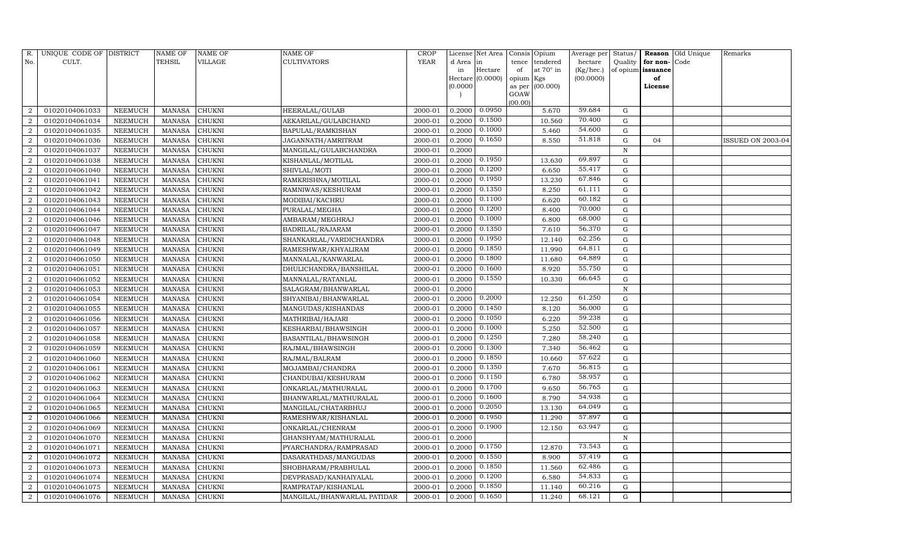| R.             | UNIQUE CODE OF DISTRICT |                 | <b>NAME OF</b> | NAME OF       | <b>NAME OF</b>              | <b>CROP</b> |           | License Net Area |                | Consis Opium | Average per | Status/      | Reason            | Old Unique | Remarks                  |
|----------------|-------------------------|-----------------|----------------|---------------|-----------------------------|-------------|-----------|------------------|----------------|--------------|-------------|--------------|-------------------|------------|--------------------------|
| No.            | CULT.                   |                 | TEHSIL         | VILLAGE       | <b>CULTIVATORS</b>          | <b>YEAR</b> | d Area in |                  | tence          | tendered     | hectare     | Quality      | for non-          | Code       |                          |
|                |                         |                 |                |               |                             |             | in        | Hectare          | of             | at 70° in    | (Kg/hec.)   |              | of opium issuance |            |                          |
|                |                         |                 |                |               |                             |             |           | Hectare (0.0000) | opium Kgs      |              | (00.0000)   |              | of                |            |                          |
|                |                         |                 |                |               |                             |             | (0.0000)  |                  | as per<br>GOAW | (00.000)     |             |              | License           |            |                          |
|                |                         |                 |                |               |                             |             |           |                  | (00.00)        |              |             |              |                   |            |                          |
| $\mathcal{D}$  | 01020104061033          | NEEMUCH         | <b>MANASA</b>  | <b>CHUKNI</b> | HEERALAL/GULAB              | 2000-01     | 0.2000    | 0.0950           |                | 5.670        | 59.684      | G            |                   |            |                          |
|                | 01020104061034          | NEEMUCH         | <b>MANASA</b>  | CHUKNI        | AEKARILAL/GULABCHAND        | 2000-01     | 0.2000    | 0.1500           |                | 10.560       | 70.400      | G            |                   |            |                          |
| $\overline{2}$ | 01020104061035          | NEEMUCH         | <b>MANASA</b>  | <b>CHUKNI</b> | BAPULAL/RAMKISHAN           | 2000-01     | 0.2000    | 0.1000           |                | 5.460        | 54.600      | G            |                   |            |                          |
| $\overline{2}$ | 01020104061036          | ${\tt NEEMUCH}$ | <b>MANASA</b>  | CHUKNI        | JAGANNATH/AMRITRAM          | 2000-01     | 0.2000    | 0.1650           |                | 8.550        | 51.818      | $\mathbf G$  | 04                |            | <b>ISSUED ON 2003-04</b> |
| $\overline{2}$ | 01020104061037          | NEEMUCH         | <b>MANASA</b>  | <b>CHUKNI</b> | MANGILAL/GULABCHANDRA       | 2000-01     | 0.2000    |                  |                |              |             | $\mathbf N$  |                   |            |                          |
|                | 01020104061038          | NEEMUCH         | <b>MANASA</b>  | CHUKNI        | KISHANLAL/MOTILAL           | 2000-01     | 0.2000    | 0.1950           |                | 13.630       | 69.897      | ${\rm G}$    |                   |            |                          |
| $\overline{2}$ | 01020104061040          | NEEMUCH         | <b>MANASA</b>  | <b>CHUKNI</b> | SHIVLAL/MOTI                | 2000-01     | 0.2000    | 0.1200           |                | 6.650        | 55.417      | ${\rm G}$    |                   |            |                          |
| 2              | 01020104061041          | NEEMUCH         | <b>MANASA</b>  | <b>CHUKNI</b> | RAMKRISHNA/MOTILAL          | 2000-01     | 0.2000    | 0.1950           |                | 13.230       | 67.846      | $\mathbf G$  |                   |            |                          |
| $\overline{2}$ | 01020104061042          | NEEMUCH         | <b>MANASA</b>  | CHUKNI        | RAMNIWAS/KESHURAM           | 2000-01     | 0.2000    | 0.1350           |                | 8.250        | 61.111      | $\mathbf G$  |                   |            |                          |
|                | 01020104061043          | NEEMUCH         | <b>MANASA</b>  | CHUKNI        | MODIBAI/KACHRU              | 2000-01     | 0.2000    | 0.1100           |                | 6.620        | 60.182      | ${\rm G}$    |                   |            |                          |
| $\overline{2}$ | 01020104061044          | NEEMUCH         | <b>MANASA</b>  | <b>CHUKNI</b> | PURALAL/MEGHA               | 2000-01     | 0.2000    | 0.1200           |                | 8.400        | 70.000      | ${\rm G}$    |                   |            |                          |
| $\overline{2}$ | 01020104061046          | NEEMUCH         | MANASA         | CHUKNI        | AMBARAM/MEGHRAJ             | 2000-01     | 0.2000    | 0.1000           |                | 6.800        | 68.000      | G            |                   |            |                          |
| $\overline{2}$ | 01020104061047          | <b>NEEMUCH</b>  | <b>MANASA</b>  | <b>CHUKNI</b> | BADRILAL/RAJARAM            | 2000-01     | 0.2000    | 0.1350           |                | 7.610        | 56.370      | $\mathbf G$  |                   |            |                          |
| $\overline{2}$ | 01020104061048          | NEEMUCH         | <b>MANASA</b>  | CHUKNI        | SHANKARLAL/VARDICHANDRA     | 2000-01     | 0.2000    | 0.1950           |                | 12.140       | 62.256      | G            |                   |            |                          |
| $\overline{2}$ | 01020104061049          | NEEMUCH         | MANASA         | CHUKNI        | RAMESHWAR/KHYALIRAM         | 2000-01     | 0.2000    | 0.1850           |                | 11.990       | 64.811      | G            |                   |            |                          |
| 2              | 01020104061050          | NEEMUCH         | <b>MANASA</b>  | CHUKNI        | MANNALAL/KANWARLAL          | 2000-01     | 0.2000    | 0.1800           |                | 11.680       | 64.889      | $\mathbf G$  |                   |            |                          |
|                | 01020104061051          | NEEMUCH         | <b>MANASA</b>  | CHUKNI        | DHULICHANDRA/BANSHILAL      | 2000-01     | 0.2000    | 0.1600           |                | 8.920        | 55.750      | G            |                   |            |                          |
| $\overline{2}$ | 01020104061052          | NEEMUCH         | MANASA         | CHUKNI        | MANNALAL/RATANLAL           | 2000-01     | 0.2000    | 0.1550           |                | 10.330       | 66.645      | G            |                   |            |                          |
| $\overline{2}$ | 01020104061053          | NEEMUCH         | <b>MANASA</b>  | CHUKNI        | SALAGRAM/BHANWARLAL         | 2000-01     | 0.2000    |                  |                |              |             | $\, {\bf N}$ |                   |            |                          |
| $\mathcal{D}$  | 01020104061054          | NEEMUCH         | MANASA         | CHUKNI        | SHYANIBAI/BHANWARLAL        | 2000-01     | 0.2000    | 0.2000           |                | 12.250       | 61.250      | G            |                   |            |                          |
|                | 01020104061055          | NEEMUCH         | <b>MANASA</b>  | CHUKNI        | MANGUDAS/KISHANDAS          | 2000-01     | 0.2000    | 0.1450           |                | 8.120        | 56.000      | ${\rm G}$    |                   |            |                          |
| $\mathcal{D}$  | 01020104061056          | NEEMUCH         | <b>MANASA</b>  | CHUKNI        | MATHRIBAI/HAJARI            | 2000-01     | 0.2000    | 0.1050           |                | 6.220        | 59.238      | ${\rm G}$    |                   |            |                          |
| $\mathcal{D}$  | 01020104061057          | NEEMUCH         | <b>MANASA</b>  | CHUKNI        | KESHARBAI/BHAWSINGH         | 2000-01     | 0.2000    | 0.1000           |                | 5.250        | 52.500      | G            |                   |            |                          |
| 2              | 01020104061058          | NEEMUCH         | <b>MANASA</b>  | CHUKNI        | BASANTILAL/BHAWSINGH        | 2000-01     | 0.2000    | 0.1250           |                | 7.280        | 58.240      | ${\rm G}$    |                   |            |                          |
|                | 01020104061059          | NEEMUCH         | <b>MANASA</b>  | CHUKNI        | RAJMAL/BHAWSINGH            | 2000-01     | 0.2000    | 0.1300           |                | 7.340        | 56.462      | ${\rm G}$    |                   |            |                          |
|                | 01020104061060          | NEEMUCH         | <b>MANASA</b>  | CHUKNI        | RAJMAL/BALRAM               | 2000-01     | 0.2000    | 0.1850           |                | 10.660       | 57.622      | ${\rm G}$    |                   |            |                          |
| $\overline{2}$ | 01020104061061          | NEEMUCH         | <b>MANASA</b>  | CHUKNI        | MOJAMBAI/CHANDRA            | 2000-01     | 0.2000    | 0.1350           |                | 7.670        | 56.815      | ${\rm G}$    |                   |            |                          |
| $\overline{2}$ | 01020104061062          | <b>NEEMUCH</b>  | <b>MANASA</b>  | CHUKNI        | CHANDUBAI/KESHURAM          | 2000-01     | 0.2000    | 0.1150           |                | 6.780        | 58.957      | $\mathbf G$  |                   |            |                          |
|                | 01020104061063          | NEEMUCH         | <b>MANASA</b>  | CHUKNI        | ONKARLAL/MATHURALAL         | 2000-01     | 0.2000    | 0.1700           |                | 9.650        | 56.765      | G            |                   |            |                          |
| $\overline{2}$ | 01020104061064          | NEEMUCH         | <b>MANASA</b>  | <b>CHUKNI</b> | BHANWARLAL/MATHURALAL       | 2000-01     | 0.2000    | 0.1600           |                | 8.790        | 54.938      | ${\rm G}$    |                   |            |                          |
| $\overline{2}$ | 01020104061065          | NEEMUCH         | <b>MANASA</b>  | CHUKNI        | MANGILAL/CHATARBHUJ         | 2000-01     | 0.2000    | 0.2050           |                | 13.130       | 64.049      | $\mathbf G$  |                   |            |                          |
| $\overline{2}$ | 01020104061066          | NEEMUCH         | <b>MANASA</b>  | <b>CHUKNI</b> | RAMESHWAR/KISHANLAL         | 2000-01     | 0.2000    | 0.1950           |                | 11.290       | 57.897      | $\mathbf G$  |                   |            |                          |
|                | 01020104061069          | NEEMUCH         | <b>MANASA</b>  | CHUKNI        | ONKARLAL/CHENRAM            | 2000-01     | 0.2000    | 0.1900           |                | 12.150       | 63.947      | ${\rm G}$    |                   |            |                          |
| $\overline{2}$ | 01020104061070          | NEEMUCH         | <b>MANASA</b>  | CHUKNI        | GHANSHYAM/MATHURALAL        | 2000-01     | 0.2000    |                  |                |              |             | $\mathbf N$  |                   |            |                          |
| 2              | 01020104061071          | NEEMUCH         | <b>MANASA</b>  | <b>CHUKNI</b> | PYARCHANDRA/RAMPRASAD       | 2000-01     | 0.2000    | 0.1750           |                | 12.870       | 73.543      | $\mathbf G$  |                   |            |                          |
| $\mathcal{D}$  | 01020104061072          | <b>NEEMUCH</b>  | <b>MANASA</b>  | <b>CHUKNI</b> | DASARATHDAS/MANGUDAS        | 2000-01     | 0.2000    | 0.1550           |                | 8.900        | 57.419      | $\mathbf G$  |                   |            |                          |
| $\overline{2}$ | 01020104061073          | NEEMUCH         | <b>MANASA</b>  | CHUKNI        | SHOBHARAM/PRABHULAL         | 2000-01     | 0.2000    | 0.1850           |                | 11.560       | 62.486      | ${\rm G}$    |                   |            |                          |
| $\overline{2}$ | 01020104061074          | NEEMUCH         | <b>MANASA</b>  | CHUKNI        | DEVPRASAD/KANHAIYALAL       | 2000-01     | 0.2000    | 0.1200           |                | 6.580        | 54.833      | G            |                   |            |                          |
| 2              | 01020104061075          | NEEMUCH         | <b>MANASA</b>  | CHUKNI        | RAMPRATAP/KISHANLAL         | 2000-01     | 0.2000    | 0.1850           |                | 11.140       | 60.216      | G            |                   |            |                          |
| 2              | 01020104061076          | NEEMUCH         | MANASA         | <b>CHUKNI</b> | MANGILAL/BHANWARLAL PATIDAR | 2000-01     | 0.2000    | 0.1650           |                | 11.240       | 68.121      | G            |                   |            |                          |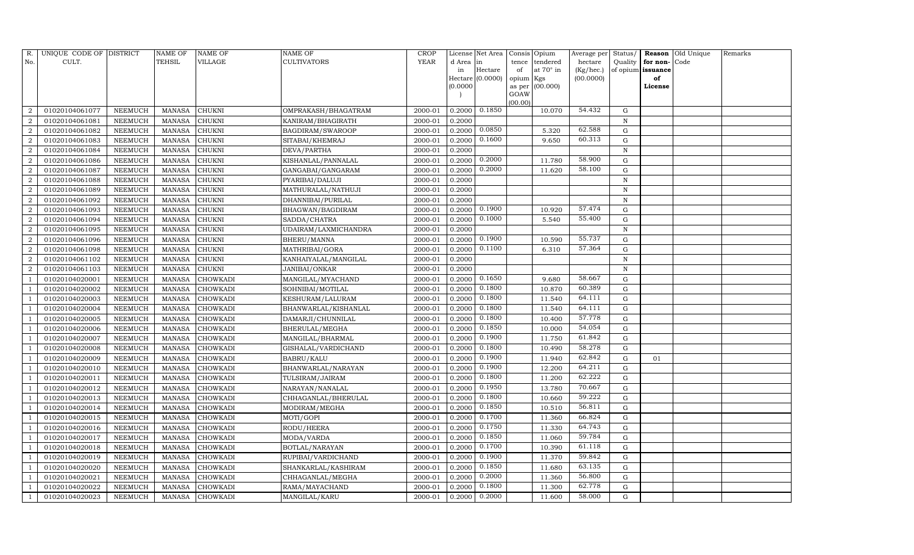| R.             | UNIQUE CODE OF DISTRICT |                 | NAME OF       | NAME OF         | NAME OF              | <b>CROP</b> |           | License Net Area |                     | Consis Opium | Average per | Status/     | Reason            | Old Unique | Remarks |
|----------------|-------------------------|-----------------|---------------|-----------------|----------------------|-------------|-----------|------------------|---------------------|--------------|-------------|-------------|-------------------|------------|---------|
| No.            | CULT.                   |                 | TEHSIL        | VILLAGE         | <b>CULTIVATORS</b>   | <b>YEAR</b> | d Area in |                  | tence               | tendered     | hectare     | Quality     | for non-          | Code       |         |
|                |                         |                 |               |                 |                      |             | in        | Hectare          | of                  | at 70° in    | (Kg/hec.)   |             | of opium issuance |            |         |
|                |                         |                 |               |                 |                      |             | (0.0000)  | Hectare (0.0000) | opium Kgs<br>as per | (00.000)     | (00.0000)   |             | of<br>License     |            |         |
|                |                         |                 |               |                 |                      |             |           |                  | GOAW                |              |             |             |                   |            |         |
|                |                         |                 |               |                 |                      |             |           |                  | (00.00)             |              |             |             |                   |            |         |
|                | 01020104061077          | NEEMUCH         | MANASA        | <b>CHUKNI</b>   | OMPRAKASH/BHAGATRAM  | 2000-01     | 0.2000    | 0.1850           |                     | 10.070       | 54.432      | G           |                   |            |         |
| $\overline{2}$ | 01020104061081          | <b>NEEMUCH</b>  | <b>MANASA</b> | <b>CHUKNI</b>   | KANIRAM/BHAGIRATH    | 2000-01     | 0.2000    |                  |                     |              |             | N           |                   |            |         |
| $\overline{2}$ | 01020104061082          | NEEMUCH         | <b>MANASA</b> | CHUKNI          | BAGDIRAM/SWAROOP     | 2000-01     | 0.2000    | 0.0850           |                     | 5.320        | 62.588      | G           |                   |            |         |
| $\overline{2}$ | 01020104061083          | NEEMUCH         | <b>MANASA</b> | <b>CHUKNI</b>   | SITABAI/KHEMRAJ      | 2000-01     | 0.2000    | 0.1600           |                     | 9.650        | 60.313      | $\mathbf G$ |                   |            |         |
| 2              | 01020104061084          | NEEMUCH         | <b>MANASA</b> | <b>CHUKNI</b>   | DEVA/PARTHA          | 2000-01     | 0.2000    |                  |                     |              |             | N           |                   |            |         |
|                | 01020104061086          | NEEMUCH         | <b>MANASA</b> | CHUKNI          | KISHANLAL/PANNALAL   | 2000-01     | 0.2000    | 0.2000           |                     | 11.780       | 58.900      | ${\rm G}$   |                   |            |         |
| $\overline{2}$ | 01020104061087          | NEEMUCH         | <b>MANASA</b> | CHUKNI          | GANGABAI/GANGARAM    | 2000-01     | 0.2000    | 0.2000           |                     | 11.620       | 58.100      | G           |                   |            |         |
| 2              | 01020104061088          | NEEMUCH         | <b>MANASA</b> | <b>CHUKNI</b>   | PYARIBAI/DALUJI      | 2000-01     | 0.2000    |                  |                     |              |             | ${\bf N}$   |                   |            |         |
| $\overline{2}$ | 01020104061089          | NEEMUCH         | <b>MANASA</b> | <b>CHUKNI</b>   | MATHURALAL/NATHUJI   | 2000-01     | 0.2000    |                  |                     |              |             | $\mathbf N$ |                   |            |         |
|                | 01020104061092          | NEEMUCH         | <b>MANASA</b> | <b>CHUKNI</b>   | DHANNIBAI/PURILAL    | 2000-01     | 0.2000    |                  |                     |              |             | $\mathbf N$ |                   |            |         |
| $\overline{2}$ | 01020104061093          | NEEMUCH         | <b>MANASA</b> | <b>CHUKNI</b>   | BHAGWAN/BAGDIRAM     | 2000-01     | 0.2000    | 0.1900           |                     | 10.920       | 57.474      | ${\rm G}$   |                   |            |         |
| $\overline{2}$ | 01020104061094          | NEEMUCH         | <b>MANASA</b> | CHUKNI          | SADDA/CHATRA         | 2000-01     | 0.2000    | 0.1000           |                     | 5.540        | 55.400      | ${\rm G}$   |                   |            |         |
| $\overline{2}$ | 01020104061095          | NEEMUCH         | <b>MANASA</b> | <b>CHUKNI</b>   | UDAIRAM/LAXMICHANDRA | 2000-01     | 0.2000    |                  |                     |              |             | N           |                   |            |         |
| $\overline{2}$ | 01020104061096          | NEEMUCH         | <b>MANASA</b> | <b>CHUKNI</b>   | <b>BHERU/MANNA</b>   | 2000-01     | 0.2000    | 0.1900           |                     | 10.590       | 55.737      | G           |                   |            |         |
| $\overline{2}$ | 01020104061098          | NEEMUCH         | <b>MANASA</b> | CHUKNI          | MATHRIBAI/GORA       | 2000-01     | 0.2000    | 0.1100           |                     | 6.310        | 57.364      | ${\rm G}$   |                   |            |         |
| $\overline{2}$ | 01020104061102          | NEEMUCH         | <b>MANASA</b> | CHUKNI          | KANHAIYALAL/MANGILAL | 2000-01     | 0.2000    |                  |                     |              |             | $\mathbf N$ |                   |            |         |
|                | 01020104061103          | <b>NEEMUCH</b>  | <b>MANASA</b> | <b>CHUKNI</b>   | JANIBAI/ONKAR        | 2000-01     | 0.2000    |                  |                     |              |             | $\mathbf N$ |                   |            |         |
|                | 01020104020001          | NEEMUCH         | <b>MANASA</b> | CHOWKADI        | MANGILAL/MYACHAND    | 2000-01     | 0.2000    | 0.1650           |                     | 9.680        | 58.667      | G           |                   |            |         |
|                | 01020104020002          | NEEMUCH         | <b>MANASA</b> | CHOWKADI        | SOHNIBAI/MOTILAL     | 2000-01     | 0.2000    | 0.1800           |                     | 10.870       | 60.389      | ${\rm G}$   |                   |            |         |
|                | 01020104020003          | NEEMUCH         | <b>MANASA</b> | CHOWKADI        | KESHURAM/LALURAM     | 2000-01     | 0.2000    | 0.1800           |                     | 11.540       | 64.111      | G           |                   |            |         |
|                | 01020104020004          | NEEMUCH         | <b>MANASA</b> | CHOWKADI        | BHANWARLAL/KISHANLAL | 2000-01     | 0.2000    | 0.1800           |                     | 11.540       | 64.111      | ${\rm G}$   |                   |            |         |
|                | 01020104020005          | NEEMUCH         | <b>MANASA</b> | <b>CHOWKADI</b> | DAMARJI/CHUNNILAL    | 2000-01     | 0.2000    | 0.1800           |                     | 10.400       | 57.778      | ${\rm G}$   |                   |            |         |
|                | 01020104020006          | NEEMUCH         | <b>MANASA</b> | CHOWKADI        | BHERULAL/MEGHA       | 2000-01     | 0.2000    | 0.1850           |                     | 10.000       | 54.054      | G           |                   |            |         |
|                | 01020104020007          | NEEMUCH         | <b>MANASA</b> | CHOWKADI        | MANGILAL/BHARMAL     | 2000-01     | 0.2000    | 0.1900           |                     | 11.750       | 61.842      | ${\rm G}$   |                   |            |         |
|                | 01020104020008          | <b>NEEMUCH</b>  | <b>MANASA</b> | CHOWKADI        | GISHALAL/VARDICHAND  | 2000-01     | 0.2000    | 0.1800           |                     | 10.490       | 58.278      | ${\rm G}$   |                   |            |         |
|                | 01020104020009          | NEEMUCH         | <b>MANASA</b> | CHOWKADI        | <b>BABRU/KALU</b>    | 2000-01     | 0.2000    | 0.1900           |                     | 11.940       | 62.842      | ${\rm G}$   | 01                |            |         |
|                | 01020104020010          | NEEMUCH         | <b>MANASA</b> | CHOWKADI        | BHANWARLAL/NARAYAN   | 2000-01     | 0.2000    | 0.1900           |                     | 12.200       | 64.211      | G           |                   |            |         |
|                | 01020104020011          | <b>NEEMUCH</b>  | <b>MANASA</b> | CHOWKADI        | TULSIRAM/JAIRAM      | 2000-01     | 0.2000    | 0.1800           |                     | 11.200       | 62.222      | $\mathbf G$ |                   |            |         |
|                | 01020104020012          | NEEMUCH         | <b>MANASA</b> | CHOWKADI        | NARAYAN/NANALAL      | 2000-01     | 0.2000    | 0.1950           |                     | 13.780       | 70.667      | G           |                   |            |         |
|                | 01020104020013          | <b>NEEMUCH</b>  | <b>MANASA</b> | CHOWKADI        | CHHAGANLAL/BHERULAL  | 2000-01     | 0.2000    | 0.1800           |                     | 10.660       | 59.222      | ${\rm G}$   |                   |            |         |
|                | 01020104020014          | NEEMUCH         | <b>MANASA</b> | CHOWKADI        | MODIRAM/MEGHA        | 2000-01     | 0.2000    | 0.1850           |                     | 10.510       | 56.811      | $\mathbf G$ |                   |            |         |
|                | 01020104020015          | NEEMUCH         | <b>MANASA</b> | <b>CHOWKADI</b> | MOTI/GOPI            | 2000-01     | 0.2000    | 0.1700           |                     | 11.360       | 66.824      | ${\rm G}$   |                   |            |         |
|                | 01020104020016          | NEEMUCH         | <b>MANASA</b> | CHOWKADI        | RODU/HEERA           | 2000-01     | 0.2000    | 0.1750           |                     | 11.330       | 64.743      | G           |                   |            |         |
|                | 01020104020017          | ${\tt NEEMUCH}$ | <b>MANASA</b> | CHOWKADI        | MODA/VARDA           | 2000-01     | 0.2000    | 0.1850           |                     | 11.060       | 59.784      | ${\rm G}$   |                   |            |         |
|                | 01020104020018          | <b>NEEMUCH</b>  | <b>MANASA</b> | CHOWKADI        | BOTLAL/NARAYAN       | 2000-01     | 0.2000    | 0.1700           |                     | 10.390       | 61.118      | G           |                   |            |         |
|                | 01020104020019          | <b>NEEMUCH</b>  | <b>MANASA</b> | CHOWKADI        | RUPIBAI/VARDICHAND   | 2000-01     | 0.2000    | 0.1900           |                     | 11.370       | 59.842      | ${\rm G}$   |                   |            |         |
|                | 01020104020020          | NEEMUCH         | MANASA        | CHOWKADI        | SHANKARLAL/KASHIRAM  | 2000-01     | 0.2000    | 0.1850           |                     | 11.680       | 63.135      | G           |                   |            |         |
|                | 01020104020021          | NEEMUCH         | <b>MANASA</b> | CHOWKADI        | CHHAGANLAL/MEGHA     | 2000-01     | 0.2000    | 0.2000           |                     | 11.360       | 56.800      | $\mathbf G$ |                   |            |         |
|                | 01020104020022          | NEEMUCH         | <b>MANASA</b> | CHOWKADI        | RAMA/MAYACHAND       | 2000-01     | 0.2000    | 0.1800           |                     | 11.300       | 62.778      | $\mathbf G$ |                   |            |         |
|                | 01020104020023          | NEEMUCH         | MANASA        | CHOWKADI        | MANGILAL/KARU        | 2000-01     | 0.2000    | 0.2000           |                     | 11.600       | 58.000      | G           |                   |            |         |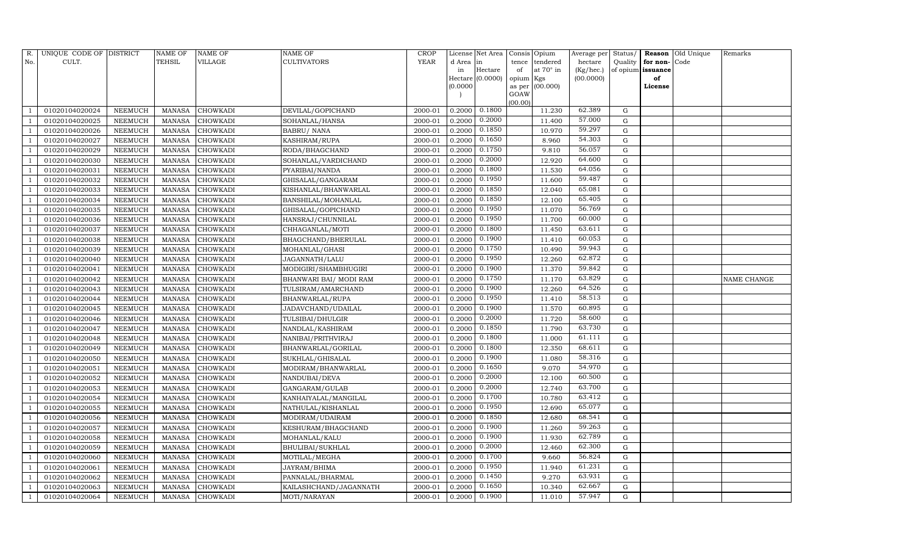| R.             | UNIQUE CODE OF DISTRICT |                | <b>NAME OF</b> | <b>NAME OF</b>  | <b>NAME OF</b>          | CROP        |           | License Net Area | Consis Opium   |                  | Average per | Status/     |                   | Reason Old Unique | Remarks     |
|----------------|-------------------------|----------------|----------------|-----------------|-------------------------|-------------|-----------|------------------|----------------|------------------|-------------|-------------|-------------------|-------------------|-------------|
| No.            | CULT.                   |                | <b>TEHSIL</b>  | VILLAGE         | <b>CULTIVATORS</b>      | <b>YEAR</b> | d Area in |                  | tence          | tendered         | hectare     | Quality     | for non-          | Code              |             |
|                |                         |                |                |                 |                         |             | in        | Hectare          | of             | at $70^\circ$ in | (Kg/hec.)   |             | of opium issuance |                   |             |
|                |                         |                |                |                 |                         |             |           | Hectare (0.0000) | opium Kgs      |                  | (00.0000)   |             | of                |                   |             |
|                |                         |                |                |                 |                         |             | (0.0000)  |                  | as per<br>GOAW | (00.000)         |             |             | License           |                   |             |
|                |                         |                |                |                 |                         |             |           |                  | (00.00)        |                  |             |             |                   |                   |             |
|                | 01020104020024          | NEEMUCH        | MANASA         | <b>CHOWKADI</b> | DEVILAL/GOPICHAND       | 2000-01     | 0.2000    | 0.1800           |                | 11.230           | 62.389      | G           |                   |                   |             |
|                | 01020104020025          | <b>NEEMUCH</b> | MANASA         | <b>CHOWKADI</b> | SOHANLAL/HANSA          | 2000-01     | 0.2000    | 0.2000           |                | 11.400           | 57.000      | G           |                   |                   |             |
|                | 01020104020026          | <b>NEEMUCH</b> | MANASA         | <b>CHOWKADI</b> | <b>BABRU/ NANA</b>      | 2000-01     | 0.2000    | 0.1850           |                | 10.970           | 59.297      | G           |                   |                   |             |
|                | 01020104020027          | NEEMUCH        | MANASA         | <b>CHOWKADI</b> | KASHIRAM/RUPA           | 2000-01     | 0.2000    | 0.1650           |                | 8.960            | 54.303      | G           |                   |                   |             |
|                | 01020104020029          | NEEMUCH        | MANASA         | <b>CHOWKADI</b> | RODA/BHAGCHAND          | 2000-01     | 0.2000    | 0.1750           |                | 9.810            | 56.057      | $\mathbf G$ |                   |                   |             |
|                | 01020104020030          | NEEMUCH        | MANASA         | CHOWKADI        | SOHANLAL/VARDICHAND     | 2000-01     | 0.2000    | 0.2000           |                | 12.920           | 64.600      | $\mathbf G$ |                   |                   |             |
|                | 01020104020031          | NEEMUCH        | <b>MANASA</b>  | <b>CHOWKADI</b> | PYARIBAI/NANDA          | 2000-01     | 0.2000    | 0.1800           |                | 11.530           | 64.056      | G           |                   |                   |             |
|                | 01020104020032          | NEEMUCH        | MANASA         | <b>CHOWKADI</b> | GHISALAL/GANGARAM       | 2000-01     | 0.2000    | 0.1950           |                | 11.600           | 59.487      | G           |                   |                   |             |
|                | 01020104020033          | NEEMUCH        | MANASA         | <b>CHOWKADI</b> | KISHANLAL/BHANWARLAL    | 2000-01     | 0.2000    | 0.1850           |                | 12.040           | 65.081      | $\mathbf G$ |                   |                   |             |
|                | 01020104020034          | NEEMUCH        | MANASA         | <b>CHOWKADI</b> | BANSHILAL/MOHANLAL      | 2000-01     | 0.2000    | 0.1850           |                | 12.100           | 65.405      | G           |                   |                   |             |
|                | 01020104020035          | NEEMUCH        | <b>MANASA</b>  | <b>CHOWKADI</b> | GHISALAL/GOPICHAND      | 2000-01     | 0.2000    | 0.1950           |                | 11.070           | 56.769      | G           |                   |                   |             |
|                | 01020104020036          | NEEMUCH        | MANASA         | <b>CHOWKADI</b> | HANSRAJ/CHUNNILAL       | 2000-01     | 0.2000    | 0.1950           |                | 11.700           | 60.000      | G           |                   |                   |             |
|                | 01020104020037          | NEEMUCH        | MANASA         | <b>CHOWKADI</b> | CHHAGANLAL/MOTI         | 2000-01     | 0.2000    | 0.1800           |                | 11.450           | 63.611      | G           |                   |                   |             |
|                | 01020104020038          | <b>NEEMUCH</b> | <b>MANASA</b>  | <b>CHOWKADI</b> | BHAGCHAND/BHERULAL      | 2000-01     | 0.2000    | 0.1900           |                | 11.410           | 60.053      | $\mathbf G$ |                   |                   |             |
|                | 01020104020039          | NEEMUCH        | <b>MANASA</b>  | <b>CHOWKADI</b> | MOHANLAL/GHASI          | 2000-01     | 0.2000    | 0.1750           |                | 10.490           | 59.943      | G           |                   |                   |             |
|                | 01020104020040          | <b>NEEMUCH</b> | MANASA         | <b>CHOWKADI</b> | JAGANNATH/LALU          | 2000-01     | 0.2000    | 0.1950           |                | 12.260           | 62.872      | $\mathbf G$ |                   |                   |             |
|                | 01020104020041          | NEEMUCH        | <b>MANASA</b>  | <b>CHOWKADI</b> | MODIGIRI/SHAMBHUGIRI    | 2000-01     | 0.2000    | 0.1900           |                | 11.370           | 59.842      | G           |                   |                   |             |
|                | 01020104020042          | NEEMUCH        | MANASA         | <b>CHOWKADI</b> | BHANWARI BAI/ MODI RAM  | 2000-01     | 0.2000    | 0.1750           |                | 11.170           | 63.829      | G           |                   |                   | NAME CHANGE |
|                | 01020104020043          | NEEMUCH        | MANASA         | <b>CHOWKADI</b> | TULSIRAM/AMARCHAND      | 2000-01     | 0.2000    | 0.1900           |                | 12.260           | 64.526      | G           |                   |                   |             |
|                | 01020104020044          | NEEMUCH        | MANASA         | <b>CHOWKADI</b> | BHANWARLAL/RUPA         | 2000-01     | 0.2000    | 0.1950           |                | 11.410           | 58.513      | G           |                   |                   |             |
|                | 01020104020045          | NEEMUCH        | MANASA         | <b>CHOWKADI</b> | JADAVCHAND/UDAILAL      | 2000-01     | 0.2000    | 0.1900           |                | 11.570           | 60.895      | G           |                   |                   |             |
|                | 01020104020046          | NEEMUCH        | <b>MANASA</b>  | <b>CHOWKADI</b> | TULSIBAI/DHULGIR        | 2000-01     | 0.2000    | 0.2000           |                | 11.720           | 58.600      | G           |                   |                   |             |
|                | 01020104020047          | NEEMUCH        | MANASA         | CHOWKADI        | NANDLAL/KASHIRAM        | 2000-01     | 0.2000    | 0.1850           |                | 11.790           | 63.730      | ${\rm G}$   |                   |                   |             |
|                | 01020104020048          | <b>NEEMUCH</b> | <b>MANASA</b>  | <b>CHOWKADI</b> | NANIBAI/PRITHVIRAJ      | 2000-01     | 0.2000    | 0.1800           |                | 11.000           | 61.111      | $\mathbf G$ |                   |                   |             |
|                | 01020104020049          | NEEMUCH        | MANASA         | <b>CHOWKADI</b> | BHANWARLAL/GORILAL      | 2000-01     | 0.2000    | 0.1800           |                | 12.350           | 68.611      | ${\rm G}$   |                   |                   |             |
|                | 01020104020050          | NEEMUCH        | MANASA         | <b>CHOWKADI</b> | SUKHLAL/GHISALAL        | 2000-01     | 0.2000    | 0.1900           |                | 11.080           | 58.316      | G           |                   |                   |             |
|                | 01020104020051          | NEEMUCH        | <b>MANASA</b>  | <b>CHOWKADI</b> | MODIRAM/BHANWARLAL      | 2000-01     | 0.2000    | 0.1650           |                | 9.070            | 54.970      | $\mathbf G$ |                   |                   |             |
|                | 01020104020052          | NEEMUCH        | <b>MANASA</b>  | <b>CHOWKADI</b> | NANDUBAI/DEVA           | 2000-01     | 0.2000    | 0.2000           |                | 12.100           | 60.500      | G           |                   |                   |             |
|                | 01020104020053          | <b>NEEMUCH</b> | MANASA         | <b>CHOWKADI</b> | GANGARAM/GULAB          | 2000-01     | 0.2000    | 0.2000           |                | 12.740           | 63.700      | G           |                   |                   |             |
|                | 01020104020054          | NEEMUCH        | MANASA         | <b>CHOWKADI</b> | KANHAIYALAL/MANGILAL    | 2000-01     | 0.2000    | 0.1700           |                | 10.780           | 63.412      | G           |                   |                   |             |
|                | 01020104020055          | NEEMUCH        | MANASA         | <b>CHOWKADI</b> | NATHULAL/KISHANLAL      | 2000-01     | 0.2000    | 0.1950           |                | 12.690           | 65.077      | G           |                   |                   |             |
|                | 01020104020056          | NEEMUCH        | <b>MANASA</b>  | <b>CHOWKADI</b> | MODIRAM/UDAIRAM         | 2000-01     | 0.2000    | 0.1850           |                | 12.680           | 68.541      | G           |                   |                   |             |
|                | 01020104020057          | <b>NEEMUCH</b> | <b>MANASA</b>  | <b>CHOWKADI</b> | KESHURAM/BHAGCHAND      | 2000-01     | 0.2000    | 0.1900           |                | 11.260           | 59.263      | ${\rm G}$   |                   |                   |             |
|                | 01020104020058          | NEEMUCH        | MANASA         | <b>CHOWKADI</b> | MOHANLAL/KALU           | 2000-01     | 0.2000    | 0.1900           |                | 11.930           | 62.789      | G           |                   |                   |             |
|                | 01020104020059          | <b>NEEMUCH</b> | MANASA         | <b>CHOWKADI</b> | <b>BHULIBAI/SUKHLAL</b> | 2000-01     | 0.2000    | 0.2000           |                | 12.460           | 62.300      | ${\rm G}$   |                   |                   |             |
|                | 01020104020060          | <b>NEEMUCH</b> | MANASA         | <b>CHOWKADI</b> | MOTILAL/MEGHA           | 2000-01     | 0.2000    | 0.1700           |                | 9.660            | 56.824      | ${\rm G}$   |                   |                   |             |
|                | 01020104020061          | NEEMUCH        | <b>MANASA</b>  | <b>CHOWKADI</b> | JAYRAM/BHIMA            | 2000-01     | 0.2000    | 0.1950           |                | 11.940           | 61.231      | G           |                   |                   |             |
|                | 01020104020062          | <b>NEEMUCH</b> | <b>MANASA</b>  | CHOWKADI        | PANNALAL/BHARMAL        | 2000-01     | 0.2000    | 0.1450           |                | 9.270            | 63.931      | ${\rm G}$   |                   |                   |             |
|                | 01020104020063          | <b>NEEMUCH</b> | <b>MANASA</b>  | <b>CHOWKADI</b> | KAILASHCHAND/JAGANNATH  | 2000-01     | 0.2000    | 0.1650           |                | 10.340           | 62.667      | G           |                   |                   |             |
| $\overline{1}$ | 01020104020064          | NEEMUCH        |                | MANASA CHOWKADI | MOTI/NARAYAN            | 2000-01     | 0.2000    | 0.1900           |                | 11.010           | 57.947      | G           |                   |                   |             |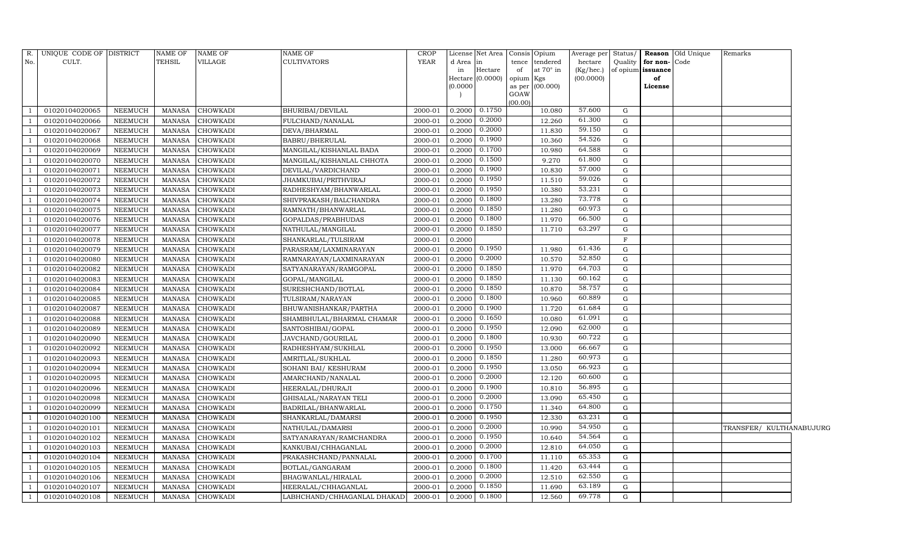| R.             | UNIQUE CODE OF DISTRICT |                | <b>NAME OF</b> | <b>NAME OF</b>  | NAME OF                     | CROP        |           | License Net Area   Consis   Opium |           |                  | Average per | Status/      |                   | <b>Reason</b> Old Unique | Remarks                  |  |
|----------------|-------------------------|----------------|----------------|-----------------|-----------------------------|-------------|-----------|-----------------------------------|-----------|------------------|-------------|--------------|-------------------|--------------------------|--------------------------|--|
| No.            | CULT.                   |                | TEHSIL         | VILLAGE         | CULTIVATORS                 | <b>YEAR</b> | d Area in |                                   | tence     | tendered         | hectare     | Quality      | for non-Code      |                          |                          |  |
|                |                         |                |                |                 |                             |             | in        | Hectare                           | of        | at $70^\circ$ in | (Kg/hec.)   |              | of opium issuance |                          |                          |  |
|                |                         |                |                |                 |                             |             |           | Hectare (0.0000)                  | opium Kgs |                  | (00.0000)   |              | of                |                          |                          |  |
|                |                         |                |                |                 |                             |             | (0.0000)  |                                   | GOAW      | as per (00.000)  |             |              | License           |                          |                          |  |
|                |                         |                |                |                 |                             |             |           |                                   | (00.00)   |                  |             |              |                   |                          |                          |  |
|                | 01020104020065          | <b>NEEMUCH</b> | MANASA         | <b>CHOWKADI</b> | BHURIBAI/DEVILAL            | 2000-01     | 0.2000    | 0.1750                            |           | 10.080           | 57.600      | G            |                   |                          |                          |  |
|                | 01020104020066          | <b>NEEMUCH</b> | <b>MANASA</b>  | <b>CHOWKADI</b> | FULCHAND/NANALAL            | 2000-01     | 0.2000    | 0.2000                            |           | 12.260           | 61.300      | G            |                   |                          |                          |  |
|                | 01020104020067          | NEEMUCH        | <b>MANASA</b>  | <b>CHOWKADI</b> | DEVA/BHARMAL                | 2000-01     | 0.2000    | 0.2000                            |           | 11.830           | 59.150      | G            |                   |                          |                          |  |
|                | 01020104020068          | <b>NEEMUCH</b> | <b>MANASA</b>  | <b>CHOWKADI</b> | BABRU/BHERULAL              | 2000-01     | 0.2000    | 0.1900                            |           | 10.360           | 54.526      | G            |                   |                          |                          |  |
|                | 01020104020069          | <b>NEEMUCH</b> | <b>MANASA</b>  | CHOWKADI        | MANGILAL/KISHANLAL BADA     | 2000-01     | 0.2000    | 0.1700                            |           | 10.980           | 64.588      | G            |                   |                          |                          |  |
|                | 01020104020070          | <b>NEEMUCH</b> | <b>MANASA</b>  | CHOWKADI        | MANGILAL/KISHANLAL CHHOTA   | 2000-01     | 0.2000    | 0.1500                            |           | 9.270            | 61.800      | G            |                   |                          |                          |  |
|                | 01020104020071          | NEEMUCH        | <b>MANASA</b>  | CHOWKADI        | DEVILAL/VARDICHAND          | 2000-01     | 0.2000    | 0.1900                            |           | 10.830           | 57.000      | G            |                   |                          |                          |  |
| $\overline{1}$ | 01020104020072          | <b>NEEMUCH</b> | <b>MANASA</b>  | CHOWKADI        | JHAMKUBAI/PRITHVIRAJ        | 2000-01     | 0.2000    | 0.1950                            |           | 11.510           | 59.026      | G            |                   |                          |                          |  |
|                | 01020104020073          | <b>NEEMUCH</b> | <b>MANASA</b>  | CHOWKADI        | RADHESHYAM/BHANWARLAL       | 2000-01     | 0.2000    | 0.1950                            |           | 10.380           | 53.231      | G            |                   |                          |                          |  |
|                | 01020104020074          | <b>NEEMUCH</b> | <b>MANASA</b>  | CHOWKADI        | SHIVPRAKASH/BALCHANDRA      | 2000-01     | 0.2000    | 0.1800                            |           | 13.280           | 73.778      | G            |                   |                          |                          |  |
|                | 01020104020075          | NEEMUCH        | <b>MANASA</b>  | CHOWKADI        | RAMNATH/BHANWARLAL          | 2000-01     | 0.2000    | 0.1850                            |           | 11.280           | 60.973      | G            |                   |                          |                          |  |
|                | 01020104020076          | NEEMUCH        | <b>MANASA</b>  | CHOWKADI        | GOPALDAS/PRABHUDAS          | 2000-01     | 0.2000    | 0.1800                            |           | 11.970           | 66.500      | G            |                   |                          |                          |  |
|                | 01020104020077          | <b>NEEMUCH</b> | <b>MANASA</b>  | <b>CHOWKADI</b> | NATHULAL/MANGILAL           | 2000-01     | 0.2000    | 0.1850                            |           | 11.710           | 63.297      | $\mathbf G$  |                   |                          |                          |  |
|                | 01020104020078          | <b>NEEMUCH</b> | <b>MANASA</b>  | CHOWKADI        | SHANKARLAL/TULSIRAM         | 2000-01     | 0.2000    |                                   |           |                  |             | $\mathbf F$  |                   |                          |                          |  |
|                | 01020104020079          | <b>NEEMUCH</b> | <b>MANASA</b>  | CHOWKADI        | PARASRAM/LAXMINARAYAN       | 2000-01     | 0.2000    | 0.1950                            |           | 11.980           | 61.436      | G            |                   |                          |                          |  |
|                | 01020104020080          | <b>NEEMUCH</b> | <b>MANASA</b>  | CHOWKADI        | RAMNARAYAN/LAXMINARAYAN     | 2000-01     | 0.2000    | 0.2000                            |           | 10.570           | 52.850      | G            |                   |                          |                          |  |
|                | 01020104020082          | <b>NEEMUCH</b> | <b>MANASA</b>  | CHOWKADI        | SATYANARAYAN/RAMGOPAL       | 2000-01     | 0.2000    | 0.1850                            |           | 11.970           | 64.703      | G            |                   |                          |                          |  |
|                | 01020104020083          | <b>NEEMUCH</b> | <b>MANASA</b>  | <b>CHOWKADI</b> | GOPAL/MANGILAL              | 2000-01     | 0.2000    | 0.1850                            |           | 11.130           | 60.162      | G            |                   |                          |                          |  |
|                | 01020104020084          | <b>NEEMUCH</b> | <b>MANASA</b>  | CHOWKADI        | SURESHCHAND/BOTLAL          | 2000-01     | 0.2000    | 0.1850                            |           | 10.870           | 58.757      | G            |                   |                          |                          |  |
|                | 01020104020085          | <b>NEEMUCH</b> | <b>MANASA</b>  | CHOWKADI        | TULSIRAM/NARAYAN            | 2000-01     | 0.2000    | 0.1800                            |           | 10.960           | 60.889      | G            |                   |                          |                          |  |
|                | 01020104020087          | <b>NEEMUCH</b> | <b>MANASA</b>  | CHOWKADI        | BHUWANISHANKAR/PARTHA       | 2000-01     | 0.2000    | 0.1900                            |           | 11.720           | 61.684      | G            |                   |                          |                          |  |
|                | 01020104020088          | <b>NEEMUCH</b> | <b>MANASA</b>  | CHOWKADI        | SHAMBHULAL/BHARMAL CHAMAR   | 2000-01     | 0.2000    | 0.1650                            |           | 10.080           | 61.091      | G            |                   |                          |                          |  |
|                | 01020104020089          | <b>NEEMUCH</b> | <b>MANASA</b>  | CHOWKADI        | SANTOSHIBAI/GOPAL           | 2000-01     | 0.2000    | 0.1950                            |           | 12.090           | 62.000      | G            |                   |                          |                          |  |
|                | 01020104020090          | <b>NEEMUCH</b> | <b>MANASA</b>  | CHOWKADI        | JAVCHAND/GOURILAL           | 2000-01     | 0.2000    | 0.1800                            |           | 10.930           | 60.722      | $\mathbf G$  |                   |                          |                          |  |
|                | 01020104020092          | <b>NEEMUCH</b> | <b>MANASA</b>  | CHOWKADI        | RADHESHYAM/SUKHLAL          | 2000-01     | 0.2000    | 0.1950                            |           | 13.000           | 66.667      | G            |                   |                          |                          |  |
|                | 01020104020093          | <b>NEEMUCH</b> | <b>MANASA</b>  | CHOWKADI        | AMRITLAL/SUKHLAL            | 2000-01     | 0.2000    | 0.1850                            |           | 11.280           | 60.973      | G            |                   |                          |                          |  |
|                | 01020104020094          | <b>NEEMUCH</b> | <b>MANASA</b>  | CHOWKADI        | SOHANI BAI/ KESHURAM        | 2000-01     | 0.2000    | 0.1950                            |           | 13.050           | 66.923      | G            |                   |                          |                          |  |
|                | 01020104020095          | <b>NEEMUCH</b> | <b>MANASA</b>  | CHOWKADI        | AMARCHAND/NANALAL           | 2000-01     | 0.2000    | 0.2000                            |           | 12.120           | 60.600      | $\mathbf G$  |                   |                          |                          |  |
|                | 01020104020096          | <b>NEEMUCH</b> | <b>MANASA</b>  | <b>CHOWKADI</b> | HEERALAL/DHURAJI            | 2000-01     | 0.2000    | 0.1900                            |           | 10.810           | 56.895      | $\mathbf G$  |                   |                          |                          |  |
| $\mathbf{1}$   | 01020104020098          | <b>NEEMUCH</b> | MANASA         | CHOWKADI        | GHISALAL/NARAYAN TELI       | 2000-01     | 0.2000    | 0.2000                            |           | 13.090           | 65.450      | G            |                   |                          |                          |  |
|                | 01020104020099          | <b>NEEMUCH</b> | <b>MANASA</b>  | <b>CHOWKADI</b> | BADRILAL/BHANWARLAL         | 2000-01     | 0.2000    | 0.1750                            |           | 11.340           | 64.800      | G            |                   |                          |                          |  |
|                | 01020104020100          | <b>NEEMUCH</b> | <b>MANASA</b>  | CHOWKADI        | SHANKARLAL/DAMARSI          | 2000-01     | 0.2000    | 0.1950                            |           | 12.330           | 63.231      | G            |                   |                          |                          |  |
|                | 01020104020101          | <b>NEEMUCH</b> | <b>MANASA</b>  | CHOWKADI        | NATHULAL/DAMARSI            | 2000-01     | 0.2000    | 0.2000                            |           | 10.990           | 54.950      | G            |                   |                          | TRANSFER/ KULTHANABUJURG |  |
|                | 01020104020102          | NEEMUCH        | MANASA         | CHOWKADI        | SATYANARAYAN/RAMCHANDRA     | 2000-01     | 0.2000    | 0.1950                            |           | 10.640           | 54.564      | $\mathbf{G}$ |                   |                          |                          |  |
|                | 01020104020103          | <b>NEEMUCH</b> | <b>MANASA</b>  | CHOWKADI        | KANKUBAI/CHHAGANLAL         | 2000-01     | 0.2000    | 0.2000                            |           | 12.810           | 64.050      | G            |                   |                          |                          |  |
|                | 01020104020104          | NEEMUCH        | <b>MANASA</b>  | CHOWKADI        | PRAKASHCHAND/PANNALAL       | 2000-01     | 0.2000    | 0.1700                            |           | 11.110           | 65.353      | G            |                   |                          |                          |  |
|                | 01020104020105          | NEEMUCH        | <b>MANASA</b>  | CHOWKADI        | BOTLAL/GANGARAM             | 2000-01     | 0.2000    | 0.1800                            |           | 11.420           | 63.444      | G            |                   |                          |                          |  |
|                | 01020104020106          | NEEMUCH        | <b>MANASA</b>  | CHOWKADI        | BHAGWANLAL/HIRALAL          | 2000-01     | 0.2000    | 0.2000                            |           | 12.510           | 62.550      | G            |                   |                          |                          |  |
|                | 01020104020107          | <b>NEEMUCH</b> | <b>MANASA</b>  | CHOWKADI        | HEERALAL/CHHAGANLAL         | 2000-01     | 0.2000    | 0.1850                            |           | 11.690           | 63.189      | G            |                   |                          |                          |  |
|                | 01020104020108          | <b>NEEMUCH</b> | <b>MANASA</b>  | <b>CHOWKADI</b> | LABHCHAND/CHHAGANLAL DHAKAD | 2000-01     | 0.2000    | 0.1800                            |           | 12.560           | 69.778      | G            |                   |                          |                          |  |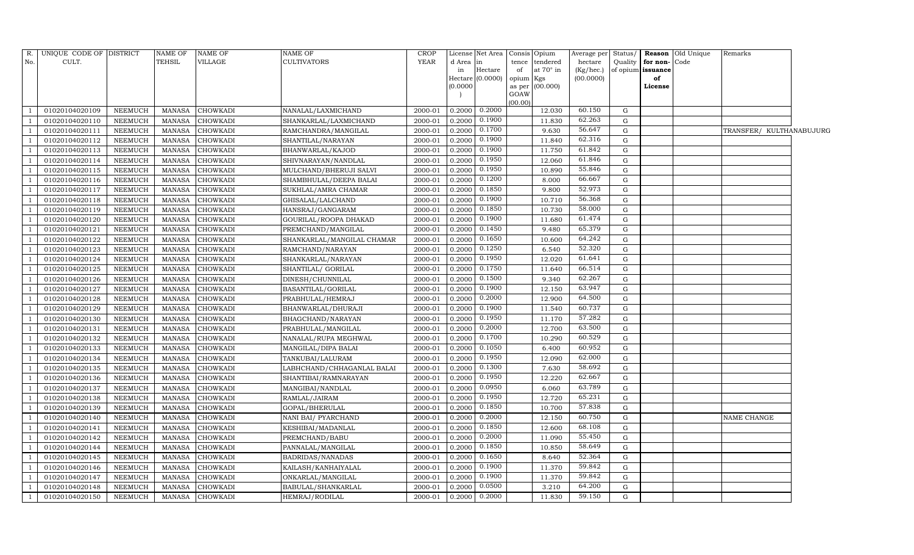|                | R. UNIQUE CODE OF DISTRICT |                | NAME OF       | NAME OF         | NAME OF                    | CROP        |           | License Net Area     |                | Consis Opium     | Average per | Status/      |                   | <b>Reason</b> Old Unique | Remarks                  |  |
|----------------|----------------------------|----------------|---------------|-----------------|----------------------------|-------------|-----------|----------------------|----------------|------------------|-------------|--------------|-------------------|--------------------------|--------------------------|--|
| No.            | CULT.                      |                | TEHSIL        | VILLAGE         | CULTIVATORS                | <b>YEAR</b> | d Area in |                      | tence          | tendered         | hectare     | Quality      | for non-          | Code                     |                          |  |
|                |                            |                |               |                 |                            |             | in        | Hectare              | of             | at $70^\circ$ in | (Kg/hec.)   |              | of opium issuance |                          |                          |  |
|                |                            |                |               |                 |                            |             | 0.0000    | Hectare (0.0000)     | opium Kgs      | (00.000)         | (00.0000)   |              | of<br>License     |                          |                          |  |
|                |                            |                |               |                 |                            |             |           |                      | as per<br>GOAW |                  |             |              |                   |                          |                          |  |
|                |                            |                |               |                 |                            |             |           |                      | (00.00)        |                  |             |              |                   |                          |                          |  |
|                | 01020104020109             | NEEMUCH        | MANASA        | <b>CHOWKADI</b> | NANALAL/LAXMICHAND         | 2000-01     |           | $0.2000$ $0.2000$    |                | 12.030           | 60.150      | G            |                   |                          |                          |  |
|                | 01020104020110             | <b>NEEMUCH</b> | <b>MANASA</b> | <b>CHOWKADI</b> | SHANKARLAL/LAXMICHAND      | 2000-01     |           | 0.2000 0.1900        |                | 11.830           | 62.263      | G            |                   |                          |                          |  |
|                | 01020104020111             | <b>NEEMUCH</b> | MANASA        | <b>CHOWKADI</b> | RAMCHANDRA/MANGILAL        | 2000-01     | 0.2000    | 0.1700               |                | 9.630            | 56.647      | G            |                   |                          | TRANSFER/ KULTHANABUJURG |  |
|                | 01020104020112             | NEEMUCH        | MANASA        | <b>CHOWKADI</b> | SHANTILAL/NARAYAN          | 2000-01     |           | $0.2000$ $0.1900$    |                | 11.840           | 62.316      | $\mathbf{G}$ |                   |                          |                          |  |
|                | 01020104020113             | <b>NEEMUCH</b> | <b>MANASA</b> | <b>CHOWKADI</b> | BHANWARLAL/KAJOD           | 2000-01     |           | 0.2000 0.1900        |                | 11.750           | 61.842      | $\mathbf G$  |                   |                          |                          |  |
|                | 01020104020114             | NEEMUCH        | MANASA        | <b>CHOWKADI</b> | SHIVNARAYAN/NANDLAL        | 2000-01     | 0.2000    | 0.1950               |                | 12.060           | 61.846      | G            |                   |                          |                          |  |
|                | 01020104020115             | NEEMUCH        | <b>MANASA</b> | <b>CHOWKADI</b> | MULCHAND/BHERUJI SALVI     | 2000-01     |           | $0.2000$ $0.1950$    |                | 10.890           | 55.846      | G            |                   |                          |                          |  |
|                | 01020104020116             | <b>NEEMUCH</b> | <b>MANASA</b> | <b>CHOWKADI</b> | SHAMBHULAL/DEEPA BALAI     | $2000 - 01$ |           | $0.2000$ $0.1200$    |                | 8.000            | 66.667      | G            |                   |                          |                          |  |
|                | 01020104020117             | <b>NEEMUCH</b> | <b>MANASA</b> | <b>CHOWKADI</b> | SUKHLAL/AMRA CHAMAR        | 2000-01     | 0.2000    | 0.1850               |                | 9.800            | 52.973      | G            |                   |                          |                          |  |
|                | 01020104020118             | NEEMUCH        | <b>MANASA</b> | <b>CHOWKADI</b> | GHISALAL/LALCHAND          | 2000-01     | 0.2000    | 0.1900               |                | 10.710           | 56.368      | G            |                   |                          |                          |  |
|                | 01020104020119             | NEEMUCH        | <b>MANASA</b> | CHOWKADI        | HANSRAJ/GANGARAM           | 2000-01     | 0.2000    | 0.1850               |                | 10.730           | 58.000      | G            |                   |                          |                          |  |
|                | 01020104020120             | NEEMUCH        | MANASA        | <b>CHOWKADI</b> | GOURILAL/ROOPA DHAKAD      | 2000-01     | 0.2000    | 0.1900               |                | 11.680           | 61.474      | G            |                   |                          |                          |  |
|                | 01020104020121             | <b>NEEMUCH</b> | MANASA        | CHOWKADI        | PREMCHAND/MANGILAL         | 2000-01     |           | $0.2000$ $0.1450$    |                | 9.480            | 65.379      | G            |                   |                          |                          |  |
|                | 01020104020122             | NEEMUCH        | MANASA        | CHOWKADI        | SHANKARLAL/MANGILAL CHAMAR | 2000-01     | 0.2000    | 0.1650               |                | 10.600           | 64.242      | G            |                   |                          |                          |  |
|                | 01020104020123             | <b>NEEMUCH</b> | <b>MANASA</b> | CHOWKADI        | RAMCHAND/NARAYAN           | 2000-01     |           | $0.2000 \mid 0.1250$ |                | 6.540            | 52.320      | $\mathbf{G}$ |                   |                          |                          |  |
|                | 01020104020124             | NEEMUCH        | MANASA        | CHOWKADI        | SHANKARLAL/NARAYAN         | 2000-01     | 0.2000    | 0.1950               |                | 12.020           | 61.641      | G            |                   |                          |                          |  |
|                | 01020104020125             | <b>NEEMUCH</b> | <b>MANASA</b> | <b>CHOWKADI</b> | SHANTILAL/ GORILAL         | 2000-01     | 0.2000    | 0.1750               |                | 11.640           | 66.514      | G            |                   |                          |                          |  |
|                | 01020104020126             | <b>NEEMUCH</b> | MANASA        | CHOWKADI        | DINESH/CHUNNILAL           | 2000-01     |           | $0.2000$ $0.1500$    |                | 9.340            | 62.267      | G            |                   |                          |                          |  |
|                | 01020104020127             | NEEMUCH        | <b>MANASA</b> | CHOWKADI        | BASANTILAL/GORILAL         | 2000-01     | 0.2000    | 0.1900               |                | 12.150           | 63.947      | G            |                   |                          |                          |  |
|                | 01020104020128             | <b>NEEMUCH</b> | <b>MANASA</b> | <b>CHOWKADI</b> | PRABHULAL/HEMRAJ           | 2000-01     | 0.2000    | 0.2000               |                | 12.900           | 64.500      | ${\rm G}$    |                   |                          |                          |  |
|                | 01020104020129             | NEEMUCH        | <b>MANASA</b> | <b>CHOWKADI</b> | BHANWARLAL/DHURAJI         | 2000-01     | 0.2000    | 0.1900               |                | 11.540           | 60.737      | $\mathbf G$  |                   |                          |                          |  |
|                | 01020104020130             | NEEMUCH        | <b>MANASA</b> | <b>CHOWKADI</b> | BHAGCHAND/NARAYAN          | 2000-01     |           | $0.2000$ $0.1950$    |                | 11.170           | 57.282      | G            |                   |                          |                          |  |
|                | 01020104020131             | NEEMUCH        | <b>MANASA</b> | <b>CHOWKADI</b> | PRABHULAL/MANGILAL         | 2000-01     |           | $0.2000 \ 0.2000$    |                | 12.700           | 63.500      | G            |                   |                          |                          |  |
|                | 01020104020132             | NEEMUCH        | <b>MANASA</b> | <b>CHOWKADI</b> | NANALAL/RUPA MEGHWAL       | 2000-01     |           | $0.2000 \mid 0.1700$ |                | 10.290           | 60.529      | $\mathbf G$  |                   |                          |                          |  |
|                | 01020104020133             | <b>NEEMUCH</b> | <b>MANASA</b> | <b>CHOWKADI</b> | MANGILAL/DIPA BALAI        | 2000-01     | 0.2000    | 0.1050               |                | 6.400            | 60.952      | G            |                   |                          |                          |  |
|                | 01020104020134             | NEEMUCH        | <b>MANASA</b> | <b>CHOWKADI</b> | TANKUBAI/LALURAM           | 2000-01     |           | $0.2000 \ 0.1950$    |                | 12.090           | 62.000      | G            |                   |                          |                          |  |
|                | 01020104020135             | <b>NEEMUCH</b> | <b>MANASA</b> | <b>CHOWKADI</b> | LABHCHAND/CHHAGANLAL BALAI | 2000-01     | 0.2000    | 0.1300               |                | 7.630            | 58.692      | $\mathbf G$  |                   |                          |                          |  |
|                | 01020104020136             | <b>NEEMUCH</b> | <b>MANASA</b> | <b>CHOWKADI</b> | SHANTIBAI/RAMNARAYAN       | 2000-01     | 0.2000    | 0.1950               |                | 12.220           | 62.667      | $\mathbf G$  |                   |                          |                          |  |
|                | 01020104020137             | <b>NEEMUCH</b> | MANASA        | <b>CHOWKADI</b> | MANGIBAI/NANDLAL           | 2000-01     | 0.2000    | 0.0950               |                | 6.060            | 63.789      | G            |                   |                          |                          |  |
|                | 01020104020138             | NEEMUCH        | <b>MANASA</b> | CHOWKADI        | RAMLAL/JAIRAM              | 2000-01     |           | $0.2000 \mid 0.1950$ |                | 12.720           | 65.231      | G            |                   |                          |                          |  |
|                | 01020104020139             | <b>NEEMUCH</b> | MANASA        | <b>CHOWKADI</b> | GOPAL/BHERULAL             | 2000-01     | 0.2000    | 0.1850               |                | 10.700           | 57.838      | ${\rm G}$    |                   |                          |                          |  |
|                | 01020104020140             | <b>NEEMUCH</b> | <b>MANASA</b> | CHOWKADI        | NANI BAI/PYARCHAND         | 2000-01     |           | 0.2000 0.2000        |                | 12.150           | 60.750      | G            |                   |                          | NAME CHANGE              |  |
|                | 01020104020141             | <b>NEEMUCH</b> | <b>MANASA</b> | CHOWKADI        | KESHIBAI/MADANLAL          | 2000-01     | 0.2000    | 0.1850               |                | 12.600           | 68.108      | $\mathbf G$  |                   |                          |                          |  |
|                | 01020104020142             | NEEMUCH        | MANASA        | CHOWKADI        | PREMCHAND/BABU             | 2000-01     |           | $0.2000 \ 0.2000$    |                | 11.090           | 55.450      | $\mathbf{G}$ |                   |                          |                          |  |
|                | 01020104020144             | NEEMUCH        | MANASA        | <b>CHOWKADI</b> | PANNALAL/MANGILAL          | 2000-01     | 0.2000    | 0.1850               |                | 10.850           | 58.649      | ${\rm G}$    |                   |                          |                          |  |
|                | 01020104020145             | NEEMUCH        | MANASA        | <b>CHOWKADI</b> | BADRIDAS/NANADAS           | 2000-01     | 0.2000    | 0.1650               |                | 8.640            | 52.364      | G            |                   |                          |                          |  |
|                | 01020104020146             | NEEMUCH        | <b>MANASA</b> | <b>CHOWKADI</b> | KAILASH/KANHAIYALAL        | 2000-01     |           | $0.2000$ $0.1900$    |                | 11.370           | 59.842      | $\mathbf G$  |                   |                          |                          |  |
|                | 01020104020147             | <b>NEEMUCH</b> | <b>MANASA</b> | <b>CHOWKADI</b> | ONKARLAL/MANGILAL          | 2000-01     |           | $0.2000 \mid 0.1900$ |                | 11.370           | 59.842      | $\mathbf G$  |                   |                          |                          |  |
| $\overline{1}$ | 01020104020148             | <b>NEEMUCH</b> | <b>MANASA</b> | CHOWKADI        | BABULAL/SHANKARLAL         | 2000-01     | 0.2000    | 0.0500               |                | 3.210            | 64.200      | $\mathbf G$  |                   |                          |                          |  |
| -1             | 01020104020150             | NEEMUCH        | MANASA        | <b>CHOWKADI</b> | HEMRAJ/RODILAL             | 2000-01     |           | $0.2000$ $0.2000$    |                | 11.830           | 59.150      | G            |                   |                          |                          |  |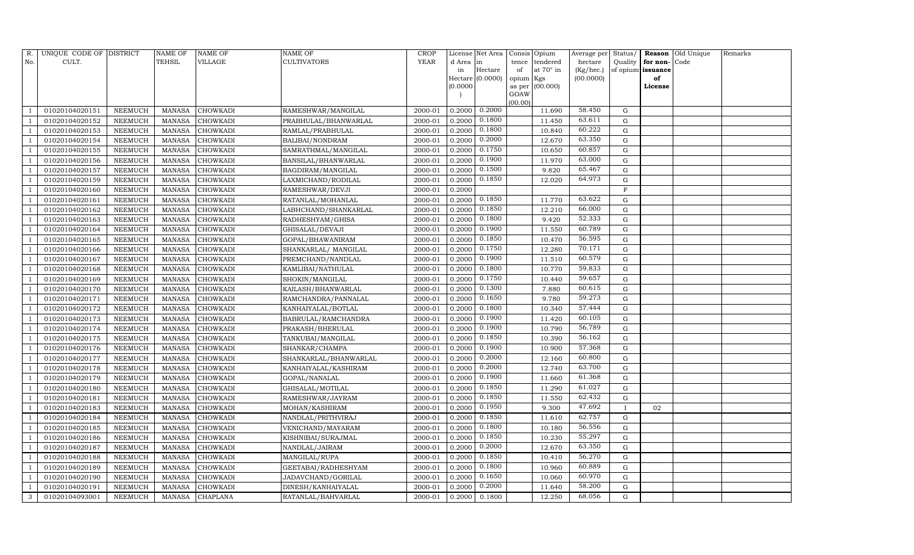| R.  | UNIQUE CODE OF DISTRICT |                | <b>NAME OF</b> | <b>NAME OF</b>  | <b>NAME OF</b>         | CROP        |           | License Net Area | Consis Opium |                  | Average per | Status/      |                   | Reason Old Unique | Remarks |
|-----|-------------------------|----------------|----------------|-----------------|------------------------|-------------|-----------|------------------|--------------|------------------|-------------|--------------|-------------------|-------------------|---------|
| No. | CULT.                   |                | <b>TEHSIL</b>  | VILLAGE         | <b>CULTIVATORS</b>     | <b>YEAR</b> | d Area in |                  | tence        | tendered         | hectare     | Quality      | for non-          | Code              |         |
|     |                         |                |                |                 |                        |             | in        | Hectare          | of           | at $70^\circ$ in | (Kg/hec.)   |              | of opium issuance |                   |         |
|     |                         |                |                |                 |                        |             |           | Hectare (0.0000) | opium Kgs    |                  | (00.0000)   |              | of                |                   |         |
|     |                         |                |                |                 |                        |             | (0.0000)  |                  | GOAW         | as per (00.000)  |             |              | License           |                   |         |
|     |                         |                |                |                 |                        |             |           |                  | (00.00)      |                  |             |              |                   |                   |         |
|     | 01020104020151          | NEEMUCH        | MANASA         | <b>CHOWKADI</b> | RAMESHWAR/MANGILAL     | 2000-01     | 0.2000    | 0.2000           |              | 11.690           | 58.450      | G            |                   |                   |         |
|     | 01020104020152          | NEEMUCH        | MANASA         | <b>CHOWKADI</b> | PRABHULAL/BHANWARLAL   | 2000-01     | 0.2000    | 0.1800           |              | 11.450           | 63.611      | G            |                   |                   |         |
|     | 01020104020153          | <b>NEEMUCH</b> | MANASA         | <b>CHOWKADI</b> | RAMLAL/PRABHULAL       | 2000-01     | 0.2000    | 0.1800           |              | 10.840           | 60.222      | G            |                   |                   |         |
|     | 01020104020154          | NEEMUCH        | MANASA         | <b>CHOWKADI</b> | <b>BALIBAI/NONDRAM</b> | 2000-01     | 0.2000    | 0.2000           |              | 12.670           | 63.350      | G            |                   |                   |         |
|     | 01020104020155          | NEEMUCH        | MANASA         | <b>CHOWKADI</b> | SAMRATHMAL/MANGILAL    | 2000-01     | 0.2000    | 0.1750           |              | 10.650           | 60.857      | $\mathbf G$  |                   |                   |         |
|     | 01020104020156          | NEEMUCH        | <b>MANASA</b>  | CHOWKADI        | BANSILAL/BHANWARLAL    | 2000-01     | 0.2000    | 0.1900           |              | 11.970           | 63.000      | $\mathbf G$  |                   |                   |         |
|     | 01020104020157          | NEEMUCH        | <b>MANASA</b>  | <b>CHOWKADI</b> | BAGDIRAM/MANGILAL      | 2000-01     | 0.2000    | 0.1500           |              | 9.820            | 65.467      | G            |                   |                   |         |
|     | 01020104020159          | NEEMUCH        | MANASA         | <b>CHOWKADI</b> | LAXMICHAND/RODILAL     | 2000-01     | 0.2000    | 0.1850           |              | 12.020           | 64.973      | G            |                   |                   |         |
|     | 01020104020160          | NEEMUCH        | <b>MANASA</b>  | <b>CHOWKADI</b> | RAMESHWAR/DEVJI        | 2000-01     | 0.2000    |                  |              |                  |             | $\mathbf{F}$ |                   |                   |         |
|     | 01020104020161          | NEEMUCH        | MANASA         | <b>CHOWKADI</b> | RATANLAL/MOHANLAL      | 2000-01     | 0.2000    | 0.1850           |              | 11.770           | 63.622      | G            |                   |                   |         |
|     | 01020104020162          | NEEMUCH        | MANASA         | <b>CHOWKADI</b> | LABHCHAND/SHANKARLAL   | 2000-01     | 0.2000    | 0.1850           |              | 12.210           | 66.000      | G            |                   |                   |         |
|     | 01020104020163          | NEEMUCH        | MANASA         | <b>CHOWKADI</b> | RADHESHYAM/GHISA       | 2000-01     | 0.2000    | 0.1800           |              | 9.420            | 52.333      | G            |                   |                   |         |
|     | 01020104020164          | NEEMUCH        | MANASA         | <b>CHOWKADI</b> | GHISALAL/DEVAJI        | 2000-01     | 0.2000    | 0.1900           |              | 11.550           | 60.789      | G            |                   |                   |         |
|     | 01020104020165          | <b>NEEMUCH</b> | <b>MANASA</b>  | <b>CHOWKADI</b> | GOPAL/BHAWANIRAM       | 2000-01     | 0.2000    | 0.1850           |              | 10.470           | 56.595      | G            |                   |                   |         |
|     | 01020104020166          | <b>NEEMUCH</b> | MANASA         | <b>CHOWKADI</b> | SHANKARLAL/ MANGILAL   | 2000-01     | 0.2000    | 0.1750           |              | 12.280           | 70.171      | G            |                   |                   |         |
|     | 01020104020167          | NEEMUCH        | MANASA         | <b>CHOWKADI</b> | PREMCHAND/NANDLAL      | 2000-01     | 0.2000    | 0.1900           |              | 11.510           | 60.579      | $\mathbf G$  |                   |                   |         |
|     | 01020104020168          | NEEMUCH        | <b>MANASA</b>  | <b>CHOWKADI</b> | KAMLIBAI/NATHULAL      | 2000-01     | 0.2000    | 0.1800           |              | 10.770           | 59.833      | G            |                   |                   |         |
|     | 01020104020169          | NEEMUCH        | MANASA         | <b>CHOWKADI</b> | SHOKIN/MANGILAL        | 2000-01     | 0.2000    | 0.1750           |              | 10.440           | 59.657      | ${\rm G}$    |                   |                   |         |
|     | 01020104020170          | NEEMUCH        | MANASA         | <b>CHOWKADI</b> | KAILASH/BHANWARLAL     | 2000-01     | 0.2000    | 0.1300           |              | 7.880            | 60.615      | G            |                   |                   |         |
|     | 01020104020171          | NEEMUCH        | MANASA         | <b>CHOWKADI</b> | RAMCHANDRA/PANNALAL    | 2000-01     | 0.2000    | 0.1650           |              | 9.780            | 59.273      | G            |                   |                   |         |
|     | 01020104020172          | NEEMUCH        | MANASA         | <b>CHOWKADI</b> | KANHAIYALAL/BOTLAL     | 2000-01     | 0.2000    | 0.1800           |              | 10.340           | 57.444      | G            |                   |                   |         |
|     | 01020104020173          | NEEMUCH        | MANASA         | <b>CHOWKADI</b> | BABRULAL/RAMCHANDRA    | 2000-01     | 0.2000    | 0.1900           |              | 11.420           | 60.105      | G            |                   |                   |         |
|     | 01020104020174          | NEEMUCH        | MANASA         | <b>CHOWKADI</b> | PRAKASH/BHERULAL       | 2000-01     | 0.2000    | 0.1900           |              | 10.790           | 56.789      | ${\rm G}$    |                   |                   |         |
|     | 01020104020175          | NEEMUCH        | MANASA         | <b>CHOWKADI</b> | TANKUBAI/MANGILAL      | 2000-01     | 0.2000    | 0.1850           |              | 10.390           | 56.162      | $\mathbf G$  |                   |                   |         |
|     | 01020104020176          | NEEMUCH        | MANASA         | <b>CHOWKADI</b> | SHANKAR/CHAMPA         | 2000-01     | 0.2000    | 0.1900           |              | 10.900           | 57.368      | ${\rm G}$    |                   |                   |         |
|     | 01020104020177          | NEEMUCH        | MANASA         | <b>CHOWKADI</b> | SHANKARLAL/BHANWARLAL  | 2000-01     | 0.2000    | 0.2000           |              | 12.160           | 60.800      | G            |                   |                   |         |
|     | 01020104020178          | NEEMUCH        | MANASA         | <b>CHOWKADI</b> | KANHAIYALAL/KASHIRAM   | 2000-01     | 0.2000    | 0.2000           |              | 12.740           | 63.700      | $\mathbf G$  |                   |                   |         |
|     | 01020104020179          | NEEMUCH        | MANASA         | <b>CHOWKADI</b> | GOPAL/NANALAL          | 2000-01     | 0.2000    | 0.1900           |              | 11.660           | 61.368      | G            |                   |                   |         |
|     | 01020104020180          | NEEMUCH        | MANASA         | <b>CHOWKADI</b> | GHISALAL/MOTILAL       | 2000-01     | 0.2000    | 0.1850           |              | 11.290           | 61.027      | G            |                   |                   |         |
|     | 01020104020181          | NEEMUCH        | MANASA         | <b>CHOWKADI</b> | RAMESHWAR/JAYRAM       | 2000-01     | 0.2000    | 0.1850           |              | 11.550           | 62.432      | G            |                   |                   |         |
|     | 01020104020183          | NEEMUCH        | MANASA         | <b>CHOWKADI</b> | MOHAN/KASHIRAM         | 2000-01     | 0.2000    | 0.1950           |              | 9.300            | 47.692      | $\mathbf{I}$ | 02                |                   |         |
|     | 01020104020184          | NEEMUCH        | MANASA         | <b>CHOWKADI</b> | NANDLAL/PRITHVIRAJ     | 2000-01     | 0.2000    | 0.1850           |              | 11.610           | 62.757      | G            |                   |                   |         |
|     | 01020104020185          | <b>NEEMUCH</b> | <b>MANASA</b>  | <b>CHOWKADI</b> | VENICHAND/MAYARAM      | 2000-01     | 0.2000    | 0.1800           |              | 10.180           | 56.556      | G            |                   |                   |         |
|     | 01020104020186          | NEEMUCH        | MANASA         | <b>CHOWKADI</b> | KISHNIBAI/SURAJMAL     | 2000-01     | 0.2000    | 0.1850           |              | 10.230           | 55.297      | G            |                   |                   |         |
|     | 01020104020187          | <b>NEEMUCH</b> | MANASA         | <b>CHOWKADI</b> | NANDLAL/JAIRAM         | 2000-01     | 0.2000    | 0.2000           |              | 12.670           | 63.350      | ${\rm G}$    |                   |                   |         |
|     | 01020104020188          | <b>NEEMUCH</b> | MANASA         | <b>CHOWKADI</b> | MANGILAL/RUPA          | 2000-01     | 0.2000    | 0.1850           |              | 10.410           | 56.270      | ${\rm G}$    |                   |                   |         |
|     | 01020104020189          | NEEMUCH        | <b>MANASA</b>  | <b>CHOWKADI</b> | GEETABAI/RADHESHYAM    | 2000-01     | 0.2000    | 0.1800           |              | 10.960           | 60.889      | G            |                   |                   |         |
|     | 01020104020190          | NEEMUCH        | <b>MANASA</b>  | CHOWKADI        | JADAVCHAND/GORILAL     | 2000-01     | 0.2000    | 0.1650           |              | 10.060           | 60.970      | ${\rm G}$    |                   |                   |         |
|     | 01020104020191          | <b>NEEMUCH</b> | MANASA         | <b>CHOWKADI</b> | DINESH/KANHAIYALAL     | 2000-01     | 0.2000    | 0.2000           |              | 11.640           | 58.200      | G            |                   |                   |         |
| 3   | 01020104093001          | NEEMUCH        |                | MANASA CHAPLANA | RATANLAL/BAHVARLAL     | 2000-01     | 0.2000    | 0.1800           |              | 12.250           | 68.056      | G            |                   |                   |         |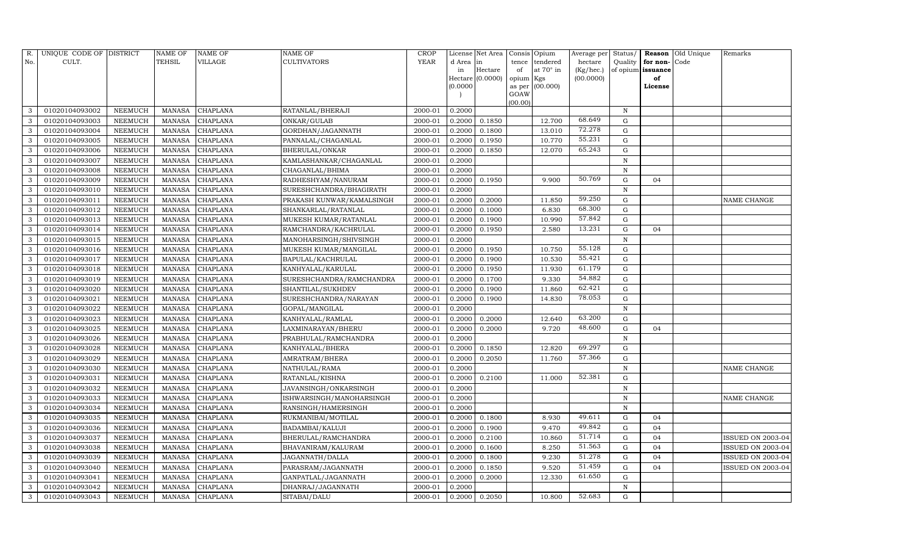| R.           | UNIQUE CODE OF DISTRICT |                | <b>NAME OF</b> | <b>NAME OF</b>  | <b>NAME OF</b>            | CROP        |           | License Net Area | Consis Opium   |                  | Average per | Status/      | <b>Reason</b>     | Old Unique | Remarks                  |
|--------------|-------------------------|----------------|----------------|-----------------|---------------------------|-------------|-----------|------------------|----------------|------------------|-------------|--------------|-------------------|------------|--------------------------|
| No.          | CULT.                   |                | TEHSIL         | VILLAGE         | <b>CULTIVATORS</b>        | <b>YEAR</b> | d Area in |                  | tence          | tendered         | hectare     |              | Quality for non-  | Code       |                          |
|              |                         |                |                |                 |                           |             | in        | Hectare          | of             | at $70^\circ$ in | (Kg/hec.)   |              | of opium issuance |            |                          |
|              |                         |                |                |                 |                           |             |           | Hectare (0.0000) | opium Kgs      |                  | (00.0000)   |              | of                |            |                          |
|              |                         |                |                |                 |                           |             | (0.0000)  |                  | as per<br>GOAW | (00.000)         |             |              | License           |            |                          |
|              |                         |                |                |                 |                           |             |           |                  | (00.00)        |                  |             |              |                   |            |                          |
| 3            | 01020104093002          | NEEMUCH        | MANASA         | <b>CHAPLANA</b> | RATANLAL/BHERAJI          | 2000-01     | 0.2000    |                  |                |                  |             | N            |                   |            |                          |
| 3            | 01020104093003          | <b>NEEMUCH</b> | <b>MANASA</b>  | CHAPLANA        | ONKAR/GULAB               | 2000-01     | 0.2000    | 0.1850           |                | 12.700           | 68.649      | G            |                   |            |                          |
| 3            | 01020104093004          | <b>NEEMUCH</b> | <b>MANASA</b>  | CHAPLANA        | GORDHAN/JAGANNATH         | 2000-01     | 0.2000    | 0.1800           |                | 13.010           | 72.278      | G            |                   |            |                          |
| 3            | 01020104093005          | NEEMUCH        | <b>MANASA</b>  | CHAPLANA        | PANNALAL/CHAGANLAL        | 2000-01     | 0.2000    | 0.1950           |                | 10.770           | 55.231      | G            |                   |            |                          |
| 3            | 01020104093006          | NEEMUCH        | <b>MANASA</b>  | CHAPLANA        | BHERULAL/ONKAR            | 2000-01     | 0.2000    | 0.1850           |                | 12.070           | 65.243      | $\mathbf G$  |                   |            |                          |
| 3            | 01020104093007          | NEEMUCH        | <b>MANASA</b>  | CHAPLANA        | KAMLASHANKAR/CHAGANLAL    | 2000-01     | 0.2000    |                  |                |                  |             | $\, {\rm N}$ |                   |            |                          |
| 3            | 01020104093008          | NEEMUCH        | <b>MANASA</b>  | CHAPLANA        | CHAGANLAL/BHIMA           | 2000-01     | 0.2000    |                  |                |                  |             | $\mathbf N$  |                   |            |                          |
| 3            | 01020104093009          | NEEMUCH        | <b>MANASA</b>  | CHAPLANA        | RADHESHYAM/NANURAM        | 2000-01     | 0.2000    | 0.1950           |                | 9.900            | 50.769      | G            | 04                |            |                          |
| 3            | 01020104093010          | NEEMUCH        | <b>MANASA</b>  | CHAPLANA        | SURESHCHANDRA/BHAGIRATH   | 2000-01     | 0.2000    |                  |                |                  |             | $\, {\rm N}$ |                   |            |                          |
| 3            | 01020104093011          | <b>NEEMUCH</b> | <b>MANASA</b>  | CHAPLANA        | PRAKASH KUNWAR/KAMALSINGH | 2000-01     | 0.2000    | 0.2000           |                | 11.850           | 59.250      | G            |                   |            | NAME CHANGE              |
| 3            | 01020104093012          | NEEMUCH        | <b>MANASA</b>  | CHAPLANA        | SHANKARLAL/RATANLAL       | 2000-01     | 0.2000    | 0.1000           |                | 6.830            | 68.300      | G            |                   |            |                          |
| 3            | 01020104093013          | <b>NEEMUCH</b> | <b>MANASA</b>  | CHAPLANA        | MUKESH KUMAR/RATANLAL     | 2000-01     | 0.2000    | 0.1900           |                | 10.990           | 57.842      | G            |                   |            |                          |
| 3            | 01020104093014          | NEEMUCH        | <b>MANASA</b>  | CHAPLANA        | RAMCHANDRA/KACHRULAL      | 2000-01     | 0.2000    | 0.1950           |                | 2.580            | 13.231      | G            | 04                |            |                          |
| 3            | 01020104093015          | NEEMUCH        | <b>MANASA</b>  | CHAPLANA        | MANOHARSINGH/SHIVSINGH    | 2000-01     | 0.2000    |                  |                |                  |             | $\, {\rm N}$ |                   |            |                          |
| 3            | 01020104093016          | <b>NEEMUCH</b> | <b>MANASA</b>  | CHAPLANA        | MUKESH KUMAR/MANGILAL     | 2000-01     | 0.2000    | 0.1950           |                | 10.750           | 55.128      | G            |                   |            |                          |
| 3            | 01020104093017          | NEEMUCH        | <b>MANASA</b>  | CHAPLANA        | BAPULAL/KACHRULAL         | 2000-01     | 0.2000    | 0.1900           |                | 10.530           | 55.421      | $\mathbf G$  |                   |            |                          |
| 3            | 01020104093018          | NEEMUCH        | <b>MANASA</b>  | CHAPLANA        | KANHYALAL/KARULAL         | 2000-01     | 0.2000    | 0.1950           |                | 11.930           | 61.179      | G            |                   |            |                          |
| 3            | 01020104093019          | <b>NEEMUCH</b> | <b>MANASA</b>  | CHAPLANA        | SURESHCHANDRA/RAMCHANDRA  | 2000-01     | 0.2000    | 0.1700           |                | 9.330            | 54.882      | G            |                   |            |                          |
| 3            | 01020104093020          | NEEMUCH        | <b>MANASA</b>  | CHAPLANA        | SHANTILAL/SUKHDEV         | 2000-01     | 0.2000    | 0.1900           |                | 11.860           | 62.421      | G            |                   |            |                          |
| 3            | 01020104093021          | NEEMUCH        | <b>MANASA</b>  | CHAPLANA        | SURESHCHANDRA/NARAYAN     | 2000-01     | 0.2000    | 0.1900           |                | 14.830           | 78.053      | G            |                   |            |                          |
| 3            | 01020104093022          | NEEMUCH        | <b>MANASA</b>  | CHAPLANA        | GOPAL/MANGILAL            | 2000-01     | 0.2000    |                  |                |                  |             | $\, {\rm N}$ |                   |            |                          |
| 3            | 01020104093023          | NEEMUCH        | <b>MANASA</b>  | CHAPLANA        | KANHYALAL/RAMLAL          | 2000-01     | 0.2000    | 0.2000           |                | 12.640           | 63.200      | G            |                   |            |                          |
| $\sqrt{3}$   | 01020104093025          | NEEMUCH        | <b>MANASA</b>  | CHAPLANA        | LAXMINARAYAN/BHERU        | 2000-01     | 0.2000    | 0.2000           |                | 9.720            | 48.600      | ${\rm G}$    | 04                |            |                          |
| 3            | 01020104093026          | NEEMUCH        | <b>MANASA</b>  | CHAPLANA        | PRABHULAL/RAMCHANDRA      | 2000-01     | 0.2000    |                  |                |                  |             | N            |                   |            |                          |
| 3            | 01020104093028          | <b>NEEMUCH</b> | <b>MANASA</b>  | CHAPLANA        | KANHYALAL/BHERA           | 2000-01     | 0.2000    | 0.1850           |                | 12.820           | 69.297      | ${\rm G}$    |                   |            |                          |
| 3            | 01020104093029          | <b>NEEMUCH</b> | <b>MANASA</b>  | CHAPLANA        | AMRATRAM/BHERA            | 2000-01     | 0.2000    | 0.2050           |                | 11.760           | 57.366      | G            |                   |            |                          |
| 3            | 01020104093030          | NEEMUCH        | <b>MANASA</b>  | CHAPLANA        | NATHULAL/RAMA             | 2000-01     | 0.2000    |                  |                |                  |             | $\, {\rm N}$ |                   |            | NAME CHANGE              |
| 3            | 01020104093031          | <b>NEEMUCH</b> | <b>MANASA</b>  | CHAPLANA        | RATANLAL/KISHNA           | 2000-01     | 0.2000    | 0.2100           |                | 11.000           | 52.381      | G            |                   |            |                          |
| 3            | 01020104093032          | NEEMUCH        | <b>MANASA</b>  | CHAPLANA        | JAVANSINGH/ONKARSINGH     | 2000-01     | 0.2000    |                  |                |                  |             | ${\bf N}$    |                   |            |                          |
| 3            | 01020104093033          | NEEMUCH        | <b>MANASA</b>  | CHAPLANA        | ISHWARSINGH/MANOHARSINGH  | 2000-01     | 0.2000    |                  |                |                  |             | N            |                   |            | NAME CHANGE              |
| 3            | 01020104093034          | NEEMUCH        | <b>MANASA</b>  | CHAPLANA        | RANSINGH/HAMERSINGH       | 2000-01     | 0.2000    |                  |                |                  |             | $\, {\rm N}$ |                   |            |                          |
| 3            | 01020104093035          | NEEMUCH        | <b>MANASA</b>  | CHAPLANA        | RUKMANIBAI/MOTILAL        | 2000-01     | 0.2000    | 0.1800           |                | 8.930            | 49.611      | G            | 04                |            |                          |
| 3            | 01020104093036          | NEEMUCH        | <b>MANASA</b>  | CHAPLANA        | BADAMBAI/KALUJI           | 2000-01     | 0.2000    | 0.1900           |                | 9.470            | 49.842      | ${\rm G}$    | 04                |            |                          |
| 3            | 01020104093037          | NEEMUCH        | <b>MANASA</b>  | CHAPLANA        | BHERULAL/RAMCHANDRA       | 2000-01     | 0.2000    | 0.2100           |                | 10.860           | 51.714      | G            | 04                |            | ISSUED ON 2003-04        |
| 3            | 01020104093038          | NEEMUCH        | <b>MANASA</b>  | CHAPLANA        | BHAVANIRAM/KALURAM        | 2000-01     | 0.2000    | 0.1600           |                | 8.250            | 51.563      | ${\rm G}$    | 04                |            | ISSUED ON 2003-04        |
| 3            | 01020104093039          | <b>NEEMUCH</b> | <b>MANASA</b>  | CHAPLANA        | JAGANNATH/DALLA           | 2000-01     | 0.2000    | 0.1800           |                | 9.230            | 51.278      | ${\rm G}$    | 04                |            | <b>ISSUED ON 2003-04</b> |
| 3            | 01020104093040          | NEEMUCH        | <b>MANASA</b>  | CHAPLANA        | PARASRAM/JAGANNATH        | 2000-01     | 0.2000    | 0.1850           |                | 9.520            | 51.459      | G            | 04                |            | ISSUED ON 2003-04        |
| $\mathbf{3}$ | 01020104093041          | NEEMUCH        | <b>MANASA</b>  | CHAPLANA        | GANPATLAL/JAGANNATH       | 2000-01     | 0.2000    | 0.2000           |                | 12.330           | 61.650      | ${\rm G}$    |                   |            |                          |
| 3            | 01020104093042          | NEEMUCH        | <b>MANASA</b>  | <b>CHAPLANA</b> | DHANRAJ/JAGANNATH         | 2000-01     | 0.2000    |                  |                |                  |             | N            |                   |            |                          |
| 3            | 01020104093043          | NEEMUCH        | MANASA         | <b>CHAPLANA</b> | SITABAI/DALU              | 2000-01     | 0.2000    | 0.2050           |                | 10.800           | 52.683      | G            |                   |            |                          |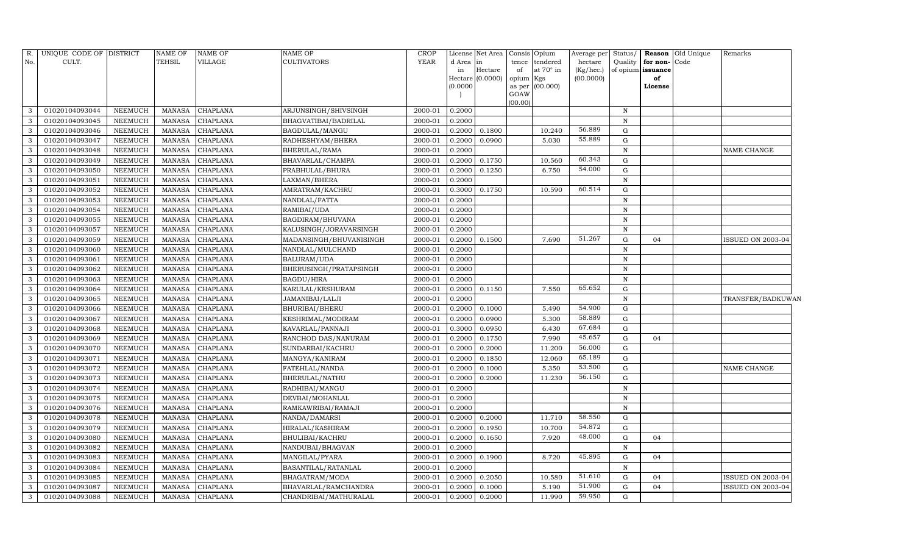| R.  | UNIQUE CODE OF DISTRICT |                | <b>NAME OF</b> | NAME OF         | <b>NAME OF</b>          | <b>CROP</b> | License             | Net Area | Consis Opium |                  | Average per | Status/      |                   | Reason Old Unique | Remarks                  |
|-----|-------------------------|----------------|----------------|-----------------|-------------------------|-------------|---------------------|----------|--------------|------------------|-------------|--------------|-------------------|-------------------|--------------------------|
| No. | CULT.                   |                | TEHSIL         | VILLAGE         | <b>CULTIVATORS</b>      | <b>YEAR</b> | d Area              | in       |              | tence tendered   | hectare     | Quality      | for non-Code      |                   |                          |
|     |                         |                |                |                 |                         |             | in                  | Hectare  | of           | at $70^\circ$ in | (Kg/hec.)   |              | of opium issuance |                   |                          |
|     |                         |                |                |                 |                         |             | Hectare<br>(0.0000) | (0.0000) | opium Kgs    | as per (00.000)  | (00.0000)   |              | of                |                   |                          |
|     |                         |                |                |                 |                         |             |                     |          | GOAW         |                  |             |              | License           |                   |                          |
|     |                         |                |                |                 |                         |             |                     |          | (00.00)      |                  |             |              |                   |                   |                          |
| 3   | 01020104093044          | <b>NEEMUCH</b> | <b>MANASA</b>  | CHAPLANA        | ARJUNSINGH/SHIVSINGH    | 2000-01     | 0.2000              |          |              |                  |             | N            |                   |                   |                          |
| 3   | 01020104093045          | NEEMUCH        | <b>MANASA</b>  | CHAPLANA        | BHAGVATIBAI/BADRILAL    | 2000-01     | 0.2000              |          |              |                  |             | $\mathbf N$  |                   |                   |                          |
| 3   | 01020104093046          | <b>NEEMUCH</b> | <b>MANASA</b>  | CHAPLANA        | BAGDULAL/MANGU          | 2000-01     | 0.2000              | 0.1800   |              | 10.240           | 56.889      | G            |                   |                   |                          |
| 3   | 01020104093047          | NEEMUCH        | <b>MANASA</b>  | CHAPLANA        | RADHESHYAM/BHERA        | 2000-01     | 0.2000              | 0.0900   |              | 5.030            | 55.889      | ${\rm G}$    |                   |                   |                          |
| 3   | 01020104093048          | NEEMUCH        | <b>MANASA</b>  | CHAPLANA        | BHERULAL/RAMA           | 2000-01     | 0.2000              |          |              |                  |             | $\mathbf N$  |                   |                   | NAME CHANGE              |
| 3   | 01020104093049          | NEEMUCH        | <b>MANASA</b>  | CHAPLANA        | BHAVARLAL/CHAMPA        | 2000-01     | 0.2000              | 0.1750   |              | 10.560           | 60.343      | G            |                   |                   |                          |
| 3   | 01020104093050          | <b>NEEMUCH</b> | <b>MANASA</b>  | CHAPLANA        | PRABHULAL/BHURA         | 2000-01     | 0.2000              | 0.1250   |              | 6.750            | 54.000      | G            |                   |                   |                          |
| 3   | 01020104093051          | NEEMUCH        | <b>MANASA</b>  | CHAPLANA        | LAXMAN/BHERA            | 2000-01     | 0.2000              |          |              |                  |             | $\, {\bf N}$ |                   |                   |                          |
| 3   | 01020104093052          | <b>NEEMUCH</b> | <b>MANASA</b>  | CHAPLANA        | AMRATRAM/KACHRU         | 2000-01     | 0.3000              | 0.1750   |              | 10.590           | 60.514      | G            |                   |                   |                          |
| 3   | 01020104093053          | <b>NEEMUCH</b> | <b>MANASA</b>  | CHAPLANA        | NANDLAL/FATTA           | 2000-01     | 0.2000              |          |              |                  |             | $\mathbf N$  |                   |                   |                          |
| 3   | 01020104093054          | <b>NEEMUCH</b> | <b>MANASA</b>  | CHAPLANA        | RAMIBAI/UDA             | 2000-01     | 0.2000              |          |              |                  |             | $\,$ N       |                   |                   |                          |
| 3   | 01020104093055          | <b>NEEMUCH</b> | <b>MANASA</b>  | CHAPLANA        | BAGDIRAM/BHUVANA        | 2000-01     | 0.2000              |          |              |                  |             | $\mathbf N$  |                   |                   |                          |
| 3   | 01020104093057          | NEEMUCH        | <b>MANASA</b>  | CHAPLANA        | KALUSINGH/JORAVARSINGH  | 2000-01     | 0.2000              |          |              |                  |             | $\, {\rm N}$ |                   |                   |                          |
| 3   | 01020104093059          | <b>NEEMUCH</b> | <b>MANASA</b>  | CHAPLANA        | MADANSINGH/BHUVANISINGH | 2000-01     | 0.2000              | 0.1500   |              | 7.690            | 51.267      | G            | 04                |                   | <b>ISSUED ON 2003-04</b> |
| 3   | 01020104093060          | <b>NEEMUCH</b> | <b>MANASA</b>  | CHAPLANA        | NANDLAL/MULCHAND        | 2000-01     | 0.2000              |          |              |                  |             | $\, {\bf N}$ |                   |                   |                          |
| 3   | 01020104093061          | <b>NEEMUCH</b> | <b>MANASA</b>  | CHAPLANA        | BALURAM/UDA             | 2000-01     | 0.2000              |          |              |                  |             | $\,$ N       |                   |                   |                          |
| 3   | 01020104093062          | <b>NEEMUCH</b> | <b>MANASA</b>  | CHAPLANA        | BHERUSINGH/PRATAPSINGH  | 2000-01     | 0.2000              |          |              |                  |             | $\, {\rm N}$ |                   |                   |                          |
| 3   | 01020104093063          | <b>NEEMUCH</b> | <b>MANASA</b>  | CHAPLANA        | <b>BAGDU/HIRA</b>       | 2000-01     | 0.2000              |          |              |                  |             | $\mathbf N$  |                   |                   |                          |
| 3   | 01020104093064          | <b>NEEMUCH</b> | <b>MANASA</b>  | CHAPLANA        | KARULAL/KESHURAM        | 2000-01     | 0.2000              | 0.1150   |              | 7.550            | 65.652      | ${\rm G}$    |                   |                   |                          |
| 3   | 01020104093065          | <b>NEEMUCH</b> | <b>MANASA</b>  | CHAPLANA        | JAMANIBAI/LALJI         | 2000-01     | 0.2000              |          |              |                  |             | $\, {\rm N}$ |                   |                   | TRANSFER/BADKUWAN        |
| 3   | 01020104093066          | <b>NEEMUCH</b> | <b>MANASA</b>  | CHAPLANA        | BHURIBAI/BHERU          | 2000-01     | 0.2000              | 0.1000   |              | 5.490            | 54.900      | G            |                   |                   |                          |
| 3   | 01020104093067          | <b>NEEMUCH</b> | <b>MANASA</b>  | CHAPLANA        | KESHRIMAL/MODIRAM       | 2000-01     | 0.2000              | 0.0900   |              | 5.300            | 58.889      | G            |                   |                   |                          |
| 3   | 01020104093068          | <b>NEEMUCH</b> | <b>MANASA</b>  | CHAPLANA        | KAVARLAL/PANNAJI        | 2000-01     | 0.3000              | 0.0950   |              | 6.430            | 67.684      | G            |                   |                   |                          |
| 3   | 01020104093069          | NEEMUCH        | <b>MANASA</b>  | CHAPLANA        | RANCHOD DAS/NANURAM     | 2000-01     | 0.2000              | 0.1750   |              | 7.990            | 45.657      | ${\rm G}$    | 04                |                   |                          |
| 3   | 01020104093070          | <b>NEEMUCH</b> | <b>MANASA</b>  | CHAPLANA        | SUNDARBAI/KACHRU        | 2000-01     | 0.2000              | 0.2000   |              | 11.200           | 56.000      | G            |                   |                   |                          |
| 3   | 01020104093071          | <b>NEEMUCH</b> | <b>MANASA</b>  | CHAPLANA        | MANGYA/KANIRAM          | 2000-01     | 0.2000              | 0.1850   |              | 12.060           | 65.189      | G            |                   |                   |                          |
| 3   | 01020104093072          | <b>NEEMUCH</b> | <b>MANASA</b>  | CHAPLANA        | FATEHLAL/NANDA          | 2000-01     | 0.2000              | 0.1000   |              | 5.350            | 53.500      | G            |                   |                   | NAME CHANGE              |
| 3   | 01020104093073          | <b>NEEMUCH</b> | <b>MANASA</b>  | CHAPLANA        | BHERULAL/NATHU          | 2000-01     | 0.2000              | 0.2000   |              | 11.230           | 56.150      | ${\rm G}$    |                   |                   |                          |
| 3   | 01020104093074          | <b>NEEMUCH</b> | <b>MANASA</b>  | CHAPLANA        | RADHIBAI/MANGU          | 2000-01     | 0.2000              |          |              |                  |             | $\, {\bf N}$ |                   |                   |                          |
| 3   | 01020104093075          | <b>NEEMUCH</b> | <b>MANASA</b>  | CHAPLANA        | DEVBAI/MOHANLAL         | 2000-01     | 0.2000              |          |              |                  |             | $\, {\bf N}$ |                   |                   |                          |
| 3   | 01020104093076          | <b>NEEMUCH</b> | <b>MANASA</b>  | CHAPLANA        | RAMKAWRIBAI/RAMAJI      | 2000-01     | 0.2000              |          |              |                  |             | $\, {\bf N}$ |                   |                   |                          |
| 3   | 01020104093078          | <b>NEEMUCH</b> | <b>MANASA</b>  | <b>CHAPLANA</b> | NANDA/DAMARSI           | 2000-01     | 0.2000              | 0.2000   |              | 11.710           | 58.550      | ${\rm G}$    |                   |                   |                          |
| 3   | 01020104093079          | <b>NEEMUCH</b> | <b>MANASA</b>  | CHAPLANA        | HIRALAL/KASHIRAM        | 2000-01     | 0.2000              | 0.1950   |              | 10.700           | 54.872      | G            |                   |                   |                          |
| 3   | 01020104093080          | <b>NEEMUCH</b> | <b>MANASA</b>  | CHAPLANA        | BHULIBAI/KACHRU         | 2000-01     | 0.2000              | 0.1650   |              | 7.920            | 48.000      | G            | 04                |                   |                          |
| 3   | 01020104093082          | <b>NEEMUCH</b> | <b>MANASA</b>  | CHAPLANA        | NANDUBAI/BHAGVAN        | 2000-01     | 0.2000              |          |              |                  |             | $\, {\bf N}$ |                   |                   |                          |
| 3   | 01020104093083          | NEEMUCH        | <b>MANASA</b>  | CHAPLANA        | MANGILAL/PYARA          | 2000-01     | 0.2000              | 0.1900   |              | 8.720            | 45.895      | G            | 04                |                   |                          |
| 3   | 01020104093084          | <b>NEEMUCH</b> | <b>MANASA</b>  | CHAPLANA        | BASANTILAL/RATANLAL     | 2000-01     | 0.2000              |          |              |                  |             | $\mathbf N$  |                   |                   |                          |
| 3   | 01020104093085          | NEEMUCH        | <b>MANASA</b>  | CHAPLANA        | BHAGATRAM/MODA          | 2000-01     | 0.2000              | 0.2050   |              | 10.580           | 51.610      | G            | 04                |                   | <b>ISSUED ON 2003-04</b> |
| 3   | 01020104093087          | <b>NEEMUCH</b> | <b>MANASA</b>  | CHAPLANA        | BHAVARLAL/RAMCHANDRA    | 2000-01     | 0.2000              | 0.1000   |              | 5.190            | 51.900      | G            | 04                |                   | <b>ISSUED ON 2003-04</b> |
| 3   | 01020104093088          | NEEMUCH        | <b>MANASA</b>  | <b>CHAPLANA</b> | CHANDRIBAI/MATHURALAL   | 2000-01     | 0.2000              | 0.2000   |              | 11.990           | 59.950      | G            |                   |                   |                          |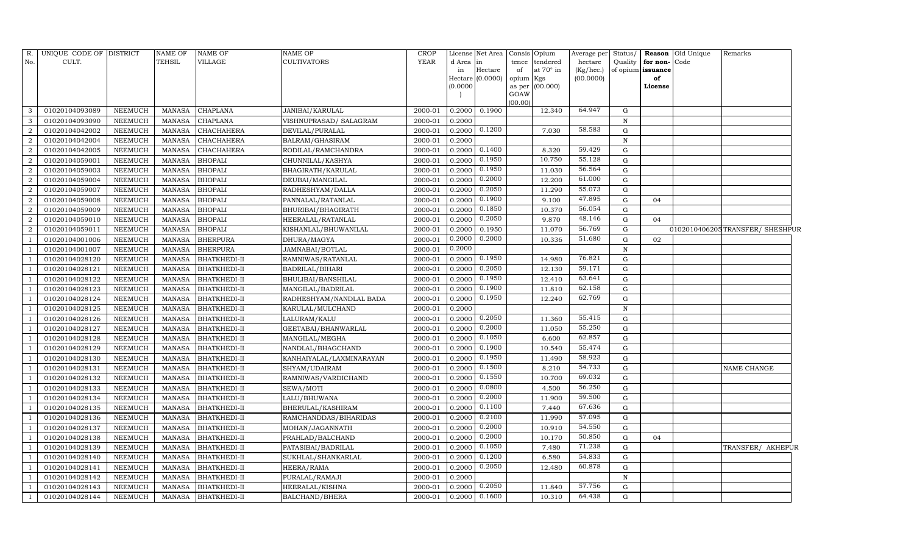| R.               | UNIQUE CODE OF DISTRICT |                | NAME OF       | <b>NAME OF</b>      | <b>NAME OF</b>           | CROP        |          | License Net Area Consis Opium |           |                   | Average per | Status/      |                   | Reason Old Unique | Remarks                        |
|------------------|-------------------------|----------------|---------------|---------------------|--------------------------|-------------|----------|-------------------------------|-----------|-------------------|-------------|--------------|-------------------|-------------------|--------------------------------|
| No.              | CULT.                   |                | TEHSIL        | VILLAGE             | <b>CULTIVATORS</b>       | <b>YEAR</b> | d Area   | in                            |           | tence tendered    | hectare     | Quality      | for non-Code      |                   |                                |
|                  |                         |                |               |                     |                          |             | in       | Hectare                       | of        | at 70° in         | (Kg/hec.)   |              | of opium issuance |                   |                                |
|                  |                         |                |               |                     |                          |             | Hectare  | (0.0000)                      | opium Kgs |                   | (00.0000)   |              | of                |                   |                                |
|                  |                         |                |               |                     |                          |             | (0.0000) |                               | GOAW      | as per $(00.000)$ |             |              | License           |                   |                                |
|                  |                         |                |               |                     |                          |             |          |                               | (00.00)   |                   |             |              |                   |                   |                                |
| 3                | 01020104093089          | <b>NEEMUCH</b> | MANASA        | <b>CHAPLANA</b>     | JANIBAI/KARULAL          | 2000-01     | 0.2000   | 0.1900                        |           | 12.340            | 64.947      | G            |                   |                   |                                |
| 3                | 01020104093090          | <b>NEEMUCH</b> | <b>MANASA</b> | <b>CHAPLANA</b>     | VISHNUPRASAD/ SALAGRAM   | 2000-01     | 0.2000   |                               |           |                   |             | $\mathbf N$  |                   |                   |                                |
| $\overline{a}$   | 01020104042002          | <b>NEEMUCH</b> | <b>MANASA</b> | <b>CHACHAHERA</b>   | DEVILAL/PURALAL          | 2000-01     | 0.2000   | 0.1200                        |           | 7.030             | 58.583      | G            |                   |                   |                                |
| $\boldsymbol{2}$ | 01020104042004          | <b>NEEMUCH</b> | MANASA        | CHACHAHERA          | BALRAM/GHASIRAM          | 2000-01     | 0.2000   |                               |           |                   |             | $\, {\bf N}$ |                   |                   |                                |
| $\overline{2}$   | 01020104042005          | <b>NEEMUCH</b> | <b>MANASA</b> | CHACHAHERA          | RODILAL/RAMCHANDRA       | 2000-01     | 0.2000   | 0.1400                        |           | 8.320             | 59.429      | G            |                   |                   |                                |
| $\overline{2}$   | 01020104059001          | <b>NEEMUCH</b> | <b>MANASA</b> | <b>BHOPALI</b>      | CHUNNILAL/KASHYA         | 2000-01     | 0.2000   | 0.1950                        |           | 10.750            | 55.128      | G            |                   |                   |                                |
| $\overline{2}$   | 01020104059003          | <b>NEEMUCH</b> | <b>MANASA</b> | <b>BHOPALI</b>      | BHAGIRATH/KARULAL        | 2000-01     | 0.2000   | 0.1950                        |           | 11.030            | 56.564      | G            |                   |                   |                                |
| $\overline{2}$   | 01020104059004          | <b>NEEMUCH</b> | <b>MANASA</b> | <b>BHOPALI</b>      | DEUBAI/MANGILAL          | 2000-01     | 0.2000   | 0.2000                        |           | 12.200            | 61.000      | ${\rm G}$    |                   |                   |                                |
| $\overline{2}$   | 01020104059007          | <b>NEEMUCH</b> | <b>MANASA</b> | <b>BHOPALI</b>      | RADHESHYAM/DALLA         | 2000-01     | 0.2000   | 0.2050                        |           | 11.290            | 55.073      | G            |                   |                   |                                |
| $\overline{2}$   | 01020104059008          | <b>NEEMUCH</b> | <b>MANASA</b> | <b>BHOPALI</b>      | PANNALAL/RATANLAL        | 2000-01     | 0.2000   | 0.1900                        |           | 9.100             | 47.895      | G            | 04                |                   |                                |
| $\overline{a}$   | 01020104059009          | <b>NEEMUCH</b> | <b>MANASA</b> | <b>BHOPALI</b>      | BHURIBAI/BHAGIRATH       | 2000-01     | 0.2000   | 0.1850                        |           | 10.370            | 56.054      | G            |                   |                   |                                |
| $\overline{a}$   | 01020104059010          | <b>NEEMUCH</b> | <b>MANASA</b> | <b>BHOPALI</b>      | HEERALAL/RATANLAL        | 2000-01     | 0.2000   | 0.2050                        |           | 9.870             | 48.146      | G            | 04                |                   |                                |
| $\overline{2}$   | 01020104059011          | <b>NEEMUCH</b> | <b>MANASA</b> | <b>BHOPALI</b>      | KISHANLAL/BHUWANILAL     | 2000-01     | 0.2000   | 0.1950                        |           | 11.070            | 56.769      | G            |                   |                   | 0102010406205TRANSFER/SHESHPUR |
|                  | 01020104001006          | <b>NEEMUCH</b> | <b>MANASA</b> | <b>BHERPURA</b>     | DHURA/MAGYA              | 2000-01     | 0.2000   | 0.2000                        |           | 10.336            | 51.680      | G            | 02                |                   |                                |
|                  | 01020104001007          | <b>NEEMUCH</b> | <b>MANASA</b> | <b>BHERPURA</b>     | JAMNABAI/BOTLAL          | 2000-01     | 0.2000   |                               |           |                   |             | $\mathbf N$  |                   |                   |                                |
|                  | 01020104028120          | <b>NEEMUCH</b> | <b>MANASA</b> | BHATKHEDI-II        | RAMNIWAS/RATANLAL        | 2000-01     | 0.2000   | 0.1950                        |           | 14.980            | 76.821      | G            |                   |                   |                                |
|                  | 01020104028121          | <b>NEEMUCH</b> | <b>MANASA</b> | BHATKHEDI-II        | BADRILAL/BIHARI          | 2000-01     | 0.2000   | 0.2050                        |           | 12.130            | 59.171      | G            |                   |                   |                                |
|                  | 01020104028122          | <b>NEEMUCH</b> | <b>MANASA</b> | BHATKHEDI-II        | BHULIBAI/BANSHILAL       | 2000-01     | 0.2000   | 0.1950                        |           | 12.410            | 63.641      | G            |                   |                   |                                |
|                  | 01020104028123          | <b>NEEMUCH</b> | <b>MANASA</b> | BHATKHEDI-II        | MANGILAL/BADRILAL        | 2000-01     | 0.2000   | 0.1900                        |           | 11.810            | 62.158      | G            |                   |                   |                                |
|                  | 01020104028124          | <b>NEEMUCH</b> | <b>MANASA</b> | BHATKHEDI-II        | RADHESHYAM/NANDLAL BADA  | 2000-01     | 0.2000   | 0.1950                        |           | 12.240            | 62.769      | G            |                   |                   |                                |
|                  | 01020104028125          | <b>NEEMUCH</b> | <b>MANASA</b> | BHATKHEDI-II        | KARULAL/MULCHAND         | 2000-01     | 0.2000   |                               |           |                   |             | $\mathbf N$  |                   |                   |                                |
|                  | 01020104028126          | <b>NEEMUCH</b> | <b>MANASA</b> | BHATKHEDI-II        | LALURAM/KALU             | 2000-01     | 0.2000   | 0.2050                        |           | 11.360            | 55.415      | G            |                   |                   |                                |
|                  | 01020104028127          | <b>NEEMUCH</b> | MANASA        | BHATKHEDI-II        | GEETABAI/BHANWARLAL      | 2000-01     | 0.2000   | 0.2000                        |           | 11.050            | 55.250      | ${\rm G}$    |                   |                   |                                |
|                  | 01020104028128          | <b>NEEMUCH</b> | <b>MANASA</b> | BHATKHEDI-II        | MANGILAL/MEGHA           | 2000-01     | 0.2000   | 0.1050                        |           | 6.600             | 62.857      | ${\rm G}$    |                   |                   |                                |
|                  | 01020104028129          | <b>NEEMUCH</b> | <b>MANASA</b> | BHATKHEDI-II        | NANDLAL/BHAGCHAND        | 2000-01     | 0.2000   | 0.1900                        |           | 10.540            | 55.474      | G            |                   |                   |                                |
|                  | 01020104028130          | <b>NEEMUCH</b> | <b>MANASA</b> | BHATKHEDI-II        | KANHAIYALAL/LAXMINARAYAN | 2000-01     | 0.2000   | 0.1950                        |           | 11.490            | 58.923      | G            |                   |                   |                                |
|                  | 01020104028131          | <b>NEEMUCH</b> | <b>MANASA</b> | <b>BHATKHEDI-II</b> | SHYAM/UDAIRAM            | 2000-01     | 0.2000   | 0.1500                        |           | 8.210             | 54.733      | ${\rm G}$    |                   |                   | NAME CHANGE                    |
|                  | 01020104028132          | <b>NEEMUCH</b> | <b>MANASA</b> | BHATKHEDI-II        | RAMNIWAS/VARDICHAND      | 2000-01     | 0.2000   | 0.1550                        |           | 10.700            | 69.032      | G            |                   |                   |                                |
|                  | 01020104028133          | <b>NEEMUCH</b> | <b>MANASA</b> | BHATKHEDI-II        | SEWA/MOTI                | 2000-01     | 0.2000   | 0.0800                        |           | 4.500             | 56.250      | G            |                   |                   |                                |
|                  | 01020104028134          | <b>NEEMUCH</b> | <b>MANASA</b> | BHATKHEDI-II        | LALU/BHUWANA             | 2000-01     | 0.2000   | 0.2000                        |           | 11.900            | 59.500      | G            |                   |                   |                                |
|                  | 01020104028135          | <b>NEEMUCH</b> | <b>MANASA</b> | BHATKHEDI-II        | BHERULAL/KASHIRAM        | 2000-01     | 0.2000   | 0.1100                        |           | 7.440             | 67.636      | G            |                   |                   |                                |
|                  | 01020104028136          | <b>NEEMUCH</b> | <b>MANASA</b> | <b>BHATKHEDI-II</b> | RAMCHANDDAS/BIHARIDAS    | 2000-01     | 0.2000   | 0.2100                        |           | 11.990            | 57.095      | G            |                   |                   |                                |
|                  | 01020104028137          | <b>NEEMUCH</b> | <b>MANASA</b> | BHATKHEDI-II        | MOHAN/JAGANNATH          | 2000-01     | 0.2000   | 0.2000                        |           | 10.910            | 54.550      | G            |                   |                   |                                |
|                  | 01020104028138          | <b>NEEMUCH</b> | <b>MANASA</b> | BHATKHEDI-II        | PRAHLAD/BALCHAND         | 2000-01     | 0.2000   | 0.2000                        |           | 10.170            | 50.850      | G            | 04                |                   |                                |
|                  | 01020104028139          | <b>NEEMUCH</b> | <b>MANASA</b> | BHATKHEDI-II        | PATASIBAI/BADRILAL       | 2000-01     | 0.2000   | 0.1050                        |           | 7.480             | 71.238      | ${\rm G}$    |                   |                   | TRANSFER/ AKHEPUR              |
|                  | 01020104028140          | <b>NEEMUCH</b> | <b>MANASA</b> | BHATKHEDI-II        | SUKHLAL/SHANKARLAL       | 2000-01     | 0.2000   | 0.1200                        |           | 6.580             | 54.833      | G            |                   |                   |                                |
|                  | 01020104028141          | <b>NEEMUCH</b> | <b>MANASA</b> | BHATKHEDI-II        | HEERA/RAMA               | 2000-01     | 0.2000   | 0.2050                        |           | 12.480            | 60.878      | G            |                   |                   |                                |
|                  | 01020104028142          | <b>NEEMUCH</b> | <b>MANASA</b> | BHATKHEDI-II        | PURALAL/RAMAJI           | 2000-01     | 0.2000   |                               |           |                   |             | $\,$ N       |                   |                   |                                |
|                  | 01020104028143          | <b>NEEMUCH</b> | <b>MANASA</b> | BHATKHEDI-II        | HEERALAL/KISHNA          | 2000-01     | 0.2000   | 0.2050                        |           | 11.840            | 57.756      | G            |                   |                   |                                |
|                  | 01020104028144          | NEEMUCH        | <b>MANASA</b> | <b>BHATKHEDI-II</b> | BALCHAND/BHERA           | 2000-01     | 0.2000   | 0.1600                        |           | 10.310            | 64.438      | G            |                   |                   |                                |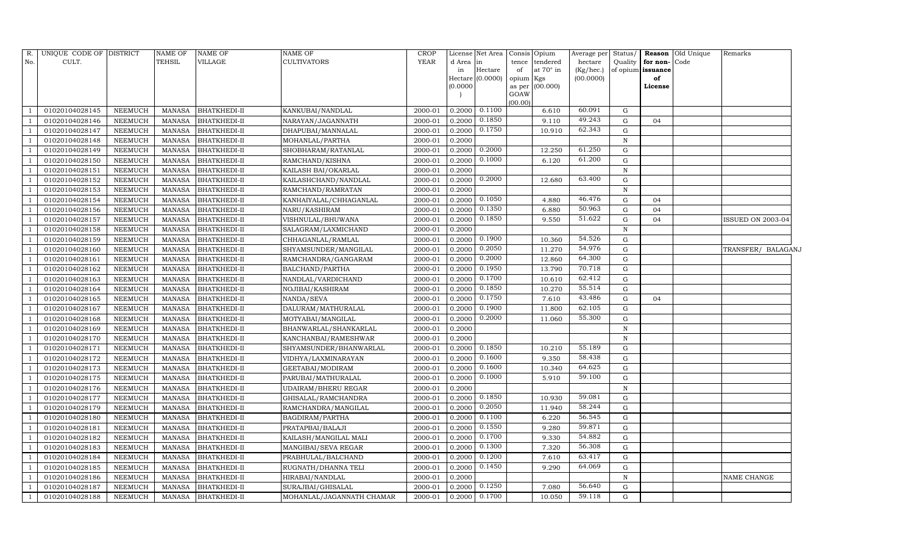| R.  | UNIQUE CODE OF DISTRICT |                | NAME OF       | <b>NAME OF</b>      | NAME OF                    | <b>CROP</b> | License   | Net Area          | Consis Opium      |                  | Average per | Status/      |                   | Reason Old Unique | Remarks            |  |
|-----|-------------------------|----------------|---------------|---------------------|----------------------------|-------------|-----------|-------------------|-------------------|------------------|-------------|--------------|-------------------|-------------------|--------------------|--|
| No. | CULT.                   |                | TEHSIL        | VILLAGE             | <b>CULTIVATORS</b>         | <b>YEAR</b> | d Area in |                   | tence             | tendered         | hectare     | Quality      | for non-          | Code              |                    |  |
|     |                         |                |               |                     |                            |             | in        | Hectare           | of                | at $70^\circ$ in | (Kg/hec.)   |              | of opium issuance |                   |                    |  |
|     |                         |                |               |                     |                            |             |           | Hectare (0.0000)  | opium Kgs         |                  | (00.0000)   |              | of                |                   |                    |  |
|     |                         |                |               |                     |                            |             | (0.0000)  |                   | as per $(00.000)$ |                  |             |              | License           |                   |                    |  |
|     |                         |                |               |                     |                            |             |           |                   | GOAW<br>(00.00)   |                  |             |              |                   |                   |                    |  |
|     | 01020104028145          | NEEMUCH        | MANASA        | <b>BHATKHEDI-II</b> | KANKUBAI/NANDLAL           | 2000-01     | 0.2000    | 0.1100            |                   | 6.610            | 60.091      | G            |                   |                   |                    |  |
|     | 01020104028146          | <b>NEEMUCH</b> | <b>MANASA</b> | <b>BHATKHEDI-II</b> | NARAYAN/JAGANNATH          | 2000-01     | 0.2000    | 0.1850            |                   | 9.110            | 49.243      | $\mathbf G$  | 04                |                   |                    |  |
|     | 01020104028147          | <b>NEEMUCH</b> | <b>MANASA</b> | <b>BHATKHEDI-II</b> | DHAPUBAI/MANNALAL          | 2000-01     | 0.2000    | 0.1750            |                   | 10.910           | 62.343      | G            |                   |                   |                    |  |
|     | 01020104028148          | <b>NEEMUCH</b> | MANASA        | BHATKHEDI-II        | MOHANLAL/PARTHA            | 2000-01     | 0.2000    |                   |                   |                  |             | $\, {\bf N}$ |                   |                   |                    |  |
|     | 01020104028149          | <b>NEEMUCH</b> | <b>MANASA</b> | <b>BHATKHEDI-II</b> | SHOBHARAM/RATANLAL         | 2000-01     | 0.2000    | 0.2000            |                   | 12.250           | 61.250      | ${\rm G}$    |                   |                   |                    |  |
|     | 01020104028150          | <b>NEEMUCH</b> | <b>MANASA</b> | BHATKHEDI-II        | RAMCHAND/KISHNA            | 2000-01     | 0.2000    | 0.1000            |                   | 6.120            | 61.200      | ${\rm G}$    |                   |                   |                    |  |
|     | 01020104028151          | <b>NEEMUCH</b> | <b>MANASA</b> | BHATKHEDI-II        | KAILASH BAI/OKARLAL        | 2000-01     | 0.2000    |                   |                   |                  |             | $\, {\bf N}$ |                   |                   |                    |  |
|     | 01020104028152          | <b>NEEMUCH</b> | <b>MANASA</b> | <b>BHATKHEDI-II</b> | KAILASHCHAND/NANDLAL       | 2000-01     | 0.2000    | 0.2000            |                   | 12.680           | 63.400      | ${\rm G}$    |                   |                   |                    |  |
|     | 01020104028153          | <b>NEEMUCH</b> | <b>MANASA</b> | <b>BHATKHEDI-II</b> | RAMCHAND/RAMRATAN          | 2000-01     | 0.2000    |                   |                   |                  |             | ${\bf N}$    |                   |                   |                    |  |
|     | 01020104028154          | <b>NEEMUCH</b> | <b>MANASA</b> | BHATKHEDI-II        | KANHAIYALAL/CHHAGANLAL     | 2000-01     | 0.2000    | 0.1050            |                   | 4.880            | 46.476      | ${\rm G}$    | 04                |                   |                    |  |
|     | 01020104028156          | <b>NEEMUCH</b> | <b>MANASA</b> | <b>BHATKHEDI-II</b> | NARU/KASHIRAM              | 2000-01     | 0.2000    | 0.1350            |                   | 6.880            | 50.963      | ${\rm G}$    | 04                |                   |                    |  |
|     | 01020104028157          | <b>NEEMUCH</b> | <b>MANASA</b> | <b>BHATKHEDI-II</b> | VISHNULAL/BHUWANA          | 2000-01     | 0.2000    | 0.1850            |                   | 9.550            | 51.622      | ${\rm G}$    | 04                |                   | ISSUED ON 2003-04  |  |
|     | 01020104028158          | <b>NEEMUCH</b> | <b>MANASA</b> | BHATKHEDI-II        | SALAGRAM/LAXMICHAND        | 2000-01     | 0.2000    |                   |                   |                  |             | ${\bf N}$    |                   |                   |                    |  |
|     | 01020104028159          | <b>NEEMUCH</b> | <b>MANASA</b> | <b>BHATKHEDI-II</b> | CHHAGANLAL/RAMLAL          | 2000-01     | 0.2000    | 0.1900            |                   | 10.360           | 54.526      | G            |                   |                   |                    |  |
|     | 01020104028160          | <b>NEEMUCH</b> | <b>MANASA</b> | BHATKHEDI-II        | SHYAMSUNDER/MANGILAL       | 2000-01     | 0.2000    | 0.2050            |                   | 11.270           | 54.976      | G            |                   |                   | TRANSFER/ BALAGANJ |  |
|     | 01020104028161          | NEEMUCH        | <b>MANASA</b> | <b>BHATKHEDI-II</b> | RAMCHANDRA/GANGARAM        | 2000-01     | 0.2000    | 0.2000            |                   | 12.860           | 64.300      | ${\rm G}$    |                   |                   |                    |  |
|     | 01020104028162          | <b>NEEMUCH</b> | <b>MANASA</b> | BHATKHEDI-II        | BALCHAND/PARTHA            | 2000-01     | 0.2000    | 0.1950            |                   | 13.790           | 70.718      | G            |                   |                   |                    |  |
|     | 01020104028163          | <b>NEEMUCH</b> | <b>MANASA</b> | BHATKHEDI-II        | NANDLAL/VARDICHAND         | 2000-01     | 0.2000    | 0.1700            |                   | 10.610           | 62.412      | G            |                   |                   |                    |  |
|     | 01020104028164          | <b>NEEMUCH</b> | <b>MANASA</b> | BHATKHEDI-II        | NOJIBAI/KASHIRAM           | 2000-01     | 0.2000    | 0.1850            |                   | 10.270           | 55.514      | ${\rm G}$    |                   |                   |                    |  |
|     | 01020104028165          | <b>NEEMUCH</b> | <b>MANASA</b> | <b>BHATKHEDI-II</b> | NANDA/SEVA                 | 2000-01     | 0.2000    | 0.1750            |                   | 7.610            | 43.486      | ${\rm G}$    | 04                |                   |                    |  |
|     | 01020104028167          | <b>NEEMUCH</b> | <b>MANASA</b> | BHATKHEDI-II        | DALURAM/MATHURALAL         | 2000-01     | 0.2000    | 0.1900            |                   | 11.800           | 62.105      | ${\rm G}$    |                   |                   |                    |  |
|     | 01020104028168          | <b>NEEMUCH</b> | <b>MANASA</b> | <b>BHATKHEDI-II</b> | MOTYABAI/MANGILAL          | 2000-01     | 0.2000    | 0.2000            |                   | 11.060           | 55.300      | G            |                   |                   |                    |  |
|     | 01020104028169          | <b>NEEMUCH</b> | <b>MANASA</b> | BHATKHEDI-II        | BHANWARLAL/SHANKARLAL      | 2000-01     | 0.2000    |                   |                   |                  |             | $\mathbf N$  |                   |                   |                    |  |
|     | 01020104028170          | <b>NEEMUCH</b> | <b>MANASA</b> | <b>BHATKHEDI-II</b> | KANCHANBAI/RAMESHWAR       | 2000-01     | 0.2000    |                   |                   |                  |             | ${\bf N}$    |                   |                   |                    |  |
|     | 01020104028171          | <b>NEEMUCH</b> | <b>MANASA</b> | BHATKHEDI-II        | SHYAMSUNDER/BHANWARLAL     | 2000-01     | 0.2000    | 0.1850            |                   | 10.210           | 55.189      | G            |                   |                   |                    |  |
|     | 01020104028172          | <b>NEEMUCH</b> | <b>MANASA</b> | BHATKHEDI-II        | VIDHYA/LAXMINARAYAN        | 2000-01     | 0.2000    | 0.1600            |                   | 9.350            | 58.438      | G            |                   |                   |                    |  |
|     | 01020104028173          | NEEMUCH        | <b>MANASA</b> | BHATKHEDI-II        | GEETABAI/MODIRAM           | 2000-01     | 0.2000    | 0.1600            |                   | 10.340           | 64.625      | ${\rm G}$    |                   |                   |                    |  |
|     | 01020104028175          | <b>NEEMUCH</b> | <b>MANASA</b> | BHATKHEDI-II        | PARUBAI/MATHURALAL         | 2000-01     | 0.2000    | 0.1000            |                   | 5.910            | 59.100      | ${\rm G}$    |                   |                   |                    |  |
|     | 01020104028176          | <b>NEEMUCH</b> | <b>MANASA</b> | BHATKHEDI-II        | <b>UDAIRAM/BHERU REGAR</b> | 2000-01     | 0.2000    |                   |                   |                  |             | $\mathbf N$  |                   |                   |                    |  |
|     | 01020104028177          | <b>NEEMUCH</b> | <b>MANASA</b> | BHATKHEDI-II        | GHISALAL/RAMCHANDRA        | 2000-01     | 0.2000    | 0.1850            |                   | 10.930           | 59.081      | ${\rm G}$    |                   |                   |                    |  |
|     | 01020104028179          | <b>NEEMUCH</b> | <b>MANASA</b> | BHATKHEDI-II        | RAMCHANDRA/MANGILAL        | 2000-01     | 0.2000    | 0.2050            |                   | 11.940           | 58.244      | ${\rm G}$    |                   |                   |                    |  |
|     | 01020104028180          | <b>NEEMUCH</b> | <b>MANASA</b> | BHATKHEDI-II        | BAGDIRAM/PARTHA            | 2000-01     | 0.2000    | 0.1100            |                   | 6.220            | 56.545      | ${\rm G}$    |                   |                   |                    |  |
|     | 01020104028181          | <b>NEEMUCH</b> | <b>MANASA</b> | BHATKHEDI-II        | PRATAPBAI/BALAJI           | 2000-01     | 0.2000    | 0.1550            |                   | 9.280            | 59.871      | ${\rm G}$    |                   |                   |                    |  |
|     | 01020104028182          | NEEMUCH        | <b>MANASA</b> | BHATKHEDI-II        | KAILASH/MANGILAL MALI      | 2000-01     | 0.2000    | 0.1700            |                   | 9.330            | 54.882      | G            |                   |                   |                    |  |
|     | 01020104028183          | NEEMUCH        | <b>MANASA</b> | <b>BHATKHEDI-II</b> | MANGIBAI/SEVA REGAR        | 2000-01     | 0.2000    | 0.1300            |                   | 7.320            | 56.308      | G            |                   |                   |                    |  |
|     | 01020104028184          | <b>NEEMUCH</b> | <b>MANASA</b> | BHATKHEDI-II        | PRABHULAL/BALCHAND         | 2000-01     | 0.2000    | 0.1200            |                   | 7.610            | 63.417      | G            |                   |                   |                    |  |
|     | 01020104028185          | <b>NEEMUCH</b> | <b>MANASA</b> | BHATKHEDI-II        | RUGNATH/DHANNA TELI        | 2000-01     | 0.2000    | 0.1450            |                   | 9.290            | 64.069      | G            |                   |                   |                    |  |
|     | 01020104028186          | <b>NEEMUCH</b> | <b>MANASA</b> | BHATKHEDI-II        | HIRABAI/NANDLAL            | 2000-01     | 0.2000    |                   |                   |                  |             | $\,$ N       |                   |                   | NAME CHANGE        |  |
|     | 01020104028187          | <b>NEEMUCH</b> | <b>MANASA</b> | BHATKHEDI-II        | SURAJBAI/GHISALAL          | 2000-01     | 0.2000    | 0.1250            |                   | 7.080            | 56.640      | G            |                   |                   |                    |  |
| -1  | 01020104028188          | NEEMUCH        | MANASA        | <b>BHATKHEDI-II</b> | MOHANLAL/JAGANNATH CHAMAR  | 2000-01     |           | $0.2000$ $0.1700$ |                   | 10.050           | 59.118      | G            |                   |                   |                    |  |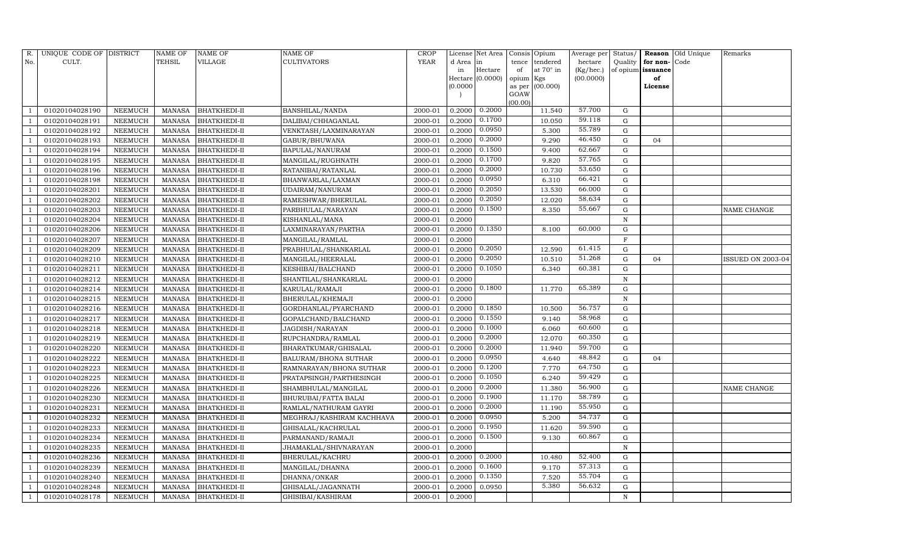| R.  | UNIQUE CODE OF DISTRICT |                | <b>NAME OF</b> | NAME OF             | NAME OF                     | <b>CROP</b> |           | License Net Area |                | Consis Opium | Average per | Status/     |                   | Reason Old Unique | Remarks           |
|-----|-------------------------|----------------|----------------|---------------------|-----------------------------|-------------|-----------|------------------|----------------|--------------|-------------|-------------|-------------------|-------------------|-------------------|
| No. | CULT.                   |                | TEHSIL         | VILLAGE             | <b>CULTIVATORS</b>          | <b>YEAR</b> | d Area in |                  | tence          | tendered     | hectare     | Quality     | for non-          | Code              |                   |
|     |                         |                |                |                     |                             |             | in        | Hectare          | of             | at 70° in    | (Kg/hec.)   |             | of opium issuance |                   |                   |
|     |                         |                |                |                     |                             |             |           | Hectare (0.0000) | opium Kgs      |              | (00.0000)   |             | of                |                   |                   |
|     |                         |                |                |                     |                             |             | (0.0000)  |                  | as per<br>GOAW | (00.000)     |             |             | License           |                   |                   |
|     |                         |                |                |                     |                             |             |           |                  | (00.00)        |              |             |             |                   |                   |                   |
|     | 01020104028190          | NEEMUCH        | MANASA         | <b>BHATKHEDI-II</b> | BANSHILAL/NANDA             | 2000-01     | 0.2000    | 0.2000           |                | 11.540       | 57.700      | G           |                   |                   |                   |
|     | 01020104028191          | NEEMUCH        | <b>MANASA</b>  | BHATKHEDI-II        | DALIBAI/CHHAGANLAL          | 2000-01     | 0.2000    | 0.1700           |                | 10.050       | 59.118      | G           |                   |                   |                   |
|     | 01020104028192          | NEEMUCH        | MANASA         | BHATKHEDI-II        | VENKTASH/LAXMINARAYAN       | 2000-01     | 0.2000    | 0.0950           |                | 5.300        | 55.789      | G           |                   |                   |                   |
|     | 01020104028193          | NEEMUCH        | MANASA         | BHATKHEDI-II        | GABUR/BHUWANA               | 2000-01     | 0.2000    | 0.2000           |                | 9.290        | 46.450      | G           | 04                |                   |                   |
|     | 01020104028194          | NEEMUCH        | <b>MANASA</b>  | BHATKHEDI-II        | BAPULAL/NANURAM             | 2000-01     | 0.2000    | 0.1500           |                | 9.400        | 62.667      | G           |                   |                   |                   |
|     | 01020104028195          | NEEMUCH        | <b>MANASA</b>  | BHATKHEDI-II        | MANGILAL/RUGHNATH           | 2000-01     | 0.2000    | 0.1700           |                | 9.820        | 57.765      | G           |                   |                   |                   |
|     | 01020104028196          | NEEMUCH        | <b>MANASA</b>  | BHATKHEDI-II        | RATANIBAI/RATANLAL          | 2000-01     | 0.2000    | 0.2000           |                | 10.730       | 53.650      | G           |                   |                   |                   |
|     | 01020104028198          | NEEMUCH        | <b>MANASA</b>  | BHATKHEDI-II        | BHANWARLAL/LAXMAN           | 2000-01     | 0.2000    | 0.0950           |                | 6.310        | 66.421      | G           |                   |                   |                   |
|     | 01020104028201          | NEEMUCH        | <b>MANASA</b>  | BHATKHEDI-II        | UDAIRAM/NANURAM             | 2000-01     | 0.2000    | 0.2050           |                | 13.530       | 66.000      | G           |                   |                   |                   |
|     | 01020104028202          | NEEMUCH        | <b>MANASA</b>  | BHATKHEDI-II        | RAMESHWAR/BHERULAL          | 2000-01     | 0.2000    | 0.2050           |                | 12.020       | 58.634      | G           |                   |                   |                   |
|     | 01020104028203          | NEEMUCH        | <b>MANASA</b>  | BHATKHEDI-II        | PARBHULAL/NARAYAN           | 2000-01     | 0.2000    | 0.1500           |                | 8.350        | 55.667      | G           |                   |                   | NAME CHANGE       |
|     | 01020104028204          | NEEMUCH        | <b>MANASA</b>  | BHATKHEDI-II        | KISHANLAL/MANA              | 2000-01     | 0.2000    |                  |                |              |             | $\mathbf N$ |                   |                   |                   |
|     | 01020104028206          | <b>NEEMUCH</b> | <b>MANASA</b>  | BHATKHEDI-II        | LAXMINARAYAN/PARTHA         | 2000-01     | 0.2000    | 0.1350           |                | 8.100        | 60.000      | $\mathbf G$ |                   |                   |                   |
|     | 01020104028207          | NEEMUCH        | <b>MANASA</b>  | BHATKHEDI-II        | MANGILAL/RAMLAL             | 2000-01     | 0.2000    |                  |                |              |             | $\rm F$     |                   |                   |                   |
|     | 01020104028209          | NEEMUCH        | MANASA         | <b>BHATKHEDI-II</b> | PRABHULAL/SHANKARLAL        | 2000-01     | 0.2000    | 0.2050           |                | 12.590       | 61.415      | G           |                   |                   |                   |
|     | 01020104028210          | NEEMUCH        | MANASA         | BHATKHEDI-II        | MANGILAL/HEERALAL           | 2000-01     | 0.2000    | 0.2050           |                | 10.510       | 51.268      | $\mathbf G$ | 04                |                   | ISSUED ON 2003-04 |
|     | 01020104028211          | <b>NEEMUCH</b> | <b>MANASA</b>  | BHATKHEDI-II        | KESHIBAI/BALCHAND           | 2000-01     | 0.2000    | 0.1050           |                | 6.340        | 60.381      | $\mathbf G$ |                   |                   |                   |
|     | 01020104028212          | NEEMUCH        | <b>MANASA</b>  | BHATKHEDI-II        | SHANTILAL/SHANKARLAL        | 2000-01     | 0.2000    |                  |                |              |             | $\,$ N      |                   |                   |                   |
|     | 01020104028214          | NEEMUCH        | <b>MANASA</b>  | BHATKHEDI-II        | KARULAL/RAMAJI              | 2000-01     | 0.2000    | 0.1800           |                | 11.770       | 65.389      | ${\rm G}$   |                   |                   |                   |
|     | 01020104028215          | NEEMUCH        | <b>MANASA</b>  | BHATKHEDI-II        | BHERULAL/KHEMAJI            | 2000-01     | 0.2000    |                  |                |              |             | $\mathbf N$ |                   |                   |                   |
|     | 01020104028216          | <b>NEEMUCH</b> | <b>MANASA</b>  | BHATKHEDI-II        | GORDHANLAL/PYARCHAND        | 2000-01     | 0.2000    | 0.1850           |                | 10.500       | 56.757      | ${\rm G}$   |                   |                   |                   |
|     | 01020104028217          | NEEMUCH        | <b>MANASA</b>  | BHATKHEDI-II        | GOPALCHAND/BALCHAND         | 2000-01     | 0.2000    | 0.1550           |                | 9.140        | 58.968      | G           |                   |                   |                   |
|     | 01020104028218          | NEEMUCH        | <b>MANASA</b>  | BHATKHEDI-II        | JAGDISH/NARAYAN             | 2000-01     | 0.2000    | 0.1000           |                | 6.060        | 60.600      | G           |                   |                   |                   |
|     | 01020104028219          | NEEMUCH        | <b>MANASA</b>  | BHATKHEDI-II        | RUPCHANDRA/RAMLAL           | 2000-01     | 0.2000    | 0.2000           |                | 12.070       | 60.350      | ${\rm G}$   |                   |                   |                   |
|     | 01020104028220          | NEEMUCH        | <b>MANASA</b>  | BHATKHEDI-II        | BHARATKUMAR/GHISALAL        | 2000-01     | 0.2000    | 0.2000           |                | 11.940       | 59.700      | ${\rm G}$   |                   |                   |                   |
|     | 01020104028222          | NEEMUCH        | <b>MANASA</b>  | BHATKHEDI-II        | BALURAM/BHONA SUTHAR        | 2000-01     | 0.2000    | 0.0950           |                | 4.640        | 48.842      | G           | 04                |                   |                   |
|     | 01020104028223          | NEEMUCH        | <b>MANASA</b>  | BHATKHEDI-II        | RAMNARAYAN/BHONA SUTHAR     | 2000-01     | 0.2000    | 0.1200           |                | 7.770        | 64.750      | ${\rm G}$   |                   |                   |                   |
|     | 01020104028225          | NEEMUCH        | <b>MANASA</b>  | BHATKHEDI-II        | PRATAPSINGH/PARTHESINGH     | 2000-01     | 0.2000    | 0.1050           |                | 6.240        | 59.429      | $\mathbf G$ |                   |                   |                   |
|     | 01020104028226          | NEEMUCH        | <b>MANASA</b>  | BHATKHEDI-II        | SHAMBHULAL/MANGILAL         | 2000-01     | 0.2000    | 0.2000           |                | 11.380       | 56.900      | ${\rm G}$   |                   |                   | NAME CHANGE       |
|     | 01020104028230          | NEEMUCH        | <b>MANASA</b>  | BHATKHEDI-II        | <b>BHURUBAI/FATTA BALAI</b> | 2000-01     | 0.2000    | 0.1900           |                | 11.170       | 58.789      | ${\rm G}$   |                   |                   |                   |
|     | 01020104028231          | NEEMUCH        | MANASA         | BHATKHEDI-II        | RAMLAL/NATHURAM GAYRI       | 2000-01     | 0.2000    | 0.2000           |                | 11.190       | 55.950      | ${\rm G}$   |                   |                   |                   |
|     | 01020104028232          | NEEMUCH        | <b>MANASA</b>  | BHATKHEDI-II        | MEGHRAJ/KASHIRAM KACHHAVA   | 2000-01     | 0.2000    | 0.0950           |                | 5.200        | 54.737      | ${\rm G}$   |                   |                   |                   |
|     | 01020104028233          | NEEMUCH        | MANASA         | BHATKHEDI-II        | GHISALAL/KACHRULAL          | 2000-01     | 0.2000    | 0.1950           |                | 11.620       | 59.590      | ${\rm G}$   |                   |                   |                   |
|     | 01020104028234          | NEEMUCH        | <b>MANASA</b>  | BHATKHEDI-II        | PARMANAND/RAMAJI            | 2000-01     | 0.2000    | 0.1500           |                | 9.130        | 60.867      | ${\rm G}$   |                   |                   |                   |
|     | 01020104028235          | NEEMUCH        | MANASA         | BHATKHEDI-II        | JHAMAKLAL/SHIVNARAYAN       | 2000-01     | 0.2000    |                  |                |              |             | ${\bf N}$   |                   |                   |                   |
|     | 01020104028236          | NEEMUCH        | <b>MANASA</b>  | BHATKHEDI-II        | BHERULAL/KACHRU             | 2000-01     | 0.2000    | 0.2000           |                | 10.480       | 52.400      | $\mathbf G$ |                   |                   |                   |
|     | 01020104028239          | NEEMUCH        | MANASA         | BHATKHEDI-II        | MANGILAL/DHANNA             | 2000-01     | 0.2000    | 0.1600           |                | 9.170        | 57.313      | G           |                   |                   |                   |
|     | 01020104028240          | NEEMUCH        | <b>MANASA</b>  | BHATKHEDI-II        | DHANNA/ONKAR                | 2000-01     | 0.2000    | 0.1350           |                | 7.520        | 55.704      | G           |                   |                   |                   |
|     | 01020104028248          | NEEMUCH        | MANASA         | BHATKHEDI-II        | GHISALAL/JAGANNATH          | 2000-01     | 0.2000    | 0.0950           |                | 5.380        | 56.632      | G           |                   |                   |                   |
|     | 01020104028178          | <b>NEEMUCH</b> | MANASA         | <b>BHATKHEDI-II</b> | GHISIBAI/KASHIRAM           | 2000-01     | 0.2000    |                  |                |              |             | N           |                   |                   |                   |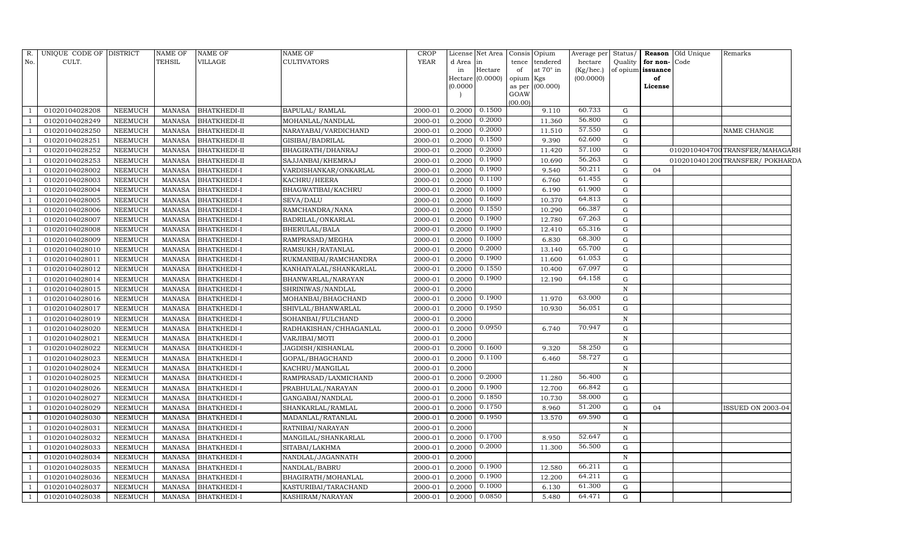| No.<br>CULT.<br>TEHSIL<br>VILLAGE<br><b>YEAR</b><br>Quality<br>for non-Code<br><b>CULTIVATORS</b><br>d Area in<br>tence tendered<br>hectare<br>Hectare<br>at 70° in<br>of opium issuance<br>in<br>(Kg/hec.)<br>of<br>Hectare (0.0000)<br>(00.0000)<br>opium Kgs<br>of<br>(0.0000)<br>as per $(00.000)$<br>License<br>GOAW<br>(00.00)<br>0.1500<br>60.733<br>0.2000<br>G<br>01020104028208<br><b>NEEMUCH</b><br>BHATKHEDI-II<br>BAPULAL/RAMLAL<br>2000-01<br>9.110<br>MANASA<br>0.2000<br>56.800<br>G<br>01020104028249<br>NEEMUCH<br><b>MANASA</b><br>BHATKHEDI-II<br>MOHANLAL/NANDLAL<br>2000-01<br>0.2000<br>11.360<br>0.2000<br>57.550<br>01020104028250<br>2000-01<br>0.2000<br>11.510<br>G<br><b>NEEMUCH</b><br><b>MANASA</b><br>BHATKHEDI-II<br>NARAYABAI/VARDICHAND<br>NAME CHANGE<br>0.1500<br>62.600<br>0.2000<br>${\rm G}$<br>01020104028251<br><b>NEEMUCH</b><br><b>MANASA</b><br>BHATKHEDI-II<br>2000-01<br>9.390<br>GISIBAI/BADRILAL<br>0.2000<br>57.100<br>0.2000<br>${\rm G}$<br>01020104028252<br><b>NEEMUCH</b><br><b>MANASA</b><br><b>BHATKHEDI-II</b><br>BHAGIRATH/DHANRAJ<br>2000-01<br>11.420<br>0102010404700 TRANSFER/MAHAGARH<br>0.1900<br>56.263<br>01020104028253<br><b>NEEMUCH</b><br><b>MANASA</b><br>BHATKHEDI-II<br>SAJJANBAI/KHEMRAJ<br>2000-01<br>0.2000<br>10.690<br>G<br>0102010401200TRANSFER/POKHARDA<br>0.1900<br>50.211<br>G<br>01020104028002<br><b>NEEMUCH</b><br><b>MANASA</b><br>2000-01<br>0.2000<br>9.540<br>04<br>BHATKHEDI-I<br>VARDISHANKAR/ONKARLAL<br>0.1100<br>61.455<br>01020104028003<br>2000-01<br>0.2000<br>G<br><b>NEEMUCH</b><br><b>MANASA</b><br>BHATKHEDI-I<br>KACHRU/HEERA<br>6.760<br>0.1000<br>61.900<br>01020104028004<br><b>NEEMUCH</b><br>BHATKHEDI-I<br>BHAGWATIBAI/KACHRU<br>2000-01<br>0.2000<br>6.190<br>G<br><b>MANASA</b><br>0.1600<br>64.813<br>0.2000<br>G<br>01020104028005<br><b>NEEMUCH</b><br><b>MANASA</b><br>BHATKHEDI-I<br>SEVA/DALU<br>2000-01<br>10.370<br>0.1550<br>66.387<br>0.2000<br>01020104028006<br><b>NEEMUCH</b><br><b>MANASA</b><br>BHATKHEDI-I<br>RAMCHANDRA/NANA<br>2000-01<br>10.290<br>G<br>0.1900<br>67.263<br>0.2000<br>${\rm G}$<br>01020104028007<br><b>NEEMUCH</b><br><b>MANASA</b><br>BHATKHEDI-I<br>BADRILAL/ONKARLAL<br>2000-01<br>12.780<br>0.1900<br>65.316<br>0.2000<br>G<br>01020104028008<br><b>NEEMUCH</b><br><b>MANASA</b><br><b>BHATKHEDI-I</b><br>BHERULAL/BALA<br>2000-01<br>12.410<br>0.1000<br>68.300<br>0.2000<br>01020104028009<br><b>NEEMUCH</b><br><b>MANASA</b><br>BHATKHEDI-I<br>RAMPRASAD/MEGHA<br>2000-01<br>6.830<br>G<br>0.2000<br>65.700<br>G<br>01020104028010<br><b>NEEMUCH</b><br><b>MANASA</b><br>BHATKHEDI-I<br>RAMSUKH/RATANLAL<br>2000-01<br>0.2000<br>13.140<br>0.1900<br>61.053<br>01020104028011<br>2000-01<br>0.2000<br>${\rm G}$<br><b>NEEMUCH</b><br><b>MANASA</b><br><b>BHATKHEDI-I</b><br>RUKMANIBAI/RAMCHANDRA<br>11.600<br>0.1550<br>67.097<br>01020104028012<br><b>NEEMUCH</b><br><b>MANASA</b><br>BHATKHEDI-I<br>KANHAIYALAL/SHANKARLAL<br>2000-01<br>0.2000<br>10.400<br>G<br>0.1900<br>64.158<br>${\rm G}$<br>01020104028014<br><b>NEEMUCH</b><br><b>MANASA</b><br>BHATKHEDI-I<br>2000-01<br>0.2000<br>12.190<br>BHANWARLAL/NARAYAN<br>01020104028015<br><b>MANASA</b><br><b>BHATKHEDI-I</b><br>2000-01<br>0.2000<br><b>NEEMUCH</b><br>SHRINIWAS/NANDLAL<br>$\mathbf N$<br>0.1900<br>63.000<br>0.2000<br>01020104028016<br><b>NEEMUCH</b><br><b>MANASA</b><br><b>BHATKHEDI-I</b><br>MOHANBAI/BHAGCHAND<br>2000-01<br>11.970<br>G<br>0.1950<br>56.051<br><b>NEEMUCH</b><br><b>BHATKHEDI-I</b><br>2000-01<br>0.2000<br>G<br>01020104028017<br><b>MANASA</b><br>SHIVLAL/BHANWARLAL<br>10.930<br>01020104028019<br>0.2000<br><b>NEEMUCH</b><br><b>MANASA</b><br><b>BHATKHEDI-I</b><br>SOHANBAI/FULCHAND<br>2000-01<br>$\mathbf N$<br>0.0950<br>70.947<br>2000-01<br>0.2000<br>G<br>01020104028020<br><b>NEEMUCH</b><br><b>MANASA</b><br>BHATKHEDI-I<br>RADHAKISHAN/CHHAGANLAL<br>6.740<br>01020104028021<br>0.2000<br>$\mathbf N$<br><b>NEEMUCH</b><br><b>MANASA</b><br>BHATKHEDI-I<br>VARJIBAI/MOTI<br>2000-01<br>0.1600<br>58.250<br>0.2000<br>9.320<br>G<br>01020104028022<br><b>NEEMUCH</b><br><b>MANASA</b><br>BHATKHEDI-I<br>JAGDISH/KISHANLAL<br>2000-01<br>58.727<br>0.1100<br>G<br>01020104028023<br><b>NEEMUCH</b><br><b>MANASA</b><br>BHATKHEDI-I<br>2000-01<br>0.2000<br>6.460<br>GOPAL/BHAGCHAND<br>01020104028024<br>2000-01<br>0.2000<br>$\, {\bf N}$<br><b>NEEMUCH</b><br><b>MANASA</b><br>BHATKHEDI-I<br>KACHRU/MANGILAL<br>0.2000<br>56.400<br>0.2000<br>G<br>01020104028025<br><b>NEEMUCH</b><br><b>MANASA</b><br><b>BHATKHEDI-I</b><br>RAMPRASAD/LAXMICHAND<br>2000-01<br>11.280<br>0.1900<br>66.842<br>G<br>0.2000<br>12.700<br>01020104028026<br><b>NEEMUCH</b><br><b>MANASA</b><br>BHATKHEDI-I<br>PRABHULAL/NARAYAN<br>2000-01<br>0.1850<br>58.000<br>01020104028027<br><b>MANASA</b><br><b>BHATKHEDI-I</b><br>2000-01<br>0.2000<br>10.730<br>G<br><b>NEEMUCH</b><br>GANGABAI/NANDLAL<br>0.1750<br>51.200<br>01020104028029<br>2000-01<br>0.2000<br>${\rm G}$<br>04<br><b>NEEMUCH</b><br><b>MANASA</b><br>BHATKHEDI-I<br>SHANKARLAL/RAMLAL<br>8.960<br><b>ISSUED ON 2003-04</b><br>0.1950<br>69.590<br>G<br>01020104028030<br><b>NEEMUCH</b><br><b>MANASA</b><br><b>BHATKHEDI-I</b><br>2000-01<br>0.2000<br>13.570<br>MADANLAL/RATANLAL<br>01020104028031<br>0.2000<br>$\, {\bf N}$<br><b>NEEMUCH</b><br><b>MANASA</b><br>BHATKHEDI-I<br>RATNIBAI/NARAYAN<br>2000-01<br>0.1700<br>52.647<br><b>NEEMUCH</b><br>2000-01<br>0.2000<br>G<br>01020104028032<br><b>MANASA</b><br>BHATKHEDI-I<br>MANGILAL/SHANKARLAL<br>8.950<br>0.2000<br>56.500<br>0.2000<br>G<br>01020104028033<br>2000-01<br>11.300<br><b>NEEMUCH</b><br><b>MANASA</b><br><b>BHATKHEDI-I</b><br>SITABAI/LAKHMA<br>01020104028034<br><b>NEEMUCH</b><br><b>MANASA</b><br>BHATKHEDI-I<br>NANDLAL/JAGANNATH<br>2000-01<br>0.2000<br>N<br>0.1900<br>66.211<br>G<br>0.2000<br>01020104028035<br><b>NEEMUCH</b><br><b>MANASA</b><br>BHATKHEDI-I<br>NANDLAL/BABRU<br>2000-01<br>12.580<br>0.1900<br>64.211<br>G<br>01020104028036<br>BHAGIRATH/MOHANLAL<br>2000-01<br>0.2000<br>12.200<br><b>NEEMUCH</b><br><b>MANASA</b><br>BHATKHEDI-I<br>0.1000<br>61.300<br>2000-01<br>0.2000<br>G<br>01020104028037<br><b>NEEMUCH</b><br><b>MANASA</b><br>BHATKHEDI-I<br>KASTURIBAI/TARACHAND<br>6.130<br>$\overline{\phantom{0}}$<br>0.0850<br>64.471<br>$\mathbf G$<br>01020104028038<br><b>NEEMUCH</b><br><b>MANASA</b><br><b>BHATKHEDI-I</b><br>2000-01<br>0.2000<br>5.480<br>KASHIRAM/NARAYAN<br>-1 | R. | UNIQUE CODE OF DISTRICT | <b>NAME OF</b> | <b>NAME OF</b> | <b>NAME OF</b> | CROP | License Net Area Consis Opium |  | Average per | Status/ | <b>Reason</b> Old Unique | Remarks |
|--------------------------------------------------------------------------------------------------------------------------------------------------------------------------------------------------------------------------------------------------------------------------------------------------------------------------------------------------------------------------------------------------------------------------------------------------------------------------------------------------------------------------------------------------------------------------------------------------------------------------------------------------------------------------------------------------------------------------------------------------------------------------------------------------------------------------------------------------------------------------------------------------------------------------------------------------------------------------------------------------------------------------------------------------------------------------------------------------------------------------------------------------------------------------------------------------------------------------------------------------------------------------------------------------------------------------------------------------------------------------------------------------------------------------------------------------------------------------------------------------------------------------------------------------------------------------------------------------------------------------------------------------------------------------------------------------------------------------------------------------------------------------------------------------------------------------------------------------------------------------------------------------------------------------------------------------------------------------------------------------------------------------------------------------------------------------------------------------------------------------------------------------------------------------------------------------------------------------------------------------------------------------------------------------------------------------------------------------------------------------------------------------------------------------------------------------------------------------------------------------------------------------------------------------------------------------------------------------------------------------------------------------------------------------------------------------------------------------------------------------------------------------------------------------------------------------------------------------------------------------------------------------------------------------------------------------------------------------------------------------------------------------------------------------------------------------------------------------------------------------------------------------------------------------------------------------------------------------------------------------------------------------------------------------------------------------------------------------------------------------------------------------------------------------------------------------------------------------------------------------------------------------------------------------------------------------------------------------------------------------------------------------------------------------------------------------------------------------------------------------------------------------------------------------------------------------------------------------------------------------------------------------------------------------------------------------------------------------------------------------------------------------------------------------------------------------------------------------------------------------------------------------------------------------------------------------------------------------------------------------------------------------------------------------------------------------------------------------------------------------------------------------------------------------------------------------------------------------------------------------------------------------------------------------------------------------------------------------------------------------------------------------------------------------------------------------------------------------------------------------------------------------------------------------------------------------------------------------------------------------------------------------------------------------------------------------------------------------------------------------------------------------------------------------------------------------------------------------------------------------------------------------------------------------------------------------------------------------------------------------------------------------------------------------------------------------------------------------------------------------------------------------------------------------------------------------------------------------------------------------------------------------------------------------------------------------------------------------------------------------------------------------------------------------------------------------------------------------------------------------------------------------------------------------------------------------------------------------------------------------------------------------------------------------------------------------------------------------------------------------------------------------------------------------------------------------------------------------------------------------------------------------------------------------------------------------------------------------------------------------------------------------------------------------------------------------------------------------------------------------------------------------------------------------------------------------------------------------------------------------------------------------|----|-------------------------|----------------|----------------|----------------|------|-------------------------------|--|-------------|---------|--------------------------|---------|
|                                                                                                                                                                                                                                                                                                                                                                                                                                                                                                                                                                                                                                                                                                                                                                                                                                                                                                                                                                                                                                                                                                                                                                                                                                                                                                                                                                                                                                                                                                                                                                                                                                                                                                                                                                                                                                                                                                                                                                                                                                                                                                                                                                                                                                                                                                                                                                                                                                                                                                                                                                                                                                                                                                                                                                                                                                                                                                                                                                                                                                                                                                                                                                                                                                                                                                                                                                                                                                                                                                                                                                                                                                                                                                                                                                                                                                                                                                                                                                                                                                                                                                                                                                                                                                                                                                                                                                                                                                                                                                                                                                                                                                                                                                                                                                                                                                                                                                                                                                                                                                                                                                                                                                                                                                                                                                                                                                                                                                                                                                                                                                                                                                                                                                                                                                                                                                                                                                                                                                                                                                                                                                                                                                                                                                                                                                                                                                                                                                                                                                                          |    |                         |                |                |                |      |                               |  |             |         |                          |         |
|                                                                                                                                                                                                                                                                                                                                                                                                                                                                                                                                                                                                                                                                                                                                                                                                                                                                                                                                                                                                                                                                                                                                                                                                                                                                                                                                                                                                                                                                                                                                                                                                                                                                                                                                                                                                                                                                                                                                                                                                                                                                                                                                                                                                                                                                                                                                                                                                                                                                                                                                                                                                                                                                                                                                                                                                                                                                                                                                                                                                                                                                                                                                                                                                                                                                                                                                                                                                                                                                                                                                                                                                                                                                                                                                                                                                                                                                                                                                                                                                                                                                                                                                                                                                                                                                                                                                                                                                                                                                                                                                                                                                                                                                                                                                                                                                                                                                                                                                                                                                                                                                                                                                                                                                                                                                                                                                                                                                                                                                                                                                                                                                                                                                                                                                                                                                                                                                                                                                                                                                                                                                                                                                                                                                                                                                                                                                                                                                                                                                                                                          |    |                         |                |                |                |      |                               |  |             |         |                          |         |
|                                                                                                                                                                                                                                                                                                                                                                                                                                                                                                                                                                                                                                                                                                                                                                                                                                                                                                                                                                                                                                                                                                                                                                                                                                                                                                                                                                                                                                                                                                                                                                                                                                                                                                                                                                                                                                                                                                                                                                                                                                                                                                                                                                                                                                                                                                                                                                                                                                                                                                                                                                                                                                                                                                                                                                                                                                                                                                                                                                                                                                                                                                                                                                                                                                                                                                                                                                                                                                                                                                                                                                                                                                                                                                                                                                                                                                                                                                                                                                                                                                                                                                                                                                                                                                                                                                                                                                                                                                                                                                                                                                                                                                                                                                                                                                                                                                                                                                                                                                                                                                                                                                                                                                                                                                                                                                                                                                                                                                                                                                                                                                                                                                                                                                                                                                                                                                                                                                                                                                                                                                                                                                                                                                                                                                                                                                                                                                                                                                                                                                                          |    |                         |                |                |                |      |                               |  |             |         |                          |         |
|                                                                                                                                                                                                                                                                                                                                                                                                                                                                                                                                                                                                                                                                                                                                                                                                                                                                                                                                                                                                                                                                                                                                                                                                                                                                                                                                                                                                                                                                                                                                                                                                                                                                                                                                                                                                                                                                                                                                                                                                                                                                                                                                                                                                                                                                                                                                                                                                                                                                                                                                                                                                                                                                                                                                                                                                                                                                                                                                                                                                                                                                                                                                                                                                                                                                                                                                                                                                                                                                                                                                                                                                                                                                                                                                                                                                                                                                                                                                                                                                                                                                                                                                                                                                                                                                                                                                                                                                                                                                                                                                                                                                                                                                                                                                                                                                                                                                                                                                                                                                                                                                                                                                                                                                                                                                                                                                                                                                                                                                                                                                                                                                                                                                                                                                                                                                                                                                                                                                                                                                                                                                                                                                                                                                                                                                                                                                                                                                                                                                                                                          |    |                         |                |                |                |      |                               |  |             |         |                          |         |
|                                                                                                                                                                                                                                                                                                                                                                                                                                                                                                                                                                                                                                                                                                                                                                                                                                                                                                                                                                                                                                                                                                                                                                                                                                                                                                                                                                                                                                                                                                                                                                                                                                                                                                                                                                                                                                                                                                                                                                                                                                                                                                                                                                                                                                                                                                                                                                                                                                                                                                                                                                                                                                                                                                                                                                                                                                                                                                                                                                                                                                                                                                                                                                                                                                                                                                                                                                                                                                                                                                                                                                                                                                                                                                                                                                                                                                                                                                                                                                                                                                                                                                                                                                                                                                                                                                                                                                                                                                                                                                                                                                                                                                                                                                                                                                                                                                                                                                                                                                                                                                                                                                                                                                                                                                                                                                                                                                                                                                                                                                                                                                                                                                                                                                                                                                                                                                                                                                                                                                                                                                                                                                                                                                                                                                                                                                                                                                                                                                                                                                                          |    |                         |                |                |                |      |                               |  |             |         |                          |         |
|                                                                                                                                                                                                                                                                                                                                                                                                                                                                                                                                                                                                                                                                                                                                                                                                                                                                                                                                                                                                                                                                                                                                                                                                                                                                                                                                                                                                                                                                                                                                                                                                                                                                                                                                                                                                                                                                                                                                                                                                                                                                                                                                                                                                                                                                                                                                                                                                                                                                                                                                                                                                                                                                                                                                                                                                                                                                                                                                                                                                                                                                                                                                                                                                                                                                                                                                                                                                                                                                                                                                                                                                                                                                                                                                                                                                                                                                                                                                                                                                                                                                                                                                                                                                                                                                                                                                                                                                                                                                                                                                                                                                                                                                                                                                                                                                                                                                                                                                                                                                                                                                                                                                                                                                                                                                                                                                                                                                                                                                                                                                                                                                                                                                                                                                                                                                                                                                                                                                                                                                                                                                                                                                                                                                                                                                                                                                                                                                                                                                                                                          |    |                         |                |                |                |      |                               |  |             |         |                          |         |
|                                                                                                                                                                                                                                                                                                                                                                                                                                                                                                                                                                                                                                                                                                                                                                                                                                                                                                                                                                                                                                                                                                                                                                                                                                                                                                                                                                                                                                                                                                                                                                                                                                                                                                                                                                                                                                                                                                                                                                                                                                                                                                                                                                                                                                                                                                                                                                                                                                                                                                                                                                                                                                                                                                                                                                                                                                                                                                                                                                                                                                                                                                                                                                                                                                                                                                                                                                                                                                                                                                                                                                                                                                                                                                                                                                                                                                                                                                                                                                                                                                                                                                                                                                                                                                                                                                                                                                                                                                                                                                                                                                                                                                                                                                                                                                                                                                                                                                                                                                                                                                                                                                                                                                                                                                                                                                                                                                                                                                                                                                                                                                                                                                                                                                                                                                                                                                                                                                                                                                                                                                                                                                                                                                                                                                                                                                                                                                                                                                                                                                                          |    |                         |                |                |                |      |                               |  |             |         |                          |         |
|                                                                                                                                                                                                                                                                                                                                                                                                                                                                                                                                                                                                                                                                                                                                                                                                                                                                                                                                                                                                                                                                                                                                                                                                                                                                                                                                                                                                                                                                                                                                                                                                                                                                                                                                                                                                                                                                                                                                                                                                                                                                                                                                                                                                                                                                                                                                                                                                                                                                                                                                                                                                                                                                                                                                                                                                                                                                                                                                                                                                                                                                                                                                                                                                                                                                                                                                                                                                                                                                                                                                                                                                                                                                                                                                                                                                                                                                                                                                                                                                                                                                                                                                                                                                                                                                                                                                                                                                                                                                                                                                                                                                                                                                                                                                                                                                                                                                                                                                                                                                                                                                                                                                                                                                                                                                                                                                                                                                                                                                                                                                                                                                                                                                                                                                                                                                                                                                                                                                                                                                                                                                                                                                                                                                                                                                                                                                                                                                                                                                                                                          |    |                         |                |                |                |      |                               |  |             |         |                          |         |
|                                                                                                                                                                                                                                                                                                                                                                                                                                                                                                                                                                                                                                                                                                                                                                                                                                                                                                                                                                                                                                                                                                                                                                                                                                                                                                                                                                                                                                                                                                                                                                                                                                                                                                                                                                                                                                                                                                                                                                                                                                                                                                                                                                                                                                                                                                                                                                                                                                                                                                                                                                                                                                                                                                                                                                                                                                                                                                                                                                                                                                                                                                                                                                                                                                                                                                                                                                                                                                                                                                                                                                                                                                                                                                                                                                                                                                                                                                                                                                                                                                                                                                                                                                                                                                                                                                                                                                                                                                                                                                                                                                                                                                                                                                                                                                                                                                                                                                                                                                                                                                                                                                                                                                                                                                                                                                                                                                                                                                                                                                                                                                                                                                                                                                                                                                                                                                                                                                                                                                                                                                                                                                                                                                                                                                                                                                                                                                                                                                                                                                                          |    |                         |                |                |                |      |                               |  |             |         |                          |         |
|                                                                                                                                                                                                                                                                                                                                                                                                                                                                                                                                                                                                                                                                                                                                                                                                                                                                                                                                                                                                                                                                                                                                                                                                                                                                                                                                                                                                                                                                                                                                                                                                                                                                                                                                                                                                                                                                                                                                                                                                                                                                                                                                                                                                                                                                                                                                                                                                                                                                                                                                                                                                                                                                                                                                                                                                                                                                                                                                                                                                                                                                                                                                                                                                                                                                                                                                                                                                                                                                                                                                                                                                                                                                                                                                                                                                                                                                                                                                                                                                                                                                                                                                                                                                                                                                                                                                                                                                                                                                                                                                                                                                                                                                                                                                                                                                                                                                                                                                                                                                                                                                                                                                                                                                                                                                                                                                                                                                                                                                                                                                                                                                                                                                                                                                                                                                                                                                                                                                                                                                                                                                                                                                                                                                                                                                                                                                                                                                                                                                                                                          |    |                         |                |                |                |      |                               |  |             |         |                          |         |
|                                                                                                                                                                                                                                                                                                                                                                                                                                                                                                                                                                                                                                                                                                                                                                                                                                                                                                                                                                                                                                                                                                                                                                                                                                                                                                                                                                                                                                                                                                                                                                                                                                                                                                                                                                                                                                                                                                                                                                                                                                                                                                                                                                                                                                                                                                                                                                                                                                                                                                                                                                                                                                                                                                                                                                                                                                                                                                                                                                                                                                                                                                                                                                                                                                                                                                                                                                                                                                                                                                                                                                                                                                                                                                                                                                                                                                                                                                                                                                                                                                                                                                                                                                                                                                                                                                                                                                                                                                                                                                                                                                                                                                                                                                                                                                                                                                                                                                                                                                                                                                                                                                                                                                                                                                                                                                                                                                                                                                                                                                                                                                                                                                                                                                                                                                                                                                                                                                                                                                                                                                                                                                                                                                                                                                                                                                                                                                                                                                                                                                                          |    |                         |                |                |                |      |                               |  |             |         |                          |         |
|                                                                                                                                                                                                                                                                                                                                                                                                                                                                                                                                                                                                                                                                                                                                                                                                                                                                                                                                                                                                                                                                                                                                                                                                                                                                                                                                                                                                                                                                                                                                                                                                                                                                                                                                                                                                                                                                                                                                                                                                                                                                                                                                                                                                                                                                                                                                                                                                                                                                                                                                                                                                                                                                                                                                                                                                                                                                                                                                                                                                                                                                                                                                                                                                                                                                                                                                                                                                                                                                                                                                                                                                                                                                                                                                                                                                                                                                                                                                                                                                                                                                                                                                                                                                                                                                                                                                                                                                                                                                                                                                                                                                                                                                                                                                                                                                                                                                                                                                                                                                                                                                                                                                                                                                                                                                                                                                                                                                                                                                                                                                                                                                                                                                                                                                                                                                                                                                                                                                                                                                                                                                                                                                                                                                                                                                                                                                                                                                                                                                                                                          |    |                         |                |                |                |      |                               |  |             |         |                          |         |
|                                                                                                                                                                                                                                                                                                                                                                                                                                                                                                                                                                                                                                                                                                                                                                                                                                                                                                                                                                                                                                                                                                                                                                                                                                                                                                                                                                                                                                                                                                                                                                                                                                                                                                                                                                                                                                                                                                                                                                                                                                                                                                                                                                                                                                                                                                                                                                                                                                                                                                                                                                                                                                                                                                                                                                                                                                                                                                                                                                                                                                                                                                                                                                                                                                                                                                                                                                                                                                                                                                                                                                                                                                                                                                                                                                                                                                                                                                                                                                                                                                                                                                                                                                                                                                                                                                                                                                                                                                                                                                                                                                                                                                                                                                                                                                                                                                                                                                                                                                                                                                                                                                                                                                                                                                                                                                                                                                                                                                                                                                                                                                                                                                                                                                                                                                                                                                                                                                                                                                                                                                                                                                                                                                                                                                                                                                                                                                                                                                                                                                                          |    |                         |                |                |                |      |                               |  |             |         |                          |         |
|                                                                                                                                                                                                                                                                                                                                                                                                                                                                                                                                                                                                                                                                                                                                                                                                                                                                                                                                                                                                                                                                                                                                                                                                                                                                                                                                                                                                                                                                                                                                                                                                                                                                                                                                                                                                                                                                                                                                                                                                                                                                                                                                                                                                                                                                                                                                                                                                                                                                                                                                                                                                                                                                                                                                                                                                                                                                                                                                                                                                                                                                                                                                                                                                                                                                                                                                                                                                                                                                                                                                                                                                                                                                                                                                                                                                                                                                                                                                                                                                                                                                                                                                                                                                                                                                                                                                                                                                                                                                                                                                                                                                                                                                                                                                                                                                                                                                                                                                                                                                                                                                                                                                                                                                                                                                                                                                                                                                                                                                                                                                                                                                                                                                                                                                                                                                                                                                                                                                                                                                                                                                                                                                                                                                                                                                                                                                                                                                                                                                                                                          |    |                         |                |                |                |      |                               |  |             |         |                          |         |
|                                                                                                                                                                                                                                                                                                                                                                                                                                                                                                                                                                                                                                                                                                                                                                                                                                                                                                                                                                                                                                                                                                                                                                                                                                                                                                                                                                                                                                                                                                                                                                                                                                                                                                                                                                                                                                                                                                                                                                                                                                                                                                                                                                                                                                                                                                                                                                                                                                                                                                                                                                                                                                                                                                                                                                                                                                                                                                                                                                                                                                                                                                                                                                                                                                                                                                                                                                                                                                                                                                                                                                                                                                                                                                                                                                                                                                                                                                                                                                                                                                                                                                                                                                                                                                                                                                                                                                                                                                                                                                                                                                                                                                                                                                                                                                                                                                                                                                                                                                                                                                                                                                                                                                                                                                                                                                                                                                                                                                                                                                                                                                                                                                                                                                                                                                                                                                                                                                                                                                                                                                                                                                                                                                                                                                                                                                                                                                                                                                                                                                                          |    |                         |                |                |                |      |                               |  |             |         |                          |         |
|                                                                                                                                                                                                                                                                                                                                                                                                                                                                                                                                                                                                                                                                                                                                                                                                                                                                                                                                                                                                                                                                                                                                                                                                                                                                                                                                                                                                                                                                                                                                                                                                                                                                                                                                                                                                                                                                                                                                                                                                                                                                                                                                                                                                                                                                                                                                                                                                                                                                                                                                                                                                                                                                                                                                                                                                                                                                                                                                                                                                                                                                                                                                                                                                                                                                                                                                                                                                                                                                                                                                                                                                                                                                                                                                                                                                                                                                                                                                                                                                                                                                                                                                                                                                                                                                                                                                                                                                                                                                                                                                                                                                                                                                                                                                                                                                                                                                                                                                                                                                                                                                                                                                                                                                                                                                                                                                                                                                                                                                                                                                                                                                                                                                                                                                                                                                                                                                                                                                                                                                                                                                                                                                                                                                                                                                                                                                                                                                                                                                                                                          |    |                         |                |                |                |      |                               |  |             |         |                          |         |
|                                                                                                                                                                                                                                                                                                                                                                                                                                                                                                                                                                                                                                                                                                                                                                                                                                                                                                                                                                                                                                                                                                                                                                                                                                                                                                                                                                                                                                                                                                                                                                                                                                                                                                                                                                                                                                                                                                                                                                                                                                                                                                                                                                                                                                                                                                                                                                                                                                                                                                                                                                                                                                                                                                                                                                                                                                                                                                                                                                                                                                                                                                                                                                                                                                                                                                                                                                                                                                                                                                                                                                                                                                                                                                                                                                                                                                                                                                                                                                                                                                                                                                                                                                                                                                                                                                                                                                                                                                                                                                                                                                                                                                                                                                                                                                                                                                                                                                                                                                                                                                                                                                                                                                                                                                                                                                                                                                                                                                                                                                                                                                                                                                                                                                                                                                                                                                                                                                                                                                                                                                                                                                                                                                                                                                                                                                                                                                                                                                                                                                                          |    |                         |                |                |                |      |                               |  |             |         |                          |         |
|                                                                                                                                                                                                                                                                                                                                                                                                                                                                                                                                                                                                                                                                                                                                                                                                                                                                                                                                                                                                                                                                                                                                                                                                                                                                                                                                                                                                                                                                                                                                                                                                                                                                                                                                                                                                                                                                                                                                                                                                                                                                                                                                                                                                                                                                                                                                                                                                                                                                                                                                                                                                                                                                                                                                                                                                                                                                                                                                                                                                                                                                                                                                                                                                                                                                                                                                                                                                                                                                                                                                                                                                                                                                                                                                                                                                                                                                                                                                                                                                                                                                                                                                                                                                                                                                                                                                                                                                                                                                                                                                                                                                                                                                                                                                                                                                                                                                                                                                                                                                                                                                                                                                                                                                                                                                                                                                                                                                                                                                                                                                                                                                                                                                                                                                                                                                                                                                                                                                                                                                                                                                                                                                                                                                                                                                                                                                                                                                                                                                                                                          |    |                         |                |                |                |      |                               |  |             |         |                          |         |
|                                                                                                                                                                                                                                                                                                                                                                                                                                                                                                                                                                                                                                                                                                                                                                                                                                                                                                                                                                                                                                                                                                                                                                                                                                                                                                                                                                                                                                                                                                                                                                                                                                                                                                                                                                                                                                                                                                                                                                                                                                                                                                                                                                                                                                                                                                                                                                                                                                                                                                                                                                                                                                                                                                                                                                                                                                                                                                                                                                                                                                                                                                                                                                                                                                                                                                                                                                                                                                                                                                                                                                                                                                                                                                                                                                                                                                                                                                                                                                                                                                                                                                                                                                                                                                                                                                                                                                                                                                                                                                                                                                                                                                                                                                                                                                                                                                                                                                                                                                                                                                                                                                                                                                                                                                                                                                                                                                                                                                                                                                                                                                                                                                                                                                                                                                                                                                                                                                                                                                                                                                                                                                                                                                                                                                                                                                                                                                                                                                                                                                                          |    |                         |                |                |                |      |                               |  |             |         |                          |         |
|                                                                                                                                                                                                                                                                                                                                                                                                                                                                                                                                                                                                                                                                                                                                                                                                                                                                                                                                                                                                                                                                                                                                                                                                                                                                                                                                                                                                                                                                                                                                                                                                                                                                                                                                                                                                                                                                                                                                                                                                                                                                                                                                                                                                                                                                                                                                                                                                                                                                                                                                                                                                                                                                                                                                                                                                                                                                                                                                                                                                                                                                                                                                                                                                                                                                                                                                                                                                                                                                                                                                                                                                                                                                                                                                                                                                                                                                                                                                                                                                                                                                                                                                                                                                                                                                                                                                                                                                                                                                                                                                                                                                                                                                                                                                                                                                                                                                                                                                                                                                                                                                                                                                                                                                                                                                                                                                                                                                                                                                                                                                                                                                                                                                                                                                                                                                                                                                                                                                                                                                                                                                                                                                                                                                                                                                                                                                                                                                                                                                                                                          |    |                         |                |                |                |      |                               |  |             |         |                          |         |
|                                                                                                                                                                                                                                                                                                                                                                                                                                                                                                                                                                                                                                                                                                                                                                                                                                                                                                                                                                                                                                                                                                                                                                                                                                                                                                                                                                                                                                                                                                                                                                                                                                                                                                                                                                                                                                                                                                                                                                                                                                                                                                                                                                                                                                                                                                                                                                                                                                                                                                                                                                                                                                                                                                                                                                                                                                                                                                                                                                                                                                                                                                                                                                                                                                                                                                                                                                                                                                                                                                                                                                                                                                                                                                                                                                                                                                                                                                                                                                                                                                                                                                                                                                                                                                                                                                                                                                                                                                                                                                                                                                                                                                                                                                                                                                                                                                                                                                                                                                                                                                                                                                                                                                                                                                                                                                                                                                                                                                                                                                                                                                                                                                                                                                                                                                                                                                                                                                                                                                                                                                                                                                                                                                                                                                                                                                                                                                                                                                                                                                                          |    |                         |                |                |                |      |                               |  |             |         |                          |         |
|                                                                                                                                                                                                                                                                                                                                                                                                                                                                                                                                                                                                                                                                                                                                                                                                                                                                                                                                                                                                                                                                                                                                                                                                                                                                                                                                                                                                                                                                                                                                                                                                                                                                                                                                                                                                                                                                                                                                                                                                                                                                                                                                                                                                                                                                                                                                                                                                                                                                                                                                                                                                                                                                                                                                                                                                                                                                                                                                                                                                                                                                                                                                                                                                                                                                                                                                                                                                                                                                                                                                                                                                                                                                                                                                                                                                                                                                                                                                                                                                                                                                                                                                                                                                                                                                                                                                                                                                                                                                                                                                                                                                                                                                                                                                                                                                                                                                                                                                                                                                                                                                                                                                                                                                                                                                                                                                                                                                                                                                                                                                                                                                                                                                                                                                                                                                                                                                                                                                                                                                                                                                                                                                                                                                                                                                                                                                                                                                                                                                                                                          |    |                         |                |                |                |      |                               |  |             |         |                          |         |
|                                                                                                                                                                                                                                                                                                                                                                                                                                                                                                                                                                                                                                                                                                                                                                                                                                                                                                                                                                                                                                                                                                                                                                                                                                                                                                                                                                                                                                                                                                                                                                                                                                                                                                                                                                                                                                                                                                                                                                                                                                                                                                                                                                                                                                                                                                                                                                                                                                                                                                                                                                                                                                                                                                                                                                                                                                                                                                                                                                                                                                                                                                                                                                                                                                                                                                                                                                                                                                                                                                                                                                                                                                                                                                                                                                                                                                                                                                                                                                                                                                                                                                                                                                                                                                                                                                                                                                                                                                                                                                                                                                                                                                                                                                                                                                                                                                                                                                                                                                                                                                                                                                                                                                                                                                                                                                                                                                                                                                                                                                                                                                                                                                                                                                                                                                                                                                                                                                                                                                                                                                                                                                                                                                                                                                                                                                                                                                                                                                                                                                                          |    |                         |                |                |                |      |                               |  |             |         |                          |         |
|                                                                                                                                                                                                                                                                                                                                                                                                                                                                                                                                                                                                                                                                                                                                                                                                                                                                                                                                                                                                                                                                                                                                                                                                                                                                                                                                                                                                                                                                                                                                                                                                                                                                                                                                                                                                                                                                                                                                                                                                                                                                                                                                                                                                                                                                                                                                                                                                                                                                                                                                                                                                                                                                                                                                                                                                                                                                                                                                                                                                                                                                                                                                                                                                                                                                                                                                                                                                                                                                                                                                                                                                                                                                                                                                                                                                                                                                                                                                                                                                                                                                                                                                                                                                                                                                                                                                                                                                                                                                                                                                                                                                                                                                                                                                                                                                                                                                                                                                                                                                                                                                                                                                                                                                                                                                                                                                                                                                                                                                                                                                                                                                                                                                                                                                                                                                                                                                                                                                                                                                                                                                                                                                                                                                                                                                                                                                                                                                                                                                                                                          |    |                         |                |                |                |      |                               |  |             |         |                          |         |
|                                                                                                                                                                                                                                                                                                                                                                                                                                                                                                                                                                                                                                                                                                                                                                                                                                                                                                                                                                                                                                                                                                                                                                                                                                                                                                                                                                                                                                                                                                                                                                                                                                                                                                                                                                                                                                                                                                                                                                                                                                                                                                                                                                                                                                                                                                                                                                                                                                                                                                                                                                                                                                                                                                                                                                                                                                                                                                                                                                                                                                                                                                                                                                                                                                                                                                                                                                                                                                                                                                                                                                                                                                                                                                                                                                                                                                                                                                                                                                                                                                                                                                                                                                                                                                                                                                                                                                                                                                                                                                                                                                                                                                                                                                                                                                                                                                                                                                                                                                                                                                                                                                                                                                                                                                                                                                                                                                                                                                                                                                                                                                                                                                                                                                                                                                                                                                                                                                                                                                                                                                                                                                                                                                                                                                                                                                                                                                                                                                                                                                                          |    |                         |                |                |                |      |                               |  |             |         |                          |         |
|                                                                                                                                                                                                                                                                                                                                                                                                                                                                                                                                                                                                                                                                                                                                                                                                                                                                                                                                                                                                                                                                                                                                                                                                                                                                                                                                                                                                                                                                                                                                                                                                                                                                                                                                                                                                                                                                                                                                                                                                                                                                                                                                                                                                                                                                                                                                                                                                                                                                                                                                                                                                                                                                                                                                                                                                                                                                                                                                                                                                                                                                                                                                                                                                                                                                                                                                                                                                                                                                                                                                                                                                                                                                                                                                                                                                                                                                                                                                                                                                                                                                                                                                                                                                                                                                                                                                                                                                                                                                                                                                                                                                                                                                                                                                                                                                                                                                                                                                                                                                                                                                                                                                                                                                                                                                                                                                                                                                                                                                                                                                                                                                                                                                                                                                                                                                                                                                                                                                                                                                                                                                                                                                                                                                                                                                                                                                                                                                                                                                                                                          |    |                         |                |                |                |      |                               |  |             |         |                          |         |
|                                                                                                                                                                                                                                                                                                                                                                                                                                                                                                                                                                                                                                                                                                                                                                                                                                                                                                                                                                                                                                                                                                                                                                                                                                                                                                                                                                                                                                                                                                                                                                                                                                                                                                                                                                                                                                                                                                                                                                                                                                                                                                                                                                                                                                                                                                                                                                                                                                                                                                                                                                                                                                                                                                                                                                                                                                                                                                                                                                                                                                                                                                                                                                                                                                                                                                                                                                                                                                                                                                                                                                                                                                                                                                                                                                                                                                                                                                                                                                                                                                                                                                                                                                                                                                                                                                                                                                                                                                                                                                                                                                                                                                                                                                                                                                                                                                                                                                                                                                                                                                                                                                                                                                                                                                                                                                                                                                                                                                                                                                                                                                                                                                                                                                                                                                                                                                                                                                                                                                                                                                                                                                                                                                                                                                                                                                                                                                                                                                                                                                                          |    |                         |                |                |                |      |                               |  |             |         |                          |         |
|                                                                                                                                                                                                                                                                                                                                                                                                                                                                                                                                                                                                                                                                                                                                                                                                                                                                                                                                                                                                                                                                                                                                                                                                                                                                                                                                                                                                                                                                                                                                                                                                                                                                                                                                                                                                                                                                                                                                                                                                                                                                                                                                                                                                                                                                                                                                                                                                                                                                                                                                                                                                                                                                                                                                                                                                                                                                                                                                                                                                                                                                                                                                                                                                                                                                                                                                                                                                                                                                                                                                                                                                                                                                                                                                                                                                                                                                                                                                                                                                                                                                                                                                                                                                                                                                                                                                                                                                                                                                                                                                                                                                                                                                                                                                                                                                                                                                                                                                                                                                                                                                                                                                                                                                                                                                                                                                                                                                                                                                                                                                                                                                                                                                                                                                                                                                                                                                                                                                                                                                                                                                                                                                                                                                                                                                                                                                                                                                                                                                                                                          |    |                         |                |                |                |      |                               |  |             |         |                          |         |
|                                                                                                                                                                                                                                                                                                                                                                                                                                                                                                                                                                                                                                                                                                                                                                                                                                                                                                                                                                                                                                                                                                                                                                                                                                                                                                                                                                                                                                                                                                                                                                                                                                                                                                                                                                                                                                                                                                                                                                                                                                                                                                                                                                                                                                                                                                                                                                                                                                                                                                                                                                                                                                                                                                                                                                                                                                                                                                                                                                                                                                                                                                                                                                                                                                                                                                                                                                                                                                                                                                                                                                                                                                                                                                                                                                                                                                                                                                                                                                                                                                                                                                                                                                                                                                                                                                                                                                                                                                                                                                                                                                                                                                                                                                                                                                                                                                                                                                                                                                                                                                                                                                                                                                                                                                                                                                                                                                                                                                                                                                                                                                                                                                                                                                                                                                                                                                                                                                                                                                                                                                                                                                                                                                                                                                                                                                                                                                                                                                                                                                                          |    |                         |                |                |                |      |                               |  |             |         |                          |         |
|                                                                                                                                                                                                                                                                                                                                                                                                                                                                                                                                                                                                                                                                                                                                                                                                                                                                                                                                                                                                                                                                                                                                                                                                                                                                                                                                                                                                                                                                                                                                                                                                                                                                                                                                                                                                                                                                                                                                                                                                                                                                                                                                                                                                                                                                                                                                                                                                                                                                                                                                                                                                                                                                                                                                                                                                                                                                                                                                                                                                                                                                                                                                                                                                                                                                                                                                                                                                                                                                                                                                                                                                                                                                                                                                                                                                                                                                                                                                                                                                                                                                                                                                                                                                                                                                                                                                                                                                                                                                                                                                                                                                                                                                                                                                                                                                                                                                                                                                                                                                                                                                                                                                                                                                                                                                                                                                                                                                                                                                                                                                                                                                                                                                                                                                                                                                                                                                                                                                                                                                                                                                                                                                                                                                                                                                                                                                                                                                                                                                                                                          |    |                         |                |                |                |      |                               |  |             |         |                          |         |
|                                                                                                                                                                                                                                                                                                                                                                                                                                                                                                                                                                                                                                                                                                                                                                                                                                                                                                                                                                                                                                                                                                                                                                                                                                                                                                                                                                                                                                                                                                                                                                                                                                                                                                                                                                                                                                                                                                                                                                                                                                                                                                                                                                                                                                                                                                                                                                                                                                                                                                                                                                                                                                                                                                                                                                                                                                                                                                                                                                                                                                                                                                                                                                                                                                                                                                                                                                                                                                                                                                                                                                                                                                                                                                                                                                                                                                                                                                                                                                                                                                                                                                                                                                                                                                                                                                                                                                                                                                                                                                                                                                                                                                                                                                                                                                                                                                                                                                                                                                                                                                                                                                                                                                                                                                                                                                                                                                                                                                                                                                                                                                                                                                                                                                                                                                                                                                                                                                                                                                                                                                                                                                                                                                                                                                                                                                                                                                                                                                                                                                                          |    |                         |                |                |                |      |                               |  |             |         |                          |         |
|                                                                                                                                                                                                                                                                                                                                                                                                                                                                                                                                                                                                                                                                                                                                                                                                                                                                                                                                                                                                                                                                                                                                                                                                                                                                                                                                                                                                                                                                                                                                                                                                                                                                                                                                                                                                                                                                                                                                                                                                                                                                                                                                                                                                                                                                                                                                                                                                                                                                                                                                                                                                                                                                                                                                                                                                                                                                                                                                                                                                                                                                                                                                                                                                                                                                                                                                                                                                                                                                                                                                                                                                                                                                                                                                                                                                                                                                                                                                                                                                                                                                                                                                                                                                                                                                                                                                                                                                                                                                                                                                                                                                                                                                                                                                                                                                                                                                                                                                                                                                                                                                                                                                                                                                                                                                                                                                                                                                                                                                                                                                                                                                                                                                                                                                                                                                                                                                                                                                                                                                                                                                                                                                                                                                                                                                                                                                                                                                                                                                                                                          |    |                         |                |                |                |      |                               |  |             |         |                          |         |
|                                                                                                                                                                                                                                                                                                                                                                                                                                                                                                                                                                                                                                                                                                                                                                                                                                                                                                                                                                                                                                                                                                                                                                                                                                                                                                                                                                                                                                                                                                                                                                                                                                                                                                                                                                                                                                                                                                                                                                                                                                                                                                                                                                                                                                                                                                                                                                                                                                                                                                                                                                                                                                                                                                                                                                                                                                                                                                                                                                                                                                                                                                                                                                                                                                                                                                                                                                                                                                                                                                                                                                                                                                                                                                                                                                                                                                                                                                                                                                                                                                                                                                                                                                                                                                                                                                                                                                                                                                                                                                                                                                                                                                                                                                                                                                                                                                                                                                                                                                                                                                                                                                                                                                                                                                                                                                                                                                                                                                                                                                                                                                                                                                                                                                                                                                                                                                                                                                                                                                                                                                                                                                                                                                                                                                                                                                                                                                                                                                                                                                                          |    |                         |                |                |                |      |                               |  |             |         |                          |         |
|                                                                                                                                                                                                                                                                                                                                                                                                                                                                                                                                                                                                                                                                                                                                                                                                                                                                                                                                                                                                                                                                                                                                                                                                                                                                                                                                                                                                                                                                                                                                                                                                                                                                                                                                                                                                                                                                                                                                                                                                                                                                                                                                                                                                                                                                                                                                                                                                                                                                                                                                                                                                                                                                                                                                                                                                                                                                                                                                                                                                                                                                                                                                                                                                                                                                                                                                                                                                                                                                                                                                                                                                                                                                                                                                                                                                                                                                                                                                                                                                                                                                                                                                                                                                                                                                                                                                                                                                                                                                                                                                                                                                                                                                                                                                                                                                                                                                                                                                                                                                                                                                                                                                                                                                                                                                                                                                                                                                                                                                                                                                                                                                                                                                                                                                                                                                                                                                                                                                                                                                                                                                                                                                                                                                                                                                                                                                                                                                                                                                                                                          |    |                         |                |                |                |      |                               |  |             |         |                          |         |
|                                                                                                                                                                                                                                                                                                                                                                                                                                                                                                                                                                                                                                                                                                                                                                                                                                                                                                                                                                                                                                                                                                                                                                                                                                                                                                                                                                                                                                                                                                                                                                                                                                                                                                                                                                                                                                                                                                                                                                                                                                                                                                                                                                                                                                                                                                                                                                                                                                                                                                                                                                                                                                                                                                                                                                                                                                                                                                                                                                                                                                                                                                                                                                                                                                                                                                                                                                                                                                                                                                                                                                                                                                                                                                                                                                                                                                                                                                                                                                                                                                                                                                                                                                                                                                                                                                                                                                                                                                                                                                                                                                                                                                                                                                                                                                                                                                                                                                                                                                                                                                                                                                                                                                                                                                                                                                                                                                                                                                                                                                                                                                                                                                                                                                                                                                                                                                                                                                                                                                                                                                                                                                                                                                                                                                                                                                                                                                                                                                                                                                                          |    |                         |                |                |                |      |                               |  |             |         |                          |         |
|                                                                                                                                                                                                                                                                                                                                                                                                                                                                                                                                                                                                                                                                                                                                                                                                                                                                                                                                                                                                                                                                                                                                                                                                                                                                                                                                                                                                                                                                                                                                                                                                                                                                                                                                                                                                                                                                                                                                                                                                                                                                                                                                                                                                                                                                                                                                                                                                                                                                                                                                                                                                                                                                                                                                                                                                                                                                                                                                                                                                                                                                                                                                                                                                                                                                                                                                                                                                                                                                                                                                                                                                                                                                                                                                                                                                                                                                                                                                                                                                                                                                                                                                                                                                                                                                                                                                                                                                                                                                                                                                                                                                                                                                                                                                                                                                                                                                                                                                                                                                                                                                                                                                                                                                                                                                                                                                                                                                                                                                                                                                                                                                                                                                                                                                                                                                                                                                                                                                                                                                                                                                                                                                                                                                                                                                                                                                                                                                                                                                                                                          |    |                         |                |                |                |      |                               |  |             |         |                          |         |
|                                                                                                                                                                                                                                                                                                                                                                                                                                                                                                                                                                                                                                                                                                                                                                                                                                                                                                                                                                                                                                                                                                                                                                                                                                                                                                                                                                                                                                                                                                                                                                                                                                                                                                                                                                                                                                                                                                                                                                                                                                                                                                                                                                                                                                                                                                                                                                                                                                                                                                                                                                                                                                                                                                                                                                                                                                                                                                                                                                                                                                                                                                                                                                                                                                                                                                                                                                                                                                                                                                                                                                                                                                                                                                                                                                                                                                                                                                                                                                                                                                                                                                                                                                                                                                                                                                                                                                                                                                                                                                                                                                                                                                                                                                                                                                                                                                                                                                                                                                                                                                                                                                                                                                                                                                                                                                                                                                                                                                                                                                                                                                                                                                                                                                                                                                                                                                                                                                                                                                                                                                                                                                                                                                                                                                                                                                                                                                                                                                                                                                                          |    |                         |                |                |                |      |                               |  |             |         |                          |         |
|                                                                                                                                                                                                                                                                                                                                                                                                                                                                                                                                                                                                                                                                                                                                                                                                                                                                                                                                                                                                                                                                                                                                                                                                                                                                                                                                                                                                                                                                                                                                                                                                                                                                                                                                                                                                                                                                                                                                                                                                                                                                                                                                                                                                                                                                                                                                                                                                                                                                                                                                                                                                                                                                                                                                                                                                                                                                                                                                                                                                                                                                                                                                                                                                                                                                                                                                                                                                                                                                                                                                                                                                                                                                                                                                                                                                                                                                                                                                                                                                                                                                                                                                                                                                                                                                                                                                                                                                                                                                                                                                                                                                                                                                                                                                                                                                                                                                                                                                                                                                                                                                                                                                                                                                                                                                                                                                                                                                                                                                                                                                                                                                                                                                                                                                                                                                                                                                                                                                                                                                                                                                                                                                                                                                                                                                                                                                                                                                                                                                                                                          |    |                         |                |                |                |      |                               |  |             |         |                          |         |
|                                                                                                                                                                                                                                                                                                                                                                                                                                                                                                                                                                                                                                                                                                                                                                                                                                                                                                                                                                                                                                                                                                                                                                                                                                                                                                                                                                                                                                                                                                                                                                                                                                                                                                                                                                                                                                                                                                                                                                                                                                                                                                                                                                                                                                                                                                                                                                                                                                                                                                                                                                                                                                                                                                                                                                                                                                                                                                                                                                                                                                                                                                                                                                                                                                                                                                                                                                                                                                                                                                                                                                                                                                                                                                                                                                                                                                                                                                                                                                                                                                                                                                                                                                                                                                                                                                                                                                                                                                                                                                                                                                                                                                                                                                                                                                                                                                                                                                                                                                                                                                                                                                                                                                                                                                                                                                                                                                                                                                                                                                                                                                                                                                                                                                                                                                                                                                                                                                                                                                                                                                                                                                                                                                                                                                                                                                                                                                                                                                                                                                                          |    |                         |                |                |                |      |                               |  |             |         |                          |         |
|                                                                                                                                                                                                                                                                                                                                                                                                                                                                                                                                                                                                                                                                                                                                                                                                                                                                                                                                                                                                                                                                                                                                                                                                                                                                                                                                                                                                                                                                                                                                                                                                                                                                                                                                                                                                                                                                                                                                                                                                                                                                                                                                                                                                                                                                                                                                                                                                                                                                                                                                                                                                                                                                                                                                                                                                                                                                                                                                                                                                                                                                                                                                                                                                                                                                                                                                                                                                                                                                                                                                                                                                                                                                                                                                                                                                                                                                                                                                                                                                                                                                                                                                                                                                                                                                                                                                                                                                                                                                                                                                                                                                                                                                                                                                                                                                                                                                                                                                                                                                                                                                                                                                                                                                                                                                                                                                                                                                                                                                                                                                                                                                                                                                                                                                                                                                                                                                                                                                                                                                                                                                                                                                                                                                                                                                                                                                                                                                                                                                                                                          |    |                         |                |                |                |      |                               |  |             |         |                          |         |
|                                                                                                                                                                                                                                                                                                                                                                                                                                                                                                                                                                                                                                                                                                                                                                                                                                                                                                                                                                                                                                                                                                                                                                                                                                                                                                                                                                                                                                                                                                                                                                                                                                                                                                                                                                                                                                                                                                                                                                                                                                                                                                                                                                                                                                                                                                                                                                                                                                                                                                                                                                                                                                                                                                                                                                                                                                                                                                                                                                                                                                                                                                                                                                                                                                                                                                                                                                                                                                                                                                                                                                                                                                                                                                                                                                                                                                                                                                                                                                                                                                                                                                                                                                                                                                                                                                                                                                                                                                                                                                                                                                                                                                                                                                                                                                                                                                                                                                                                                                                                                                                                                                                                                                                                                                                                                                                                                                                                                                                                                                                                                                                                                                                                                                                                                                                                                                                                                                                                                                                                                                                                                                                                                                                                                                                                                                                                                                                                                                                                                                                          |    |                         |                |                |                |      |                               |  |             |         |                          |         |
|                                                                                                                                                                                                                                                                                                                                                                                                                                                                                                                                                                                                                                                                                                                                                                                                                                                                                                                                                                                                                                                                                                                                                                                                                                                                                                                                                                                                                                                                                                                                                                                                                                                                                                                                                                                                                                                                                                                                                                                                                                                                                                                                                                                                                                                                                                                                                                                                                                                                                                                                                                                                                                                                                                                                                                                                                                                                                                                                                                                                                                                                                                                                                                                                                                                                                                                                                                                                                                                                                                                                                                                                                                                                                                                                                                                                                                                                                                                                                                                                                                                                                                                                                                                                                                                                                                                                                                                                                                                                                                                                                                                                                                                                                                                                                                                                                                                                                                                                                                                                                                                                                                                                                                                                                                                                                                                                                                                                                                                                                                                                                                                                                                                                                                                                                                                                                                                                                                                                                                                                                                                                                                                                                                                                                                                                                                                                                                                                                                                                                                                          |    |                         |                |                |                |      |                               |  |             |         |                          |         |
|                                                                                                                                                                                                                                                                                                                                                                                                                                                                                                                                                                                                                                                                                                                                                                                                                                                                                                                                                                                                                                                                                                                                                                                                                                                                                                                                                                                                                                                                                                                                                                                                                                                                                                                                                                                                                                                                                                                                                                                                                                                                                                                                                                                                                                                                                                                                                                                                                                                                                                                                                                                                                                                                                                                                                                                                                                                                                                                                                                                                                                                                                                                                                                                                                                                                                                                                                                                                                                                                                                                                                                                                                                                                                                                                                                                                                                                                                                                                                                                                                                                                                                                                                                                                                                                                                                                                                                                                                                                                                                                                                                                                                                                                                                                                                                                                                                                                                                                                                                                                                                                                                                                                                                                                                                                                                                                                                                                                                                                                                                                                                                                                                                                                                                                                                                                                                                                                                                                                                                                                                                                                                                                                                                                                                                                                                                                                                                                                                                                                                                                          |    |                         |                |                |                |      |                               |  |             |         |                          |         |
|                                                                                                                                                                                                                                                                                                                                                                                                                                                                                                                                                                                                                                                                                                                                                                                                                                                                                                                                                                                                                                                                                                                                                                                                                                                                                                                                                                                                                                                                                                                                                                                                                                                                                                                                                                                                                                                                                                                                                                                                                                                                                                                                                                                                                                                                                                                                                                                                                                                                                                                                                                                                                                                                                                                                                                                                                                                                                                                                                                                                                                                                                                                                                                                                                                                                                                                                                                                                                                                                                                                                                                                                                                                                                                                                                                                                                                                                                                                                                                                                                                                                                                                                                                                                                                                                                                                                                                                                                                                                                                                                                                                                                                                                                                                                                                                                                                                                                                                                                                                                                                                                                                                                                                                                                                                                                                                                                                                                                                                                                                                                                                                                                                                                                                                                                                                                                                                                                                                                                                                                                                                                                                                                                                                                                                                                                                                                                                                                                                                                                                                          |    |                         |                |                |                |      |                               |  |             |         |                          |         |
|                                                                                                                                                                                                                                                                                                                                                                                                                                                                                                                                                                                                                                                                                                                                                                                                                                                                                                                                                                                                                                                                                                                                                                                                                                                                                                                                                                                                                                                                                                                                                                                                                                                                                                                                                                                                                                                                                                                                                                                                                                                                                                                                                                                                                                                                                                                                                                                                                                                                                                                                                                                                                                                                                                                                                                                                                                                                                                                                                                                                                                                                                                                                                                                                                                                                                                                                                                                                                                                                                                                                                                                                                                                                                                                                                                                                                                                                                                                                                                                                                                                                                                                                                                                                                                                                                                                                                                                                                                                                                                                                                                                                                                                                                                                                                                                                                                                                                                                                                                                                                                                                                                                                                                                                                                                                                                                                                                                                                                                                                                                                                                                                                                                                                                                                                                                                                                                                                                                                                                                                                                                                                                                                                                                                                                                                                                                                                                                                                                                                                                                          |    |                         |                |                |                |      |                               |  |             |         |                          |         |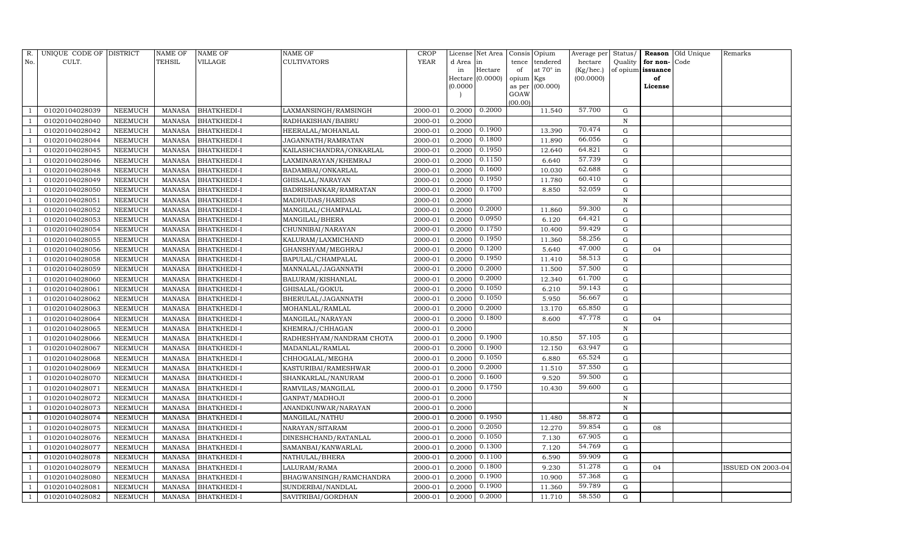| R.  | UNIQUE CODE OF DISTRICT |                | <b>NAME OF</b> | NAME OF            | NAME OF                  | <b>CROP</b> |           | License Net Area |                | Consis Opium | Average per | Status/     | Reason            | Old Unique | Remarks                  |
|-----|-------------------------|----------------|----------------|--------------------|--------------------------|-------------|-----------|------------------|----------------|--------------|-------------|-------------|-------------------|------------|--------------------------|
| No. | CULT.                   |                | TEHSIL         | VILLAGE            | <b>CULTIVATORS</b>       | <b>YEAR</b> | d Area in |                  | tence          | tendered     | hectare     | Quality     | for non-          | Code       |                          |
|     |                         |                |                |                    |                          |             | in        | Hectare          | of             | at 70° in    | (Kg/hec.)   |             | of opium issuance |            |                          |
|     |                         |                |                |                    |                          |             |           | Hectare (0.0000) | opium Kgs      |              | (00.0000)   |             | of                |            |                          |
|     |                         |                |                |                    |                          |             | (0.0000)  |                  | as per<br>GOAW | (00.000)     |             |             | License           |            |                          |
|     |                         |                |                |                    |                          |             |           |                  | (00.00)        |              |             |             |                   |            |                          |
|     | 01020104028039          | NEEMUCH        | MANASA         | <b>BHATKHEDI-I</b> | LAXMANSINGH/RAMSINGH     | 2000-01     | 0.2000    | 0.2000           |                | 11.540       | 57.700      | G           |                   |            |                          |
|     | 01020104028040          | NEEMUCH        | <b>MANASA</b>  | BHATKHEDI-I        | RADHAKISHAN/BABRU        | 2000-01     | 0.2000    |                  |                |              |             | N           |                   |            |                          |
|     | 01020104028042          | NEEMUCH        | MANASA         | BHATKHEDI-I        | HEERALAL/MOHANLAL        | 2000-01     | 0.2000    | 0.1900           |                | 13.390       | 70.474      | G           |                   |            |                          |
|     | 01020104028044          | NEEMUCH        | <b>MANASA</b>  | BHATKHEDI-I        | JAGANNATH/RAMRATAN       | 2000-01     | 0.2000    | 0.1800           |                | 11.890       | 66.056      | G           |                   |            |                          |
|     | 01020104028045          | NEEMUCH        | <b>MANASA</b>  | BHATKHEDI-I        | KAILASHCHANDRA/ONKARLAL  | 2000-01     | 0.2000    | 0.1950           |                | 12.640       | 64.821      | G           |                   |            |                          |
|     | 01020104028046          | NEEMUCH        | <b>MANASA</b>  | BHATKHEDI-I        | LAXMINARAYAN/KHEMRAJ     | 2000-01     | 0.2000    | 0.1150           |                | 6.640        | 57.739      | ${\rm G}$   |                   |            |                          |
|     | 01020104028048          | NEEMUCH        | <b>MANASA</b>  | BHATKHEDI-I        | BADAMBAI/ONKARLAL        | 2000-01     | 0.2000    | 0.1600           |                | 10.030       | 62.688      | G           |                   |            |                          |
|     | 01020104028049          | NEEMUCH        | <b>MANASA</b>  | BHATKHEDI-I        | GHISALAL/NARAYAN         | 2000-01     | 0.2000    | 0.1950           |                | 11.780       | 60.410      | G           |                   |            |                          |
|     | 01020104028050          | NEEMUCH        | <b>MANASA</b>  | BHATKHEDI-I        | BADRISHANKAR/RAMRATAN    | 2000-01     | 0.2000    | 0.1700           |                | 8.850        | 52.059      | $\mathbf G$ |                   |            |                          |
|     | 01020104028051          | NEEMUCH        | <b>MANASA</b>  | <b>BHATKHEDI-I</b> | MADHUDAS/HARIDAS         | 2000-01     | 0.2000    |                  |                |              |             | $\mathbf N$ |                   |            |                          |
|     | 01020104028052          | NEEMUCH        | <b>MANASA</b>  | BHATKHEDI-I        | MANGILAL/CHAMPALAL       | 2000-01     | 0.2000    | 0.2000           |                | 11.860       | 59.300      | G           |                   |            |                          |
|     | 01020104028053          | NEEMUCH        | <b>MANASA</b>  | BHATKHEDI-I        | MANGILAL/BHERA           | 2000-01     | 0.2000    | 0.0950           |                | 6.120        | 64.421      | $\mathbf G$ |                   |            |                          |
|     | 01020104028054          | NEEMUCH        | <b>MANASA</b>  | BHATKHEDI-I        | CHUNNIBAI/NARAYAN        | 2000-01     | 0.2000    | 0.1750           |                | 10.400       | 59.429      | G           |                   |            |                          |
|     | 01020104028055          | NEEMUCH        | <b>MANASA</b>  | BHATKHEDI-I        | KALURAM/LAXMICHAND       | 2000-01     | 0.2000    | 0.1950           |                | 11.360       | 58.256      | G           |                   |            |                          |
|     | 01020104028056          | NEEMUCH        | MANASA         | BHATKHEDI-I        | GHANSHYAM/MEGHRAJ        | 2000-01     | 0.2000    | 0.1200           |                | 5.640        | 47.000      | G           | 04                |            |                          |
|     | 01020104028058          | NEEMUCH        | MANASA         | BHATKHEDI-I        | BAPULAL/CHAMPALAL        | 2000-01     | 0.2000    | 0.1950           |                | 11.410       | 58.513      | $\mathbf G$ |                   |            |                          |
|     | 01020104028059          | NEEMUCH        | <b>MANASA</b>  | BHATKHEDI-I        | MANNALAL/JAGANNATH       | 2000-01     | 0.2000    | 0.2000           |                | 11.500       | 57.500      | $\mathbf G$ |                   |            |                          |
|     | 01020104028060          | NEEMUCH        | <b>MANASA</b>  | BHATKHEDI-I        | BALURAM/KISHANLAL        | 2000-01     | 0.2000    | 0.2000           |                | 12.340       | 61.700      | ${\rm G}$   |                   |            |                          |
|     | 01020104028061          | NEEMUCH        | <b>MANASA</b>  | BHATKHEDI-I        | GHISALAL/GOKUL           | 2000-01     | 0.2000    | 0.1050           |                | 6.210        | 59.143      | ${\rm G}$   |                   |            |                          |
|     | 01020104028062          | NEEMUCH        | <b>MANASA</b>  | BHATKHEDI-I        | BHERULAL/JAGANNATH       | 2000-01     | 0.2000    | 0.1050           |                | 5.950        | 56.667      | $\mathbf G$ |                   |            |                          |
|     | 01020104028063          | <b>NEEMUCH</b> | <b>MANASA</b>  | <b>BHATKHEDI-I</b> | MOHANLAL/RAMLAL          | 2000-01     | 0.2000    | 0.2000           |                | 13.170       | 65.850      | ${\rm G}$   |                   |            |                          |
|     | 01020104028064          | NEEMUCH        | <b>MANASA</b>  | BHATKHEDI-I        | MANGILAL/NARAYAN         | 2000-01     | 0.2000    | 0.1800           |                | 8.600        | 47.778      | G           | 04                |            |                          |
|     | 01020104028065          | NEEMUCH        | MANASA         | BHATKHEDI-I        | KHEMRAJ/CHHAGAN          | 2000-01     | 0.2000    |                  |                |              |             | N           |                   |            |                          |
|     | 01020104028066          | NEEMUCH        | <b>MANASA</b>  | <b>BHATKHEDI-I</b> | RADHESHYAM/NANDRAM CHOTA | 2000-01     | 0.2000    | 0.1900           |                | 10.850       | 57.105      | $\mathbf G$ |                   |            |                          |
|     | 01020104028067          | NEEMUCH        | <b>MANASA</b>  | BHATKHEDI-I        | MADANLAL/RAMLAL          | 2000-01     | 0.2000    | 0.1900           |                | 12.150       | 63.947      | ${\rm G}$   |                   |            |                          |
|     | 01020104028068          | NEEMUCH        | <b>MANASA</b>  | BHATKHEDI-I        | CHHOGALAL/MEGHA          | 2000-01     | 0.2000    | 0.1050           |                | 6.880        | 65.524      | ${\rm G}$   |                   |            |                          |
|     | 01020104028069          | NEEMUCH        | <b>MANASA</b>  | <b>BHATKHEDI-I</b> | KASTURIBAI/RAMESHWAR     | 2000-01     | 0.2000    | 0.2000           |                | 11.510       | 57.550      | ${\rm G}$   |                   |            |                          |
|     | 01020104028070          | NEEMUCH        | <b>MANASA</b>  | BHATKHEDI-I        | SHANKARLAL/NANURAM       | 2000-01     | 0.2000    | 0.1600           |                | 9.520        | 59.500      | $\mathbf G$ |                   |            |                          |
|     | 01020104028071          | NEEMUCH        | <b>MANASA</b>  | BHATKHEDI-I        | RAMVILAS/MANGILAL        | 2000-01     | 0.2000    | 0.1750           |                | 10.430       | 59.600      | ${\rm G}$   |                   |            |                          |
|     | 01020104028072          | NEEMUCH        | <b>MANASA</b>  | BHATKHEDI-I        | GANPAT/MADHOJI           | 2000-01     | 0.2000    |                  |                |              |             | $\mathbf N$ |                   |            |                          |
|     | 01020104028073          | NEEMUCH        | <b>MANASA</b>  | BHATKHEDI-I        | ANANDKUNWAR/NARAYAN      | 2000-01     | 0.2000    |                  |                |              |             | N           |                   |            |                          |
|     | 01020104028074          | NEEMUCH        | <b>MANASA</b>  | BHATKHEDI-I        | MANGILAL/NATHU           | 2000-01     | 0.2000    | 0.1950           |                | 11.480       | 58.872      | $\mathbf G$ |                   |            |                          |
|     | 01020104028075          | NEEMUCH        | MANASA         | BHATKHEDI-I        | NARAYAN/SITARAM          | 2000-01     | 0.2000    | 0.2050           |                | 12.270       | 59.854      | ${\rm G}$   | 08                |            |                          |
|     | 01020104028076          | NEEMUCH        | <b>MANASA</b>  | BHATKHEDI-I        | DINESHCHAND/RATANLAL     | 2000-01     | 0.2000    | 0.1050           |                | 7.130        | 67.905      | ${\rm G}$   |                   |            |                          |
|     | 01020104028077          | NEEMUCH        | MANASA         | BHATKHEDI-I        | SAMANBAI/KANWARLAL       | 2000-01     | 0.2000    | 0.1300           |                | 7.120        | 54.769      | ${\rm G}$   |                   |            |                          |
|     | 01020104028078          | NEEMUCH        | <b>MANASA</b>  | BHATKHEDI-I        | NATHULAL/BHERA           | 2000-01     | 0.2000    | 0.1100           |                | 6.590        | 59.909      | $\mathbf G$ |                   |            |                          |
|     | 01020104028079          | NEEMUCH        | MANASA         | BHATKHEDI-I        | LALURAM/RAMA             | 2000-01     | 0.2000    | 0.1800           |                | 9.230        | 51.278      | G           | 04                |            | <b>ISSUED ON 2003-04</b> |
|     | 01020104028080          | NEEMUCH        | <b>MANASA</b>  | BHATKHEDI-I        | BHAGWANSINGH/RAMCHANDRA  | 2000-01     | 0.2000    | 0.1900           |                | 10.900       | 57.368      | G           |                   |            |                          |
|     | 01020104028081          | NEEMUCH        | MANASA         | BHATKHEDI-I        | SUNDERBAI/NANDLAL        | 2000-01     | 0.2000    | 0.1900           |                | 11.360       | 59.789      | G           |                   |            |                          |
|     | 01020104028082          | NEEMUCH        | MANASA         | <b>BHATKHEDI-I</b> | SAVITRIBAI/GORDHAN       | 2000-01     | 0.2000    | 0.2000           |                | 11.710       | 58.550      | G           |                   |            |                          |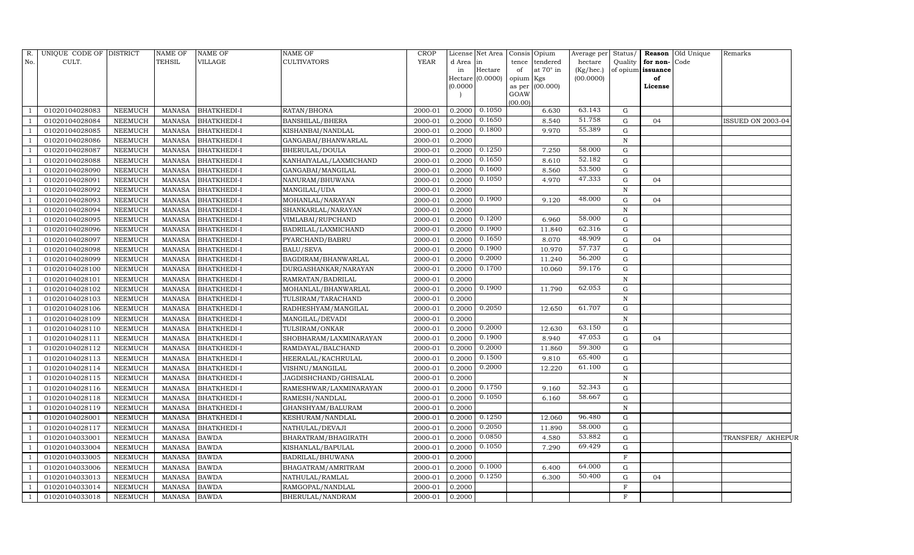| R.             | UNIQUE CODE OF DISTRICT |                | <b>NAME OF</b> | <b>NAME OF</b>     | <b>NAME OF</b>         | <b>CROP</b> |          | License Net Area   Consis   Opium |                |           | Average per | Status/           |              | <b>Reason</b> Old Unique | Remarks                  |
|----------------|-------------------------|----------------|----------------|--------------------|------------------------|-------------|----------|-----------------------------------|----------------|-----------|-------------|-------------------|--------------|--------------------------|--------------------------|
| No.            | CULT.                   |                | <b>TEHSIL</b>  | VILLAGE            | <b>CULTIVATORS</b>     | YEAR        | d Area   | l in                              | tence          | tendered  | hectare     | Quality           | for non-Code |                          |                          |
|                |                         |                |                |                    |                        |             | in       | Hectare                           | of             | at 70° in | (Kg/hec.)   | of opium issuance |              |                          |                          |
|                |                         |                |                |                    |                        |             |          | Hectare (0.0000)                  | opium          | Kgs       | (00.0000)   |                   | of           |                          |                          |
|                |                         |                |                |                    |                        |             | (0.0000) |                                   | as per<br>GOAW | (00.000)  |             |                   | License      |                          |                          |
|                |                         |                |                |                    |                        |             |          |                                   | (00.00)        |           |             |                   |              |                          |                          |
|                | 01020104028083          | NEEMUCH        | MANASA         | <b>BHATKHEDI-I</b> | RATAN/BHONA            | 2000-01     | 0.2000   | 0.1050                            |                | 6.630     | 63.143      | G                 |              |                          |                          |
|                | 01020104028084          | <b>NEEMUCH</b> | <b>MANASA</b>  | <b>BHATKHEDI-I</b> | BANSHILAL/BHERA        | 2000-01     | 0.2000   | 0.1650                            |                | 8.540     | 51.758      | G                 | 04           |                          | <b>ISSUED ON 2003-04</b> |
|                | 01020104028085          | <b>NEEMUCH</b> | <b>MANASA</b>  | <b>BHATKHEDI-I</b> | KISHANBAI/NANDLAL      | 2000-01     | 0.2000   | 0.1800                            |                | 9.970     | 55.389      | G                 |              |                          |                          |
|                | 01020104028086          | <b>NEEMUCH</b> | <b>MANASA</b>  | BHATKHEDI-I        | GANGABAI/BHANWARLAL    | 2000-01     | 0.2000   |                                   |                |           |             | $\, {\rm N}$      |              |                          |                          |
|                | 01020104028087          | <b>NEEMUCH</b> | <b>MANASA</b>  | <b>BHATKHEDI-I</b> | BHERULAL/DOULA         | 2000-01     | 0.2000   | 0.1250                            |                | 7.250     | 58.000      | G                 |              |                          |                          |
|                | 01020104028088          | <b>NEEMUCH</b> | <b>MANASA</b>  | BHATKHEDI-I        | KANHAIYALAL/LAXMICHAND | 2000-01     | 0.2000   | 0.1650                            |                | 8.610     | 52.182      | G                 |              |                          |                          |
|                | 01020104028090          | <b>NEEMUCH</b> | <b>MANASA</b>  | BHATKHEDI-I        | GANGABAI/MANGILAL      | 2000-01     | 0.2000   | 0.1600                            |                | 8.560     | 53.500      | G                 |              |                          |                          |
|                | 01020104028091          | <b>NEEMUCH</b> | <b>MANASA</b>  | <b>BHATKHEDI-I</b> | NANURAM/BHUWANA        | 2000-01     | 0.2000   | 0.1050                            |                | 4.970     | 47.333      | G                 | 04           |                          |                          |
|                | 01020104028092          | <b>NEEMUCH</b> | <b>MANASA</b>  | <b>BHATKHEDI-I</b> | MANGILAL/UDA           | 2000-01     | 0.2000   |                                   |                |           |             | $\, {\rm N}$      |              |                          |                          |
|                | 01020104028093          | <b>NEEMUCH</b> | <b>MANASA</b>  | <b>BHATKHEDI-I</b> | MOHANLAL/NARAYAN       | 2000-01     | 0.2000   | 0.1900                            |                | 9.120     | 48.000      | G                 | 04           |                          |                          |
|                | 01020104028094          | <b>NEEMUCH</b> | <b>MANASA</b>  | <b>BHATKHEDI-I</b> | SHANKARLAL/NARAYAN     | 2000-01     | 0.2000   |                                   |                |           |             | $\mathbf N$       |              |                          |                          |
|                | 01020104028095          | <b>NEEMUCH</b> | <b>MANASA</b>  | BHATKHEDI-I        | VIMLABAI/RUPCHAND      | 2000-01     | 0.2000   | 0.1200                            |                | 6.960     | 58.000      | G                 |              |                          |                          |
|                | 01020104028096          | <b>NEEMUCH</b> | <b>MANASA</b>  | <b>BHATKHEDI-I</b> | BADRILAL/LAXMICHAND    | 2000-01     | 0.2000   | 0.1900                            |                | 11.840    | 62.316      | G                 |              |                          |                          |
|                | 01020104028097          | <b>NEEMUCH</b> | <b>MANASA</b>  | <b>BHATKHEDI-I</b> | PYARCHAND/BABRU        | 2000-01     | 0.2000   | 0.1650                            |                | 8.070     | 48.909      | ${\rm G}$         | 04           |                          |                          |
|                | 01020104028098          | <b>NEEMUCH</b> | <b>MANASA</b>  | <b>BHATKHEDI-I</b> | <b>BALU/SEVA</b>       | 2000-01     | 0.2000   | 0.1900                            |                | 10.970    | 57.737      | G                 |              |                          |                          |
|                | 01020104028099          | <b>NEEMUCH</b> | <b>MANASA</b>  | <b>BHATKHEDI-I</b> | BAGDIRAM/BHANWARLAL    | 2000-01     | 0.2000   | 0.2000                            |                | 11.240    | 56.200      | G                 |              |                          |                          |
|                | 01020104028100          | <b>NEEMUCH</b> | <b>MANASA</b>  | <b>BHATKHEDI-I</b> | DURGASHANKAR/NARAYAN   | 2000-01     | 0.2000   | 0.1700                            |                | 10.060    | 59.176      | ${\rm G}$         |              |                          |                          |
|                | 01020104028101          | <b>NEEMUCH</b> | <b>MANASA</b>  | <b>BHATKHEDI-I</b> | RAMRATAN/BADRILAL      | 2000-01     | 0.2000   |                                   |                |           |             | $\, {\rm N}$      |              |                          |                          |
|                | 01020104028102          | <b>NEEMUCH</b> | <b>MANASA</b>  | <b>BHATKHEDI-I</b> | MOHANLAL/BHANWARLAL    | 2000-01     | 0.2000   | 0.1900                            |                | 11.790    | 62.053      | G                 |              |                          |                          |
|                | 01020104028103          | <b>NEEMUCH</b> | <b>MANASA</b>  | <b>BHATKHEDI-I</b> | TULSIRAM/TARACHAND     | 2000-01     | 0.2000   |                                   |                |           |             | $\, {\rm N}$      |              |                          |                          |
|                | 01020104028106          | <b>NEEMUCH</b> | <b>MANASA</b>  | <b>BHATKHEDI-I</b> | RADHESHYAM/MANGILAL    | 2000-01     | 0.2000   | 0.2050                            |                | 12.650    | 61.707      | G                 |              |                          |                          |
|                | 01020104028109          | <b>NEEMUCH</b> | <b>MANASA</b>  | <b>BHATKHEDI-I</b> | MANGILAL/DEVADI        | 2000-01     | 0.2000   |                                   |                |           |             | $\, {\rm N}$      |              |                          |                          |
|                | 01020104028110          | <b>NEEMUCH</b> | <b>MANASA</b>  | <b>BHATKHEDI-I</b> | TULSIRAM/ONKAR         | 2000-01     | 0.2000   | 0.2000                            |                | 12.630    | 63.150      | G                 |              |                          |                          |
|                | 01020104028111          | <b>NEEMUCH</b> | <b>MANASA</b>  | <b>BHATKHEDI-I</b> | SHOBHARAM/LAXMINARAYAN | 2000-01     | 0.2000   | 0.1900                            |                | 8.940     | 47.053      | G                 | 04           |                          |                          |
|                | 01020104028112          | <b>NEEMUCH</b> | <b>MANASA</b>  | <b>BHATKHEDI-I</b> | RAMDAYAL/BALCHAND      | 2000-01     | 0.2000   | 0.2000                            |                | 11.860    | 59.300      | G                 |              |                          |                          |
|                | 01020104028113          | <b>NEEMUCH</b> | <b>MANASA</b>  | <b>BHATKHEDI-I</b> | HEERALAL/KACHRULAL     | 2000-01     | 0.2000   | 0.1500                            |                | 9.810     | 65.400      | G                 |              |                          |                          |
|                | 01020104028114          | <b>NEEMUCH</b> | <b>MANASA</b>  | <b>BHATKHEDI-I</b> | VISHNU/MANGILAL        | 2000-01     | 0.2000   | 0.2000                            |                | 12.220    | 61.100      | G                 |              |                          |                          |
|                | 01020104028115          | <b>NEEMUCH</b> | <b>MANASA</b>  | <b>BHATKHEDI-I</b> | JAGDISHCHAND/GHISALAL  | 2000-01     | 0.2000   |                                   |                |           |             | $\, {\rm N}$      |              |                          |                          |
|                | 01020104028116          | <b>NEEMUCH</b> | <b>MANASA</b>  | <b>BHATKHEDI-I</b> | RAMESHWAR/LAXMINARAYAN | 2000-01     | 0.2000   | 0.1750                            |                | 9.160     | 52.343      | G                 |              |                          |                          |
|                | 01020104028118          | <b>NEEMUCH</b> | <b>MANASA</b>  | <b>BHATKHEDI-I</b> | RAMESH/NANDLAL         | 2000-01     | 0.2000   | 0.1050                            |                | 6.160     | 58.667      | G                 |              |                          |                          |
|                | 01020104028119          | <b>NEEMUCH</b> | <b>MANASA</b>  | <b>BHATKHEDI-I</b> | GHANSHYAM/BALURAM      | 2000-01     | 0.2000   |                                   |                |           |             | ${\bf N}$         |              |                          |                          |
|                | 01020104028001          | <b>NEEMUCH</b> | <b>MANASA</b>  | <b>BHATKHEDI-I</b> | KESHURAM/NANDLAL       | 2000-01     | 0.2000   | 0.1250                            |                | 12.060    | 96.480      | ${\rm G}$         |              |                          |                          |
|                | 01020104028117          | <b>NEEMUCH</b> | <b>MANASA</b>  | <b>BHATKHEDI-I</b> | NATHULAL/DEVAJI        | 2000-01     | 0.2000   | 0.2050                            |                | 11.890    | 58.000      | G                 |              |                          |                          |
|                | 01020104033001          | <b>NEEMUCH</b> | <b>MANASA</b>  | <b>BAWDA</b>       | BHARATRAM/BHAGIRATH    | 2000-01     | 0.2000   | 0.0850                            |                | 4.580     | 53.882      | G                 |              |                          | TRANSFER/ AKHEPUR        |
|                | 01020104033004          | <b>NEEMUCH</b> | <b>MANASA</b>  | <b>BAWDA</b>       | KISHANLAL/BAPULAL      | 2000-01     | 0.2000   | 0.1050                            |                | 7.290     | 69.429      | ${\rm G}$         |              |                          |                          |
|                | 01020104033005          | <b>NEEMUCH</b> | <b>MANASA</b>  | <b>BAWDA</b>       | BADRILAL/BHUWANA       | 2000-01     | 0.2000   |                                   |                |           |             | $\mathbf F$       |              |                          |                          |
|                | 01020104033006          | <b>NEEMUCH</b> | <b>MANASA</b>  | <b>BAWDA</b>       | BHAGATRAM/AMRITRAM     | 2000-01     | 0.2000   | 0.1000                            |                | 6.400     | 64.000      | G                 |              |                          |                          |
|                | 01020104033013          | <b>NEEMUCH</b> | <b>MANASA</b>  | <b>BAWDA</b>       | NATHULAL/RAMLAL        | 2000-01     | 0.2000   | 0.1250                            |                | 6.300     | 50.400      | G                 | 04           |                          |                          |
|                | 01020104033014          | <b>NEEMUCH</b> | <b>MANASA</b>  | <b>BAWDA</b>       | RAMGOPAL/NANDLAL       | 2000-01     | 0.2000   |                                   |                |           |             | $\mathbf{F}$      |              |                          |                          |
| $\overline{1}$ | 01020104033018          | NEEMUCH        | <b>MANASA</b>  | <b>BAWDA</b>       | BHERULAL/NANDRAM       | 2000-01     | 0.2000   |                                   |                |           |             | F                 |              |                          |                          |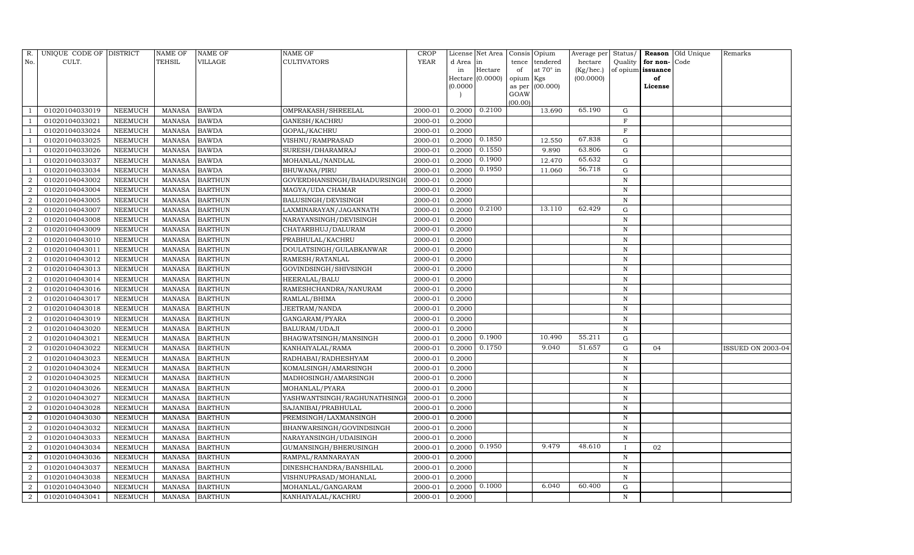| R.             | UNIQUE CODE OF DISTRICT |                | <b>NAME OF</b> | <b>NAME OF</b> | <b>NAME OF</b>               | CROP    |           | License Net Area |                | Consis Opium     | Average per | Status/      | Reason            | Old Unique | Remarks                  |
|----------------|-------------------------|----------------|----------------|----------------|------------------------------|---------|-----------|------------------|----------------|------------------|-------------|--------------|-------------------|------------|--------------------------|
| No.            | CULT.                   |                | <b>TEHSIL</b>  | VILLAGE        | <b>CULTIVATORS</b>           | YEAR    | d Area in |                  | tence          | tendered         | hectare     | Quality      | for non-          | Code       |                          |
|                |                         |                |                |                |                              |         | in        | Hectare          | of             | at $70^\circ$ in | (Kg/hec.)   |              | of opium issuance |            |                          |
|                |                         |                |                |                |                              |         |           | Hectare (0.0000) | opium Kgs      |                  | (00.0000)   |              | of                |            |                          |
|                |                         |                |                |                |                              |         | (0.0000)  |                  | as per<br>GOAW | (00.000)         |             |              | License           |            |                          |
|                |                         |                |                |                |                              |         |           |                  | (00.00)        |                  |             |              |                   |            |                          |
|                | 01020104033019          | NEEMUCH        | MANASA         | <b>BAWDA</b>   | OMPRAKASH/SHREELAL           | 2000-01 | 0.2000    | 0.2100           |                | 13.690           | 65.190      | G            |                   |            |                          |
|                | 01020104033021          | NEEMUCH        | <b>MANASA</b>  | <b>BAWDA</b>   | GANESH/KACHRU                | 2000-01 | 0.2000    |                  |                |                  |             | $\mathbf F$  |                   |            |                          |
|                | 01020104033024          | <b>NEEMUCH</b> | <b>MANASA</b>  | <b>BAWDA</b>   | GOPAL/KACHRU                 | 2000-01 | 0.2000    |                  |                |                  |             | $\rm F$      |                   |            |                          |
|                | 01020104033025          | NEEMUCH        | MANASA         | <b>BAWDA</b>   | VISHNU/RAMPRASAD             | 2000-01 | 0.2000    | 0.1850           |                | 12.550           | 67.838      | $\mathbf G$  |                   |            |                          |
|                | 01020104033026          | NEEMUCH        | <b>MANASA</b>  | <b>BAWDA</b>   | SURESH/DHARAMRAJ             | 2000-01 | 0.2000    | 0.1550           |                | 9.890            | 63.806      | $\mathbf G$  |                   |            |                          |
|                | 01020104033037          | NEEMUCH        | MANASA         | <b>BAWDA</b>   | MOHANLAL/NANDLAL             | 2000-01 | 0.2000    | 0.1900           |                | 12.470           | 65.632      | ${\rm G}$    |                   |            |                          |
|                | 01020104033034          | NEEMUCH        | MANASA         | <b>BAWDA</b>   | <b>BHUWANA/PIRU</b>          | 2000-01 | 0.2000    | 0.1950           |                | 11.060           | 56.718      | G            |                   |            |                          |
| $\overline{2}$ | 01020104043002          | NEEMUCH        | MANASA         | <b>BARTHUN</b> | GOVERDHANSINGH/BAHADURSINGH  | 2000-01 | 0.2000    |                  |                |                  |             | $\mathbf N$  |                   |            |                          |
| $\overline{2}$ | 01020104043004          | <b>NEEMUCH</b> | <b>MANASA</b>  | <b>BARTHUN</b> | MAGYA/UDA CHAMAR             | 2000-01 | 0.2000    |                  |                |                  |             | N            |                   |            |                          |
| $\overline{2}$ | 01020104043005          | NEEMUCH        | MANASA         | <b>BARTHUN</b> | BALUSINGH/DEVISINGH          | 2000-01 | 0.2000    |                  |                |                  |             | N            |                   |            |                          |
| $\overline{2}$ | 01020104043007          | <b>NEEMUCH</b> | <b>MANASA</b>  | <b>BARTHUN</b> | LAXMINARAYAN/JAGANNATH       | 2000-01 | 0.2000    | 0.2100           |                | 13.110           | 62.429      | $\mathbf G$  |                   |            |                          |
| 2              | 01020104043008          | <b>NEEMUCH</b> | MANASA         | <b>BARTHUN</b> | NARAYANSINGH/DEVISINGH       | 2000-01 | 0.2000    |                  |                |                  |             | N            |                   |            |                          |
| $\overline{2}$ | 01020104043009          | <b>NEEMUCH</b> | <b>MANASA</b>  | <b>BARTHUN</b> | CHATARBHUJ/DALURAM           | 2000-01 | 0.2000    |                  |                |                  |             | N            |                   |            |                          |
| $\overline{2}$ | 01020104043010          | <b>NEEMUCH</b> | <b>MANASA</b>  | <b>BARTHUN</b> | PRABHULAL/KACHRU             | 2000-01 | 0.2000    |                  |                |                  |             | N            |                   |            |                          |
| $\overline{2}$ | 01020104043011          | NEEMUCH        | MANASA         | <b>BARTHUN</b> | DOULATSINGH/GULABKANWAR      | 2000-01 | 0.2000    |                  |                |                  |             | N            |                   |            |                          |
| $\overline{2}$ | 01020104043012          | <b>NEEMUCH</b> | MANASA         | <b>BARTHUN</b> | RAMESH/RATANLAL              | 2000-01 | 0.2000    |                  |                |                  |             | N            |                   |            |                          |
| $\overline{2}$ | 01020104043013          | <b>NEEMUCH</b> | <b>MANASA</b>  | <b>BARTHUN</b> | GOVINDSINGH/SHIVSINGH        | 2000-01 | 0.2000    |                  |                |                  |             | N            |                   |            |                          |
| $\overline{2}$ | 01020104043014          | <b>NEEMUCH</b> | MANASA         | <b>BARTHUN</b> | HEERALAL/BALU                | 2000-01 | 0.2000    |                  |                |                  |             | N            |                   |            |                          |
| $\overline{2}$ | 01020104043016          | NEEMUCH        | MANASA         | <b>BARTHUN</b> | RAMESHCHANDRA/NANURAM        | 2000-01 | 0.2000    |                  |                |                  |             | $\,$ N       |                   |            |                          |
| $\overline{2}$ | 01020104043017          | NEEMUCH        | MANASA         | <b>BARTHUN</b> | RAMLAL/BHIMA                 | 2000-01 | 0.2000    |                  |                |                  |             | N            |                   |            |                          |
| $\overline{2}$ | 01020104043018          | NEEMUCH        | MANASA         | <b>BARTHUN</b> | JEETRAM/NANDA                | 2000-01 | 0.2000    |                  |                |                  |             | N            |                   |            |                          |
| $\overline{2}$ | 01020104043019          | <b>NEEMUCH</b> | <b>MANASA</b>  | <b>BARTHUN</b> | GANGARAM/PYARA               | 2000-01 | 0.2000    |                  |                |                  |             | N            |                   |            |                          |
| $\overline{2}$ | 01020104043020          | NEEMUCH        | MANASA         | <b>BARTHUN</b> | BALURAM/UDAJI                | 2000-01 | 0.2000    |                  |                |                  |             | N            |                   |            |                          |
| $\overline{2}$ | 01020104043021          | <b>NEEMUCH</b> | <b>MANASA</b>  | <b>BARTHUN</b> | BHAGWATSINGH/MANSINGH        | 2000-01 | 0.2000    | 0.1900           |                | 10.490           | 55.211      | $\mathbf G$  |                   |            |                          |
| $\overline{2}$ | 01020104043022          | <b>NEEMUCH</b> | <b>MANASA</b>  | <b>BARTHUN</b> | KANHAIYALAL/RAMA             | 2000-01 | 0.2000    | 0.1750           |                | 9.040            | 51.657      | ${\rm G}$    | 04                |            | <b>ISSUED ON 2003-04</b> |
| $\overline{2}$ | 01020104043023          | <b>NEEMUCH</b> | <b>MANASA</b>  | <b>BARTHUN</b> | RADHABAI/RADHESHYAM          | 2000-01 | 0.2000    |                  |                |                  |             | $\,$ N       |                   |            |                          |
| $\overline{2}$ | 01020104043024          | <b>NEEMUCH</b> | <b>MANASA</b>  | <b>BARTHUN</b> | KOMALSINGH/AMARSINGH         | 2000-01 | 0.2000    |                  |                |                  |             | N            |                   |            |                          |
| 2              | 01020104043025          | <b>NEEMUCH</b> | <b>MANASA</b>  | <b>BARTHUN</b> | MADHOSINGH/AMARSINGH         | 2000-01 | 0.2000    |                  |                |                  |             | $\mathbf N$  |                   |            |                          |
| $\overline{2}$ | 01020104043026          | NEEMUCH        | MANASA         | <b>BARTHUN</b> | MOHANLAL/PYARA               | 2000-01 | 0.2000    |                  |                |                  |             | N            |                   |            |                          |
| $\overline{2}$ | 01020104043027          | NEEMUCH        | MANASA         | <b>BARTHUN</b> | YASHWANTSINGH/RAGHUNATHSINGI | 2000-01 | 0.2000    |                  |                |                  |             | N            |                   |            |                          |
| $\overline{2}$ | 01020104043028          | <b>NEEMUCH</b> | MANASA         | <b>BARTHUN</b> | SAJANIBAI/PRABHULAL          | 2000-01 | 0.2000    |                  |                |                  |             | N            |                   |            |                          |
| $\overline{2}$ | 01020104043030          | NEEMUCH        | <b>MANASA</b>  | <b>BARTHUN</b> | PREMSINGH/LAXMANSINGH        | 2000-01 | 0.2000    |                  |                |                  |             | N            |                   |            |                          |
| $\overline{2}$ | 01020104043032          | <b>NEEMUCH</b> | MANASA         | <b>BARTHUN</b> | BHANWARSINGH/GOVINDSINGH     | 2000-01 | 0.2000    |                  |                |                  |             | N            |                   |            |                          |
| $\overline{2}$ | 01020104043033          | <b>NEEMUCH</b> | MANASA         | <b>BARTHUN</b> | NARAYANSINGH/UDAISINGH       | 2000-01 | 0.2000    |                  |                |                  |             | N            |                   |            |                          |
| $\overline{2}$ | 01020104043034          | NEEMUCH        | MANASA         | <b>BARTHUN</b> | GUMANSINGH/BHERUSINGH        | 2000-01 | 0.2000    | 0.1950           |                | 9.479            | 48.610      | $\mathbf{I}$ | 02                |            |                          |
| $\overline{2}$ | 01020104043036          | <b>NEEMUCH</b> | <b>MANASA</b>  | <b>BARTHUN</b> | RAMPAL/RAMNARAYAN            | 2000-01 | 0.2000    |                  |                |                  |             | $\mathbf N$  |                   |            |                          |
| 2              | 01020104043037          | <b>NEEMUCH</b> | MANASA         | <b>BARTHUN</b> | DINESHCHANDRA/BANSHILAL      | 2000-01 | 0.2000    |                  |                |                  |             | N            |                   |            |                          |
| $\overline{2}$ | 01020104043038          | NEEMUCH        | MANASA         | <b>BARTHUN</b> | VISHNUPRASAD/MOHANLAL        | 2000-01 | 0.2000    |                  |                |                  |             | N            |                   |            |                          |
| $\overline{2}$ | 01020104043040          | <b>NEEMUCH</b> | MANASA         | <b>BARTHUN</b> | MOHANLAL/GANGARAM            | 2000-01 | 0.2000    | 0.1000           |                | 6.040            | 60.400      | G            |                   |            |                          |
| $\overline{2}$ | 01020104043041          | <b>NEEMUCH</b> |                | MANASA BARTHUN | KANHAIYALAL/KACHRU           | 2000-01 | 0.2000    |                  |                |                  |             | N            |                   |            |                          |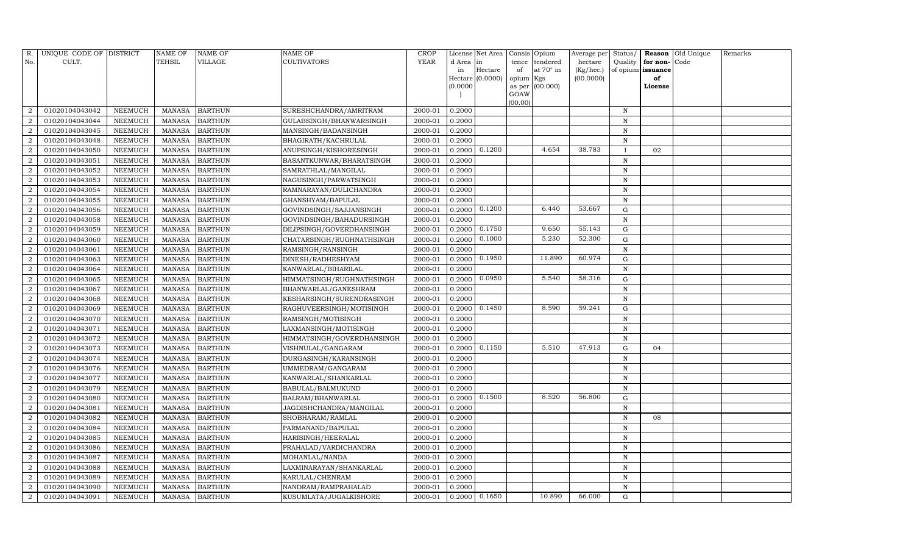| R.               | UNIQUE CODE OF DISTRICT |                | NAME OF       | <b>NAME OF</b> | <b>NAME OF</b>             | CROP    |           | License Net Area | Consis    | Opium             | Average per | Status/      | Reason            | Old Unique | Remarks |
|------------------|-------------------------|----------------|---------------|----------------|----------------------------|---------|-----------|------------------|-----------|-------------------|-------------|--------------|-------------------|------------|---------|
| No.              | CULT.                   |                | <b>TEHSIL</b> | VILLAGE        | <b>CULTIVATORS</b>         | YEAR    | d Area in |                  | tence     | tendered          | hectare     | Quality      | for non-          | Code       |         |
|                  |                         |                |               |                |                            |         | in        | Hectare          | of        | at $70^\circ$ in  | (Kg/hec.)   |              | of opium issuance |            |         |
|                  |                         |                |               |                |                            |         |           | Hectare (0.0000) | opium Kgs |                   | (00.0000)   |              | of                |            |         |
|                  |                         |                |               |                |                            |         | (0.0000   |                  | GOAW      | as per $(00.000)$ |             |              | License           |            |         |
|                  |                         |                |               |                |                            |         |           |                  | (00.00)   |                   |             |              |                   |            |         |
| $\overline{2}$   | 01020104043042          | NEEMUCH        | MANASA        | <b>BARTHUN</b> | SURESHCHANDRA/AMRITRAM     | 2000-01 | 0.2000    |                  |           |                   |             | N            |                   |            |         |
| $\overline{2}$   | 01020104043044          | NEEMUCH        | <b>MANASA</b> | <b>BARTHUN</b> | GULABSINGH/BHANWARSINGH    | 2000-01 | 0.2000    |                  |           |                   |             | N            |                   |            |         |
| $\overline{2}$   | 01020104043045          | <b>NEEMUCH</b> | MANASA        | <b>BARTHUN</b> | MANSINGH/BADANSINGH        | 2000-01 | 0.2000    |                  |           |                   |             | N            |                   |            |         |
| $\overline{2}$   | 01020104043048          | <b>NEEMUCH</b> | MANASA        | <b>BARTHUN</b> | BHAGIRATH/KACHRULAL        | 2000-01 | 0.2000    |                  |           |                   |             | N            |                   |            |         |
| $\overline{2}$   | 01020104043050          | <b>NEEMUCH</b> | <b>MANASA</b> | <b>BARTHUN</b> | ANUPSINGH/KISHORESINGH     | 2000-01 | 0.2000    | 0.1200           |           | 4.654             | 38.783      | $\mathbf{I}$ | 02                |            |         |
| $\overline{2}$   | 01020104043051          | <b>NEEMUCH</b> | <b>MANASA</b> | <b>BARTHUN</b> | BASANTKUNWAR/BHARATSINGH   | 2000-01 | 0.2000    |                  |           |                   |             | $\mathbf N$  |                   |            |         |
| $\overline{a}$   | 01020104043052          | <b>NEEMUCH</b> | <b>MANASA</b> | <b>BARTHUN</b> | SAMRATHLAL/MANGILAL        | 2000-01 | 0.2000    |                  |           |                   |             | N            |                   |            |         |
| $\overline{2}$   | 01020104043053          | <b>NEEMUCH</b> | <b>MANASA</b> | <b>BARTHUN</b> | NAGUSINGH/PARWATSINGH      | 2000-01 | 0.2000    |                  |           |                   |             | $\,$ N       |                   |            |         |
| $\overline{2}$   | 01020104043054          | NEEMUCH        | MANASA        | <b>BARTHUN</b> | RAMNARAYAN/DULICHANDRA     | 2000-01 | 0.2000    |                  |           |                   |             | N            |                   |            |         |
| $\overline{2}$   | 01020104043055          | NEEMUCH        | MANASA        | <b>BARTHUN</b> | GHANSHYAM/BAPULAL          | 2000-01 | 0.2000    |                  |           |                   |             | N            |                   |            |         |
| $\overline{2}$   | 01020104043056          | <b>NEEMUCH</b> | <b>MANASA</b> | <b>BARTHUN</b> | GOVINDSINGH/SAJJANSINGH    | 2000-01 | 0.2000    | 0.1200           |           | 6.440             | 53.667      | G            |                   |            |         |
| $\overline{2}$   | 01020104043058          | NEEMUCH        | MANASA        | <b>BARTHUN</b> | GOVINDSINGH/BAHADURSINGH   | 2000-01 | 0.2000    |                  |           |                   |             | N            |                   |            |         |
| $\overline{2}$   | 01020104043059          | NEEMUCH        | MANASA        | <b>BARTHUN</b> | DILIPSINGH/GOVERDHANSINGH  | 2000-01 | 0.2000    | 0.1750           |           | 9.650             | 55.143      | $\mathbf G$  |                   |            |         |
| $\overline{2}$   | 01020104043060          | <b>NEEMUCH</b> | MANASA        | <b>BARTHUN</b> | CHATARSINGH/RUGHNATHSINGH  | 2000-01 | 0.2000    | 0.1000           |           | 5.230             | 52.300      | G            |                   |            |         |
| $\overline{2}$   | 01020104043061          | NEEMUCH        | MANASA        | <b>BARTHUN</b> | RAMSINGH/RANSINGH          | 2000-01 | 0.2000    |                  |           |                   |             | N            |                   |            |         |
| $\overline{a}$   | 01020104043063          | <b>NEEMUCH</b> | MANASA        | <b>BARTHUN</b> | DINESH/RADHESHYAM          | 2000-01 | 0.2000    | 0.1950           |           | 11.890            | 60.974      | ${\rm G}$    |                   |            |         |
| $\overline{2}$   | 01020104043064          | <b>NEEMUCH</b> | <b>MANASA</b> | <b>BARTHUN</b> | KANWARLAL/BIHARILAL        | 2000-01 | 0.2000    |                  |           |                   |             | N            |                   |            |         |
| 2                | 01020104043065          | <b>NEEMUCH</b> | MANASA        | <b>BARTHUN</b> | HIMMATSINGH/RUGHNATHSINGH  | 2000-01 | 0.2000    | 0.0950           |           | 5.540             | 58.316      | G            |                   |            |         |
| $\overline{2}$   | 01020104043067          | <b>NEEMUCH</b> | MANASA        | <b>BARTHUN</b> | BHANWARLAL/GANESHRAM       | 2000-01 | 0.2000    |                  |           |                   |             | N            |                   |            |         |
| 2                | 01020104043068          | <b>NEEMUCH</b> | MANASA        | <b>BARTHUN</b> | KESHARSINGH/SURENDRASINGH  | 2000-01 | 0.2000    |                  |           |                   |             | N            |                   |            |         |
| $\overline{2}$   | 01020104043069          | NEEMUCH        | MANASA        | <b>BARTHUN</b> | RAGHUVEERSINGH/MOTISINGH   | 2000-01 | 0.2000    | 0.1450           |           | 8.590             | 59.241      | $\mathbf G$  |                   |            |         |
| $\overline{2}$   | 01020104043070          | <b>NEEMUCH</b> | <b>MANASA</b> | <b>BARTHUN</b> | RAMSINGH/MOTISINGH         | 2000-01 | 0.2000    |                  |           |                   |             | N            |                   |            |         |
| $\overline{2}$   | 01020104043071          | NEEMUCH        | MANASA        | <b>BARTHUN</b> | LAXMANSINGH/MOTISINGH      | 2000-01 | 0.2000    |                  |           |                   |             | N            |                   |            |         |
| $\boldsymbol{2}$ | 01020104043072          | NEEMUCH        | <b>MANASA</b> | <b>BARTHUN</b> | HIMMATSINGH/GOVERDHANSINGH | 2000-01 | 0.2000    |                  |           |                   |             | N            |                   |            |         |
| $\overline{2}$   | 01020104043073          | <b>NEEMUCH</b> | <b>MANASA</b> | <b>BARTHUN</b> | VISHNULAL/GANGARAM         | 2000-01 | 0.2000    | 0.1150           |           | 5.510             | 47.913      | $\mathbf G$  | 04                |            |         |
| $\overline{2}$   | 01020104043074          | <b>NEEMUCH</b> | <b>MANASA</b> | <b>BARTHUN</b> | DURGASINGH/KARANSINGH      | 2000-01 | 0.2000    |                  |           |                   |             | N            |                   |            |         |
| 2                | 01020104043076          | NEEMUCH        | MANASA        | <b>BARTHUN</b> | UMMEDRAM/GANGARAM          | 2000-01 | 0.2000    |                  |           |                   |             | N            |                   |            |         |
| $\overline{2}$   | 01020104043077          | <b>NEEMUCH</b> | <b>MANASA</b> | <b>BARTHUN</b> | KANWARLAL/SHANKARLAL       | 2000-01 | 0.2000    |                  |           |                   |             | N            |                   |            |         |
| $\overline{2}$   | 01020104043079          | <b>NEEMUCH</b> | <b>MANASA</b> | <b>BARTHUN</b> | BABULAL/BALMUKUND          | 2000-01 | 0.2000    |                  |           |                   |             | N            |                   |            |         |
| $\overline{2}$   | 01020104043080          | <b>NEEMUCH</b> | <b>MANASA</b> | <b>BARTHUN</b> | BALRAM/BHANWARLAL          | 2000-01 | 0.2000    | 0.1500           |           | 8.520             | 56.800      | ${\rm G}$    |                   |            |         |
| $\overline{2}$   | 01020104043081          | <b>NEEMUCH</b> | MANASA        | <b>BARTHUN</b> | JAGDISHCHANDRA/MANGILAL    | 2000-01 | 0.2000    |                  |           |                   |             | N            |                   |            |         |
| $\overline{2}$   | 01020104043082          | NEEMUCH        | MANASA        | <b>BARTHUN</b> | SHOBHARAM/RAMLAL           | 2000-01 | 0.2000    |                  |           |                   |             | N            | 08                |            |         |
| $\overline{2}$   | 01020104043084          | <b>NEEMUCH</b> | <b>MANASA</b> | <b>BARTHUN</b> | PARMANAND/BAPULAL          | 2000-01 | 0.2000    |                  |           |                   |             | N            |                   |            |         |
| $\overline{2}$   | 01020104043085          | <b>NEEMUCH</b> | <b>MANASA</b> | <b>BARTHUN</b> | HARISINGH/HEERALAL         | 2000-01 | 0.2000    |                  |           |                   |             | N            |                   |            |         |
| $\overline{2}$   | 01020104043086          | <b>NEEMUCH</b> | <b>MANASA</b> | <b>BARTHUN</b> | PRAHALAD/VARDICHANDRA      | 2000-01 | 0.2000    |                  |           |                   |             | $\, {\rm N}$ |                   |            |         |
| $\overline{2}$   | 01020104043087          | <b>NEEMUCH</b> | <b>MANASA</b> | <b>BARTHUN</b> | MOHANLAL/NANDA             | 2000-01 | 0.2000    |                  |           |                   |             | N            |                   |            |         |
| $\overline{2}$   | 01020104043088          | <b>NEEMUCH</b> | MANASA        | <b>BARTHUN</b> | LAXMINARAYAN/SHANKARLAL    | 2000-01 | 0.2000    |                  |           |                   |             | N            |                   |            |         |
| $\overline{2}$   | 01020104043089          | NEEMUCH        | MANASA        | <b>BARTHUN</b> | KARULAL/CHENRAM            | 2000-01 | 0.2000    |                  |           |                   |             | N            |                   |            |         |
| $\overline{2}$   | 01020104043090          | <b>NEEMUCH</b> | MANASA        | <b>BARTHUN</b> | NANDRAM/RAMPRAHALAD        | 2000-01 | 0.2000    |                  |           |                   |             | $\mathbf N$  |                   |            |         |
| $\overline{2}$   | 01020104043091          | NEEMUCH        |               | MANASA BARTHUN | KUSUMLATA/JUGALKISHORE     | 2000-01 | 0.2000    | 0.1650           |           | 10.890            | 66.000      | $\mathbf G$  |                   |            |         |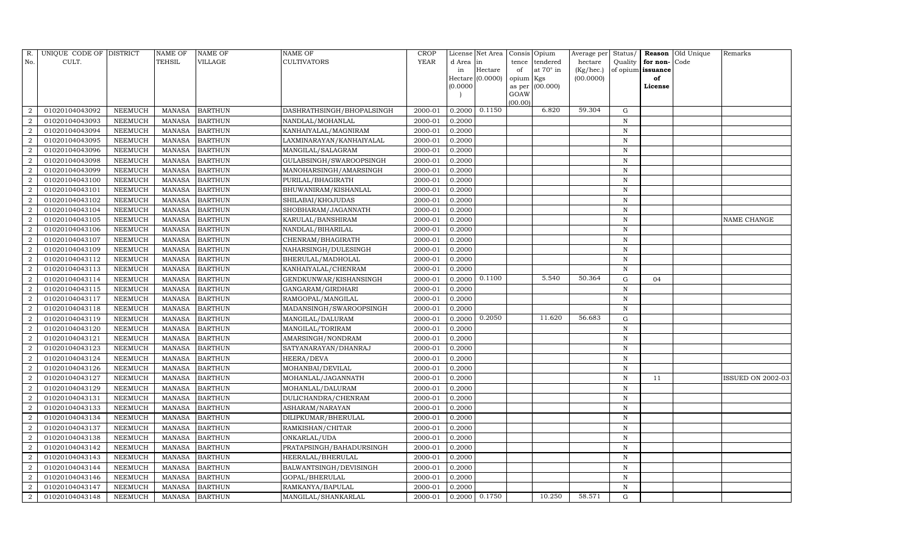| R.                          | UNIQUE CODE OF DISTRICT |                | NAME OF       | NAME OF        | NAME OF                   | CROP        |           | License Net Area |                 | Consis Opium    | Average per | Status/      |               | Reason Old Unique | Remarks                  |
|-----------------------------|-------------------------|----------------|---------------|----------------|---------------------------|-------------|-----------|------------------|-----------------|-----------------|-------------|--------------|---------------|-------------------|--------------------------|
| No.                         | CULT.                   |                | TEHSIL        | VILLAGE        | CULTIVATORS               | <b>YEAR</b> | d Area in |                  | tence           | tendered        | hectare     | Quality      | for non-      | Code              |                          |
|                             |                         |                |               |                |                           |             | in        | Hectare          | of              | at 70° in       | (Kg/hec.)   | of opium     | issuance      |                   |                          |
|                             |                         |                |               |                |                           |             | (0.0000)  | Hectare (0.0000) | opium<br>as per | Kgs<br>(00.000) | (00.0000)   |              | of<br>License |                   |                          |
|                             |                         |                |               |                |                           |             |           |                  | GOAW            |                 |             |              |               |                   |                          |
|                             |                         |                |               |                |                           |             |           |                  | (00.00)         |                 |             |              |               |                   |                          |
|                             | 01020104043092          | NEEMUCH        | MANASA        | <b>BARTHUN</b> | DASHRATHSINGH/BHOPALSINGH | 2000-01     | 0.2000    | 0.1150           |                 | 6.820           | 59.304      | G            |               |                   |                          |
| $\overline{2}$              | 01020104043093          | <b>NEEMUCH</b> | <b>MANASA</b> | <b>BARTHUN</b> | NANDLAL/MOHANLAL          | 2000-01     | 0.2000    |                  |                 |                 |             | N            |               |                   |                          |
| 2                           | 01020104043094          | NEEMUCH        | <b>MANASA</b> | <b>BARTHUN</b> | KANHAIYALAL/MAGNIRAM      | 2000-01     | 0.2000    |                  |                 |                 |             | $\, {\rm N}$ |               |                   |                          |
| $\overline{2}$              | 01020104043095          | NEEMUCH        | MANASA        | <b>BARTHUN</b> | LAXMINARAYAN/KANHAIYALAL  | 2000-01     | 0.2000    |                  |                 |                 |             | ${\bf N}$    |               |                   |                          |
| 2                           | 01020104043096          | NEEMUCH        | <b>MANASA</b> | <b>BARTHUN</b> | MANGILAL/SALAGRAM         | 2000-01     | 0.2000    |                  |                 |                 |             | ${\bf N}$    |               |                   |                          |
|                             | 01020104043098          | NEEMUCH        | <b>MANASA</b> | <b>BARTHUN</b> | GULABSINGH/SWAROOPSINGH   | 2000-01     | 0.2000    |                  |                 |                 |             | $\mathbf N$  |               |                   |                          |
| $\overline{2}$              | 01020104043099          | NEEMUCH        | <b>MANASA</b> | <b>BARTHUN</b> | MANOHARSINGH/AMARSINGH    | 2000-01     | 0.2000    |                  |                 |                 |             | $\mathbf N$  |               |                   |                          |
| 2                           | 01020104043100          | NEEMUCH        | <b>MANASA</b> | <b>BARTHUN</b> | PURILAL/BHAGIRATH         | 2000-01     | 0.2000    |                  |                 |                 |             | ${\bf N}$    |               |                   |                          |
| $\overline{2}$              | 01020104043101          | NEEMUCH        | <b>MANASA</b> | <b>BARTHUN</b> | BHUWANIRAM/KISHANLAL      | 2000-01     | 0.2000    |                  |                 |                 |             | N            |               |                   |                          |
|                             | 01020104043102          | NEEMUCH        | <b>MANASA</b> | <b>BARTHUN</b> | SHILABAI/KHOJUDAS         | 2000-01     | 0.2000    |                  |                 |                 |             | N            |               |                   |                          |
| $\overline{2}$              | 01020104043104          | NEEMUCH        | <b>MANASA</b> | <b>BARTHUN</b> | SHOBHARAM/JAGANNATH       | 2000-01     | 0.2000    |                  |                 |                 |             | $\, {\rm N}$ |               |                   |                          |
| $\overline{2}$              | 01020104043105          | NEEMUCH        | <b>MANASA</b> | <b>BARTHUN</b> | KARULAL/BANSHIRAM         | 2000-01     | 0.2000    |                  |                 |                 |             | $\, {\rm N}$ |               |                   | NAME CHANGE              |
| $\overline{2}$              | 01020104043106          | NEEMUCH        | <b>MANASA</b> | <b>BARTHUN</b> | NANDLAL/BIHARILAL         | 2000-01     | 0.2000    |                  |                 |                 |             | N            |               |                   |                          |
| $\overline{2}$              | 01020104043107          | NEEMUCH        | <b>MANASA</b> | <b>BARTHUN</b> | CHENRAM/BHAGIRATH         | 2000-01     | 0.2000    |                  |                 |                 |             | $\, {\rm N}$ |               |                   |                          |
| $\overline{2}$              | 01020104043109          | NEEMUCH        | <b>MANASA</b> | <b>BARTHUN</b> | NAHARSINGH/DULESINGH      | 2000-01     | 0.2000    |                  |                 |                 |             | ${\bf N}$    |               |                   |                          |
| 2                           | 01020104043112          | <b>NEEMUCH</b> | <b>MANASA</b> | <b>BARTHUN</b> | BHERULAL/MADHOLAL         | 2000-01     | 0.2000    |                  |                 |                 |             | $\, {\rm N}$ |               |                   |                          |
| $\mathcal{D}$               | 01020104043113          | <b>NEEMUCH</b> | <b>MANASA</b> | <b>BARTHUN</b> | KANHAIYALAL/CHENRAM       | 2000-01     | 0.2000    |                  |                 |                 |             | N            |               |                   |                          |
| $\overline{2}$              | 01020104043114          | NEEMUCH        | <b>MANASA</b> | <b>BARTHUN</b> | GENDKUNWAR/KISHANSINGH    | 2000-01     | 0.2000    | 0.1100           |                 | 5.540           | 50.364      | ${\rm G}$    | 04            |                   |                          |
| $\overline{2}$              | 01020104043115          | <b>NEEMUCH</b> | <b>MANASA</b> | <b>BARTHUN</b> | GANGARAM/GIRDHARI         | 2000-01     | 0.2000    |                  |                 |                 |             | ${\bf N}$    |               |                   |                          |
| $\overline{2}$              | 01020104043117          | NEEMUCH        | <b>MANASA</b> | <b>BARTHUN</b> | RAMGOPAL/MANGILAL         | 2000-01     | 0.2000    |                  |                 |                 |             | N            |               |                   |                          |
|                             | 01020104043118          | NEEMUCH        | <b>MANASA</b> | <b>BARTHUN</b> | MADANSINGH/SWAROOPSINGH   | 2000-01     | 0.2000    |                  |                 |                 |             | ${\bf N}$    |               |                   |                          |
| $\overline{2}$              | 01020104043119          | NEEMUCH        | <b>MANASA</b> | <b>BARTHUN</b> | MANGILAL/DALURAM          | 2000-01     | 0.2000    | 0.2050           |                 | 11.620          | 56.683      | ${\rm G}$    |               |                   |                          |
| 2                           | 01020104043120          | NEEMUCH        | <b>MANASA</b> | <b>BARTHUN</b> | MANGILAL/TORIRAM          | 2000-01     | 0.2000    |                  |                 |                 |             | $\, {\rm N}$ |               |                   |                          |
| $\overline{2}$              | 01020104043121          | NEEMUCH        | <b>MANASA</b> | <b>BARTHUN</b> | AMARSINGH/NONDRAM         | 2000-01     | 0.2000    |                  |                 |                 |             | N            |               |                   |                          |
|                             | 01020104043123          | <b>NEEMUCH</b> | <b>MANASA</b> | <b>BARTHUN</b> | SATYANARAYAN/DHANRAJ      | 2000-01     | 0.2000    |                  |                 |                 |             | N            |               |                   |                          |
| $\overline{2}$              | 01020104043124          | NEEMUCH        | <b>MANASA</b> | <b>BARTHUN</b> | HEERA/DEVA                | 2000-01     | 0.2000    |                  |                 |                 |             | $\mathbf N$  |               |                   |                          |
| 2                           | 01020104043126          | NEEMUCH        | <b>MANASA</b> | <b>BARTHUN</b> | MOHANBAI/DEVILAL          | 2000-01     | 0.2000    |                  |                 |                 |             | $\, {\rm N}$ |               |                   |                          |
| $\mathcal{D}$               | 01020104043127          | NEEMUCH        | <b>MANASA</b> | <b>BARTHUN</b> | MOHANLAL/JAGANNATH        | 2000-01     | 0.2000    |                  |                 |                 |             | N            | 11            |                   | <b>ISSUED ON 2002-03</b> |
| $\overline{2}$              | 01020104043129          | NEEMUCH        | <b>MANASA</b> | <b>BARTHUN</b> | MOHANLAL/DALURAM          | 2000-01     | 0.2000    |                  |                 |                 |             | $\mathbf N$  |               |                   |                          |
| $\overline{2}$              | 01020104043131          | <b>NEEMUCH</b> | <b>MANASA</b> | BARTHUN        | DULICHANDRA/CHENRAM       | 2000-01     | 0.2000    |                  |                 |                 |             | ${\bf N}$    |               |                   |                          |
| $\overline{2}$              | 01020104043133          | NEEMUCH        | <b>MANASA</b> | <b>BARTHUN</b> | ASHARAM/NARAYAN           | 2000-01     | 0.2000    |                  |                 |                 |             | $\,$ N       |               |                   |                          |
| $\mathcal{D}$               | 01020104043134          | NEEMUCH        | <b>MANASA</b> | <b>BARTHUN</b> | DILIPKUMAR/BHERULAL       | 2000-01     | 0.2000    |                  |                 |                 |             | N            |               |                   |                          |
| $\mathcal{D}_{\mathcal{L}}$ | 01020104043137          | NEEMUCH        | <b>MANASA</b> | <b>BARTHUN</b> | RAMKISHAN/CHITAR          | 2000-01     | 0.2000    |                  |                 |                 |             | $\, {\rm N}$ |               |                   |                          |
| $\mathcal{D}$               | 01020104043138          | NEEMUCH        | <b>MANASA</b> | <b>BARTHUN</b> | ONKARLAL/UDA              | 2000-01     | 0.2000    |                  |                 |                 |             | $\, {\rm N}$ |               |                   |                          |
| 2                           | 01020104043142          | <b>NEEMUCH</b> | <b>MANASA</b> | <b>BARTHUN</b> | PRATAPSINGH/BAHADURSINGH  | 2000-01     | 0.2000    |                  |                 |                 |             | $\, {\rm N}$ |               |                   |                          |
| $\overline{2}$              | 01020104043143          | <b>NEEMUCH</b> | <b>MANASA</b> | <b>BARTHUN</b> | HEERALAL/BHERULAL         | 2000-01     | 0.2000    |                  |                 |                 |             | $\, {\rm N}$ |               |                   |                          |
| $\mathcal{D}$               | 01020104043144          | NEEMUCH        | <b>MANASA</b> | <b>BARTHUN</b> | BALWANTSINGH/DEVISINGH    | 2000-01     | 0.2000    |                  |                 |                 |             | $\mathbf N$  |               |                   |                          |
| 2                           | 01020104043146          | NEEMUCH        | <b>MANASA</b> | <b>BARTHUN</b> | GOPAL/BHERULAL            | 2000-01     | 0.2000    |                  |                 |                 |             | N            |               |                   |                          |
| $\mathcal{D}_{\alpha}$      | 01020104043147          | NEEMUCH        | <b>MANASA</b> | <b>BARTHUN</b> | RAMKANYA/BAPULAL          | 2000-01     | 0.2000    |                  |                 |                 |             | N            |               |                   |                          |
| $\overline{2}$              | 01020104043148          | NEEMUCH        |               | MANASA BARTHUN | MANGILAL/SHANKARLAL       | 2000-01     | 0.2000    | 0.1750           |                 | 10.250          | 58.571      | G            |               |                   |                          |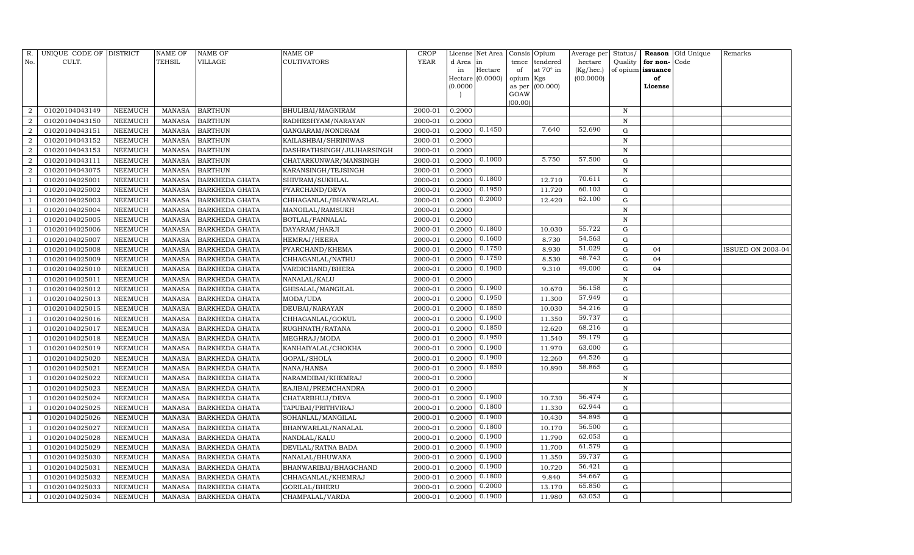| R.             | UNIQUE CODE OF DISTRICT |                | <b>NAME OF</b> | NAME OF               | NAME OF                   | <b>CROP</b> |           | License Net Area |           | Consis Opium    | Average per | Status/     | Reason            | Old Unique | Remarks                  |
|----------------|-------------------------|----------------|----------------|-----------------------|---------------------------|-------------|-----------|------------------|-----------|-----------------|-------------|-------------|-------------------|------------|--------------------------|
| No.            | CULT.                   |                | TEHSIL         | VILLAGE               | <b>CULTIVATORS</b>        | <b>YEAR</b> | d Area in |                  | tence     | tendered        | hectare     | Quality     | for non-          | Code       |                          |
|                |                         |                |                |                       |                           |             | in        | Hectare          | of        | at 70° in       | (Kg/hec.)   |             | of opium issuance |            |                          |
|                |                         |                |                |                       |                           |             | (0.0000)  | Hectare (0.0000) | opium Kgs | as per (00.000) | (00.0000)   |             | of<br>License     |            |                          |
|                |                         |                |                |                       |                           |             |           |                  | GOAW      |                 |             |             |                   |            |                          |
|                |                         |                |                |                       |                           |             |           |                  | (00.00)   |                 |             |             |                   |            |                          |
|                | 01020104043149          | NEEMUCH        | MANASA         | <b>BARTHUN</b>        | BHULIBAI/MAGNIRAM         | 2000-01     | 0.2000    |                  |           |                 |             | N           |                   |            |                          |
| $\overline{2}$ | 01020104043150          | <b>NEEMUCH</b> | <b>MANASA</b>  | <b>BARTHUN</b>        | RADHESHYAM/NARAYAN        | 2000-01     | 0.2000    |                  |           |                 |             | N           |                   |            |                          |
| 2              | 01020104043151          | NEEMUCH        | <b>MANASA</b>  | <b>BARTHUN</b>        | GANGARAM/NONDRAM          | 2000-01     | 0.2000    | 0.1450           |           | 7.640           | 52.690      | G           |                   |            |                          |
| $\overline{2}$ | 01020104043152          | NEEMUCH        | MANASA         | <b>BARTHUN</b>        | KAILASHBAI/SHRINIWAS      | 2000-01     | 0.2000    |                  |           |                 |             | $\mathbf N$ |                   |            |                          |
| 2              | 01020104043153          | NEEMUCH        | <b>MANASA</b>  | <b>BARTHUN</b>        | DASHRATHSINGH/JUJHARSINGH | 2000-01     | 0.2000    |                  |           |                 |             | N           |                   |            |                          |
|                | 01020104043111          | NEEMUCH        | <b>MANASA</b>  | <b>BARTHUN</b>        | CHATARKUNWAR/MANSINGH     | 2000-01     | 0.2000    | 0.1000           |           | 5.750           | 57.500      | ${\rm G}$   |                   |            |                          |
| $\overline{2}$ | 01020104043075          | NEEMUCH        | <b>MANASA</b>  | <b>BARTHUN</b>        | KARANSINGH/TEJSINGH       | 2000-01     | 0.2000    |                  |           |                 |             | N           |                   |            |                          |
|                | 01020104025001          | NEEMUCH        | <b>MANASA</b>  | <b>BARKHEDA GHATA</b> | SHIVRAM/SUKHLAL           | 2000-01     | 0.2000    | 0.1800           |           | 12.710          | 70.611      | $\mathbf G$ |                   |            |                          |
|                | 01020104025002          | <b>NEEMUCH</b> | <b>MANASA</b>  | <b>BARKHEDA GHATA</b> | PYARCHAND/DEVA            | 2000-01     | 0.2000    | 0.1950           |           | 11.720          | 60.103      | $\mathbf G$ |                   |            |                          |
|                | 01020104025003          | NEEMUCH        | <b>MANASA</b>  | <b>BARKHEDA GHATA</b> | CHHAGANLAL/BHANWARLAL     | 2000-01     | 0.2000    | 0.2000           |           | 12.420          | 62.100      | ${\rm G}$   |                   |            |                          |
|                | 01020104025004          | NEEMUCH        | <b>MANASA</b>  | <b>BARKHEDA GHATA</b> | MANGILAL/RAMSUKH          | 2000-01     | 0.2000    |                  |           |                 |             | N           |                   |            |                          |
|                | 01020104025005          | NEEMUCH        | <b>MANASA</b>  | <b>BARKHEDA GHATA</b> | BOTLAL/PANNALAL           | 2000-01     | 0.2000    |                  |           |                 |             | N           |                   |            |                          |
|                | 01020104025006          | <b>NEEMUCH</b> | <b>MANASA</b>  | <b>BARKHEDA GHATA</b> | DAYARAM/HARJI             | 2000-01     | 0.2000    | 0.1800           |           | 10.030          | 55.722      | ${\rm G}$   |                   |            |                          |
|                | 01020104025007          | <b>NEEMUCH</b> | <b>MANASA</b>  | <b>BARKHEDA GHATA</b> | HEMRAJ/HEERA              | 2000-01     | 0.2000    | 0.1600           |           | 8.730           | 54.563      | G           |                   |            |                          |
|                | 01020104025008          | <b>NEEMUCH</b> | <b>MANASA</b>  | <b>BARKHEDA GHATA</b> | PYARCHAND/KHEMA           | 2000-01     | 0.2000    | 0.1750           |           | 8.930           | 51.029      | ${\rm G}$   | 04                |            | <b>ISSUED ON 2003-04</b> |
|                | 01020104025009          | <b>NEEMUCH</b> | <b>MANASA</b>  | <b>BARKHEDA GHATA</b> | CHHAGANLAL/NATHU          | 2000-01     | 0.2000    | 0.1750           |           | 8.530           | 48.743      | G           | 04                |            |                          |
|                | 01020104025010          | <b>NEEMUCH</b> | <b>MANASA</b>  | <b>BARKHEDA GHATA</b> | VARDICHAND/BHERA          | 2000-01     | 0.2000    | 0.1900           |           | 9.310           | 49.000      | $\mathbf G$ | 04                |            |                          |
|                | 01020104025011          | NEEMUCH        | <b>MANASA</b>  | <b>BARKHEDA GHATA</b> | NANALAL/KALU              | 2000-01     | 0.2000    |                  |           |                 |             | N           |                   |            |                          |
|                | 01020104025012          | NEEMUCH        | <b>MANASA</b>  | <b>BARKHEDA GHATA</b> | GHISALAL/MANGILAL         | 2000-01     | 0.2000    | 0.1900           |           | 10.670          | 56.158      | ${\rm G}$   |                   |            |                          |
|                | 01020104025013          | NEEMUCH        | <b>MANASA</b>  | <b>BARKHEDA GHATA</b> | MODA/UDA                  | 2000-01     | 0.2000    | 0.1950           |           | 11.300          | 57.949      | $\mathbf G$ |                   |            |                          |
|                | 01020104025015          | NEEMUCH        | <b>MANASA</b>  | <b>BARKHEDA GHATA</b> | DEUBAI/NARAYAN            | 2000-01     | 0.2000    | 0.1850           |           | 10.030          | 54.216      | ${\rm G}$   |                   |            |                          |
|                | 01020104025016          | NEEMUCH        | <b>MANASA</b>  | <b>BARKHEDA GHATA</b> | CHHAGANLAL/GOKUL          | 2000-01     | 0.2000    | 0.1900           |           | 11.350          | 59.737      | ${\rm G}$   |                   |            |                          |
|                | 01020104025017          | NEEMUCH        | <b>MANASA</b>  | <b>BARKHEDA GHATA</b> | RUGHNATH/RATANA           | 2000-01     | 0.2000    | 0.1850           |           | 12.620          | 68.216      | $\mathbf G$ |                   |            |                          |
|                | 01020104025018          | NEEMUCH        | <b>MANASA</b>  | <b>BARKHEDA GHATA</b> | MEGHRAJ/MODA              | 2000-01     | 0.2000    | 0.1950           |           | 11.540          | 59.179      | ${\rm G}$   |                   |            |                          |
|                | 01020104025019          | <b>NEEMUCH</b> | <b>MANASA</b>  | <b>BARKHEDA GHATA</b> | KANHAIYALAL/CHOKHA        | 2000-01     | 0.2000    | 0.1900           |           | 11.970          | 63.000      | ${\rm G}$   |                   |            |                          |
|                | 01020104025020          | NEEMUCH        | <b>MANASA</b>  | <b>BARKHEDA GHATA</b> | GOPAL/SHOLA               | 2000-01     | 0.2000    | 0.1900           |           | 12.260          | 64.526      | G           |                   |            |                          |
|                | 01020104025021          | NEEMUCH        | <b>MANASA</b>  | <b>BARKHEDA GHATA</b> | NANA/HANSA                | 2000-01     | 0.2000    | 0.1850           |           | 10.890          | 58.865      | $\mathbf G$ |                   |            |                          |
|                | 01020104025022          | <b>NEEMUCH</b> | <b>MANASA</b>  | <b>BARKHEDA GHATA</b> | NARAMDIBAI/KHEMRAJ        | 2000-01     | 0.2000    |                  |           |                 |             | $\mathbf N$ |                   |            |                          |
|                | 01020104025023          | NEEMUCH        | <b>MANASA</b>  | <b>BARKHEDA GHATA</b> | EAJIBAI/PREMCHANDRA       | 2000-01     | 0.2000    |                  |           |                 |             | N           |                   |            |                          |
|                | 01020104025024          | <b>NEEMUCH</b> | <b>MANASA</b>  | <b>BARKHEDA GHATA</b> | CHATARBHUJ/DEVA           | 2000-01     | 0.2000    | 0.1900           |           | 10.730          | 56.474      | ${\rm G}$   |                   |            |                          |
|                | 01020104025025          | NEEMUCH        | MANASA         | <b>BARKHEDA GHATA</b> | TAPUBAI/PRITHVIRAJ        | 2000-01     | 0.2000    | 0.1800           |           | 11.330          | 62.944      | $\mathbf G$ |                   |            |                          |
|                | 01020104025026          | NEEMUCH        | <b>MANASA</b>  | <b>BARKHEDA GHATA</b> | SOHANLAL/MANGILAL         | 2000-01     | 0.2000    | 0.1900           |           | 10.430          | 54.895      | G           |                   |            |                          |
|                | 01020104025027          | <b>NEEMUCH</b> | <b>MANASA</b>  | BARKHEDA GHATA        | BHANWARLAL/NANALAL        | 2000-01     | 0.2000    | 0.1800           |           | 10.170          | 56.500      | G           |                   |            |                          |
|                | 01020104025028          | NEEMUCH        | <b>MANASA</b>  | BARKHEDA GHATA        | NANDLAL/KALU              | 2000-01     | 0.2000    | 0.1900           |           | 11.790          | 62.053      | G           |                   |            |                          |
|                | 01020104025029          | NEEMUCH        | <b>MANASA</b>  | <b>BARKHEDA GHATA</b> | DEVILAL/RATNA BADA        | 2000-01     | 0.2000    | 0.1900           |           | 11.700          | 61.579      | G           |                   |            |                          |
|                | 01020104025030          | <b>NEEMUCH</b> | <b>MANASA</b>  | <b>BARKHEDA GHATA</b> | NANALAL/BHUWANA           | 2000-01     | 0.2000    | 0.1900           |           | 11.350          | 59.737      | $\mathbf G$ |                   |            |                          |
|                | 01020104025031          | NEEMUCH        | <b>MANASA</b>  | <b>BARKHEDA GHATA</b> | BHANWARIBAI/BHAGCHAND     | 2000-01     | 0.2000    | 0.1900           |           | 10.720          | 56.421      | G           |                   |            |                          |
|                | 01020104025032          | NEEMUCH        | <b>MANASA</b>  | <b>BARKHEDA GHATA</b> | CHHAGANLAL/KHEMRAJ        | 2000-01     | 0.2000    | 0.1800           |           | 9.840           | 54.667      | $\mathbf G$ |                   |            |                          |
|                | 01020104025033          | NEEMUCH        | <b>MANASA</b>  | <b>BARKHEDA GHATA</b> | GORILAL/BHERU             | 2000-01     | 0.2000    | 0.2000           |           | 13.170          | 65.850      | $\mathbf G$ |                   |            |                          |
|                | 01020104025034          | NEEMUCH        |                | MANASA BARKHEDA GHATA | CHAMPALAL/VARDA           | 2000-01     | 0.2000    | 0.1900           |           | 11.980          | 63.053      | G           |                   |            |                          |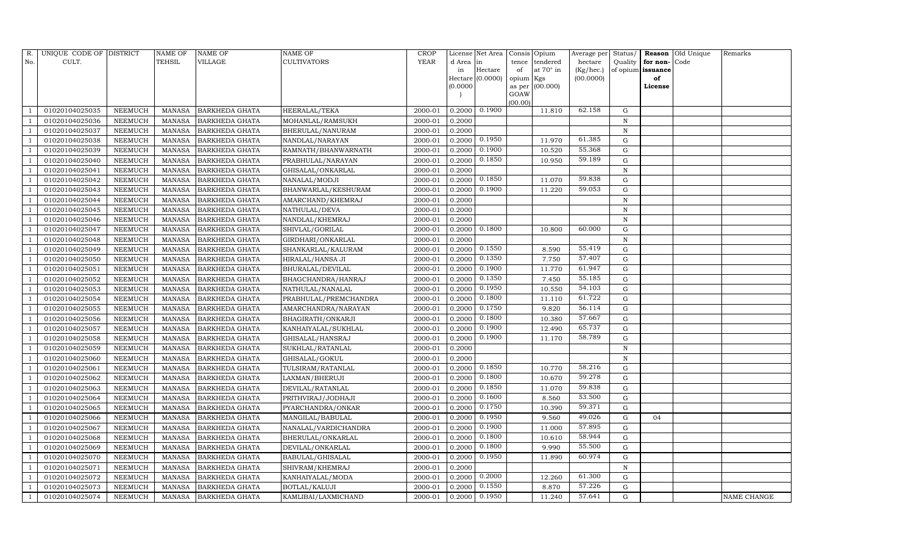| R.  | UNIQUE CODE OF DISTRICT |                | <b>NAME OF</b> | NAME OF               | <b>NAME OF</b>        | <b>CROP</b> |           | License Net Area |           | Consis Opium     | Average per | Status/     |                   | Reason Old Unique | Remarks     |
|-----|-------------------------|----------------|----------------|-----------------------|-----------------------|-------------|-----------|------------------|-----------|------------------|-------------|-------------|-------------------|-------------------|-------------|
| No. | CULT.                   |                | TEHSIL         | VILLAGE               | <b>CULTIVATORS</b>    | <b>YEAR</b> | d Area in |                  | tence     | tendered         | hectare     | Quality     | for non-          | Code              |             |
|     |                         |                |                |                       |                       |             | in        | Hectare          | of        | at $70^\circ$ in | (Kg/hec.)   |             | of opium issuance |                   |             |
|     |                         |                |                |                       |                       |             |           | Hectare (0.0000) | opium Kgs |                  | (00.0000)   |             | of                |                   |             |
|     |                         |                |                |                       |                       |             | (0.0000)  |                  | GOAW      | as per (00.000)  |             |             | License           |                   |             |
|     |                         |                |                |                       |                       |             |           |                  | (00.00)   |                  |             |             |                   |                   |             |
|     | 01020104025035          | NEEMUCH        | MANASA         | <b>BARKHEDA GHATA</b> | <b>HEERALAL/TEKA</b>  | 2000-01     | 0.2000    | 0.1900           |           | 11.810           | 62.158      | G           |                   |                   |             |
|     | 01020104025036          | <b>NEEMUCH</b> | MANASA         | <b>BARKHEDA GHATA</b> | MOHANLAL/RAMSUKH      | 2000-01     | 0.2000    |                  |           |                  |             | N           |                   |                   |             |
|     | 01020104025037          | NEEMUCH        | MANASA         | <b>BARKHEDA GHATA</b> | BHERULAL/NANURAM      | 2000-01     | 0.2000    |                  |           |                  |             | N           |                   |                   |             |
|     | 01020104025038          | NEEMUCH        | MANASA         | <b>BARKHEDA GHATA</b> | NANDLAL/NARAYAN       | 2000-01     | 0.2000    | 0.1950           |           | 11.970           | 61.385      | ${\rm G}$   |                   |                   |             |
|     | 01020104025039          | NEEMUCH        | <b>MANASA</b>  | <b>BARKHEDA GHATA</b> | RAMNATH/BHANWARNATH   | 2000-01     | 0.2000    | 0.1900           |           | 10.520           | 55.368      | ${\rm G}$   |                   |                   |             |
|     | 01020104025040          | NEEMUCH        | <b>MANASA</b>  | <b>BARKHEDA GHATA</b> | PRABHULAL/NARAYAN     | 2000-01     | 0.2000    | 0.1850           |           | 10.950           | 59.189      | ${\rm G}$   |                   |                   |             |
|     | 01020104025041          | NEEMUCH        | <b>MANASA</b>  | <b>BARKHEDA GHATA</b> | GHISALAL/ONKARLAL     | 2000-01     | 0.2000    |                  |           |                  |             | N           |                   |                   |             |
|     | 01020104025042          | NEEMUCH        | <b>MANASA</b>  | <b>BARKHEDA GHATA</b> | NANALAL/MODJI         | 2000-01     | 0.2000    | 0.1850           |           | 11.070           | 59.838      | $\mathbf G$ |                   |                   |             |
|     | 01020104025043          | NEEMUCH        | <b>MANASA</b>  | <b>BARKHEDA GHATA</b> | BHANWARLAL/KESHURAM   | 2000-01     | 0.2000    | 0.1900           |           | 11.220           | 59.053      | $\mathbf G$ |                   |                   |             |
|     | 01020104025044          | NEEMUCH        | <b>MANASA</b>  | <b>BARKHEDA GHATA</b> | AMARCHAND/KHEMRAJ     | 2000-01     | 0.2000    |                  |           |                  |             | $\mathbf N$ |                   |                   |             |
|     | 01020104025045          | NEEMUCH        | <b>MANASA</b>  | <b>BARKHEDA GHATA</b> | NATHULAL/DEVA         | 2000-01     | 0.2000    |                  |           |                  |             | N           |                   |                   |             |
|     | 01020104025046          | NEEMUCH        | <b>MANASA</b>  | <b>BARKHEDA GHATA</b> | NANDLAL/KHEMRAJ       | 2000-01     | 0.2000    |                  |           |                  |             | N           |                   |                   |             |
|     | 01020104025047          | <b>NEEMUCH</b> | <b>MANASA</b>  | <b>BARKHEDA GHATA</b> | SHIVLAL/GORILAL       | 2000-01     | 0.2000    | 0.1800           |           | 10.800           | 60.000      | $\mathbf G$ |                   |                   |             |
|     | 01020104025048          | NEEMUCH        | <b>MANASA</b>  | <b>BARKHEDA GHATA</b> | GIRDHARI/ONKARLAL     | 2000-01     | 0.2000    |                  |           |                  |             | N           |                   |                   |             |
|     | 01020104025049          | NEEMUCH        | <b>MANASA</b>  | <b>BARKHEDA GHATA</b> | SHANKARLAL/KALURAM    | 2000-01     | 0.2000    | 0.1550           |           | 8.590            | 55.419      | ${\rm G}$   |                   |                   |             |
|     | 01020104025050          | NEEMUCH        | <b>MANASA</b>  | <b>BARKHEDA GHATA</b> | HIRALAL/HANSA JI      | 2000-01     | 0.2000    | 0.1350           |           | 7.750            | 57.407      | G           |                   |                   |             |
|     | 01020104025051          | <b>NEEMUCH</b> | <b>MANASA</b>  | <b>BARKHEDA GHATA</b> | BHURALAL/DEVILAL      | 2000-01     | 0.2000    | 0.1900           |           | 11.770           | 61.947      | $\mathbf G$ |                   |                   |             |
|     | 01020104025052          | NEEMUCH        | <b>MANASA</b>  | <b>BARKHEDA GHATA</b> | BHAGCHANDRA/HANRAJ    | 2000-01     | 0.2000    | 0.1350           |           | 7.450            | 55.185      | G           |                   |                   |             |
|     | 01020104025053          | <b>NEEMUCH</b> | <b>MANASA</b>  | <b>BARKHEDA GHATA</b> | NATHULAL/NANALAL      | 2000-01     | 0.2000    | 0.1950           |           | 10.550           | 54.103      | ${\rm G}$   |                   |                   |             |
|     | 01020104025054          | NEEMUCH        | <b>MANASA</b>  | <b>BARKHEDA GHATA</b> | PRABHULAL/PREMCHANDRA | 2000-01     | 0.2000    | 0.1800           |           | 11.110           | 61.722      | $\mathbf G$ |                   |                   |             |
|     | 01020104025055          | NEEMUCH        | <b>MANASA</b>  | <b>BARKHEDA GHATA</b> | AMARCHANDRA/NARAYAN   | 2000-01     | 0.2000    | 0.1750           |           | 9.820            | 56.114      | ${\rm G}$   |                   |                   |             |
|     | 01020104025056          | NEEMUCH        | <b>MANASA</b>  | <b>BARKHEDA GHATA</b> | BHAGIRATH/ONKARJI     | 2000-01     | 0.2000    | 0.1800           |           | 10.380           | 57.667      | ${\rm G}$   |                   |                   |             |
|     | 01020104025057          | NEEMUCH        | <b>MANASA</b>  | <b>BARKHEDA GHATA</b> | KANHAIYALAL/SUKHLAL   | 2000-01     | 0.2000    | 0.1900           |           | 12.490           | 65.737      | G           |                   |                   |             |
|     | 01020104025058          | NEEMUCH        | <b>MANASA</b>  | <b>BARKHEDA GHATA</b> | GHISALAL/HANSRAJ      | 2000-01     | 0.2000    | 0.1900           |           | 11.170           | 58.789      | G           |                   |                   |             |
|     | 01020104025059          | <b>NEEMUCH</b> | <b>MANASA</b>  | <b>BARKHEDA GHATA</b> | SUKHLAL/RATANLAL      | 2000-01     | 0.2000    |                  |           |                  |             | $\mathbf N$ |                   |                   |             |
|     | 01020104025060          | NEEMUCH        | <b>MANASA</b>  | <b>BARKHEDA GHATA</b> | GHISALAL/GOKUL        | 2000-01     | 0.2000    |                  |           |                  |             | N           |                   |                   |             |
|     | 01020104025061          | NEEMUCH        | <b>MANASA</b>  | <b>BARKHEDA GHATA</b> | TULSIRAM/RATANLAL     | 2000-01     | 0.2000    | 0.1850           |           | 10.770           | 58.216      | $\mathbf G$ |                   |                   |             |
|     | 01020104025062          | <b>NEEMUCH</b> | <b>MANASA</b>  | <b>BARKHEDA GHATA</b> | LAXMAN/BHERUJI        | 2000-01     | 0.2000    | 0.1800           |           | 10.670           | 59.278      | $\mathbf G$ |                   |                   |             |
|     | 01020104025063          | NEEMUCH        | <b>MANASA</b>  | BARKHEDA GHATA        | DEVILAL/RATANLAL      | 2000-01     | 0.2000    | 0.1850           |           | 11.070           | 59.838      | G           |                   |                   |             |
|     | 01020104025064          | <b>NEEMUCH</b> | <b>MANASA</b>  | <b>BARKHEDA GHATA</b> | PRITHVIRAJ/JODHAJI    | 2000-01     | 0.2000    | 0.1600           |           | 8.560            | 53.500      | ${\rm G}$   |                   |                   |             |
|     | 01020104025065          | NEEMUCH        | MANASA         | <b>BARKHEDA GHATA</b> | PYARCHANDRA/ONKAR     | 2000-01     | 0.2000    | 0.1750           |           | 10.390           | 59.371      | $\mathbf G$ |                   |                   |             |
|     | 01020104025066          | NEEMUCH        | <b>MANASA</b>  | <b>BARKHEDA GHATA</b> | MANGILAL/BABULAL      | 2000-01     | 0.2000    | 0.1950           |           | 9.560            | 49.026      | G           | 04                |                   |             |
|     | 01020104025067          | <b>NEEMUCH</b> | <b>MANASA</b>  | <b>BARKHEDA GHATA</b> | NANALAL/VARDICHANDRA  | 2000-01     | 0.2000    | 0.1900           |           | 11.000           | 57.895      | G           |                   |                   |             |
|     | 01020104025068          | NEEMUCH        | <b>MANASA</b>  | BARKHEDA GHATA        | BHERULAL/ONKARLAL     | 2000-01     | 0.2000    | 0.1800           |           | 10.610           | 58.944      | G           |                   |                   |             |
|     | 01020104025069          | NEEMUCH        | <b>MANASA</b>  | <b>BARKHEDA GHATA</b> | DEVILAL/ONKARLAL      | 2000-01     | 0.2000    | 0.1800           |           | 9.990            | 55.500      | G           |                   |                   |             |
|     | 01020104025070          | <b>NEEMUCH</b> | <b>MANASA</b>  | <b>BARKHEDA GHATA</b> | BABULAL/GHISALAL      | 2000-01     | 0.2000    | 0.1950           |           | 11.890           | 60.974      | ${\rm G}$   |                   |                   |             |
|     | 01020104025071          | NEEMUCH        | <b>MANASA</b>  | <b>BARKHEDA GHATA</b> | SHIVRAM/KHEMRAJ       | 2000-01     | 0.2000    |                  |           |                  |             | $\,$ N      |                   |                   |             |
|     | 01020104025072          | NEEMUCH        | <b>MANASA</b>  | <b>BARKHEDA GHATA</b> | KANHAIYALAL/MODA      | 2000-01     | 0.2000    | 0.2000           |           | 12.260           | 61.300      | $\mathbf G$ |                   |                   |             |
|     | 01020104025073          | NEEMUCH        | <b>MANASA</b>  | <b>BARKHEDA GHATA</b> | <b>BOTLAL/KALUJI</b>  | 2000-01     | 0.2000    | 0.1550           |           | 8.870            | 57.226      | $\mathbf G$ |                   |                   |             |
|     | 01020104025074          | NEEMUCH        |                | MANASA BARKHEDA GHATA | KAMLIBAI/LAXMICHAND   | 2000-01     | 0.2000    | 0.1950           |           | 11.240           | 57.641      | G           |                   |                   | NAME CHANGE |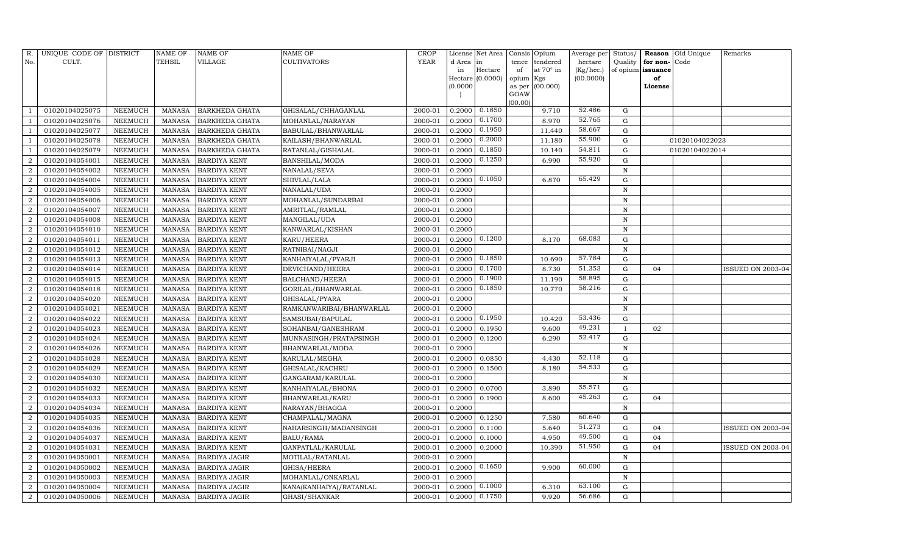| R.                          | UNIQUE CODE OF DISTRICT |                | NAME OF       | NAME OF               | NAME OF                   | CROP        |           | License Net Area   | Consis          | Opium           | Average per | Status/      | Reason            | Old Unique     | Remarks                  |
|-----------------------------|-------------------------|----------------|---------------|-----------------------|---------------------------|-------------|-----------|--------------------|-----------------|-----------------|-------------|--------------|-------------------|----------------|--------------------------|
| No.                         | CULT.                   |                | TEHSIL        | VILLAGE               | <b>CULTIVATORS</b>        | <b>YEAR</b> | d Area in |                    | tence           | tendered        | hectare     | Quality      | for non-          | Code           |                          |
|                             |                         |                |               |                       |                           |             | in        | $\rm{Hectare}$     | of              | at 70° in       | (Kg/hec.)   |              | of opium issuance |                |                          |
|                             |                         |                |               |                       |                           |             | (0.0000)  | Hectare $(0.0000)$ | opium<br>as per | Kgs<br>(00.000) | (00.0000)   |              | of<br>License     |                |                          |
|                             |                         |                |               |                       |                           |             |           |                    | GOAW            |                 |             |              |                   |                |                          |
|                             |                         |                |               |                       |                           |             |           |                    | (00.00)         |                 |             |              |                   |                |                          |
|                             | 01020104025075          | NEEMUCH        | MANASA        | <b>BARKHEDA GHATA</b> | GHISALAL/CHHAGANLAL       | 2000-01     | 0.2000    | 0.1850             |                 | 9.710           | 52.486      | G            |                   |                |                          |
|                             | 01020104025076          | NEEMUCH        | <b>MANASA</b> | <b>BARKHEDA GHATA</b> | MOHANLAL/NARAYAN          | 2000-01     | 0.2000    | 0.1700             |                 | 8.970           | 52.765      | G            |                   |                |                          |
|                             | 01020104025077          | NEEMUCH        | <b>MANASA</b> | <b>BARKHEDA GHATA</b> | BABULAL/BHANWARLAL        | 2000-01     | 0.2000    | 0.1950             |                 | 11.440          | 58.667      | G            |                   |                |                          |
|                             | 01020104025078          | NEEMUCH        | <b>MANASA</b> | <b>BARKHEDA GHATA</b> | KAILASH/BHANWARLAL        | 2000-01     | 0.2000    | 0.2000             |                 | 11.180          | 55.900      | ${\rm G}$    |                   | 01020104022023 |                          |
|                             | 01020104025079          | <b>NEEMUCH</b> | <b>MANASA</b> | <b>BARKHEDA GHATA</b> | RATANLAL/GISHALAL         | 2000-01     | 0.2000    | 0.1850             |                 | 10.140          | 54.811      | $\mathbf G$  |                   | 01020104022014 |                          |
|                             | 01020104054001          | NEEMUCH        | <b>MANASA</b> | <b>BARDIYA KENT</b>   | BANSHILAL/MODA            | 2000-01     | 0.2000    | 0.1250             |                 | 6.990           | 55.920      | $\mathbf G$  |                   |                |                          |
| $\overline{2}$              | 01020104054002          | NEEMUCH        | <b>MANASA</b> | <b>BARDIYA KENT</b>   | NANALAL/SEVA              | 2000-01     | 0.2000    |                    |                 |                 |             | N            |                   |                |                          |
| $\overline{2}$              | 01020104054004          | NEEMUCH        | <b>MANASA</b> | <b>BARDIYA KENT</b>   | SHIVLAL/LALA              | 2000-01     | 0.2000    | 0.1050             |                 | 6.870           | 65.429      | ${\rm G}$    |                   |                |                          |
| $\mathcal{D}$               | 01020104054005          | NEEMUCH        | <b>MANASA</b> | <b>BARDIYA KENT</b>   | NANALAL/UDA               | 2000-01     | 0.2000    |                    |                 |                 |             | $\mathbf N$  |                   |                |                          |
|                             | 01020104054006          | NEEMUCH        | <b>MANASA</b> | <b>BARDIYA KENT</b>   | MOHANLAL/SUNDARBAI        | 2000-01     | 0.2000    |                    |                 |                 |             | $\mathbf N$  |                   |                |                          |
| $\mathcal{D}_{\mathcal{L}}$ | 01020104054007          | NEEMUCH        | <b>MANASA</b> | <b>BARDIYA KENT</b>   | AMRITLAL/RAMLAL           | 2000-01     | 0.2000    |                    |                 |                 |             | N            |                   |                |                          |
| $\overline{2}$              | 01020104054008          | NEEMUCH        | <b>MANASA</b> | <b>BARDIYA KENT</b>   | MANGILAL/UDA              | 2000-01     | 0.2000    |                    |                 |                 |             | N            |                   |                |                          |
| $\overline{2}$              | 01020104054010          | NEEMUCH        | <b>MANASA</b> | <b>BARDIYA KENT</b>   | KANWARLAL/KISHAN          | 2000-01     | 0.2000    |                    |                 |                 |             | $\mathbf N$  |                   |                |                          |
| $\overline{2}$              | 01020104054011          | NEEMUCH        | <b>MANASA</b> | <b>BARDIYA KENT</b>   | KARU/HEERA                | 2000-01     | 0.2000    | 0.1200             |                 | 8.170           | 68.083      | G            |                   |                |                          |
| $\mathcal{D}$               | 01020104054012          | NEEMUCH        | <b>MANASA</b> | <b>BARDIYA KENT</b>   | RATNIBAI/NAGJI            | 2000-01     | 0.2000    |                    |                 |                 |             | N            |                   |                |                          |
| 2                           | 01020104054013          | NEEMUCH        | MANASA        | <b>BARDIYA KENT</b>   | KANHAIYALAL/PYARJI        | 2000-01     | 0.2000    | 0.1850             |                 | 10.690          | 57.784      | ${\rm G}$    |                   |                |                          |
| $\mathcal{D}$               | 01020104054014          | NEEMUCH        | <b>MANASA</b> | <b>BARDIYA KENT</b>   | DEVICHAND/HEERA           | 2000-01     | 0.2000    | 0.1700             |                 | 8.730           | 51.353      | G            | 04                |                | <b>ISSUED ON 2003-04</b> |
|                             | 01020104054015          | NEEMUCH        | <b>MANASA</b> | <b>BARDIYA KENT</b>   | <b>BALCHAND/HEERA</b>     | 2000-01     | 0.2000    | 0.1900             |                 | 11.190          | 58.895      | G            |                   |                |                          |
| $\overline{2}$              | 01020104054018          | NEEMUCH        | <b>MANASA</b> | <b>BARDIYA KENT</b>   | GORILAL/BHANWARLAL        | 2000-01     | 0.2000    | 0.1850             |                 | 10.770          | 58.216      | G            |                   |                |                          |
| $\mathcal{D}$               | 01020104054020          | NEEMUCH        | MANASA        | <b>BARDIYA KENT</b>   | GHISALAL/PYARA            | 2000-01     | 0.2000    |                    |                 |                 |             | N            |                   |                |                          |
|                             | 01020104054021          | NEEMUCH        | <b>MANASA</b> | <b>BARDIYA KENT</b>   | RAMKANWARIBAI/BHANWARLAL  | 2000-01     | 0.2000    |                    |                 |                 |             | $\mathbf N$  |                   |                |                          |
| 2                           | 01020104054022          | NEEMUCH        | <b>MANASA</b> | <b>BARDIYA KENT</b>   | SAMSUBAI/BAPULAL          | 2000-01     | 0.2000    | 0.1950             |                 | 10.420          | 53.436      | G            |                   |                |                          |
| $\overline{2}$              | 01020104054023          | NEEMUCH        | <b>MANASA</b> | <b>BARDIYA KENT</b>   | SOHANBAI/GANESHRAM        | 2000-01     | 0.2000    | 0.1950             |                 | 9.600           | 49.231      | $\mathbf{I}$ | 02                |                |                          |
| $\overline{2}$              | 01020104054024          | NEEMUCH        | <b>MANASA</b> | <b>BARDIYA KENT</b>   | MUNNASINGH/PRATAPSINGH    | 2000-01     | 0.2000    | 0.1200             |                 | 6.290           | 52.417      | ${\rm G}$    |                   |                |                          |
|                             | 01020104054026          | <b>NEEMUCH</b> | <b>MANASA</b> | <b>BARDIYA KENT</b>   | BHANWARLAL/MODA           | 2000-01     | 0.2000    |                    |                 |                 |             | $\mathbf N$  |                   |                |                          |
| $\overline{2}$              | 01020104054028          | NEEMUCH        | <b>MANASA</b> | <b>BARDIYA KENT</b>   | KARULAL/MEGHA             | 2000-01     | 0.2000    | 0.0850             |                 | 4.430           | 52.118      | G            |                   |                |                          |
| 2                           | 01020104054029          | NEEMUCH        | <b>MANASA</b> | <b>BARDIYA KENT</b>   | GHISALAL/KACHRU           | 2000-01     | 0.2000    | 0.1500             |                 | 8.180           | 54.533      | ${\rm G}$    |                   |                |                          |
| $\overline{2}$              | 01020104054030          | <b>NEEMUCH</b> | <b>MANASA</b> | <b>BARDIYA KENT</b>   | GANGARAM/KARULAL          | 2000-01     | 0.2000    |                    |                 |                 |             | $\mathbf N$  |                   |                |                          |
| $\overline{2}$              | 01020104054032          | NEEMUCH        | <b>MANASA</b> | <b>BARDIYA KENT</b>   | KANHAIYALAL/BHONA         | 2000-01     | 0.2000    | 0.0700             |                 | 3.890           | 55.571      | G            |                   |                |                          |
| $\overline{2}$              | 01020104054033          | <b>NEEMUCH</b> | <b>MANASA</b> | <b>BARDIYA KENT</b>   | BHANWARLAL/KARU           | 2000-01     | 0.2000    | 0.1900             |                 | 8.600           | 45.263      | ${\rm G}$    | 04                |                |                          |
| $\overline{2}$              | 01020104054034          | NEEMUCH        | <b>MANASA</b> | <b>BARDIYA KENT</b>   | NARAYAN/BHAGGA            | 2000-01     | 0.2000    |                    |                 |                 |             | $\mathbf N$  |                   |                |                          |
| $\overline{2}$              | 01020104054035          | <b>NEEMUCH</b> | <b>MANASA</b> | <b>BARDIYA KENT</b>   | CHAMPALAL/MAGNA           | 2000-01     | 0.2000    | 0.1250             |                 | 7.580           | 60.640      | $\mathbf G$  |                   |                |                          |
| $\overline{2}$              | 01020104054036          | NEEMUCH        | <b>MANASA</b> | <b>BARDIYA KENT</b>   | NAHARSINGH/MADANSINGH     | 2000-01     | 0.2000    | 0.1100             |                 | 5.640           | 51.273      | ${\rm G}$    | 04                |                | <b>ISSUED ON 2003-04</b> |
| $\overline{2}$              | 01020104054037          | NEEMUCH        | <b>MANASA</b> | <b>BARDIYA KENT</b>   | <b>BALU/RAMA</b>          | 2000-01     | 0.2000    | 0.1000             |                 | 4.950           | 49.500      | ${\rm G}$    | 04                |                |                          |
| 2                           | 01020104054031          | NEEMUCH        | <b>MANASA</b> | <b>BARDIYA KENT</b>   | GANPATLAL/KARULAL         | 2000-01     | 0.2000    | 0.2000             |                 | 10.390          | 51.950      | G            | 04                |                | ISSUED ON 2003-04        |
|                             | 01020104050001          | NEEMUCH        | <b>MANASA</b> | <b>BARDIYA JAGIR</b>  | MOTILAL/RATANLAL          | 2000-01     | 0.2000    |                    |                 |                 |             | $\mathbf N$  |                   |                |                          |
| $\overline{2}$              | 01020104050002          | NEEMUCH        | <b>MANASA</b> | <b>BARDIYA JAGIR</b>  | GHISA/HEERA               | 2000-01     | 0.2000    | 0.1650             |                 | 9.900           | 60.000      | G            |                   |                |                          |
| 2                           | 01020104050003          | NEEMUCH        | <b>MANASA</b> | <b>BARDIYA JAGIR</b>  | MOHANLAL/ONKARLAL         | 2000-01     | 0.2000    |                    |                 |                 |             | $\mathbf N$  |                   |                |                          |
| $\overline{2}$              | 01020104050004          | NEEMUCH        | <b>MANASA</b> | <b>BARDIYA JAGIR</b>  | KANA(KANHAIYA) / RATANLAL | 2000-01     | 0.2000    | 0.1000             |                 | 6.310           | 63.100      | $\mathbf G$  |                   |                |                          |
| $\overline{2}$              | 01020104050006          | NEEMUCH        | MANASA        | <b>BARDIYA JAGIR</b>  | GHASI/SHANKAR             | 2000-01     | 0.2000    | 0.1750             |                 | 9.920           | 56.686      | G            |                   |                |                          |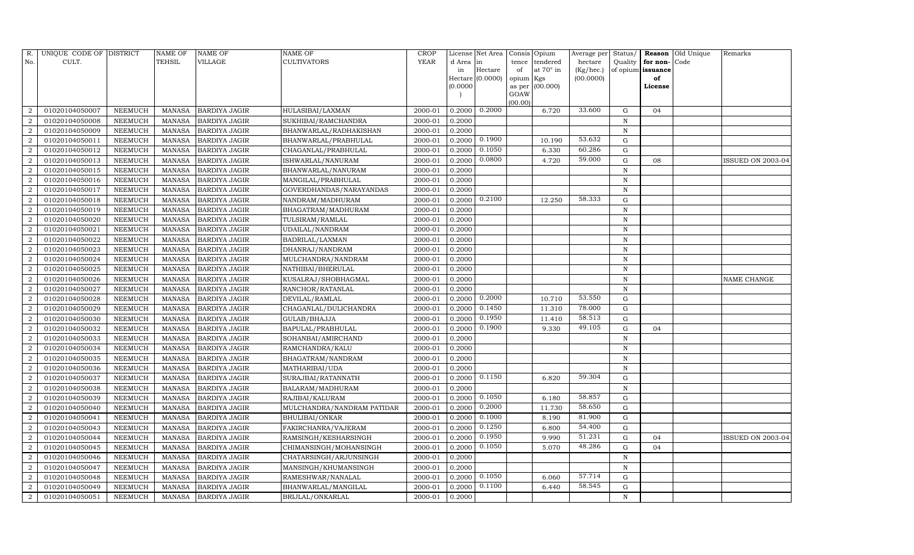| R.             | UNIQUE CODE OF DISTRICT |                | <b>NAME OF</b> | <b>NAME OF</b>       | <b>NAME OF</b>             | CROP        |           | License Net Area |                | Consis Opium     | Average per | Status/     | Reason            | Old Unique | Remarks                  |
|----------------|-------------------------|----------------|----------------|----------------------|----------------------------|-------------|-----------|------------------|----------------|------------------|-------------|-------------|-------------------|------------|--------------------------|
| No.            | CULT.                   |                | <b>TEHSIL</b>  | VILLAGE              | <b>CULTIVATORS</b>         | <b>YEAR</b> | d Area in |                  | tence          | tendered         | hectare     | Quality     | for non-          | Code       |                          |
|                |                         |                |                |                      |                            |             | in        | Hectare          | of             | at $70^\circ$ in | (Kg/hec.)   |             | of opium issuance |            |                          |
|                |                         |                |                |                      |                            |             | (0.0000)  | Hectare (0.0000) | opium Kgs      |                  | (00.0000)   |             | of                |            |                          |
|                |                         |                |                |                      |                            |             |           |                  | as per<br>GOAW | (00.000)         |             |             | License           |            |                          |
|                |                         |                |                |                      |                            |             |           |                  | (00.00)        |                  |             |             |                   |            |                          |
| $\overline{2}$ | 01020104050007          | NEEMUCH        | MANASA         | <b>BARDIYA JAGIR</b> | HULASIBAI/LAXMAN           | 2000-01     | 0.2000    | 0.2000           |                | 6.720            | 33.600      | G           | 04                |            |                          |
| $\overline{2}$ | 01020104050008          | NEEMUCH        | MANASA         | <b>BARDIYA JAGIR</b> | SUKHIBAI/RAMCHANDRA        | 2000-01     | 0.2000    |                  |                |                  |             | N           |                   |            |                          |
| $\overline{2}$ | 01020104050009          | NEEMUCH        | MANASA         | <b>BARDIYA JAGIR</b> | BHANWARLAL/RADHAKISHAN     | 2000-01     | 0.2000    |                  |                |                  |             | N           |                   |            |                          |
| $\overline{2}$ | 01020104050011          | <b>NEEMUCH</b> | MANASA         | <b>BARDIYA JAGIR</b> | BHANWARLAL/PRABHULAL       | 2000-01     | 0.2000    | 0.1900           |                | 10.190           | 53.632      | G           |                   |            |                          |
| $\overline{2}$ | 01020104050012          | NEEMUCH        | MANASA         | <b>BARDIYA JAGIR</b> | CHAGANLAL/PRABHULAL        | 2000-01     | 0.2000    | 0.1050           |                | 6.330            | 60.286      | $\mathbf G$ |                   |            |                          |
| $\overline{2}$ | 01020104050013          | NEEMUCH        | <b>MANASA</b>  | BARDIYA JAGIR        | ISHWARLAL/NANURAM          | 2000-01     | 0.2000    | 0.0800           |                | 4.720            | 59.000      | ${\rm G}$   | 08                |            | ISSUED ON 2003-04        |
| $\overline{2}$ | 01020104050015          | <b>NEEMUCH</b> | <b>MANASA</b>  | <b>BARDIYA JAGIR</b> | BHANWARLAL/NANURAM         | 2000-01     | 0.2000    |                  |                |                  |             | N           |                   |            |                          |
| $\overline{2}$ | 01020104050016          | NEEMUCH        | MANASA         | <b>BARDIYA JAGIR</b> | MANGILAL/PRABHULAL         | 2000-01     | 0.2000    |                  |                |                  |             | N           |                   |            |                          |
| $\overline{2}$ | 01020104050017          | NEEMUCH        | MANASA         | <b>BARDIYA JAGIR</b> | GOVERDHANDAS/NARAYANDAS    | 2000-01     | 0.2000    |                  |                |                  |             | N           |                   |            |                          |
| $\overline{2}$ | 01020104050018          | NEEMUCH        | MANASA         | <b>BARDIYA JAGIR</b> | NANDRAM/MADHURAM           | 2000-01     | 0.2000    | 0.2100           |                | 12.250           | 58.333      | $\mathbf G$ |                   |            |                          |
| $\overline{a}$ | 01020104050019          | <b>NEEMUCH</b> | <b>MANASA</b>  | <b>BARDIYA JAGIR</b> | BHAGATRAM/MADHURAM         | 2000-01     | 0.2000    |                  |                |                  |             | $\,$ N      |                   |            |                          |
| $\overline{2}$ | 01020104050020          | NEEMUCH        | MANASA         | <b>BARDIYA JAGIR</b> | TULSIRAM/RAMLAL            | 2000-01     | 0.2000    |                  |                |                  |             | N           |                   |            |                          |
| $\overline{2}$ | 01020104050021          | NEEMUCH        | MANASA         | <b>BARDIYA JAGIR</b> | <b>UDAILAL/NANDRAM</b>     | 2000-01     | 0.2000    |                  |                |                  |             | N           |                   |            |                          |
| $\overline{2}$ | 01020104050022          | <b>NEEMUCH</b> | MANASA         | <b>BARDIYA JAGIR</b> | BADRILAL/LAXMAN            | 2000-01     | 0.2000    |                  |                |                  |             | $\,$ N      |                   |            |                          |
| $\overline{2}$ | 01020104050023          | NEEMUCH        | MANASA         | <b>BARDIYA JAGIR</b> | DHANRAJ/NANDRAM            | 2000-01     | 0.2000    |                  |                |                  |             | N           |                   |            |                          |
| $\overline{a}$ | 01020104050024          | NEEMUCH        | MANASA         | <b>BARDIYA JAGIR</b> | MULCHANDRA/NANDRAM         | 2000-01     | 0.2000    |                  |                |                  |             | $\,$ N      |                   |            |                          |
| $\overline{2}$ | 01020104050025          | <b>NEEMUCH</b> | <b>MANASA</b>  | <b>BARDIYA JAGIR</b> | NATHIBAI/BHERULAL          | 2000-01     | 0.2000    |                  |                |                  |             | N           |                   |            |                          |
| $\overline{2}$ | 01020104050026          | NEEMUCH        | MANASA         | <b>BARDIYA JAGIR</b> | KUSALRAJ/SHOBHAGMAL        | 2000-01     | 0.2000    |                  |                |                  |             | N           |                   |            | NAME CHANGE              |
| $\overline{a}$ | 01020104050027          | NEEMUCH        | MANASA         | <b>BARDIYA JAGIR</b> | RANCHOR/RATANLAL           | 2000-01     | 0.2000    |                  |                |                  |             | N           |                   |            |                          |
| $\overline{2}$ | 01020104050028          | <b>NEEMUCH</b> | MANASA         | <b>BARDIYA JAGIR</b> | DEVILAL/RAMLAL             | 2000-01     | 0.2000    | 0.2000           |                | 10.710           | 53.550      | G           |                   |            |                          |
| $\overline{2}$ | 01020104050029          | NEEMUCH        | <b>MANASA</b>  | <b>BARDIYA JAGIR</b> | CHAGANLAL/DULICHANDRA      | 2000-01     | 0.2000    | 0.1450           |                | 11.310           | 78.000      | ${\rm G}$   |                   |            |                          |
| $\overline{a}$ | 01020104050030          | <b>NEEMUCH</b> | <b>MANASA</b>  | <b>BARDIYA JAGIR</b> | GULAB/BHAJJA               | 2000-01     | 0.2000    | 0.1950           |                | 11.410           | 58.513      | G           |                   |            |                          |
| $\overline{2}$ | 01020104050032          | NEEMUCH        | MANASA         | <b>BARDIYA JAGIR</b> | BAPULAL/PRABHULAL          | 2000-01     | 0.2000    | 0.1900           |                | 9.330            | 49.105      | ${\rm G}$   | 04                |            |                          |
| $\overline{2}$ | 01020104050033          | <b>NEEMUCH</b> | MANASA         | <b>BARDIYA JAGIR</b> | SOHANBAI/AMIRCHAND         | 2000-01     | 0.2000    |                  |                |                  |             | N           |                   |            |                          |
| $\overline{2}$ | 01020104050034          | NEEMUCH        | <b>MANASA</b>  | <b>BARDIYA JAGIR</b> | RAMCHANDRA/KALU            | 2000-01     | 0.2000    |                  |                |                  |             | $\mathbf N$ |                   |            |                          |
| $\overline{2}$ | 01020104050035          | <b>NEEMUCH</b> | <b>MANASA</b>  | <b>BARDIYA JAGIR</b> | BHAGATRAM/NANDRAM          | 2000-01     | 0.2000    |                  |                |                  |             | N           |                   |            |                          |
| $\overline{2}$ | 01020104050036          | <b>NEEMUCH</b> | MANASA         | <b>BARDIYA JAGIR</b> | MATHARIBAI/UDA             | 2000-01     | 0.2000    |                  |                |                  |             | $\mathbf N$ |                   |            |                          |
| $\overline{2}$ | 01020104050037          | <b>NEEMUCH</b> | <b>MANASA</b>  | <b>BARDIYA JAGIR</b> | SURAJBAI/RATANNATH         | 2000-01     | 0.2000    | 0.1150           |                | 6.820            | 59.304      | $\mathbf G$ |                   |            |                          |
| $\overline{2}$ | 01020104050038          | NEEMUCH        | MANASA         | <b>BARDIYA JAGIR</b> | BALARAM/MADHURAM           | 2000-01     | 0.2000    |                  |                |                  |             | $\mathbf N$ |                   |            |                          |
| $\overline{2}$ | 01020104050039          | <b>NEEMUCH</b> | <b>MANASA</b>  | <b>BARDIYA JAGIR</b> | RAJIBAI/KALURAM            | 2000-01     | 0.2000    | 0.1050           |                | 6.180            | 58.857      | ${\rm G}$   |                   |            |                          |
| $\overline{2}$ | 01020104050040          | <b>NEEMUCH</b> | MANASA         | <b>BARDIYA JAGIR</b> | MULCHANDRA/NANDRAM PATIDAR | 2000-01     | 0.2000    | 0.2000           |                | 11.730           | 58.650      | $\mathbf G$ |                   |            |                          |
| $\overline{2}$ | 01020104050041          | NEEMUCH        | <b>MANASA</b>  | <b>BARDIYA JAGIR</b> | <b>BHULIBAI/ONKAR</b>      | 2000-01     | 0.2000    | 0.1000           |                | 8.190            | 81.900      | $\mathbf G$ |                   |            |                          |
| $\overline{2}$ | 01020104050043          | <b>NEEMUCH</b> | MANASA         | <b>BARDIYA JAGIR</b> | FAKIRCHANRA/VAJERAM        | 2000-01     | 0.2000    | 0.1250           |                | 6.800            | 54.400      | $\mathbf G$ |                   |            |                          |
| $\overline{2}$ | 01020104050044          | <b>NEEMUCH</b> | <b>MANASA</b>  | <b>BARDIYA JAGIR</b> | RAMSINGH/KESHARSINGH       | 2000-01     | 0.2000    | 0.1950           |                | 9.990            | 51.231      | ${\rm G}$   | 04                |            | <b>ISSUED ON 2003-04</b> |
| $\overline{2}$ | 01020104050045          | <b>NEEMUCH</b> | MANASA         | <b>BARDIYA JAGIR</b> | CHIMANSINGH/MOHANSINGH     | 2000-01     | 0.2000    | 0.1050           |                | 5.070            | 48.286      | ${\rm G}$   | 04                |            |                          |
| $\overline{2}$ | 01020104050046          | <b>NEEMUCH</b> | <b>MANASA</b>  | <b>BARDIYA JAGIR</b> | CHATARSINGH/ARJUNSINGH     | 2000-01     | 0.2000    |                  |                |                  |             | N           |                   |            |                          |
| 2              | 01020104050047          | <b>NEEMUCH</b> | MANASA         | <b>BARDIYA JAGIR</b> | MANSINGH/KHUMANSINGH       | 2000-01     | 0.2000    |                  |                |                  |             | N           |                   |            |                          |
| 2              | 01020104050048          | NEEMUCH        | MANASA         | <b>BARDIYA JAGIR</b> | RAMESHWAR/NANALAL          | 2000-01     | 0.2000    | 0.1050           |                | 6.060            | 57.714      | G           |                   |            |                          |
| $\overline{2}$ | 01020104050049          | <b>NEEMUCH</b> | MANASA         | <b>BARDIYA JAGIR</b> | BHANWARLAL/MANGILAL        | 2000-01     | 0.2000    | 0.1100           |                | 6.440            | 58.545      | G           |                   |            |                          |
| $\overline{2}$ | 01020104050051          | <b>NEEMUCH</b> |                | MANASA BARDIYA JAGIR | <b>BRIJLAL/ONKARLAL</b>    | 2000-01     | 0.2000    |                  |                |                  |             | N           |                   |            |                          |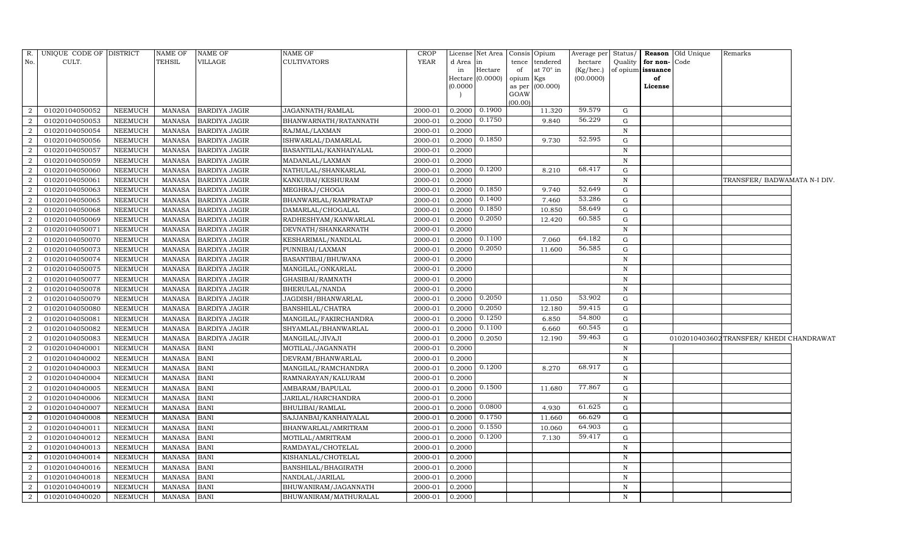|                | R. UNIQUE CODE OF DISTRICT |                 | <b>NAME OF</b> | NAME OF              | <b>NAME OF</b>         | <b>CROP</b> |                   | License Net Area | Consis Opium |                 |           |              |                      | Average per Status/ Reason Old Unique | Remarks                                  |  |
|----------------|----------------------------|-----------------|----------------|----------------------|------------------------|-------------|-------------------|------------------|--------------|-----------------|-----------|--------------|----------------------|---------------------------------------|------------------------------------------|--|
| No.            | CULT.                      |                 | TEHSIL         | VILLAGE              | <b>CULTIVATORS</b>     | YEAR        | d Area            | in               |              | tence tendered  | hectare   |              | Quality for non-Code |                                       |                                          |  |
|                |                            |                 |                |                      |                        |             | in                | Hectare          | of           | at 70° in       | (Kg/hec.) |              | of opium issuance    |                                       |                                          |  |
|                |                            |                 |                |                      |                        |             | (0.0000)          | Hectare (0.0000) | opium Kgs    | as per (00.000) | (00.0000) |              | of<br>License        |                                       |                                          |  |
|                |                            |                 |                |                      |                        |             |                   |                  | GOAW         |                 |           |              |                      |                                       |                                          |  |
|                |                            |                 |                |                      |                        |             |                   |                  | (00.00)      |                 |           |              |                      |                                       |                                          |  |
| 2              | 01020104050052             | NEEMUCH         | MANASA         | <b>BARDIYA JAGIR</b> | JAGANNATH/RAMLAL       | 2000-01     | 0.2000            | 0.1900           |              | 11.320          | 59.579    | G            |                      |                                       |                                          |  |
| $\overline{2}$ | 01020104050053             | NEEMUCH         | <b>MANASA</b>  | <b>BARDIYA JAGIR</b> | BHANWARNATH/RATANNATH  | 2000-01     | 0.2000            | 0.1750           |              | 9.840           | 56.229    | G            |                      |                                       |                                          |  |
| $\overline{2}$ | 01020104050054             | NEEMUCH         | MANASA         | <b>BARDIYA JAGIR</b> | RAJMAL/LAXMAN          | 2000-01     | 0.2000            |                  |              |                 |           | N            |                      |                                       |                                          |  |
| $\overline{2}$ | 01020104050056             | NEEMUCH         | MANASA         | <b>BARDIYA JAGIR</b> | ISHWARLAL/DAMARLAL     | 2000-01     | 0.2000            | 0.1850           |              | 9.730           | 52.595    | G            |                      |                                       |                                          |  |
| $\overline{2}$ | 01020104050057             | NEEMUCH         | <b>MANASA</b>  | <b>BARDIYA JAGIR</b> | BASANTILAL/KANHAIYALAL | 2000-01     | 0.2000            |                  |              |                 |           | $\mathbb N$  |                      |                                       |                                          |  |
| $\overline{2}$ | 01020104050059             | NEEMUCH         | <b>MANASA</b>  | BARDIYA JAGIR        | MADANLAL/LAXMAN        | 2000-01     | 0.2000            |                  |              |                 |           | $\mathbf N$  |                      |                                       |                                          |  |
| $\overline{2}$ | 01020104050060             | NEEMUCH         | <b>MANASA</b>  | <b>BARDIYA JAGIR</b> | NATHULAL/SHANKARLAL    | 2000-01     | $0.2000$ $0.1200$ |                  |              | 8.210           | 68.417    | G            |                      |                                       |                                          |  |
| $\overline{2}$ | 01020104050061             | NEEMUCH         | <b>MANASA</b>  | <b>BARDIYA JAGIR</b> | KANKUBAI/KESHURAM      | 2000-01     | 0.2000            |                  |              |                 |           | $\mathbf N$  |                      |                                       | TRANSFER/ BADWAMATA N-I DIV.             |  |
| 2              | 01020104050063             | NEEMUCH         | <b>MANASA</b>  | <b>BARDIYA JAGIR</b> | MEGHRAJ/CHOGA          | 2000-01     | 0.2000            | 0.1850           |              | 9.740           | 52.649    | G            |                      |                                       |                                          |  |
| $\overline{2}$ | 01020104050065             | NEEMUCH         | MANASA         | <b>BARDIYA JAGIR</b> | BHANWARLAL/RAMPRATAP   | 2000-01     | 0.2000            | 0.1400           |              | 7.460           | 53.286    | G            |                      |                                       |                                          |  |
| $\overline{2}$ | 01020104050068             | NEEMUCH         | <b>MANASA</b>  | <b>BARDIYA JAGIR</b> | DAMARLAL/CHOGALAL      | 2000-01     | 0.2000            | 0.1850           |              | 10.850          | 58.649    | G            |                      |                                       |                                          |  |
| $\overline{2}$ | 01020104050069             | ${\tt NEEMUCH}$ | MANASA         | <b>BARDIYA JAGIR</b> | RADHESHYAM/KANWARLAL   | 2000-01     | 0.2000            | 0.2050           |              | 12.420          | 60.585    | G            |                      |                                       |                                          |  |
| $\overline{2}$ | 01020104050071             | NEEMUCH         | MANASA         | <b>BARDIYA JAGIR</b> | DEVNATH/SHANKARNATH    | 2000-01     | 0.2000            |                  |              |                 |           | N            |                      |                                       |                                          |  |
| $\overline{2}$ | 01020104050070             | NEEMUCH         | MANASA         | <b>BARDIYA JAGIR</b> | KESHARIMAL/NANDLAL     | 2000-01     | 0.2000            | 0.1100           |              | 7.060           | 64.182    | G            |                      |                                       |                                          |  |
| $\overline{2}$ | 01020104050073             | NEEMUCH         | MANASA         | <b>BARDIYA JAGIR</b> | PUNNIBAI/LAXMAN        | 2000-01     | 0.2000            | 0.2050           |              | 11.600          | 56.585    | G            |                      |                                       |                                          |  |
| 2              | 01020104050074             | NEEMUCH         | MANASA         | <b>BARDIYA JAGIR</b> | BASANTIBAI/BHUWANA     | 2000-01     | 0.2000            |                  |              |                 |           | N            |                      |                                       |                                          |  |
| $\overline{2}$ | 01020104050075             | NEEMUCH         | <b>MANASA</b>  | <b>BARDIYA JAGIR</b> | MANGILAL/ONKARLAL      | 2000-01     | 0.2000            |                  |              |                 |           | $\mathbb N$  |                      |                                       |                                          |  |
| 2              | 01020104050077             | NEEMUCH         | MANASA         | <b>BARDIYA JAGIR</b> | GHASIBAI/RAMNATH       | 2000-01     | 0.2000            |                  |              |                 |           | N            |                      |                                       |                                          |  |
| $\overline{2}$ | 01020104050078             | NEEMUCH         | <b>MANASA</b>  | <b>BARDIYA JAGIR</b> | BHERULAL/NANDA         | 2000-01     | 0.2000            |                  |              |                 |           | $\mathbf N$  |                      |                                       |                                          |  |
| $\overline{2}$ | 01020104050079             | NEEMUCH         | <b>MANASA</b>  | <b>BARDIYA JAGIR</b> | JAGDISH/BHANWARLAL     | 2000-01     | 0.2000            | 0.2050           |              | 11.050          | 53.902    | G            |                      |                                       |                                          |  |
| $\overline{2}$ | 01020104050080             | NEEMUCH         | MANASA         | <b>BARDIYA JAGIR</b> | BANSHILAL/CHATRA       | 2000-01     | 0.2000            | 0.2050           |              | 12.180          | 59.415    | G            |                      |                                       |                                          |  |
| $\overline{2}$ | 01020104050081             | NEEMUCH         | <b>MANASA</b>  | <b>BARDIYA JAGIR</b> | MANGILAL/FAKIRCHANDRA  | 2000-01     | 0.2000            | 0.1250           |              | 6.850           | 54.800    | G            |                      |                                       |                                          |  |
| $\overline{2}$ | 01020104050082             | NEEMUCH         | MANASA         | BARDIYA JAGIR        | SHYAMLAL/BHANWARLAL    | 2000-01     | 0.2000            | 0.1100           |              | 6.660           | 60.545    | G            |                      |                                       |                                          |  |
| $\overline{2}$ | 01020104050083             | NEEMUCH         | <b>MANASA</b>  | <b>BARDIYA JAGIR</b> | MANGILAL/JIVAJI        | 2000-01     | 0.2000            | 0.2050           |              | 12.190          | 59.463    | G            |                      |                                       | 0102010403602 TRANSFER/ KHEDI CHANDRAWAT |  |
| $\overline{2}$ | 01020104040001             | NEEMUCH         | <b>MANASA</b>  | BANI                 | MOTILAL/JAGANNATH      | 2000-01     | 0.2000            |                  |              |                 |           | $\, {\rm N}$ |                      |                                       |                                          |  |
| $\overline{2}$ | 01020104040002             | NEEMUCH         | <b>MANASA</b>  | BANI                 | DEVRAM/BHANWARLAL      | 2000-01     | 0.2000            |                  |              |                 |           | N            |                      |                                       |                                          |  |
| $\overline{2}$ | 01020104040003             | NEEMUCH         | <b>MANASA</b>  | <b>BANI</b>          | MANGILAL/RAMCHANDRA    | 2000-01     | 0.2000            | 0.1200           |              | 8.270           | 68.917    | G            |                      |                                       |                                          |  |
| $\overline{2}$ | 01020104040004             | NEEMUCH         | <b>MANASA</b>  | <b>BANI</b>          | RAMNARAYAN/KALURAM     | 2000-01     | 0.2000            |                  |              |                 |           | $\mathbb N$  |                      |                                       |                                          |  |
| $\overline{2}$ | 01020104040005             | NEEMUCH         | <b>MANASA</b>  | <b>BANI</b>          | AMBARAM/BAPULAL        | 2000-01     | 0.2000            | 0.1500           |              | 11.680          | 77.867    | G            |                      |                                       |                                          |  |
| $\overline{2}$ | 01020104040006             | NEEMUCH         | <b>MANASA</b>  | <b>BANI</b>          | JARILAL/HARCHANDRA     | 2000-01     | 0.2000            |                  |              |                 |           | $\mathbb N$  |                      |                                       |                                          |  |
| $\overline{2}$ | 01020104040007             | NEEMUCH         | <b>MANASA</b>  | BANI                 | BHULIBAI/RAMLAL        | 2000-01     | 0.2000            | 0.0800           |              | 4.930           | 61.625    | G            |                      |                                       |                                          |  |
| $\overline{2}$ | 01020104040008             | NEEMUCH         | <b>MANASA</b>  | <b>BANI</b>          | SAJJANBAI/KANHAIYALAL  | 2000-01     | 0.2000            | 0.1750           |              | 11.660          | 66.629    | G            |                      |                                       |                                          |  |
| $\overline{2}$ | 01020104040011             | NEEMUCH         | <b>MANASA</b>  | BANI                 | BHANWARLAL/AMRITRAM    | 2000-01     | 0.2000            | 0.1550           |              | 10.060          | 64.903    | G            |                      |                                       |                                          |  |
| $\overline{2}$ | 01020104040012             | NEEMUCH         | <b>MANASA</b>  | <b>BANI</b>          | MOTILAL/AMRITRAM       | 2000-01     | 0.2000            | 0.1200           |              | 7.130           | 59.417    | G            |                      |                                       |                                          |  |
| $\overline{2}$ | 01020104040013             | NEEMUCH         | <b>MANASA</b>  | <b>BANI</b>          | RAMDAYAL/CHOTELAL      | 2000-01     | 0.2000            |                  |              |                 |           | $\mathbf N$  |                      |                                       |                                          |  |
| $\overline{2}$ | 01020104040014             | NEEMUCH         | <b>MANASA</b>  | BANI                 | KISHANLAL/CHOTELAL     | 2000-01     | 0.2000            |                  |              |                 |           | $\mathbf N$  |                      |                                       |                                          |  |
| 2              | 01020104040016             | NEEMUCH         | <b>MANASA</b>  | BANI                 | BANSHILAL/BHAGIRATH    | 2000-01     | 0.2000            |                  |              |                 |           | N            |                      |                                       |                                          |  |
| 2              | 01020104040018             | NEEMUCH         | MANASA         | <b>BANI</b>          | NANDLAL/JARILAL        | 2000-01     | 0.2000            |                  |              |                 |           | $\mathbf N$  |                      |                                       |                                          |  |
| 2              | 01020104040019             | NEEMUCH         | MANASA         | <b>BANI</b>          | BHUWANIRAM/JAGANNATH   | 2000-01     | 0.2000            |                  |              |                 |           | N            |                      |                                       |                                          |  |
| $\overline{2}$ | 01020104040020             | NEEMUCH         | <b>MANASA</b>  | <b>BANI</b>          | BHUWANIRAM/MATHURALAL  | 2000-01     | 0.2000            |                  |              |                 |           | N            |                      |                                       |                                          |  |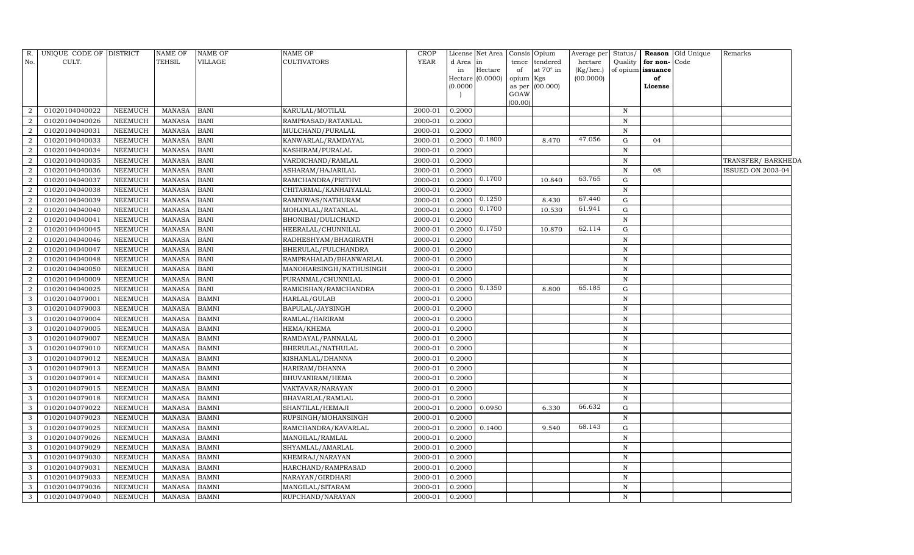| R.                          | UNIQUE CODE OF DISTRICT |                | <b>NAME OF</b> | <b>NAME OF</b> | <b>NAME OF</b>          | <b>CROP</b> |          | License Net Area Consis Opium |           |                 | Average per | Status/      | Reason   | Old Unique | Remarks                  |  |
|-----------------------------|-------------------------|----------------|----------------|----------------|-------------------------|-------------|----------|-------------------------------|-----------|-----------------|-------------|--------------|----------|------------|--------------------------|--|
| No.                         | CULT.                   |                | <b>TEHSIL</b>  | VILLAGE        | CULTIVATORS             | <b>YEAR</b> | d Area   | in                            |           | tence tendered  | hectare     | Quality      | for non- | Code       |                          |  |
|                             |                         |                |                |                |                         |             | in       | Hectare                       | of        | at 70° in       | (Kg/hec.)   | of opium     | issuance |            |                          |  |
|                             |                         |                |                |                |                         |             | Hectare  | (0.0000)                      | opium Kgs |                 | (00.0000)   |              | of       |            |                          |  |
|                             |                         |                |                |                |                         |             | (0.0000) |                               | GOAW      | as per (00.000) |             |              | License  |            |                          |  |
|                             |                         |                |                |                |                         |             |          |                               | (00.00)   |                 |             |              |          |            |                          |  |
|                             | 01020104040022          | <b>NEEMUCH</b> | <b>MANASA</b>  | <b>BANI</b>    | KARULAL/MOTILAL         | 2000-01     | 0.2000   |                               |           |                 |             | $\mathbf N$  |          |            |                          |  |
|                             | 01020104040026          | <b>NEEMUCH</b> | <b>MANASA</b>  | <b>BANI</b>    | RAMPRASAD/RATANLAL      | 2000-01     | 0.2000   |                               |           |                 |             | $\, {\rm N}$ |          |            |                          |  |
| $\mathbf{2}$                | 01020104040031          | <b>NEEMUCH</b> | <b>MANASA</b>  | <b>BANI</b>    | MULCHAND/PURALAL        | 2000-01     | 0.2000   |                               |           |                 |             | $\mathbf N$  |          |            |                          |  |
| $\overline{2}$              | 01020104040033          | <b>NEEMUCH</b> | <b>MANASA</b>  | <b>BANI</b>    | KANWARLAL/RAMDAYAL      | 2000-01     | 0.2000   | 0.1800                        |           | 8.470           | 47.056      | ${\rm G}$    | 04       |            |                          |  |
| $\overline{2}$              | 01020104040034          | <b>NEEMUCH</b> | <b>MANASA</b>  | <b>BANI</b>    | KASHIRAM/PURALAL        | 2000-01     | 0.2000   |                               |           |                 |             | $\mathbf N$  |          |            |                          |  |
|                             | 01020104040035          | <b>NEEMUCH</b> | <b>MANASA</b>  | <b>BANI</b>    | VARDICHAND/RAMLAL       | 2000-01     | 0.2000   |                               |           |                 |             | $\,$ N       |          |            | TRANSFER/BARKHEDA        |  |
| $\overline{2}$              | 01020104040036          | <b>NEEMUCH</b> | <b>MANASA</b>  | <b>BANI</b>    | ASHARAM/HAJARILAL       | 2000-01     | 0.2000   |                               |           |                 |             | $\mathbf N$  | 08       |            | <b>ISSUED ON 2003-04</b> |  |
| $\overline{2}$              | 01020104040037          | <b>NEEMUCH</b> | <b>MANASA</b>  | <b>BANI</b>    | RAMCHANDRA/PRITHVI      | 2000-01     | 0.2000   | 0.1700                        |           | 10.840          | 63.765      | ${\rm G}$    |          |            |                          |  |
| $\mathcal{D}_{\mathcal{L}}$ | 01020104040038          | <b>NEEMUCH</b> | <b>MANASA</b>  | <b>BANI</b>    | CHITARMAL/KANHAIYALAL   | 2000-01     | 0.2000   |                               |           |                 |             | $\mathbf N$  |          |            |                          |  |
|                             | 01020104040039          | <b>NEEMUCH</b> | <b>MANASA</b>  | <b>BANI</b>    | RAMNIWAS/NATHURAM       | 2000-01     | 0.2000   | 0.1250                        |           | 8.430           | 67.440      | ${\rm G}$    |          |            |                          |  |
| $\overline{2}$              | 01020104040040          | <b>NEEMUCH</b> | <b>MANASA</b>  | <b>BANI</b>    | MOHANLAL/RATANLAL       | 2000-01     | 0.2000   | 0.1700                        |           | 10.530          | 61.941      | G            |          |            |                          |  |
| $\mathcal{D}$               | 01020104040041          | <b>NEEMUCH</b> | <b>MANASA</b>  | <b>BANI</b>    | BHONIBAI/DULICHAND      | 2000-01     | 0.2000   |                               |           |                 |             | N            |          |            |                          |  |
| $\mathcal{D}_{\mathcal{L}}$ | 01020104040045          | <b>NEEMUCH</b> | <b>MANASA</b>  | <b>BANI</b>    | HEERALAL/CHUNNILAL      | 2000-01     | 0.2000   | 0.1750                        |           | 10.870          | 62.114      | G            |          |            |                          |  |
| $\overline{2}$              | 01020104040046          | <b>NEEMUCH</b> | <b>MANASA</b>  | <b>BANI</b>    | RADHESHYAM/BHAGIRATH    | 2000-01     | 0.2000   |                               |           |                 |             | N            |          |            |                          |  |
| $\mathcal{D}_{\mathcal{L}}$ | 01020104040047          | NEEMUCH        | <b>MANASA</b>  | <b>BANI</b>    | BHERULAL/FULCHANDRA     | 2000-01     | 0.2000   |                               |           |                 |             | $\mathbf N$  |          |            |                          |  |
| $\overline{2}$              | 01020104040048          | NEEMUCH        | <b>MANASA</b>  | <b>BANI</b>    | RAMPRAHALAD/BHANWARLAL  | 2000-01     | 0.2000   |                               |           |                 |             | $\mathbf N$  |          |            |                          |  |
| $\mathcal{D}_{\mathcal{L}}$ | 01020104040050          | NEEMUCH        | <b>MANASA</b>  | <b>BANI</b>    | MANOHARSINGH/NATHUSINGH | 2000-01     | 0.2000   |                               |           |                 |             | $\, {\rm N}$ |          |            |                          |  |
|                             | 01020104040009          | NEEMUCH        | <b>MANASA</b>  | <b>BANI</b>    | PURANMAL/CHUNNILAL      | 2000-01     | 0.2000   |                               |           |                 |             | $\mathbf N$  |          |            |                          |  |
| $\overline{2}$              | 01020104040025          | NEEMUCH        | <b>MANASA</b>  | <b>BANI</b>    | RAMKISHAN/RAMCHANDRA    | 2000-01     | 0.2000   | 0.1350                        |           | 8.800           | 65.185      | G            |          |            |                          |  |
| 3                           | 01020104079001          | NEEMUCH        | <b>MANASA</b>  | <b>BAMNI</b>   | HARLAL/GULAB            | 2000-01     | 0.2000   |                               |           |                 |             | $\, {\rm N}$ |          |            |                          |  |
|                             | 01020104079003          | NEEMUCH        | <b>MANASA</b>  | <b>BAMNI</b>   | BAPULAL/JAYSINGH        | 2000-01     | 0.2000   |                               |           |                 |             | $\mathbf N$  |          |            |                          |  |
| 3                           | 01020104079004          | <b>NEEMUCH</b> | <b>MANASA</b>  | <b>BAMNI</b>   | RAMLAL/HARIRAM          | 2000-01     | 0.2000   |                               |           |                 |             | $\,$ N       |          |            |                          |  |
| 3                           | 01020104079005          | <b>NEEMUCH</b> | <b>MANASA</b>  | <b>BAMNI</b>   | HEMA/KHEMA              | 2000-01     | 0.2000   |                               |           |                 |             | $\mathbf N$  |          |            |                          |  |
| 3                           | 01020104079007          | <b>NEEMUCH</b> | <b>MANASA</b>  | <b>BAMNI</b>   | RAMDAYAL/PANNALAL       | 2000-01     | 0.2000   |                               |           |                 |             | $\mathbf N$  |          |            |                          |  |
|                             | 01020104079010          | NEEMUCH        | <b>MANASA</b>  | <b>BAMNI</b>   | BHERULAL/NATHULAL       | 2000-01     | 0.2000   |                               |           |                 |             | $\, {\rm N}$ |          |            |                          |  |
|                             | 01020104079012          | <b>NEEMUCH</b> | <b>MANASA</b>  | <b>BAMNI</b>   | KISHANLAL/DHANNA        | 2000-01     | 0.2000   |                               |           |                 |             | $\mathbf N$  |          |            |                          |  |
| 3                           | 01020104079013          | <b>NEEMUCH</b> | <b>MANASA</b>  | <b>BAMNI</b>   | HARIRAM/DHANNA          | 2000-01     | 0.2000   |                               |           |                 |             | $\mathbf N$  |          |            |                          |  |
| 3                           | 01020104079014          | <b>NEEMUCH</b> | <b>MANASA</b>  | <b>BAMNI</b>   | BHUVANIRAM/HEMA         | 2000-01     | 0.2000   |                               |           |                 |             | $\, {\rm N}$ |          |            |                          |  |
| 3                           | 01020104079015          | <b>NEEMUCH</b> | <b>MANASA</b>  | <b>BAMNI</b>   | VAKTAVAR/NARAYAN        | 2000-01     | 0.2000   |                               |           |                 |             | $\, {\bf N}$ |          |            |                          |  |
| 3                           | 01020104079018          | <b>NEEMUCH</b> | <b>MANASA</b>  | <b>BAMNI</b>   | BHAVARLAL/RAMLAL        | 2000-01     | 0.2000   |                               |           |                 |             | $\, {\bf N}$ |          |            |                          |  |
| 3                           | 01020104079022          | <b>NEEMUCH</b> | <b>MANASA</b>  | <b>BAMNI</b>   | SHANTILAL/HEMAJI        | 2000-01     | 0.2000   | 0.0950                        |           | 6.330           | 66.632      | ${\rm G}$    |          |            |                          |  |
| 3                           | 01020104079023          | <b>NEEMUCH</b> | <b>MANASA</b>  | <b>BAMNI</b>   | RUPSINGH/MOHANSINGH     | 2000-01     | 0.2000   |                               |           |                 |             | $\mathbf N$  |          |            |                          |  |
| 3                           | 01020104079025          | <b>NEEMUCH</b> | <b>MANASA</b>  | <b>BAMNI</b>   | RAMCHANDRA/KAVARLAL     | 2000-01     | 0.2000   | 0.1400                        |           | 9.540           | 68.143      | ${\rm G}$    |          |            |                          |  |
| 3                           | 01020104079026          | <b>NEEMUCH</b> | <b>MANASA</b>  | <b>BAMNI</b>   | MANGILAL/RAMLAL         | 2000-01     | 0.2000   |                               |           |                 |             | $\, {\bf N}$ |          |            |                          |  |
| 3                           | 01020104079029          | <b>NEEMUCH</b> | <b>MANASA</b>  | <b>BAMNI</b>   | SHYAMLAL/AMARLAL        | 2000-01     | 0.2000   |                               |           |                 |             | $\, {\bf N}$ |          |            |                          |  |
| 3                           | 01020104079030          | <b>NEEMUCH</b> | <b>MANASA</b>  | <b>BAMNI</b>   | KHEMRAJ/NARAYAN         | 2000-01     | 0.2000   |                               |           |                 |             | $\mathbf N$  |          |            |                          |  |
| 3                           | 01020104079031          | <b>NEEMUCH</b> | <b>MANASA</b>  | <b>BAMNI</b>   | HARCHAND/RAMPRASAD      | 2000-01     | 0.2000   |                               |           |                 |             | $\, {\bf N}$ |          |            |                          |  |
| 3                           | 01020104079033          | NEEMUCH        | <b>MANASA</b>  | <b>BAMNI</b>   | NARAYAN/GIRDHARI        | 2000-01     | 0.2000   |                               |           |                 |             | $\, {\rm N}$ |          |            |                          |  |
| 3                           | 01020104079036          | NEEMUCH        | <b>MANASA</b>  | <b>BAMNI</b>   | MANGILAL/SITARAM        | 2000-01     | 0.2000   |                               |           |                 |             | N            |          |            |                          |  |
| 3                           | 01020104079040          | NEEMUCH        | <b>MANASA</b>  | <b>BAMNI</b>   | RUPCHAND/NARAYAN        | 2000-01     | 0.2000   |                               |           |                 |             | N            |          |            |                          |  |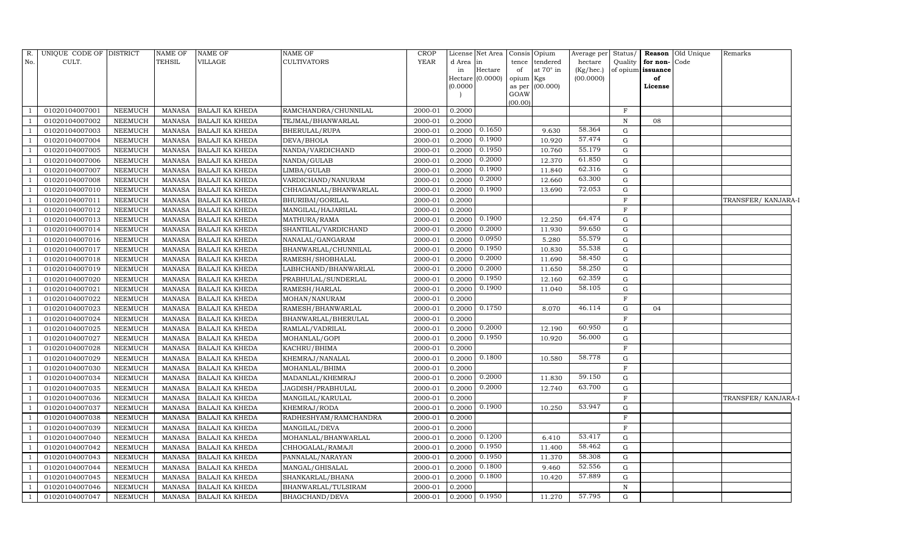| R.  | UNIQUE CODE OF DISTRICT |                | <b>NAME OF</b> | <b>NAME OF</b>         | <b>NAME OF</b>        | <b>CROP</b> |          | License Net Area Consis |                | Opium     | Average per Status/ |                   |              | <b>Reason</b> Old Unique | Remarks             |
|-----|-------------------------|----------------|----------------|------------------------|-----------------------|-------------|----------|-------------------------|----------------|-----------|---------------------|-------------------|--------------|--------------------------|---------------------|
| No. | CULT.                   |                | <b>TEHSIL</b>  | VILLAGE                | <b>CULTIVATORS</b>    | <b>YEAR</b> | d Area   | in                      | tence          | tendered  | hectare             | Quality           | for non-Code |                          |                     |
|     |                         |                |                |                        |                       |             | in       | Hectare                 | of             | at 70° in | (Kg/hec.)           | of opium issuance |              |                          |                     |
|     |                         |                |                |                        |                       |             |          | Hectare (0.0000)        | opium Kgs      |           | (00.0000)           |                   | of           |                          |                     |
|     |                         |                |                |                        |                       |             | (0.0000) |                         | as per<br>GOAW | (00.000)  |                     |                   | License      |                          |                     |
|     |                         |                |                |                        |                       |             |          |                         | (00.00)        |           |                     |                   |              |                          |                     |
|     | 01020104007001          | NEEMUCH        | MANASA         | <b>BALAJI KA KHEDA</b> | RAMCHANDRA/CHUNNILAL  | 2000-01     | 0.2000   |                         |                |           |                     | $_{\rm F}$        |              |                          |                     |
|     | 01020104007002          | <b>NEEMUCH</b> | <b>MANASA</b>  | <b>BALAJI KA KHEDA</b> | TEJMAL/BHANWARLAL     | 2000-01     | 0.2000   |                         |                |           |                     | N                 | 08           |                          |                     |
|     | 01020104007003          | <b>NEEMUCH</b> | <b>MANASA</b>  | <b>BALAJI KA KHEDA</b> | BHERULAL/RUPA         | 2000-01     | 0.2000   | 0.1650                  |                | 9.630     | 58.364              | G                 |              |                          |                     |
|     | 01020104007004          | <b>NEEMUCH</b> | <b>MANASA</b>  | <b>BALAJI KA KHEDA</b> | DEVA/BHOLA            | 2000-01     | 0.2000   | 0.1900                  |                | 10.920    | 57.474              | $\mathbf G$       |              |                          |                     |
|     | 01020104007005          | <b>NEEMUCH</b> | <b>MANASA</b>  | <b>BALAJI KA KHEDA</b> | NANDA/VARDICHAND      | 2000-01     | 0.2000   | 0.1950                  |                | 10.760    | 55.179              | $\mathbf G$       |              |                          |                     |
|     | 01020104007006          | <b>NEEMUCH</b> | <b>MANASA</b>  | <b>BALAJI KA KHEDA</b> | NANDA/GULAB           | 2000-01     | 0.2000   | 0.2000                  |                | 12.370    | 61.850              | ${\rm G}$         |              |                          |                     |
|     | 01020104007007          | <b>NEEMUCH</b> | <b>MANASA</b>  | <b>BALAJI KA KHEDA</b> | LIMBA/GULAB           | 2000-01     | 0.2000   | 0.1900                  |                | 11.840    | 62.316              | G                 |              |                          |                     |
|     | 01020104007008          | <b>NEEMUCH</b> | <b>MANASA</b>  | <b>BALAJI KA KHEDA</b> | VARDICHAND/NANURAM    | 2000-01     | 0.2000   | 0.2000                  |                | 12.660    | 63.300              | $\mathbf G$       |              |                          |                     |
|     | 01020104007010          | <b>NEEMUCH</b> | <b>MANASA</b>  | <b>BALAJI KA KHEDA</b> | CHHAGANLAL/BHANWARLAL | 2000-01     | 0.2000   | 0.1900                  |                | 13.690    | 72.053              | $\mathbf G$       |              |                          |                     |
|     | 01020104007011          | <b>NEEMUCH</b> | <b>MANASA</b>  | BALAJI KA KHEDA        | BHURIBAI/GORILAL      | 2000-01     | 0.2000   |                         |                |           |                     | $\overline{F}$    |              |                          | TRANSFER/KANJARA-I  |
|     | 01020104007012          | <b>NEEMUCH</b> | <b>MANASA</b>  | <b>BALAJI KA KHEDA</b> | MANGILAL/HAJARILAL    | 2000-01     | 0.2000   |                         |                |           |                     | $\mathbf F$       |              |                          |                     |
|     | 01020104007013          | <b>NEEMUCH</b> | <b>MANASA</b>  | <b>BALAJI KA KHEDA</b> | MATHURA/RAMA          | 2000-01     | 0.2000   | 0.1900                  |                | 12.250    | 64.474              | $\mathbf G$       |              |                          |                     |
|     | 01020104007014          | <b>NEEMUCH</b> | <b>MANASA</b>  | <b>BALAJI KA KHEDA</b> | SHANTILAL/VARDICHAND  | 2000-01     | 0.2000   | 0.2000                  |                | 11.930    | 59.650              | $\mathbf G$       |              |                          |                     |
|     | 01020104007016          | <b>NEEMUCH</b> | <b>MANASA</b>  | BALAJI KA KHEDA        | NANALAL/GANGARAM      | 2000-01     | 0.2000   | 0.0950                  |                | 5.280     | 55.579              | ${\rm G}$         |              |                          |                     |
|     | 01020104007017          | <b>NEEMUCH</b> | <b>MANASA</b>  | <b>BALAJI KA KHEDA</b> | BHANWARLAL/CHUNNILAL  | 2000-01     | 0.2000   | 0.1950                  |                | 10.830    | 55.538              | ${\rm G}$         |              |                          |                     |
|     | 01020104007018          | <b>NEEMUCH</b> | <b>MANASA</b>  | <b>BALAJI KA KHEDA</b> | RAMESH/SHOBHALAL      | 2000-01     | 0.2000   | 0.2000                  |                | 11.690    | 58.450              | $\mathbf G$       |              |                          |                     |
|     | 01020104007019          | <b>NEEMUCH</b> | <b>MANASA</b>  | <b>BALAJI KA KHEDA</b> | LABHCHAND/BHANWARLAL  | 2000-01     | 0.2000   | 0.2000                  |                | 11.650    | 58.250              | $\mathbf G$       |              |                          |                     |
|     | 01020104007020          | <b>NEEMUCH</b> | <b>MANASA</b>  | BALAJI KA KHEDA        | PRABHULAL/SUNDERLAL   | 2000-01     | 0.2000   | 0.1950                  |                | 12.160    | 62.359              | ${\rm G}$         |              |                          |                     |
|     | 01020104007021          | <b>NEEMUCH</b> | <b>MANASA</b>  | <b>BALAJI KA KHEDA</b> | RAMESH/HARLAL         | 2000-01     | 0.2000   | 0.1900                  |                | 11.040    | 58.105              | ${\rm G}$         |              |                          |                     |
|     | 01020104007022          | <b>NEEMUCH</b> | <b>MANASA</b>  | <b>BALAJI KA KHEDA</b> | MOHAN/NANURAM         | 2000-01     | 0.2000   |                         |                |           |                     | $\mathbf F$       |              |                          |                     |
|     | 01020104007023          | <b>NEEMUCH</b> | <b>MANASA</b>  | <b>BALAJI KA KHEDA</b> | RAMESH/BHANWARLAL     | 2000-01     | 0.2000   | 0.1750                  |                | 8.070     | 46.114              | ${\rm G}$         | 04           |                          |                     |
|     | 01020104007024          | <b>NEEMUCH</b> | <b>MANASA</b>  | <b>BALAJI KA KHEDA</b> | BHANWARLAL/BHERULAL   | 2000-01     | 0.2000   |                         |                |           |                     | $\mathbf F$       |              |                          |                     |
|     | 01020104007025          | <b>NEEMUCH</b> | <b>MANASA</b>  | BALAJI KA KHEDA        | RAMLAL/VADRILAL       | 2000-01     | 0.2000   | 0.2000                  |                | 12.190    | 60.950              | $\mathbf G$       |              |                          |                     |
|     | 01020104007027          | <b>NEEMUCH</b> | <b>MANASA</b>  | <b>BALAJI KA KHEDA</b> | MOHANLAL/GOPI         | 2000-01     | 0.2000   | 0.1950                  |                | 10.920    | 56.000              | $\mathbf G$       |              |                          |                     |
|     | 01020104007028          | <b>NEEMUCH</b> | <b>MANASA</b>  | BALAJI KA KHEDA        | KACHRU/BHIMA          | 2000-01     | 0.2000   |                         |                |           |                     | $\mathbf F$       |              |                          |                     |
|     | 01020104007029          | <b>NEEMUCH</b> | <b>MANASA</b>  | BALAJI KA KHEDA        | KHEMRAJ/NANALAL       | 2000-01     | 0.2000   | 0.1800                  |                | 10.580    | 58.778              | ${\rm G}$         |              |                          |                     |
|     | 01020104007030          | <b>NEEMUCH</b> | <b>MANASA</b>  | <b>BALAJI KA KHEDA</b> | MOHANLAL/BHIMA        | 2000-01     | 0.2000   |                         |                |           |                     | $\mathbf F$       |              |                          |                     |
|     | 01020104007034          | <b>NEEMUCH</b> | <b>MANASA</b>  | <b>BALAJI KA KHEDA</b> | MADANLAL/KHEMRAJ      | 2000-01     | 0.2000   | 0.2000                  |                | 11.830    | 59.150              | ${\rm G}$         |              |                          |                     |
|     | 01020104007035          | <b>NEEMUCH</b> | <b>MANASA</b>  | BALAJI KA KHEDA        | JAGDISH/PRABHULAL     | 2000-01     | 0.2000   | 0.2000                  |                | 12.740    | 63.700              | ${\rm G}$         |              |                          |                     |
|     | 01020104007036          | <b>NEEMUCH</b> | <b>MANASA</b>  | BALAJI KA KHEDA        | MANGILAL/KARULAL      | 2000-01     | 0.2000   |                         |                |           |                     | $\mathbf F$       |              |                          | TRANSFER/ KANJARA-I |
|     | 01020104007037          | <b>NEEMUCH</b> | <b>MANASA</b>  | BALAJI KA KHEDA        | KHEMRAJ/RODA          | 2000-01     | 0.2000   | 0.1900                  |                | 10.250    | 53.947              | $\mathbf G$       |              |                          |                     |
|     | 01020104007038          | <b>NEEMUCH</b> | <b>MANASA</b>  | BALAJI KA KHEDA        | RADHESHYAM/RAMCHANDRA | 2000-01     | 0.2000   |                         |                |           |                     | $\mathbf F$       |              |                          |                     |
|     | 01020104007039          | <b>NEEMUCH</b> | <b>MANASA</b>  | BALAJI KA KHEDA        | MANGILAL/DEVA         | 2000-01     | 0.2000   |                         |                |           |                     | $\mathbf F$       |              |                          |                     |
|     | 01020104007040          | <b>NEEMUCH</b> | <b>MANASA</b>  | BALAJI KA KHEDA        | MOHANLAL/BHANWARLAL   | 2000-01     | 0.2000   | 0.1200                  |                | 6.410     | 53.417              | G                 |              |                          |                     |
|     | 01020104007042          | <b>NEEMUCH</b> | <b>MANASA</b>  | BALAJI KA KHEDA        | CHHOGALAL/RAMAJI      | 2000-01     | 0.2000   | 0.1950                  |                | 11.400    | 58.462              | $\mathbf G$       |              |                          |                     |
|     | 01020104007043          | <b>NEEMUCH</b> | <b>MANASA</b>  | BALAJI KA KHEDA        | PANNALAL/NARAYAN      | 2000-01     | 0.2000   | 0.1950                  |                | 11.370    | 58.308              | ${\rm G}$         |              |                          |                     |
|     | 01020104007044          | <b>NEEMUCH</b> | <b>MANASA</b>  | BALAJI KA KHEDA        | MANGAL/GHISALAL       | 2000-01     | 0.2000   | 0.1800                  |                | 9.460     | 52.556              | $\mathbf G$       |              |                          |                     |
|     | 01020104007045          | <b>NEEMUCH</b> | <b>MANASA</b>  | BALAJI KA KHEDA        | SHANKARLAL/BHANA      | 2000-01     | 0.2000   | 0.1800                  |                | 10.420    | 57.889              | ${\rm G}$         |              |                          |                     |
|     | 01020104007046          | <b>NEEMUCH</b> | <b>MANASA</b>  | <b>BALAJI KA KHEDA</b> | BHANWARLAL/TULSIRAM   | 2000-01     | 0.2000   |                         |                |           |                     | $\, {\rm N}$      |              |                          |                     |
| -1  | 01020104007047          | NEEMUCH        | MANASA         | <b>BALAJI KA KHEDA</b> | BHAGCHAND/DEVA        | 2000-01     |          | $0.2000$ $0.1950$       |                | 11.270    | 57.795              | G                 |              |                          |                     |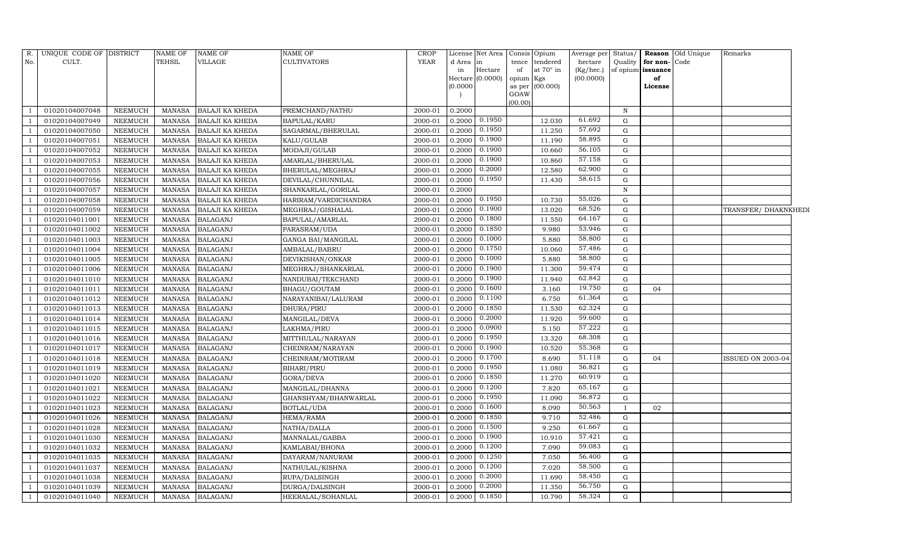| <b>YEAR</b><br>No.<br>CULT.<br><b>TEHSIL</b><br>VILLAGE<br><b>CULTIVATORS</b><br>d Area in<br>tendered<br>hectare<br>Quality<br>for non-Code<br>tence<br>at $70^\circ$ in<br>Hectare<br>of<br>(Kg/hec.)<br>of opium issuance<br>in<br>Hectare $(0.0000)$<br>(00.0000)<br>opium Kgs<br>of<br>(00.000)<br>(0.0000)<br>as per<br>License<br>GOAW<br>(00.00)<br>01020104007048<br>NEEMUCH<br><b>BALAJI KA KHEDA</b><br>PREMCHAND/NATHU<br>2000-01<br>0.2000<br>MANASA<br>N<br>0.1950<br>61.692<br>01020104007049<br>NEEMUCH<br><b>BALAJI KA KHEDA</b><br><b>BAPULAL/KARU</b><br>2000-01<br>0.2000<br>12.030<br><b>MANASA</b><br>G<br>0.1950<br>57.692<br>0.2000<br>11.250<br>01020104007050<br><b>NEEMUCH</b><br><b>MANASA</b><br><b>BALAJI KA KHEDA</b><br>SAGARMAL/BHERULAL<br>2000-01<br>G<br>0.1900<br>58.895<br>01020104007051<br>0.2000<br>11.190<br>G<br><b>NEEMUCH</b><br><b>MANASA</b><br><b>BALAJI KA KHEDA</b><br>KALU/GULAB<br>2000-01<br>0.1900<br>56.105<br>01020104007052<br><b>NEEMUCH</b><br><b>MANASA</b><br><b>BALAJI KA KHEDA</b><br>MODAJI/GULAB<br>2000-01<br>0.2000<br>10.660<br>G<br>0.1900<br>57.158<br>01020104007053<br>NEEMUCH<br><b>MANASA</b><br><b>BALAJI KA KHEDA</b><br>AMARLAL/BHERULAL<br>2000-01<br>0.2000<br>10.860<br>$\mathbf G$ |                          |
|---------------------------------------------------------------------------------------------------------------------------------------------------------------------------------------------------------------------------------------------------------------------------------------------------------------------------------------------------------------------------------------------------------------------------------------------------------------------------------------------------------------------------------------------------------------------------------------------------------------------------------------------------------------------------------------------------------------------------------------------------------------------------------------------------------------------------------------------------------------------------------------------------------------------------------------------------------------------------------------------------------------------------------------------------------------------------------------------------------------------------------------------------------------------------------------------------------------------------------------------------------------------|--------------------------|
|                                                                                                                                                                                                                                                                                                                                                                                                                                                                                                                                                                                                                                                                                                                                                                                                                                                                                                                                                                                                                                                                                                                                                                                                                                                                     |                          |
|                                                                                                                                                                                                                                                                                                                                                                                                                                                                                                                                                                                                                                                                                                                                                                                                                                                                                                                                                                                                                                                                                                                                                                                                                                                                     |                          |
|                                                                                                                                                                                                                                                                                                                                                                                                                                                                                                                                                                                                                                                                                                                                                                                                                                                                                                                                                                                                                                                                                                                                                                                                                                                                     |                          |
|                                                                                                                                                                                                                                                                                                                                                                                                                                                                                                                                                                                                                                                                                                                                                                                                                                                                                                                                                                                                                                                                                                                                                                                                                                                                     |                          |
|                                                                                                                                                                                                                                                                                                                                                                                                                                                                                                                                                                                                                                                                                                                                                                                                                                                                                                                                                                                                                                                                                                                                                                                                                                                                     |                          |
|                                                                                                                                                                                                                                                                                                                                                                                                                                                                                                                                                                                                                                                                                                                                                                                                                                                                                                                                                                                                                                                                                                                                                                                                                                                                     |                          |
|                                                                                                                                                                                                                                                                                                                                                                                                                                                                                                                                                                                                                                                                                                                                                                                                                                                                                                                                                                                                                                                                                                                                                                                                                                                                     |                          |
|                                                                                                                                                                                                                                                                                                                                                                                                                                                                                                                                                                                                                                                                                                                                                                                                                                                                                                                                                                                                                                                                                                                                                                                                                                                                     |                          |
|                                                                                                                                                                                                                                                                                                                                                                                                                                                                                                                                                                                                                                                                                                                                                                                                                                                                                                                                                                                                                                                                                                                                                                                                                                                                     |                          |
|                                                                                                                                                                                                                                                                                                                                                                                                                                                                                                                                                                                                                                                                                                                                                                                                                                                                                                                                                                                                                                                                                                                                                                                                                                                                     |                          |
|                                                                                                                                                                                                                                                                                                                                                                                                                                                                                                                                                                                                                                                                                                                                                                                                                                                                                                                                                                                                                                                                                                                                                                                                                                                                     |                          |
| 0.2000<br>62.900<br>01020104007055<br>NEEMUCH<br>2000-01<br>0.2000<br>12.580<br>G<br><b>MANASA</b><br><b>BALAJI KA KHEDA</b><br>BHERULAL/MEGHRAJ                                                                                                                                                                                                                                                                                                                                                                                                                                                                                                                                                                                                                                                                                                                                                                                                                                                                                                                                                                                                                                                                                                                    |                          |
| 0.1950<br>58.615<br>01020104007056<br>NEEMUCH<br><b>BALAJI KA KHEDA</b><br>DEVILAL/CHUNNILAL<br>2000-01<br>0.2000<br>11.430<br>G<br>MANASA                                                                                                                                                                                                                                                                                                                                                                                                                                                                                                                                                                                                                                                                                                                                                                                                                                                                                                                                                                                                                                                                                                                          |                          |
| 01020104007057<br>NEEMUCH<br><b>BALAJI KA KHEDA</b><br>2000-01<br>0.2000<br>$\, {\rm N}$<br><b>MANASA</b><br>SHANKARLAL/GORILAL                                                                                                                                                                                                                                                                                                                                                                                                                                                                                                                                                                                                                                                                                                                                                                                                                                                                                                                                                                                                                                                                                                                                     |                          |
| 0.1950<br>55.026<br>0.2000<br>10.730<br>01020104007058<br>NEEMUCH<br><b>BALAJI KA KHEDA</b><br>2000-01<br>$\mathbf G$<br><b>MANASA</b><br>HARIRAM/VARDICHANDRA                                                                                                                                                                                                                                                                                                                                                                                                                                                                                                                                                                                                                                                                                                                                                                                                                                                                                                                                                                                                                                                                                                      |                          |
| 0.1900<br>68.526<br>01020104007059<br>NEEMUCH<br><b>MANASA</b><br><b>BALAJI KA KHEDA</b><br>MEGHRAJ/GISHALAL<br>2000-01<br>0.2000<br>13.020<br>G                                                                                                                                                                                                                                                                                                                                                                                                                                                                                                                                                                                                                                                                                                                                                                                                                                                                                                                                                                                                                                                                                                                    | TRANSFER/ DHAKNKHEDI     |
| 0.1800<br>64.167<br>01020104011001<br><b>NEEMUCH</b><br><b>BALAGANJ</b><br>2000-01<br>0.2000<br>11.550<br>G<br><b>MANASA</b><br>BAPULAL/AMARLAL                                                                                                                                                                                                                                                                                                                                                                                                                                                                                                                                                                                                                                                                                                                                                                                                                                                                                                                                                                                                                                                                                                                     |                          |
| 53.946<br>0.1850<br><b>BALAGANJ</b><br>0.2000<br>9.980<br>01020104011002<br><b>NEEMUCH</b><br><b>MANASA</b><br>PARASRAM/UDA<br>2000-01<br>G                                                                                                                                                                                                                                                                                                                                                                                                                                                                                                                                                                                                                                                                                                                                                                                                                                                                                                                                                                                                                                                                                                                         |                          |
| 0.1000<br>58.800<br>01020104011003<br><b>BALAGANJ</b><br>GANGA BAI/MANGILAL<br>2000-01<br>0.2000<br>5.880<br>$\mathbf G$<br><b>NEEMUCH</b><br><b>MANASA</b>                                                                                                                                                                                                                                                                                                                                                                                                                                                                                                                                                                                                                                                                                                                                                                                                                                                                                                                                                                                                                                                                                                         |                          |
| 0.1750<br>57.486<br>01020104011004<br><b>NEEMUCH</b><br><b>MANASA</b><br><b>BALAGANJ</b><br>AMBALAL/BABRU<br>2000-01<br>0.2000<br>10.060<br>G                                                                                                                                                                                                                                                                                                                                                                                                                                                                                                                                                                                                                                                                                                                                                                                                                                                                                                                                                                                                                                                                                                                       |                          |
| 0.1000<br>58.800<br>01020104011005<br>5.880<br><b>NEEMUCH</b><br><b>BALAGANJ</b><br>DEVIKISHAN/ONKAR<br>2000-01<br>0.2000<br>G<br><b>MANASA</b>                                                                                                                                                                                                                                                                                                                                                                                                                                                                                                                                                                                                                                                                                                                                                                                                                                                                                                                                                                                                                                                                                                                     |                          |
| 0.1900<br>59.474<br>01020104011006<br><b>NEEMUCH</b><br><b>MANASA</b><br><b>BALAGANJ</b><br>MEGHRAJ/SHANKARLAL<br>2000-01<br>0.2000<br>11.300<br>G                                                                                                                                                                                                                                                                                                                                                                                                                                                                                                                                                                                                                                                                                                                                                                                                                                                                                                                                                                                                                                                                                                                  |                          |
| 0.1900<br>62.842<br>NEEMUCH<br><b>BALAGANJ</b><br>2000-01<br>0.2000<br>11.940<br>G<br>01020104011010<br><b>MANASA</b><br>NANDUBAI/TEKCHAND                                                                                                                                                                                                                                                                                                                                                                                                                                                                                                                                                                                                                                                                                                                                                                                                                                                                                                                                                                                                                                                                                                                          |                          |
| 19.750<br>0.1600<br>01020104011011<br><b>BALAGANJ</b><br>0.2000<br><b>NEEMUCH</b><br><b>MANASA</b><br>BHAGU/GOUTAM<br>2000-01<br>3.160<br>G<br>04                                                                                                                                                                                                                                                                                                                                                                                                                                                                                                                                                                                                                                                                                                                                                                                                                                                                                                                                                                                                                                                                                                                   |                          |
| 0.1100<br>61.364<br>0.2000<br>01020104011012<br><b>NEEMUCH</b><br><b>BALAGANJ</b><br>2000-01<br>6.750<br><b>MANASA</b><br>NARAYANIBAI/LALURAM<br>G                                                                                                                                                                                                                                                                                                                                                                                                                                                                                                                                                                                                                                                                                                                                                                                                                                                                                                                                                                                                                                                                                                                  |                          |
| 0.1850<br>62.324<br>01020104011013<br><b>NEEMUCH</b><br><b>BALAGANJ</b><br>0.2000<br>11.530<br><b>MANASA</b><br>DHURA/PIRU<br>2000-01<br>G                                                                                                                                                                                                                                                                                                                                                                                                                                                                                                                                                                                                                                                                                                                                                                                                                                                                                                                                                                                                                                                                                                                          |                          |
| 0.2000<br>59.600<br>01020104011014<br><b>NEEMUCH</b><br><b>MANASA</b><br><b>BALAGANJ</b><br>MANGILAL/DEVA<br>2000-01<br>0.2000<br>11.920<br>G                                                                                                                                                                                                                                                                                                                                                                                                                                                                                                                                                                                                                                                                                                                                                                                                                                                                                                                                                                                                                                                                                                                       |                          |
| 0.0900<br>57.222<br>01020104011015<br><b>NEEMUCH</b><br><b>MANASA</b><br><b>BALAGANJ</b><br>LAKHMA/PIRU<br>2000-01<br>0.2000<br>5.150<br>G                                                                                                                                                                                                                                                                                                                                                                                                                                                                                                                                                                                                                                                                                                                                                                                                                                                                                                                                                                                                                                                                                                                          |                          |
| 0.1950<br>68.308<br>01020104011016<br><b>NEEMUCH</b><br><b>MANASA</b><br><b>BALAGANJ</b><br>MITTHULAL/NARAYAN<br>2000-01<br>0.2000<br>13.320<br>G                                                                                                                                                                                                                                                                                                                                                                                                                                                                                                                                                                                                                                                                                                                                                                                                                                                                                                                                                                                                                                                                                                                   |                          |
| 0.1900<br>55.368<br>01020104011017<br><b>BALAGANJ</b><br>10.520<br><b>NEEMUCH</b><br><b>MANASA</b><br>CHEINRAM/NARAYAN<br>2000-01<br>0.2000<br>G                                                                                                                                                                                                                                                                                                                                                                                                                                                                                                                                                                                                                                                                                                                                                                                                                                                                                                                                                                                                                                                                                                                    |                          |
| 0.1700<br>51.118<br>01020104011018<br><b>NEEMUCH</b><br><b>MANASA</b><br><b>BALAGANJ</b><br>2000-01<br>0.2000<br>8.690<br>G<br>04<br>CHEINRAM/MOTIRAM                                                                                                                                                                                                                                                                                                                                                                                                                                                                                                                                                                                                                                                                                                                                                                                                                                                                                                                                                                                                                                                                                                               | <b>ISSUED ON 2003-04</b> |
| 0.1950<br>56.821<br>01020104011019<br><b>BALAGANJ</b><br>BIHARI/PIRU<br>2000-01<br>0.2000<br>11.080<br><b>NEEMUCH</b><br><b>MANASA</b><br>G                                                                                                                                                                                                                                                                                                                                                                                                                                                                                                                                                                                                                                                                                                                                                                                                                                                                                                                                                                                                                                                                                                                         |                          |
| 60.919<br>0.1850<br>01020104011020<br><b>BALAGANJ</b><br>0.2000<br>11.270<br><b>NEEMUCH</b><br><b>MANASA</b><br>GORA/DEVA<br>2000-01<br>G                                                                                                                                                                                                                                                                                                                                                                                                                                                                                                                                                                                                                                                                                                                                                                                                                                                                                                                                                                                                                                                                                                                           |                          |
| 0.1200<br>65.167<br><b>NEEMUCH</b><br><b>BALAGANJ</b><br>0.2000<br>7.820<br>01020104011021<br><b>MANASA</b><br>MANGILAL/DHANNA<br>2000-01<br>G                                                                                                                                                                                                                                                                                                                                                                                                                                                                                                                                                                                                                                                                                                                                                                                                                                                                                                                                                                                                                                                                                                                      |                          |
| 0.1950<br>56.872<br>01020104011022<br><b>NEEMUCH</b><br><b>MANASA</b><br><b>BALAGANJ</b><br>GHANSHYAM/BHANWARLAL<br>2000-01<br>0.2000<br>11.090<br>G                                                                                                                                                                                                                                                                                                                                                                                                                                                                                                                                                                                                                                                                                                                                                                                                                                                                                                                                                                                                                                                                                                                |                          |
| 0.1600<br>50.563<br>01020104011023<br><b>BALAGANJ</b><br>0.2000<br>8.090<br><b>NEEMUCH</b><br><b>MANASA</b><br>BOTLAL/UDA<br>2000-01<br>02<br>$\mathbf{I}$                                                                                                                                                                                                                                                                                                                                                                                                                                                                                                                                                                                                                                                                                                                                                                                                                                                                                                                                                                                                                                                                                                          |                          |
| 0.1850<br>52.486<br>01020104011026<br><b>NEEMUCH</b><br><b>MANASA</b><br><b>BALAGANJ</b><br>HEMA/RAMA<br>2000-01<br>0.2000<br>9.710<br>G                                                                                                                                                                                                                                                                                                                                                                                                                                                                                                                                                                                                                                                                                                                                                                                                                                                                                                                                                                                                                                                                                                                            |                          |
| 0.1500<br>61.667<br>01020104011028<br><b>BALAGANJ</b><br>0.2000<br>9.250<br>${\rm G}$<br><b>NEEMUCH</b><br><b>MANASA</b><br>NATHA/DALLA<br>2000-01                                                                                                                                                                                                                                                                                                                                                                                                                                                                                                                                                                                                                                                                                                                                                                                                                                                                                                                                                                                                                                                                                                                  |                          |
| 0.1900<br>57.421<br>01020104011030<br><b>BALAGANJ</b><br>0.2000<br>10.910<br><b>NEEMUCH</b><br><b>MANASA</b><br>MANNALAL/GABBA<br>2000-01<br>G                                                                                                                                                                                                                                                                                                                                                                                                                                                                                                                                                                                                                                                                                                                                                                                                                                                                                                                                                                                                                                                                                                                      |                          |
| 0.1200<br>59.083<br>01020104011032<br><b>BALAGANJ</b><br>2000-01<br>0.2000<br>7.090<br>$\mathbf G$<br><b>NEEMUCH</b><br><b>MANASA</b><br>KAMLABAI/BHONA                                                                                                                                                                                                                                                                                                                                                                                                                                                                                                                                                                                                                                                                                                                                                                                                                                                                                                                                                                                                                                                                                                             |                          |
| 0.1250<br>56.400<br>01020104011035<br><b>NEEMUCH</b><br><b>MANASA</b><br><b>BALAGANJ</b><br>DAYARAM/NANURAM<br>2000-01<br>0.2000<br>7.050<br>G                                                                                                                                                                                                                                                                                                                                                                                                                                                                                                                                                                                                                                                                                                                                                                                                                                                                                                                                                                                                                                                                                                                      |                          |
| 0.1200<br>58.500<br><b>BALAGANJ</b><br>01020104011037<br><b>NEEMUCH</b><br><b>MANASA</b><br>NATHULAL/KISHNA<br>2000-01<br>0.2000<br>7.020<br>G                                                                                                                                                                                                                                                                                                                                                                                                                                                                                                                                                                                                                                                                                                                                                                                                                                                                                                                                                                                                                                                                                                                      |                          |
| 0.2000<br>58.450<br>01020104011038<br><b>BALAGANJ</b><br>RUPA/DALSINGH<br>2000-01<br>0.2000<br>G<br><b>NEEMUCH</b><br><b>MANASA</b><br>11.690                                                                                                                                                                                                                                                                                                                                                                                                                                                                                                                                                                                                                                                                                                                                                                                                                                                                                                                                                                                                                                                                                                                       |                          |
| 0.2000<br>56.750<br>01020104011039<br><b>NEEMUCH</b><br><b>MANASA</b><br><b>BALAGANJ</b><br>DURGA/DALSINGH<br>2000-01<br>0.2000<br>11.350<br>G<br>$\overline{\phantom{0}}$                                                                                                                                                                                                                                                                                                                                                                                                                                                                                                                                                                                                                                                                                                                                                                                                                                                                                                                                                                                                                                                                                          |                          |
| 0.1850<br>58.324<br>NEEMUCH<br>MANASA BALAGANJ<br>HEERALAL/SOHANLAL<br>2000-01<br>0.2000<br>10.790<br>01020104011040<br>G<br>$\overline{1}$                                                                                                                                                                                                                                                                                                                                                                                                                                                                                                                                                                                                                                                                                                                                                                                                                                                                                                                                                                                                                                                                                                                         |                          |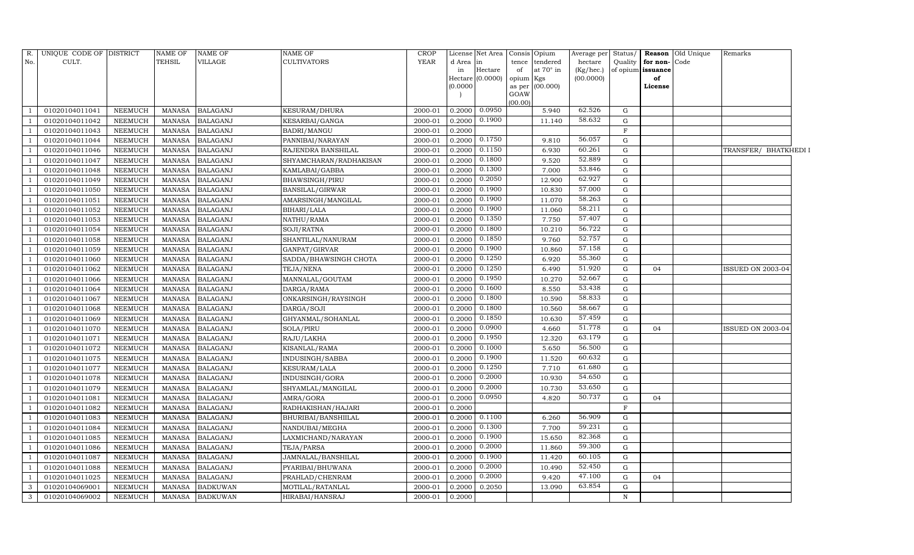| R.           | UNIQUE CODE OF DISTRICT |                | <b>NAME OF</b> | <b>NAME OF</b>  | NAME OF                | <b>CROP</b> |           | License Net Area              |             | Consis Opium            | Average per Status/    |             |                         | Reason Old Unique | Remarks               |  |
|--------------|-------------------------|----------------|----------------|-----------------|------------------------|-------------|-----------|-------------------------------|-------------|-------------------------|------------------------|-------------|-------------------------|-------------------|-----------------------|--|
| No.          | CULT.                   |                | <b>TEHSIL</b>  | <b>VILLAGE</b>  | <b>CULTIVATORS</b>     | <b>YEAR</b> | d Area in |                               | tence       | tendered                | hectare                | Quality     | for non-Code            |                   |                       |  |
|              |                         |                |                |                 |                        |             | in        | Hectare<br>$Hectare$ (0.0000) | of<br>opium | at $70^\circ$ in<br>Kgs | (Kg/hec.)<br>(00.0000) |             | of opium issuance<br>of |                   |                       |  |
|              |                         |                |                |                 |                        |             | (0.0000)  |                               | as per      | (00.000)                |                        |             | License                 |                   |                       |  |
|              |                         |                |                |                 |                        |             |           |                               | GOAW        |                         |                        |             |                         |                   |                       |  |
|              |                         |                |                |                 |                        |             |           |                               | (00.00)     |                         |                        |             |                         |                   |                       |  |
|              | 01020104011041          | <b>NEEMUCH</b> | <b>MANASA</b>  | <b>BALAGANJ</b> | KESURAM/DHURA          | 2000-01     | 0.2000    | 0.0950                        |             | 5.940                   | 62.526                 | G           |                         |                   |                       |  |
|              | 01020104011042          | <b>NEEMUCH</b> | <b>MANASA</b>  | <b>BALAGANJ</b> | KESARBAI/GANGA         | 2000-01     | 0.2000    | 0.1900                        |             | 11.140                  | 58.632                 | G           |                         |                   |                       |  |
|              | 01020104011043          | <b>NEEMUCH</b> | <b>MANASA</b>  | <b>BALAGANJ</b> | BADRI/MANGU            | 2000-01     | 0.2000    |                               |             |                         |                        | $\mathbf F$ |                         |                   |                       |  |
|              | 01020104011044          | NEEMUCH        | <b>MANASA</b>  | <b>BALAGANJ</b> | PANNIBAI/NARAYAN       | 2000-01     | 0.2000    | 0.1750                        |             | 9.810                   | 56.057                 | G           |                         |                   |                       |  |
|              | 01020104011046          | <b>NEEMUCH</b> | <b>MANASA</b>  | <b>BALAGANJ</b> | RAJENDRA BANSHILAL     | 2000-01     | 0.2000    | 0.1150                        |             | 6.930                   | 60.261                 | G           |                         |                   | TRANSFER/ BHATKHEDI I |  |
|              | 01020104011047          | <b>NEEMUCH</b> | <b>MANASA</b>  | <b>BALAGANJ</b> | SHYAMCHARAN/RADHAKISAN | 2000-01     | 0.2000    | 0.1800                        |             | 9.520                   | 52.889                 | ${\rm G}$   |                         |                   |                       |  |
|              | 01020104011048          | NEEMUCH        | <b>MANASA</b>  | <b>BALAGANJ</b> | KAMLABAI/GABBA         | 2000-01     | 0.2000    | 0.1300                        |             | 7.000                   | 53.846                 | G           |                         |                   |                       |  |
|              | 01020104011049          | NEEMUCH        | <b>MANASA</b>  | <b>BALAGANJ</b> | BHAWSINGH/PIRU         | 2000-01     | 0.2000    | 0.2050                        |             | 12.900                  | 62.927                 | G           |                         |                   |                       |  |
|              | 01020104011050          | <b>NEEMUCH</b> | <b>MANASA</b>  | <b>BALAGANJ</b> | BANSILAL/GIRWAR        | 2000-01     | 0.2000    | 0.1900                        |             | 10.830                  | 57.000                 | G           |                         |                   |                       |  |
|              | 01020104011051          | NEEMUCH        | <b>MANASA</b>  | <b>BALAGANJ</b> | AMARSINGH/MANGILAL     | 2000-01     | 0.2000    | 0.1900                        |             | 11.070                  | 58.263                 | $\mathbf G$ |                         |                   |                       |  |
|              | 01020104011052          | <b>NEEMUCH</b> | <b>MANASA</b>  | <b>BALAGANJ</b> | BIHARI/LALA            | 2000-01     | 0.2000    | 0.1900                        |             | 11.060                  | 58.211                 | ${\rm G}$   |                         |                   |                       |  |
|              | 01020104011053          | <b>NEEMUCH</b> | <b>MANASA</b>  | <b>BALAGANJ</b> | NATHU/RAMA             | 2000-01     | 0.2000    | 0.1350                        |             | 7.750                   | 57.407                 | G           |                         |                   |                       |  |
|              | 01020104011054          | <b>NEEMUCH</b> | <b>MANASA</b>  | <b>BALAGANJ</b> | SOJI/RATNA             | 2000-01     | 0.2000    | 0.1800                        |             | 10.210                  | 56.722                 | G           |                         |                   |                       |  |
|              | 01020104011058          | <b>NEEMUCH</b> | <b>MANASA</b>  | <b>BALAGANJ</b> | SHANTILAL/NANURAM      | 2000-01     | 0.2000    | 0.1850                        |             | 9.760                   | 52.757                 | ${\rm G}$   |                         |                   |                       |  |
|              | 01020104011059          | <b>NEEMUCH</b> | <b>MANASA</b>  | <b>BALAGANJ</b> | GANPAT/GIRVAR          | 2000-01     | 0.2000    | 0.1900                        |             | 10.860                  | 57.158                 | G           |                         |                   |                       |  |
|              | 01020104011060          | <b>NEEMUCH</b> | <b>MANASA</b>  | <b>BALAGANJ</b> | SADDA/BHAWSINGH CHOTA  | 2000-01     | 0.2000    | 0.1250                        |             | 6.920                   | 55.360                 | G           |                         |                   |                       |  |
|              | 01020104011062          | <b>NEEMUCH</b> | <b>MANASA</b>  | <b>BALAGANJ</b> | TEJA/NENA              | 2000-01     | 0.2000    | 0.1250                        |             | 6.490                   | 51.920                 | G           | 04                      |                   | ISSUED ON 2003-04     |  |
|              | 01020104011066          | <b>NEEMUCH</b> | <b>MANASA</b>  | <b>BALAGANJ</b> | MANNALAL/GOUTAM        | 2000-01     | 0.2000    | 0.1950                        |             | 10.270                  | 52.667                 | G           |                         |                   |                       |  |
|              | 01020104011064          | NEEMUCH        | <b>MANASA</b>  | <b>BALAGANJ</b> | DARGA/RAMA             | 2000-01     | 0.2000    | 0.1600                        |             | 8.550                   | 53.438                 | G           |                         |                   |                       |  |
|              | 01020104011067          | <b>NEEMUCH</b> | <b>MANASA</b>  | <b>BALAGANJ</b> | ONKARSINGH/RAYSINGH    | 2000-01     | 0.2000    | 0.1800                        |             | 10.590                  | 58.833                 | G           |                         |                   |                       |  |
|              | 01020104011068          | <b>NEEMUCH</b> | <b>MANASA</b>  | <b>BALAGANJ</b> | DARGA/SOJI             | 2000-01     | 0.2000    | 0.1800                        |             | 10.560                  | 58.667                 | G           |                         |                   |                       |  |
|              | 01020104011069          | <b>NEEMUCH</b> | <b>MANASA</b>  | <b>BALAGANJ</b> | GHYANMAL/SOHANLAL      | 2000-01     | 0.2000    | 0.1850                        |             | 10.630                  | 57.459                 | G           |                         |                   |                       |  |
|              | 01020104011070          | NEEMUCH        | <b>MANASA</b>  | <b>BALAGANJ</b> | SOLA/PIRU              | 2000-01     | 0.2000    | 0.0900                        |             | 4.660                   | 51.778                 | G           | 04                      |                   | ISSUED ON 2003-04     |  |
|              | 01020104011071          | <b>NEEMUCH</b> | <b>MANASA</b>  | <b>BALAGANJ</b> | RAJU/LAKHA             | 2000-01     | 0.2000    | 0.1950                        |             | 12.320                  | 63.179                 | G           |                         |                   |                       |  |
|              | 01020104011072          | <b>NEEMUCH</b> | <b>MANASA</b>  | <b>BALAGANJ</b> | KISANLAL/RAMA          | 2000-01     | 0.2000    | 0.1000                        |             | 5.650                   | 56.500                 | G           |                         |                   |                       |  |
|              | 01020104011075          | <b>NEEMUCH</b> | <b>MANASA</b>  | <b>BALAGANJ</b> | INDUSINGH/SABBA        | 2000-01     | 0.2000    | 0.1900                        |             | 11.520                  | 60.632                 | G           |                         |                   |                       |  |
|              | 01020104011077          | <b>NEEMUCH</b> | <b>MANASA</b>  | <b>BALAGANJ</b> | KESURAM/LALA           | 2000-01     | 0.2000    | 0.1250                        |             | 7.710                   | 61.680                 | G           |                         |                   |                       |  |
|              | 01020104011078          | <b>NEEMUCH</b> | <b>MANASA</b>  | <b>BALAGANJ</b> | INDUSINGH/GORA         | 2000-01     | 0.2000    | 0.2000                        |             | 10.930                  | 54.650                 | G           |                         |                   |                       |  |
|              | 01020104011079          | <b>NEEMUCH</b> | <b>MANASA</b>  | <b>BALAGANJ</b> | SHYAMLAL/MANGILAL      | 2000-01     | 0.2000    | 0.2000                        |             | 10.730                  | 53.650                 | $\mathbf G$ |                         |                   |                       |  |
|              | 01020104011081          | <b>NEEMUCH</b> | <b>MANASA</b>  | <b>BALAGANJ</b> | AMRA/GORA              | 2000-01     | 0.2000    | 0.0950                        |             | 4.820                   | 50.737                 | G           | 04                      |                   |                       |  |
|              | 01020104011082          | NEEMUCH        | <b>MANASA</b>  | <b>BALAGANJ</b> | RADHAKISHAN/HAJARI     | 2000-01     | 0.2000    |                               |             |                         |                        | $\mathbf F$ |                         |                   |                       |  |
|              | 01020104011083          | <b>NEEMUCH</b> | <b>MANASA</b>  | <b>BALAGANJ</b> | BHURIBAI/BANSHIILAL    | 2000-01     | 0.2000    | 0.1100                        |             | 6.260                   | 56.909                 | G           |                         |                   |                       |  |
|              | 01020104011084          | <b>NEEMUCH</b> | <b>MANASA</b>  | <b>BALAGANJ</b> | NANDUBAI/MEGHA         | 2000-01     | 0.2000    | 0.1300                        |             | 7.700                   | 59.231                 | ${\rm G}$   |                         |                   |                       |  |
|              | 01020104011085          | <b>NEEMUCH</b> | <b>MANASA</b>  | <b>BALAGANJ</b> | LAXMICHAND/NARAYAN     | 2000-01     | 0.2000    | 0.1900                        |             | 15.650                  | 82.368                 | G           |                         |                   |                       |  |
|              | 01020104011086          | NEEMUCH        | <b>MANASA</b>  | <b>BALAGANJ</b> | TEJA/PARSA             | 2000-01     | 0.2000    | 0.2000                        |             | 11.860                  | 59.300                 | $\mathbf G$ |                         |                   |                       |  |
|              | 01020104011087          | <b>NEEMUCH</b> | <b>MANASA</b>  | <b>BALAGANJ</b> | JAMNALAL/BANSHILAL     | 2000-01     | 0.2000    | 0.1900                        |             | 11.420                  | 60.105                 | G           |                         |                   |                       |  |
|              | 01020104011088          | <b>NEEMUCH</b> | <b>MANASA</b>  | <b>BALAGANJ</b> | PYARIBAI/BHUWANA       | 2000-01     | 0.2000    | 0.2000                        |             | 10.490                  | 52.450                 | $\mathbf G$ |                         |                   |                       |  |
|              | 01020104011025          | <b>NEEMUCH</b> | <b>MANASA</b>  | <b>BALAGANJ</b> | PRAHLAD/CHENRAM        | 2000-01     | 0.2000    | 0.2000                        |             | 9.420                   | 47.100                 | G           | 04                      |                   |                       |  |
| $\mathbf{3}$ | 01020104069001          | <b>NEEMUCH</b> | <b>MANASA</b>  | <b>BADKUWAN</b> | MOTILAL/RATANLAL       | 2000-01     | 0.2000    | 0.2050                        |             | 13.090                  | 63.854                 | $\mathbf G$ |                         |                   |                       |  |
| $\mathbf{3}$ | 01020104069002          | <b>NEEMUCH</b> | MANASA         | <b>BADKUWAN</b> | HIRABAI/HANSRAJ        | 2000-01     | 0.2000    |                               |             |                         |                        | $\mathbf N$ |                         |                   |                       |  |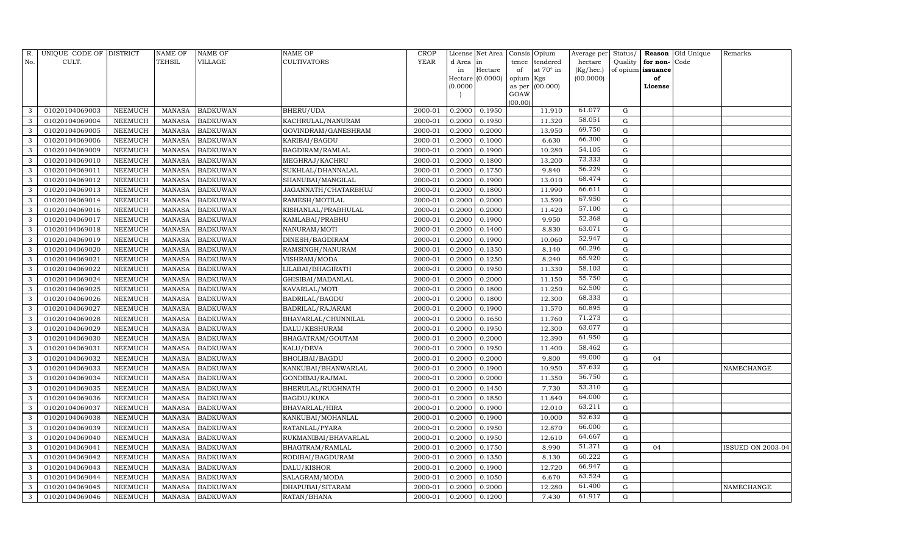| R.  | UNIQUE CODE OF DISTRICT |                | <b>NAME OF</b> | <b>NAME OF</b>  | <b>NAME OF</b>         | CROP        |           | License Net Area |                | Consis Opium     | Average per | Status/     | Reason            | Old Unique | Remarks           |
|-----|-------------------------|----------------|----------------|-----------------|------------------------|-------------|-----------|------------------|----------------|------------------|-------------|-------------|-------------------|------------|-------------------|
| No. | CULT.                   |                | <b>TEHSIL</b>  | VILLAGE         | <b>CULTIVATORS</b>     | <b>YEAR</b> | d Area in |                  | tence          | tendered         | hectare     | Quality     | for non-          | Code       |                   |
|     |                         |                |                |                 |                        |             | in        | Hectare          | of             | at $70^\circ$ in | (Kg/hec.)   |             | of opium issuance |            |                   |
|     |                         |                |                |                 |                        |             |           | Hectare (0.0000) | opium Kgs      |                  | (00.0000)   |             | of                |            |                   |
|     |                         |                |                |                 |                        |             | (0.0000)  |                  | as per<br>GOAW | (00.000)         |             |             | License           |            |                   |
|     |                         |                |                |                 |                        |             |           |                  | (00.00)        |                  |             |             |                   |            |                   |
| 3   | 01020104069003          | NEEMUCH        | MANASA         | <b>BADKUWAN</b> | <b>BHERU/UDA</b>       | 2000-01     | 0.2000    | 0.1950           |                | 11.910           | 61.077      | G           |                   |            |                   |
| 3   | 01020104069004          | <b>NEEMUCH</b> | <b>MANASA</b>  | <b>BADKUWAN</b> | KACHRULAL/NANURAM      | 2000-01     | 0.2000    | 0.1950           |                | 11.320           | 58.051      | G           |                   |            |                   |
| 3   | 01020104069005          | <b>NEEMUCH</b> | <b>MANASA</b>  | <b>BADKUWAN</b> | GOVINDRAM/GANESHRAM    | 2000-01     | 0.2000    | 0.2000           |                | 13.950           | 69.750      | G           |                   |            |                   |
| 3   | 01020104069006          | NEEMUCH        | MANASA         | <b>BADKUWAN</b> | KARIBAI/BAGDU          | 2000-01     | 0.2000    | 0.1000           |                | 6.630            | 66.300      | $\mathbf G$ |                   |            |                   |
| 3   | 01020104069009          | NEEMUCH        | <b>MANASA</b>  | <b>BADKUWAN</b> | BAGDIRAM/RAMLAL        | 2000-01     | 0.2000    | 0.1900           |                | 10.280           | 54.105      | ${\rm G}$   |                   |            |                   |
| 3   | 01020104069010          | <b>NEEMUCH</b> | <b>MANASA</b>  | <b>BADKUWAN</b> | MEGHRAJ/KACHRU         | 2000-01     | 0.2000    | 0.1800           |                | 13.200           | 73.333      | $\mathbf G$ |                   |            |                   |
| 3   | 01020104069011          | NEEMUCH        | <b>MANASA</b>  | <b>BADKUWAN</b> | SUKHLAL/DHANNALAL      | 2000-01     | 0.2000    | 0.1750           |                | 9.840            | 56.229      | G           |                   |            |                   |
| 3   | 01020104069012          | <b>NEEMUCH</b> | MANASA         | <b>BADKUWAN</b> | SHANUBAI/MANGILAL      | 2000-01     | 0.2000    | 0.1900           |                | 13.010           | 68.474      | ${\rm G}$   |                   |            |                   |
| 3   | 01020104069013          | <b>NEEMUCH</b> | <b>MANASA</b>  | <b>BADKUWAN</b> | JAGANNATH/CHATARBHUJ   | 2000-01     | 0.2000    | 0.1800           |                | 11.990           | 66.611      | $\mathbf G$ |                   |            |                   |
| 3   | 01020104069014          | NEEMUCH        | MANASA         | <b>BADKUWAN</b> | RAMESH/MOTILAL         | 2000-01     | 0.2000    | 0.2000           |                | 13.590           | 67.950      | ${\rm G}$   |                   |            |                   |
| 3   | 01020104069016          | NEEMUCH        | <b>MANASA</b>  | <b>BADKUWAN</b> | KISHANLAL/PRABHULAL    | 2000-01     | 0.2000    | 0.2000           |                | 11.420           | 57.100      | ${\rm G}$   |                   |            |                   |
| 3   | 01020104069017          | <b>NEEMUCH</b> | <b>MANASA</b>  | <b>BADKUWAN</b> | KAMLABAI/PRABHU        | 2000-01     | 0.2000    | 0.1900           |                | 9.950            | 52.368      | $\mathbf G$ |                   |            |                   |
| 3   | 01020104069018          | <b>NEEMUCH</b> | <b>MANASA</b>  | <b>BADKUWAN</b> | NANURAM/MOTI           | 2000-01     | 0.2000    | 0.1400           |                | 8.830            | 63.071      | $\mathbf G$ |                   |            |                   |
| 3   | 01020104069019          | <b>NEEMUCH</b> | <b>MANASA</b>  | <b>BADKUWAN</b> | DINESH/BAGDIRAM        | 2000-01     | 0.2000    | 0.1900           |                | 10.060           | 52.947      | G           |                   |            |                   |
| 3   | 01020104069020          | <b>NEEMUCH</b> | MANASA         | <b>BADKUWAN</b> | RAMSINGH/NANURAM       | 2000-01     | 0.2000    | 0.1350           |                | 8.140            | 60.296      | ${\rm G}$   |                   |            |                   |
| 3   | 01020104069021          | <b>NEEMUCH</b> | MANASA         | <b>BADKUWAN</b> | VISHRAM/MODA           | 2000-01     | 0.2000    | 0.1250           |                | 8.240            | 65.920      | ${\rm G}$   |                   |            |                   |
| 3   | 01020104069022          | <b>NEEMUCH</b> | <b>MANASA</b>  | <b>BADKUWAN</b> | LILABAI/BHAGIRATH      | 2000-01     | 0.2000    | 0.1950           |                | 11.330           | 58.103      | $\mathbf G$ |                   |            |                   |
| 3   | 01020104069024          | <b>NEEMUCH</b> | <b>MANASA</b>  | <b>BADKUWAN</b> | GHISIBAI/MADANLAL      | 2000-01     | 0.2000    | 0.2000           |                | 11.150           | 55.750      | G           |                   |            |                   |
| 3   | 01020104069025          | <b>NEEMUCH</b> | <b>MANASA</b>  | <b>BADKUWAN</b> | KAVARLAL/MOTI          | 2000-01     | 0.2000    | 0.1800           |                | 11.250           | 62.500      | ${\rm G}$   |                   |            |                   |
| 3   | 01020104069026          | <b>NEEMUCH</b> | MANASA         | <b>BADKUWAN</b> | <b>BADRILAL/BAGDU</b>  | 2000-01     | 0.2000    | 0.1800           |                | 12.300           | 68.333      | $\mathbf G$ |                   |            |                   |
| 3   | 01020104069027          | NEEMUCH        | MANASA         | <b>BADKUWAN</b> | BADRILAL/RAJARAM       | 2000-01     | 0.2000    | 0.1900           |                | 11.570           | 60.895      | ${\rm G}$   |                   |            |                   |
| 3   | 01020104069028          | NEEMUCH        | <b>MANASA</b>  | <b>BADKUWAN</b> | BHAVARLAL/CHUNNILAL    | 2000-01     | 0.2000    | 0.1650           |                | 11.760           | 71.273      | ${\rm G}$   |                   |            |                   |
| 3   | 01020104069029          | NEEMUCH        | MANASA         | <b>BADKUWAN</b> | DALU/KESHURAM          | 2000-01     | 0.2000    | 0.1950           |                | 12.300           | 63.077      | G           |                   |            |                   |
| 3   | 01020104069030          | NEEMUCH        | <b>MANASA</b>  | <b>BADKUWAN</b> | BHAGATRAM/GOUTAM       | 2000-01     | 0.2000    | 0.2000           |                | 12.390           | 61.950      | ${\rm G}$   |                   |            |                   |
| 3   | 01020104069031          | <b>NEEMUCH</b> | <b>MANASA</b>  | <b>BADKUWAN</b> | KALU/DEVA              | 2000-01     | 0.2000    | 0.1950           |                | 11.400           | 58.462      | $\mathbf G$ |                   |            |                   |
| 3   | 01020104069032          | NEEMUCH        | MANASA         | <b>BADKUWAN</b> | BHOLIBAI/BAGDU         | 2000-01     | 0.2000    | 0.2000           |                | 9.800            | 49.000      | G           | 04                |            |                   |
| 3   | 01020104069033          | NEEMUCH        | MANASA         | <b>BADKUWAN</b> | KANKUBAI/BHANWARLAL    | 2000-01     | 0.2000    | 0.1900           |                | 10.950           | 57.632      | $\mathbf G$ |                   |            | NAMECHANGE        |
| 3   | 01020104069034          | <b>NEEMUCH</b> | <b>MANASA</b>  | <b>BADKUWAN</b> | GONDIBAI/RAJMAL        | 2000-01     | 0.2000    | 0.2000           |                | 11.350           | 56.750      | $\mathbf G$ |                   |            |                   |
| 3   | 01020104069035          | <b>NEEMUCH</b> | <b>MANASA</b>  | <b>BADKUWAN</b> | BHERULAL/RUGHNATH      | 2000-01     | 0.2000    | 0.1450           |                | 7.730            | 53.310      | G           |                   |            |                   |
| 3   | 01020104069036          | <b>NEEMUCH</b> | <b>MANASA</b>  | <b>BADKUWAN</b> | <b>BAGDU/KUKA</b>      | 2000-01     | 0.2000    | 0.1850           |                | 11.840           | 64.000      | ${\rm G}$   |                   |            |                   |
| 3   | 01020104069037          | NEEMUCH        | <b>MANASA</b>  | <b>BADKUWAN</b> | <b>BHAVARLAL/HIRA</b>  | 2000-01     | 0.2000    | 0.1900           |                | 12.010           | 63.211      | $\mathbf G$ |                   |            |                   |
| 3   | 01020104069038          | <b>NEEMUCH</b> | MANASA         | <b>BADKUWAN</b> | KANKUBAI/MOHANLAL      | 2000-01     | 0.2000    | 0.1900           |                | 10.000           | 52.632      | ${\rm G}$   |                   |            |                   |
| 3   | 01020104069039          | <b>NEEMUCH</b> | <b>MANASA</b>  | <b>BADKUWAN</b> | RATANLAL/PYARA         | 2000-01     | 0.2000    | 0.1950           |                | 12.870           | 66.000      | ${\rm G}$   |                   |            |                   |
| 3   | 01020104069040          | NEEMUCH        | MANASA         | <b>BADKUWAN</b> | RUKMANIBAI/BHAVARLAL   | 2000-01     | 0.2000    | 0.1950           |                | 12.610           | 64.667      | ${\rm G}$   |                   |            |                   |
| 3   | 01020104069041          | <b>NEEMUCH</b> | <b>MANASA</b>  | <b>BADKUWAN</b> | <b>BHAGTRAM/RAMLAL</b> | 2000-01     | 0.2000    | 0.1750           |                | 8.990            | 51.371      | G           | 04                |            | ISSUED ON 2003-04 |
| 3   | 01020104069042          | <b>NEEMUCH</b> | <b>MANASA</b>  | <b>BADKUWAN</b> | RODIBAI/BAGDURAM       | 2000-01     | 0.2000    | 0.1350           |                | 8.130            | 60.222      | $\mathbf G$ |                   |            |                   |
| 3   | 01020104069043          | NEEMUCH        | MANASA         | <b>BADKUWAN</b> | DALU/KISHOR            | 2000-01     | 0.2000    | 0.1900           |                | 12.720           | 66.947      | G           |                   |            |                   |
| 3   | 01020104069044          | NEEMUCH        | MANASA         | <b>BADKUWAN</b> | SALAGRAM/MODA          | 2000-01     | 0.2000    | 0.1050           |                | 6.670            | 63.524      | $\mathbf G$ |                   |            |                   |
| 3   | 01020104069045          | <b>NEEMUCH</b> | MANASA         | <b>BADKUWAN</b> | DHAPUBAI/SITARAM       | 2000-01     | 0.2000    | 0.2000           |                | 12.280           | 61.400      | $\mathbf G$ |                   |            | NAMECHANGE        |
| 3   | 01020104069046          | NEEMUCH        |                | MANASA BADKUWAN | RATAN/BHANA            | 2000-01     | 0.2000    | 0.1200           |                | 7.430            | 61.917      | G           |                   |            |                   |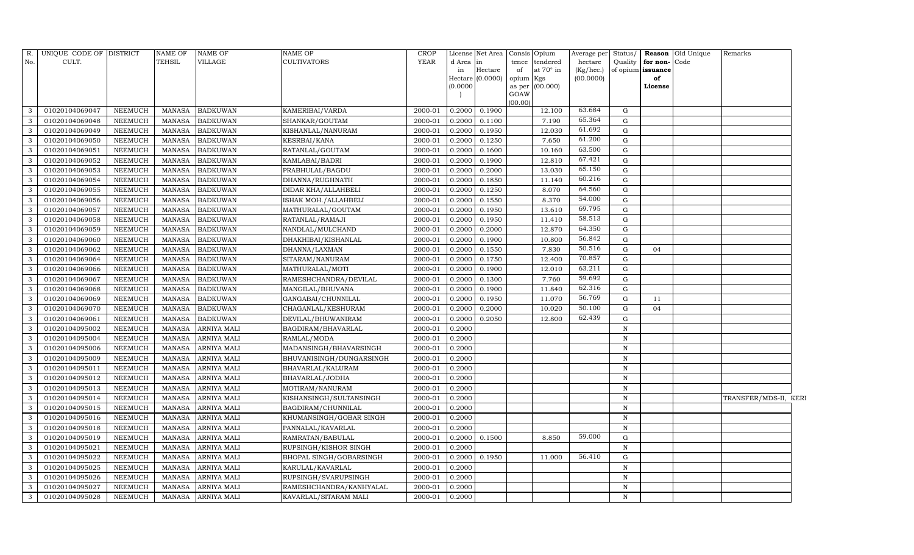| R.           | UNIQUE CODE OF DISTRICT |                | <b>NAME OF</b> | <b>NAME OF</b>     | NAME OF                  | <b>CROP</b> |          | License Net Area | Consis Opium            | Average per | Status/      |                   | Reason Old Unique | Remarks               |  |
|--------------|-------------------------|----------------|----------------|--------------------|--------------------------|-------------|----------|------------------|-------------------------|-------------|--------------|-------------------|-------------------|-----------------------|--|
| No.          | CULT.                   |                | <b>TEHSIL</b>  | VILLAGE            | <b>CULTIVATORS</b>       | <b>YEAR</b> | d Area   | in               | tendered<br>tence       | hectare     | Quality      | for non-Code      |                   |                       |  |
|              |                         |                |                |                    |                          |             | in       | Hectare          | at $70^\circ$ in<br>of  | (Kg/hec.)   |              | of opium issuance |                   |                       |  |
|              |                         |                |                |                    |                          |             |          | Hectare (0.0000) | opium Kgs               | (00.0000)   |              | of                |                   |                       |  |
|              |                         |                |                |                    |                          |             | (0.0000) |                  | as per (00.000)<br>GOAW |             |              | License           |                   |                       |  |
|              |                         |                |                |                    |                          |             |          |                  | (00.00)                 |             |              |                   |                   |                       |  |
| 3            | 01020104069047          | NEEMUCH        | MANASA         | <b>BADKUWAN</b>    | KAMERIBAI/VARDA          | 2000-01     | 0.2000   | 0.1900           | 12.100                  | 63.684      | G            |                   |                   |                       |  |
| 3            | 01020104069048          | NEEMUCH        | <b>MANASA</b>  | <b>BADKUWAN</b>    | SHANKAR/GOUTAM           | 2000-01     | 0.2000   | 0.1100           | 7.190                   | 65.364      | $\mathbf G$  |                   |                   |                       |  |
| 3            | 01020104069049          | NEEMUCH        | <b>MANASA</b>  | <b>BADKUWAN</b>    | KISHANLAL/NANURAM        | 2000-01     | 0.2000   | 0.1950           | 12.030                  | 61.692      | G            |                   |                   |                       |  |
| 3            | 01020104069050          | NEEMUCH        | <b>MANASA</b>  | <b>BADKUWAN</b>    | KESRBAI/KANA             | 2000-01     | 0.2000   | 0.1250           | 7.650                   | 61.200      | $\mathbf G$  |                   |                   |                       |  |
| 3            | 01020104069051          | <b>NEEMUCH</b> | <b>MANASA</b>  | <b>BADKUWAN</b>    | RATANLAL/GOUTAM          | 2000-01     | 0.2000   | 0.1600           | 10.160                  | 63.500      | ${\rm G}$    |                   |                   |                       |  |
| 3            | 01020104069052          | NEEMUCH        | <b>MANASA</b>  | <b>BADKUWAN</b>    | KAMLABAI/BADRI           | 2000-01     | 0.2000   | 0.1900           | 12.810                  | 67.421      | ${\rm G}$    |                   |                   |                       |  |
| 3            | 01020104069053          | NEEMUCH        | <b>MANASA</b>  | <b>BADKUWAN</b>    | PRABHULAL/BAGDU          | 2000-01     | 0.2000   | 0.2000           | 13.030                  | 65.150      | $\mathbf G$  |                   |                   |                       |  |
| 3            | 01020104069054          | <b>NEEMUCH</b> | <b>MANASA</b>  | <b>BADKUWAN</b>    | DHANNA/RUGHNATH          | 2000-01     | 0.2000   | 0.1850           | 11.140                  | 60.216      | ${\rm G}$    |                   |                   |                       |  |
| 3            | 01020104069055          | NEEMUCH        | <b>MANASA</b>  | <b>BADKUWAN</b>    | DIDAR KHA/ALLAHBELI      | 2000-01     | 0.2000   | 0.1250           | 8.070                   | 64.560      | $\mathbf G$  |                   |                   |                       |  |
| 3            | 01020104069056          | <b>NEEMUCH</b> | <b>MANASA</b>  | <b>BADKUWAN</b>    | ISHAK MOH./ALLAHBELI     | 2000-01     | 0.2000   | 0.1550           | 8.370                   | 54.000      | ${\rm G}$    |                   |                   |                       |  |
| 3            | 01020104069057          | <b>NEEMUCH</b> | <b>MANASA</b>  | <b>BADKUWAN</b>    | MATHURALAL/GOUTAM        | 2000-01     | 0.2000   | 0.1950           | 13.610                  | 69.795      | ${\rm G}$    |                   |                   |                       |  |
| 3            | 01020104069058          | NEEMUCH        | <b>MANASA</b>  | <b>BADKUWAN</b>    | RATANLAL/RAMAJI          | 2000-01     | 0.2000   | 0.1950           | 11.410                  | 58.513      | ${\rm G}$    |                   |                   |                       |  |
| 3            | 01020104069059          | <b>NEEMUCH</b> | <b>MANASA</b>  | <b>BADKUWAN</b>    | NANDLAL/MULCHAND         | 2000-01     | 0.2000   | 0.2000           | 12.870                  | 64.350      | $\mathbf G$  |                   |                   |                       |  |
| 3            | 01020104069060          | <b>NEEMUCH</b> | <b>MANASA</b>  | <b>BADKUWAN</b>    | DHAKHIBAI/KISHANLAL      | 2000-01     | 0.2000   | 0.1900           | 10.800                  | 56.842      | ${\rm G}$    |                   |                   |                       |  |
| 3            | 01020104069062          | <b>NEEMUCH</b> | <b>MANASA</b>  | <b>BADKUWAN</b>    | DHANNA/LAXMAN            | 2000-01     | 0.2000   | 0.1550           | 7.830                   | 50.516      | $\mathbf G$  | 04                |                   |                       |  |
| 3            | 01020104069064          | <b>NEEMUCH</b> | <b>MANASA</b>  | <b>BADKUWAN</b>    | SITARAM/NANURAM          | 2000-01     | 0.2000   | 0.1750           | 12.400                  | 70.857      | $\mathbf G$  |                   |                   |                       |  |
| 3            | 01020104069066          | <b>NEEMUCH</b> | <b>MANASA</b>  | <b>BADKUWAN</b>    | MATHURALAL/MOTI          | 2000-01     | 0.2000   | 0.1900           | 12.010                  | 63.211      | $\mathbf G$  |                   |                   |                       |  |
| 3            | 01020104069067          | <b>NEEMUCH</b> | <b>MANASA</b>  | <b>BADKUWAN</b>    | RAMESHCHANDRA/DEVILAL    | 2000-01     | 0.2000   | 0.1300           | 7.760                   | 59.692      | $\mathbf G$  |                   |                   |                       |  |
| 3            | 01020104069068          | NEEMUCH        | <b>MANASA</b>  | <b>BADKUWAN</b>    | MANGILAL/BHUVANA         | 2000-01     | 0.2000   | 0.1900           | 11.840                  | 62.316      | G            |                   |                   |                       |  |
| $\mathbf{3}$ | 01020104069069          | NEEMUCH        | <b>MANASA</b>  | <b>BADKUWAN</b>    | GANGABAI/CHUNNILAL       | 2000-01     | 0.2000   | 0.1950           | 11.070                  | 56.769      | ${\rm G}$    | 11                |                   |                       |  |
| 3            | 01020104069070          | <b>NEEMUCH</b> | <b>MANASA</b>  | <b>BADKUWAN</b>    | CHAGANLAL/KESHURAM       | 2000-01     | 0.2000   | 0.2000           | 10.020                  | 50.100      | G            | 04                |                   |                       |  |
| 3            | 01020104069061          | <b>NEEMUCH</b> | <b>MANASA</b>  | <b>BADKUWAN</b>    | DEVILAL/BHUWANIRAM       | 2000-01     | 0.2000   | 0.2050           | 12.800                  | 62.439      | ${\rm G}$    |                   |                   |                       |  |
| 3            | 01020104095002          | NEEMUCH        | <b>MANASA</b>  | ARNIYA MALI        | BAGDIRAM/BHAVARLAL       | 2000-01     | 0.2000   |                  |                         |             | $\, {\rm N}$ |                   |                   |                       |  |
| 3            | 01020104095004          | NEEMUCH        | <b>MANASA</b>  | <b>ARNIYA MALI</b> | RAMLAL/MODA              | 2000-01     | 0.2000   |                  |                         |             | $\, {\rm N}$ |                   |                   |                       |  |
| 3            | 01020104095006          | NEEMUCH        | <b>MANASA</b>  | ARNIYA MALI        | MADANSINGH/BHAVARSINGH   | 2000-01     | 0.2000   |                  |                         |             | $\mathbf N$  |                   |                   |                       |  |
| 3            | 01020104095009          | NEEMUCH        | <b>MANASA</b>  | ARNIYA MALI        | BHUVANISINGH/DUNGARSINGH | 2000-01     | 0.2000   |                  |                         |             | N            |                   |                   |                       |  |
| 3            | 01020104095011          | NEEMUCH        | <b>MANASA</b>  | ARNIYA MALI        | BHAVARLAL/KALURAM        | 2000-01     | 0.2000   |                  |                         |             | $\mathbf N$  |                   |                   |                       |  |
| 3            | 01020104095012          | NEEMUCH        | <b>MANASA</b>  | <b>ARNIYA MALI</b> | BHAVARLAL/JODHA          | 2000-01     | 0.2000   |                  |                         |             | $\,$ N       |                   |                   |                       |  |
| 3            | 01020104095013          | <b>NEEMUCH</b> | <b>MANASA</b>  | <b>ARNIYA MALI</b> | MOTIRAM/NANURAM          | 2000-01     | 0.2000   |                  |                         |             | $\mathbf N$  |                   |                   |                       |  |
| 3            | 01020104095014          | <b>NEEMUCH</b> | <b>MANASA</b>  | <b>ARNIYA MALI</b> | KISHANSINGH/SULTANSINGH  | 2000-01     | 0.2000   |                  |                         |             | $\,$ N       |                   |                   | TRANSFER/MDS-II, KERI |  |
| 3            | 01020104095015          | NEEMUCH        | <b>MANASA</b>  | <b>ARNIYA MALI</b> | BAGDIRAM/CHUNNILAL       | 2000-01     | 0.2000   |                  |                         |             | $\, {\rm N}$ |                   |                   |                       |  |
| 3            | 01020104095016          | <b>NEEMUCH</b> | <b>MANASA</b>  | <b>ARNIYA MALI</b> | KHUMANSINGH/GOBAR SINGH  | 2000-01     | 0.2000   |                  |                         |             | $\, {\rm N}$ |                   |                   |                       |  |
| 3            | 01020104095018          | <b>NEEMUCH</b> | <b>MANASA</b>  | ARNIYA MALI        | PANNALAL/KAVARLAL        | 2000-01     | 0.2000   |                  |                         |             | $\mathbf N$  |                   |                   |                       |  |
| 3            | 01020104095019          | <b>NEEMUCH</b> | <b>MANASA</b>  | <b>ARNIYA MALI</b> | RAMRATAN/BABULAL         | 2000-01     | 0.2000   | 0.1500           | 8.850                   | 59.000      | $\mathbf G$  |                   |                   |                       |  |
| 3            | 01020104095021          | <b>NEEMUCH</b> | <b>MANASA</b>  | ARNIYA MALI        | RUPSINGH/KISHOR SINGH    | 2000-01     | 0.2000   |                  |                         |             | $\mathbf N$  |                   |                   |                       |  |
| 3            | 01020104095022          | <b>NEEMUCH</b> | <b>MANASA</b>  | ARNIYA MALI        | BHOPAL SINGH/GOBARSINGH  | 2000-01     | 0.2000   | 0.1950           | 11.000                  | 56.410      | $\mathbf G$  |                   |                   |                       |  |
| 3            | 01020104095025          | NEEMUCH        | <b>MANASA</b>  | <b>ARNIYA MALI</b> | KARULAL/KAVARLAL         | 2000-01     | 0.2000   |                  |                         |             | $\mathbf N$  |                   |                   |                       |  |
| 3            | 01020104095026          | <b>NEEMUCH</b> | <b>MANASA</b>  | ARNIYA MALI        | RUPSINGH/SVARUPSINGH     | 2000-01     | 0.2000   |                  |                         |             | N            |                   |                   |                       |  |
| $\mathbf{3}$ | 01020104095027          | NEEMUCH        | <b>MANASA</b>  | <b>ARNIYA MALI</b> | RAMESHCHANDRA/KANHYALAL  | 2000-01     | 0.2000   |                  |                         |             | N            |                   |                   |                       |  |
| $\mathbf{3}$ | 01020104095028          | <b>NEEMUCH</b> | <b>MANASA</b>  | <b>ARNIYA MALI</b> | KAVARLAL/SITARAM MALI    | 2000-01     | 0.2000   |                  |                         |             | N            |                   |                   |                       |  |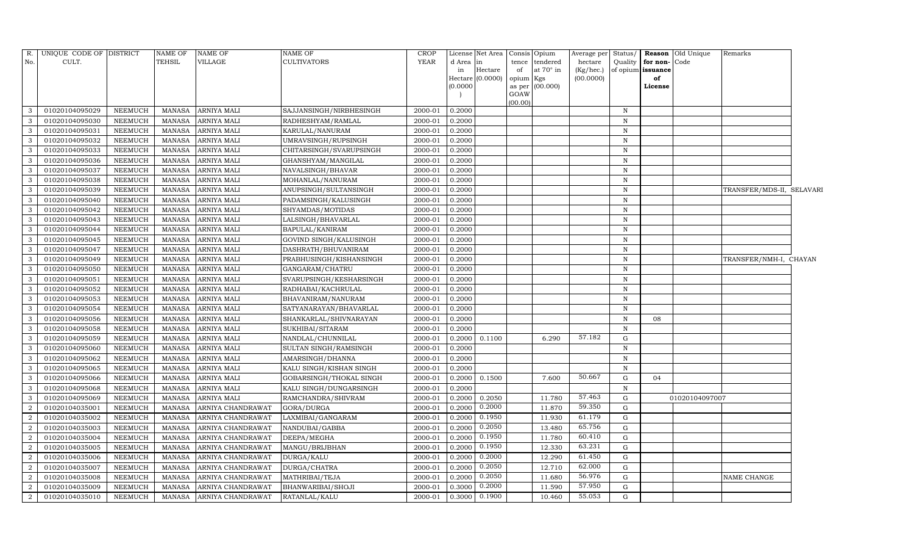| No.<br>CULT.<br><b>TEHSIL</b><br>VILLAGE<br>CULTIVATORS<br><b>YEAR</b><br>Quality for non-Code<br>d Area<br>tence<br>tendered<br>hectare<br>lin<br>Hectare<br>at $70^\circ$ in<br>(Kg/hec.)<br>of opium issuance<br>in<br>of<br>Hectare (0.0000)<br>(00.0000)<br>of<br>opium Kgs<br>(0.0000)<br>as per $(00.000)$<br>License<br>GOAW<br>(00.00)<br>01020104095029<br>0.2000<br>NEEMUCH<br>MANASA<br><b>ARNIYA MALI</b><br>SAJJANSINGH/NIRBHESINGH<br>2000-01<br>N<br>3<br>01020104095030<br><b>NEEMUCH</b><br>ARNIYA MALI<br>0.2000<br>3<br><b>MANASA</b><br>RADHESHYAM/RAMLAL<br>2000-01<br>N<br>3<br>01020104095031<br>ARNIYA MALI<br>2000-01<br>0.2000<br>$\,$ N<br>NEEMUCH<br>MANASA<br>KARULAL/NANURAM<br>3<br>01020104095032<br>NEEMUCH<br>MANASA<br>ARNIYA MALI<br>0.2000<br>$\,$ N<br>UMRAVSINGH/RUPSINGH<br>2000-01<br>01020104095033<br><b>NEEMUCH</b><br>ARNIYA MALI<br>3<br><b>MANASA</b><br>CHITARSINGH/SVARUPSINGH<br>2000-01<br>0.2000<br>$\mathbf N$<br>3<br>01020104095036<br>NEEMUCH<br>ARNIYA MALI<br>GHANSHYAM/MANGILAL<br>2000-01<br>0.2000<br>$\, {\rm N}$<br>MANASA<br>01020104095037<br>NEEMUCH<br>MANASA<br>ARNIYA MALI<br>2000-01<br>0.2000<br>3<br>NAVALSINGH/BHAVAR<br>N<br>01020104095038<br><b>NEEMUCH</b><br>3<br><b>MANASA</b><br>ARNIYA MALI<br>MOHANLAL/NANURAM<br>2000-01<br>0.2000<br>$\mathbf N$<br>01020104095039<br>3<br>NEEMUCH<br><b>MANASA</b><br>ARNIYA MALI<br>ANUPSINGH/SULTANSINGH<br>2000-01<br>0.2000<br>$\mathbf N$<br>01020104095040<br>NEEMUCH<br><b>MANASA</b><br>ARNIYA MALI<br>PADAMSINGH/KALUSINGH<br>0.2000<br>3<br>2000-01<br>$\, {\rm N}$<br>01020104095042<br>NEEMUCH<br><b>MANASA</b><br>ARNIYA MALI<br>SHYAMDAS/MOTIDAS<br>2000-01<br>0.2000<br>$\,$ N<br>3<br>$\mathbf{3}$<br>01020104095043<br>NEEMUCH<br>ARNIYA MALI<br>0.2000<br>MANASA<br>LALSINGH/BHAVARLAL<br>2000-01<br>$\mathbb N$<br>01020104095044<br><b>NEEMUCH</b><br>3<br><b>MANASA</b><br>ARNIYA MALI<br>BAPULAL/KANIRAM<br>2000-01<br>0.2000<br>$\mathbf N$<br>3<br>01020104095045<br>ARNIYA MALI<br>0.2000<br>NEEMUCH<br>MANASA<br>GOVIND SINGH/KALUSINGH<br>2000-01<br>N<br>01020104095047<br>NEEMUCH<br><b>MANASA</b><br>ARNIYA MALI<br>DASHRATH/BHUVANIRAM<br>2000-01<br>0.2000<br>3<br>N<br>3<br>01020104095049<br>NEEMUCH<br>ARNIYA MALI<br>2000-01<br>0.2000<br>MANASA<br>PRABHUSINGH/KISHANSINGH<br>$\, {\rm N}$<br>TRANSFER/NMH-I, CHAYAN<br>3<br>01020104095050<br>NEEMUCH<br><b>MANASA</b><br>ARNIYA MALI<br>GANGARAM/CHATRU<br>2000-01<br>0.2000<br>$\mathbb N$<br>01020104095051<br>NEEMUCH<br><b>MANASA</b><br>ARNIYA MALI<br>SVARUPSINGH/KESHARSINGH<br>2000-01<br>0.2000<br>3<br>N<br>01020104095052<br>3<br>NEEMUCH<br><b>MANASA</b><br>ARNIYA MALI<br>RADHABAI/KACHRULAL<br>2000-01<br>0.2000<br>$\mathbf N$<br>3<br>01020104095053<br>NEEMUCH<br>ARNIYA MALI<br>BHAVANIRAM/NANURAM<br>2000-01<br>0.2000<br>MANASA<br>$\mathbb N$<br>3<br>01020104095054<br>NEEMUCH<br>ARNIYA MALI<br>SATYANARAYAN/BHAVARLAL<br>0.2000<br>$\, {\bf N}$<br>MANASA<br>2000-01<br>01020104095056<br>3<br>NEEMUCH<br><b>MANASA</b><br>ARNIYA MALI<br>SHANKARLAL/SHIVNARAYAN<br>2000-01<br>0.2000<br>$\mathbf N$<br>08<br>01020104095058<br>3<br>NEEMUCH<br>MANASA<br>ARNIYA MALI<br>2000-01<br>0.2000<br>SUKHIBAI/SITARAM<br>N<br>57.182<br>01020104095059<br>NEEMUCH<br><b>MANASA</b><br>ARNIYA MALI<br>NANDLAL/CHUNNILAL<br>2000-01<br>0.2000<br>0.1100<br>6.290<br>G<br>3<br>3<br>01020104095060<br>NEEMUCH<br><b>MANASA</b><br>ARNIYA MALI<br>SULTAN SINGH/RAMSINGH<br>2000-01<br>0.2000<br>$\, {\bf N}$<br>01020104095062<br>NEEMUCH<br><b>MANASA</b><br>ARNIYA MALI<br>AMARSINGH/DHANNA<br>2000-01<br>0.2000<br>3<br>N<br>01020104095065<br><b>NEEMUCH</b><br>3<br>MANASA<br>ARNIYA MALI<br>KALU SINGH/KISHAN SINGH<br>2000-01<br>0.2000<br>$\,$ N<br>50.667<br>01020104095066<br><b>NEEMUCH</b><br>3<br><b>MANASA</b><br>ARNIYA MALI<br>GOBARSINGH/THOKAL SINGH<br>2000-01<br>0.2000<br>0.1500<br>7.600<br>G<br>04<br>01020104095068<br>0.2000<br>3<br>NEEMUCH<br>MANASA<br>ARNIYA MALI<br>KALU SINGH/DUNGARSINGH<br>2000-01<br>$\, {\rm N}$<br>57.463<br>01020104095069<br>11.780<br>3<br>NEEMUCH<br><b>MANASA</b><br>ARNIYA MALI<br>RAMCHANDRA/SHIVRAM<br>2000-01<br>0.2000<br>0.2050<br>G<br>01020104097007<br>59.350<br>0.2000<br>01020104035001<br>2<br>NEEMUCH<br>GORA/DURGA<br>0.2000<br>11.870<br>MANASA<br>ARNIYA CHANDRAWAT<br>2000-01<br>G<br>0.1950<br>61.179<br>11.930<br>$\overline{2}$<br>01020104035002<br><b>NEEMUCH</b><br><b>MANASA</b><br>ARNIYA CHANDRAWAT<br>LAXMIBAI/GANGARAM<br>2000-01<br>0.2000<br>G<br>0.2050<br>65.756<br>$\overline{2}$<br>$\mathbf G$<br>01020104035003<br>NEEMUCH<br>ARNIYA CHANDRAWAT<br>2000-01<br>0.2000<br>13.480<br><b>MANASA</b><br>NANDUBAI/GABBA<br>0.1950<br>60.410<br>$\overline{2}$<br>01020104035004<br>NEEMUCH<br>DEEPA/MEGHA<br>2000-01<br>0.2000<br>11.780<br>G<br>MANASA<br>ARNIYA CHANDRAWAT<br>0.1950<br>63.231<br>12.330<br>01020104035005<br>NEEMUCH<br>2000-01<br>0.2000<br>$\overline{2}$<br>MANASA<br>ARNIYA CHANDRAWAT<br>MANGU/BRIJBHAN<br>G<br>0.2000<br>61.450<br>$\overline{2}$<br>01020104035006<br>12.290<br>NEEMUCH<br>ARNIYA CHANDRAWAT<br>DURGA/KALU<br>2000-01<br>0.2000<br>G<br>MANASA<br>0.2050<br>62.000<br>01020104035007<br>NEEMUCH<br><b>MANASA</b><br>DURGA/CHATRA<br>2000-01<br>0.2000<br>12.710<br>$\overline{2}$<br>ARNIYA CHANDRAWAT<br>G<br>0.2050<br>56.976<br>01020104035008<br><b>NEEMUCH</b><br>2000-01<br>0.2000<br>11.680<br>2<br><b>MANASA</b><br>ARNIYA CHANDRAWAT<br>MATHRIBAI/TEJA<br>G<br>NAME CHANGE<br>57.950<br>0.2000<br>11.590<br>2<br>01020104035009<br>NEEMUCH<br><b>MANASA</b><br>ARNIYA CHANDRAWAT<br>BHANWARIBAI/SHOJI<br>2000-01<br>0.3000<br>G<br>0.1900<br>55.053<br>0.3000<br>G | R.             | UNIQUE CODE OF DISTRICT |         | <b>NAME OF</b> | <b>NAME OF</b>    | NAME OF       | CROP    | License Net Area | Consis Opium | Average per |  | Status/ Reason Old Unique | Remarks |  |
|-----------------------------------------------------------------------------------------------------------------------------------------------------------------------------------------------------------------------------------------------------------------------------------------------------------------------------------------------------------------------------------------------------------------------------------------------------------------------------------------------------------------------------------------------------------------------------------------------------------------------------------------------------------------------------------------------------------------------------------------------------------------------------------------------------------------------------------------------------------------------------------------------------------------------------------------------------------------------------------------------------------------------------------------------------------------------------------------------------------------------------------------------------------------------------------------------------------------------------------------------------------------------------------------------------------------------------------------------------------------------------------------------------------------------------------------------------------------------------------------------------------------------------------------------------------------------------------------------------------------------------------------------------------------------------------------------------------------------------------------------------------------------------------------------------------------------------------------------------------------------------------------------------------------------------------------------------------------------------------------------------------------------------------------------------------------------------------------------------------------------------------------------------------------------------------------------------------------------------------------------------------------------------------------------------------------------------------------------------------------------------------------------------------------------------------------------------------------------------------------------------------------------------------------------------------------------------------------------------------------------------------------------------------------------------------------------------------------------------------------------------------------------------------------------------------------------------------------------------------------------------------------------------------------------------------------------------------------------------------------------------------------------------------------------------------------------------------------------------------------------------------------------------------------------------------------------------------------------------------------------------------------------------------------------------------------------------------------------------------------------------------------------------------------------------------------------------------------------------------------------------------------------------------------------------------------------------------------------------------------------------------------------------------------------------------------------------------------------------------------------------------------------------------------------------------------------------------------------------------------------------------------------------------------------------------------------------------------------------------------------------------------------------------------------------------------------------------------------------------------------------------------------------------------------------------------------------------------------------------------------------------------------------------------------------------------------------------------------------------------------------------------------------------------------------------------------------------------------------------------------------------------------------------------------------------------------------------------------------------------------------------------------------------------------------------------------------------------------------------------------------------------------------------------------------------------------------------------------------------------------------------------------------------------------------------------------------------------------------------------------------------------------------------------------------------------------------------------------------------------------------------------------------------------------------------------------------------------------------------------------------------------------------------------------------------------------------------------------------------------------------------------------------------------------------------------------------------------------------------------------------------------------------------------------------------------------------------------------------------------------------------------------------------------------------------------------------------------------------------------|----------------|-------------------------|---------|----------------|-------------------|---------------|---------|------------------|--------------|-------------|--|---------------------------|---------|--|
|                                                                                                                                                                                                                                                                                                                                                                                                                                                                                                                                                                                                                                                                                                                                                                                                                                                                                                                                                                                                                                                                                                                                                                                                                                                                                                                                                                                                                                                                                                                                                                                                                                                                                                                                                                                                                                                                                                                                                                                                                                                                                                                                                                                                                                                                                                                                                                                                                                                                                                                                                                                                                                                                                                                                                                                                                                                                                                                                                                                                                                                                                                                                                                                                                                                                                                                                                                                                                                                                                                                                                                                                                                                                                                                                                                                                                                                                                                                                                                                                                                                                                                                                                                                                                                                                                                                                                                                                                                                                                                                                                                                                                                                                                                                                                                                                                                                                                                                                                                                                                                                                                                                                                                                                                                                                                                                                                                                                                                                                                                                                                                                                                                                                                                                                         |                |                         |         |                |                   |               |         |                  |              |             |  |                           |         |  |
|                                                                                                                                                                                                                                                                                                                                                                                                                                                                                                                                                                                                                                                                                                                                                                                                                                                                                                                                                                                                                                                                                                                                                                                                                                                                                                                                                                                                                                                                                                                                                                                                                                                                                                                                                                                                                                                                                                                                                                                                                                                                                                                                                                                                                                                                                                                                                                                                                                                                                                                                                                                                                                                                                                                                                                                                                                                                                                                                                                                                                                                                                                                                                                                                                                                                                                                                                                                                                                                                                                                                                                                                                                                                                                                                                                                                                                                                                                                                                                                                                                                                                                                                                                                                                                                                                                                                                                                                                                                                                                                                                                                                                                                                                                                                                                                                                                                                                                                                                                                                                                                                                                                                                                                                                                                                                                                                                                                                                                                                                                                                                                                                                                                                                                                                         |                |                         |         |                |                   |               |         |                  |              |             |  |                           |         |  |
|                                                                                                                                                                                                                                                                                                                                                                                                                                                                                                                                                                                                                                                                                                                                                                                                                                                                                                                                                                                                                                                                                                                                                                                                                                                                                                                                                                                                                                                                                                                                                                                                                                                                                                                                                                                                                                                                                                                                                                                                                                                                                                                                                                                                                                                                                                                                                                                                                                                                                                                                                                                                                                                                                                                                                                                                                                                                                                                                                                                                                                                                                                                                                                                                                                                                                                                                                                                                                                                                                                                                                                                                                                                                                                                                                                                                                                                                                                                                                                                                                                                                                                                                                                                                                                                                                                                                                                                                                                                                                                                                                                                                                                                                                                                                                                                                                                                                                                                                                                                                                                                                                                                                                                                                                                                                                                                                                                                                                                                                                                                                                                                                                                                                                                                                         |                |                         |         |                |                   |               |         |                  |              |             |  |                           |         |  |
| TRANSFER/MDS-II, SELAVARI                                                                                                                                                                                                                                                                                                                                                                                                                                                                                                                                                                                                                                                                                                                                                                                                                                                                                                                                                                                                                                                                                                                                                                                                                                                                                                                                                                                                                                                                                                                                                                                                                                                                                                                                                                                                                                                                                                                                                                                                                                                                                                                                                                                                                                                                                                                                                                                                                                                                                                                                                                                                                                                                                                                                                                                                                                                                                                                                                                                                                                                                                                                                                                                                                                                                                                                                                                                                                                                                                                                                                                                                                                                                                                                                                                                                                                                                                                                                                                                                                                                                                                                                                                                                                                                                                                                                                                                                                                                                                                                                                                                                                                                                                                                                                                                                                                                                                                                                                                                                                                                                                                                                                                                                                                                                                                                                                                                                                                                                                                                                                                                                                                                                                                               |                |                         |         |                |                   |               |         |                  |              |             |  |                           |         |  |
|                                                                                                                                                                                                                                                                                                                                                                                                                                                                                                                                                                                                                                                                                                                                                                                                                                                                                                                                                                                                                                                                                                                                                                                                                                                                                                                                                                                                                                                                                                                                                                                                                                                                                                                                                                                                                                                                                                                                                                                                                                                                                                                                                                                                                                                                                                                                                                                                                                                                                                                                                                                                                                                                                                                                                                                                                                                                                                                                                                                                                                                                                                                                                                                                                                                                                                                                                                                                                                                                                                                                                                                                                                                                                                                                                                                                                                                                                                                                                                                                                                                                                                                                                                                                                                                                                                                                                                                                                                                                                                                                                                                                                                                                                                                                                                                                                                                                                                                                                                                                                                                                                                                                                                                                                                                                                                                                                                                                                                                                                                                                                                                                                                                                                                                                         |                |                         |         |                |                   |               |         |                  |              |             |  |                           |         |  |
|                                                                                                                                                                                                                                                                                                                                                                                                                                                                                                                                                                                                                                                                                                                                                                                                                                                                                                                                                                                                                                                                                                                                                                                                                                                                                                                                                                                                                                                                                                                                                                                                                                                                                                                                                                                                                                                                                                                                                                                                                                                                                                                                                                                                                                                                                                                                                                                                                                                                                                                                                                                                                                                                                                                                                                                                                                                                                                                                                                                                                                                                                                                                                                                                                                                                                                                                                                                                                                                                                                                                                                                                                                                                                                                                                                                                                                                                                                                                                                                                                                                                                                                                                                                                                                                                                                                                                                                                                                                                                                                                                                                                                                                                                                                                                                                                                                                                                                                                                                                                                                                                                                                                                                                                                                                                                                                                                                                                                                                                                                                                                                                                                                                                                                                                         |                |                         |         |                |                   |               |         |                  |              |             |  |                           |         |  |
|                                                                                                                                                                                                                                                                                                                                                                                                                                                                                                                                                                                                                                                                                                                                                                                                                                                                                                                                                                                                                                                                                                                                                                                                                                                                                                                                                                                                                                                                                                                                                                                                                                                                                                                                                                                                                                                                                                                                                                                                                                                                                                                                                                                                                                                                                                                                                                                                                                                                                                                                                                                                                                                                                                                                                                                                                                                                                                                                                                                                                                                                                                                                                                                                                                                                                                                                                                                                                                                                                                                                                                                                                                                                                                                                                                                                                                                                                                                                                                                                                                                                                                                                                                                                                                                                                                                                                                                                                                                                                                                                                                                                                                                                                                                                                                                                                                                                                                                                                                                                                                                                                                                                                                                                                                                                                                                                                                                                                                                                                                                                                                                                                                                                                                                                         |                |                         |         |                |                   |               |         |                  |              |             |  |                           |         |  |
|                                                                                                                                                                                                                                                                                                                                                                                                                                                                                                                                                                                                                                                                                                                                                                                                                                                                                                                                                                                                                                                                                                                                                                                                                                                                                                                                                                                                                                                                                                                                                                                                                                                                                                                                                                                                                                                                                                                                                                                                                                                                                                                                                                                                                                                                                                                                                                                                                                                                                                                                                                                                                                                                                                                                                                                                                                                                                                                                                                                                                                                                                                                                                                                                                                                                                                                                                                                                                                                                                                                                                                                                                                                                                                                                                                                                                                                                                                                                                                                                                                                                                                                                                                                                                                                                                                                                                                                                                                                                                                                                                                                                                                                                                                                                                                                                                                                                                                                                                                                                                                                                                                                                                                                                                                                                                                                                                                                                                                                                                                                                                                                                                                                                                                                                         |                |                         |         |                |                   |               |         |                  |              |             |  |                           |         |  |
|                                                                                                                                                                                                                                                                                                                                                                                                                                                                                                                                                                                                                                                                                                                                                                                                                                                                                                                                                                                                                                                                                                                                                                                                                                                                                                                                                                                                                                                                                                                                                                                                                                                                                                                                                                                                                                                                                                                                                                                                                                                                                                                                                                                                                                                                                                                                                                                                                                                                                                                                                                                                                                                                                                                                                                                                                                                                                                                                                                                                                                                                                                                                                                                                                                                                                                                                                                                                                                                                                                                                                                                                                                                                                                                                                                                                                                                                                                                                                                                                                                                                                                                                                                                                                                                                                                                                                                                                                                                                                                                                                                                                                                                                                                                                                                                                                                                                                                                                                                                                                                                                                                                                                                                                                                                                                                                                                                                                                                                                                                                                                                                                                                                                                                                                         |                |                         |         |                |                   |               |         |                  |              |             |  |                           |         |  |
|                                                                                                                                                                                                                                                                                                                                                                                                                                                                                                                                                                                                                                                                                                                                                                                                                                                                                                                                                                                                                                                                                                                                                                                                                                                                                                                                                                                                                                                                                                                                                                                                                                                                                                                                                                                                                                                                                                                                                                                                                                                                                                                                                                                                                                                                                                                                                                                                                                                                                                                                                                                                                                                                                                                                                                                                                                                                                                                                                                                                                                                                                                                                                                                                                                                                                                                                                                                                                                                                                                                                                                                                                                                                                                                                                                                                                                                                                                                                                                                                                                                                                                                                                                                                                                                                                                                                                                                                                                                                                                                                                                                                                                                                                                                                                                                                                                                                                                                                                                                                                                                                                                                                                                                                                                                                                                                                                                                                                                                                                                                                                                                                                                                                                                                                         |                |                         |         |                |                   |               |         |                  |              |             |  |                           |         |  |
|                                                                                                                                                                                                                                                                                                                                                                                                                                                                                                                                                                                                                                                                                                                                                                                                                                                                                                                                                                                                                                                                                                                                                                                                                                                                                                                                                                                                                                                                                                                                                                                                                                                                                                                                                                                                                                                                                                                                                                                                                                                                                                                                                                                                                                                                                                                                                                                                                                                                                                                                                                                                                                                                                                                                                                                                                                                                                                                                                                                                                                                                                                                                                                                                                                                                                                                                                                                                                                                                                                                                                                                                                                                                                                                                                                                                                                                                                                                                                                                                                                                                                                                                                                                                                                                                                                                                                                                                                                                                                                                                                                                                                                                                                                                                                                                                                                                                                                                                                                                                                                                                                                                                                                                                                                                                                                                                                                                                                                                                                                                                                                                                                                                                                                                                         |                |                         |         |                |                   |               |         |                  |              |             |  |                           |         |  |
|                                                                                                                                                                                                                                                                                                                                                                                                                                                                                                                                                                                                                                                                                                                                                                                                                                                                                                                                                                                                                                                                                                                                                                                                                                                                                                                                                                                                                                                                                                                                                                                                                                                                                                                                                                                                                                                                                                                                                                                                                                                                                                                                                                                                                                                                                                                                                                                                                                                                                                                                                                                                                                                                                                                                                                                                                                                                                                                                                                                                                                                                                                                                                                                                                                                                                                                                                                                                                                                                                                                                                                                                                                                                                                                                                                                                                                                                                                                                                                                                                                                                                                                                                                                                                                                                                                                                                                                                                                                                                                                                                                                                                                                                                                                                                                                                                                                                                                                                                                                                                                                                                                                                                                                                                                                                                                                                                                                                                                                                                                                                                                                                                                                                                                                                         |                |                         |         |                |                   |               |         |                  |              |             |  |                           |         |  |
|                                                                                                                                                                                                                                                                                                                                                                                                                                                                                                                                                                                                                                                                                                                                                                                                                                                                                                                                                                                                                                                                                                                                                                                                                                                                                                                                                                                                                                                                                                                                                                                                                                                                                                                                                                                                                                                                                                                                                                                                                                                                                                                                                                                                                                                                                                                                                                                                                                                                                                                                                                                                                                                                                                                                                                                                                                                                                                                                                                                                                                                                                                                                                                                                                                                                                                                                                                                                                                                                                                                                                                                                                                                                                                                                                                                                                                                                                                                                                                                                                                                                                                                                                                                                                                                                                                                                                                                                                                                                                                                                                                                                                                                                                                                                                                                                                                                                                                                                                                                                                                                                                                                                                                                                                                                                                                                                                                                                                                                                                                                                                                                                                                                                                                                                         |                |                         |         |                |                   |               |         |                  |              |             |  |                           |         |  |
|                                                                                                                                                                                                                                                                                                                                                                                                                                                                                                                                                                                                                                                                                                                                                                                                                                                                                                                                                                                                                                                                                                                                                                                                                                                                                                                                                                                                                                                                                                                                                                                                                                                                                                                                                                                                                                                                                                                                                                                                                                                                                                                                                                                                                                                                                                                                                                                                                                                                                                                                                                                                                                                                                                                                                                                                                                                                                                                                                                                                                                                                                                                                                                                                                                                                                                                                                                                                                                                                                                                                                                                                                                                                                                                                                                                                                                                                                                                                                                                                                                                                                                                                                                                                                                                                                                                                                                                                                                                                                                                                                                                                                                                                                                                                                                                                                                                                                                                                                                                                                                                                                                                                                                                                                                                                                                                                                                                                                                                                                                                                                                                                                                                                                                                                         |                |                         |         |                |                   |               |         |                  |              |             |  |                           |         |  |
|                                                                                                                                                                                                                                                                                                                                                                                                                                                                                                                                                                                                                                                                                                                                                                                                                                                                                                                                                                                                                                                                                                                                                                                                                                                                                                                                                                                                                                                                                                                                                                                                                                                                                                                                                                                                                                                                                                                                                                                                                                                                                                                                                                                                                                                                                                                                                                                                                                                                                                                                                                                                                                                                                                                                                                                                                                                                                                                                                                                                                                                                                                                                                                                                                                                                                                                                                                                                                                                                                                                                                                                                                                                                                                                                                                                                                                                                                                                                                                                                                                                                                                                                                                                                                                                                                                                                                                                                                                                                                                                                                                                                                                                                                                                                                                                                                                                                                                                                                                                                                                                                                                                                                                                                                                                                                                                                                                                                                                                                                                                                                                                                                                                                                                                                         |                |                         |         |                |                   |               |         |                  |              |             |  |                           |         |  |
|                                                                                                                                                                                                                                                                                                                                                                                                                                                                                                                                                                                                                                                                                                                                                                                                                                                                                                                                                                                                                                                                                                                                                                                                                                                                                                                                                                                                                                                                                                                                                                                                                                                                                                                                                                                                                                                                                                                                                                                                                                                                                                                                                                                                                                                                                                                                                                                                                                                                                                                                                                                                                                                                                                                                                                                                                                                                                                                                                                                                                                                                                                                                                                                                                                                                                                                                                                                                                                                                                                                                                                                                                                                                                                                                                                                                                                                                                                                                                                                                                                                                                                                                                                                                                                                                                                                                                                                                                                                                                                                                                                                                                                                                                                                                                                                                                                                                                                                                                                                                                                                                                                                                                                                                                                                                                                                                                                                                                                                                                                                                                                                                                                                                                                                                         |                |                         |         |                |                   |               |         |                  |              |             |  |                           |         |  |
|                                                                                                                                                                                                                                                                                                                                                                                                                                                                                                                                                                                                                                                                                                                                                                                                                                                                                                                                                                                                                                                                                                                                                                                                                                                                                                                                                                                                                                                                                                                                                                                                                                                                                                                                                                                                                                                                                                                                                                                                                                                                                                                                                                                                                                                                                                                                                                                                                                                                                                                                                                                                                                                                                                                                                                                                                                                                                                                                                                                                                                                                                                                                                                                                                                                                                                                                                                                                                                                                                                                                                                                                                                                                                                                                                                                                                                                                                                                                                                                                                                                                                                                                                                                                                                                                                                                                                                                                                                                                                                                                                                                                                                                                                                                                                                                                                                                                                                                                                                                                                                                                                                                                                                                                                                                                                                                                                                                                                                                                                                                                                                                                                                                                                                                                         |                |                         |         |                |                   |               |         |                  |              |             |  |                           |         |  |
|                                                                                                                                                                                                                                                                                                                                                                                                                                                                                                                                                                                                                                                                                                                                                                                                                                                                                                                                                                                                                                                                                                                                                                                                                                                                                                                                                                                                                                                                                                                                                                                                                                                                                                                                                                                                                                                                                                                                                                                                                                                                                                                                                                                                                                                                                                                                                                                                                                                                                                                                                                                                                                                                                                                                                                                                                                                                                                                                                                                                                                                                                                                                                                                                                                                                                                                                                                                                                                                                                                                                                                                                                                                                                                                                                                                                                                                                                                                                                                                                                                                                                                                                                                                                                                                                                                                                                                                                                                                                                                                                                                                                                                                                                                                                                                                                                                                                                                                                                                                                                                                                                                                                                                                                                                                                                                                                                                                                                                                                                                                                                                                                                                                                                                                                         |                |                         |         |                |                   |               |         |                  |              |             |  |                           |         |  |
|                                                                                                                                                                                                                                                                                                                                                                                                                                                                                                                                                                                                                                                                                                                                                                                                                                                                                                                                                                                                                                                                                                                                                                                                                                                                                                                                                                                                                                                                                                                                                                                                                                                                                                                                                                                                                                                                                                                                                                                                                                                                                                                                                                                                                                                                                                                                                                                                                                                                                                                                                                                                                                                                                                                                                                                                                                                                                                                                                                                                                                                                                                                                                                                                                                                                                                                                                                                                                                                                                                                                                                                                                                                                                                                                                                                                                                                                                                                                                                                                                                                                                                                                                                                                                                                                                                                                                                                                                                                                                                                                                                                                                                                                                                                                                                                                                                                                                                                                                                                                                                                                                                                                                                                                                                                                                                                                                                                                                                                                                                                                                                                                                                                                                                                                         |                |                         |         |                |                   |               |         |                  |              |             |  |                           |         |  |
|                                                                                                                                                                                                                                                                                                                                                                                                                                                                                                                                                                                                                                                                                                                                                                                                                                                                                                                                                                                                                                                                                                                                                                                                                                                                                                                                                                                                                                                                                                                                                                                                                                                                                                                                                                                                                                                                                                                                                                                                                                                                                                                                                                                                                                                                                                                                                                                                                                                                                                                                                                                                                                                                                                                                                                                                                                                                                                                                                                                                                                                                                                                                                                                                                                                                                                                                                                                                                                                                                                                                                                                                                                                                                                                                                                                                                                                                                                                                                                                                                                                                                                                                                                                                                                                                                                                                                                                                                                                                                                                                                                                                                                                                                                                                                                                                                                                                                                                                                                                                                                                                                                                                                                                                                                                                                                                                                                                                                                                                                                                                                                                                                                                                                                                                         |                |                         |         |                |                   |               |         |                  |              |             |  |                           |         |  |
|                                                                                                                                                                                                                                                                                                                                                                                                                                                                                                                                                                                                                                                                                                                                                                                                                                                                                                                                                                                                                                                                                                                                                                                                                                                                                                                                                                                                                                                                                                                                                                                                                                                                                                                                                                                                                                                                                                                                                                                                                                                                                                                                                                                                                                                                                                                                                                                                                                                                                                                                                                                                                                                                                                                                                                                                                                                                                                                                                                                                                                                                                                                                                                                                                                                                                                                                                                                                                                                                                                                                                                                                                                                                                                                                                                                                                                                                                                                                                                                                                                                                                                                                                                                                                                                                                                                                                                                                                                                                                                                                                                                                                                                                                                                                                                                                                                                                                                                                                                                                                                                                                                                                                                                                                                                                                                                                                                                                                                                                                                                                                                                                                                                                                                                                         |                |                         |         |                |                   |               |         |                  |              |             |  |                           |         |  |
|                                                                                                                                                                                                                                                                                                                                                                                                                                                                                                                                                                                                                                                                                                                                                                                                                                                                                                                                                                                                                                                                                                                                                                                                                                                                                                                                                                                                                                                                                                                                                                                                                                                                                                                                                                                                                                                                                                                                                                                                                                                                                                                                                                                                                                                                                                                                                                                                                                                                                                                                                                                                                                                                                                                                                                                                                                                                                                                                                                                                                                                                                                                                                                                                                                                                                                                                                                                                                                                                                                                                                                                                                                                                                                                                                                                                                                                                                                                                                                                                                                                                                                                                                                                                                                                                                                                                                                                                                                                                                                                                                                                                                                                                                                                                                                                                                                                                                                                                                                                                                                                                                                                                                                                                                                                                                                                                                                                                                                                                                                                                                                                                                                                                                                                                         |                |                         |         |                |                   |               |         |                  |              |             |  |                           |         |  |
|                                                                                                                                                                                                                                                                                                                                                                                                                                                                                                                                                                                                                                                                                                                                                                                                                                                                                                                                                                                                                                                                                                                                                                                                                                                                                                                                                                                                                                                                                                                                                                                                                                                                                                                                                                                                                                                                                                                                                                                                                                                                                                                                                                                                                                                                                                                                                                                                                                                                                                                                                                                                                                                                                                                                                                                                                                                                                                                                                                                                                                                                                                                                                                                                                                                                                                                                                                                                                                                                                                                                                                                                                                                                                                                                                                                                                                                                                                                                                                                                                                                                                                                                                                                                                                                                                                                                                                                                                                                                                                                                                                                                                                                                                                                                                                                                                                                                                                                                                                                                                                                                                                                                                                                                                                                                                                                                                                                                                                                                                                                                                                                                                                                                                                                                         |                |                         |         |                |                   |               |         |                  |              |             |  |                           |         |  |
|                                                                                                                                                                                                                                                                                                                                                                                                                                                                                                                                                                                                                                                                                                                                                                                                                                                                                                                                                                                                                                                                                                                                                                                                                                                                                                                                                                                                                                                                                                                                                                                                                                                                                                                                                                                                                                                                                                                                                                                                                                                                                                                                                                                                                                                                                                                                                                                                                                                                                                                                                                                                                                                                                                                                                                                                                                                                                                                                                                                                                                                                                                                                                                                                                                                                                                                                                                                                                                                                                                                                                                                                                                                                                                                                                                                                                                                                                                                                                                                                                                                                                                                                                                                                                                                                                                                                                                                                                                                                                                                                                                                                                                                                                                                                                                                                                                                                                                                                                                                                                                                                                                                                                                                                                                                                                                                                                                                                                                                                                                                                                                                                                                                                                                                                         |                |                         |         |                |                   |               |         |                  |              |             |  |                           |         |  |
|                                                                                                                                                                                                                                                                                                                                                                                                                                                                                                                                                                                                                                                                                                                                                                                                                                                                                                                                                                                                                                                                                                                                                                                                                                                                                                                                                                                                                                                                                                                                                                                                                                                                                                                                                                                                                                                                                                                                                                                                                                                                                                                                                                                                                                                                                                                                                                                                                                                                                                                                                                                                                                                                                                                                                                                                                                                                                                                                                                                                                                                                                                                                                                                                                                                                                                                                                                                                                                                                                                                                                                                                                                                                                                                                                                                                                                                                                                                                                                                                                                                                                                                                                                                                                                                                                                                                                                                                                                                                                                                                                                                                                                                                                                                                                                                                                                                                                                                                                                                                                                                                                                                                                                                                                                                                                                                                                                                                                                                                                                                                                                                                                                                                                                                                         |                |                         |         |                |                   |               |         |                  |              |             |  |                           |         |  |
|                                                                                                                                                                                                                                                                                                                                                                                                                                                                                                                                                                                                                                                                                                                                                                                                                                                                                                                                                                                                                                                                                                                                                                                                                                                                                                                                                                                                                                                                                                                                                                                                                                                                                                                                                                                                                                                                                                                                                                                                                                                                                                                                                                                                                                                                                                                                                                                                                                                                                                                                                                                                                                                                                                                                                                                                                                                                                                                                                                                                                                                                                                                                                                                                                                                                                                                                                                                                                                                                                                                                                                                                                                                                                                                                                                                                                                                                                                                                                                                                                                                                                                                                                                                                                                                                                                                                                                                                                                                                                                                                                                                                                                                                                                                                                                                                                                                                                                                                                                                                                                                                                                                                                                                                                                                                                                                                                                                                                                                                                                                                                                                                                                                                                                                                         |                |                         |         |                |                   |               |         |                  |              |             |  |                           |         |  |
|                                                                                                                                                                                                                                                                                                                                                                                                                                                                                                                                                                                                                                                                                                                                                                                                                                                                                                                                                                                                                                                                                                                                                                                                                                                                                                                                                                                                                                                                                                                                                                                                                                                                                                                                                                                                                                                                                                                                                                                                                                                                                                                                                                                                                                                                                                                                                                                                                                                                                                                                                                                                                                                                                                                                                                                                                                                                                                                                                                                                                                                                                                                                                                                                                                                                                                                                                                                                                                                                                                                                                                                                                                                                                                                                                                                                                                                                                                                                                                                                                                                                                                                                                                                                                                                                                                                                                                                                                                                                                                                                                                                                                                                                                                                                                                                                                                                                                                                                                                                                                                                                                                                                                                                                                                                                                                                                                                                                                                                                                                                                                                                                                                                                                                                                         |                |                         |         |                |                   |               |         |                  |              |             |  |                           |         |  |
|                                                                                                                                                                                                                                                                                                                                                                                                                                                                                                                                                                                                                                                                                                                                                                                                                                                                                                                                                                                                                                                                                                                                                                                                                                                                                                                                                                                                                                                                                                                                                                                                                                                                                                                                                                                                                                                                                                                                                                                                                                                                                                                                                                                                                                                                                                                                                                                                                                                                                                                                                                                                                                                                                                                                                                                                                                                                                                                                                                                                                                                                                                                                                                                                                                                                                                                                                                                                                                                                                                                                                                                                                                                                                                                                                                                                                                                                                                                                                                                                                                                                                                                                                                                                                                                                                                                                                                                                                                                                                                                                                                                                                                                                                                                                                                                                                                                                                                                                                                                                                                                                                                                                                                                                                                                                                                                                                                                                                                                                                                                                                                                                                                                                                                                                         |                |                         |         |                |                   |               |         |                  |              |             |  |                           |         |  |
|                                                                                                                                                                                                                                                                                                                                                                                                                                                                                                                                                                                                                                                                                                                                                                                                                                                                                                                                                                                                                                                                                                                                                                                                                                                                                                                                                                                                                                                                                                                                                                                                                                                                                                                                                                                                                                                                                                                                                                                                                                                                                                                                                                                                                                                                                                                                                                                                                                                                                                                                                                                                                                                                                                                                                                                                                                                                                                                                                                                                                                                                                                                                                                                                                                                                                                                                                                                                                                                                                                                                                                                                                                                                                                                                                                                                                                                                                                                                                                                                                                                                                                                                                                                                                                                                                                                                                                                                                                                                                                                                                                                                                                                                                                                                                                                                                                                                                                                                                                                                                                                                                                                                                                                                                                                                                                                                                                                                                                                                                                                                                                                                                                                                                                                                         |                |                         |         |                |                   |               |         |                  |              |             |  |                           |         |  |
|                                                                                                                                                                                                                                                                                                                                                                                                                                                                                                                                                                                                                                                                                                                                                                                                                                                                                                                                                                                                                                                                                                                                                                                                                                                                                                                                                                                                                                                                                                                                                                                                                                                                                                                                                                                                                                                                                                                                                                                                                                                                                                                                                                                                                                                                                                                                                                                                                                                                                                                                                                                                                                                                                                                                                                                                                                                                                                                                                                                                                                                                                                                                                                                                                                                                                                                                                                                                                                                                                                                                                                                                                                                                                                                                                                                                                                                                                                                                                                                                                                                                                                                                                                                                                                                                                                                                                                                                                                                                                                                                                                                                                                                                                                                                                                                                                                                                                                                                                                                                                                                                                                                                                                                                                                                                                                                                                                                                                                                                                                                                                                                                                                                                                                                                         |                |                         |         |                |                   |               |         |                  |              |             |  |                           |         |  |
|                                                                                                                                                                                                                                                                                                                                                                                                                                                                                                                                                                                                                                                                                                                                                                                                                                                                                                                                                                                                                                                                                                                                                                                                                                                                                                                                                                                                                                                                                                                                                                                                                                                                                                                                                                                                                                                                                                                                                                                                                                                                                                                                                                                                                                                                                                                                                                                                                                                                                                                                                                                                                                                                                                                                                                                                                                                                                                                                                                                                                                                                                                                                                                                                                                                                                                                                                                                                                                                                                                                                                                                                                                                                                                                                                                                                                                                                                                                                                                                                                                                                                                                                                                                                                                                                                                                                                                                                                                                                                                                                                                                                                                                                                                                                                                                                                                                                                                                                                                                                                                                                                                                                                                                                                                                                                                                                                                                                                                                                                                                                                                                                                                                                                                                                         |                |                         |         |                |                   |               |         |                  |              |             |  |                           |         |  |
|                                                                                                                                                                                                                                                                                                                                                                                                                                                                                                                                                                                                                                                                                                                                                                                                                                                                                                                                                                                                                                                                                                                                                                                                                                                                                                                                                                                                                                                                                                                                                                                                                                                                                                                                                                                                                                                                                                                                                                                                                                                                                                                                                                                                                                                                                                                                                                                                                                                                                                                                                                                                                                                                                                                                                                                                                                                                                                                                                                                                                                                                                                                                                                                                                                                                                                                                                                                                                                                                                                                                                                                                                                                                                                                                                                                                                                                                                                                                                                                                                                                                                                                                                                                                                                                                                                                                                                                                                                                                                                                                                                                                                                                                                                                                                                                                                                                                                                                                                                                                                                                                                                                                                                                                                                                                                                                                                                                                                                                                                                                                                                                                                                                                                                                                         |                |                         |         |                |                   |               |         |                  |              |             |  |                           |         |  |
|                                                                                                                                                                                                                                                                                                                                                                                                                                                                                                                                                                                                                                                                                                                                                                                                                                                                                                                                                                                                                                                                                                                                                                                                                                                                                                                                                                                                                                                                                                                                                                                                                                                                                                                                                                                                                                                                                                                                                                                                                                                                                                                                                                                                                                                                                                                                                                                                                                                                                                                                                                                                                                                                                                                                                                                                                                                                                                                                                                                                                                                                                                                                                                                                                                                                                                                                                                                                                                                                                                                                                                                                                                                                                                                                                                                                                                                                                                                                                                                                                                                                                                                                                                                                                                                                                                                                                                                                                                                                                                                                                                                                                                                                                                                                                                                                                                                                                                                                                                                                                                                                                                                                                                                                                                                                                                                                                                                                                                                                                                                                                                                                                                                                                                                                         |                |                         |         |                |                   |               |         |                  |              |             |  |                           |         |  |
|                                                                                                                                                                                                                                                                                                                                                                                                                                                                                                                                                                                                                                                                                                                                                                                                                                                                                                                                                                                                                                                                                                                                                                                                                                                                                                                                                                                                                                                                                                                                                                                                                                                                                                                                                                                                                                                                                                                                                                                                                                                                                                                                                                                                                                                                                                                                                                                                                                                                                                                                                                                                                                                                                                                                                                                                                                                                                                                                                                                                                                                                                                                                                                                                                                                                                                                                                                                                                                                                                                                                                                                                                                                                                                                                                                                                                                                                                                                                                                                                                                                                                                                                                                                                                                                                                                                                                                                                                                                                                                                                                                                                                                                                                                                                                                                                                                                                                                                                                                                                                                                                                                                                                                                                                                                                                                                                                                                                                                                                                                                                                                                                                                                                                                                                         |                |                         |         |                |                   |               |         |                  |              |             |  |                           |         |  |
|                                                                                                                                                                                                                                                                                                                                                                                                                                                                                                                                                                                                                                                                                                                                                                                                                                                                                                                                                                                                                                                                                                                                                                                                                                                                                                                                                                                                                                                                                                                                                                                                                                                                                                                                                                                                                                                                                                                                                                                                                                                                                                                                                                                                                                                                                                                                                                                                                                                                                                                                                                                                                                                                                                                                                                                                                                                                                                                                                                                                                                                                                                                                                                                                                                                                                                                                                                                                                                                                                                                                                                                                                                                                                                                                                                                                                                                                                                                                                                                                                                                                                                                                                                                                                                                                                                                                                                                                                                                                                                                                                                                                                                                                                                                                                                                                                                                                                                                                                                                                                                                                                                                                                                                                                                                                                                                                                                                                                                                                                                                                                                                                                                                                                                                                         |                |                         |         |                |                   |               |         |                  |              |             |  |                           |         |  |
|                                                                                                                                                                                                                                                                                                                                                                                                                                                                                                                                                                                                                                                                                                                                                                                                                                                                                                                                                                                                                                                                                                                                                                                                                                                                                                                                                                                                                                                                                                                                                                                                                                                                                                                                                                                                                                                                                                                                                                                                                                                                                                                                                                                                                                                                                                                                                                                                                                                                                                                                                                                                                                                                                                                                                                                                                                                                                                                                                                                                                                                                                                                                                                                                                                                                                                                                                                                                                                                                                                                                                                                                                                                                                                                                                                                                                                                                                                                                                                                                                                                                                                                                                                                                                                                                                                                                                                                                                                                                                                                                                                                                                                                                                                                                                                                                                                                                                                                                                                                                                                                                                                                                                                                                                                                                                                                                                                                                                                                                                                                                                                                                                                                                                                                                         |                |                         |         |                |                   |               |         |                  |              |             |  |                           |         |  |
|                                                                                                                                                                                                                                                                                                                                                                                                                                                                                                                                                                                                                                                                                                                                                                                                                                                                                                                                                                                                                                                                                                                                                                                                                                                                                                                                                                                                                                                                                                                                                                                                                                                                                                                                                                                                                                                                                                                                                                                                                                                                                                                                                                                                                                                                                                                                                                                                                                                                                                                                                                                                                                                                                                                                                                                                                                                                                                                                                                                                                                                                                                                                                                                                                                                                                                                                                                                                                                                                                                                                                                                                                                                                                                                                                                                                                                                                                                                                                                                                                                                                                                                                                                                                                                                                                                                                                                                                                                                                                                                                                                                                                                                                                                                                                                                                                                                                                                                                                                                                                                                                                                                                                                                                                                                                                                                                                                                                                                                                                                                                                                                                                                                                                                                                         |                |                         |         |                |                   |               |         |                  |              |             |  |                           |         |  |
|                                                                                                                                                                                                                                                                                                                                                                                                                                                                                                                                                                                                                                                                                                                                                                                                                                                                                                                                                                                                                                                                                                                                                                                                                                                                                                                                                                                                                                                                                                                                                                                                                                                                                                                                                                                                                                                                                                                                                                                                                                                                                                                                                                                                                                                                                                                                                                                                                                                                                                                                                                                                                                                                                                                                                                                                                                                                                                                                                                                                                                                                                                                                                                                                                                                                                                                                                                                                                                                                                                                                                                                                                                                                                                                                                                                                                                                                                                                                                                                                                                                                                                                                                                                                                                                                                                                                                                                                                                                                                                                                                                                                                                                                                                                                                                                                                                                                                                                                                                                                                                                                                                                                                                                                                                                                                                                                                                                                                                                                                                                                                                                                                                                                                                                                         |                |                         |         |                |                   |               |         |                  |              |             |  |                           |         |  |
|                                                                                                                                                                                                                                                                                                                                                                                                                                                                                                                                                                                                                                                                                                                                                                                                                                                                                                                                                                                                                                                                                                                                                                                                                                                                                                                                                                                                                                                                                                                                                                                                                                                                                                                                                                                                                                                                                                                                                                                                                                                                                                                                                                                                                                                                                                                                                                                                                                                                                                                                                                                                                                                                                                                                                                                                                                                                                                                                                                                                                                                                                                                                                                                                                                                                                                                                                                                                                                                                                                                                                                                                                                                                                                                                                                                                                                                                                                                                                                                                                                                                                                                                                                                                                                                                                                                                                                                                                                                                                                                                                                                                                                                                                                                                                                                                                                                                                                                                                                                                                                                                                                                                                                                                                                                                                                                                                                                                                                                                                                                                                                                                                                                                                                                                         |                |                         |         |                |                   |               |         |                  |              |             |  |                           |         |  |
|                                                                                                                                                                                                                                                                                                                                                                                                                                                                                                                                                                                                                                                                                                                                                                                                                                                                                                                                                                                                                                                                                                                                                                                                                                                                                                                                                                                                                                                                                                                                                                                                                                                                                                                                                                                                                                                                                                                                                                                                                                                                                                                                                                                                                                                                                                                                                                                                                                                                                                                                                                                                                                                                                                                                                                                                                                                                                                                                                                                                                                                                                                                                                                                                                                                                                                                                                                                                                                                                                                                                                                                                                                                                                                                                                                                                                                                                                                                                                                                                                                                                                                                                                                                                                                                                                                                                                                                                                                                                                                                                                                                                                                                                                                                                                                                                                                                                                                                                                                                                                                                                                                                                                                                                                                                                                                                                                                                                                                                                                                                                                                                                                                                                                                                                         |                |                         |         |                |                   |               |         |                  |              |             |  |                           |         |  |
|                                                                                                                                                                                                                                                                                                                                                                                                                                                                                                                                                                                                                                                                                                                                                                                                                                                                                                                                                                                                                                                                                                                                                                                                                                                                                                                                                                                                                                                                                                                                                                                                                                                                                                                                                                                                                                                                                                                                                                                                                                                                                                                                                                                                                                                                                                                                                                                                                                                                                                                                                                                                                                                                                                                                                                                                                                                                                                                                                                                                                                                                                                                                                                                                                                                                                                                                                                                                                                                                                                                                                                                                                                                                                                                                                                                                                                                                                                                                                                                                                                                                                                                                                                                                                                                                                                                                                                                                                                                                                                                                                                                                                                                                                                                                                                                                                                                                                                                                                                                                                                                                                                                                                                                                                                                                                                                                                                                                                                                                                                                                                                                                                                                                                                                                         |                |                         |         |                |                   |               |         |                  |              |             |  |                           |         |  |
|                                                                                                                                                                                                                                                                                                                                                                                                                                                                                                                                                                                                                                                                                                                                                                                                                                                                                                                                                                                                                                                                                                                                                                                                                                                                                                                                                                                                                                                                                                                                                                                                                                                                                                                                                                                                                                                                                                                                                                                                                                                                                                                                                                                                                                                                                                                                                                                                                                                                                                                                                                                                                                                                                                                                                                                                                                                                                                                                                                                                                                                                                                                                                                                                                                                                                                                                                                                                                                                                                                                                                                                                                                                                                                                                                                                                                                                                                                                                                                                                                                                                                                                                                                                                                                                                                                                                                                                                                                                                                                                                                                                                                                                                                                                                                                                                                                                                                                                                                                                                                                                                                                                                                                                                                                                                                                                                                                                                                                                                                                                                                                                                                                                                                                                                         |                |                         |         |                |                   |               |         |                  |              |             |  |                           |         |  |
|                                                                                                                                                                                                                                                                                                                                                                                                                                                                                                                                                                                                                                                                                                                                                                                                                                                                                                                                                                                                                                                                                                                                                                                                                                                                                                                                                                                                                                                                                                                                                                                                                                                                                                                                                                                                                                                                                                                                                                                                                                                                                                                                                                                                                                                                                                                                                                                                                                                                                                                                                                                                                                                                                                                                                                                                                                                                                                                                                                                                                                                                                                                                                                                                                                                                                                                                                                                                                                                                                                                                                                                                                                                                                                                                                                                                                                                                                                                                                                                                                                                                                                                                                                                                                                                                                                                                                                                                                                                                                                                                                                                                                                                                                                                                                                                                                                                                                                                                                                                                                                                                                                                                                                                                                                                                                                                                                                                                                                                                                                                                                                                                                                                                                                                                         |                |                         |         |                |                   |               |         |                  |              |             |  |                           |         |  |
|                                                                                                                                                                                                                                                                                                                                                                                                                                                                                                                                                                                                                                                                                                                                                                                                                                                                                                                                                                                                                                                                                                                                                                                                                                                                                                                                                                                                                                                                                                                                                                                                                                                                                                                                                                                                                                                                                                                                                                                                                                                                                                                                                                                                                                                                                                                                                                                                                                                                                                                                                                                                                                                                                                                                                                                                                                                                                                                                                                                                                                                                                                                                                                                                                                                                                                                                                                                                                                                                                                                                                                                                                                                                                                                                                                                                                                                                                                                                                                                                                                                                                                                                                                                                                                                                                                                                                                                                                                                                                                                                                                                                                                                                                                                                                                                                                                                                                                                                                                                                                                                                                                                                                                                                                                                                                                                                                                                                                                                                                                                                                                                                                                                                                                                                         |                |                         |         |                |                   |               |         |                  |              |             |  |                           |         |  |
|                                                                                                                                                                                                                                                                                                                                                                                                                                                                                                                                                                                                                                                                                                                                                                                                                                                                                                                                                                                                                                                                                                                                                                                                                                                                                                                                                                                                                                                                                                                                                                                                                                                                                                                                                                                                                                                                                                                                                                                                                                                                                                                                                                                                                                                                                                                                                                                                                                                                                                                                                                                                                                                                                                                                                                                                                                                                                                                                                                                                                                                                                                                                                                                                                                                                                                                                                                                                                                                                                                                                                                                                                                                                                                                                                                                                                                                                                                                                                                                                                                                                                                                                                                                                                                                                                                                                                                                                                                                                                                                                                                                                                                                                                                                                                                                                                                                                                                                                                                                                                                                                                                                                                                                                                                                                                                                                                                                                                                                                                                                                                                                                                                                                                                                                         | $\overline{2}$ | 01020104035010          | NEEMUCH | MANASA         | ARNIYA CHANDRAWAT | RATANLAL/KALU | 2000-01 |                  | 10.460       |             |  |                           |         |  |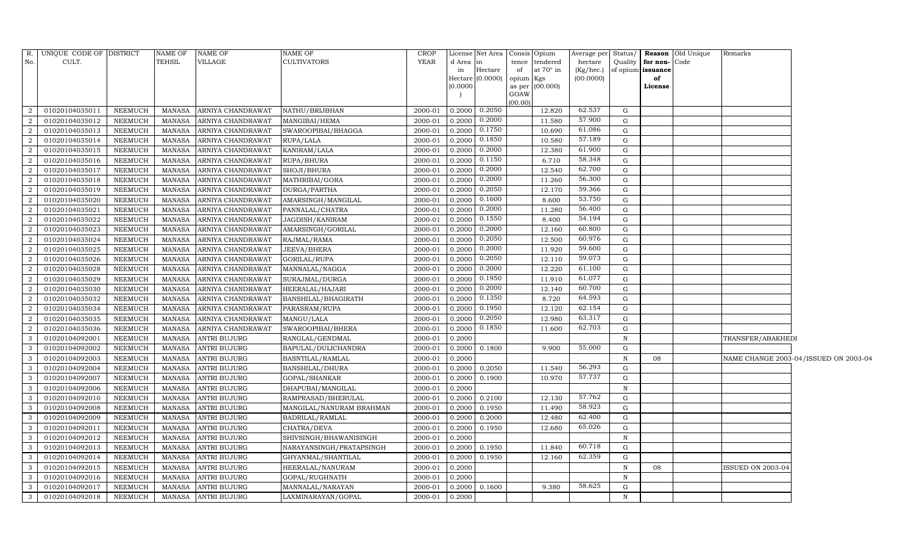| No.               | R. UNIQUE CODE OF DISTRICT<br>CULT. |                    | <b>NAME OF</b><br><b>TEHSIL</b> | <b>NAME OF</b><br>VILLAGE           | NAME OF<br><b>CULTIVATORS</b>      | CROP<br><b>YEAR</b> | d Area<br>in     | License Net Area   Consis   Opium<br>Hectare<br>Hectare (0.0000) | tence<br>of<br>opium Kgs | tendered<br>at $70^\circ$ in | Average per Status/<br>hectare<br>(Kg/hec.)<br>(00.0000) | Quality           | for non-Code<br>of opium issuance<br>of | <b>Reason</b> Old Unique | Remarks           |                                       |
|-------------------|-------------------------------------|--------------------|---------------------------------|-------------------------------------|------------------------------------|---------------------|------------------|------------------------------------------------------------------|--------------------------|------------------------------|----------------------------------------------------------|-------------------|-----------------------------------------|--------------------------|-------------------|---------------------------------------|
|                   |                                     |                    |                                 |                                     |                                    |                     | (0.0000)         |                                                                  | GOAW<br>(00.00)          | as per (00.000)              |                                                          |                   | License                                 |                          |                   |                                       |
|                   | 01020104035011                      | <b>NEEMUCH</b>     | <b>MANASA</b>                   | ARNIYA CHANDRAWAT                   | NATHU/BRIJBHAN                     | 2000-01             | 0.2000           | 0.2050                                                           |                          | 12.820                       | 62.537                                                   | G                 |                                         |                          |                   |                                       |
| 2                 | 01020104035012                      | NEEMUCH            | MANASA                          | ARNIYA CHANDRAWAT                   | MANGIBAI/HEMA                      | 2000-01             | 0.2000           | 0.2000                                                           |                          | 11.580                       | 57.900                                                   | G                 |                                         |                          |                   |                                       |
| $\overline{2}$    | 01020104035013                      | <b>NEEMUCH</b>     | <b>MANASA</b>                   | ARNIYA CHANDRAWAT                   | SWAROOPIBAI/BHAGGA                 | 2000-01             | 0.2000           | 0.1750                                                           |                          | 10.690                       | 61.086                                                   | G                 |                                         |                          |                   |                                       |
| 2                 | 01020104035014                      | <b>NEEMUCH</b>     | <b>MANASA</b>                   | ARNIYA CHANDRAWAT                   | RUPA/LALA                          | 2000-01             | 0.2000           | 0.1850                                                           |                          | 10.580                       | 57.189                                                   | G                 |                                         |                          |                   |                                       |
| $\overline{2}$    | 01020104035015                      | <b>NEEMUCH</b>     | <b>MANASA</b>                   | ARNIYA CHANDRAWAT                   | KANIRAM/LALA                       | 2000-01             | 0.2000           | 0.2000                                                           |                          | 12.380                       | 61.900                                                   | G                 |                                         |                          |                   |                                       |
| $\overline{2}$    | 01020104035016                      | <b>NEEMUCH</b>     | <b>MANASA</b>                   | ARNIYA CHANDRAWAT                   | RUPA/BHURA                         | 2000-01             | 0.2000           | 0.1150                                                           |                          | 6.710                        | 58.348                                                   | G                 |                                         |                          |                   |                                       |
| $\overline{2}$    | 01020104035017                      | <b>NEEMUCH</b>     | MANASA                          | ARNIYA CHANDRAWAT                   | SHOJI/BHURA                        | 2000-01             | 0.2000           | 0.2000                                                           |                          | 12.540                       | 62.700                                                   | G                 |                                         |                          |                   |                                       |
| 2                 | 01020104035018                      | <b>NEEMUCH</b>     | <b>MANASA</b>                   | ARNIYA CHANDRAWAT                   | MATHRIBAI/GORA                     | 2000-01             | 0.2000           | 0.2000                                                           |                          | 11.260                       | 56.300                                                   | G                 |                                         |                          |                   |                                       |
| $\overline{2}$    | 01020104035019                      | <b>NEEMUCH</b>     | <b>MANASA</b>                   | ARNIYA CHANDRAWAT                   | DURGA/PARTHA                       | 2000-01             | 0.2000           | 0.2050                                                           |                          | 12.170                       | 59.366                                                   | G                 |                                         |                          |                   |                                       |
| 2                 | 01020104035020                      | <b>NEEMUCH</b>     | MANASA                          | ARNIYA CHANDRAWAT                   | AMARSINGH/MANGILAL                 | 2000-01             | 0.2000           | 0.1600                                                           |                          | 8.600                        | 53.750                                                   | G                 |                                         |                          |                   |                                       |
| $\overline{2}$    | 01020104035021                      | <b>NEEMUCH</b>     | <b>MANASA</b>                   | ARNIYA CHANDRAWAT                   | PANNALAL/CHATRA                    | 2000-01             | 0.2000           | 0.2000                                                           |                          | 11.280                       | 56.400                                                   | G                 |                                         |                          |                   |                                       |
| 2                 | 01020104035022                      | <b>NEEMUCH</b>     | <b>MANASA</b>                   | ARNIYA CHANDRAWAT                   | JAGDISH/KANIRAM                    | 2000-01             | 0.2000           | 0.1550                                                           |                          | 8.400                        | 54.194                                                   | G                 |                                         |                          |                   |                                       |
| $\overline{2}$    | 01020104035023                      | <b>NEEMUCH</b>     | <b>MANASA</b>                   | ARNIYA CHANDRAWAT                   | AMARSINGH/GORILAL                  | 2000-01             | 0.2000           | 0.2000                                                           |                          | 12.160                       | 60.800                                                   | G                 |                                         |                          |                   |                                       |
| $\overline{2}$    | 01020104035024                      | <b>NEEMUCH</b>     | <b>MANASA</b>                   | ARNIYA CHANDRAWAT                   | RAJMAL/RAMA                        | 2000-01             | 0.2000           | 0.2050                                                           |                          | 12.500                       | 60.976                                                   | G                 |                                         |                          |                   |                                       |
| $\overline{2}$    | 01020104035025                      | <b>NEEMUCH</b>     | MANASA                          | ARNIYA CHANDRAWAT                   | JEEVA/BHERA                        | 2000-01             | 0.2000           | 0.2000                                                           |                          | 11.920                       | 59.600                                                   | G                 |                                         |                          |                   |                                       |
| 2                 | 01020104035026                      | NEEMUCH            | <b>MANASA</b>                   | ARNIYA CHANDRAWAT                   | GORILAL/RUPA                       | 2000-01             | 0.2000           | 0.2050                                                           |                          | 12.110                       | 59.073                                                   | G                 |                                         |                          |                   |                                       |
| $\overline{2}$    | 01020104035028                      | <b>NEEMUCH</b>     | <b>MANASA</b>                   | ARNIYA CHANDRAWAT                   | MANNALAL/NAGGA                     | 2000-01             | 0.2000           | 0.2000                                                           |                          | 12.220                       | 61.100                                                   | G                 |                                         |                          |                   |                                       |
| $\overline{2}$    | 01020104035029                      | <b>NEEMUCH</b>     | MANASA                          | ARNIYA CHANDRAWAT                   | SURAJMAL/DURGA                     | 2000-01             | 0.2000           | 0.1950                                                           |                          | 11.910                       | 61.077                                                   | G                 |                                         |                          |                   |                                       |
| $\overline{2}$    | 01020104035030                      | <b>NEEMUCH</b>     | <b>MANASA</b>                   | ARNIYA CHANDRAWAT                   | HEERALAL/HAJARI                    | 2000-01             | 0.2000           | 0.2000                                                           |                          | 12.140                       | 60.700                                                   | G                 |                                         |                          |                   |                                       |
| 2                 | 01020104035032                      | <b>NEEMUCH</b>     | MANASA                          | ARNIYA CHANDRAWAT                   | BANSHILAL/BHAGIRATH                | 2000-01             | 0.2000           | 0.1350                                                           |                          | 8.720                        | 64.593                                                   | G                 |                                         |                          |                   |                                       |
| $\overline{2}$    | 01020104035034                      | <b>NEEMUCH</b>     | <b>MANASA</b>                   | ARNIYA CHANDRAWAT                   | PARASRAM/RUPA                      | 2000-01             | 0.2000           | 0.1950                                                           |                          | 12.120                       | 62.154                                                   | G                 |                                         |                          |                   |                                       |
| $\overline{2}$    | 01020104035035                      | <b>NEEMUCH</b>     | <b>MANASA</b>                   | ARNIYA CHANDRAWAT                   | MANGU/LALA                         | 2000-01             | 0.2000           | 0.2050                                                           |                          | 12.980                       | 63.317                                                   | G                 |                                         |                          |                   |                                       |
| $\overline{a}$    | 01020104035036                      | <b>NEEMUCH</b>     | <b>MANASA</b>                   | ARNIYA CHANDRAWAT                   | SWAROOPIBAI/BHERA                  | 2000-01             | 0.2000           | 0.1850                                                           |                          | 11.600                       | 62.703                                                   | G                 |                                         |                          |                   |                                       |
| $\mathbf{3}$      | 01020104092001                      | NEEMUCH            | MANASA                          | <b>ANTRI BUJURG</b>                 | RANGLAL/GENDMAL                    | 2000-01             | 0.2000           |                                                                  |                          |                              |                                                          | N                 |                                         |                          | TRANSFER/ABAKHEDI |                                       |
| 3                 | 01020104092002                      | <b>NEEMUCH</b>     | <b>MANASA</b>                   | ANTRI BUJURG                        | BAPULAL/DULICHANDRA                | 2000-01             | 0.2000           | 0.1800                                                           |                          | 9.900                        | 55.000                                                   | G                 |                                         |                          |                   |                                       |
| 3                 | 01020104092003                      | NEEMUCH            | MANASA                          | <b>ANTRI BUJURG</b>                 | BASNTILAL/RAMLAL                   | 2000-01             | 0.2000           |                                                                  |                          |                              |                                                          | N                 | 08                                      |                          |                   | NAME CHANGE 2003-04/ISSUED ON 2003-04 |
| $\mathbf{3}$      | 01020104092004                      | NEEMUCH            | <b>MANASA</b>                   | <b>ANTRI BUJURG</b>                 | <b>BANSHILAL/DHURA</b>             | 2000-01             | 0.2000           | 0.2050                                                           |                          | 11.540                       | 56.293                                                   | G                 |                                         |                          |                   |                                       |
| $\mathbf{3}$      | 01020104092007                      | <b>NEEMUCH</b>     | MANASA                          | <b>ANTRI BUJURG</b>                 | GOPAL/SHANKAR                      | 2000-01             | 0.2000           | 0.1900                                                           |                          | 10.970                       | 57.737                                                   | G                 |                                         |                          |                   |                                       |
| 3                 | 01020104092006                      | <b>NEEMUCH</b>     | <b>MANASA</b>                   | <b>ANTRI BUJURG</b>                 | DHAPUBAI/MANGILAL                  | 2000-01             | 0.2000           |                                                                  |                          |                              | 57.762                                                   | $\mathbf N$       |                                         |                          |                   |                                       |
| 3                 | 01020104092010                      | NEEMUCH            | MANASA                          | <b>ANTRI BUJURG</b>                 | RAMPRASAD/BHERULAL                 | 2000-01             | 0.2000           | 0.2100                                                           |                          | 12.130                       | 58.923                                                   | G                 |                                         |                          |                   |                                       |
| $\mathbf{3}$      | 01020104092008                      | NEEMUCH            | MANASA                          | <b>ANTRI BUJURG</b>                 | MANGILAL/NANURAM BRAHMAN           | 2000-01             | 0.2000           | 0.1950                                                           |                          | 11.490                       | 62.400                                                   | G                 |                                         |                          |                   |                                       |
| $\mathbf{3}$      | 01020104092009                      | NEEMUCH            | MANASA                          | <b>ANTRI BUJURG</b>                 | BADRILAL/RAMLAL                    | 2000-01             | 0.2000           | 0.2000                                                           |                          | 12.480                       | 65.026                                                   | G                 |                                         |                          |                   |                                       |
| 3                 | 01020104092011                      | <b>NEEMUCH</b>     | <b>MANASA</b>                   | ANTRI BUJURG                        | CHATRA/DEVA                        | 2000-01             | 0.2000           | 0.1950                                                           |                          | 12.680                       |                                                          | G                 |                                         |                          |                   |                                       |
| 3<br>$\mathbf{3}$ | 01020104092012                      | <b>NEEMUCH</b>     | MANASA                          | ANTRI BUJURG                        | SHIVSINGH/BHAWANISINGH             | 2000-01<br>2000-01  | 0.2000           |                                                                  |                          | 11.840                       | 60.718                                                   | $\, {\rm N}$<br>G |                                         |                          |                   |                                       |
| $\mathbf{3}$      | 01020104092013                      | NEEMUCH            | <b>MANASA</b>                   | <b>ANTRI BUJURG</b>                 | NARAYANSINGH/PRATAPSINGH           |                     | 0.2000           | 0.1950                                                           |                          |                              | 62.359                                                   | G                 |                                         |                          |                   |                                       |
| 3                 | 01020104092014                      | NEEMUCH            | MANASA                          | <b>ANTRI BUJURG</b>                 | GHYANMAL/SHANTILAL                 | 2000-01             | 0.2000           | 0.1950                                                           |                          | 12.160                       |                                                          | N                 |                                         |                          |                   |                                       |
| 3                 | 01020104092015                      | <b>NEEMUCH</b>     | <b>MANASA</b><br><b>MANASA</b>  | ANTRI BUJURG                        | HEERALAL/NANURAM                   | 2000-01<br>2000-01  | 0.2000           |                                                                  |                          |                              |                                                          | N                 | 08                                      |                          | ISSUED ON 2003-04 |                                       |
| $\mathbf{3}$      | 01020104092016<br>01020104092017    | NEEMUCH<br>NEEMUCH | MANASA                          | ANTRI BUJURG<br><b>ANTRI BUJURG</b> | GOPAL/RUGHNATH<br>MANNALAL/NARAYAN | 2000-01             | 0.2000<br>0.2000 | 0.1600                                                           |                          | 9.380                        | 58.625                                                   | G                 |                                         |                          |                   |                                       |
| $\mathbf{3}$      | 01020104092018                      | <b>NEEMUCH</b>     |                                 | MANASA ANTRI BUJURG                 | LAXMINARAYAN/GOPAL                 | 2000-01             | 0.2000           |                                                                  |                          |                              |                                                          | $\mathbf N$       |                                         |                          |                   |                                       |
|                   |                                     |                    |                                 |                                     |                                    |                     |                  |                                                                  |                          |                              |                                                          |                   |                                         |                          |                   |                                       |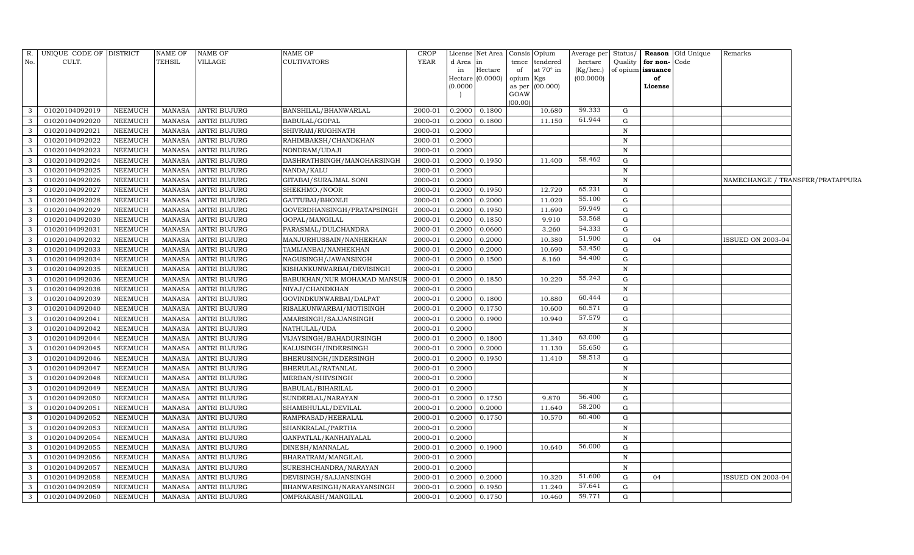| CULT.<br>TEHSIL<br>VILLAGE<br><b>CULTIVATORS</b><br>YEAR<br>No.<br>d Area<br>tendered<br>Quality<br>for non-Code<br>in<br>tence<br>hectare<br>Hectare<br>of<br>at $70^\circ$ in<br>of opium <b>issuance</b><br>in<br>(Kg/hec.)<br>(0.0000)<br>(00.0000)<br>opium<br>of<br>Hectare<br>Kgs<br>(0.0000)<br>(00.000)<br>License<br>as per<br>GOAW<br>(00.00)<br>59.333<br>01020104092019<br>NEEMUCH<br>MANASA<br><b>ANTRI BUJURG</b><br>BANSHILAL/BHANWARLAL<br>0.2000<br>0.1800<br>10.680<br>G<br>3<br>2000-01<br>61.944<br>01020104092020<br><b>NEEMUCH</b><br><b>ANTRI BUJURG</b><br>0.1800<br>$\mathbf G$<br>3<br><b>MANASA</b><br>BABULAL/GOPAL<br>2000-01<br>0.2000<br>11.150<br>01020104092021<br>3<br>NEEMUCH<br>MANASA<br><b>ANTRI BUJURG</b><br>SHIVRAM/RUGHNATH<br>2000-01<br>0.2000<br>$\mathbf N$<br>$\mathbf{3}$<br>01020104092022<br>NEEMUCH<br><b>ANTRI BUJURG</b><br>2000-01<br>$\mathbf N$<br>MANASA<br>RAHIMBAKSH/CHANDKHAN<br>0.2000<br>$\mathbf{3}$<br>01020104092023<br>NEEMUCH<br><b>MANASA</b><br><b>ANTRI BUJURG</b><br>NONDRAM/UDAJI<br>2000-01<br>0.2000<br>$\mathbf N$<br>58.462<br>3<br>01020104092024<br>NEEMUCH<br>ANTRI BUJURG<br>2000-01<br>0.1950<br>11.400<br>G<br>MANASA<br>DASHRATHSINGH/MANOHARSINGH<br>0.2000<br>$\mathbf{3}$<br>01020104092025<br><b>NEEMUCH</b><br><b>MANASA</b><br>2000-01<br>0.2000<br>$\mathbf N$<br>ANTRI BUJURG<br>NANDA/KALU<br>01020104092026<br><b>NEEMUCH</b><br>GITABAI/SURAJMAL SONI<br>$\mathbf{3}$<br><b>MANASA</b><br>ANTRI BUJURG<br>2000-01<br>0.2000<br>$\,$ N<br>NAMECHANGE / TRANSFER/PRATAPPURA<br>65.231<br>$\overline{3}$<br>01020104092027<br>NEEMUCH<br><b>MANASA</b><br><b>ANTRI BUJURG</b><br>SHEKHMO./NOOR<br>2000-01<br>0.2000<br>0.1950<br>12.720<br>$\mathbf G$<br>55.100<br>0.2000<br>3<br>01020104092028<br><b>NEEMUCH</b><br><b>MANASA</b><br><b>ANTRI BUJURG</b><br>GATTUBAI/BHONIJI<br>2000-01<br>0.2000<br>11.020<br>G<br>59.949<br>$\mathbf{3}$<br>01020104092029<br><b>NEEMUCH</b><br><b>MANASA</b><br><b>ANTRI BUJURG</b><br>GOVERDHANSINGH/PRATAPSINGH<br>2000-01<br>0.2000<br>0.1950<br>11.690<br>G<br>53.568<br>$\overline{3}$<br>01020104092030<br>9.910<br>G<br><b>NEEMUCH</b><br><b>MANASA</b><br><b>ANTRI BUJURG</b><br>2000-01<br>0.2000<br>0.1850<br>GOPAL/MANGILAL<br>54.333<br>$\mathbf{3}$<br>01020104092031<br>NEEMUCH<br>MANASA<br>2000-01<br>0.2000<br>0.0600<br>3.260<br>G<br><b>ANTRI BUJURG</b><br>PARASMAL/DULCHANDRA<br>51.900<br>3<br>01020104092032<br>10.380<br>G<br>NEEMUCH<br>MANASA<br>ANTRI BUJURG<br>MANJURHUSSAIN/NANHEKHAN<br>2000-01<br>0.2000<br>0.2000<br>04<br>ISSUED ON 2003-04<br>53.450<br>$\mathbf{3}$<br>01020104092033<br>$\mbox{MANASA}$<br>2000-01<br>0.2000<br>10.690<br>G<br>NEEMUCH<br>ANTRI BUJURG<br>TAMIJANBAI/NANHEKHAN<br>0.2000<br>54.400<br>$\mathbf{3}$<br>01020104092034<br>NEEMUCH<br>MANASA<br>ANTRI BUJURG<br>2000-01<br>0.1500<br>G<br>NAGUSINGH/JAWANSINGH<br>0.2000<br>8.160<br>$\overline{\mathbf{3}}$<br>01020104092035<br>NEEMUCH<br><b>MANASA</b><br><b>ANTRI BUJURG</b><br>KISHANKUNWARBAI/DEVISINGH<br>2000-01<br>0.2000<br>$\mathbf N$<br>55.243<br>3<br>01020104092036<br><b>NEEMUCH</b><br>MANASA<br>ANTRI BUJURG<br>2000-01<br>0.2000<br>0.1850<br>10.220<br>$\mathbf G$<br>BABUKHAN/NUR MOHAMAD MANSUI<br>$\mathbf{3}$<br>01020104092038<br>NEEMUCH<br><b>MANASA</b><br>ANTRI BUJURG<br>NIYAJ/CHANDKHAN<br>2000-01<br>0.2000<br>N<br>60.444<br>$\mathbf{3}$<br>01020104092039<br>${\rm G}$<br><b>NEEMUCH</b><br><b>MANASA</b><br><b>ANTRI BUJURG</b><br>GOVINDKUNWARBAI/DALPAT<br>2000-01<br>0.2000<br>0.1800<br>10.880<br>60.571<br>01020104092040<br><b>NEEMUCH</b><br><b>MANASA</b><br><b>ANTRI BUJURG</b><br>RISALKUNWARBAI/MOTISINGH<br>2000-01<br>0.2000<br>0.1750<br>10.600<br>$\mathbf{3}$<br>G<br>57.579<br>$\mathbf{3}$<br>01020104092041<br><b>NEEMUCH</b><br>AMARSINGH/SAJJANSINGH<br>2000-01<br>10.940<br><b>MANASA</b><br><b>ANTRI BUJURG</b><br>0.2000<br>0.1900<br>G<br>01020104092042<br>MANASA<br>2000-01<br>0.2000<br>$\mathbf{3}$<br>NEEMUCH<br><b>ANTRI BUJURG</b><br>NATHULAL/UDA<br>$\mathbf N$<br>63.000<br>01020104092044<br>$\mathbf{3}$<br>NEEMUCH<br><b>ANTRI BUJURG</b><br>VIJAYSINGH/BAHADURSINGH<br>2000-01<br>0.2000<br>0.1800<br>11.340<br>G<br>MANASA<br>55.650<br>$\mathbf{3}$<br>01020104092045<br><b>MANASA</b><br><b>ANTRI BUJURG</b><br>KALUSINGH/INDERSINGH<br>2000-01<br>0.2000<br>0.2000<br>11.130<br>NEEMUCH<br>G<br>58.513<br>3<br>NEEMUCH<br>0.2000<br>0.1950<br>11.410<br>G<br>01020104092046<br>MANASA<br><b>ANTRI BUJURG</b><br>BHERUSINGH/INDERSINGH<br>2000-01<br>$\mathbf{3}$<br>01020104092047<br>NEEMUCH<br><b>MANASA</b><br><b>ANTRI BUJURG</b><br>BHERULAL/RATANLAL<br>2000-01<br>0.2000<br>N<br>$\mathbf{3}$<br>01020104092048<br>NEEMUCH<br><b>MANASA</b><br><b>ANTRI BUJURG</b><br>MERBAN/SHIVSINGH<br>2000-01<br>0.2000<br>$\,$ N<br>01020104092049<br><b>NEEMUCH</b><br>MANASA<br>$\mathbf{3}$<br><b>ANTRI BUJURG</b><br>BABULAL/BIHARILAL<br>2000-01<br>0.2000<br>$\mathbf N$<br>56.400<br>$\mathbf{3}$<br>01020104092050<br>SUNDERLAL/NARAYAN<br>9.870<br>NEEMUCH<br><b>MANASA</b><br><b>ANTRI BUJURG</b><br>2000-01<br>0.2000<br>0.1750<br>$\mathbf G$<br>58.200<br>01020104092051<br><b>NEEMUCH</b><br>MANASA<br>2000-01<br>0.2000<br>11.640<br>$\mathbf{3}$<br><b>ANTRI BUJURG</b><br>SHAMBHULAL/DEVILAL<br>0.2000<br>G<br>60.400<br>01020104092052<br>$\mathbf{3}$<br><b>NEEMUCH</b><br><b>ANTRI BUJURG</b><br>RAMPRASAD/HEERALAL<br>2000-01<br>0.1750<br>10.570<br>$\mathbf G$<br><b>MANASA</b><br>0.2000<br>$\mathbf{3}$<br>01020104092053<br><b>NEEMUCH</b><br><b>MANASA</b><br><b>ANTRI BUJURG</b><br>2000-01<br>0.2000<br>SHANKRALAL/PARTHA<br>N<br>$\mathbf{3}$<br>01020104092054<br>NEEMUCH<br><b>MANASA</b><br>0.2000<br>$\mathbf N$<br><b>ANTRI BUJURG</b><br>GANPATLAL/KANHAIYALAL<br>2000-01<br>56.000<br>$\mathbf{3}$<br>01020104092055<br>NEEMUCH<br><b>MANASA</b><br><b>ANTRI BUJURG</b><br>DINESH/MANNALAL<br>2000-01<br>0.2000<br>0.1900<br>10.640<br>G<br>$\mathbf{3}$<br>01020104092056<br>NEEMUCH<br><b>MANASA</b><br><b>ANTRI BUJURG</b><br>2000-01<br>0.2000<br>$\mathbf N$<br>BHARATRAM/MANGILAL<br>$\mathbf{3}$<br>01020104092057<br><b>NEEMUCH</b><br><b>MANASA</b><br><b>ANTRI BUJURG</b><br>SURESHCHANDRA/NARAYAN<br>2000-01<br>0.2000<br>$\mathbf N$ | R. | UNIQUE CODE OF DISTRICT | <b>NAME OF</b> | <b>NAME OF</b> | NAME OF | CROP |  | License Net Area   Consis   Opium | Average per | Status/ | <b>Reason</b> Old Unique | Remarks |  |
|----------------------------------------------------------------------------------------------------------------------------------------------------------------------------------------------------------------------------------------------------------------------------------------------------------------------------------------------------------------------------------------------------------------------------------------------------------------------------------------------------------------------------------------------------------------------------------------------------------------------------------------------------------------------------------------------------------------------------------------------------------------------------------------------------------------------------------------------------------------------------------------------------------------------------------------------------------------------------------------------------------------------------------------------------------------------------------------------------------------------------------------------------------------------------------------------------------------------------------------------------------------------------------------------------------------------------------------------------------------------------------------------------------------------------------------------------------------------------------------------------------------------------------------------------------------------------------------------------------------------------------------------------------------------------------------------------------------------------------------------------------------------------------------------------------------------------------------------------------------------------------------------------------------------------------------------------------------------------------------------------------------------------------------------------------------------------------------------------------------------------------------------------------------------------------------------------------------------------------------------------------------------------------------------------------------------------------------------------------------------------------------------------------------------------------------------------------------------------------------------------------------------------------------------------------------------------------------------------------------------------------------------------------------------------------------------------------------------------------------------------------------------------------------------------------------------------------------------------------------------------------------------------------------------------------------------------------------------------------------------------------------------------------------------------------------------------------------------------------------------------------------------------------------------------------------------------------------------------------------------------------------------------------------------------------------------------------------------------------------------------------------------------------------------------------------------------------------------------------------------------------------------------------------------------------------------------------------------------------------------------------------------------------------------------------------------------------------------------------------------------------------------------------------------------------------------------------------------------------------------------------------------------------------------------------------------------------------------------------------------------------------------------------------------------------------------------------------------------------------------------------------------------------------------------------------------------------------------------------------------------------------------------------------------------------------------------------------------------------------------------------------------------------------------------------------------------------------------------------------------------------------------------------------------------------------------------------------------------------------------------------------------------------------------------------------------------------------------------------------------------------------------------------------------------------------------------------------------------------------------------------------------------------------------------------------------------------------------------------------------------------------------------------------------------------------------------------------------------------------------------------------------------------------------------------------------------------------------------------------------------------------------------------------------------------------------------------------------------------------------------------------------------------------------------------------------------------------------------------------------------------------------------------------------------------------------------------------------------------------------------------------------------------------------------------------------------------------------------------------------------------------------------------------------------------------------------------------------------------------------------------------------------------------------------------------------------------------------------------------------------------------------------------------------------------------------------------------------------------------------------------------------------------------------------------------------------------------------------------------------------------------------------------------------------------------------|----|-------------------------|----------------|----------------|---------|------|--|-----------------------------------|-------------|---------|--------------------------|---------|--|
|                                                                                                                                                                                                                                                                                                                                                                                                                                                                                                                                                                                                                                                                                                                                                                                                                                                                                                                                                                                                                                                                                                                                                                                                                                                                                                                                                                                                                                                                                                                                                                                                                                                                                                                                                                                                                                                                                                                                                                                                                                                                                                                                                                                                                                                                                                                                                                                                                                                                                                                                                                                                                                                                                                                                                                                                                                                                                                                                                                                                                                                                                                                                                                                                                                                                                                                                                                                                                                                                                                                                                                                                                                                                                                                                                                                                                                                                                                                                                                                                                                                                                                                                                                                                                                                                                                                                                                                                                                                                                                                                                                                                                                                                                                                                                                                                                                                                                                                                                                                                                                                                                                                                                                                                                                                                                                                                                                                                                                                                                                                                                                                                                                                                                                                                                                                                                                                                                                                                                                                                                                                                                                                                                                                                                                                                                                                      |    |                         |                |                |         |      |  |                                   |             |         |                          |         |  |
|                                                                                                                                                                                                                                                                                                                                                                                                                                                                                                                                                                                                                                                                                                                                                                                                                                                                                                                                                                                                                                                                                                                                                                                                                                                                                                                                                                                                                                                                                                                                                                                                                                                                                                                                                                                                                                                                                                                                                                                                                                                                                                                                                                                                                                                                                                                                                                                                                                                                                                                                                                                                                                                                                                                                                                                                                                                                                                                                                                                                                                                                                                                                                                                                                                                                                                                                                                                                                                                                                                                                                                                                                                                                                                                                                                                                                                                                                                                                                                                                                                                                                                                                                                                                                                                                                                                                                                                                                                                                                                                                                                                                                                                                                                                                                                                                                                                                                                                                                                                                                                                                                                                                                                                                                                                                                                                                                                                                                                                                                                                                                                                                                                                                                                                                                                                                                                                                                                                                                                                                                                                                                                                                                                                                                                                                                                                      |    |                         |                |                |         |      |  |                                   |             |         |                          |         |  |
|                                                                                                                                                                                                                                                                                                                                                                                                                                                                                                                                                                                                                                                                                                                                                                                                                                                                                                                                                                                                                                                                                                                                                                                                                                                                                                                                                                                                                                                                                                                                                                                                                                                                                                                                                                                                                                                                                                                                                                                                                                                                                                                                                                                                                                                                                                                                                                                                                                                                                                                                                                                                                                                                                                                                                                                                                                                                                                                                                                                                                                                                                                                                                                                                                                                                                                                                                                                                                                                                                                                                                                                                                                                                                                                                                                                                                                                                                                                                                                                                                                                                                                                                                                                                                                                                                                                                                                                                                                                                                                                                                                                                                                                                                                                                                                                                                                                                                                                                                                                                                                                                                                                                                                                                                                                                                                                                                                                                                                                                                                                                                                                                                                                                                                                                                                                                                                                                                                                                                                                                                                                                                                                                                                                                                                                                                                                      |    |                         |                |                |         |      |  |                                   |             |         |                          |         |  |
|                                                                                                                                                                                                                                                                                                                                                                                                                                                                                                                                                                                                                                                                                                                                                                                                                                                                                                                                                                                                                                                                                                                                                                                                                                                                                                                                                                                                                                                                                                                                                                                                                                                                                                                                                                                                                                                                                                                                                                                                                                                                                                                                                                                                                                                                                                                                                                                                                                                                                                                                                                                                                                                                                                                                                                                                                                                                                                                                                                                                                                                                                                                                                                                                                                                                                                                                                                                                                                                                                                                                                                                                                                                                                                                                                                                                                                                                                                                                                                                                                                                                                                                                                                                                                                                                                                                                                                                                                                                                                                                                                                                                                                                                                                                                                                                                                                                                                                                                                                                                                                                                                                                                                                                                                                                                                                                                                                                                                                                                                                                                                                                                                                                                                                                                                                                                                                                                                                                                                                                                                                                                                                                                                                                                                                                                                                                      |    |                         |                |                |         |      |  |                                   |             |         |                          |         |  |
|                                                                                                                                                                                                                                                                                                                                                                                                                                                                                                                                                                                                                                                                                                                                                                                                                                                                                                                                                                                                                                                                                                                                                                                                                                                                                                                                                                                                                                                                                                                                                                                                                                                                                                                                                                                                                                                                                                                                                                                                                                                                                                                                                                                                                                                                                                                                                                                                                                                                                                                                                                                                                                                                                                                                                                                                                                                                                                                                                                                                                                                                                                                                                                                                                                                                                                                                                                                                                                                                                                                                                                                                                                                                                                                                                                                                                                                                                                                                                                                                                                                                                                                                                                                                                                                                                                                                                                                                                                                                                                                                                                                                                                                                                                                                                                                                                                                                                                                                                                                                                                                                                                                                                                                                                                                                                                                                                                                                                                                                                                                                                                                                                                                                                                                                                                                                                                                                                                                                                                                                                                                                                                                                                                                                                                                                                                                      |    |                         |                |                |         |      |  |                                   |             |         |                          |         |  |
|                                                                                                                                                                                                                                                                                                                                                                                                                                                                                                                                                                                                                                                                                                                                                                                                                                                                                                                                                                                                                                                                                                                                                                                                                                                                                                                                                                                                                                                                                                                                                                                                                                                                                                                                                                                                                                                                                                                                                                                                                                                                                                                                                                                                                                                                                                                                                                                                                                                                                                                                                                                                                                                                                                                                                                                                                                                                                                                                                                                                                                                                                                                                                                                                                                                                                                                                                                                                                                                                                                                                                                                                                                                                                                                                                                                                                                                                                                                                                                                                                                                                                                                                                                                                                                                                                                                                                                                                                                                                                                                                                                                                                                                                                                                                                                                                                                                                                                                                                                                                                                                                                                                                                                                                                                                                                                                                                                                                                                                                                                                                                                                                                                                                                                                                                                                                                                                                                                                                                                                                                                                                                                                                                                                                                                                                                                                      |    |                         |                |                |         |      |  |                                   |             |         |                          |         |  |
|                                                                                                                                                                                                                                                                                                                                                                                                                                                                                                                                                                                                                                                                                                                                                                                                                                                                                                                                                                                                                                                                                                                                                                                                                                                                                                                                                                                                                                                                                                                                                                                                                                                                                                                                                                                                                                                                                                                                                                                                                                                                                                                                                                                                                                                                                                                                                                                                                                                                                                                                                                                                                                                                                                                                                                                                                                                                                                                                                                                                                                                                                                                                                                                                                                                                                                                                                                                                                                                                                                                                                                                                                                                                                                                                                                                                                                                                                                                                                                                                                                                                                                                                                                                                                                                                                                                                                                                                                                                                                                                                                                                                                                                                                                                                                                                                                                                                                                                                                                                                                                                                                                                                                                                                                                                                                                                                                                                                                                                                                                                                                                                                                                                                                                                                                                                                                                                                                                                                                                                                                                                                                                                                                                                                                                                                                                                      |    |                         |                |                |         |      |  |                                   |             |         |                          |         |  |
|                                                                                                                                                                                                                                                                                                                                                                                                                                                                                                                                                                                                                                                                                                                                                                                                                                                                                                                                                                                                                                                                                                                                                                                                                                                                                                                                                                                                                                                                                                                                                                                                                                                                                                                                                                                                                                                                                                                                                                                                                                                                                                                                                                                                                                                                                                                                                                                                                                                                                                                                                                                                                                                                                                                                                                                                                                                                                                                                                                                                                                                                                                                                                                                                                                                                                                                                                                                                                                                                                                                                                                                                                                                                                                                                                                                                                                                                                                                                                                                                                                                                                                                                                                                                                                                                                                                                                                                                                                                                                                                                                                                                                                                                                                                                                                                                                                                                                                                                                                                                                                                                                                                                                                                                                                                                                                                                                                                                                                                                                                                                                                                                                                                                                                                                                                                                                                                                                                                                                                                                                                                                                                                                                                                                                                                                                                                      |    |                         |                |                |         |      |  |                                   |             |         |                          |         |  |
|                                                                                                                                                                                                                                                                                                                                                                                                                                                                                                                                                                                                                                                                                                                                                                                                                                                                                                                                                                                                                                                                                                                                                                                                                                                                                                                                                                                                                                                                                                                                                                                                                                                                                                                                                                                                                                                                                                                                                                                                                                                                                                                                                                                                                                                                                                                                                                                                                                                                                                                                                                                                                                                                                                                                                                                                                                                                                                                                                                                                                                                                                                                                                                                                                                                                                                                                                                                                                                                                                                                                                                                                                                                                                                                                                                                                                                                                                                                                                                                                                                                                                                                                                                                                                                                                                                                                                                                                                                                                                                                                                                                                                                                                                                                                                                                                                                                                                                                                                                                                                                                                                                                                                                                                                                                                                                                                                                                                                                                                                                                                                                                                                                                                                                                                                                                                                                                                                                                                                                                                                                                                                                                                                                                                                                                                                                                      |    |                         |                |                |         |      |  |                                   |             |         |                          |         |  |
|                                                                                                                                                                                                                                                                                                                                                                                                                                                                                                                                                                                                                                                                                                                                                                                                                                                                                                                                                                                                                                                                                                                                                                                                                                                                                                                                                                                                                                                                                                                                                                                                                                                                                                                                                                                                                                                                                                                                                                                                                                                                                                                                                                                                                                                                                                                                                                                                                                                                                                                                                                                                                                                                                                                                                                                                                                                                                                                                                                                                                                                                                                                                                                                                                                                                                                                                                                                                                                                                                                                                                                                                                                                                                                                                                                                                                                                                                                                                                                                                                                                                                                                                                                                                                                                                                                                                                                                                                                                                                                                                                                                                                                                                                                                                                                                                                                                                                                                                                                                                                                                                                                                                                                                                                                                                                                                                                                                                                                                                                                                                                                                                                                                                                                                                                                                                                                                                                                                                                                                                                                                                                                                                                                                                                                                                                                                      |    |                         |                |                |         |      |  |                                   |             |         |                          |         |  |
|                                                                                                                                                                                                                                                                                                                                                                                                                                                                                                                                                                                                                                                                                                                                                                                                                                                                                                                                                                                                                                                                                                                                                                                                                                                                                                                                                                                                                                                                                                                                                                                                                                                                                                                                                                                                                                                                                                                                                                                                                                                                                                                                                                                                                                                                                                                                                                                                                                                                                                                                                                                                                                                                                                                                                                                                                                                                                                                                                                                                                                                                                                                                                                                                                                                                                                                                                                                                                                                                                                                                                                                                                                                                                                                                                                                                                                                                                                                                                                                                                                                                                                                                                                                                                                                                                                                                                                                                                                                                                                                                                                                                                                                                                                                                                                                                                                                                                                                                                                                                                                                                                                                                                                                                                                                                                                                                                                                                                                                                                                                                                                                                                                                                                                                                                                                                                                                                                                                                                                                                                                                                                                                                                                                                                                                                                                                      |    |                         |                |                |         |      |  |                                   |             |         |                          |         |  |
|                                                                                                                                                                                                                                                                                                                                                                                                                                                                                                                                                                                                                                                                                                                                                                                                                                                                                                                                                                                                                                                                                                                                                                                                                                                                                                                                                                                                                                                                                                                                                                                                                                                                                                                                                                                                                                                                                                                                                                                                                                                                                                                                                                                                                                                                                                                                                                                                                                                                                                                                                                                                                                                                                                                                                                                                                                                                                                                                                                                                                                                                                                                                                                                                                                                                                                                                                                                                                                                                                                                                                                                                                                                                                                                                                                                                                                                                                                                                                                                                                                                                                                                                                                                                                                                                                                                                                                                                                                                                                                                                                                                                                                                                                                                                                                                                                                                                                                                                                                                                                                                                                                                                                                                                                                                                                                                                                                                                                                                                                                                                                                                                                                                                                                                                                                                                                                                                                                                                                                                                                                                                                                                                                                                                                                                                                                                      |    |                         |                |                |         |      |  |                                   |             |         |                          |         |  |
|                                                                                                                                                                                                                                                                                                                                                                                                                                                                                                                                                                                                                                                                                                                                                                                                                                                                                                                                                                                                                                                                                                                                                                                                                                                                                                                                                                                                                                                                                                                                                                                                                                                                                                                                                                                                                                                                                                                                                                                                                                                                                                                                                                                                                                                                                                                                                                                                                                                                                                                                                                                                                                                                                                                                                                                                                                                                                                                                                                                                                                                                                                                                                                                                                                                                                                                                                                                                                                                                                                                                                                                                                                                                                                                                                                                                                                                                                                                                                                                                                                                                                                                                                                                                                                                                                                                                                                                                                                                                                                                                                                                                                                                                                                                                                                                                                                                                                                                                                                                                                                                                                                                                                                                                                                                                                                                                                                                                                                                                                                                                                                                                                                                                                                                                                                                                                                                                                                                                                                                                                                                                                                                                                                                                                                                                                                                      |    |                         |                |                |         |      |  |                                   |             |         |                          |         |  |
|                                                                                                                                                                                                                                                                                                                                                                                                                                                                                                                                                                                                                                                                                                                                                                                                                                                                                                                                                                                                                                                                                                                                                                                                                                                                                                                                                                                                                                                                                                                                                                                                                                                                                                                                                                                                                                                                                                                                                                                                                                                                                                                                                                                                                                                                                                                                                                                                                                                                                                                                                                                                                                                                                                                                                                                                                                                                                                                                                                                                                                                                                                                                                                                                                                                                                                                                                                                                                                                                                                                                                                                                                                                                                                                                                                                                                                                                                                                                                                                                                                                                                                                                                                                                                                                                                                                                                                                                                                                                                                                                                                                                                                                                                                                                                                                                                                                                                                                                                                                                                                                                                                                                                                                                                                                                                                                                                                                                                                                                                                                                                                                                                                                                                                                                                                                                                                                                                                                                                                                                                                                                                                                                                                                                                                                                                                                      |    |                         |                |                |         |      |  |                                   |             |         |                          |         |  |
|                                                                                                                                                                                                                                                                                                                                                                                                                                                                                                                                                                                                                                                                                                                                                                                                                                                                                                                                                                                                                                                                                                                                                                                                                                                                                                                                                                                                                                                                                                                                                                                                                                                                                                                                                                                                                                                                                                                                                                                                                                                                                                                                                                                                                                                                                                                                                                                                                                                                                                                                                                                                                                                                                                                                                                                                                                                                                                                                                                                                                                                                                                                                                                                                                                                                                                                                                                                                                                                                                                                                                                                                                                                                                                                                                                                                                                                                                                                                                                                                                                                                                                                                                                                                                                                                                                                                                                                                                                                                                                                                                                                                                                                                                                                                                                                                                                                                                                                                                                                                                                                                                                                                                                                                                                                                                                                                                                                                                                                                                                                                                                                                                                                                                                                                                                                                                                                                                                                                                                                                                                                                                                                                                                                                                                                                                                                      |    |                         |                |                |         |      |  |                                   |             |         |                          |         |  |
|                                                                                                                                                                                                                                                                                                                                                                                                                                                                                                                                                                                                                                                                                                                                                                                                                                                                                                                                                                                                                                                                                                                                                                                                                                                                                                                                                                                                                                                                                                                                                                                                                                                                                                                                                                                                                                                                                                                                                                                                                                                                                                                                                                                                                                                                                                                                                                                                                                                                                                                                                                                                                                                                                                                                                                                                                                                                                                                                                                                                                                                                                                                                                                                                                                                                                                                                                                                                                                                                                                                                                                                                                                                                                                                                                                                                                                                                                                                                                                                                                                                                                                                                                                                                                                                                                                                                                                                                                                                                                                                                                                                                                                                                                                                                                                                                                                                                                                                                                                                                                                                                                                                                                                                                                                                                                                                                                                                                                                                                                                                                                                                                                                                                                                                                                                                                                                                                                                                                                                                                                                                                                                                                                                                                                                                                                                                      |    |                         |                |                |         |      |  |                                   |             |         |                          |         |  |
|                                                                                                                                                                                                                                                                                                                                                                                                                                                                                                                                                                                                                                                                                                                                                                                                                                                                                                                                                                                                                                                                                                                                                                                                                                                                                                                                                                                                                                                                                                                                                                                                                                                                                                                                                                                                                                                                                                                                                                                                                                                                                                                                                                                                                                                                                                                                                                                                                                                                                                                                                                                                                                                                                                                                                                                                                                                                                                                                                                                                                                                                                                                                                                                                                                                                                                                                                                                                                                                                                                                                                                                                                                                                                                                                                                                                                                                                                                                                                                                                                                                                                                                                                                                                                                                                                                                                                                                                                                                                                                                                                                                                                                                                                                                                                                                                                                                                                                                                                                                                                                                                                                                                                                                                                                                                                                                                                                                                                                                                                                                                                                                                                                                                                                                                                                                                                                                                                                                                                                                                                                                                                                                                                                                                                                                                                                                      |    |                         |                |                |         |      |  |                                   |             |         |                          |         |  |
|                                                                                                                                                                                                                                                                                                                                                                                                                                                                                                                                                                                                                                                                                                                                                                                                                                                                                                                                                                                                                                                                                                                                                                                                                                                                                                                                                                                                                                                                                                                                                                                                                                                                                                                                                                                                                                                                                                                                                                                                                                                                                                                                                                                                                                                                                                                                                                                                                                                                                                                                                                                                                                                                                                                                                                                                                                                                                                                                                                                                                                                                                                                                                                                                                                                                                                                                                                                                                                                                                                                                                                                                                                                                                                                                                                                                                                                                                                                                                                                                                                                                                                                                                                                                                                                                                                                                                                                                                                                                                                                                                                                                                                                                                                                                                                                                                                                                                                                                                                                                                                                                                                                                                                                                                                                                                                                                                                                                                                                                                                                                                                                                                                                                                                                                                                                                                                                                                                                                                                                                                                                                                                                                                                                                                                                                                                                      |    |                         |                |                |         |      |  |                                   |             |         |                          |         |  |
|                                                                                                                                                                                                                                                                                                                                                                                                                                                                                                                                                                                                                                                                                                                                                                                                                                                                                                                                                                                                                                                                                                                                                                                                                                                                                                                                                                                                                                                                                                                                                                                                                                                                                                                                                                                                                                                                                                                                                                                                                                                                                                                                                                                                                                                                                                                                                                                                                                                                                                                                                                                                                                                                                                                                                                                                                                                                                                                                                                                                                                                                                                                                                                                                                                                                                                                                                                                                                                                                                                                                                                                                                                                                                                                                                                                                                                                                                                                                                                                                                                                                                                                                                                                                                                                                                                                                                                                                                                                                                                                                                                                                                                                                                                                                                                                                                                                                                                                                                                                                                                                                                                                                                                                                                                                                                                                                                                                                                                                                                                                                                                                                                                                                                                                                                                                                                                                                                                                                                                                                                                                                                                                                                                                                                                                                                                                      |    |                         |                |                |         |      |  |                                   |             |         |                          |         |  |
|                                                                                                                                                                                                                                                                                                                                                                                                                                                                                                                                                                                                                                                                                                                                                                                                                                                                                                                                                                                                                                                                                                                                                                                                                                                                                                                                                                                                                                                                                                                                                                                                                                                                                                                                                                                                                                                                                                                                                                                                                                                                                                                                                                                                                                                                                                                                                                                                                                                                                                                                                                                                                                                                                                                                                                                                                                                                                                                                                                                                                                                                                                                                                                                                                                                                                                                                                                                                                                                                                                                                                                                                                                                                                                                                                                                                                                                                                                                                                                                                                                                                                                                                                                                                                                                                                                                                                                                                                                                                                                                                                                                                                                                                                                                                                                                                                                                                                                                                                                                                                                                                                                                                                                                                                                                                                                                                                                                                                                                                                                                                                                                                                                                                                                                                                                                                                                                                                                                                                                                                                                                                                                                                                                                                                                                                                                                      |    |                         |                |                |         |      |  |                                   |             |         |                          |         |  |
|                                                                                                                                                                                                                                                                                                                                                                                                                                                                                                                                                                                                                                                                                                                                                                                                                                                                                                                                                                                                                                                                                                                                                                                                                                                                                                                                                                                                                                                                                                                                                                                                                                                                                                                                                                                                                                                                                                                                                                                                                                                                                                                                                                                                                                                                                                                                                                                                                                                                                                                                                                                                                                                                                                                                                                                                                                                                                                                                                                                                                                                                                                                                                                                                                                                                                                                                                                                                                                                                                                                                                                                                                                                                                                                                                                                                                                                                                                                                                                                                                                                                                                                                                                                                                                                                                                                                                                                                                                                                                                                                                                                                                                                                                                                                                                                                                                                                                                                                                                                                                                                                                                                                                                                                                                                                                                                                                                                                                                                                                                                                                                                                                                                                                                                                                                                                                                                                                                                                                                                                                                                                                                                                                                                                                                                                                                                      |    |                         |                |                |         |      |  |                                   |             |         |                          |         |  |
|                                                                                                                                                                                                                                                                                                                                                                                                                                                                                                                                                                                                                                                                                                                                                                                                                                                                                                                                                                                                                                                                                                                                                                                                                                                                                                                                                                                                                                                                                                                                                                                                                                                                                                                                                                                                                                                                                                                                                                                                                                                                                                                                                                                                                                                                                                                                                                                                                                                                                                                                                                                                                                                                                                                                                                                                                                                                                                                                                                                                                                                                                                                                                                                                                                                                                                                                                                                                                                                                                                                                                                                                                                                                                                                                                                                                                                                                                                                                                                                                                                                                                                                                                                                                                                                                                                                                                                                                                                                                                                                                                                                                                                                                                                                                                                                                                                                                                                                                                                                                                                                                                                                                                                                                                                                                                                                                                                                                                                                                                                                                                                                                                                                                                                                                                                                                                                                                                                                                                                                                                                                                                                                                                                                                                                                                                                                      |    |                         |                |                |         |      |  |                                   |             |         |                          |         |  |
|                                                                                                                                                                                                                                                                                                                                                                                                                                                                                                                                                                                                                                                                                                                                                                                                                                                                                                                                                                                                                                                                                                                                                                                                                                                                                                                                                                                                                                                                                                                                                                                                                                                                                                                                                                                                                                                                                                                                                                                                                                                                                                                                                                                                                                                                                                                                                                                                                                                                                                                                                                                                                                                                                                                                                                                                                                                                                                                                                                                                                                                                                                                                                                                                                                                                                                                                                                                                                                                                                                                                                                                                                                                                                                                                                                                                                                                                                                                                                                                                                                                                                                                                                                                                                                                                                                                                                                                                                                                                                                                                                                                                                                                                                                                                                                                                                                                                                                                                                                                                                                                                                                                                                                                                                                                                                                                                                                                                                                                                                                                                                                                                                                                                                                                                                                                                                                                                                                                                                                                                                                                                                                                                                                                                                                                                                                                      |    |                         |                |                |         |      |  |                                   |             |         |                          |         |  |
|                                                                                                                                                                                                                                                                                                                                                                                                                                                                                                                                                                                                                                                                                                                                                                                                                                                                                                                                                                                                                                                                                                                                                                                                                                                                                                                                                                                                                                                                                                                                                                                                                                                                                                                                                                                                                                                                                                                                                                                                                                                                                                                                                                                                                                                                                                                                                                                                                                                                                                                                                                                                                                                                                                                                                                                                                                                                                                                                                                                                                                                                                                                                                                                                                                                                                                                                                                                                                                                                                                                                                                                                                                                                                                                                                                                                                                                                                                                                                                                                                                                                                                                                                                                                                                                                                                                                                                                                                                                                                                                                                                                                                                                                                                                                                                                                                                                                                                                                                                                                                                                                                                                                                                                                                                                                                                                                                                                                                                                                                                                                                                                                                                                                                                                                                                                                                                                                                                                                                                                                                                                                                                                                                                                                                                                                                                                      |    |                         |                |                |         |      |  |                                   |             |         |                          |         |  |
|                                                                                                                                                                                                                                                                                                                                                                                                                                                                                                                                                                                                                                                                                                                                                                                                                                                                                                                                                                                                                                                                                                                                                                                                                                                                                                                                                                                                                                                                                                                                                                                                                                                                                                                                                                                                                                                                                                                                                                                                                                                                                                                                                                                                                                                                                                                                                                                                                                                                                                                                                                                                                                                                                                                                                                                                                                                                                                                                                                                                                                                                                                                                                                                                                                                                                                                                                                                                                                                                                                                                                                                                                                                                                                                                                                                                                                                                                                                                                                                                                                                                                                                                                                                                                                                                                                                                                                                                                                                                                                                                                                                                                                                                                                                                                                                                                                                                                                                                                                                                                                                                                                                                                                                                                                                                                                                                                                                                                                                                                                                                                                                                                                                                                                                                                                                                                                                                                                                                                                                                                                                                                                                                                                                                                                                                                                                      |    |                         |                |                |         |      |  |                                   |             |         |                          |         |  |
|                                                                                                                                                                                                                                                                                                                                                                                                                                                                                                                                                                                                                                                                                                                                                                                                                                                                                                                                                                                                                                                                                                                                                                                                                                                                                                                                                                                                                                                                                                                                                                                                                                                                                                                                                                                                                                                                                                                                                                                                                                                                                                                                                                                                                                                                                                                                                                                                                                                                                                                                                                                                                                                                                                                                                                                                                                                                                                                                                                                                                                                                                                                                                                                                                                                                                                                                                                                                                                                                                                                                                                                                                                                                                                                                                                                                                                                                                                                                                                                                                                                                                                                                                                                                                                                                                                                                                                                                                                                                                                                                                                                                                                                                                                                                                                                                                                                                                                                                                                                                                                                                                                                                                                                                                                                                                                                                                                                                                                                                                                                                                                                                                                                                                                                                                                                                                                                                                                                                                                                                                                                                                                                                                                                                                                                                                                                      |    |                         |                |                |         |      |  |                                   |             |         |                          |         |  |
|                                                                                                                                                                                                                                                                                                                                                                                                                                                                                                                                                                                                                                                                                                                                                                                                                                                                                                                                                                                                                                                                                                                                                                                                                                                                                                                                                                                                                                                                                                                                                                                                                                                                                                                                                                                                                                                                                                                                                                                                                                                                                                                                                                                                                                                                                                                                                                                                                                                                                                                                                                                                                                                                                                                                                                                                                                                                                                                                                                                                                                                                                                                                                                                                                                                                                                                                                                                                                                                                                                                                                                                                                                                                                                                                                                                                                                                                                                                                                                                                                                                                                                                                                                                                                                                                                                                                                                                                                                                                                                                                                                                                                                                                                                                                                                                                                                                                                                                                                                                                                                                                                                                                                                                                                                                                                                                                                                                                                                                                                                                                                                                                                                                                                                                                                                                                                                                                                                                                                                                                                                                                                                                                                                                                                                                                                                                      |    |                         |                |                |         |      |  |                                   |             |         |                          |         |  |
|                                                                                                                                                                                                                                                                                                                                                                                                                                                                                                                                                                                                                                                                                                                                                                                                                                                                                                                                                                                                                                                                                                                                                                                                                                                                                                                                                                                                                                                                                                                                                                                                                                                                                                                                                                                                                                                                                                                                                                                                                                                                                                                                                                                                                                                                                                                                                                                                                                                                                                                                                                                                                                                                                                                                                                                                                                                                                                                                                                                                                                                                                                                                                                                                                                                                                                                                                                                                                                                                                                                                                                                                                                                                                                                                                                                                                                                                                                                                                                                                                                                                                                                                                                                                                                                                                                                                                                                                                                                                                                                                                                                                                                                                                                                                                                                                                                                                                                                                                                                                                                                                                                                                                                                                                                                                                                                                                                                                                                                                                                                                                                                                                                                                                                                                                                                                                                                                                                                                                                                                                                                                                                                                                                                                                                                                                                                      |    |                         |                |                |         |      |  |                                   |             |         |                          |         |  |
|                                                                                                                                                                                                                                                                                                                                                                                                                                                                                                                                                                                                                                                                                                                                                                                                                                                                                                                                                                                                                                                                                                                                                                                                                                                                                                                                                                                                                                                                                                                                                                                                                                                                                                                                                                                                                                                                                                                                                                                                                                                                                                                                                                                                                                                                                                                                                                                                                                                                                                                                                                                                                                                                                                                                                                                                                                                                                                                                                                                                                                                                                                                                                                                                                                                                                                                                                                                                                                                                                                                                                                                                                                                                                                                                                                                                                                                                                                                                                                                                                                                                                                                                                                                                                                                                                                                                                                                                                                                                                                                                                                                                                                                                                                                                                                                                                                                                                                                                                                                                                                                                                                                                                                                                                                                                                                                                                                                                                                                                                                                                                                                                                                                                                                                                                                                                                                                                                                                                                                                                                                                                                                                                                                                                                                                                                                                      |    |                         |                |                |         |      |  |                                   |             |         |                          |         |  |
|                                                                                                                                                                                                                                                                                                                                                                                                                                                                                                                                                                                                                                                                                                                                                                                                                                                                                                                                                                                                                                                                                                                                                                                                                                                                                                                                                                                                                                                                                                                                                                                                                                                                                                                                                                                                                                                                                                                                                                                                                                                                                                                                                                                                                                                                                                                                                                                                                                                                                                                                                                                                                                                                                                                                                                                                                                                                                                                                                                                                                                                                                                                                                                                                                                                                                                                                                                                                                                                                                                                                                                                                                                                                                                                                                                                                                                                                                                                                                                                                                                                                                                                                                                                                                                                                                                                                                                                                                                                                                                                                                                                                                                                                                                                                                                                                                                                                                                                                                                                                                                                                                                                                                                                                                                                                                                                                                                                                                                                                                                                                                                                                                                                                                                                                                                                                                                                                                                                                                                                                                                                                                                                                                                                                                                                                                                                      |    |                         |                |                |         |      |  |                                   |             |         |                          |         |  |
|                                                                                                                                                                                                                                                                                                                                                                                                                                                                                                                                                                                                                                                                                                                                                                                                                                                                                                                                                                                                                                                                                                                                                                                                                                                                                                                                                                                                                                                                                                                                                                                                                                                                                                                                                                                                                                                                                                                                                                                                                                                                                                                                                                                                                                                                                                                                                                                                                                                                                                                                                                                                                                                                                                                                                                                                                                                                                                                                                                                                                                                                                                                                                                                                                                                                                                                                                                                                                                                                                                                                                                                                                                                                                                                                                                                                                                                                                                                                                                                                                                                                                                                                                                                                                                                                                                                                                                                                                                                                                                                                                                                                                                                                                                                                                                                                                                                                                                                                                                                                                                                                                                                                                                                                                                                                                                                                                                                                                                                                                                                                                                                                                                                                                                                                                                                                                                                                                                                                                                                                                                                                                                                                                                                                                                                                                                                      |    |                         |                |                |         |      |  |                                   |             |         |                          |         |  |
|                                                                                                                                                                                                                                                                                                                                                                                                                                                                                                                                                                                                                                                                                                                                                                                                                                                                                                                                                                                                                                                                                                                                                                                                                                                                                                                                                                                                                                                                                                                                                                                                                                                                                                                                                                                                                                                                                                                                                                                                                                                                                                                                                                                                                                                                                                                                                                                                                                                                                                                                                                                                                                                                                                                                                                                                                                                                                                                                                                                                                                                                                                                                                                                                                                                                                                                                                                                                                                                                                                                                                                                                                                                                                                                                                                                                                                                                                                                                                                                                                                                                                                                                                                                                                                                                                                                                                                                                                                                                                                                                                                                                                                                                                                                                                                                                                                                                                                                                                                                                                                                                                                                                                                                                                                                                                                                                                                                                                                                                                                                                                                                                                                                                                                                                                                                                                                                                                                                                                                                                                                                                                                                                                                                                                                                                                                                      |    |                         |                |                |         |      |  |                                   |             |         |                          |         |  |
|                                                                                                                                                                                                                                                                                                                                                                                                                                                                                                                                                                                                                                                                                                                                                                                                                                                                                                                                                                                                                                                                                                                                                                                                                                                                                                                                                                                                                                                                                                                                                                                                                                                                                                                                                                                                                                                                                                                                                                                                                                                                                                                                                                                                                                                                                                                                                                                                                                                                                                                                                                                                                                                                                                                                                                                                                                                                                                                                                                                                                                                                                                                                                                                                                                                                                                                                                                                                                                                                                                                                                                                                                                                                                                                                                                                                                                                                                                                                                                                                                                                                                                                                                                                                                                                                                                                                                                                                                                                                                                                                                                                                                                                                                                                                                                                                                                                                                                                                                                                                                                                                                                                                                                                                                                                                                                                                                                                                                                                                                                                                                                                                                                                                                                                                                                                                                                                                                                                                                                                                                                                                                                                                                                                                                                                                                                                      |    |                         |                |                |         |      |  |                                   |             |         |                          |         |  |
|                                                                                                                                                                                                                                                                                                                                                                                                                                                                                                                                                                                                                                                                                                                                                                                                                                                                                                                                                                                                                                                                                                                                                                                                                                                                                                                                                                                                                                                                                                                                                                                                                                                                                                                                                                                                                                                                                                                                                                                                                                                                                                                                                                                                                                                                                                                                                                                                                                                                                                                                                                                                                                                                                                                                                                                                                                                                                                                                                                                                                                                                                                                                                                                                                                                                                                                                                                                                                                                                                                                                                                                                                                                                                                                                                                                                                                                                                                                                                                                                                                                                                                                                                                                                                                                                                                                                                                                                                                                                                                                                                                                                                                                                                                                                                                                                                                                                                                                                                                                                                                                                                                                                                                                                                                                                                                                                                                                                                                                                                                                                                                                                                                                                                                                                                                                                                                                                                                                                                                                                                                                                                                                                                                                                                                                                                                                      |    |                         |                |                |         |      |  |                                   |             |         |                          |         |  |
|                                                                                                                                                                                                                                                                                                                                                                                                                                                                                                                                                                                                                                                                                                                                                                                                                                                                                                                                                                                                                                                                                                                                                                                                                                                                                                                                                                                                                                                                                                                                                                                                                                                                                                                                                                                                                                                                                                                                                                                                                                                                                                                                                                                                                                                                                                                                                                                                                                                                                                                                                                                                                                                                                                                                                                                                                                                                                                                                                                                                                                                                                                                                                                                                                                                                                                                                                                                                                                                                                                                                                                                                                                                                                                                                                                                                                                                                                                                                                                                                                                                                                                                                                                                                                                                                                                                                                                                                                                                                                                                                                                                                                                                                                                                                                                                                                                                                                                                                                                                                                                                                                                                                                                                                                                                                                                                                                                                                                                                                                                                                                                                                                                                                                                                                                                                                                                                                                                                                                                                                                                                                                                                                                                                                                                                                                                                      |    |                         |                |                |         |      |  |                                   |             |         |                          |         |  |
|                                                                                                                                                                                                                                                                                                                                                                                                                                                                                                                                                                                                                                                                                                                                                                                                                                                                                                                                                                                                                                                                                                                                                                                                                                                                                                                                                                                                                                                                                                                                                                                                                                                                                                                                                                                                                                                                                                                                                                                                                                                                                                                                                                                                                                                                                                                                                                                                                                                                                                                                                                                                                                                                                                                                                                                                                                                                                                                                                                                                                                                                                                                                                                                                                                                                                                                                                                                                                                                                                                                                                                                                                                                                                                                                                                                                                                                                                                                                                                                                                                                                                                                                                                                                                                                                                                                                                                                                                                                                                                                                                                                                                                                                                                                                                                                                                                                                                                                                                                                                                                                                                                                                                                                                                                                                                                                                                                                                                                                                                                                                                                                                                                                                                                                                                                                                                                                                                                                                                                                                                                                                                                                                                                                                                                                                                                                      |    |                         |                |                |         |      |  |                                   |             |         |                          |         |  |
|                                                                                                                                                                                                                                                                                                                                                                                                                                                                                                                                                                                                                                                                                                                                                                                                                                                                                                                                                                                                                                                                                                                                                                                                                                                                                                                                                                                                                                                                                                                                                                                                                                                                                                                                                                                                                                                                                                                                                                                                                                                                                                                                                                                                                                                                                                                                                                                                                                                                                                                                                                                                                                                                                                                                                                                                                                                                                                                                                                                                                                                                                                                                                                                                                                                                                                                                                                                                                                                                                                                                                                                                                                                                                                                                                                                                                                                                                                                                                                                                                                                                                                                                                                                                                                                                                                                                                                                                                                                                                                                                                                                                                                                                                                                                                                                                                                                                                                                                                                                                                                                                                                                                                                                                                                                                                                                                                                                                                                                                                                                                                                                                                                                                                                                                                                                                                                                                                                                                                                                                                                                                                                                                                                                                                                                                                                                      |    |                         |                |                |         |      |  |                                   |             |         |                          |         |  |
|                                                                                                                                                                                                                                                                                                                                                                                                                                                                                                                                                                                                                                                                                                                                                                                                                                                                                                                                                                                                                                                                                                                                                                                                                                                                                                                                                                                                                                                                                                                                                                                                                                                                                                                                                                                                                                                                                                                                                                                                                                                                                                                                                                                                                                                                                                                                                                                                                                                                                                                                                                                                                                                                                                                                                                                                                                                                                                                                                                                                                                                                                                                                                                                                                                                                                                                                                                                                                                                                                                                                                                                                                                                                                                                                                                                                                                                                                                                                                                                                                                                                                                                                                                                                                                                                                                                                                                                                                                                                                                                                                                                                                                                                                                                                                                                                                                                                                                                                                                                                                                                                                                                                                                                                                                                                                                                                                                                                                                                                                                                                                                                                                                                                                                                                                                                                                                                                                                                                                                                                                                                                                                                                                                                                                                                                                                                      |    |                         |                |                |         |      |  |                                   |             |         |                          |         |  |
|                                                                                                                                                                                                                                                                                                                                                                                                                                                                                                                                                                                                                                                                                                                                                                                                                                                                                                                                                                                                                                                                                                                                                                                                                                                                                                                                                                                                                                                                                                                                                                                                                                                                                                                                                                                                                                                                                                                                                                                                                                                                                                                                                                                                                                                                                                                                                                                                                                                                                                                                                                                                                                                                                                                                                                                                                                                                                                                                                                                                                                                                                                                                                                                                                                                                                                                                                                                                                                                                                                                                                                                                                                                                                                                                                                                                                                                                                                                                                                                                                                                                                                                                                                                                                                                                                                                                                                                                                                                                                                                                                                                                                                                                                                                                                                                                                                                                                                                                                                                                                                                                                                                                                                                                                                                                                                                                                                                                                                                                                                                                                                                                                                                                                                                                                                                                                                                                                                                                                                                                                                                                                                                                                                                                                                                                                                                      |    |                         |                |                |         |      |  |                                   |             |         |                          |         |  |
|                                                                                                                                                                                                                                                                                                                                                                                                                                                                                                                                                                                                                                                                                                                                                                                                                                                                                                                                                                                                                                                                                                                                                                                                                                                                                                                                                                                                                                                                                                                                                                                                                                                                                                                                                                                                                                                                                                                                                                                                                                                                                                                                                                                                                                                                                                                                                                                                                                                                                                                                                                                                                                                                                                                                                                                                                                                                                                                                                                                                                                                                                                                                                                                                                                                                                                                                                                                                                                                                                                                                                                                                                                                                                                                                                                                                                                                                                                                                                                                                                                                                                                                                                                                                                                                                                                                                                                                                                                                                                                                                                                                                                                                                                                                                                                                                                                                                                                                                                                                                                                                                                                                                                                                                                                                                                                                                                                                                                                                                                                                                                                                                                                                                                                                                                                                                                                                                                                                                                                                                                                                                                                                                                                                                                                                                                                                      |    |                         |                |                |         |      |  |                                   |             |         |                          |         |  |
|                                                                                                                                                                                                                                                                                                                                                                                                                                                                                                                                                                                                                                                                                                                                                                                                                                                                                                                                                                                                                                                                                                                                                                                                                                                                                                                                                                                                                                                                                                                                                                                                                                                                                                                                                                                                                                                                                                                                                                                                                                                                                                                                                                                                                                                                                                                                                                                                                                                                                                                                                                                                                                                                                                                                                                                                                                                                                                                                                                                                                                                                                                                                                                                                                                                                                                                                                                                                                                                                                                                                                                                                                                                                                                                                                                                                                                                                                                                                                                                                                                                                                                                                                                                                                                                                                                                                                                                                                                                                                                                                                                                                                                                                                                                                                                                                                                                                                                                                                                                                                                                                                                                                                                                                                                                                                                                                                                                                                                                                                                                                                                                                                                                                                                                                                                                                                                                                                                                                                                                                                                                                                                                                                                                                                                                                                                                      |    |                         |                |                |         |      |  |                                   |             |         |                          |         |  |
|                                                                                                                                                                                                                                                                                                                                                                                                                                                                                                                                                                                                                                                                                                                                                                                                                                                                                                                                                                                                                                                                                                                                                                                                                                                                                                                                                                                                                                                                                                                                                                                                                                                                                                                                                                                                                                                                                                                                                                                                                                                                                                                                                                                                                                                                                                                                                                                                                                                                                                                                                                                                                                                                                                                                                                                                                                                                                                                                                                                                                                                                                                                                                                                                                                                                                                                                                                                                                                                                                                                                                                                                                                                                                                                                                                                                                                                                                                                                                                                                                                                                                                                                                                                                                                                                                                                                                                                                                                                                                                                                                                                                                                                                                                                                                                                                                                                                                                                                                                                                                                                                                                                                                                                                                                                                                                                                                                                                                                                                                                                                                                                                                                                                                                                                                                                                                                                                                                                                                                                                                                                                                                                                                                                                                                                                                                                      |    |                         |                |                |         |      |  |                                   |             |         |                          |         |  |
| 51.600<br>$\mathbf{3}$<br>01020104092058<br>NEEMUCH<br><b>MANASA</b><br>ANTRI BUJURG<br>DEVISINGH/SAJJANSINGH<br>2000-01<br>0.2000<br>10.320<br>$\mathbf G$<br>04<br>0.2000<br>ISSUED ON 2003-04                                                                                                                                                                                                                                                                                                                                                                                                                                                                                                                                                                                                                                                                                                                                                                                                                                                                                                                                                                                                                                                                                                                                                                                                                                                                                                                                                                                                                                                                                                                                                                                                                                                                                                                                                                                                                                                                                                                                                                                                                                                                                                                                                                                                                                                                                                                                                                                                                                                                                                                                                                                                                                                                                                                                                                                                                                                                                                                                                                                                                                                                                                                                                                                                                                                                                                                                                                                                                                                                                                                                                                                                                                                                                                                                                                                                                                                                                                                                                                                                                                                                                                                                                                                                                                                                                                                                                                                                                                                                                                                                                                                                                                                                                                                                                                                                                                                                                                                                                                                                                                                                                                                                                                                                                                                                                                                                                                                                                                                                                                                                                                                                                                                                                                                                                                                                                                                                                                                                                                                                                                                                                                                     |    |                         |                |                |         |      |  |                                   |             |         |                          |         |  |
| 57.641<br>$\mathbf{3}$<br>01020104092059<br><b>NEEMUCH</b><br><b>MANASA</b><br><b>ANTRI BUJURG</b><br>BHANWARSINGH/NARAYANSINGH<br>2000-01<br>0.2000<br>0.1950<br>11.240<br>G                                                                                                                                                                                                                                                                                                                                                                                                                                                                                                                                                                                                                                                                                                                                                                                                                                                                                                                                                                                                                                                                                                                                                                                                                                                                                                                                                                                                                                                                                                                                                                                                                                                                                                                                                                                                                                                                                                                                                                                                                                                                                                                                                                                                                                                                                                                                                                                                                                                                                                                                                                                                                                                                                                                                                                                                                                                                                                                                                                                                                                                                                                                                                                                                                                                                                                                                                                                                                                                                                                                                                                                                                                                                                                                                                                                                                                                                                                                                                                                                                                                                                                                                                                                                                                                                                                                                                                                                                                                                                                                                                                                                                                                                                                                                                                                                                                                                                                                                                                                                                                                                                                                                                                                                                                                                                                                                                                                                                                                                                                                                                                                                                                                                                                                                                                                                                                                                                                                                                                                                                                                                                                                                        |    |                         |                |                |         |      |  |                                   |             |         |                          |         |  |
| 59.771<br>$\mathbf{3}$<br>01020104092060<br>0.2000<br>10.460<br>$\mathbf G$<br><b>NEEMUCH</b><br><b>MANASA</b><br><b>ANTRI BUJURG</b><br>OMPRAKASH/MANGILAL<br>2000-01<br>0.1750                                                                                                                                                                                                                                                                                                                                                                                                                                                                                                                                                                                                                                                                                                                                                                                                                                                                                                                                                                                                                                                                                                                                                                                                                                                                                                                                                                                                                                                                                                                                                                                                                                                                                                                                                                                                                                                                                                                                                                                                                                                                                                                                                                                                                                                                                                                                                                                                                                                                                                                                                                                                                                                                                                                                                                                                                                                                                                                                                                                                                                                                                                                                                                                                                                                                                                                                                                                                                                                                                                                                                                                                                                                                                                                                                                                                                                                                                                                                                                                                                                                                                                                                                                                                                                                                                                                                                                                                                                                                                                                                                                                                                                                                                                                                                                                                                                                                                                                                                                                                                                                                                                                                                                                                                                                                                                                                                                                                                                                                                                                                                                                                                                                                                                                                                                                                                                                                                                                                                                                                                                                                                                                                     |    |                         |                |                |         |      |  |                                   |             |         |                          |         |  |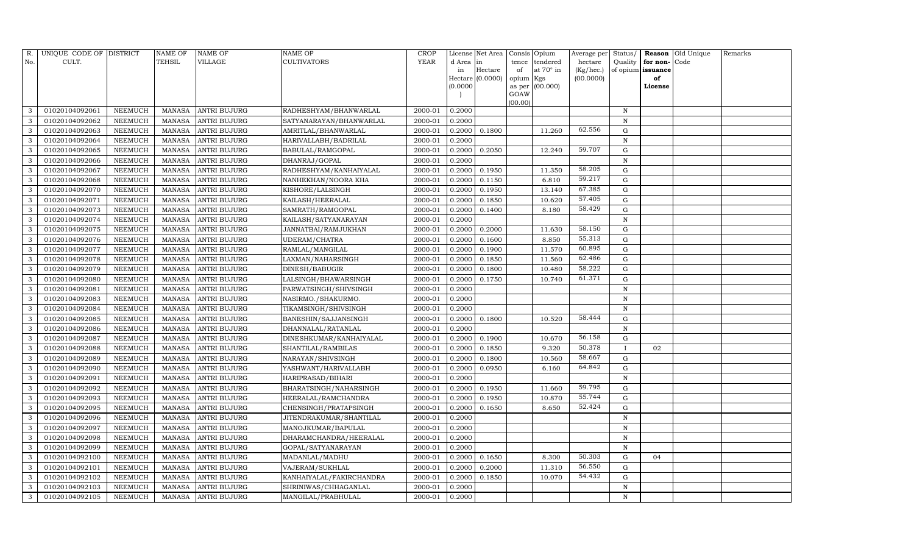| R.           | UNIQUE CODE OF DISTRICT |                | <b>NAME OF</b> | <b>NAME OF</b>      | <b>NAME OF</b>           | CROP        |           | License Net Area |           | Consis Opium     | Average per | Status/      |                   | Reason Old Unique | Remarks |
|--------------|-------------------------|----------------|----------------|---------------------|--------------------------|-------------|-----------|------------------|-----------|------------------|-------------|--------------|-------------------|-------------------|---------|
| No.          | CULT.                   |                | <b>TEHSIL</b>  | VILLAGE             | <b>CULTIVATORS</b>       | <b>YEAR</b> | d Area in |                  | tence     | tendered         | hectare     | Quality      | for non-          | Code              |         |
|              |                         |                |                |                     |                          |             | in        | Hectare          | of        | at $70^\circ$ in | (Kg/hec.)   |              | of opium issuance |                   |         |
|              |                         |                |                |                     |                          |             |           | Hectare (0.0000) | opium Kgs |                  | (00.0000)   |              | of                |                   |         |
|              |                         |                |                |                     |                          |             | (0.0000)  |                  | GOAW      | as per (00.000)  |             |              | License           |                   |         |
|              |                         |                |                |                     |                          |             |           |                  | (00.00)   |                  |             |              |                   |                   |         |
| 3            | 01020104092061          | NEEMUCH        |                | MANASA ANTRI BUJURG | RADHESHYAM/BHANWARLAL    | 2000-01     | 0.2000    |                  |           |                  |             | $\, {\rm N}$ |                   |                   |         |
| 3            | 01020104092062          | NEEMUCH        | MANASA         | <b>ANTRI BUJURG</b> | SATYANARAYAN/BHANWARLAL  | 2000-01     | 0.2000    |                  |           |                  |             | N            |                   |                   |         |
| 3            | 01020104092063          | NEEMUCH        | MANASA         | <b>ANTRI BUJURG</b> | AMRITLAL/BHANWARLAL      | 2000-01     | 0.2000    | 0.1800           |           | 11.260           | 62.556      | G            |                   |                   |         |
| 3            | 01020104092064          | NEEMUCH        | MANASA         | <b>ANTRI BUJURG</b> | HARIVALLABH/BADRILAL     | 2000-01     | 0.2000    |                  |           |                  |             | N            |                   |                   |         |
| 3            | 01020104092065          | NEEMUCH        | MANASA         | <b>ANTRI BUJURG</b> | BABULAL/RAMGOPAL         | 2000-01     | 0.2000    | 0.2050           |           | 12.240           | 59.707      | ${\rm G}$    |                   |                   |         |
| 3            | 01020104092066          | NEEMUCH        | MANASA         | <b>ANTRI BUJURG</b> | DHANRAJ/GOPAL            | 2000-01     | 0.2000    |                  |           |                  |             | $\, {\bf N}$ |                   |                   |         |
| 3            | 01020104092067          | <b>NEEMUCH</b> | MANASA         | <b>ANTRI BUJURG</b> | RADHESHYAM/KANHAIYALAL   | 2000-01     | 0.2000    | 0.1950           |           | 11.350           | 58.205      | G            |                   |                   |         |
| 3            | 01020104092068          | NEEMUCH        | MANASA         | <b>ANTRI BUJURG</b> | NANHEKHAN/NOORA KHA      | 2000-01     | 0.2000    | 0.1150           |           | 6.810            | 59.217      | ${\rm G}$    |                   |                   |         |
| 3            | 01020104092070          | NEEMUCH        | MANASA         | <b>ANTRI BUJURG</b> | KISHORE/LALSINGH         | 2000-01     | 0.2000    | 0.1950           |           | 13.140           | 67.385      | G            |                   |                   |         |
| 3            | 01020104092071          | NEEMUCH        | MANASA         | <b>ANTRI BUJURG</b> | KAILASH/HEERALAL         | 2000-01     | 0.2000    | 0.1850           |           | 10.620           | 57.405      | G            |                   |                   |         |
| 3            | 01020104092073          | <b>NEEMUCH</b> | MANASA         | <b>ANTRI BUJURG</b> | SAMRATH/RAMGOPAL         | 2000-01     | 0.2000    | 0.1400           |           | 8.180            | 58.429      | G            |                   |                   |         |
| 3            | 01020104092074          | NEEMUCH        | MANASA         | <b>ANTRI BUJURG</b> | KAILASH/SATYANARAYAN     | 2000-01     | 0.2000    |                  |           |                  |             | N            |                   |                   |         |
| 3            | 01020104092075          | NEEMUCH        | MANASA         | <b>ANTRI BUJURG</b> | JANNATBAI/RAMJUKHAN      | 2000-01     | 0.2000    | 0.2000           |           | 11.630           | 58.150      | $\mathbf G$  |                   |                   |         |
| 3            | 01020104092076          | NEEMUCH        | MANASA         | <b>ANTRI BUJURG</b> | UDERAM/CHATRA            | 2000-01     | 0.2000    | 0.1600           |           | 8.850            | 55.313      | G            |                   |                   |         |
| 3            | 01020104092077          | NEEMUCH        | MANASA         | <b>ANTRI BUJURG</b> | RAMLAL/MANGILAL          | 2000-01     | 0.2000    | 0.1900           |           | 11.570           | 60.895      | G            |                   |                   |         |
| 3            | 01020104092078          | NEEMUCH        | MANASA         | <b>ANTRI BUJURG</b> | LAXMAN/NAHARSINGH        | 2000-01     | 0.2000    | 0.1850           |           | 11.560           | 62.486      | $\mathbf G$  |                   |                   |         |
| 3            | 01020104092079          | <b>NEEMUCH</b> | MANASA         | <b>ANTRI BUJURG</b> | <b>DINESH/BABUGIR</b>    | 2000-01     | 0.2000    | 0.1800           |           | 10.480           | 58.222      | $\mathbf G$  |                   |                   |         |
| 3            | 01020104092080          | NEEMUCH        | MANASA         | <b>ANTRI BUJURG</b> | LALSINGH/BHAWARSINGH     | 2000-01     | 0.2000    | 0.1750           |           | 10.740           | 61.371      | ${\rm G}$    |                   |                   |         |
| 3            | 01020104092081          | NEEMUCH        | MANASA         | <b>ANTRI BUJURG</b> | PARWATSINGH/SHIVSINGH    | 2000-01     | 0.2000    |                  |           |                  |             | N            |                   |                   |         |
| 3            | 01020104092083          | <b>NEEMUCH</b> | MANASA         | <b>ANTRI BUJURG</b> | NASIRMO./SHAKURMO.       | 2000-01     | 0.2000    |                  |           |                  |             | N            |                   |                   |         |
| 3            | 01020104092084          | NEEMUCH        | MANASA         | <b>ANTRI BUJURG</b> | TIKAMSINGH/SHIVSINGH     | 2000-01     | 0.2000    |                  |           |                  |             | $\mathbf N$  |                   |                   |         |
| 3            | 01020104092085          | <b>NEEMUCH</b> | MANASA         | <b>ANTRI BUJURG</b> | BANESHIN/SAJJANSINGH     | 2000-01     | 0.2000    | 0.1800           |           | 10.520           | 58.444      | G            |                   |                   |         |
| 3            | 01020104092086          | NEEMUCH        | MANASA         | <b>ANTRI BUJURG</b> | DHANNALAL/RATANLAL       | 2000-01     | 0.2000    |                  |           |                  |             | N            |                   |                   |         |
| 3            | 01020104092087          | <b>NEEMUCH</b> | MANASA         | <b>ANTRI BUJURG</b> | DINESHKUMAR/KANHAIYALAL  | 2000-01     | 0.2000    | 0.1900           |           | 10.670           | 56.158      | $\mathbf G$  |                   |                   |         |
| 3            | 01020104092088          | <b>NEEMUCH</b> | MANASA         | <b>ANTRI BUJURG</b> | SHANTILAL/RAMBILAS       | 2000-01     | 0.2000    | 0.1850           |           | 9.320            | 50.378      | $\mathbf{I}$ | 02                |                   |         |
| 3            | 01020104092089          | <b>NEEMUCH</b> | MANASA         | <b>ANTRI BUJURG</b> | NARAYAN/SHIVSINGH        | 2000-01     | 0.2000    | 0.1800           |           | 10.560           | 58.667      | G            |                   |                   |         |
| 3            | 01020104092090          | <b>NEEMUCH</b> | MANASA         | <b>ANTRI BUJURG</b> | YASHWANT/HARIVALLABH     | 2000-01     | 0.2000    | 0.0950           |           | 6.160            | 64.842      | ${\rm G}$    |                   |                   |         |
| 3            | 01020104092091          | <b>NEEMUCH</b> | MANASA         | <b>ANTRI BUJURG</b> | HARIPRASAD/BIHARI        | 2000-01     | 0.2000    |                  |           |                  |             | N            |                   |                   |         |
| 3            | 01020104092092          | NEEMUCH        | MANASA         | <b>ANTRI BUJURG</b> | BHARATSINGH/NAHARSINGH   | 2000-01     | 0.2000    | 0.1950           |           | 11.660           | 59.795      | G            |                   |                   |         |
| 3            | 01020104092093          | <b>NEEMUCH</b> | MANASA         | <b>ANTRI BUJURG</b> | HEERALAL/RAMCHANDRA      | 2000-01     | 0.2000    | 0.1950           |           | 10.870           | 55.744      | ${\rm G}$    |                   |                   |         |
| 3            | 01020104092095          | NEEMUCH        | MANASA         | <b>ANTRI BUJURG</b> | CHENSINGH/PRATAPSINGH    | 2000-01     | 0.2000    | 0.1650           |           | 8.650            | 52.424      | $\mathbf G$  |                   |                   |         |
| 3            | 01020104092096          | NEEMUCH        | MANASA         | <b>ANTRI BUJURG</b> | JITENDRAKUMAR/SHANTILAL  | 2000-01     | 0.2000    |                  |           |                  |             | $\mathbf N$  |                   |                   |         |
| 3            | 01020104092097          | <b>NEEMUCH</b> | MANASA         | <b>ANTRI BUJURG</b> | MANOJKUMAR/BAPULAL       | 2000-01     | 0.2000    |                  |           |                  |             | $\mathbf N$  |                   |                   |         |
| 3            | 01020104092098          | <b>NEEMUCH</b> | MANASA         | <b>ANTRI BUJURG</b> | DHARAMCHANDRA/HEERALAL   | 2000-01     | 0.2000    |                  |           |                  |             | N            |                   |                   |         |
| 3            | 01020104092099          | NEEMUCH        | MANASA         | <b>ANTRI BUJURG</b> | GOPAL/SATYANARAYAN       | 2000-01     | 0.2000    |                  |           |                  |             | N            |                   |                   |         |
| 3            | 01020104092100          | <b>NEEMUCH</b> | MANASA         | <b>ANTRI BUJURG</b> | MADANLAL/MADHU           | 2000-01     | 0.2000    | 0.1650           |           | 8.300            | 50.303      | $\mathbf G$  | 04                |                   |         |
| 3            | 01020104092101          | NEEMUCH        | MANASA         | <b>ANTRI BUJURG</b> | VAJERAM/SUKHLAL          | 2000-01     | 0.2000    | 0.2000           |           | 11.310           | 56.550      | G            |                   |                   |         |
| 3            | 01020104092102          | NEEMUCH        | MANASA         | <b>ANTRI BUJURG</b> | KANHAIYALAL/FAKIRCHANDRA | 2000-01     | 0.2000    | 0.1850           |           | 10.070           | 54.432      | G            |                   |                   |         |
| $\mathbf{3}$ | 01020104092103          | <b>NEEMUCH</b> | MANASA         | <b>ANTRI BUJURG</b> | SHRINIWAS/CHHAGANLAL     | 2000-01     | 0.2000    |                  |           |                  |             | N            |                   |                   |         |
| 3            | 01020104092105          | <b>NEEMUCH</b> |                | MANASA ANTRI BUJURG | MANGILAL/PRABHULAL       | 2000-01     | 0.2000    |                  |           |                  |             | N            |                   |                   |         |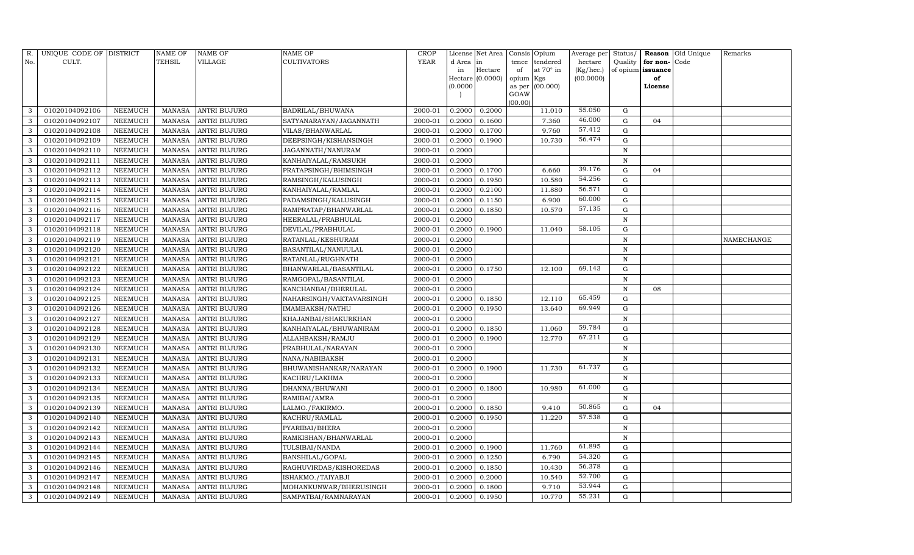| R.  | UNIQUE CODE OF DISTRICT |                | <b>NAME OF</b> | NAME OF             | NAME OF                  | CROP        |           | License Net Area |           | Consis Opium    | Average per | Status/      |                   | Reason Old Unique | Remarks    |
|-----|-------------------------|----------------|----------------|---------------------|--------------------------|-------------|-----------|------------------|-----------|-----------------|-------------|--------------|-------------------|-------------------|------------|
| No. | CULT.                   |                | TEHSIL         | VILLAGE             | CULTIVATORS              | <b>YEAR</b> | d Area in |                  |           | tence tendered  | hectare     | Quality      | for non-Code      |                   |            |
|     |                         |                |                |                     |                          |             | in        | Hectare          | of        | at 70° in       | (Kg/hec.)   |              | of opium issuance |                   |            |
|     |                         |                |                |                     |                          |             |           | Hectare (0.0000) | opium Kgs |                 | (00.0000)   |              | of                |                   |            |
|     |                         |                |                |                     |                          |             | (0.0000)  |                  | GOAW      | as per (00.000) |             |              | License           |                   |            |
|     |                         |                |                |                     |                          |             |           |                  | (00.00)   |                 |             |              |                   |                   |            |
| 3   | 01020104092106          | NEEMUCH        | MANASA         | <b>ANTRI BUJURG</b> | BADRILAL/BHUWANA         | 2000-01     | 0.2000    | 0.2000           |           | 11.010          | 55.050      | G            |                   |                   |            |
| 3   | 01020104092107          | NEEMUCH        | <b>MANASA</b>  | ANTRI BUJURG        | SATYANARAYAN/JAGANNATH   | 2000-01     | 0.2000    | 0.1600           |           | 7.360           | 46.000      | G            | 04                |                   |            |
| 3   | 01020104092108          | NEEMUCH        | MANASA         | ANTRI BUJURG        | VILAS/BHANWARLAL         | 2000-01     | 0.2000    | 0.1700           |           | 9.760           | 57.412      | G            |                   |                   |            |
| 3   | 01020104092109          | NEEMUCH        | <b>MANASA</b>  | <b>ANTRI BUJURG</b> | DEEPSINGH/KISHANSINGH    | 2000-01     | 0.2000    | 0.1900           |           | 10.730          | 56.474      | G            |                   |                   |            |
| 3   | 01020104092110          | NEEMUCH        | <b>MANASA</b>  | ANTRI BUJURG        | JAGANNATH/NANURAM        | 2000-01     | 0.2000    |                  |           |                 |             | $\mathbf N$  |                   |                   |            |
| 3   | 01020104092111          | NEEMUCH        | <b>MANASA</b>  | ANTRI BUJURG        | KANHAIYALAL/RAMSUKH      | 2000-01     | 0.2000    |                  |           |                 |             | $\,$ N       |                   |                   |            |
| 3   | 01020104092112          | <b>NEEMUCH</b> | <b>MANASA</b>  | ANTRI BUJURG        | PRATAPSINGH/BHIMSINGH    | 2000-01     | 0.2000    | 0.1700           |           | 6.660           | 39.176      | G            | 04                |                   |            |
| 3   | 01020104092113          | NEEMUCH        | <b>MANASA</b>  | ANTRI BUJURG        | RAMSINGH/KALUSINGH       | 2000-01     | 0.2000    | 0.1950           |           | 10.580          | 54.256      | G            |                   |                   |            |
| 3   | 01020104092114          | NEEMUCH        | MANASA         | ANTRI BUJURG        | KANHAIYALAL/RAMLAL       | 2000-01     | 0.2000    | 0.2100           |           | 11.880          | 56.571      | G            |                   |                   |            |
| 3   | 01020104092115          | NEEMUCH        | <b>MANASA</b>  | ANTRI BUJURG        | PADAMSINGH/KALUSINGH     | 2000-01     | 0.2000    | 0.1150           |           | 6.900           | 60.000      | G            |                   |                   |            |
| 3   | 01020104092116          | <b>NEEMUCH</b> | <b>MANASA</b>  | ANTRI BUJURG        | RAMPRATAP/BHANWARLAL     | 2000-01     | 0.2000    | 0.1850           |           | 10.570          | 57.135      | G            |                   |                   |            |
| 3   | 01020104092117          | <b>NEEMUCH</b> | <b>MANASA</b>  | <b>ANTRI BUJURG</b> | HEERALAL/PRABHULAL       | 2000-01     | 0.2000    |                  |           |                 |             | $\,$ N       |                   |                   |            |
| 3   | 01020104092118          | <b>NEEMUCH</b> | <b>MANASA</b>  | <b>ANTRI BUJURG</b> | DEVILAL/PRABHULAL        | 2000-01     | 0.2000    | 0.1900           |           | 11.040          | 58.105      | G            |                   |                   |            |
| 3   | 01020104092119          | <b>NEEMUCH</b> | MANASA         | ANTRI BUJURG        | RATANLAL/KESHURAM        | 2000-01     | 0.2000    |                  |           |                 |             | $\,$ N       |                   |                   | NAMECHANGE |
| 3   | 01020104092120          | <b>NEEMUCH</b> | <b>MANASA</b>  | ANTRI BUJURG        | BASANTILAL/NANUULAL      | 2000-01     | 0.2000    |                  |           |                 |             | $\mathbf N$  |                   |                   |            |
| 3   | 01020104092121          | NEEMUCH        | <b>MANASA</b>  | ANTRI BUJURG        | RATANLAL/RUGHNATH        | 2000-01     | 0.2000    |                  |           |                 |             | $\,$ N       |                   |                   |            |
| 3   | 01020104092122          | <b>NEEMUCH</b> | <b>MANASA</b>  | <b>ANTRI BUJURG</b> | BHANWARLAL/BASANTILAL    | 2000-01     | 0.2000    | 0.1750           |           | 12.100          | 69.143      | G            |                   |                   |            |
| 3   | 01020104092123          | <b>NEEMUCH</b> | <b>MANASA</b>  | ANTRI BUJURG        | RAMGOPAL/BASANTILAL      | 2000-01     | 0.2000    |                  |           |                 |             | $\mathbf N$  |                   |                   |            |
| 3   | 01020104092124          | NEEMUCH        | <b>MANASA</b>  | ANTRI BUJURG        | KANCHANBAI/BHERULAL      | 2000-01     | 0.2000    |                  |           |                 |             | $\mathbf N$  | 08                |                   |            |
| 3   | 01020104092125          | NEEMUCH        | <b>MANASA</b>  | <b>ANTRI BUJURG</b> | NAHARSINGH/VAKTAVARSINGH | 2000-01     | 0.2000    | 0.1850           |           | 12.110          | 65.459      | G            |                   |                   |            |
| 3   | 01020104092126          | <b>NEEMUCH</b> | <b>MANASA</b>  | <b>ANTRI BUJURG</b> | IMAMBAKSH/NATHU          | 2000-01     | 0.2000    | 0.1950           |           | 13.640          | 69.949      | G            |                   |                   |            |
| 3   | 01020104092127          | <b>NEEMUCH</b> | <b>MANASA</b>  | <b>ANTRI BUJURG</b> | KHAJANBAI/SHAKURKHAN     | 2000-01     | 0.2000    |                  |           |                 |             | $\,$ N       |                   |                   |            |
| 3   | 01020104092128          | <b>NEEMUCH</b> | <b>MANASA</b>  | <b>ANTRI BUJURG</b> | KANHAIYALAL/BHUWANIRAM   | 2000-01     | 0.2000    | 0.1850           |           | 11.060          | 59.784      | G            |                   |                   |            |
| 3   | 01020104092129          | NEEMUCH        | <b>MANASA</b>  | <b>ANTRI BUJURG</b> | ALLAHBAKSH/RAMJU         | 2000-01     | 0.2000    | 0.1900           |           | 12.770          | 67.211      | G            |                   |                   |            |
| 3   | 01020104092130          | <b>NEEMUCH</b> | <b>MANASA</b>  | <b>ANTRI BUJURG</b> | PRABHULAL/NARAYAN        | 2000-01     | 0.2000    |                  |           |                 |             | $\,$ N       |                   |                   |            |
| 3   | 01020104092131          | NEEMUCH        | <b>MANASA</b>  | ANTRI BUJURG        | NANA/NABIBAKSH           | 2000-01     | 0.2000    |                  |           |                 |             | $\mathbf N$  |                   |                   |            |
| 3   | 01020104092132          | <b>NEEMUCH</b> | <b>MANASA</b>  | <b>ANTRI BUJURG</b> | BHUWANISHANKAR/NARAYAN   | 2000-01     | 0.2000    | 0.1900           |           | 11.730          | 61.737      | G            |                   |                   |            |
| 3   | 01020104092133          | <b>NEEMUCH</b> | <b>MANASA</b>  | <b>ANTRI BUJURG</b> | KACHRU/LAKHMA            | 2000-01     | 0.2000    |                  |           |                 |             | $\,$ N       |                   |                   |            |
| 3   | 01020104092134          | NEEMUCH        | MANASA         | <b>ANTRI BUJURG</b> | DHANNA/BHUWANI           | 2000-01     | 0.2000    | 0.1800           |           | 10.980          | 61.000      | G            |                   |                   |            |
| 3   | 01020104092135          | NEEMUCH        | <b>MANASA</b>  | <b>ANTRI BUJURG</b> | RAMIBAI/AMRA             | 2000-01     | 0.2000    |                  |           |                 |             | $\, {\bf N}$ |                   |                   |            |
| 3   | 01020104092139          | <b>NEEMUCH</b> | <b>MANASA</b>  | <b>ANTRI BUJURG</b> | LALMO./FAKIRMO.          | 2000-01     | 0.2000    | 0.1850           |           | 9.410           | 50.865      | G            | 04                |                   |            |
| 3   | 01020104092140          | <b>NEEMUCH</b> | <b>MANASA</b>  | ANTRI BUJURG        | KACHRU/RAMLAL            | 2000-01     | 0.2000    | 0.1950           |           | 11.220          | 57.538      | G            |                   |                   |            |
| 3   | 01020104092142          | <b>NEEMUCH</b> | MANASA         | ANTRI BUJURG        | PYARIBAI/BHERA           | 2000-01     | 0.2000    |                  |           |                 |             | N            |                   |                   |            |
| 3   | 01020104092143          | <b>NEEMUCH</b> | MANASA         | ANTRI BUJURG        | RAMKISHAN/BHANWARLAL     | 2000-01     | 0.2000    |                  |           |                 |             | $\, {\bf N}$ |                   |                   |            |
| 3   | 01020104092144          | <b>NEEMUCH</b> | MANASA         | ANTRI BUJURG        | TULSIBAI/NANDA           | 2000-01     | 0.2000    | 0.1900           |           | 11.760          | 61.895      | ${\rm G}$    |                   |                   |            |
| 3   | 01020104092145          | NEEMUCH        | <b>MANASA</b>  | ANTRI BUJURG        | BANSHILAL/GOPAL          | 2000-01     | 0.2000    | 0.1250           |           | 6.790           | 54.320      | G            |                   |                   |            |
| 3   | 01020104092146          | NEEMUCH        | MANASA         | ANTRI BUJURG        | RAGHUVIRDAS/KISHOREDAS   | 2000-01     | 0.2000    | 0.1850           |           | 10.430          | 56.378      | G            |                   |                   |            |
| 3   | 01020104092147          | NEEMUCH        | MANASA         | ANTRI BUJURG        | ISHAKMO./TAIYABJI        | 2000-01     | 0.2000    | 0.2000           |           | 10.540          | 52.700      | G            |                   |                   |            |
| 3   | 01020104092148          | NEEMUCH        | MANASA         | ANTRI BUJURG        | MOHANKUNWAR/BHERUSINGH   | 2000-01     | 0.2000    | 0.1800           |           | 9.710           | 53.944      | G            |                   |                   |            |
| 3   | 01020104092149          | <b>NEEMUCH</b> | MANASA         | <b>ANTRI BUJURG</b> | SAMPATBAI/RAMNARAYAN     | 2000-01     | 0.2000    | 0.1950           |           | 10.770          | 55.231      | G            |                   |                   |            |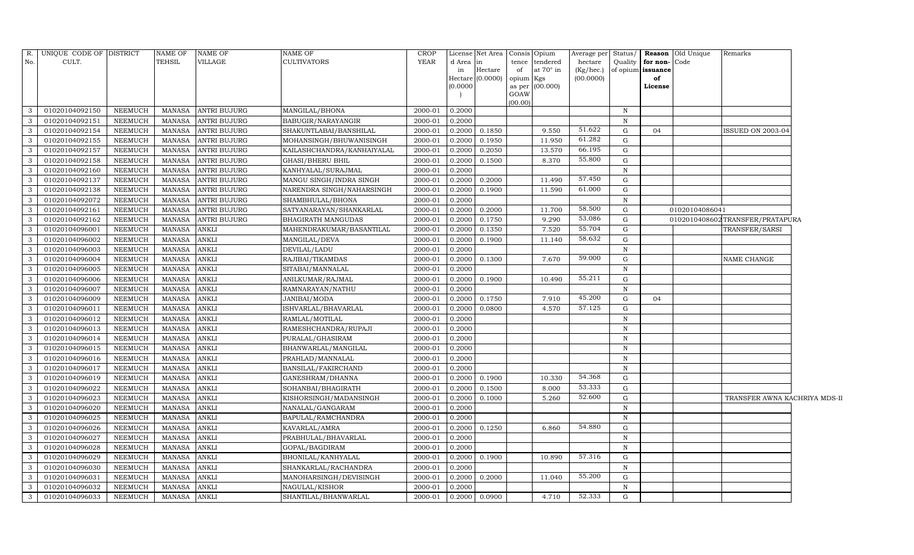|                | R. UNIQUE CODE OF DISTRICT |                | <b>NAME OF</b> | <b>NAME OF</b>      | NAME OF                    | <b>CROP</b> |          | License Net Area | Consis Opium |                 | Average per Status/ |              |                   | <b>Reason</b> Old Unique | Remarks                         |  |
|----------------|----------------------------|----------------|----------------|---------------------|----------------------------|-------------|----------|------------------|--------------|-----------------|---------------------|--------------|-------------------|--------------------------|---------------------------------|--|
| No.            | CULT.                      |                | TEHSIL         | VILLAGE             | <b>CULTIVATORS</b>         | YEAR        | d Area   | in               |              | tence tendered  | hectare             | Quality      | for non-Code      |                          |                                 |  |
|                |                            |                |                |                     |                            |             | in       | Hectare          | of           | at 70° in       | (Kg/hec.)           |              | of opium issuance |                          |                                 |  |
|                |                            |                |                |                     |                            |             | (0.0000) | Hectare (0.0000) | opium Kgs    | as per (00.000) | (00.0000)           |              | of<br>License     |                          |                                 |  |
|                |                            |                |                |                     |                            |             |          |                  | GOAW         |                 |                     |              |                   |                          |                                 |  |
|                |                            |                |                |                     |                            |             |          |                  | (00.00)      |                 |                     |              |                   |                          |                                 |  |
| 3              | 01020104092150             | NEEMUCH        | MANASA         | <b>ANTRI BUJURG</b> | MANGILAL/BHONA             | 2000-01     | 0.2000   |                  |              |                 |                     | $\mathbf N$  |                   |                          |                                 |  |
| 3              | 01020104092151             | <b>NEEMUCH</b> | <b>MANASA</b>  | <b>ANTRI BUJURG</b> | BABUGIR/NARAYANGIR         | 2000-01     | 0.2000   |                  |              |                 |                     | N            |                   |                          |                                 |  |
| $\mathbf{3}$   | 01020104092154             | NEEMUCH        | <b>MANASA</b>  | <b>ANTRI BUJURG</b> | SHAKUNTLABAI/BANSHILAL     | 2000-01     | 0.2000   | 0.1850           |              | 9.550           | 51.622              | $\mathbf G$  | 04                |                          | ISSUED ON 2003-04               |  |
| $\mathbf{3}$   | 01020104092155             | NEEMUCH        | MANASA         | <b>ANTRI BUJURG</b> | MOHANSINGH/BHUWANISINGH    | 2000-01     | 0.2000   | 0.1950           |              | 11.950          | 61.282              | G            |                   |                          |                                 |  |
| 3              | 01020104092157             | <b>NEEMUCH</b> | <b>MANASA</b>  | <b>ANTRI BUJURG</b> | KAILASHCHANDRA/KANHAIYALAL | 2000-01     | 0.2000   | 0.2050           |              | 13.570          | 66.195              | ${\rm G}$    |                   |                          |                                 |  |
| 3              | 01020104092158             | NEEMUCH        | <b>MANASA</b>  | <b>ANTRI BUJURG</b> | GHASI/BHERU BHIL           | 2000-01     | 0.2000   | 0.1500           |              | 8.370           | 55.800              | ${\rm G}$    |                   |                          |                                 |  |
| $\mathbf{3}$   | 01020104092160             | <b>NEEMUCH</b> | <b>MANASA</b>  | <b>ANTRI BUJURG</b> | KANHYALAL/SURAJMAL         | 2000-01     | 0.2000   |                  |              |                 |                     | $\, {\rm N}$ |                   |                          |                                 |  |
| 3              | 01020104092137             | <b>NEEMUCH</b> | <b>MANASA</b>  | <b>ANTRI BUJURG</b> | MANGU SINGH/INDRA SINGH    | 2000-01     | 0.2000   | 0.2000           |              | 11.490          | 57.450              | ${\rm G}$    |                   |                          |                                 |  |
| $\overline{3}$ | 01020104092138             | <b>NEEMUCH</b> | <b>MANASA</b>  | <b>ANTRI BUJURG</b> | NARENDRA SINGH/NAHARSINGH  | 2000-01     | 0.2000   | 0.1900           |              | 11.590          | 61.000              | $\mathbf G$  |                   |                          |                                 |  |
| 3              | 01020104092072             | <b>NEEMUCH</b> | <b>MANASA</b>  | <b>ANTRI BUJURG</b> | SHAMBHULAL/BHONA           | 2000-01     | 0.2000   |                  |              |                 |                     | $\mathbf N$  |                   |                          |                                 |  |
| $\mathbf{3}$   | 01020104092161             | <b>NEEMUCH</b> | <b>MANASA</b>  | <b>ANTRI BUJURG</b> | SATYANARAYAN/SHANKARLAL    | 2000-01     | 0.2000   | 0.2000           |              | 11.700          | 58.500              | $\mathbf G$  |                   | 01020104086041           |                                 |  |
| $\overline{3}$ | 01020104092162             | <b>NEEMUCH</b> | <b>MANASA</b>  | <b>ANTRI BUJURG</b> | BHAGIRATH MANGUDAS         | 2000-01     | 0.2000   | 0.1750           |              | 9.290           | 53.086              | ${\rm G}$    |                   |                          | 0102010408602TRANSFER/PRATAPURA |  |
| 3              | 01020104096001             | NEEMUCH        | <b>MANASA</b>  | <b>ANKLI</b>        | MAHENDRAKUMAR/BASANTILAL   | 2000-01     | 0.2000   | 0.1350           |              | 7.520           | 55.704              | G            |                   |                          | TRANSFER/SARSI                  |  |
| $\mathbf{3}$   | 01020104096002             | NEEMUCH        | <b>MANASA</b>  | <b>ANKLI</b>        | MANGILAL/DEVA              | 2000-01     | 0.2000   | 0.1900           |              | 11.140          | 58.632              | ${\rm G}$    |                   |                          |                                 |  |
| $\mathbf{3}$   | 01020104096003             | <b>NEEMUCH</b> | <b>MANASA</b>  | <b>ANKLI</b>        | DEVILAL/LADU               | 2000-01     | 0.2000   |                  |              |                 |                     | N            |                   |                          |                                 |  |
| $\mathbf{3}$   | 01020104096004             | NEEMUCH        | <b>MANASA</b>  | <b>ANKLI</b>        | RAJIBAI/TIKAMDAS           | 2000-01     | 0.2000   | 0.1300           |              | 7.670           | 59.000              | $\mathbf G$  |                   |                          | NAME CHANGE                     |  |
| $\mathbf{3}$   | 01020104096005             | NEEMUCH        | <b>MANASA</b>  | <b>ANKLI</b>        | SITABAI/MANNALAL           | 2000-01     | 0.2000   |                  |              |                 |                     | $\, {\rm N}$ |                   |                          |                                 |  |
| 3              | 01020104096006             | <b>NEEMUCH</b> | <b>MANASA</b>  | <b>ANKLI</b>        | ANILKUMAR/RAJMAL           | 2000-01     | 0.2000   | 0.1900           |              | 10.490          | 55.211              | $\mathbf G$  |                   |                          |                                 |  |
| 3              | 01020104096007             | <b>NEEMUCH</b> | <b>MANASA</b>  | <b>ANKLI</b>        | RAMNARAYAN/NATHU           | 2000-01     | 0.2000   |                  |              |                 |                     | N            |                   |                          |                                 |  |
| $\overline{3}$ | 01020104096009             | <b>NEEMUCH</b> | <b>MANASA</b>  | <b>ANKLI</b>        | JANIBAI/MODA               | 2000-01     | 0.2000   | 0.1750           |              | 7.910           | 45.200              | ${\rm G}$    | 04                |                          |                                 |  |
| $\mathbf{3}$   | 01020104096011             | <b>NEEMUCH</b> | <b>MANASA</b>  | <b>ANKLI</b>        | ISHVARLAL/BHAVARLAL        | 2000-01     | 0.2000   | 0.0800           |              | 4.570           | 57.125              | $\mathbf G$  |                   |                          |                                 |  |
| $\mathbf{3}$   | 01020104096012             | <b>NEEMUCH</b> | <b>MANASA</b>  | <b>ANKLI</b>        | RAMLAL/MOTILAL             | 2000-01     | 0.2000   |                  |              |                 |                     | N            |                   |                          |                                 |  |
| 3              | 01020104096013             | NEEMUCH        | <b>MANASA</b>  | <b>ANKLI</b>        | RAMESHCHANDRA/RUPAJI       | 2000-01     | 0.2000   |                  |              |                 |                     | N            |                   |                          |                                 |  |
| $\mathbf{3}$   | 01020104096014             | <b>NEEMUCH</b> | <b>MANASA</b>  | <b>ANKLI</b>        | PURALAL/GHASIRAM           | 2000-01     | 0.2000   |                  |              |                 |                     | N            |                   |                          |                                 |  |
| $\mathbf{3}$   | 01020104096015             | NEEMUCH        | <b>MANASA</b>  | <b>ANKLI</b>        | BHANWARLAL/MANGILAL        | 2000-01     | 0.2000   |                  |              |                 |                     | N            |                   |                          |                                 |  |
| $\mathbf{3}$   | 01020104096016             | NEEMUCH        | <b>MANASA</b>  | ANKLI               | PRAHLAD/MANNALAL           | 2000-01     | 0.2000   |                  |              |                 |                     | $\, {\rm N}$ |                   |                          |                                 |  |
| $\mathbf{3}$   | 01020104096017             | <b>NEEMUCH</b> | <b>MANASA</b>  | <b>ANKLI</b>        | BANSILAL/FAKIRCHAND        | 2000-01     | 0.2000   |                  |              |                 |                     | $\, {\rm N}$ |                   |                          |                                 |  |
| $\mathbf{3}$   | 01020104096019             | <b>NEEMUCH</b> | <b>MANASA</b>  | <b>ANKLI</b>        | GANESHRAM/DHANNA           | 2000-01     | 0.2000   | 0.1900           |              | 10.330          | 54.368              | G            |                   |                          |                                 |  |
| 3              | 01020104096022             | <b>NEEMUCH</b> | <b>MANASA</b>  | <b>ANKLI</b>        | SOHANBAI/BHAGIRATH         | 2000-01     | 0.2000   | 0.1500           |              | 8.000           | 53.333              | $\mathbf G$  |                   |                          |                                 |  |
| $\mathbf{3}$   | 01020104096023             | <b>NEEMUCH</b> | <b>MANASA</b>  | <b>ANKLI</b>        | KISHORSINGH/MADANSINGH     | 2000-01     | 0.2000   | 0.1000           |              | 5.260           | 52.600              | G            |                   |                          | TRANSFER AWNA KACHRIYA MDS-II   |  |
| $\mathbf{3}$   | 01020104096020             | <b>NEEMUCH</b> | <b>MANASA</b>  | <b>ANKLI</b>        | NANALAL/GANGARAM           | 2000-01     | 0.2000   |                  |              |                 |                     | N            |                   |                          |                                 |  |
| $\mathbf{3}$   | 01020104096025             | <b>NEEMUCH</b> | <b>MANASA</b>  | <b>ANKLI</b>        | BAPULAL/RAMCHANDRA         | 2000-01     | 0.2000   |                  |              |                 |                     | ${\bf N}$    |                   |                          |                                 |  |
| $\mathbf{3}$   | 01020104096026             | NEEMUCH        | MANASA         | ANKLI               | KAVARLAL/AMRA              | 2000-01     | 0.2000   | 0.1250           |              | 6.860           | 54.880              | $\mathbf G$  |                   |                          |                                 |  |
| 3              | 01020104096027             | <b>NEEMUCH</b> | <b>MANASA</b>  | <b>ANKLI</b>        | PRABHULAL/BHAVARLAL        | 2000-01     | 0.2000   |                  |              |                 |                     | N            |                   |                          |                                 |  |
| $\mathbf{3}$   | 01020104096028             | NEEMUCH        | <b>MANASA</b>  | <b>ANKLI</b>        | GOPAL/BAGDIRAM             | 2000-01     | 0.2000   |                  |              |                 |                     | N            |                   |                          |                                 |  |
| $\overline{3}$ | 01020104096029             | <b>NEEMUCH</b> | <b>MANASA</b>  | <b>ANKLI</b>        | BHONILAL/KANHYALAL         | 2000-01     | 0.2000   | 0.1900           |              | 10.890          | 57.316              | ${\rm G}$    |                   |                          |                                 |  |
| $\mathbf{3}$   | 01020104096030             | <b>NEEMUCH</b> | <b>MANASA</b>  | <b>ANKLI</b>        | SHANKARLAL/RACHANDRA       | 2000-01     | 0.2000   |                  |              |                 |                     | $\, {\rm N}$ |                   |                          |                                 |  |
| $\mathbf{3}$   | 01020104096031             | <b>NEEMUCH</b> | <b>MANASA</b>  | <b>ANKLI</b>        | MANOHARSINGH/DEVISINGH     | 2000-01     | 0.2000   | 0.2000           |              | 11.040          | 55.200              | G            |                   |                          |                                 |  |
| $\mathbf{3}$   | 01020104096032             | <b>NEEMUCH</b> | <b>MANASA</b>  | <b>ANKLI</b>        | NAGULAL/KISHOR             | 2000-01     | 0.2000   |                  |              |                 |                     | $\, {\rm N}$ |                   |                          |                                 |  |
| $\mathbf{3}$   | 01020104096033             | <b>NEEMUCH</b> | <b>MANASA</b>  | <b>ANKLI</b>        | SHANTILAL/BHANWARLAL       | 2000-01     | 0.2000   | 0.0900           |              | 4.710           | 52.333              | $\mathbf G$  |                   |                          |                                 |  |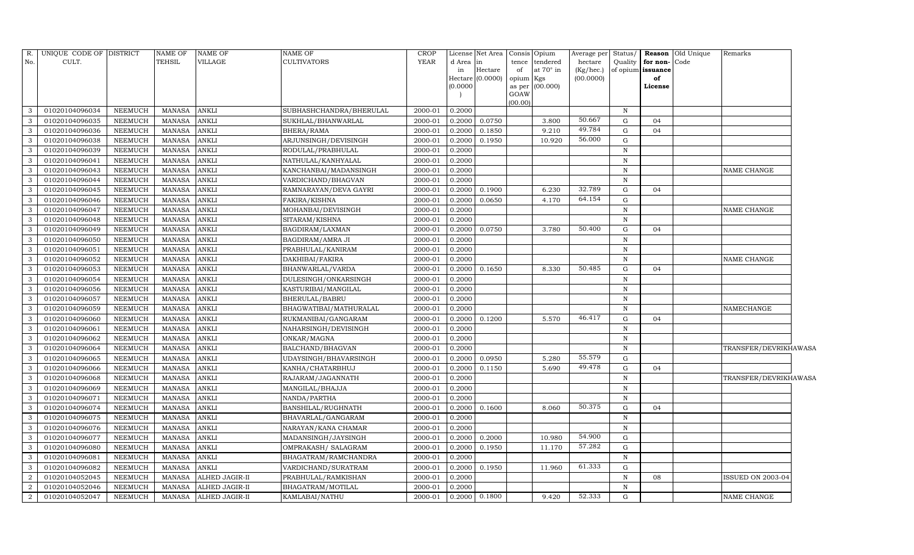| No.<br>CULT.<br>TEHSIL<br><b>VILLAGE</b><br><b>CULTIVATORS</b><br><b>YEAR</b><br>d Area<br>tendered<br>hectare<br>Quality<br>for non-<br>Code<br>tence<br>in<br>at 70° in<br>Hectare<br>(Kg/hec.)<br>of opium <b>issuance</b><br>in<br>of<br>Hectare (0.0000)<br>(00.0000)<br>of<br>opium Kgs<br>(0.0000)<br>(00.000)<br>License<br>as per<br>GOAW<br>(00.00)<br>01020104096034<br><b>NEEMUCH</b><br>MANASA<br><b>ANKLI</b><br>SUBHASHCHANDRA/BHERULAL<br>0.2000<br>$\mathbf N$<br>$\mathcal{E}$<br>2000-01<br>50.667<br><b>ANKLI</b><br>3<br>01020104096035<br><b>NEEMUCH</b><br><b>MANASA</b><br>SUKHLAL/BHANWARLAL<br>0.2000<br>0.0750<br>3.800<br>G<br>04<br>2000-01<br>49.784<br>3<br>01020104096036<br><b>NEEMUCH</b><br><b>MANASA</b><br><b>ANKLI</b><br>BHERA/RAMA<br>2000-01<br>0.2000<br>0.1850<br>9.210<br>G<br>04<br>56.000<br>3<br>01020104096038<br><b>ANKLI</b><br>ARJUNSINGH/DEVISINGH<br>2000-01<br>G<br><b>NEEMUCH</b><br>MANASA<br>0.2000<br>0.1950<br>10.920<br>01020104096039<br><b>ANKLI</b><br>RODULAL/PRABHULAL<br>3<br><b>NEEMUCH</b><br><b>MANASA</b><br>2000-01<br>0.2000<br>$\mathbf N$<br>3<br>01020104096041<br><b>NEEMUCH</b><br><b>MANASA</b><br><b>ANKLI</b><br>NATHULAL/KANHYALAL<br>2000-01<br>0.2000<br>$\mathbf N$<br><b>ANKLI</b><br>2000-01<br>3<br>01020104096043<br><b>NEEMUCH</b><br><b>MANASA</b><br>0.2000<br>$\mathbf N$<br><b>NAME CHANGE</b><br>KANCHANBAI/MADANSINGH<br>3<br>01020104096044<br><b>ANKLI</b><br>2000-01<br>0.2000<br><b>NEEMUCH</b><br><b>MANASA</b><br>VARDICHAND/BHAGVAN<br>$\, {\rm N}$<br>32.789<br>3<br>01020104096045<br><b>ANKLI</b><br>2000-01<br>6.230<br>G<br><b>NEEMUCH</b><br><b>MANASA</b><br>RAMNARAYAN/DEVA GAYRI<br>0.2000<br>0.1900<br>04<br>64.154<br><b>ANKLI</b><br>G<br>3<br>01020104096046<br><b>NEEMUCH</b><br><b>MANASA</b><br>FAKIRA/KISHNA<br>2000-01<br>0.2000<br>0.0650<br>4.170<br>3<br>01020104096047<br><b>NEEMUCH</b><br><b>MANASA</b><br><b>ANKLI</b><br>MOHANBAI/DEVISINGH<br>2000-01<br>0.2000<br>$\mathbf N$<br><b>NAME CHANGE</b><br>$\mathbf{3}$<br>01020104096048<br><b>ANKLI</b><br>2000-01<br>0.2000<br><b>NEEMUCH</b><br><b>MANASA</b><br>SITARAM/KISHNA<br>N<br>50.400<br>3<br>01020104096049<br><b>NEEMUCH</b><br><b>MANASA</b><br><b>ANKLI</b><br>BAGDIRAM/LAXMAN<br>2000-01<br>0.0750<br>3.780<br>$\mathbf G$<br>0.2000<br>04<br><b>ANKLI</b><br>0.2000<br>3<br>01020104096050<br><b>NEEMUCH</b><br><b>MANASA</b><br>BAGDIRAM/AMRA JI<br>2000-01<br>N<br>3<br>01020104096051<br><b>ANKLI</b><br>2000-01<br>0.2000<br><b>NEEMUCH</b><br>MANASA<br>PRABHULAL/KANIRAM<br>N<br>01020104096052<br><b>ANKLI</b><br>2000-01<br>3<br>NEEMUCH<br><b>MANASA</b><br>DAKHIBAI/FAKIRA<br>0.2000<br>N<br><b>NAME CHANGE</b><br>50.485<br>3<br>01020104096053<br>NEEMUCH<br><b>ANKLI</b><br>0.1650<br>8.330<br>G<br><b>MANASA</b><br>BHANWARLAL/VARDA<br>2000-01<br>0.2000<br>04<br>3<br><b>ANKLI</b><br>$\mathbf N$<br>01020104096054<br><b>NEEMUCH</b><br><b>MANASA</b><br>DULESINGH/ONKARSINGH<br>2000-01<br>0.2000<br>3<br>01020104096056<br>NEEMUCH<br><b>MANASA</b><br><b>ANKLI</b><br>KASTURIBAI/MANGILAL<br>2000-01<br>0.2000<br>$\mathbf N$<br>3<br>01020104096057<br>NEEMUCH<br><b>ANKLI</b><br>2000-01<br>0.2000<br><b>MANASA</b><br>BHERULAL/BABRU<br>N<br><b>ANKLI</b><br>3<br>01020104096059<br>NEEMUCH<br>MANASA<br>BHAGWATIBAI/MATHURALAL<br>0.2000<br>$\, {\rm N}$<br>$\ensuremath{\mathsf{NAMECHANGE}}$<br>2000-01<br>46.417<br>3<br>01020104096060<br><b>NEEMUCH</b><br><b>MANASA</b><br><b>ANKLI</b><br>RUKMANIBAI/GANGARAM<br>2000-01<br>0.2000<br>0.1200<br>5.570<br>G<br>04<br>3<br>01020104096061<br>NEEMUCH<br>MANASA<br><b>ANKLI</b><br>2000-01<br>0.2000<br>$\mathbf N$<br>NAHARSINGH/DEVISINGH<br>3<br>01020104096062<br><b>NEEMUCH</b><br><b>MANASA</b><br><b>ANKLI</b><br>ONKAR/MAGNA<br>2000-01<br>0.2000<br>$\mathbf N$<br>3<br>01020104096064<br>NEEMUCH<br><b>MANASA</b><br><b>ANKLI</b><br>BALCHAND/BHAGVAN<br>2000-01<br>0.2000<br>$\, {\rm N}$<br>TRANSFER/DEVRIKHAWASA<br>55.579<br><b>ANKLI</b><br>01020104096065<br>NEEMUCH<br><b>MANASA</b><br>2000-01<br>0.2000<br>0.0950<br>5.280<br>G<br>3<br>UDAYSINGH/BHAVARSINGH<br>49.478<br>01020104096066<br><b>ANKLI</b><br>2000-01<br>0.2000<br>G<br>3<br><b>NEEMUCH</b><br><b>MANASA</b><br>KANHA/CHATARBHUJ<br>0.1150<br>5.690<br>04<br>3<br>01020104096068<br><b>ANKLI</b><br>2000-01<br><b>NEEMUCH</b><br><b>MANASA</b><br>RAJARAM/JAGANNATH<br>0.2000<br>$\, {\rm N}$<br>TRANSFER/DEVRIKHAWASA<br><b>ANKLI</b><br>3<br>01020104096069<br><b>NEEMUCH</b><br>MANASA<br>2000-01<br>0.2000<br>$\mathbf N$<br>MANGILAL/BHAJJA<br>3<br>01020104096071<br><b>ANKLI</b><br>2000-01<br>0.2000<br><b>NEEMUCH</b><br><b>MANASA</b><br>NANDA/PARTHA<br>$\mathbf N$<br>50.375<br>3<br>01020104096074<br><b>NEEMUCH</b><br><b>ANKLI</b><br>2000-01<br>0.1600<br><b>MANASA</b><br>BANSHILAL/RUGHNATH<br>0.2000<br>8.060<br>G<br>04<br>3<br>01020104096075<br><b>NEEMUCH</b><br><b>MANASA</b><br><b>ANKLI</b><br>2000-01<br>0.2000<br>BHAVARLAL/GANGARAM<br>$\mathbf N$<br>3<br>01020104096076<br>0.2000<br><b>NEEMUCH</b><br><b>MANASA</b><br><b>ANKLI</b><br>NARAYAN/KANA CHAMAR<br>2000-01<br>$\mathbf N$<br>54.900<br><b>ANKLI</b><br>2000-01<br>G<br>3<br>01020104096077<br><b>NEEMUCH</b><br><b>MANASA</b><br>MADANSINGH/JAYSINGH<br>0.2000<br>0.2000<br>10.980<br>57.282<br>3<br>01020104096080<br><b>ANKLI</b><br>2000-01<br>11.170<br>G<br><b>NEEMUCH</b><br><b>MANASA</b><br>0.2000<br>0.1950<br>OMPRAKASH / SALAGRAM<br>3<br>01020104096081<br><b>MANASA</b><br><b>ANKLI</b><br>2000-01<br>0.2000<br>$\mathbf N$<br><b>NEEMUCH</b><br>BHAGATRAM/RAMCHANDRA<br>61.333<br>01020104096082<br><b>NEEMUCH</b><br><b>MANASA</b><br><b>ANKLI</b><br>2000-01<br>0.2000<br>0.1950<br>11.960<br>G<br>3<br>VARDICHAND/SURATRAM<br>2<br>01020104052045<br>ALHED JAGIR-II<br>2000-01<br>0.2000<br>$\mathbf N$<br>08<br><b>ISSUED ON 2003-04</b><br>NEEMUCH<br><b>MANASA</b><br>PRABHULAL/RAMKISHAN<br>$\overline{2}$<br>0.2000<br>$\mathbf N$<br>01020104052046<br><b>NEEMUCH</b><br>MANASA<br>ALHED JAGIR-II<br>BHAGATRAM/MOTILAL<br>2000-01 | R. | UNIQUE CODE OF DISTRICT |                | NAME OF | <b>NAME OF</b>        | <b>NAME OF</b> | <b>CROP</b> |        | License Net Area Consis | Opium | Average per | Status/ | Reason | Old Unique | Remarks            |
|--------------------------------------------------------------------------------------------------------------------------------------------------------------------------------------------------------------------------------------------------------------------------------------------------------------------------------------------------------------------------------------------------------------------------------------------------------------------------------------------------------------------------------------------------------------------------------------------------------------------------------------------------------------------------------------------------------------------------------------------------------------------------------------------------------------------------------------------------------------------------------------------------------------------------------------------------------------------------------------------------------------------------------------------------------------------------------------------------------------------------------------------------------------------------------------------------------------------------------------------------------------------------------------------------------------------------------------------------------------------------------------------------------------------------------------------------------------------------------------------------------------------------------------------------------------------------------------------------------------------------------------------------------------------------------------------------------------------------------------------------------------------------------------------------------------------------------------------------------------------------------------------------------------------------------------------------------------------------------------------------------------------------------------------------------------------------------------------------------------------------------------------------------------------------------------------------------------------------------------------------------------------------------------------------------------------------------------------------------------------------------------------------------------------------------------------------------------------------------------------------------------------------------------------------------------------------------------------------------------------------------------------------------------------------------------------------------------------------------------------------------------------------------------------------------------------------------------------------------------------------------------------------------------------------------------------------------------------------------------------------------------------------------------------------------------------------------------------------------------------------------------------------------------------------------------------------------------------------------------------------------------------------------------------------------------------------------------------------------------------------------------------------------------------------------------------------------------------------------------------------------------------------------------------------------------------------------------------------------------------------------------------------------------------------------------------------------------------------------------------------------------------------------------------------------------------------------------------------------------------------------------------------------------------------------------------------------------------------------------------------------------------------------------------------------------------------------------------------------------------------------------------------------------------------------------------------------------------------------------------------------------------------------------------------------------------------------------------------------------------------------------------------------------------------------------------------------------------------------------------------------------------------------------------------------------------------------------------------------------------------------------------------------------------------------------------------------------------------------------------------------------------------------------------------------------------------------------------------------------------------------------------------------------------------------------------------------------------------------------------------------------------------------------------------------------------------------------------------------------------------------------------------------------------------------------------------------------------------------------------------------------------------------------------------------------------------------------------------------------------------------------------------------------------------------------------------------------------------------------------------------------------------------------------------------------------------------------------------------------------------------------------------------------------------------------------------------------------------------------------------------------------------------------------------------------------------------------------------------------------------------------------------------------------------------------------------------------------------------------------------------------------------------------------------------------------------------------------------------------------|----|-------------------------|----------------|---------|-----------------------|----------------|-------------|--------|-------------------------|-------|-------------|---------|--------|------------|--------------------|
|                                                                                                                                                                                                                                                                                                                                                                                                                                                                                                                                                                                                                                                                                                                                                                                                                                                                                                                                                                                                                                                                                                                                                                                                                                                                                                                                                                                                                                                                                                                                                                                                                                                                                                                                                                                                                                                                                                                                                                                                                                                                                                                                                                                                                                                                                                                                                                                                                                                                                                                                                                                                                                                                                                                                                                                                                                                                                                                                                                                                                                                                                                                                                                                                                                                                                                                                                                                                                                                                                                                                                                                                                                                                                                                                                                                                                                                                                                                                                                                                                                                                                                                                                                                                                                                                                                                                                                                                                                                                                                                                                                                                                                                                                                                                                                                                                                                                                                                                                                                                                                                                                                                                                                                                                                                                                                                                                                                                                                                                                                                                                                                                                                                                                                                                                                                                                                                                                                                                                                                                                                                                                                                    |    |                         |                |         |                       |                |             |        |                         |       |             |         |        |            |                    |
|                                                                                                                                                                                                                                                                                                                                                                                                                                                                                                                                                                                                                                                                                                                                                                                                                                                                                                                                                                                                                                                                                                                                                                                                                                                                                                                                                                                                                                                                                                                                                                                                                                                                                                                                                                                                                                                                                                                                                                                                                                                                                                                                                                                                                                                                                                                                                                                                                                                                                                                                                                                                                                                                                                                                                                                                                                                                                                                                                                                                                                                                                                                                                                                                                                                                                                                                                                                                                                                                                                                                                                                                                                                                                                                                                                                                                                                                                                                                                                                                                                                                                                                                                                                                                                                                                                                                                                                                                                                                                                                                                                                                                                                                                                                                                                                                                                                                                                                                                                                                                                                                                                                                                                                                                                                                                                                                                                                                                                                                                                                                                                                                                                                                                                                                                                                                                                                                                                                                                                                                                                                                                                                    |    |                         |                |         |                       |                |             |        |                         |       |             |         |        |            |                    |
|                                                                                                                                                                                                                                                                                                                                                                                                                                                                                                                                                                                                                                                                                                                                                                                                                                                                                                                                                                                                                                                                                                                                                                                                                                                                                                                                                                                                                                                                                                                                                                                                                                                                                                                                                                                                                                                                                                                                                                                                                                                                                                                                                                                                                                                                                                                                                                                                                                                                                                                                                                                                                                                                                                                                                                                                                                                                                                                                                                                                                                                                                                                                                                                                                                                                                                                                                                                                                                                                                                                                                                                                                                                                                                                                                                                                                                                                                                                                                                                                                                                                                                                                                                                                                                                                                                                                                                                                                                                                                                                                                                                                                                                                                                                                                                                                                                                                                                                                                                                                                                                                                                                                                                                                                                                                                                                                                                                                                                                                                                                                                                                                                                                                                                                                                                                                                                                                                                                                                                                                                                                                                                                    |    |                         |                |         |                       |                |             |        |                         |       |             |         |        |            |                    |
|                                                                                                                                                                                                                                                                                                                                                                                                                                                                                                                                                                                                                                                                                                                                                                                                                                                                                                                                                                                                                                                                                                                                                                                                                                                                                                                                                                                                                                                                                                                                                                                                                                                                                                                                                                                                                                                                                                                                                                                                                                                                                                                                                                                                                                                                                                                                                                                                                                                                                                                                                                                                                                                                                                                                                                                                                                                                                                                                                                                                                                                                                                                                                                                                                                                                                                                                                                                                                                                                                                                                                                                                                                                                                                                                                                                                                                                                                                                                                                                                                                                                                                                                                                                                                                                                                                                                                                                                                                                                                                                                                                                                                                                                                                                                                                                                                                                                                                                                                                                                                                                                                                                                                                                                                                                                                                                                                                                                                                                                                                                                                                                                                                                                                                                                                                                                                                                                                                                                                                                                                                                                                                                    |    |                         |                |         |                       |                |             |        |                         |       |             |         |        |            |                    |
|                                                                                                                                                                                                                                                                                                                                                                                                                                                                                                                                                                                                                                                                                                                                                                                                                                                                                                                                                                                                                                                                                                                                                                                                                                                                                                                                                                                                                                                                                                                                                                                                                                                                                                                                                                                                                                                                                                                                                                                                                                                                                                                                                                                                                                                                                                                                                                                                                                                                                                                                                                                                                                                                                                                                                                                                                                                                                                                                                                                                                                                                                                                                                                                                                                                                                                                                                                                                                                                                                                                                                                                                                                                                                                                                                                                                                                                                                                                                                                                                                                                                                                                                                                                                                                                                                                                                                                                                                                                                                                                                                                                                                                                                                                                                                                                                                                                                                                                                                                                                                                                                                                                                                                                                                                                                                                                                                                                                                                                                                                                                                                                                                                                                                                                                                                                                                                                                                                                                                                                                                                                                                                                    |    |                         |                |         |                       |                |             |        |                         |       |             |         |        |            |                    |
|                                                                                                                                                                                                                                                                                                                                                                                                                                                                                                                                                                                                                                                                                                                                                                                                                                                                                                                                                                                                                                                                                                                                                                                                                                                                                                                                                                                                                                                                                                                                                                                                                                                                                                                                                                                                                                                                                                                                                                                                                                                                                                                                                                                                                                                                                                                                                                                                                                                                                                                                                                                                                                                                                                                                                                                                                                                                                                                                                                                                                                                                                                                                                                                                                                                                                                                                                                                                                                                                                                                                                                                                                                                                                                                                                                                                                                                                                                                                                                                                                                                                                                                                                                                                                                                                                                                                                                                                                                                                                                                                                                                                                                                                                                                                                                                                                                                                                                                                                                                                                                                                                                                                                                                                                                                                                                                                                                                                                                                                                                                                                                                                                                                                                                                                                                                                                                                                                                                                                                                                                                                                                                                    |    |                         |                |         |                       |                |             |        |                         |       |             |         |        |            |                    |
|                                                                                                                                                                                                                                                                                                                                                                                                                                                                                                                                                                                                                                                                                                                                                                                                                                                                                                                                                                                                                                                                                                                                                                                                                                                                                                                                                                                                                                                                                                                                                                                                                                                                                                                                                                                                                                                                                                                                                                                                                                                                                                                                                                                                                                                                                                                                                                                                                                                                                                                                                                                                                                                                                                                                                                                                                                                                                                                                                                                                                                                                                                                                                                                                                                                                                                                                                                                                                                                                                                                                                                                                                                                                                                                                                                                                                                                                                                                                                                                                                                                                                                                                                                                                                                                                                                                                                                                                                                                                                                                                                                                                                                                                                                                                                                                                                                                                                                                                                                                                                                                                                                                                                                                                                                                                                                                                                                                                                                                                                                                                                                                                                                                                                                                                                                                                                                                                                                                                                                                                                                                                                                                    |    |                         |                |         |                       |                |             |        |                         |       |             |         |        |            |                    |
|                                                                                                                                                                                                                                                                                                                                                                                                                                                                                                                                                                                                                                                                                                                                                                                                                                                                                                                                                                                                                                                                                                                                                                                                                                                                                                                                                                                                                                                                                                                                                                                                                                                                                                                                                                                                                                                                                                                                                                                                                                                                                                                                                                                                                                                                                                                                                                                                                                                                                                                                                                                                                                                                                                                                                                                                                                                                                                                                                                                                                                                                                                                                                                                                                                                                                                                                                                                                                                                                                                                                                                                                                                                                                                                                                                                                                                                                                                                                                                                                                                                                                                                                                                                                                                                                                                                                                                                                                                                                                                                                                                                                                                                                                                                                                                                                                                                                                                                                                                                                                                                                                                                                                                                                                                                                                                                                                                                                                                                                                                                                                                                                                                                                                                                                                                                                                                                                                                                                                                                                                                                                                                                    |    |                         |                |         |                       |                |             |        |                         |       |             |         |        |            |                    |
|                                                                                                                                                                                                                                                                                                                                                                                                                                                                                                                                                                                                                                                                                                                                                                                                                                                                                                                                                                                                                                                                                                                                                                                                                                                                                                                                                                                                                                                                                                                                                                                                                                                                                                                                                                                                                                                                                                                                                                                                                                                                                                                                                                                                                                                                                                                                                                                                                                                                                                                                                                                                                                                                                                                                                                                                                                                                                                                                                                                                                                                                                                                                                                                                                                                                                                                                                                                                                                                                                                                                                                                                                                                                                                                                                                                                                                                                                                                                                                                                                                                                                                                                                                                                                                                                                                                                                                                                                                                                                                                                                                                                                                                                                                                                                                                                                                                                                                                                                                                                                                                                                                                                                                                                                                                                                                                                                                                                                                                                                                                                                                                                                                                                                                                                                                                                                                                                                                                                                                                                                                                                                                                    |    |                         |                |         |                       |                |             |        |                         |       |             |         |        |            |                    |
|                                                                                                                                                                                                                                                                                                                                                                                                                                                                                                                                                                                                                                                                                                                                                                                                                                                                                                                                                                                                                                                                                                                                                                                                                                                                                                                                                                                                                                                                                                                                                                                                                                                                                                                                                                                                                                                                                                                                                                                                                                                                                                                                                                                                                                                                                                                                                                                                                                                                                                                                                                                                                                                                                                                                                                                                                                                                                                                                                                                                                                                                                                                                                                                                                                                                                                                                                                                                                                                                                                                                                                                                                                                                                                                                                                                                                                                                                                                                                                                                                                                                                                                                                                                                                                                                                                                                                                                                                                                                                                                                                                                                                                                                                                                                                                                                                                                                                                                                                                                                                                                                                                                                                                                                                                                                                                                                                                                                                                                                                                                                                                                                                                                                                                                                                                                                                                                                                                                                                                                                                                                                                                                    |    |                         |                |         |                       |                |             |        |                         |       |             |         |        |            |                    |
|                                                                                                                                                                                                                                                                                                                                                                                                                                                                                                                                                                                                                                                                                                                                                                                                                                                                                                                                                                                                                                                                                                                                                                                                                                                                                                                                                                                                                                                                                                                                                                                                                                                                                                                                                                                                                                                                                                                                                                                                                                                                                                                                                                                                                                                                                                                                                                                                                                                                                                                                                                                                                                                                                                                                                                                                                                                                                                                                                                                                                                                                                                                                                                                                                                                                                                                                                                                                                                                                                                                                                                                                                                                                                                                                                                                                                                                                                                                                                                                                                                                                                                                                                                                                                                                                                                                                                                                                                                                                                                                                                                                                                                                                                                                                                                                                                                                                                                                                                                                                                                                                                                                                                                                                                                                                                                                                                                                                                                                                                                                                                                                                                                                                                                                                                                                                                                                                                                                                                                                                                                                                                                                    |    |                         |                |         |                       |                |             |        |                         |       |             |         |        |            |                    |
|                                                                                                                                                                                                                                                                                                                                                                                                                                                                                                                                                                                                                                                                                                                                                                                                                                                                                                                                                                                                                                                                                                                                                                                                                                                                                                                                                                                                                                                                                                                                                                                                                                                                                                                                                                                                                                                                                                                                                                                                                                                                                                                                                                                                                                                                                                                                                                                                                                                                                                                                                                                                                                                                                                                                                                                                                                                                                                                                                                                                                                                                                                                                                                                                                                                                                                                                                                                                                                                                                                                                                                                                                                                                                                                                                                                                                                                                                                                                                                                                                                                                                                                                                                                                                                                                                                                                                                                                                                                                                                                                                                                                                                                                                                                                                                                                                                                                                                                                                                                                                                                                                                                                                                                                                                                                                                                                                                                                                                                                                                                                                                                                                                                                                                                                                                                                                                                                                                                                                                                                                                                                                                                    |    |                         |                |         |                       |                |             |        |                         |       |             |         |        |            |                    |
|                                                                                                                                                                                                                                                                                                                                                                                                                                                                                                                                                                                                                                                                                                                                                                                                                                                                                                                                                                                                                                                                                                                                                                                                                                                                                                                                                                                                                                                                                                                                                                                                                                                                                                                                                                                                                                                                                                                                                                                                                                                                                                                                                                                                                                                                                                                                                                                                                                                                                                                                                                                                                                                                                                                                                                                                                                                                                                                                                                                                                                                                                                                                                                                                                                                                                                                                                                                                                                                                                                                                                                                                                                                                                                                                                                                                                                                                                                                                                                                                                                                                                                                                                                                                                                                                                                                                                                                                                                                                                                                                                                                                                                                                                                                                                                                                                                                                                                                                                                                                                                                                                                                                                                                                                                                                                                                                                                                                                                                                                                                                                                                                                                                                                                                                                                                                                                                                                                                                                                                                                                                                                                                    |    |                         |                |         |                       |                |             |        |                         |       |             |         |        |            |                    |
|                                                                                                                                                                                                                                                                                                                                                                                                                                                                                                                                                                                                                                                                                                                                                                                                                                                                                                                                                                                                                                                                                                                                                                                                                                                                                                                                                                                                                                                                                                                                                                                                                                                                                                                                                                                                                                                                                                                                                                                                                                                                                                                                                                                                                                                                                                                                                                                                                                                                                                                                                                                                                                                                                                                                                                                                                                                                                                                                                                                                                                                                                                                                                                                                                                                                                                                                                                                                                                                                                                                                                                                                                                                                                                                                                                                                                                                                                                                                                                                                                                                                                                                                                                                                                                                                                                                                                                                                                                                                                                                                                                                                                                                                                                                                                                                                                                                                                                                                                                                                                                                                                                                                                                                                                                                                                                                                                                                                                                                                                                                                                                                                                                                                                                                                                                                                                                                                                                                                                                                                                                                                                                                    |    |                         |                |         |                       |                |             |        |                         |       |             |         |        |            |                    |
|                                                                                                                                                                                                                                                                                                                                                                                                                                                                                                                                                                                                                                                                                                                                                                                                                                                                                                                                                                                                                                                                                                                                                                                                                                                                                                                                                                                                                                                                                                                                                                                                                                                                                                                                                                                                                                                                                                                                                                                                                                                                                                                                                                                                                                                                                                                                                                                                                                                                                                                                                                                                                                                                                                                                                                                                                                                                                                                                                                                                                                                                                                                                                                                                                                                                                                                                                                                                                                                                                                                                                                                                                                                                                                                                                                                                                                                                                                                                                                                                                                                                                                                                                                                                                                                                                                                                                                                                                                                                                                                                                                                                                                                                                                                                                                                                                                                                                                                                                                                                                                                                                                                                                                                                                                                                                                                                                                                                                                                                                                                                                                                                                                                                                                                                                                                                                                                                                                                                                                                                                                                                                                                    |    |                         |                |         |                       |                |             |        |                         |       |             |         |        |            |                    |
|                                                                                                                                                                                                                                                                                                                                                                                                                                                                                                                                                                                                                                                                                                                                                                                                                                                                                                                                                                                                                                                                                                                                                                                                                                                                                                                                                                                                                                                                                                                                                                                                                                                                                                                                                                                                                                                                                                                                                                                                                                                                                                                                                                                                                                                                                                                                                                                                                                                                                                                                                                                                                                                                                                                                                                                                                                                                                                                                                                                                                                                                                                                                                                                                                                                                                                                                                                                                                                                                                                                                                                                                                                                                                                                                                                                                                                                                                                                                                                                                                                                                                                                                                                                                                                                                                                                                                                                                                                                                                                                                                                                                                                                                                                                                                                                                                                                                                                                                                                                                                                                                                                                                                                                                                                                                                                                                                                                                                                                                                                                                                                                                                                                                                                                                                                                                                                                                                                                                                                                                                                                                                                                    |    |                         |                |         |                       |                |             |        |                         |       |             |         |        |            |                    |
|                                                                                                                                                                                                                                                                                                                                                                                                                                                                                                                                                                                                                                                                                                                                                                                                                                                                                                                                                                                                                                                                                                                                                                                                                                                                                                                                                                                                                                                                                                                                                                                                                                                                                                                                                                                                                                                                                                                                                                                                                                                                                                                                                                                                                                                                                                                                                                                                                                                                                                                                                                                                                                                                                                                                                                                                                                                                                                                                                                                                                                                                                                                                                                                                                                                                                                                                                                                                                                                                                                                                                                                                                                                                                                                                                                                                                                                                                                                                                                                                                                                                                                                                                                                                                                                                                                                                                                                                                                                                                                                                                                                                                                                                                                                                                                                                                                                                                                                                                                                                                                                                                                                                                                                                                                                                                                                                                                                                                                                                                                                                                                                                                                                                                                                                                                                                                                                                                                                                                                                                                                                                                                                    |    |                         |                |         |                       |                |             |        |                         |       |             |         |        |            |                    |
|                                                                                                                                                                                                                                                                                                                                                                                                                                                                                                                                                                                                                                                                                                                                                                                                                                                                                                                                                                                                                                                                                                                                                                                                                                                                                                                                                                                                                                                                                                                                                                                                                                                                                                                                                                                                                                                                                                                                                                                                                                                                                                                                                                                                                                                                                                                                                                                                                                                                                                                                                                                                                                                                                                                                                                                                                                                                                                                                                                                                                                                                                                                                                                                                                                                                                                                                                                                                                                                                                                                                                                                                                                                                                                                                                                                                                                                                                                                                                                                                                                                                                                                                                                                                                                                                                                                                                                                                                                                                                                                                                                                                                                                                                                                                                                                                                                                                                                                                                                                                                                                                                                                                                                                                                                                                                                                                                                                                                                                                                                                                                                                                                                                                                                                                                                                                                                                                                                                                                                                                                                                                                                                    |    |                         |                |         |                       |                |             |        |                         |       |             |         |        |            |                    |
|                                                                                                                                                                                                                                                                                                                                                                                                                                                                                                                                                                                                                                                                                                                                                                                                                                                                                                                                                                                                                                                                                                                                                                                                                                                                                                                                                                                                                                                                                                                                                                                                                                                                                                                                                                                                                                                                                                                                                                                                                                                                                                                                                                                                                                                                                                                                                                                                                                                                                                                                                                                                                                                                                                                                                                                                                                                                                                                                                                                                                                                                                                                                                                                                                                                                                                                                                                                                                                                                                                                                                                                                                                                                                                                                                                                                                                                                                                                                                                                                                                                                                                                                                                                                                                                                                                                                                                                                                                                                                                                                                                                                                                                                                                                                                                                                                                                                                                                                                                                                                                                                                                                                                                                                                                                                                                                                                                                                                                                                                                                                                                                                                                                                                                                                                                                                                                                                                                                                                                                                                                                                                                                    |    |                         |                |         |                       |                |             |        |                         |       |             |         |        |            |                    |
|                                                                                                                                                                                                                                                                                                                                                                                                                                                                                                                                                                                                                                                                                                                                                                                                                                                                                                                                                                                                                                                                                                                                                                                                                                                                                                                                                                                                                                                                                                                                                                                                                                                                                                                                                                                                                                                                                                                                                                                                                                                                                                                                                                                                                                                                                                                                                                                                                                                                                                                                                                                                                                                                                                                                                                                                                                                                                                                                                                                                                                                                                                                                                                                                                                                                                                                                                                                                                                                                                                                                                                                                                                                                                                                                                                                                                                                                                                                                                                                                                                                                                                                                                                                                                                                                                                                                                                                                                                                                                                                                                                                                                                                                                                                                                                                                                                                                                                                                                                                                                                                                                                                                                                                                                                                                                                                                                                                                                                                                                                                                                                                                                                                                                                                                                                                                                                                                                                                                                                                                                                                                                                                    |    |                         |                |         |                       |                |             |        |                         |       |             |         |        |            |                    |
|                                                                                                                                                                                                                                                                                                                                                                                                                                                                                                                                                                                                                                                                                                                                                                                                                                                                                                                                                                                                                                                                                                                                                                                                                                                                                                                                                                                                                                                                                                                                                                                                                                                                                                                                                                                                                                                                                                                                                                                                                                                                                                                                                                                                                                                                                                                                                                                                                                                                                                                                                                                                                                                                                                                                                                                                                                                                                                                                                                                                                                                                                                                                                                                                                                                                                                                                                                                                                                                                                                                                                                                                                                                                                                                                                                                                                                                                                                                                                                                                                                                                                                                                                                                                                                                                                                                                                                                                                                                                                                                                                                                                                                                                                                                                                                                                                                                                                                                                                                                                                                                                                                                                                                                                                                                                                                                                                                                                                                                                                                                                                                                                                                                                                                                                                                                                                                                                                                                                                                                                                                                                                                                    |    |                         |                |         |                       |                |             |        |                         |       |             |         |        |            |                    |
|                                                                                                                                                                                                                                                                                                                                                                                                                                                                                                                                                                                                                                                                                                                                                                                                                                                                                                                                                                                                                                                                                                                                                                                                                                                                                                                                                                                                                                                                                                                                                                                                                                                                                                                                                                                                                                                                                                                                                                                                                                                                                                                                                                                                                                                                                                                                                                                                                                                                                                                                                                                                                                                                                                                                                                                                                                                                                                                                                                                                                                                                                                                                                                                                                                                                                                                                                                                                                                                                                                                                                                                                                                                                                                                                                                                                                                                                                                                                                                                                                                                                                                                                                                                                                                                                                                                                                                                                                                                                                                                                                                                                                                                                                                                                                                                                                                                                                                                                                                                                                                                                                                                                                                                                                                                                                                                                                                                                                                                                                                                                                                                                                                                                                                                                                                                                                                                                                                                                                                                                                                                                                                                    |    |                         |                |         |                       |                |             |        |                         |       |             |         |        |            |                    |
|                                                                                                                                                                                                                                                                                                                                                                                                                                                                                                                                                                                                                                                                                                                                                                                                                                                                                                                                                                                                                                                                                                                                                                                                                                                                                                                                                                                                                                                                                                                                                                                                                                                                                                                                                                                                                                                                                                                                                                                                                                                                                                                                                                                                                                                                                                                                                                                                                                                                                                                                                                                                                                                                                                                                                                                                                                                                                                                                                                                                                                                                                                                                                                                                                                                                                                                                                                                                                                                                                                                                                                                                                                                                                                                                                                                                                                                                                                                                                                                                                                                                                                                                                                                                                                                                                                                                                                                                                                                                                                                                                                                                                                                                                                                                                                                                                                                                                                                                                                                                                                                                                                                                                                                                                                                                                                                                                                                                                                                                                                                                                                                                                                                                                                                                                                                                                                                                                                                                                                                                                                                                                                                    |    |                         |                |         |                       |                |             |        |                         |       |             |         |        |            |                    |
|                                                                                                                                                                                                                                                                                                                                                                                                                                                                                                                                                                                                                                                                                                                                                                                                                                                                                                                                                                                                                                                                                                                                                                                                                                                                                                                                                                                                                                                                                                                                                                                                                                                                                                                                                                                                                                                                                                                                                                                                                                                                                                                                                                                                                                                                                                                                                                                                                                                                                                                                                                                                                                                                                                                                                                                                                                                                                                                                                                                                                                                                                                                                                                                                                                                                                                                                                                                                                                                                                                                                                                                                                                                                                                                                                                                                                                                                                                                                                                                                                                                                                                                                                                                                                                                                                                                                                                                                                                                                                                                                                                                                                                                                                                                                                                                                                                                                                                                                                                                                                                                                                                                                                                                                                                                                                                                                                                                                                                                                                                                                                                                                                                                                                                                                                                                                                                                                                                                                                                                                                                                                                                                    |    |                         |                |         |                       |                |             |        |                         |       |             |         |        |            |                    |
|                                                                                                                                                                                                                                                                                                                                                                                                                                                                                                                                                                                                                                                                                                                                                                                                                                                                                                                                                                                                                                                                                                                                                                                                                                                                                                                                                                                                                                                                                                                                                                                                                                                                                                                                                                                                                                                                                                                                                                                                                                                                                                                                                                                                                                                                                                                                                                                                                                                                                                                                                                                                                                                                                                                                                                                                                                                                                                                                                                                                                                                                                                                                                                                                                                                                                                                                                                                                                                                                                                                                                                                                                                                                                                                                                                                                                                                                                                                                                                                                                                                                                                                                                                                                                                                                                                                                                                                                                                                                                                                                                                                                                                                                                                                                                                                                                                                                                                                                                                                                                                                                                                                                                                                                                                                                                                                                                                                                                                                                                                                                                                                                                                                                                                                                                                                                                                                                                                                                                                                                                                                                                                                    |    |                         |                |         |                       |                |             |        |                         |       |             |         |        |            |                    |
|                                                                                                                                                                                                                                                                                                                                                                                                                                                                                                                                                                                                                                                                                                                                                                                                                                                                                                                                                                                                                                                                                                                                                                                                                                                                                                                                                                                                                                                                                                                                                                                                                                                                                                                                                                                                                                                                                                                                                                                                                                                                                                                                                                                                                                                                                                                                                                                                                                                                                                                                                                                                                                                                                                                                                                                                                                                                                                                                                                                                                                                                                                                                                                                                                                                                                                                                                                                                                                                                                                                                                                                                                                                                                                                                                                                                                                                                                                                                                                                                                                                                                                                                                                                                                                                                                                                                                                                                                                                                                                                                                                                                                                                                                                                                                                                                                                                                                                                                                                                                                                                                                                                                                                                                                                                                                                                                                                                                                                                                                                                                                                                                                                                                                                                                                                                                                                                                                                                                                                                                                                                                                                                    |    |                         |                |         |                       |                |             |        |                         |       |             |         |        |            |                    |
|                                                                                                                                                                                                                                                                                                                                                                                                                                                                                                                                                                                                                                                                                                                                                                                                                                                                                                                                                                                                                                                                                                                                                                                                                                                                                                                                                                                                                                                                                                                                                                                                                                                                                                                                                                                                                                                                                                                                                                                                                                                                                                                                                                                                                                                                                                                                                                                                                                                                                                                                                                                                                                                                                                                                                                                                                                                                                                                                                                                                                                                                                                                                                                                                                                                                                                                                                                                                                                                                                                                                                                                                                                                                                                                                                                                                                                                                                                                                                                                                                                                                                                                                                                                                                                                                                                                                                                                                                                                                                                                                                                                                                                                                                                                                                                                                                                                                                                                                                                                                                                                                                                                                                                                                                                                                                                                                                                                                                                                                                                                                                                                                                                                                                                                                                                                                                                                                                                                                                                                                                                                                                                                    |    |                         |                |         |                       |                |             |        |                         |       |             |         |        |            |                    |
|                                                                                                                                                                                                                                                                                                                                                                                                                                                                                                                                                                                                                                                                                                                                                                                                                                                                                                                                                                                                                                                                                                                                                                                                                                                                                                                                                                                                                                                                                                                                                                                                                                                                                                                                                                                                                                                                                                                                                                                                                                                                                                                                                                                                                                                                                                                                                                                                                                                                                                                                                                                                                                                                                                                                                                                                                                                                                                                                                                                                                                                                                                                                                                                                                                                                                                                                                                                                                                                                                                                                                                                                                                                                                                                                                                                                                                                                                                                                                                                                                                                                                                                                                                                                                                                                                                                                                                                                                                                                                                                                                                                                                                                                                                                                                                                                                                                                                                                                                                                                                                                                                                                                                                                                                                                                                                                                                                                                                                                                                                                                                                                                                                                                                                                                                                                                                                                                                                                                                                                                                                                                                                                    |    |                         |                |         |                       |                |             |        |                         |       |             |         |        |            |                    |
|                                                                                                                                                                                                                                                                                                                                                                                                                                                                                                                                                                                                                                                                                                                                                                                                                                                                                                                                                                                                                                                                                                                                                                                                                                                                                                                                                                                                                                                                                                                                                                                                                                                                                                                                                                                                                                                                                                                                                                                                                                                                                                                                                                                                                                                                                                                                                                                                                                                                                                                                                                                                                                                                                                                                                                                                                                                                                                                                                                                                                                                                                                                                                                                                                                                                                                                                                                                                                                                                                                                                                                                                                                                                                                                                                                                                                                                                                                                                                                                                                                                                                                                                                                                                                                                                                                                                                                                                                                                                                                                                                                                                                                                                                                                                                                                                                                                                                                                                                                                                                                                                                                                                                                                                                                                                                                                                                                                                                                                                                                                                                                                                                                                                                                                                                                                                                                                                                                                                                                                                                                                                                                                    |    |                         |                |         |                       |                |             |        |                         |       |             |         |        |            |                    |
|                                                                                                                                                                                                                                                                                                                                                                                                                                                                                                                                                                                                                                                                                                                                                                                                                                                                                                                                                                                                                                                                                                                                                                                                                                                                                                                                                                                                                                                                                                                                                                                                                                                                                                                                                                                                                                                                                                                                                                                                                                                                                                                                                                                                                                                                                                                                                                                                                                                                                                                                                                                                                                                                                                                                                                                                                                                                                                                                                                                                                                                                                                                                                                                                                                                                                                                                                                                                                                                                                                                                                                                                                                                                                                                                                                                                                                                                                                                                                                                                                                                                                                                                                                                                                                                                                                                                                                                                                                                                                                                                                                                                                                                                                                                                                                                                                                                                                                                                                                                                                                                                                                                                                                                                                                                                                                                                                                                                                                                                                                                                                                                                                                                                                                                                                                                                                                                                                                                                                                                                                                                                                                                    |    |                         |                |         |                       |                |             |        |                         |       |             |         |        |            |                    |
|                                                                                                                                                                                                                                                                                                                                                                                                                                                                                                                                                                                                                                                                                                                                                                                                                                                                                                                                                                                                                                                                                                                                                                                                                                                                                                                                                                                                                                                                                                                                                                                                                                                                                                                                                                                                                                                                                                                                                                                                                                                                                                                                                                                                                                                                                                                                                                                                                                                                                                                                                                                                                                                                                                                                                                                                                                                                                                                                                                                                                                                                                                                                                                                                                                                                                                                                                                                                                                                                                                                                                                                                                                                                                                                                                                                                                                                                                                                                                                                                                                                                                                                                                                                                                                                                                                                                                                                                                                                                                                                                                                                                                                                                                                                                                                                                                                                                                                                                                                                                                                                                                                                                                                                                                                                                                                                                                                                                                                                                                                                                                                                                                                                                                                                                                                                                                                                                                                                                                                                                                                                                                                                    |    |                         |                |         |                       |                |             |        |                         |       |             |         |        |            |                    |
|                                                                                                                                                                                                                                                                                                                                                                                                                                                                                                                                                                                                                                                                                                                                                                                                                                                                                                                                                                                                                                                                                                                                                                                                                                                                                                                                                                                                                                                                                                                                                                                                                                                                                                                                                                                                                                                                                                                                                                                                                                                                                                                                                                                                                                                                                                                                                                                                                                                                                                                                                                                                                                                                                                                                                                                                                                                                                                                                                                                                                                                                                                                                                                                                                                                                                                                                                                                                                                                                                                                                                                                                                                                                                                                                                                                                                                                                                                                                                                                                                                                                                                                                                                                                                                                                                                                                                                                                                                                                                                                                                                                                                                                                                                                                                                                                                                                                                                                                                                                                                                                                                                                                                                                                                                                                                                                                                                                                                                                                                                                                                                                                                                                                                                                                                                                                                                                                                                                                                                                                                                                                                                                    |    |                         |                |         |                       |                |             |        |                         |       |             |         |        |            |                    |
|                                                                                                                                                                                                                                                                                                                                                                                                                                                                                                                                                                                                                                                                                                                                                                                                                                                                                                                                                                                                                                                                                                                                                                                                                                                                                                                                                                                                                                                                                                                                                                                                                                                                                                                                                                                                                                                                                                                                                                                                                                                                                                                                                                                                                                                                                                                                                                                                                                                                                                                                                                                                                                                                                                                                                                                                                                                                                                                                                                                                                                                                                                                                                                                                                                                                                                                                                                                                                                                                                                                                                                                                                                                                                                                                                                                                                                                                                                                                                                                                                                                                                                                                                                                                                                                                                                                                                                                                                                                                                                                                                                                                                                                                                                                                                                                                                                                                                                                                                                                                                                                                                                                                                                                                                                                                                                                                                                                                                                                                                                                                                                                                                                                                                                                                                                                                                                                                                                                                                                                                                                                                                                                    |    |                         |                |         |                       |                |             |        |                         |       |             |         |        |            |                    |
|                                                                                                                                                                                                                                                                                                                                                                                                                                                                                                                                                                                                                                                                                                                                                                                                                                                                                                                                                                                                                                                                                                                                                                                                                                                                                                                                                                                                                                                                                                                                                                                                                                                                                                                                                                                                                                                                                                                                                                                                                                                                                                                                                                                                                                                                                                                                                                                                                                                                                                                                                                                                                                                                                                                                                                                                                                                                                                                                                                                                                                                                                                                                                                                                                                                                                                                                                                                                                                                                                                                                                                                                                                                                                                                                                                                                                                                                                                                                                                                                                                                                                                                                                                                                                                                                                                                                                                                                                                                                                                                                                                                                                                                                                                                                                                                                                                                                                                                                                                                                                                                                                                                                                                                                                                                                                                                                                                                                                                                                                                                                                                                                                                                                                                                                                                                                                                                                                                                                                                                                                                                                                                                    |    |                         |                |         |                       |                |             |        |                         |       |             |         |        |            |                    |
|                                                                                                                                                                                                                                                                                                                                                                                                                                                                                                                                                                                                                                                                                                                                                                                                                                                                                                                                                                                                                                                                                                                                                                                                                                                                                                                                                                                                                                                                                                                                                                                                                                                                                                                                                                                                                                                                                                                                                                                                                                                                                                                                                                                                                                                                                                                                                                                                                                                                                                                                                                                                                                                                                                                                                                                                                                                                                                                                                                                                                                                                                                                                                                                                                                                                                                                                                                                                                                                                                                                                                                                                                                                                                                                                                                                                                                                                                                                                                                                                                                                                                                                                                                                                                                                                                                                                                                                                                                                                                                                                                                                                                                                                                                                                                                                                                                                                                                                                                                                                                                                                                                                                                                                                                                                                                                                                                                                                                                                                                                                                                                                                                                                                                                                                                                                                                                                                                                                                                                                                                                                                                                                    |    |                         |                |         |                       |                |             |        |                         |       |             |         |        |            |                    |
|                                                                                                                                                                                                                                                                                                                                                                                                                                                                                                                                                                                                                                                                                                                                                                                                                                                                                                                                                                                                                                                                                                                                                                                                                                                                                                                                                                                                                                                                                                                                                                                                                                                                                                                                                                                                                                                                                                                                                                                                                                                                                                                                                                                                                                                                                                                                                                                                                                                                                                                                                                                                                                                                                                                                                                                                                                                                                                                                                                                                                                                                                                                                                                                                                                                                                                                                                                                                                                                                                                                                                                                                                                                                                                                                                                                                                                                                                                                                                                                                                                                                                                                                                                                                                                                                                                                                                                                                                                                                                                                                                                                                                                                                                                                                                                                                                                                                                                                                                                                                                                                                                                                                                                                                                                                                                                                                                                                                                                                                                                                                                                                                                                                                                                                                                                                                                                                                                                                                                                                                                                                                                                                    |    |                         |                |         |                       |                |             |        |                         |       |             |         |        |            |                    |
|                                                                                                                                                                                                                                                                                                                                                                                                                                                                                                                                                                                                                                                                                                                                                                                                                                                                                                                                                                                                                                                                                                                                                                                                                                                                                                                                                                                                                                                                                                                                                                                                                                                                                                                                                                                                                                                                                                                                                                                                                                                                                                                                                                                                                                                                                                                                                                                                                                                                                                                                                                                                                                                                                                                                                                                                                                                                                                                                                                                                                                                                                                                                                                                                                                                                                                                                                                                                                                                                                                                                                                                                                                                                                                                                                                                                                                                                                                                                                                                                                                                                                                                                                                                                                                                                                                                                                                                                                                                                                                                                                                                                                                                                                                                                                                                                                                                                                                                                                                                                                                                                                                                                                                                                                                                                                                                                                                                                                                                                                                                                                                                                                                                                                                                                                                                                                                                                                                                                                                                                                                                                                                                    |    |                         |                |         |                       |                |             |        |                         |       |             |         |        |            |                    |
|                                                                                                                                                                                                                                                                                                                                                                                                                                                                                                                                                                                                                                                                                                                                                                                                                                                                                                                                                                                                                                                                                                                                                                                                                                                                                                                                                                                                                                                                                                                                                                                                                                                                                                                                                                                                                                                                                                                                                                                                                                                                                                                                                                                                                                                                                                                                                                                                                                                                                                                                                                                                                                                                                                                                                                                                                                                                                                                                                                                                                                                                                                                                                                                                                                                                                                                                                                                                                                                                                                                                                                                                                                                                                                                                                                                                                                                                                                                                                                                                                                                                                                                                                                                                                                                                                                                                                                                                                                                                                                                                                                                                                                                                                                                                                                                                                                                                                                                                                                                                                                                                                                                                                                                                                                                                                                                                                                                                                                                                                                                                                                                                                                                                                                                                                                                                                                                                                                                                                                                                                                                                                                                    |    |                         |                |         |                       |                |             |        |                         |       |             |         |        |            |                    |
|                                                                                                                                                                                                                                                                                                                                                                                                                                                                                                                                                                                                                                                                                                                                                                                                                                                                                                                                                                                                                                                                                                                                                                                                                                                                                                                                                                                                                                                                                                                                                                                                                                                                                                                                                                                                                                                                                                                                                                                                                                                                                                                                                                                                                                                                                                                                                                                                                                                                                                                                                                                                                                                                                                                                                                                                                                                                                                                                                                                                                                                                                                                                                                                                                                                                                                                                                                                                                                                                                                                                                                                                                                                                                                                                                                                                                                                                                                                                                                                                                                                                                                                                                                                                                                                                                                                                                                                                                                                                                                                                                                                                                                                                                                                                                                                                                                                                                                                                                                                                                                                                                                                                                                                                                                                                                                                                                                                                                                                                                                                                                                                                                                                                                                                                                                                                                                                                                                                                                                                                                                                                                                                    |    |                         |                |         |                       |                |             |        |                         |       |             |         |        |            |                    |
|                                                                                                                                                                                                                                                                                                                                                                                                                                                                                                                                                                                                                                                                                                                                                                                                                                                                                                                                                                                                                                                                                                                                                                                                                                                                                                                                                                                                                                                                                                                                                                                                                                                                                                                                                                                                                                                                                                                                                                                                                                                                                                                                                                                                                                                                                                                                                                                                                                                                                                                                                                                                                                                                                                                                                                                                                                                                                                                                                                                                                                                                                                                                                                                                                                                                                                                                                                                                                                                                                                                                                                                                                                                                                                                                                                                                                                                                                                                                                                                                                                                                                                                                                                                                                                                                                                                                                                                                                                                                                                                                                                                                                                                                                                                                                                                                                                                                                                                                                                                                                                                                                                                                                                                                                                                                                                                                                                                                                                                                                                                                                                                                                                                                                                                                                                                                                                                                                                                                                                                                                                                                                                                    |    |                         |                |         |                       |                |             |        |                         |       |             |         |        |            |                    |
|                                                                                                                                                                                                                                                                                                                                                                                                                                                                                                                                                                                                                                                                                                                                                                                                                                                                                                                                                                                                                                                                                                                                                                                                                                                                                                                                                                                                                                                                                                                                                                                                                                                                                                                                                                                                                                                                                                                                                                                                                                                                                                                                                                                                                                                                                                                                                                                                                                                                                                                                                                                                                                                                                                                                                                                                                                                                                                                                                                                                                                                                                                                                                                                                                                                                                                                                                                                                                                                                                                                                                                                                                                                                                                                                                                                                                                                                                                                                                                                                                                                                                                                                                                                                                                                                                                                                                                                                                                                                                                                                                                                                                                                                                                                                                                                                                                                                                                                                                                                                                                                                                                                                                                                                                                                                                                                                                                                                                                                                                                                                                                                                                                                                                                                                                                                                                                                                                                                                                                                                                                                                                                                    |    |                         |                |         |                       |                |             |        |                         |       |             |         |        |            |                    |
|                                                                                                                                                                                                                                                                                                                                                                                                                                                                                                                                                                                                                                                                                                                                                                                                                                                                                                                                                                                                                                                                                                                                                                                                                                                                                                                                                                                                                                                                                                                                                                                                                                                                                                                                                                                                                                                                                                                                                                                                                                                                                                                                                                                                                                                                                                                                                                                                                                                                                                                                                                                                                                                                                                                                                                                                                                                                                                                                                                                                                                                                                                                                                                                                                                                                                                                                                                                                                                                                                                                                                                                                                                                                                                                                                                                                                                                                                                                                                                                                                                                                                                                                                                                                                                                                                                                                                                                                                                                                                                                                                                                                                                                                                                                                                                                                                                                                                                                                                                                                                                                                                                                                                                                                                                                                                                                                                                                                                                                                                                                                                                                                                                                                                                                                                                                                                                                                                                                                                                                                                                                                                                                    |    |                         |                |         |                       |                |             |        |                         |       |             |         |        |            |                    |
|                                                                                                                                                                                                                                                                                                                                                                                                                                                                                                                                                                                                                                                                                                                                                                                                                                                                                                                                                                                                                                                                                                                                                                                                                                                                                                                                                                                                                                                                                                                                                                                                                                                                                                                                                                                                                                                                                                                                                                                                                                                                                                                                                                                                                                                                                                                                                                                                                                                                                                                                                                                                                                                                                                                                                                                                                                                                                                                                                                                                                                                                                                                                                                                                                                                                                                                                                                                                                                                                                                                                                                                                                                                                                                                                                                                                                                                                                                                                                                                                                                                                                                                                                                                                                                                                                                                                                                                                                                                                                                                                                                                                                                                                                                                                                                                                                                                                                                                                                                                                                                                                                                                                                                                                                                                                                                                                                                                                                                                                                                                                                                                                                                                                                                                                                                                                                                                                                                                                                                                                                                                                                                                    |    |                         |                |         |                       |                |             |        |                         |       |             |         |        |            |                    |
|                                                                                                                                                                                                                                                                                                                                                                                                                                                                                                                                                                                                                                                                                                                                                                                                                                                                                                                                                                                                                                                                                                                                                                                                                                                                                                                                                                                                                                                                                                                                                                                                                                                                                                                                                                                                                                                                                                                                                                                                                                                                                                                                                                                                                                                                                                                                                                                                                                                                                                                                                                                                                                                                                                                                                                                                                                                                                                                                                                                                                                                                                                                                                                                                                                                                                                                                                                                                                                                                                                                                                                                                                                                                                                                                                                                                                                                                                                                                                                                                                                                                                                                                                                                                                                                                                                                                                                                                                                                                                                                                                                                                                                                                                                                                                                                                                                                                                                                                                                                                                                                                                                                                                                                                                                                                                                                                                                                                                                                                                                                                                                                                                                                                                                                                                                                                                                                                                                                                                                                                                                                                                                                    |    |                         |                |         |                       |                |             |        |                         |       |             |         |        |            |                    |
|                                                                                                                                                                                                                                                                                                                                                                                                                                                                                                                                                                                                                                                                                                                                                                                                                                                                                                                                                                                                                                                                                                                                                                                                                                                                                                                                                                                                                                                                                                                                                                                                                                                                                                                                                                                                                                                                                                                                                                                                                                                                                                                                                                                                                                                                                                                                                                                                                                                                                                                                                                                                                                                                                                                                                                                                                                                                                                                                                                                                                                                                                                                                                                                                                                                                                                                                                                                                                                                                                                                                                                                                                                                                                                                                                                                                                                                                                                                                                                                                                                                                                                                                                                                                                                                                                                                                                                                                                                                                                                                                                                                                                                                                                                                                                                                                                                                                                                                                                                                                                                                                                                                                                                                                                                                                                                                                                                                                                                                                                                                                                                                                                                                                                                                                                                                                                                                                                                                                                                                                                                                                                                                    | 2  | 01020104052047          | <b>NEEMUCH</b> | MANASA  | <b>ALHED JAGIR-II</b> | KAMLABAI/NATHU | 2000-01     | 0.2000 | 0.1800                  | 9.420 | 52.333      | G       |        |            | <b>NAME CHANGE</b> |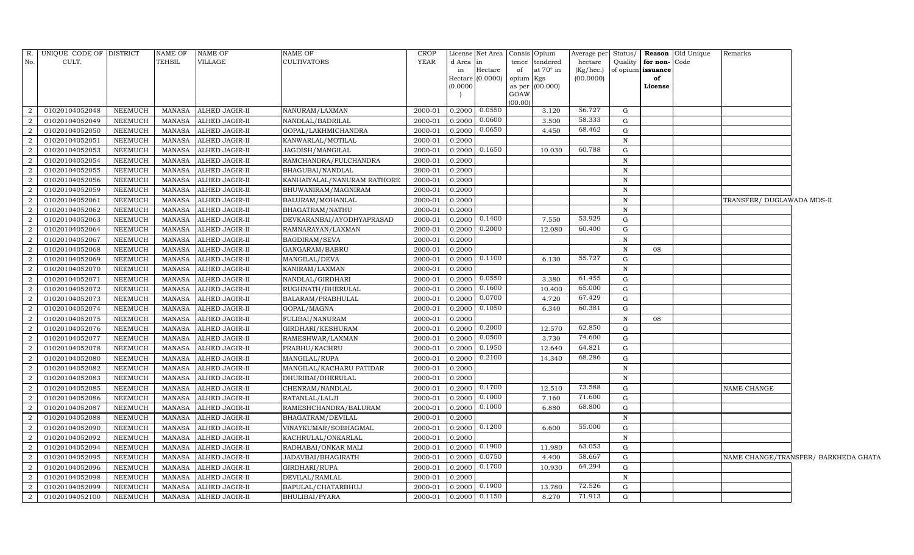| R.             | UNIQUE CODE OF DISTRICT |                | NAME OF       | <b>NAME OF</b>        | NAME OF                     | CROP        |                                  | License Net Area |                | Consis Opium     |           |              |                   | Average per Status/ Reason Old Unique | Remarks                              |  |
|----------------|-------------------------|----------------|---------------|-----------------------|-----------------------------|-------------|----------------------------------|------------------|----------------|------------------|-----------|--------------|-------------------|---------------------------------------|--------------------------------------|--|
| No.            | CULT.                   |                | <b>TEHSIL</b> | <b>VILLAGE</b>        | <b>CULTIVATORS</b>          | <b>YEAR</b> | d Area in                        |                  | tence          | tendered         | hectare   | Quality      | for non-Code      |                                       |                                      |  |
|                |                         |                |               |                       |                             |             | in                               | Hectare          | of             | at $70^\circ$ in | (Kg/hec.) |              | of opium issuance |                                       |                                      |  |
|                |                         |                |               |                       |                             |             | Hectare (0.0000)                 |                  | opium          | Kgs              | (00.0000) |              | of                |                                       |                                      |  |
|                |                         |                |               |                       |                             |             | (0.0000)                         |                  | as per<br>GOAW | (00.000)         |           |              | License           |                                       |                                      |  |
|                |                         |                |               |                       |                             |             |                                  |                  | (00.00)        |                  |           |              |                   |                                       |                                      |  |
| 2              | 01020104052048          | <b>NEEMUCH</b> | <b>MANASA</b> | ALHED JAGIR-II        | NANURAM/LAXMAN              | 2000-01     | 0.2000                           | 0.0550           |                | 3.120            | 56.727    | G            |                   |                                       |                                      |  |
| 2              | 01020104052049          | <b>NEEMUCH</b> | MANASA        | ALHED JAGIR-II        | NANDLAL/BADRILAL            | 2000-01     | 0.2000                           | 0.0600           |                | 3.500            | 58.333    | G            |                   |                                       |                                      |  |
| 2              | 01020104052050          | <b>NEEMUCH</b> | MANASA        | ALHED JAGIR-II        | GOPAL/LAKHMICHANDRA         | 2000-01     | 0.2000                           | 0.0650           |                | 4.450            | 68.462    | ${\rm G}$    |                   |                                       |                                      |  |
| 2              | 01020104052051          | NEEMUCH        | MANASA        | ALHED JAGIR-II        | KANWARLAL/MOTILAL           | 2000-01     | 0.2000                           |                  |                |                  |           | N            |                   |                                       |                                      |  |
| $\overline{2}$ | 01020104052053          | NEEMUCH        | MANASA        | ALHED JAGIR-II        | JAGDISH/MANGILAL            | 2000-01     | 0.2000                           | 0.1650           |                | 10.030           | 60.788    | ${\rm G}$    |                   |                                       |                                      |  |
| 2              | 01020104052054          | NEEMUCH        | MANASA        | ALHED JAGIR-II        | RAMCHANDRA/FULCHANDRA       | 2000-01     | 0.2000                           |                  |                |                  |           | $\, {\rm N}$ |                   |                                       |                                      |  |
| $\overline{a}$ | 01020104052055          | NEEMUCH        | MANASA        | ALHED JAGIR-II        | BHAGUBAI/NANDLAL            | 2000-01     | 0.2000                           |                  |                |                  |           | $\, {\rm N}$ |                   |                                       |                                      |  |
| 2              | 01020104052056          | NEEMUCH        | <b>MANASA</b> | ALHED JAGIR-II        | KANHAIYALAL/NANURAM RATHORE | 2000-01     | 0.2000                           |                  |                |                  |           | $\mathbb N$  |                   |                                       |                                      |  |
| $\overline{2}$ | 01020104052059          | NEEMUCH        | <b>MANASA</b> | <b>ALHED JAGIR-II</b> | BHUWANIRAM/MAGNIRAM         | 2000-01     | 0.2000                           |                  |                |                  |           | $\, {\rm N}$ |                   |                                       |                                      |  |
| 2              | 01020104052061          | NEEMUCH        | MANASA        | ALHED JAGIR-II        | BALURAM/MOHANLAL            | 2000-01     | 0.2000                           |                  |                |                  |           | $\mathbb N$  |                   |                                       | TRANSFER/ DUGLAWADA MDS-II           |  |
| 2              | 01020104052062          | <b>NEEMUCH</b> | <b>MANASA</b> | ALHED JAGIR-II        | BHAGATRAM/NATHU             | 2000-01     | 0.2000                           |                  |                |                  |           | $\, {\rm N}$ |                   |                                       |                                      |  |
| 2              | 01020104052063          | <b>NEEMUCH</b> | <b>MANASA</b> | ALHED JAGIR-II        | DEVKARANBAI/AYODHYAPRASAD   | 2000-01     | 0.2000                           | 0.1400           |                | 7.550            | 53.929    | ${\rm G}$    |                   |                                       |                                      |  |
| $\overline{a}$ | 01020104052064          | <b>NEEMUCH</b> | <b>MANASA</b> | <b>ALHED JAGIR-II</b> | RAMNARAYAN/LAXMAN           | 2000-01     | 0.2000                           | 0.2000           |                | 12.080           | 60.400    | ${\rm G}$    |                   |                                       |                                      |  |
| 2              | 01020104052067          | <b>NEEMUCH</b> | MANASA        | <b>ALHED JAGIR-II</b> | BAGDIRAM/SEVA               | 2000-01     | 0.2000                           |                  |                |                  |           | N            |                   |                                       |                                      |  |
| 2              | 01020104052068          | NEEMUCH        | MANASA        | ALHED JAGIR-II        | GANGARAM/BABRU              | 2000-01     | 0.2000                           |                  |                |                  |           | N            | 08                |                                       |                                      |  |
| 2              | 01020104052069          | NEEMUCH        | <b>MANASA</b> | ALHED JAGIR-II        | MANGILAL/DEVA               | 2000-01     | 0.2000                           | 0.1100           |                | 6.130            | 55.727    | G            |                   |                                       |                                      |  |
| $\overline{2}$ | 01020104052070          | NEEMUCH        | MANASA        | ALHED JAGIR-II        | KANIRAM/LAXMAN              | 2000-01     | 0.2000                           |                  |                |                  |           | N            |                   |                                       |                                      |  |
| 2              | 01020104052071          | NEEMUCH        | MANASA        | ALHED JAGIR-II        | NANDLAL/GIRDHARI            | 2000-01     | 0.2000 0.0550                    |                  |                | 3.380            | 61.455    | ${\rm G}$    |                   |                                       |                                      |  |
| 2              | 01020104052072          | NEEMUCH        | MANASA        | ALHED JAGIR-II        | RUGHNATH/BHERULAL           | 2000-01     | 0.2000                           | 0.1600           |                | 10.400           | 65.000    | ${\rm G}$    |                   |                                       |                                      |  |
| 2              | 01020104052073          | NEEMUCH        | <b>MANASA</b> | <b>ALHED JAGIR-II</b> | BALARAM/PRABHULAL           | 2000-01     | 0.2000                           | 0.0700           |                | 4.720            | 67.429    | G            |                   |                                       |                                      |  |
| $\overline{a}$ | 01020104052074          | <b>NEEMUCH</b> | <b>MANASA</b> | ALHED JAGIR-II        | GOPAL/MAGNA                 | 2000-01     | 0.2000                           | 0.1050           |                | 6.340            | 60.381    | ${\rm G}$    |                   |                                       |                                      |  |
| 2              | 01020104052075          | NEEMUCH        | MANASA        | ALHED JAGIR-II        | FULIBAI/NANURAM             | 2000-01     | 0.2000                           |                  |                |                  |           | $\, {\rm N}$ | 08                |                                       |                                      |  |
| 2              | 01020104052076          | NEEMUCH        | MANASA        | ALHED JAGIR-II        | GIRDHARI/KESHURAM           | 2000-01     | 0.2000                           | 0.2000           |                | 12.570           | 62.850    | G            |                   |                                       |                                      |  |
| 2              | 01020104052077          | <b>NEEMUCH</b> | MANASA        | <b>ALHED JAGIR-II</b> | RAMESHWAR/LAXMAN            | 2000-01     | 0.2000                           | 0.0500           |                | 3.730            | 74.600    | G            |                   |                                       |                                      |  |
| $\overline{2}$ | 01020104052078          | <b>NEEMUCH</b> | MANASA        | ALHED JAGIR-II        | PRABHU/KACHRU               | 2000-01     | 0.2000                           | 0.1950           |                | 12.640           | 64.821    | ${\rm G}$    |                   |                                       |                                      |  |
| 2              | 01020104052080          | <b>NEEMUCH</b> | MANASA        | ALHED JAGIR-II        | MANGILAL/RUPA               | 2000-01     | 0.2000                           | 0.2100           |                | 14.340           | 68.286    | ${\rm G}$    |                   |                                       |                                      |  |
| 2              | 01020104052082          | <b>NEEMUCH</b> | MANASA        | <b>ALHED JAGIR-II</b> | MANGILAL/KACHARU PATIDAR    | 2000-01     | 0.2000                           |                  |                |                  |           | ${\bf N}$    |                   |                                       |                                      |  |
| 2              | 01020104052083          | NEEMUCH        | MANASA        | <b>ALHED JAGIR-II</b> | DHURIBAI/BHERULAL           | 2000-01     | 0.2000                           |                  |                |                  |           | $\, {\rm N}$ |                   |                                       |                                      |  |
| $\overline{a}$ | 01020104052085          | NEEMUCH        | MANASA        | ALHED JAGIR-II        | CHENRAM/NANDLAL             | 2000-01     | $0.2000$ 0.1700                  |                  |                | 12.510           | 73.588    | G            |                   |                                       | NAME CHANGE                          |  |
| 2              | 01020104052086          | NEEMUCH        | MANASA        | ALHED JAGIR-II        | RATANLAL/LALJI              | 2000-01     | 0.2000                           | 0.1000           |                | 7.160            | 71.600    | ${\rm G}$    |                   |                                       |                                      |  |
| 2              | 01020104052087          | NEEMUCH        | MANASA        | ALHED JAGIR-II        | RAMESHCHANDRA/BALURAM       | 2000-01     | 0.2000                           | 0.1000           |                | 6.880            | 68.800    | ${\rm G}$    |                   |                                       |                                      |  |
| 2              | 01020104052088          | <b>NEEMUCH</b> | <b>MANASA</b> | <b>ALHED JAGIR-II</b> | BHAGATRAM/DEVILAL           | 2000-01     | 0.2000                           |                  |                |                  |           | $\, {\rm N}$ |                   |                                       |                                      |  |
| 2              | 01020104052090          | NEEMUCH        | MANASA        | ALHED JAGIR-II        | VINAYKUMAR/SOBHAGMAL        | 2000-01     | 0.2000                           | 0.1200           |                | 6.600            | 55.000    | G            |                   |                                       |                                      |  |
| 2              | 01020104052092          | NEEMUCH        | MANASA        | ALHED JAGIR-II        | KACHRULAL/ONKARLAL          | 2000-01     | 0.2000                           |                  |                |                  |           | $\, {\rm N}$ |                   |                                       |                                      |  |
| 2              | 01020104052094          | NEEMUCH        | MANASA        | ALHED JAGIR-II        | RADHABAI/ONKAR MALI         | 2000-01     | 0.2000                           | 0.1900           |                | 11.980           | 63.053    | ${\rm G}$    |                   |                                       |                                      |  |
| $\overline{2}$ | 01020104052095          | NEEMUCH        | <b>MANASA</b> | <b>ALHED JAGIR-II</b> | JADAVBAI/BHAGIRATH          | 2000-01     | 0.2000                           | 0.0750           |                | 4.400            | 58.667    | G            |                   |                                       | NAME CHANGE/TRANSFER/ BARKHEDA GHATA |  |
| 2              | 01020104052096          | NEEMUCH        | <b>MANASA</b> | <b>ALHED JAGIR-II</b> | GIRDHARI/RUPA               | 2000-01     | 0.2000                           | 0.1700           |                | 10.930           | 64.294    | G            |                   |                                       |                                      |  |
| 2              | 01020104052098          | <b>NEEMUCH</b> | MANASA        | ALHED JAGIR-II        | DEVILAL/RAMLAL              | 2000-01     | 0.2000                           |                  |                |                  |           | N            |                   |                                       |                                      |  |
| 2              | 01020104052099          | NEEMUCH        | MANASA        | ALHED JAGIR-II        | BAPULAL/CHATARBHUJ          | 2000-01     | 0.2000                           | 0.1900           |                | 13.780           | 72.526    | G            |                   |                                       |                                      |  |
| $\overline{a}$ | 01020104052100          | NEEMUCH        | MANASA        | ALHED JAGIR-II        | <b>BHULIBAI/PYARA</b>       | 2000-01     | $0.2000 \quad 0.11\overline{50}$ |                  |                | 8.270            | 71.913    | G            |                   |                                       |                                      |  |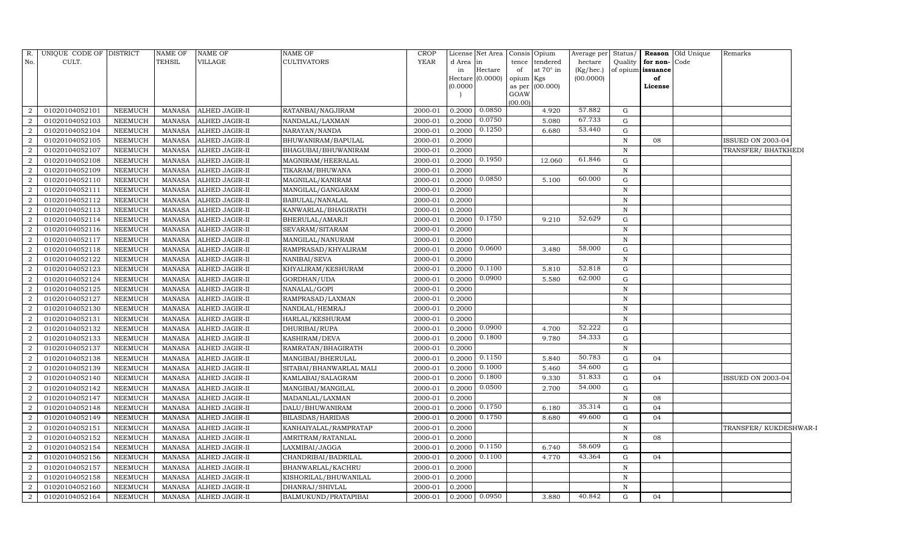| R.             | UNIQUE CODE OF DISTRICT |                | <b>NAME OF</b> | <b>NAME OF</b> | NAME OF                 | CROP        |          | License Net Area | Consis Opium |                 | Average per | Status/      |                   | Reason Old Unique | Remarks               |
|----------------|-------------------------|----------------|----------------|----------------|-------------------------|-------------|----------|------------------|--------------|-----------------|-------------|--------------|-------------------|-------------------|-----------------------|
| No.            | CULT.                   |                | TEHSIL         | VILLAGE        | <b>CULTIVATORS</b>      | <b>YEAR</b> | d Area   | in               | tence        | tendered        | hectare     | Quality      | for non-          | Code              |                       |
|                |                         |                |                |                |                         |             | in       | Hectare          | of           | at 70° in       | (Kg/hec.)   |              | of opium issuance |                   |                       |
|                |                         |                |                |                |                         |             |          | Hectare (0.0000) | opium Kgs    |                 | (00.0000)   |              | of                |                   |                       |
|                |                         |                |                |                |                         |             | (0.0000) |                  | GOAW         | as per (00.000) |             |              | License           |                   |                       |
|                |                         |                |                |                |                         |             |          |                  | (00.00)      |                 |             |              |                   |                   |                       |
| $\overline{2}$ | 01020104052101          | NEEMUCH        | MANASA         | ALHED JAGIR-II | RATANBAI/NAGJIRAM       | 2000-01     | 0.2000   | 0.0850           |              | 4.920           | 57.882      | G            |                   |                   |                       |
| $\overline{2}$ | 01020104052103          | <b>NEEMUCH</b> | <b>MANASA</b>  | ALHED JAGIR-II | NANDALAL/LAXMAN         | 2000-01     | 0.2000   | 0.0750           |              | 5.080           | 67.733      | $\mathbf G$  |                   |                   |                       |
| $\overline{2}$ | 01020104052104          | <b>NEEMUCH</b> | <b>MANASA</b>  | ALHED JAGIR-II | NARAYAN/NANDA           | 2000-01     | 0.2000   | 0.1250           |              | 6.680           | 53.440      | G            |                   |                   |                       |
| $\overline{2}$ | 01020104052105          | <b>NEEMUCH</b> | MANASA         | ALHED JAGIR-II | BHUWANIRAM/BAPULAL      | 2000-01     | 0.2000   |                  |              |                 |             | N            | 08                |                   | ISSUED ON 2003-04     |
| 2              | 01020104052107          | <b>NEEMUCH</b> | <b>MANASA</b>  | ALHED JAGIR-II | BHAGUBAI/BHUWANIRAM     | 2000-01     | 0.2000   |                  |              |                 |             | $\mathbf N$  |                   |                   | TRANSFER/ BHATKHEDI   |
| $\overline{2}$ | 01020104052108          | <b>NEEMUCH</b> | <b>MANASA</b>  | ALHED JAGIR-II | MAGNIRAM/HEERALAL       | 2000-01     | 0.2000   | 0.1950           |              | 12.060          | 61.846      | G            |                   |                   |                       |
| $\overline{2}$ | 01020104052109          | <b>NEEMUCH</b> | <b>MANASA</b>  | ALHED JAGIR-II | TIKARAM/BHUWANA         | 2000-01     | 0.2000   |                  |              |                 |             | $\mathbb N$  |                   |                   |                       |
| 2              | 01020104052110          | <b>NEEMUCH</b> | <b>MANASA</b>  | ALHED JAGIR-II | MAGNILAL/KANIRAM        | 2000-01     | 0.2000   | 0.0850           |              | 5.100           | 60.000      | ${\rm G}$    |                   |                   |                       |
| $\overline{2}$ | 01020104052111          | <b>NEEMUCH</b> | <b>MANASA</b>  | ALHED JAGIR-II | MANGILAL/GANGARAM       | 2000-01     | 0.2000   |                  |              |                 |             | $\mathbf N$  |                   |                   |                       |
| $\overline{2}$ | 01020104052112          | <b>NEEMUCH</b> | <b>MANASA</b>  | ALHED JAGIR-II | BABULAL/NANALAL         | 2000-01     | 0.2000   |                  |              |                 |             | $\, {\rm N}$ |                   |                   |                       |
| $\overline{2}$ | 01020104052113          | <b>NEEMUCH</b> | <b>MANASA</b>  | ALHED JAGIR-II | KANWARLAL/BHAGIRATH     | 2000-01     | 0.2000   |                  |              |                 |             | $\mathbf N$  |                   |                   |                       |
| $\overline{2}$ | 01020104052114          | <b>NEEMUCH</b> | <b>MANASA</b>  | ALHED JAGIR-II | BHERULAL/AMARJI         | 2000-01     | 0.2000   | 0.1750           |              | 9.210           | 52.629      | G            |                   |                   |                       |
| $\overline{2}$ | 01020104052116          | <b>NEEMUCH</b> | <b>MANASA</b>  | ALHED JAGIR-II | SEVARAM/SITARAM         | 2000-01     | 0.2000   |                  |              |                 |             | $\mathbf N$  |                   |                   |                       |
| $\overline{2}$ | 01020104052117          | <b>NEEMUCH</b> | <b>MANASA</b>  | ALHED JAGIR-II | MANGILAL/NANURAM        | 2000-01     | 0.2000   |                  |              |                 |             | N            |                   |                   |                       |
| $\overline{2}$ | 01020104052118          | <b>NEEMUCH</b> | <b>MANASA</b>  | ALHED JAGIR-II | RAMPRASAD/KHYALIRAM     | 2000-01     | 0.2000   | 0.0600           |              | 3.480           | 58.000      | $\mathbf G$  |                   |                   |                       |
| 2              | 01020104052122          | <b>NEEMUCH</b> | <b>MANASA</b>  | ALHED JAGIR-II | NANIBAI/SEVA            | 2000-01     | 0.2000   |                  |              |                 |             | $\, {\rm N}$ |                   |                   |                       |
| $\overline{2}$ | 01020104052123          | <b>NEEMUCH</b> | <b>MANASA</b>  | ALHED JAGIR-II | KHYALIRAM/KESHURAM      | 2000-01     | 0.2000   | 0.1100           |              | 5.810           | 52.818      | G            |                   |                   |                       |
| $\overline{2}$ | 01020104052124          | <b>NEEMUCH</b> | <b>MANASA</b>  | ALHED JAGIR-II | GORDHAN/UDA             | 2000-01     | 0.2000   | 0.0900           |              | 5.580           | 62.000      | G            |                   |                   |                       |
| $\overline{2}$ | 01020104052125          | <b>NEEMUCH</b> | <b>MANASA</b>  | ALHED JAGIR-II | NANALAL/GOPI            | 2000-01     | 0.2000   |                  |              |                 |             | $\, {\rm N}$ |                   |                   |                       |
| $\overline{2}$ | 01020104052127          | <b>NEEMUCH</b> | <b>MANASA</b>  | ALHED JAGIR-II | RAMPRASAD/LAXMAN        | 2000-01     | 0.2000   |                  |              |                 |             | $\mathbf N$  |                   |                   |                       |
| $\overline{2}$ | 01020104052130          | <b>NEEMUCH</b> | <b>MANASA</b>  | ALHED JAGIR-II | NANDLAL/HEMRAJ          | 2000-01     | 0.2000   |                  |              |                 |             | $\, {\rm N}$ |                   |                   |                       |
| $\overline{2}$ | 01020104052131          | <b>NEEMUCH</b> | <b>MANASA</b>  | ALHED JAGIR-II | HARLAL/KESHURAM         | 2000-01     | 0.2000   |                  |              |                 |             | $\, {\rm N}$ |                   |                   |                       |
| $\overline{2}$ | 01020104052132          | <b>NEEMUCH</b> | <b>MANASA</b>  | ALHED JAGIR-II | DHURIBAI/RUPA           | 2000-01     | 0.2000   | 0.0900           |              | 4.700           | 52.222      | G            |                   |                   |                       |
| 2              | 01020104052133          | <b>NEEMUCH</b> | <b>MANASA</b>  | ALHED JAGIR-II | KASHIRAM/DEVA           | 2000-01     | 0.2000   | 0.1800           |              | 9.780           | 54.333      | G            |                   |                   |                       |
| $\overline{2}$ | 01020104052137          | <b>NEEMUCH</b> | <b>MANASA</b>  | ALHED JAGIR-II | RAMRATAN/BHAGIRATH      | 2000-01     | 0.2000   |                  |              |                 |             | $\, {\rm N}$ |                   |                   |                       |
| $\overline{2}$ | 01020104052138          | <b>NEEMUCH</b> | <b>MANASA</b>  | ALHED JAGIR-II | MANGIBAI/BHERULAL       | 2000-01     | 0.2000   | 0.1150           |              | 5.840           | 50.783      | G            | 04                |                   |                       |
| 2              | 01020104052139          | <b>NEEMUCH</b> | <b>MANASA</b>  | ALHED JAGIR-II | SITABAI/BHANWARLAL MALI | 2000-01     | 0.2000   | 0.1000           |              | 5.460           | 54.600      | G            |                   |                   |                       |
| $\overline{2}$ | 01020104052140          | <b>NEEMUCH</b> | <b>MANASA</b>  | ALHED JAGIR-II | KAMLABAI/SALAGRAM       | 2000-01     | 0.2000   | 0.1800           |              | 9.330           | 51.833      | G            | 04                |                   | ISSUED ON 2003-04     |
| $\overline{2}$ | 01020104052142          | <b>NEEMUCH</b> | <b>MANASA</b>  | ALHED JAGIR-II | MANGIBAI/MANGILAL       | 2000-01     | 0.2000   | 0.0500           |              | 2.700           | 54.000      | G            |                   |                   |                       |
| $\overline{2}$ | 01020104052147          | <b>NEEMUCH</b> | <b>MANASA</b>  | ALHED JAGIR-II | MADANLAL/LAXMAN         | 2000-01     | 0.2000   |                  |              |                 |             | $\mathbf N$  | 08                |                   |                       |
| $\overline{2}$ | 01020104052148          | NEEMUCH        | <b>MANASA</b>  | ALHED JAGIR-II | DALU/BHUWANIRAM         | 2000-01     | 0.2000   | 0.1750           |              | 6.180           | 35.314      | G            | 04                |                   |                       |
| $\overline{2}$ | 01020104052149          | <b>NEEMUCH</b> | <b>MANASA</b>  | ALHED JAGIR-II | BILASDAS/HARIDAS        | 2000-01     | 0.2000   | 0.1750           |              | 8.680           | 49.600      | G            | 04                |                   |                       |
| $\overline{2}$ | 01020104052151          | <b>NEEMUCH</b> | <b>MANASA</b>  | ALHED JAGIR-II | KANHAIYALAL/RAMPRATAP   | 2000-01     | 0.2000   |                  |              |                 |             | $\, {\rm N}$ |                   |                   | TRANSFER/KUKDESHWAR-1 |
| $\overline{2}$ | 01020104052152          | <b>NEEMUCH</b> | <b>MANASA</b>  | ALHED JAGIR-II | AMRITRAM/RATANLAL       | 2000-01     | 0.2000   |                  |              |                 |             | N            | 08                |                   |                       |
| $\overline{2}$ | 01020104052154          | <b>NEEMUCH</b> | <b>MANASA</b>  | ALHED JAGIR-II | LAXMIBAI/JAGGA          | 2000-01     | 0.2000   | 0.1150           |              | 6.740           | 58.609      | G            |                   |                   |                       |
| $\overline{2}$ | 01020104052156          | NEEMUCH        | <b>MANASA</b>  | ALHED JAGIR-II | CHANDRIBAI/BADRILAL     | 2000-01     | 0.2000   | 0.1100           |              | 4.770           | 43.364      | G            | 04                |                   |                       |
| $\overline{2}$ | 01020104052157          | NEEMUCH        | <b>MANASA</b>  | ALHED JAGIR-II | BHANWARLAL/KACHRU       | 2000-01     | 0.2000   |                  |              |                 |             | $\mathbf N$  |                   |                   |                       |
| $\overline{2}$ | 01020104052158          | <b>NEEMUCH</b> | <b>MANASA</b>  | ALHED JAGIR-II | KISHORILAL/BHUWANILAL   | 2000-01     | 0.2000   |                  |              |                 |             | N            |                   |                   |                       |
| $\overline{2}$ | 01020104052160          | <b>NEEMUCH</b> | <b>MANASA</b>  | ALHED JAGIR-II | DHANRAJ/SHIVLAL         | 2000-01     | 0.2000   |                  |              |                 |             | N            |                   |                   |                       |
| $\overline{2}$ | 01020104052164          | NEEMUCH        | MANASA         | ALHED JAGIR-II | BALMUKUND/PRATAPIBAI    | 2000-01     | 0.2000   | 0.0950           |              | 3.880           | 40.842      | G            | 04                |                   |                       |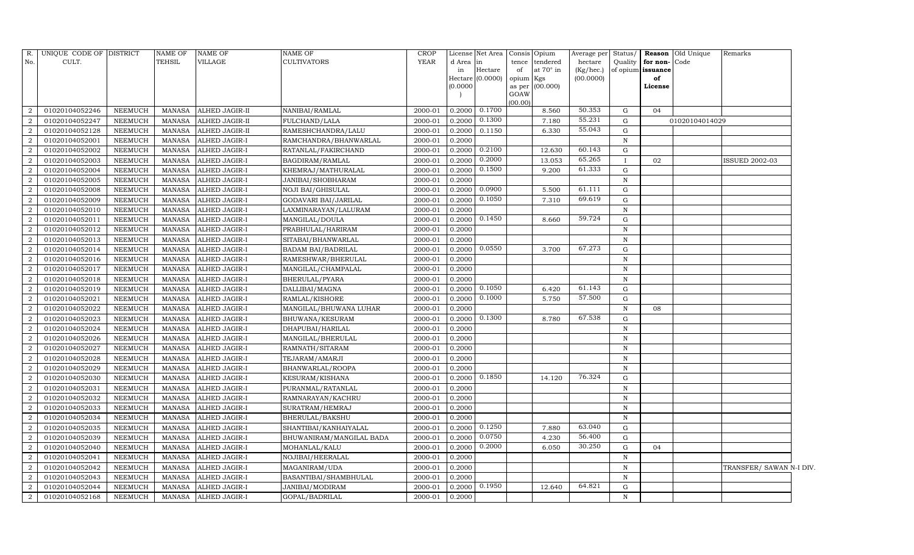| R.             | UNIQUE CODE OF DISTRICT |                | <b>NAME OF</b> | NAME OF              | <b>NAME OF</b>           | <b>CROP</b> |          | License Net Area   Consis   Opium |           |                  | Average per | Status/      |                   | Reason Old Unique | Remarks                  |  |
|----------------|-------------------------|----------------|----------------|----------------------|--------------------------|-------------|----------|-----------------------------------|-----------|------------------|-------------|--------------|-------------------|-------------------|--------------------------|--|
| No.            | CULT.                   |                | <b>TEHSIL</b>  | VILLAGE              | CULTIVATORS              | <b>YEAR</b> | d Area   | in                                | tence     | tendered         | hectare     | Quality      | for non-          | Code              |                          |  |
|                |                         |                |                |                      |                          |             | in       | Hectare                           | of        | at $70^\circ$ in | (Kg/hec.)   |              | of opium issuance |                   |                          |  |
|                |                         |                |                |                      |                          |             |          | Hectare (0.0000)                  | opium Kgs |                  | (00.0000)   |              | of                |                   |                          |  |
|                |                         |                |                |                      |                          |             | (0.0000) |                                   | GOAW      | as per (00.000)  |             |              | License           |                   |                          |  |
|                |                         |                |                |                      |                          |             |          |                                   | (00.00)   |                  |             |              |                   |                   |                          |  |
| $\overline{2}$ | 01020104052246          | <b>NEEMUCH</b> | MANASA         | ALHED JAGIR-II       | NANIBAI/RAMLAL           | 2000-01     | 0.2000   | 0.1700                            |           | 8.560            | 50.353      | G            | 04                |                   |                          |  |
| $\overline{2}$ | 01020104052247          | <b>NEEMUCH</b> | <b>MANASA</b>  | ALHED JAGIR-II       | FULCHAND/LALA            | 2000-01     | 0.2000   | 0.1300                            |           | 7.180            | 55.231      | G            |                   | 01020104014029    |                          |  |
| $\overline{2}$ | 01020104052128          | <b>NEEMUCH</b> | <b>MANASA</b>  | ALHED JAGIR-II       | RAMESHCHANDRA/LALU       | 2000-01     | 0.2000   | 0.1150                            |           | 6.330            | 55.043      | G            |                   |                   |                          |  |
| $\overline{a}$ | 01020104052001          | <b>NEEMUCH</b> | <b>MANASA</b>  | ALHED JAGIR-I        | RAMCHANDRA/BHANWARLAL    | 2000-01     | 0.2000   |                                   |           |                  |             | ${\bf N}$    |                   |                   |                          |  |
| $\overline{2}$ | 01020104052002          | <b>NEEMUCH</b> | <b>MANASA</b>  | ALHED JAGIR-I        | RATANLAL/FAKIRCHAND      | 2000-01     | 0.2000   | 0.2100                            |           | 12.630           | 60.143      | G            |                   |                   |                          |  |
| $\overline{2}$ | 01020104052003          | <b>NEEMUCH</b> | <b>MANASA</b>  | ALHED JAGIR-I        | BAGDIRAM/RAMLAL          | 2000-01     | 0.2000   | 0.2000                            |           | 13.053           | 65.265      | $\mathbf{I}$ | 02                |                   | <b>ISSUED 2002-03</b>    |  |
| $\overline{2}$ | 01020104052004          | <b>NEEMUCH</b> | <b>MANASA</b>  | ALHED JAGIR-I        | KHEMRAJ/MATHURALAL       | 2000-01     | 0.2000   | 0.1500                            |           | 9.200            | 61.333      | G            |                   |                   |                          |  |
| $\overline{2}$ | 01020104052005          | <b>NEEMUCH</b> | MANASA         | ALHED JAGIR-I        | JANIBAI/SHOBHARAM        | 2000-01     | 0.2000   |                                   |           |                  |             | ${\bf N}$    |                   |                   |                          |  |
| $\overline{2}$ | 01020104052008          | <b>NEEMUCH</b> | <b>MANASA</b>  | ALHED JAGIR-I        | NOJI BAI/GHISULAL        | 2000-01     | 0.2000   | 0.0900                            |           | 5.500            | 61.111      | G            |                   |                   |                          |  |
| $\overline{2}$ | 01020104052009          | <b>NEEMUCH</b> | <b>MANASA</b>  | ALHED JAGIR-I        | GODAVARI BAI/JARILAL     | 2000-01     | 0.2000   | 0.1050                            |           | 7.310            | 69.619      | G            |                   |                   |                          |  |
| 2              | 01020104052010          | <b>NEEMUCH</b> | <b>MANASA</b>  | ALHED JAGIR-I        | LAXMINARAYAN/LALURAM     | 2000-01     | 0.2000   |                                   |           |                  |             | $\mathbf N$  |                   |                   |                          |  |
| $\overline{2}$ | 01020104052011          | <b>NEEMUCH</b> | <b>MANASA</b>  | ALHED JAGIR-I        | MANGILAL/DOULA           | 2000-01     | 0.2000   | 0.1450                            |           | 8.660            | 59.724      | $\mathbf G$  |                   |                   |                          |  |
| $\overline{2}$ | 01020104052012          | <b>NEEMUCH</b> | <b>MANASA</b>  | ALHED JAGIR-I        | PRABHULAL/HARIRAM        | 2000-01     | 0.2000   |                                   |           |                  |             | $\mathbf N$  |                   |                   |                          |  |
| $\overline{2}$ | 01020104052013          | <b>NEEMUCH</b> | <b>MANASA</b>  | ALHED JAGIR-I        | SITABAI/BHANWARLAL       | 2000-01     | 0.2000   |                                   |           |                  |             | N            |                   |                   |                          |  |
| $\overline{2}$ | 01020104052014          | NEEMUCH        | <b>MANASA</b>  | ALHED JAGIR-I        | BADAM BAI/BADRILAL       | 2000-01     |          | $0.2000 \quad 0.0550$             |           | 3.700            | 67.273      | G            |                   |                   |                          |  |
| $\overline{2}$ | 01020104052016          | <b>NEEMUCH</b> | <b>MANASA</b>  | ALHED JAGIR-I        | RAMESHWAR/BHERULAL       | 2000-01     | 0.2000   |                                   |           |                  |             | N            |                   |                   |                          |  |
| $\overline{2}$ | 01020104052017          | <b>NEEMUCH</b> | <b>MANASA</b>  | ALHED JAGIR-I        | MANGILAL/CHAMPALAL       | 2000-01     | 0.2000   |                                   |           |                  |             | N            |                   |                   |                          |  |
| $\overline{2}$ | 01020104052018          | <b>NEEMUCH</b> | <b>MANASA</b>  | ALHED JAGIR-I        | BHERULAL/PYARA           | 2000-01     | 0.2000   |                                   |           |                  |             | $\mathbf N$  |                   |                   |                          |  |
| $\overline{a}$ | 01020104052019          | NEEMUCH        | <b>MANASA</b>  | ALHED JAGIR-I        | DALLIBAI/MAGNA           | 2000-01     | 0.2000   | 0.1050                            |           | 6.420            | 61.143      | G            |                   |                   |                          |  |
| $\overline{a}$ | 01020104052021          | NEEMUCH        | <b>MANASA</b>  | ALHED JAGIR-I        | RAMLAL/KISHORE           | 2000-01     | 0.2000   | 0.1000                            |           | 5.750            | 57.500      | G            |                   |                   |                          |  |
| $\overline{2}$ | 01020104052022          | NEEMUCH        | <b>MANASA</b>  | ALHED JAGIR-I        | MANGILAL/BHUWANA LUHAR   | 2000-01     | 0.2000   |                                   |           |                  |             | $\mathbf N$  | 08                |                   |                          |  |
| $\overline{2}$ | 01020104052023          | <b>NEEMUCH</b> | <b>MANASA</b>  | ALHED JAGIR-I        | BHUWANA/KESURAM          | 2000-01     | 0.2000   | 0.1300                            |           | 8.780            | 67.538      | G            |                   |                   |                          |  |
| $\overline{2}$ | 01020104052024          | NEEMUCH        | MANASA         | ALHED JAGIR-I        | DHAPUBAI/HARILAL         | 2000-01     | 0.2000   |                                   |           |                  |             | $\mathbf N$  |                   |                   |                          |  |
| $\overline{2}$ | 01020104052026          | <b>NEEMUCH</b> | <b>MANASA</b>  | ALHED JAGIR-I        | MANGILAL/BHERULAL        | 2000-01     | 0.2000   |                                   |           |                  |             | $\mathbf N$  |                   |                   |                          |  |
| $\overline{2}$ | 01020104052027          | NEEMUCH        | <b>MANASA</b>  | ALHED JAGIR-I        | RAMNATH/SITARAM          | 2000-01     | 0.2000   |                                   |           |                  |             | N            |                   |                   |                          |  |
| $\overline{2}$ | 01020104052028          | NEEMUCH        | <b>MANASA</b>  | ALHED JAGIR-I        | TEJARAM/AMARJI           | 2000-01     | 0.2000   |                                   |           |                  |             | $\mathbf N$  |                   |                   |                          |  |
| $\overline{a}$ | 01020104052029          | <b>NEEMUCH</b> | <b>MANASA</b>  | ALHED JAGIR-I        | BHANWARLAL/ROOPA         | 2000-01     | 0.2000   |                                   |           |                  |             | $\mathbf N$  |                   |                   |                          |  |
| $\overline{2}$ | 01020104052030          | <b>NEEMUCH</b> | <b>MANASA</b>  | ALHED JAGIR-I        | KESURAM/KISHANA          | 2000-01     | 0.2000   | 0.1850                            |           | 14.120           | 76.324      | G            |                   |                   |                          |  |
| $\overline{2}$ | 01020104052031          | <b>NEEMUCH</b> | MANASA         | ALHED JAGIR-I        | PURANMAL/RATANLAL        | 2000-01     | 0.2000   |                                   |           |                  |             | $\mathbf N$  |                   |                   |                          |  |
| 2              | 01020104052032          | <b>NEEMUCH</b> | <b>MANASA</b>  | ALHED JAGIR-I        | RAMNARAYAN/KACHRU        | 2000-01     | 0.2000   |                                   |           |                  |             | $\mathbf N$  |                   |                   |                          |  |
| $\overline{a}$ | 01020104052033          | <b>NEEMUCH</b> | <b>MANASA</b>  | ALHED JAGIR-I        | SURATRAM/HEMRAJ          | 2000-01     | 0.2000   |                                   |           |                  |             | $\mathbf N$  |                   |                   |                          |  |
| $\overline{2}$ | 01020104052034          | <b>NEEMUCH</b> | <b>MANASA</b>  | ALHED JAGIR-I        | BHERULAL/BAKSHU          | 2000-01     | 0.2000   |                                   |           |                  |             | $\mathbf N$  |                   |                   |                          |  |
| $\overline{2}$ | 01020104052035          | <b>NEEMUCH</b> | <b>MANASA</b>  | ALHED JAGIR-I        | SHANTIBAI/KANHAIYALAL    | 2000-01     | 0.2000   | 0.1250                            |           | 7.880            | 63.040      | G            |                   |                   |                          |  |
| $\overline{2}$ | 01020104052039          | <b>NEEMUCH</b> | <b>MANASA</b>  | ALHED JAGIR-I        | BHUWANIRAM/MANGILAL BADA | 2000-01     | 0.2000   | 0.0750                            |           | 4.230            | 56.400      | $\mathbf G$  |                   |                   |                          |  |
| $\overline{2}$ | 01020104052040          | <b>NEEMUCH</b> | <b>MANASA</b>  | ALHED JAGIR-I        | MOHANLAL/KALU            | 2000-01     | 0.2000   | 0.2000                            |           | 6.050            | 30.250      | ${\rm G}$    | 04                |                   |                          |  |
| $\overline{2}$ | 01020104052041          | <b>NEEMUCH</b> | <b>MANASA</b>  | ALHED JAGIR-I        | NOJIBAI/HEERALAL         | 2000-01     | 0.2000   |                                   |           |                  |             | N            |                   |                   |                          |  |
| $\overline{2}$ | 01020104052042          | <b>NEEMUCH</b> | MANASA         | ALHED JAGIR-I        | MAGANIRAM/UDA            | 2000-01     | 0.2000   |                                   |           |                  |             | N            |                   |                   | TRANSFER/ SAWAN N-I DIV. |  |
| $\overline{a}$ | 01020104052043          | NEEMUCH        | <b>MANASA</b>  | ALHED JAGIR-I        | BASANTIBAI/SHAMBHULAL    | 2000-01     | 0.2000   |                                   |           |                  |             | $\mathbf N$  |                   |                   |                          |  |
| 2              | 01020104052044          | <b>NEEMUCH</b> | <b>MANASA</b>  | ALHED JAGIR-I        | JANIBAI/MODIRAM          | 2000-01     | 0.2000   | 0.1950                            |           | 12.640           | 64.821      | G            |                   |                   |                          |  |
| $\overline{2}$ | 01020104052168          | <b>NEEMUCH</b> | MANASA         | <b>ALHED JAGIR-I</b> | GOPAL/BADRILAL           | 2000-01     | 0.2000   |                                   |           |                  |             | N            |                   |                   |                          |  |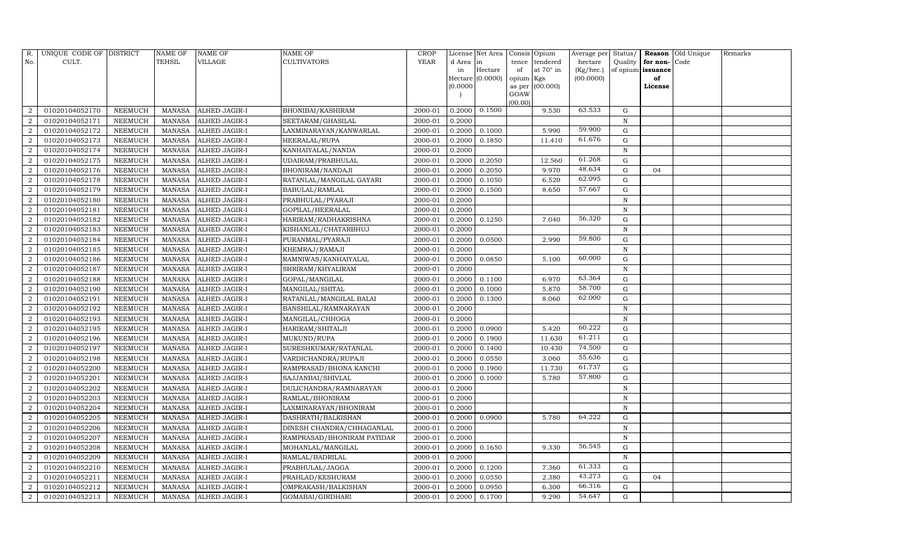| R.                          | UNIQUE CODE OF DISTRICT |                | <b>NAME OF</b> | NAME OF              | NAME OF                    | <b>CROP</b> |           | License Net Area |                | Consis Opium | Average per | Status/           | Reason   | Old Unique | Remarks |
|-----------------------------|-------------------------|----------------|----------------|----------------------|----------------------------|-------------|-----------|------------------|----------------|--------------|-------------|-------------------|----------|------------|---------|
| No.                         | CULT.                   |                | TEHSIL         | VILLAGE              | <b>CULTIVATORS</b>         | <b>YEAR</b> | d Area in |                  | tence          | tendered     | hectare     | Quality           | for non- | Code       |         |
|                             |                         |                |                |                      |                            |             | in        | Hectare          | of             | at 70° in    | (Kg/hec.)   | of opium issuance |          |            |         |
|                             |                         |                |                |                      |                            |             |           | Hectare (0.0000) | opium Kgs      |              | (00.0000)   |                   | of       |            |         |
|                             |                         |                |                |                      |                            |             | (0.0000)  |                  | as per<br>GOAW | (00.000)     |             |                   | License  |            |         |
|                             |                         |                |                |                      |                            |             |           |                  | (00.00)        |              |             |                   |          |            |         |
|                             | 01020104052170          | NEEMUCH        | MANASA         | ALHED JAGIR-I        | BHONIBAI/KASHIRAM          | 2000-01     | 0.2000    | 0.1500           |                | 9.530        | 63.533      | G                 |          |            |         |
| $\overline{2}$              | 01020104052171          | NEEMUCH        | MANASA         | ALHED JAGIR-I        | SEETARAM/GHASILAL          | 2000-01     | 0.2000    |                  |                |              |             | N                 |          |            |         |
| $\overline{2}$              | 01020104052172          | NEEMUCH        | MANASA         | ALHED JAGIR-I        | LAXMINARAYAN/KANWARLAL     | 2000-01     | 0.2000    | 0.1000           |                | 5.990        | 59.900      | G                 |          |            |         |
| $\overline{2}$              | 01020104052173          | NEEMUCH        | MANASA         | ALHED JAGIR-I        | HEERALAL/RUPA              | 2000-01     | 0.2000    | 0.1850           |                | 11.410       | 61.676      | G                 |          |            |         |
| 2                           | 01020104052174          | NEEMUCH        | <b>MANASA</b>  | ALHED JAGIR-I        | KANHAIYALAL/NANDA          | 2000-01     | 0.2000    |                  |                |              |             | $\mathbf N$       |          |            |         |
|                             | 01020104052175          | NEEMUCH        | MANASA         | ALHED JAGIR-I        | UDAIRAM/PRABHULAL          | 2000-01     | 0.2000    | 0.2050           |                | 12.560       | 61.268      | $\mathbf G$       |          |            |         |
|                             | 01020104052176          | NEEMUCH        | <b>MANASA</b>  | ALHED JAGIR-I        | BHONIRAM/NANDAJI           | 2000-01     | 0.2000    | 0.2050           |                | 9.970        | 48.634      | G                 | 04       |            |         |
| 2                           | 01020104052178          | NEEMUCH        | <b>MANASA</b>  | ALHED JAGIR-I        | RATANLAL/MANGILAL GAYARI   | 2000-01     | 0.2000    | 0.1050           |                | 6.520        | 62.095      | G                 |          |            |         |
| 2                           | 01020104052179          | NEEMUCH        | <b>MANASA</b>  | ALHED JAGIR-I        | BABULAL/RAMLAL             | 2000-01     | 0.2000    | 0.1500           |                | 8.650        | 57.667      | $\mathbf G$       |          |            |         |
|                             | 01020104052180          | NEEMUCH        | <b>MANASA</b>  | ALHED JAGIR-I        | PRABHULAL/PYARAJI          | 2000-01     | 0.2000    |                  |                |              |             | $\mathbf N$       |          |            |         |
| $\mathcal{D}_{\mathcal{L}}$ | 01020104052181          | NEEMUCH        | <b>MANASA</b>  | ALHED JAGIR-I        | GOPILAL/HEERALAL           | 2000-01     | 0.2000    |                  |                |              |             | N                 |          |            |         |
| $\overline{2}$              | 01020104052182          | NEEMUCH        | MANASA         | ALHED JAGIR-I        | HARIRAM/RADHAKRISHNA       | 2000-01     | 0.2000    | 0.1250           |                | 7.040        | 56.320      | $\mathbf G$       |          |            |         |
| $\overline{2}$              | 01020104052183          | NEEMUCH        | MANASA         | ALHED JAGIR-I        | KISHANLAL/CHATARBHUJ       | 2000-01     | 0.2000    |                  |                |              |             | $\mathbf N$       |          |            |         |
| $\overline{2}$              | 01020104052184          | NEEMUCH        | <b>MANASA</b>  | ALHED JAGIR-I        | PURANMAL/PYARAJI           | 2000-01     | 0.2000    | 0.0500           |                | 2.990        | 59.800      | G                 |          |            |         |
| $\overline{2}$              | 01020104052185          | NEEMUCH        | MANASA         | ALHED JAGIR-I        | KHEMRAJ/RAMAJI             | 2000-01     | 0.2000    |                  |                |              |             | N                 |          |            |         |
| 2                           | 01020104052186          | NEEMUCH        | MANASA         | ALHED JAGIR-I        | RAMNIWAS/KANHAIYALAL       | 2000-01     | 0.2000    | 0.0850           |                | 5.100        | 60.000      | $\mathbf G$       |          |            |         |
| $\overline{2}$              | 01020104052187          | <b>NEEMUCH</b> | <b>MANASA</b>  | ALHED JAGIR-I        | SHRIRAM/KHYALIRAM          | 2000-01     | 0.2000    |                  |                |              |             | $\mathbf N$       |          |            |         |
|                             | 01020104052188          | NEEMUCH        | MANASA         | ALHED JAGIR-I        | GOPAL/MANGILAL             | 2000-01     | 0.2000    | 0.1100           |                | 6.970        | 63.364      | G                 |          |            |         |
| $\overline{2}$              | 01020104052190          | NEEMUCH        | <b>MANASA</b>  | ALHED JAGIR-I        | MANGILAL/SHITAL            | 2000-01     | 0.2000    | 0.1000           |                | 5.870        | 58.700      | ${\rm G}$         |          |            |         |
| $\overline{2}$              | 01020104052191          | NEEMUCH        | MANASA         | ALHED JAGIR-I        | RATANLAL/MANGILAL BALAI    | 2000-01     | 0.2000    | 0.1300           |                | 8.060        | 62.000      | $\mathbf G$       |          |            |         |
|                             | 01020104052192          | <b>NEEMUCH</b> | <b>MANASA</b>  | ALHED JAGIR-I        | BANSHILAL/RAMNARAYAN       | 2000-01     | 0.2000    |                  |                |              |             | $\mathbf N$       |          |            |         |
| $\overline{2}$              | 01020104052193          | NEEMUCH        | <b>MANASA</b>  | ALHED JAGIR-I        | MANGILAL/CHHOGA            | 2000-01     | 0.2000    |                  |                |              |             | N                 |          |            |         |
| $\overline{2}$              | 01020104052195          | NEEMUCH        | MANASA         | ALHED JAGIR-I        | HARIRAM/SHITALJI           | 2000-01     | 0.2000    | 0.0900           |                | 5.420        | 60.222      | G                 |          |            |         |
| 2                           | 01020104052196          | NEEMUCH        | <b>MANASA</b>  | ALHED JAGIR-I        | MUKUND/RUPA                | 2000-01     | 0.2000    | 0.1900           |                | 11.630       | 61.211      | G                 |          |            |         |
|                             | 01020104052197          | NEEMUCH        | <b>MANASA</b>  | ALHED JAGIR-I        | SURESHKUMAR/RATANLAL       | 2000-01     | 0.2000    | 0.1400           |                | 10.430       | 74.500      | ${\rm G}$         |          |            |         |
| $\overline{2}$              | 01020104052198          | NEEMUCH        | MANASA         | ALHED JAGIR-I        | VARDICHANDRA/RUPAJI        | 2000-01     | 0.2000    | 0.0550           |                | 3.060        | 55.636      | G                 |          |            |         |
| $\overline{2}$              | 01020104052200          | NEEMUCH        | <b>MANASA</b>  | ALHED JAGIR-I        | RAMPRASAD/BHONA KANCHI     | 2000-01     | 0.2000    | 0.1900           |                | 11.730       | 61.737      | ${\rm G}$         |          |            |         |
| $\overline{2}$              | 01020104052201          | NEEMUCH        | <b>MANASA</b>  | ALHED JAGIR-I        | SAJJANBAI/SHIVLAL          | 2000-01     | 0.2000    | 0.1000           |                | 5.780        | 57.800      | G                 |          |            |         |
|                             | 01020104052202          | NEEMUCH        | <b>MANASA</b>  | ALHED JAGIR-I        | DULICHANDRA/RAMNARAYAN     | 2000-01     | 0.2000    |                  |                |              |             | N                 |          |            |         |
| $\overline{2}$              | 01020104052203          | NEEMUCH        | <b>MANASA</b>  | ALHED JAGIR-I        | RAMLAL/BHONIRAM            | 2000-01     | 0.2000    |                  |                |              |             | $\mathbf N$       |          |            |         |
| $\overline{2}$              | 01020104052204          | NEEMUCH        | MANASA         | ALHED JAGIR-I        | LAXMINARAYAN/BHONIRAM      | 2000-01     | 0.2000    |                  |                |              |             | N                 |          |            |         |
| 2                           | 01020104052205          | NEEMUCH        | <b>MANASA</b>  | ALHED JAGIR-I        | DASHRATH/BALKISHAN         | 2000-01     | 0.2000    | 0.0900           |                | 5.780        | 64.222      | $\mathbf G$       |          |            |         |
|                             | 01020104052206          | NEEMUCH        | MANASA         | ALHED JAGIR-I        | DINESH CHANDRA/CHHAGANLAL  | 2000-01     | 0.2000    |                  |                |              |             | $\mathbf N$       |          |            |         |
| $\mathcal{D}$               | 01020104052207          | NEEMUCH        | <b>MANASA</b>  | ALHED JAGIR-I        | RAMPRASAD/BHONIRAM PATIDAR | 2000-01     | 0.2000    |                  |                |              |             | $\mathbb N$       |          |            |         |
| 2                           | 01020104052208          | NEEMUCH        | MANASA         | ALHED JAGIR-I        | MOHANLAL/MANGILAL          | 2000-01     | 0.2000    | 0.1650           |                | 9.330        | 56.545      | ${\rm G}$         |          |            |         |
| $\overline{2}$              | 01020104052209          | <b>NEEMUCH</b> | <b>MANASA</b>  | ALHED JAGIR-I        | RAMLAL/BADRILAL            | 2000-01     | 0.2000    |                  |                |              |             | $\mathbf N$       |          |            |         |
| $\overline{2}$              | 01020104052210          | NEEMUCH        | MANASA         | ALHED JAGIR-I        | PRABHULAL/JAGGA            | 2000-01     | 0.2000    | 0.1200           |                | 7.360        | 61.333      | G                 |          |            |         |
| $\overline{2}$              | 01020104052211          | NEEMUCH        | <b>MANASA</b>  | ALHED JAGIR-I        | PRAHLAD/KESHURAM           | 2000-01     | 0.2000    | 0.0550           |                | 2.380        | 43.273      | G                 | 04       |            |         |
| 2                           | 01020104052212          | NEEMUCH        | MANASA         | ALHED JAGIR-I        | OMPRAKASH/BALKISHAN        | 2000-01     | 0.2000    | 0.0950           |                | 6.300        | 66.316      | G                 |          |            |         |
| 2                           | 01020104052213          | <b>NEEMUCH</b> | MANASA         | <b>ALHED JAGIR-I</b> | GOMABAI/GIRDHARI           | 2000-01     | 0.2000    | 0.1700           |                | 9.290        | 54.647      | G                 |          |            |         |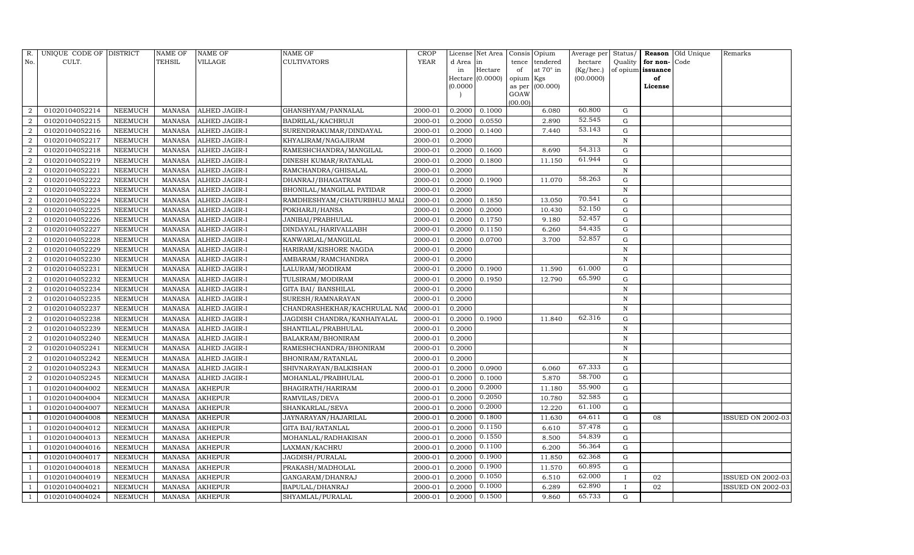| R.             | UNIQUE CODE OF DISTRICT |                | <b>NAME OF</b> | <b>NAME OF</b>       | <b>NAME OF</b>                   | CROP         |           | License Net Area |                | Consis Opium     | Average per | Status/      | Reason            | Old Unique | Remarks                  |
|----------------|-------------------------|----------------|----------------|----------------------|----------------------------------|--------------|-----------|------------------|----------------|------------------|-------------|--------------|-------------------|------------|--------------------------|
| No.            | CULT.                   |                | <b>TEHSIL</b>  | VILLAGE              | <b>CULTIVATORS</b>               | ${\tt YEAR}$ | d Area in |                  | tence          | tendered         | hectare     | Quality      | for non-          | Code       |                          |
|                |                         |                |                |                      |                                  |              | in        | Hectare          | of             | at $70^\circ$ in | (Kg/hec.)   |              | of opium issuance |            |                          |
|                |                         |                |                |                      |                                  |              |           | Hectare (0.0000) | opium Kgs      |                  | (00.0000)   |              | of                |            |                          |
|                |                         |                |                |                      |                                  |              | (0.0000)  |                  | as per<br>GOAW | (00.000)         |             |              | License           |            |                          |
|                |                         |                |                |                      |                                  |              |           |                  | (00.00)        |                  |             |              |                   |            |                          |
| $\overline{2}$ | 01020104052214          | NEEMUCH        | MANASA         | ALHED JAGIR-I        | GHANSHYAM/PANNALAL               | 2000-01      | 0.2000    | 0.1000           |                | 6.080            | 60.800      | G            |                   |            |                          |
| $\overline{2}$ | 01020104052215          | <b>NEEMUCH</b> | MANASA         | ALHED JAGIR-I        | BADRILAL/KACHRUJI                | 2000-01      | 0.2000    | 0.0550           |                | 2.890            | 52.545      | G            |                   |            |                          |
| $\overline{2}$ | 01020104052216          | <b>NEEMUCH</b> | MANASA         | <b>ALHED JAGIR-I</b> | SURENDRAKUMAR/DINDAYAL           | 2000-01      | 0.2000    | 0.1400           |                | 7.440            | 53.143      | G            |                   |            |                          |
| $\overline{2}$ | 01020104052217          | NEEMUCH        | MANASA         | <b>ALHED JAGIR-I</b> | KHYALIRAM/NAGAJIRAM              | 2000-01      | 0.2000    |                  |                |                  |             | $\mathbf N$  |                   |            |                          |
| $\overline{2}$ | 01020104052218          | NEEMUCH        | <b>MANASA</b>  | ALHED JAGIR-I        | RAMESHCHANDRA/MANGILAL           | 2000-01      | 0.2000    | 0.1600           |                | 8.690            | 54.313      | $\mathbf G$  |                   |            |                          |
| $\overline{2}$ | 01020104052219          | <b>NEEMUCH</b> | MANASA         | <b>ALHED JAGIR-I</b> | <b>DINESH KUMAR/RATANLAL</b>     | 2000-01      | 0.2000    | 0.1800           |                | 11.150           | 61.944      | ${\rm G}$    |                   |            |                          |
| $\overline{2}$ | 01020104052221          | NEEMUCH        | MANASA         | <b>ALHED JAGIR-I</b> | RAMCHANDRA/GHISALAL              | 2000-01      | 0.2000    |                  |                |                  |             | N            |                   |            |                          |
| 2              | 01020104052222          | <b>NEEMUCH</b> | MANASA         | <b>ALHED JAGIR-I</b> | DHANRAJ/BHAGATRAM                | 2000-01      | 0.2000    | 0.1900           |                | 11.070           | 58.263      | $\mathbf G$  |                   |            |                          |
| $\overline{2}$ | 01020104052223          | <b>NEEMUCH</b> | MANASA         | <b>ALHED JAGIR-I</b> | <b>BHONILAL/MANGILAL PATIDAR</b> | 2000-01      | 0.2000    |                  |                |                  |             | $\mathbf N$  |                   |            |                          |
| $\overline{2}$ | 01020104052224          | NEEMUCH        | MANASA         | ALHED JAGIR-I        | RAMDHESHYAM/CHATURBHUJ MAL       | 2000-01      | 0.2000    | 0.1850           |                | 13.050           | 70.541      | $\mathbf G$  |                   |            |                          |
| $\overline{2}$ | 01020104052225          | NEEMUCH        | <b>MANASA</b>  | <b>ALHED JAGIR-I</b> | POKHARJI/HANSA                   | 2000-01      | 0.2000    | 0.2000           |                | 10.430           | 52.150      | $\mathbf G$  |                   |            |                          |
| $\overline{2}$ | 01020104052226          | <b>NEEMUCH</b> | MANASA         | <b>ALHED JAGIR-I</b> | JANIBAI/PRABHULAL                | 2000-01      | 0.2000    | 0.1750           |                | 9.180            | 52.457      | $\mathbf G$  |                   |            |                          |
| $\overline{2}$ | 01020104052227          | NEEMUCH        | <b>MANASA</b>  | ALHED JAGIR-I        | DINDAYAL/HARIVALLABH             | 2000-01      | 0.2000    | 0.1150           |                | 6.260            | 54.435      | ${\rm G}$    |                   |            |                          |
| $\overline{2}$ | 01020104052228          | <b>NEEMUCH</b> | MANASA         | <b>ALHED JAGIR-I</b> | KANWARLAL/MANGILAL               | 2000-01      | 0.2000    | 0.0700           |                | 3.700            | 52.857      | G            |                   |            |                          |
| $\overline{2}$ | 01020104052229          | <b>NEEMUCH</b> | MANASA         | <b>ALHED JAGIR-I</b> | HARIRAM/KISHORE NAGDA            | 2000-01      | 0.2000    |                  |                |                  |             | $\mathbf N$  |                   |            |                          |
| $\overline{2}$ | 01020104052230          | <b>NEEMUCH</b> | MANASA         | <b>ALHED JAGIR-I</b> | AMBARAM/RAMCHANDRA               | 2000-01      | 0.2000    |                  |                |                  |             | N            |                   |            |                          |
| $\overline{2}$ | 01020104052231          | <b>NEEMUCH</b> | MANASA         | <b>ALHED JAGIR-I</b> | LALURAM/MODIRAM                  | 2000-01      | 0.2000    | 0.1900           |                | 11.590           | 61.000      | $\mathbf G$  |                   |            |                          |
| $\overline{2}$ | 01020104052232          | <b>NEEMUCH</b> | MANASA         | <b>ALHED JAGIR-I</b> | TULSIRAM/MODIRAM                 | 2000-01      | 0.2000    | 0.1950           |                | 12.790           | 65.590      | G            |                   |            |                          |
| $\overline{2}$ | 01020104052234          | <b>NEEMUCH</b> | MANASA         | <b>ALHED JAGIR-I</b> | <b>GITA BAI/ BANSHILAL</b>       | 2000-01      | 0.2000    |                  |                |                  |             | $\mathbf N$  |                   |            |                          |
| $\overline{2}$ | 01020104052235          | <b>NEEMUCH</b> | MANASA         | <b>ALHED JAGIR-I</b> | SURESH/RAMNARAYAN                | 2000-01      | 0.2000    |                  |                |                  |             | N            |                   |            |                          |
| $\overline{2}$ | 01020104052237          | NEEMUCH        | MANASA         | <b>ALHED JAGIR-I</b> | CHANDRASHEKHAR/KACHRULAL NA      | 2000-01      | 0.2000    |                  |                |                  |             | N            |                   |            |                          |
| $\overline{2}$ | 01020104052238          | NEEMUCH        | <b>MANASA</b>  | <b>ALHED JAGIR-I</b> | JAGDISH CHANDRA/KANHAIYALAL      | 2000-01      | 0.2000    | 0.1900           |                | 11.840           | 62.316      | $\mathbf G$  |                   |            |                          |
| $\overline{2}$ | 01020104052239          | NEEMUCH        | MANASA         | <b>ALHED JAGIR-I</b> | SHANTILAL/PRABHULAL              | 2000-01      | 0.2000    |                  |                |                  |             | N            |                   |            |                          |
| $\overline{2}$ | 01020104052240          | NEEMUCH        | MANASA         | ALHED JAGIR-I        | BALAKRAM/BHONIRAM                | 2000-01      | 0.2000    |                  |                |                  |             | N            |                   |            |                          |
| $\overline{2}$ | 01020104052241          | <b>NEEMUCH</b> | MANASA         | ALHED JAGIR-I        | RAMESHCHANDRA/BHONIRAM           | 2000-01      | 0.2000    |                  |                |                  |             | N            |                   |            |                          |
| $\overline{2}$ | 01020104052242          | NEEMUCH        | MANASA         | <b>ALHED JAGIR-I</b> | <b>BHONIRAM/RATANLAL</b>         | 2000-01      | 0.2000    |                  |                |                  |             | N            |                   |            |                          |
| $\overline{2}$ | 01020104052243          | NEEMUCH        | MANASA         | <b>ALHED JAGIR-I</b> | SHIVNARAYAN/BALKISHAN            | 2000-01      | 0.2000    | 0.0900           |                | 6.060            | 67.333      | $\mathbf G$  |                   |            |                          |
| $\overline{2}$ | 01020104052245          | <b>NEEMUCH</b> | MANASA         | <b>ALHED JAGIR-I</b> | MOHANLAL/PRABHULAL               | 2000-01      | 0.2000    | 0.1000           |                | 5.870            | 58.700      | $\mathbf G$  |                   |            |                          |
|                | 01020104004002          | <b>NEEMUCH</b> | MANASA         | <b>AKHEPUR</b>       | BHAGIRATH/HARIRAM                | 2000-01      | 0.2000    | 0.2000           |                | 11.180           | 55.900      | G            |                   |            |                          |
|                | 01020104004004          | <b>NEEMUCH</b> | <b>MANASA</b>  | <b>AKHEPUR</b>       | RAMVILAS/DEVA                    | 2000-01      | 0.2000    | 0.2050           |                | 10.780           | 52.585      | ${\rm G}$    |                   |            |                          |
|                | 01020104004007          | NEEMUCH        | <b>MANASA</b>  | <b>AKHEPUR</b>       | SHANKARLAL/SEVA                  | 2000-01      | 0.2000    | 0.2000           |                | 12.220           | 61.100      | $\mathbf G$  |                   |            |                          |
|                | 01020104004008          | NEEMUCH        | MANASA         | <b>AKHEPUR</b>       | JAYNARAYAN/HAJARILAL             | 2000-01      | 0.2000    | 0.1800           |                | 11.630           | 64.611      | ${\rm G}$    | 08                |            | <b>ISSUED ON 2002-03</b> |
|                | 01020104004012          | <b>NEEMUCH</b> | <b>MANASA</b>  | <b>AKHEPUR</b>       | <b>GITA BAI/RATANLAL</b>         | 2000-01      | 0.2000    | 0.1150           |                | 6.610            | 57.478      | G            |                   |            |                          |
|                | 01020104004013          | NEEMUCH        | MANASA         | <b>AKHEPUR</b>       | MOHANLAL/RADHAKISAN              | 2000-01      | 0.2000    | 0.1550           |                | 8.500            | 54.839      | ${\rm G}$    |                   |            |                          |
|                | 01020104004016          | <b>NEEMUCH</b> | MANASA         | <b>AKHEPUR</b>       | LAXMAN/KACHRU                    | 2000-01      | 0.2000    | 0.1100           |                | 6.200            | 56.364      | G            |                   |            |                          |
|                | 01020104004017          | <b>NEEMUCH</b> | <b>MANASA</b>  | <b>AKHEPUR</b>       | JAGDISH/PURALAL                  | 2000-01      | 0.2000    | 0.1900           |                | 11.850           | 62.368      | $\mathbf G$  |                   |            |                          |
|                | 01020104004018          | NEEMUCH        | MANASA         | <b>AKHEPUR</b>       | PRAKASH/MADHOLAL                 | 2000-01      | 0.2000    | 0.1900           |                | 11.570           | 60.895      | G            |                   |            |                          |
|                | 01020104004019          | NEEMUCH        | MANASA         | <b>AKHEPUR</b>       | GANGARAM/DHANRAJ                 | 2000-01      | 0.2000    | 0.1050           |                | 6.510            | 62.000      | $\mathbf{I}$ | 02                |            | ISSUED ON 2002-03        |
|                | 01020104004021          | NEEMUCH        | MANASA         | <b>AKHEPUR</b>       | BAPULAL/DHANRAJ                  | 2000-01      | 0.2000    | 0.1000           |                | 6.289            | 62.890      |              | 02                |            | <b>ISSUED ON 2002-03</b> |
| -1             | 01020104004024          | NEEMUCH        |                | MANASA AKHEPUR       | SHYAMLAL/PURALAL                 | 2000-01      | 0.2000    | 0.1500           |                | 9.860            | 65.733      | G            |                   |            |                          |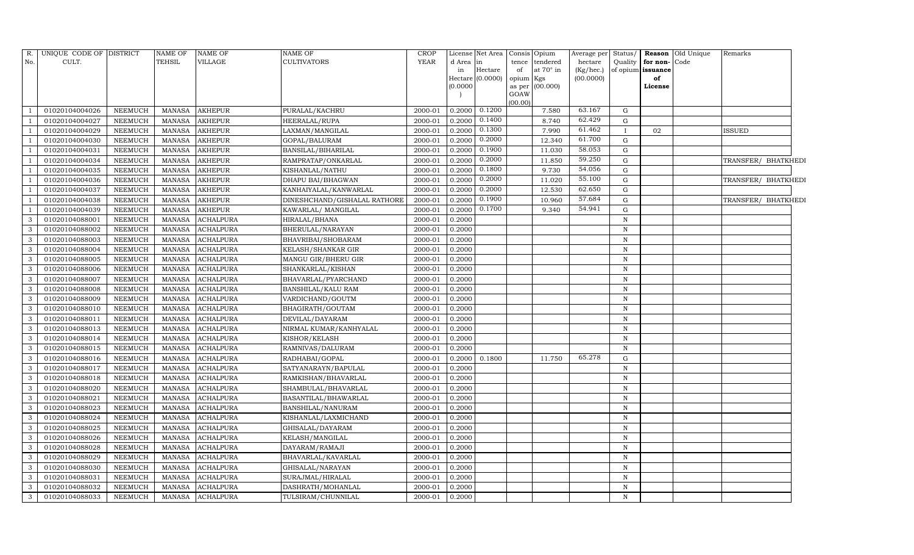| R.  | UNIQUE CODE OF DISTRICT |                | NAME OF       | <b>NAME OF</b>   | NAME OF                      | <b>CROP</b> |                     | License Net Area | Consis Opium                 | Average per | Status/      |                   | <b>Reason</b> Old Unique | Remarks             |  |
|-----|-------------------------|----------------|---------------|------------------|------------------------------|-------------|---------------------|------------------|------------------------------|-------------|--------------|-------------------|--------------------------|---------------------|--|
| No. | CULT.                   |                | TEHSIL        | <b>VILLAGE</b>   | <b>CULTIVATORS</b>           | <b>YEAR</b> | d Area              | in               | tendered<br>tence            | hectare     | Quality      | for non-          | Code                     |                     |  |
|     |                         |                |               |                  |                              |             | in                  | Hectare          | at $70^\circ$ in<br>of       | (Kg/hec.)   |              | of opium issuance |                          |                     |  |
|     |                         |                |               |                  |                              |             | Hectare<br>(0.0000) | (0.0000)         | opium Kgs<br>as per (00.000) | (00.0000)   |              | of<br>License     |                          |                     |  |
|     |                         |                |               |                  |                              |             |                     |                  | GOAW                         |             |              |                   |                          |                     |  |
|     |                         |                |               |                  |                              |             |                     |                  | (00.00)                      |             |              |                   |                          |                     |  |
|     | 01020104004026          | NEEMUCH        | <b>MANASA</b> | <b>AKHEPUR</b>   | PURALAL/KACHRU               | 2000-01     | 0.2000              | 0.1200           | 7.580                        | 63.167      | G            |                   |                          |                     |  |
|     | 01020104004027          | <b>NEEMUCH</b> | <b>MANASA</b> | <b>AKHEPUR</b>   | HEERALAL/RUPA                | 2000-01     | 0.2000              | 0.1400           | 8.740                        | 62.429      | ${\rm G}$    |                   |                          |                     |  |
|     | 01020104004029          | <b>NEEMUCH</b> | <b>MANASA</b> | <b>AKHEPUR</b>   | LAXMAN/MANGILAL              | 2000-01     | 0.2000              | 0.1300           | 7.990                        | 61.462      |              | 02                |                          | ISSUED              |  |
|     | 01020104004030          | <b>NEEMUCH</b> | <b>MANASA</b> | <b>AKHEPUR</b>   | GOPAL/BALURAM                | 2000-01     | 0.2000              | 0.2000           | 12.340                       | 61.700      | ${\rm G}$    |                   |                          |                     |  |
|     | 01020104004031          | <b>NEEMUCH</b> | <b>MANASA</b> | <b>AKHEPUR</b>   | BANSILAL/BIHARILAL           | 2000-01     | 0.2000              | 0.1900           | 11.030                       | 58.053      | G            |                   |                          |                     |  |
|     | 01020104004034          | <b>NEEMUCH</b> | <b>MANASA</b> | <b>AKHEPUR</b>   | RAMPRATAP/ONKARLAL           | 2000-01     | 0.2000              | 0.2000           | 11.850                       | 59.250      | ${\rm G}$    |                   |                          | TRANSFER/ BHATKHEDI |  |
|     | 01020104004035          | <b>NEEMUCH</b> | <b>MANASA</b> | <b>AKHEPUR</b>   | KISHANLAL/NATHU              | 2000-01     | 0.2000              | 0.1800           | 9.730                        | 54.056      | $\mathbf G$  |                   |                          |                     |  |
|     | 01020104004036          | <b>NEEMUCH</b> | <b>MANASA</b> | <b>AKHEPUR</b>   | DHAPU BAI/BHAGWAN            | 2000-01     | 0.2000              | 0.2000           | 11.020                       | 55.100      | ${\rm G}$    |                   |                          | TRANSFER/ BHATKHEDI |  |
|     | 01020104004037          | <b>NEEMUCH</b> | <b>MANASA</b> | <b>AKHEPUR</b>   | KANHAIYALAL/KANWARLAL        | 2000-01     | 0.2000              | 0.2000           | 12.530                       | 62.650      | $\mathbf G$  |                   |                          |                     |  |
|     | 01020104004038          | <b>NEEMUCH</b> | <b>MANASA</b> | <b>AKHEPUR</b>   | DINESHCHAND/GISHALAL RATHORE | 2000-01     | 0.2000              | 0.1900           | 10.960                       | 57.684      | $\mathbf G$  |                   |                          | TRANSFER/ BHATKHEDI |  |
|     | 01020104004039          | <b>NEEMUCH</b> | <b>MANASA</b> | <b>AKHEPUR</b>   | KAWARLAL/ MANGILAL           | 2000-01     | 0.2000              | 0.1700           | 9.340                        | 54.941      | $\mathbf G$  |                   |                          |                     |  |
| 3   | 01020104088001          | <b>NEEMUCH</b> | <b>MANASA</b> | <b>ACHALPURA</b> | HIRALAL/BHANA                | 2000-01     | 0.2000              |                  |                              |             | ${\bf N}$    |                   |                          |                     |  |
| 3   | 01020104088002          | <b>NEEMUCH</b> | <b>MANASA</b> | <b>ACHALPURA</b> | BHERULAL/NARAYAN             | 2000-01     | 0.2000              |                  |                              |             | $\mathbf N$  |                   |                          |                     |  |
| 3   | 01020104088003          | <b>NEEMUCH</b> | <b>MANASA</b> | <b>ACHALPURA</b> | BHAVRIBAI/SHOBARAM           | 2000-01     | 0.2000              |                  |                              |             | ${\bf N}$    |                   |                          |                     |  |
| 3   | 01020104088004          | NEEMUCH        | <b>MANASA</b> | <b>ACHALPURA</b> | KELASH/SHANKAR GIR           | 2000-01     | 0.2000              |                  |                              |             | $\, {\rm N}$ |                   |                          |                     |  |
| 3   | 01020104088005          | <b>NEEMUCH</b> | <b>MANASA</b> | <b>ACHALPURA</b> | MANGU GIR/BHERU GIR          | 2000-01     | 0.2000              |                  |                              |             | $\, {\rm N}$ |                   |                          |                     |  |
| 3   | 01020104088006          | NEEMUCH        | <b>MANASA</b> | ACHALPURA        | SHANKARLAL/KISHAN            | 2000-01     | 0.2000              |                  |                              |             | N            |                   |                          |                     |  |
| 3   | 01020104088007          | <b>NEEMUCH</b> | <b>MANASA</b> | <b>ACHALPURA</b> | BHAVARLAL/PYARCHAND          | 2000-01     | 0.2000              |                  |                              |             | N            |                   |                          |                     |  |
| 3   | 01020104088008          | NEEMUCH        | <b>MANASA</b> | <b>ACHALPURA</b> | BANSHILAL/KALU RAM           | 2000-01     | 0.2000              |                  |                              |             | $\, {\rm N}$ |                   |                          |                     |  |
| 3   | 01020104088009          | <b>NEEMUCH</b> | <b>MANASA</b> | <b>ACHALPURA</b> | VARDICHAND/GOUTM             | 2000-01     | 0.2000              |                  |                              |             | $\mathbf N$  |                   |                          |                     |  |
| 3   | 01020104088010          | <b>NEEMUCH</b> | <b>MANASA</b> | <b>ACHALPURA</b> | BHAGIRATH/GOUTAM             | 2000-01     | 0.2000              |                  |                              |             | $\, {\rm N}$ |                   |                          |                     |  |
| 3   | 01020104088011          | <b>NEEMUCH</b> | <b>MANASA</b> | <b>ACHALPURA</b> | DEVILAL/DAYARAM              | 2000-01     | 0.2000              |                  |                              |             | $\,$ N       |                   |                          |                     |  |
| 3   | 01020104088013          | NEEMUCH        | <b>MANASA</b> | <b>ACHALPURA</b> | NIRMAL KUMAR/KANHYALAL       | 2000-01     | 0.2000              |                  |                              |             | $\mathbf N$  |                   |                          |                     |  |
| 3   | 01020104088014          | <b>NEEMUCH</b> | <b>MANASA</b> | <b>ACHALPURA</b> | KISHOR/KELASH                | 2000-01     | 0.2000              |                  |                              |             | $\mathbf N$  |                   |                          |                     |  |
|     | 01020104088015          | NEEMUCH        | <b>MANASA</b> | <b>ACHALPURA</b> | RAMNIVAS/DALURAM             | 2000-01     | 0.2000              |                  |                              |             | $\, {\rm N}$ |                   |                          |                     |  |
| 3   | 01020104088016          | <b>NEEMUCH</b> | <b>MANASA</b> | <b>ACHALPURA</b> | RADHABAI/GOPAL               | 2000-01     | 0.2000              | 0.1800           | 11.750                       | 65.278      | G            |                   |                          |                     |  |
| 3   | 01020104088017          | <b>NEEMUCH</b> | <b>MANASA</b> | <b>ACHALPURA</b> | SATYANARAYN/BAPULAL          | 2000-01     | 0.2000              |                  |                              |             | $\, {\rm N}$ |                   |                          |                     |  |
| 3   | 01020104088018          | <b>NEEMUCH</b> | <b>MANASA</b> | <b>ACHALPURA</b> | RAMKISHAN/BHAVARLAL          | 2000-01     | 0.2000              |                  |                              |             | $\, {\rm N}$ |                   |                          |                     |  |
| 3   | 01020104088020          | <b>NEEMUCH</b> | <b>MANASA</b> | <b>ACHALPURA</b> | SHAMBULAL/BHAVARLAL          | 2000-01     | 0.2000              |                  |                              |             | $\,$ N       |                   |                          |                     |  |
| 3   | 01020104088021          | <b>NEEMUCH</b> | <b>MANASA</b> | <b>ACHALPURA</b> | BASANTILAL/BHAWARLAL         | 2000-01     | 0.2000              |                  |                              |             | $\, {\rm N}$ |                   |                          |                     |  |
| 3   | 01020104088023          | <b>NEEMUCH</b> | <b>MANASA</b> | <b>ACHALPURA</b> | BANSHILAL/NANURAM            | 2000-01     | 0.2000              |                  |                              |             | $\mathbf N$  |                   |                          |                     |  |
| 3   | 01020104088024          | <b>NEEMUCH</b> | <b>MANASA</b> | <b>ACHALPURA</b> | KISHANLAL/LAXMICHAND         | 2000-01     | 0.2000              |                  |                              |             | $\mathbf N$  |                   |                          |                     |  |
| 3   | 01020104088025          | <b>NEEMUCH</b> | <b>MANASA</b> | <b>ACHALPURA</b> | GHISALAL/DAYARAM             | 2000-01     | 0.2000              |                  |                              |             | $\, {\rm N}$ |                   |                          |                     |  |
| 3   | 01020104088026          | <b>NEEMUCH</b> | <b>MANASA</b> | <b>ACHALPURA</b> | KELASH/MANGILAL              | 2000-01     | 0.2000              |                  |                              |             | $\mathbf N$  |                   |                          |                     |  |
| 3   | 01020104088028          | <b>NEEMUCH</b> | <b>MANASA</b> | <b>ACHALPURA</b> | DAYARAM/RAMAJI               | 2000-01     | 0.2000              |                  |                              |             | $\,$ N       |                   |                          |                     |  |
| 3   | 01020104088029          | <b>NEEMUCH</b> | <b>MANASA</b> | <b>ACHALPURA</b> | BHAVARLAL/KAVARLAL           | 2000-01     | 0.2000              |                  |                              |             | $\mathbf N$  |                   |                          |                     |  |
| 3   | 01020104088030          | <b>NEEMUCH</b> | <b>MANASA</b> | <b>ACHALPURA</b> | GHISALAL/NARAYAN             | 2000-01     | 0.2000              |                  |                              |             | N            |                   |                          |                     |  |
| 3   | 01020104088031          | NEEMUCH        | <b>MANASA</b> | <b>ACHALPURA</b> | SURAJMAL/HIRALAL             | 2000-01     | 0.2000              |                  |                              |             | N            |                   |                          |                     |  |
| 3   | 01020104088032          | <b>NEEMUCH</b> | <b>MANASA</b> | <b>ACHALPURA</b> | DASHRATH/MOHANLAL            | 2000-01     | 0.2000              |                  |                              |             | N            |                   |                          |                     |  |
| 3   | 01020104088033          | NEEMUCH        | <b>MANASA</b> | <b>ACHALPURA</b> | TULSIRAM/CHUNNILAL           | 2000-01     | 0.2000              |                  |                              |             | N            |                   |                          |                     |  |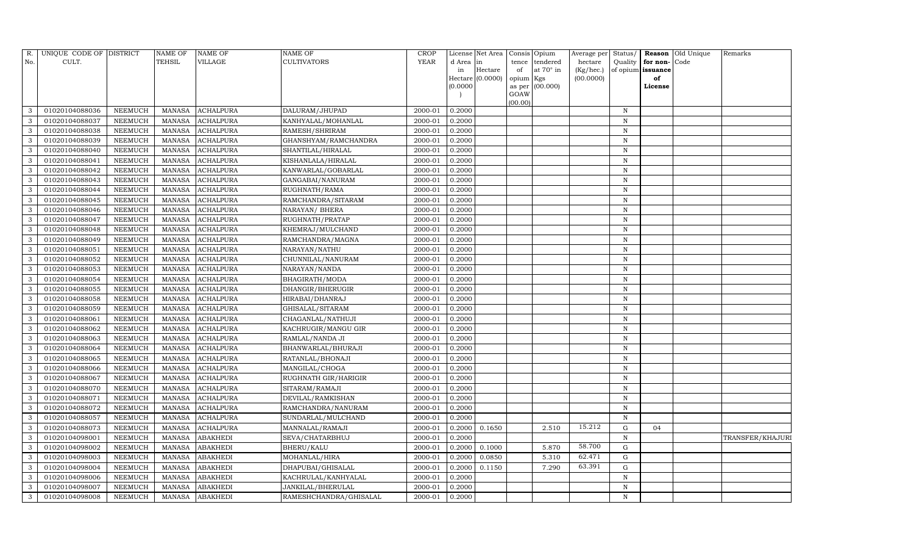| R.  | UNIQUE CODE OF DISTRICT |                | <b>NAME OF</b> | <b>NAME OF</b>   | <b>NAME OF</b>              | CROP        |           | License Net Area |           | Consis Opium     | Average per | Status/      |                   | Reason Old Unique | Remarks          |
|-----|-------------------------|----------------|----------------|------------------|-----------------------------|-------------|-----------|------------------|-----------|------------------|-------------|--------------|-------------------|-------------------|------------------|
| No. | CULT.                   |                | <b>TEHSIL</b>  | VILLAGE          | <b>CULTIVATORS</b>          | <b>YEAR</b> | d Area in |                  | tence     | tendered         | hectare     | Quality      | for non-          | Code              |                  |
|     |                         |                |                |                  |                             |             | in        | Hectare          | of        | at $70^\circ$ in | (Kg/hec.)   |              | of opium issuance |                   |                  |
|     |                         |                |                |                  |                             |             |           | Hectare (0.0000) | opium Kgs |                  | (00.0000)   |              | of                |                   |                  |
|     |                         |                |                |                  |                             |             | (0.0000)  |                  | GOAW      | as per (00.000)  |             |              | License           |                   |                  |
|     |                         |                |                |                  |                             |             |           |                  | (00.00)   |                  |             |              |                   |                   |                  |
| 3   | 01020104088036          | NEEMUCH        | MANASA         | <b>ACHALPURA</b> | DALURAM/JHUPAD              | 2000-01     | 0.2000    |                  |           |                  |             | $\, {\rm N}$ |                   |                   |                  |
| 3   | 01020104088037          | NEEMUCH        | MANASA         | <b>ACHALPURA</b> | KANHYALAL/MOHANLAL          | 2000-01     | 0.2000    |                  |           |                  |             | N            |                   |                   |                  |
| 3   | 01020104088038          | NEEMUCH        | MANASA         | <b>ACHALPURA</b> | RAMESH/SHRIRAM              | 2000-01     | 0.2000    |                  |           |                  |             | N            |                   |                   |                  |
| 3   | 01020104088039          | NEEMUCH        | MANASA         | <b>ACHALPURA</b> | GHANSHYAM/RAMCHANDRA        | 2000-01     | 0.2000    |                  |           |                  |             | N            |                   |                   |                  |
| 3   | 01020104088040          | NEEMUCH        | MANASA         | <b>ACHALPURA</b> | SHANTILAL/HIRALAL           | 2000-01     | 0.2000    |                  |           |                  |             | $\mathbf N$  |                   |                   |                  |
| 3   | 01020104088041          | NEEMUCH        | <b>MANASA</b>  | <b>ACHALPURA</b> | KISHANLALA/HIRALAL          | 2000-01     | 0.2000    |                  |           |                  |             | ${\bf N}$    |                   |                   |                  |
| 3   | 01020104088042          | <b>NEEMUCH</b> | <b>MANASA</b>  | <b>ACHALPURA</b> | KANWARLAL/GOBARLAL          | 2000-01     | 0.2000    |                  |           |                  |             | $\,$ N       |                   |                   |                  |
| 3   | 01020104088043          | NEEMUCH        | MANASA         | <b>ACHALPURA</b> | GANGABAI/NANURAM            | 2000-01     | 0.2000    |                  |           |                  |             | N            |                   |                   |                  |
| 3   | 01020104088044          | NEEMUCH        | MANASA         | <b>ACHALPURA</b> | RUGHNATH/RAMA               | 2000-01     | 0.2000    |                  |           |                  |             | N            |                   |                   |                  |
| 3   | 01020104088045          | NEEMUCH        | MANASA         | <b>ACHALPURA</b> | RAMCHANDRA/SITARAM          | 2000-01     | 0.2000    |                  |           |                  |             | N            |                   |                   |                  |
| 3   | 01020104088046          | <b>NEEMUCH</b> | <b>MANASA</b>  | <b>ACHALPURA</b> | NARAYAN/ BHERA              | 2000-01     | 0.2000    |                  |           |                  |             | $\,$ N       |                   |                   |                  |
| 3   | 01020104088047          | NEEMUCH        | MANASA         | <b>ACHALPURA</b> | RUGHNATH/PRATAP             | 2000-01     | 0.2000    |                  |           |                  |             | N            |                   |                   |                  |
| 3   | 01020104088048          | NEEMUCH        | MANASA         | <b>ACHALPURA</b> | KHEMRAJ/MULCHAND            | 2000-01     | 0.2000    |                  |           |                  |             | N            |                   |                   |                  |
| 3   | 01020104088049          | NEEMUCH        | MANASA         | <b>ACHALPURA</b> | RAMCHANDRA/MAGNA            | 2000-01     | 0.2000    |                  |           |                  |             | $\,$ N       |                   |                   |                  |
| 3   | 01020104088051          | NEEMUCH        | MANASA         | <b>ACHALPURA</b> | NARAYAN/NATHU               | 2000-01     | 0.2000    |                  |           |                  |             | N            |                   |                   |                  |
| 3   | 01020104088052          | NEEMUCH        | MANASA         | <b>ACHALPURA</b> | CHUNNILAL/NANURAM           | 2000-01     | 0.2000    |                  |           |                  |             | $\,$ N       |                   |                   |                  |
| 3   | 01020104088053          | <b>NEEMUCH</b> | <b>MANASA</b>  | <b>ACHALPURA</b> | NARAYAN/NANDA               | 2000-01     | 0.2000    |                  |           |                  |             | N            |                   |                   |                  |
| 3   | 01020104088054          | NEEMUCH        | MANASA         | <b>ACHALPURA</b> | BHAGIRATH/MODA              | 2000-01     | 0.2000    |                  |           |                  |             | $\,$ N       |                   |                   |                  |
| 3   | 01020104088055          | NEEMUCH        | MANASA         | <b>ACHALPURA</b> | DHANGIR/BHERUGIR            | 2000-01     | 0.2000    |                  |           |                  |             | N            |                   |                   |                  |
| 3   | 01020104088058          | <b>NEEMUCH</b> | MANASA         | <b>ACHALPURA</b> | HIRABAI/DHANRAJ             | 2000-01     | 0.2000    |                  |           |                  |             | N            |                   |                   |                  |
| 3   | 01020104088059          | NEEMUCH        | MANASA         | <b>ACHALPURA</b> | GHISALAL/SITARAM            | 2000-01     | 0.2000    |                  |           |                  |             | $\mathbf N$  |                   |                   |                  |
| 3   | 01020104088061          | <b>NEEMUCH</b> | <b>MANASA</b>  | <b>ACHALPURA</b> | CHAGANLAL/NATHUJI           | 2000-01     | 0.2000    |                  |           |                  |             | N            |                   |                   |                  |
| 3   | 01020104088062          | NEEMUCH        | MANASA         | <b>ACHALPURA</b> | KACHRUGIR/MANGU GIR         | 2000-01     | 0.2000    |                  |           |                  |             | N            |                   |                   |                  |
| 3   | 01020104088063          | <b>NEEMUCH</b> | MANASA         | <b>ACHALPURA</b> | RAMLAL/NANDA JI             | 2000-01     | 0.2000    |                  |           |                  |             | $\mathbf N$  |                   |                   |                  |
| 3   | 01020104088064          | NEEMUCH        | <b>MANASA</b>  | <b>ACHALPURA</b> | BHANWARLAL/BHURAJI          | 2000-01     | 0.2000    |                  |           |                  |             | $\mathbf N$  |                   |                   |                  |
| 3   | 01020104088065          | <b>NEEMUCH</b> | MANASA         | <b>ACHALPURA</b> | RATANLAL/BHONAJI            | 2000-01     | 0.2000    |                  |           |                  |             | N            |                   |                   |                  |
| 3   | 01020104088066          | <b>NEEMUCH</b> | MANASA         | <b>ACHALPURA</b> | MANGILAL/CHOGA              | 2000-01     | 0.2000    |                  |           |                  |             | $\mathbf N$  |                   |                   |                  |
| 3   | 01020104088067          | NEEMUCH        | <b>MANASA</b>  | <b>ACHALPURA</b> | <b>RUGHNATH GIR/HARIGIR</b> | 2000-01     | 0.2000    |                  |           |                  |             | $\mathbf N$  |                   |                   |                  |
| 3   | 01020104088070          | NEEMUCH        | MANASA         | <b>ACHALPURA</b> | SITARAM/RAMAJI              | 2000-01     | 0.2000    |                  |           |                  |             | $\mathbf N$  |                   |                   |                  |
| 3   | 01020104088071          | <b>NEEMUCH</b> | MANASA         | <b>ACHALPURA</b> | DEVILAL/RAMKISHAN           | 2000-01     | 0.2000    |                  |           |                  |             | $\mathbf N$  |                   |                   |                  |
| 3   | 01020104088072          | NEEMUCH        | MANASA         | <b>ACHALPURA</b> | RAMCHANDRA/NANURAM          | 2000-01     | 0.2000    |                  |           |                  |             | N            |                   |                   |                  |
| 3   | 01020104088057          | NEEMUCH        | <b>MANASA</b>  | <b>ACHALPURA</b> | SUNDARLAL/MULCHAND          | 2000-01     | 0.2000    |                  |           |                  |             | N            |                   |                   |                  |
| 3   | 01020104088073          | <b>NEEMUCH</b> | MANASA         | <b>ACHALPURA</b> | MANNALAL/RAMAJI             | 2000-01     | 0.2000    | 0.1650           |           | 2.510            | 15.212      | ${\rm G}$    | 04                |                   |                  |
| 3   | 01020104098001          | <b>NEEMUCH</b> | <b>MANASA</b>  | <b>ABAKHEDI</b>  | SEVA/CHATARBHUJ             | 2000-01     | 0.2000    |                  |           |                  |             | $\mathbf N$  |                   |                   | TRANSFER/KHAJURI |
| 3   | 01020104098002          | NEEMUCH        | MANASA         | <b>ABAKHEDI</b>  | <b>BHERU/KALU</b>           | 2000-01     | 0.2000    | 0.1000           |           | 5.870            | 58.700      | ${\rm G}$    |                   |                   |                  |
| 3   | 01020104098003          | <b>NEEMUCH</b> | <b>MANASA</b>  | <b>ABAKHEDI</b>  | MOHANLAL/HIRA               | 2000-01     | 0.2000    | 0.0850           |           | 5.310            | 62.471      | $\mathbf G$  |                   |                   |                  |
| 3   | 01020104098004          | <b>NEEMUCH</b> | MANASA         | <b>ABAKHEDI</b>  | DHAPUBAI/GHISALAL           | 2000-01     | 0.2000    | 0.1150           |           | 7.290            | 63.391      | G            |                   |                   |                  |
| 3   | 01020104098006          | NEEMUCH        | MANASA         | <b>ABAKHEDI</b>  | KACHRULAL/KANHYALAL         | 2000-01     | 0.2000    |                  |           |                  |             | $\mathbf N$  |                   |                   |                  |
| 3   | 01020104098007          | <b>NEEMUCH</b> | MANASA         | <b>ABAKHEDI</b>  | JANKILAL/BHERULAL           | 2000-01     | 0.2000    |                  |           |                  |             | N            |                   |                   |                  |
| 3   | 01020104098008          | <b>NEEMUCH</b> |                | MANASA ABAKHEDI  | RAMESHCHANDRA/GHISALAL      | 2000-01     | 0.2000    |                  |           |                  |             | N            |                   |                   |                  |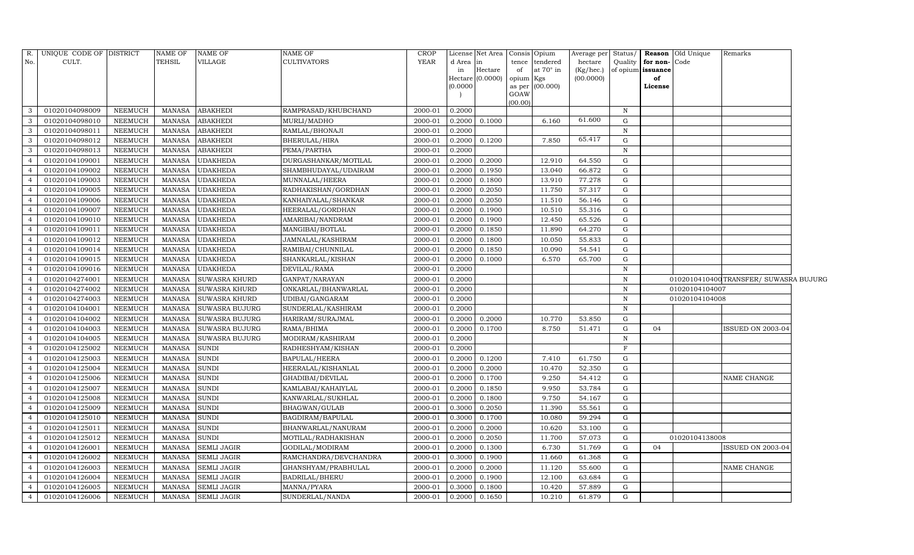| R.             | UNIQUE CODE OF DISTRICT |                | <b>NAME OF</b> | <b>NAME OF</b>        | <b>NAME OF</b>        | CROP    |         | License Net Area   Consis   Opium |                     |           | Average per | Status/      |                   | <b>Reason</b> Old Unique | Remarks                                |  |
|----------------|-------------------------|----------------|----------------|-----------------------|-----------------------|---------|---------|-----------------------------------|---------------------|-----------|-------------|--------------|-------------------|--------------------------|----------------------------------------|--|
| No.            | CULT.                   |                | TEHSIL         | <b>VILLAGE</b>        | <b>CULTIVATORS</b>    | YEAR    | d Area  | in                                | tence               | tendered  | hectare     | Quality      | for non-Code      |                          |                                        |  |
|                |                         |                |                |                       |                       |         | in      | Hectare                           | of                  | at 70° in | (Kg/hec.)   |              | of opium issuance |                          |                                        |  |
|                |                         |                |                |                       |                       |         | (0.0000 | Hectare (0.0000)                  | opium Kgs<br>as per | (00.000)  | (00.0000)   |              | of<br>License     |                          |                                        |  |
|                |                         |                |                |                       |                       |         |         |                                   | GOAW                |           |             |              |                   |                          |                                        |  |
|                |                         |                |                |                       |                       |         |         |                                   | (00.00)             |           |             |              |                   |                          |                                        |  |
| $\mathbf{3}$   | 01020104098009          | <b>NEEMUCH</b> | MANASA         | <b>ABAKHEDI</b>       | RAMPRASAD/KHUBCHAND   | 2000-01 | 0.2000  |                                   |                     |           |             | $\, {\rm N}$ |                   |                          |                                        |  |
| -3             | 01020104098010          | NEEMUCH        | <b>MANASA</b>  | <b>ABAKHEDI</b>       | MURLI/MADHO           | 2000-01 | 0.2000  | 0.1000                            |                     | 6.160     | 61.600      | G            |                   |                          |                                        |  |
| 3              | 01020104098011          | <b>NEEMUCH</b> | <b>MANASA</b>  | <b>ABAKHEDI</b>       | RAMLAL/BHONAJI        | 2000-01 | 0.2000  |                                   |                     |           |             | $\, {\rm N}$ |                   |                          |                                        |  |
| $\overline{3}$ | 01020104098012          | <b>NEEMUCH</b> | MANASA         | <b>ABAKHEDI</b>       | BHERULAL/HIRA         | 2000-01 | 0.2000  | 0.1200                            |                     | 7.850     | 65.417      | $\mathbf G$  |                   |                          |                                        |  |
| 3              | 01020104098013          | <b>NEEMUCH</b> | <b>MANASA</b>  | <b>ABAKHEDI</b>       | PEMA/PARTHA           | 2000-01 | 0.2000  |                                   |                     |           |             | $\mathbf N$  |                   |                          |                                        |  |
| $\overline{4}$ | 01020104109001          | <b>NEEMUCH</b> | <b>MANASA</b>  | <b>UDAKHEDA</b>       | DURGASHANKAR/MOTILAL  | 2000-01 | 0.2000  | 0.2000                            |                     | 12.910    | 64.550      | ${\rm G}$    |                   |                          |                                        |  |
| $\overline{4}$ | 01020104109002          | <b>NEEMUCH</b> | <b>MANASA</b>  | <b>UDAKHEDA</b>       | SHAMBHUDAYAL/UDAIRAM  | 2000-01 | 0.2000  | 0.1950                            |                     | 13.040    | 66.872      | ${\rm G}$    |                   |                          |                                        |  |
| $\overline{4}$ | 01020104109003          | <b>NEEMUCH</b> | MANASA         | <b>UDAKHEDA</b>       | MUNNALAL/HEERA        | 2000-01 | 0.2000  | 0.1800                            |                     | 13.910    | 77.278      | ${\rm G}$    |                   |                          |                                        |  |
| $\overline{4}$ | 01020104109005          | <b>NEEMUCH</b> | <b>MANASA</b>  | <b>UDAKHEDA</b>       | RADHAKISHAN/GORDHAN   | 2000-01 | 0.2000  | 0.2050                            |                     | 11.750    | 57.317      | G            |                   |                          |                                        |  |
|                | 01020104109006          | NEEMUCH        | MANASA         | <b>UDAKHEDA</b>       | KANHAIYALAL/SHANKAR   | 2000-01 | 0.2000  | 0.2050                            |                     | 11.510    | 56.146      | G            |                   |                          |                                        |  |
| $\overline{4}$ | 01020104109007          | <b>NEEMUCH</b> | MANASA         | <b>UDAKHEDA</b>       | HEERALAL/GORDHAN      | 2000-01 | 0.2000  | 0.1900                            |                     | 10.510    | 55.316      | G            |                   |                          |                                        |  |
| $\overline{4}$ | 01020104109010          | <b>NEEMUCH</b> | <b>MANASA</b>  | <b>UDAKHEDA</b>       | AMARIBAI/NANDRAM      | 2000-01 | 0.2000  | 0.1900                            |                     | 12.450    | 65.526      | ${\rm G}$    |                   |                          |                                        |  |
| $\overline{4}$ | 01020104109011          | <b>NEEMUCH</b> | <b>MANASA</b>  | <b>UDAKHEDA</b>       | MANGIBAI/BOTLAL       | 2000-01 | 0.2000  | 0.1850                            |                     | 11.890    | 64.270      | $\mathbf G$  |                   |                          |                                        |  |
| $\overline{4}$ | 01020104109012          | <b>NEEMUCH</b> | <b>MANASA</b>  | <b>UDAKHEDA</b>       | JAMNALAL/KASHIRAM     | 2000-01 | 0.2000  | 0.1800                            |                     | 10.050    | 55.833      | G            |                   |                          |                                        |  |
| $\overline{4}$ | 01020104109014          | <b>NEEMUCH</b> | MANASA         | <b>UDAKHEDA</b>       | RAMIBAI/CHUNNILAL     | 2000-01 | 0.2000  | 0.1850                            |                     | 10.090    | 54.541      | G            |                   |                          |                                        |  |
| $\overline{4}$ | 01020104109015          | <b>NEEMUCH</b> | MANASA         | <b>UDAKHEDA</b>       | SHANKARLAL/KISHAN     | 2000-01 | 0.2000  | 0.1000                            |                     | 6.570     | 65.700      | ${\rm G}$    |                   |                          |                                        |  |
| $\overline{4}$ | 01020104109016          | <b>NEEMUCH</b> | <b>MANASA</b>  | <b>UDAKHEDA</b>       | DEVILAL/RAMA          | 2000-01 | 0.2000  |                                   |                     |           |             | $\, {\rm N}$ |                   |                          |                                        |  |
| $\overline{4}$ | 01020104274001          | <b>NEEMUCH</b> | MANASA         | <b>SUWASRA KHURD</b>  | GANPAT/NARAYAN        | 2000-01 | 0.2000  |                                   |                     |           |             | $\, {\rm N}$ |                   |                          | 0102010410400 TRANSFER/ SUWASRA BUJURG |  |
| $\overline{4}$ | 01020104274002          | <b>NEEMUCH</b> | MANASA         | <b>SUWASRA KHURD</b>  | ONKARLAL/BHANWARLAL   | 2000-01 | 0.2000  |                                   |                     |           |             | $\, {\rm N}$ |                   | 01020104104007           |                                        |  |
| $\overline{4}$ | 01020104274003          | <b>NEEMUCH</b> | MANASA         | <b>SUWASRA KHURD</b>  | UDIBAI/GANGARAM       | 2000-01 | 0.2000  |                                   |                     |           |             | ${\bf N}$    |                   | 01020104104008           |                                        |  |
| $\overline{4}$ | 01020104104001          | <b>NEEMUCH</b> | <b>MANASA</b>  | <b>SUWASRA BUJURG</b> | SUNDERLAL/KASHIRAM    | 2000-01 | 0.2000  |                                   |                     |           |             | $\mathbf N$  |                   |                          |                                        |  |
| $\overline{4}$ | 01020104104002          | <b>NEEMUCH</b> | <b>MANASA</b>  | <b>SUWASRA BUJURG</b> | HARIRAM/SURAJMAL      | 2000-01 | 0.2000  | 0.2000                            |                     | 10.770    | 53.850      | G            |                   |                          |                                        |  |
| $\overline{4}$ | 01020104104003          | <b>NEEMUCH</b> | MANASA         | <b>SUWASRA BUJURG</b> | RAMA/BHIMA            | 2000-01 | 0.2000  | 0.1700                            |                     | 8.750     | 51.471      | ${\rm G}$    | 04                |                          | <b>ISSUED ON 2003-04</b>               |  |
| $\overline{4}$ | 01020104104005          | <b>NEEMUCH</b> | <b>MANASA</b>  | <b>SUWASRA BUJURG</b> | MODIRAM/KASHIRAM      | 2000-01 | 0.2000  |                                   |                     |           |             | $\, {\rm N}$ |                   |                          |                                        |  |
| $\overline{4}$ | 01020104125002          | <b>NEEMUCH</b> | <b>MANASA</b>  | <b>SUNDI</b>          | RADHESHYAM/KISHAN     | 2000-01 | 0.2000  |                                   |                     |           |             | $\mathbf F$  |                   |                          |                                        |  |
| $\overline{4}$ | 01020104125003          | <b>NEEMUCH</b> | <b>MANASA</b>  | <b>SUNDI</b>          | BAPULAL/HEERA         | 2000-01 | 0.2000  | 0.1200                            |                     | 7.410     | 61.750      | G            |                   |                          |                                        |  |
| $\overline{4}$ | 01020104125004          | <b>NEEMUCH</b> | <b>MANASA</b>  | <b>SUNDI</b>          | HEERALAL/KISHANLAL    | 2000-01 | 0.2000  | 0.2000                            |                     | 10.470    | 52.350      | G            |                   |                          |                                        |  |
| $\overline{4}$ | 01020104125006          | <b>NEEMUCH</b> | <b>MANASA</b>  | <b>SUNDI</b>          | GHADIBAI/DEVILAL      | 2000-01 | 0.2000  | 0.1700                            |                     | 9.250     | 54.412      | G            |                   |                          | NAME CHANGE                            |  |
| $\overline{4}$ | 01020104125007          | <b>NEEMUCH</b> | <b>MANASA</b>  | <b>SUNDI</b>          | KAMLABAI/KAHAIYLAL    | 2000-01 | 0.2000  | 0.1850                            |                     | 9.950     | 53.784      | G            |                   |                          |                                        |  |
| $\overline{4}$ | 01020104125008          | <b>NEEMUCH</b> | <b>MANASA</b>  | <b>SUNDI</b>          | KANWARLAL/SUKHLAL     | 2000-01 | 0.2000  | 0.1800                            |                     | 9.750     | 54.167      | G            |                   |                          |                                        |  |
| $\overline{4}$ | 01020104125009          | <b>NEEMUCH</b> | MANASA         | <b>SUNDI</b>          | BHAGWAN/GULAB         | 2000-01 | 0.3000  | 0.2050                            |                     | 11.390    | 55.561      | G            |                   |                          |                                        |  |
| $\overline{4}$ | 01020104125010          | <b>NEEMUCH</b> | <b>MANASA</b>  | <b>SUNDI</b>          | BAGDIRAM/BAPULAL      | 2000-01 | 0.3000  | 0.1700                            |                     | 10.080    | 59.294      | ${\rm G}$    |                   |                          |                                        |  |
|                | 01020104125011          | <b>NEEMUCH</b> | <b>MANASA</b>  | <b>SUNDI</b>          | BHANWARLAL/NANURAM    | 2000-01 | 0.2000  | 0.2000                            |                     | 10.620    | 53.100      | G            |                   |                          |                                        |  |
| $\overline{4}$ | 01020104125012          | <b>NEEMUCH</b> | <b>MANASA</b>  | <b>SUNDI</b>          | MOTILAL/RADHAKISHAN   | 2000-01 | 0.2000  | 0.2050                            |                     | 11.700    | 57.073      | G            |                   | 01020104138008           |                                        |  |
| $\overline{4}$ | 01020104126001          | <b>NEEMUCH</b> | MANASA         | <b>SEMLI JAGIR</b>    | GODILAL/MODIRAM       | 2000-01 | 0.2000  | 0.1300                            |                     | 6.730     | 51.769      | G            | 04                |                          | <b>ISSUED ON 2003-04</b>               |  |
| $\overline{4}$ | 01020104126002          | <b>NEEMUCH</b> | <b>MANASA</b>  | <b>SEMLI JAGIR</b>    | RAMCHANDRA/DEVCHANDRA | 2000-01 | 0.3000  | 0.1900                            |                     | 11.660    | 61.368      | G            |                   |                          |                                        |  |
| $\overline{4}$ | 01020104126003          | <b>NEEMUCH</b> | MANASA         | <b>SEMLI JAGIR</b>    | GHANSHYAM/PRABHULAL   | 2000-01 | 0.2000  | 0.2000                            |                     | 11.120    | 55.600      | ${\rm G}$    |                   |                          | NAME CHANGE                            |  |
| $\overline{4}$ | 01020104126004          | <b>NEEMUCH</b> | <b>MANASA</b>  | <b>SEMLI JAGIR</b>    | <b>BADRILAL/BHERU</b> | 2000-01 | 0.2000  | 0.1900                            |                     | 12.100    | 63.684      | G            |                   |                          |                                        |  |
| $\overline{4}$ | 01020104126005          | <b>NEEMUCH</b> | MANASA         | <b>SEMLI JAGIR</b>    | MANNA/PYARA           | 2000-01 | 0.3000  | 0.1800                            |                     | 10.420    | 57.889      | ${\rm G}$    |                   |                          |                                        |  |
| $\overline{4}$ | 01020104126006          | NEEMUCH        | <b>MANASA</b>  | <b>SEMLI JAGIR</b>    | SUNDERLAL/NANDA       | 2000-01 | 0.2000  | 0.1650                            |                     | 10.210    | 61.879      | $\mathbf G$  |                   |                          |                                        |  |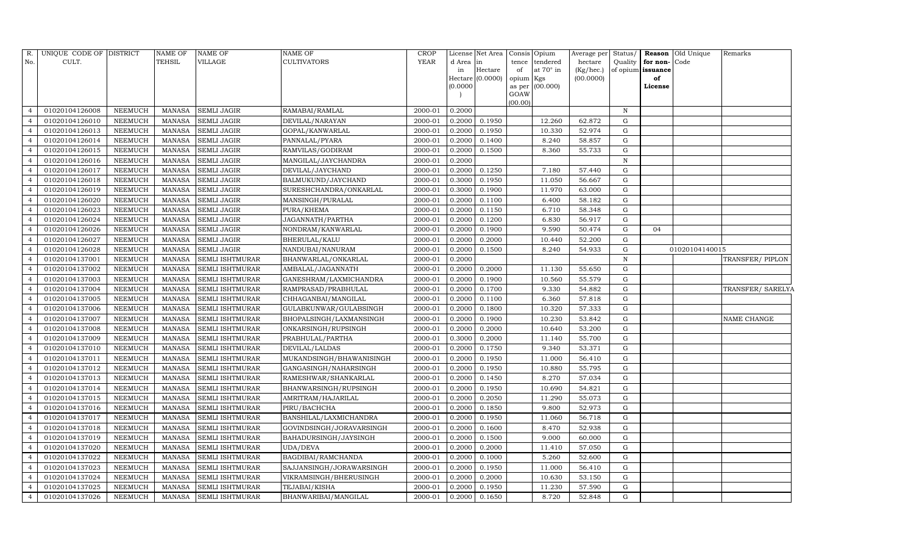| R.             | UNIQUE CODE OF DISTRICT |                | <b>NAME OF</b> | <b>NAME OF</b>         | NAME OF                  | <b>CROP</b> |           | License Net Area | Consis          | Opium            |           |              |                      | Average per Status/ <b>Reason</b> Old Unique | Remarks           |
|----------------|-------------------------|----------------|----------------|------------------------|--------------------------|-------------|-----------|------------------|-----------------|------------------|-----------|--------------|----------------------|----------------------------------------------|-------------------|
| No.            | CULT.                   |                | TEHSIL         | VILLAGE                | <b>CULTIVATORS</b>       | YEAR        | d Area in |                  | tence           | tendered         | hectare   |              | Quality for non-Code |                                              |                   |
|                |                         |                |                |                        |                          |             | in        | Hectare          | of              | at $70^\circ$ in | (Kg/hec.) |              | of opium issuance    |                                              |                   |
|                |                         |                |                |                        |                          |             | (0.0000)  | Hectare (0.0000) | opium<br>as per | Kgs<br>(00.000)  | (00.0000) |              | of<br>License        |                                              |                   |
|                |                         |                |                |                        |                          |             |           |                  | GOAW            |                  |           |              |                      |                                              |                   |
|                |                         |                |                |                        |                          |             |           |                  | (00.00)         |                  |           |              |                      |                                              |                   |
| $\overline{4}$ | 01020104126008          | NEEMUCH        | MANASA         | <b>SEMLI JAGIR</b>     | RAMABAI/RAMLAL           | 2000-01     | 0.2000    |                  |                 |                  |           | N            |                      |                                              |                   |
|                | 01020104126010          | NEEMUCH        | <b>MANASA</b>  | <b>SEMLI JAGIR</b>     | DEVILAL/NARAYAN          | 2000-01     | 0.2000    | 0.1950           |                 | 12.260           | 62.872    | G            |                      |                                              |                   |
| $\overline{4}$ | 01020104126013          | <b>NEEMUCH</b> | <b>MANASA</b>  | <b>SEMLI JAGIR</b>     | GOPAL/KANWARLAL          | 2000-01     | 0.2000    | 0.1950           |                 | 10.330           | 52.974    | G            |                      |                                              |                   |
| $\overline{4}$ | 01020104126014          | NEEMUCH        | <b>MANASA</b>  | <b>SEMLI JAGIR</b>     | PANNALAL/PYARA           | 2000-01     | 0.2000    | 0.1400           |                 | 8.240            | 58.857    | G            |                      |                                              |                   |
| $\overline{4}$ | 01020104126015          | NEEMUCH        | <b>MANASA</b>  | <b>SEMLI JAGIR</b>     | RAMVILAS/GODIRAM         | 2000-01     | 0.2000    | 0.1500           |                 | 8.360            | 55.733    | G            |                      |                                              |                   |
|                | 01020104126016          | NEEMUCH        | <b>MANASA</b>  | <b>SEMLI JAGIR</b>     | MANGILAL/JAYCHANDRA      | 2000-01     | 0.2000    |                  |                 |                  |           | $\, {\rm N}$ |                      |                                              |                   |
| $\overline{4}$ | 01020104126017          | NEEMUCH        | <b>MANASA</b>  | <b>SEMLI JAGIR</b>     | DEVILAL/JAYCHAND         | 2000-01     | 0.2000    | 0.1250           |                 | 7.180            | 57.440    | G            |                      |                                              |                   |
| $\overline{4}$ | 01020104126018          | NEEMUCH        | <b>MANASA</b>  | <b>SEMLI JAGIR</b>     | BALMUKUND/JAYCHAND       | 2000-01     | 0.3000    | 0.1950           |                 | 11.050           | 56.667    | G            |                      |                                              |                   |
| $\overline{4}$ | 01020104126019          | NEEMUCH        | <b>MANASA</b>  | <b>SEMLI JAGIR</b>     | SURESHCHANDRA/ONKARLAL   | 2000-01     | 0.3000    | 0.1900           |                 | 11.970           | 63.000    | G            |                      |                                              |                   |
|                | 01020104126020          | NEEMUCH        | <b>MANASA</b>  | <b>SEMLI JAGIR</b>     | MANSINGH/PURALAL         | 2000-01     | 0.2000    | 0.1100           |                 | 6.400            | 58.182    | G            |                      |                                              |                   |
| $\overline{4}$ | 01020104126023          | NEEMUCH        | <b>MANASA</b>  | SEMLI JAGIR            | PURA/KHEMA               | 2000-01     | 0.2000    | 0.1150           |                 | 6.710            | 58.348    | G            |                      |                                              |                   |
| $\overline{4}$ | 01020104126024          | <b>NEEMUCH</b> | <b>MANASA</b>  | <b>SEMLI JAGIR</b>     | JAGANNATH/PARTHA         | 2000-01     | 0.2000    | 0.1200           |                 | 6.830            | 56.917    | G            |                      |                                              |                   |
| $\overline{4}$ | 01020104126026          | NEEMUCH        | <b>MANASA</b>  | <b>SEMLI JAGIR</b>     | NONDRAM/KANWARLAL        | 2000-01     | 0.2000    | 0.1900           |                 | 9.590            | 50.474    | G            | 04                   |                                              |                   |
| $\overline{4}$ | 01020104126027          | <b>NEEMUCH</b> | <b>MANASA</b>  | <b>SEMLI JAGIR</b>     | BHERULAL/KALU            | 2000-01     | 0.2000    | 0.2000           |                 | 10.440           | 52.200    | G            |                      |                                              |                   |
| $\overline{4}$ | 01020104126028          | NEEMUCH        | <b>MANASA</b>  | <b>SEMLI JAGIR</b>     | NANDUBAI/NANURAM         | 2000-01     | 0.2000    | 0.1500           |                 | 8.240            | 54.933    | G            |                      | 01020104140015                               |                   |
| $\overline{4}$ | 01020104137001          | NEEMUCH        | <b>MANASA</b>  | SEMLI ISHTMURAR        | BHANWARLAL/ONKARLAL      | 2000-01     | 0.2000    |                  |                 |                  |           | N            |                      |                                              | TRANSFER/ PIPLON  |
| $\overline{4}$ | 01020104137002          | NEEMUCH        | <b>MANASA</b>  | SEMLI ISHTMURAR        | AMBALAL/JAGANNATH        | 2000-01     | 0.2000    | 0.2000           |                 | 11.130           | 55.650    | G            |                      |                                              |                   |
| $\overline{4}$ | 01020104137003          | NEEMUCH        | <b>MANASA</b>  | SEMLI ISHTMURAR        | GANESHRAM/LAXMICHANDRA   | 2000-01     | 0.2000    | 0.1900           |                 | 10.560           | 55.579    | G            |                      |                                              |                   |
| $\overline{4}$ | 01020104137004          | NEEMUCH        | <b>MANASA</b>  | SEMLI ISHTMURAR        | RAMPRASAD/PRABHULAL      | 2000-01     | 0.2000    | 0.1700           |                 | 9.330            | 54.882    | G            |                      |                                              | TRANSFER/ SARELYA |
| $\overline{4}$ | 01020104137005          | NEEMUCH        | <b>MANASA</b>  | SEMLI ISHTMURAR        | CHHAGANBAI/MANGILAL      | 2000-01     | 0.2000    | 0.1100           |                 | 6.360            | 57.818    | G            |                      |                                              |                   |
|                | 01020104137006          | NEEMUCH        | <b>MANASA</b>  | SEMLI ISHTMURAR        | GULABKUNWAR/GULABSINGH   | 2000-01     | 0.2000    | 0.1800           |                 | 10.320           | 57.333    | G            |                      |                                              |                   |
| $\overline{4}$ | 01020104137007          | <b>NEEMUCH</b> | <b>MANASA</b>  | SEMLI ISHTMURAR        | BHOPALSINGH/LAXMANSINGH  | 2000-01     | 0.2000    | 0.1900           |                 | 10.230           | 53.842    | G            |                      |                                              | NAME CHANGE       |
| $\overline{4}$ | 01020104137008          | NEEMUCH        | <b>MANASA</b>  | SEMLI ISHTMURAR        | ONKARSINGH/RUPSINGH      | 2000-01     | 0.2000    | 0.2000           |                 | 10.640           | 53.200    | G            |                      |                                              |                   |
| $\overline{4}$ | 01020104137009          | <b>NEEMUCH</b> | <b>MANASA</b>  | SEMLI ISHTMURAR        | PRABHULAL/PARTHA         | 2000-01     | 0.3000    | 0.2000           |                 | 11.140           | 55.700    | G            |                      |                                              |                   |
|                | 01020104137010          | <b>NEEMUCH</b> | <b>MANASA</b>  | SEMLI ISHTMURAR        | DEVILAL/LALDAS           | 2000-01     | 0.2000    | 0.1750           |                 | 9.340            | 53.371    | G            |                      |                                              |                   |
| $\overline{4}$ | 01020104137011          | <b>NEEMUCH</b> | <b>MANASA</b>  | SEMLI ISHTMURAR        | MUKANDSINGH/BHAWANISINGH | 2000-01     | 0.2000    | 0.1950           |                 | 11.000           | 56.410    | G            |                      |                                              |                   |
| $\overline{4}$ | 01020104137012          | NEEMUCH        | <b>MANASA</b>  | SEMLI ISHTMURAR        | GANGASINGH/NAHARSINGH    | 2000-01     | 0.2000    | 0.1950           |                 | 10.880           | 55.795    | G            |                      |                                              |                   |
| $\overline{4}$ | 01020104137013          | <b>NEEMUCH</b> | <b>MANASA</b>  | SEMLI ISHTMURAR        | RAMESHWAR/SHANKARLAL     | 2000-01     | 0.2000    | 0.1450           |                 | 8.270            | 57.034    | G            |                      |                                              |                   |
| $\overline{4}$ | 01020104137014          | NEEMUCH        | <b>MANASA</b>  | <b>SEMLI ISHTMURAR</b> | BHANWARSINGH/RUPSINGH    | 2000-01     | 0.2000    | 0.1950           |                 | 10.690           | 54.821    | G            |                      |                                              |                   |
| $\overline{4}$ | 01020104137015          | NEEMUCH        | <b>MANASA</b>  | SEMLI ISHTMURAR        | AMRITRAM/HAJARILAL       | 2000-01     | 0.2000    | 0.2050           |                 | 11.290           | 55.073    | G            |                      |                                              |                   |
| $\overline{4}$ | 01020104137016          | NEEMUCH        | <b>MANASA</b>  | SEMLI ISHTMURAR        | PIRU/BACHCHA             | 2000-01     | 0.2000    | 0.1850           |                 | 9.800            | 52.973    | G            |                      |                                              |                   |
| $\overline{4}$ | 01020104137017          | <b>NEEMUCH</b> | <b>MANASA</b>  | SEMLI ISHTMURAR        | BANSHILAL/LAXMICHANDRA   | 2000-01     | 0.2000    | 0.1950           |                 | 11.060           | 56.718    | G            |                      |                                              |                   |
| $\overline{4}$ | 01020104137018          | <b>NEEMUCH</b> | <b>MANASA</b>  | SEMLI ISHTMURAR        | GOVINDSINGH/JORAVARSINGH | 2000-01     | 0.2000    | 0.1600           |                 | 8.470            | 52.938    | G            |                      |                                              |                   |
| $\overline{4}$ | 01020104137019          | NEEMUCH        | <b>MANASA</b>  | SEMLI ISHTMURAR        | BAHADURSINGH/JAYSINGH    | 2000-01     | 0.2000    | 0.1500           |                 | 9.000            | 60.000    | G            |                      |                                              |                   |
| $\overline{4}$ | 01020104137020          | NEEMUCH        | <b>MANASA</b>  | <b>SEMLI ISHTMURAR</b> | UDA/DEVA                 | 2000-01     | 0.2000    | 0.2000           |                 | 11.410           | 57.050    | G            |                      |                                              |                   |
|                | 01020104137022          | NEEMUCH        | <b>MANASA</b>  | SEMLI ISHTMURAR        | BAGDIBAI/RAMCHANDA       | 2000-01     | 0.2000    | 0.1000           |                 | 5.260            | 52.600    | G            |                      |                                              |                   |
| $\overline{4}$ | 01020104137023          | NEEMUCH        | <b>MANASA</b>  | SEMLI ISHTMURAR        | SAJJANSINGH/JORAWARSINGH | 2000-01     | 0.2000    | 0.1950           |                 | 11.000           | 56.410    | G            |                      |                                              |                   |
| $\overline{4}$ | 01020104137024          | NEEMUCH        | <b>MANASA</b>  | SEMLI ISHTMURAR        | VIKRAMSINGH/BHERUSINGH   | 2000-01     | 0.2000    | 0.2000           |                 | 10.630           | 53.150    | G            |                      |                                              |                   |
| $\overline{4}$ | 01020104137025          | <b>NEEMUCH</b> | <b>MANASA</b>  | SEMLI ISHTMURAR        | TEJABAI/KISHA            | 2000-01     | 0.2000    | 0.1950           |                 | 11.230           | 57.590    | G            |                      |                                              |                   |
| $\overline{4}$ | 01020104137026          | NEEMUCH        | <b>MANASA</b>  | <b>SEMLI ISHTMURAR</b> | BHANWARIBAI/MANGILAL     | 2000-01     | 0.2000    | 0.1650           |                 | 8.720            | 52.848    | G            |                      |                                              |                   |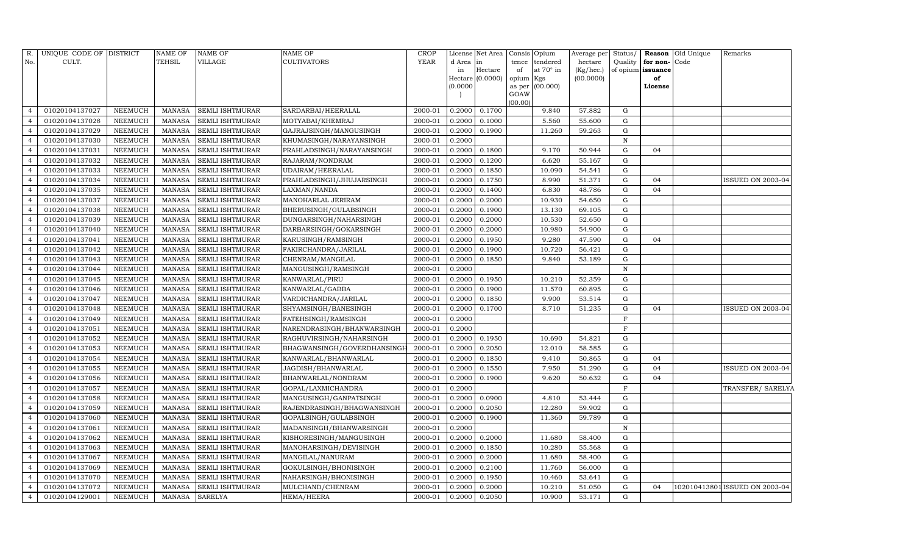| R.             | UNIQUE CODE OF DISTRICT |                | <b>NAME OF</b> | <b>NAME OF</b>         | NAME OF                     | <b>CROP</b> |                 | License Net Area   Consis   Opium |             |                       | Average per Status/  |              |                                   | Reason Old Unique | Remarks                        |
|----------------|-------------------------|----------------|----------------|------------------------|-----------------------------|-------------|-----------------|-----------------------------------|-------------|-----------------------|----------------------|--------------|-----------------------------------|-------------------|--------------------------------|
| No.            | CULT.                   |                | TEHSIL         | VILLAGE                | CULTIVATORS                 | <b>YEAR</b> | d Area in<br>in | Hectare                           | tence<br>of | tendered<br>at 70° in | hectare<br>(Kg/hec.) | Quality      | for non-Code<br>of opium issuance |                   |                                |
|                |                         |                |                |                        |                             |             |                 | Hectare (0.0000)                  | opium Kgs   |                       | (00.0000)            |              | of                                |                   |                                |
|                |                         |                |                |                        |                             |             | (0.0000)        |                                   |             | as per (00.000)       |                      |              | License                           |                   |                                |
|                |                         |                |                |                        |                             |             |                 |                                   | GOAW        |                       |                      |              |                                   |                   |                                |
| $\overline{4}$ | 01020104137027          | NEEMUCH        | MANASA         | <b>SEMLI ISHTMURAR</b> | SARDARBAI/HEERALAL          | 2000-01     | 0.2000          | 0.1700                            | (00.00)     | 9.840                 | 57.882               | G            |                                   |                   |                                |
| $\overline{4}$ | 01020104137028          | <b>NEEMUCH</b> | <b>MANASA</b>  | SEMLI ISHTMURAR        | MOTYABAI/KHEMRAJ            | 2000-01     | 0.2000          | 0.1000                            |             | 5.560                 | 55.600               | G            |                                   |                   |                                |
| $\overline{4}$ | 01020104137029          | NEEMUCH        | MANASA         | SEMLI ISHTMURAR        | GAJRAJSINGH/MANGUSINGH      | 2000-01     | 0.2000          | 0.1900                            |             | 11.260                | 59.263               | G            |                                   |                   |                                |
| $\overline{4}$ | 01020104137030          | NEEMUCH        | <b>MANASA</b>  | SEMLI ISHTMURAR        | KHUMASINGH/NARAYANSINGH     | 2000-01     | 0.2000          |                                   |             |                       |                      | $\mathbf N$  |                                   |                   |                                |
| $\overline{4}$ | 01020104137031          | NEEMUCH        | <b>MANASA</b>  | <b>SEMLI ISHTMURAR</b> | PRAHLADSINGH/NARAYANSINGH   | 2000-01     | 0.2000          | 0.1800                            |             | 9.170                 | 50.944               | G            | 04                                |                   |                                |
| $\overline{4}$ | 01020104137032          | <b>NEEMUCH</b> | <b>MANASA</b>  | SEMLI ISHTMURAR        | RAJARAM/NONDRAM             | 2000-01     | 0.2000          | 0.1200                            |             | 6.620                 | 55.167               | G            |                                   |                   |                                |
| $\overline{4}$ | 01020104137033          | NEEMUCH        | <b>MANASA</b>  | SEMLI ISHTMURAR        | UDAIRAM/HEERALAL            | 2000-01     | 0.2000          | 0.1850                            |             | 10.090                | 54.541               | G            |                                   |                   |                                |
| $\overline{4}$ | 01020104137034          | NEEMUCH        | <b>MANASA</b>  | SEMLI ISHTMURAR        | PRAHLADSINGH/JHUJARSINGH    | 2000-01     | 0.2000          | 0.1750                            |             | 8.990                 | 51.371               | G            | 04                                |                   | ISSUED ON 2003-04              |
| $\overline{4}$ | 01020104137035          | <b>NEEMUCH</b> | <b>MANASA</b>  | SEMLI ISHTMURAR        | LAXMAN/NANDA                | 2000-01     | 0.2000          | 0.1400                            |             | 6.830                 | 48.786               | G            | 04                                |                   |                                |
| $\overline{4}$ | 01020104137037          | <b>NEEMUCH</b> | <b>MANASA</b>  | SEMLI ISHTMURAR        | MANOHARLAL JERIRAM          | 2000-01     | 0.2000          | 0.2000                            |             | 10.930                | 54.650               | G            |                                   |                   |                                |
| $\overline{4}$ | 01020104137038          | <b>NEEMUCH</b> | <b>MANASA</b>  | <b>SEMLI ISHTMURAR</b> | BHERUSINGH/GULABSINGH       | 2000-01     | 0.2000          | 0.1900                            |             | 13.130                | 69.105               | G            |                                   |                   |                                |
| $\overline{4}$ | 01020104137039          | NEEMUCH        | <b>MANASA</b>  | SEMLI ISHTMURAR        | DUNGARSINGH/NAHARSINGH      | 2000-01     | 0.2000          | 0.2000                            |             | 10.530                | 52.650               | G            |                                   |                   |                                |
| $\overline{4}$ | 01020104137040          | <b>NEEMUCH</b> | <b>MANASA</b>  | SEMLI ISHTMURAR        | DARBARSINGH/GOKARSINGH      | 2000-01     | 0.2000          | 0.2000                            |             | 10.980                | 54.900               | G            |                                   |                   |                                |
| $\overline{4}$ | 01020104137041          | <b>NEEMUCH</b> | <b>MANASA</b>  | SEMLI ISHTMURAR        | KARUSINGH/RAMSINGH          | 2000-01     | 0.2000          | 0.1950                            |             | 9.280                 | 47.590               | G            | 04                                |                   |                                |
| $\overline{4}$ | 01020104137042          | NEEMUCH        | <b>MANASA</b>  | SEMLI ISHTMURAR        | FAKIRCHANDRA/JARILAL        | 2000-01     | 0.2000          | 0.1900                            |             | 10.720                | 56.421               | G            |                                   |                   |                                |
| $\overline{4}$ | 01020104137043          | <b>NEEMUCH</b> | <b>MANASA</b>  | SEMLI ISHTMURAR        | CHENRAM/MANGILAL            | 2000-01     | 0.2000          | 0.1850                            |             | 9.840                 | 53.189               | G            |                                   |                   |                                |
| $\overline{4}$ | 01020104137044          | <b>NEEMUCH</b> | <b>MANASA</b>  | SEMLI ISHTMURAR        | MANGUSINGH/RAMSINGH         | 2000-01     | 0.2000          |                                   |             |                       |                      | $\mathbf N$  |                                   |                   |                                |
| $\overline{4}$ | 01020104137045          | <b>NEEMUCH</b> | <b>MANASA</b>  | SEMLI ISHTMURAR        | KANWARLAL/PIRU              | 2000-01     | 0.2000          | 0.1950                            |             | 10.210                | 52.359               | G            |                                   |                   |                                |
| $\overline{4}$ | 01020104137046          | NEEMUCH        | <b>MANASA</b>  | <b>SEMLI ISHTMURAR</b> | KANWARLAL/GABBA             | 2000-01     | 0.2000          | 0.1900                            |             | 11.570                | 60.895               | G            |                                   |                   |                                |
| $\overline{4}$ | 01020104137047          | NEEMUCH        | <b>MANASA</b>  | SEMLI ISHTMURAR        | VARDICHANDRA/JARILAL        | 2000-01     | 0.2000          | 0.1850                            |             | 9.900                 | 53.514               | G            |                                   |                   |                                |
| $\overline{4}$ | 01020104137048          | <b>NEEMUCH</b> | <b>MANASA</b>  | SEMLI ISHTMURAR        | SHYAMSINGH/BANESINGH        | 2000-01     | 0.2000          | 0.1700                            |             | 8.710                 | 51.235               | G            | 04                                |                   | <b>ISSUED ON 2003-04</b>       |
| $\overline{4}$ | 01020104137049          | <b>NEEMUCH</b> | <b>MANASA</b>  | SEMLI ISHTMURAR        | FATEHSINGH/RAMSINGH         | 2000-01     | 0.2000          |                                   |             |                       |                      | $\mathbf F$  |                                   |                   |                                |
| $\overline{4}$ | 01020104137051          | NEEMUCH        | <b>MANASA</b>  | SEMLI ISHTMURAR        | NARENDRASINGH/BHANWARSINGH  | 2000-01     | 0.2000          |                                   |             |                       |                      | F            |                                   |                   |                                |
| $\overline{4}$ | 01020104137052          | <b>NEEMUCH</b> | <b>MANASA</b>  | SEMLI ISHTMURAR        | RAGHUVIRSINGH/NAHARSINGH    | 2000-01     | 0.2000          | 0.1950                            |             | 10.690                | 54.821               | G            |                                   |                   |                                |
| $\overline{4}$ | 01020104137053          | <b>NEEMUCH</b> | <b>MANASA</b>  | SEMLI ISHTMURAR        | BHAGWANSINGH/GOVERDHANSINGH | 2000-01     | 0.2000          | 0.2050                            |             | 12.010                | 58.585               | G            |                                   |                   |                                |
| $\overline{4}$ | 01020104137054          | NEEMUCH        | <b>MANASA</b>  | SEMLI ISHTMURAR        | KANWARLAL/BHANWARLAL        | 2000-01     | 0.2000          | 0.1850                            |             | 9.410                 | 50.865               | G            | 04                                |                   |                                |
| $\overline{4}$ | 01020104137055          | <b>NEEMUCH</b> | <b>MANASA</b>  | SEMLI ISHTMURAR        | JAGDISH/BHANWARLAL          | 2000-01     | 0.2000          | 0.1550                            |             | 7.950                 | 51.290               | G            | 04                                |                   | ISSUED ON 2003-04              |
| $\overline{4}$ | 01020104137056          | <b>NEEMUCH</b> | <b>MANASA</b>  | SEMLI ISHTMURAR        | BHANWARLAL/NONDRAM          | 2000-01     | 0.2000          | 0.1900                            |             | 9.620                 | 50.632               | G            | 04                                |                   |                                |
| $\overline{4}$ | 01020104137057          | <b>NEEMUCH</b> | <b>MANASA</b>  | SEMLI ISHTMURAR        | GOPAL/LAXMICHANDRA          | 2000-01     | 0.2000          |                                   |             |                       |                      | $\mathbf F$  |                                   |                   | TRANSFER/ SARELYA              |
| $\overline{4}$ | 01020104137058          | <b>NEEMUCH</b> | <b>MANASA</b>  | SEMLI ISHTMURAR        | MANGUSINGH/GANPATSINGH      | 2000-01     | 0.2000          | 0.0900                            |             | 4.810                 | 53.444               | G            |                                   |                   |                                |
| $\overline{4}$ | 01020104137059          | NEEMUCH        | <b>MANASA</b>  | SEMLI ISHTMURAR        | RAJENDRASINGH/BHAGWANSINGH  | 2000-01     | 0.2000          | 0.2050                            |             | 12.280                | 59.902               | G            |                                   |                   |                                |
| $\overline{4}$ | 01020104137060          | NEEMUCH        | <b>MANASA</b>  | SEMLI ISHTMURAR        | GOPALSINGH/GULABSINGH       | 2000-01     | 0.2000          | 0.1900                            |             | 11.360                | 59.789               | G            |                                   |                   |                                |
| $\overline{4}$ | 01020104137061          | <b>NEEMUCH</b> | <b>MANASA</b>  | SEMLI ISHTMURAR        | MADANSINGH/BHANWARSINGH     | 2000-01     | 0.2000          |                                   |             |                       |                      | $\, {\bf N}$ |                                   |                   |                                |
| $\overline{4}$ | 01020104137062          | NEEMUCH        | <b>MANASA</b>  | SEMLI ISHTMURAR        | KISHORESINGH/MANGUSINGH     | 2000-01     | 0.2000          | 0.2000                            |             | 11.680                | 58.400               | G            |                                   |                   |                                |
| $\overline{4}$ | 01020104137063          | NEEMUCH        | <b>MANASA</b>  | <b>SEMLI ISHTMURAR</b> | MANOHARSINGH/DEVISINGH      | 2000-01     | 0.2000          | 0.1850                            |             | 10.280                | 55.568               | G            |                                   |                   |                                |
| $\overline{4}$ | 01020104137067          | <b>NEEMUCH</b> | <b>MANASA</b>  | SEMLI ISHTMURAR        | MANGILAL/NANURAM            | 2000-01     | 0.2000          | 0.2000                            |             | 11.680                | 58.400               | G            |                                   |                   |                                |
| $\overline{4}$ | 01020104137069          | NEEMUCH        | <b>MANASA</b>  | SEMLI ISHTMURAR        | GOKULSINGH/BHONISINGH       | 2000-01     | 0.2000          | 0.2100                            |             | 11.760                | 56.000               | G            |                                   |                   |                                |
| $\overline{4}$ | 01020104137070          | NEEMUCH        | <b>MANASA</b>  | SEMLI ISHTMURAR        | NAHARSINGH/BHONISINGH       | 2000-01     | 0.2000          | 0.1950                            |             | 10.460                | 53.641               | G            |                                   |                   |                                |
| $\overline{4}$ | 01020104137072          | NEEMUCH        | <b>MANASA</b>  | SEMLI ISHTMURAR        | MULCHAND/CHENRAM            | 2000-01     | 0.2000          | 0.2000                            |             | 10.210                | 51.050               | G            | 04                                |                   | 102010413801 ISSUED ON 2003-04 |
| $\overline{4}$ | 01020104129001          | <b>NEEMUCH</b> | <b>MANASA</b>  | <b>SARELYA</b>         | <b>HEMA/HEERA</b>           | 2000-01     | 0.2000          | 0.2050                            |             | 10.900                | 53.171               | G            |                                   |                   |                                |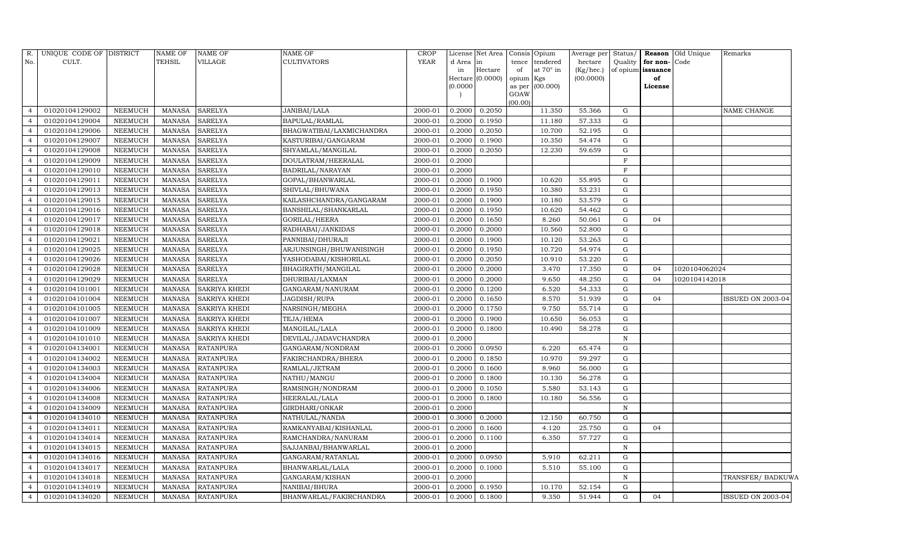| R.             | UNIQUE CODE OF DISTRICT |                | <b>NAME OF</b> | <b>NAME OF</b>       | <b>NAME OF</b>           | <b>CROP</b> |          | License Net Area Consis     |                 | Opium           | Average per | Status/      |                   | <b>Reason</b> Old Unique | Remarks                  |
|----------------|-------------------------|----------------|----------------|----------------------|--------------------------|-------------|----------|-----------------------------|-----------------|-----------------|-------------|--------------|-------------------|--------------------------|--------------------------|
| No.            | CULT.                   |                | <b>TEHSIL</b>  | VILLAGE              | <b>CULTIVATORS</b>       | <b>YEAR</b> | d Area   | lin                         | tence           | tendered        | hectare     | Quality      | for non-Code      |                          |                          |
|                |                         |                |                |                      |                          |             | in       | Hectare<br>Hectare (0.0000) | of              | at 70° in       | (Kg/hec.)   |              | of opium issuance |                          |                          |
|                |                         |                |                |                      |                          |             | (0.0000) |                             | opium<br>as per | Kgs<br>(00.000) | (00.0000)   |              | of<br>License     |                          |                          |
|                |                         |                |                |                      |                          |             |          |                             | GOAW            |                 |             |              |                   |                          |                          |
|                |                         |                |                |                      |                          |             |          |                             | (00.00)         |                 |             |              |                   |                          |                          |
| $\overline{4}$ | 01020104129002          | NEEMUCH        | MANASA         | <b>SARELYA</b>       | JANIBAI/LALA             | 2000-01     | 0.2000   | 0.2050                      |                 | 11.350          | 55.366      | G            |                   |                          | NAME CHANGE              |
| $\overline{4}$ | 01020104129004          | <b>NEEMUCH</b> | <b>MANASA</b>  | <b>SARELYA</b>       | BAPULAL/RAMLAL           | 2000-01     | 0.2000   | 0.1950                      |                 | 11.180          | 57.333      | G            |                   |                          |                          |
| $\overline{4}$ | 01020104129006          | <b>NEEMUCH</b> | <b>MANASA</b>  | <b>SARELYA</b>       | BHAGWATIBAI/LAXMICHANDRA | 2000-01     | 0.2000   | 0.2050                      |                 | 10.700          | 52.195      | G            |                   |                          |                          |
| $\overline{4}$ | 01020104129007          | <b>NEEMUCH</b> | <b>MANASA</b>  | <b>SARELYA</b>       | KASTURIBAI/GANGARAM      | 2000-01     | 0.2000   | 0.1900                      |                 | 10.350          | 54.474      | G            |                   |                          |                          |
| $\overline{4}$ | 01020104129008          | <b>NEEMUCH</b> | <b>MANASA</b>  | <b>SARELYA</b>       | SHYAMLAL/MANGILAL        | 2000-01     | 0.2000   | 0.2050                      |                 | 12.230          | 59.659      | G            |                   |                          |                          |
| $\overline{4}$ | 01020104129009          | <b>NEEMUCH</b> | <b>MANASA</b>  | <b>SARELYA</b>       | DOULATRAM/HEERALAL       | 2000-01     | 0.2000   |                             |                 |                 |             | $\mathbf F$  |                   |                          |                          |
| $\overline{4}$ | 01020104129010          | <b>NEEMUCH</b> | <b>MANASA</b>  | SARELYA              | BADRILAL/NARAYAN         | 2000-01     | 0.2000   |                             |                 |                 |             | F            |                   |                          |                          |
| $\overline{4}$ | 01020104129011          | <b>NEEMUCH</b> | <b>MANASA</b>  | <b>SARELYA</b>       | GOPAL/BHANWARLAL         | 2000-01     | 0.2000   | 0.1900                      |                 | 10.620          | 55.895      | G            |                   |                          |                          |
| $\overline{4}$ | 01020104129013          | <b>NEEMUCH</b> | <b>MANASA</b>  | <b>SARELYA</b>       | SHIVLAL/BHUWANA          | 2000-01     | 0.2000   | 0.1950                      |                 | 10.380          | 53.231      | G            |                   |                          |                          |
| $\overline{4}$ | 01020104129015          | <b>NEEMUCH</b> | <b>MANASA</b>  | <b>SARELYA</b>       | KAILASHCHANDRA/GANGARAM  | 2000-01     | 0.2000   | 0.1900                      |                 | 10.180          | 53.579      | G            |                   |                          |                          |
| $\overline{4}$ | 01020104129016          | <b>NEEMUCH</b> | <b>MANASA</b>  | <b>SARELYA</b>       | BANSHILAL/SHANKARLAL     | 2000-01     | 0.2000   | 0.1950                      |                 | 10.620          | 54.462      | G            |                   |                          |                          |
| $\overline{4}$ | 01020104129017          | NEEMUCH        | <b>MANASA</b>  | <b>SARELYA</b>       | GORILAL/HEERA            | 2000-01     | 0.2000   | 0.1650                      |                 | 8.260           | 50.061      | ${\rm G}$    | 04                |                          |                          |
| $\overline{4}$ | 01020104129018          | <b>NEEMUCH</b> | <b>MANASA</b>  | <b>SARELYA</b>       | RADHABAI/JANKIDAS        | 2000-01     | 0.2000   | 0.2000                      |                 | 10.560          | 52.800      | G            |                   |                          |                          |
| $\overline{4}$ | 01020104129021          | <b>NEEMUCH</b> | <b>MANASA</b>  | <b>SARELYA</b>       | PANNIBAI/DHURAJI         | 2000-01     | 0.2000   | 0.1900                      |                 | 10.120          | 53.263      | G            |                   |                          |                          |
| $\overline{4}$ | 01020104129025          | <b>NEEMUCH</b> | <b>MANASA</b>  | <b>SARELYA</b>       | ARJUNSINGH/BHUWANISINGH  | 2000-01     | 0.2000   | 0.1950                      |                 | 10.720          | 54.974      | G            |                   |                          |                          |
| $\overline{4}$ | 01020104129026          | <b>NEEMUCH</b> | <b>MANASA</b>  | <b>SARELYA</b>       | YASHODABAI/KISHORILAL    | 2000-01     | 0.2000   | 0.2050                      |                 | 10.910          | 53.220      | G            |                   |                          |                          |
| $\overline{4}$ | 01020104129028          | <b>NEEMUCH</b> | <b>MANASA</b>  | <b>SARELYA</b>       | BHAGIRATH/MANGILAL       | 2000-01     | 0.2000   | 0.2000                      |                 | 3.470           | 17.350      | G            | 04                | 1020104062024            |                          |
| $\overline{4}$ | 01020104129029          | <b>NEEMUCH</b> | <b>MANASA</b>  | <b>SARELYA</b>       | DHURIBAI/LAXMAN          | 2000-01     | 0.2000   | 0.2000                      |                 | 9.650           | 48.250      | G            | 04                | 1020104142018            |                          |
| $\overline{4}$ | 01020104101001          | <b>NEEMUCH</b> | <b>MANASA</b>  | SAKRIYA KHEDI        | GANGARAM/NANURAM         | 2000-01     | 0.2000   | 0.1200                      |                 | 6.520           | 54.333      | G            |                   |                          |                          |
| $\overline{4}$ | 01020104101004          | <b>NEEMUCH</b> | <b>MANASA</b>  | SAKRIYA KHEDI        | JAGDISH/RUPA             | 2000-01     | 0.2000   | 0.1650                      |                 | 8.570           | 51.939      | G            | 04                |                          | ISSUED ON 2003-04        |
| $\overline{4}$ | 01020104101005          | <b>NEEMUCH</b> | <b>MANASA</b>  | SAKRIYA KHEDI        | NARSINGH/MEGHA           | 2000-01     | 0.2000   | 0.1750                      |                 | 9.750           | 55.714      | G            |                   |                          |                          |
| $\overline{4}$ | 01020104101007          | <b>NEEMUCH</b> | <b>MANASA</b>  | <b>SAKRIYA KHEDI</b> | TEJA/HEMA                | 2000-01     | 0.2000   | 0.1900                      |                 | 10.650          | 56.053      | G            |                   |                          |                          |
| $\overline{4}$ | 01020104101009          | <b>NEEMUCH</b> | <b>MANASA</b>  | SAKRIYA KHEDI        | MANGILAL/LALA            | 2000-01     | 0.2000   | 0.1800                      |                 | 10.490          | 58.278      | G            |                   |                          |                          |
| $\overline{4}$ | 01020104101010          | <b>NEEMUCH</b> | <b>MANASA</b>  | SAKRIYA KHEDI        | DEVILAL/JADAVCHANDRA     | 2000-01     | 0.2000   |                             |                 |                 |             | $\, {\rm N}$ |                   |                          |                          |
| $\overline{4}$ | 01020104134001          | <b>NEEMUCH</b> | <b>MANASA</b>  | <b>RATANPURA</b>     | GANGARAM/NONDRAM         | 2000-01     | 0.2000   | 0.0950                      |                 | 6.220           | 65.474      | G            |                   |                          |                          |
| $\overline{4}$ | 01020104134002          | <b>NEEMUCH</b> | <b>MANASA</b>  | <b>RATANPURA</b>     | FAKIRCHANDRA/BHERA       | 2000-01     | 0.2000   | 0.1850                      |                 | 10.970          | 59.297      | G            |                   |                          |                          |
| $\overline{4}$ | 01020104134003          | <b>NEEMUCH</b> | <b>MANASA</b>  | <b>RATANPURA</b>     | RAMLAL/JETRAM            | 2000-01     | 0.2000   | 0.1600                      |                 | 8.960           | 56.000      | G            |                   |                          |                          |
| $\overline{a}$ | 01020104134004          | <b>NEEMUCH</b> | <b>MANASA</b>  | <b>RATANPURA</b>     | NATHU/MANGU              | 2000-01     | 0.2000   | 0.1800                      |                 | 10.130          | 56.278      | G            |                   |                          |                          |
| $\overline{4}$ | 01020104134006          | <b>NEEMUCH</b> | <b>MANASA</b>  | <b>RATANPURA</b>     | RAMSINGH/NONDRAM         | 2000-01     | 0.2000   | 0.1050                      |                 | 5.580           | 53.143      | G            |                   |                          |                          |
| $\overline{4}$ | 01020104134008          | <b>NEEMUCH</b> | <b>MANASA</b>  | <b>RATANPURA</b>     | HEERALAL/LALA            | 2000-01     | 0.2000   | 0.1800                      |                 | 10.180          | 56.556      | G            |                   |                          |                          |
| $\overline{4}$ | 01020104134009          | <b>NEEMUCH</b> | <b>MANASA</b>  | <b>RATANPURA</b>     | GIRDHARI/ONKAR           | 2000-01     | 0.2000   |                             |                 |                 |             | $\, {\rm N}$ |                   |                          |                          |
| $\overline{4}$ | 01020104134010          | <b>NEEMUCH</b> | <b>MANASA</b>  | <b>RATANPURA</b>     | NATHULAL/NANDA           | 2000-01     | 0.3000   | 0.2000                      |                 | 12.150          | 60.750      | ${\rm G}$    |                   |                          |                          |
| $\overline{4}$ | 01020104134011          | <b>NEEMUCH</b> | <b>MANASA</b>  | <b>RATANPURA</b>     | RAMKANYABAI/KISHANLAL    | 2000-01     | 0.2000   | 0.1600                      |                 | 4.120           | 25.750      | ${\rm G}$    | 04                |                          |                          |
| $\overline{4}$ | 01020104134014          | <b>NEEMUCH</b> | <b>MANASA</b>  | <b>RATANPURA</b>     | RAMCHANDRA/NANURAM       | 2000-01     | 0.2000   | 0.1100                      |                 | 6.350           | 57.727      | G            |                   |                          |                          |
| $\overline{4}$ | 01020104134015          | NEEMUCH        | <b>MANASA</b>  | <b>RATANPURA</b>     | SAJJANBAI/BHANWARLAL     | 2000-01     | 0.2000   |                             |                 |                 |             | N            |                   |                          |                          |
| $\overline{4}$ | 01020104134016          | <b>NEEMUCH</b> | <b>MANASA</b>  | <b>RATANPURA</b>     | GANGARAM/RATANLAL        | 2000-01     | 0.2000   | 0.0950                      |                 | 5.910           | 62.211      | G            |                   |                          |                          |
| $\overline{4}$ | 01020104134017          | <b>NEEMUCH</b> | <b>MANASA</b>  | <b>RATANPURA</b>     | BHANWARLAL/LALA          | 2000-01     | 0.2000   | 0.1000                      |                 | 5.510           | 55.100      | G            |                   |                          |                          |
| $\overline{4}$ | 01020104134018          | <b>NEEMUCH</b> | <b>MANASA</b>  | <b>RATANPURA</b>     | GANGARAM/KISHAN          | 2000-01     | 0.2000   |                             |                 |                 |             | $\, {\rm N}$ |                   |                          | TRANSFER/ BADKUWA        |
| $\overline{4}$ | 01020104134019          | <b>NEEMUCH</b> | <b>MANASA</b>  | <b>RATANPURA</b>     | NANIBAI/BHURA            | 2000-01     | 0.2000   | 0.1950                      |                 | 10.170          | 52.154      | G            |                   |                          |                          |
| $\overline{4}$ | 01020104134020          | NEEMUCH        | <b>MANASA</b>  | <b>RATANPURA</b>     | BHANWARLAL/FAKIRCHANDRA  | $2000 - 01$ | 0.2000   | 0.1800                      |                 | 9.350           | 51.944      | G            | 04                |                          | <b>ISSUED ON 2003-04</b> |
|                |                         |                |                |                      |                          |             |          |                             |                 |                 |             |              |                   |                          |                          |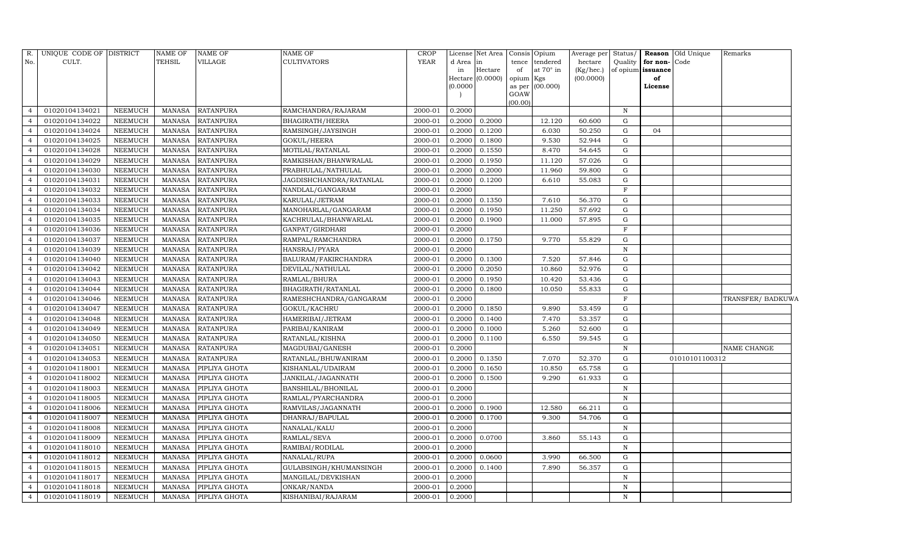| R.             | UNIQUE CODE OF DISTRICT |                | <b>NAME OF</b> | <b>NAME OF</b>       | NAME OF                 | <b>CROP</b> |           | License Net Area   Consis   Opium |                 |                 | Average per | Status/           |               | <b>Reason</b> Old Unique | Remarks           |
|----------------|-------------------------|----------------|----------------|----------------------|-------------------------|-------------|-----------|-----------------------------------|-----------------|-----------------|-------------|-------------------|---------------|--------------------------|-------------------|
| No.            | CULT.                   |                | TEHSIL         | <b>VILLAGE</b>       | CULTIVATORS             | YEAR        | d Area in |                                   | tence           | tendered        | hectare     | Quality           | for non-Code  |                          |                   |
|                |                         |                |                |                      |                         |             | in        | Hectare                           | of              | at 70° in       | (Kg/hec.)   | of opium issuance |               |                          |                   |
|                |                         |                |                |                      |                         |             | (0.0000)  | Hectare (0.0000)                  | opium<br>as per | Kgs<br>(00.000) | (00.0000)   |                   | of<br>License |                          |                   |
|                |                         |                |                |                      |                         |             |           |                                   | GOAW            |                 |             |                   |               |                          |                   |
|                |                         |                |                |                      |                         |             |           |                                   | (00.00)         |                 |             |                   |               |                          |                   |
| $\overline{4}$ | 01020104134021          | <b>NEEMUCH</b> | <b>MANASA</b>  | <b>RATANPURA</b>     | RAMCHANDRA/RAJARAM      | 2000-01     | 0.2000    |                                   |                 |                 |             | $\, {\rm N}$      |               |                          |                   |
| $\overline{4}$ | 01020104134022          | <b>NEEMUCH</b> | <b>MANASA</b>  | <b>RATANPURA</b>     | BHAGIRATH/HEERA         | 2000-01     | 0.2000    | 0.2000                            |                 | 12.120          | 60.600      | G                 |               |                          |                   |
| $\overline{4}$ | 01020104134024          | <b>NEEMUCH</b> | <b>MANASA</b>  | <b>RATANPURA</b>     | RAMSINGH/JAYSINGH       | 2000-01     | 0.2000    | 0.1200                            |                 | 6.030           | 50.250      | G                 | 04            |                          |                   |
| $\overline{4}$ | 01020104134025          | <b>NEEMUCH</b> | <b>MANASA</b>  | <b>RATANPURA</b>     | GOKUL/HEERA             | 2000-01     | 0.2000    | 0.1800                            |                 | 9.530           | 52.944      | G                 |               |                          |                   |
| $\overline{4}$ | 01020104134028          | <b>NEEMUCH</b> | <b>MANASA</b>  | <b>RATANPURA</b>     | MOTILAL/RATANLAL        | 2000-01     | 0.2000    | 0.1550                            |                 | 8.470           | 54.645      | ${\rm G}$         |               |                          |                   |
| $\overline{4}$ | 01020104134029          | <b>NEEMUCH</b> | <b>MANASA</b>  | <b>RATANPURA</b>     | RAMKISHAN/BHANWRALAL    | 2000-01     | 0.2000    | 0.1950                            |                 | 11.120          | 57.026      | G                 |               |                          |                   |
| $\overline{4}$ | 01020104134030          | <b>NEEMUCH</b> | <b>MANASA</b>  | <b>RATANPURA</b>     | PRABHULAL/NATHULAL      | 2000-01     | 0.2000    | 0.2000                            |                 | 11.960          | 59.800      | G                 |               |                          |                   |
| $\overline{4}$ | 01020104134031          | <b>NEEMUCH</b> | <b>MANASA</b>  | <b>RATANPURA</b>     | JAGDISHCHANDRA/RATANLAL | 2000-01     | 0.2000    | 0.1200                            |                 | 6.610           | 55.083      | G                 |               |                          |                   |
| $\overline{4}$ | 01020104134032          | <b>NEEMUCH</b> | <b>MANASA</b>  | <b>RATANPURA</b>     | NANDLAL/GANGARAM        | 2000-01     | 0.2000    |                                   |                 |                 |             | $\mathbf F$       |               |                          |                   |
| $\overline{4}$ | 01020104134033          | <b>NEEMUCH</b> | <b>MANASA</b>  | <b>RATANPURA</b>     | KARULAL/JETRAM          | 2000-01     | 0.2000    | 0.1350                            |                 | 7.610           | 56.370      | G                 |               |                          |                   |
| $\overline{4}$ | 01020104134034          | <b>NEEMUCH</b> | <b>MANASA</b>  | RATANPURA            | MANOHARLAL/GANGARAM     | 2000-01     | 0.2000    | 0.1950                            |                 | 11.250          | 57.692      | G                 |               |                          |                   |
| $\overline{4}$ | 01020104134035          | <b>NEEMUCH</b> | <b>MANASA</b>  | <b>RATANPURA</b>     | KACHRULAL/BHANWARLAL    | 2000-01     | 0.2000    | 0.1900                            |                 | 11.000          | 57.895      | G                 |               |                          |                   |
| $\overline{4}$ | 01020104134036          | <b>NEEMUCH</b> | <b>MANASA</b>  | <b>RATANPURA</b>     | GANPAT/GIRDHARI         | 2000-01     | 0.2000    |                                   |                 |                 |             | $\mathbf F$       |               |                          |                   |
| $\overline{4}$ | 01020104134037          | <b>NEEMUCH</b> | <b>MANASA</b>  | <b>RATANPURA</b>     | RAMPAL/RAMCHANDRA       | 2000-01     | 0.2000    | 0.1750                            |                 | 9.770           | 55.829      | G                 |               |                          |                   |
| $\overline{4}$ | 01020104134039          | <b>NEEMUCH</b> | MANASA         | <b>RATANPURA</b>     | HANSRAJ/PYARA           | 2000-01     | 0.2000    |                                   |                 |                 |             | N                 |               |                          |                   |
| $\overline{4}$ | 01020104134040          | NEEMUCH        | <b>MANASA</b>  | <b>RATANPURA</b>     | BALURAM/FAKIRCHANDRA    | 2000-01     | 0.2000    | 0.1300                            |                 | 7.520           | 57.846      | G                 |               |                          |                   |
| $\overline{4}$ | 01020104134042          | <b>NEEMUCH</b> | <b>MANASA</b>  | <b>RATANPURA</b>     | DEVILAL/NATHULAL        | 2000-01     | 0.2000    | 0.2050                            |                 | 10.860          | 52.976      | G                 |               |                          |                   |
| $\overline{4}$ | 01020104134043          | <b>NEEMUCH</b> | <b>MANASA</b>  | <b>RATANPURA</b>     | RAMLAL/BHURA            | 2000-01     | 0.2000    | 0.1950                            |                 | 10.420          | 53.436      | G                 |               |                          |                   |
| $\overline{4}$ | 01020104134044          | NEEMUCH        | <b>MANASA</b>  | <b>RATANPURA</b>     | BHAGIRATH/RATANLAL      | 2000-01     | 0.2000    | 0.1800                            |                 | 10.050          | 55.833      | G                 |               |                          |                   |
| $\overline{4}$ | 01020104134046          | NEEMUCH        | <b>MANASA</b>  | <b>RATANPURA</b>     | RAMESHCHANDRA/GANGARAM  | 2000-01     | 0.2000    |                                   |                 |                 |             | $\mathbf F$       |               |                          | TRANSFER/ BADKUWA |
| $\overline{4}$ | 01020104134047          | <b>NEEMUCH</b> | <b>MANASA</b>  | <b>RATANPURA</b>     | GOKUL/KACHRU            | 2000-01     | 0.2000    | 0.1850                            |                 | 9.890           | 53.459      | G                 |               |                          |                   |
| $\overline{4}$ | 01020104134048          | <b>NEEMUCH</b> | <b>MANASA</b>  | <b>RATANPURA</b>     | HAMERIBAI/JETRAM        | 2000-01     | 0.2000    | 0.1400                            |                 | 7.470           | 53.357      | G                 |               |                          |                   |
| $\overline{4}$ | 01020104134049          | NEEMUCH        | <b>MANASA</b>  | <b>RATANPURA</b>     | PARIBAI/KANIRAM         | 2000-01     | 0.2000    | 0.1000                            |                 | 5.260           | 52.600      | G                 |               |                          |                   |
| $\overline{4}$ | 01020104134050          | <b>NEEMUCH</b> | <b>MANASA</b>  | <b>RATANPURA</b>     | RATANLAL/KISHNA         | 2000-01     | 0.2000    | 0.1100                            |                 | 6.550           | 59.545      | ${\rm G}$         |               |                          |                   |
| $\overline{4}$ | 01020104134051          | NEEMUCH        | <b>MANASA</b>  | <b>RATANPURA</b>     | MAGDUBAI/GANESH         | 2000-01     | 0.2000    |                                   |                 |                 |             | $\, {\rm N}$      |               |                          | NAME CHANGE       |
| $\overline{4}$ | 01020104134053          | <b>NEEMUCH</b> | <b>MANASA</b>  | <b>RATANPURA</b>     | RATANLAL/BHUWANIRAM     | 2000-01     | 0.2000    | 0.1350                            |                 | 7.070           | 52.370      | G                 |               | 01010101100312           |                   |
| $\overline{4}$ | 01020104118001          | NEEMUCH        | <b>MANASA</b>  | PIPLIYA GHOTA        | KISHANLAL/UDAIRAM       | 2000-01     | 0.2000    | 0.1650                            |                 | 10.850          | 65.758      | G                 |               |                          |                   |
| $\overline{4}$ | 01020104118002          | <b>NEEMUCH</b> | <b>MANASA</b>  | PIPLIYA GHOTA        | JANKILAL/JAGANNATH      | 2000-01     | 0.2000    | 0.1500                            |                 | 9.290           | 61.933      | G                 |               |                          |                   |
| $\overline{4}$ | 01020104118003          | <b>NEEMUCH</b> | <b>MANASA</b>  | PIPLIYA GHOTA        | BANSHILAL/BHONILAL      | 2000-01     | 0.2000    |                                   |                 |                 |             | $\, {\rm N}$      |               |                          |                   |
| $\overline{4}$ | 01020104118005          | <b>NEEMUCH</b> | <b>MANASA</b>  | PIPLIYA GHOTA        | RAMLAL/PYARCHANDRA      | 2000-01     | 0.2000    |                                   |                 |                 |             | $\, {\rm N}$      |               |                          |                   |
| $\overline{4}$ | 01020104118006          | <b>NEEMUCH</b> | <b>MANASA</b>  | PIPLIYA GHOTA        | RAMVILAS/JAGANNATH      | 2000-01     | 0.2000    | 0.1900                            |                 | 12.580          | 66.211      | G                 |               |                          |                   |
| $\overline{4}$ | 01020104118007          | <b>NEEMUCH</b> | <b>MANASA</b>  | PIPLIYA GHOTA        | DHANRAJ/BAPULAL         | 2000-01     | 0.2000    | 0.1700                            |                 | 9.300           | 54.706      | G                 |               |                          |                   |
| $\overline{4}$ | 01020104118008          | <b>NEEMUCH</b> | <b>MANASA</b>  | PIPLIYA GHOTA        | NANALAL/KALU            | 2000-01     | 0.2000    |                                   |                 |                 |             | $\, {\rm N}$      |               |                          |                   |
| $\overline{4}$ | 01020104118009          | <b>NEEMUCH</b> | <b>MANASA</b>  | PIPLIYA GHOTA        | RAMLAL/SEVA             | 2000-01     | 0.2000    | 0.0700                            |                 | 3.860           | 55.143      | G                 |               |                          |                   |
| $\overline{4}$ | 01020104118010          | <b>NEEMUCH</b> | <b>MANASA</b>  | PIPLIYA GHOTA        | RAMIBAI/RODILAL         | 2000-01     | 0.2000    |                                   |                 |                 |             | $\, {\rm N}$      |               |                          |                   |
| $\overline{4}$ | 01020104118012          | <b>NEEMUCH</b> | <b>MANASA</b>  | PIPLIYA GHOTA        | NANALAL/RUPA            | 2000-01     | 0.2000    | 0.0600                            |                 | 3.990           | 66.500      | G                 |               |                          |                   |
| $\overline{4}$ | 01020104118015          | <b>NEEMUCH</b> | <b>MANASA</b>  | PIPLIYA GHOTA        | GULABSINGH/KHUMANSINGH  | 2000-01     | 0.2000    | 0.1400                            |                 | 7.890           | 56.357      | G                 |               |                          |                   |
| $\overline{4}$ | 01020104118017          | NEEMUCH        | <b>MANASA</b>  | PIPLIYA GHOTA        | MANGILAL/DEVKISHAN      | 2000-01     | 0.2000    |                                   |                 |                 |             | $\, {\rm N}$      |               |                          |                   |
| $\overline{4}$ | 01020104118018          | NEEMUCH        | <b>MANASA</b>  | PIPLIYA GHOTA        | ONKAR/NANDA             | 2000-01     | 0.2000    |                                   |                 |                 |             | N                 |               |                          |                   |
| $\overline{4}$ | 01020104118019          | <b>NEEMUCH</b> |                | MANASA PIPLIYA GHOTA | KISHANIBAI/RAJARAM      | 2000-01     | 0.2000    |                                   |                 |                 |             | N                 |               |                          |                   |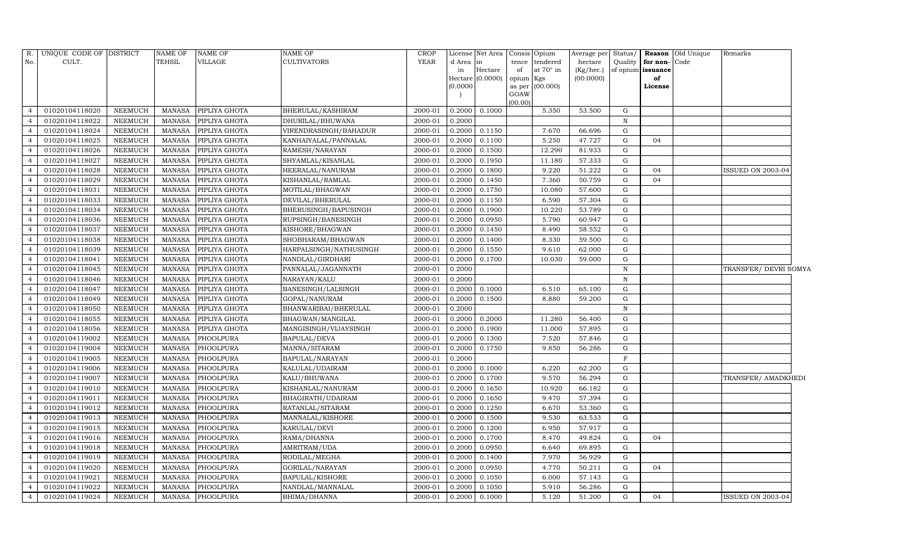| R.             | UNIQUE CODE OF DISTRICT |                | NAME OF       | <b>NAME OF</b> | <b>NAME OF</b>         | CROP        |           | License Net Area |                     | Consis Opium     | Average per Status/ |                   | <b>Reason</b> Old Unique | Remarks                  |  |
|----------------|-------------------------|----------------|---------------|----------------|------------------------|-------------|-----------|------------------|---------------------|------------------|---------------------|-------------------|--------------------------|--------------------------|--|
| No.            | CULT.                   |                | TEHSIL        | VILLAGE        | <b>CULTIVATORS</b>     | YEAR        | d Area in |                  | tence               | tendered         | hectare             | Quality           | for non-<br>Code         |                          |  |
|                |                         |                |               |                |                        |             | in        | Hectare          | of                  | at $70^\circ$ in | (Kg/hec.)           | of opium issuance |                          |                          |  |
|                |                         |                |               |                |                        |             | (0.0000)  | Hectare (0.0000) | opium Kgs<br>as per | (00.000)         | (00.0000)           |                   | of<br>License            |                          |  |
|                |                         |                |               |                |                        |             |           |                  | GOAW                |                  |                     |                   |                          |                          |  |
|                |                         |                |               |                |                        |             |           |                  | (00.00)             |                  |                     |                   |                          |                          |  |
| $\overline{4}$ | 01020104118020          | NEEMUCH        | MANASA        | PIPLIYA GHOTA  | BHERULAL/KASHIRAM      | 2000-01     | 0.2000    | 0.1000           |                     | 5.350            | 53.500              | G                 |                          |                          |  |
| $\overline{4}$ | 01020104118022          | <b>NEEMUCH</b> | <b>MANASA</b> | PIPLIYA GHOTA  | DHURILAL/BHUWANA       | 2000-01     | 0.2000    |                  |                     |                  |                     | N                 |                          |                          |  |
| $\overline{a}$ | 01020104118024          | NEEMUCH        | <b>MANASA</b> | PIPLIYA GHOTA  | VIRENDRASINGH/BAHADUR  | 2000-01     | 0.2000    | 0.1150           |                     | 7.670            | 66.696              | G                 |                          |                          |  |
| $\overline{4}$ | 01020104118025          | <b>NEEMUCH</b> | <b>MANASA</b> | PIPLIYA GHOTA  | KANHAIYALAL/PANNALAL   | $2000 - 01$ | 0.2000    | 0.1100           |                     | 5.250            | 47.727              | G                 | 04                       |                          |  |
| $\overline{4}$ | 01020104118026          | NEEMUCH        | <b>MANASA</b> | PIPLIYA GHOTA  | RAMESH/NARAYAN         | 2000-01     | 0.2000    | 0.1500           |                     | 12.290           | 81.933              | G                 |                          |                          |  |
| $\overline{4}$ | 01020104118027          | NEEMUCH        | <b>MANASA</b> | PIPLIYA GHOTA  | SHYAMLAL/KISANLAL      | 2000-01     | 0.2000    | 0.1950           |                     | 11.180           | 57.333              | ${\rm G}$         |                          |                          |  |
| $\overline{4}$ | 01020104118028          | NEEMUCH        | <b>MANASA</b> | PIPLIYA GHOTA  | HEERALAL/NANURAM       | 2000-01     | 0.2000    | 0.1800           |                     | 9.220            | 51.222              | G                 | 04                       | ISSUED ON 2003-04        |  |
| $\overline{4}$ | 01020104118029          | <b>NEEMUCH</b> | <b>MANASA</b> | PIPLIYA GHOTA  | KISHANLAL/RAMLAL       | 2000-01     | 0.2000    | 0.1450           |                     | 7.360            | 50.759              | G                 | 04                       |                          |  |
| $\overline{4}$ | 01020104118031          | NEEMUCH        | <b>MANASA</b> | PIPLIYA GHOTA  | MOTILAL/BHAGWAN        | 2000-01     | 0.2000    | 0.1750           |                     | 10.080           | 57.600              | G                 |                          |                          |  |
| $\overline{4}$ | 01020104118033          | <b>NEEMUCH</b> | <b>MANASA</b> | PIPLIYA GHOTA  | DEVILAL/BHERULAL       | 2000-01     | 0.2000    | 0.1150           |                     | 6.590            | 57.304              | $\mathbf G$       |                          |                          |  |
| $\overline{4}$ | 01020104118034          | NEEMUCH        | <b>MANASA</b> | PIPLIYA GHOTA  | BHERUSINGH/BAPUSINGH   | 2000-01     | 0.2000    | 0.1900           |                     | 10.220           | 53.789              | G                 |                          |                          |  |
| $\overline{4}$ | 01020104118036          | <b>NEEMUCH</b> | <b>MANASA</b> | PIPLIYA GHOTA  | RUPSINGH/BANESINGH     | 2000-01     | 0.2000    | 0.0950           |                     | 5.790            | 60.947              | G                 |                          |                          |  |
| $\overline{4}$ | 01020104118037          | <b>NEEMUCH</b> | <b>MANASA</b> | PIPLIYA GHOTA  | KISHORE/BHAGWAN        | 2000-01     | 0.2000    | 0.1450           |                     | 8.490            | 58.552              | G                 |                          |                          |  |
| $\overline{4}$ | 01020104118038          | <b>NEEMUCH</b> | <b>MANASA</b> | PIPLIYA GHOTA  | SHOBHARAM/BHAGWAN      | 2000-01     | 0.2000    | 0.1400           |                     | 8.330            | 59.500              | G                 |                          |                          |  |
| $\overline{4}$ | 01020104118039          | NEEMUCH        | <b>MANASA</b> | PIPLIYA GHOTA  | HARPALSINGH/NATHUSINGH | 2000-01     | 0.2000    | 0.1550           |                     | 9.610            | 62.000              | G                 |                          |                          |  |
| $\overline{4}$ | 01020104118041          | NEEMUCH        | <b>MANASA</b> | PIPLIYA GHOTA  | NANDLAL/GIRDHARI       | 2000-01     | 0.2000    | 0.1700           |                     | 10.030           | 59.000              | G                 |                          |                          |  |
| $\overline{4}$ | 01020104118045          | NEEMUCH        | <b>MANASA</b> | PIPLIYA GHOTA  | PANNALAL/JAGANNATH     | 2000-01     | 0.2000    |                  |                     |                  |                     | N                 |                          | TRANSFER/ DEVRI SOMYA    |  |
| $\overline{4}$ | 01020104118046          | <b>NEEMUCH</b> | <b>MANASA</b> | PIPLIYA GHOTA  | NARAYAN/KALU           | 2000-01     | 0.2000    |                  |                     |                  |                     | N                 |                          |                          |  |
| $\overline{4}$ | 01020104118047          | <b>NEEMUCH</b> | <b>MANASA</b> | PIPLIYA GHOTA  | BANESINGH/LALSINGH     | 2000-01     | 0.2000    | 0.1000           |                     | 6.510            | 65.100              | G                 |                          |                          |  |
| $\overline{4}$ | 01020104118049          | NEEMUCH        | <b>MANASA</b> | PIPLIYA GHOTA  | GOPAL/NANURAM          | 2000-01     | 0.2000    | 0.1500           |                     | 8.880            | 59.200              | G                 |                          |                          |  |
| $\overline{4}$ | 01020104118050          | <b>NEEMUCH</b> | <b>MANASA</b> | PIPLIYA GHOTA  | BHANWARIBAI/BHERULAL   | 2000-01     | 0.2000    |                  |                     |                  |                     | $\mathbf N$       |                          |                          |  |
| $\overline{4}$ | 01020104118055          | NEEMUCH        | <b>MANASA</b> | PIPLIYA GHOTA  | BHAGWAN/MANGILAL       | 2000-01     | 0.2000    | 0.2000           |                     | 11.280           | 56.400              | G                 |                          |                          |  |
| $\overline{4}$ | 01020104118056          | <b>NEEMUCH</b> | MANASA        | PIPLIYA GHOTA  | MANGISINGH/VIJAYSINGH  | 2000-01     | 0.2000    | 0.1900           |                     | 11.000           | 57.895              | G                 |                          |                          |  |
| $\overline{4}$ | 01020104119002          | NEEMUCH        | <b>MANASA</b> | PHOOLPURA      | BAPULAL/DEVA           | 2000-01     | 0.2000    | 0.1300           |                     | 7.520            | 57.846              | G                 |                          |                          |  |
| $\overline{4}$ | 01020104119004          | <b>NEEMUCH</b> | <b>MANASA</b> | PHOOLPURA      | MANNA/SITARAM          | 2000-01     | 0.2000    | 0.1750           |                     | 9.850            | 56.286              | $\mathbf G$       |                          |                          |  |
| $\overline{4}$ | 01020104119005          | <b>NEEMUCH</b> | <b>MANASA</b> | PHOOLPURA      | BAPULAL/NARAYAN        | 2000-01     | 0.2000    |                  |                     |                  |                     | $\mathbf{F}$      |                          |                          |  |
| $\overline{4}$ | 01020104119006          | <b>NEEMUCH</b> | <b>MANASA</b> | PHOOLPURA      | KALULAL/UDAIRAM        | 2000-01     | 0.2000    | 0.1000           |                     | 6.220            | 62.200              | G                 |                          |                          |  |
| $\overline{4}$ | 01020104119007          | NEEMUCH        | <b>MANASA</b> | PHOOLPURA      | KALU/BHUWANA           | 2000-01     | 0.2000    | 0.1700           |                     | 9.570            | 56.294              | G                 |                          | TRANSFER/ AMADKHEDI      |  |
| $\overline{4}$ | 01020104119010          | <b>NEEMUCH</b> | <b>MANASA</b> | PHOOLPURA      | KISHANLAL/NANURAM      | 2000-01     | 0.2000    | 0.1650           |                     | 10.920           | 66.182              | $\mathbf G$       |                          |                          |  |
| $\overline{4}$ | 01020104119011          | <b>NEEMUCH</b> | <b>MANASA</b> | PHOOLPURA      | BHAGIRATH/UDAIRAM      | 2000-01     | 0.2000    | 0.1650           |                     | 9.470            | 57.394              | G                 |                          |                          |  |
| $\overline{4}$ | 01020104119012          | <b>NEEMUCH</b> | <b>MANASA</b> | PHOOLPURA      | RATANLAL/SITARAM       | 2000-01     | 0.2000    | 0.1250           |                     | 6.670            | 53.360              | G                 |                          |                          |  |
| $\overline{4}$ | 01020104119013          | <b>NEEMUCH</b> | <b>MANASA</b> | PHOOLPURA      | MANNALAL/KISHORE       | 2000-01     | 0.2000    | 0.1500           |                     | 9.530            | 63.533              | G                 |                          |                          |  |
| $\overline{4}$ | 01020104119015          | <b>NEEMUCH</b> | <b>MANASA</b> | PHOOLPURA      | KARULAL/DEVI           | 2000-01     | 0.2000    | 0.1200           |                     | 6.950            | 57.917              | ${\rm G}$         |                          |                          |  |
| $\overline{4}$ | 01020104119016          | <b>NEEMUCH</b> | <b>MANASA</b> | PHOOLPURA      | RAMA/DHANNA            | 2000-01     | 0.2000    | 0.1700           |                     | 8.470            | 49.824              | G                 | 04                       |                          |  |
| $\overline{4}$ | 01020104119018          | <b>NEEMUCH</b> | <b>MANASA</b> | PHOOLPURA      | AMRITRAM/UDA           | 2000-01     | 0.2000    | 0.0950           |                     | 6.640            | 69.895              | G                 |                          |                          |  |
| $\overline{4}$ | 01020104119019          | NEEMUCH        | <b>MANASA</b> | PHOOLPURA      | RODILAL/MEGHA          | 2000-01     | 0.2000    | 0.1400           |                     | 7.970            | 56.929              | G                 |                          |                          |  |
| $\overline{4}$ | 01020104119020          | NEEMUCH        | <b>MANASA</b> | PHOOLPURA      | GORILAL/NARAYAN        | 2000-01     | 0.2000    | 0.0950           |                     | 4.770            | 50.211              | G                 | 04                       |                          |  |
| $\overline{4}$ | 01020104119021          | NEEMUCH        | <b>MANASA</b> | PHOOLPURA      | BAPULAL/KISHORE        | 2000-01     | 0.2000    | 0.1050           |                     | 6.000            | 57.143              | G                 |                          |                          |  |
| $\overline{4}$ | 01020104119022          | NEEMUCH        | <b>MANASA</b> | PHOOLPURA      | NANDLAL/MANNALAL       | 2000-01     | 0.2000    | 0.1050           |                     | 5.910            | 56.286              | G                 |                          |                          |  |
| $\overline{4}$ | 01020104119024          | <b>NEEMUCH</b> | MANASA        | PHOOLPURA      | <b>BHIMA/DHANNA</b>    | 2000-01     | 0.2000    | 0.1000           |                     | 5.120            | 51.200              | G                 | 04                       | <b>ISSUED ON 2003-04</b> |  |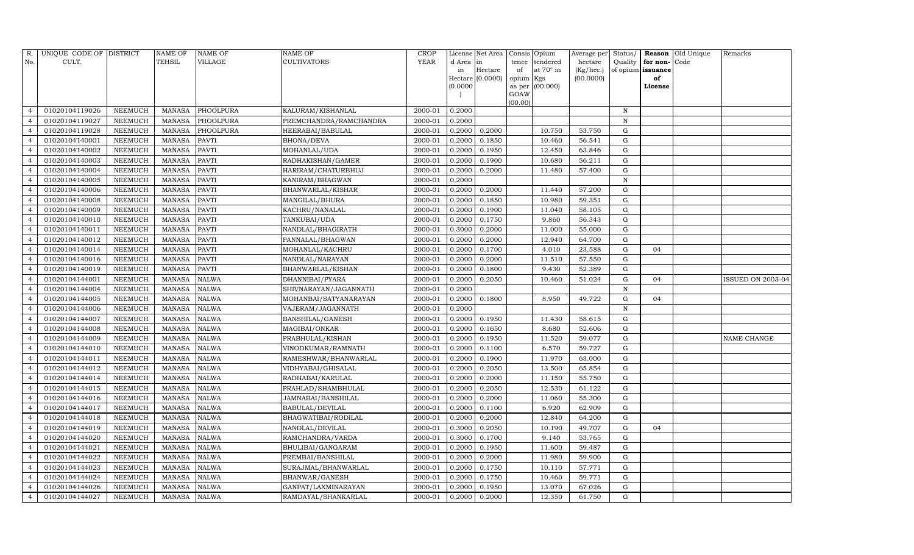| R.             | UNIQUE CODE OF DISTRICT |                 | <b>NAME OF</b> | <b>NAME OF</b> | <b>NAME OF</b>          | CROP    |           | License Net Area |           | Consis Opium     | Average per | Status/      |                   | <b>Reason</b> Old Unique | Remarks           |
|----------------|-------------------------|-----------------|----------------|----------------|-------------------------|---------|-----------|------------------|-----------|------------------|-------------|--------------|-------------------|--------------------------|-------------------|
| No.            | CULT.                   |                 | <b>TEHSIL</b>  | VILLAGE        | <b>CULTIVATORS</b>      | YEAR    | d Area in |                  | tence     | tendered         | hectare     | Quality      | for non-          | Code                     |                   |
|                |                         |                 |                |                |                         |         | in        | Hectare          | of        | at $70^\circ$ in | (Kg/hec.)   |              | of opium issuance |                          |                   |
|                |                         |                 |                |                |                         |         | (0.0000)  | Hectare (0.0000) | opium Kgs | as per (00.000)  | (00.0000)   |              | of<br>License     |                          |                   |
|                |                         |                 |                |                |                         |         |           |                  | GOAW      |                  |             |              |                   |                          |                   |
|                |                         |                 |                |                |                         |         |           |                  | (00.00)   |                  |             |              |                   |                          |                   |
| $\overline{4}$ | 01020104119026          | NEEMUCH         | MANASA         | PHOOLPURA      | KALURAM/KISHANLAL       | 2000-01 | 0.2000    |                  |           |                  |             | N            |                   |                          |                   |
|                | 01020104119027          | ${\tt NEEMUCH}$ | MANASA         | PHOOLPURA      | PREMCHANDRA/RAMCHANDRA  | 2000-01 | 0.2000    |                  |           |                  |             | $\,$ N       |                   |                          |                   |
| $\overline{4}$ | 01020104119028          | <b>NEEMUCH</b>  | MANASA         | PHOOLPURA      | HEERABAI/BABULAL        | 2000-01 | 0.2000    | 0.2000           |           | 10.750           | 53.750      | G            |                   |                          |                   |
| $\overline{4}$ | 01020104140001          | NEEMUCH         | MANASA         | <b>PAVTI</b>   | <b>BHONA/DEVA</b>       | 2000-01 | 0.2000    | 0.1850           |           | 10.460           | 56.541      | ${\rm G}$    |                   |                          |                   |
| $\overline{4}$ | 01020104140002          | NEEMUCH         | MANASA         | <b>PAVTI</b>   | MOHANLAL/UDA            | 2000-01 | 0.2000    | 0.1950           |           | 12.450           | 63.846      | G            |                   |                          |                   |
| $\overline{4}$ | 01020104140003          | NEEMUCH         | MANASA         | <b>PAVTI</b>   | RADHAKISHAN/GAMER       | 2000-01 | 0.2000    | 0.1900           |           | 10.680           | 56.211      | G            |                   |                          |                   |
| $\overline{4}$ | 01020104140004          | NEEMUCH         | MANASA         | <b>PAVTI</b>   | HARIRAM/CHATURBHUJ      | 2000-01 | 0.2000    | 0.2000           |           | 11.480           | 57.400      | G            |                   |                          |                   |
| $\overline{4}$ | 01020104140005          | NEEMUCH         | MANASA         | <b>PAVTI</b>   | KANIRAM/BHAGWAN         | 2000-01 | 0.2000    |                  |           |                  |             | $\, {\rm N}$ |                   |                          |                   |
| $\Delta$       | 01020104140006          | NEEMUCH         | <b>MANASA</b>  | <b>PAVTI</b>   | BHANWARLAL/KISHAR       | 2000-01 | 0.2000    | 0.2000           |           | 11.440           | 57.200      | G            |                   |                          |                   |
| $\overline{4}$ | 01020104140008          | NEEMUCH         | MANASA         | <b>PAVTI</b>   | MANGILAL/BHURA          | 2000-01 | 0.2000    | 0.1850           |           | 10.980           | 59.351      | G            |                   |                          |                   |
| $\overline{4}$ | 01020104140009          | NEEMUCH         | MANASA         | <b>PAVTI</b>   | KACHRU/NANALAL          | 2000-01 | 0.2000    | 0.1900           |           | 11.040           | 58.105      | G            |                   |                          |                   |
| $\overline{4}$ | 01020104140010          | NEEMUCH         | MANASA         | <b>PAVTI</b>   | TANKUBAI/UDA            | 2000-01 | 0.2000    | 0.1750           |           | 9.860            | 56.343      | G            |                   |                          |                   |
|                | 01020104140011          | NEEMUCH         | MANASA         | <b>PAVTI</b>   | NANDLAL/BHAGIRATH       | 2000-01 | 0.3000    | 0.2000           |           | 11.000           | 55.000      | G            |                   |                          |                   |
| $\overline{4}$ | 01020104140012          | <b>NEEMUCH</b>  | <b>MANASA</b>  | <b>PAVTI</b>   | PANNALAL/BHAGWAN        | 2000-01 | 0.2000    | 0.2000           |           | 12.940           | 64.700      | G            |                   |                          |                   |
| $\overline{4}$ | 01020104140014          | NEEMUCH         | MANASA         | PAVTI          | MOHANLAL/KACHRU         | 2000-01 | 0.2000    | 0.1700           |           | 4.010            | 23.588      | ${\rm G}$    | 04                |                          |                   |
| $\overline{4}$ | 01020104140016          | NEEMUCH         | <b>MANASA</b>  | <b>PAVTI</b>   | NANDLAL/NARAYAN         | 2000-01 | 0.2000    | 0.2000           |           | 11.510           | 57.550      | G            |                   |                          |                   |
|                | 01020104140019          | NEEMUCH         | <b>MANASA</b>  | <b>PAVTI</b>   | BHANWARLAL/KISHAN       | 2000-01 | 0.2000    | 0.1800           |           | 9.430            | 52.389      | ${\rm G}$    |                   |                          |                   |
| $\overline{4}$ | 01020104144001          | NEEMUCH         | <b>MANASA</b>  | <b>NALWA</b>   | DHANNIBAI/PYARA         | 2000-01 | 0.2000    | 0.2050           |           | 10.460           | 51.024      | G            | 04                |                          | ISSUED ON 2003-04 |
| $\overline{4}$ | 01020104144004          | NEEMUCH         | <b>MANASA</b>  | <b>NALWA</b>   | SHIVNARAYAN/JAGANNATH   | 2000-01 | 0.2000    |                  |           |                  |             | $\,$ N       |                   |                          |                   |
| $\overline{4}$ | 01020104144005          | <b>NEEMUCH</b>  | <b>MANASA</b>  | <b>NALWA</b>   | MOHANBAI/SATYANARAYAN   | 2000-01 | 0.2000    | 0.1800           |           | 8.950            | 49.722      | $\mathbf G$  | 04                |                          |                   |
| $\overline{4}$ | 01020104144006          | <b>NEEMUCH</b>  | MANASA         | <b>NALWA</b>   | VAJERAM/JAGANNATH       | 2000-01 | 0.2000    |                  |           |                  |             | $\,$ N       |                   |                          |                   |
| $\overline{4}$ | 01020104144007          | NEEMUCH         | <b>MANASA</b>  | <b>NALWA</b>   | <b>BANSHILAL/GANESH</b> | 2000-01 | 0.2000    | 0.1950           |           | 11.430           | 58.615      | G            |                   |                          |                   |
| $\overline{4}$ | 01020104144008          | NEEMUCH         | MANASA         | <b>NALWA</b>   | MAGIBAI/ONKAR           | 2000-01 | 0.2000    | 0.1650           |           | 8.680            | 52.606      | G            |                   |                          |                   |
| $\overline{4}$ | 01020104144009          | NEEMUCH         | <b>MANASA</b>  | <b>NALWA</b>   | PRABHULAL/KISHAN        | 2000-01 | 0.2000    | 0.1950           |           | 11.520           | 59.077      | ${\rm G}$    |                   |                          | NAME CHANGE       |
| $\overline{4}$ | 01020104144010          | <b>NEEMUCH</b>  | <b>MANASA</b>  | NALWA          | VINODKUMAR/RAMNATH      | 2000-01 | 0.2000    | 0.1100           |           | 6.570            | 59.727      | G            |                   |                          |                   |
| $\overline{4}$ | 01020104144011          | NEEMUCH         | <b>MANASA</b>  | <b>NALWA</b>   | RAMESHWAR/BHANWARLAL    | 2000-01 | 0.2000    | 0.1900           |           | 11.970           | 63.000      | G            |                   |                          |                   |
| $\overline{4}$ | 01020104144012          | NEEMUCH         | MANASA         | <b>NALWA</b>   | VIDHYABAI/GHISALAL      | 2000-01 | 0.2000    | 0.2050           |           | 13.500           | 65.854      | G            |                   |                          |                   |
|                | 01020104144014          | <b>NEEMUCH</b>  | <b>MANASA</b>  | NALWA          | RADHABAI/KARULAL        | 2000-01 | 0.2000    | 0.2000           |           | 11.150           | 55.750      | ${\rm G}$    |                   |                          |                   |
| $\overline{4}$ | 01020104144015          | NEEMUCH         | MANASA         | <b>NALWA</b>   | PRAHLAD/SHAMBHULAL      | 2000-01 | 0.2000    | 0.2050           |           | 12.530           | 61.122      | G            |                   |                          |                   |
| $\overline{4}$ | 01020104144016          | NEEMUCH         | <b>MANASA</b>  | <b>NALWA</b>   | JAMNABAI/BANSHILAL      | 2000-01 | 0.2000    | 0.2000           |           | 11.060           | 55.300      | ${\rm G}$    |                   |                          |                   |
| $\Delta$       | 01020104144017          | NEEMUCH         | MANASA         | <b>NALWA</b>   | <b>BABULAL/DEVILAL</b>  | 2000-01 | 0.2000    | 0.1100           |           | 6.920            | 62.909      | ${\rm G}$    |                   |                          |                   |
|                | 01020104144018          | NEEMUCH         | MANASA         | <b>NALWA</b>   | BHAGWATIBAI/RODILAL     | 2000-01 | 0.2000    | 0.2000           |           | 12.840           | 64.200      | G            |                   |                          |                   |
| $\overline{4}$ | 01020104144019          | NEEMUCH         | <b>MANASA</b>  | <b>NALWA</b>   | NANDLAL/DEVILAL         | 2000-01 | 0.3000    | 0.2050           |           | 10.190           | 49.707      | G            | 04                |                          |                   |
| $\overline{4}$ | 01020104144020          | NEEMUCH         | MANASA         | <b>NALWA</b>   | RAMCHANDRA/VARDA        | 2000-01 | 0.3000    | 0.1700           |           | 9.140            | 53.765      | ${\rm G}$    |                   |                          |                   |
| $\overline{4}$ | 01020104144021          | <b>NEEMUCH</b>  | <b>MANASA</b>  | <b>NALWA</b>   | BHULIBAI/GANGARAM       | 2000-01 | 0.2000    | 0.1950           |           | 11.600           | 59.487      | G            |                   |                          |                   |
| $\Delta$       | 01020104144022          | <b>NEEMUCH</b>  | <b>MANASA</b>  | NALWA          | PREMBAI/BANSHILAL       | 2000-01 | 0.2000    | 0.2000           |           | 11.980           | 59.900      | G            |                   |                          |                   |
| $\overline{4}$ | 01020104144023          | <b>NEEMUCH</b>  | MANASA         | <b>NALWA</b>   | SURAJMAL/BHANWARLAL     | 2000-01 | 0.2000    | 0.1750           |           | 10.110           | 57.771      | G            |                   |                          |                   |
| $\overline{4}$ | 01020104144024          | <b>NEEMUCH</b>  | <b>MANASA</b>  | <b>NALWA</b>   | BHANWAR/GANESH          | 2000-01 | 0.2000    | 0.1750           |           | 10.460           | 59.771      | ${\rm G}$    |                   |                          |                   |
| $\overline{4}$ | 01020104144026          | NEEMUCH         | <b>MANASA</b>  | <b>NALWA</b>   | GANPAT/LAXMINARAYAN     | 2000-01 | 0.2000    | 0.1950           |           | 13.070           | 67.026      | $\mathbf G$  |                   |                          |                   |
| $\overline{4}$ | 01020104144027          | NEEMUCH         | MANASA NALWA   |                | RAMDAYAL/SHANKARLAL     | 2000-01 | 0.2000    | 0.2000           |           | 12.350           | 61.750      | G            |                   |                          |                   |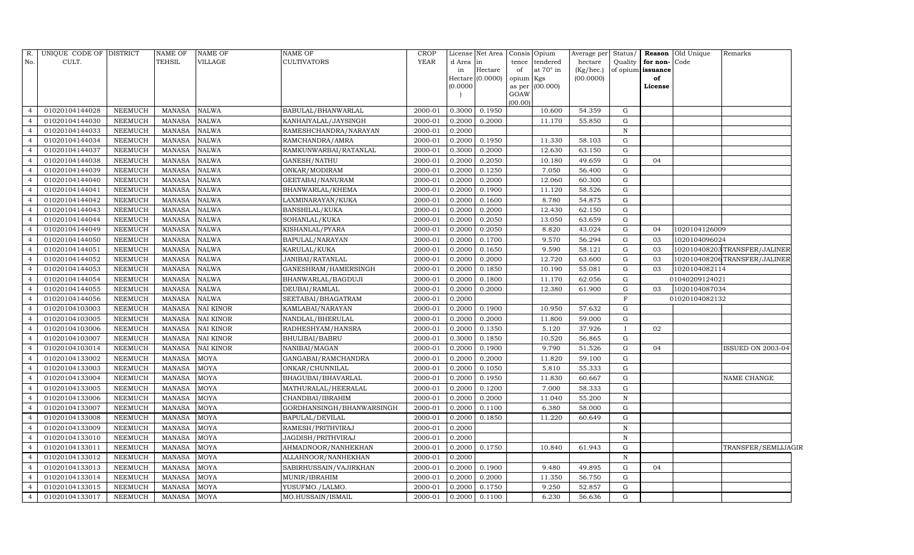| R.             | UNIQUE CODE OF DISTRICT |                | NAME OF       | <b>NAME OF</b>   | <b>NAME OF</b>            | <b>CROP</b> |           | License Net Area | Consis Opium |                  | Average per | Status/      |                   | <b>Reason</b> Old Unique | Remarks                      |  |
|----------------|-------------------------|----------------|---------------|------------------|---------------------------|-------------|-----------|------------------|--------------|------------------|-------------|--------------|-------------------|--------------------------|------------------------------|--|
| No.            | CULT.                   |                | TEHSIL        | VILLAGE          | <b>CULTIVATORS</b>        | YEAR        | d Area in |                  |              | tence tendered   | hectare     | Quality      | for non-          | Code                     |                              |  |
|                |                         |                |               |                  |                           |             | in        | Hectare          | of           | at $70^\circ$ in | (Kg/hec.)   |              | of opium issuance |                          |                              |  |
|                |                         |                |               |                  |                           |             |           | Hectare (0.0000) | opium Kgs    |                  | (00.0000)   |              | of                |                          |                              |  |
|                |                         |                |               |                  |                           |             | (0.0000)  |                  | GOAW         | as per (00.000)  |             |              | License           |                          |                              |  |
|                |                         |                |               |                  |                           |             |           |                  | (00.00)      |                  |             |              |                   |                          |                              |  |
| $\overline{4}$ | 01020104144028          | NEEMUCH        | MANASA        | <b>NALWA</b>     | BABULAL/BHANWARLAL        | 2000-01     | 0.3000    | 0.1950           |              | 10.600           | 54.359      | G            |                   |                          |                              |  |
| $\overline{4}$ | 01020104144030          | <b>NEEMUCH</b> | <b>MANASA</b> | <b>NALWA</b>     | KANHAIYALAL/JAYSINGH      | 2000-01     | 0.2000    | 0.2000           |              | 11.170           | 55.850      | G            |                   |                          |                              |  |
| $\overline{4}$ | 01020104144033          | <b>NEEMUCH</b> | <b>MANASA</b> | <b>NALWA</b>     | RAMESHCHANDRA/NARAYAN     | 2000-01     | 0.2000    |                  |              |                  |             | $\, {\rm N}$ |                   |                          |                              |  |
| $\overline{4}$ | 01020104144034          | NEEMUCH        | MANASA        | <b>NALWA</b>     | RAMCHANDRA/AMRA           | 2000-01     | 0.2000    | 0.1950           |              | 11.330           | 58.103      | G            |                   |                          |                              |  |
| $\overline{a}$ | 01020104144037          | <b>NEEMUCH</b> | <b>MANASA</b> | <b>NALWA</b>     | RAMKUNWARBAI/RATANLAL     | 2000-01     | 0.3000    | 0.2000           |              | 12.630           | 63.150      | G            |                   |                          |                              |  |
| $\overline{4}$ | 01020104144038          | <b>NEEMUCH</b> | <b>MANASA</b> | <b>NALWA</b>     | GANESH/NATHU              | 2000-01     | 0.2000    | 0.2050           |              | 10.180           | 49.659      | G            | 04                |                          |                              |  |
| $\overline{4}$ | 01020104144039          | NEEMUCH        | <b>MANASA</b> | <b>NALWA</b>     | ONKAR/MODIRAM             | 2000-01     | 0.2000    | 0.1250           |              | 7.050            | 56.400      | G            |                   |                          |                              |  |
| $\overline{4}$ | 01020104144040          | NEEMUCH        | <b>MANASA</b> | <b>NALWA</b>     | GEETABAI/NANURAM          | 2000-01     | 0.2000    | 0.2000           |              | 12.060           | 60.300      | G            |                   |                          |                              |  |
| $\overline{a}$ | 01020104144041          | NEEMUCH        | <b>MANASA</b> | <b>NALWA</b>     | BHANWARLAL/KHEMA          | 2000-01     | 0.2000    | 0.1900           |              | 11.120           | 58.526      | G            |                   |                          |                              |  |
|                | 01020104144042          | NEEMUCH        | <b>MANASA</b> | <b>NALWA</b>     | LAXMINARAYAN/KUKA         | 2000-01     | 0.2000    | 0.1600           |              | 8.780            | 54.875      | G            |                   |                          |                              |  |
| $\overline{4}$ | 01020104144043          | NEEMUCH        | <b>MANASA</b> | <b>NALWA</b>     | BANSHILAL/KUKA            | 2000-01     | 0.2000    | 0.2000           |              | 12.430           | 62.150      | G            |                   |                          |                              |  |
| $\overline{4}$ | 01020104144044          | NEEMUCH        | <b>MANASA</b> | <b>NALWA</b>     | SOHANLAL/KUKA             | 2000-01     | 0.2000    | 0.2050           |              | 13.050           | 63.659      | G            |                   |                          |                              |  |
| $\overline{4}$ | 01020104144049          | <b>NEEMUCH</b> | <b>MANASA</b> | <b>NALWA</b>     | KISHANLAL/PYARA           | 2000-01     | 0.2000    | 0.2050           |              | 8.820            | 43.024      | G            | 04                | 1020104126009            |                              |  |
| $\overline{4}$ | 01020104144050          | <b>NEEMUCH</b> | <b>MANASA</b> | <b>NALWA</b>     | BAPULAL/NARAYAN           | 2000-01     | 0.2000    | 0.1700           |              | 9.570            | 56.294      | G            | 03                | 1020104096024            |                              |  |
| $\overline{4}$ | 01020104144051          | NEEMUCH        | <b>MANASA</b> | <b>NALWA</b>     | KARULAL/KUKA              | 2000-01     | 0.2000    | 0.1650           |              | 9.590            | 58.121      | G            | 03                |                          | 102010408203TRANSFER/JALINER |  |
| $\overline{4}$ | 01020104144052          | <b>NEEMUCH</b> | MANASA        | <b>NALWA</b>     | JANIBAI/RATANLAL          | 2000-01     | 0.2000    | 0.2000           |              | 12.720           | 63.600      | G            | 03                |                          | 102010408206TRANSFER/JALINER |  |
| $\overline{4}$ | 01020104144053          | NEEMUCH        | <b>MANASA</b> | <b>NALWA</b>     | GANESHRAM/HAMERSINGH      | 2000-01     | 0.2000    | 0.1850           |              | 10.190           | 55.081      | G            | 03                | 1020104082114            |                              |  |
| $\overline{4}$ | 01020104144054          | <b>NEEMUCH</b> | <b>MANASA</b> | <b>NALWA</b>     | BHANWARLAL/BAGDUJI        | 2000-01     | 0.2000    | 0.1800           |              | 11.170           | 62.056      | G            |                   | 01040209124021           |                              |  |
| $\overline{4}$ | 01020104144055          | NEEMUCH        | <b>MANASA</b> | <b>NALWA</b>     | DEUBAI/RAMLAL             | 2000-01     | 0.2000    | 0.2000           |              | 12.380           | 61.900      | G            | 03                | 1020104087034            |                              |  |
| $\overline{a}$ | 01020104144056          | NEEMUCH        | <b>MANASA</b> | <b>NALWA</b>     | SEETABAI/BHAGATRAM        | 2000-01     | 0.2000    |                  |              |                  |             | F            |                   | 01020104082132           |                              |  |
|                | 01020104103003          | NEEMUCH        | <b>MANASA</b> | <b>NAI KINOR</b> | KAMLABAI/NARAYAN          | 2000-01     | 0.2000    | 0.1900           |              | 10.950           | 57.632      | G            |                   |                          |                              |  |
| $\overline{4}$ | 01020104103005          | <b>NEEMUCH</b> | <b>MANASA</b> | <b>NAI KINOR</b> | NANDLAL/BHERULAL          | 2000-01     | 0.2000    | 0.2000           |              | 11.800           | 59.000      | G            |                   |                          |                              |  |
| $\overline{4}$ | 01020104103006          | NEEMUCH        | MANASA        | <b>NAI KINOR</b> | RADHESHYAM/HANSRA         | 2000-01     | 0.2000    | 0.1350           |              | 5.120            | 37.926      | $\mathbf{I}$ | 02                |                          |                              |  |
| $\overline{4}$ | 01020104103007          | <b>NEEMUCH</b> | <b>MANASA</b> | <b>NAI KINOR</b> | BHULIBAI/BABRU            | 2000-01     | 0.3000    | 0.1850           |              | 10.520           | 56.865      | G            |                   |                          |                              |  |
| $\overline{4}$ | 01020104103014          | NEEMUCH        | <b>MANASA</b> | <b>NAI KINOR</b> | NANIBAI/MAGAN             | 2000-01     | 0.2000    | 0.1900           |              | 9.790            | 51.526      | G            | 04                |                          | ISSUED ON 2003-04            |  |
| $\overline{4}$ | 01020104133002          | <b>NEEMUCH</b> | <b>MANASA</b> | <b>MOYA</b>      | GANGABAI/RAMCHANDRA       | 2000-01     | 0.2000    | 0.2000           |              | 11.820           | 59.100      | G            |                   |                          |                              |  |
| $\overline{4}$ | 01020104133003          | NEEMUCH        | <b>MANASA</b> | <b>MOYA</b>      | ONKAR/CHUNNILAL           | 2000-01     | 0.2000    | 0.1050           |              | 5.810            | 55.333      | G            |                   |                          |                              |  |
| $\overline{a}$ | 01020104133004          | <b>NEEMUCH</b> | <b>MANASA</b> | <b>MOYA</b>      | BHAGUBAI/BHAVARLAL        | 2000-01     | 0.2000    | 0.1950           |              | 11.830           | 60.667      | G            |                   |                          | NAME CHANGE                  |  |
| $\overline{4}$ | 01020104133005          | <b>NEEMUCH</b> | <b>MANASA</b> | <b>MOYA</b>      | MATHURALAL/HEERALAL       | 2000-01     | 0.2000    | 0.1200           |              | 7.000            | 58.333      | G            |                   |                          |                              |  |
| $\overline{4}$ | 01020104133006          | NEEMUCH        | <b>MANASA</b> | <b>MOYA</b>      | CHANDBAI/IBRAHIM          | 2000-01     | 0.2000    | 0.2000           |              | 11.040           | 55.200      | $\mathbf N$  |                   |                          |                              |  |
| $\overline{4}$ | 01020104133007          | <b>NEEMUCH</b> | <b>MANASA</b> | <b>MOYA</b>      | GORDHANSINGH/BHANWARSINGH | 2000-01     | 0.2000    | 0.1100           |              | 6.380            | 58.000      | G            |                   |                          |                              |  |
| $\overline{4}$ | 01020104133008          | <b>NEEMUCH</b> | <b>MANASA</b> | <b>MOYA</b>      | BAPULAL/DEVILAL           | 2000-01     | 0.2000    | 0.1850           |              | 11.220           | 60.649      | G            |                   |                          |                              |  |
| $\overline{4}$ | 01020104133009          | <b>NEEMUCH</b> | <b>MANASA</b> | <b>MOYA</b>      | RAMESH/PRITHVIRAJ         | 2000-01     | 0.2000    |                  |              |                  |             | $\, {\rm N}$ |                   |                          |                              |  |
| $\overline{4}$ | 01020104133010          | NEEMUCH        | <b>MANASA</b> | <b>MOYA</b>      | JAGDISH/PRITHVIRAJ        | 2000-01     | 0.2000    |                  |              |                  |             | $\mathbf N$  |                   |                          |                              |  |
| $\overline{4}$ | 01020104133011          | <b>NEEMUCH</b> | <b>MANASA</b> | <b>MOYA</b>      | AHMADNOOR/NANHEKHAN       | 2000-01     | 0.2000    | 0.1750           |              | 10.840           | 61.943      | G            |                   |                          | TRANSFER/SEMLIJAGIR          |  |
| $\overline{4}$ | 01020104133012          | <b>NEEMUCH</b> | <b>MANASA</b> | <b>MOYA</b>      | ALLAHNOOR/NANHEKHAN       | 2000-01     | 0.2000    |                  |              |                  |             | N            |                   |                          |                              |  |
| $\overline{4}$ | 01020104133013          | <b>NEEMUCH</b> | <b>MANASA</b> | <b>MOYA</b>      | SABIRHUSSAIN/VAJIRKHAN    | 2000-01     | 0.2000    | 0.1900           |              | 9.480            | 49.895      | G            | 04                |                          |                              |  |
| $\overline{4}$ | 01020104133014          | NEEMUCH        | <b>MANASA</b> | <b>MOYA</b>      | MUNIR/IBRAHIM             | 2000-01     | 0.2000    | 0.2000           |              | 11.350           | 56.750      | G            |                   |                          |                              |  |
| $\overline{4}$ | 01020104133015          | <b>NEEMUCH</b> | <b>MANASA</b> | <b>MOYA</b>      | YUSUFMO./LALMO.           | 2000-01     | 0.2000    | 0.1750           |              | 9.250            | 52.857      | G            |                   |                          |                              |  |
| $\overline{4}$ | 01020104133017          | NEEMUCH        | MANASA        | <b>MOYA</b>      | MO.HUSSAIN/ISMAIL         | 2000-01     | 0.2000    | 0.1100           |              | 6.230            | 56.636      | G            |                   |                          |                              |  |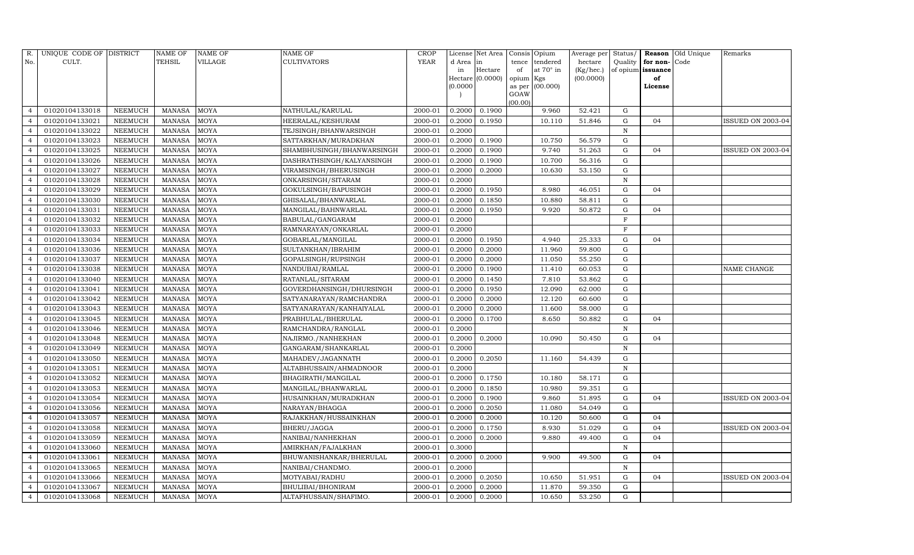| R.             | UNIQUE CODE OF DISTRICT |                | <b>NAME OF</b> | <b>NAME OF</b> | <b>NAME OF</b>            | <b>CROP</b> |          | License Net Area |           | Consis Opium    | Average per | Status/      |                          | Reason Old Unique | Remarks                  |
|----------------|-------------------------|----------------|----------------|----------------|---------------------------|-------------|----------|------------------|-----------|-----------------|-------------|--------------|--------------------------|-------------------|--------------------------|
| No.            | CULT.                   |                | TEHSIL         | VILLAGE        | CULTIVATORS               | <b>YEAR</b> | d Area   | in               | tence     | tendered        | hectare     | Quality      | for non-Code             |                   |                          |
|                |                         |                |                |                |                           |             | in       | Hectare          | of        | at 70° in       | (Kg/hec.)   |              | of opium <b>issuance</b> |                   |                          |
|                |                         |                |                |                |                           |             |          | Hectare (0.0000) | opium Kgs |                 | (00.0000)   |              | of                       |                   |                          |
|                |                         |                |                |                |                           |             | (0.0000) |                  | GOAW      | as per (00.000) |             |              | License                  |                   |                          |
|                |                         |                |                |                |                           |             |          |                  | (00.00)   |                 |             |              |                          |                   |                          |
| $\overline{4}$ | 01020104133018          | <b>NEEMUCH</b> | <b>MANASA</b>  | <b>MOYA</b>    | NATHULAL/KARULAL          | 2000-01     | 0.2000   | 0.1900           |           | 9.960           | 52.421      | G            |                          |                   |                          |
|                | 01020104133021          | <b>NEEMUCH</b> | <b>MANASA</b>  | <b>MOYA</b>    | HEERALAL/KESHURAM         | 2000-01     | 0.2000   | 0.1950           |           | 10.110          | 51.846      | ${\rm G}$    | 04                       |                   | ISSUED ON 2003-04        |
| $\overline{4}$ | 01020104133022          | <b>NEEMUCH</b> | <b>MANASA</b>  | <b>MOYA</b>    | TEJSINGH/BHANWARSINGH     | 2000-01     | 0.2000   |                  |           |                 |             | $\, {\rm N}$ |                          |                   |                          |
| $\overline{4}$ | 01020104133023          | <b>NEEMUCH</b> | <b>MANASA</b>  | <b>MOYA</b>    | SATTARKHAN/MURADKHAN      | 2000-01     | 0.2000   | 0.1900           |           | 10.750          | 56.579      | ${\rm G}$    |                          |                   |                          |
| $\overline{4}$ | 01020104133025          | <b>NEEMUCH</b> | <b>MANASA</b>  | <b>MOYA</b>    | SHAMBHUSINGH/BHANWARSINGH | 2000-01     | 0.2000   | 0.1900           |           | 9.740           | 51.263      | $\mathbf G$  | 04                       |                   | <b>ISSUED ON 2003-04</b> |
|                | 01020104133026          | <b>NEEMUCH</b> | <b>MANASA</b>  | <b>MOYA</b>    | DASHRATHSINGH/KALYANSINGH | 2000-01     | 0.2000   | 0.1900           |           | 10.700          | 56.316      | $\mathbf G$  |                          |                   |                          |
| $\overline{4}$ | 01020104133027          | <b>NEEMUCH</b> | <b>MANASA</b>  | <b>MOYA</b>    | VIRAMSINGH/BHERUSINGH     | 2000-01     | 0.2000   | 0.2000           |           | 10.630          | 53.150      | ${\rm G}$    |                          |                   |                          |
| $\overline{4}$ | 01020104133028          | <b>NEEMUCH</b> | <b>MANASA</b>  | <b>MOYA</b>    | ONKARSINGH/SITARAM        | 2000-01     | 0.2000   |                  |           |                 |             | ${\bf N}$    |                          |                   |                          |
| $\overline{4}$ | 01020104133029          | <b>NEEMUCH</b> | <b>MANASA</b>  | <b>MOYA</b>    | GOKULSINGH/BAPUSINGH      | 2000-01     | 0.2000   | 0.1950           |           | 8.980           | 46.051      | G            | 04                       |                   |                          |
|                | 01020104133030          | NEEMUCH        | <b>MANASA</b>  | <b>MOYA</b>    | GHISALAL/BHANWARLAL       | 2000-01     | 0.2000   | 0.1850           |           | 10.880          | 58.811      | ${\rm G}$    |                          |                   |                          |
| $\overline{4}$ | 01020104133031          | <b>NEEMUCH</b> | <b>MANASA</b>  | <b>MOYA</b>    | MANGILAL/BAHNWARLAL       | 2000-01     | 0.2000   | 0.1950           |           | 9.920           | 50.872      | ${\rm G}$    | 04                       |                   |                          |
| $\overline{4}$ | 01020104133032          | <b>NEEMUCH</b> | <b>MANASA</b>  | <b>MOYA</b>    | BABULAL/GANGARAM          | 2000-01     | 0.2000   |                  |           |                 |             | F            |                          |                   |                          |
| $\overline{4}$ | 01020104133033          | <b>NEEMUCH</b> | <b>MANASA</b>  | <b>MOYA</b>    | RAMNARAYAN/ONKARLAL       | 2000-01     | 0.2000   |                  |           |                 |             | F            |                          |                   |                          |
| $\overline{4}$ | 01020104133034          | <b>NEEMUCH</b> | <b>MANASA</b>  | <b>MOYA</b>    | GOBARLAL/MANGILAL         | 2000-01     | 0.2000   | 0.1950           |           | 4.940           | 25.333      | G            | 04                       |                   |                          |
| $\overline{4}$ | 01020104133036          | <b>NEEMUCH</b> | <b>MANASA</b>  | <b>MOYA</b>    | SULTANKHAN/IBRAHIM        | 2000-01     | 0.2000   | 0.2000           |           | 11.960          | 59.800      | $\mathbf G$  |                          |                   |                          |
| $\overline{4}$ | 01020104133037          | <b>NEEMUCH</b> | <b>MANASA</b>  | <b>MOYA</b>    | GOPALSINGH/RUPSINGH       | 2000-01     | 0.2000   | 0.2000           |           | 11.050          | 55.250      | ${\rm G}$    |                          |                   |                          |
|                | 01020104133038          | <b>NEEMUCH</b> | <b>MANASA</b>  | <b>MOYA</b>    | NANDUBAI/RAMLAL           | 2000-01     | 0.2000   | 0.1900           |           | 11.410          | 60.053      | ${\rm G}$    |                          |                   | NAME CHANGE              |
| $\overline{4}$ | 01020104133040          | <b>NEEMUCH</b> | <b>MANASA</b>  | <b>MOYA</b>    | RATANLAL/SITARAM          | 2000-01     | 0.2000   | 0.1450           |           | 7.810           | 53.862      | G            |                          |                   |                          |
| $\overline{4}$ | 01020104133041          | <b>NEEMUCH</b> | <b>MANASA</b>  | <b>MOYA</b>    | GOVERDHANSINGH/DHURSINGH  | 2000-01     | 0.2000   | 0.1950           |           | 12.090          | 62.000      | ${\rm G}$    |                          |                   |                          |
| $\overline{4}$ | 01020104133042          | <b>NEEMUCH</b> | <b>MANASA</b>  | MOYA           | SATYANARAYAN/RAMCHANDRA   | 2000-01     | 0.2000   | 0.2000           |           | 12.120          | 60.600      | $\mathbf G$  |                          |                   |                          |
|                | 01020104133043          | NEEMUCH        | <b>MANASA</b>  | <b>MOYA</b>    | SATYANARAYAN/KANHAIYALAL  | 2000-01     | 0.2000   | 0.2000           |           | 11.600          | 58.000      | ${\rm G}$    |                          |                   |                          |
| $\overline{4}$ | 01020104133045          | <b>NEEMUCH</b> | <b>MANASA</b>  | <b>MOYA</b>    | PRABHULAL/BHERULAL        | 2000-01     | 0.2000   | 0.1700           |           | 8.650           | 50.882      | G            | 04                       |                   |                          |
| $\overline{4}$ | 01020104133046          | <b>NEEMUCH</b> | <b>MANASA</b>  | <b>MOYA</b>    | RAMCHANDRA/RANGLAL        | 2000-01     | 0.2000   |                  |           |                 |             | $\mathbf N$  |                          |                   |                          |
| $\overline{4}$ | 01020104133048          | <b>NEEMUCH</b> | <b>MANASA</b>  | <b>MOYA</b>    | NAJIRMO./NANHEKHAN        | 2000-01     | 0.2000   | 0.2000           |           | 10.090          | 50.450      | $\mathbf G$  | 04                       |                   |                          |
|                | 01020104133049          | <b>NEEMUCH</b> | <b>MANASA</b>  | <b>MOYA</b>    | GANGARAM/SHANKARLAL       | 2000-01     | 0.2000   |                  |           |                 |             | $\, {\rm N}$ |                          |                   |                          |
| $\overline{4}$ | 01020104133050          | <b>NEEMUCH</b> | <b>MANASA</b>  | <b>MOYA</b>    | MAHADEV/JAGANNATH         | 2000-01     | 0.2000   | 0.2050           |           | 11.160          | 54.439      | G            |                          |                   |                          |
| $\overline{4}$ | 01020104133051          | <b>NEEMUCH</b> | <b>MANASA</b>  | <b>MOYA</b>    | ALTABHUSSAIN/AHMADNOOR    | 2000-01     | 0.2000   |                  |           |                 |             | $\mathbf N$  |                          |                   |                          |
| $\overline{4}$ | 01020104133052          | <b>NEEMUCH</b> | <b>MANASA</b>  | <b>MOYA</b>    | BHAGIRATH/MANGILAL        | 2000-01     | 0.2000   | 0.1750           |           | 10.180          | 58.171      | $\mathbf G$  |                          |                   |                          |
| $\overline{4}$ | 01020104133053          | <b>NEEMUCH</b> | <b>MANASA</b>  | <b>MOYA</b>    | MANGILAL/BHANWARLAL       | 2000-01     | 0.2000   | 0.1850           |           | 10.980          | 59.351      | G            |                          |                   |                          |
| $\overline{4}$ | 01020104133054          | <b>NEEMUCH</b> | <b>MANASA</b>  | <b>MOYA</b>    | HUSAINKHAN/MURADKHAN      | 2000-01     | 0.2000   | 0.1900           |           | 9.860           | 51.895      | ${\rm G}$    | 04                       |                   | <b>ISSUED ON 2003-04</b> |
| $\Delta$       | 01020104133056          | <b>NEEMUCH</b> | <b>MANASA</b>  | <b>MOYA</b>    | NARAYAN/BHAGGA            | 2000-01     | 0.2000   | 0.2050           |           | 11.080          | 54.049      | G            |                          |                   |                          |
|                | 01020104133057          | NEEMUCH        | <b>MANASA</b>  | <b>MOYA</b>    | RAJAKKHAN/HUSSAINKHAN     | 2000-01     | 0.2000   | 0.2000           |           | 10.120          | 50.600      | G            | 04                       |                   |                          |
| $\overline{4}$ | 01020104133058          | <b>NEEMUCH</b> | <b>MANASA</b>  | <b>MOYA</b>    | BHERU/JAGGA               | 2000-01     | 0.2000   | 0.1750           |           | 8.930           | 51.029      | ${\rm G}$    | 04                       |                   | ISSUED ON 2003-04        |
| $\overline{4}$ | 01020104133059          | <b>NEEMUCH</b> | <b>MANASA</b>  | MOYA           | NANIBAI/NANHEKHAN         | 2000-01     | 0.2000   | 0.2000           |           | 9.880           | 49.400      | ${\rm G}$    | 04                       |                   |                          |
| $\overline{4}$ | 01020104133060          | <b>NEEMUCH</b> | <b>MANASA</b>  | <b>MOYA</b>    | AMIRKHAN/FAJALKHAN        | 2000-01     | 0.3000   |                  |           |                 |             | $\mathbb N$  |                          |                   |                          |
|                | 01020104133061          | <b>NEEMUCH</b> | <b>MANASA</b>  | <b>MOYA</b>    | BHUWANISHANKAR/BHERULAL   | 2000-01     | 0.2000   | 0.2000           |           | 9.900           | 49.500      | ${\rm G}$    | 04                       |                   |                          |
| $\overline{4}$ | 01020104133065          | <b>NEEMUCH</b> | <b>MANASA</b>  | <b>MOYA</b>    | NANIBAI/CHANDMO.          | 2000-01     | 0.2000   |                  |           |                 |             | $\mathbb N$  |                          |                   |                          |
| $\overline{4}$ | 01020104133066          | <b>NEEMUCH</b> | <b>MANASA</b>  | <b>MOYA</b>    | MOTYABAI/RADHU            | 2000-01     | 0.2000   | 0.2050           |           | 10.650          | 51.951      | G            | 04                       |                   | <b>ISSUED ON 2003-04</b> |
| $\overline{4}$ | 01020104133067          | <b>NEEMUCH</b> | <b>MANASA</b>  | <b>MOYA</b>    | BHULIBAI/BHONIRAM         | 2000-01     | 0.2000   | 0.2000           |           | 11.870          | 59.350      | G            |                          |                   |                          |
| $\overline{4}$ | 01020104133068          | NEEMUCH        | MANASA         | <b>MOYA</b>    | ALTAFHUSSAIN/SHAFIMO.     | 2000-01     | 0.2000   | 0.2000           |           | 10.650          | 53.250      | G            |                          |                   |                          |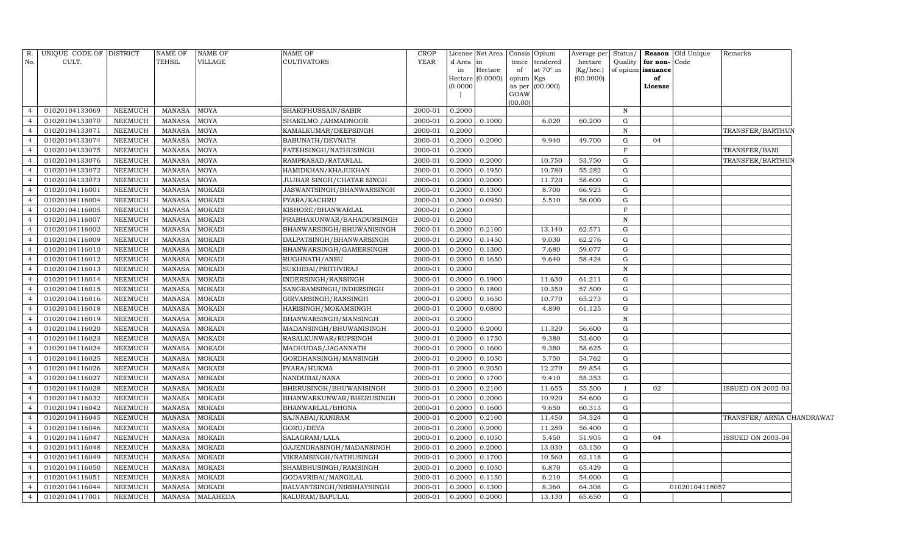|                | R. UNIQUE CODE OF DISTRICT |                 | NAME OF       | <b>NAME OF</b>  | NAME OF                   | CROP    |           | License Net Area |           | Consis Opium     | Average per | Status/      |                      | <b>Reason</b> Old Unique | Remarks                    |  |
|----------------|----------------------------|-----------------|---------------|-----------------|---------------------------|---------|-----------|------------------|-----------|------------------|-------------|--------------|----------------------|--------------------------|----------------------------|--|
| No.            | CULT.                      |                 | TEHSIL        | VILLAGE         | <b>CULTIVATORS</b>        | YEAR    | d Area in |                  |           | tence tendered   | hectare     |              | Quality for non-Code |                          |                            |  |
|                |                            |                 |               |                 |                           |         | in        | Hectare          | of        | at $70^\circ$ in | (Kg/hec.)   |              | of opium issuance    |                          |                            |  |
|                |                            |                 |               |                 |                           |         | (0.0000)  | Hectare (0.0000) | opium Kgs |                  | (00.0000)   |              | of                   |                          |                            |  |
|                |                            |                 |               |                 |                           |         |           |                  | GOAW      | as per (00.000)  |             |              | License              |                          |                            |  |
|                |                            |                 |               |                 |                           |         |           |                  | (00.00)   |                  |             |              |                      |                          |                            |  |
| $\Delta$       | 01020104133069             | NEEMUCH         | <b>MANASA</b> | MOYA            | SHARIFHUSSAIN/SABIR       | 2000-01 | 0.2000    |                  |           |                  |             | N            |                      |                          |                            |  |
|                | 01020104133070             | NEEMUCH         | <b>MANASA</b> | MOYA            | SHAKILMO./AHMADNOOR       | 2000-01 | 0.2000    | 0.1000           |           | 6.020            | 60.200      | $\mathbf G$  |                      |                          |                            |  |
| $\overline{4}$ | 01020104133071             | NEEMUCH         | <b>MANASA</b> | MOYA            | KAMALKUMAR/DEEPSINGH      | 2000-01 | 0.2000    |                  |           |                  |             | N            |                      |                          | TRANSFER/BARTHUN           |  |
| $\overline{4}$ | 01020104133074             | NEEMUCH         | <b>MANASA</b> | MOYA            | BABUNATH/DEVNATH          | 2000-01 | 0.2000    | 0.2000           |           | 9.940            | 49.700      | G            | 04                   |                          |                            |  |
| $\overline{4}$ | 01020104133075             | NEEMUCH         | <b>MANASA</b> | MOYA            | FATEHSINGH/NATHUSINGH     | 2000-01 | 0.2000    |                  |           |                  |             | $\mathbf{F}$ |                      |                          | TRANSFER/BANI              |  |
| $\overline{4}$ | 01020104133076             | NEEMUCH         | <b>MANASA</b> | MOYA            | RAMPRASAD/RATANLAL        | 2000-01 | 0.2000    | 0.2000           |           | 10.750           | 53.750      | ${\rm G}$    |                      |                          | TRANSFER/BARTHUN           |  |
| $\overline{4}$ | 01020104133072             | NEEMUCH         | MANASA        | MOYA            | HAMIDKHAN/KHAJUKHAN       | 2000-01 | 0.2000    | 0.1950           |           | 10.780           | 55.282      | G            |                      |                          |                            |  |
| $\overline{4}$ | 01020104133073             | NEEMUCH         | <b>MANASA</b> | MOYA            | JUJHAR SINGH/CHATAR SINGH | 2000-01 | 0.2000    | 0.2000           |           | 11.720           | 58.600      | $\mathbf G$  |                      |                          |                            |  |
| $\overline{4}$ | 01020104116001             | NEEMUCH         | <b>MANASA</b> | MOKADI          | JASWANTSINGH/BHANWARSINGH | 2000-01 | 0.2000    | 0.1300           |           | 8.700            | 66.923      | $\mathbf G$  |                      |                          |                            |  |
| $\overline{4}$ | 01020104116004             | NEEMUCH         | MANASA        | MOKADI          | PYARA/KACHRU              | 2000-01 | 0.3000    | 0.0950           |           | 5.510            | 58.000      | ${\rm G}$    |                      |                          |                            |  |
| $\overline{4}$ | 01020104116005             | NEEMUCH         | MANASA        | <b>MOKADI</b>   | KISHORE/BHANWARLAL        | 2000-01 | 0.2000    |                  |           |                  |             | $\mathbf{F}$ |                      |                          |                            |  |
| $\overline{4}$ | 01020104116007             | NEEMUCH         | MANASA        | MOKADI          | PRABHAKUNWAR/BAHADURSINGH | 2000-01 | 0.2000    |                  |           |                  |             | N            |                      |                          |                            |  |
| $\overline{4}$ | 01020104116002             | <b>NEEMUCH</b>  | <b>MANASA</b> | MOKADI          | BHANWARSINGH/BHUWANISINGH | 2000-01 | 0.2000    | 0.2100           |           | 13.140           | 62.571      | $\mathbf G$  |                      |                          |                            |  |
| $\overline{4}$ | 01020104116009             | NEEMUCH         | MANASA        | <b>MOKADI</b>   | DALPATSINGH/BHANWARSINGH  | 2000-01 | 0.2000    | 0.1450           |           | 9.030            | 62.276      | G            |                      |                          |                            |  |
| $\overline{4}$ | 01020104116010             | NEEMUCH         | MANASA        | MOKADI          | BHANWARSINGH/GAMERSINGH   | 2000-01 | 0.2000    | 0.1300           |           | 7.680            | 59.077      | G            |                      |                          |                            |  |
| $\overline{4}$ | 01020104116012             | NEEMUCH         | <b>MANASA</b> | MOKADI          | RUGHNATH/ANSU             | 2000-01 | 0.2000    | 0.1650           |           | 9.640            | 58.424      | G            |                      |                          |                            |  |
| $\overline{4}$ | 01020104116013             | <b>NEEMUCH</b>  | <b>MANASA</b> | MOKADI          | SUKHIBAI/PRITHVIRAJ       | 2000-01 | 0.2000    |                  |           |                  |             | N            |                      |                          |                            |  |
| $\overline{4}$ | 01020104116014             | NEEMUCH         | MANASA        | MOKADI          | INDERSINGH/RANSINGH       | 2000-01 |           | 0.3000 0.1900    |           | 11.630           | 61.211      | G            |                      |                          |                            |  |
| $\overline{4}$ | 01020104116015             | <b>NEEMUCH</b>  | <b>MANASA</b> | <b>MOKADI</b>   | SANGRAMSINGH/INDERSINGH   | 2000-01 | 0.2000    | 0.1800           |           | 10.350           | 57.500      | G            |                      |                          |                            |  |
| $\overline{4}$ | 01020104116016             | NEEMUCH         | <b>MANASA</b> | MOKADI          | GIRVARSINGH/RANSINGH      | 2000-01 | 0.2000    | 0.1650           |           | 10.770           | 65.273      | G            |                      |                          |                            |  |
| $\overline{4}$ | 01020104116018             | ${\tt NEEMUCH}$ | <b>MANASA</b> | MOKADI          | HARISINGH/MOKAMSINGH      | 2000-01 | 0.2000    | 0.0800           |           | 4.890            | 61.125      | ${\rm G}$    |                      |                          |                            |  |
| $\overline{a}$ | 01020104116019             | NEEMUCH         | <b>MANASA</b> | <b>MOKADI</b>   | BHANWARSINGH/MANSINGH     | 2000-01 | 0.2000    |                  |           |                  |             | $\, {\rm N}$ |                      |                          |                            |  |
| $\overline{4}$ | 01020104116020             | NEEMUCH         | MANASA        | MOKADI          | MADANSINGH/BHUWANISINGH   | 2000-01 | 0.2000    | 0.2000           |           | 11.320           | 56.600      | $\mathbf G$  |                      |                          |                            |  |
| $\overline{4}$ | 01020104116023             | NEEMUCH         | <b>MANASA</b> | MOKADI          | RASALKUNWAR/RUPSINGH      | 2000-01 | 0.2000    | 0.1750           |           | 9.380            | 53.600      | ${\rm G}$    |                      |                          |                            |  |
|                | 01020104116024             | NEEMUCH         | <b>MANASA</b> | MOKADI          | MADHUDAS/JAGANNATH        | 2000-01 | 0.2000    | 0.1600           |           | 9.380            | 58.625      | $\mathbf G$  |                      |                          |                            |  |
| $\overline{4}$ | 01020104116025             | NEEMUCH         | <b>MANASA</b> | MOKADI          | GORDHANSINGH/MANSINGH     | 2000-01 | 0.2000    | 0.1050           |           | 5.750            | 54.762      | G            |                      |                          |                            |  |
| $\overline{a}$ | 01020104116026             | ${\tt NEEMUCH}$ | <b>MANASA</b> | <b>MOKADI</b>   | PYARA/HUKMA               | 2000-01 | 0.2000    | 0.2050           |           | 12.270           | 59.854      | $\mathbf G$  |                      |                          |                            |  |
| $\overline{4}$ | 01020104116027             | NEEMUCH         | <b>MANASA</b> | MOKADI          | NANDUBAI/NANA             | 2000-01 | 0.2000    | 0.1700           |           | 9.410            | 55.353      | G            |                      |                          |                            |  |
| $\overline{4}$ | 01020104116028             | NEEMUCH         | <b>MANASA</b> | MOKADI          | BHERUSINGH/BHUWANISINGH   | 2000-01 | 0.2000    | 0.2100           |           | 11.655           | 55.500      |              | 02                   |                          | ISSUED ON 2002-03          |  |
| $\overline{4}$ | 01020104116032             | NEEMUCH         | MANASA        | <b>MOKADI</b>   | BHANWARKUNWAR/BHERUSINGH  | 2000-01 | 0.2000    | 0.2000           |           | 10.920           | 54.600      | G            |                      |                          |                            |  |
| $\overline{4}$ | 01020104116042             | NEEMUCH         | <b>MANASA</b> | MOKADI          | BHANWARLAL/BHONA          | 2000-01 | 0.2000    | 0.1600           |           | 9.650            | 60.313      | G            |                      |                          |                            |  |
| $\overline{4}$ | 01020104116045             | NEEMUCH         | <b>MANASA</b> | <b>MOKADI</b>   | SAJNABAI/KANIRAM          | 2000-01 | 0.2000    | 0.2100           |           | 11.450           | 54.524      | $\mathbf G$  |                      |                          | TRANSFER/ ARNIA CHANDRAWAT |  |
| $\overline{4}$ | 01020104116046             | NEEMUCH         | <b>MANASA</b> | MOKADI          | GORU/DEVA                 | 2000-01 | 0.2000    | 0.2000           |           | 11.280           | 56.400      | ${\rm G}$    |                      |                          |                            |  |
| $\overline{4}$ | 01020104116047             | NEEMUCH         | MANASA        | <b>MOKADI</b>   | SALAGRAM/LALA             | 2000-01 | 0.2000    | 0.1050           |           | 5.450            | 51.905      | G            | 04                   |                          | ISSUED ON 2003-04          |  |
| $\overline{4}$ | 01020104116048             | NEEMUCH         | <b>MANASA</b> | MOKADI          | GAJENDRASINGH/MADANSINGH  | 2000-01 | 0.2000    | 0.2000           |           | 13.030           | 65.150      | $\mathbf G$  |                      |                          |                            |  |
| $\overline{4}$ | 01020104116049             | <b>NEEMUCH</b>  | <b>MANASA</b> | MOKADI          | VIKRAMSINGH/NATHUSINGH    | 2000-01 | 0.2000    | 0.1700           |           | 10.560           | 62.118      | $\mathbf G$  |                      |                          |                            |  |
| $\overline{4}$ | 01020104116050             | NEEMUCH         | MANASA        | MOKADI          | SHAMBHUSINGH/RAMSINGH     | 2000-01 | 0.2000    | 0.1050           |           | 6.870            | 65.429      | G            |                      |                          |                            |  |
| $\overline{4}$ | 01020104116051             | NEEMUCH         | MANASA        | <b>MOKADI</b>   | GODAVRIBAI/MANGILAL       | 2000-01 | 0.2000    | 0.1150           |           | 6.210            | 54.000      | G            |                      |                          |                            |  |
| $\overline{4}$ | 01020104116044             | NEEMUCH         | MANASA        | MOKADI          | BALVANTSINGH/NIRBHAYSINGH | 2000-01 | 0.2000    | 0.1300           |           | 8.360            | 64.308      | G            |                      | 01020104118057           |                            |  |
| $\overline{4}$ | 01020104117001             | <b>NEEMUCH</b>  | MANASA        | <b>MALAHEDA</b> | KALURAM/BAPULAL           | 2000-01 | 0.2000    | 0.2000           |           | 13.130           | 65.650      | G            |                      |                          |                            |  |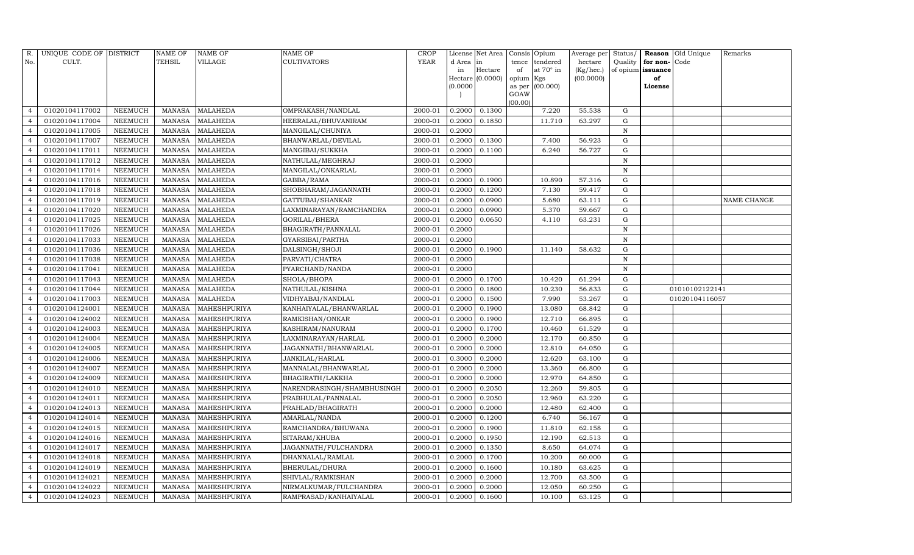| R.                       | UNIQUE CODE OF DISTRICT |                | <b>NAME OF</b> | <b>NAME OF</b>      | <b>NAME OF</b>             | CROP    |           | License Net Area |           | Consis Opium     | Average per | Status/      |                   | Reason Old Unique | Remarks     |
|--------------------------|-------------------------|----------------|----------------|---------------------|----------------------------|---------|-----------|------------------|-----------|------------------|-------------|--------------|-------------------|-------------------|-------------|
| No.                      | CULT.                   |                | <b>TEHSIL</b>  | VILLAGE             | <b>CULTIVATORS</b>         | YEAR    | d Area in |                  | tence     | tendered         | hectare     | Quality      | for non-          | Code              |             |
|                          |                         |                |                |                     |                            |         | in        | Hectare          | of        | at $70^\circ$ in | (Kg/hec.)   |              | of opium issuance |                   |             |
|                          |                         |                |                |                     |                            |         | (0.0000)  | Hectare (0.0000) | opium Kgs | as per (00.000)  | (00.0000)   |              | of<br>License     |                   |             |
|                          |                         |                |                |                     |                            |         |           |                  | GOAW      |                  |             |              |                   |                   |             |
|                          |                         |                |                |                     |                            |         |           |                  | (00.00)   |                  |             |              |                   |                   |             |
| $\overline{4}$           | 01020104117002          | NEEMUCH        | MANASA         | <b>MALAHEDA</b>     | OMPRAKASH/NANDLAL          | 2000-01 | 0.2000    | 0.1300           |           | 7.220            | 55.538      | G            |                   |                   |             |
| $\overline{4}$           | 01020104117004          | <b>NEEMUCH</b> | <b>MANASA</b>  | <b>MALAHEDA</b>     | HEERALAL/BHUVANIRAM        | 2000-01 | 0.2000    | 0.1850           |           | 11.710           | 63.297      | G            |                   |                   |             |
| $\overline{4}$           | 01020104117005          | <b>NEEMUCH</b> | MANASA         | <b>MALAHEDA</b>     | MANGILAL/CHUNIYA           | 2000-01 | 0.2000    |                  |           |                  |             | N            |                   |                   |             |
| $\overline{4}$           | 01020104117007          | NEEMUCH        | MANASA         | <b>MALAHEDA</b>     | BHANWARLAL/DEVILAL         | 2000-01 | 0.2000    | 0.1300           |           | 7.400            | 56.923      | $\mathbf G$  |                   |                   |             |
| $\overline{4}$           | 01020104117011          | NEEMUCH        | MANASA         | <b>MALAHEDA</b>     | MANGIBAI/SUKKHA            | 2000-01 | 0.2000    | 0.1100           |           | 6.240            | 56.727      | ${\rm G}$    |                   |                   |             |
|                          | 01020104117012          | <b>NEEMUCH</b> | <b>MANASA</b>  | <b>MALAHEDA</b>     | NATHULAL/MEGHRAJ           | 2000-01 | 0.2000    |                  |           |                  |             | $\mathbf N$  |                   |                   |             |
| $\overline{4}$           | 01020104117014          | NEEMUCH        | <b>MANASA</b>  | <b>MALAHEDA</b>     | MANGILAL/ONKARLAL          | 2000-01 | 0.2000    |                  |           |                  |             | N            |                   |                   |             |
| $\overline{4}$           | 01020104117016          | <b>NEEMUCH</b> | MANASA         | <b>MALAHEDA</b>     | GABBA/RAMA                 | 2000-01 | 0.2000    | 0.1900           |           | 10.890           | 57.316      | $\mathbf G$  |                   |                   |             |
| $\overline{4}$           | 01020104117018          | <b>NEEMUCH</b> | <b>MANASA</b>  | <b>MALAHEDA</b>     | SHOBHARAM/JAGANNATH        | 2000-01 | 0.2000    | 0.1200           |           | 7.130            | 59.417      | $\mathbf G$  |                   |                   |             |
|                          | 01020104117019          | NEEMUCH        | MANASA         | <b>MALAHEDA</b>     | GATTUBAI/SHANKAR           | 2000-01 | 0.2000    | 0.0900           |           | 5.680            | 63.111      | ${\rm G}$    |                   |                   | NAME CHANGE |
| $\overline{4}$           | 01020104117020          | NEEMUCH        | <b>MANASA</b>  | <b>MALAHEDA</b>     | LAXMINARAYAN/RAMCHANDRA    | 2000-01 | 0.2000    | 0.0900           |           | 5.370            | 59.667      | ${\rm G}$    |                   |                   |             |
| $\overline{4}$           | 01020104117025          | <b>NEEMUCH</b> | MANASA         | <b>MALAHEDA</b>     | GORILAL/BHERA              | 2000-01 | 0.2000    | 0.0650           |           | 4.110            | 63.231      | $\mathbf G$  |                   |                   |             |
| $\overline{4}$           | 01020104117026          | NEEMUCH        | <b>MANASA</b>  | <b>MALAHEDA</b>     | BHAGIRATH/PANNALAL         | 2000-01 | 0.2000    |                  |           |                  |             | N            |                   |                   |             |
| $\overline{4}$           | 01020104117033          | <b>NEEMUCH</b> | <b>MANASA</b>  | <b>MALAHEDA</b>     | GYARSIBAI/PARTHA           | 2000-01 | 0.2000    |                  |           |                  |             | N            |                   |                   |             |
| $\overline{4}$           | 01020104117036          | <b>NEEMUCH</b> | MANASA         | <b>MALAHEDA</b>     | DALSINGH/SHOJI             | 2000-01 | 0.2000    | 0.1900           |           | 11.140           | 58.632      | ${\rm G}$    |                   |                   |             |
| $\overline{4}$           | 01020104117038          | <b>NEEMUCH</b> | MANASA         | <b>MALAHEDA</b>     | PARVATI/CHATRA             | 2000-01 | 0.2000    |                  |           |                  |             | $\, {\rm N}$ |                   |                   |             |
|                          | 01020104117041          | NEEMUCH        | <b>MANASA</b>  | <b>MALAHEDA</b>     | PYARCHAND/NANDA            | 2000-01 | 0.2000    |                  |           |                  |             | N            |                   |                   |             |
| $\overline{4}$           | 01020104117043          | <b>NEEMUCH</b> | <b>MANASA</b>  | <b>MALAHEDA</b>     | SHOLA/BHOPA                | 2000-01 | 0.2000    | 0.1700           |           | 10.420           | 61.294      | G            |                   |                   |             |
| $\overline{4}$           | 01020104117044          | <b>NEEMUCH</b> | MANASA         | <b>MALAHEDA</b>     | NATHULAL/KISHNA            | 2000-01 | 0.2000    | 0.1800           |           | 10.230           | 56.833      | G            |                   | 01010102122141    |             |
| $\Delta$                 | 01020104117003          | <b>NEEMUCH</b> | MANASA         | <b>MALAHEDA</b>     | VIDHYABAI/NANDLAL          | 2000-01 | 0.2000    | 0.1500           |           | 7.990            | 53.267      | $\mathbf G$  |                   | 01020104116057    |             |
| $\overline{4}$           | 01020104124001          | NEEMUCH        | MANASA         | MAHESHPURIYA        | KANHAIYALAL/BHANWARLAL     | 2000-01 | 0.2000    | 0.1900           |           | 13.080           | 68.842      | ${\rm G}$    |                   |                   |             |
| $\overline{4}$           | 01020104124002          | NEEMUCH        | <b>MANASA</b>  | MAHESHPURIYA        | RAMKISHAN/ONKAR            | 2000-01 | 0.2000    | 0.1900           |           | 12.710           | 66.895      | G            |                   |                   |             |
| $\overline{4}$           | 01020104124003          | NEEMUCH        | MANASA         | MAHESHPURIYA        | KASHIRAM/NANURAM           | 2000-01 | 0.2000    | 0.1700           |           | 10.460           | 61.529      | $\mathbf G$  |                   |                   |             |
| $\overline{4}$           | 01020104124004          | NEEMUCH        | MANASA         | MAHESHPURIYA        | LAXMINARAYAN/HARLAL        | 2000-01 | 0.2000    | 0.2000           |           | 12.170           | 60.850      | G            |                   |                   |             |
| $\overline{4}$           | 01020104124005          | <b>NEEMUCH</b> | MANASA         | MAHESHPURIYA        | JAGANNATH/BHANWARLAL       | 2000-01 | 0.2000    | 0.2000           |           | 12.810           | 64.050      | G            |                   |                   |             |
| $\overline{4}$           | 01020104124006          | NEEMUCH        | MANASA         | MAHESHPURIYA        | JANKILAL/HARLAL            | 2000-01 | 0.3000    | 0.2000           |           | 12.620           | 63.100      | G            |                   |                   |             |
| $\overline{4}$           | 01020104124007          | NEEMUCH        | MANASA         | MAHESHPURIYA        | MANNALAL/BHANWARLAL        | 2000-01 | 0.2000    | 0.2000           |           | 13.360           | 66.800      | G            |                   |                   |             |
| $\overline{\mathcal{L}}$ | 01020104124009          | <b>NEEMUCH</b> | <b>MANASA</b>  | MAHESHPURIYA        | BHAGIRATH/LAKKHA           | 2000-01 | 0.2000    | 0.2000           |           | 12.970           | 64.850      | ${\rm G}$    |                   |                   |             |
| $\overline{4}$           | 01020104124010          | <b>NEEMUCH</b> | <b>MANASA</b>  | MAHESHPURIYA        | NARENDRASINGH/SHAMBHUSINGH | 2000-01 | 0.2000    | 0.2050           |           | 12.260           | 59.805      | G            |                   |                   |             |
| $\overline{4}$           | 01020104124011          | <b>NEEMUCH</b> | MANASA         | MAHESHPURIYA        | PRABHULAL/PANNALAL         | 2000-01 | 0.2000    | 0.2050           |           | 12.960           | 63.220      | ${\rm G}$    |                   |                   |             |
| $\Delta$                 | 01020104124013          | NEEMUCH        | MANASA         | MAHESHPURIYA        | PRAHLAD/BHAGIRATH          | 2000-01 | 0.2000    | 0.2000           |           | 12.480           | 62.400      | ${\rm G}$    |                   |                   |             |
|                          | 01020104124014          | <b>NEEMUCH</b> | MANASA         | MAHESHPURIYA        | AMARLAL/NANDA              | 2000-01 | 0.2000    | 0.1200           |           | 6.740            | 56.167      | G            |                   |                   |             |
| $\overline{4}$           | 01020104124015          | <b>NEEMUCH</b> | <b>MANASA</b>  | MAHESHPURIYA        | RAMCHANDRA/BHUWANA         | 2000-01 | 0.2000    | 0.1900           |           | 11.810           | 62.158      | G            |                   |                   |             |
| $\overline{4}$           | 01020104124016          | NEEMUCH        | MANASA         | MAHESHPURIYA        | SITARAM/KHUBA              | 2000-01 | 0.2000    | 0.1950           |           | 12.190           | 62.513      | G            |                   |                   |             |
| $\overline{4}$           | 01020104124017          | <b>NEEMUCH</b> | MANASA         | MAHESHPURIYA        | JAGANNATH/FULCHANDRA       | 2000-01 | 0.2000    | 0.1350           |           | 8.650            | 64.074      | G            |                   |                   |             |
|                          | 01020104124018          | <b>NEEMUCH</b> | <b>MANASA</b>  | MAHESHPURIYA        | DHANNALAL/RAMLAL           | 2000-01 | 0.2000    | 0.1700           |           | 10.200           | 60.000      | G            |                   |                   |             |
| $\overline{4}$           | 01020104124019          | NEEMUCH        | MANASA         | MAHESHPURIYA        | BHERULAL/DHURA             | 2000-01 | 0.2000    | 0.1600           |           | 10.180           | 63.625      | G            |                   |                   |             |
| $\overline{4}$           | 01020104124021          | NEEMUCH        | MANASA         | MAHESHPURIYA        | SHIVLAL/RAMKISHAN          | 2000-01 | 0.2000    | 0.2000           |           | 12.700           | 63.500      | G            |                   |                   |             |
| $\overline{4}$           | 01020104124022          | <b>NEEMUCH</b> | MANASA         | MAHESHPURIYA        | NIRMALKUMAR/FULCHANDRA     | 2000-01 | 0.2000    | 0.2000           |           | 12.050           | 60.250      | $\mathbf G$  |                   |                   |             |
| $\overline{4}$           | 01020104124023          | NEEMUCH        |                | MANASA MAHESHPURIYA | RAMPRASAD/KANHAIYALAL      | 2000-01 | 0.2000    | 0.1600           |           | 10.100           | 63.125      | G            |                   |                   |             |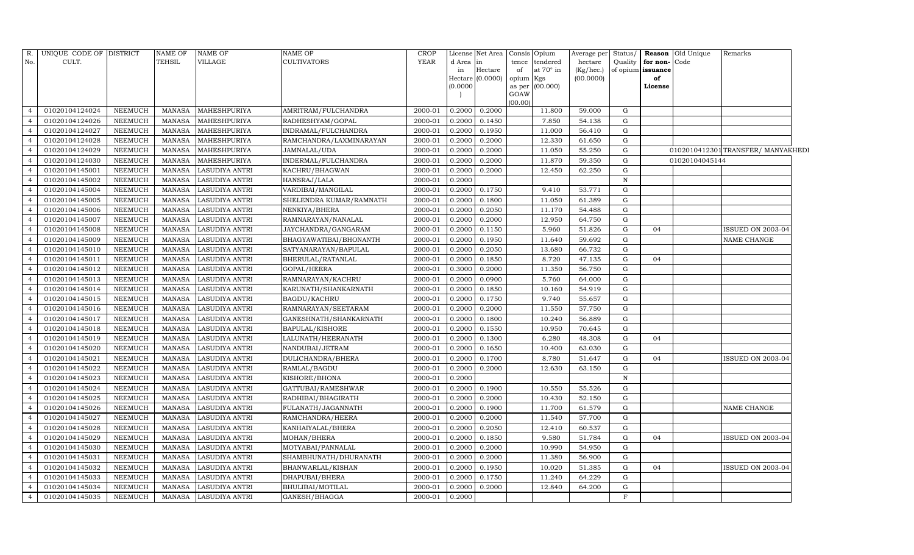| R.             | UNIQUE CODE OF DISTRICT |                | <b>NAME OF</b> | <b>NAME OF</b>        | <b>NAME OF</b>          | CROP        |          | License Net Area |           | Consis Opium    | Average per |              |                         | Status/ <b>Reason</b> Old Unique | Remarks                           |
|----------------|-------------------------|----------------|----------------|-----------------------|-------------------------|-------------|----------|------------------|-----------|-----------------|-------------|--------------|-------------------------|----------------------------------|-----------------------------------|
| No.            | CULT.                   |                | <b>TEHSIL</b>  | VILLAGE               | <b>CULTIVATORS</b>      | <b>YEAR</b> | d Area   | in               |           | tence tendered  | hectare     |              | Quality   for non- Code |                                  |                                   |
|                |                         |                |                |                       |                         |             | in       | Hectare          | of        | at 70° in       | (Kg/hec.)   |              | of opium issuance       |                                  |                                   |
|                |                         |                |                |                       |                         |             |          | Hectare (0.0000) | opium Kgs |                 | (00.0000)   |              | of                      |                                  |                                   |
|                |                         |                |                |                       |                         |             | (0.0000) |                  | GOAW      | as per (00.000) |             |              | License                 |                                  |                                   |
|                |                         |                |                |                       |                         |             |          |                  | (00.00)   |                 |             |              |                         |                                  |                                   |
| $\overline{4}$ | 01020104124024          | <b>NEEMUCH</b> | MANASA         | MAHESHPURIYA          | AMRITRAM/FULCHANDRA     | 2000-01     | 0.2000   | 0.2000           |           | 11.800          | 59.000      | G            |                         |                                  |                                   |
| $\overline{4}$ | 01020104124026          | <b>NEEMUCH</b> | <b>MANASA</b>  | MAHESHPURIYA          | RADHESHYAM/GOPAL        | 2000-01     | 0.2000   | 0.1450           |           | 7.850           | 54.138      | G            |                         |                                  |                                   |
| $\overline{4}$ | 01020104124027          | NEEMUCH        | <b>MANASA</b>  | MAHESHPURIYA          | INDRAMAL/FULCHANDRA     | 2000-01     | 0.2000   | 0.1950           |           | 11.000          | 56.410      | G            |                         |                                  |                                   |
| $\overline{4}$ | 01020104124028          | <b>NEEMUCH</b> | <b>MANASA</b>  | MAHESHPURIYA          | RAMCHANDRA/LAXMINARAYAN | 2000-01     | 0.2000   | 0.2000           |           | 12.330          | 61.650      | G            |                         |                                  |                                   |
| $\overline{4}$ | 01020104124029          | <b>NEEMUCH</b> | <b>MANASA</b>  | MAHESHPURIYA          | JAMNALAL/UDA            | 2000-01     | 0.2000   | 0.2000           |           | 11.050          | 55.250      | G            |                         |                                  | 0102010412301 TRANSFER/MANYAKHEDI |
|                | 01020104124030          | NEEMUCH        | <b>MANASA</b>  | MAHESHPURIYA          | INDERMAL/FULCHANDRA     | 2000-01     | 0.2000   | 0.2000           |           | 11.870          | 59.350      | $\mathbf G$  |                         | 01020104045144                   |                                   |
| $\overline{4}$ | 01020104145001          | <b>NEEMUCH</b> | <b>MANASA</b>  | LASUDIYA ANTRI        | KACHRU/BHAGWAN          | 2000-01     | 0.2000   | 0.2000           |           | 12.450          | 62.250      | G            |                         |                                  |                                   |
| $\overline{4}$ | 01020104145002          | <b>NEEMUCH</b> | <b>MANASA</b>  | LASUDIYA ANTRI        | HANSRAJ/LALA            | 2000-01     | 0.2000   |                  |           |                 |             | $\, {\rm N}$ |                         |                                  |                                   |
| $\overline{4}$ | 01020104145004          | <b>NEEMUCH</b> | <b>MANASA</b>  | <b>LASUDIYA ANTRI</b> | VARDIBAI/MANGILAL       | 2000-01     | 0.2000   | 0.1750           |           | 9.410           | 53.771      | G            |                         |                                  |                                   |
| $\overline{4}$ | 01020104145005          | NEEMUCH        | <b>MANASA</b>  | <b>LASUDIYA ANTRI</b> | SHELENDRA KUMAR/RAMNATH | 2000-01     | 0.2000   | 0.1800           |           | 11.050          | 61.389      | G            |                         |                                  |                                   |
| 4              | 01020104145006          | <b>NEEMUCH</b> | <b>MANASA</b>  | LASUDIYA ANTRI        | NENKIYA/BHERA           | 2000-01     | 0.2000   | 0.2050           |           | 11.170          | 54.488      | G            |                         |                                  |                                   |
| $\overline{4}$ | 01020104145007          | <b>NEEMUCH</b> | MANASA         | <b>LASUDIYA ANTRI</b> | RAMNARAYAN/NANALAL      | 2000-01     | 0.2000   | 0.2000           |           | 12.950          | 64.750      | G            |                         |                                  |                                   |
| $\overline{4}$ | 01020104145008          | <b>NEEMUCH</b> | <b>MANASA</b>  | <b>LASUDIYA ANTRI</b> | JAYCHANDRA/GANGARAM     | 2000-01     | 0.2000   | 0.1150           |           | 5.960           | 51.826      | G            | 04                      |                                  | ISSUED ON 2003-04                 |
|                | 01020104145009          | <b>NEEMUCH</b> | <b>MANASA</b>  | <b>LASUDIYA ANTRI</b> | BHAGYAWATIBAI/BHONANTH  | 2000-01     | 0.2000   | 0.1950           |           | 11.640          | 59.692      | $\mathbf G$  |                         |                                  | NAME CHANGE                       |
| $\overline{4}$ | 01020104145010          | <b>NEEMUCH</b> | <b>MANASA</b>  | <b>LASUDIYA ANTRI</b> | SATYANARAYAN/BAPULAL    | 2000-01     | 0.2000   | 0.2050           |           | 13.680          | 66.732      | G            |                         |                                  |                                   |
| $\overline{4}$ | 01020104145011          | <b>NEEMUCH</b> | <b>MANASA</b>  | <b>LASUDIYA ANTRI</b> | BHERULAL/RATANLAL       | 2000-01     | 0.2000   | 0.1850           |           | 8.720           | 47.135      | G            | 04                      |                                  |                                   |
| $\overline{4}$ | 01020104145012          | <b>NEEMUCH</b> | <b>MANASA</b>  | <b>LASUDIYA ANTRI</b> | GOPAL/HEERA             | 2000-01     | 0.3000   | 0.2000           |           | 11.350          | 56.750      | G            |                         |                                  |                                   |
| $\overline{4}$ | 01020104145013          | <b>NEEMUCH</b> | <b>MANASA</b>  | <b>LASUDIYA ANTRI</b> | RAMNARAYAN/KACHRU       | 2000-01     | 0.2000   | 0.0900           |           | 5.760           | 64.000      | G            |                         |                                  |                                   |
| $\overline{4}$ | 01020104145014          | <b>NEEMUCH</b> | <b>MANASA</b>  | <b>LASUDIYA ANTRI</b> | KARUNATH/SHANKARNATH    | 2000-01     | 0.2000   | 0.1850           |           | 10.160          | 54.919      | G            |                         |                                  |                                   |
| $\overline{4}$ | 01020104145015          | <b>NEEMUCH</b> | <b>MANASA</b>  | LASUDIYA ANTRI        | <b>BAGDU/KACHRU</b>     | 2000-01     | 0.2000   | 0.1750           |           | 9.740           | 55.657      | G            |                         |                                  |                                   |
| $\overline{4}$ | 01020104145016          | <b>NEEMUCH</b> | <b>MANASA</b>  | <b>LASUDIYA ANTRI</b> | RAMNARAYAN/SEETARAM     | 2000-01     | 0.2000   | 0.2000           |           | 11.550          | 57.750      | G            |                         |                                  |                                   |
| $\overline{4}$ | 01020104145017          | <b>NEEMUCH</b> | <b>MANASA</b>  | LASUDIYA ANTRI        | GANESHNATH/SHANKARNATH  | 2000-01     | 0.2000   | 0.1800           |           | 10.240          | 56.889      | G            |                         |                                  |                                   |
| $\overline{4}$ | 01020104145018          | NEEMUCH        | <b>MANASA</b>  | LASUDIYA ANTRI        | <b>BAPULAL/KISHORE</b>  | 2000-01     | 0.2000   | 0.1550           |           | 10.950          | 70.645      | G            |                         |                                  |                                   |
| $\overline{4}$ | 01020104145019          | <b>NEEMUCH</b> | <b>MANASA</b>  | <b>LASUDIYA ANTRI</b> | LALUNATH/HEERANATH      | 2000-01     | 0.2000   | 0.1300           |           | 6.280           | 48.308      | G            | 04                      |                                  |                                   |
| $\overline{4}$ | 01020104145020          | <b>NEEMUCH</b> | <b>MANASA</b>  | <b>LASUDIYA ANTRI</b> | NANDUBAI/JETRAM         | 2000-01     | 0.2000   | 0.1650           |           | 10.400          | 63.030      | G            |                         |                                  |                                   |
| $\overline{4}$ | 01020104145021          | <b>NEEMUCH</b> | <b>MANASA</b>  | LASUDIYA ANTRI        | DULICHANDRA/BHERA       | 2000-01     | 0.2000   | 0.1700           |           | 8.780           | 51.647      | G            | 04                      |                                  | ISSUED ON 2003-04                 |
| $\overline{4}$ | 01020104145022          | <b>NEEMUCH</b> | <b>MANASA</b>  | LASUDIYA ANTRI        | RAMLAL/BAGDU            | 2000-01     | 0.2000   | 0.2000           |           | 12.630          | 63.150      | G            |                         |                                  |                                   |
| $\overline{4}$ | 01020104145023          | <b>NEEMUCH</b> | <b>MANASA</b>  | LASUDIYA ANTRI        | KISHORE/BHONA           | 2000-01     | 0.2000   |                  |           |                 |             | $\, {\rm N}$ |                         |                                  |                                   |
| $\overline{4}$ | 01020104145024          | NEEMUCH        | <b>MANASA</b>  | <b>LASUDIYA ANTRI</b> | GATTUBAI/RAMESHWAR      | 2000-01     | 0.2000   | 0.1900           |           | 10.550          | 55.526      | $\mathbf G$  |                         |                                  |                                   |
| $\overline{4}$ | 01020104145025          | NEEMUCH        | <b>MANASA</b>  | LASUDIYA ANTRI        | RADHIBAI/BHAGIRATH      | 2000-01     | 0.2000   | 0.2000           |           | 10.430          | 52.150      | G            |                         |                                  |                                   |
| $\overline{4}$ | 01020104145026          | NEEMUCH        | <b>MANASA</b>  | <b>LASUDIYA ANTRI</b> | FULANATH/JAGANNATH      | 2000-01     | 0.2000   | 0.1900           |           | 11.700          | 61.579      | G            |                         |                                  | NAME CHANGE                       |
| $\overline{4}$ | 01020104145027          | <b>NEEMUCH</b> | <b>MANASA</b>  | <b>LASUDIYA ANTRI</b> | RAMCHANDRA/HEERA        | 2000-01     | 0.2000   | 0.2000           |           | 11.540          | 57.700      | G            |                         |                                  |                                   |
| $\overline{4}$ | 01020104145028          | NEEMUCH        | <b>MANASA</b>  | <b>LASUDIYA ANTRI</b> | KANHAIYALAL/BHERA       | 2000-01     | 0.2000   | 0.2050           |           | 12.410          | 60.537      | $\mathbf G$  |                         |                                  |                                   |
| $\overline{4}$ | 01020104145029          | NEEMUCH        | <b>MANASA</b>  | <b>LASUDIYA ANTRI</b> | MOHAN/BHERA             | 2000-01     | 0.2000   | 0.1850           |           | 9.580           | 51.784      | G            | 04                      |                                  | ISSUED ON 2003-04                 |
| $\overline{4}$ | 01020104145030          | NEEMUCH        | <b>MANASA</b>  | <b>LASUDIYA ANTRI</b> | MOTYABAI/PANNALAL       | 2000-01     | 0.2000   | 0.2000           |           | 10.990          | 54.950      | G            |                         |                                  |                                   |
| $\overline{4}$ | 01020104145031          | <b>NEEMUCH</b> | <b>MANASA</b>  | <b>LASUDIYA ANTRI</b> | SHAMBHUNATH/DHURANATH   | 2000-01     | 0.2000   | 0.2000           |           | 11.380          | 56.900      | G            |                         |                                  |                                   |
| $\overline{4}$ | 01020104145032          | NEEMUCH        | MANASA         | LASUDIYA ANTRI        | BHANWARLAL/KISHAN       | 2000-01     | 0.2000   | 0.1950           |           | 10.020          | 51.385      | $\mathbf G$  | 04                      |                                  | ISSUED ON 2003-04                 |
| $\overline{4}$ | 01020104145033          | <b>NEEMUCH</b> | <b>MANASA</b>  | LASUDIYA ANTRI        | DHAPUBAI/BHERA          | 2000-01     | 0.2000   | 0.1750           |           | 11.240          | 64.229      | G            |                         |                                  |                                   |
| $\overline{4}$ | 01020104145034          | <b>NEEMUCH</b> | MANASA         | LASUDIYA ANTRI        | BHULIBAI/MOTILAL        | 2000-01     | 0.2000   | 0.2000           |           | 12.840          | 64.200      | G            |                         |                                  |                                   |
| $\overline{4}$ | 01020104145035          | <b>NEEMUCH</b> | <b>MANASA</b>  | LASUDIYA ANTRI        | GANESH/BHAGGA           | 2000-01     | 0.2000   |                  |           |                 |             | $\mathbf F$  |                         |                                  |                                   |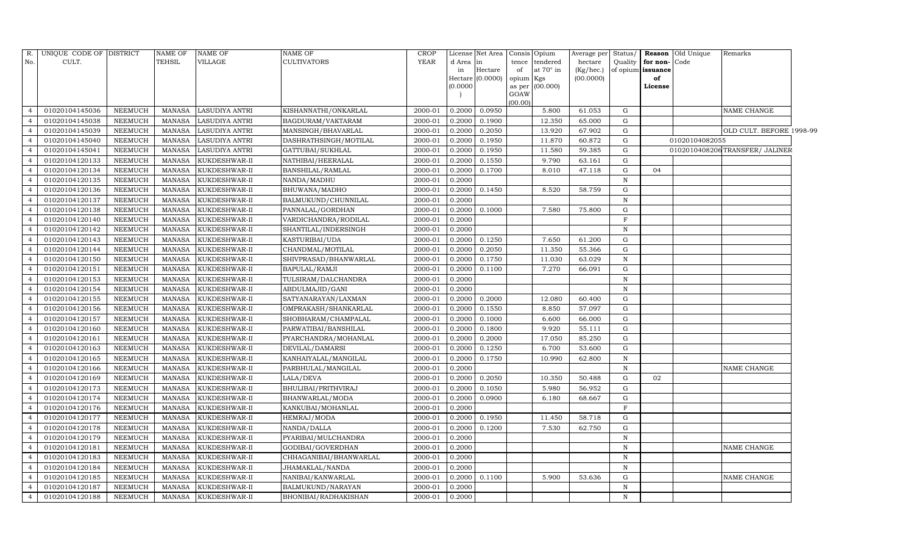| R.             | UNIQUE CODE OF DISTRICT |                | NAME OF       | <b>NAME OF</b> | <b>NAME OF</b>         | CROP        |          | License Net Area |           | Consis Opium    | Average per | Status/     |                   | Reason Old Unique | Remarks                        |  |
|----------------|-------------------------|----------------|---------------|----------------|------------------------|-------------|----------|------------------|-----------|-----------------|-------------|-------------|-------------------|-------------------|--------------------------------|--|
| No.            | CULT.                   |                | TEHSIL        | VILLAGE        | <b>CULTIVATORS</b>     | <b>YEAR</b> | d Area   | <b>in</b>        | tence     | tendered        | hectare     | Quality     | for non-Code      |                   |                                |  |
|                |                         |                |               |                |                        |             | in       | Hectare          | of        | at 70° in       | (Kg/hec.)   |             | of opium issuance |                   |                                |  |
|                |                         |                |               |                |                        |             | (0.0000) | Hectare (0.0000) | opium Kgs | as per (00.000) | (00.0000)   |             | of<br>License     |                   |                                |  |
|                |                         |                |               |                |                        |             |          |                  | GOAW      |                 |             |             |                   |                   |                                |  |
|                |                         |                |               |                |                        |             |          |                  | (00.00)   |                 |             |             |                   |                   |                                |  |
| $\overline{4}$ | 01020104145036          | NEEMUCH        | MANASA        | LASUDIYA ANTRI | KISHANNATHI/ONKARLAL   | 2000-01     | 0.2000   | 0.0950           |           | 5.800           | 61.053      | G           |                   |                   | NAME CHANGE                    |  |
| $\overline{4}$ | 01020104145038          | <b>NEEMUCH</b> | MANASA        | LASUDIYA ANTRI | BAGDURAM/VAKTARAM      | 2000-01     | 0.2000   | 0.1900           |           | 12.350          | 65.000      | G           |                   |                   |                                |  |
| $\overline{4}$ | 01020104145039          | NEEMUCH        | MANASA        | LASUDIYA ANTRI | MANSINGH/BHAVARLAL     | 2000-01     | 0.2000   | 0.2050           |           | 13.920          | 67.902      | G           |                   |                   | OLD CULT. BEFORE 1998-99       |  |
| $\overline{4}$ | 01020104145040          | NEEMUCH        | MANASA        | LASUDIYA ANTRI | DASHRATHSINGH/MOTILAL  | 2000-01     | 0.2000   | 0.1950           |           | 11.870          | 60.872      | G           |                   | 01020104082055    |                                |  |
| $\overline{a}$ | 01020104145041          | NEEMUCH        | <b>MANASA</b> | LASUDIYA ANTRI | GATTUBAI/SUKHLAL       | 2000-01     | 0.2000   | 0.1950           |           | 11.580          | 59.385      | G           |                   |                   | 0102010408206TRANSFER/ JALINER |  |
| $\overline{4}$ | 01020104120133          | NEEMUCH        | <b>MANASA</b> | KUKDESHWAR-II  | NATHIBAI/HEERALAL      | 2000-01     | 0.2000   | 0.1550           |           | 9.790           | 63.161      | G           |                   |                   |                                |  |
| $\overline{4}$ | 01020104120134          | NEEMUCH        | <b>MANASA</b> | KUKDESHWAR-II  | BANSHILAL/RAMLAL       | 2000-01     | 0.2000   | 0.1700           |           | 8.010           | 47.118      | G           | 04                |                   |                                |  |
| $\overline{4}$ | 01020104120135          | NEEMUCH        | <b>MANASA</b> | KUKDESHWAR-II  | NANDA/MADHU            | 2000-01     | 0.2000   |                  |           |                 |             | $\mathbb N$ |                   |                   |                                |  |
| $\overline{4}$ | 01020104120136          | NEEMUCH        | <b>MANASA</b> | KUKDESHWAR-II  | BHUWANA/MADHO          | 2000-01     | 0.2000   | 0.1450           |           | 8.520           | 58.759      | G           |                   |                   |                                |  |
| $\overline{4}$ | 01020104120137          | <b>NEEMUCH</b> | <b>MANASA</b> | KUKDESHWAR-II  | BALMUKUND/CHUNNILAL    | 2000-01     | 0.2000   |                  |           |                 |             | ${\bf N}$   |                   |                   |                                |  |
| $\overline{4}$ | 01020104120138          | <b>NEEMUCH</b> | <b>MANASA</b> | KUKDESHWAR-II  | PANNALAL/GORDHAN       | 2000-01     | 0.2000   | 0.1000           |           | 7.580           | 75.800      | G           |                   |                   |                                |  |
| $\overline{4}$ | 01020104120140          | NEEMUCH        | MANASA        | KUKDESHWAR-II  | VARDICHANDRA/RODILAL   | 2000-01     | 0.2000   |                  |           |                 |             | F           |                   |                   |                                |  |
| $\overline{4}$ | 01020104120142          | <b>NEEMUCH</b> | <b>MANASA</b> | KUKDESHWAR-II  | SHANTILAL/INDERSINGH   | 2000-01     | 0.2000   |                  |           |                 |             | $\mathbf N$ |                   |                   |                                |  |
| $\overline{4}$ | 01020104120143          | <b>NEEMUCH</b> | MANASA        | KUKDESHWAR-II  | KASTURIBAI/UDA         | 2000-01     | 0.2000   | 0.1250           |           | 7.650           | 61.200      | G           |                   |                   |                                |  |
| $\overline{4}$ | 01020104120144          | NEEMUCH        | MANASA        | KUKDESHWAR-II  | CHANDMAL/MOTILAL       | 2000-01     | 0.2000   | 0.2050           |           | 11.350          | 55.366      | G           |                   |                   |                                |  |
| $\overline{4}$ | 01020104120150          | NEEMUCH        | MANASA        | KUKDESHWAR-II  | SHIVPRASAD/BHANWARLAL  | 2000-01     | 0.2000   | 0.1750           |           | 11.030          | 63.029      | $\,$ N      |                   |                   |                                |  |
| $\overline{a}$ | 01020104120151          | <b>NEEMUCH</b> | <b>MANASA</b> | KUKDESHWAR-II  | BAPULAL/RAMJI          | 2000-01     | 0.2000   | 0.1100           |           | 7.270           | 66.091      | G           |                   |                   |                                |  |
| $\overline{4}$ | 01020104120153          | NEEMUCH        | <b>MANASA</b> | KUKDESHWAR-II  | TULSIRAM/DALCHANDRA    | 2000-01     | 0.2000   |                  |           |                 |             | $\mathbf N$ |                   |                   |                                |  |
| $\overline{4}$ | 01020104120154          | <b>NEEMUCH</b> | <b>MANASA</b> | KUKDESHWAR-II  | ABDULMAJID/GANI        | 2000-01     | 0.2000   |                  |           |                 |             | $\mathbf N$ |                   |                   |                                |  |
| $\overline{4}$ | 01020104120155          | <b>NEEMUCH</b> | MANASA        | KUKDESHWAR-II  | SATYANARAYAN/LAXMAN    | 2000-01     | 0.2000   | 0.2000           |           | 12.080          | 60.400      | G           |                   |                   |                                |  |
| $\overline{4}$ | 01020104120156          | <b>NEEMUCH</b> | <b>MANASA</b> | KUKDESHWAR-II  | OMPRAKASH/SHANKARLAL   | 2000-01     | 0.2000   | 0.1550           |           | 8.850           | 57.097      | G           |                   |                   |                                |  |
| 4              | 01020104120157          | NEEMUCH        | <b>MANASA</b> | KUKDESHWAR-II  | SHOBHARAM/CHAMPALAL    | 2000-01     | 0.2000   | 0.1000           |           | 6.600           | 66.000      | G           |                   |                   |                                |  |
| $\overline{4}$ | 01020104120160          | NEEMUCH        | <b>MANASA</b> | KUKDESHWAR-II  | PARWATIBAI/BANSHILAL   | 2000-01     | 0.2000   | 0.1800           |           | 9.920           | 55.111      | G           |                   |                   |                                |  |
| $\overline{4}$ | 01020104120161          | NEEMUCH        | MANASA        | KUKDESHWAR-II  | PYARCHANDRA/MOHANLAL   | 2000-01     | 0.2000   | 0.2000           |           | 17.050          | 85.250      | G           |                   |                   |                                |  |
| $\overline{4}$ | 01020104120163          | <b>NEEMUCH</b> | <b>MANASA</b> | KUKDESHWAR-II  | DEVILAL/DAMARSI        | 2000-01     | 0.2000   | 0.1250           |           | 6.700           | 53.600      | G           |                   |                   |                                |  |
| 4              | 01020104120165          | NEEMUCH        | <b>MANASA</b> | KUKDESHWAR-II  | KANHAIYALAL/MANGILAL   | 2000-01     | 0.2000   | 0.1750           |           | 10.990          | 62.800      | $\mathbf N$ |                   |                   |                                |  |
| $\overline{4}$ | 01020104120166          | <b>NEEMUCH</b> | <b>MANASA</b> | KUKDESHWAR-II  | PARBHULAL/MANGILAL     | 2000-01     | 0.2000   |                  |           |                 |             | $\mathbf N$ |                   |                   | NAME CHANGE                    |  |
| $\overline{4}$ | 01020104120169          | <b>NEEMUCH</b> | <b>MANASA</b> | KUKDESHWAR-II  | LALA/DEVA              | 2000-01     | 0.2000   | 0.2050           |           | 10.350          | 50.488      | G           | 02                |                   |                                |  |
| $\overline{4}$ | 01020104120173          | <b>NEEMUCH</b> | <b>MANASA</b> | KUKDESHWAR-II  | BHULIBAI/PRITHVIRAJ    | 2000-01     | 0.2000   | 0.1050           |           | 5.980           | 56.952      | G           |                   |                   |                                |  |
| $\overline{4}$ | 01020104120174          | <b>NEEMUCH</b> | <b>MANASA</b> | KUKDESHWAR-II  | BHANWARLAL/MODA        | 2000-01     | 0.2000   | 0.0900           |           | 6.180           | 68.667      | G           |                   |                   |                                |  |
| $\overline{4}$ | 01020104120176          | <b>NEEMUCH</b> | MANASA        | KUKDESHWAR-II  | KANKUBAI/MOHANLAL      | 2000-01     | 0.2000   |                  |           |                 |             | F           |                   |                   |                                |  |
| $\overline{4}$ | 01020104120177          | <b>NEEMUCH</b> | <b>MANASA</b> | KUKDESHWAR-II  | HEMRAJ/MODA            | 2000-01     | 0.2000   | 0.1950           |           | 11.450          | 58.718      | G           |                   |                   |                                |  |
| $\overline{4}$ | 01020104120178          | <b>NEEMUCH</b> | <b>MANASA</b> | KUKDESHWAR-II  | NANDA/DALLA            | 2000-01     | 0.2000   | 0.1200           |           | 7.530           | 62.750      | ${\rm G}$   |                   |                   |                                |  |
| $\overline{4}$ | 01020104120179          | <b>NEEMUCH</b> | MANASA        | KUKDESHWAR-II  | PYARIBAI/MULCHANDRA    | 2000-01     | 0.2000   |                  |           |                 |             | N           |                   |                   |                                |  |
| $\overline{4}$ | 01020104120181          | <b>NEEMUCH</b> | MANASA        | KUKDESHWAR-II  | GODIBAI/GOVERDHAN      | 2000-01     | 0.2000   |                  |           |                 |             | ${\bf N}$   |                   |                   | NAME CHANGE                    |  |
| $\overline{a}$ | 01020104120183          | <b>NEEMUCH</b> | <b>MANASA</b> | KUKDESHWAR-II  | CHHAGANIBAI/BHANWARLAL | 2000-01     | 0.2000   |                  |           |                 |             | $\mathbf N$ |                   |                   |                                |  |
| 4              | 01020104120184          | NEEMUCH        | MANASA        | KUKDESHWAR-II  | JHAMAKLAL/NANDA        | 2000-01     | 0.2000   |                  |           |                 |             | N           |                   |                   |                                |  |
| $\overline{4}$ | 01020104120185          | NEEMUCH        | <b>MANASA</b> | KUKDESHWAR-II  | NANIBAI/KANWARLAL      | 2000-01     | 0.2000   | 0.1100           |           | 5.900           | 53.636      | G           |                   |                   | NAME CHANGE                    |  |
| $\overline{4}$ | 01020104120187          | NEEMUCH        | MANASA        | KUKDESHWAR-II  | BALMUKUND/NARAYAN      | 2000-01     | 0.2000   |                  |           |                 |             | N           |                   |                   |                                |  |
| $\overline{4}$ | 01020104120188          | NEEMUCH        | MANASA        | KUKDESHWAR-II  | BHONIBAI/RADHAKISHAN   | 2000-01     | 0.2000   |                  |           |                 |             | N           |                   |                   |                                |  |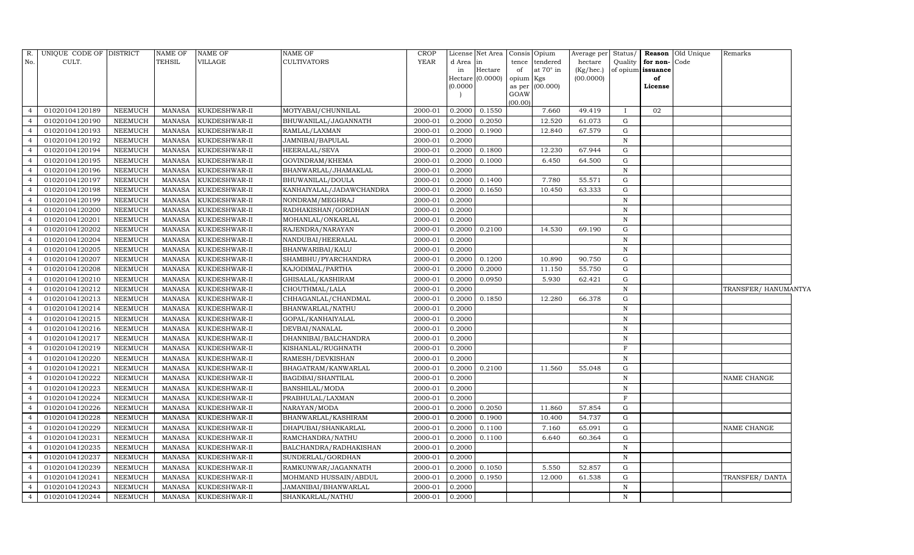| R.             | UNIQUE CODE OF DISTRICT |                | <b>NAME OF</b> | <b>NAME OF</b> | NAME OF                  | <b>CROP</b> |           | License Net Area              |                 | Consis Opium     | Average per            | Status/      |                   | Reason Old Unique | Remarks             |  |
|----------------|-------------------------|----------------|----------------|----------------|--------------------------|-------------|-----------|-------------------------------|-----------------|------------------|------------------------|--------------|-------------------|-------------------|---------------------|--|
| No.            | CULT.                   |                | <b>TEHSIL</b>  | VILLAGE        | <b>CULTIVATORS</b>       | <b>YEAR</b> | d Area in |                               | tence           | tendered         | hectare                | Quality      | for non-Code      |                   |                     |  |
|                |                         |                |                |                |                          |             | in        | Hectare<br>Hectare $(0.0000)$ | of              | at $70^\circ$ in | (Kg/hec.)<br>(00.0000) |              | of opium issuance |                   |                     |  |
|                |                         |                |                |                |                          |             | (0.0000)  |                               | opium<br>as per | Kgs<br>(00.000)  |                        |              | of<br>License     |                   |                     |  |
|                |                         |                |                |                |                          |             |           |                               | GOAW            |                  |                        |              |                   |                   |                     |  |
|                |                         |                |                |                |                          |             |           |                               | (00.00)         |                  |                        |              |                   |                   |                     |  |
| $\overline{4}$ | 01020104120189          | <b>NEEMUCH</b> | MANASA         | KUKDESHWAR-II  | MOTYABAI/CHUNNILAL       | 2000-01     | 0.2000    | 0.1550                        |                 | 7.660            | 49.419                 | $\mathbf{I}$ | 02                |                   |                     |  |
| $\overline{4}$ | 01020104120190          | <b>NEEMUCH</b> | <b>MANASA</b>  | KUKDESHWAR-II  | BHUWANILAL/JAGANNATH     | 2000-01     | 0.2000    | 0.2050                        |                 | 12.520           | 61.073                 | G            |                   |                   |                     |  |
| $\overline{4}$ | 01020104120193          | <b>NEEMUCH</b> | <b>MANASA</b>  | KUKDESHWAR-II  | RAMLAL/LAXMAN            | 2000-01     | 0.2000    | 0.1900                        |                 | 12.840           | 67.579                 | G            |                   |                   |                     |  |
| $\overline{4}$ | 01020104120192          | <b>NEEMUCH</b> | <b>MANASA</b>  | KUKDESHWAR-II  | JAMNIBAI/BAPULAL         | 2000-01     | 0.2000    |                               |                 |                  |                        | $\mathbf N$  |                   |                   |                     |  |
| $\overline{4}$ | 01020104120194          | <b>NEEMUCH</b> | <b>MANASA</b>  | KUKDESHWAR-II  | HEERALAL/SEVA            | 2000-01     | 0.2000    | 0.1800                        |                 | 12.230           | 67.944                 | G            |                   |                   |                     |  |
| 4              | 01020104120195          | <b>NEEMUCH</b> | <b>MANASA</b>  | KUKDESHWAR-II  | GOVINDRAM/KHEMA          | 2000-01     | 0.2000    | 0.1000                        |                 | 6.450            | 64.500                 | G            |                   |                   |                     |  |
| $\overline{4}$ | 01020104120196          | NEEMUCH        | <b>MANASA</b>  | KUKDESHWAR-II  | BHANWARLAL/JHAMAKLAL     | 2000-01     | 0.2000    |                               |                 |                  |                        | $\mathbf N$  |                   |                   |                     |  |
| $\overline{4}$ | 01020104120197          | <b>NEEMUCH</b> | <b>MANASA</b>  | KUKDESHWAR-II  | BHUWANILAL/DOULA         | 2000-01     | 0.2000    | 0.1400                        |                 | 7.780            | 55.571                 | $\mathbf G$  |                   |                   |                     |  |
| $\overline{4}$ | 01020104120198          | <b>NEEMUCH</b> | <b>MANASA</b>  | KUKDESHWAR-II  | KANHAIYALAL/JADAWCHANDRA | 2000-01     | 0.2000    | 0.1650                        |                 | 10.450           | 63.333                 | G            |                   |                   |                     |  |
| $\overline{4}$ | 01020104120199          | NEEMUCH        | <b>MANASA</b>  | KUKDESHWAR-II  | NONDRAM/MEGHRAJ          | 2000-01     | 0.2000    |                               |                 |                  |                        | $\mathbf N$  |                   |                   |                     |  |
| $\overline{4}$ | 01020104120200          | <b>NEEMUCH</b> | <b>MANASA</b>  | KUKDESHWAR-II  | RADHAKISHAN/GORDHAN      | 2000-01     | 0.2000    |                               |                 |                  |                        | $\mathbf N$  |                   |                   |                     |  |
| $\overline{4}$ | 01020104120201          | <b>NEEMUCH</b> | <b>MANASA</b>  | KUKDESHWAR-II  | MOHANLAL/ONKARLAL        | 2000-01     | 0.2000    |                               |                 |                  |                        | $\mathbf N$  |                   |                   |                     |  |
| $\overline{4}$ | 01020104120202          | <b>NEEMUCH</b> | <b>MANASA</b>  | KUKDESHWAR-II  | RAJENDRA/NARAYAN         | 2000-01     | 0.2000    | 0.2100                        |                 | 14.530           | 69.190                 | G            |                   |                   |                     |  |
| $\overline{4}$ | 01020104120204          | <b>NEEMUCH</b> | <b>MANASA</b>  | KUKDESHWAR-II  | NANDUBAI/HEERALAL        | 2000-01     | 0.2000    |                               |                 |                  |                        | ${\bf N}$    |                   |                   |                     |  |
| $\overline{4}$ | 01020104120205          | <b>NEEMUCH</b> | <b>MANASA</b>  | KUKDESHWAR-II  | BHANWARIBAI/KALU         | 2000-01     | 0.2000    |                               |                 |                  |                        | $\mathbb N$  |                   |                   |                     |  |
| $\overline{4}$ | 01020104120207          | <b>NEEMUCH</b> | <b>MANASA</b>  | KUKDESHWAR-II  | SHAMBHU/PYARCHANDRA      | 2000-01     | 0.2000    | 0.1200                        |                 | 10.890           | 90.750                 | G            |                   |                   |                     |  |
| $\overline{4}$ | 01020104120208          | <b>NEEMUCH</b> | <b>MANASA</b>  | KUKDESHWAR-II  | KAJODIMAL/PARTHA         | 2000-01     | 0.2000    | 0.2000                        |                 | 11.150           | 55.750                 | G            |                   |                   |                     |  |
| $\overline{4}$ | 01020104120210          | <b>NEEMUCH</b> | <b>MANASA</b>  | KUKDESHWAR-II  | GHISALAL/KASHIRAM        | 2000-01     | 0.2000    | 0.0950                        |                 | 5.930            | 62.421                 | G            |                   |                   |                     |  |
| $\overline{4}$ | 01020104120212          | NEEMUCH        | <b>MANASA</b>  | KUKDESHWAR-II  | CHOUTHMAL/LALA           | 2000-01     | 0.2000    |                               |                 |                  |                        | $\mathbf N$  |                   |                   | TRANSFER/HANUMANTYA |  |
| $\overline{4}$ | 01020104120213          | NEEMUCH        | <b>MANASA</b>  | KUKDESHWAR-II  | CHHAGANLAL/CHANDMAL      | 2000-01     | 0.2000    | 0.1850                        |                 | 12.280           | 66.378                 | G            |                   |                   |                     |  |
| $\overline{4}$ | 01020104120214          | <b>NEEMUCH</b> | <b>MANASA</b>  | KUKDESHWAR-II  | BHANWARLAL/NATHU         | 2000-01     | 0.2000    |                               |                 |                  |                        | $\mathbf N$  |                   |                   |                     |  |
| $\overline{4}$ | 01020104120215          | <b>NEEMUCH</b> | <b>MANASA</b>  | KUKDESHWAR-II  | GOPAL/KANHAIYALAL        | 2000-01     | 0.2000    |                               |                 |                  |                        | $\mathbf N$  |                   |                   |                     |  |
| $\overline{4}$ | 01020104120216          | NEEMUCH        | <b>MANASA</b>  | KUKDESHWAR-II  | DEVBAI/NANALAL           | 2000-01     | 0.2000    |                               |                 |                  |                        | $\mathbf N$  |                   |                   |                     |  |
| $\overline{4}$ | 01020104120217          | <b>NEEMUCH</b> | <b>MANASA</b>  | KUKDESHWAR-II  | DHANNIBAI/BALCHANDRA     | 2000-01     | 0.2000    |                               |                 |                  |                        | $\,$ N       |                   |                   |                     |  |
| $\overline{4}$ | 01020104120219          | <b>NEEMUCH</b> | <b>MANASA</b>  | KUKDESHWAR-II  | KISHANLAL/RUGHNATH       | 2000-01     | 0.2000    |                               |                 |                  |                        | F            |                   |                   |                     |  |
| $\overline{4}$ | 01020104120220          | <b>NEEMUCH</b> | <b>MANASA</b>  | KUKDESHWAR-II  | RAMESH/DEVKISHAN         | 2000-01     | 0.2000    |                               |                 |                  |                        | $\,$ N       |                   |                   |                     |  |
| $\overline{4}$ | 01020104120221          | <b>NEEMUCH</b> | <b>MANASA</b>  | KUKDESHWAR-II  | BHAGATRAM/KANWARLAL      | 2000-01     | 0.2000    | 0.2100                        |                 | 11.560           | 55.048                 | G            |                   |                   |                     |  |
| $\overline{4}$ | 01020104120222          | <b>NEEMUCH</b> | <b>MANASA</b>  | KUKDESHWAR-II  | BAGDBAI/SHANTILAL        | 2000-01     | 0.2000    |                               |                 |                  |                        | $\mathbf N$  |                   |                   | NAME CHANGE         |  |
| $\overline{4}$ | 01020104120223          | <b>NEEMUCH</b> | <b>MANASA</b>  | KUKDESHWAR-II  | BANSHILAL/MODA           | 2000-01     | 0.2000    |                               |                 |                  |                        | $\mathbf N$  |                   |                   |                     |  |
| $\overline{4}$ | 01020104120224          | <b>NEEMUCH</b> | <b>MANASA</b>  | KUKDESHWAR-II  | PRABHULAL/LAXMAN         | 2000-01     | 0.2000    |                               |                 |                  |                        | $\mathbf F$  |                   |                   |                     |  |
| $\overline{4}$ | 01020104120226          | <b>NEEMUCH</b> | <b>MANASA</b>  | KUKDESHWAR-II  | NARAYAN/MODA             | 2000-01     | 0.2000    | 0.2050                        |                 | 11.860           | 57.854                 | G            |                   |                   |                     |  |
| $\overline{4}$ | 01020104120228          | <b>NEEMUCH</b> | <b>MANASA</b>  | KUKDESHWAR-II  | BHANWARLAL/KASHIRAM      | 2000-01     | 0.2000    | 0.1900                        |                 | 10.400           | 54.737                 | G            |                   |                   |                     |  |
| 4              | 01020104120229          | NEEMUCH        | <b>MANASA</b>  | KUKDESHWAR-II  | DHAPUBAI/SHANKARLAL      | 2000-01     | 0.2000    | 0.1100                        |                 | 7.160            | 65.091                 | ${\rm G}$    |                   |                   | NAME CHANGE         |  |
| $\overline{4}$ | 01020104120231          | <b>NEEMUCH</b> | <b>MANASA</b>  | KUKDESHWAR-II  | RAMCHANDRA/NATHU         | 2000-01     | 0.2000    | 0.1100                        |                 | 6.640            | 60.364                 | G            |                   |                   |                     |  |
| $\overline{4}$ | 01020104120235          | NEEMUCH        | <b>MANASA</b>  | KUKDESHWAR-II  | BALCHANDRA/RADHAKISHAN   | 2000-01     | 0.2000    |                               |                 |                  |                        | $\mathbf N$  |                   |                   |                     |  |
| $\overline{4}$ | 01020104120237          | <b>NEEMUCH</b> | <b>MANASA</b>  | KUKDESHWAR-II  | SUNDERLAL/GORDHAN        | 2000-01     | 0.2000    |                               |                 |                  |                        | $\mathbf N$  |                   |                   |                     |  |
| $\overline{4}$ | 01020104120239          | <b>NEEMUCH</b> | <b>MANASA</b>  | KUKDESHWAR-II  | RAMKUNWAR/JAGANNATH      | 2000-01     | 0.2000    | 0.1050                        |                 | 5.550            | 52.857                 | $\mathbf G$  |                   |                   |                     |  |
| $\overline{4}$ | 01020104120241          | NEEMUCH        | <b>MANASA</b>  | KUKDESHWAR-II  | MOHMAND HUSSAIN/ABDUL    | 2000-01     | 0.2000    | 0.1950                        |                 | 12.000           | 61.538                 | G            |                   |                   | TRANSFER/DANTA      |  |
| $\overline{4}$ | 01020104120243          | <b>NEEMUCH</b> | MANASA         | KUKDESHWAR-II  | JAMANIBAI/BHANWARLAL     | 2000-01     | 0.2000    |                               |                 |                  |                        | $\, {\bf N}$ |                   |                   |                     |  |
| $\overline{4}$ | 01020104120244          | <b>NEEMUCH</b> | <b>MANASA</b>  | KUKDESHWAR-II  | SHANKARLAL/NATHU         | 2000-01     | 0.2000    |                               |                 |                  |                        | $\mathbf N$  |                   |                   |                     |  |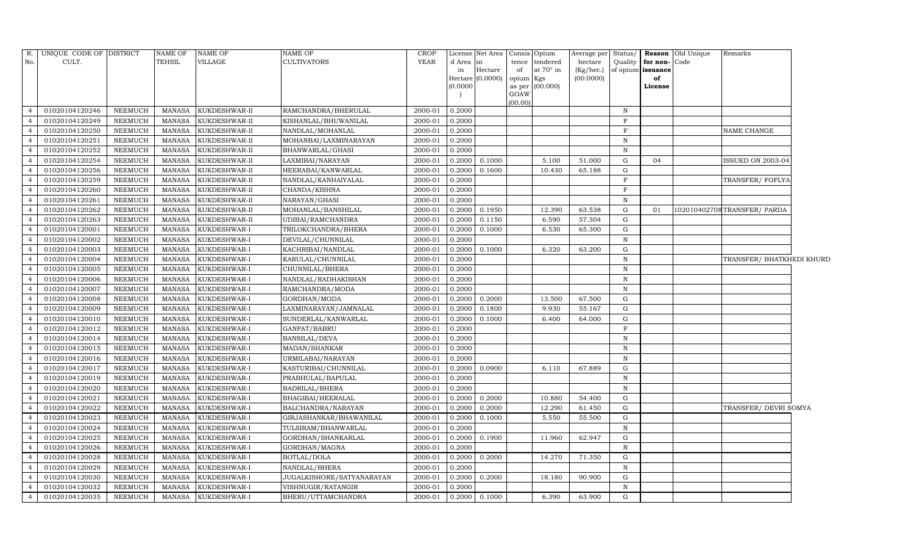| R.             | UNIQUE CODE OF DISTRICT |                | <b>NAME OF</b> | <b>NAME OF</b> | NAME OF                          | <b>CROP</b> |           | License Net Area   Consis   Opium |           |                  | Average per | Status/      |                   | Reason Old Unique | Remarks                      |  |
|----------------|-------------------------|----------------|----------------|----------------|----------------------------------|-------------|-----------|-----------------------------------|-----------|------------------|-------------|--------------|-------------------|-------------------|------------------------------|--|
| No.            | CULT.                   |                | <b>TEHSIL</b>  | VILLAGE        | CULTIVATORS                      | <b>YEAR</b> | d Area in |                                   | tence     | tendered         | hectare     | Quality      | for non-Code      |                   |                              |  |
|                |                         |                |                |                |                                  |             | in        | Hectare                           | of        | at $70^\circ$ in | (Kg/hec.)   |              | of opium issuance |                   |                              |  |
|                |                         |                |                |                |                                  |             | (0.0000)  | Hectare $(0.0000)$                | opium Kgs | as per (00.000)  | (00.0000)   |              | of<br>License     |                   |                              |  |
|                |                         |                |                |                |                                  |             |           |                                   | GOAW      |                  |             |              |                   |                   |                              |  |
|                |                         |                |                |                |                                  |             |           |                                   | (00.00)   |                  |             |              |                   |                   |                              |  |
| $\overline{4}$ | 01020104120246          | <b>NEEMUCH</b> | MANASA         | KUKDESHWAR-II  | RAMCHANDRA/BHERULAL              | 2000-01     | 0.2000    |                                   |           |                  |             | N            |                   |                   |                              |  |
| $\overline{4}$ | 01020104120249          | <b>NEEMUCH</b> | <b>MANASA</b>  | KUKDESHWAR-II  | KISHANLAL/BHUWANILAL             | 2000-01     | 0.2000    |                                   |           |                  |             | F            |                   |                   |                              |  |
| $\overline{4}$ | 01020104120250          | <b>NEEMUCH</b> | <b>MANASA</b>  | KUKDESHWAR-II  | NANDLAL/MOHANLAL                 | 2000-01     | 0.2000    |                                   |           |                  |             | $\mathbf F$  |                   |                   | NAME CHANGE                  |  |
| $\overline{4}$ | 01020104120251          | <b>NEEMUCH</b> | <b>MANASA</b>  | KUKDESHWAR-II  | MOHANBAI/LAXMINARAYAN            | 2000-01     | 0.2000    |                                   |           |                  |             | $\mathbf N$  |                   |                   |                              |  |
| $\overline{4}$ | 01020104120252          | <b>NEEMUCH</b> | <b>MANASA</b>  | KUKDESHWAR-II  | BHANWARLAL/GHASI                 | 2000-01     | 0.2000    |                                   |           |                  |             | $\mathbf N$  |                   |                   |                              |  |
| $\overline{4}$ | 01020104120254          | <b>NEEMUCH</b> | <b>MANASA</b>  | KUKDESHWAR-II  | LAXMIBAI/NARAYAN                 | 2000-01     | 0.2000    | 0.1000                            |           | 5.100            | 51.000      | G            | 04                |                   | <b>ISSUED ON 2003-04</b>     |  |
| $\overline{4}$ | 01020104120256          | <b>NEEMUCH</b> | <b>MANASA</b>  | KUKDESHWAR-II  | HEERABAI/KANWARLAL               | 2000-01     | 0.2000    | 0.1600                            |           | 10.430           | 65.188      | G            |                   |                   |                              |  |
| $\overline{4}$ | 01020104120259          | <b>NEEMUCH</b> | <b>MANASA</b>  | KUKDESHWAR-II  | NANDLAL/KANHAIYALAL              | 2000-01     | 0.2000    |                                   |           |                  |             | F            |                   |                   | TRANSFER/FOFLYA              |  |
| $\overline{4}$ | 01020104120260          | <b>NEEMUCH</b> | <b>MANASA</b>  | KUKDESHWAR-II  | CHANDA/KISHNA                    | 2000-01     | 0.2000    |                                   |           |                  |             | $\mathbf F$  |                   |                   |                              |  |
| $\overline{4}$ | 01020104120261          | <b>NEEMUCH</b> | <b>MANASA</b>  | KUKDESHWAR-II  | NARAYAN/GHASI                    | 2000-01     | 0.2000    |                                   |           |                  |             | $\, {\rm N}$ |                   |                   |                              |  |
| $\overline{4}$ | 01020104120262          | <b>NEEMUCH</b> | <b>MANASA</b>  | KUKDESHWAR-II  | MOHANLAL/BANSHILAL               | 2000-01     | 0.2000    | 0.1950                            |           | 12.390           | 63.538      | G            | 01                |                   | 102010402708 TRANSFER/ PARDA |  |
| $\overline{4}$ | 01020104120263          | <b>NEEMUCH</b> | <b>MANASA</b>  | KUKDESHWAR-II  | UDIBAI/RAMCHANDRA                | 2000-01     | 0.2000    | 0.1150                            |           | 6.590            | 57.304      | G            |                   |                   |                              |  |
| $\overline{4}$ | 01020104120001          | <b>NEEMUCH</b> | <b>MANASA</b>  | KUKDESHWAR-I   | TRILOKCHANDRA/BHERA              | 2000-01     | 0.2000    | 0.1000                            |           | 6.530            | 65.300      | G            |                   |                   |                              |  |
| $\overline{4}$ | 01020104120002          | <b>NEEMUCH</b> | <b>MANASA</b>  | KUKDESHWAR-I   | DEVILAL/CHUNNILAL                | 2000-01     | 0.2000    |                                   |           |                  |             | $\mathbf N$  |                   |                   |                              |  |
| $\overline{4}$ | 01020104120003          | <b>NEEMUCH</b> | <b>MANASA</b>  | KUKDESHWAR-I   | KACHRIBAI/NANDLAL                | 2000-01     | 0.2000    | 0.1000                            |           | 6.320            | 63.200      | G            |                   |                   |                              |  |
| $\overline{4}$ | 01020104120004          | <b>NEEMUCH</b> | <b>MANASA</b>  | KUKDESHWAR-I   | KARULAL/CHUNNILAL                | 2000-01     | 0.2000    |                                   |           |                  |             | $\, {\bf N}$ |                   |                   | TRANSFER/ BHATKHEDI KHURD    |  |
| $\overline{4}$ | 01020104120005          | <b>NEEMUCH</b> | <b>MANASA</b>  | KUKDESHWAR-I   | CHUNNILAL/BHERA                  | 2000-01     | 0.2000    |                                   |           |                  |             | $\mathbf N$  |                   |                   |                              |  |
| $\overline{4}$ | 01020104120006          | <b>NEEMUCH</b> | <b>MANASA</b>  | KUKDESHWAR-I   | NANDLAL/RADHAKISHAN              | 2000-01     | 0.2000    |                                   |           |                  |             | N            |                   |                   |                              |  |
| $\overline{4}$ | 01020104120007          | NEEMUCH        | <b>MANASA</b>  | KUKDESHWAR-I   | RAMCHANDRA/MODA                  | 2000-01     | 0.2000    |                                   |           |                  |             | $\mathbf N$  |                   |                   |                              |  |
| $\overline{4}$ | 01020104120008          | <b>NEEMUCH</b> | <b>MANASA</b>  | KUKDESHWAR-I   | GORDHAN/MODA                     | 2000-01     | 0.2000    | 0.2000                            |           | 13.500           | 67.500      | G            |                   |                   |                              |  |
| $\overline{4}$ | 01020104120009          | <b>NEEMUCH</b> | <b>MANASA</b>  | KUKDESHWAR-I   | LAXMINARAYAN/JAMNALAL            | 2000-01     | 0.2000    | 0.1800                            |           | 9.930            | 55.167      | $\mathbf{G}$ |                   |                   |                              |  |
| $\overline{4}$ | 01020104120010          | NEEMUCH        | <b>MANASA</b>  | KUKDESHWAR-I   | SUNDERLAL/KANWARLAL              | 2000-01     | 0.2000    | 0.1000                            |           | 6.400            | 64.000      | G            |                   |                   |                              |  |
| $\overline{4}$ | 01020104120012          | NEEMUCH        | <b>MANASA</b>  | KUKDESHWAR-I   | GANPAT/BABRU                     | 2000-01     | 0.2000    |                                   |           |                  |             | F            |                   |                   |                              |  |
| $\overline{4}$ | 01020104120014          | NEEMUCH        | <b>MANASA</b>  | KUKDESHWAR-I   | BANSILAL/DEVA                    | 2000-01     | 0.2000    |                                   |           |                  |             | N            |                   |                   |                              |  |
| $\overline{4}$ | 01020104120015          | <b>NEEMUCH</b> | <b>MANASA</b>  | KUKDESHWAR-I   | MADAN/SHANKAR                    | 2000-01     | 0.2000    |                                   |           |                  |             | $\, {\rm N}$ |                   |                   |                              |  |
| $\overline{4}$ | 01020104120016          | NEEMUCH        | <b>MANASA</b>  | KUKDESHWAR-I   | URMILABAI/NARAYAN                | 2000-01     | 0.2000    |                                   |           |                  |             | N            |                   |                   |                              |  |
| $\overline{4}$ | 01020104120017          | <b>NEEMUCH</b> | <b>MANASA</b>  | KUKDESHWAR-I   | KASTURIBAI/CHUNNILAL             | 2000-01     | 0.2000    | 0.0900                            |           | 6.110            | 67.889      | G            |                   |                   |                              |  |
| $\overline{4}$ | 01020104120019          | <b>NEEMUCH</b> | <b>MANASA</b>  | KUKDESHWAR-I   | PRABHULAL/BAPULAL                | 2000-01     | 0.2000    |                                   |           |                  |             | $\mathbf N$  |                   |                   |                              |  |
| $\overline{4}$ | 01020104120020          | <b>NEEMUCH</b> | <b>MANASA</b>  | KUKDESHWAR-I   | <b>BADRILAL/BHERA</b>            | 2000-01     | 0.2000    |                                   |           |                  |             | $\, {\rm N}$ |                   |                   |                              |  |
| $\overline{4}$ | 01020104120021          | <b>NEEMUCH</b> | <b>MANASA</b>  | KUKDESHWAR-I   | BHAGIBAI/HEERALAL                | 2000-01     | 0.2000    | 0.2000                            |           | 10.880           | 54.400      | G            |                   |                   |                              |  |
| $\overline{4}$ | 01020104120022          | <b>NEEMUCH</b> | <b>MANASA</b>  | KUKDESHWAR-I   | BALCHANDRA/NARAYAN               | 2000-01     | 0.2000    | 0.2000                            |           | 12.290           | 61.450      | G            |                   |                   | TRANSFER/ DEVRI SOMYA        |  |
| $\overline{4}$ | 01020104120023          | <b>NEEMUCH</b> | <b>MANASA</b>  | KUKDESHWAR-I   | GIRJASHANKAR/BHAWANILAL          | 2000-01     | 0.2000    | 0.1000                            |           | 5.550            | 55.500      | G            |                   |                   |                              |  |
| $\overline{4}$ | 01020104120024          | <b>NEEMUCH</b> | <b>MANASA</b>  | KUKDESHWAR-I   | TULSIRAM/BHANWARLAL              | 2000-01     | 0.2000    |                                   |           |                  |             | $\mathbf N$  |                   |                   |                              |  |
| $\overline{4}$ | 01020104120025          | <b>NEEMUCH</b> | <b>MANASA</b>  | KUKDESHWAR-I   | GORDHAN/SHANKARLAL               | 2000-01     | 0.2000    | 0.1900                            |           | 11.960           | 62.947      | G            |                   |                   |                              |  |
| $\overline{4}$ | 01020104120026          | <b>NEEMUCH</b> | <b>MANASA</b>  | KUKDESHWAR-I   | GORDHAN/MAGNA                    | 2000-01     | 0.2000    |                                   |           |                  |             | $\, {\rm N}$ |                   |                   |                              |  |
| $\overline{4}$ | 01020104120028          | <b>NEEMUCH</b> | <b>MANASA</b>  | KUKDESHWAR-I   | <b>BOTLAL/DOLA</b>               | 2000-01     | 0.2000    | 0.2000                            |           | 14.270           | 71.350      | G            |                   |                   |                              |  |
| $\overline{4}$ | 01020104120029          | <b>NEEMUCH</b> | <b>MANASA</b>  | KUKDESHWAR-I   | NANDLAL/BHERA                    | 2000-01     | 0.2000    |                                   |           |                  |             | $\, {\rm N}$ |                   |                   |                              |  |
| $\overline{4}$ | 01020104120030          | <b>NEEMUCH</b> | <b>MANASA</b>  | KUKDESHWAR-I   | <b>JUGALKISHORE/SATYANARAYAN</b> | 2000-01     | 0.2000    | 0.2000                            |           | 18.180           | 90.900      | G            |                   |                   |                              |  |
| $\overline{4}$ | 01020104120032          | NEEMUCH        | <b>MANASA</b>  | KUKDESHWAR-I   | VISHNUGIR/RATANGIR               | 2000-01     | 0.2000    |                                   |           |                  |             | N            |                   |                   |                              |  |
| $\overline{4}$ | 01020104120035          | <b>NEEMUCH</b> | <b>MANASA</b>  | KUKDESHWAR-I   | BHERU/UTTAMCHANDRA               | 2000-01     |           | $0.2000$ 0.1000                   |           | 6.390            | 63.900      | $\mathbf G$  |                   |                   |                              |  |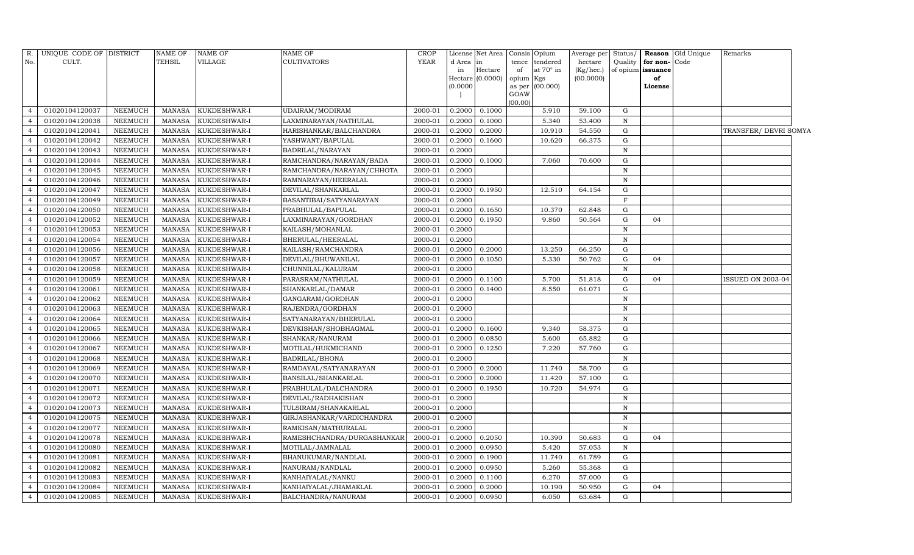| R.             | UNIQUE CODE OF DISTRICT |                | <b>NAME OF</b> | NAME OF      | NAME OF                    | <b>CROP</b> |          | License Net Area Consis Opium |                |           | Average per Status/ |              |                   | Reason Old Unique | Remarks               |
|----------------|-------------------------|----------------|----------------|--------------|----------------------------|-------------|----------|-------------------------------|----------------|-----------|---------------------|--------------|-------------------|-------------------|-----------------------|
| No.            | CULT.                   |                | <b>TEHSIL</b>  | VILLAGE      | CULTIVATORS                | <b>YEAR</b> | d Area   | lin                           | tence          | tendered  | hectare             | Quality      | for non-          | Code              |                       |
|                |                         |                |                |              |                            |             | in       | Hectare                       | of             | at 70° in | (Kg/hec.)           |              | of opium issuance |                   |                       |
|                |                         |                |                |              |                            |             | (0.0000) | $Hectare$ (0.0000)            | opium Kgs      | (00.000)  | (00.0000)           |              | of                |                   |                       |
|                |                         |                |                |              |                            |             |          |                               | as per<br>GOAW |           |                     |              | License           |                   |                       |
|                |                         |                |                |              |                            |             |          |                               | (00.00)        |           |                     |              |                   |                   |                       |
| $\overline{4}$ | 01020104120037          | NEEMUCH        | MANASA         | KUKDESHWAR-I | UDAIRAM/MODIRAM            | 2000-01     | 0.2000   | 0.1000                        |                | 5.910     | 59.100              | G            |                   |                   |                       |
| $\overline{4}$ | 01020104120038          | <b>NEEMUCH</b> | MANASA         | KUKDESHWAR-I | LAXMINARAYAN/NATHULAL      | 2000-01     | 0.2000   | 0.1000                        |                | 5.340     | 53.400              | N            |                   |                   |                       |
| $\overline{4}$ | 01020104120041          | <b>NEEMUCH</b> | MANASA         | KUKDESHWAR-I | HARISHANKAR/BALCHANDRA     | 2000-01     | 0.2000   | 0.2000                        |                | 10.910    | 54.550              | G            |                   |                   | TRANSFER/ DEVRI SOMYA |
| $\overline{4}$ | 01020104120042          | <b>NEEMUCH</b> | MANASA         | KUKDESHWAR-I | YASHWANT/BAPULAL           | 2000-01     | 0.2000   | 0.1600                        |                | 10.620    | 66.375              | G            |                   |                   |                       |
| $\overline{a}$ | 01020104120043          | <b>NEEMUCH</b> | <b>MANASA</b>  | KUKDESHWAR-I | BADRILAL/NARAYAN           | 2000-01     | 0.2000   |                               |                |           |                     | $\, {\rm N}$ |                   |                   |                       |
| $\overline{4}$ | 01020104120044          | NEEMUCH        | <b>MANASA</b>  | KUKDESHWAR-I | RAMCHANDRA/NARAYAN/BADA    | 2000-01     | 0.2000   | 0.1000                        |                | 7.060     | 70.600              | ${\rm G}$    |                   |                   |                       |
| $\overline{4}$ | 01020104120045          | NEEMUCH        | <b>MANASA</b>  | KUKDESHWAR-I | RAMCHANDRA/NARAYAN/CHHOTA  | 2000-01     | 0.2000   |                               |                |           |                     | $\, {\rm N}$ |                   |                   |                       |
| $\overline{4}$ | 01020104120046          | NEEMUCH        | MANASA         | KUKDESHWAR-I | RAMNARAYAN/HEERALAL        | 2000-01     | 0.2000   |                               |                |           |                     | $\, {\rm N}$ |                   |                   |                       |
| $\overline{4}$ | 01020104120047          | NEEMUCH        | <b>MANASA</b>  | KUKDESHWAR-I | DEVILAL/SHANKARLAL         | 2000-01     | 0.2000   | 0.1950                        |                | 12.510    | 64.154              | G            |                   |                   |                       |
| $\overline{4}$ | 01020104120049          | <b>NEEMUCH</b> | <b>MANASA</b>  | KUKDESHWAR-I | BASANTIBAI/SATYANARAYAN    | 2000-01     | 0.2000   |                               |                |           |                     | $\mathbf F$  |                   |                   |                       |
| $\overline{4}$ | 01020104120050          | <b>NEEMUCH</b> | <b>MANASA</b>  | KUKDESHWAR-I | PRABHULAL/BAPULAL          | 2000-01     | 0.2000   | 0.1650                        |                | 10.370    | 62.848              | G            |                   |                   |                       |
| $\overline{4}$ | 01020104120052          | <b>NEEMUCH</b> | MANASA         | KUKDESHWAR-I | LAXMINARAYAN/GORDHAN       | 2000-01     | 0.2000   | 0.1950                        |                | 9.860     | 50.564              | ${\rm G}$    | 04                |                   |                       |
| $\overline{4}$ | 01020104120053          | <b>NEEMUCH</b> | <b>MANASA</b>  | KUKDESHWAR-I | KAILASH/MOHANLAL           | 2000-01     | 0.2000   |                               |                |           |                     | $\, {\rm N}$ |                   |                   |                       |
| $\overline{4}$ | 01020104120054          | <b>NEEMUCH</b> | <b>MANASA</b>  | KUKDESHWAR-I | BHERULAL/HEERALAL          | 2000-01     | 0.2000   |                               |                |           |                     | $\, {\rm N}$ |                   |                   |                       |
| $\overline{4}$ | 01020104120056          | <b>NEEMUCH</b> | <b>MANASA</b>  | KUKDESHWAR-I | KAILASH/RAMCHANDRA         | 2000-01     | 0.2000   | 0.2000                        |                | 13.250    | 66.250              | G            |                   |                   |                       |
| $\overline{4}$ | 01020104120057          | <b>NEEMUCH</b> | MANASA         | KUKDESHWAR-I | DEVILAL/BHUWANILAL         | 2000-01     | 0.2000   | 0.1050                        |                | 5.330     | 50.762              | G            | 04                |                   |                       |
| $\overline{4}$ | 01020104120058          | <b>NEEMUCH</b> | <b>MANASA</b>  | KUKDESHWAR-I | CHUNNILAL/KALURAM          | 2000-01     | 0.2000   |                               |                |           |                     | $\, {\rm N}$ |                   |                   |                       |
| $\overline{4}$ | 01020104120059          | <b>NEEMUCH</b> | MANASA         | KUKDESHWAR-I | PARASRAM/NATHULAL          | 2000-01     | 0.2000   | 0.1100                        |                | 5.700     | 51.818              | ${\rm G}$    | 04                |                   | ISSUED ON 2003-04     |
| $\overline{4}$ | 01020104120061          | <b>NEEMUCH</b> | <b>MANASA</b>  | KUKDESHWAR-I | SHANKARLAL/DAMAR           | 2000-01     | 0.2000   | 0.1400                        |                | 8.550     | 61.071              | G            |                   |                   |                       |
| $\overline{4}$ | 01020104120062          | <b>NEEMUCH</b> | MANASA         | KUKDESHWAR-I | GANGARAM/GORDHAN           | 2000-01     | 0.2000   |                               |                |           |                     | $\, {\rm N}$ |                   |                   |                       |
| $\overline{4}$ | 01020104120063          | <b>NEEMUCH</b> | <b>MANASA</b>  | KUKDESHWAR-I | RAJENDRA/GORDHAN           | 2000-01     | 0.2000   |                               |                |           |                     | $\mathbf N$  |                   |                   |                       |
| $\overline{4}$ | 01020104120064          | <b>NEEMUCH</b> | <b>MANASA</b>  | KUKDESHWAR-I | SATYANARAYAN/BHERULAL      | 2000-01     | 0.2000   |                               |                |           |                     | $\, {\rm N}$ |                   |                   |                       |
| $\overline{4}$ | 01020104120065          | <b>NEEMUCH</b> | MANASA         | KUKDESHWAR-I | DEVKISHAN/SHOBHAGMAL       | 2000-01     | 0.2000   | 0.1600                        |                | 9.340     | 58.375              | G            |                   |                   |                       |
| $\overline{4}$ | 01020104120066          | <b>NEEMUCH</b> | <b>MANASA</b>  | KUKDESHWAR-I | SHANKAR/NANURAM            | 2000-01     | 0.2000   | 0.0850                        |                | 5.600     | 65.882              | ${\rm G}$    |                   |                   |                       |
| $\overline{4}$ | 01020104120067          | <b>NEEMUCH</b> | <b>MANASA</b>  | KUKDESHWAR-I | MOTILAL/HUKMICHAND         | 2000-01     | 0.2000   | 0.1250                        |                | 7.220     | 57.760              | G            |                   |                   |                       |
| $\overline{4}$ | 01020104120068          | <b>NEEMUCH</b> | <b>MANASA</b>  | KUKDESHWAR-I | BADRILAL/BHONA             | 2000-01     | 0.2000   |                               |                |           |                     | $\, {\rm N}$ |                   |                   |                       |
| $\overline{4}$ | 01020104120069          | <b>NEEMUCH</b> | <b>MANASA</b>  | KUKDESHWAR-I | RAMDAYAL/SATYANARAYAN      | 2000-01     | 0.2000   | 0.2000                        |                | 11.740    | 58.700              | ${\rm G}$    |                   |                   |                       |
| $\overline{4}$ | 01020104120070          | <b>NEEMUCH</b> | <b>MANASA</b>  | KUKDESHWAR-I | BANSILAL/SHANKARLAL        | 2000-01     | 0.2000   | 0.2000                        |                | 11.420    | 57.100              | G            |                   |                   |                       |
| $\overline{4}$ | 01020104120071          | <b>NEEMUCH</b> | <b>MANASA</b>  | KUKDESHWAR-I | PRABHULAL/DALCHANDRA       | 2000-01     | 0.2000   | 0.1950                        |                | 10.720    | 54.974              | G            |                   |                   |                       |
| $\overline{4}$ | 01020104120072          | <b>NEEMUCH</b> | <b>MANASA</b>  | KUKDESHWAR-I | DEVILAL/RADHAKISHAN        | 2000-01     | 0.2000   |                               |                |           |                     | $\, {\rm N}$ |                   |                   |                       |
| $\overline{4}$ | 01020104120073          | <b>NEEMUCH</b> | <b>MANASA</b>  | KUKDESHWAR-I | TULSIRAM/SHANAKARLAL       | 2000-01     | 0.2000   |                               |                |           |                     | ${\bf N}$    |                   |                   |                       |
| $\overline{4}$ | 01020104120075          | <b>NEEMUCH</b> | <b>MANASA</b>  | KUKDESHWAR-I | GIRJASHANKAR/VARDICHANDRA  | 2000-01     | 0.2000   |                               |                |           |                     | ${\bf N}$    |                   |                   |                       |
| $\overline{4}$ | 01020104120077          | <b>NEEMUCH</b> | MANASA         | KUKDESHWAR-I | RAMKISAN/MATHURALAL        | 2000-01     | 0.2000   |                               |                |           |                     | $\, {\rm N}$ |                   |                   |                       |
| $\overline{4}$ | 01020104120078          | <b>NEEMUCH</b> | <b>MANASA</b>  | KUKDESHWAR-I | RAMESHCHANDRA/DURGASHANKAR | 2000-01     | 0.2000   | 0.2050                        |                | 10.390    | 50.683              | G            | 04                |                   |                       |
| $\overline{4}$ | 01020104120080          | <b>NEEMUCH</b> | MANASA         | KUKDESHWAR-I | MOTILAL/JAMNALAL           | 2000-01     | 0.2000   | 0.0950                        |                | 5.420     | 57.053              | $\, {\rm N}$ |                   |                   |                       |
| $\overline{4}$ | 01020104120081          | NEEMUCH        | <b>MANASA</b>  | KUKDESHWAR-I | BHANUKUMAR/NANDLAL         | 2000-01     | 0.2000   | 0.1900                        |                | 11.740    | 61.789              | G            |                   |                   |                       |
| $\overline{4}$ | 01020104120082          | <b>NEEMUCH</b> | MANASA         | KUKDESHWAR-I | NANURAM/NANDLAL            | 2000-01     | 0.2000   | 0.0950                        |                | 5.260     | 55.368              | G            |                   |                   |                       |
| $\overline{4}$ | 01020104120083          | NEEMUCH        | <b>MANASA</b>  | KUKDESHWAR-I | KANHAIYALAL/NANKU          | 2000-01     | 0.2000   | 0.1100                        |                | 6.270     | 57.000              | G            |                   |                   |                       |
| $\overline{4}$ | 01020104120084          | <b>NEEMUCH</b> | <b>MANASA</b>  | KUKDESHWAR-I | KANHAIYALAL/JHAMAKLAL      | 2000-01     | 0.2000   | 0.2000                        |                | 10.190    | 50.950              | G            | 04                |                   |                       |
| $\overline{4}$ | 01020104120085          | <b>NEEMUCH</b> | MANASA         | KUKDESHWAR-I | BALCHANDRA/NANURAM         | 2000-01     | 0.2000   | 0.0950                        |                | 6.050     | 63.684              | G            |                   |                   |                       |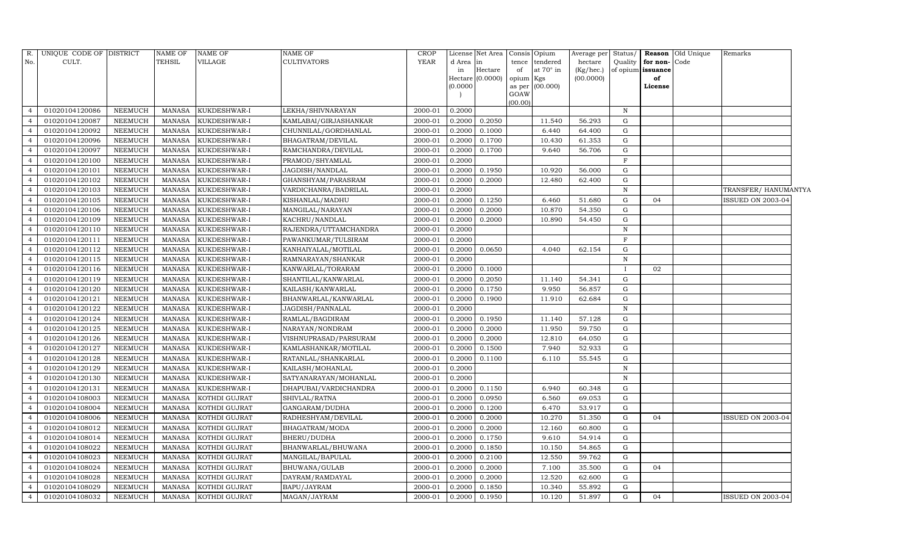| R.             | UNIQUE CODE OF DISTRICT |                | <b>NAME OF</b> | <b>NAME OF</b> | NAME OF               | <b>CROP</b> |                     | License Net Area |                | Consis Opium     | Average per Status/ |              |                   | Reason Old Unique | Remarks                  |  |
|----------------|-------------------------|----------------|----------------|----------------|-----------------------|-------------|---------------------|------------------|----------------|------------------|---------------------|--------------|-------------------|-------------------|--------------------------|--|
| No.            | CULT.                   |                | TEHSIL         | VILLAGE        | <b>CULTIVATORS</b>    | <b>YEAR</b> | d Area              | in               | tence          | tendered         | hectare             | Quality      | for non-Code      |                   |                          |  |
|                |                         |                |                |                |                       |             | in                  | Hectare          | of             | at $70^\circ$ in | (Kg/hec.)           |              | of opium issuance |                   |                          |  |
|                |                         |                |                |                |                       |             | Hectare<br>(0.0000) | (0.0000)         | opium          | Kgs              | (00.0000)           |              | of                |                   |                          |  |
|                |                         |                |                |                |                       |             |                     |                  | as per<br>GOAW | (00.000)         |                     |              | License           |                   |                          |  |
|                |                         |                |                |                |                       |             |                     |                  | (00.00)        |                  |                     |              |                   |                   |                          |  |
| $\overline{4}$ | 01020104120086          | <b>NEEMUCH</b> | <b>MANASA</b>  | KUKDESHWAR-I   | LEKHA/SHIVNARAYAN     | 2000-01     | 0.2000              |                  |                |                  |                     | $\mathbb N$  |                   |                   |                          |  |
| $\overline{4}$ | 01020104120087          | NEEMUCH        | <b>MANASA</b>  | KUKDESHWAR-I   | KAMLABAI/GIRJASHANKAR | 2000-01     | 0.2000              | 0.2050           |                | 11.540           | 56.293              | G            |                   |                   |                          |  |
| $\overline{4}$ | 01020104120092          | <b>NEEMUCH</b> | <b>MANASA</b>  | KUKDESHWAR-I   | CHUNNILAL/GORDHANLAL  | 2000-01     | 0.2000              | 0.1000           |                | 6.440            | 64.400              | G            |                   |                   |                          |  |
| $\overline{4}$ | 01020104120096          | <b>NEEMUCH</b> | <b>MANASA</b>  | KUKDESHWAR-I   | BHAGATRAM/DEVILAL     | 2000-01     | 0.2000              | 0.1700           |                | 10.430           | 61.353              | G            |                   |                   |                          |  |
| $\overline{4}$ | 01020104120097          | <b>NEEMUCH</b> | <b>MANASA</b>  | KUKDESHWAR-I   | RAMCHANDRA/DEVILAL    | 2000-01     | 0.2000              | 0.1700           |                | 9.640            | 56.706              | G            |                   |                   |                          |  |
|                | 01020104120100          | NEEMUCH        | <b>MANASA</b>  | KUKDESHWAR-I   | PRAMOD/SHYAMLAL       | 2000-01     | 0.2000              |                  |                |                  |                     | F            |                   |                   |                          |  |
| $\overline{4}$ | 01020104120101          | NEEMUCH        | <b>MANASA</b>  | KUKDESHWAR-I   | JAGDISH/NANDLAL       | 2000-01     | 0.2000              | 0.1950           |                | 10.920           | 56.000              | G            |                   |                   |                          |  |
| $\overline{4}$ | 01020104120102          | <b>NEEMUCH</b> | <b>MANASA</b>  | KUKDESHWAR-I   | GHANSHYAM/PARASRAM    | 2000-01     | 0.2000              | 0.2000           |                | 12.480           | 62.400              | G            |                   |                   |                          |  |
| $\overline{4}$ | 01020104120103          | <b>NEEMUCH</b> | <b>MANASA</b>  | KUKDESHWAR-I   | VARDICHANRA/BADRILAL  | 2000-01     | 0.2000              |                  |                |                  |                     | $\mathbf N$  |                   |                   | TRANSFER/HANUMANTYA      |  |
| $\overline{4}$ | 01020104120105          | NEEMUCH        | <b>MANASA</b>  | KUKDESHWAR-I   | KISHANLAL/MADHU       | 2000-01     | 0.2000              | 0.1250           |                | 6.460            | 51.680              | $\mathbf G$  | 04                |                   | <b>ISSUED ON 2003-04</b> |  |
| $\overline{4}$ | 01020104120106          | <b>NEEMUCH</b> | <b>MANASA</b>  | KUKDESHWAR-I   | MANGILAL/NARAYAN      | 2000-01     | 0.2000              | 0.2000           |                | 10.870           | 54.350              | G            |                   |                   |                          |  |
| $\overline{4}$ | 01020104120109          | NEEMUCH        | <b>MANASA</b>  | KUKDESHWAR-I   | KACHRU/NANDLAL        | 2000-01     | 0.2000              | 0.2000           |                | 10.890           | 54.450              | G            |                   |                   |                          |  |
| $\overline{4}$ | 01020104120110          | NEEMUCH        | <b>MANASA</b>  | KUKDESHWAR-I   | RAJENDRA/UTTAMCHANDRA | 2000-01     | 0.2000              |                  |                |                  |                     | $\mathbf N$  |                   |                   |                          |  |
| $\overline{4}$ | 01020104120111          | <b>NEEMUCH</b> | <b>MANASA</b>  | KUKDESHWAR-I   | PAWANKUMAR/TULSIRAM   | 2000-01     | 0.2000              |                  |                |                  |                     | $\mathbf F$  |                   |                   |                          |  |
| $\overline{4}$ | 01020104120112          | <b>NEEMUCH</b> | <b>MANASA</b>  | KUKDESHWAR-I   | KANHAIYALAL/MOTILAL   | 2000-01     | 0.2000              | 0.0650           |                | 4.040            | 62.154              | G            |                   |                   |                          |  |
| $\overline{4}$ | 01020104120115          | <b>NEEMUCH</b> | <b>MANASA</b>  | KUKDESHWAR-I   | RAMNARAYAN/SHANKAR    | 2000-01     | 0.2000              |                  |                |                  |                     | $\mathbf N$  |                   |                   |                          |  |
| $\overline{4}$ | 01020104120116          | <b>NEEMUCH</b> | <b>MANASA</b>  | KUKDESHWAR-I   | KANWARLAL/TORARAM     | 2000-01     | 0.2000              | 0.1000           |                |                  |                     | $\mathbf{I}$ | 02                |                   |                          |  |
| $\overline{4}$ | 01020104120119          | NEEMUCH        | <b>MANASA</b>  | KUKDESHWAR-I   | SHANTILAL/KANWARLAL   | 2000-01     | 0.2000              | 0.2050           |                | 11.140           | 54.341              | G            |                   |                   |                          |  |
| $\overline{4}$ | 01020104120120          | <b>NEEMUCH</b> | <b>MANASA</b>  | KUKDESHWAR-I   | KAILASH/KANWARLAL     | 2000-01     | 0.2000              | 0.1750           |                | 9.950            | 56.857              | G            |                   |                   |                          |  |
| $\overline{4}$ | 01020104120121          | <b>NEEMUCH</b> | <b>MANASA</b>  | KUKDESHWAR-I   | BHANWARLAL/KANWARLAL  | 2000-01     | 0.2000              | 0.1900           |                | 11.910           | 62.684              | G            |                   |                   |                          |  |
| $\overline{4}$ | 01020104120122          | NEEMUCH        | <b>MANASA</b>  | KUKDESHWAR-I   | JAGDISH/PANNALAL      | 2000-01     | 0.2000              |                  |                |                  |                     | $\mathbf N$  |                   |                   |                          |  |
| $\overline{4}$ | 01020104120124          | NEEMUCH        | <b>MANASA</b>  | KUKDESHWAR-I   | RAMLAL/BAGDIRAM       | 2000-01     | 0.2000              | 0.1950           |                | 11.140           | 57.128              | G            |                   |                   |                          |  |
| $\overline{4}$ | 01020104120125          | <b>NEEMUCH</b> | <b>MANASA</b>  | KUKDESHWAR-I   | NARAYAN/NONDRAM       | 2000-01     | 0.2000              | 0.2000           |                | 11.950           | 59.750              | G            |                   |                   |                          |  |
| $\overline{4}$ | 01020104120126          | <b>NEEMUCH</b> | <b>MANASA</b>  | KUKDESHWAR-I   | VISHNUPRASAD/PARSURAM | 2000-01     | 0.2000              | 0.2000           |                | 12.810           | 64.050              | G            |                   |                   |                          |  |
| $\overline{4}$ | 01020104120127          | NEEMUCH        | <b>MANASA</b>  | KUKDESHWAR-I   | KAMLASHANKAR/MOTILAL  | 2000-01     | 0.2000              | 0.1500           |                | 7.940            | 52.933              | G            |                   |                   |                          |  |
| $\overline{4}$ | 01020104120128          | <b>NEEMUCH</b> | <b>MANASA</b>  | KUKDESHWAR-I   | RATANLAL/SHANKARLAL   | 2000-01     | 0.2000              | 0.1100           |                | 6.110            | 55.545              | G            |                   |                   |                          |  |
| $\overline{4}$ | 01020104120129          | NEEMUCH        | <b>MANASA</b>  | KUKDESHWAR-I   | KAILASH/MOHANLAL      | 2000-01     | 0.2000              |                  |                |                  |                     | $\mathbf N$  |                   |                   |                          |  |
| $\overline{4}$ | 01020104120130          | <b>NEEMUCH</b> | <b>MANASA</b>  | KUKDESHWAR-I   | SATYANARAYAN/MOHANLAL | 2000-01     | 0.2000              |                  |                |                  |                     | $\mathbf N$  |                   |                   |                          |  |
| $\overline{4}$ | 01020104120131          | NEEMUCH        | <b>MANASA</b>  | KUKDESHWAR-I   | DHAPUBAI/VARDICHANDRA | 2000-01     | 0.2000              | 0.1150           |                | 6.940            | 60.348              | G            |                   |                   |                          |  |
| $\overline{4}$ | 01020104108003          | <b>NEEMUCH</b> | <b>MANASA</b>  | KOTHDI GUJRAT  | SHIVLAL/RATNA         | 2000-01     | 0.2000              | 0.0950           |                | 6.560            | 69.053              | G            |                   |                   |                          |  |
| $\overline{4}$ | 01020104108004          | <b>NEEMUCH</b> | <b>MANASA</b>  | KOTHDI GUJRAT  | GANGARAM/DUDHA        | 2000-01     | 0.2000              | 0.1200           |                | 6.470            | 53.917              | G            |                   |                   |                          |  |
| $\overline{4}$ | 01020104108006          | <b>NEEMUCH</b> | <b>MANASA</b>  | KOTHDI GUJRAT  | RADHESHYAM/DEVILAL    | 2000-01     | 0.2000              | 0.2000           |                | 10.270           | 51.350              | G            | 04                |                   | <b>ISSUED ON 2003-04</b> |  |
|                | 01020104108012          | <b>NEEMUCH</b> | <b>MANASA</b>  | KOTHDI GUJRAT  | BHAGATRAM/MODA        | 2000-01     | 0.2000              | 0.2000           |                | 12.160           | 60.800              | G            |                   |                   |                          |  |
| $\overline{4}$ | 01020104108014          | <b>NEEMUCH</b> | <b>MANASA</b>  | KOTHDI GUJRAT  | BHERU/DUDHA           | 2000-01     | 0.2000              | 0.1750           |                | 9.610            | 54.914              | G            |                   |                   |                          |  |
| $\overline{4}$ | 01020104108022          | <b>NEEMUCH</b> | <b>MANASA</b>  | KOTHDI GUJRAT  | BHANWARLAL/BHUWANA    | 2000-01     | 0.2000              | 0.1850           |                | 10.150           | 54.865              | G            |                   |                   |                          |  |
| $\overline{4}$ | 01020104108023          | NEEMUCH        | <b>MANASA</b>  | KOTHDI GUJRAT  | MANGILAL/BAPULAL      | 2000-01     | 0.2000              | 0.2100           |                | 12.550           | 59.762              | G            |                   |                   |                          |  |
| $\overline{4}$ | 01020104108024          | NEEMUCH        | <b>MANASA</b>  | KOTHDI GUJRAT  | BHUWANA/GULAB         | 2000-01     | 0.2000              | 0.2000           |                | 7.100            | 35.500              | G            | 04                |                   |                          |  |
| $\overline{4}$ | 01020104108028          | NEEMUCH        | <b>MANASA</b>  | KOTHDI GUJRAT  | DAYRAM/RAMDAYAL       | 2000-01     | 0.2000              | 0.2000           |                | 12.520           | 62.600              | G            |                   |                   |                          |  |
| $\overline{4}$ | 01020104108029          | NEEMUCH        | <b>MANASA</b>  | KOTHDI GUJRAT  | BAPU/JAYRAM           | 2000-01     | 0.2000              | 0.1850           |                | 10.340           | 55.892              | G            |                   |                   |                          |  |
| $\overline{4}$ | 01020104108032          | <b>NEEMUCH</b> | <b>MANASA</b>  | KOTHDI GUJRAT  | MAGAN/JAYRAM          | 2000-01     | 0.2000              | 0.1950           |                | 10.120           | 51.897              | G            | 04                |                   | <b>ISSUED ON 2003-04</b> |  |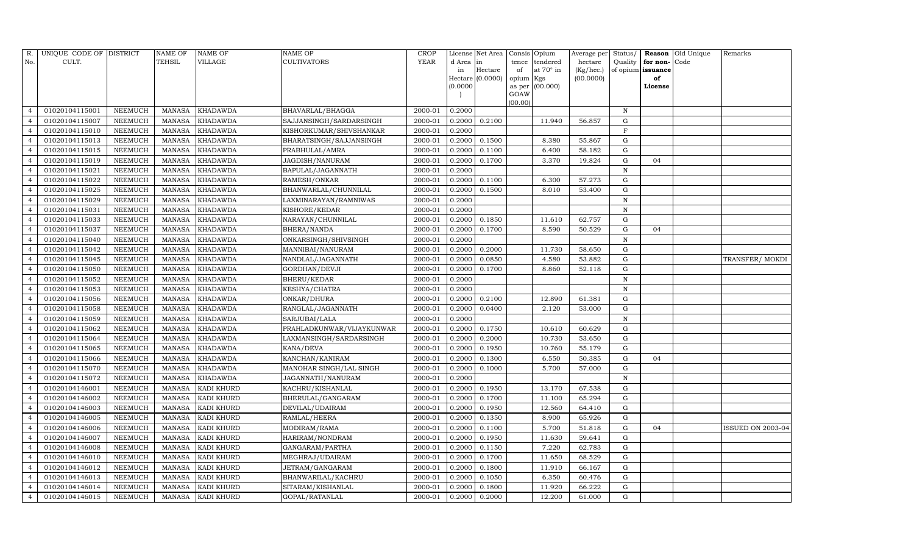| R.             | UNIQUE CODE OF DISTRICT |                | <b>NAME OF</b> | <b>NAME OF</b>    | <b>NAME OF</b>            | CROP    |           | License Net Area | Consis Opium   |                  | Average per | Status/      | <b>Reason</b>        | Old Unique | Remarks           |
|----------------|-------------------------|----------------|----------------|-------------------|---------------------------|---------|-----------|------------------|----------------|------------------|-------------|--------------|----------------------|------------|-------------------|
| No.            | CULT.                   |                | TEHSIL         | VILLAGE           | <b>CULTIVATORS</b>        | YEAR    | d Area in |                  | tence          | tendered         | hectare     |              | Quality $ $ for non- | Code       |                   |
|                |                         |                |                |                   |                           |         | in        | Hectare          | of             | at $70^\circ$ in | (Kg/hec.)   |              | of opium issuance    |            |                   |
|                |                         |                |                |                   |                           |         | (0.0000)  | Hectare (0.0000) | opium Kgs      |                  | (00.0000)   |              | of                   |            |                   |
|                |                         |                |                |                   |                           |         |           |                  | as per<br>GOAW | (00.000)         |             |              | License              |            |                   |
|                |                         |                |                |                   |                           |         |           |                  | (00.00)        |                  |             |              |                      |            |                   |
| $\overline{4}$ | 01020104115001          | NEEMUCH        | MANASA         | <b>KHADAWDA</b>   | BHAVARLAL/BHAGGA          | 2000-01 | 0.2000    |                  |                |                  |             | N            |                      |            |                   |
| $\overline{4}$ | 01020104115007          | <b>NEEMUCH</b> | <b>MANASA</b>  | <b>KHADAWDA</b>   | SAJJANSINGH/SARDARSINGH   | 2000-01 | 0.2000    | 0.2100           |                | 11.940           | 56.857      | G            |                      |            |                   |
| $\overline{4}$ | 01020104115010          | <b>NEEMUCH</b> | <b>MANASA</b>  | <b>KHADAWDA</b>   | KISHORKUMAR/SHIVSHANKAR   | 2000-01 | 0.2000    |                  |                |                  |             | $\mathbf F$  |                      |            |                   |
| $\overline{4}$ | 01020104115013          | NEEMUCH        | <b>MANASA</b>  | KHADAWDA          | BHARATSINGH/SAJJANSINGH   | 2000-01 | 0.2000    | 0.1500           |                | 8.380            | 55.867      | G            |                      |            |                   |
| $\overline{4}$ | 01020104115015          | NEEMUCH        | <b>MANASA</b>  | <b>KHADAWDA</b>   | PRABHULAL/AMRA            | 2000-01 | 0.2000    | 0.1100           |                | 6.400            | 58.182      | $\mathbf G$  |                      |            |                   |
| $\overline{4}$ | 01020104115019          | NEEMUCH        | <b>MANASA</b>  | <b>KHADAWDA</b>   | JAGDISH/NANURAM           | 2000-01 | 0.2000    | 0.1700           |                | 3.370            | 19.824      | $\mathbf G$  | 04                   |            |                   |
| $\overline{4}$ | 01020104115021          | <b>NEEMUCH</b> | <b>MANASA</b>  | <b>KHADAWDA</b>   | BAPULAL/JAGANNATH         | 2000-01 | 0.2000    |                  |                |                  |             | $\, {\rm N}$ |                      |            |                   |
| $\overline{4}$ | 01020104115022          | NEEMUCH        | <b>MANASA</b>  | <b>KHADAWDA</b>   | RAMESH/ONKAR              | 2000-01 | 0.2000    | 0.1100           |                | 6.300            | 57.273      | G            |                      |            |                   |
| $\overline{4}$ | 01020104115025          | NEEMUCH        | <b>MANASA</b>  | <b>KHADAWDA</b>   | BHANWARLAL/CHUNNILAL      | 2000-01 | 0.2000    | 0.1500           |                | 8.010            | 53.400      | $\mathbf G$  |                      |            |                   |
| $\overline{4}$ | 01020104115029          | <b>NEEMUCH</b> | <b>MANASA</b>  | <b>KHADAWDA</b>   | LAXMINARAYAN/RAMNIWAS     | 2000-01 | 0.2000    |                  |                |                  |             | $\, {\rm N}$ |                      |            |                   |
| $\overline{4}$ | 01020104115031          | NEEMUCH        | <b>MANASA</b>  | <b>KHADAWDA</b>   | KISHORE/KEDAR             | 2000-01 | 0.2000    |                  |                |                  |             | $\mathbf N$  |                      |            |                   |
| $\overline{4}$ | 01020104115033          | NEEMUCH        | <b>MANASA</b>  | <b>KHADAWDA</b>   | NARAYAN/CHUNNILAL         | 2000-01 | 0.2000    | 0.1850           |                | 11.610           | 62.757      | $\mathbf G$  |                      |            |                   |
| $\overline{4}$ | 01020104115037          | <b>NEEMUCH</b> | <b>MANASA</b>  | <b>KHADAWDA</b>   | BHERA/NANDA               | 2000-01 | 0.2000    | 0.1700           |                | 8.590            | 50.529      | ${\rm G}$    | 04                   |            |                   |
| $\overline{4}$ | 01020104115040          | <b>NEEMUCH</b> | <b>MANASA</b>  | <b>KHADAWDA</b>   | ONKARSINGH/SHIVSINGH      | 2000-01 | 0.2000    |                  |                |                  |             | $\, {\rm N}$ |                      |            |                   |
| $\overline{4}$ | 01020104115042          | NEEMUCH        | <b>MANASA</b>  | KHADAWDA          | MANNIBAI/NANURAM          | 2000-01 | 0.2000    | 0.2000           |                | 11.730           | 58.650      | G            |                      |            |                   |
| $\overline{4}$ | 01020104115045          | NEEMUCH        | <b>MANASA</b>  | <b>KHADAWDA</b>   | NANDLAL/JAGANNATH         | 2000-01 | 0.2000    | 0.0850           |                | 4.580            | 53.882      | G            |                      |            | TRANSFER/MOKDI    |
| $\overline{4}$ | 01020104115050          | NEEMUCH        | <b>MANASA</b>  | <b>KHADAWDA</b>   | GORDHAN/DEVJI             | 2000-01 | 0.2000    | 0.1700           |                | 8.860            | 52.118      | $\mathbf G$  |                      |            |                   |
| $\overline{4}$ | 01020104115052          | NEEMUCH        | <b>MANASA</b>  | KHADAWDA          | BHERU/KEDAR               | 2000-01 | 0.2000    |                  |                |                  |             | $\, {\rm N}$ |                      |            |                   |
| $\overline{4}$ | 01020104115053          | NEEMUCH        | <b>MANASA</b>  | KHADAWDA          | KESHYA/CHATRA             | 2000-01 | 0.2000    |                  |                |                  |             | $\, {\rm N}$ |                      |            |                   |
| $\overline{4}$ | 01020104115056          | NEEMUCH        | <b>MANASA</b>  | <b>KHADAWDA</b>   | ONKAR/DHURA               | 2000-01 | 0.2000    | 0.2100           |                | 12.890           | 61.381      | G            |                      |            |                   |
| $\overline{4}$ | 01020104115058          | <b>NEEMUCH</b> | <b>MANASA</b>  | <b>KHADAWDA</b>   | RANGLAL/JAGANNATH         | 2000-01 | 0.2000    | 0.0400           |                | 2.120            | 53.000      | G            |                      |            |                   |
| $\overline{4}$ | 01020104115059          | NEEMUCH        | <b>MANASA</b>  | <b>KHADAWDA</b>   | SARJUBAI/LALA             | 2000-01 | 0.2000    |                  |                |                  |             | $\, {\rm N}$ |                      |            |                   |
| $\overline{4}$ | 01020104115062          | NEEMUCH        | <b>MANASA</b>  | <b>KHADAWDA</b>   | PRAHLADKUNWAR/VIJAYKUNWAR | 2000-01 | 0.2000    | 0.1750           |                | 10.610           | 60.629      | ${\rm G}$    |                      |            |                   |
| $\overline{4}$ | 01020104115064          | <b>NEEMUCH</b> | <b>MANASA</b>  | <b>KHADAWDA</b>   | LAXMANSINGH/SARDARSINGH   | 2000-01 | 0.2000    | 0.2000           |                | 10.730           | 53.650      | ${\rm G}$    |                      |            |                   |
| $\overline{4}$ | 01020104115065          | NEEMUCH        | <b>MANASA</b>  | <b>KHADAWDA</b>   | KANA/DEVA                 | 2000-01 | 0.2000    | 0.1950           |                | 10.760           | 55.179      | ${\rm G}$    |                      |            |                   |
| $\overline{4}$ | 01020104115066          | NEEMUCH        | <b>MANASA</b>  | KHADAWDA          | KANCHAN/KANIRAM           | 2000-01 | 0.2000    | 0.1300           |                | 6.550            | 50.385      | G            | 04                   |            |                   |
| $\overline{4}$ | 01020104115070          | NEEMUCH        | <b>MANASA</b>  | <b>KHADAWDA</b>   | MANOHAR SINGH/LAL SINGH   | 2000-01 | 0.2000    | 0.1000           |                | 5.700            | 57.000      | $\mathbf G$  |                      |            |                   |
| $\overline{4}$ | 01020104115072          | NEEMUCH        | <b>MANASA</b>  | <b>KHADAWDA</b>   | JAGANNATH/NANURAM         | 2000-01 | 0.2000    |                  |                |                  |             | $\mathbb N$  |                      |            |                   |
| $\overline{4}$ | 01020104146001          | <b>NEEMUCH</b> | <b>MANASA</b>  | KADI KHURD        | KACHRU/KISHANLAL          | 2000-01 | 0.2000    | 0.1950           |                | 13.170           | 67.538      | G            |                      |            |                   |
| $\overline{4}$ | 01020104146002          | NEEMUCH        | <b>MANASA</b>  | KADI KHURD        | BHERULAL/GANGARAM         | 2000-01 | 0.2000    | 0.1700           |                | 11.100           | 65.294      | G            |                      |            |                   |
| $\overline{4}$ | 01020104146003          | NEEMUCH        | <b>MANASA</b>  | KADI KHURD        | DEVILAL/UDAIRAM           | 2000-01 | 0.2000    | 0.1950           |                | 12.560           | 64.410      | G            |                      |            |                   |
| $\overline{4}$ | 01020104146005          | <b>NEEMUCH</b> | <b>MANASA</b>  | KADI KHURD        | RAMLAL/HEERA              | 2000-01 | 0.2000    | 0.1350           |                | 8.900            | 65.926      | ${\rm G}$    |                      |            |                   |
| $\overline{4}$ | 01020104146006          | NEEMUCH        | <b>MANASA</b>  | KADI KHURD        | MODIRAM/RAMA              | 2000-01 | 0.2000    | 0.1100           |                | 5.700            | 51.818      | ${\rm G}$    | 04                   |            | ISSUED ON 2003-04 |
| $\overline{4}$ | 01020104146007          | NEEMUCH        | <b>MANASA</b>  | <b>KADI KHURD</b> | HARIRAM/NONDRAM           | 2000-01 | 0.2000    | 0.1950           |                | 11.630           | 59.641      | G            |                      |            |                   |
| $\overline{4}$ | 01020104146008          | NEEMUCH        | <b>MANASA</b>  | <b>KADI KHURD</b> | GANGARAM/PARTHA           | 2000-01 | 0.2000    | 0.1150           |                | 7.220            | 62.783      | ${\rm G}$    |                      |            |                   |
| $\overline{4}$ | 01020104146010          | NEEMUCH        | <b>MANASA</b>  | KADI KHURD        | MEGHRAJ/UDAIRAM           | 2000-01 | 0.2000    | 0.1700           |                | 11.650           | 68.529      | G            |                      |            |                   |
| $\overline{4}$ | 01020104146012          | NEEMUCH        | <b>MANASA</b>  | <b>KADI KHURD</b> | JETRAM/GANGARAM           | 2000-01 | 0.2000    | 0.1800           |                | 11.910           | 66.167      | G            |                      |            |                   |
| $\overline{4}$ | 01020104146013          | NEEMUCH        | <b>MANASA</b>  | KADI KHURD        | BHANWARILAL/KACHRU        | 2000-01 | 0.2000    | 0.1050           |                | 6.350            | 60.476      | ${\rm G}$    |                      |            |                   |
| $\overline{4}$ | 01020104146014          | <b>NEEMUCH</b> | <b>MANASA</b>  | KADI KHURD        | SITARAM/KISHANLAL         | 2000-01 | 0.2000    | 0.1800           |                | 11.920           | 66.222      | G            |                      |            |                   |
| $\overline{4}$ | 01020104146015          | <b>NEEMUCH</b> | MANASA         | <b>KADI KHURD</b> | GOPAL/RATANLAL            | 2000-01 | 0.2000    | 0.2000           |                | 12.200           | 61.000      | G            |                      |            |                   |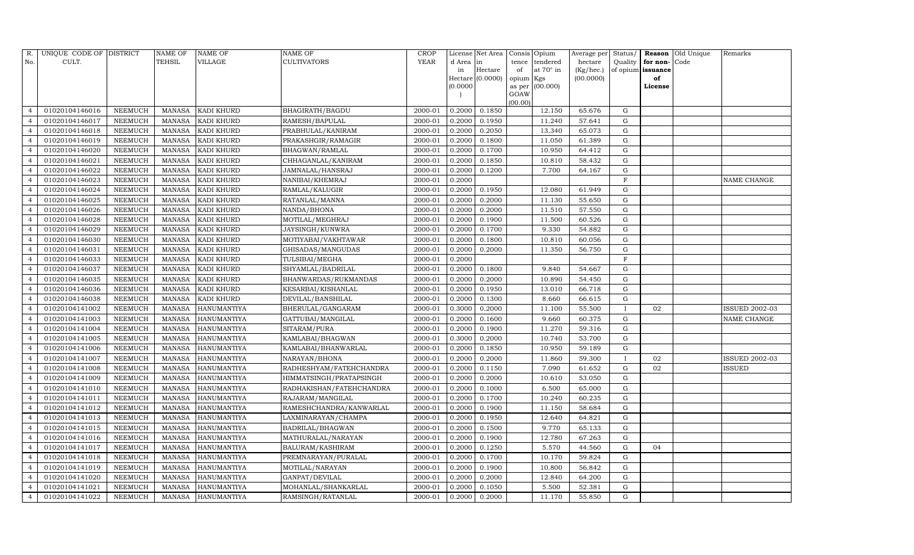| R.             | UNIQUE CODE OF DISTRICT |                | <b>NAME OF</b> | <b>NAME OF</b>     | <b>NAME OF</b>           | CROP        |           | License Net Area | Consis Opium |                  | Average per | Status/      |                   | Reason Old Unique | Remarks               |
|----------------|-------------------------|----------------|----------------|--------------------|--------------------------|-------------|-----------|------------------|--------------|------------------|-------------|--------------|-------------------|-------------------|-----------------------|
| No.            | CULT.                   |                | <b>TEHSIL</b>  | VILLAGE            | <b>CULTIVATORS</b>       | YEAR        | d Area in |                  | tence        | tendered         | hectare     | Quality      | for non-          | Code              |                       |
|                |                         |                |                |                    |                          |             | in        | Hectare          | of           | at $70^\circ$ in | (Kg/hec.)   |              | of opium issuance |                   |                       |
|                |                         |                |                |                    |                          |             | (0.0000)  | Hectare (0.0000) | opium Kgs    | as per (00.000)  | (00.0000)   |              | of<br>License     |                   |                       |
|                |                         |                |                |                    |                          |             |           |                  | GOAW         |                  |             |              |                   |                   |                       |
|                |                         |                |                |                    |                          |             |           |                  | (00.00)      |                  |             |              |                   |                   |                       |
| $\overline{4}$ | 01020104146016          | NEEMUCH        | MANASA         | KADI KHURD         | BHAGIRATH/BAGDU          | 2000-01     | 0.2000    | 0.1850           |              | 12.150           | 65.676      | G            |                   |                   |                       |
| $\overline{4}$ | 01020104146017          | <b>NEEMUCH</b> | MANASA         | <b>KADI KHURD</b>  | RAMESH/BAPULAL           | 2000-01     | 0.2000    | 0.1950           |              | 11.240           | 57.641      | G            |                   |                   |                       |
| $\overline{4}$ | 01020104146018          | <b>NEEMUCH</b> | MANASA         | KADI KHURD         | PRABHULAL/KANIRAM        | 2000-01     | 0.2000    | 0.2050           |              | 13.340           | 65.073      | G            |                   |                   |                       |
| $\overline{4}$ | 01020104146019          | NEEMUCH        | MANASA         | <b>KADI KHURD</b>  | PRAKASHGIR/RAMAGIR       | 2000-01     | 0.2000    | 0.1800           |              | 11.050           | 61.389      | $\mathbf G$  |                   |                   |                       |
| $\overline{4}$ | 01020104146020          | NEEMUCH        | MANASA         | <b>KADI KHURD</b>  | <b>BHAGWAN/RAMLAL</b>    | 2000-01     | 0.2000    | 0.1700           |              | 10.950           | 64.412      | ${\rm G}$    |                   |                   |                       |
|                | 01020104146021          | NEEMUCH        | MANASA         | KADI KHURD         | CHHAGANLAL/KANIRAM       | 2000-01     | 0.2000    | 0.1850           |              | 10.810           | 58.432      | ${\rm G}$    |                   |                   |                       |
| $\overline{4}$ | 01020104146022          | NEEMUCH        | MANASA         | KADI KHURD         | JAMNALAL/HANSRAJ         | $2000 - 01$ | 0.2000    | 0.1200           |              | 7.700            | 64.167      | G            |                   |                   |                       |
| $\overline{4}$ | 01020104146023          | <b>NEEMUCH</b> | MANASA         | KADI KHURD         | NANIBAI/KHEMRAJ          | 2000-01     | 0.2000    |                  |              |                  |             | $\mathbf F$  |                   |                   | NAME CHANGE           |
| $\overline{4}$ | 01020104146024          | <b>NEEMUCH</b> | MANASA         | KADI KHURD         | RAMLAL/KALUGIR           | 2000-01     | 0.2000    | 0.1950           |              | 12.080           | 61.949      | $\mathbf G$  |                   |                   |                       |
|                | 01020104146025          | NEEMUCH        | MANASA         | KADI KHURD         | RATANLAL/MANNA           | 2000-01     | 0.2000    | 0.2000           |              | 11.130           | 55.650      | ${\rm G}$    |                   |                   |                       |
| $\overline{4}$ | 01020104146026          | NEEMUCH        | MANASA         | KADI KHURD         | NANDA/BHONA              | 2000-01     | 0.2000    | 0.2000           |              | 11.510           | 57.550      | ${\rm G}$    |                   |                   |                       |
| $\overline{4}$ | 01020104146028          | <b>NEEMUCH</b> | MANASA         | <b>KADI KHURD</b>  | MOTILAL/MEGHRAJ          | 2000-01     | 0.2000    | 0.1900           |              | 11.500           | 60.526      | $\mathbf G$  |                   |                   |                       |
| $\overline{4}$ | 01020104146029          | NEEMUCH        | <b>MANASA</b>  | KADI KHURD         | JAYSINGH/KUNWRA          | 2000-01     | 0.2000    | 0.1700           |              | 9.330            | 54.882      | G            |                   |                   |                       |
| $\overline{4}$ | 01020104146030          | <b>NEEMUCH</b> | MANASA         | KADI KHURD         | MOTIYABAI/VAKHTAWAR      | 2000-01     | 0.2000    | 0.1800           |              | 10.810           | 60.056      | G            |                   |                   |                       |
| $\overline{4}$ | 01020104146031          | <b>NEEMUCH</b> | MANASA         | <b>KADI KHURD</b>  | GHISADAS/MANGUDAS        | 2000-01     | 0.2000    | 0.2000           |              | 11.350           | 56.750      | ${\rm G}$    |                   |                   |                       |
| $\overline{4}$ | 01020104146033          | <b>NEEMUCH</b> | MANASA         | KADI KHURD         | TULSIBAI/MEGHA           | 2000-01     | 0.2000    |                  |              |                  |             | $\mathbf F$  |                   |                   |                       |
|                | 01020104146037          | NEEMUCH        | <b>MANASA</b>  | KADI KHURD         | SHYAMLAL/BADRILAL        | 2000-01     | 0.2000    | 0.1800           |              | 9.840            | 54.667      | $\mathbf G$  |                   |                   |                       |
| $\overline{4}$ | 01020104146035          | <b>NEEMUCH</b> | MANASA         | KADI KHURD         | BHANWARDAS/RUKMANDAS     | 2000-01     | 0.2000    | 0.2000           |              | 10.890           | 54.450      | G            |                   |                   |                       |
| $\overline{4}$ | 01020104146036          | <b>NEEMUCH</b> | MANASA         | KADI KHURD         | KESARBAI/KISHANLAL       | 2000-01     | 0.2000    | 0.1950           |              | 13.010           | 66.718      | ${\rm G}$    |                   |                   |                       |
| $\overline{4}$ | 01020104146038          | <b>NEEMUCH</b> | MANASA         | KADI KHURD         | DEVILAL/BANSHILAL        | 2000-01     | 0.2000    | 0.1300           |              | 8.660            | 66.615      | $\mathbf G$  |                   |                   |                       |
| $\overline{4}$ | 01020104141002          | NEEMUCH        | MANASA         | HANUMANTIYA        | BHERULAL/GANGARAM        | 2000-01     | 0.3000    | 0.2000           |              | 11.100           | 55.500      | T            | 02                |                   | <b>ISSUED 2002-03</b> |
| $\overline{4}$ | 01020104141003          | NEEMUCH        | MANASA         | <b>HANUMANTIYA</b> | GATTUBAI/MANGILAL        | 2000-01     | 0.2000    | 0.1600           |              | 9.660            | 60.375      | G            |                   |                   | NAME CHANGE           |
| $\overline{4}$ | 01020104141004          | NEEMUCH        | MANASA         | <b>HANUMANTIYA</b> | SITARAM/PURA             | 2000-01     | 0.2000    | 0.1900           |              | 11.270           | 59.316      | $\mathbf G$  |                   |                   |                       |
| $\overline{4}$ | 01020104141005          | NEEMUCH        | MANASA         | <b>HANUMANTIYA</b> | KAMLABAI/BHAGWAN         | 2000-01     | 0.3000    | 0.2000           |              | 10.740           | 53.700      | G            |                   |                   |                       |
| $\overline{4}$ | 01020104141006          | <b>NEEMUCH</b> | MANASA         | <b>HANUMANTIYA</b> | KAMLABAI/BHANWARLAL      | 2000-01     | 0.2000    | 0.1850           |              | 10.950           | 59.189      | G            |                   |                   |                       |
| $\overline{4}$ | 01020104141007          | NEEMUCH        | MANASA         | <b>HANUMANTIYA</b> | NARAYAN/BHONA            | 2000-01     | 0.2000    | 0.2000           |              | 11.860           | 59.300      | $\mathbf{I}$ | 02                |                   | <b>ISSUED 2002-03</b> |
| $\overline{4}$ | 01020104141008          | NEEMUCH        | MANASA         | <b>HANUMANTIYA</b> | RADHESHYAM/FATEHCHANDRA  | 2000-01     | 0.2000    | 0.1150           |              | 7.090            | 61.652      | G            | 02                |                   | ISSUED                |
| $\overline{4}$ | 01020104141009          | <b>NEEMUCH</b> | MANASA         | <b>HANUMANTIYA</b> | HIMMATSINGH/PRATAPSINGH  | 2000-01     | 0.2000    | 0.2000           |              | 10.610           | 53.050      | $\mathbf G$  |                   |                   |                       |
| $\overline{4}$ | 01020104141010          | <b>NEEMUCH</b> | MANASA         | <b>HANUMANTIYA</b> | RADHAKISHAN/FATEHCHANDRA | 2000-01     | 0.2000    | 0.1000           |              | 6.500            | 65.000      | G            |                   |                   |                       |
| $\overline{4}$ | 01020104141011          | <b>NEEMUCH</b> | MANASA         | HANUMANTIYA        | RAJARAM/MANGILAL         | 2000-01     | 0.2000    | 0.1700           |              | 10.240           | 60.235      | ${\rm G}$    |                   |                   |                       |
| $\overline{4}$ | 01020104141012          | NEEMUCH        | MANASA         | <b>HANUMANTIYA</b> | RAMESHCHANDRA/KANWARLAL  | 2000-01     | 0.2000    | 0.1900           |              | 11.150           | 58.684      | ${\rm G}$    |                   |                   |                       |
|                | 01020104141013          | <b>NEEMUCH</b> | MANASA         | <b>HANUMANTIYA</b> | LAXMINARAYAN/CHAMPA      | 2000-01     | 0.2000    | 0.1950           |              | 12.640           | 64.821      | G            |                   |                   |                       |
| $\overline{4}$ | 01020104141015          | <b>NEEMUCH</b> | <b>MANASA</b>  | <b>HANUMANTIYA</b> | BADRILAL/BHAGWAN         | 2000-01     | 0.2000    | 0.1500           |              | 9.770            | 65.133      | G            |                   |                   |                       |
| $\overline{4}$ | 01020104141016          | NEEMUCH        | MANASA         | <b>HANUMANTIYA</b> | MATHURALAL/NARAYAN       | 2000-01     | 0.2000    | 0.1900           |              | 12.780           | 67.263      | G            |                   |                   |                       |
| $\overline{4}$ | 01020104141017          | <b>NEEMUCH</b> | MANASA         | HANUMANTIYA        | <b>BALURAM/KASHIRAM</b>  | 2000-01     | 0.2000    | 0.1250           |              | 5.570            | 44.560      | G            | 04                |                   |                       |
| $\Delta$       | 01020104141018          | <b>NEEMUCH</b> | MANASA         | <b>HANUMANTIYA</b> | PREMNARAYAN/PURALAL      | 2000-01     | 0.2000    | 0.1700           |              | 10.170           | 59.824      | $\mathbf G$  |                   |                   |                       |
| $\overline{4}$ | 01020104141019          | NEEMUCH        | MANASA         | <b>HANUMANTIYA</b> | MOTILAL/NARAYAN          | 2000-01     | 0.2000    | 0.1900           |              | 10.800           | 56.842      | G            |                   |                   |                       |
| $\overline{4}$ | 01020104141020          | NEEMUCH        | MANASA         | HANUMANTIYA        | GANPAT/DEVILAL           | 2000-01     | 0.2000    | 0.2000           |              | 12.840           | 64.200      | G            |                   |                   |                       |
| $\overline{4}$ | 01020104141021          | <b>NEEMUCH</b> | MANASA         | <b>HANUMANTIYA</b> | MOHANLAL/SHANKARLAL      | 2000-01     | 0.2000    | 0.1050           |              | 5.500            | 52.381      | $\mathbf G$  |                   |                   |                       |
| $\overline{4}$ | 01020104141022          | NEEMUCH        |                | MANASA HANUMANTIYA | RAMSINGH/RATANLAL        | 2000-01     | 0.2000    | 0.2000           |              | 11.170           | 55.850      | G            |                   |                   |                       |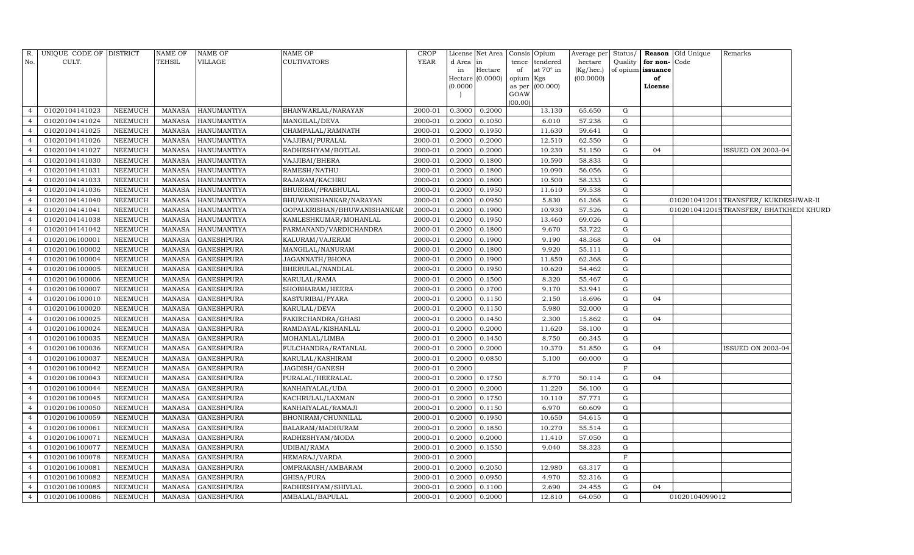|                | R. UNIQUE CODE OF DISTRICT |                | NAME OF       | NAME OF            | NAME OF                     | <b>CROP</b> |           | License Net Area |                | Consis Opium     | Average per | Status/     |                   | <b>Reason</b> Old Unique | Remarks                                |  |
|----------------|----------------------------|----------------|---------------|--------------------|-----------------------------|-------------|-----------|------------------|----------------|------------------|-------------|-------------|-------------------|--------------------------|----------------------------------------|--|
| No.            | CULT.                      |                | TEHSIL        | VILLAGE            | CULTIVATORS                 | <b>YEAR</b> | d Area in |                  | tence          | tendered         | hectare     | Quality     | for non-          | Code                     |                                        |  |
|                |                            |                |               |                    |                             |             | in        | Hectare          | of             | at $70^\circ$ in | (Kg/hec.)   |             | of opium issuance |                          |                                        |  |
|                |                            |                |               |                    |                             |             | 0.0000    | Hectare (0.0000) | opium Kgs      | (00.000)         | (00.0000)   |             | of<br>License     |                          |                                        |  |
|                |                            |                |               |                    |                             |             |           |                  | as per<br>GOAW |                  |             |             |                   |                          |                                        |  |
|                |                            |                |               |                    |                             |             |           |                  | (00.00)        |                  |             |             |                   |                          |                                        |  |
| $\overline{a}$ | 01020104141023             | NEEMUCH        | MANASA        | HANUMANTIYA        | BHANWARLAL/NARAYAN          | 2000-01     | 0.3000    | 0.2000           |                | 13.130           | 65.650      | G           |                   |                          |                                        |  |
|                | 01020104141024             | <b>NEEMUCH</b> | MANASA        | <b>HANUMANTIYA</b> | MANGILAL/DEVA               | 2000-01     | 0.2000    | 0.1050           |                | 6.010            | 57.238      | G           |                   |                          |                                        |  |
| $\overline{4}$ | 01020104141025             | <b>NEEMUCH</b> | <b>MANASA</b> | HANUMANTIYA        | CHAMPALAL/RAMNATH           | 2000-01     | 0.2000    | 0.1950           |                | 11.630           | 59.641      | G           |                   |                          |                                        |  |
| $\overline{4}$ | 01020104141026             | <b>NEEMUCH</b> | <b>MANASA</b> | <b>HANUMANTIYA</b> | VAJJIBAI/PURALAL            | 2000-01     | 0.2000    | 0.2000           |                | 12.510           | 62.550      | G           |                   |                          |                                        |  |
| $\overline{4}$ | 01020104141027             | <b>NEEMUCH</b> | <b>MANASA</b> | <b>HANUMANTIYA</b> | RADHESHYAM/BOTLAL           | 2000-01     | 0.2000    | 0.2000           |                | 10.230           | 51.150      | G           | 04                |                          | ISSUED ON 2003-04                      |  |
|                | 01020104141030             | NEEMUCH        | <b>MANASA</b> | HANUMANTIYA        | VAJJIBAI/BHERA              | 2000-01     | 0.2000    | 0.1800           |                | 10.590           | 58.833      | G           |                   |                          |                                        |  |
| $\overline{4}$ | 01020104141031             | <b>NEEMUCH</b> | <b>MANASA</b> | HANUMANTIYA        | RAMESH/NATHU                | 2000-01     | 0.2000    | 0.1800           |                | 10.090           | 56.056      | G           |                   |                          |                                        |  |
| $\overline{4}$ | 01020104141033             | <b>NEEMUCH</b> | <b>MANASA</b> | HANUMANTIYA        | RAJARAM/KACHRU              | 2000-01     | 0.2000    | 0.1800           |                | 10.500           | 58.333      | G           |                   |                          |                                        |  |
| $\overline{4}$ | 01020104141036             | <b>NEEMUCH</b> | <b>MANASA</b> | <b>HANUMANTIYA</b> | BHURIBAI/PRABHULAL          | 2000-01     | 0.2000    | 0.1950           |                | 11.610           | 59.538      | G           |                   |                          |                                        |  |
|                | 01020104141040             | <b>NEEMUCH</b> | <b>MANASA</b> | HANUMANTIYA        | BHUWANISHANKAR/NARAYAN      | 2000-01     | 0.2000    | 0.0950           |                | 5.830            | 61.368      | G           |                   |                          | 0102010412011 TRANSFER/KUKDESHWAR-II   |  |
| $\overline{4}$ | 01020104141041             | <b>NEEMUCH</b> | <b>MANASA</b> | <b>HANUMANTIYA</b> | GOPALKRISHAN/BHUWANISHANKAR | 2000-01     | 0.2000    | 0.1900           |                | 10.930           | 57.526      | ${\rm G}$   |                   |                          | 0102010412015TRANSFER/ BHATKHEDI KHURD |  |
| $\overline{4}$ | 01020104141038             | <b>NEEMUCH</b> | <b>MANASA</b> | <b>HANUMANTIYA</b> | KAMLESHKUMAR/MOHANLAL       | 2000-01     | 0.2000    | 0.1950           |                | 13.460           | 69.026      | G           |                   |                          |                                        |  |
| $\overline{4}$ | 01020104141042             | <b>NEEMUCH</b> | <b>MANASA</b> | <b>HANUMANTIYA</b> | PARMANAND/VARDICHANDRA      | 2000-01     | 0.2000    | 0.1800           |                | 9.670            | 53.722      | G           |                   |                          |                                        |  |
| $\overline{4}$ | 01020106100001             | <b>NEEMUCH</b> | <b>MANASA</b> | <b>GANESHPURA</b>  | KALURAM/VAJERAM             | 2000-01     | 0.2000    | 0.1900           |                | 9.190            | 48.368      | G           | 04                |                          |                                        |  |
| $\overline{4}$ | 01020106100002             | <b>NEEMUCH</b> | <b>MANASA</b> | <b>GANESHPURA</b>  | MANGILAL/NANURAM            | 2000-01     | 0.2000    | 0.1800           |                | 9.920            | 55.111      | G           |                   |                          |                                        |  |
| $\overline{4}$ | 01020106100004             | <b>NEEMUCH</b> | <b>MANASA</b> | <b>GANESHPURA</b>  | JAGANNATH/BHONA             | 2000-01     | 0.2000    | 0.1900           |                | 11.850           | 62.368      | $\mathbf G$ |                   |                          |                                        |  |
| $\overline{4}$ | 01020106100005             | <b>NEEMUCH</b> | <b>MANASA</b> | <b>GANESHPURA</b>  | BHERULAL/NANDLAL            | 2000-01     | 0.2000    | 0.1950           |                | 10.620           | 54.462      | G           |                   |                          |                                        |  |
| $\overline{4}$ | 01020106100006             | <b>NEEMUCH</b> | <b>MANASA</b> | <b>GANESHPURA</b>  | KARULAL/RAMA                | 2000-01     | 0.2000    | 0.1500           |                | 8.320            | 55.467      | G           |                   |                          |                                        |  |
| $\overline{4}$ | 01020106100007             | NEEMUCH        | <b>MANASA</b> | <b>GANESHPURA</b>  | SHOBHARAM/HEERA             | 2000-01     | 0.2000    | 0.1700           |                | 9.170            | 53.941      | G           |                   |                          |                                        |  |
| $\overline{4}$ | 01020106100010             | NEEMUCH        | MANASA        | <b>GANESHPURA</b>  | KASTURIBAI/PYARA            | 2000-01     | 0.2000    | 0.1150           |                | 2.150            | 18.696      | G           | 04                |                          |                                        |  |
| $\overline{4}$ | 01020106100020             | <b>NEEMUCH</b> | MANASA        | <b>GANESHPURA</b>  | KARULAL/DEVA                | 2000-01     | 0.2000    | 0.1150           |                | 5.980            | 52.000      | G           |                   |                          |                                        |  |
| $\overline{4}$ | 01020106100025             | NEEMUCH        | MANASA        | <b>GANESHPURA</b>  | FAKIRCHANDRA/GHASI          | 2000-01     | 0.2000    | 0.1450           |                | 2.300            | 15.862      | G           | 04                |                          |                                        |  |
| $\overline{4}$ | 01020106100024             | NEEMUCH        | MANASA        | <b>GANESHPURA</b>  | RAMDAYAL/KISHANLAL          | 2000-01     | 0.2000    | 0.2000           |                | 11.620           | 58.100      | G           |                   |                          |                                        |  |
| $\overline{4}$ | 01020106100035             | NEEMUCH        | MANASA        | <b>GANESHPURA</b>  | MOHANLAL/LIMBA              | 2000-01     | 0.2000    | 0.1450           |                | 8.750            | 60.345      | G           |                   |                          |                                        |  |
| $\overline{4}$ | 01020106100036             | <b>NEEMUCH</b> | <b>MANASA</b> | <b>GANESHPURA</b>  | FULCHANDRA/RATANLAL         | 2000-01     | 0.2000    | 0.2000           |                | 10.370           | 51.850      | G           | 04                |                          | <b>ISSUED ON 2003-04</b>               |  |
| $\overline{4}$ | 01020106100037             | NEEMUCH        | MANASA        | <b>GANESHPURA</b>  | KARULAL/KASHIRAM            | 2000-01     | 0.2000    | 0.0850           |                | 5.100            | 60.000      | G           |                   |                          |                                        |  |
| $\overline{4}$ | 01020106100042             | <b>NEEMUCH</b> | <b>MANASA</b> | <b>GANESHPURA</b>  | JAGDISH/GANESH              | 2000-01     | 0.2000    |                  |                |                  |             | $\mathbf F$ |                   |                          |                                        |  |
| $\overline{4}$ | 01020106100043             | <b>NEEMUCH</b> | MANASA        | <b>GANESHPURA</b>  | PURALAL/HEERALAL            | 2000-01     | 0.2000    | 0.1750           |                | 8.770            | 50.114      | G           | 04                |                          |                                        |  |
| $\overline{4}$ | 01020106100044             | <b>NEEMUCH</b> | <b>MANASA</b> | <b>GANESHPURA</b>  | KANHAIYALAL/UDA             | 2000-01     | 0.2000    | 0.2000           |                | 11.220           | 56.100      | G           |                   |                          |                                        |  |
| $\overline{4}$ | 01020106100045             | <b>NEEMUCH</b> | <b>MANASA</b> | <b>GANESHPURA</b>  | KACHRULAL/LAXMAN            | 2000-01     | 0.2000    | 0.1750           |                | 10.110           | 57.771      | G           |                   |                          |                                        |  |
| $\overline{4}$ | 01020106100050             | <b>NEEMUCH</b> | MANASA        | <b>GANESHPURA</b>  | KANHAIYALAL/RAMAJI          | 2000-01     | 0.2000    | 0.1150           |                | 6.970            | 60.609      | G           |                   |                          |                                        |  |
| $\Delta$       | 01020106100059             | <b>NEEMUCH</b> | <b>MANASA</b> | <b>GANESHPURA</b>  | BHONIRAM/CHUNNILAL          | 2000-01     | 0.2000    | 0.1950           |                | 10.650           | 54.615      | ${\rm G}$   |                   |                          |                                        |  |
| $\overline{4}$ | 01020106100061             | <b>NEEMUCH</b> | <b>MANASA</b> | <b>GANESHPURA</b>  | BALARAM/MADHURAM            | 2000-01     | 0.2000    | 0.1850           |                | 10.270           | 55.514      | G           |                   |                          |                                        |  |
| $\overline{4}$ | 01020106100071             | <b>NEEMUCH</b> | <b>MANASA</b> | <b>GANESHPURA</b>  | RADHESHYAM/MODA             | 2000-01     | 0.2000    | 0.2000           |                | 11.410           | 57.050      | G           |                   |                          |                                        |  |
| $\overline{4}$ | 01020106100077             | <b>NEEMUCH</b> | <b>MANASA</b> | <b>GANESHPURA</b>  | UDIBAI/RAMA                 | 2000-01     | 0.2000    | 0.1550           |                | 9.040            | 58.323      | G           |                   |                          |                                        |  |
| $\overline{4}$ | 01020106100078             | <b>NEEMUCH</b> | <b>MANASA</b> | <b>GANESHPURA</b>  | HEMARAJ/VARDA               | 2000-01     | 0.2000    |                  |                |                  |             | $\mathbf F$ |                   |                          |                                        |  |
| $\overline{4}$ | 01020106100081             | <b>NEEMUCH</b> | <b>MANASA</b> | <b>GANESHPURA</b>  | OMPRAKASH/AMBARAM           | 2000-01     | 0.2000    | 0.2050           |                | 12.980           | 63.317      | G           |                   |                          |                                        |  |
| $\overline{4}$ | 01020106100082             | <b>NEEMUCH</b> | <b>MANASA</b> | <b>GANESHPURA</b>  | GHISA/PURA                  | 2000-01     | 0.2000    | 0.0950           |                | 4.970            | 52.316      | G           |                   |                          |                                        |  |
| $\overline{4}$ | 01020106100085             | <b>NEEMUCH</b> | MANASA        | <b>GANESHPURA</b>  | RADHESHYAM/SHIVLAL          | 2000-01     | 0.2000    | 0.1100           |                | 2.690            | 24.455      | G           | 04                |                          |                                        |  |
| $\overline{4}$ | 01020106100086             | <b>NEEMUCH</b> | MANASA        | <b>GANESHPURA</b>  | AMBALAL/BAPULAL             | 2000-01     | 0.2000    | 0.2000           |                | 12.810           | 64.050      | G           |                   | 01020104099012           |                                        |  |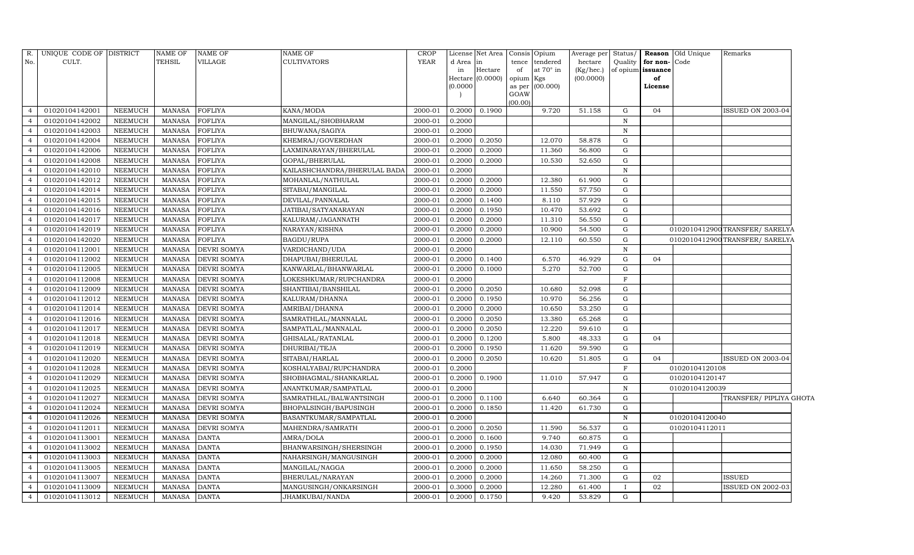| R.             | UNIQUE CODE OF DISTRICT |                | <b>NAME OF</b> | <b>NAME OF</b>     | <b>NAME OF</b>               | <b>CROP</b> |           | License Net Area Consis |                | Opium     | Average per | Status/      |                   | Reason Old Unique | Remarks                         |
|----------------|-------------------------|----------------|----------------|--------------------|------------------------------|-------------|-----------|-------------------------|----------------|-----------|-------------|--------------|-------------------|-------------------|---------------------------------|
| No.            | CULT.                   |                | TEHSIL         | <b>VILLAGE</b>     | <b>CULTIVATORS</b>           | <b>YEAR</b> | d Area in |                         | tence          | tendered  | hectare     | Quality      | for non-          | Code              |                                 |
|                |                         |                |                |                    |                              |             | in        | Hectare                 | of             | at 70° in | (Kg/hec.)   |              | of opium issuance |                   |                                 |
|                |                         |                |                |                    |                              |             |           | Hectare (0.0000)        | opium          | Kgs       | (00.0000)   |              | of                |                   |                                 |
|                |                         |                |                |                    |                              |             | (0.0000)  |                         | as per<br>GOAW | (00.000)  |             |              | License           |                   |                                 |
|                |                         |                |                |                    |                              |             |           |                         | (00.00)        |           |             |              |                   |                   |                                 |
| $\Delta$       | 01020104142001          | <b>NEEMUCH</b> | MANASA         | <b>FOFLIYA</b>     | KANA/MODA                    | 2000-01     | 0.2000    | 0.1900                  |                | 9.720     | 51.158      | G            | 04                |                   | ISSUED ON 2003-04               |
| $\overline{4}$ | 01020104142002          | NEEMUCH        | MANASA         | <b>FOFLIYA</b>     | MANGILAL/SHOBHARAM           | 2000-01     | 0.2000    |                         |                |           |             | $\, {\rm N}$ |                   |                   |                                 |
| $\overline{4}$ | 01020104142003          | <b>NEEMUCH</b> | <b>MANASA</b>  | <b>FOFLIYA</b>     | BHUWANA/SAGIYA               | 2000-01     | 0.2000    |                         |                |           |             | $\mathbf N$  |                   |                   |                                 |
| $\overline{4}$ | 01020104142004          | <b>NEEMUCH</b> | MANASA         | <b>FOFLIYA</b>     | KHEMRAJ/GOVERDHAN            | 2000-01     | 0.2000    | 0.2050                  |                | 12.070    | 58.878      | G            |                   |                   |                                 |
| $\overline{4}$ | 01020104142006          | <b>NEEMUCH</b> | <b>MANASA</b>  | <b>FOFLIYA</b>     | LAXMINARAYAN/BHERULAL        | 2000-01     | 0.2000    | 0.2000                  |                | 11.360    | 56.800      | ${\rm G}$    |                   |                   |                                 |
| $\overline{4}$ | 01020104142008          | <b>NEEMUCH</b> | <b>MANASA</b>  | <b>FOFLIYA</b>     | GOPAL/BHERULAL               | 2000-01     | 0.2000    | 0.2000                  |                | 10.530    | 52.650      | ${\rm G}$    |                   |                   |                                 |
| $\overline{4}$ | 01020104142010          | <b>NEEMUCH</b> | MANASA         | <b>FOFLIYA</b>     | KAILASHCHANDRA/BHERULAL BADA | 2000-01     | 0.2000    |                         |                |           |             | ${\bf N}$    |                   |                   |                                 |
| $\overline{4}$ | 01020104142012          | <b>NEEMUCH</b> | MANASA         | <b>FOFLIYA</b>     | MOHANLAL/NATHULAL            | 2000-01     | 0.2000    | 0.2000                  |                | 12.380    | 61.900      | ${\rm G}$    |                   |                   |                                 |
| $\overline{4}$ | 01020104142014          | <b>NEEMUCH</b> | <b>MANASA</b>  | <b>FOFLIYA</b>     | SITABAI/MANGILAL             | 2000-01     | 0.2000    | 0.2000                  |                | 11.550    | 57.750      | G            |                   |                   |                                 |
| $\overline{4}$ | 01020104142015          | NEEMUCH        | MANASA         | <b>FOFLIYA</b>     | DEVILAL/PANNALAL             | 2000-01     | 0.2000    | 0.1400                  |                | 8.110     | 57.929      | G            |                   |                   |                                 |
| $\overline{4}$ | 01020104142016          | <b>NEEMUCH</b> | <b>MANASA</b>  | <b>FOFLIYA</b>     | JATIBAI/SATYANARAYAN         | 2000-01     | 0.2000    | 0.1950                  |                | 10.470    | 53.692      | G            |                   |                   |                                 |
| $\overline{4}$ | 01020104142017          | <b>NEEMUCH</b> | <b>MANASA</b>  | <b>FOFLIYA</b>     | KALURAM/JAGANNATH            | 2000-01     | 0.2000    | 0.2000                  |                | 11.310    | 56.550      | G            |                   |                   |                                 |
| $\overline{4}$ | 01020104142019          | <b>NEEMUCH</b> | MANASA         | <b>FOFLIYA</b>     | NARAYAN/KISHNA               | 2000-01     | 0.2000    | 0.2000                  |                | 10.900    | 54.500      | $\mathbf G$  |                   |                   | 0102010412900TRANSFER/ SARELYA  |
| $\overline{4}$ | 01020104142020          | <b>NEEMUCH</b> | <b>MANASA</b>  | <b>FOFLIYA</b>     | <b>BAGDU/RUPA</b>            | 2000-01     | 0.2000    | 0.2000                  |                | 12.110    | 60.550      | G            |                   |                   | 0102010412900 TRANSFER/ SARELYA |
| $\overline{4}$ | 01020104112001          | <b>NEEMUCH</b> | MANASA         | DEVRI SOMYA        | VARDICHAND/UDA               | $2000 - 01$ | 0.2000    |                         |                |           |             | $\mathbf N$  |                   |                   |                                 |
| $\overline{4}$ | 01020104112002          | <b>NEEMUCH</b> | <b>MANASA</b>  | DEVRI SOMYA        | DHAPUBAI/BHERULAL            | 2000-01     | 0.2000    | 0.1400                  |                | 6.570     | 46.929      | G            | 04                |                   |                                 |
| $\overline{4}$ | 01020104112005          | <b>NEEMUCH</b> | <b>MANASA</b>  | <b>DEVRI SOMYA</b> | KANWARLAL/BHANWARLAL         | 2000-01     | 0.2000    | 0.1000                  |                | 5.270     | 52.700      | G            |                   |                   |                                 |
| $\overline{4}$ | 01020104112008          | <b>NEEMUCH</b> | MANASA         | <b>DEVRI SOMYA</b> | LOKESHKUMAR/RUPCHANDRA       | 2000-01     | 0.2000    |                         |                |           |             | $\mathbf F$  |                   |                   |                                 |
| $\overline{4}$ | 01020104112009          | <b>NEEMUCH</b> | <b>MANASA</b>  | <b>DEVRI SOMYA</b> | SHANTIBAI/BANSHILAL          | 2000-01     | 0.2000    | 0.2050                  |                | 10.680    | 52.098      | G            |                   |                   |                                 |
| $\overline{4}$ | 01020104112012          | NEEMUCH        | <b>MANASA</b>  | DEVRI SOMYA        | KALURAM/DHANNA               | 2000-01     | 0.2000    | 0.1950                  |                | 10.970    | 56.256      | G            |                   |                   |                                 |
| $\overline{4}$ | 01020104112014          | NEEMUCH        | MANASA         | DEVRI SOMYA        | AMRIBAI/DHANNA               | 2000-01     | 0.2000    | 0.2000                  |                | 10.650    | 53.250      | ${\rm G}$    |                   |                   |                                 |
| $\overline{4}$ | 01020104112016          | <b>NEEMUCH</b> | <b>MANASA</b>  | DEVRI SOMYA        | SAMRATHLAL/MANNALAL          | 2000-01     | 0.2000    | 0.2050                  |                | 13.380    | 65.268      | G            |                   |                   |                                 |
| $\overline{4}$ | 01020104112017          | <b>NEEMUCH</b> | MANASA         | DEVRI SOMYA        | SAMPATLAL/MANNALAL           | 2000-01     | 0.2000    | 0.2050                  |                | 12.220    | 59.610      | G            |                   |                   |                                 |
| $\overline{4}$ | 01020104112018          | <b>NEEMUCH</b> | <b>MANASA</b>  | <b>DEVRI SOMYA</b> | GHISALAL/RATANLAL            | 2000-01     | 0.2000    | 0.1200                  |                | 5.800     | 48.333      | G            | 04                |                   |                                 |
| $\overline{4}$ | 01020104112019          | <b>NEEMUCH</b> | <b>MANASA</b>  | <b>DEVRI SOMYA</b> | DHURIBAI/TEJA                | 2000-01     | 0.2000    | 0.1950                  |                | 11.620    | 59.590      | G            |                   |                   |                                 |
| $\overline{4}$ | 01020104112020          | <b>NEEMUCH</b> | <b>MANASA</b>  | DEVRI SOMYA        | SITABAI/HARLAL               | 2000-01     | 0.2000    | 0.2050                  |                | 10.620    | 51.805      | G            | 04                |                   | <b>ISSUED ON 2003-04</b>        |
| $\overline{4}$ | 01020104112028          | <b>NEEMUCH</b> | <b>MANASA</b>  | DEVRI SOMYA        | KOSHALYABAI/RUPCHANDRA       | 2000-01     | 0.2000    |                         |                |           |             | $\mathbf F$  |                   | 01020104120108    |                                 |
| $\overline{4}$ | 01020104112029          | <b>NEEMUCH</b> | <b>MANASA</b>  | <b>DEVRI SOMYA</b> | SHOBHAGMAL/SHANKARLAL        | 2000-01     | 0.2000    | 0.1900                  |                | 11.010    | 57.947      | G            |                   | 01020104120147    |                                 |
| $\overline{4}$ | 01020104112025          | <b>NEEMUCH</b> | MANASA         | <b>DEVRI SOMYA</b> | ANANTKUMAR/SAMPATLAL         | 2000-01     | 0.2000    |                         |                |           |             | ${\bf N}$    |                   | 01020104120039    |                                 |
| $\overline{4}$ | 01020104112027          | NEEMUCH        | <b>MANASA</b>  | <b>DEVRI SOMYA</b> | SAMRATHLAL/BALWANTSINGH      | 2000-01     | 0.2000    | 0.1100                  |                | 6.640     | 60.364      | G            |                   |                   | TRANSFER/ PIPLIYA GHOTA         |
| $\overline{4}$ | 01020104112024          | <b>NEEMUCH</b> | <b>MANASA</b>  | <b>DEVRI SOMYA</b> | BHOPALSINGH/BAPUSINGH        | 2000-01     | 0.2000    | 0.1850                  |                | 11.420    | 61.730      | G            |                   |                   |                                 |
| $\overline{4}$ | 01020104112026          | <b>NEEMUCH</b> | <b>MANASA</b>  | <b>DEVRI SOMYA</b> | BASANTKUMAR/SAMPATLAL        | 2000-01     | 0.2000    |                         |                |           |             | $\, {\rm N}$ |                   | 01020104120040    |                                 |
| $\overline{4}$ | 01020104112011          | <b>NEEMUCH</b> | <b>MANASA</b>  | <b>DEVRI SOMYA</b> | MAHENDRA/SAMRATH             | 2000-01     | 0.2000    | 0.2050                  |                | 11.590    | 56.537      | G            |                   | 01020104112011    |                                 |
| $\overline{4}$ | 01020104113001          | <b>NEEMUCH</b> | <b>MANASA</b>  | <b>DANTA</b>       | AMRA/DOLA                    | 2000-01     | 0.2000    | 0.1600                  |                | 9.740     | 60.875      | G            |                   |                   |                                 |
| $\overline{4}$ | 01020104113002          | <b>NEEMUCH</b> | <b>MANASA</b>  | <b>DANTA</b>       | BHANWARSINGH/SHERSINGH       | 2000-01     | 0.2000    | 0.1950                  |                | 14.030    | 71.949      | G            |                   |                   |                                 |
| $\overline{4}$ | 01020104113003          | <b>NEEMUCH</b> | <b>MANASA</b>  | <b>DANTA</b>       | NAHARSINGH/MANGUSINGH        | 2000-01     | 0.2000    | 0.2000                  |                | 12.080    | 60.400      | ${\rm G}$    |                   |                   |                                 |
| $\overline{4}$ | 01020104113005          | <b>NEEMUCH</b> | <b>MANASA</b>  | <b>DANTA</b>       | MANGILAL/NAGGA               | 2000-01     | 0.2000    | 0.2000                  |                | 11.650    | 58.250      | G            |                   |                   |                                 |
| $\overline{4}$ | 01020104113007          | NEEMUCH        | <b>MANASA</b>  | <b>DANTA</b>       | BHERULAL/NARAYAN             | 2000-01     | 0.2000    | 0.2000                  |                | 14.260    | 71.300      | G            | 02                |                   | <b>ISSUED</b>                   |
| $\overline{4}$ | 01020104113009          | <b>NEEMUCH</b> | <b>MANASA</b>  | <b>DANTA</b>       | MANGUSINGH/ONKARSINGH        | 2000-01     | 0.3000    | 0.2000                  |                | 12.280    | 61.400      | $\mathbf{I}$ | 02                |                   | ISSUED ON 2002-03               |
| $\overline{4}$ | 01020104113012          | <b>NEEMUCH</b> | MANASA         | <b>DANTA</b>       | JHAMKUBAI/NANDA              | 2000-01     | 0.2000    | 0.1750                  |                | 9.420     | 53.829      | G            |                   |                   |                                 |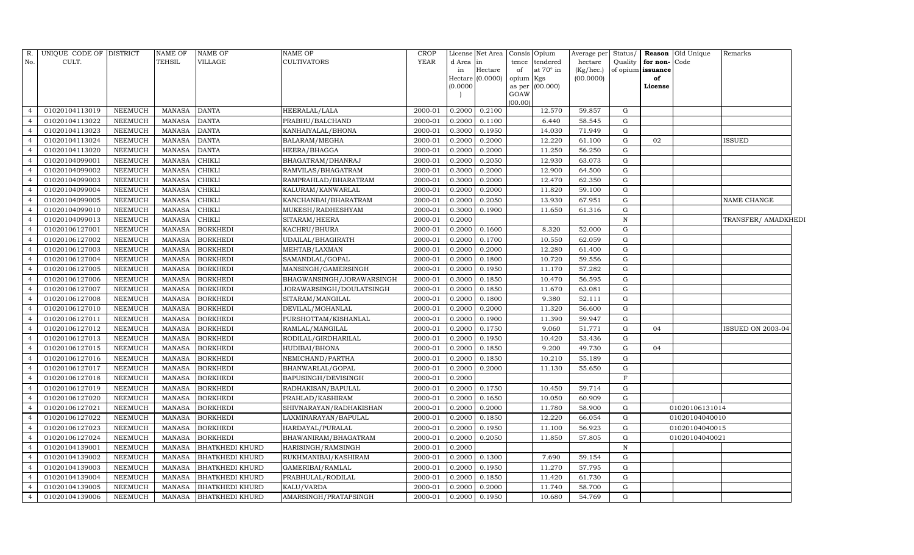| R.             | UNIQUE CODE OF DISTRICT |                | NAME OF       | <b>NAME OF</b>         | <b>NAME OF</b>            | <b>CROP</b> |           | License Net Area | Consis Opium            | Average per | Status/      |                   | <b>Reason</b> Old Unique | Remarks             |
|----------------|-------------------------|----------------|---------------|------------------------|---------------------------|-------------|-----------|------------------|-------------------------|-------------|--------------|-------------------|--------------------------|---------------------|
| No.            | CULT.                   |                | TEHSIL        | VILLAGE                | <b>CULTIVATORS</b>        | <b>YEAR</b> | d Area in |                  | tence tendered          | hectare     | Quality      | for non-Code      |                          |                     |
|                |                         |                |               |                        |                           |             | in        | Hectare          | at 70° in<br>of         | (Kg/hec.)   |              | of opium issuance |                          |                     |
|                |                         |                |               |                        |                           |             |           | Hectare (0.0000) | opium Kgs               | (00.0000)   |              | of                |                          |                     |
|                |                         |                |               |                        |                           |             | (0.0000)  |                  | as per (00.000)<br>GOAW |             |              | License           |                          |                     |
|                |                         |                |               |                        |                           |             |           |                  | (00.00)                 |             |              |                   |                          |                     |
|                | 01020104113019          | NEEMUCH        | <b>MANASA</b> | <b>DANTA</b>           | HEERALAL/LALA             | 2000-01     | 0.2000    | 0.2100           | 12.570                  | 59.857      | G            |                   |                          |                     |
|                | 01020104113022          | <b>NEEMUCH</b> | <b>MANASA</b> | <b>DANTA</b>           | PRABHU/BALCHAND           | 2000-01     | 0.2000    | 0.1100           | 6.440                   | 58.545      | G            |                   |                          |                     |
|                | 01020104113023          | <b>NEEMUCH</b> | <b>MANASA</b> | <b>DANTA</b>           | KANHAIYALAL/BHONA         | 2000-01     | 0.3000    | 0.1950           | 14.030                  | 71.949      | G            |                   |                          |                     |
|                | 01020104113024          | NEEMUCH        | MANASA        | <b>DANTA</b>           | BALARAM/MEGHA             | $2000 - 01$ | 0.2000    | 0.2000           | 12.220                  | 61.100      | ${\rm G}$    | 02                |                          | ISSUED              |
|                | 01020104113020          | NEEMUCH        | <b>MANASA</b> | <b>DANTA</b>           | HEERA/BHAGGA              | 2000-01     | 0.2000    | 0.2000           | 11.250                  | 56.250      | G            |                   |                          |                     |
|                | 01020104099001          | NEEMUCH        | <b>MANASA</b> | <b>CHIKLI</b>          | BHAGATRAM/DHANRAJ         | 2000-01     | 0.2000    | 0.2050           | 12.930                  | 63.073      | ${\rm G}$    |                   |                          |                     |
|                | 01020104099002          | <b>NEEMUCH</b> | <b>MANASA</b> | <b>CHIKLI</b>          | RAMVILAS/BHAGATRAM        | 2000-01     | 0.3000    | 0.2000           | 12.900                  | 64.500      | G            |                   |                          |                     |
| $\overline{4}$ | 01020104099003          | NEEMUCH        | <b>MANASA</b> | <b>CHIKLI</b>          | RAMPRAHLAD/BHARATRAM      | 2000-01     | 0.3000    | 0.2000           | 12.470                  | 62.350      | G            |                   |                          |                     |
|                | 01020104099004          | NEEMUCH        | <b>MANASA</b> | <b>CHIKLI</b>          | KALURAM/KANWARLAL         | 2000-01     | 0.2000    | 0.2000           | 11.820                  | 59.100      | G            |                   |                          |                     |
|                | 01020104099005          | <b>NEEMUCH</b> | <b>MANASA</b> | <b>CHIKLI</b>          | KANCHANBAI/BHARATRAM      | 2000-01     | 0.2000    | 0.2050           | 13.930                  | 67.951      | ${\rm G}$    |                   |                          | NAME CHANGE         |
|                | 01020104099010          | <b>NEEMUCH</b> | <b>MANASA</b> | <b>CHIKLI</b>          | MUKESH/RADHESHYAM         | 2000-01     | 0.3000    | 0.1900           | 11.650                  | 61.316      | G            |                   |                          |                     |
|                | 01020104099013          | <b>NEEMUCH</b> | <b>MANASA</b> | <b>CHIKLI</b>          | SITARAM/HEERA             | 2000-01     | 0.2000    |                  |                         |             | $\, {\rm N}$ |                   |                          | TRANSFER/ AMADKHEDI |
|                | 01020106127001          | <b>NEEMUCH</b> | <b>MANASA</b> | <b>BORKHEDI</b>        | KACHRU/BHURA              | 2000-01     | 0.2000    | 0.1600           | 8.320                   | 52.000      | G            |                   |                          |                     |
|                | 01020106127002          | <b>NEEMUCH</b> | <b>MANASA</b> | <b>BORKHEDI</b>        | UDAILAL/BHAGIRATH         | 2000-01     | 0.2000    | 0.1700           | 10.550                  | 62.059      | G            |                   |                          |                     |
| $\overline{4}$ | 01020106127003          | <b>NEEMUCH</b> | <b>MANASA</b> | <b>BORKHEDI</b>        | MEHTAB/LAXMAN             | 2000-01     | 0.2000    | 0.2000           | 12.280                  | 61.400      | G            |                   |                          |                     |
|                | 01020106127004          | <b>NEEMUCH</b> | <b>MANASA</b> | <b>BORKHEDI</b>        | SAMANDLAL/GOPAL           | 2000-01     | 0.2000    | 0.1800           | 10.720                  | 59.556      | G            |                   |                          |                     |
|                | 01020106127005          | <b>NEEMUCH</b> | <b>MANASA</b> | <b>BORKHEDI</b>        | MANSINGH/GAMERSINGH       | 2000-01     | 0.2000    | 0.1950           | 11.170                  | 57.282      | G            |                   |                          |                     |
|                | 01020106127006          | <b>NEEMUCH</b> | <b>MANASA</b> | <b>BORKHEDI</b>        | BHAGWANSINGH/JORAWARSINGH | 2000-01     | 0.3000    | 0.1850           | 10.470                  | 56.595      | G            |                   |                          |                     |
| $\overline{4}$ | 01020106127007          | <b>NEEMUCH</b> | <b>MANASA</b> | <b>BORKHEDI</b>        | JORAWARSINGH/DOULATSINGH  | 2000-01     | 0.2000    | 0.1850           | 11.670                  | 63.081      | G            |                   |                          |                     |
|                | 01020106127008          | <b>NEEMUCH</b> | <b>MANASA</b> | <b>BORKHEDI</b>        | SITARAM/MANGILAL          | 2000-01     | 0.2000    | 0.1800           | 9.380                   | 52.111      | G            |                   |                          |                     |
|                | 01020106127010          | <b>NEEMUCH</b> | <b>MANASA</b> | <b>BORKHEDI</b>        | DEVILAL/MOHANLAL          | 2000-01     | 0.2000    | 0.2000           | 11.320                  | 56.600      | ${\rm G}$    |                   |                          |                     |
|                | 01020106127011          | <b>NEEMUCH</b> | <b>MANASA</b> | <b>BORKHEDI</b>        | PURSHOTTAM/KISHANLAL      | 2000-01     | 0.2000    | 0.1900           | 11.390                  | 59.947      | G            |                   |                          |                     |
|                | 01020106127012          | <b>NEEMUCH</b> | <b>MANASA</b> | <b>BORKHEDI</b>        | RAMLAL/MANGILAL           | 2000-01     | 0.2000    | 0.1750           | 9.060                   | 51.771      | G            | 04                |                          | ISSUED ON 2003-04   |
|                | 01020106127013          | <b>NEEMUCH</b> | <b>MANASA</b> | <b>BORKHEDI</b>        | RODILAL/GIRDHARILAL       | 2000-01     | 0.2000    | 0.1950           | 10.420                  | 53.436      | G            |                   |                          |                     |
|                | 01020106127015          | <b>NEEMUCH</b> | <b>MANASA</b> | <b>BORKHEDI</b>        | HUDIBAI/BHONA             | 2000-01     | 0.2000    | 0.1850           | 9.200                   | 49.730      | G            | 04                |                          |                     |
|                | 01020106127016          | <b>NEEMUCH</b> | <b>MANASA</b> | <b>BORKHEDI</b>        | NEMICHAND/PARTHA          | 2000-01     | 0.2000    | 0.1850           | 10.210                  | 55.189      | G            |                   |                          |                     |
| $\overline{4}$ | 01020106127017          | <b>NEEMUCH</b> | <b>MANASA</b> | <b>BORKHEDI</b>        | BHANWARLAL/GOPAL          | 2000-01     | 0.2000    | 0.2000           | 11.130                  | 55.650      | G            |                   |                          |                     |
|                | 01020106127018          | <b>NEEMUCH</b> | <b>MANASA</b> | <b>BORKHEDI</b>        | BAPUSINGH/DEVISINGH       | 2000-01     | 0.2000    |                  |                         |             | F            |                   |                          |                     |
|                | 01020106127019          | <b>NEEMUCH</b> | <b>MANASA</b> | <b>BORKHEDI</b>        | RADHAKISAN/BAPULAL        | 2000-01     | 0.2000    | 0.1750           | 10.450                  | 59.714      | G            |                   |                          |                     |
| $\overline{4}$ | 01020106127020          | <b>NEEMUCH</b> | <b>MANASA</b> | <b>BORKHEDI</b>        | PRAHLAD/KASHIRAM          | 2000-01     | 0.2000    | 0.1650           | 10.050                  | 60.909      | G            |                   |                          |                     |
|                | 01020106127021          | <b>NEEMUCH</b> | <b>MANASA</b> | <b>BORKHEDI</b>        | SHIVNARAYAN/RADHAKISHAN   | 2000-01     | 0.2000    | 0.2000           | 11.780                  | 58.900      | G            |                   | 01020106131014           |                     |
| $\overline{4}$ | 01020106127022          | <b>NEEMUCH</b> | <b>MANASA</b> | <b>BORKHEDI</b>        | LAXMINARAYAN/BAPULAL      | 2000-01     | 0.2000    | 0.1850           | 12.220                  | 66.054      | ${\rm G}$    |                   | 01020104040010           |                     |
|                | 01020106127023          | <b>NEEMUCH</b> | <b>MANASA</b> | <b>BORKHEDI</b>        | HARDAYAL/PURALAL          | 2000-01     | 0.2000    | 0.1950           | 11.100                  | 56.923      | ${\rm G}$    |                   | 01020104040015           |                     |
| $\overline{4}$ | 01020106127024          | <b>NEEMUCH</b> | <b>MANASA</b> | <b>BORKHEDI</b>        | BHAWANIRAM/BHAGATRAM      | 2000-01     | 0.2000    | 0.2050           | 11.850                  | 57.805      | G            |                   | 01020104040021           |                     |
| $\overline{4}$ | 01020104139001          | <b>NEEMUCH</b> | <b>MANASA</b> | <b>BHATKHEDI KHURD</b> | HARISINGH/RAMSINGH        | 2000-01     | 0.2000    |                  |                         |             | ${\bf N}$    |                   |                          |                     |
|                | 01020104139002          | <b>NEEMUCH</b> | <b>MANASA</b> | <b>BHATKHEDI KHURD</b> | RUKHMANIBAI/KASHIRAM      | 2000-01     | 0.2000    | 0.1300           | 7.690                   | 59.154      | G            |                   |                          |                     |
|                | 01020104139003          | NEEMUCH        | <b>MANASA</b> | <b>BHATKHEDI KHURD</b> | GAMERIBAI/RAMLAL          | 2000-01     | 0.2000    | 0.1950           | 11.270                  | 57.795      | G            |                   |                          |                     |
| 4              | 01020104139004          | NEEMUCH        | <b>MANASA</b> | <b>BHATKHEDI KHURD</b> | PRABHULAL/RODILAL         | 2000-01     | 0.2000    | 0.1850           | 11.420                  | 61.730      | G            |                   |                          |                     |
| $\overline{4}$ | 01020104139005          | <b>NEEMUCH</b> | <b>MANASA</b> | <b>BHATKHEDI KHURD</b> | KALU/VARDA                | 2000-01     | 0.2000    | 0.2000           | 11.740                  | 58.700      | G            |                   |                          |                     |
| $\overline{4}$ | 01020104139006          | <b>NEEMUCH</b> | MANASA        | <b>BHATKHEDI KHURD</b> | AMARSINGH/PRATAPSINGH     | 2000-01     | 0.2000    | 0.1950           | 10.680                  | 54.769      | G            |                   |                          |                     |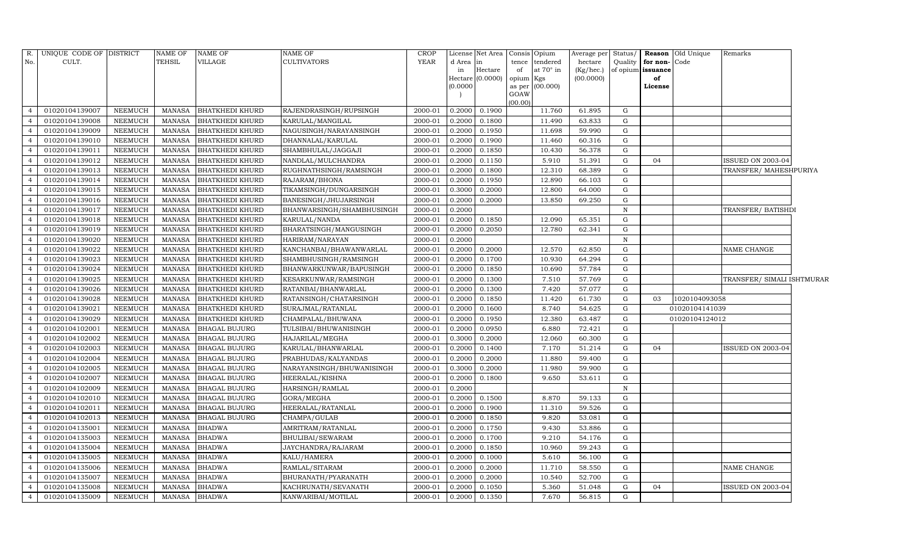| R.             | UNIQUE CODE OF DISTRICT |                | NAME OF       | <b>NAME OF</b>         | <b>NAME OF</b>            | CROP        |           | License Net Area   Consis   Opium |                |           | Average per | Status/      |              | <b>Reason</b> Old Unique | Remarks                    |  |
|----------------|-------------------------|----------------|---------------|------------------------|---------------------------|-------------|-----------|-----------------------------------|----------------|-----------|-------------|--------------|--------------|--------------------------|----------------------------|--|
| No.            | CULT.                   |                | TEHSIL        | VILLAGE                | <b>CULTIVATORS</b>        | <b>YEAR</b> | d Area in |                                   | tence          | tendered  | hectare     | Quality      | for non-Code |                          |                            |  |
|                |                         |                |               |                        |                           |             | in        | Hectare                           | of             | at 70° in | (Kg/hec.)   | of opium     | issuance     |                          |                            |  |
|                |                         |                |               |                        |                           |             |           | Hectare (0.0000)                  | opium Kgs      |           | (00.0000)   |              | of           |                          |                            |  |
|                |                         |                |               |                        |                           |             | (0.0000)  |                                   | as per<br>GOAW | (00.000)  |             |              | License      |                          |                            |  |
|                |                         |                |               |                        |                           |             |           |                                   | (00.00)        |           |             |              |              |                          |                            |  |
| $\overline{a}$ | 01020104139007          | <b>NEEMUCH</b> | MANASA        | <b>BHATKHEDI KHURD</b> | RAJENDRASINGH/RUPSINGH    | 2000-01     | 0.2000    | 0.1900                            |                | 11.760    | 61.895      | G            |              |                          |                            |  |
| $\overline{4}$ | 01020104139008          | <b>NEEMUCH</b> | <b>MANASA</b> | <b>BHATKHEDI KHURD</b> | KARULAL/MANGILAL          | 2000-01     | 0.2000    | 0.1800                            |                | 11.490    | 63.833      | G            |              |                          |                            |  |
| $\overline{4}$ | 01020104139009          | <b>NEEMUCH</b> | <b>MANASA</b> | <b>BHATKHEDI KHURD</b> | NAGUSINGH/NARAYANSINGH    | 2000-01     | 0.2000    | 0.1950                            |                | 11.698    | 59.990      | G            |              |                          |                            |  |
| $\overline{4}$ | 01020104139010          | NEEMUCH        | <b>MANASA</b> | <b>BHATKHEDI KHURD</b> | DHANNALAL/KARULAL         | 2000-01     | 0.2000    | 0.1900                            |                | 11.460    | 60.316      | ${\rm G}$    |              |                          |                            |  |
| $\overline{4}$ | 01020104139011          | <b>NEEMUCH</b> | <b>MANASA</b> | <b>BHATKHEDI KHURD</b> | SHAMBHULAL/JAGGAJI        | 2000-01     | 0.2000    | 0.1850                            |                | 10.430    | 56.378      | ${\rm G}$    |              |                          |                            |  |
|                | 01020104139012          | NEEMUCH        | <b>MANASA</b> | <b>BHATKHEDI KHURD</b> | NANDLAL/MULCHANDRA        | 2000-01     | 0.2000    | 0.1150                            |                | 5.910     | 51.391      | ${\rm G}$    | 04           |                          | <b>ISSUED ON 2003-04</b>   |  |
| $\overline{4}$ | 01020104139013          | NEEMUCH        | <b>MANASA</b> | <b>BHATKHEDI KHURD</b> | RUGHNATHSINGH/RAMSINGH    | 2000-01     | 0.2000    | 0.1800                            |                | 12.310    | 68.389      | ${\rm G}$    |              |                          | TRANSFER/MAHESHPURIYA      |  |
| $\overline{4}$ | 01020104139014          | <b>NEEMUCH</b> | <b>MANASA</b> | <b>BHATKHEDI KHURD</b> | RAJARAM/BHONA             | 2000-01     | 0.2000    | 0.1950                            |                | 12.890    | 66.103      | G            |              |                          |                            |  |
| $\overline{4}$ | 01020104139015          | NEEMUCH        | <b>MANASA</b> | <b>BHATKHEDI KHURD</b> | TIKAMSINGH/DUNGARSINGH    | 2000-01     | 0.3000    | 0.2000                            |                | 12.800    | 64.000      | ${\rm G}$    |              |                          |                            |  |
| $\overline{4}$ | 01020104139016          | <b>NEEMUCH</b> | <b>MANASA</b> | <b>BHATKHEDI KHURD</b> | BANESINGH/JHUJARSINGH     | 2000-01     | 0.2000    | 0.2000                            |                | 13.850    | 69.250      | ${\rm G}$    |              |                          |                            |  |
| $\overline{4}$ | 01020104139017          | <b>NEEMUCH</b> | <b>MANASA</b> | BHATKHEDI KHURD        | BHANWARSINGH/SHAMBHUSINGH | 2000-01     | 0.2000    |                                   |                |           |             | $\, {\rm N}$ |              |                          | TRANSFER/ BATISHDI         |  |
| $\overline{4}$ | 01020104139018          | <b>NEEMUCH</b> | <b>MANASA</b> | <b>BHATKHEDI KHURD</b> | KARULAL/NANDA             | 2000-01     | 0.2000    | 0.1850                            |                | 12.090    | 65.351      | G            |              |                          |                            |  |
| $\overline{4}$ | 01020104139019          | <b>NEEMUCH</b> | <b>MANASA</b> | <b>BHATKHEDI KHURD</b> | BHARATSINGH/MANGUSINGH    | 2000-01     | 0.2000    | 0.2050                            |                | 12.780    | 62.341      | G            |              |                          |                            |  |
| $\overline{4}$ | 01020104139020          | <b>NEEMUCH</b> | <b>MANASA</b> | <b>BHATKHEDI KHURD</b> | HARIRAM/NARAYAN           | 2000-01     | 0.2000    |                                   |                |           |             | $\, {\rm N}$ |              |                          |                            |  |
| $\overline{4}$ | 01020104139022          | NEEMUCH        | <b>MANASA</b> | BHATKHEDI KHURD        | KANCHANBAI/BHAWANWARLAL   | 2000-01     | 0.2000    | 0.2000                            |                | 12.570    | 62.850      | G            |              |                          | NAME CHANGE                |  |
| $\overline{4}$ | 01020104139023          | <b>NEEMUCH</b> | <b>MANASA</b> | <b>BHATKHEDI KHURD</b> | SHAMBHUSINGH/RAMSINGH     | 2000-01     | 0.2000    | 0.1700                            |                | 10.930    | 64.294      | ${\rm G}$    |              |                          |                            |  |
| $\overline{4}$ | 01020104139024          | <b>NEEMUCH</b> | <b>MANASA</b> | <b>BHATKHEDI KHURD</b> | BHANWARKUNWAR/BAPUSINGH   | 2000-01     | 0.2000    | 0.1850                            |                | 10.690    | 57.784      | G            |              |                          |                            |  |
| $\overline{4}$ | 01020104139025          | <b>NEEMUCH</b> | <b>MANASA</b> | <b>BHATKHEDI KHURD</b> | KESARKUNWAR/RAMSINGH      | 2000-01     | 0.2000    | 0.1300                            |                | 7.510     | 57.769      | ${\rm G}$    |              |                          | TRANSFER/ SIMALI ISHTMURAR |  |
| $\overline{4}$ | 01020104139026          | <b>NEEMUCH</b> | <b>MANASA</b> | <b>BHATKHEDI KHURD</b> | RATANBAI/BHANWARLAL       | 2000-01     | 0.2000    | 0.1300                            |                | 7.420     | 57.077      | ${\rm G}$    |              |                          |                            |  |
| $\overline{4}$ | 01020104139028          | <b>NEEMUCH</b> | <b>MANASA</b> | <b>BHATKHEDI KHURD</b> | RATANSINGH/CHATARSINGH    | 2000-01     | 0.2000    | 0.1850                            |                | 11.420    | 61.730      | G            | 03           | 1020104093058            |                            |  |
| $\overline{4}$ | 01020104139021          | <b>NEEMUCH</b> | <b>MANASA</b> | <b>BHATKHEDI KHURD</b> | SURAJMAL/RATANLAL         | 2000-01     | 0.2000    | 0.1600                            |                | 8.740     | 54.625      | ${\rm G}$    |              | 01020104141039           |                            |  |
| $\overline{4}$ | 01020104139029          | <b>NEEMUCH</b> | <b>MANASA</b> | <b>BHATKHEDI KHURD</b> | CHAMPALAL/BHUWANA         | 2000-01     | 0.2000    | 0.1950                            |                | 12.380    | 63.487      | G            |              | 01020104124012           |                            |  |
| $\overline{4}$ | 01020104102001          | <b>NEEMUCH</b> | <b>MANASA</b> | <b>BHAGAL BUJURG</b>   | TULSIBAI/BHUWANISINGH     | 2000-01     | 0.2000    | 0.0950                            |                | 6.880     | 72.421      | G            |              |                          |                            |  |
| $\overline{a}$ | 01020104102002          | <b>NEEMUCH</b> | <b>MANASA</b> | BHAGAL BUJURG          | HAJARILAL/MEGHA           | 2000-01     | 0.3000    | 0.2000                            |                | 12.060    | 60.300      | G            |              |                          |                            |  |
| $\overline{4}$ | 01020104102003          | <b>NEEMUCH</b> | <b>MANASA</b> | <b>BHAGAL BUJURG</b>   | KARULAL/BHANWARLAL        | 2000-01     | 0.2000    | 0.1400                            |                | 7.170     | 51.214      | $\mathbf G$  | 04           |                          | <b>ISSUED ON 2003-04</b>   |  |
| $\overline{4}$ | 01020104102004          | <b>NEEMUCH</b> | <b>MANASA</b> | BHAGAL BUJURG          | PRABHUDAS/KALYANDAS       | 2000-01     | 0.2000    | 0.2000                            |                | 11.880    | 59.400      | G            |              |                          |                            |  |
| $\overline{4}$ | 01020104102005          | <b>NEEMUCH</b> | <b>MANASA</b> | <b>BHAGAL BUJURG</b>   | NARAYANSINGH/BHUWANISINGH | 2000-01     | 0.3000    | 0.2000                            |                | 11.980    | 59.900      | G            |              |                          |                            |  |
| $\overline{4}$ | 01020104102007          | <b>NEEMUCH</b> | <b>MANASA</b> | <b>BHAGAL BUJURG</b>   | HEERALAL/KISHNA           | 2000-01     | 0.2000    | 0.1800                            |                | 9.650     | 53.611      | ${\rm G}$    |              |                          |                            |  |
| $\overline{4}$ | 01020104102009          | <b>NEEMUCH</b> | <b>MANASA</b> | <b>BHAGAL BUJURG</b>   | HARSINGH/RAMLAL           | 2000-01     | 0.2000    |                                   |                |           |             | ${\bf N}$    |              |                          |                            |  |
| $\overline{4}$ | 01020104102010          | <b>NEEMUCH</b> | <b>MANASA</b> | <b>BHAGAL BUJURG</b>   | GORA/MEGHA                | 2000-01     | 0.2000    | 0.1500                            |                | 8.870     | 59.133      | ${\rm G}$    |              |                          |                            |  |
| $\overline{4}$ | 01020104102011          | <b>NEEMUCH</b> | <b>MANASA</b> | <b>BHAGAL BUJURG</b>   | HEERALAL/RATANLAL         | 2000-01     | 0.2000    | 0.1900                            |                | 11.310    | 59.526      | G            |              |                          |                            |  |
| $\overline{4}$ | 01020104102013          | <b>NEEMUCH</b> | <b>MANASA</b> | <b>BHAGAL BUJURG</b>   | CHAMPA/GULAB              | 2000-01     | 0.2000    | 0.1850                            |                | 9.820     | 53.081      | ${\rm G}$    |              |                          |                            |  |
| $\overline{4}$ | 01020104135001          | <b>NEEMUCH</b> | <b>MANASA</b> | <b>BHADWA</b>          | AMRITRAM/RATANLAL         | 2000-01     | 0.2000    | 0.1750                            |                | 9.430     | 53.886      | ${\rm G}$    |              |                          |                            |  |
| $\overline{4}$ | 01020104135003          | <b>NEEMUCH</b> | <b>MANASA</b> | <b>BHADWA</b>          | BHULIBAI/SEWARAM          | 2000-01     | 0.2000    | 0.1700                            |                | 9.210     | 54.176      | G            |              |                          |                            |  |
| $\overline{4}$ | 01020104135004          | <b>NEEMUCH</b> | <b>MANASA</b> | <b>BHADWA</b>          | JAYCHANDRA/RAJARAM        | 2000-01     | 0.2000    | 0.1850                            |                | 10.960    | 59.243      | $\mathbf G$  |              |                          |                            |  |
| $\overline{4}$ | 01020104135005          | NEEMUCH        | <b>MANASA</b> | <b>BHADWA</b>          | KALU/HAMERA               | 2000-01     | 0.2000    | 0.1000                            |                | 5.610     | 56.100      | G            |              |                          |                            |  |
| $\overline{4}$ | 01020104135006          | <b>NEEMUCH</b> | <b>MANASA</b> | <b>BHADWA</b>          | RAMLAL/SITARAM            | 2000-01     | 0.2000    | 0.2000                            |                | 11.710    | 58.550      | G            |              |                          | NAME CHANGE                |  |
| $\overline{4}$ | 01020104135007          | NEEMUCH        | <b>MANASA</b> | <b>BHADWA</b>          | BHURANATH/PYARANATH       | 2000-01     | 0.2000    | 0.2000                            |                | 10.540    | 52.700      | G            |              |                          |                            |  |
| $\overline{4}$ | 01020104135008          | NEEMUCH        | <b>MANASA</b> | <b>BHADWA</b>          | KACHRUNATH/SEVANATH       | 2000-01     | 0.2000    | 0.1050                            |                | 5.360     | 51.048      | G            | 04           |                          | <b>ISSUED ON 2003-04</b>   |  |
| $\overline{4}$ | 01020104135009          | <b>NEEMUCH</b> | <b>MANASA</b> | <b>BHADWA</b>          | KANWARIBAI/MOTILAL        | 2000-01     | 0.2000    | 0.1350                            |                | 7.670     | 56.815      | $\mathbf G$  |              |                          |                            |  |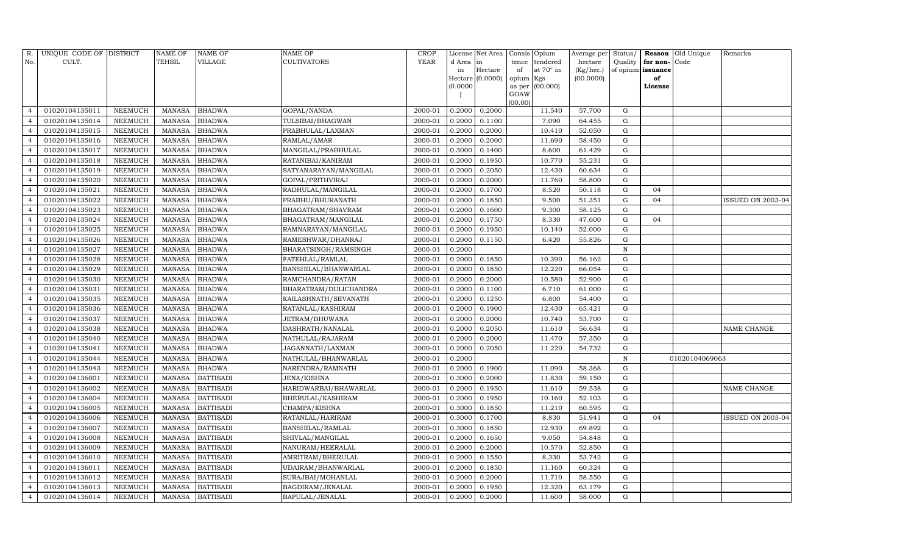| R.             | UNIQUE CODE OF DISTRICT |         | <b>NAME OF</b> | NAME OF          | <b>NAME OF</b>        | <b>CROP</b> |           | License Net Area |                | Consis Opium | Average per        | Status/     |                   | <b>Reason Old Unique</b> | Remarks           |
|----------------|-------------------------|---------|----------------|------------------|-----------------------|-------------|-----------|------------------|----------------|--------------|--------------------|-------------|-------------------|--------------------------|-------------------|
| No.            | CULT.                   |         | TEHSIL         | VILLAGE          | <b>CULTIVATORS</b>    | <b>YEAR</b> | d Area in |                  | tence          | tendered     | hectare            | Quality     | for non-          | Code                     |                   |
|                |                         |         |                |                  |                       |             | in        | Hectare          | of             | at 70° in    | $(Kg/ {\rm hec.})$ |             | of opium issuance |                          |                   |
|                |                         |         |                |                  |                       |             |           | Hectare (0.0000) | opium Kgs      |              | (00.0000)          |             | of                |                          |                   |
|                |                         |         |                |                  |                       |             | (0.0000)  |                  | as per<br>GOAW | (00.000)     |                    |             | License           |                          |                   |
|                |                         |         |                |                  |                       |             |           |                  | (00.00)        |              |                    |             |                   |                          |                   |
|                | 01020104135011          | NEEMUCH | <b>MANASA</b>  | <b>BHADWA</b>    | GOPAL/NANDA           | 2000-01     | 0.2000    | 0.2000           |                | 11.540       | 57.700             | G           |                   |                          |                   |
|                | 01020104135014          | NEEMUCH | <b>MANASA</b>  | <b>BHADWA</b>    | TULSIBAI/BHAGWAN      | 2000-01     | 0.2000    | 0.1100           |                | 7.090        | 64.455             | G           |                   |                          |                   |
|                | 01020104135015          | NEEMUCH | <b>MANASA</b>  | <b>BHADWA</b>    | PRABHULAL/LAXMAN      | 2000-01     | 0.2000    | 0.2000           |                | 10.410       | 52.050             | G           |                   |                          |                   |
|                | 01020104135016          | NEEMUCH | MANASA         | <b>BHADWA</b>    | RAMLAL/AMAR           | 2000-01     | 0.2000    | 0.2000           |                | 11.690       | 58.450             | G           |                   |                          |                   |
|                | 01020104135017          | NEEMUCH | <b>MANASA</b>  | <b>BHADWA</b>    | MANGILAL/PRABHULAL    | 2000-01     | 0.3000    | 0.1400           |                | 8.600        | 61.429             | G           |                   |                          |                   |
|                | 01020104135018          | NEEMUCH | <b>MANASA</b>  | <b>BHADWA</b>    | RATANIBAI/KANIRAM     | 2000-01     | 0.2000    | 0.1950           |                | 10.770       | 55.231             | G           |                   |                          |                   |
|                | 01020104135019          | NEEMUCH | <b>MANASA</b>  | <b>BHADWA</b>    | SATYANARAYAN/MANGILAL | 2000-01     | 0.2000    | 0.2050           |                | 12.430       | 60.634             | G           |                   |                          |                   |
| $\overline{4}$ | 01020104135020          | NEEMUCH | MANASA         | <b>BHADWA</b>    | GOPAL/PRITHVIRAJ      | 2000-01     | 0.2000    | 0.2000           |                | 11.760       | 58.800             | G           |                   |                          |                   |
|                | 01020104135021          | NEEMUCH | <b>MANASA</b>  | <b>BHADWA</b>    | RADHULAL/MANGILAL     | 2000-01     | 0.2000    | 0.1700           |                | 8.520        | 50.118             | G           | 04                |                          |                   |
|                | 01020104135022          | NEEMUCH | <b>MANASA</b>  | <b>BHADWA</b>    | PRABHU/BHURANATH      | 2000-01     | 0.2000    | 0.1850           |                | 9.500        | 51.351             | G           | 04                |                          | ISSUED ON 2003-04 |
| 4              | 01020104135023          | NEEMUCH | <b>MANASA</b>  | <b>BHADWA</b>    | BHAGATRAM/SHAVRAM     | 2000-01     | 0.2000    | 0.1600           |                | 9.300        | 58.125             | G           |                   |                          |                   |
|                | 01020104135024          | NEEMUCH | <b>MANASA</b>  | <b>BHADWA</b>    | BHAGATRAM/MANGILAL    | 2000-01     | 0.2000    | 0.1750           |                | 8.330        | 47.600             | G           | 04                |                          |                   |
|                | 01020104135025          | NEEMUCH | <b>MANASA</b>  | <b>BHADWA</b>    | RAMNARAYAN/MANGILAL   | 2000-01     | 0.2000    | 0.1950           |                | 10.140       | 52.000             | G           |                   |                          |                   |
|                | 01020104135026          | NEEMUCH | <b>MANASA</b>  | <b>BHADWA</b>    | RAMESHWAR/DHANRAJ     | 2000-01     | 0.2000    | 0.1150           |                | 6.420        | 55.826             | G           |                   |                          |                   |
|                | 01020104135027          | NEEMUCH | <b>MANASA</b>  | BHADWA           | BHARATSINGH/RAMSINGH  | 2000-01     | 0.2000    |                  |                |              |                    | ${\bf N}$   |                   |                          |                   |
|                | 01020104135028          | NEEMUCH | <b>MANASA</b>  | <b>BHADWA</b>    | FATEHLAL/RAMLAL       | 2000-01     | 0.2000    | 0.1850           |                | 10.390       | 56.162             | G           |                   |                          |                   |
|                | 01020104135029          | NEEMUCH | <b>MANASA</b>  | <b>BHADWA</b>    | BANSHILAL/BHANWARLAL  | 2000-01     | 0.2000    | 0.1850           |                | 12.220       | 66.054             | G           |                   |                          |                   |
|                | 01020104135030          | NEEMUCH | <b>MANASA</b>  | <b>BHADWA</b>    | RAMCHANDRA/RATAN      | 2000-01     | 0.2000    | 0.2000           |                | 10.580       | 52.900             | G           |                   |                          |                   |
|                | 01020104135031          | NEEMUCH | <b>MANASA</b>  | <b>BHADWA</b>    | BHARATRAM/DULICHANDRA | 2000-01     | 0.2000    | 0.1100           |                | 6.710        | 61.000             | ${\rm G}$   |                   |                          |                   |
|                | 01020104135035          | NEEMUCH | <b>MANASA</b>  | <b>BHADWA</b>    | KAILASHNATH/SEVANATH  | 2000-01     | 0.2000    | 0.1250           |                | 6.800        | 54.400             | $\mathbf G$ |                   |                          |                   |
|                | 01020104135036          | NEEMUCH | <b>MANASA</b>  | <b>BHADWA</b>    | RATANLAL/KASHIRAM     | 2000-01     | 0.2000    | 0.1900           |                | 12.430       | 65.421             | G           |                   |                          |                   |
| 4              | 01020104135037          | NEEMUCH | <b>MANASA</b>  | <b>BHADWA</b>    | JETRAM/BHUWANA        | 2000-01     | 0.2000    | 0.2000           |                | 10.740       | 53.700             | G           |                   |                          |                   |
|                | 01020104135038          | NEEMUCH | MANASA         | <b>BHADWA</b>    | DASHRATH/NANALAL      | 2000-01     | 0.2000    | 0.2050           |                | 11.610       | 56.634             | G           |                   |                          | NAME CHANGE       |
|                | 01020104135040          | NEEMUCH | <b>MANASA</b>  | <b>BHADWA</b>    | NATHULAL/RAJARAM      | 2000-01     | 0.2000    | 0.2000           |                | 11.470       | 57.350             | G           |                   |                          |                   |
|                | 01020104135041          | NEEMUCH | <b>MANASA</b>  | <b>BHADWA</b>    | JAGANNATH/LAXMAN      | 2000-01     | 0.2000    | 0.2050           |                | 11.220       | 54.732             | G           |                   |                          |                   |
|                | 01020104135044          | NEEMUCH | <b>MANASA</b>  | <b>BHADWA</b>    | NATHULAL/BHANWARLAL   | 2000-01     | 0.2000    |                  |                |              |                    | N           |                   | 01020104069063           |                   |
|                | 01020104135043          | NEEMUCH | <b>MANASA</b>  | <b>BHADWA</b>    | NARENDRA/RAMNATH      | 2000-01     | 0.2000    | 0.1900           |                | 11.090       | 58.368             | G           |                   |                          |                   |
|                | 01020104136001          | NEEMUCH | <b>MANASA</b>  | <b>BATTISADI</b> | JENA/KISHNA           | 2000-01     | 0.3000    | 0.2000           |                | 11.830       | 59.150             | G           |                   |                          |                   |
|                | 01020104136002          | NEEMUCH | <b>MANASA</b>  | <b>BATTISADI</b> | HARIDWARBAI/BHAWARLAL | 2000-01     | 0.2000    | 0.1950           |                | 11.610       | 59.538             | G           |                   |                          | NAME CHANGE       |
|                | 01020104136004          | NEEMUCH | <b>MANASA</b>  | <b>BATTISADI</b> | BHERULAL/KASHIRAM     | 2000-01     | 0.2000    | 0.1950           |                | 10.160       | 52.103             | G           |                   |                          |                   |
|                | 01020104136005          | NEEMUCH | MANASA         | <b>BATTISADI</b> | CHAMPA/KISHNA         | 2000-01     | 0.3000    | 0.1850           |                | 11.210       | 60.595             | ${\rm G}$   |                   |                          |                   |
|                | 01020104136006          | NEEMUCH | <b>MANASA</b>  | <b>BATTISADI</b> | RATANLAL/HARIRAM      | 2000-01     | 0.3000    | 0.1700           |                | 8.830        | 51.941             | G           | 04                |                          | ISSUED ON 2003-04 |
|                | 01020104136007          | NEEMUCH | <b>MANASA</b>  | <b>BATTISADI</b> | BANSHILAL/RAMLAL      | 2000-01     | 0.3000    | 0.1850           |                | 12.930       | 69.892             | G           |                   |                          |                   |
|                | 01020104136008          | NEEMUCH | <b>MANASA</b>  | <b>BATTISADI</b> | SHIVLAL/MANGILAL      | 2000-01     | 0.2000    | 0.1650           |                | 9.050        | 54.848             | G           |                   |                          |                   |
|                | 01020104136009          | NEEMUCH | <b>MANASA</b>  | <b>BATTISADI</b> | NANURAM/HEERALAL      | 2000-01     | 0.2000    | 0.2000           |                | 10.570       | 52.850             | G           |                   |                          |                   |
|                | 01020104136010          | NEEMUCH | <b>MANASA</b>  | <b>BATTISADI</b> | AMRITRAM/BHERULAL     | 2000-01     | 0.2000    | 0.1550           |                | 8.330        | 53.742             | G           |                   |                          |                   |
|                | 01020104136011          | NEEMUCH | <b>MANASA</b>  | <b>BATTISADI</b> | UDAIRAM/BHANWARLAL    | 2000-01     | 0.2000    | 0.1850           |                | 11.160       | 60.324             | G           |                   |                          |                   |
| $\overline{4}$ | 01020104136012          | NEEMUCH | <b>MANASA</b>  | <b>BATTISADI</b> | SURAJBAI/MOHANLAL     | 2000-01     | 0.2000    | 0.2000           |                | 11.710       | 58.550             | G           |                   |                          |                   |
|                | 01020104136013          | NEEMUCH | MANASA         | <b>BATTISADI</b> | BAGDIRAM/JENALAL      | 2000-01     | 0.2000    | 0.1950           |                | 12.320       | 63.179             | $\mathbf G$ |                   |                          |                   |
| 4              | 01020104136014          | NEEMUCH |                | MANASA BATTISADI | BAPULAL/JENALAL       | 2000-01     | 0.2000    | 0.2000           |                | 11.600       | 58.000             | G           |                   |                          |                   |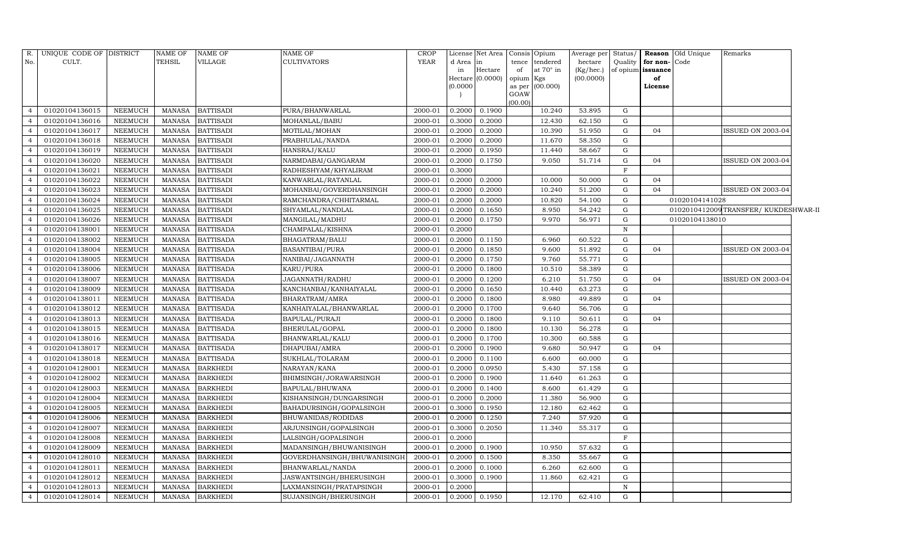| R.             | UNIQUE CODE OF DISTRICT |                | NAME OF       | <b>NAME OF</b>   | <b>NAME OF</b>              | <b>CROP</b> | License             | Net Area        | Consis Opium |                 | Average per Status/ |              |                   | <b>Reason</b> Old Unique | Remarks                             |  |
|----------------|-------------------------|----------------|---------------|------------------|-----------------------------|-------------|---------------------|-----------------|--------------|-----------------|---------------------|--------------|-------------------|--------------------------|-------------------------------------|--|
| No.            | CULT.                   |                | <b>TEHSIL</b> | VILLAGE          | <b>CULTIVATORS</b>          | <b>YEAR</b> | d Area              | in              |              | tence tendered  | hectare             | Quality      | for non-Code      |                          |                                     |  |
|                |                         |                |               |                  |                             |             | in                  | Hectare         | of           | at 70° in       | (Kg/hec.)           |              | of opium issuance |                          |                                     |  |
|                |                         |                |               |                  |                             |             | Hectare<br>(0.0000) | (0.0000)        | opium Kgs    |                 | (00.0000)           |              | of                |                          |                                     |  |
|                |                         |                |               |                  |                             |             |                     |                 | GOAW         | as per (00.000) |                     |              | License           |                          |                                     |  |
|                |                         |                |               |                  |                             |             |                     |                 | (00.00)      |                 |                     |              |                   |                          |                                     |  |
|                | 01020104136015          | NEEMUCH        | MANASA        | <b>BATTISADI</b> | PURA/BHANWARLAL             | 2000-01     | 0.2000              | 0.1900          |              | 10.240          | 53.895              | G            |                   |                          |                                     |  |
| $\overline{4}$ | 01020104136016          | <b>NEEMUCH</b> | <b>MANASA</b> | <b>BATTISADI</b> | MOHANLAL/BABU               | 2000-01     | 0.3000              | 0.2000          |              | 12.430          | 62.150              | G            |                   |                          |                                     |  |
| $\overline{4}$ | 01020104136017          | NEEMUCH        | MANASA        | <b>BATTISADI</b> | MOTILAL/MOHAN               | 2000-01     | 0.2000              | 0.2000          |              | 10.390          | 51.950              | G            | 04                |                          | ISSUED ON 2003-04                   |  |
| $\overline{a}$ | 01020104136018          | NEEMUCH        | MANASA        | <b>BATTISADI</b> | PRABHULAL/NANDA             | 2000-01     | 0.2000              | 0.2000          |              | 11.670          | 58.350              | $\mathbf G$  |                   |                          |                                     |  |
| $\overline{4}$ | 01020104136019          | NEEMUCH        | <b>MANASA</b> | <b>BATTISADI</b> | HANSRAJ/KALU                | 2000-01     | 0.2000              | 0.1950          |              | 11.440          | 58.667              | $\mathbf G$  |                   |                          |                                     |  |
| $\overline{4}$ | 01020104136020          | NEEMUCH        | <b>MANASA</b> | <b>BATTISADI</b> | NARMDABAI/GANGARAM          | 2000-01     | 0.2000              | 0.1750          |              | 9.050           | 51.714              | ${\rm G}$    | 04                |                          | ISSUED ON 2003-04                   |  |
| $\overline{4}$ | 01020104136021          | NEEMUCH        | <b>MANASA</b> | <b>BATTISADI</b> | RADHESHYAM/KHYALIRAM        | 2000-01     | 0.3000              |                 |              |                 |                     | $\mathbf F$  |                   |                          |                                     |  |
| $\overline{4}$ | 01020104136022          | NEEMUCH        | MANASA        | <b>BATTISADI</b> | KANWARLAL/RATANLAL          | 2000-01     | 0.2000              | 0.2000          |              | 10.000          | 50.000              | ${\rm G}$    | 04                |                          |                                     |  |
| $\overline{4}$ | 01020104136023          | NEEMUCH        | <b>MANASA</b> | <b>BATTISADI</b> | MOHANBAI/GOVERDHANSINGH     | 2000-01     | 0.2000              | 0.2000          |              | 10.240          | 51.200              | G            | 04                |                          | ISSUED ON 2003-04                   |  |
| $\overline{4}$ | 01020104136024          | <b>NEEMUCH</b> | <b>MANASA</b> | <b>BATTISADI</b> | RAMCHANDRA/CHHITARMAL       | 2000-01     | 0.2000              | 0.2000          |              | 10.820          | 54.100              | ${\rm G}$    |                   | 01020104141028           |                                     |  |
| $\overline{4}$ | 01020104136025          | <b>NEEMUCH</b> | <b>MANASA</b> | <b>BATTISADI</b> | SHYAMLAL/NANDLAL            | 2000-01     | 0.2000              | 0.1650          |              | 8.950           | 54.242              | ${\rm G}$    |                   |                          | 0102010412009TRANSFER/KUKDESHWAR-II |  |
| $\overline{4}$ | 01020104136026          | NEEMUCH        | MANASA        | <b>BATTISADI</b> | MANGILAL/MADHU              | 2000-01     | 0.2000              | 0.1750          |              | 9.970           | 56.971              | ${\rm G}$    |                   | 01020104138010           |                                     |  |
| $\overline{4}$ | 01020104138001          | NEEMUCH        | <b>MANASA</b> | <b>BATTISADA</b> | CHAMPALAL/KISHNA            | 2000-01     | 0.2000              |                 |              |                 |                     | $\, {\rm N}$ |                   |                          |                                     |  |
| $\overline{4}$ | 01020104138002          | NEEMUCH        | MANASA        | <b>BATTISADA</b> | BHAGATRAM/BALU              | 2000-01     | 0.2000              | 0.1150          |              | 6.960           | 60.522              | $\mathbf G$  |                   |                          |                                     |  |
| $\overline{4}$ | 01020104138004          | NEEMUCH        | <b>MANASA</b> | <b>BATTISADA</b> | BASANTIBAI/PURA             | 2000-01     | 0.2000              | 0.1850          |              | 9.600           | 51.892              | $\mathbf G$  | 04                |                          | ISSUED ON 2003-04                   |  |
| $\overline{4}$ | 01020104138005          | NEEMUCH        | MANASA        | <b>BATTISADA</b> | NANIBAI/JAGANNATH           | 2000-01     | 0.2000              | 0.1750          |              | 9.760           | 55.771              | $\mathbf G$  |                   |                          |                                     |  |
| $\overline{4}$ | 01020104138006          | <b>NEEMUCH</b> | <b>MANASA</b> | <b>BATTISADA</b> | KARU/PURA                   | 2000-01     | 0.2000              | 0.1800          |              | 10.510          | 58.389              | $\mathbf G$  |                   |                          |                                     |  |
| $\overline{4}$ | 01020104138007          | <b>NEEMUCH</b> | MANASA        | <b>BATTISADA</b> | JAGANNATH/RADHU             | 2000-01     | 0.2000              | 0.1200          |              | 6.210           | 51.750              | ${\rm G}$    | 04                |                          | ISSUED ON 2003-04                   |  |
| $\overline{4}$ | 01020104138009          | NEEMUCH        | <b>MANASA</b> | <b>BATTISADA</b> | KANCHANBAI/KANHAIYALAL      | 2000-01     | 0.2000              | 0.1650          |              | 10.440          | 63.273              | $\mathbf G$  |                   |                          |                                     |  |
| $\overline{4}$ | 01020104138011          | NEEMUCH        | <b>MANASA</b> | <b>BATTISADA</b> | BHARATRAM/AMRA              | 2000-01     | 0.2000              | 0.1800          |              | 8.980           | 49.889              | G            | 04                |                          |                                     |  |
| $\overline{4}$ | 01020104138012          | <b>NEEMUCH</b> | <b>MANASA</b> | <b>BATTISADA</b> | KANHAIYALAL/BHANWARLAL      | 2000-01     | 0.2000              | 0.1700          |              | 9.640           | 56.706              | $\mathbf G$  |                   |                          |                                     |  |
| $\overline{4}$ | 01020104138013          | <b>NEEMUCH</b> | <b>MANASA</b> | <b>BATTISADA</b> | BAPULAL/PURAJI              | 2000-01     | 0.2000              | 0.1800          |              | 9.110           | 50.611              | $\mathbf G$  | 04                |                          |                                     |  |
| $\overline{4}$ | 01020104138015          | NEEMUCH        | <b>MANASA</b> | <b>BATTISADA</b> | BHERULAL/GOPAL              | 2000-01     | 0.2000              | 0.1800          |              | 10.130          | 56.278              | $\mathbf G$  |                   |                          |                                     |  |
| $\overline{4}$ | 01020104138016          | NEEMUCH        | <b>MANASA</b> | <b>BATTISADA</b> | BHANWARLAL/KALU             | 2000-01     | 0.2000              | 0.1700          |              | 10.300          | 60.588              | $\mathbf G$  |                   |                          |                                     |  |
| $\overline{4}$ | 01020104138017          | <b>NEEMUCH</b> | <b>MANASA</b> | <b>BATTISADA</b> | DHAPUBAI/AMRA               | 2000-01     | 0.2000              | 0.1900          |              | 9.680           | 50.947              | $\mathbf G$  | 04                |                          |                                     |  |
| $\overline{4}$ | 01020104138018          | <b>NEEMUCH</b> | <b>MANASA</b> | <b>BATTISADA</b> | SUKHLAL/TOLARAM             | 2000-01     | 0.2000              | 0.1100          |              | 6.600           | 60.000              | G            |                   |                          |                                     |  |
| $\overline{4}$ | 01020104128001          | <b>NEEMUCH</b> | <b>MANASA</b> | <b>BARKHEDI</b>  | NARAYAN/KANA                | 2000-01     | 0.2000              | 0.0950          |              | 5.430           | 57.158              | ${\rm G}$    |                   |                          |                                     |  |
| $\overline{4}$ | 01020104128002          | NEEMUCH        | <b>MANASA</b> | <b>BARKHEDI</b>  | BHIMSINGH/JORAWARSINGH      | 2000-01     | 0.2000              | 0.1900          |              | 11.640          | 61.263              | $\mathbf G$  |                   |                          |                                     |  |
| $\overline{4}$ | 01020104128003          | NEEMUCH        | <b>MANASA</b> | <b>BARKHEDI</b>  | BAPULAL/BHUWANA             | 2000-01     | 0.2000              | 0.1400          |              | 8.600           | 61.429              | ${\rm G}$    |                   |                          |                                     |  |
| $\overline{4}$ | 01020104128004          | <b>NEEMUCH</b> | <b>MANASA</b> | <b>BARKHEDI</b>  | KISHANSINGH/DUNGARSINGH     | 2000-01     | 0.2000              | 0.2000          |              | 11.380          | 56.900              | $\mathbf G$  |                   |                          |                                     |  |
| $\overline{4}$ | 01020104128005          | NEEMUCH        | <b>MANASA</b> | <b>BARKHEDI</b>  | BAHADURSINGH/GOPALSINGH     | 2000-01     | 0.3000              | 0.1950          |              | 12.180          | 62.462              | $\mathbf G$  |                   |                          |                                     |  |
| $\overline{4}$ | 01020104128006          | <b>NEEMUCH</b> | <b>MANASA</b> | <b>BARKHEDI</b>  | BHUWANIDAS/RODIDAS          | 2000-01     | 0.2000              | 0.1250          |              | 7.240           | 57.920              | ${\rm G}$    |                   |                          |                                     |  |
| $\overline{4}$ | 01020104128007          | NEEMUCH        | MANASA        | <b>BARKHEDI</b>  | ARJUNSINGH/GOPALSINGH       | 2000-01     | 0.3000              | 0.2050          |              | 11.340          | 55.317              | ${\rm G}$    |                   |                          |                                     |  |
| $\overline{4}$ | 01020104128008          | NEEMUCH        | MANASA        | <b>BARKHEDI</b>  | LALSINGH/GOPALSINGH         | 2000-01     | 0.2000              |                 |              |                 |                     | $_{\rm F}$   |                   |                          |                                     |  |
| $\overline{4}$ | 01020104128009          | <b>NEEMUCH</b> | MANASA        | <b>BARKHEDI</b>  | MADANSINGH/BHUWANISINGH     | 2000-01     | 0.2000              | 0.1900          |              | 10.950          | 57.632              | G            |                   |                          |                                     |  |
| $\overline{4}$ | 01020104128010          | NEEMUCH        | <b>MANASA</b> | <b>BARKHEDI</b>  | GOVERDHANSINGH/BHUWANISINGH | 2000-01     | 0.2000              | 0.1500          |              | 8.350           | 55.667              | G            |                   |                          |                                     |  |
| $\overline{4}$ | 01020104128011          | NEEMUCH        | MANASA        | <b>BARKHEDI</b>  | BHANWARLAL/NANDA            | 2000-01     | 0.2000              | 0.1000          |              | 6.260           | 62.600              | G            |                   |                          |                                     |  |
| $\overline{4}$ | 01020104128012          | NEEMUCH        | <b>MANASA</b> | <b>BARKHEDI</b>  | JASWANTSINGH/BHERUSINGH     | 2000-01     | 0.3000              | 0.1900          |              | 11.860          | 62.421              | G            |                   |                          |                                     |  |
| $\overline{4}$ | 01020104128013          | NEEMUCH        | <b>MANASA</b> | <b>BARKHEDI</b>  | LAXMANSINGH/PRATAPSINGH     | 2000-01     | 0.2000              |                 |              |                 |                     | $\, {\rm N}$ |                   |                          |                                     |  |
| $\overline{4}$ | 01020104128014          | NEEMUCH        |               | MANASA BARKHEDI  | SUJANSINGH/BHERUSINGH       | 2000-01     |                     | $0.2000$ 0.1950 |              | 12.170          | 62.410              | G            |                   |                          |                                     |  |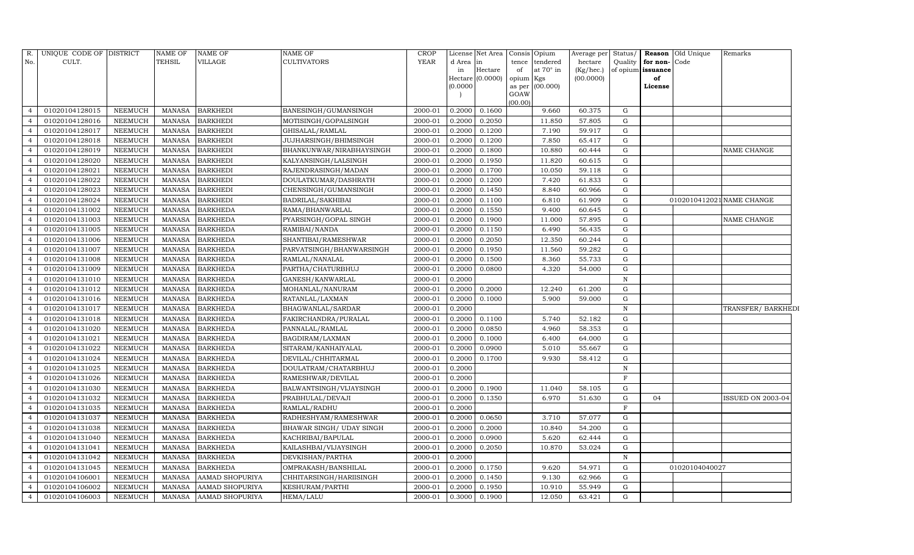| R.             | UNIQUE CODE OF DISTRICT |                | <b>NAME OF</b> | <b>NAME OF</b>         | NAME OF                  | <b>CROP</b> |          | License Net Area            |           | Consis Opium    | Average per | Status/      |                   | Reason Old Unique | Remarks                   |
|----------------|-------------------------|----------------|----------------|------------------------|--------------------------|-------------|----------|-----------------------------|-----------|-----------------|-------------|--------------|-------------------|-------------------|---------------------------|
| No.            | CULT.                   |                | TEHSIL         | VILLAGE                | CULTIVATORS              | <b>YEAR</b> | d Area   | in                          | tence     | tendered        | hectare     | Quality      | for non-Code      |                   |                           |
|                |                         |                |                |                        |                          |             | in       | Hectare<br>Hectare (0.0000) | of        | at 70° in       | (Kg/hec.)   |              | of opium issuance |                   |                           |
|                |                         |                |                |                        |                          |             | (0.0000) |                             | opium Kgs | as per (00.000) | (00.0000)   |              | of<br>License     |                   |                           |
|                |                         |                |                |                        |                          |             |          |                             | GOAW      |                 |             |              |                   |                   |                           |
|                |                         |                |                |                        |                          |             |          |                             | (00.00)   |                 |             |              |                   |                   |                           |
|                | 01020104128015          | <b>NEEMUCH</b> | <b>MANASA</b>  | <b>BARKHEDI</b>        | BANESINGH/GUMANSINGH     | 2000-01     | 0.2000   | 0.1600                      |           | 9.660           | 60.375      | G            |                   |                   |                           |
|                | 01020104128016          | <b>NEEMUCH</b> | <b>MANASA</b>  | <b>BARKHEDI</b>        | MOTISINGH/GOPALSINGH     | 2000-01     | 0.2000   | 0.2050                      |           | 11.850          | 57.805      | G            |                   |                   |                           |
|                | 01020104128017          | <b>NEEMUCH</b> | <b>MANASA</b>  | <b>BARKHEDI</b>        | GHISALAL/RAMLAL          | 2000-01     | 0.2000   | 0.1200                      |           | 7.190           | 59.917      | G            |                   |                   |                           |
|                | 01020104128018          | NEEMUCH        | MANASA         | <b>BARKHEDI</b>        | JUJHARSINGH/BHIMSINGH    | 2000-01     | 0.2000   | 0.1200                      |           | 7.850           | 65.417      | ${\rm G}$    |                   |                   |                           |
|                | 01020104128019          | NEEMUCH        | <b>MANASA</b>  | <b>BARKHEDI</b>        | BHANKUNWAR/NIRABHAYSINGH | 2000-01     | 0.2000   | 0.1800                      |           | 10.880          | 60.444      | ${\rm G}$    |                   |                   | NAME CHANGE               |
|                | 01020104128020          | NEEMUCH        | MANASA         | <b>BARKHEDI</b>        | KALYANSINGH/LALSINGH     | 2000-01     | 0.2000   | 0.1950                      |           | 11.820          | 60.615      | G            |                   |                   |                           |
|                | 01020104128021          | <b>NEEMUCH</b> | <b>MANASA</b>  | <b>BARKHEDI</b>        | RAJENDRASINGH/MADAN      | 2000-01     | 0.2000   | 0.1700                      |           | 10.050          | 59.118      | G            |                   |                   |                           |
|                | 01020104128022          | NEEMUCH        | <b>MANASA</b>  | <b>BARKHEDI</b>        | DOULATKUMAR/DASHRATH     | 2000-01     | 0.2000   | 0.1200                      |           | 7.420           | 61.833      | ${\rm G}$    |                   |                   |                           |
|                | 01020104128023          | NEEMUCH        | <b>MANASA</b>  | <b>BARKHEDI</b>        | CHENSINGH/GUMANSINGH     | 2000-01     | 0.2000   | 0.1450                      |           | 8.840           | 60.966      | G            |                   |                   |                           |
|                | 01020104128024          | NEEMUCH        | MANASA         | <b>BARKHEDI</b>        | BADRILAL/SAKHIBAI        | 2000-01     | 0.2000   | 0.1100                      |           | 6.810           | 61.909      | ${\rm G}$    |                   |                   | 0102010412021 NAME CHANGE |
|                | 01020104131002          | <b>NEEMUCH</b> | <b>MANASA</b>  | <b>BARKHEDA</b>        | RAMA/BHANWARLAL          | 2000-01     | 0.2000   | 0.1550                      |           | 9.400           | 60.645      | ${\rm G}$    |                   |                   |                           |
|                | 01020104131003          | NEEMUCH        | <b>MANASA</b>  | <b>BARKHEDA</b>        | PYARSINGH/GOPAL SINGH    | 2000-01     | 0.2000   | 0.1900                      |           | 11.000          | 57.895      | ${\rm G}$    |                   |                   | NAME CHANGE               |
|                | 01020104131005          | <b>NEEMUCH</b> | <b>MANASA</b>  | <b>BARKHEDA</b>        | RAMIBAI/NANDA            | 2000-01     | 0.2000   | 0.1150                      |           | 6.490           | 56.435      | ${\rm G}$    |                   |                   |                           |
|                | 01020104131006          | <b>NEEMUCH</b> | <b>MANASA</b>  | <b>BARKHEDA</b>        | SHANTIBAI/RAMESHWAR      | 2000-01     | 0.2000   | 0.2050                      |           | 12.350          | 60.244      | ${\rm G}$    |                   |                   |                           |
| $\overline{4}$ | 01020104131007          | <b>NEEMUCH</b> | <b>MANASA</b>  | <b>BARKHEDA</b>        | PARVATSINGH/BHANWARSINGH | 2000-01     | 0.2000   | 0.1950                      |           | 11.560          | 59.282      | G            |                   |                   |                           |
| 4              | 01020104131008          | NEEMUCH        | <b>MANASA</b>  | <b>BARKHEDA</b>        | RAMLAL/NANALAL           | 2000-01     | 0.2000   | 0.1500                      |           | 8.360           | 55.733      | ${\rm G}$    |                   |                   |                           |
|                | 01020104131009          | <b>NEEMUCH</b> | <b>MANASA</b>  | <b>BARKHEDA</b>        | PARTHA/CHATURBHUJ        | 2000-01     | 0.2000   | 0.0800                      |           | 4.320           | 54.000      | G            |                   |                   |                           |
|                | 01020104131010          | <b>NEEMUCH</b> | <b>MANASA</b>  | <b>BARKHEDA</b>        | GANESH/KANWARLAL         | 2000-01     | 0.2000   |                             |           |                 |             | $\, {\rm N}$ |                   |                   |                           |
| $\overline{4}$ | 01020104131012          | <b>NEEMUCH</b> | <b>MANASA</b>  | <b>BARKHEDA</b>        | MOHANLAL/NANURAM         | 2000-01     | 0.2000   | 0.2000                      |           | 12.240          | 61.200      | G            |                   |                   |                           |
|                | 01020104131016          | <b>NEEMUCH</b> | <b>MANASA</b>  | <b>BARKHEDA</b>        | RATANLAL/LAXMAN          | 2000-01     | 0.2000   | 0.1000                      |           | 5.900           | 59.000      | G            |                   |                   |                           |
|                | 01020104131017          | <b>NEEMUCH</b> | <b>MANASA</b>  | <b>BARKHEDA</b>        | BHAGWANLAL/SARDAR        | 2000-01     | 0.2000   |                             |           |                 |             | $\, {\rm N}$ |                   |                   | TRANSFER/BARKHEDI         |
|                | 01020104131018          | <b>NEEMUCH</b> | <b>MANASA</b>  | <b>BARKHEDA</b>        | FAKIRCHANDRA/PURALAL     | 2000-01     | 0.2000   | 0.1100                      |           | 5.740           | 52.182      | G            |                   |                   |                           |
|                | 01020104131020          | <b>NEEMUCH</b> | <b>MANASA</b>  | <b>BARKHEDA</b>        | PANNALAL/RAMLAL          | 2000-01     | 0.2000   | 0.0850                      |           | 4.960           | 58.353      | G            |                   |                   |                           |
|                | 01020104131021          | <b>NEEMUCH</b> | <b>MANASA</b>  | <b>BARKHEDA</b>        | BAGDIRAM/LAXMAN          | 2000-01     | 0.2000   | 0.1000                      |           | 6.400           | 64.000      | ${\rm G}$    |                   |                   |                           |
|                | 01020104131022          | <b>NEEMUCH</b> | <b>MANASA</b>  | <b>BARKHEDA</b>        | SITARAM/KANHAIYALAL      | 2000-01     | 0.2000   | 0.0900                      |           | 5.010           | 55.667      | ${\rm G}$    |                   |                   |                           |
|                | 01020104131024          | <b>NEEMUCH</b> | <b>MANASA</b>  | <b>BARKHEDA</b>        | DEVILAL/CHHITARMAL       | 2000-01     | 0.2000   | 0.1700                      |           | 9.930           | 58.412      | G            |                   |                   |                           |
| $\overline{a}$ | 01020104131025          | <b>NEEMUCH</b> | <b>MANASA</b>  | <b>BARKHEDA</b>        | DOULATRAM/CHATARBHUJ     | 2000-01     | 0.2000   |                             |           |                 |             | $\, {\rm N}$ |                   |                   |                           |
|                | 01020104131026          | <b>NEEMUCH</b> | <b>MANASA</b>  | <b>BARKHEDA</b>        | RAMESHWAR/DEVILAL        | 2000-01     | 0.2000   |                             |           |                 |             | $\mathbf F$  |                   |                   |                           |
|                | 01020104131030          | <b>NEEMUCH</b> | <b>MANASA</b>  | <b>BARKHEDA</b>        | BALWANTSINGH/VIJAYSINGH  | 2000-01     | 0.2000   | 0.1900                      |           | 11.040          | 58.105      | ${\rm G}$    |                   |                   |                           |
| 4              | 01020104131032          | <b>NEEMUCH</b> | <b>MANASA</b>  | <b>BARKHEDA</b>        | PRABHULAL/DEVAJI         | 2000-01     | 0.2000   | 0.1350                      |           | 6.970           | 51.630      | G            | 04                |                   | ISSUED ON 2003-04         |
|                | 01020104131035          | <b>NEEMUCH</b> | <b>MANASA</b>  | <b>BARKHEDA</b>        | RAMLAL/RADHU             | 2000-01     | 0.2000   |                             |           |                 |             | $\mathbf F$  |                   |                   |                           |
|                | 01020104131037          | <b>NEEMUCH</b> | <b>MANASA</b>  | <b>BARKHEDA</b>        | RADHESHYAM/RAMESHWAR     | 2000-01     | 0.2000   | 0.0650                      |           | 3.710           | 57.077      | ${\rm G}$    |                   |                   |                           |
|                | 01020104131038          | <b>NEEMUCH</b> | <b>MANASA</b>  | <b>BARKHEDA</b>        | BHAWAR SINGH/ UDAY SINGH | 2000-01     | 0.2000   | 0.2000                      |           | 10.840          | 54.200      | ${\rm G}$    |                   |                   |                           |
|                | 01020104131040          | <b>NEEMUCH</b> | <b>MANASA</b>  | <b>BARKHEDA</b>        | KACHRIBAI/BAPULAL        | 2000-01     | 0.2000   | 0.0900                      |           | 5.620           | 62.444      | ${\rm G}$    |                   |                   |                           |
| $\overline{a}$ | 01020104131041          | <b>NEEMUCH</b> | <b>MANASA</b>  | <b>BARKHEDA</b>        | KAILASHBAI/VIJAYSINGH    | 2000-01     | 0.2000   | 0.2050                      |           | 10.870          | 53.024      | ${\rm G}$    |                   |                   |                           |
|                | 01020104131042          | NEEMUCH        | <b>MANASA</b>  | <b>BARKHEDA</b>        | DEVKISHAN/PARTHA         | 2000-01     | 0.2000   |                             |           |                 |             | N            |                   |                   |                           |
|                | 01020104131045          | NEEMUCH        | <b>MANASA</b>  | <b>BARKHEDA</b>        | OMPRAKASH/BANSHILAL      | 2000-01     | 0.2000   | 0.1750                      |           | 9.620           | 54.971      | G            |                   | 01020104040027    |                           |
| 4              | 01020104106001          | NEEMUCH        | <b>MANASA</b>  | AAMAD SHOPURIYA        | CHHITARSINGH/HARIISINGH  | 2000-01     | 0.2000   | 0.1450                      |           | 9.130           | 62.966      | G            |                   |                   |                           |
|                | 01020104106002          | NEEMUCH        | <b>MANASA</b>  | AAMAD SHOPURIYA        | KESHURAM/PARTHI          | 2000-01     | 0.2000   | 0.1950                      |           | 10.910          | 55.949      | G            |                   |                   |                           |
| $\overline{4}$ | 01020104106003          | <b>NEEMUCH</b> |                | MANASA AAMAD SHOPURIYA | <b>HEMA/LALU</b>         | 2000-01     | 0.3000   | 0.1900                      |           | 12.050          | 63.421      | G            |                   |                   |                           |